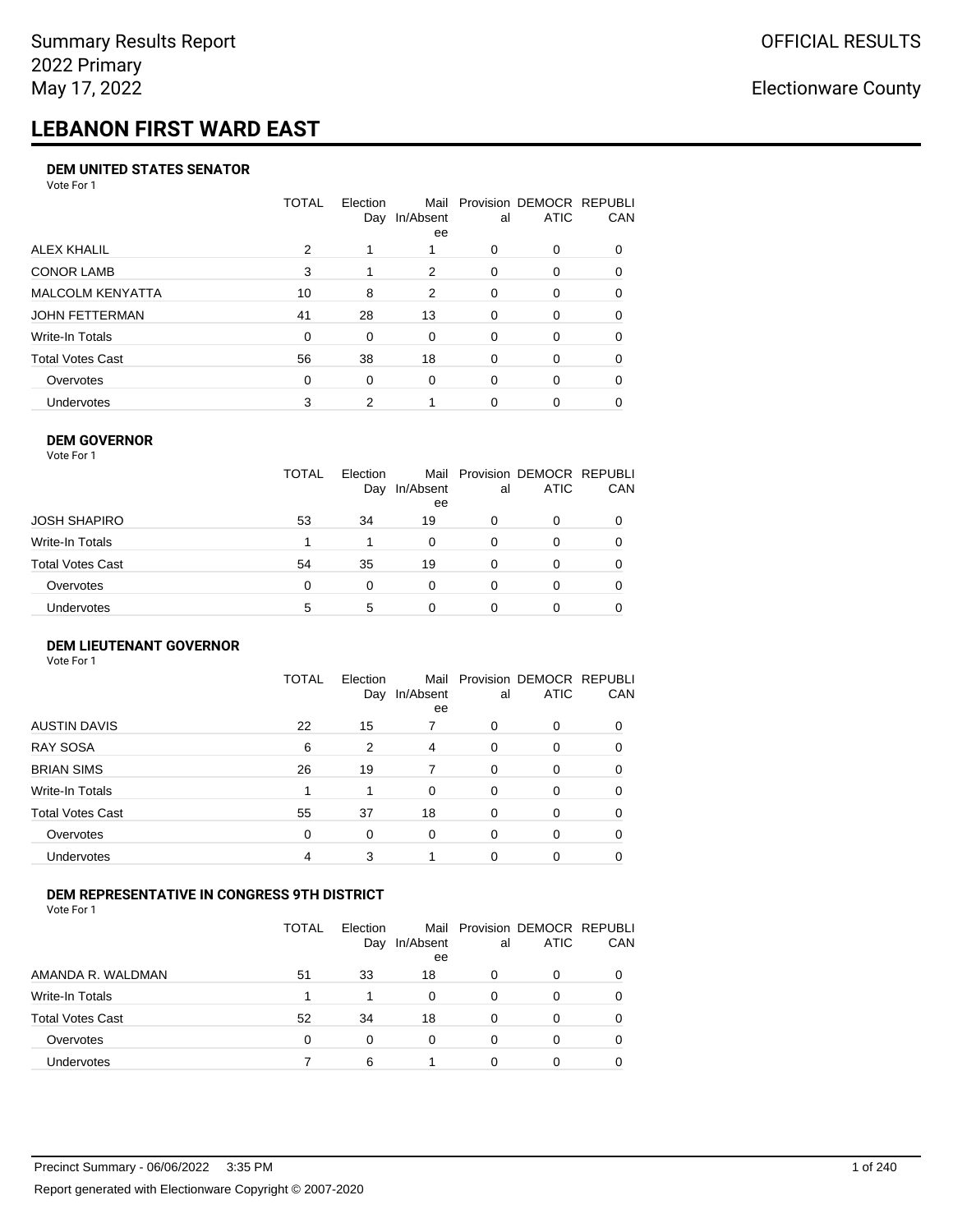# **LEBANON FIRST WARD EAST**

#### **DEM UNITED STATES SENATOR**

Vote For 1

|                         | TOTAL | Election<br>Day | Mail<br>In/Absent<br>ee | al       | Provision DEMOCR REPUBLI<br><b>ATIC</b> | CAN      |
|-------------------------|-------|-----------------|-------------------------|----------|-----------------------------------------|----------|
| ALEX KHALIL             | 2     |                 |                         | 0        | 0                                       |          |
| <b>CONOR LAMB</b>       | 3     |                 | 2                       | $\Omega$ | $\Omega$                                | 0        |
| <b>MALCOLM KENYATTA</b> | 10    | 8               | 2                       | $\Omega$ | 0                                       | 0        |
| JOHN FETTERMAN          | 41    | 28              | 13                      | $\Omega$ | 0                                       | $\Omega$ |
| Write-In Totals         | 0     | $\Omega$        | 0                       | $\Omega$ | 0                                       | $\Omega$ |
| <b>Total Votes Cast</b> | 56    | 38              | 18                      | $\Omega$ | $\Omega$                                | 0        |
| Overvotes               | 0     | $\Omega$        | 0                       | $\Omega$ | $\Omega$                                | $\Omega$ |
| <b>Undervotes</b>       | 3     | 2               |                         | 0        | 0                                       |          |

#### **DEM GOVERNOR**

| Vote For 1       |              |                 |                 |          |                                              |          |
|------------------|--------------|-----------------|-----------------|----------|----------------------------------------------|----------|
|                  | <b>TOTAL</b> | Election<br>Day | In/Absent<br>ee | al       | Mail Provision DEMOCR REPUBLI<br><b>ATIC</b> | CAN      |
| JOSH SHAPIRO     | 53           | 34              | 19              | 0        | 0                                            |          |
| Write-In Totals  |              |                 | $\Omega$        | $\Omega$ | 0                                            | $\Omega$ |
| Total Votes Cast | 54           | 35              | 19              | $\Omega$ | 0                                            | 0        |
| Overvotes        | 0            | 0               | $\Omega$        | $\Omega$ | 0                                            | 0        |
| Undervotes       | 5            | 5               | 0               |          | 0                                            |          |

#### **DEM LIEUTENANT GOVERNOR** Vote For 1

|                         | <b>TOTAL</b> | Election<br>Day | In/Absent<br>ee | al       | Mail Provision DEMOCR REPUBLI<br><b>ATIC</b> | CAN      |
|-------------------------|--------------|-----------------|-----------------|----------|----------------------------------------------|----------|
| <b>AUSTIN DAVIS</b>     | 22           | 15              |                 | $\Omega$ | $\Omega$                                     | 0        |
| <b>RAY SOSA</b>         | 6            | 2               | 4               | $\Omega$ | 0                                            | 0        |
| <b>BRIAN SIMS</b>       | 26           | 19              | 7               | $\Omega$ | $\Omega$                                     | 0        |
| Write-In Totals         |              | 1               | $\Omega$        | $\Omega$ | $\Omega$                                     | $\Omega$ |
| <b>Total Votes Cast</b> | 55           | 37              | 18              | $\Omega$ | 0                                            | $\Omega$ |
| Overvotes               | $\Omega$     | 0               | $\Omega$        | $\Omega$ | 0                                            | $\Omega$ |
| Undervotes              | 4            | 3               |                 | $\Omega$ | 0                                            | 0        |

### **DEM REPRESENTATIVE IN CONGRESS 9TH DISTRICT**

|                         | TOTAL | <b>Flection</b><br>Day | Mail<br>In/Absent<br>ee | al | Provision DEMOCR REPUBLI<br><b>ATIC</b> | <b>CAN</b> |
|-------------------------|-------|------------------------|-------------------------|----|-----------------------------------------|------------|
| AMANDA R. WALDMAN       | 51    | 33                     | 18                      | O  | 0                                       | 0          |
| Write-In Totals         |       |                        | 0                       | Ω  |                                         | 0          |
| <b>Total Votes Cast</b> | 52    | 34                     | 18                      | 0  |                                         | 0          |
| Overvotes               | 0     | 0                      | $\Omega$                | 0  | 0                                       | 0          |
| Undervotes              |       | 6                      |                         |    |                                         |            |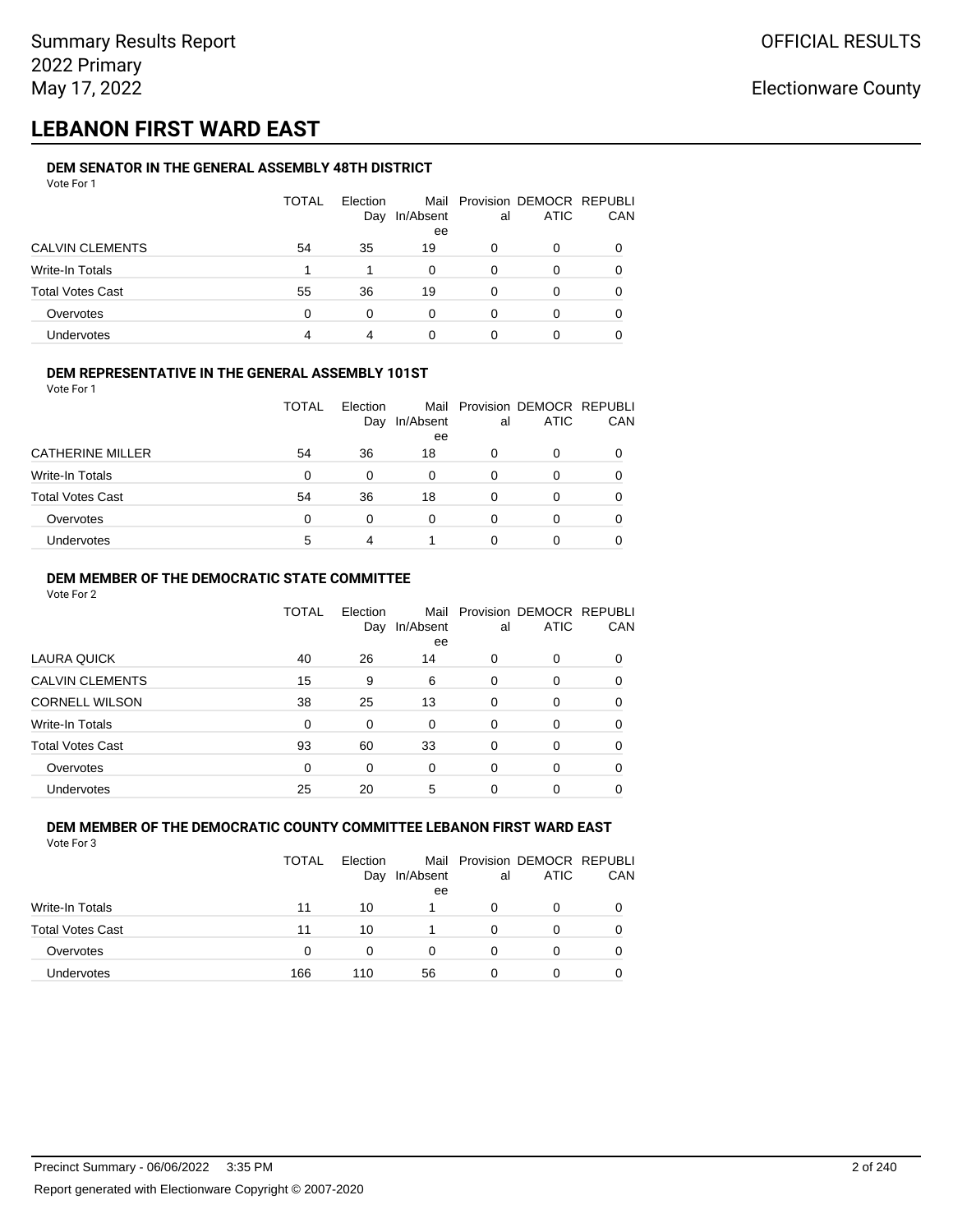## **LEBANON FIRST WARD EAST**

#### **DEM SENATOR IN THE GENERAL ASSEMBLY 48TH DISTRICT** Vote For 1

| .                       |              |                 |                 |    |                                              |     |
|-------------------------|--------------|-----------------|-----------------|----|----------------------------------------------|-----|
|                         | <b>TOTAL</b> | Election<br>Day | In/Absent<br>ee | al | Mail Provision DEMOCR REPUBLI<br><b>ATIC</b> | CAN |
| <b>CALVIN CLEMENTS</b>  | 54           | 35              | 19              | 0  | O                                            |     |
| Write-In Totals         |              |                 | 0               | 0  | O                                            |     |
| <b>Total Votes Cast</b> | 55           | 36              | 19              | 0  | 0                                            |     |
| Overvotes               | $\Omega$     | 0               | 0               | 0  | O                                            |     |
| Undervotes              | 4            |                 |                 |    | 0                                            |     |

#### **DEM REPRESENTATIVE IN THE GENERAL ASSEMBLY 101ST**

Vote For 1

|                         | TOTAL | Election<br>Day | In/Absent | al | Mail Provision DEMOCR REPUBLI<br><b>ATIC</b> | CAN |
|-------------------------|-------|-----------------|-----------|----|----------------------------------------------|-----|
|                         |       |                 | ee        |    |                                              |     |
| <b>CATHERINE MILLER</b> | 54    | 36              | 18        | 0  | O                                            |     |
| Write-In Totals         | 0     | 0               | 0         | 0  | O                                            |     |
| <b>Total Votes Cast</b> | 54    | 36              | 18        | 0  | 0                                            |     |
| Overvotes               | 0     | 0               | 0         | 0  | O                                            |     |
| Undervotes              | 5     |                 |           |    | Ω                                            |     |

### **DEM MEMBER OF THE DEMOCRATIC STATE COMMITTEE**

Vote For 2

|                         | TOTAL    | Election<br>Day | Mail<br>In/Absent<br>ee | al       | Provision DEMOCR REPUBLI<br><b>ATIC</b> | CAN      |
|-------------------------|----------|-----------------|-------------------------|----------|-----------------------------------------|----------|
| LAURA QUICK             | 40       | 26              | 14                      | $\Omega$ | 0                                       | $\Omega$ |
| <b>CALVIN CLEMENTS</b>  | 15       | 9               | 6                       | 0        | 0                                       | 0        |
| <b>CORNELL WILSON</b>   | 38       | 25              | 13                      | $\Omega$ | 0                                       | 0        |
| Write-In Totals         | $\Omega$ | 0               | $\Omega$                | $\Omega$ | 0                                       | $\Omega$ |
| <b>Total Votes Cast</b> | 93       | 60              | 33                      | 0        | 0                                       | 0        |
| Overvotes               | $\Omega$ | $\Omega$        | $\Omega$                | $\Omega$ | 0                                       | $\Omega$ |
| Undervotes              | 25       | 20              | 5                       | 0        | ი                                       |          |

#### **DEM MEMBER OF THE DEMOCRATIC COUNTY COMMITTEE LEBANON FIRST WARD EAST** Vote For 3

|                         | <b>TOTAL</b> | <b>Flection</b><br>Day | In/Absent<br>ee | al           | Mail Provision DEMOCR REPUBLI<br><b>ATIC</b> | CAN |
|-------------------------|--------------|------------------------|-----------------|--------------|----------------------------------------------|-----|
| <b>Write-In Totals</b>  | 11           | 10                     |                 | <sup>0</sup> | 0                                            |     |
| <b>Total Votes Cast</b> | 11           | 10                     |                 | 0            | 0                                            |     |
| Overvotes               | 0            | 0                      | 0               | 0            | 0                                            |     |
| <b>Undervotes</b>       | 166          | 110                    | 56              | 0            | 0                                            |     |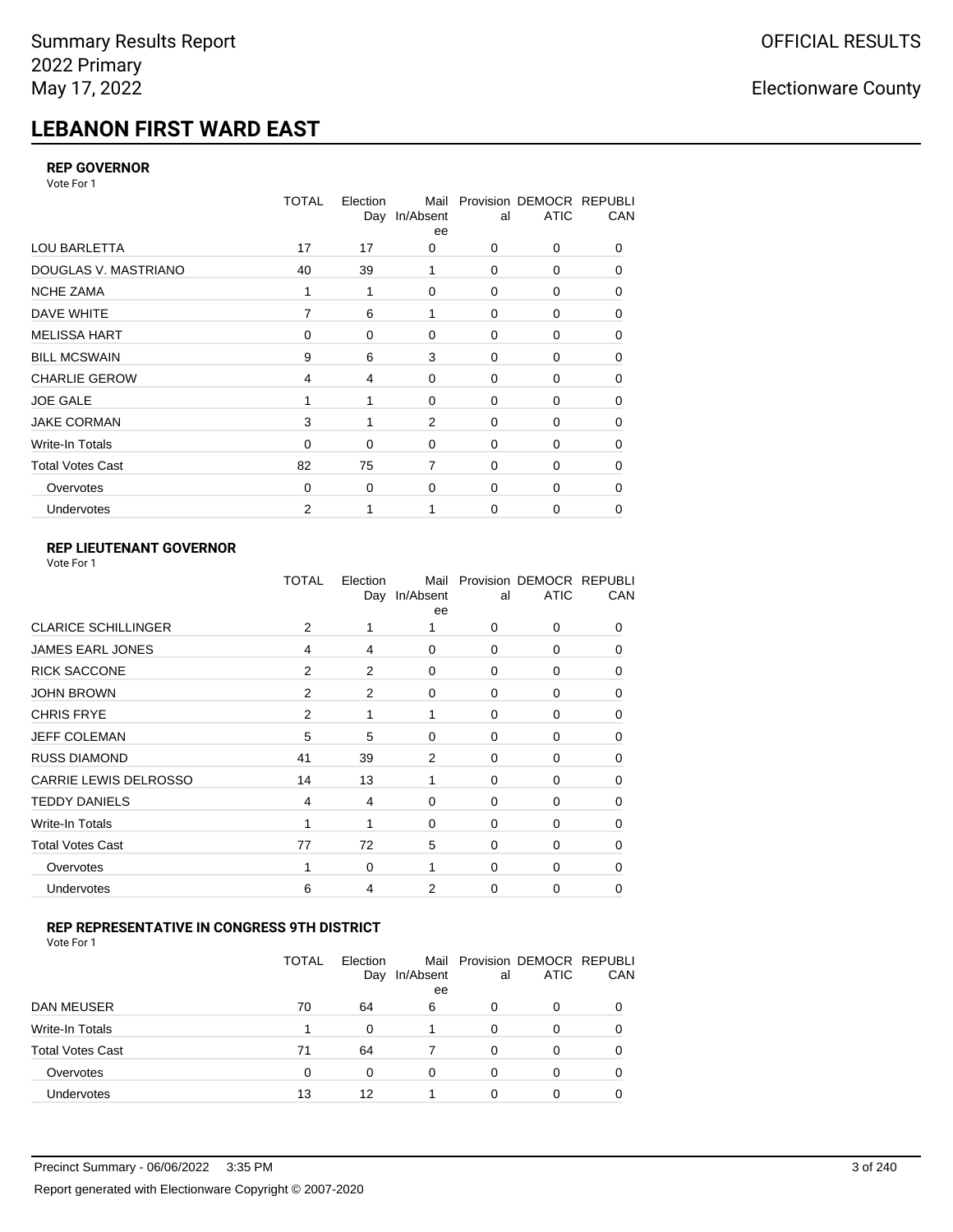# **LEBANON FIRST WARD EAST**

#### **REP GOVERNOR**

Vote For 1

|                         | <b>TOTAL</b> | Election<br>Day | Mail<br>In/Absent<br>ee | al          | Provision DEMOCR REPUBLI<br><b>ATIC</b> | CAN |
|-------------------------|--------------|-----------------|-------------------------|-------------|-----------------------------------------|-----|
| <b>LOU BARLETTA</b>     | 17           | 17              | 0                       | 0           | 0                                       | 0   |
| DOUGLAS V. MASTRIANO    | 40           | 39              | 1                       | 0           | 0                                       | 0   |
| <b>NCHE ZAMA</b>        | 1            | 1               | $\Omega$                | $\Omega$    | 0                                       | 0   |
| DAVE WHITE              | 7            | 6               | 1                       | $\mathbf 0$ | 0                                       | 0   |
| <b>MELISSA HART</b>     | $\Omega$     | 0               | $\Omega$                | 0           | 0                                       | 0   |
| <b>BILL MCSWAIN</b>     | 9            | 6               | 3                       | $\mathbf 0$ | 0                                       | 0   |
| <b>CHARLIE GEROW</b>    | 4            | 4               | $\Omega$                | $\Omega$    | 0                                       | 0   |
| <b>JOE GALE</b>         |              | 1               | 0                       | $\mathbf 0$ | 0                                       | 0   |
| <b>JAKE CORMAN</b>      | 3            | 1               | 2                       | 0           | 0                                       | 0   |
| Write-In Totals         | $\Omega$     | 0               | 0                       | $\mathbf 0$ | 0                                       | 0   |
| <b>Total Votes Cast</b> | 82           | 75              | $\overline{7}$          | $\Omega$    | 0                                       | 0   |
| Overvotes               | 0            | 0               | 0                       | 0           | 0                                       | 0   |
| Undervotes              | 2            |                 |                         | 0           | 0                                       | 0   |

### **REP LIEUTENANT GOVERNOR**

| Vote For 1 |  |  |
|------------|--|--|
|------------|--|--|

|                            | TOTAL          | Election       | Mail<br>Day In/Absent<br>ee | al       | Provision DEMOCR REPUBLI<br><b>ATIC</b> | CAN          |
|----------------------------|----------------|----------------|-----------------------------|----------|-----------------------------------------|--------------|
| <b>CLARICE SCHILLINGER</b> | 2              | 1              |                             | $\Omega$ | $\Omega$                                | 0            |
| <b>JAMES EARL JONES</b>    | 4              | 4              | $\Omega$                    | 0        | 0                                       | 0            |
| <b>RICK SACCONE</b>        | 2              | 2              | 0                           | $\Omega$ | 0                                       | 0            |
| <b>JOHN BROWN</b>          | $\overline{2}$ | $\overline{2}$ | $\Omega$                    | $\Omega$ | 0                                       | 0            |
| <b>CHRIS FRYE</b>          | 2              | 1              | 1                           | 0        | 0                                       | 0            |
| <b>JEFF COLEMAN</b>        | 5              | 5              | 0                           | $\Omega$ | 0                                       | $\Omega$     |
| <b>RUSS DIAMOND</b>        | 41             | 39             | $\overline{2}$              | 0        | 0                                       | 0            |
| CARRIE LEWIS DELROSSO      | 14             | 13             | 1                           | 0        | 0                                       | 0            |
| <b>TEDDY DANIELS</b>       | 4              | 4              | 0                           | 0        | 0                                       | $\Omega$     |
| Write-In Totals            | 1              | 1              | 0                           | $\Omega$ | 0                                       | 0            |
| <b>Total Votes Cast</b>    | 77             | 72             | 5                           | $\Omega$ | $\Omega$                                | $\Omega$     |
| Overvotes                  |                | 0              | 1                           | $\Omega$ | $\Omega$                                | <sup>0</sup> |
| Undervotes                 | 6              | 4              | 2                           | $\Omega$ | 0                                       | 0            |
|                            |                |                |                             |          |                                         |              |

#### **REP REPRESENTATIVE IN CONGRESS 9TH DISTRICT**

| Vote For 1 |  |  |
|------------|--|--|
|------------|--|--|

|                         | TOTAL | Election<br>Day | In/Absent<br>ee | al       | Mail Provision DEMOCR REPUBLI<br><b>ATIC</b> | CAN      |
|-------------------------|-------|-----------------|-----------------|----------|----------------------------------------------|----------|
| DAN MEUSER              | 70    | 64              | 6               | 0        | 0                                            | $\Omega$ |
| Write-In Totals         |       | 0               |                 | 0        | 0                                            |          |
| <b>Total Votes Cast</b> | 71    | 64              |                 | $\Omega$ | 0                                            |          |
| Overvotes               | 0     | 0               | 0               | 0        | 0                                            | $\Omega$ |
| <b>Undervotes</b>       | 13    | 12              |                 | 0        | ი                                            |          |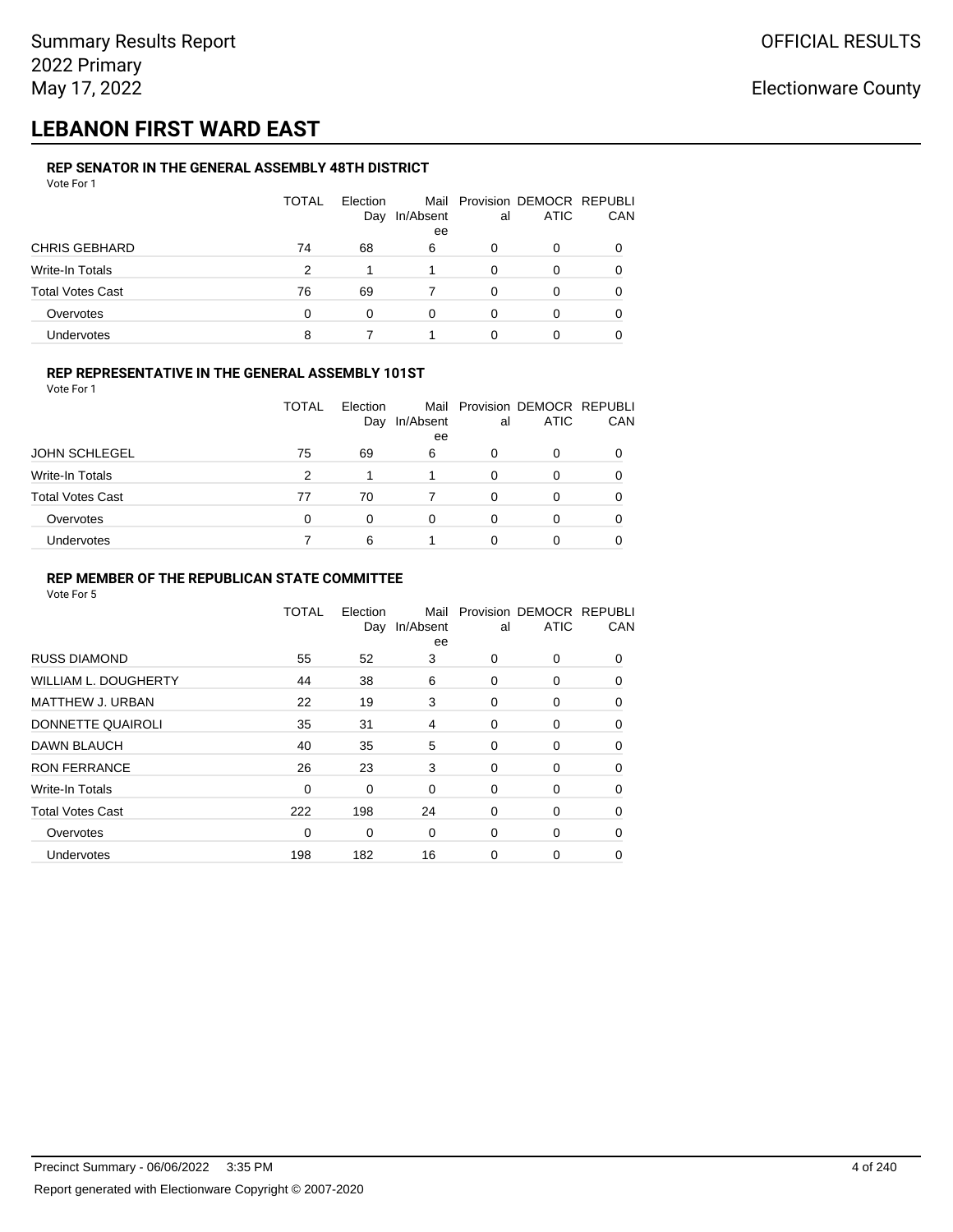## **LEBANON FIRST WARD EAST**

#### **REP SENATOR IN THE GENERAL ASSEMBLY 48TH DISTRICT** Vote For 1

| 1 U U U                 |              |                 |           |    |                                              |              |
|-------------------------|--------------|-----------------|-----------|----|----------------------------------------------|--------------|
|                         | <b>TOTAL</b> | Election<br>Day | In/Absent | al | Mail Provision DEMOCR REPUBLI<br><b>ATIC</b> | CAN          |
|                         |              |                 | ee        |    |                                              |              |
| <b>CHRIS GEBHARD</b>    | 74           | 68              | 6         | 0  | O                                            |              |
| Write-In Totals         | 2            | 1               |           | 0  | O                                            |              |
| <b>Total Votes Cast</b> | 76           | 69              |           | 0  | 0                                            | <sup>0</sup> |
| Overvotes               | $\Omega$     | 0               | 0         | 0  | 0                                            |              |
| <b>Undervotes</b>       | 8            |                 |           |    | Ω                                            |              |

### **REP REPRESENTATIVE IN THE GENERAL ASSEMBLY 101ST**

Vote For 1

|                         | TOTAL | <b>Flection</b> |                 |    | Mail Provision DEMOCR REPUBLI |            |
|-------------------------|-------|-----------------|-----------------|----|-------------------------------|------------|
|                         |       | Day             | In/Absent<br>ee | al | <b>ATIC</b>                   | <b>CAN</b> |
| <b>JOHN SCHLEGEL</b>    | 75    | 69              | 6               | 0  | 0                             | 0          |
| Write-In Totals         | 2     |                 |                 | 0  |                               | 0          |
| <b>Total Votes Cast</b> | 77    | 70              |                 | ŋ  | O                             | 0          |
| Overvotes               | 0     | $\Omega$        | 0               | 0  |                               | 0          |
| Undervotes              |       | 6               |                 |    |                               |            |

### **REP MEMBER OF THE REPUBLICAN STATE COMMITTEE**

|                         | <b>TOTAL</b> | Election<br>Day | Mail<br>In/Absent<br>ee | al | Provision DEMOCR REPUBLI<br><b>ATIC</b> | CAN      |
|-------------------------|--------------|-----------------|-------------------------|----|-----------------------------------------|----------|
| <b>RUSS DIAMOND</b>     | 55           | 52              | 3                       | 0  | 0                                       | 0        |
| WILLIAM L. DOUGHERTY    | 44           | 38              | 6                       | 0  | 0                                       | 0        |
| <b>MATTHEW J. URBAN</b> | 22           | 19              | 3                       | 0  | 0                                       | $\Omega$ |
| DONNETTE QUAIROLI       | 35           | 31              | 4                       | 0  | 0                                       | $\Omega$ |
| <b>DAWN BLAUCH</b>      | 40           | 35              | 5                       | 0  | 0                                       | $\Omega$ |
| <b>RON FERRANCE</b>     | 26           | 23              | 3                       | 0  | 0                                       | 0        |
| <b>Write-In Totals</b>  | 0            | 0               | 0                       | 0  | 0                                       | 0        |
| <b>Total Votes Cast</b> | 222          | 198             | 24                      | 0  | 0                                       | 0        |
| Overvotes               | 0            | 0               | 0                       | 0  | 0                                       | $\Omega$ |
| Undervotes              | 198          | 182             | 16                      | 0  | 0                                       | 0        |
|                         |              |                 |                         |    |                                         |          |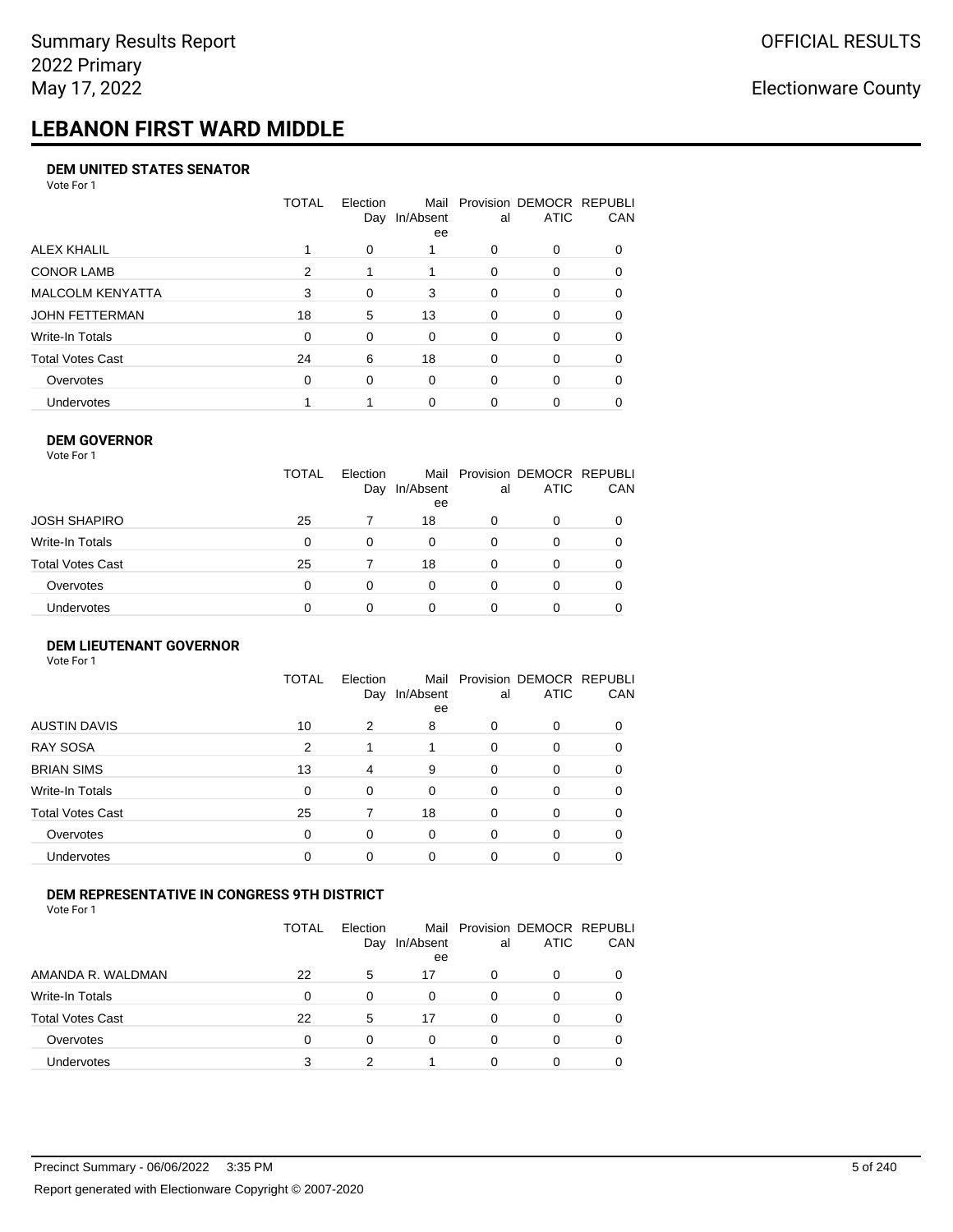# **LEBANON FIRST WARD MIDDLE**

#### **DEM UNITED STATES SENATOR**

Vote For 1

|                         | TOTAL | Election<br>Day | Mail<br>In/Absent<br>ee | al       | Provision DEMOCR REPUBLI<br><b>ATIC</b> | CAN          |
|-------------------------|-------|-----------------|-------------------------|----------|-----------------------------------------|--------------|
| ALEX KHALIL             |       | $\Omega$        |                         | O        | 0                                       |              |
| <b>CONOR LAMB</b>       | 2     |                 |                         | $\Omega$ | 0                                       | 0            |
| <b>MALCOLM KENYATTA</b> | 3     | $\Omega$        | 3                       | $\Omega$ | 0                                       | 0            |
| JOHN FETTERMAN          | 18    | 5               | 13                      | $\Omega$ | 0                                       | 0            |
| Write-In Totals         | 0     | 0               | $\Omega$                | $\Omega$ | 0                                       | <sup>0</sup> |
| Total Votes Cast        | 24    | 6               | 18                      | $\Omega$ | $\Omega$                                | 0            |
| Overvotes               | 0     | 0               | $\Omega$                | $\Omega$ | $\Omega$                                | 0            |
| Undervotes              |       |                 | $\Omega$                |          | ი                                       |              |

#### **DEM GOVERNOR** Vote For 1

|                  | <b>TOTAL</b> | Election<br>Day | In/Absent<br>ee | al       | Mail Provision DEMOCR REPUBLI<br><b>ATIC</b> | CAN |
|------------------|--------------|-----------------|-----------------|----------|----------------------------------------------|-----|
| JOSH SHAPIRO     | 25           |                 | 18              | 0        | 0                                            |     |
| Write-In Totals  | 0            | $\Omega$        | 0               | 0        | 0                                            |     |
| Total Votes Cast | 25           |                 | 18              | $\Omega$ | $\Omega$                                     | 0   |
| Overvotes        | 0            | $\Omega$        | 0               | O        | 0                                            |     |
| Undervotes       | ი            |                 |                 |          |                                              |     |

#### **DEM LIEUTENANT GOVERNOR** Vote For 1

|                         | <b>TOTAL</b>   | Election<br>Day | In/Absent<br>ee | al       | Mail Provision DEMOCR REPUBLI<br><b>ATIC</b> | CAN |
|-------------------------|----------------|-----------------|-----------------|----------|----------------------------------------------|-----|
| <b>AUSTIN DAVIS</b>     | 10             | 2               | 8               | 0        | 0                                            | 0   |
| <b>RAY SOSA</b>         | $\overline{2}$ | 1               |                 | $\Omega$ | 0                                            | 0   |
| <b>BRIAN SIMS</b>       | 13             | 4               | 9               | $\Omega$ | $\Omega$                                     | 0   |
| Write-In Totals         | $\Omega$       | $\Omega$        | $\Omega$        | $\Omega$ | 0                                            | 0   |
| <b>Total Votes Cast</b> | 25             |                 | 18              | $\Omega$ | $\Omega$                                     | 0   |
| Overvotes               | $\Omega$       | 0               | $\Omega$        | $\Omega$ | $\Omega$                                     | 0   |
| <b>Undervotes</b>       | $\Omega$       | 0               | $\Omega$        | $\Omega$ | $\Omega$                                     | 0   |

### **DEM REPRESENTATIVE IN CONGRESS 9TH DISTRICT**

|                         | TOTAL | <b>Flection</b><br>Day | In/Absent<br>ee | al | Mail Provision DEMOCR REPUBLI<br><b>ATIC</b> | <b>CAN</b> |
|-------------------------|-------|------------------------|-----------------|----|----------------------------------------------|------------|
| AMANDA R. WALDMAN       | 22    | 5                      | 17              | O  | $\Omega$                                     | 0          |
| Write-In Totals         | 0     | <sup>0</sup>           | 0               | 0  | n                                            | $\Omega$   |
| <b>Total Votes Cast</b> | 22    | 5                      | 17              | 0  |                                              | 0          |
| Overvotes               | 0     | $\Omega$               | $\Omega$        | O  | $\Omega$                                     | 0          |
| <b>Undervotes</b>       | 3     |                        |                 |    |                                              |            |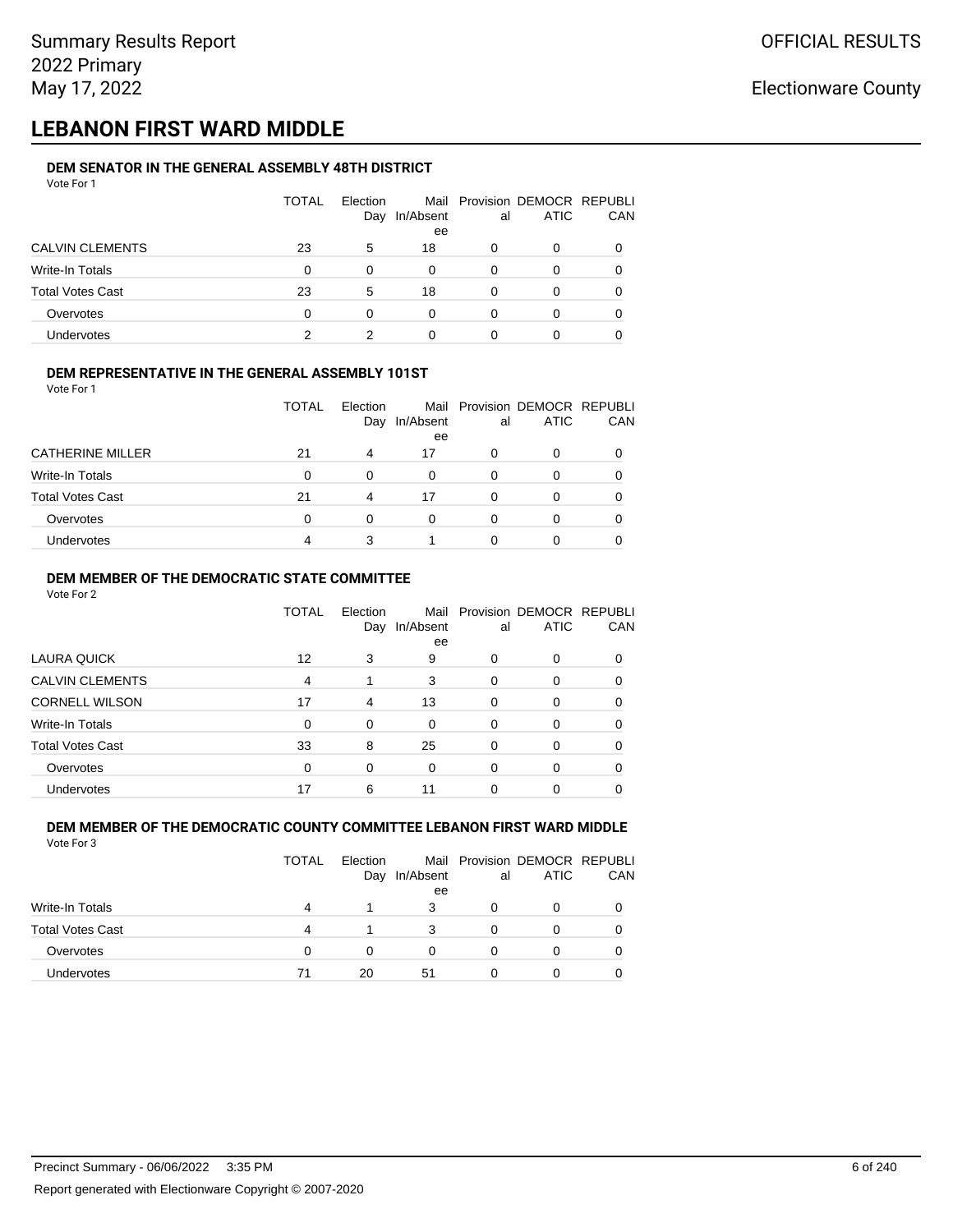## **LEBANON FIRST WARD MIDDLE**

#### **DEM SENATOR IN THE GENERAL ASSEMBLY 48TH DISTRICT** Vote For 1

| 1 U U U                 |              |                 |                 |    |                                              |            |
|-------------------------|--------------|-----------------|-----------------|----|----------------------------------------------|------------|
|                         | <b>TOTAL</b> | Election<br>Day | In/Absent<br>ee | al | Mail Provision DEMOCR REPUBLI<br><b>ATIC</b> | <b>CAN</b> |
| <b>CALVIN CLEMENTS</b>  | 23           | 5               | 18              | O  | 0                                            | 0          |
| Write-In Totals         | 0            | $\Omega$        | 0               | 0  | 0                                            | 0          |
| <b>Total Votes Cast</b> | 23           | 5               | 18              | 0  | 0                                            | 0          |
| Overvotes               | 0            | 0               | 0               | O  |                                              | 0          |
| <b>Undervotes</b>       | っ            |                 | 0               |    |                                              |            |

### **DEM REPRESENTATIVE IN THE GENERAL ASSEMBLY 101ST**

Vote For 1

|                         | TOTAL | <b>Flection</b><br>Day | In/Absent | al | Mail Provision DEMOCR REPUBLI<br><b>ATIC</b> | <b>CAN</b> |
|-------------------------|-------|------------------------|-----------|----|----------------------------------------------|------------|
|                         |       |                        | ee        |    |                                              |            |
| <b>CATHERINE MILLER</b> | 21    | 4                      | 17        |    |                                              |            |
| Write-In Totals         | 0     |                        | 0         |    |                                              | 0          |
| <b>Total Votes Cast</b> | 21    | 4                      | 17        |    |                                              |            |
| Overvotes               | 0     |                        | 0         |    |                                              | 0          |
| <b>Undervotes</b>       | 4     |                        |           |    |                                              |            |

#### **DEM MEMBER OF THE DEMOCRATIC STATE COMMITTEE**

Vote For 2

|                         | TOTAL    | Election<br>Day | In/Absent<br>ee | al       | Mail Provision DEMOCR REPUBLI<br><b>ATIC</b> | CAN |
|-------------------------|----------|-----------------|-----------------|----------|----------------------------------------------|-----|
| LAURA QUICK             | 12       | 3               | 9               | 0        | $\Omega$                                     | 0   |
| <b>CALVIN CLEMENTS</b>  | 4        |                 | 3               | $\Omega$ | 0                                            |     |
| <b>CORNELL WILSON</b>   | 17       | 4               | 13              | $\Omega$ | $\Omega$                                     | 0   |
| Write-In Totals         | 0        | $\Omega$        | $\Omega$        | $\Omega$ | $\Omega$                                     | 0   |
| <b>Total Votes Cast</b> | 33       | 8               | 25              | $\Omega$ | $\Omega$                                     | 0   |
| Overvotes               | $\Omega$ | $\Omega$        | $\Omega$        | $\Omega$ | $\Omega$                                     | 0   |
| <b>Undervotes</b>       | 17       | 6               | 11              |          |                                              |     |

#### **DEM MEMBER OF THE DEMOCRATIC COUNTY COMMITTEE LEBANON FIRST WARD MIDDLE** Vote For 3

|                         | TOTAL | Election<br>Day | In/Absent<br>ee | al | Mail Provision DEMOCR REPUBLI<br><b>ATIC</b> | CAN |
|-------------------------|-------|-----------------|-----------------|----|----------------------------------------------|-----|
| Write-In Totals         | 4     |                 | 3               |    |                                              |     |
| <b>Total Votes Cast</b> | 4     |                 | 3               |    |                                              |     |
| Overvotes               | 0     | 0               | 0               |    | 0                                            |     |
| <b>Undervotes</b>       | 71    | 20              | 51              |    |                                              |     |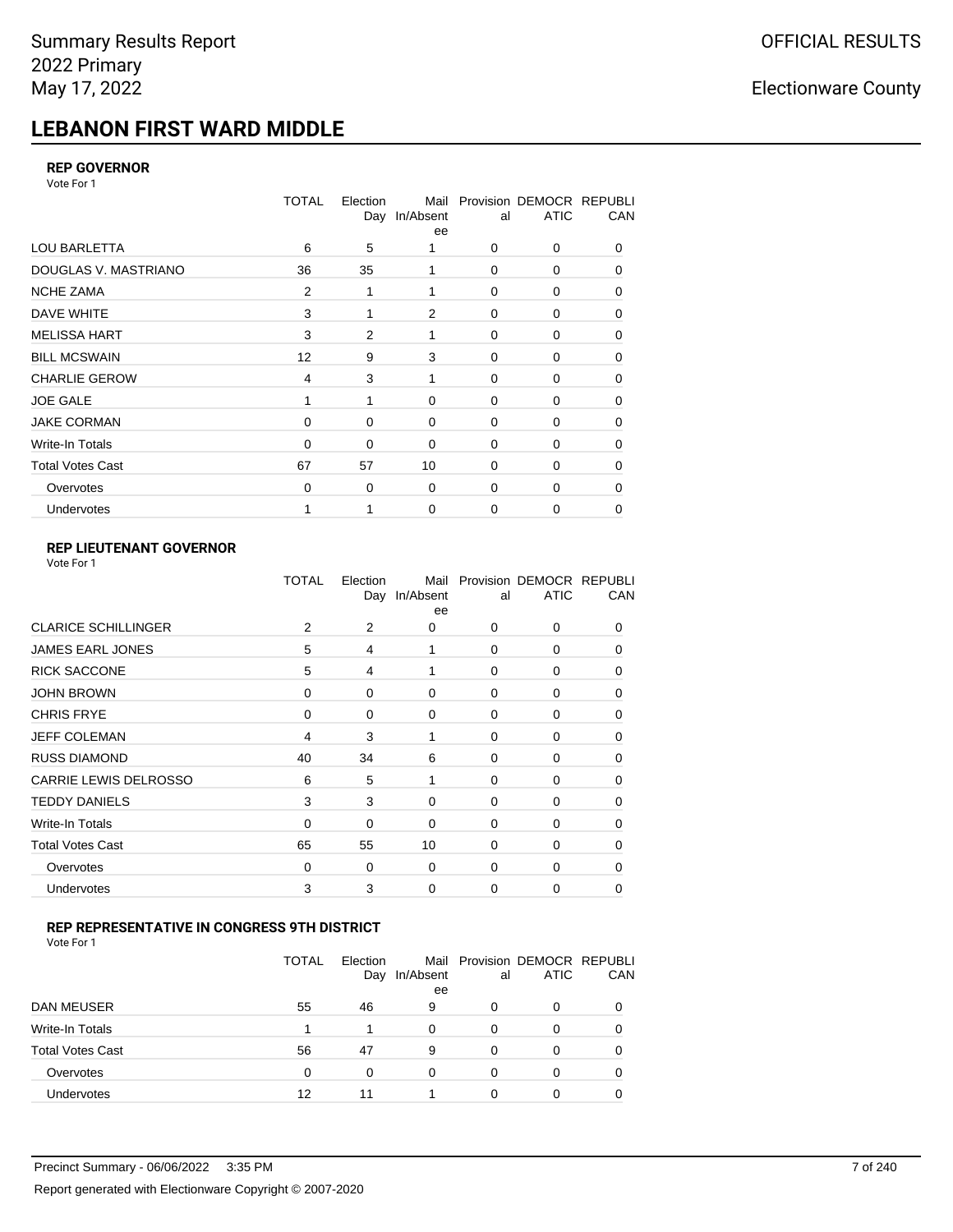# **LEBANON FIRST WARD MIDDLE**

### **REP GOVERNOR**

Vote For 1

|                         | <b>TOTAL</b> | Election<br>Day | Mail<br>In/Absent<br>ee | al          | Provision DEMOCR REPUBLI<br><b>ATIC</b> | CAN |
|-------------------------|--------------|-----------------|-------------------------|-------------|-----------------------------------------|-----|
| <b>LOU BARLETTA</b>     | 6            | 5               |                         | 0           | 0                                       | 0   |
| DOUGLAS V. MASTRIANO    | 36           | 35              |                         | $\Omega$    | 0                                       | 0   |
| <b>NCHE ZAMA</b>        | 2            | 1               | 1                       | 0           | 0                                       | 0   |
| DAVE WHITE              | 3            |                 | 2                       | $\mathbf 0$ | 0                                       | 0   |
| <b>MELISSA HART</b>     | 3            | 2               | 1                       | 0           | 0                                       | 0   |
| <b>BILL MCSWAIN</b>     | 12           | 9               | 3                       | $\mathbf 0$ | 0                                       | 0   |
| <b>CHARLIE GEROW</b>    | 4            | 3               | 1                       | $\Omega$    | $\Omega$                                | 0   |
| <b>JOE GALE</b>         |              |                 | $\mathbf 0$             | $\mathbf 0$ | 0                                       | 0   |
| <b>JAKE CORMAN</b>      | $\Omega$     | 0               | $\Omega$                | 0           | 0                                       | 0   |
| Write-In Totals         | 0            | 0               | $\Omega$                | $\mathbf 0$ | $\Omega$                                | 0   |
| <b>Total Votes Cast</b> | 67           | 57              | 10                      | $\Omega$    | $\Omega$                                | 0   |
| Overvotes               | 0            | 0               | $\mathbf 0$             | $\mathbf 0$ | 0                                       | 0   |
| Undervotes              |              |                 | $\mathbf 0$             | 0           | 0                                       | 0   |

### **REP LIEUTENANT GOVERNOR**

| Vote For 1 |  |
|------------|--|
|------------|--|

|                            | TOTAL | Election | Mail<br>Day In/Absent<br>ee | al       | Provision DEMOCR REPUBLI<br><b>ATIC</b> | CAN          |
|----------------------------|-------|----------|-----------------------------|----------|-----------------------------------------|--------------|
| <b>CLARICE SCHILLINGER</b> | 2     | 2        | 0                           | $\Omega$ | $\Omega$                                | 0            |
| <b>JAMES EARL JONES</b>    | 5     | 4        | 1                           | 0        | 0                                       | 0            |
| <b>RICK SACCONE</b>        | 5     | 4        | 1                           | $\Omega$ | 0                                       | 0            |
| <b>JOHN BROWN</b>          | 0     | $\Omega$ | $\Omega$                    | $\Omega$ | 0                                       | 0            |
| <b>CHRIS FRYE</b>          | 0     | 0        | 0                           | 0        | 0                                       | 0            |
| <b>JEFF COLEMAN</b>        | 4     | 3        | 1                           | 0        | 0                                       | $\Omega$     |
| <b>RUSS DIAMOND</b>        | 40    | 34       | 6                           | 0        | 0                                       | 0            |
| CARRIE LEWIS DELROSSO      | 6     | 5        | 1                           | 0        | 0                                       | 0            |
| <b>TEDDY DANIELS</b>       | 3     | 3        | 0                           | 0        | 0                                       | $\Omega$     |
| Write-In Totals            | 0     | 0        | $\Omega$                    | 0        | 0                                       | 0            |
| <b>Total Votes Cast</b>    | 65    | 55       | 10                          | $\Omega$ | 0                                       | $\Omega$     |
| Overvotes                  | 0     | 0        | 0                           | 0        | 0                                       | <sup>0</sup> |
| Undervotes                 | 3     | 3        | 0                           | $\Omega$ | 0                                       | 0            |
|                            |       |          |                             |          |                                         |              |

### **REP REPRESENTATIVE IN CONGRESS 9TH DISTRICT**

Vote For 1

|                         | <b>TOTAL</b> | Election<br>Day | In/Absent<br>ee | al | Mail Provision DEMOCR REPUBLI<br><b>ATIC</b> | <b>CAN</b> |
|-------------------------|--------------|-----------------|-----------------|----|----------------------------------------------|------------|
| DAN MEUSER              | 55           | 46              | 9               | O  | 0                                            | 0          |
| Write-In Totals         | 1            |                 | $\Omega$        | 0  |                                              | 0          |
| <b>Total Votes Cast</b> | 56           | 47              | 9               | 0  | 0                                            | 0          |
| Overvotes               | 0            | 0               | $\Omega$        | 0  | $\Omega$                                     | 0          |
| <b>Undervotes</b>       | 12           | 11              |                 | 0  |                                              | 0          |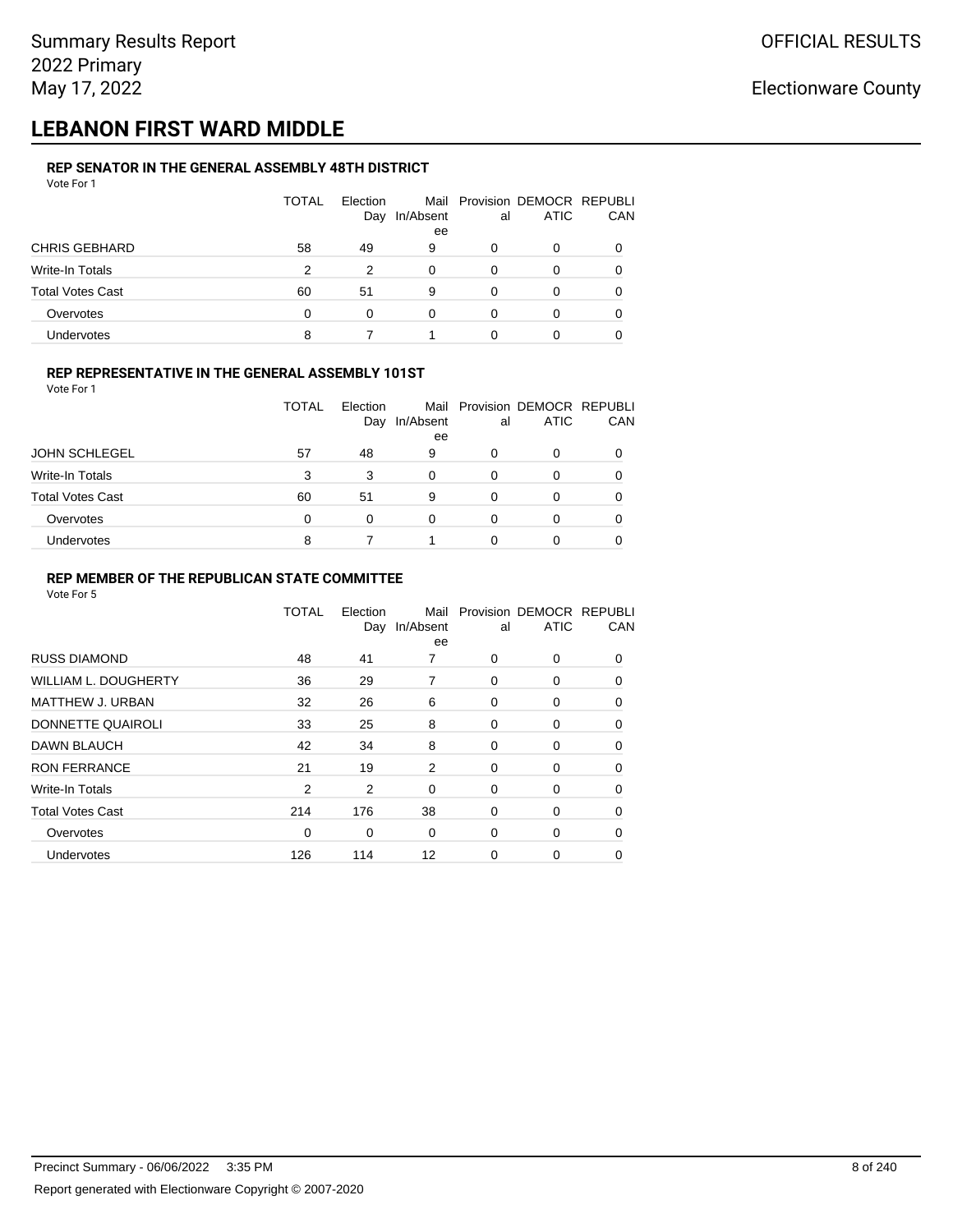## **LEBANON FIRST WARD MIDDLE**

#### **REP SENATOR IN THE GENERAL ASSEMBLY 48TH DISTRICT** Vote For 1

| 1 U U U                 |              |                 |           |    |                                              |     |
|-------------------------|--------------|-----------------|-----------|----|----------------------------------------------|-----|
|                         | <b>TOTAL</b> | Election<br>Day | In/Absent | al | Mail Provision DEMOCR REPUBLI<br><b>ATIC</b> | CAN |
|                         |              |                 | ee        |    |                                              |     |
| <b>CHRIS GEBHARD</b>    | 58           | 49              | 9         | 0  | O                                            |     |
| Write-In Totals         | 2            | 2               | 0         | 0  | 0                                            |     |
| <b>Total Votes Cast</b> | 60           | 51              | 9         | 0  | 0                                            |     |
| Overvotes               | $\Omega$     | 0               | 0         | 0  | 0                                            |     |
| <b>Undervotes</b>       | 8            |                 |           |    | 0                                            |     |

#### **REP REPRESENTATIVE IN THE GENERAL ASSEMBLY 101ST**

Vote For 1

|                         | TOTAL | Election |                 |    | Mail Provision DEMOCR REPUBLI<br><b>ATIC</b> | <b>CAN</b> |
|-------------------------|-------|----------|-----------------|----|----------------------------------------------|------------|
|                         |       | Day      | In/Absent<br>ee | al |                                              |            |
| <b>JOHN SCHLEGEL</b>    | 57    | 48       | 9               | 0  | 0                                            | 0          |
| Write-In Totals         | 3     | 3        | $\Omega$        | 0  |                                              | 0          |
| <b>Total Votes Cast</b> | 60    | 51       | 9               | 0  |                                              | 0          |
| Overvotes               | 0     | 0        | 0               | 0  |                                              | 0          |
| <b>Undervotes</b>       | 8     |          |                 | ი  |                                              | 0          |

#### **REP MEMBER OF THE REPUBLICAN STATE COMMITTEE**

|                         | TOTAL          | Election<br>Day | Mail<br>In/Absent<br>ee | al | Provision DEMOCR REPUBLI<br><b>ATIC</b> | CAN      |
|-------------------------|----------------|-----------------|-------------------------|----|-----------------------------------------|----------|
| <b>RUSS DIAMOND</b>     | 48             | 41              | 7                       | 0  | 0                                       | 0        |
| WILLIAM L. DOUGHERTY    | 36             | 29              | 7                       | 0  | 0                                       | $\Omega$ |
| MATTHEW J. URBAN        | 32             | 26              | 6                       | 0  | 0                                       | 0        |
| DONNETTE QUAIROLI       | 33             | 25              | 8                       | 0  | 0                                       | $\Omega$ |
| <b>DAWN BLAUCH</b>      | 42             | 34              | 8                       | 0  | 0                                       | $\Omega$ |
| <b>RON FERRANCE</b>     | 21             | 19              | 2                       | 0  | 0                                       | $\Omega$ |
| Write-In Totals         | $\overline{2}$ | 2               | $\mathbf 0$             | 0  | 0                                       | 0        |
| <b>Total Votes Cast</b> | 214            | 176             | 38                      | 0  | 0                                       | 0        |
| Overvotes               | 0              | 0               | $\mathbf 0$             | 0  | 0                                       | 0        |
| Undervotes              | 126            | 114             | 12                      | 0  | 0                                       | 0        |
|                         |                |                 |                         |    |                                         |          |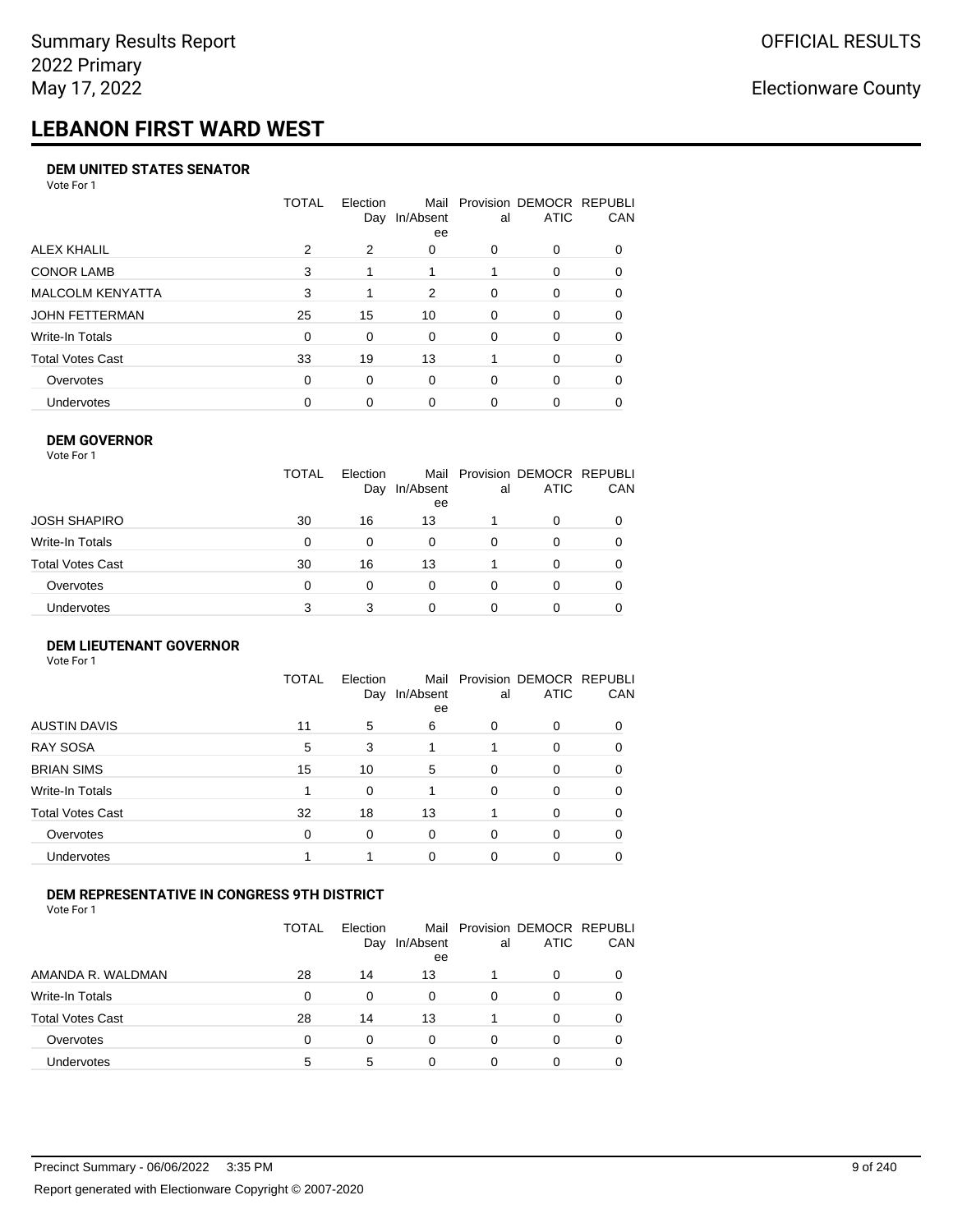# **LEBANON FIRST WARD WEST**

#### **DEM UNITED STATES SENATOR**

Vote For 1

|                         | TOTAL | Election<br>Day | Mail<br>In/Absent<br>ee | al       | Provision DEMOCR REPUBLI<br><b>ATIC</b> | CAN          |
|-------------------------|-------|-----------------|-------------------------|----------|-----------------------------------------|--------------|
| ALEX KHALIL             | 2     | 2               | 0                       | O        | 0                                       | <sup>0</sup> |
| <b>CONOR LAMB</b>       | 3     |                 |                         |          | 0                                       | 0            |
| <b>MALCOLM KENYATTA</b> | 3     |                 | 2                       | $\Omega$ | 0                                       | 0            |
| JOHN FETTERMAN          | 25    | 15              | 10                      | $\Omega$ | 0                                       | $\Omega$     |
| Write-In Totals         | 0     | $\Omega$        | 0                       | $\Omega$ | 0                                       | $\Omega$     |
| Total Votes Cast        | 33    | 19              | 13                      |          | $\Omega$                                | 0            |
| Overvotes               | 0     | 0               | $\Omega$                | $\Omega$ | $\Omega$                                | 0            |
| Undervotes              | 0     | $\Omega$        | 0                       |          | 0                                       |              |

#### **DEM GOVERNOR**

| Vote For 1       |              |                 |                 |          |                                              |     |
|------------------|--------------|-----------------|-----------------|----------|----------------------------------------------|-----|
|                  | <b>TOTAL</b> | Election<br>Day | In/Absent<br>ee | al       | Mail Provision DEMOCR REPUBLI<br><b>ATIC</b> | CAN |
| JOSH SHAPIRO     | 30           | 16              | 13              |          | 0                                            |     |
| Write-In Totals  | 0            | $\Omega$        | 0               | $\Omega$ | 0                                            | 0   |
| Total Votes Cast | 30           | 16              | 13              |          | $\Omega$                                     | 0   |
| Overvotes        | 0            | 0               | $\Omega$        | 0        | 0                                            |     |
| Undervotes       | 3            | 3               | 0               |          | 0                                            |     |

#### **DEM LIEUTENANT GOVERNOR** Vote For 1

|                         | <b>TOTAL</b> | Election<br>Day | In/Absent<br>ee | al       | Mail Provision DEMOCR REPUBLI<br><b>ATIC</b> | CAN      |
|-------------------------|--------------|-----------------|-----------------|----------|----------------------------------------------|----------|
| <b>AUSTIN DAVIS</b>     | 11           | 5               | 6               | 0        | 0                                            | $\Omega$ |
| <b>RAY SOSA</b>         | 5            | 3               |                 |          | 0                                            | 0        |
| <b>BRIAN SIMS</b>       | 15           | 10              | 5               | $\Omega$ | 0                                            | 0        |
| Write-In Totals         |              | $\Omega$        |                 | $\Omega$ | 0                                            | 0        |
| <b>Total Votes Cast</b> | 32           | 18              | 13              |          | 0                                            | $\Omega$ |
| Overvotes               | $\Omega$     | 0               | $\Omega$        | $\Omega$ | 0                                            | 0        |
| <b>Undervotes</b>       |              |                 | $\Omega$        | $\Omega$ | 0                                            | 0        |

### **DEM REPRESENTATIVE IN CONGRESS 9TH DISTRICT**

|                         | TOTAL | <b>Flection</b><br>Day | Mail<br>In/Absent<br>ee | al | Provision DEMOCR REPUBLI<br><b>ATIC</b> | <b>CAN</b> |
|-------------------------|-------|------------------------|-------------------------|----|-----------------------------------------|------------|
| AMANDA R. WALDMAN       | 28    | 14                     | 13                      |    | 0                                       | 0          |
| Write-In Totals         | 0     | 0                      | 0                       | Ω  |                                         | 0          |
| <b>Total Votes Cast</b> | 28    | 14                     | 13                      |    |                                         | 0          |
| Overvotes               | 0     | 0                      | $\Omega$                | 0  | 0                                       | 0          |
| Undervotes              | 5     | 5                      | 0                       |    |                                         |            |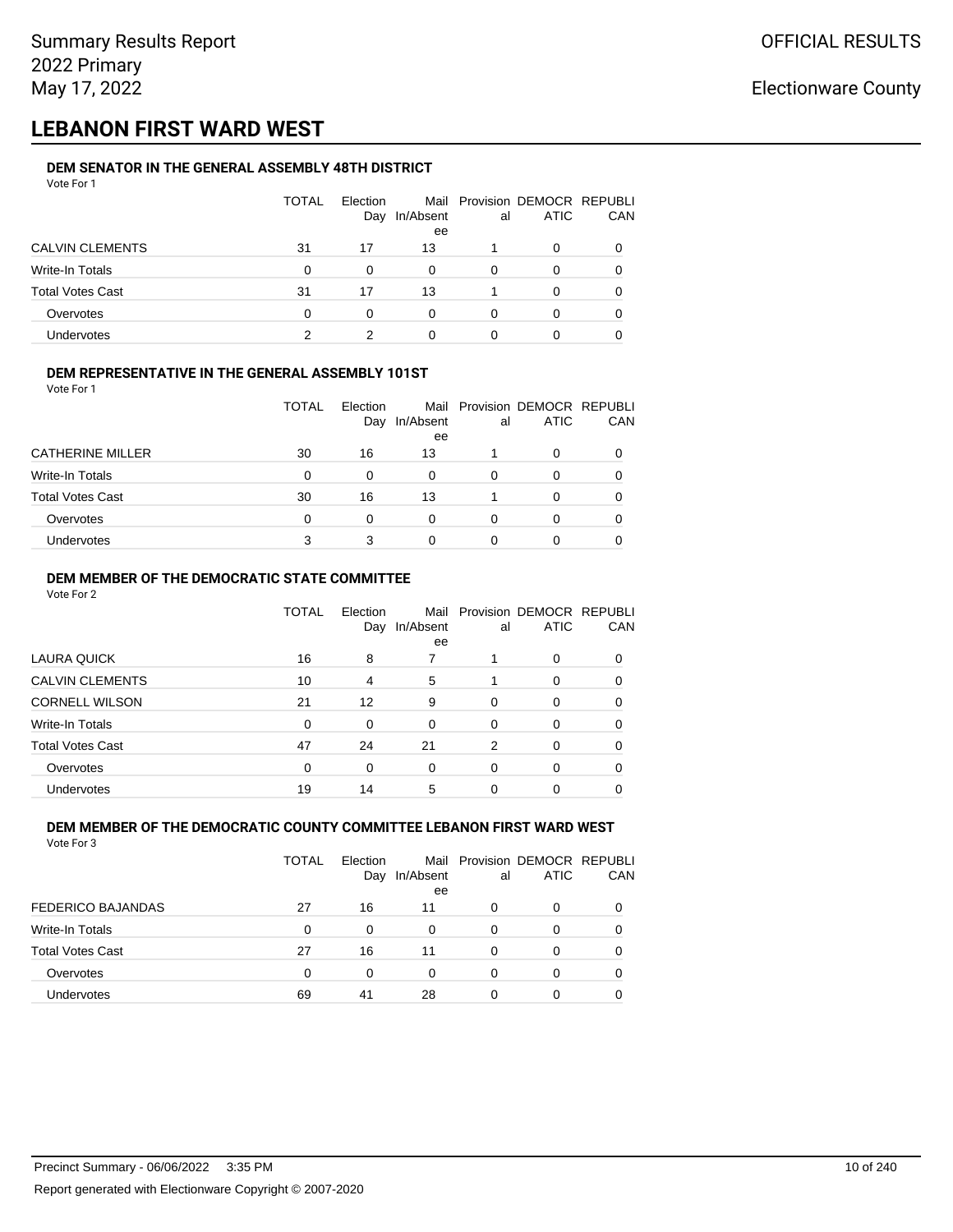## **LEBANON FIRST WARD WEST**

#### **DEM SENATOR IN THE GENERAL ASSEMBLY 48TH DISTRICT** Vote For 1

| 1 U U U                 |              |                 |                 |    |                                              |            |
|-------------------------|--------------|-----------------|-----------------|----|----------------------------------------------|------------|
|                         | <b>TOTAL</b> | Election<br>Day | In/Absent<br>ee | al | Mail Provision DEMOCR REPUBLI<br><b>ATIC</b> | <b>CAN</b> |
| <b>CALVIN CLEMENTS</b>  | 31           | 17              | 13              |    | 0                                            | 0          |
| Write-In Totals         | 0            | $\Omega$        | 0               | 0  | 0                                            | 0          |
| <b>Total Votes Cast</b> | 31           | 17              | 13              |    | <sup>0</sup>                                 | 0          |
| Overvotes               | 0            |                 | 0               | 0  |                                              | 0          |
| <b>Undervotes</b>       | っ            |                 | 0               |    |                                              |            |

### **DEM REPRESENTATIVE IN THE GENERAL ASSEMBLY 101ST**

Vote For 1

|                         | TOTAL | Election<br>Day | In/Absent | al | Mail Provision DEMOCR REPUBLI<br><b>ATIC</b> | <b>CAN</b> |
|-------------------------|-------|-----------------|-----------|----|----------------------------------------------|------------|
|                         |       |                 | ee        |    |                                              |            |
| <b>CATHERINE MILLER</b> | 30    | 16              | 13        |    |                                              | 0          |
| Write-In Totals         | 0     |                 | 0         | 0  |                                              | 0          |
| <b>Total Votes Cast</b> | 30    | 16              | 13        |    |                                              | 0          |
| Overvotes               | 0     | 0               | 0         | O  |                                              | 0          |
| Undervotes              | 3     |                 | 0         |    |                                              |            |

### **DEM MEMBER OF THE DEMOCRATIC STATE COMMITTEE**

Vote For 2

|                         | TOTAL    | Flection<br>Day | Mail<br>In/Absent<br>ee | al       | Provision DEMOCR REPUBLI<br><b>ATIC</b> | CAN      |
|-------------------------|----------|-----------------|-------------------------|----------|-----------------------------------------|----------|
| LAURA QUICK             | 16       | 8               | 7                       |          | 0                                       | $\Omega$ |
| <b>CALVIN CLEMENTS</b>  | 10       | 4               | 5                       |          | 0                                       |          |
| <b>CORNELL WILSON</b>   | 21       | 12              | 9                       | $\Omega$ | $\Omega$                                |          |
| Write-In Totals         | $\Omega$ | 0               | $\Omega$                | $\Omega$ | 0                                       | 0        |
| <b>Total Votes Cast</b> | 47       | 24              | 21                      | 2        | $\Omega$                                | 0        |
| Overvotes               | $\Omega$ | 0               | $\Omega$                | $\Omega$ | 0                                       |          |
| Undervotes              | 19       | 14              | 5                       | 0        | 0                                       |          |

#### **DEM MEMBER OF THE DEMOCRATIC COUNTY COMMITTEE LEBANON FIRST WARD WEST** Vote For 3

|                          | TOTAL | Flection<br>Day | In/Absent<br>ee | al       | Mail Provision DEMOCR REPUBLI<br><b>ATIC</b> | CAN |
|--------------------------|-------|-----------------|-----------------|----------|----------------------------------------------|-----|
| <b>FEDERICO BAJANDAS</b> | 27    | 16              | 11              | $\Omega$ | 0                                            | 0   |
| Write-In Totals          | 0     | 0               | 0               | 0        | 0                                            |     |
| <b>Total Votes Cast</b>  | 27    | 16              | 11              | 0        | 0                                            | 0   |
| Overvotes                | 0     | 0               | 0               | 0        | $\Omega$                                     |     |
| <b>Undervotes</b>        | 69    | 41              | 28              | 0        | 0                                            |     |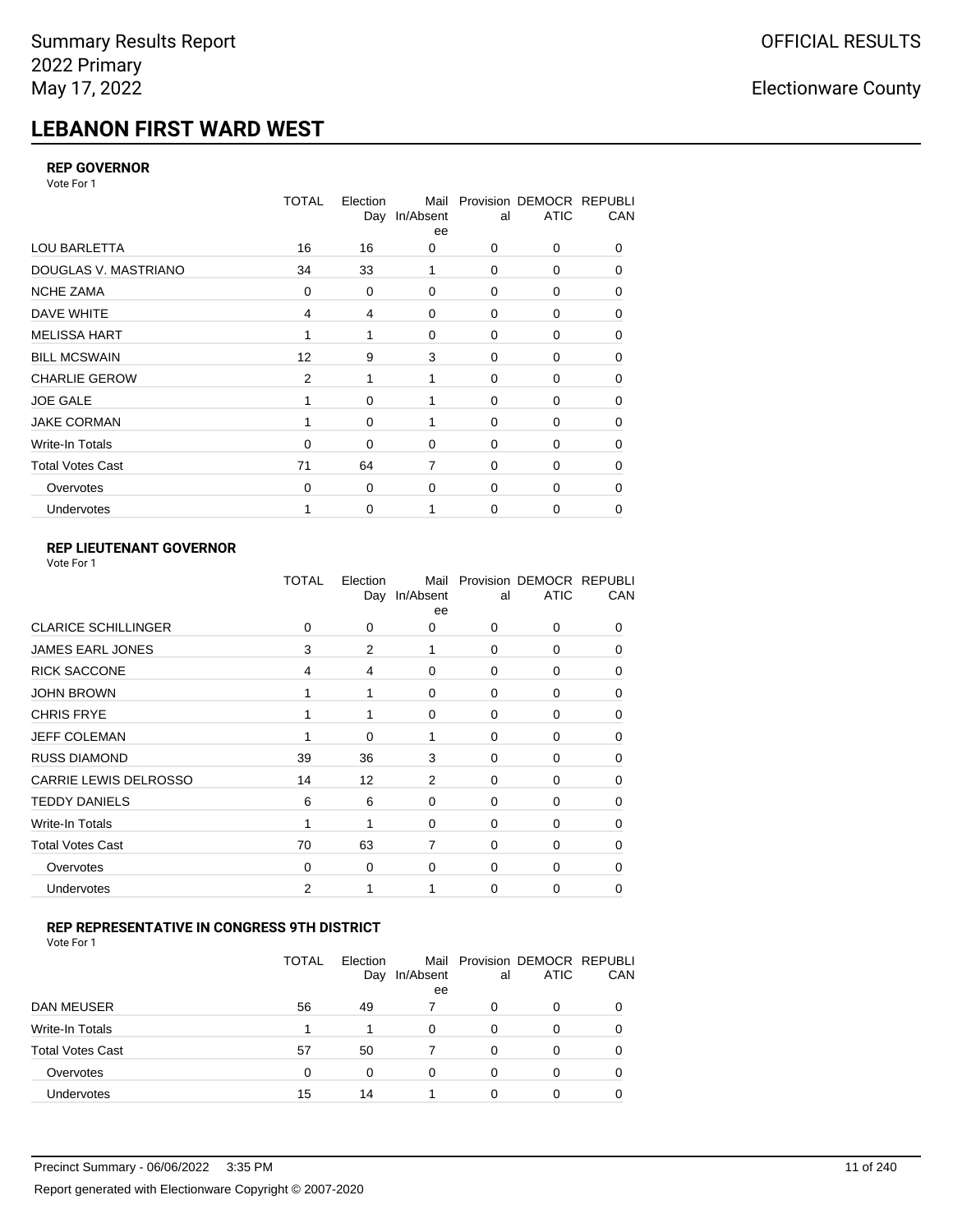# **LEBANON FIRST WARD WEST**

### **REP GOVERNOR**

Vote For 1

|                         | <b>TOTAL</b>   | Election<br>Day | Mail<br>In/Absent<br>ee | al          | Provision DEMOCR REPUBLI<br><b>ATIC</b> | CAN      |
|-------------------------|----------------|-----------------|-------------------------|-------------|-----------------------------------------|----------|
| <b>LOU BARLETTA</b>     | 16             | 16              | 0                       | 0           | 0                                       | 0        |
| DOUGLAS V. MASTRIANO    | 34             | 33              | 1                       | 0           | 0                                       | 0        |
| <b>NCHE ZAMA</b>        | $\Omega$       | 0               | $\Omega$                | $\Omega$    | 0                                       | 0        |
| DAVE WHITE              | $\overline{4}$ | 4               | 0                       | $\mathbf 0$ | 0                                       | 0        |
| <b>MELISSA HART</b>     |                | 1               | $\Omega$                | 0           | 0                                       | 0        |
| <b>BILL MCSWAIN</b>     | 12             | 9               | 3                       | $\mathbf 0$ | 0                                       | 0        |
| <b>CHARLIE GEROW</b>    | $\overline{2}$ | 1               | 1                       | $\Omega$    | $\Omega$                                | 0        |
| <b>JOE GALE</b>         |                | 0               |                         | 0           | 0                                       | 0        |
| <b>JAKE CORMAN</b>      |                | 0               | 1                       | 0           | 0                                       | 0        |
| Write-In Totals         | $\Omega$       | 0               | 0                       | 0           | 0                                       | 0        |
| <b>Total Votes Cast</b> | 71             | 64              | $\overline{7}$          | $\Omega$    | $\Omega$                                | $\Omega$ |
| Overvotes               | $\Omega$       | 0               | 0                       | 0           | 0                                       | 0        |
| Undervotes              |                | 0               |                         | 0           | 0                                       | 0        |

### **REP LIEUTENANT GOVERNOR**

|                              | TOTAL          | Election<br>Day | Mail<br>In/Absent<br>ee | al          | Provision DEMOCR REPUBLI<br><b>ATIC</b> | CAN      |
|------------------------------|----------------|-----------------|-------------------------|-------------|-----------------------------------------|----------|
| <b>CLARICE SCHILLINGER</b>   | $\Omega$       | 0               | 0                       | $\Omega$    | 0                                       | 0        |
| <b>JAMES EARL JONES</b>      | 3              | 2               | 1                       | 0           | 0                                       | 0        |
| <b>RICK SACCONE</b>          | 4              | 4               | $\Omega$                | $\Omega$    | 0                                       | 0        |
| <b>JOHN BROWN</b>            |                | 1               | $\Omega$                | $\Omega$    | 0                                       | 0        |
| <b>CHRIS FRYE</b>            | 1              | 1               | 0                       | 0           | 0                                       | 0        |
| <b>JEFF COLEMAN</b>          |                | 0               | 1                       | 0           | 0                                       | $\Omega$ |
| <b>RUSS DIAMOND</b>          | 39             | 36              | 3                       | 0           | 0                                       | 0        |
| <b>CARRIE LEWIS DELROSSO</b> | 14             | 12              | 2                       | 0           | 0                                       | 0        |
| <b>TEDDY DANIELS</b>         | 6              | 6               | $\Omega$                | 0           | 0                                       | $\Omega$ |
| Write-In Totals              | 1              | 1               | $\Omega$                | 0           | 0                                       | 0        |
| <b>Total Votes Cast</b>      | 70             | 63              | $\overline{7}$          | $\Omega$    | $\Omega$                                | $\Omega$ |
| Overvotes                    | $\mathbf 0$    | 0               | 0                       | $\mathbf 0$ | 0                                       | $\Omega$ |
| Undervotes                   | $\overline{2}$ | 1               |                         | $\Omega$    | 0                                       | 0        |
|                              |                |                 |                         |             |                                         |          |

#### **REP REPRESENTATIVE IN CONGRESS 9TH DISTRICT**

Vote For 1

|                         | <b>TOTAL</b> | Election<br>Day | In/Absent<br>ee | al | Mail Provision DEMOCR REPUBLI<br><b>ATIC</b> | <b>CAN</b> |
|-------------------------|--------------|-----------------|-----------------|----|----------------------------------------------|------------|
| DAN MEUSER              | 56           | 49              |                 | 0  | $\Omega$                                     | 0          |
| Write-In Totals         | 1            |                 | $\Omega$        | 0  |                                              | 0          |
| <b>Total Votes Cast</b> | 57           | 50              |                 | 0  | 0                                            | 0          |
| Overvotes               | 0            | 0               | $\Omega$        | O  | 0                                            | 0          |
| <b>Undervotes</b>       | 15           | 14              |                 |    |                                              |            |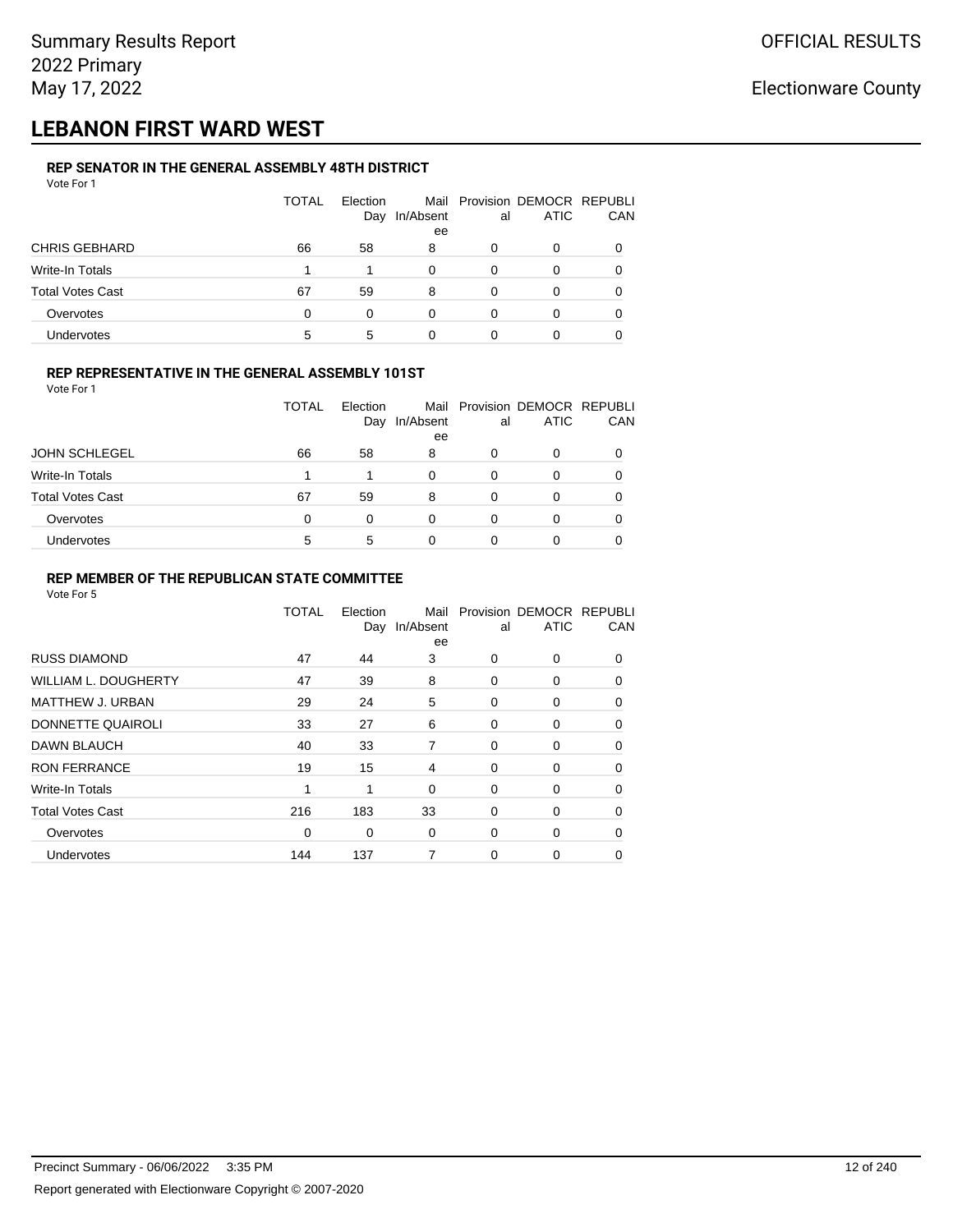## **LEBANON FIRST WARD WEST**

#### **REP SENATOR IN THE GENERAL ASSEMBLY 48TH DISTRICT** Vote For 1

| <u>VULGIUI</u>          |              |          |           |    |                               |     |
|-------------------------|--------------|----------|-----------|----|-------------------------------|-----|
|                         | <b>TOTAL</b> | Election |           |    | Mail Provision DEMOCR REPUBLI |     |
|                         |              | Day      | In/Absent | al | <b>ATIC</b>                   | CAN |
|                         |              |          | ee        |    |                               |     |
| <b>CHRIS GEBHARD</b>    | 66           | 58       | 8         | 0  | O                             |     |
| Write-In Totals         |              |          | 0         | 0  | O                             |     |
| <b>Total Votes Cast</b> | 67           | 59       | 8         | 0  | O                             |     |
| Overvotes               | $\Omega$     | 0        | 0         | 0  | 0                             |     |
| Undervotes              | 5            | 5        |           |    |                               |     |

### **REP REPRESENTATIVE IN THE GENERAL ASSEMBLY 101ST**

Vote For 1

|                         | <b>TOTAL</b> | Election |           |    | Mail Provision DEMOCR REPUBLI |            |
|-------------------------|--------------|----------|-----------|----|-------------------------------|------------|
|                         |              | Day      | In/Absent | al | <b>ATIC</b>                   | <b>CAN</b> |
|                         |              |          | ee        |    |                               |            |
| <b>JOHN SCHLEGEL</b>    | 66           | 58       | 8         | Ω  | <sup>0</sup>                  | 0          |
| Write-In Totals         |              |          | 0         | O  |                               | 0          |
| <b>Total Votes Cast</b> | 67           | 59       | 8         |    |                               | 0          |
| Overvotes               | 0            | 0        | 0         | 0  |                               | 0          |
| Undervotes              | 5            | 5        | 0         |    |                               |            |

#### **REP MEMBER OF THE REPUBLICAN STATE COMMITTEE**

|                         | TOTAL       | Election<br>Day | Mail<br>In/Absent<br>ee | al          | Provision DEMOCR REPUBLI<br><b>ATIC</b> | CAN      |
|-------------------------|-------------|-----------------|-------------------------|-------------|-----------------------------------------|----------|
| <b>RUSS DIAMOND</b>     | 47          | 44              | 3                       | 0           | 0                                       | 0        |
| WILLIAM L. DOUGHERTY    | 47          | 39              | 8                       | 0           | 0                                       | $\Omega$ |
| MATTHEW J. URBAN        | 29          | 24              | 5                       | 0           | 0                                       | 0        |
| DONNETTE QUAIROLI       | 33          | 27              | 6                       | 0           | 0                                       | $\Omega$ |
| <b>DAWN BLAUCH</b>      | 40          | 33              | 7                       | 0           | 0                                       | $\Omega$ |
| <b>RON FERRANCE</b>     | 19          | 15              | 4                       | 0           | 0                                       | $\Omega$ |
| Write-In Totals         | 1           | 1               | $\mathbf 0$             | 0           | 0                                       | 0        |
| <b>Total Votes Cast</b> | 216         | 183             | 33                      | $\mathbf 0$ | 0                                       | 0        |
| Overvotes               | $\mathbf 0$ | 0               | $\mathbf 0$             | 0           | 0                                       | 0        |
| Undervotes              | 144         | 137             | 7                       | 0           | 0                                       | 0        |
|                         |             |                 |                         |             |                                         |          |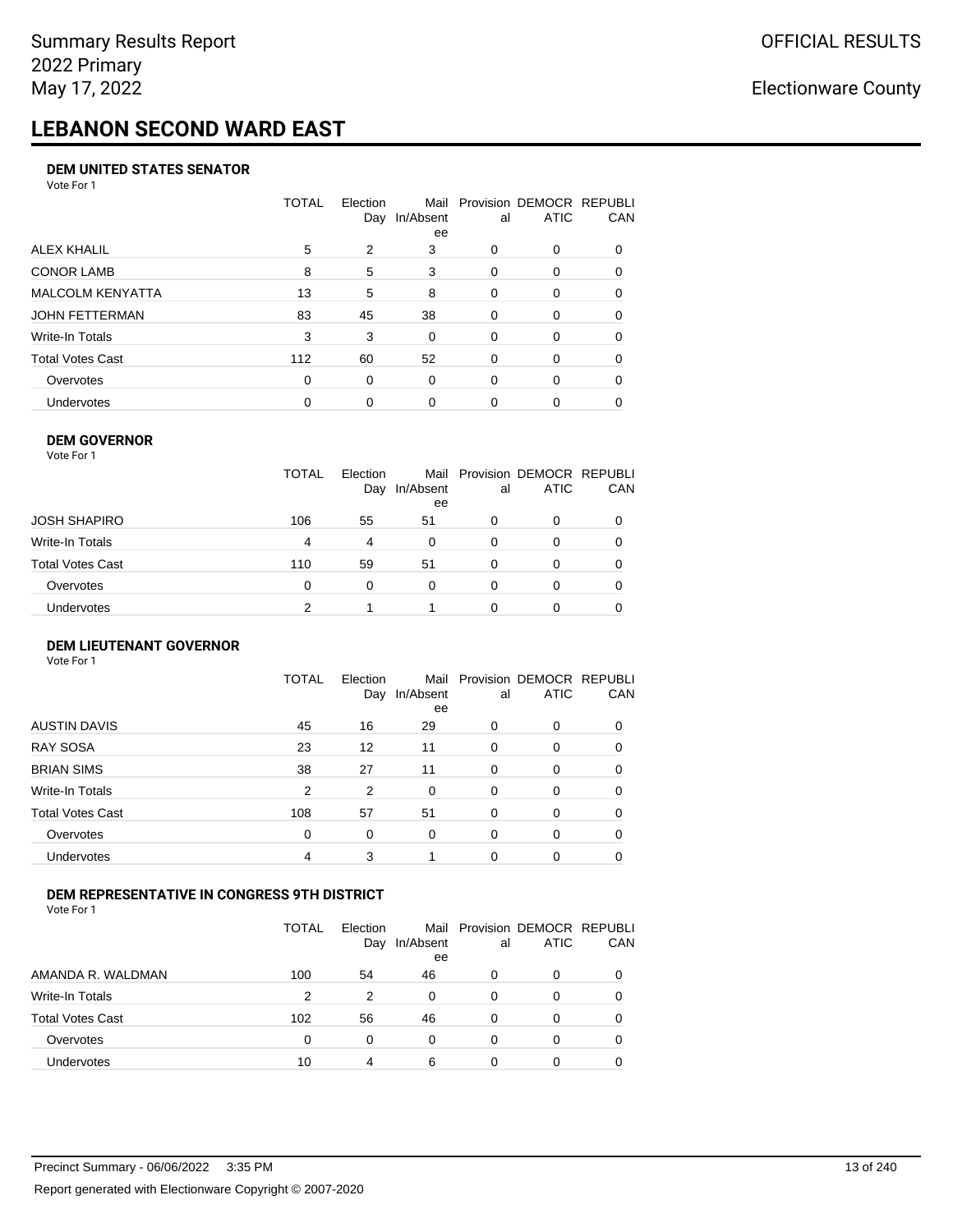# **LEBANON SECOND WARD EAST**

#### **DEM UNITED STATES SENATOR**

Vote For 1

|                         | TOTAL | Election<br>Day | Mail<br>In/Absent<br>ee | al       | Provision DEMOCR REPUBLI<br><b>ATIC</b> | CAN      |
|-------------------------|-------|-----------------|-------------------------|----------|-----------------------------------------|----------|
| ALEX KHALIL             | 5     | 2               | 3                       | 0        | 0                                       |          |
| <b>CONOR LAMB</b>       | 8     | 5               | 3                       | $\Omega$ | $\Omega$                                | 0        |
| <b>MALCOLM KENYATTA</b> | 13    | 5               | 8                       | $\Omega$ | 0                                       | 0        |
| JOHN FETTERMAN          | 83    | 45              | 38                      | $\Omega$ | 0                                       | $\Omega$ |
| Write-In Totals         | 3     | 3               | 0                       | $\Omega$ | 0                                       | $\Omega$ |
| <b>Total Votes Cast</b> | 112   | 60              | 52                      | $\Omega$ | $\Omega$                                | 0        |
| Overvotes               | 0     | 0               | 0                       | $\Omega$ | $\Omega$                                | $\Omega$ |
| <b>Undervotes</b>       | 0     | 0               | $\Omega$                | 0        | 0                                       |          |

#### **DEM GOVERNOR**

| Vote For 1       |              |                 |                 |          |                                              |     |
|------------------|--------------|-----------------|-----------------|----------|----------------------------------------------|-----|
|                  | <b>TOTAL</b> | Election<br>Day | In/Absent<br>ee | al       | Mail Provision DEMOCR REPUBLI<br><b>ATIC</b> | CAN |
| JOSH SHAPIRO     | 106          | 55              | 51              | 0        | 0                                            |     |
| Write-In Totals  | 4            | 4               | 0               | 0        | 0                                            | 0   |
| Total Votes Cast | 110          | 59              | 51              | 0        | 0                                            | 0   |
| Overvotes        | 0            | $\Omega$        | $\Omega$        | $\Omega$ | 0                                            |     |
| Undervotes       | 2            |                 |                 | O        | 0                                            |     |

#### **DEM LIEUTENANT GOVERNOR** Vote For 1

|                         | <b>TOTAL</b>   | Election<br>Day | In/Absent<br>ee | al       | Mail Provision DEMOCR REPUBLI<br><b>ATIC</b> | CAN      |
|-------------------------|----------------|-----------------|-----------------|----------|----------------------------------------------|----------|
| <b>AUSTIN DAVIS</b>     | 45             | 16              | 29              | $\Omega$ | 0                                            | 0        |
| <b>RAY SOSA</b>         | 23             | 12              | 11              | $\Omega$ | 0                                            | 0        |
| <b>BRIAN SIMS</b>       | 38             | 27              | 11              | $\Omega$ | 0                                            | $\Omega$ |
| Write-In Totals         | $\overline{2}$ | 2               | $\Omega$        | $\Omega$ | 0                                            | $\Omega$ |
| <b>Total Votes Cast</b> | 108            | 57              | 51              | $\Omega$ | 0                                            | $\Omega$ |
| Overvotes               | 0              | 0               | $\Omega$        | $\Omega$ | 0                                            | $\Omega$ |
| Undervotes              | 4              | 3               |                 | $\Omega$ | 0                                            | 0        |

### **DEM REPRESENTATIVE IN CONGRESS 9TH DISTRICT**

|                         | TOTAL | <b>Flection</b><br>Day | Mail<br>In/Absent<br>ee | al | Provision DEMOCR REPUBLI<br><b>ATIC</b> | <b>CAN</b> |
|-------------------------|-------|------------------------|-------------------------|----|-----------------------------------------|------------|
| AMANDA R. WALDMAN       | 100   | 54                     | 46                      | O  | 0                                       | 0          |
| Write-In Totals         | 2     | 2                      | 0                       | 0  | $\Omega$                                | 0          |
| <b>Total Votes Cast</b> | 102   | 56                     | 46                      | 0  | 0                                       | 0          |
| Overvotes               | 0     | 0                      | 0                       | 0  | $\Omega$                                | 0          |
| <b>Undervotes</b>       | 10    | 4                      | 6                       |    |                                         |            |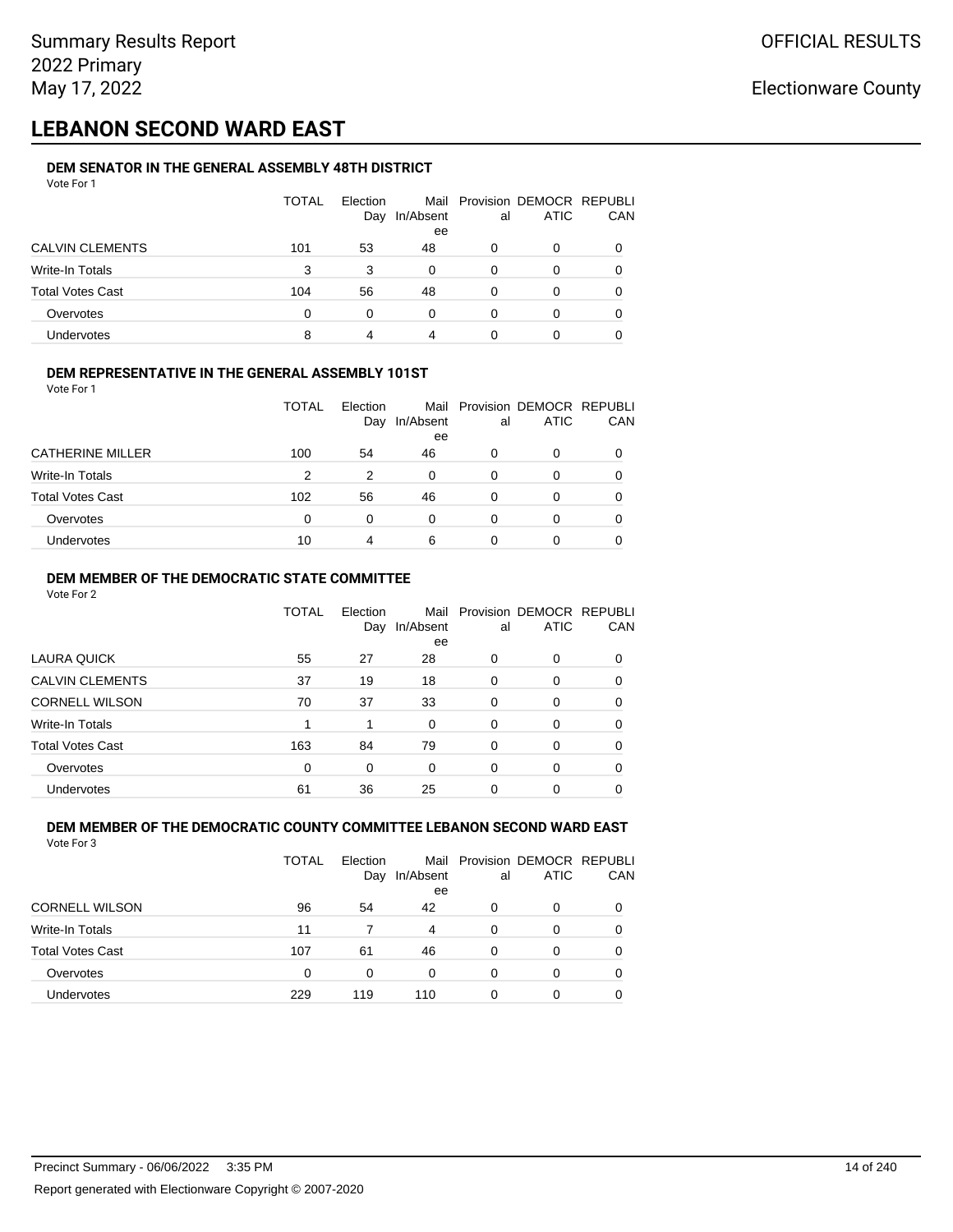## **LEBANON SECOND WARD EAST**

#### **DEM SENATOR IN THE GENERAL ASSEMBLY 48TH DISTRICT** Vote For 1

| .                       |              |                 |                 |    |                                              |     |
|-------------------------|--------------|-----------------|-----------------|----|----------------------------------------------|-----|
|                         | <b>TOTAL</b> | Election<br>Day | In/Absent<br>ee | al | Mail Provision DEMOCR REPUBLI<br><b>ATIC</b> | CAN |
| <b>CALVIN CLEMENTS</b>  | 101          | 53              | 48              | 0  | O                                            |     |
| Write-In Totals         | 3            | 3               | 0               | 0  | O                                            |     |
| <b>Total Votes Cast</b> | 104          | 56              | 48              | 0  | 0                                            |     |
| Overvotes               | $\Omega$     | 0               | 0               | 0  | O                                            |     |
| Undervotes              | 8            |                 | 4               |    | 0                                            |     |

#### **DEM REPRESENTATIVE IN THE GENERAL ASSEMBLY 101ST**

Vote For 1

|                         | <b>TOTAL</b> | Election |           |    | Mail Provision DEMOCR REPUBLI |            |
|-------------------------|--------------|----------|-----------|----|-------------------------------|------------|
|                         |              | Day      | In/Absent | al | <b>ATIC</b>                   | <b>CAN</b> |
|                         |              |          | ee        |    |                               |            |
| <b>CATHERINE MILLER</b> | 100          | 54       | 46        | 0  |                               | 0          |
| Write-In Totals         | 2            | 2        | $\Omega$  | O  |                               | 0          |
| <b>Total Votes Cast</b> | 102          | 56       | 46        | 0  |                               | 0          |
| Overvotes               | 0            | 0        | $\Omega$  | 0  |                               | 0          |
| Undervotes              | 10           | 4        | 6         |    |                               |            |

#### **DEM MEMBER OF THE DEMOCRATIC STATE COMMITTEE**

Vote For 2

|                         | TOTAL    | Election<br>Day | Mail<br>In/Absent<br>ee | al       | Provision DEMOCR REPUBLI<br><b>ATIC</b> | CAN      |
|-------------------------|----------|-----------------|-------------------------|----------|-----------------------------------------|----------|
| LAURA QUICK             | 55       | 27              | 28                      | $\Omega$ | 0                                       | $\Omega$ |
| <b>CALVIN CLEMENTS</b>  | 37       | 19              | 18                      | 0        | 0                                       | 0        |
| <b>CORNELL WILSON</b>   | 70       | 37              | 33                      | $\Omega$ | 0                                       | 0        |
| Write-In Totals         |          | 1               | $\Omega$                | $\Omega$ | 0                                       | $\Omega$ |
| <b>Total Votes Cast</b> | 163      | 84              | 79                      | 0        | 0                                       | 0        |
| Overvotes               | $\Omega$ | $\Omega$        | $\Omega$                | $\Omega$ | 0                                       | $\Omega$ |
| Undervotes              | 61       | 36              | 25                      | 0        | ი                                       |          |

#### **DEM MEMBER OF THE DEMOCRATIC COUNTY COMMITTEE LEBANON SECOND WARD EAST** Vote For 3

| <b>TOTAL</b> | <b>Flection</b><br>Day | In/Absent<br>ee | al | <b>ATIC</b> | CAN                           |
|--------------|------------------------|-----------------|----|-------------|-------------------------------|
| 96           | 54                     | 42              | 0  | 0           |                               |
| 11           |                        | 4               | 0  | O           |                               |
| 107          | 61                     | 46              | 0  | 0           |                               |
| $\Omega$     | 0                      | 0               | 0  | 0           |                               |
| 229          | 119                    | 110             | 0  | 0           |                               |
|              |                        |                 |    |             | Mail Provision DEMOCR REPUBLI |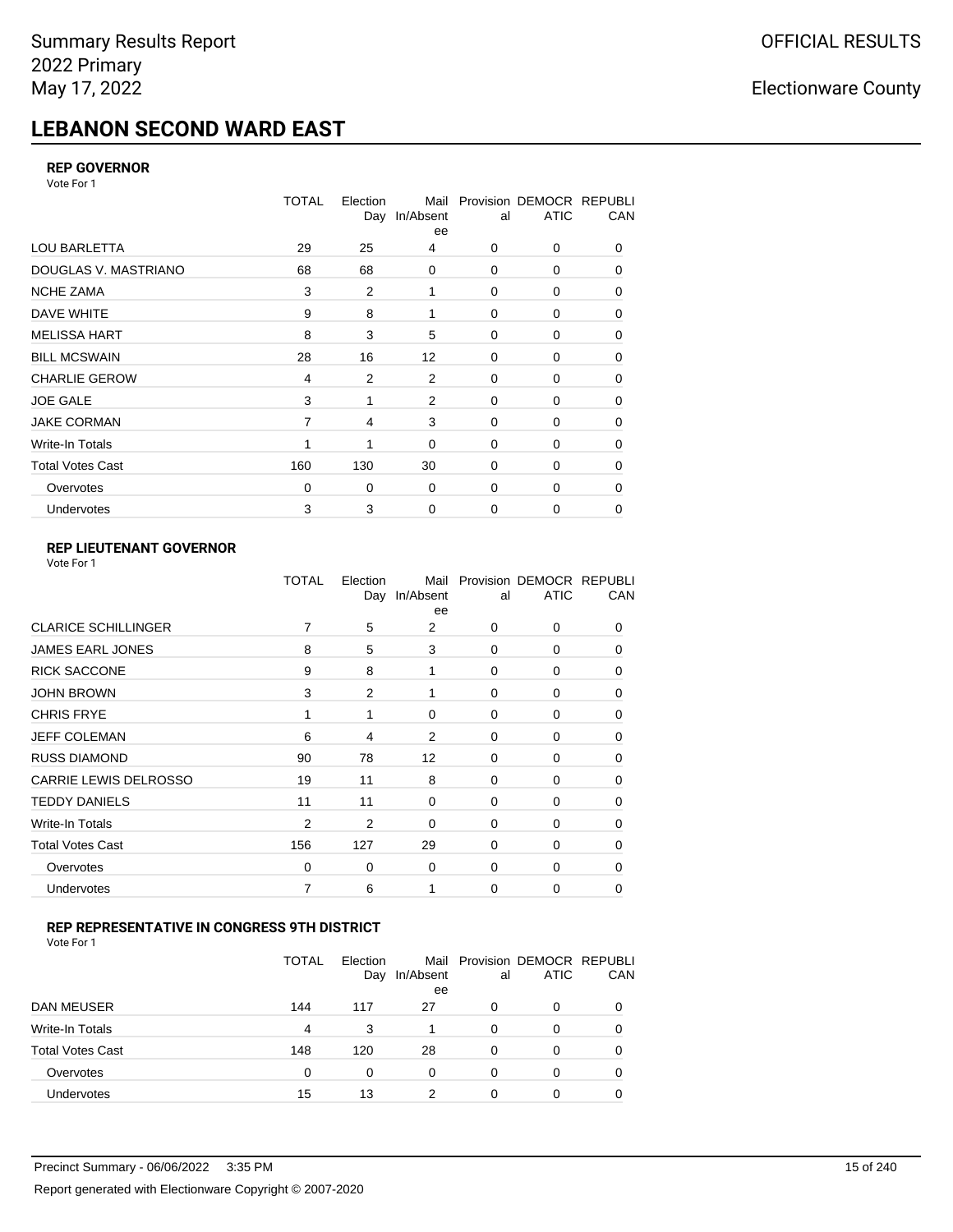# **LEBANON SECOND WARD EAST**

### **REP GOVERNOR**

Vote For 1

|                         | <b>TOTAL</b>   | Election<br>Day | Mail<br>In/Absent<br>ee | al          | Provision DEMOCR REPUBLI<br><b>ATIC</b> | CAN      |
|-------------------------|----------------|-----------------|-------------------------|-------------|-----------------------------------------|----------|
| <b>LOU BARLETTA</b>     | 29             | 25              | 4                       | 0           | 0                                       | 0        |
| DOUGLAS V. MASTRIANO    | 68             | 68              | $\mathbf 0$             | 0           | 0                                       | $\Omega$ |
| <b>NCHE ZAMA</b>        | 3              | 2               | 1                       | 0           | 0                                       | 0        |
| DAVE WHITE              | 9              | 8               | 1                       | 0           | 0                                       | 0        |
| <b>MELISSA HART</b>     | 8              | 3               | 5                       | 0           | 0                                       | 0        |
| <b>BILL MCSWAIN</b>     | 28             | 16              | 12                      | $\mathbf 0$ | 0                                       | 0        |
| <b>CHARLIE GEROW</b>    | 4              | 2               | 2                       | 0           | 0                                       | 0        |
| <b>JOE GALE</b>         | 3              | 1               | 2                       | $\mathbf 0$ | 0                                       | 0        |
| <b>JAKE CORMAN</b>      | $\overline{7}$ | 4               | 3                       | $\mathbf 0$ | 0                                       | 0        |
| Write-In Totals         |                | 1               | $\mathbf 0$             | $\mathbf 0$ | 0                                       | 0        |
| <b>Total Votes Cast</b> | 160            | 130             | 30                      | $\mathbf 0$ | 0                                       | 0        |
| Overvotes               | $\mathbf 0$    | 0               | $\mathbf 0$             | $\mathbf 0$ | 0                                       | 0        |
| Undervotes              | 3              | 3               | $\mathbf 0$             | $\mathbf 0$ | $\Omega$                                | 0        |

### **REP LIEUTENANT GOVERNOR**

| Vote For 1 |  |
|------------|--|
|------------|--|

|                              | TOTAL          | Election | Mail<br>Day In/Absent<br>ee | al       | Provision DEMOCR REPUBLI<br><b>ATIC</b> | CAN      |
|------------------------------|----------------|----------|-----------------------------|----------|-----------------------------------------|----------|
| <b>CLARICE SCHILLINGER</b>   | 7              | 5        | 2                           | 0        | 0                                       | $\Omega$ |
| <b>JAMES EARL JONES</b>      | 8              | 5        | 3                           | 0        | 0                                       | 0        |
| <b>RICK SACCONE</b>          | 9              | 8        | 1                           | $\Omega$ | $\Omega$                                | 0        |
| JOHN BROWN                   | 3              | 2        | 1                           | 0        | 0                                       | 0        |
| <b>CHRIS FRYE</b>            | 1              | 1        | $\Omega$                    | $\Omega$ | $\Omega$                                | 0        |
| <b>JEFF COLEMAN</b>          | 6              | 4        | 2                           | $\Omega$ | 0                                       | 0        |
| <b>RUSS DIAMOND</b>          | 90             | 78       | $12 \overline{ }$           | $\Omega$ | $\Omega$                                | 0        |
| <b>CARRIE LEWIS DELROSSO</b> | 19             | 11       | 8                           | $\Omega$ | 0                                       | 0        |
| <b>TEDDY DANIELS</b>         | 11             | 11       | $\Omega$                    | $\Omega$ | 0                                       | $\Omega$ |
| Write-In Totals              | $\overline{2}$ | 2        | $\Omega$                    | $\Omega$ | $\Omega$                                | $\Omega$ |
| <b>Total Votes Cast</b>      | 156            | 127      | 29                          | $\Omega$ | $\Omega$                                | $\Omega$ |
| Overvotes                    | $\Omega$       | 0        | 0                           | 0        | 0                                       | 0        |
| <b>Undervotes</b>            | 7              | 6        |                             | $\Omega$ | 0                                       | 0        |
|                              |                |          |                             |          |                                         |          |

#### **REP REPRESENTATIVE IN CONGRESS 9TH DISTRICT**

| Vote For 1 |  |  |
|------------|--|--|
|------------|--|--|

|                         | TOTAL          | Election<br>Day | In/Absent<br>ee | al       | Mail Provision DEMOCR REPUBLI<br><b>ATIC</b> | CAN      |
|-------------------------|----------------|-----------------|-----------------|----------|----------------------------------------------|----------|
| DAN MEUSER              | 144            | 117             | 27              | 0        | 0                                            | $\Omega$ |
| Write-In Totals         | $\overline{4}$ | 3               |                 | $\Omega$ | 0                                            |          |
| <b>Total Votes Cast</b> | 148            | 120             | 28              | $\Omega$ | 0                                            |          |
| Overvotes               | 0              | 0               | 0               | 0        | 0                                            | 0        |
| <b>Undervotes</b>       | 15             | 13              | 2               | 0        | 0                                            |          |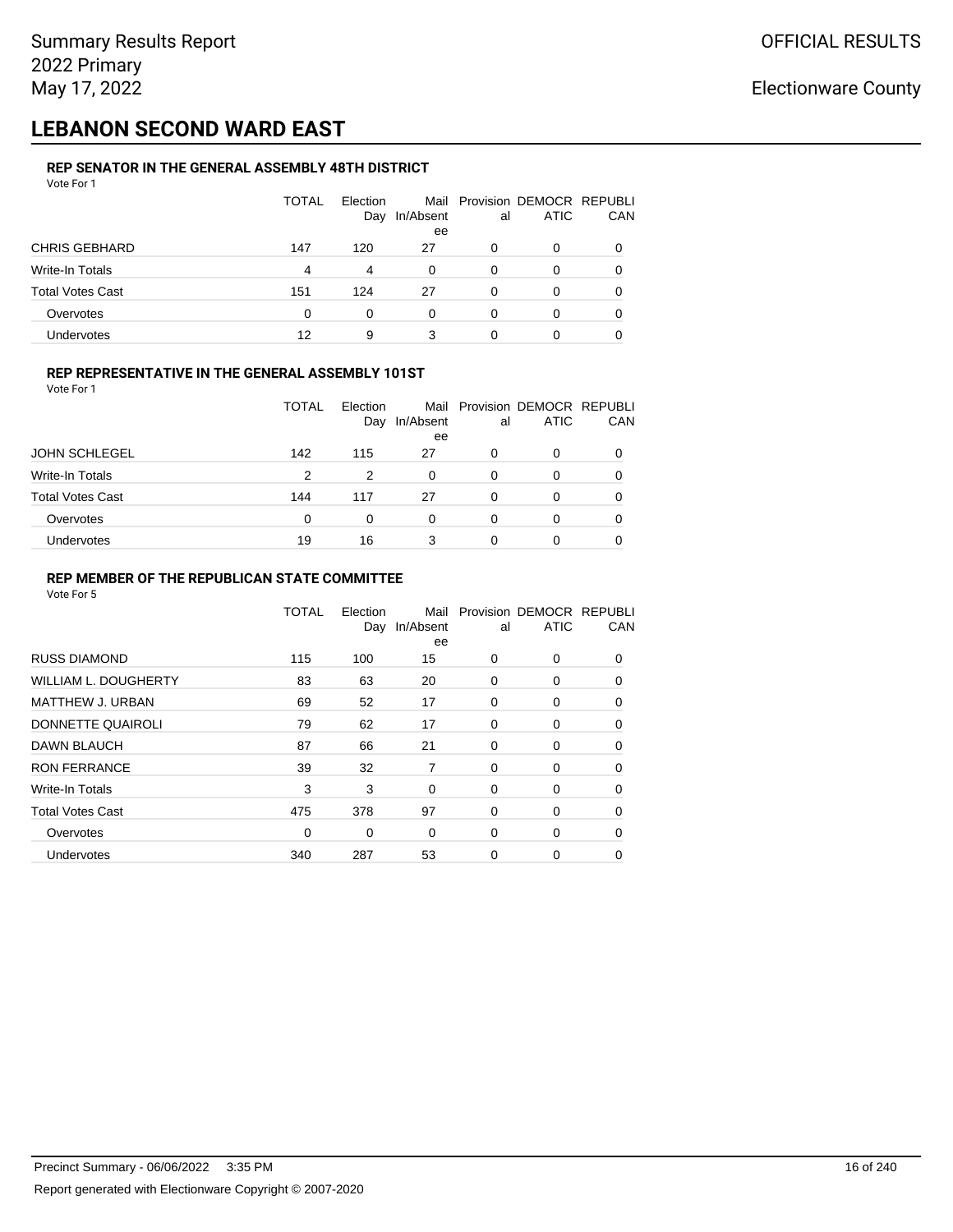## **LEBANON SECOND WARD EAST**

#### **REP SENATOR IN THE GENERAL ASSEMBLY 48TH DISTRICT** Vote For 1

| .                       |              |                 |                 |    |                                              |              |
|-------------------------|--------------|-----------------|-----------------|----|----------------------------------------------|--------------|
|                         | <b>TOTAL</b> | Election<br>Day | In/Absent<br>ee | al | Mail Provision DEMOCR REPUBLI<br><b>ATIC</b> | CAN          |
| <b>CHRIS GEBHARD</b>    | 147          | 120             | 27              | 0  | O                                            |              |
| Write-In Totals         | 4            | 4               | 0               | 0  | O                                            |              |
| <b>Total Votes Cast</b> | 151          | 124             | 27              | 0  | 0                                            | <sup>0</sup> |
| Overvotes               | $\Omega$     | 0               | 0               | 0  | O                                            |              |
| Undervotes              | 12           | 9               | 3               | 0  | 0                                            |              |

### **REP REPRESENTATIVE IN THE GENERAL ASSEMBLY 101ST**

Vote For 1

|                         | TOTAL | Election | Day In/Absent | al | Mail Provision DEMOCR REPUBLI<br><b>ATIC</b> | <b>CAN</b> |
|-------------------------|-------|----------|---------------|----|----------------------------------------------|------------|
|                         |       |          | ee            |    |                                              |            |
| <b>JOHN SCHLEGEL</b>    | 142   | 115      | 27            | 0  |                                              | 0          |
| Write-In Totals         | 2     | 2        | 0             | 0  |                                              | 0          |
| <b>Total Votes Cast</b> | 144   | 117      | 27            | 0  |                                              | 0          |
| Overvotes               | 0     | 0        | 0             | 0  |                                              | 0          |
| <b>Undervotes</b>       | 19    | 16       | 3             | 0  |                                              | 0          |

#### **REP MEMBER OF THE REPUBLICAN STATE COMMITTEE**

|                         | <b>TOTAL</b> | Election<br>Day | Mail<br>In/Absent<br>ee | al       | Provision DEMOCR REPUBLI<br><b>ATIC</b> | CAN      |
|-------------------------|--------------|-----------------|-------------------------|----------|-----------------------------------------|----------|
| <b>RUSS DIAMOND</b>     | 115          | 100             | 15                      | 0        | 0                                       | $\Omega$ |
| WILLIAM L. DOUGHERTY    | 83           | 63              | 20                      | 0        | 0                                       | 0        |
| <b>MATTHEW J. URBAN</b> | 69           | 52              | 17                      | 0        | 0                                       | $\Omega$ |
| DONNETTE QUAIROLI       | 79           | 62              | 17                      | 0        | 0                                       | $\Omega$ |
| DAWN BLAUCH             | 87           | 66              | 21                      | $\Omega$ | 0                                       | $\Omega$ |
| <b>RON FERRANCE</b>     | 39           | 32              | 7                       | 0        | 0                                       | 0        |
| Write-In Totals         | 3            | 3               | 0                       | 0        | 0                                       | 0        |
| <b>Total Votes Cast</b> | 475          | 378             | 97                      | 0        | 0                                       | 0        |
| Overvotes               | 0            | 0               | $\Omega$                | 0        | 0                                       | 0        |
| Undervotes              | 340          | 287             | 53                      | 0        | 0                                       | 0        |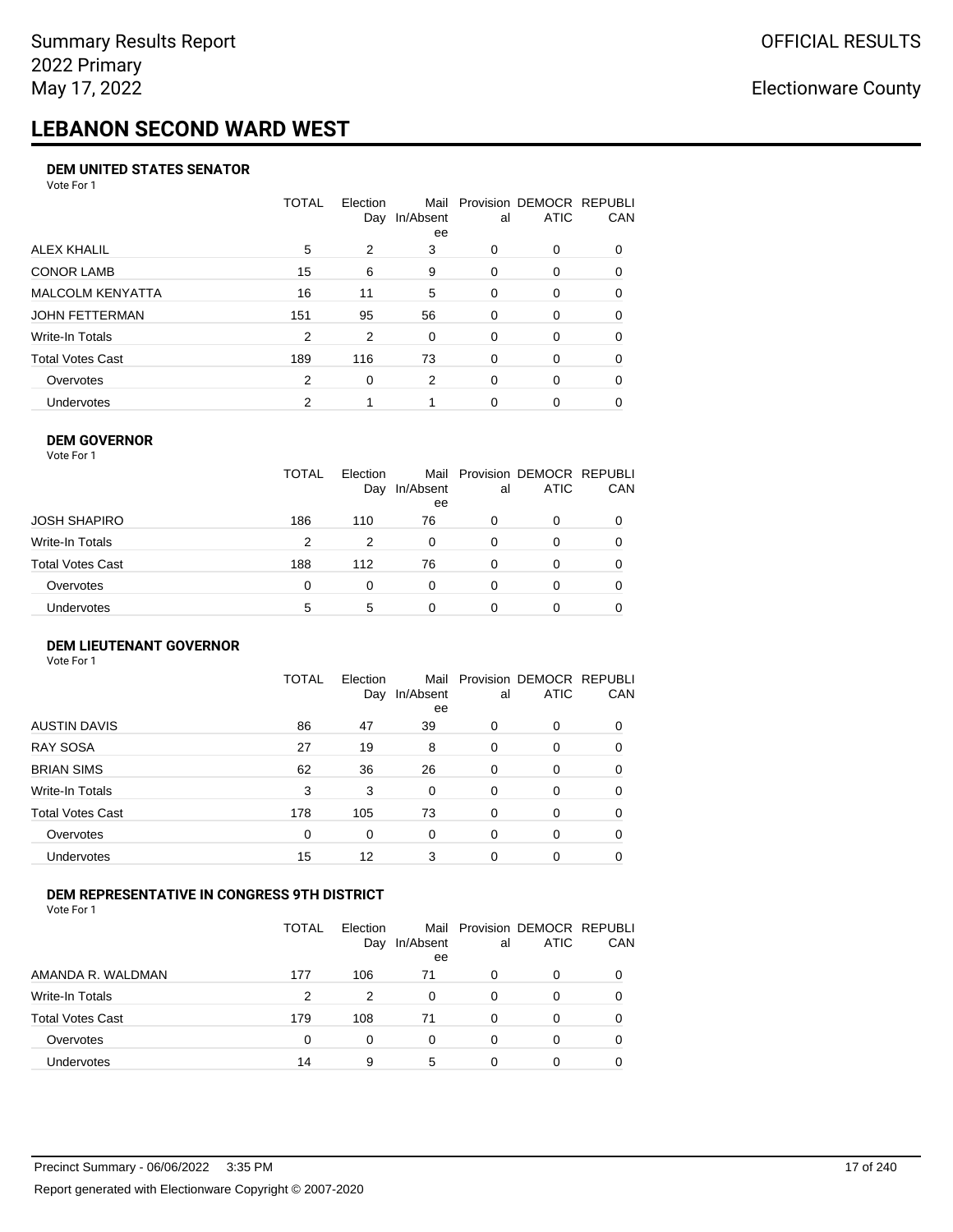# **LEBANON SECOND WARD WEST**

#### **DEM UNITED STATES SENATOR**

Vote For 1

|                         | TOTAL | Election<br>Day | Mail<br>In/Absent<br>ee | al       | Provision DEMOCR REPUBLI<br><b>ATIC</b> | CAN      |
|-------------------------|-------|-----------------|-------------------------|----------|-----------------------------------------|----------|
| ALEX KHALIL             | 5     | 2               | 3                       | $\Omega$ | 0                                       | $\Omega$ |
| <b>CONOR LAMB</b>       | 15    | 6               | 9                       | 0        | 0                                       | 0        |
| <b>MALCOLM KENYATTA</b> | 16    | 11              | 5                       | $\Omega$ | 0                                       | 0        |
| JOHN FETTERMAN          | 151   | 95              | 56                      | $\Omega$ | $\Omega$                                | $\Omega$ |
| Write-In Totals         | 2     | 2               | 0                       | $\Omega$ | 0                                       | 0        |
| Total Votes Cast        | 189   | 116             | 73                      | $\Omega$ | $\Omega$                                | 0        |
| Overvotes               | 2     | $\Omega$        | 2                       | $\Omega$ | $\Omega$                                | 0        |
| Undervotes              | 2     |                 |                         | 0        | 0                                       |          |

#### **DEM GOVERNOR**

| Vote For 1       |              |                 |                         |    |                                         |            |
|------------------|--------------|-----------------|-------------------------|----|-----------------------------------------|------------|
|                  | <b>TOTAL</b> | Election<br>Day | Mail<br>In/Absent<br>ee | al | Provision DEMOCR REPUBLI<br><b>ATIC</b> | <b>CAN</b> |
| JOSH SHAPIRO     | 186          | 110             | 76                      | 0  | 0                                       | 0          |
| Write-In Totals  | 2            | 2               | $\Omega$                | 0  | 0                                       | 0          |
| Total Votes Cast | 188          | 112             | 76                      | 0  | $\Omega$                                | 0          |
| Overvotes        | 0            | 0               | $\Omega$                | 0  | $\Omega$                                | 0          |
| Undervotes       | 5            | 5               | 0                       | 0  |                                         | 0          |

#### **DEM LIEUTENANT GOVERNOR** Vote For 1

|                         | <b>TOTAL</b> | Election<br>Day | In/Absent<br>ee | al       | Mail Provision DEMOCR REPUBLI<br><b>ATIC</b> | CAN      |
|-------------------------|--------------|-----------------|-----------------|----------|----------------------------------------------|----------|
| <b>AUSTIN DAVIS</b>     | 86           | 47              | 39              | $\Omega$ | 0                                            | 0        |
| <b>RAY SOSA</b>         | 27           | 19              | 8               | 0        | 0                                            | 0        |
| <b>BRIAN SIMS</b>       | 62           | 36              | 26              | 0        | 0                                            | $\Omega$ |
| Write-In Totals         | 3            | 3               | $\Omega$        | $\Omega$ | 0                                            | $\Omega$ |
| <b>Total Votes Cast</b> | 178          | 105             | 73              | 0        | 0                                            | $\Omega$ |
| Overvotes               | 0            | 0               | 0               | $\Omega$ | 0                                            | $\Omega$ |
| Undervotes              | 15           | 12              | 3               | $\Omega$ | 0                                            | 0        |

### **DEM REPRESENTATIVE IN CONGRESS 9TH DISTRICT**

Vote For 1

|                         | TOTAL    | <b>Flection</b><br>Day | Mail<br>In/Absent<br>ee | al | Provision DEMOCR REPUBLI<br><b>ATIC</b> | CAN |
|-------------------------|----------|------------------------|-------------------------|----|-----------------------------------------|-----|
| AMANDA R. WALDMAN       | 177      | 106                    | 71                      | 0  | 0                                       |     |
| Write-In Totals         | 2        | 2                      |                         | 0  | 0                                       |     |
| <b>Total Votes Cast</b> | 179      | 108                    | 71                      | 0  | 0                                       |     |
| Overvotes               | $\Omega$ | 0                      | 0                       | 0  | 0                                       |     |
| <b>Undervotes</b>       | 14       | 9                      | 5                       | 0  | 0                                       |     |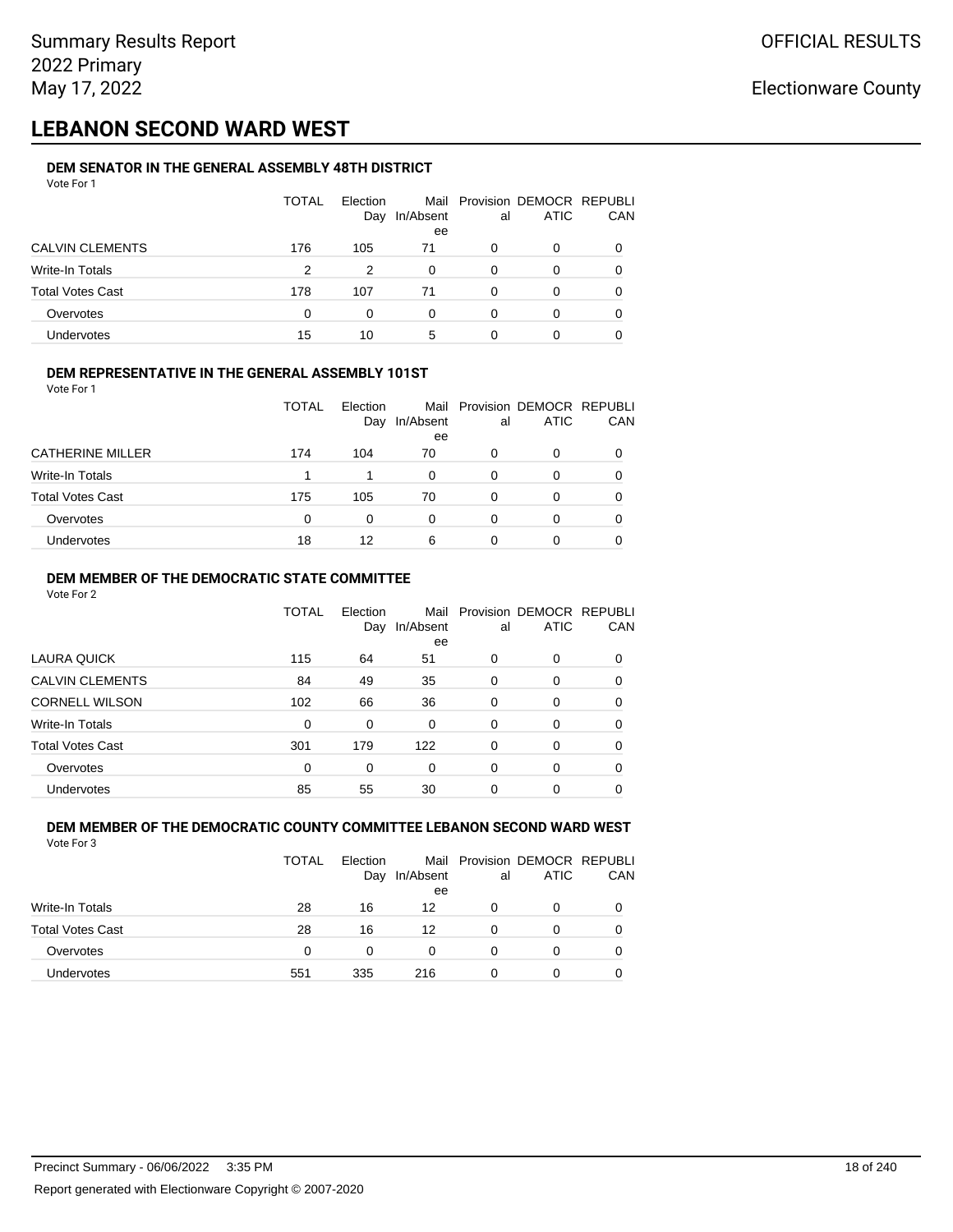## **LEBANON SECOND WARD WEST**

#### **DEM SENATOR IN THE GENERAL ASSEMBLY 48TH DISTRICT** Vote For 1

| 1 U U U U U             |       |                 |                 |    |                                              |            |
|-------------------------|-------|-----------------|-----------------|----|----------------------------------------------|------------|
|                         | TOTAL | Election<br>Day | In/Absent<br>ee | al | Mail Provision DEMOCR REPUBLI<br><b>ATIC</b> | <b>CAN</b> |
| <b>CALVIN CLEMENTS</b>  | 176   | 105             | 71              | 0  | 0                                            | 0          |
| Write-In Totals         | 2     | 2               | 0               | 0  | O                                            | 0          |
| <b>Total Votes Cast</b> | 178   | 107             | 71              | 0  | $\Omega$                                     | 0          |
| Overvotes               | 0     | $\Omega$        | 0               | 0  | 0                                            | 0          |
| Undervotes              | 15    | 10              | 5               | 0  |                                              | 0          |

#### **DEM REPRESENTATIVE IN THE GENERAL ASSEMBLY 101ST**

Vote For 1

|                         | TOTAL | <b>Flection</b><br>Day | In/Absent | al | Mail Provision DEMOCR REPUBLI<br><b>ATIC</b> | <b>CAN</b> |
|-------------------------|-------|------------------------|-----------|----|----------------------------------------------|------------|
|                         |       |                        | ee        |    |                                              |            |
| <b>CATHERINE MILLER</b> | 174   | 104                    | 70        | 0  | 0                                            | 0          |
| Write-In Totals         |       |                        | 0         | 0  |                                              | 0          |
| <b>Total Votes Cast</b> | 175   | 105                    | 70        | 0  |                                              | 0          |
| Overvotes               | 0     | 0                      | 0         | O  |                                              | 0          |
| Undervotes              | 18    | 12                     | 6         | Ω  |                                              | 0          |

### **DEM MEMBER OF THE DEMOCRATIC STATE COMMITTEE**

Vote For 2

|                         | TOTAL | Flection<br>Day | Mail<br>In/Absent<br>ee | al       | Provision DEMOCR REPUBLI<br><b>ATIC</b> | CAN      |
|-------------------------|-------|-----------------|-------------------------|----------|-----------------------------------------|----------|
| LAURA QUICK             | 115   | 64              | 51                      | 0        | 0                                       | 0        |
| <b>CALVIN CLEMENTS</b>  | 84    | 49              | 35                      | $\Omega$ | 0                                       | 0        |
| <b>CORNELL WILSON</b>   | 102   | 66              | 36                      | $\Omega$ | $\Omega$                                | $\Omega$ |
| Write-In Totals         | 0     | 0               | 0                       | 0        | 0                                       | 0        |
| <b>Total Votes Cast</b> | 301   | 179             | 122                     | $\Omega$ | $\Omega$                                | $\Omega$ |
| Overvotes               | 0     | 0               | 0                       | $\Omega$ | 0                                       | $\Omega$ |
| <b>Undervotes</b>       | 85    | 55              | 30                      | 0        | 0                                       |          |

#### **DEM MEMBER OF THE DEMOCRATIC COUNTY COMMITTEE LEBANON SECOND WARD WEST** Vote For 3

|                         | <b>TOTAL</b> | Election<br>Day | In/Absent<br>ee | al | Mail Provision DEMOCR REPUBLI<br>ATIC | CAN |
|-------------------------|--------------|-----------------|-----------------|----|---------------------------------------|-----|
| Write-In Totals         | 28           | 16              | 12              | 0  | 0                                     |     |
| <b>Total Votes Cast</b> | 28           | 16              | 12              | 0  | 0                                     |     |
| Overvotes               | 0            | 0               |                 | 0  | O                                     |     |
| <b>Undervotes</b>       | 551          | 335             | 216             | 0  | 0                                     |     |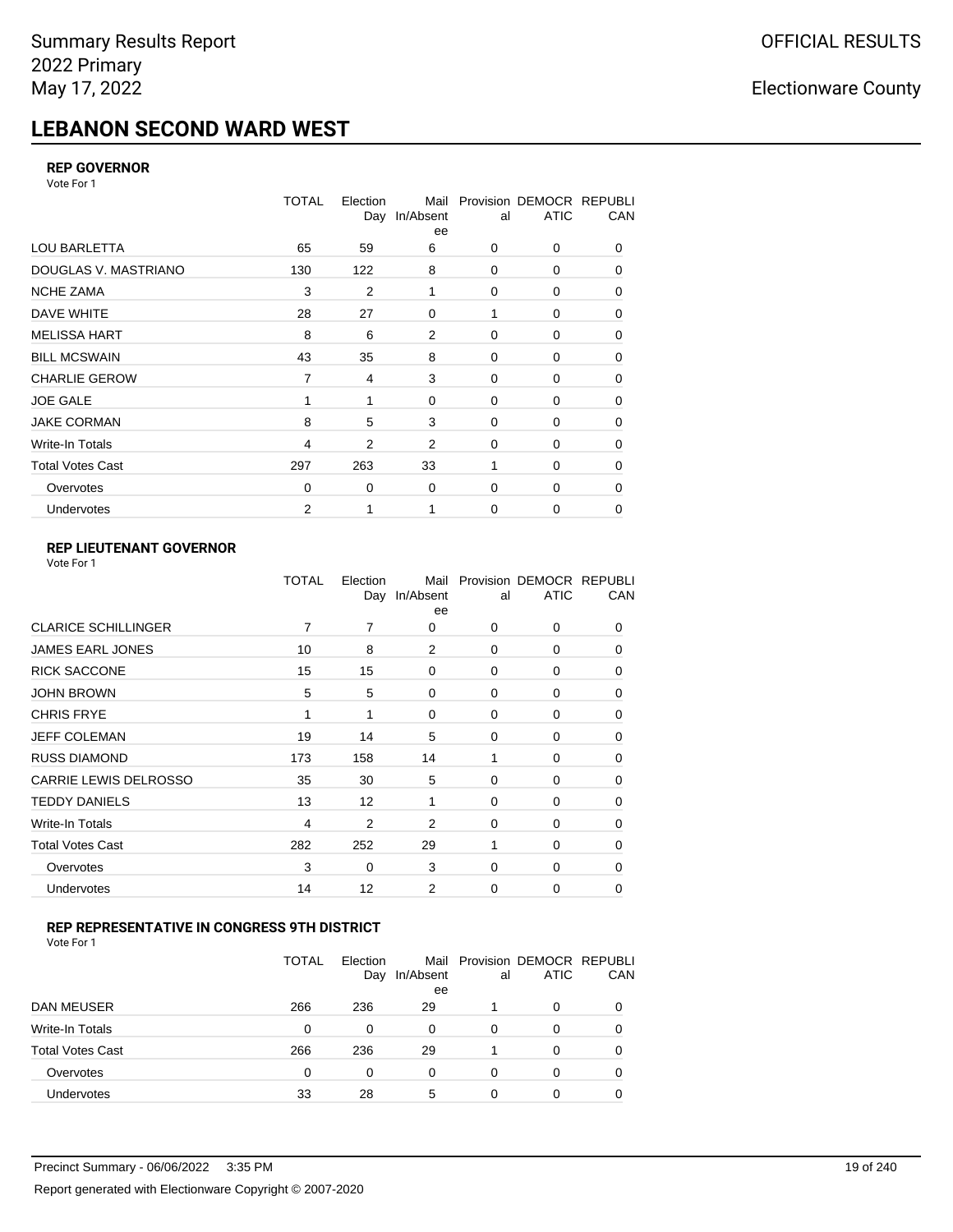# **LEBANON SECOND WARD WEST**

### **REP GOVERNOR**

Vote For 1

|                         | <b>TOTAL</b>   | Election<br>Day | Mail<br>In/Absent<br>ee | al          | Provision DEMOCR REPUBLI<br><b>ATIC</b> | CAN |
|-------------------------|----------------|-----------------|-------------------------|-------------|-----------------------------------------|-----|
| <b>LOU BARLETTA</b>     | 65             | 59              | 6                       | 0           | 0                                       | 0   |
| DOUGLAS V. MASTRIANO    | 130            | 122             | 8                       | $\mathbf 0$ | 0                                       | 0   |
| <b>NCHE ZAMA</b>        | 3              | 2               | 1                       | 0           | 0                                       | 0   |
| DAVE WHITE              | 28             | 27              | $\mathbf 0$             |             | 0                                       | 0   |
| <b>MELISSA HART</b>     | 8              | 6               | 2                       | $\mathbf 0$ | 0                                       | 0   |
| <b>BILL MCSWAIN</b>     | 43             | 35              | 8                       | $\mathbf 0$ | 0                                       | 0   |
| <b>CHARLIE GEROW</b>    | $\overline{7}$ | 4               | 3                       | $\mathbf 0$ | 0                                       | 0   |
| <b>JOE GALE</b>         |                |                 | $\mathbf 0$             | $\mathbf 0$ | 0                                       | 0   |
| <b>JAKE CORMAN</b>      | 8              | 5               | 3                       | $\mathbf 0$ | 0                                       | 0   |
| Write-In Totals         | 4              | 2               | 2                       | $\mathbf 0$ | 0                                       | 0   |
| <b>Total Votes Cast</b> | 297            | 263             | 33                      | 1           | 0                                       | 0   |
| Overvotes               | 0              | 0               | $\mathbf 0$             | 0           | $\Omega$                                | 0   |
| Undervotes              | 2              |                 |                         | 0           | 0                                       | 0   |

### **REP LIEUTENANT GOVERNOR**

|                            | TOTAL | Election | Mail<br>Day In/Absent<br>ee | al          | Provision DEMOCR REPUBLI<br><b>ATIC</b> | CAN      |
|----------------------------|-------|----------|-----------------------------|-------------|-----------------------------------------|----------|
| <b>CLARICE SCHILLINGER</b> | 7     | 7        | 0                           | $\Omega$    | 0                                       | 0        |
| <b>JAMES EARL JONES</b>    | 10    | 8        | 2                           | 0           | 0                                       | 0        |
| <b>RICK SACCONE</b>        | 15    | 15       | 0                           | $\Omega$    | 0                                       | 0        |
| <b>JOHN BROWN</b>          | 5     | 5        | $\Omega$                    | $\Omega$    | 0                                       | 0        |
| <b>CHRIS FRYE</b>          | 1     | 1        | 0                           | 0           | 0                                       | 0        |
| JEFF COLEMAN               | 19    | 14       | 5                           | 0           | 0                                       | 0        |
| <b>RUSS DIAMOND</b>        | 173   | 158      | 14                          | 1           | 0                                       | 0        |
| CARRIE LEWIS DELROSSO      | 35    | 30       | 5                           | 0           | 0                                       | 0        |
| <b>TEDDY DANIELS</b>       | 13    | 12       | 1                           | $\Omega$    | 0                                       | 0        |
| Write-In Totals            | 4     | 2        | 2                           | 0           | 0                                       | $\Omega$ |
| <b>Total Votes Cast</b>    | 282   | 252      | 29                          | 1           | $\Omega$                                | $\Omega$ |
| Overvotes                  | 3     | 0        | 3                           | 0           | 0                                       | $\Omega$ |
| Undervotes                 | 14    | 12       | 2                           | $\mathbf 0$ | 0                                       | 0        |
|                            |       |          |                             |             |                                         |          |

### **REP REPRESENTATIVE IN CONGRESS 9TH DISTRICT**

|                         | TOTAL | Election<br>Day | In/Absent<br>ee | al       | Mail Provision DEMOCR REPUBLI<br><b>ATIC</b> | CAN |
|-------------------------|-------|-----------------|-----------------|----------|----------------------------------------------|-----|
| DAN MEUSER              | 266   | 236             | 29              |          | 0                                            |     |
| Write-In Totals         | 0     | 0               | 0               | 0        | 0                                            |     |
| <b>Total Votes Cast</b> | 266   | 236             | 29              |          | 0                                            |     |
| Overvotes               | 0     | 0               | 0               | $\Omega$ | 0                                            |     |
| Undervotes              | 33    | 28              | 5               | 0        | 0                                            |     |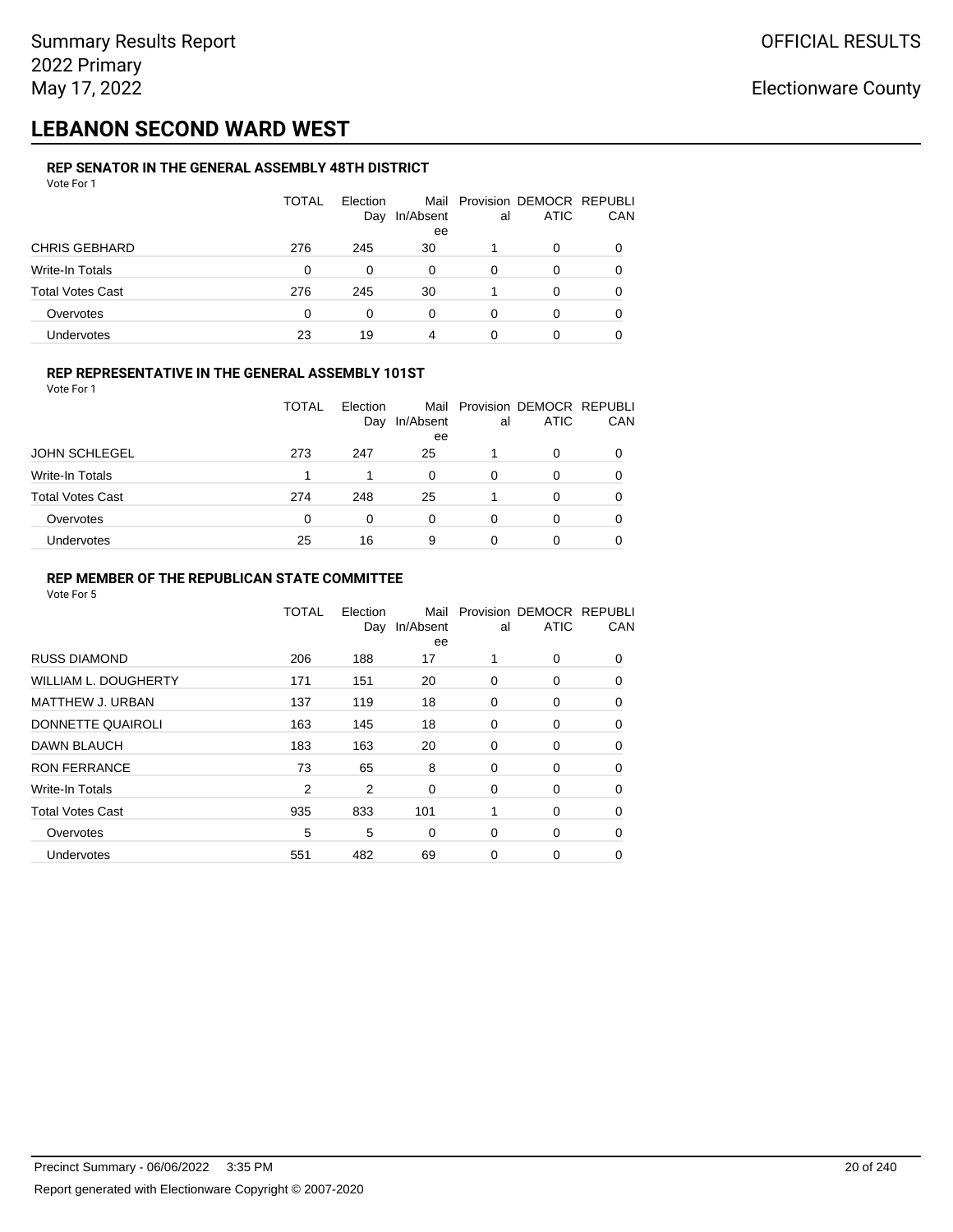## **LEBANON SECOND WARD WEST**

#### **REP SENATOR IN THE GENERAL ASSEMBLY 48TH DISTRICT** Vote For 1

| 1 U U U                 |              |                 |                         |    |                                         |     |
|-------------------------|--------------|-----------------|-------------------------|----|-----------------------------------------|-----|
|                         | <b>TOTAL</b> | Election<br>Day | Mail<br>In/Absent<br>ee | al | Provision DEMOCR REPUBLI<br><b>ATIC</b> | CAN |
| <b>CHRIS GEBHARD</b>    | 276          | 245             | 30                      |    | O                                       |     |
| Write-In Totals         | 0            | 0               | 0                       | 0  | 0                                       |     |
| <b>Total Votes Cast</b> | 276          | 245             | 30                      |    | 0                                       | O   |
| Overvotes               | 0            | 0               | 0                       | 0  | 0                                       |     |
| Undervotes              | 23           | 19              | 4                       |    | 0                                       |     |

#### **REP REPRESENTATIVE IN THE GENERAL ASSEMBLY 101ST**

| Vote For 1 |  |  |
|------------|--|--|
|            |  |  |

|                         | TOTAL | <b>Flection</b><br>Day | In/Absent | al | Mail Provision DEMOCR REPUBLI<br><b>ATIC</b> | <b>CAN</b> |
|-------------------------|-------|------------------------|-----------|----|----------------------------------------------|------------|
|                         |       |                        | ee        |    |                                              |            |
| <b>JOHN SCHLEGEL</b>    | 273   | 247                    | 25        |    | 0                                            | 0          |
| Write-In Totals         |       |                        | 0         | 0  |                                              | 0          |
| <b>Total Votes Cast</b> | 274   | 248                    | 25        |    | 0                                            | 0          |
| Overvotes               | 0     | 0                      | 0         | 0  |                                              | 0          |
| Undervotes              | 25    | 16                     | 9         | Ω  |                                              | 0          |

#### **REP MEMBER OF THE REPUBLICAN STATE COMMITTEE**

|                         | TOTAL | Election<br>Day | Mail<br>In/Absent<br>ee | al | Provision DEMOCR REPUBLI<br><b>ATIC</b> | CAN      |
|-------------------------|-------|-----------------|-------------------------|----|-----------------------------------------|----------|
| <b>RUSS DIAMOND</b>     | 206   | 188             | 17                      |    | $\Omega$                                | $\Omega$ |
| WILLIAM L. DOUGHERTY    | 171   | 151             | 20                      | 0  | 0                                       | 0        |
| MATTHEW J. URBAN        | 137   | 119             | 18                      | 0  | 0                                       | $\Omega$ |
| DONNETTE QUAIROLI       | 163   | 145             | 18                      | 0  | 0                                       | $\Omega$ |
| <b>DAWN BLAUCH</b>      | 183   | 163             | 20                      | 0  | 0                                       | $\Omega$ |
| <b>RON FERRANCE</b>     | 73    | 65              | 8                       | 0  | 0                                       | 0        |
| Write-In Totals         | 2     | 2               | $\mathbf 0$             | 0  | 0                                       | 0        |
| <b>Total Votes Cast</b> | 935   | 833             | 101                     | 1  | 0                                       | 0        |
| Overvotes               | 5     | 5               | $\Omega$                | 0  | 0                                       | 0        |
| Undervotes              | 551   | 482             | 69                      | 0  | 0                                       | 0        |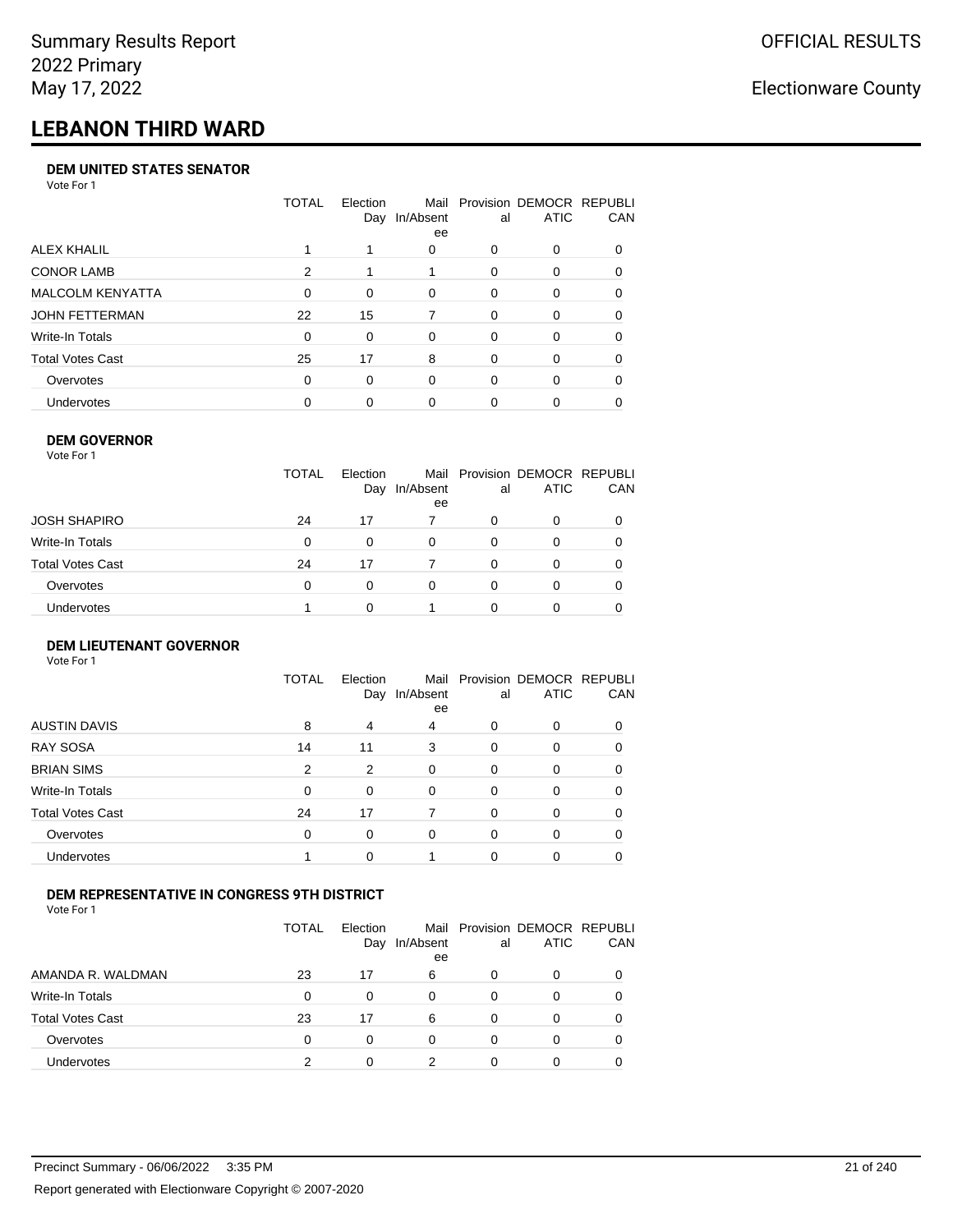# **LEBANON THIRD WARD**

#### **DEM UNITED STATES SENATOR**

Vote For 1

|                         | TOTAL    | Election | Mail<br>Day In/Absent<br>ee | al       | Provision DEMOCR REPUBLI<br><b>ATIC</b> | <b>CAN</b> |
|-------------------------|----------|----------|-----------------------------|----------|-----------------------------------------|------------|
| ALEX KHALIL             |          |          | 0                           | 0        | 0                                       | 0          |
| <b>CONOR LAMB</b>       | 2        |          |                             | 0        | $\Omega$                                | 0          |
| <b>MALCOLM KENYATTA</b> | $\Omega$ | $\Omega$ | $\Omega$                    | 0        | $\Omega$                                | 0          |
| JOHN FETTERMAN          | 22       | 15       | 7                           | $\Omega$ | $\Omega$                                | $\Omega$   |
| Write-In Totals         | $\Omega$ | 0        | $\Omega$                    | 0        | $\Omega$                                | 0          |
| Total Votes Cast        | 25       | 17       | 8                           | 0        | $\Omega$                                | $\Omega$   |
| Overvotes               | 0        | 0        | $\Omega$                    | 0        | $\Omega$                                | 0          |
| <b>Undervotes</b>       | 0        | 0        | 0                           | 0        |                                         | 0          |

#### **DEM GOVERNOR**

| Vote For 1              |              |                 |                 |          |                                              |     |
|-------------------------|--------------|-----------------|-----------------|----------|----------------------------------------------|-----|
|                         | <b>TOTAL</b> | Election<br>Day | In/Absent<br>ee | al       | Mail Provision DEMOCR REPUBLI<br><b>ATIC</b> | CAN |
| <b>JOSH SHAPIRO</b>     | 24           | 17              |                 | 0        | 0                                            |     |
| Write-In Totals         | 0            | 0               | 0               | 0        | 0                                            |     |
| <b>Total Votes Cast</b> | 24           | 17              | 7               | $\Omega$ | 0                                            | 0   |
| Overvotes               | 0            | 0               | $\Omega$        | 0        | 0                                            |     |
| <b>Undervotes</b>       |              |                 |                 | ∩        | Ω                                            |     |

### **DEM LIEUTENANT GOVERNOR**

| Vote For 1              |              |          |                   |          |                                         |          |
|-------------------------|--------------|----------|-------------------|----------|-----------------------------------------|----------|
|                         | <b>TOTAL</b> | Election | Mail<br>In/Absent | al       | Provision DEMOCR REPUBLI<br><b>ATIC</b> | CAN      |
|                         |              | Day      | ee                |          |                                         |          |
| <b>AUSTIN DAVIS</b>     | 8            | 4        | 4                 | 0        | 0                                       | $\Omega$ |
| <b>RAY SOSA</b>         | 14           | 11       | 3                 | 0        | $\Omega$                                | 0        |
| <b>BRIAN SIMS</b>       | 2            | 2        | $\Omega$          | $\Omega$ | 0                                       | 0        |
| Write-In Totals         | $\Omega$     | 0        | 0                 | $\Omega$ | 0                                       | $\Omega$ |
| <b>Total Votes Cast</b> | 24           | 17       | 7                 | 0        | 0                                       | $\Omega$ |
| Overvotes               | $\Omega$     | 0        | $\Omega$          | 0        | 0                                       | $\Omega$ |
| Undervotes              |              | 0        |                   | $\Omega$ | 0                                       |          |
|                         |              |          |                   |          |                                         |          |

### **DEM REPRESENTATIVE IN CONGRESS 9TH DISTRICT**

|                         | TOTAL | <b>Flection</b><br>Day | In/Absent<br>ee | al | Mail Provision DEMOCR REPUBLI<br><b>ATIC</b> | <b>CAN</b> |
|-------------------------|-------|------------------------|-----------------|----|----------------------------------------------|------------|
| AMANDA R. WALDMAN       | 23    | 17                     | 6               | 0  | $\Omega$                                     | 0          |
| <b>Write-In Totals</b>  | 0     | <sup>0</sup>           | 0               | 0  | $\Omega$                                     | 0          |
| <b>Total Votes Cast</b> | 23    | 17                     | 6               | 0  |                                              | 0          |
| Overvotes               | 0     | 0                      | $\Omega$        | O  | $\Omega$                                     | 0          |
| <b>Undervotes</b>       | っ     |                        | າ               |    |                                              |            |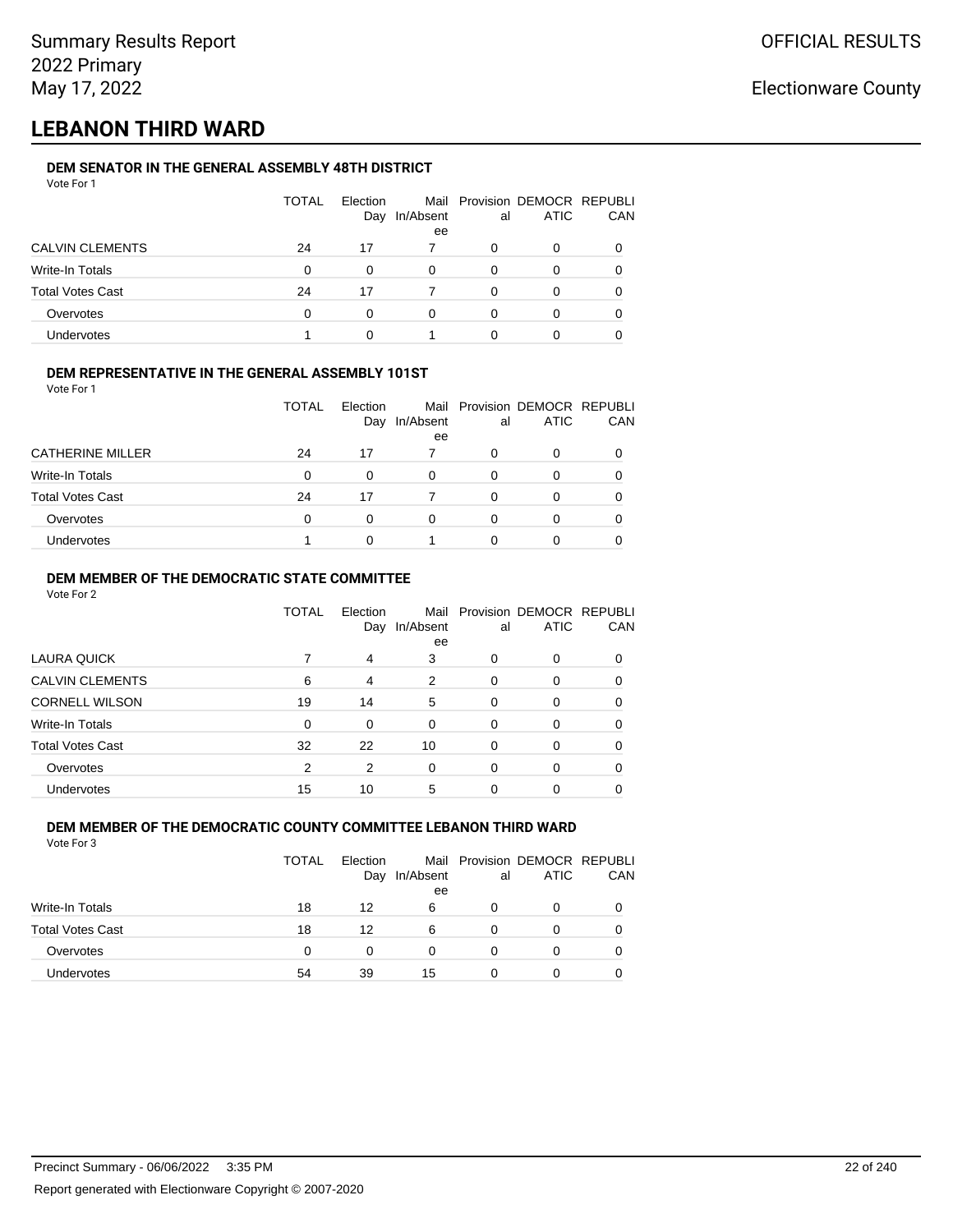## **LEBANON THIRD WARD**

#### **DEM SENATOR IN THE GENERAL ASSEMBLY 48TH DISTRICT** Vote For 1

| <u>VULGIUI</u>          |       |          |                 |    |                               |     |
|-------------------------|-------|----------|-----------------|----|-------------------------------|-----|
|                         | TOTAL | Election |                 |    | Mail Provision DEMOCR REPUBLI |     |
|                         |       | Day      | In/Absent<br>ee | al | <b>ATIC</b>                   | CAN |
| <b>CALVIN CLEMENTS</b>  | 24    | 17       |                 | 0  | 0                             |     |
| Write-In Totals         | 0     | 0        | $\Omega$        | 0  | 0                             |     |
| <b>Total Votes Cast</b> | 24    | 17       |                 | 0  | 0                             |     |
| Overvotes               | 0     | 0        | 0               | 0  | 0                             |     |
| Undervotes              |       | 0        |                 | 0  | 0                             |     |

### **DEM REPRESENTATIVE IN THE GENERAL ASSEMBLY 101ST**

Vote For 1

|                         | TOTAL | <b>Flection</b><br>Day | In/Absent | al | Mail Provision DEMOCR REPUBLI<br><b>ATIC</b> | <b>CAN</b> |
|-------------------------|-------|------------------------|-----------|----|----------------------------------------------|------------|
|                         |       |                        | ee        |    |                                              |            |
| <b>CATHERINE MILLER</b> | 24    | 17                     |           | O  | <sup>0</sup>                                 | 0          |
| Write-In Totals         | 0     |                        | 0         | O  |                                              | 0          |
| <b>Total Votes Cast</b> | 24    | 17                     |           | ∩  | O                                            | 0          |
| Overvotes               | 0     |                        | 0         |    |                                              | 0          |
| <b>Undervotes</b>       |       |                        |           |    |                                              |            |

### **DEM MEMBER OF THE DEMOCRATIC STATE COMMITTEE**

Vote For 2

|                         | TOTAL    | Flection<br>Day | Mail<br>In/Absent<br>ee | al       | Provision DEMOCR REPUBLI<br><b>ATIC</b> | CAN |
|-------------------------|----------|-----------------|-------------------------|----------|-----------------------------------------|-----|
| LAURA QUICK             | 7        | 4               | 3                       | $\Omega$ | $\Omega$                                | 0   |
| <b>CALVIN CLEMENTS</b>  | 6        | 4               | 2                       | $\Omega$ | 0                                       | 0   |
| <b>CORNELL WILSON</b>   | 19       | 14              | 5                       | $\Omega$ | $\Omega$                                | 0   |
| Write-In Totals         | $\Omega$ | $\Omega$        | $\Omega$                | $\Omega$ | $\Omega$                                | 0   |
| <b>Total Votes Cast</b> | 32       | 22              | 10                      | $\Omega$ | $\Omega$                                | 0   |
| Overvotes               | 2        | 2               | $\Omega$                | $\Omega$ | $\Omega$                                | 0   |
| Undervotes              | 15       | 10              | 5                       | $\Omega$ | $\Omega$                                |     |

#### **DEM MEMBER OF THE DEMOCRATIC COUNTY COMMITTEE LEBANON THIRD WARD** Vote For 3

|                         | TOTAL    | Election<br>Day | In/Absent<br>ee | al | Mail Provision DEMOCR REPUBLI<br>ATIC | CAN |
|-------------------------|----------|-----------------|-----------------|----|---------------------------------------|-----|
| Write-In Totals         | 18       | 12              | 6               | O  | 0                                     |     |
| <b>Total Votes Cast</b> | 18       | 12              | 6               | Ω  | 0                                     |     |
| Overvotes               | $\Omega$ | 0               |                 | Ω  | 0                                     |     |
| <b>Undervotes</b>       | 54       | 39              | 15              | O  | 0                                     |     |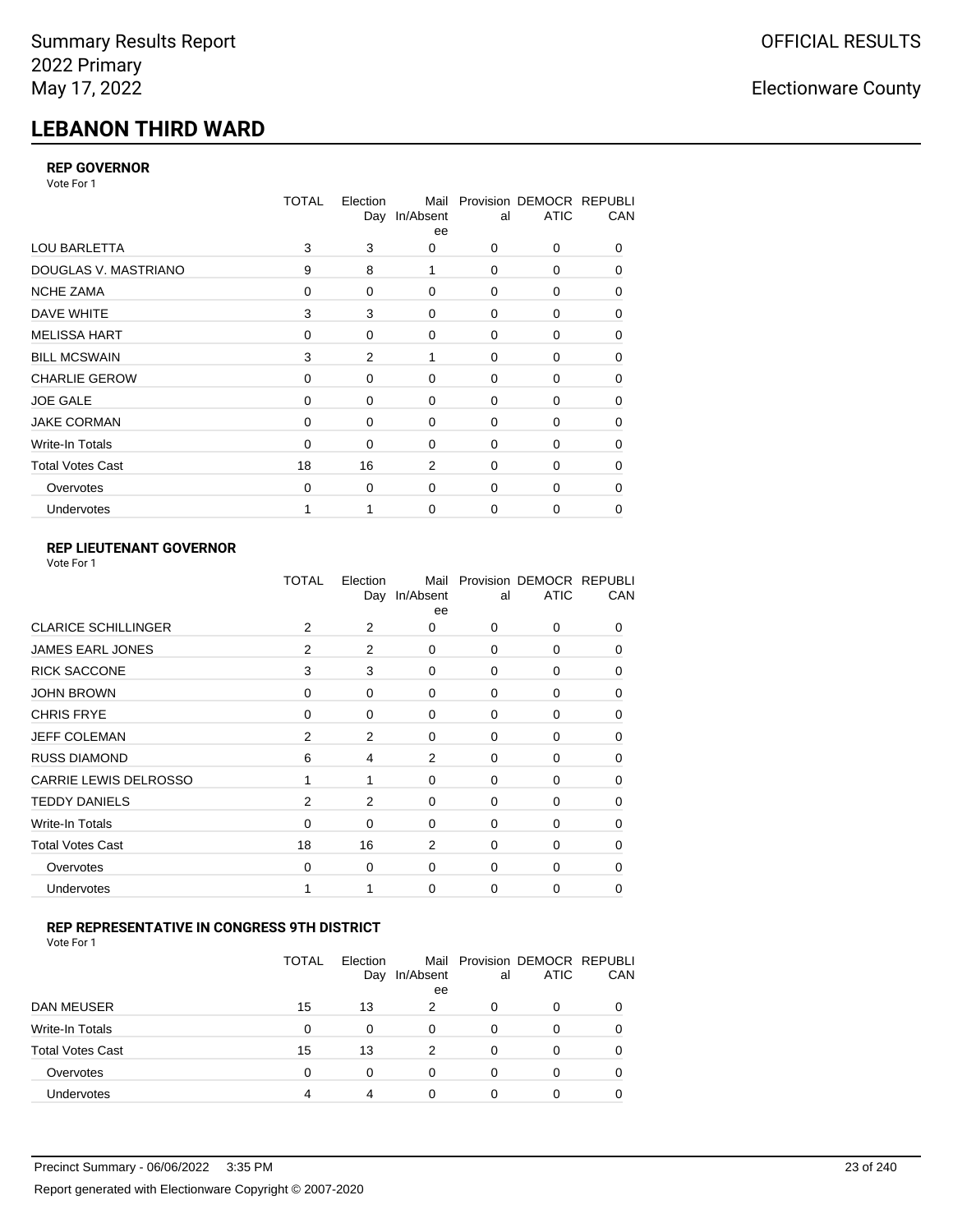# **LEBANON THIRD WARD**

### **REP GOVERNOR**

Vote For 1

|                         | <b>TOTAL</b> | Election | Mail<br>Day In/Absent<br>ee | al          | Provision DEMOCR REPUBLI<br><b>ATIC</b> | CAN      |
|-------------------------|--------------|----------|-----------------------------|-------------|-----------------------------------------|----------|
| <b>LOU BARLETTA</b>     | 3            | 3        | $\Omega$                    | 0           | 0                                       | 0        |
| DOUGLAS V. MASTRIANO    | 9            | 8        | 1                           | 0           | 0                                       | 0        |
| <b>NCHE ZAMA</b>        | 0            | 0        | $\mathbf 0$                 | 0           | 0                                       | 0        |
| DAVE WHITE              | 3            | 3        | $\mathbf 0$                 | 0           | 0                                       | 0        |
| <b>MELISSA HART</b>     | 0            | $\Omega$ | $\Omega$                    | $\Omega$    | $\Omega$                                | $\Omega$ |
| <b>BILL MCSWAIN</b>     | 3            | 2        | 1                           | $\mathbf 0$ | 0                                       | 0        |
| <b>CHARLIE GEROW</b>    | $\Omega$     | 0        | $\Omega$                    | $\mathbf 0$ | 0                                       | 0        |
| <b>JOE GALE</b>         | 0            | 0        | $\mathbf 0$                 | 0           | 0                                       | 0        |
| <b>JAKE CORMAN</b>      | $\Omega$     | 0        | $\Omega$                    | $\mathbf 0$ | 0                                       | 0        |
| Write-In Totals         | $\Omega$     | 0        | $\Omega$                    | 0           | $\Omega$                                | 0        |
| <b>Total Votes Cast</b> | 18           | 16       | 2                           | $\Omega$    | $\Omega$                                | $\Omega$ |
| Overvotes               | 0            | 0        | $\mathbf 0$                 | $\mathbf 0$ | $\Omega$                                | 0        |
| Undervotes              |              |          | $\Omega$                    | 0           | 0                                       | 0        |

### **REP LIEUTENANT GOVERNOR**

| Vote For 1 |  |
|------------|--|
|------------|--|

|                            | TOTAL          | Election | Mail<br>Day In/Absent<br>ee | al          | Provision DEMOCR REPUBLI<br><b>ATIC</b> | CAN          |
|----------------------------|----------------|----------|-----------------------------|-------------|-----------------------------------------|--------------|
| <b>CLARICE SCHILLINGER</b> | 2              | 2        | 0                           | $\Omega$    | $\Omega$                                | 0            |
| <b>JAMES EARL JONES</b>    | 2              | 2        | 0                           | 0           | 0                                       | 0            |
| <b>RICK SACCONE</b>        | 3              | 3        | 0                           | $\Omega$    | 0                                       | $\Omega$     |
| <b>JOHN BROWN</b>          | 0              | $\Omega$ | $\Omega$                    | $\Omega$    | 0                                       | 0            |
| <b>CHRIS FRYE</b>          | 0              | 0        | 0                           | 0           | 0                                       | 0            |
| <b>JEFF COLEMAN</b>        | 2              | 2        | 0                           | $\mathbf 0$ | 0                                       | $\Omega$     |
| <b>RUSS DIAMOND</b>        | 6              | 4        | 2                           | 0           | 0                                       | 0            |
| CARRIE LEWIS DELROSSO      |                | 1        | 0                           | $\mathbf 0$ | 0                                       | 0            |
| <b>TEDDY DANIELS</b>       | $\overline{2}$ | 2        | 0                           | 0           | 0                                       | $\Omega$     |
| Write-In Totals            | 0              | 0        | 0                           | $\mathbf 0$ | 0                                       | 0            |
| <b>Total Votes Cast</b>    | 18             | 16       | 2                           | $\Omega$    | $\Omega$                                | $\Omega$     |
| Overvotes                  | 0              | 0        | 0                           | 0           | $\Omega$                                | <sup>0</sup> |
| Undervotes                 | 1              |          | $\Omega$                    | $\Omega$    | 0                                       | 0            |
|                            |                |          |                             |             |                                         |              |

### **REP REPRESENTATIVE IN CONGRESS 9TH DISTRICT**

Vote For 1

|                         | TOTAL | Election<br>Day | Mail<br>In/Absent<br>ee | al | Provision DEMOCR REPUBLI<br><b>ATIC</b> | <b>CAN</b> |
|-------------------------|-------|-----------------|-------------------------|----|-----------------------------------------|------------|
| DAN MEUSER              | 15    | 13              | 2                       | 0  | $\Omega$                                | 0          |
| Write-In Totals         | 0     | 0               | $\Omega$                | 0  |                                         | 0          |
| <b>Total Votes Cast</b> | 15    | 13              | 2                       | 0  | 0                                       | 0          |
| Overvotes               | 0     | 0               | $\Omega$                | 0  | $\Omega$                                | 0          |
| <b>Undervotes</b>       | 4     | 4               | 0                       | 0  |                                         |            |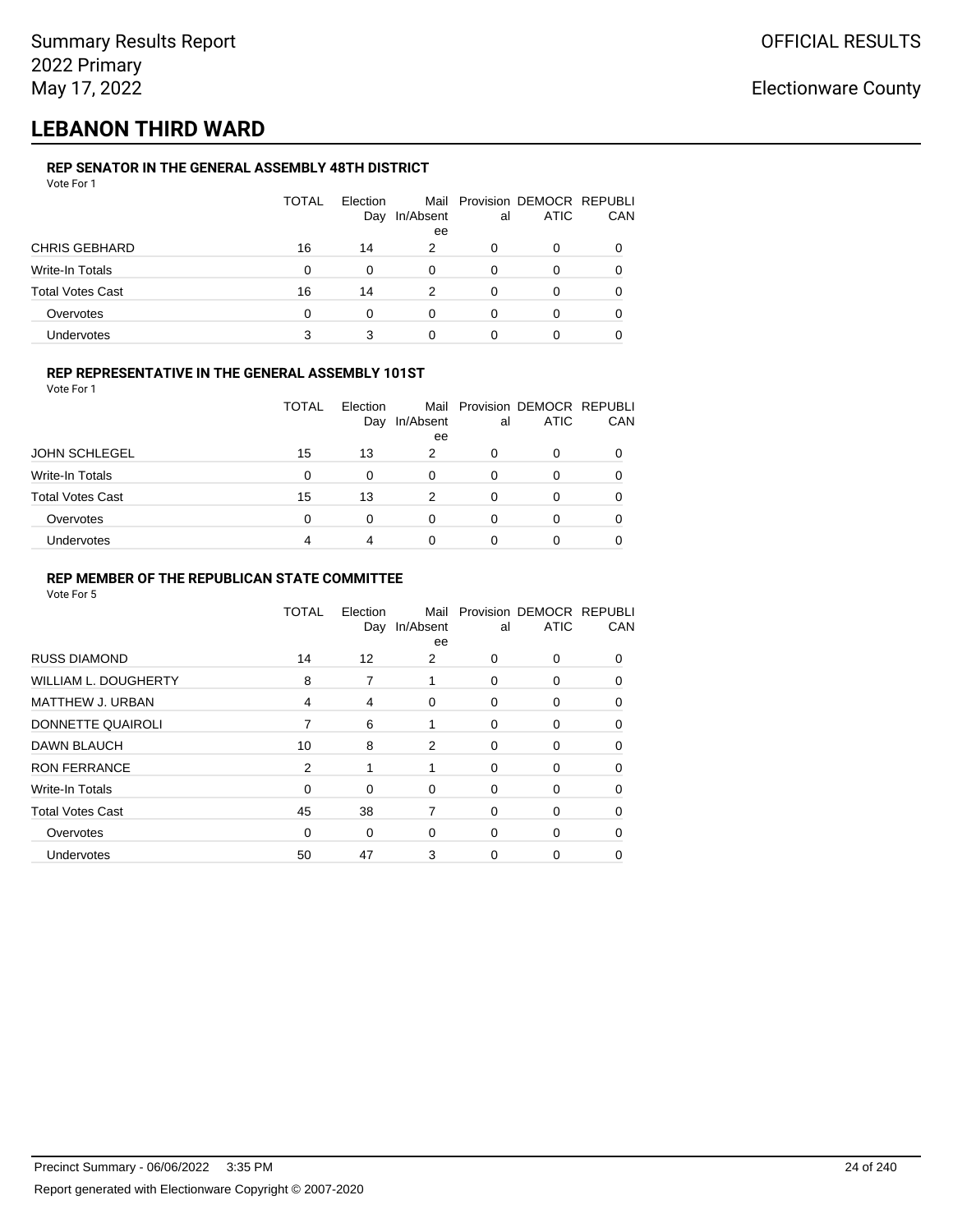## **LEBANON THIRD WARD**

#### **REP SENATOR IN THE GENERAL ASSEMBLY 48TH DISTRICT** Vote For 1

| <u>VULGIUI</u>          |              |                 |           |    |                                              |              |
|-------------------------|--------------|-----------------|-----------|----|----------------------------------------------|--------------|
|                         | <b>TOTAL</b> | Election<br>Day | In/Absent | al | Mail Provision DEMOCR REPUBLI<br><b>ATIC</b> | CAN          |
|                         |              |                 | ee        |    |                                              |              |
| <b>CHRIS GEBHARD</b>    | 16           | 14              | 2         | 0  | O                                            |              |
| Write-In Totals         | $\Omega$     | 0               | 0         | 0  | 0                                            |              |
| <b>Total Votes Cast</b> | 16           | 14              | 2         | 0  | 0                                            | <sup>0</sup> |
| Overvotes               | $\Omega$     | 0               | 0         | 0  | O                                            |              |
| Undervotes              | 3            | 3               |           | 0  | 0                                            |              |

#### **REP REPRESENTATIVE IN THE GENERAL ASSEMBLY 101ST**

Vote For 1

|                         | <b>TOTAL</b> | Election |           |    | Mail Provision DEMOCR REPUBLI |            |
|-------------------------|--------------|----------|-----------|----|-------------------------------|------------|
|                         |              | Day      | In/Absent | al | <b>ATIC</b>                   | <b>CAN</b> |
|                         |              |          | ee        |    |                               |            |
| <b>JOHN SCHLEGEL</b>    | 15           | 13       | 2         | O  |                               | 0          |
| Write-In Totals         | 0            | 0        | 0         | O  | 0                             | 0          |
| <b>Total Votes Cast</b> | 15           | 13       | 2         | O  | ∩                             | 0          |
| Overvotes               | 0            |          | 0         | 0  |                               | 0          |
| Undervotes              | 4            |          | 0         |    |                               |            |

#### **REP MEMBER OF THE REPUBLICAN STATE COMMITTEE**

|                         | TOTAL | Election<br>Day | Mail<br>In/Absent<br>ee | al       | Provision DEMOCR REPUBLI<br><b>ATIC</b> | CAN      |
|-------------------------|-------|-----------------|-------------------------|----------|-----------------------------------------|----------|
| <b>RUSS DIAMOND</b>     | 14    | 12              | 2                       | $\Omega$ | $\Omega$                                | $\Omega$ |
| WILLIAM L. DOUGHERTY    | 8     | 7               | 1                       | 0        | 0                                       | 0        |
| MATTHEW J. URBAN        | 4     | 4               | 0                       | 0        | 0                                       | $\Omega$ |
| DONNETTE QUAIROLI       | 7     | 6               | 1                       | 0        | 0                                       | $\Omega$ |
| <b>DAWN BLAUCH</b>      | 10    | 8               | 2                       | 0        | 0                                       | $\Omega$ |
| <b>RON FERRANCE</b>     | 2     | 1               | 1                       | $\Omega$ | 0                                       | $\Omega$ |
| Write-In Totals         | 0     | 0               | $\mathbf 0$             | 0        | 0                                       | $\Omega$ |
| <b>Total Votes Cast</b> | 45    | 38              | 7                       | 0        | 0                                       | 0        |
| Overvotes               | 0     | 0               | $\mathbf 0$             | 0        | 0                                       | $\Omega$ |
| Undervotes              | 50    | 47              | 3                       | 0        | 0                                       |          |
|                         |       |                 |                         |          |                                         |          |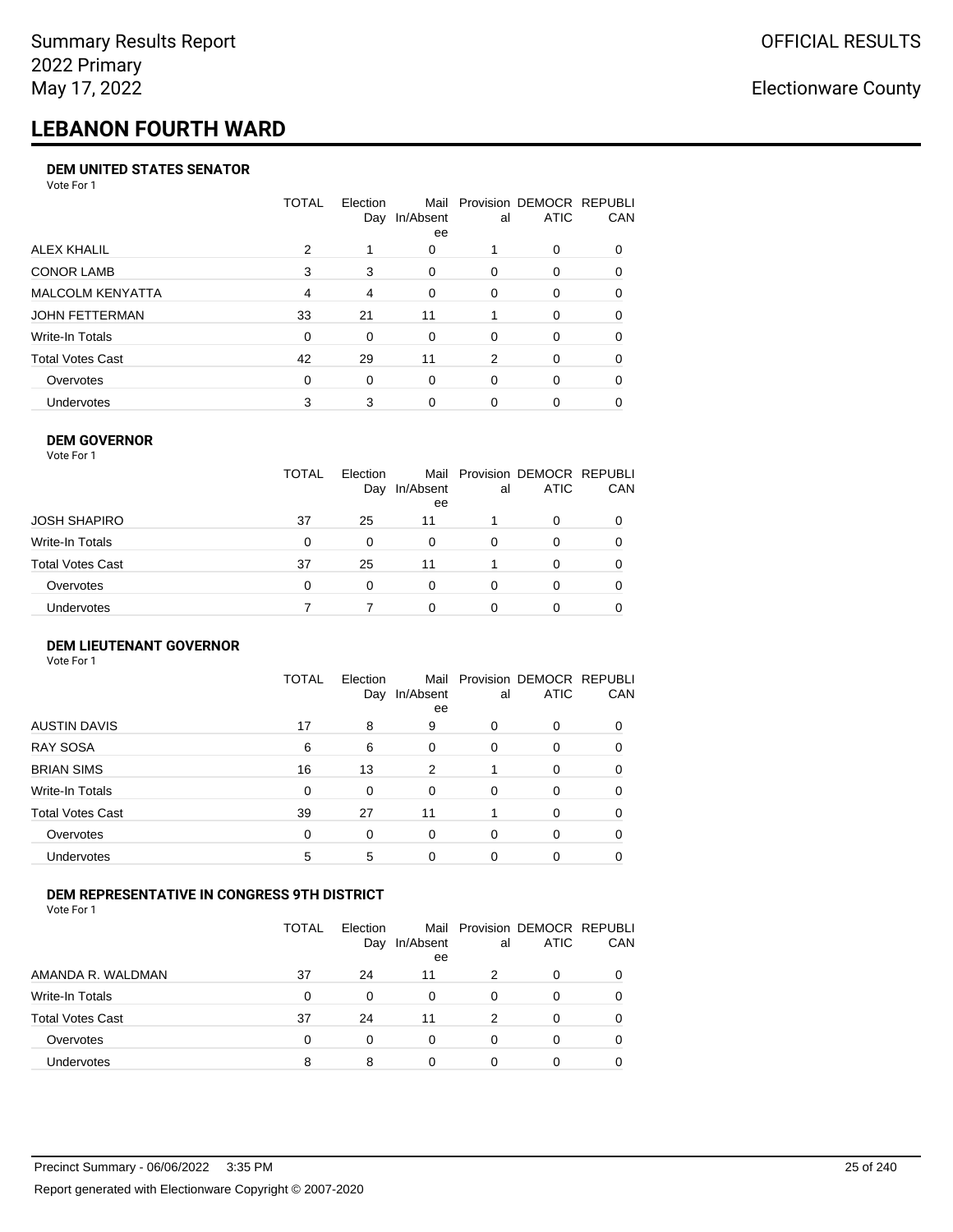# **LEBANON FOURTH WARD**

#### **DEM UNITED STATES SENATOR**

Vote For 1

|                   | TOTAL          | Election<br>Day | Mail<br>In/Absent<br>ee | al       | Provision DEMOCR REPUBLI<br><b>ATIC</b> | CAN      |
|-------------------|----------------|-----------------|-------------------------|----------|-----------------------------------------|----------|
| ALEX KHALIL       | 2              |                 | 0                       |          | 0                                       |          |
| <b>CONOR LAMB</b> | 3              | 3               | 0                       | $\Omega$ | 0                                       | 0        |
| MALCOLM KENYATTA  | $\overline{4}$ | 4               | 0                       | $\Omega$ | 0                                       | $\Omega$ |
| JOHN FETTERMAN    | 33             | 21              | 11                      |          | $\Omega$                                | 0        |
| Write-In Totals   | 0              | $\Omega$        | $\Omega$                | $\Omega$ | 0                                       | $\Omega$ |
| Total Votes Cast  | 42             | 29              | 11                      | 2        | $\Omega$                                | $\Omega$ |
| Overvotes         | 0              | $\Omega$        | $\Omega$                | $\Omega$ | $\Omega$                                | 0        |
| Undervotes        | 3              | 3               | 0                       |          | 0                                       |          |

#### **DEM GOVERNOR**

| <b>TOTAL</b><br>Mail Provision DEMOCR REPUBLI<br>Election<br><b>ATIC</b><br>In/Absent<br>Day<br>al<br>ee<br>JOSH SHAPIRO<br>37<br>25<br>11<br>0<br>Write-In Totals<br>0<br>0<br>$\Omega$<br>$\Omega$<br>0<br>$\Omega$<br>Total Votes Cast<br>25<br>37<br>11<br>$\Omega$<br>0<br>Overvotes<br>0<br>0<br>0<br>0<br>0<br>0<br>Undervotes<br>0<br>0 | Vote For 1 |  |  |     |
|-------------------------------------------------------------------------------------------------------------------------------------------------------------------------------------------------------------------------------------------------------------------------------------------------------------------------------------------------|------------|--|--|-----|
|                                                                                                                                                                                                                                                                                                                                                 |            |  |  | CAN |
|                                                                                                                                                                                                                                                                                                                                                 |            |  |  |     |
|                                                                                                                                                                                                                                                                                                                                                 |            |  |  |     |
|                                                                                                                                                                                                                                                                                                                                                 |            |  |  |     |
|                                                                                                                                                                                                                                                                                                                                                 |            |  |  |     |
|                                                                                                                                                                                                                                                                                                                                                 |            |  |  |     |

### **DEM LIEUTENANT GOVERNOR**

| Vote For 1              |              |                 |                   |          |                                         |          |
|-------------------------|--------------|-----------------|-------------------|----------|-----------------------------------------|----------|
|                         | <b>TOTAL</b> | Election<br>Day | Mail<br>In/Absent | al       | Provision DEMOCR REPUBLI<br><b>ATIC</b> | CAN      |
|                         |              |                 | ee                |          |                                         |          |
| <b>AUSTIN DAVIS</b>     | 17           | 8               | 9                 | 0        | 0                                       | $\Omega$ |
| <b>RAY SOSA</b>         | 6            | 6               | 0                 | 0        | 0                                       | 0        |
| <b>BRIAN SIMS</b>       | 16           | 13              | 2                 |          | $\Omega$                                | 0        |
| Write-In Totals         | 0            | 0               | 0                 | $\Omega$ | 0                                       | $\Omega$ |
| <b>Total Votes Cast</b> | 39           | 27              | 11                |          | 0                                       | $\Omega$ |
| Overvotes               | $\Omega$     | 0               | $\Omega$          | 0        | 0                                       | $\Omega$ |
| Undervotes              | 5            | 5               | $\Omega$          | $\Omega$ | 0                                       |          |
|                         |              |                 |                   |          |                                         |          |

### **DEM REPRESENTATIVE IN CONGRESS 9TH DISTRICT**

|                         | TOTAL | <b>Flection</b><br>Day | In/Absent<br>ee | al | Mail Provision DEMOCR REPUBLI<br><b>ATIC</b> | <b>CAN</b> |
|-------------------------|-------|------------------------|-----------------|----|----------------------------------------------|------------|
| AMANDA R. WALDMAN       | 37    | 24                     | 11              |    | $\Omega$                                     | 0          |
| <b>Write-In Totals</b>  | 0     | <sup>0</sup>           | 0               | 0  | $\Omega$                                     | 0          |
| <b>Total Votes Cast</b> | 37    | 24                     | 11              | 2  | 0                                            | 0          |
| Overvotes               | 0     | 0                      | $\Omega$        | O  | $\Omega$                                     | 0          |
| <b>Undervotes</b>       | 8     |                        |                 |    |                                              |            |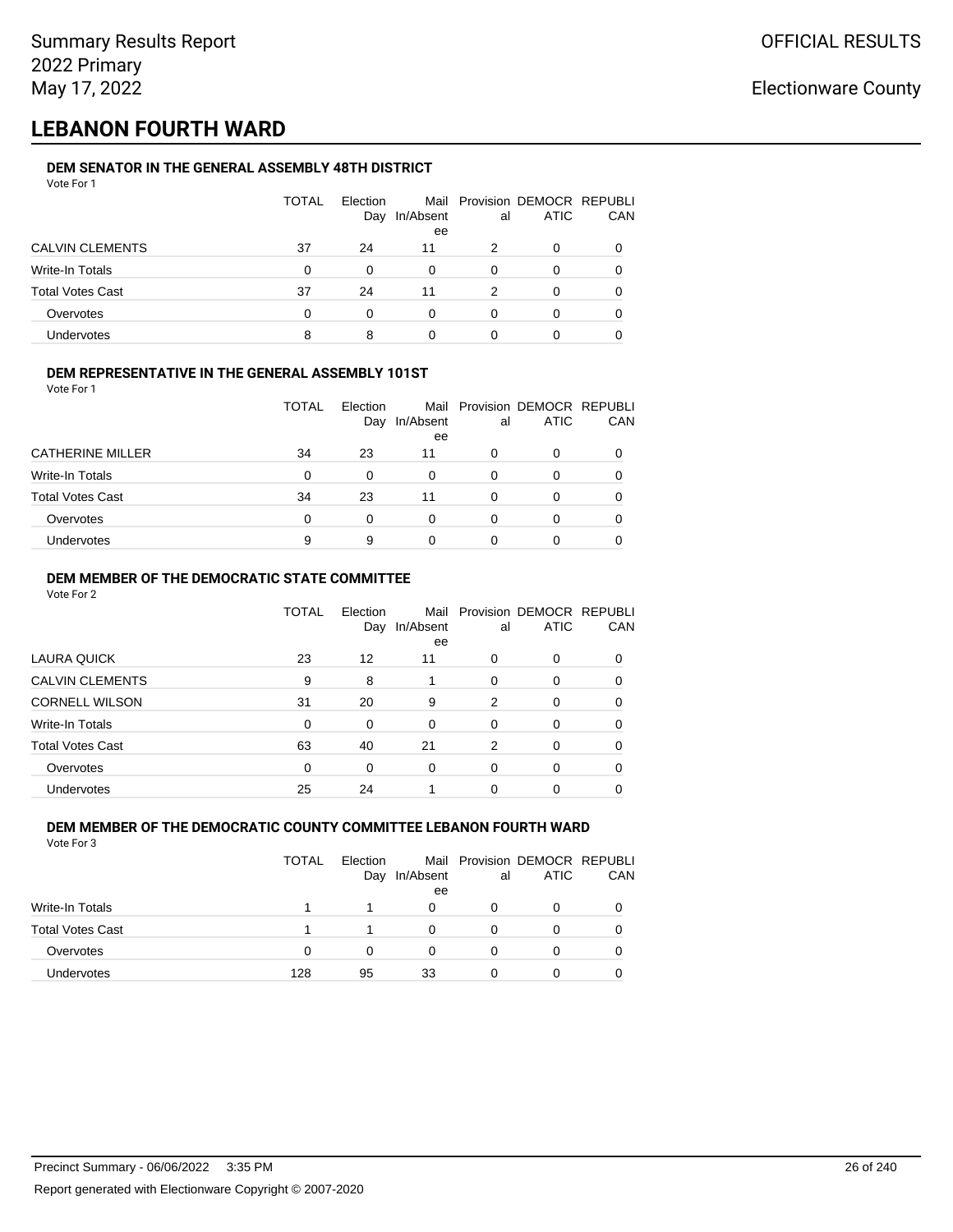## **LEBANON FOURTH WARD**

### **DEM SENATOR IN THE GENERAL ASSEMBLY 48TH DISTRICT**

| Vote For 1              |              |                 |                 |          |                                              |     |
|-------------------------|--------------|-----------------|-----------------|----------|----------------------------------------------|-----|
|                         | <b>TOTAL</b> | Election<br>Day | In/Absent<br>ee | al       | Mail Provision DEMOCR REPUBLI<br><b>ATIC</b> | CAN |
| <b>CALVIN CLEMENTS</b>  | 37           | 24              | 11              | 2        | $\Omega$                                     |     |
| Write-In Totals         | $\Omega$     | 0               | 0               | 0        | 0                                            | 0   |
| <b>Total Votes Cast</b> | 37           | 24              | 11              | 2        | 0                                            |     |
| Overvotes               | $\Omega$     | 0               | $\Omega$        | $\Omega$ | 0                                            |     |
| <b>Undervotes</b>       | 8            | 8               | 0               | 0        | 0                                            |     |

### **DEM REPRESENTATIVE IN THE GENERAL ASSEMBLY 101ST**

Vote For 1

|                         | TOTAL | <b>Flection</b><br>Day | In/Absent<br>ee | al | Mail Provision DEMOCR REPUBLI<br><b>ATIC</b> | <b>CAN</b> |
|-------------------------|-------|------------------------|-----------------|----|----------------------------------------------|------------|
| <b>CATHERINE MILLER</b> | 34    | 23                     | 11              | O  | <sup>0</sup>                                 | 0          |
| Write-In Totals         | 0     | 0                      | 0               |    |                                              | 0          |
| <b>Total Votes Cast</b> | 34    | 23                     | 11              |    |                                              | 0          |
| Overvotes               | 0     |                        | 0               |    |                                              | 0          |
| <b>Undervotes</b>       | 9     | 9                      | 0               |    |                                              |            |

### **DEM MEMBER OF THE DEMOCRATIC STATE COMMITTEE**

Vote For 2

|                         | TOTAL | Election<br>Day | In/Absent<br>ee | al       | Mail Provision DEMOCR REPUBLI<br><b>ATIC</b> | CAN |
|-------------------------|-------|-----------------|-----------------|----------|----------------------------------------------|-----|
| LAURA QUICK             | 23    | 12              | 11              | 0        | 0                                            | 0   |
| <b>CALVIN CLEMENTS</b>  | 9     | 8               |                 | $\Omega$ | 0                                            | 0   |
| <b>CORNELL WILSON</b>   | 31    | 20              | 9               | 2        | $\Omega$                                     | 0   |
| Write-In Totals         | 0     | 0               | $\Omega$        | 0        | 0                                            | 0   |
| <b>Total Votes Cast</b> | 63    | 40              | 21              | 2        | $\Omega$                                     | 0   |
| Overvotes               | 0     | 0               | $\Omega$        | $\Omega$ | 0                                            | 0   |
| <b>Undervotes</b>       | 25    | 24              |                 | 0        | 0                                            |     |

#### **DEM MEMBER OF THE DEMOCRATIC COUNTY COMMITTEE LEBANON FOURTH WARD** Vote For 3

|                         | <b>TOTAL</b> | Election<br>Day | In/Absent<br>ee | al | Mail Provision DEMOCR REPUBLI<br><b>ATIC</b> | CAN |
|-------------------------|--------------|-----------------|-----------------|----|----------------------------------------------|-----|
| Write-In Totals         |              |                 | 0               | O  | 0                                            |     |
| <b>Total Votes Cast</b> |              |                 |                 | 0  | 0                                            |     |
| Overvotes               | 0            | 0               |                 | 0  | O                                            |     |
| <b>Undervotes</b>       | 128          | 95              | 33              | 0  | Ω                                            |     |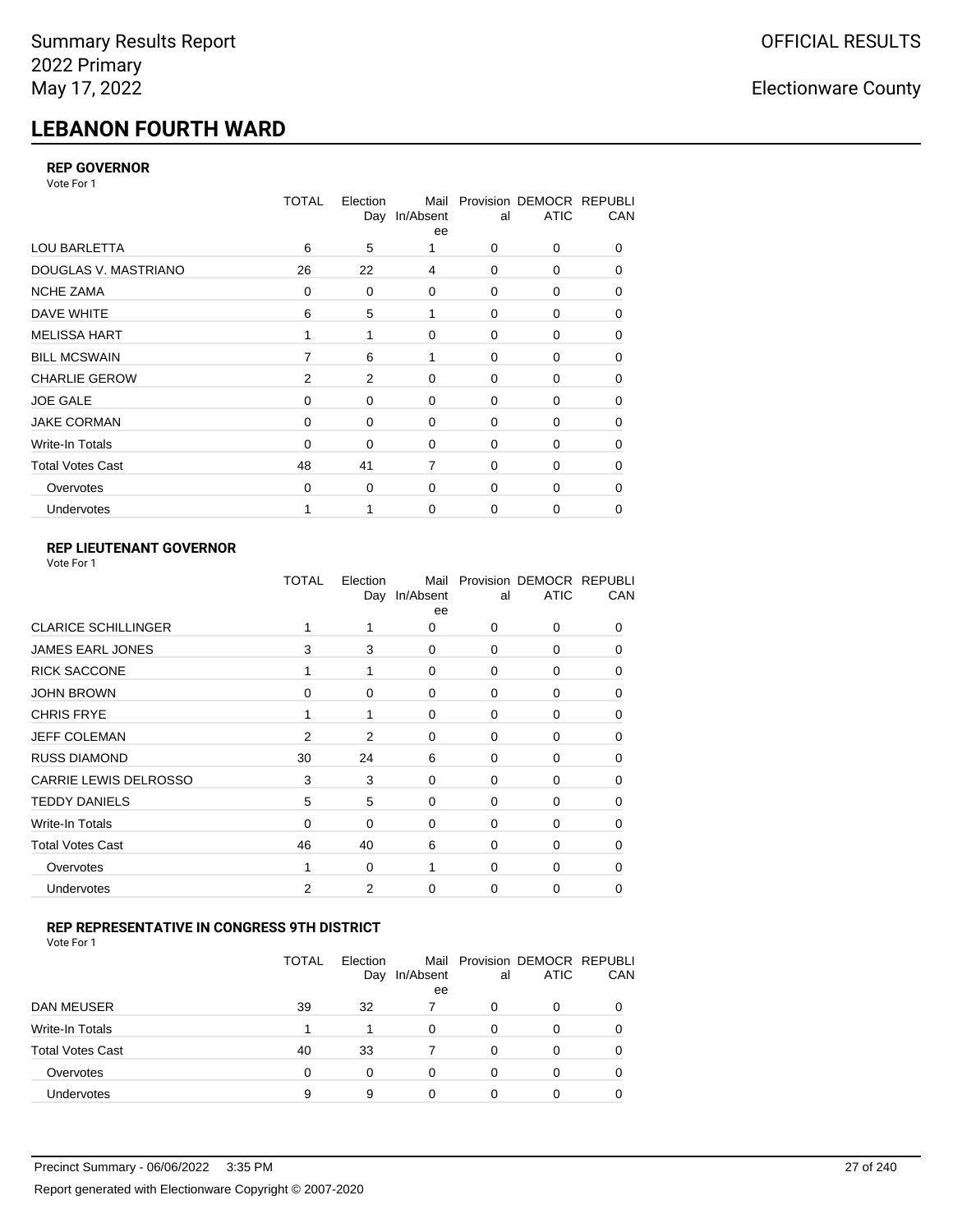# **LEBANON FOURTH WARD**

### **REP GOVERNOR**

Vote For 1

|                         | <b>TOTAL</b> | Election | Mail<br>Day In/Absent<br>ee | al          | Provision DEMOCR REPUBLI<br><b>ATIC</b> | CAN      |
|-------------------------|--------------|----------|-----------------------------|-------------|-----------------------------------------|----------|
| <b>LOU BARLETTA</b>     | 6            | 5        |                             | 0           | 0                                       | 0        |
| DOUGLAS V. MASTRIANO    | 26           | 22       | 4                           | 0           | 0                                       | 0        |
| <b>NCHE ZAMA</b>        | 0            | 0        | 0                           | 0           | 0                                       | 0        |
| DAVE WHITE              | 6            | 5        | 1                           | 0           | 0                                       | 0        |
| <b>MELISSA HART</b>     |              | 1        | $\Omega$                    | $\Omega$    | 0                                       | $\Omega$ |
| <b>BILL MCSWAIN</b>     | 7            | 6        | 1                           | 0           | 0                                       | 0        |
| <b>CHARLIE GEROW</b>    | 2            | 2        | $\Omega$                    | 0           | 0                                       | 0        |
| <b>JOE GALE</b>         | 0            | 0        | 0                           | $\mathbf 0$ | 0                                       | 0        |
| <b>JAKE CORMAN</b>      | $\Omega$     | 0        | $\Omega$                    | $\mathbf 0$ | 0                                       | 0        |
| Write-In Totals         | 0            | 0        | 0                           | 0           | 0                                       | 0        |
| <b>Total Votes Cast</b> | 48           | 41       | $\overline{7}$              | $\Omega$    | $\Omega$                                | $\Omega$ |
| Overvotes               | $\Omega$     | 0        | 0                           | $\mathbf 0$ | 0                                       | 0        |
| Undervotes              |              |          | $\Omega$                    | 0           | 0                                       | 0        |

### **REP LIEUTENANT GOVERNOR**

| Vote For 1 |  |
|------------|--|
|------------|--|

|                            | TOTAL | Election | Mail<br>Day In/Absent<br>ee | al          | Provision DEMOCR REPUBLI<br><b>ATIC</b> | CAN          |
|----------------------------|-------|----------|-----------------------------|-------------|-----------------------------------------|--------------|
| <b>CLARICE SCHILLINGER</b> |       |          | 0                           | $\Omega$    | $\Omega$                                | 0            |
| <b>JAMES EARL JONES</b>    | 3     | 3        | $\Omega$                    | 0           | 0                                       | 0            |
| <b>RICK SACCONE</b>        |       | 1        | $\Omega$                    | $\Omega$    | $\Omega$                                | $\Omega$     |
| <b>JOHN BROWN</b>          | 0     | 0        | $\Omega$                    | $\Omega$    | 0                                       | 0            |
| <b>CHRIS FRYE</b>          | 1     | 1        | 0                           | 0           | 0                                       | 0            |
| <b>JEFF COLEMAN</b>        | 2     | 2        | 0                           | $\mathbf 0$ | 0                                       | $\Omega$     |
| <b>RUSS DIAMOND</b>        | 30    | 24       | 6                           | 0           | 0                                       | 0            |
| CARRIE LEWIS DELROSSO      | 3     | 3        | 0                           | $\mathbf 0$ | 0                                       | 0            |
| <b>TEDDY DANIELS</b>       | 5     | 5        | 0                           | 0           | 0                                       | $\Omega$     |
| Write-In Totals            | 0     | $\Omega$ | 0                           | $\mathbf 0$ | 0                                       | 0            |
| <b>Total Votes Cast</b>    | 46    | 40       | 6                           | $\Omega$    | $\Omega$                                | $\Omega$     |
| Overvotes                  |       | 0        | 1                           | $\Omega$    | $\Omega$                                | <sup>0</sup> |
| Undervotes                 | 2     | 2        | $\Omega$                    | $\Omega$    | 0                                       | 0            |
|                            |       |          |                             |             |                                         |              |

### **REP REPRESENTATIVE IN CONGRESS 9TH DISTRICT**

| Vote For 1 |  |  |
|------------|--|--|
|------------|--|--|

|                         | TOTAL | Election<br>Day | In/Absent<br>ee | al       | Mail Provision DEMOCR REPUBLI<br><b>ATIC</b> | CAN      |
|-------------------------|-------|-----------------|-----------------|----------|----------------------------------------------|----------|
| DAN MEUSER              | 39    | 32              |                 | 0        | 0                                            |          |
| Write-In Totals         |       | 1               | $\Omega$        | 0        | 0                                            |          |
| <b>Total Votes Cast</b> | 40    | 33              |                 | $\Omega$ | 0                                            |          |
| Overvotes               | 0     | 0               | 0               | 0        | 0                                            | $\Omega$ |
| <b>Undervotes</b>       | 9     | 9               |                 |          | ი                                            |          |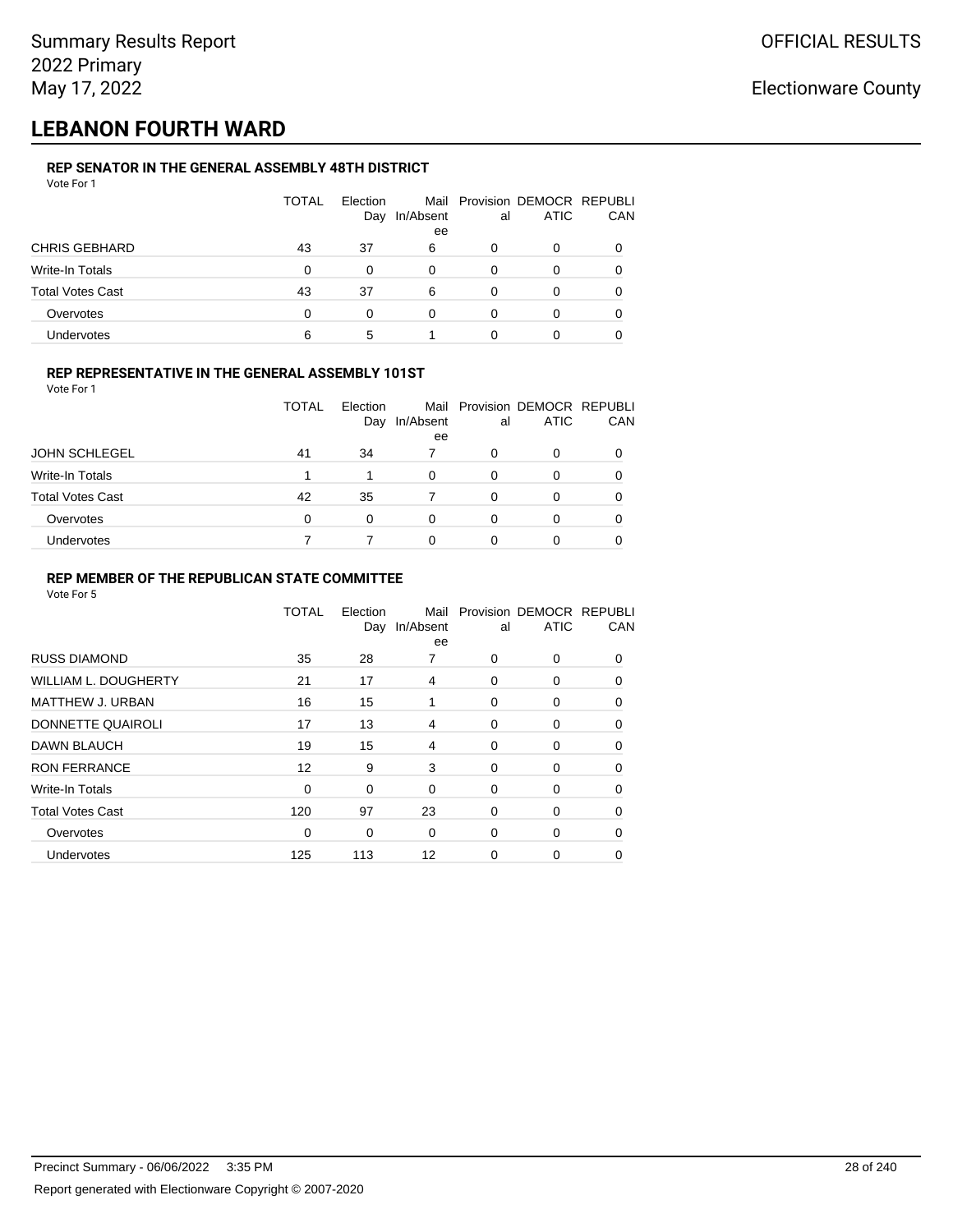## **LEBANON FOURTH WARD**

### **REP SENATOR IN THE GENERAL ASSEMBLY 48TH DISTRICT**

| Vote For 1              |              |                 |                 |    |                                              |     |
|-------------------------|--------------|-----------------|-----------------|----|----------------------------------------------|-----|
|                         | <b>TOTAL</b> | Election<br>Day | In/Absent<br>ee | al | Mail Provision DEMOCR REPUBLI<br><b>ATIC</b> | CAN |
| <b>CHRIS GEBHARD</b>    | 43           | 37              | 6               | 0  | $\Omega$                                     |     |
| Write-In Totals         | $\Omega$     | 0               | 0               | 0  | 0                                            | 0   |
| <b>Total Votes Cast</b> | 43           | 37              | 6               | 0  | 0                                            |     |
| Overvotes               | $\Omega$     | 0               | $\Omega$        | 0  | 0                                            |     |
| <b>Undervotes</b>       | 6            | 5               |                 | 0  | 0                                            |     |

### **REP REPRESENTATIVE IN THE GENERAL ASSEMBLY 101ST**

Vote For 1

|                         | TOTAL | Election |           |    | Mail Provision DEMOCR REPUBLI |            |
|-------------------------|-------|----------|-----------|----|-------------------------------|------------|
|                         |       | Day      | In/Absent | al | <b>ATIC</b>                   | <b>CAN</b> |
|                         |       |          | ee        |    |                               |            |
| <b>JOHN SCHLEGEL</b>    | 41    | 34       |           | O  | 0                             | 0          |
| Write-In Totals         |       |          | $\Omega$  | 0  | O                             | 0          |
| <b>Total Votes Cast</b> | 42    | 35       |           | ŋ  | ∩                             | 0          |
| Overvotes               | 0     | $\Omega$ | 0         | 0  |                               | 0          |
| <b>Undervotes</b>       |       |          | 0         |    |                               | 0          |

### **REP MEMBER OF THE REPUBLICAN STATE COMMITTEE**

|                             | TOTAL       | Election<br>Day | Mail<br>In/Absent<br>ee | al       | Provision DEMOCR REPUBLI<br><b>ATIC</b> | CAN      |
|-----------------------------|-------------|-----------------|-------------------------|----------|-----------------------------------------|----------|
| <b>RUSS DIAMOND</b>         | 35          | 28              | 7                       | $\Omega$ | $\Omega$                                | $\Omega$ |
| <b>WILLIAM L. DOUGHERTY</b> | 21          | 17              | 4                       | 0        | 0                                       | 0        |
| <b>MATTHEW J. URBAN</b>     | 16          | 15              | 1                       | 0        | 0                                       | $\Omega$ |
| DONNETTE QUAIROLI           | 17          | 13              | 4                       | $\Omega$ | 0                                       | $\Omega$ |
| <b>DAWN BLAUCH</b>          | 19          | 15              | 4                       | $\Omega$ | 0                                       | $\Omega$ |
| <b>RON FERRANCE</b>         | 12          | 9               | 3                       | 0        | 0                                       | 0        |
| Write-In Totals             | 0           | 0               | $\Omega$                | 0        | 0                                       | 0        |
| <b>Total Votes Cast</b>     | 120         | 97              | 23                      | 0        | 0                                       | $\Omega$ |
| Overvotes                   | $\mathbf 0$ | 0               | $\Omega$                | 0        | 0                                       | 0        |
| <b>Undervotes</b>           | 125         | 113             | 12                      | 0        | 0                                       |          |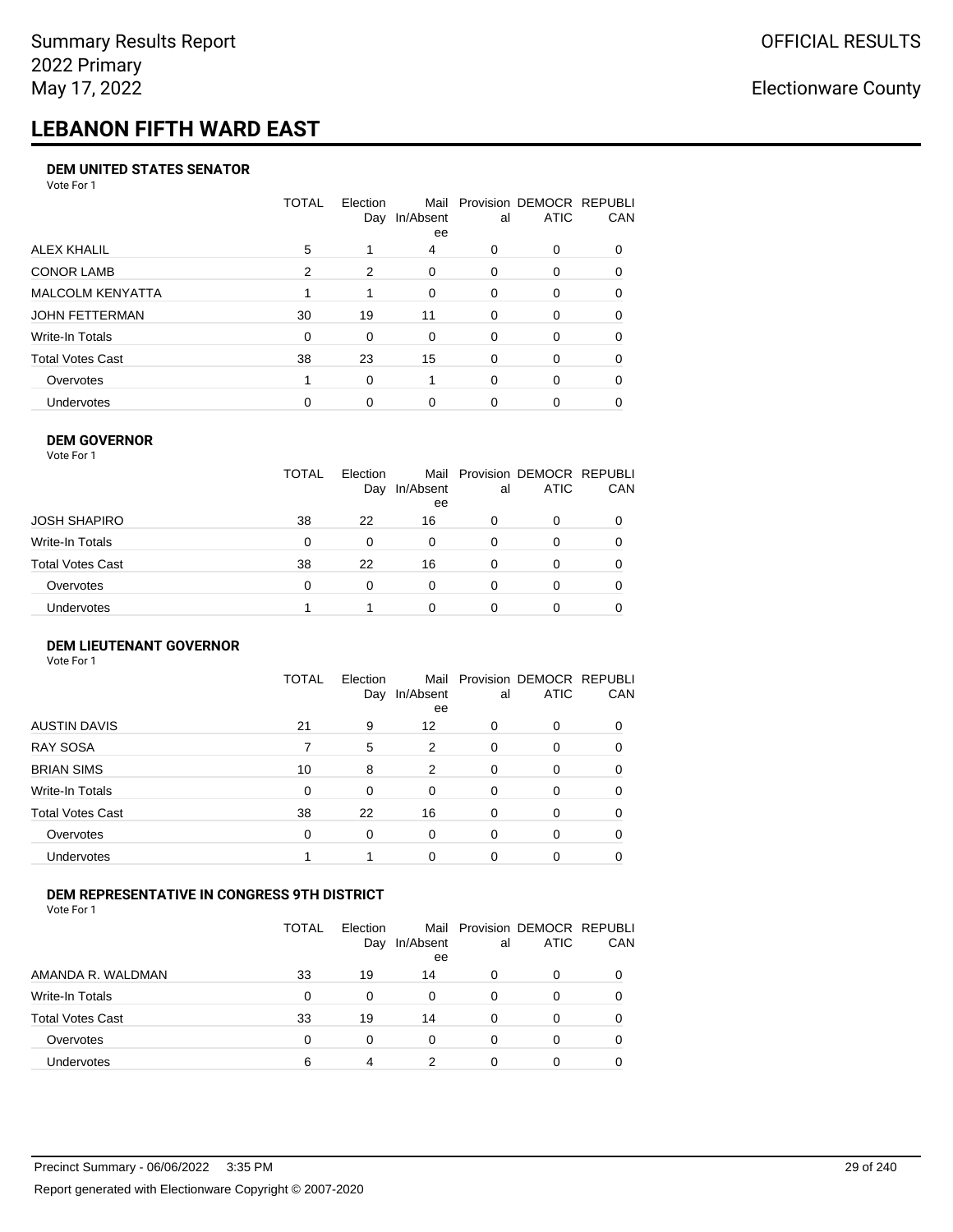# **LEBANON FIFTH WARD EAST**

#### **DEM UNITED STATES SENATOR**

Vote For 1

|                         | TOTAL | Election<br>Day | Mail<br>In/Absent<br>ee | al       | Provision DEMOCR REPUBLI<br><b>ATIC</b> | CAN      |
|-------------------------|-------|-----------------|-------------------------|----------|-----------------------------------------|----------|
| ALEX KHALIL             | 5     |                 | 4                       | $\Omega$ | 0                                       | $\Omega$ |
| <b>CONOR LAMB</b>       | 2     | 2               | 0                       | $\Omega$ | 0                                       | 0        |
| <b>MALCOLM KENYATTA</b> |       |                 | $\Omega$                | $\Omega$ | 0                                       | $\Omega$ |
| JOHN FETTERMAN          | 30    | 19              | 11                      | $\Omega$ | 0                                       | $\Omega$ |
| Write-In Totals         | 0     | $\Omega$        | 0                       | $\Omega$ | 0                                       | $\Omega$ |
| Total Votes Cast        | 38    | 23              | 15                      | $\Omega$ | $\Omega$                                | 0        |
| Overvotes               |       | $\Omega$        |                         | $\Omega$ | $\Omega$                                | 0        |
| Undervotes              | 0     | $\Omega$        | $\Omega$                | 0        | 0                                       |          |

#### **DEM GOVERNOR**

| Vote For 1       |              |                 |                 |          |                                              |          |
|------------------|--------------|-----------------|-----------------|----------|----------------------------------------------|----------|
|                  | <b>TOTAL</b> | Election<br>Day | In/Absent<br>ee | al       | Mail Provision DEMOCR REPUBLI<br><b>ATIC</b> | CAN      |
| JOSH SHAPIRO     | 38           | 22              | 16              | 0        | 0                                            |          |
| Write-In Totals  | 0            | $\Omega$        | 0               | $\Omega$ | 0                                            | $\Omega$ |
| Total Votes Cast | 38           | 22              | 16              | $\Omega$ | 0                                            | 0        |
| Overvotes        | 0            | 0               | $\Omega$        | 0        | 0                                            | 0        |
| Undervotes       |              |                 | 0               |          | 0                                            |          |
|                  |              |                 |                 |          |                                              |          |

#### **DEM LIEUTENANT GOVERNOR** Vote For 1

|                         | <b>TOTAL</b> | Election<br>Day | In/Absent<br>ee | al       | Mail Provision DEMOCR REPUBLI<br><b>ATIC</b> | CAN      |
|-------------------------|--------------|-----------------|-----------------|----------|----------------------------------------------|----------|
| <b>AUSTIN DAVIS</b>     | 21           | 9               | 12              | $\Omega$ | 0                                            | 0        |
| <b>RAY SOSA</b>         | 7            | 5               | 2               | $\Omega$ | 0                                            | 0        |
| <b>BRIAN SIMS</b>       | 10           | 8               | 2               | $\Omega$ | 0                                            | 0        |
| Write-In Totals         | $\Omega$     | $\Omega$        | $\Omega$        | $\Omega$ | 0                                            | 0        |
| <b>Total Votes Cast</b> | 38           | 22              | 16              | $\Omega$ | 0                                            | $\Omega$ |
| Overvotes               | $\Omega$     | 0               | $\Omega$        | $\Omega$ | 0                                            | 0        |
| Undervotes              |              | 1               | $\Omega$        | $\Omega$ | 0                                            | 0        |

### **DEM REPRESENTATIVE IN CONGRESS 9TH DISTRICT**

|                         | TOTAL | <b>Flection</b><br>Day | In/Absent<br>ee | al | Mail Provision DEMOCR REPUBLI<br><b>ATIC</b> | <b>CAN</b> |
|-------------------------|-------|------------------------|-----------------|----|----------------------------------------------|------------|
| AMANDA R. WALDMAN       | 33    | 19                     | 14              | 0  | 0                                            | 0          |
| <b>Write-In Totals</b>  | 0     | <sup>0</sup>           | 0               | 0  | $\Omega$                                     | 0          |
| <b>Total Votes Cast</b> | 33    | 19                     | 14              | 0  |                                              | 0          |
| Overvotes               | 0     | 0                      | $\Omega$        | O  | $\Omega$                                     | 0          |
| <b>Undervotes</b>       | 6     | 4                      | າ               |    |                                              |            |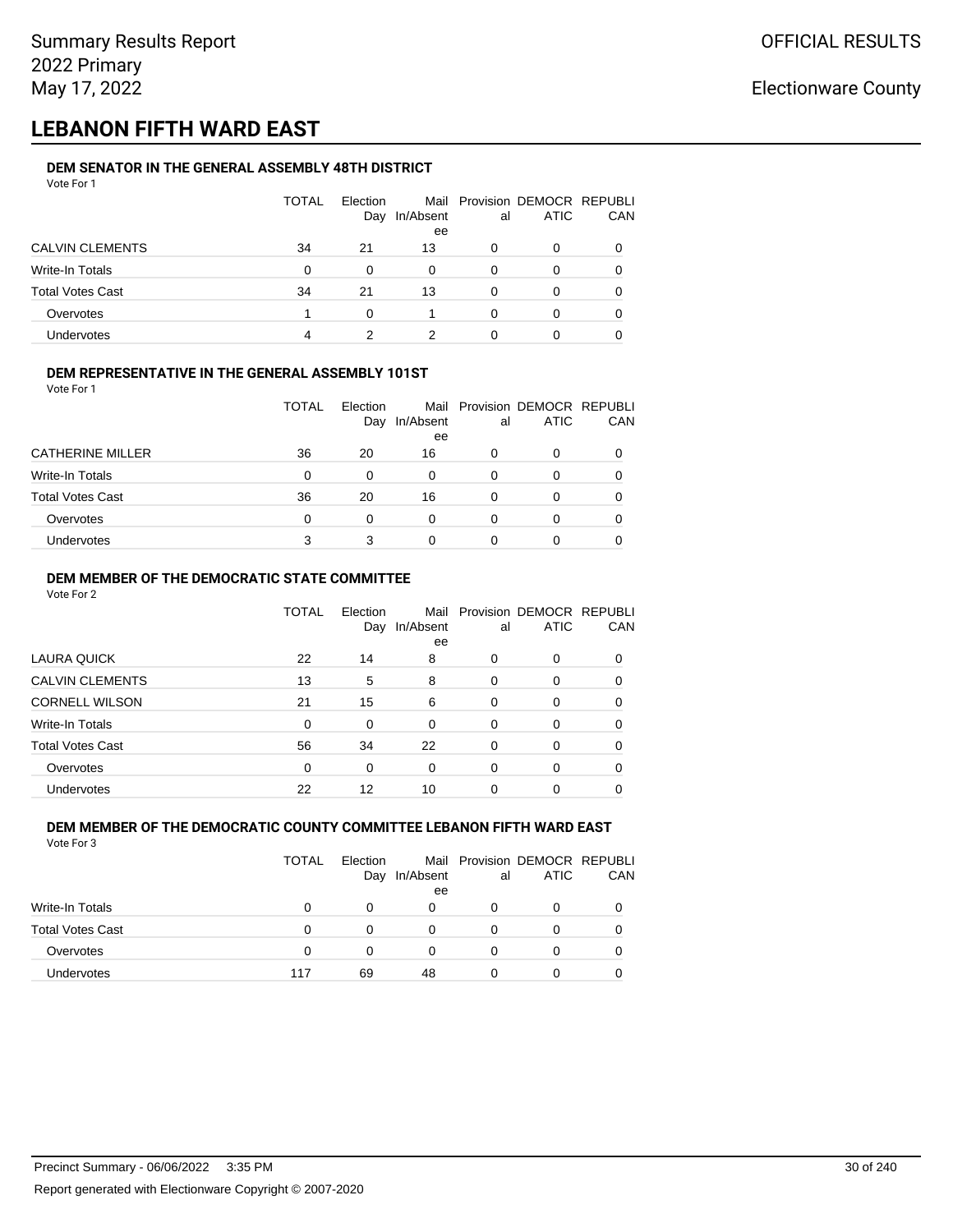## **LEBANON FIFTH WARD EAST**

#### **DEM SENATOR IN THE GENERAL ASSEMBLY 48TH DISTRICT** Vote For 1

| 1 U U U                 |              |                 |                 |    |                                              |            |
|-------------------------|--------------|-----------------|-----------------|----|----------------------------------------------|------------|
|                         | <b>TOTAL</b> | Election<br>Day | In/Absent<br>ee | al | Mail Provision DEMOCR REPUBLI<br><b>ATIC</b> | <b>CAN</b> |
| CALVIN CLEMENTS         | 34           | 21              | 13              | O  | 0                                            | 0          |
| Write-In Totals         | 0            | $\Omega$        | 0               | 0  | 0                                            | 0          |
| <b>Total Votes Cast</b> | 34           | 21              | 13              | 0  | 0                                            | 0          |
| Overvotes               |              | $\Omega$        | 1               | 0  | 0                                            | 0          |
| <b>Undervotes</b>       | 4            |                 | ົ               |    |                                              |            |

### **DEM REPRESENTATIVE IN THE GENERAL ASSEMBLY 101ST**

Vote For 1

|                         | TOTAL | <b>Flection</b> |                 |    | Mail Provision DEMOCR REPUBLI |            |
|-------------------------|-------|-----------------|-----------------|----|-------------------------------|------------|
|                         |       | Day             | In/Absent<br>ee | al | <b>ATIC</b>                   | <b>CAN</b> |
| <b>CATHERINE MILLER</b> | 36    | 20              | 16              | Ω  |                               | 0          |
| Write-In Totals         | 0     |                 | 0               | 0  |                               | 0          |
| <b>Total Votes Cast</b> | 36    | 20              | 16              |    |                               | 0          |
| Overvotes               | 0     | 0               | 0               | O  |                               | 0          |
| Undervotes              | 3     |                 | 0               |    |                               |            |

### **DEM MEMBER OF THE DEMOCRATIC STATE COMMITTEE**

Vote For 2

|                         | TOTAL    | Election<br>Day | In/Absent<br>ee | al       | Mail Provision DEMOCR REPUBLI<br><b>ATIC</b> | CAN |
|-------------------------|----------|-----------------|-----------------|----------|----------------------------------------------|-----|
| LAURA QUICK             | 22       | 14              | 8               | 0        | $\Omega$                                     | 0   |
| <b>CALVIN CLEMENTS</b>  | 13       | 5               | 8               | $\Omega$ | 0                                            | 0   |
| <b>CORNELL WILSON</b>   | 21       | 15              | 6               | $\Omega$ | $\Omega$                                     | 0   |
| Write-In Totals         | 0        | $\Omega$        | $\Omega$        | $\Omega$ | $\Omega$                                     | 0   |
| <b>Total Votes Cast</b> | 56       | 34              | 22              | $\Omega$ | $\Omega$                                     | 0   |
| Overvotes               | $\Omega$ | $\Omega$        | $\Omega$        | $\Omega$ | $\Omega$                                     | 0   |
| <b>Undervotes</b>       | 22       | 12              | 10              |          | 0                                            |     |

#### **DEM MEMBER OF THE DEMOCRATIC COUNTY COMMITTEE LEBANON FIFTH WARD EAST** Vote For 3

|                         | <b>TOTAL</b> | <b>Flection</b><br>Day | In/Absent<br>ee | al | Mail Provision DEMOCR REPUBLI<br><b>ATIC</b> | CAN |
|-------------------------|--------------|------------------------|-----------------|----|----------------------------------------------|-----|
| Write-In Totals         |              | 0                      | 0               | 0  |                                              |     |
| <b>Total Votes Cast</b> |              | 0                      | 0               |    | Ω                                            |     |
| Overvotes               | 0            | 0                      | 0               | 0  | 0                                            |     |
| <b>Undervotes</b>       | 117          | 69                     | 48              | O  | Ω                                            |     |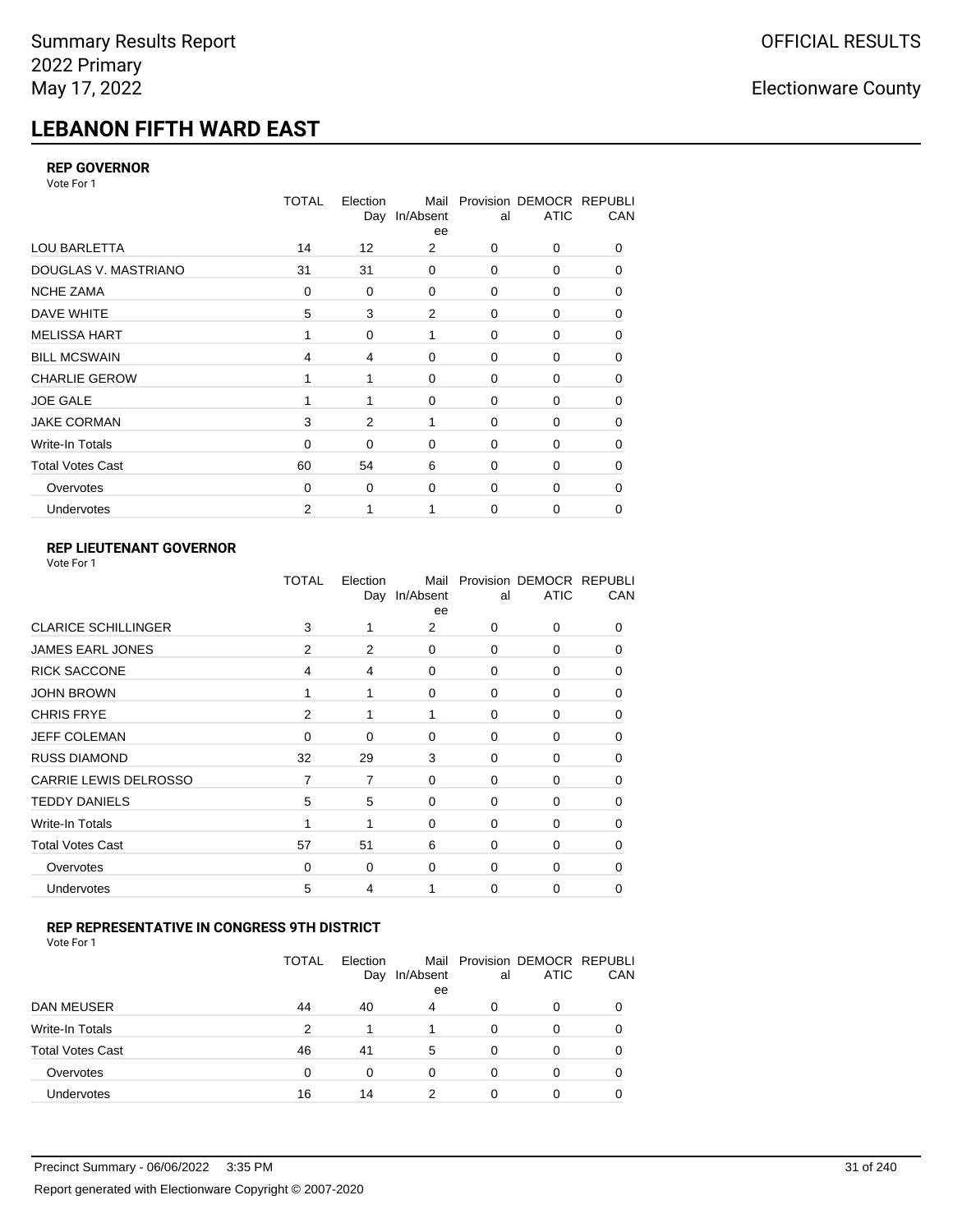# **LEBANON FIFTH WARD EAST**

#### **REP GOVERNOR**

Vote For 1

|                         | <b>TOTAL</b> | Election<br>Day | Mail<br>In/Absent<br>ee | al       | Provision DEMOCR REPUBLI<br><b>ATIC</b> | CAN |
|-------------------------|--------------|-----------------|-------------------------|----------|-----------------------------------------|-----|
| <b>LOU BARLETTA</b>     | 14           | 12              | 2                       | 0        | 0                                       | 0   |
| DOUGLAS V. MASTRIANO    | 31           | 31              | $\mathbf 0$             | 0        | 0                                       | 0   |
| <b>NCHE ZAMA</b>        | 0            | 0               | 0                       | 0        | 0                                       | 0   |
| DAVE WHITE              | 5            | 3               | $\overline{2}$          | 0        | 0                                       | 0   |
| <b>MELISSA HART</b>     |              | 0               | 1                       | 0        | 0                                       | 0   |
| <b>BILL MCSWAIN</b>     | 4            | 4               | $\mathbf 0$             | 0        | 0                                       | 0   |
| <b>CHARLIE GEROW</b>    | 1            | 1               | $\Omega$                | $\Omega$ | $\Omega$                                | 0   |
| <b>JOE GALE</b>         |              |                 | $\mathbf 0$             | 0        | 0                                       | 0   |
| <b>JAKE CORMAN</b>      | 3            | 2               | 1                       | 0        | 0                                       | 0   |
| Write-In Totals         | 0            | 0               | $\mathbf 0$             | 0        | $\Omega$                                | 0   |
| <b>Total Votes Cast</b> | 60           | 54              | 6                       | $\Omega$ | $\Omega$                                | 0   |
| Overvotes               | 0            | 0               | $\mathbf 0$             | 0        | 0                                       | 0   |
| Undervotes              | 2            |                 |                         | 0        | 0                                       | 0   |

### **REP LIEUTENANT GOVERNOR**

| Vote For 1 |  |
|------------|--|
|------------|--|

|                            | TOTAL | Election | Mail<br>Day In/Absent<br>ee | al       | Provision DEMOCR REPUBLI<br><b>ATIC</b> | CAN          |
|----------------------------|-------|----------|-----------------------------|----------|-----------------------------------------|--------------|
| <b>CLARICE SCHILLINGER</b> | 3     | 1        | 2                           | $\Omega$ | $\Omega$                                | 0            |
| <b>JAMES EARL JONES</b>    | 2     | 2        | $\Omega$                    | 0        | 0                                       | 0            |
| <b>RICK SACCONE</b>        | 4     | 4        | 0                           | $\Omega$ | 0                                       | 0            |
| <b>JOHN BROWN</b>          |       | 1        | $\Omega$                    | $\Omega$ | 0                                       | 0            |
| <b>CHRIS FRYE</b>          | 2     | 1        | 1                           | $\Omega$ | 0                                       | 0            |
| <b>JEFF COLEMAN</b>        | 0     | 0        | 0                           | $\Omega$ | 0                                       | $\Omega$     |
| <b>RUSS DIAMOND</b>        | 32    | 29       | 3                           | 0        | 0                                       | 0            |
| CARRIE LEWIS DELROSSO      | 7     | 7        | 0                           | 0        | 0                                       | 0            |
| <b>TEDDY DANIELS</b>       | 5     | 5        | 0                           | 0        | 0                                       | $\Omega$     |
| Write-In Totals            |       | 1        | 0                           | $\Omega$ | 0                                       | 0            |
| <b>Total Votes Cast</b>    | 57    | 51       | 6                           | $\Omega$ | $\Omega$                                | $\Omega$     |
| Overvotes                  | 0     | 0        | 0                           | 0        | $\Omega$                                | <sup>0</sup> |
| Undervotes                 | 5     | 4        |                             | $\Omega$ | 0                                       | 0            |
|                            |       |          |                             |          |                                         |              |

#### **REP REPRESENTATIVE IN CONGRESS 9TH DISTRICT**

Vote For 1

|                         | <b>TOTAL</b> | Election<br>Day | In/Absent<br>ee | al | Mail Provision DEMOCR REPUBLI<br><b>ATIC</b> | <b>CAN</b> |
|-------------------------|--------------|-----------------|-----------------|----|----------------------------------------------|------------|
| DAN MEUSER              | 44           | 40              | 4               | O  | $\Omega$                                     | 0          |
| Write-In Totals         | 2            |                 |                 | 0  |                                              | 0          |
| <b>Total Votes Cast</b> | 46           | 41              | 5               | 0  | 0                                            | 0          |
| Overvotes               | 0            | 0               | $\Omega$        | 0  | $\Omega$                                     | 0          |
| <b>Undervotes</b>       | 16           | 14              | າ               |    |                                              | 0          |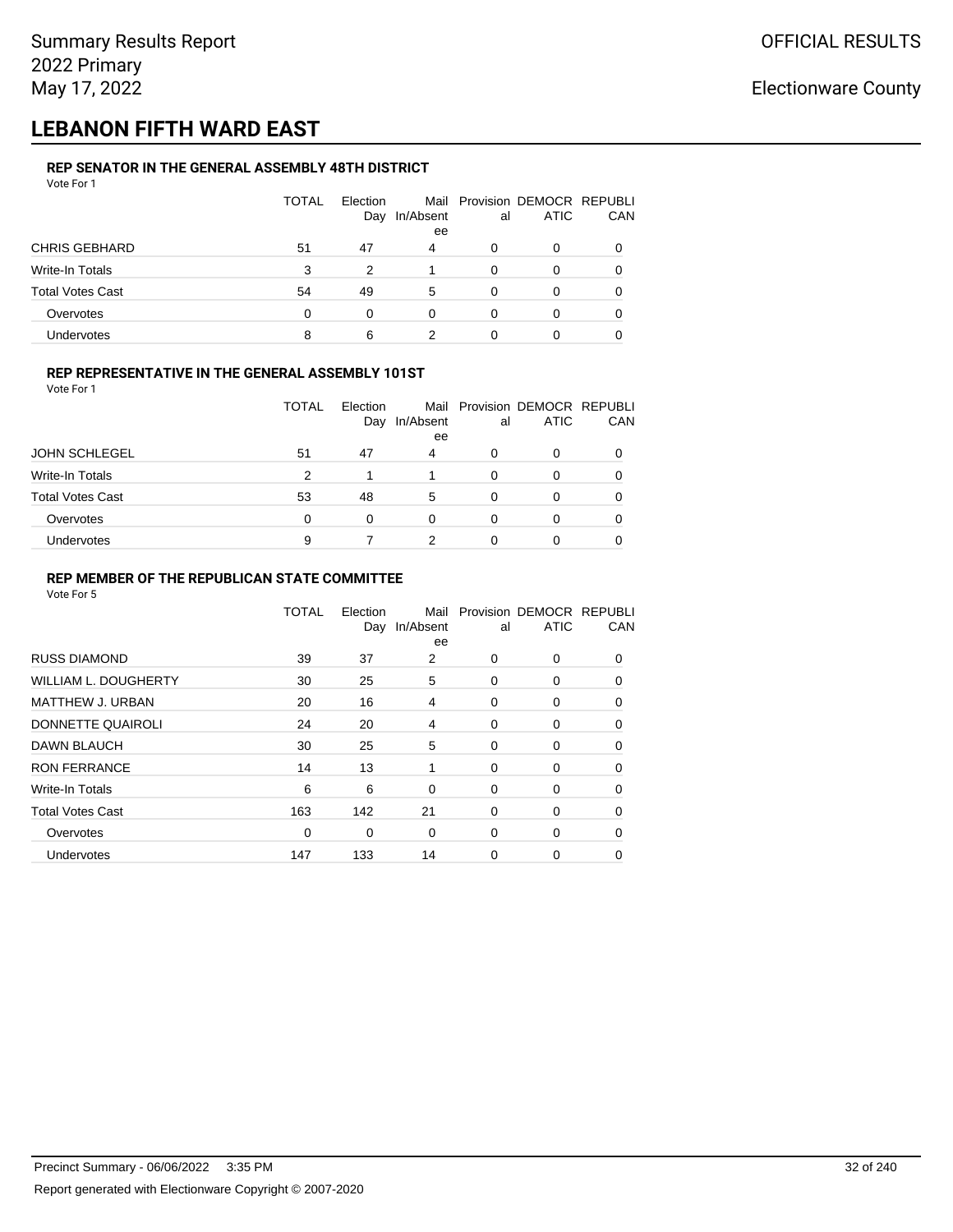## **LEBANON FIFTH WARD EAST**

#### **REP SENATOR IN THE GENERAL ASSEMBLY 48TH DISTRICT** Vote For 1

| VULCIUII                |              |                 |           |    |                                              |     |
|-------------------------|--------------|-----------------|-----------|----|----------------------------------------------|-----|
|                         | <b>TOTAL</b> | Election<br>Day | In/Absent | al | Mail Provision DEMOCR REPUBLI<br><b>ATIC</b> | CAN |
|                         |              |                 | ee        |    |                                              |     |
| <b>CHRIS GEBHARD</b>    | 51           | 47              | 4         | 0  | 0                                            |     |
| Write-In Totals         | 3            | 2               |           | 0  | 0                                            |     |
| <b>Total Votes Cast</b> | 54           | 49              | 5         | 0  | 0                                            |     |
| Overvotes               | $\Omega$     | 0               | 0         | 0  | 0                                            |     |
| Undervotes              | 8            | 6               |           |    | 0                                            |     |

### **REP REPRESENTATIVE IN THE GENERAL ASSEMBLY 101ST**

Vote For 1

|                         | <b>TOTAL</b> | Election |           |    | Mail Provision DEMOCR REPUBLI |            |
|-------------------------|--------------|----------|-----------|----|-------------------------------|------------|
|                         |              | Day      | In/Absent | al | <b>ATIC</b>                   | <b>CAN</b> |
|                         |              |          | ee        |    |                               |            |
| <b>JOHN SCHLEGEL</b>    | 51           | 47       | 4         | 0  | <sup>0</sup>                  | 0          |
| Write-In Totals         | 2            |          |           | 0  |                               | 0          |
| <b>Total Votes Cast</b> | 53           | 48       | 5         | 0  |                               | 0          |
| Overvotes               | 0            | 0        | 0         | 0  |                               | 0          |
| Undervotes              | 9            |          | 2         |    |                               | 0          |

#### **REP MEMBER OF THE REPUBLICAN STATE COMMITTEE**

|                         | TOTAL | Election<br>Day | Mail<br>In/Absent<br>ee | al          | Provision DEMOCR REPUBLI<br><b>ATIC</b> | CAN      |
|-------------------------|-------|-----------------|-------------------------|-------------|-----------------------------------------|----------|
| <b>RUSS DIAMOND</b>     | 39    | 37              | 2                       | 0           | 0                                       | 0        |
| WILLIAM L. DOUGHERTY    | 30    | 25              | 5                       | 0           | 0                                       | $\Omega$ |
| <b>MATTHEW J. URBAN</b> | 20    | 16              | 4                       | 0           | 0                                       | 0        |
| DONNETTE QUAIROLI       | 24    | 20              | 4                       | 0           | 0                                       | $\Omega$ |
| <b>DAWN BLAUCH</b>      | 30    | 25              | 5                       | 0           | 0                                       | $\Omega$ |
| <b>RON FERRANCE</b>     | 14    | 13              | 1                       | 0           | 0                                       | $\Omega$ |
| Write-In Totals         | 6     | 6               | 0                       | 0           | 0                                       | 0        |
| <b>Total Votes Cast</b> | 163   | 142             | 21                      | $\mathbf 0$ | 0                                       | 0        |
| Overvotes               | 0     | 0               | $\mathbf 0$             | 0           | 0                                       | 0        |
| Undervotes              | 147   | 133             | 14                      | 0           | 0                                       | 0        |
|                         |       |                 |                         |             |                                         |          |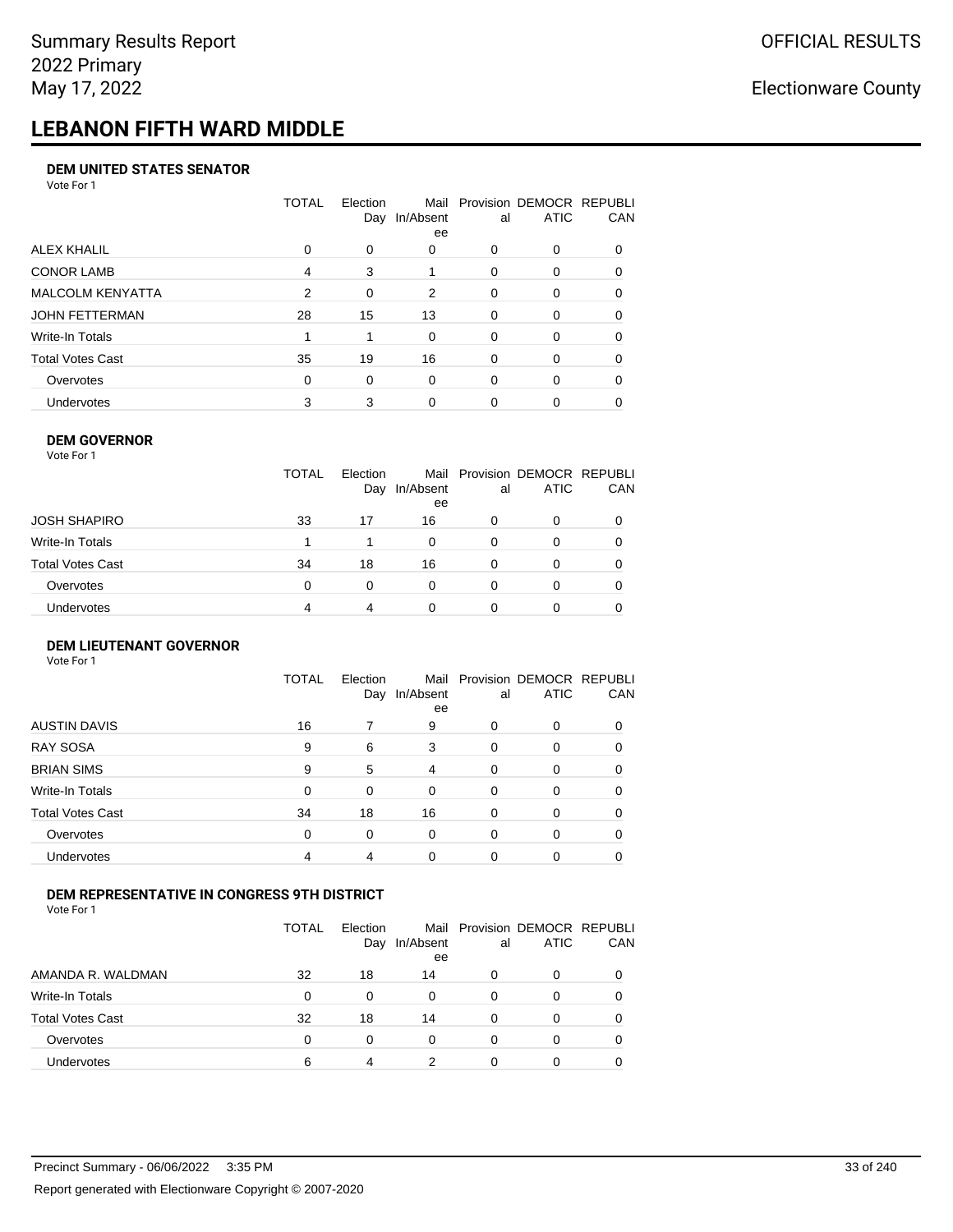# **LEBANON FIFTH WARD MIDDLE**

#### **DEM UNITED STATES SENATOR**

Vote For 1

|                         | TOTAL | Election<br>Day | Mail<br>In/Absent<br>ee | al       | Provision DEMOCR REPUBLI<br><b>ATIC</b> | CAN      |
|-------------------------|-------|-----------------|-------------------------|----------|-----------------------------------------|----------|
| ALEX KHALIL             | 0     | 0               | 0                       | 0        | 0                                       |          |
| <b>CONOR LAMB</b>       | 4     | 3               |                         | $\Omega$ | $\Omega$                                | 0        |
| <b>MALCOLM KENYATTA</b> | 2     | $\Omega$        | 2                       | $\Omega$ | 0                                       | 0        |
| JOHN FETTERMAN          | 28    | 15              | 13                      | $\Omega$ | 0                                       | $\Omega$ |
| Write-In Totals         |       |                 | 0                       | $\Omega$ | 0                                       | $\Omega$ |
| Total Votes Cast        | 35    | 19              | 16                      | $\Omega$ | $\Omega$                                | 0        |
| Overvotes               | 0     | $\Omega$        | 0                       | $\Omega$ | $\Omega$                                | $\Omega$ |
| <b>Undervotes</b>       | 3     | 3               | $\Omega$                | 0        | 0                                       |          |

#### **DEM GOVERNOR**

| Vote For 1        |              |                 |                 |          |                                              |     |
|-------------------|--------------|-----------------|-----------------|----------|----------------------------------------------|-----|
|                   | <b>TOTAL</b> | Election<br>Day | In/Absent<br>ee | al       | Mail Provision DEMOCR REPUBLI<br><b>ATIC</b> | CAN |
| JOSH SHAPIRO      | 33           | 17              | 16              | 0        | 0                                            |     |
| Write-In Totals   |              |                 | $\Omega$        | $\Omega$ | 0                                            |     |
| Total Votes Cast  | 34           | 18              | 16              | 0        | 0                                            |     |
| Overvotes         | 0            | 0               | $\Omega$        | $\Omega$ | 0                                            | O   |
| <b>Undervotes</b> | 4            | 4               | 0               |          | 0                                            |     |

#### **DEM LIEUTENANT GOVERNOR** Vote For 1

|                         | <b>TOTAL</b> | Election<br>Day | In/Absent<br>ee | al       | Mail Provision DEMOCR REPUBLI<br><b>ATIC</b> | CAN      |
|-------------------------|--------------|-----------------|-----------------|----------|----------------------------------------------|----------|
| <b>AUSTIN DAVIS</b>     | 16           |                 | 9               | $\Omega$ | 0                                            | 0        |
| <b>RAY SOSA</b>         | 9            | 6               | 3               | $\Omega$ | 0                                            | 0        |
| <b>BRIAN SIMS</b>       | 9            | 5               | 4               | $\Omega$ | 0                                            | 0        |
| Write-In Totals         | $\Omega$     | $\Omega$        | $\Omega$        | $\Omega$ | 0                                            | 0        |
| <b>Total Votes Cast</b> | 34           | 18              | 16              | $\Omega$ | 0                                            | $\Omega$ |
| Overvotes               | $\Omega$     | 0               | $\Omega$        | $\Omega$ | 0                                            | 0        |
| Undervotes              | 4            | 4               | $\Omega$        | $\Omega$ | 0                                            | 0        |

### **DEM REPRESENTATIVE IN CONGRESS 9TH DISTRICT**

Vote For 1

|                         | TOTAL | <b>Flection</b><br>Day | Mail<br>In/Absent<br>ee | al | Provision DEMOCR REPUBLI<br><b>ATIC</b> | <b>CAN</b> |
|-------------------------|-------|------------------------|-------------------------|----|-----------------------------------------|------------|
| AMANDA R. WALDMAN       | 32    | 18                     | 14                      | O  | 0                                       | 0          |
| Write-In Totals         | 0     | 0                      | 0                       | Ω  |                                         | 0          |
| <b>Total Votes Cast</b> | 32    | 18                     | 14                      | 0  |                                         | 0          |
| Overvotes               | 0     | 0                      | 0                       | 0  | 0                                       | 0          |
| Undervotes              | 6     | 4                      |                         |    |                                         |            |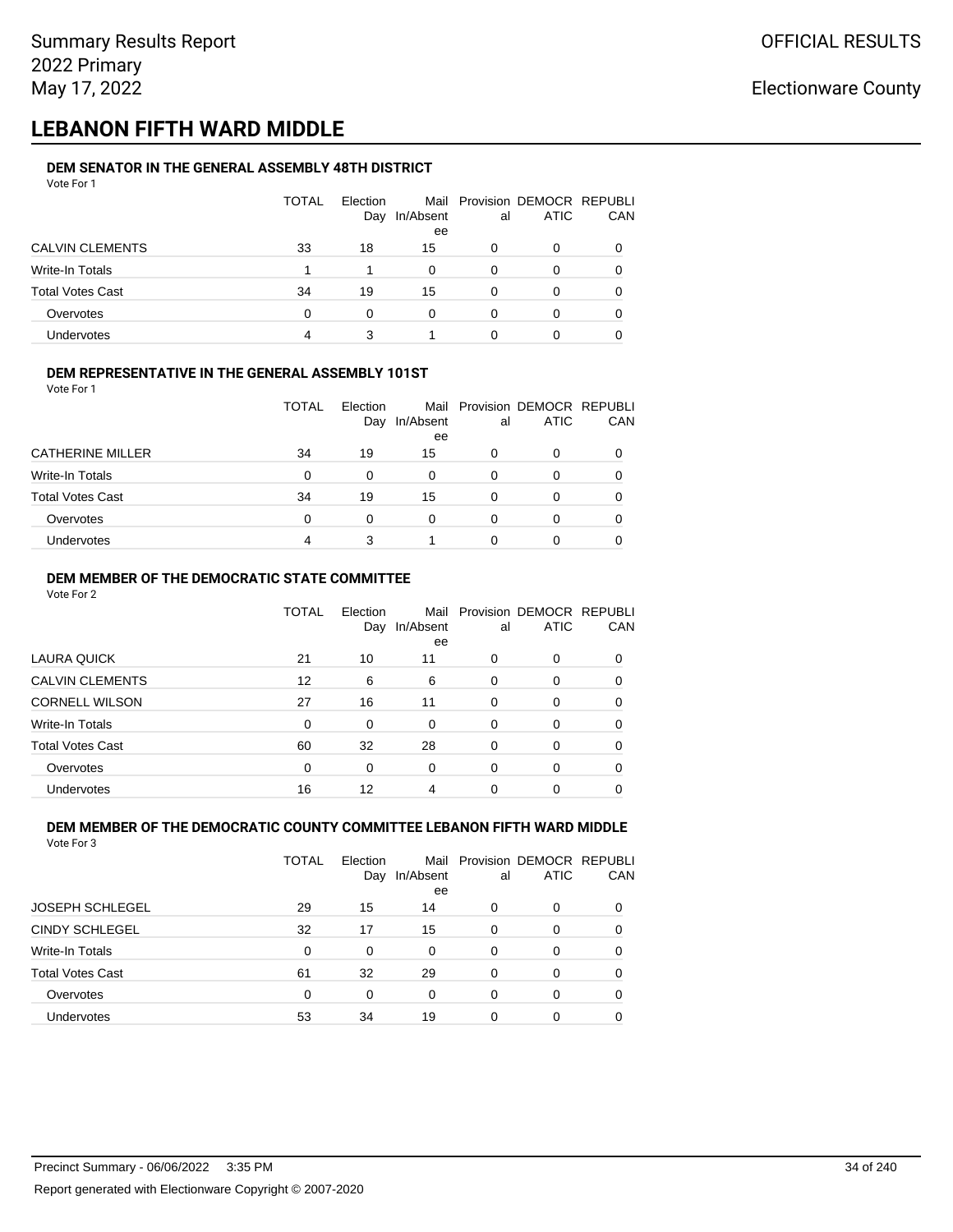## **LEBANON FIFTH WARD MIDDLE**

#### **DEM SENATOR IN THE GENERAL ASSEMBLY 48TH DISTRICT** Vote For 1

| 1 J J J J J J           |              |                 |                 |    |                                              |            |
|-------------------------|--------------|-----------------|-----------------|----|----------------------------------------------|------------|
|                         | <b>TOTAL</b> | Election<br>Day | In/Absent<br>ee | al | Mail Provision DEMOCR REPUBLI<br><b>ATIC</b> | <b>CAN</b> |
| <b>CALVIN CLEMENTS</b>  | 33           | 18              | 15              | O  | 0                                            | 0          |
| Write-In Totals         |              |                 | 0               | 0  | 0                                            | 0          |
| <b>Total Votes Cast</b> | 34           | 19              | 15              | O  | 0                                            | 0          |
| Overvotes               | 0            | $\Omega$        | 0               | 0  |                                              | 0          |
| <b>Undervotes</b>       | 4            |                 |                 |    |                                              |            |

### **DEM REPRESENTATIVE IN THE GENERAL ASSEMBLY 101ST**

Vote For 1

|                         | TOTAL | Election<br>Day | In/Absent | al | Mail Provision DEMOCR REPUBLI<br><b>ATIC</b> | <b>CAN</b> |
|-------------------------|-------|-----------------|-----------|----|----------------------------------------------|------------|
|                         |       |                 | ee        |    |                                              |            |
| <b>CATHERINE MILLER</b> | 34    | 19              | 15        | Ω  |                                              | 0          |
| Write-In Totals         | 0     |                 | 0         | 0  |                                              | 0          |
| <b>Total Votes Cast</b> | 34    | 19              | 15        | 0  |                                              | 0          |
| Overvotes               | 0     | 0               | 0         | O  |                                              | 0          |
| Undervotes              | 4     |                 |           |    |                                              |            |

### **DEM MEMBER OF THE DEMOCRATIC STATE COMMITTEE**

Vote For 2

|                         | TOTAL    | Election<br>Day | Mail<br>In/Absent<br>ee | al       | Provision DEMOCR REPUBLI<br><b>ATIC</b> | CAN |
|-------------------------|----------|-----------------|-------------------------|----------|-----------------------------------------|-----|
| LAURA QUICK             | 21       | 10              | 11                      | 0        | 0                                       |     |
| <b>CALVIN CLEMENTS</b>  | 12       | 6               | 6                       | $\Omega$ | 0                                       |     |
| <b>CORNELL WILSON</b>   | 27       | 16              | 11                      | $\Omega$ | $\Omega$                                | 0   |
| Write-In Totals         | $\Omega$ | 0               | $\Omega$                | 0        | 0                                       | 0   |
| <b>Total Votes Cast</b> | 60       | 32              | 28                      | $\Omega$ | 0                                       | 0   |
| Overvotes               | 0        | 0               | $\Omega$                | $\Omega$ | 0                                       | 0   |
| Undervotes              | 16       | 12              | 4                       | 0        | 0                                       |     |

#### **DEM MEMBER OF THE DEMOCRATIC COUNTY COMMITTEE LEBANON FIFTH WARD MIDDLE** Vote For 3

|                         | TOTAL | Election<br>Day | In/Absent<br>ee | al       | Mail Provision DEMOCR REPUBLI<br><b>ATIC</b> | CAN |
|-------------------------|-------|-----------------|-----------------|----------|----------------------------------------------|-----|
| <b>JOSEPH SCHLEGEL</b>  | 29    | 15              | 14              | 0        | 0                                            | 0   |
| <b>CINDY SCHLEGEL</b>   | 32    | 17              | 15              | 0        | 0                                            | 0   |
| Write-In Totals         | 0     | 0               | 0               | 0        | 0                                            | 0   |
| <b>Total Votes Cast</b> | 61    | 32              | 29              | $\Omega$ | $\Omega$                                     | 0   |
| Overvotes               | 0     | 0               | 0               | 0        | 0                                            | 0   |
| Undervotes              | 53    | 34              | 19              | 0        | 0                                            |     |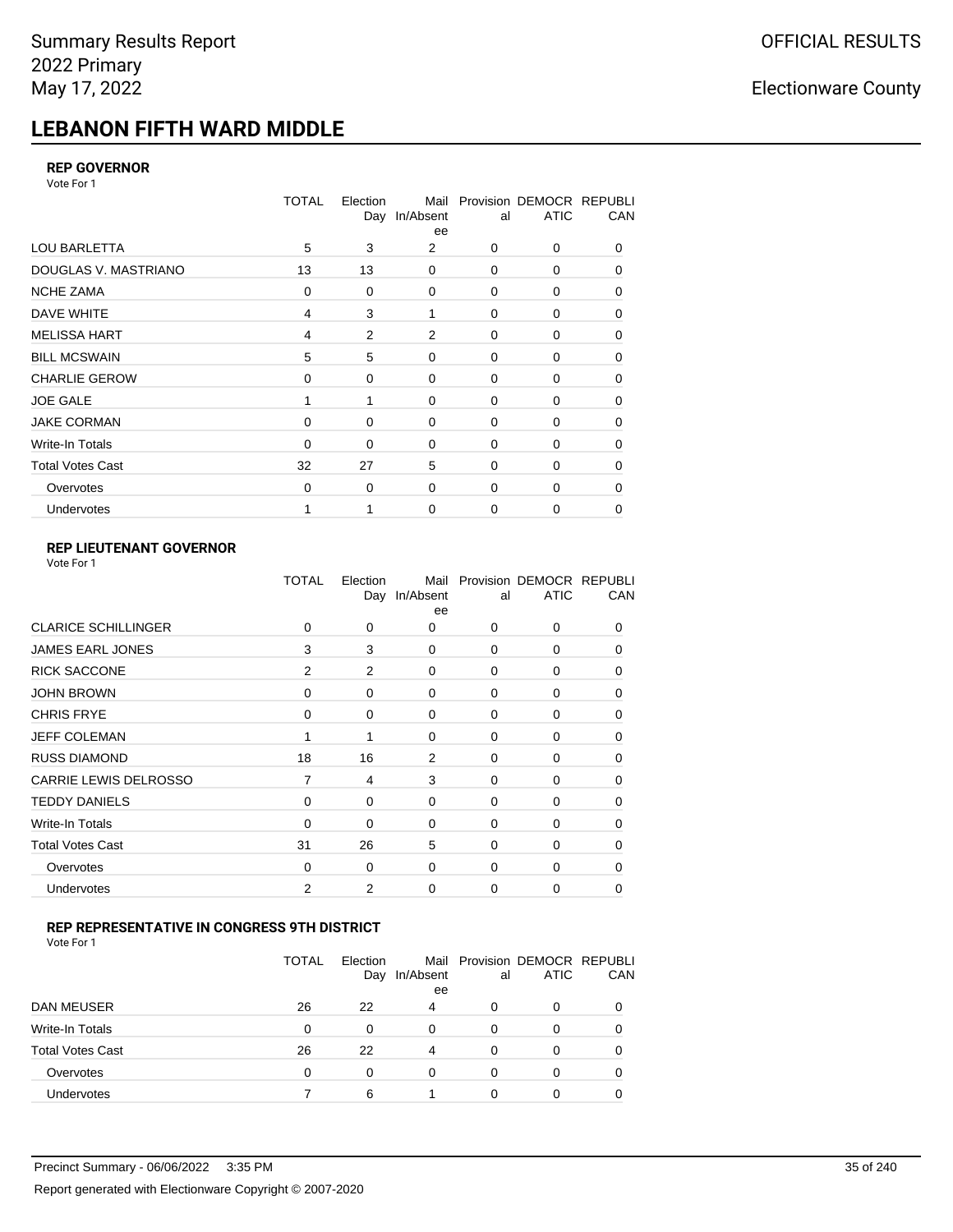# **LEBANON FIFTH WARD MIDDLE**

#### **REP GOVERNOR**

Vote For 1

|                         | <b>TOTAL</b> | Election<br>Day | Mail<br>In/Absent<br>ee | al          | Provision DEMOCR REPUBLI<br><b>ATIC</b> | CAN |
|-------------------------|--------------|-----------------|-------------------------|-------------|-----------------------------------------|-----|
| <b>LOU BARLETTA</b>     | 5            | 3               | 2                       | 0           | 0                                       | 0   |
| DOUGLAS V. MASTRIANO    | 13           | 13              | $\mathbf 0$             | $\mathbf 0$ | 0                                       | 0   |
| <b>NCHE ZAMA</b>        | 0            | 0               | $\mathbf 0$             | 0           | 0                                       | 0   |
| DAVE WHITE              | 4            | 3               | 1                       | $\mathbf 0$ | 0                                       | 0   |
| <b>MELISSA HART</b>     | 4            | 2               | 2                       | 0           | 0                                       | 0   |
| <b>BILL MCSWAIN</b>     | 5            | 5               | $\mathbf 0$             | $\mathbf 0$ | 0                                       | 0   |
| <b>CHARLIE GEROW</b>    | $\Omega$     | $\Omega$        | $\Omega$                | 0           | $\Omega$                                | 0   |
| <b>JOE GALE</b>         |              |                 | $\mathbf 0$             | $\mathbf 0$ | 0                                       | 0   |
| <b>JAKE CORMAN</b>      | $\Omega$     | 0               | $\mathbf 0$             | 0           | 0                                       | 0   |
| Write-In Totals         | $\Omega$     | 0               | $\mathbf 0$             | $\mathbf 0$ | $\Omega$                                | 0   |
| <b>Total Votes Cast</b> | 32           | 27              | 5                       | $\Omega$    | $\Omega$                                | 0   |
| Overvotes               | $\mathbf 0$  | 0               | $\mathbf 0$             | $\mathbf 0$ | $\Omega$                                | 0   |
| Undervotes              |              |                 | $\mathbf 0$             | 0           | 0                                       | 0   |

### **REP LIEUTENANT GOVERNOR**

|                            | TOTAL | Election | Mail<br>Day In/Absent<br>ee | al          | Provision DEMOCR REPUBLI<br><b>ATIC</b> | CAN          |
|----------------------------|-------|----------|-----------------------------|-------------|-----------------------------------------|--------------|
| <b>CLARICE SCHILLINGER</b> | 0     | 0        | 0                           | $\Omega$    | $\Omega$                                | 0            |
| <b>JAMES EARL JONES</b>    | 3     | 3        | 0                           | 0           | 0                                       | 0            |
| <b>RICK SACCONE</b>        | 2     | 2        | 0                           | $\Omega$    | 0                                       | 0            |
| <b>JOHN BROWN</b>          | 0     | 0        | $\Omega$                    | $\Omega$    | 0                                       | 0            |
| <b>CHRIS FRYE</b>          | 0     | 0        | 0                           | 0           | 0                                       | 0            |
| <b>JEFF COLEMAN</b>        |       | 1        | 0                           | $\mathbf 0$ | 0                                       | $\Omega$     |
| <b>RUSS DIAMOND</b>        | 18    | 16       | 2                           | 0           | 0                                       | 0            |
| CARRIE LEWIS DELROSSO      | 7     | 4        | 3                           | $\mathbf 0$ | 0                                       | 0            |
| <b>TEDDY DANIELS</b>       | 0     | 0        | 0                           | 0           | 0                                       | $\Omega$     |
| Write-In Totals            | 0     | 0        | 0                           | $\mathbf 0$ | 0                                       | 0            |
| <b>Total Votes Cast</b>    | 31    | 26       | 5                           | $\Omega$    | $\Omega$                                | $\Omega$     |
| Overvotes                  | 0     | 0        | 0                           | 0           | $\Omega$                                | <sup>0</sup> |
| Undervotes                 | 2     | 2        | 0                           | $\Omega$    | 0                                       | 0            |
|                            |       |          |                             |             |                                         |              |

#### **REP REPRESENTATIVE IN CONGRESS 9TH DISTRICT**

Vote For 1

|                         | <b>TOTAL</b> | Election<br>Day | In/Absent<br>ee | al | Mail Provision DEMOCR REPUBLI<br><b>ATIC</b> | <b>CAN</b> |
|-------------------------|--------------|-----------------|-----------------|----|----------------------------------------------|------------|
| DAN MEUSER              | 26           | 22              | 4               | O  | $\Omega$                                     | 0          |
| Write-In Totals         | 0            | 0               | $\Omega$        | 0  |                                              | 0          |
| <b>Total Votes Cast</b> | 26           | 22              | 4               | 0  | 0                                            | 0          |
| Overvotes               | 0            | 0               | 0               | 0  | $\Omega$                                     | 0          |
| <b>Undervotes</b>       |              | 6               |                 |    |                                              |            |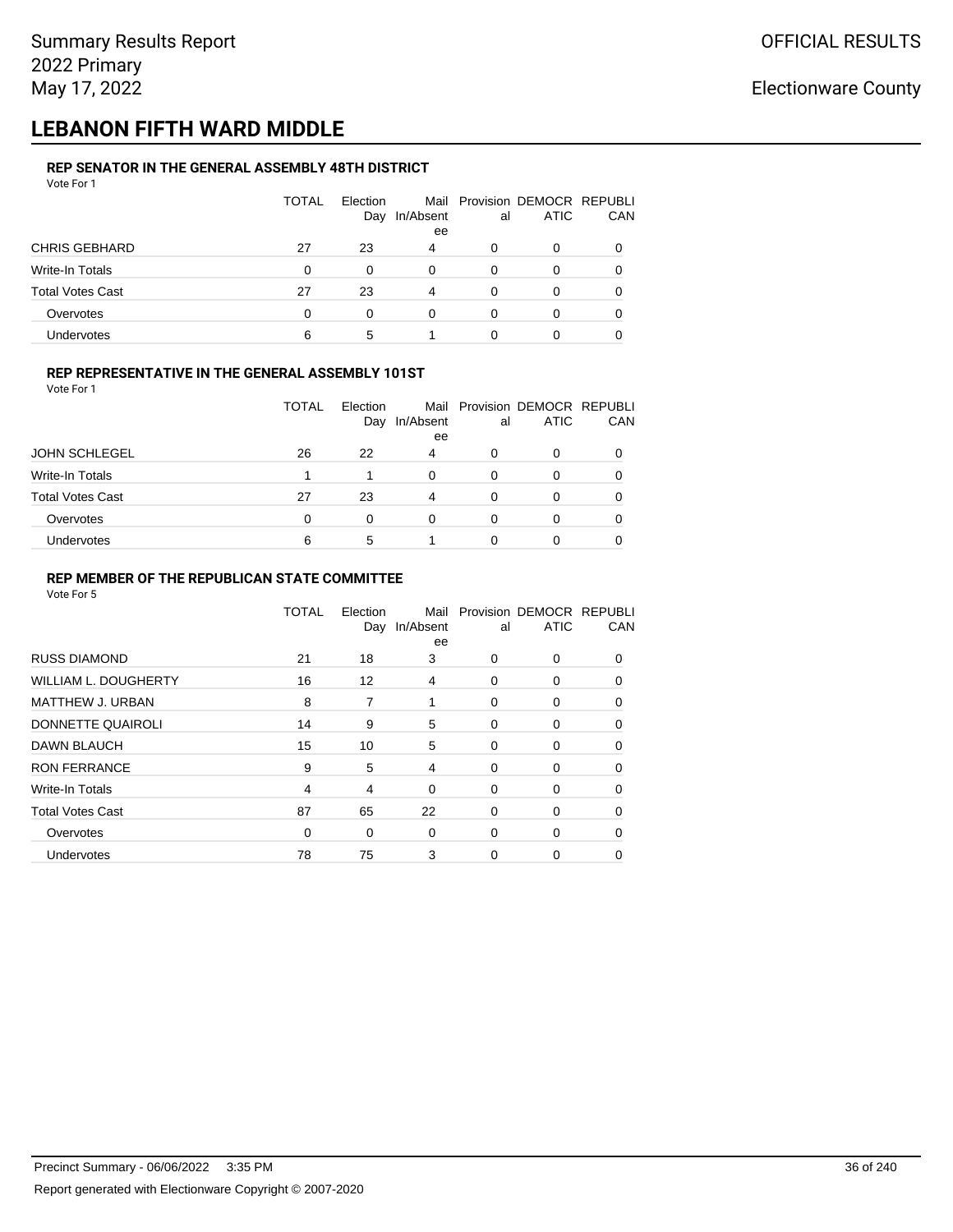## **LEBANON FIFTH WARD MIDDLE**

#### **REP SENATOR IN THE GENERAL ASSEMBLY 48TH DISTRICT** Vote For 1

| 1 U U U                 |              |                 |           |    |                                              |     |
|-------------------------|--------------|-----------------|-----------|----|----------------------------------------------|-----|
|                         | <b>TOTAL</b> | Election<br>Day | In/Absent | al | Mail Provision DEMOCR REPUBLI<br><b>ATIC</b> | CAN |
|                         |              |                 | ee        |    |                                              |     |
| <b>CHRIS GEBHARD</b>    | 27           | 23              | 4         | 0  | 0                                            |     |
| Write-In Totals         | $\Omega$     | 0               | 0         | 0  | O                                            |     |
| <b>Total Votes Cast</b> | 27           | 23              | 4         | 0  | 0                                            |     |
| Overvotes               | $\Omega$     | 0               | 0         | 0  | O                                            |     |
| Undervotes              | 6            | 5               |           |    |                                              |     |

### **REP REPRESENTATIVE IN THE GENERAL ASSEMBLY 101ST**

Vote For 1

|                         | TOTAL | Election |           |    | Mail Provision DEMOCR REPUBLI |            |
|-------------------------|-------|----------|-----------|----|-------------------------------|------------|
|                         |       | Day      | In/Absent | al | <b>ATIC</b>                   | <b>CAN</b> |
|                         |       |          | ee        |    |                               |            |
| <b>JOHN SCHLEGEL</b>    | 26    | 22       | 4         | 0  |                               | 0          |
| Write-In Totals         |       |          | 0         | 0  |                               | 0          |
| <b>Total Votes Cast</b> | 27    | 23       | 4         | 0  |                               | 0          |
| Overvotes               | 0     |          | 0         | 0  |                               | 0          |
| <b>Undervotes</b>       | 6     | 5        |           |    |                               |            |

#### **REP MEMBER OF THE REPUBLICAN STATE COMMITTEE**

|                             | TOTAL | Election<br>Day | Mail<br>In/Absent<br>ee | al          | Provision DEMOCR REPUBLI<br><b>ATIC</b> | CAN      |
|-----------------------------|-------|-----------------|-------------------------|-------------|-----------------------------------------|----------|
| <b>RUSS DIAMOND</b>         | 21    | 18              | 3                       | 0           | 0                                       | $\Omega$ |
| <b>WILLIAM L. DOUGHERTY</b> | 16    | 12              | 4                       | 0           | 0                                       | $\Omega$ |
| MATTHEW J. URBAN            | 8     | 7               | 1                       | 0           | 0                                       | $\Omega$ |
| DONNETTE QUAIROLI           | 14    | 9               | 5                       | 0           | 0                                       | $\Omega$ |
| <b>DAWN BLAUCH</b>          | 15    | 10              | 5                       | $\Omega$    | 0                                       | $\Omega$ |
| <b>RON FERRANCE</b>         | 9     | 5               | 4                       | 0           | 0                                       | $\Omega$ |
| Write-In Totals             | 4     | 4               | $\mathbf 0$             | 0           | 0                                       | 0        |
| <b>Total Votes Cast</b>     | 87    | 65              | 22                      | $\mathbf 0$ | 0                                       | 0        |
| Overvotes                   | 0     | 0               | $\mathbf 0$             | 0           | $\Omega$                                | 0        |
| Undervotes                  | 78    | 75              | 3                       | 0           | 0                                       | 0        |
|                             |       |                 |                         |             |                                         |          |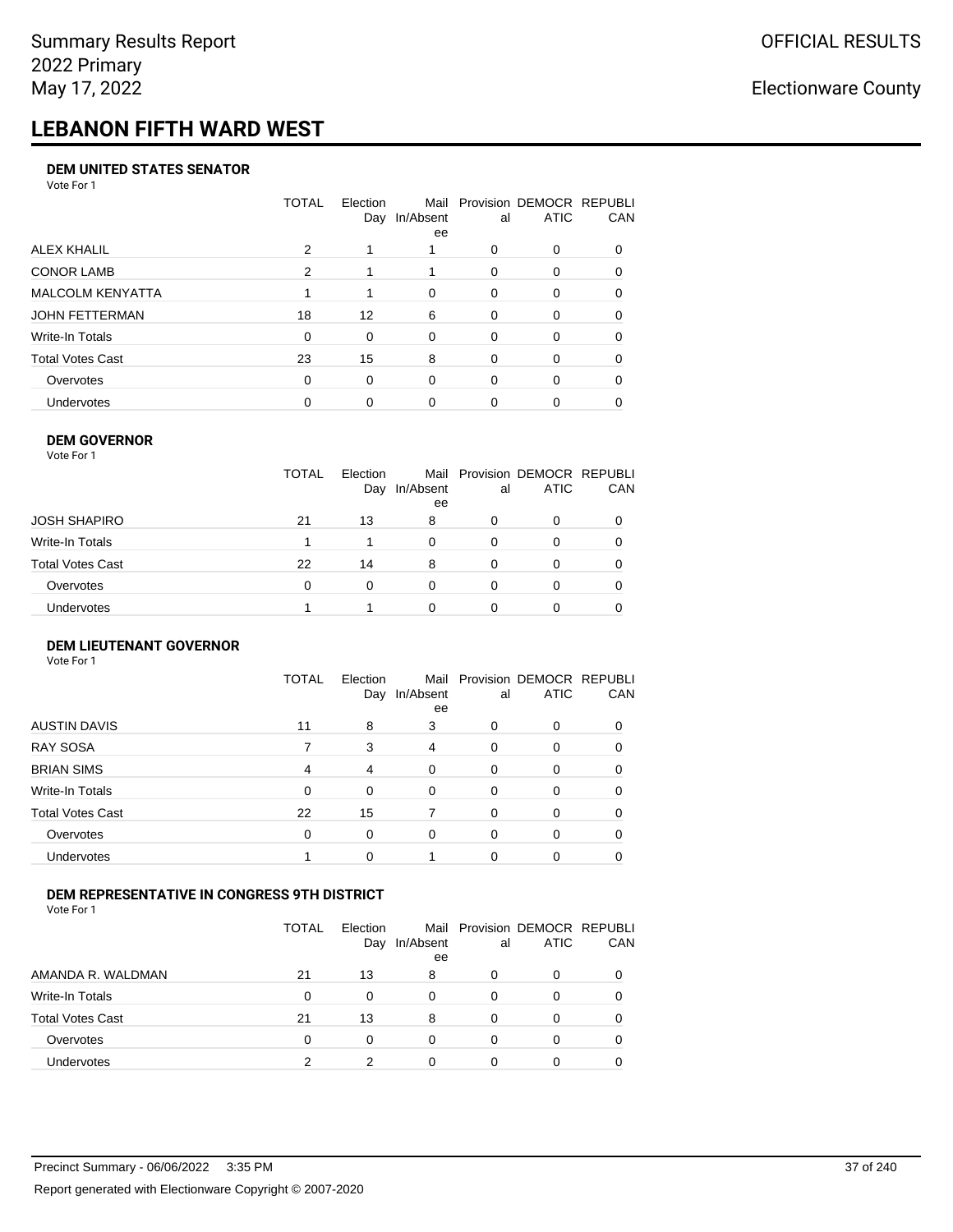# **LEBANON FIFTH WARD WEST**

#### **DEM UNITED STATES SENATOR**

Vote For 1

|                   | TOTAL | Election<br>Day | Mail<br>In/Absent<br>ee | al       | Provision DEMOCR REPUBLI<br><b>ATIC</b> | CAN      |
|-------------------|-------|-----------------|-------------------------|----------|-----------------------------------------|----------|
| ALEX KHALIL       | 2     |                 |                         | O        | 0                                       |          |
| <b>CONOR LAMB</b> | 2     |                 |                         | $\Omega$ | 0                                       | $\Omega$ |
| MALCOLM KENYATTA  |       |                 | 0                       | $\Omega$ | 0                                       | $\Omega$ |
| JOHN FETTERMAN    | 18    | 12              | 6                       | $\Omega$ | 0                                       | 0        |
| Write-In Totals   | 0     | $\Omega$        | $\Omega$                | $\Omega$ | 0                                       | $\Omega$ |
| Total Votes Cast  | 23    | 15              | 8                       | $\Omega$ | $\Omega$                                | 0        |
| Overvotes         | 0     | $\Omega$        | $\Omega$                | $\Omega$ | $\Omega$                                | 0        |
| <b>Undervotes</b> | 0     | 0               | $\Omega$                |          | 0                                       |          |

#### **DEM GOVERNOR**

| Vote For 1       |              |                 |                 |          |                                              |     |
|------------------|--------------|-----------------|-----------------|----------|----------------------------------------------|-----|
|                  | <b>TOTAL</b> | Election<br>Day | In/Absent<br>ee | al       | Mail Provision DEMOCR REPUBLI<br><b>ATIC</b> | CAN |
| JOSH SHAPIRO     | 21           | 13              | 8               | 0        | 0                                            |     |
| Write-In Totals  |              |                 | $\Omega$        | $\Omega$ | $\Omega$                                     |     |
| Total Votes Cast | 22           | 14              | 8               | 0        | 0                                            |     |
| Overvotes        | 0            | 0               | $\Omega$        | $\Omega$ | 0                                            |     |
| Undervotes       |              |                 | 0               |          | 0                                            |     |

#### **DEM LIEUTENANT GOVERNOR** Vote For 1

|                         | <b>TOTAL</b> | Election<br>Day | In/Absent<br>ee | al       | Mail Provision DEMOCR REPUBLI<br><b>ATIC</b> | CAN |
|-------------------------|--------------|-----------------|-----------------|----------|----------------------------------------------|-----|
| <b>AUSTIN DAVIS</b>     | 11           | 8               | 3               | 0        | 0                                            |     |
| <b>RAY SOSA</b>         |              | 3               | 4               | 0        | 0                                            | 0   |
| <b>BRIAN SIMS</b>       | 4            | 4               | $\Omega$        | $\Omega$ | 0                                            | 0   |
| Write-In Totals         | $\Omega$     | $\Omega$        | $\Omega$        | $\Omega$ | $\Omega$                                     | 0   |
| <b>Total Votes Cast</b> | 22           | 15              | 7               | $\Omega$ | $\Omega$                                     | 0   |
| Overvotes               | $\Omega$     | $\Omega$        | $\Omega$        | $\Omega$ | $\Omega$                                     | 0   |
| Undervotes              |              | 0               |                 | $\Omega$ | 0                                            | 0   |

## **DEM REPRESENTATIVE IN CONGRESS 9TH DISTRICT**

|                         | TOTAL | <b>Flection</b><br>Day | Mail<br>In/Absent<br>ee | al | Provision DEMOCR REPUBLI<br><b>ATIC</b> | <b>CAN</b> |
|-------------------------|-------|------------------------|-------------------------|----|-----------------------------------------|------------|
| AMANDA R. WALDMAN       | 21    | 13                     | 8                       | O  | 0                                       | 0          |
| Write-In Totals         | 0     | 0                      | 0                       | Ω  |                                         | 0          |
| <b>Total Votes Cast</b> | 21    | 13                     | 8                       | 0  |                                         | 0          |
| Overvotes               | 0     | 0                      | 0                       | 0  | 0                                       | 0          |
| Undervotes              | ົ     |                        |                         |    |                                         |            |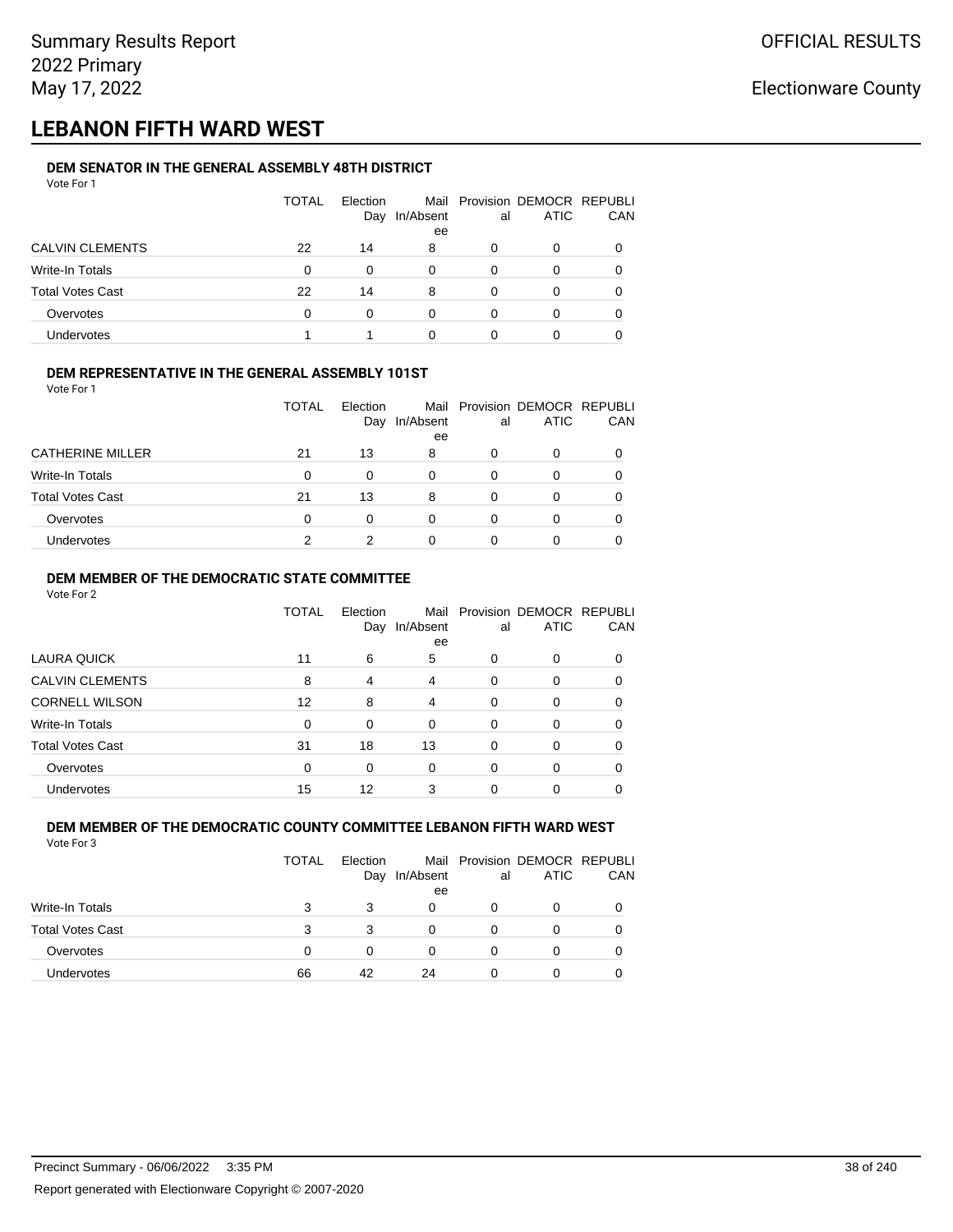## **LEBANON FIFTH WARD WEST**

#### **DEM SENATOR IN THE GENERAL ASSEMBLY 48TH DISTRICT** Vote For 1

| <u>VULGIUI</u>          |       |                 |           |    |                                              |            |
|-------------------------|-------|-----------------|-----------|----|----------------------------------------------|------------|
|                         | TOTAL | Election<br>Day | In/Absent | al | Mail Provision DEMOCR REPUBLI<br><b>ATIC</b> | <b>CAN</b> |
|                         |       |                 | ee        |    |                                              |            |
| <b>CALVIN CLEMENTS</b>  | 22    | 14              | 8         | O  | 0                                            | 0          |
| Write-In Totals         | 0     | $\Omega$        | 0         | 0  | 0                                            | 0          |
| <b>Total Votes Cast</b> | 22    | 14              | 8         | 0  | 0                                            | 0          |
| Overvotes               | 0     | 0               | 0         | O  |                                              | 0          |
| <b>Undervotes</b>       |       |                 | 0         |    |                                              |            |

## **DEM REPRESENTATIVE IN THE GENERAL ASSEMBLY 101ST**

Vote For 1

|                         | <b>TOTAL</b> | Election<br>Day | In/Absent | al | Mail Provision DEMOCR REPUBLI<br><b>ATIC</b> | <b>CAN</b> |
|-------------------------|--------------|-----------------|-----------|----|----------------------------------------------|------------|
|                         |              |                 | ee        |    |                                              |            |
| <b>CATHERINE MILLER</b> | 21           | 13              | 8         | O  | <sup>0</sup>                                 | 0          |
| Write-In Totals         | 0            | 0               | 0         | O  |                                              | 0          |
| <b>Total Votes Cast</b> | 21           | 13              | 8         |    |                                              | 0          |
| Overvotes               | 0            | 0               | 0         | 0  |                                              | 0          |
| Undervotes              |              |                 | 0         |    |                                              |            |

## **DEM MEMBER OF THE DEMOCRATIC STATE COMMITTEE**

Vote For 2

|                         | TOTAL    | Election<br>Day | In/Absent<br>ee | al       | Mail Provision DEMOCR REPUBLI<br><b>ATIC</b> | CAN |
|-------------------------|----------|-----------------|-----------------|----------|----------------------------------------------|-----|
| LAURA QUICK             | 11       | 6               | 5               | 0        | 0                                            |     |
| <b>CALVIN CLEMENTS</b>  | 8        | 4               | 4               | $\Omega$ | 0                                            |     |
| <b>CORNELL WILSON</b>   | 12       | 8               | 4               | $\Omega$ | 0                                            |     |
| Write-In Totals         | $\Omega$ | $\Omega$        | $\Omega$        | $\Omega$ | $\Omega$                                     |     |
| <b>Total Votes Cast</b> | 31       | 18              | 13              | 0        | 0                                            | 0   |
| Overvotes               | $\Omega$ | $\Omega$        | $\Omega$        | $\Omega$ | 0                                            |     |
| <b>Undervotes</b>       | 15       | 12              | 3               | 0        | ი                                            |     |

#### **DEM MEMBER OF THE DEMOCRATIC COUNTY COMMITTEE LEBANON FIFTH WARD WEST** Vote For 3

|                         | TOTAL | Election<br>Day | In/Absent<br>ee | al | Mail Provision DEMOCR REPUBLI<br><b>ATIC</b> | CAN |
|-------------------------|-------|-----------------|-----------------|----|----------------------------------------------|-----|
| Write-In Totals         | 3     | 3               | 0               |    |                                              |     |
| <b>Total Votes Cast</b> | 3     | 3               |                 |    | 0                                            |     |
| Overvotes               | 0     | O               |                 |    | 0                                            |     |
| <b>Undervotes</b>       | 66    | 42              | 24              |    | 0                                            |     |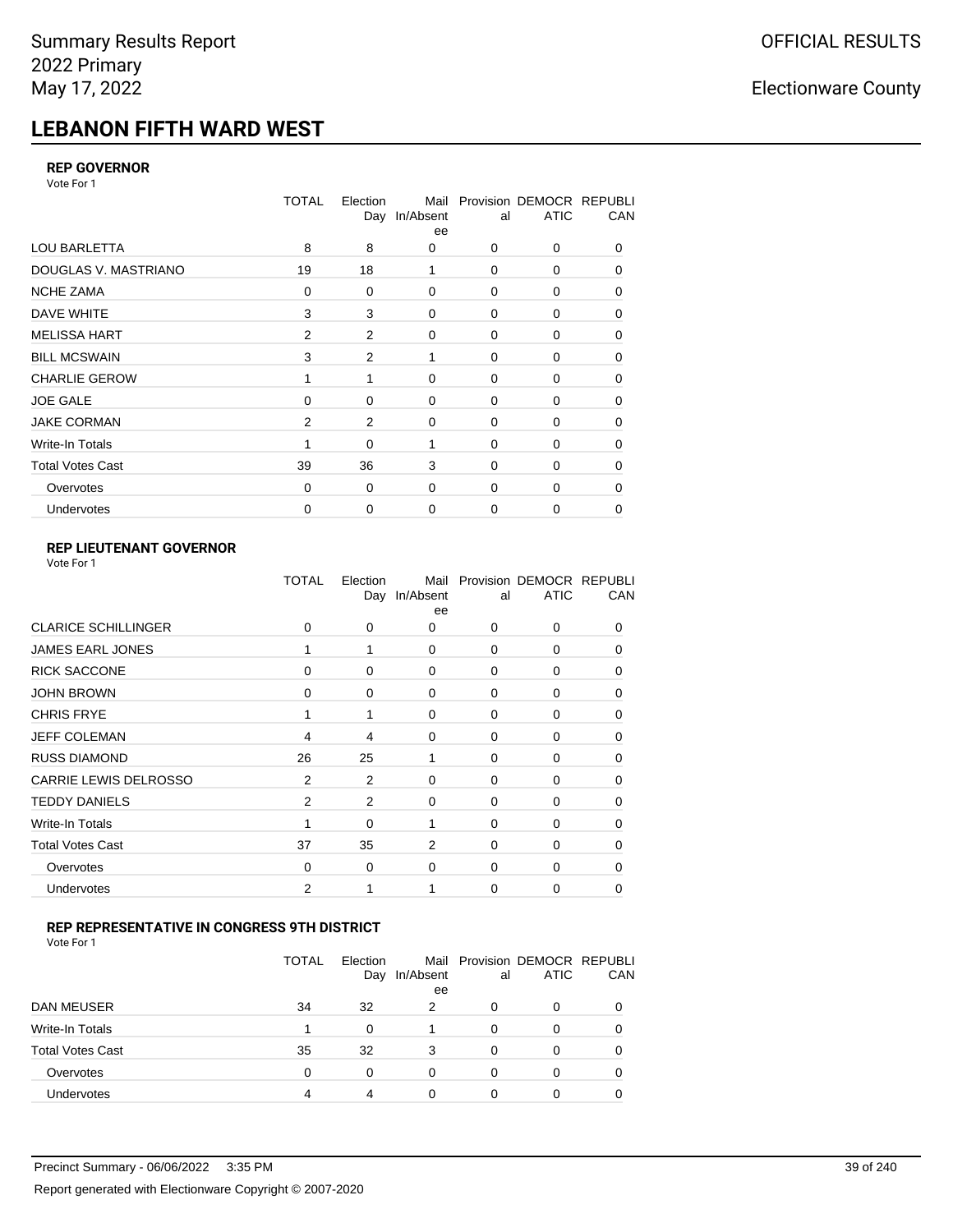# **LEBANON FIFTH WARD WEST**

### **REP GOVERNOR**

Vote For 1

|                         | <b>TOTAL</b> | Election<br>Day | Mail<br>In/Absent<br>ee | al          | Provision DEMOCR REPUBLI<br><b>ATIC</b> | CAN |
|-------------------------|--------------|-----------------|-------------------------|-------------|-----------------------------------------|-----|
| <b>LOU BARLETTA</b>     | 8            | 8               | 0                       | 0           | 0                                       | 0   |
| DOUGLAS V. MASTRIANO    | 19           | 18              | 1                       | $\mathbf 0$ | 0                                       | 0   |
| <b>NCHE ZAMA</b>        | 0            | 0               | $\mathbf 0$             | 0           | 0                                       | 0   |
| DAVE WHITE              | 3            | 3               | $\mathbf 0$             | $\mathbf 0$ | 0                                       | 0   |
| <b>MELISSA HART</b>     | 2            | 2               | $\mathbf 0$             | 0           | 0                                       | 0   |
| <b>BILL MCSWAIN</b>     | 3            | 2               | 1                       | $\mathbf 0$ | 0                                       | 0   |
| <b>CHARLIE GEROW</b>    | 1            | 1               | $\Omega$                | $\Omega$    | $\Omega$                                | 0   |
| <b>JOE GALE</b>         | $\Omega$     | 0               | $\mathbf 0$             | $\mathbf 0$ | 0                                       | 0   |
| <b>JAKE CORMAN</b>      | 2            | 2               | $\mathbf 0$             | 0           | 0                                       | 0   |
| Write-In Totals         |              | 0               | 1                       | $\mathbf 0$ | $\Omega$                                | 0   |
| <b>Total Votes Cast</b> | 39           | 36              | 3                       | $\Omega$    | $\Omega$                                | 0   |
| Overvotes               | 0            | 0               | $\mathbf 0$             | $\mathbf 0$ | 0                                       | 0   |
| Undervotes              | 0            | 0               | $\mathbf 0$             | 0           | 0                                       | 0   |

## **REP LIEUTENANT GOVERNOR**

| Vote For 1 |  |
|------------|--|
|------------|--|

|                            | TOTAL          | Election | Mail<br>Day In/Absent<br>ee | al          | Provision DEMOCR REPUBLI<br><b>ATIC</b> | CAN          |
|----------------------------|----------------|----------|-----------------------------|-------------|-----------------------------------------|--------------|
| <b>CLARICE SCHILLINGER</b> | 0              | 0        | 0                           | $\Omega$    | $\Omega$                                | 0            |
| <b>JAMES EARL JONES</b>    |                |          | $\Omega$                    | 0           | 0                                       | 0            |
| <b>RICK SACCONE</b>        | 0              | $\Omega$ | 0                           | $\Omega$    | 0                                       | $\Omega$     |
| <b>JOHN BROWN</b>          | 0              | 0        | $\Omega$                    | $\Omega$    | 0                                       | 0            |
| <b>CHRIS FRYE</b>          | 1              | 1        | 0                           | 0           | 0                                       | 0            |
| <b>JEFF COLEMAN</b>        | 4              | 4        | 0                           | $\mathbf 0$ | 0                                       | $\Omega$     |
| <b>RUSS DIAMOND</b>        | 26             | 25       | 1                           | $\Omega$    | 0                                       | 0            |
| CARRIE LEWIS DELROSSO      | $\overline{2}$ | 2        | 0                           | 0           | 0                                       | 0            |
| <b>TEDDY DANIELS</b>       | $\overline{2}$ | 2        | 0                           | $\Omega$    | 0                                       | $\Omega$     |
| Write-In Totals            |                | $\Omega$ | 1                           | $\Omega$    | 0                                       | 0            |
| <b>Total Votes Cast</b>    | 37             | 35       | 2                           | $\Omega$    | $\Omega$                                | $\Omega$     |
| Overvotes                  | 0              | 0        | 0                           | 0           | $\Omega$                                | <sup>0</sup> |
| Undervotes                 | 2              |          |                             | $\Omega$    | 0                                       | 0            |
|                            |                |          |                             |             |                                         |              |

#### **REP REPRESENTATIVE IN CONGRESS 9TH DISTRICT**

|                         | <b>TOTAL</b> | Election<br>Day | In/Absent<br>ee | al | Mail Provision DEMOCR REPUBLI<br><b>ATIC</b> | <b>CAN</b> |
|-------------------------|--------------|-----------------|-----------------|----|----------------------------------------------|------------|
| DAN MEUSER              | 34           | 32              | 2               | O  | $\Omega$                                     | 0          |
| Write-In Totals         | 1            | O               |                 | 0  |                                              | 0          |
| <b>Total Votes Cast</b> | 35           | 32              | 3               | 0  | 0                                            | 0          |
| Overvotes               | 0            | 0               | $\Omega$        | 0  | $\Omega$                                     | 0          |
| <b>Undervotes</b>       | 4            |                 | 0               |    |                                              |            |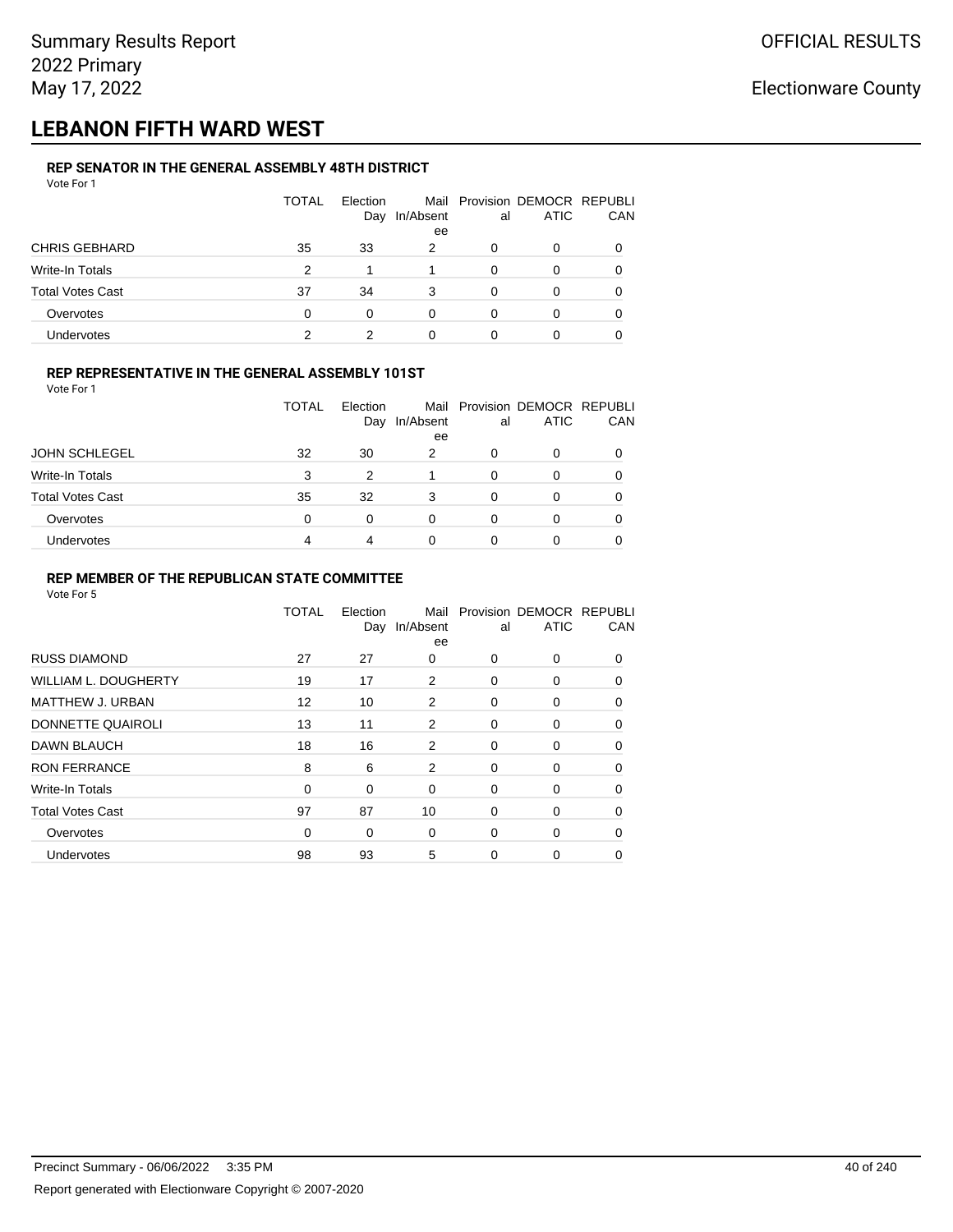## **LEBANON FIFTH WARD WEST**

#### **REP SENATOR IN THE GENERAL ASSEMBLY 48TH DISTRICT** Vote For 1

| 1 U U U                 |              |                 |                 |    |                                              |     |
|-------------------------|--------------|-----------------|-----------------|----|----------------------------------------------|-----|
|                         | <b>TOTAL</b> | Election<br>Day | In/Absent<br>ee | al | Mail Provision DEMOCR REPUBLI<br><b>ATIC</b> | CAN |
|                         |              |                 |                 |    |                                              |     |
| <b>CHRIS GEBHARD</b>    | 35           | 33              | 2               | 0  | 0                                            |     |
| Write-In Totals         | 2            |                 |                 | 0  | 0                                            |     |
| <b>Total Votes Cast</b> | 37           | 34              | 3               | 0  | 0                                            |     |
| Overvotes               | 0            | 0               | 0               | 0  | O                                            |     |
| Undervotes              | 2            | 2               |                 |    |                                              |     |

## **REP REPRESENTATIVE IN THE GENERAL ASSEMBLY 101ST**

Vote For 1

|                         | <b>TOTAL</b> | Election |           |    | Mail Provision DEMOCR REPUBLI |            |
|-------------------------|--------------|----------|-----------|----|-------------------------------|------------|
|                         |              | Day      | In/Absent | al | <b>ATIC</b>                   | <b>CAN</b> |
|                         |              |          | ee        |    |                               |            |
| <b>JOHN SCHLEGEL</b>    | 32           | 30       | 2         | O  |                               | 0          |
| Write-In Totals         | 3            | 2        |           | 0  |                               | 0          |
| <b>Total Votes Cast</b> | 35           | 32       | 3         | 0  | ∩                             | 0          |
| Overvotes               | 0            | 0        | 0         | 0  |                               | 0          |
| Undervotes              | 4            |          | 0         |    |                               |            |

## **REP MEMBER OF THE REPUBLICAN STATE COMMITTEE**

|                             | TOTAL       | Election<br>Day | Mail<br>In/Absent<br>ee | al       | Provision DEMOCR REPUBLI<br><b>ATIC</b> | CAN      |
|-----------------------------|-------------|-----------------|-------------------------|----------|-----------------------------------------|----------|
| <b>RUSS DIAMOND</b>         | 27          | 27              | 0                       | $\Omega$ | $\Omega$                                | $\Omega$ |
| <b>WILLIAM L. DOUGHERTY</b> | 19          | 17              | 2                       | 0        | 0                                       | 0        |
| MATTHEW J. URBAN            | 12          | 10              | 2                       | 0        | 0                                       | $\Omega$ |
| DONNETTE QUAIROLI           | 13          | 11              | 2                       | $\Omega$ | $\Omega$                                | $\Omega$ |
| <b>DAWN BLAUCH</b>          | 18          | 16              | 2                       | 0        | 0                                       | $\Omega$ |
| <b>RON FERRANCE</b>         | 8           | 6               | 2                       | 0        | 0                                       | 0        |
| Write-In Totals             | 0           | 0               | $\Omega$                | 0        | 0                                       | 0        |
| <b>Total Votes Cast</b>     | 97          | 87              | 10                      | 0        | 0                                       | 0        |
| Overvotes                   | $\mathbf 0$ | 0               | 0                       | 0        | 0                                       | 0        |
| <b>Undervotes</b>           | 98          | 93              | 5                       | 0        | 0                                       | 0        |
|                             |             |                 |                         |          |                                         |          |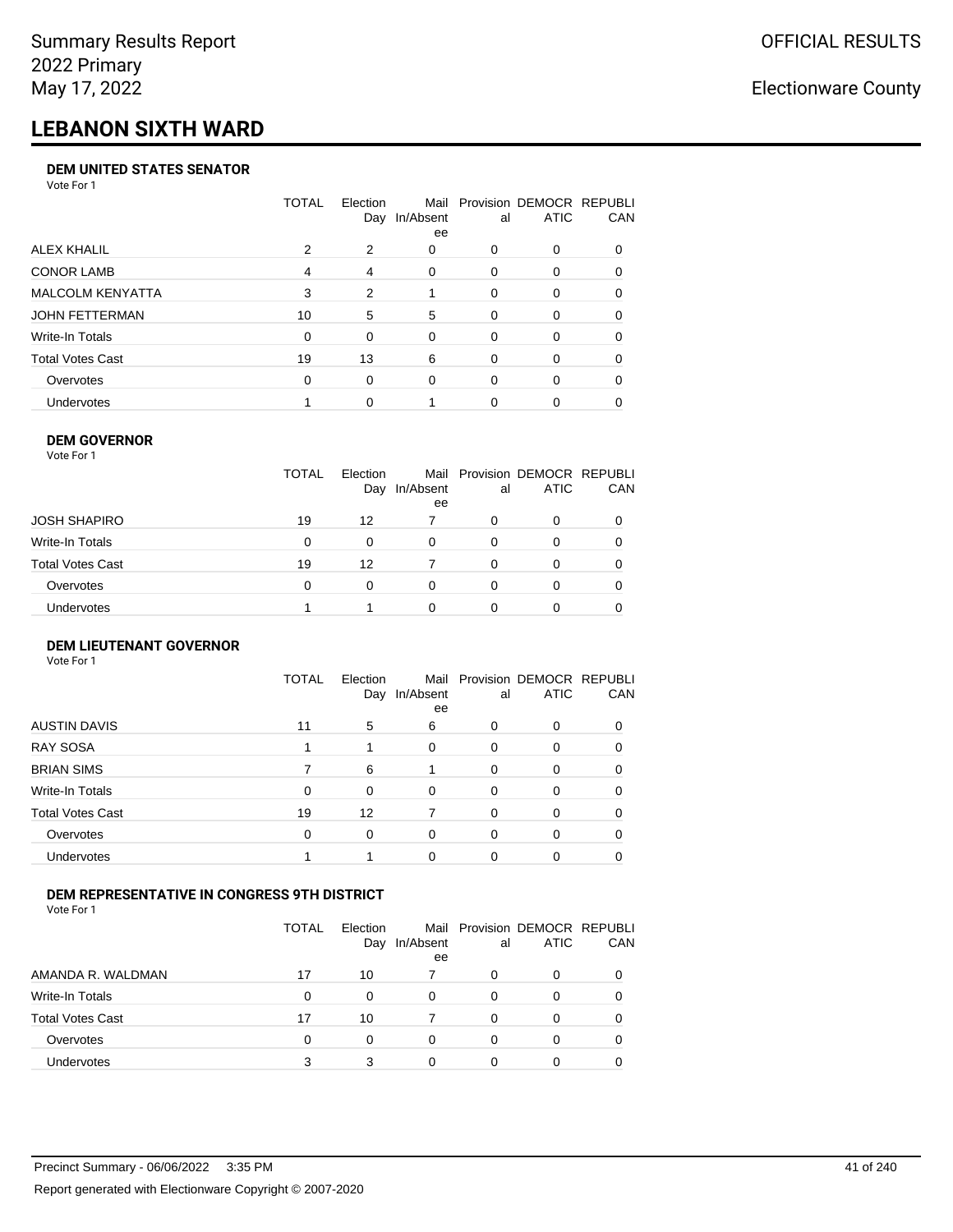# **LEBANON SIXTH WARD**

## **DEM UNITED STATES SENATOR**

Vote For 1

|                         | TOTAL | Election | Mail<br>Day In/Absent<br>ee | al | Provision DEMOCR REPUBLI<br>ATIC | <b>CAN</b> |
|-------------------------|-------|----------|-----------------------------|----|----------------------------------|------------|
| ALEX KHALIL             | 2     | 2        | 0                           | 0  | $\Omega$                         | 0          |
| <b>CONOR LAMB</b>       | 4     | 4        | 0                           | 0  | $\Omega$                         | 0          |
| <b>MALCOLM KENYATTA</b> | 3     | 2        |                             | 0  | $\Omega$                         | 0          |
| JOHN FETTERMAN          | 10    | 5        | 5                           | 0  | $\Omega$                         | $\Omega$   |
| Write-In Totals         | 0     | $\Omega$ | $\Omega$                    | 0  | $\Omega$                         | $\Omega$   |
| <b>Total Votes Cast</b> | 19    | 13       | 6                           | 0  | $\Omega$                         | $\Omega$   |
| Overvotes               | 0     | 0        | $\Omega$                    | 0  | $\Omega$                         | 0          |
| <b>Undervotes</b>       |       | $\Omega$ |                             | 0  | $\Omega$                         | 0          |

#### **DEM GOVERNOR**

| Vote For 1       |              |                 |                 |          |                                              |          |
|------------------|--------------|-----------------|-----------------|----------|----------------------------------------------|----------|
|                  | <b>TOTAL</b> | Election<br>Day | In/Absent<br>ee | al       | Mail Provision DEMOCR REPUBLI<br><b>ATIC</b> | CAN      |
| JOSH SHAPIRO     | 19           | 12              |                 | 0        | 0                                            |          |
| Write-In Totals  | 0            | $\Omega$        | 0               | $\Omega$ | 0                                            | $\Omega$ |
| Total Votes Cast | 19           | 12              | 7               | $\Omega$ | 0                                            | 0        |
| Overvotes        | 0            | 0               | $\Omega$        | 0        | 0                                            |          |
| Undervotes       |              |                 | 0               |          | 0                                            |          |

#### **DEM LIEUTENANT GOVERNOR** Vote For 1

|                         | <b>TOTAL</b> | Election<br>Day | In/Absent<br>ee | al       | Mail Provision DEMOCR REPUBLI<br><b>ATIC</b> | CAN |
|-------------------------|--------------|-----------------|-----------------|----------|----------------------------------------------|-----|
| <b>AUSTIN DAVIS</b>     | 11           | 5               | 6               | 0        | 0                                            |     |
| <b>RAY SOSA</b>         |              | 1               | 0               | $\Omega$ | 0                                            | 0   |
| <b>BRIAN SIMS</b>       |              | 6               |                 | $\Omega$ | 0                                            | 0   |
| Write-In Totals         | $\Omega$     | $\Omega$        | $\Omega$        | $\Omega$ | 0                                            | 0   |
| <b>Total Votes Cast</b> | 19           | 12              | 7               | $\Omega$ | 0                                            | 0   |
| Overvotes               | $\Omega$     | $\Omega$        | $\Omega$        | $\Omega$ | 0                                            | 0   |
| <b>Undervotes</b>       |              |                 | $\Omega$        | $\Omega$ | 0                                            |     |

## **DEM REPRESENTATIVE IN CONGRESS 9TH DISTRICT**

Vote For 1

|                         | TOTAL | <b>Flection</b><br>Day | In/Absent<br>ee | al | Mail Provision DEMOCR REPUBLI<br><b>ATIC</b> | <b>CAN</b> |
|-------------------------|-------|------------------------|-----------------|----|----------------------------------------------|------------|
| AMANDA R. WALDMAN       | 17    | 10                     |                 | 0  | 0                                            | 0          |
| Write-In Totals         | 0     | 0                      | 0               | Ω  |                                              | 0          |
| <b>Total Votes Cast</b> | 17    | 10                     |                 | Ω  |                                              | 0          |
| Overvotes               | 0     | 0                      | 0               | 0  | 0                                            | 0          |
| Undervotes              |       |                        |                 |    |                                              |            |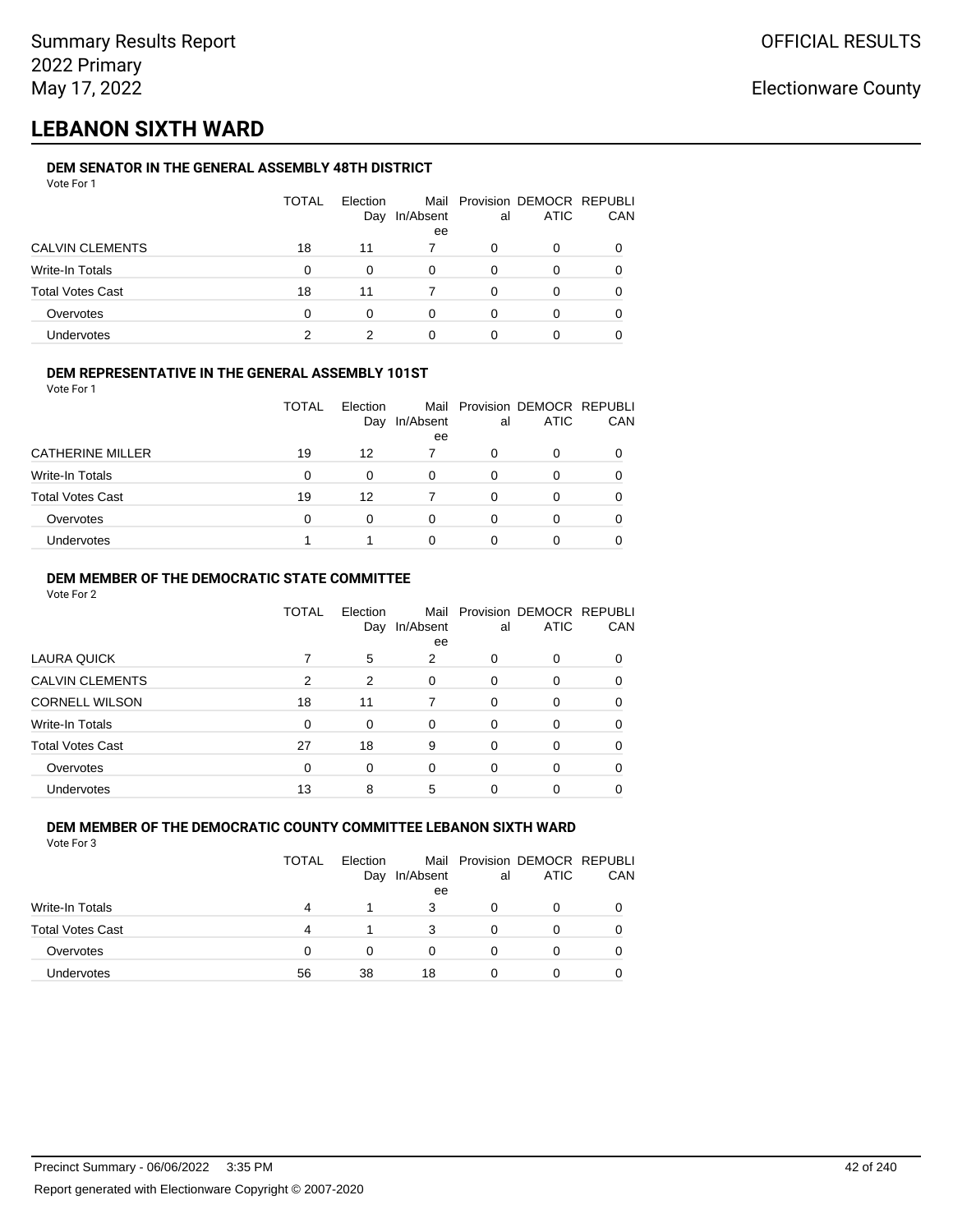## **LEBANON SIXTH WARD**

#### **DEM SENATOR IN THE GENERAL ASSEMBLY 48TH DISTRICT** Vote For 1

| 1 U U U                 |              |                 |           |    |                                              |              |
|-------------------------|--------------|-----------------|-----------|----|----------------------------------------------|--------------|
|                         | <b>TOTAL</b> | Election<br>Day | In/Absent | al | Mail Provision DEMOCR REPUBLI<br><b>ATIC</b> | CAN          |
|                         |              |                 | ee        |    |                                              |              |
| <b>CALVIN CLEMENTS</b>  | 18           | 11              |           | 0  | O                                            |              |
| Write-In Totals         | $\Omega$     | 0               | 0         | 0  | O                                            |              |
| <b>Total Votes Cast</b> | 18           | 11              |           | 0  | 0                                            | <sup>0</sup> |
| Overvotes               | 0            | 0               |           | 0  | O                                            |              |
| <b>Undervotes</b>       |              | 2               |           |    | 0                                            |              |

## **DEM REPRESENTATIVE IN THE GENERAL ASSEMBLY 101ST**

Vote For 1

|                         | TOTAL | Election |                 |    | Mail Provision DEMOCR REPUBLI<br><b>ATIC</b> | <b>CAN</b> |
|-------------------------|-------|----------|-----------------|----|----------------------------------------------|------------|
|                         |       | Day      | In/Absent<br>ee | al |                                              |            |
| <b>CATHERINE MILLER</b> | 19    | 12       |                 | O  |                                              | 0          |
| Write-In Totals         | 0     |          | 0               | 0  |                                              | 0          |
| <b>Total Votes Cast</b> | 19    | 12       |                 | ∩  |                                              | 0          |
| Overvotes               | 0     | 0        | 0               | O  |                                              | 0          |
| Undervotes              |       |          | 0               |    |                                              |            |

## **DEM MEMBER OF THE DEMOCRATIC STATE COMMITTEE**

Vote For 2

|                         | TOTAL    | Election<br>Day | In/Absent<br>ee | al       | Mail Provision DEMOCR REPUBLI<br><b>ATIC</b> | CAN |
|-------------------------|----------|-----------------|-----------------|----------|----------------------------------------------|-----|
| LAURA QUICK             |          | 5               | 2               | 0        | 0                                            |     |
| <b>CALVIN CLEMENTS</b>  | 2        | 2               | $\Omega$        | 0        | 0                                            |     |
| <b>CORNELL WILSON</b>   | 18       | 11              |                 | $\Omega$ | 0                                            |     |
| Write-In Totals         | $\Omega$ | $\Omega$        | $\Omega$        | $\Omega$ | $\Omega$                                     |     |
| <b>Total Votes Cast</b> | 27       | 18              | 9               | 0        | 0                                            | 0   |
| Overvotes               | $\Omega$ | 0               | $\Omega$        | $\Omega$ | 0                                            | 0   |
| <b>Undervotes</b>       | 13       | 8               | 5               | 0        | ი                                            |     |

#### **DEM MEMBER OF THE DEMOCRATIC COUNTY COMMITTEE LEBANON SIXTH WARD** Vote For 3

|                         | <b>TOTAL</b> | Election<br>Day | In/Absent<br>ee | al | Mail Provision DEMOCR REPUBLI<br><b>ATIC</b> | CAN |
|-------------------------|--------------|-----------------|-----------------|----|----------------------------------------------|-----|
| Write-In Totals         | 4            |                 | 3               |    | Ω                                            |     |
| <b>Total Votes Cast</b> | 4            |                 | 3               |    | 0                                            |     |
| Overvotes               | 0            | O               |                 |    | $\Omega$                                     |     |
| <b>Undervotes</b>       | 56           | 38              | 18              |    | 0                                            |     |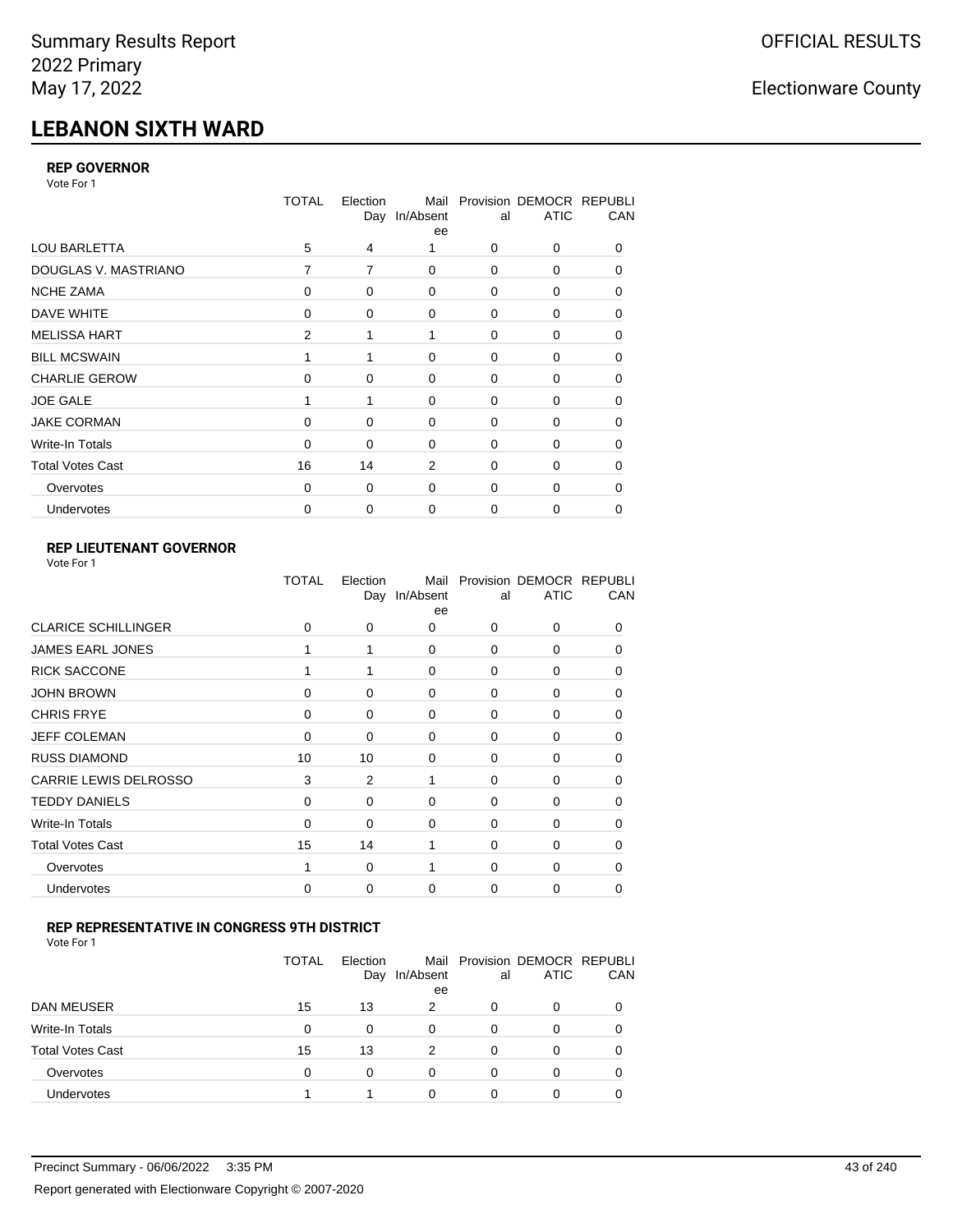# **LEBANON SIXTH WARD**

## **REP GOVERNOR**

Vote For 1

|                         | <b>TOTAL</b> | Election | Mail<br>Day In/Absent<br>ee | al          | Provision DEMOCR REPUBLI<br><b>ATIC</b> | CAN      |
|-------------------------|--------------|----------|-----------------------------|-------------|-----------------------------------------|----------|
| <b>LOU BARLETTA</b>     | 5            | 4        |                             | 0           | 0                                       | 0        |
| DOUGLAS V. MASTRIANO    | 7            | 7        | $\mathbf 0$                 | 0           | 0                                       | 0        |
| <b>NCHE ZAMA</b>        | 0            | 0        | $\Omega$                    | 0           | 0                                       | 0        |
| DAVE WHITE              | 0            | 0        | $\mathbf 0$                 | 0           | 0                                       | 0        |
| <b>MELISSA HART</b>     | 2            |          | 1                           | $\Omega$    | $\Omega$                                | $\Omega$ |
| <b>BILL MCSWAIN</b>     |              |          | $\mathbf 0$                 | $\mathbf 0$ | 0                                       | 0        |
| <b>CHARLIE GEROW</b>    | $\Omega$     | $\Omega$ | $\Omega$                    | $\mathbf 0$ | 0                                       | 0        |
| <b>JOE GALE</b>         |              |          | $\mathbf 0$                 | $\mathbf 0$ | 0                                       | 0        |
| <b>JAKE CORMAN</b>      | $\Omega$     | 0        | $\Omega$                    | $\mathbf 0$ | 0                                       | 0        |
| Write-In Totals         | $\Omega$     | 0        | $\Omega$                    | 0           | $\Omega$                                | 0        |
| <b>Total Votes Cast</b> | 16           | 14       | 2                           | $\Omega$    | $\Omega$                                | $\Omega$ |
| Overvotes               | 0            | 0        | $\mathbf 0$                 | $\mathbf 0$ | $\Omega$                                | 0        |
| Undervotes              | 0            | 0        | 0                           | 0           | 0                                       | 0        |

## **REP LIEUTENANT GOVERNOR**

| Vote For 1 |  |
|------------|--|
|------------|--|

|                              | TOTAL       | Election<br>Day | Mail<br>In/Absent<br>ee | al          | Provision DEMOCR REPUBLI<br><b>ATIC</b> | CAN          |
|------------------------------|-------------|-----------------|-------------------------|-------------|-----------------------------------------|--------------|
| <b>CLARICE SCHILLINGER</b>   | 0           | 0               | $\Omega$                | $\Omega$    | $\Omega$                                | 0            |
| <b>JAMES EARL JONES</b>      |             |                 | $\Omega$                | 0           | 0                                       | 0            |
| <b>RICK SACCONE</b>          | 1           | 1               | $\Omega$                | $\Omega$    | 0                                       | $\Omega$     |
| <b>JOHN BROWN</b>            | $\Omega$    | 0               | $\Omega$                | $\Omega$    | 0                                       | 0            |
| <b>CHRIS FRYE</b>            | $\mathbf 0$ | 0               | 0                       | 0           | 0                                       | 0            |
| <b>JEFF COLEMAN</b>          | 0           | 0               | 0                       | $\mathbf 0$ | 0                                       | $\Omega$     |
| <b>RUSS DIAMOND</b>          | 10          | 10              | 0                       | 0           | 0                                       | $\Omega$     |
| <b>CARRIE LEWIS DELROSSO</b> | 3           | 2               | 1                       | 0           | 0                                       | 0            |
| <b>TEDDY DANIELS</b>         | $\mathbf 0$ | 0               | $\Omega$                | 0           | 0                                       | $\Omega$     |
| Write-In Totals              | $\Omega$    | $\Omega$        | 0                       | 0           | 0                                       | 0            |
| <b>Total Votes Cast</b>      | 15          | 14              | 1                       | $\Omega$    | $\Omega$                                | $\Omega$     |
| Overvotes                    |             | 0               | 1                       | $\mathbf 0$ | $\Omega$                                | <sup>0</sup> |
| Undervotes                   | 0           | 0               | $\Omega$                | $\Omega$    | 0                                       | 0            |
|                              |             |                 |                         |             |                                         |              |

## **REP REPRESENTATIVE IN CONGRESS 9TH DISTRICT**

Vote For 1

|                         | <b>TOTAL</b> | Election<br>Day | In/Absent<br>ee | al | Mail Provision DEMOCR REPUBLI<br><b>ATIC</b> | <b>CAN</b> |
|-------------------------|--------------|-----------------|-----------------|----|----------------------------------------------|------------|
| DAN MEUSER              | 15           | 13              | 2               | O  | $\Omega$                                     | 0          |
| Write-In Totals         | 0            | $\Omega$        | $\Omega$        | 0  |                                              | 0          |
| <b>Total Votes Cast</b> | 15           | 13              | 2               | 0  | 0                                            | 0          |
| Overvotes               | 0            | 0               | $\Omega$        | 0  | $\Omega$                                     | 0          |
| <b>Undervotes</b>       |              |                 | 0               |    |                                              |            |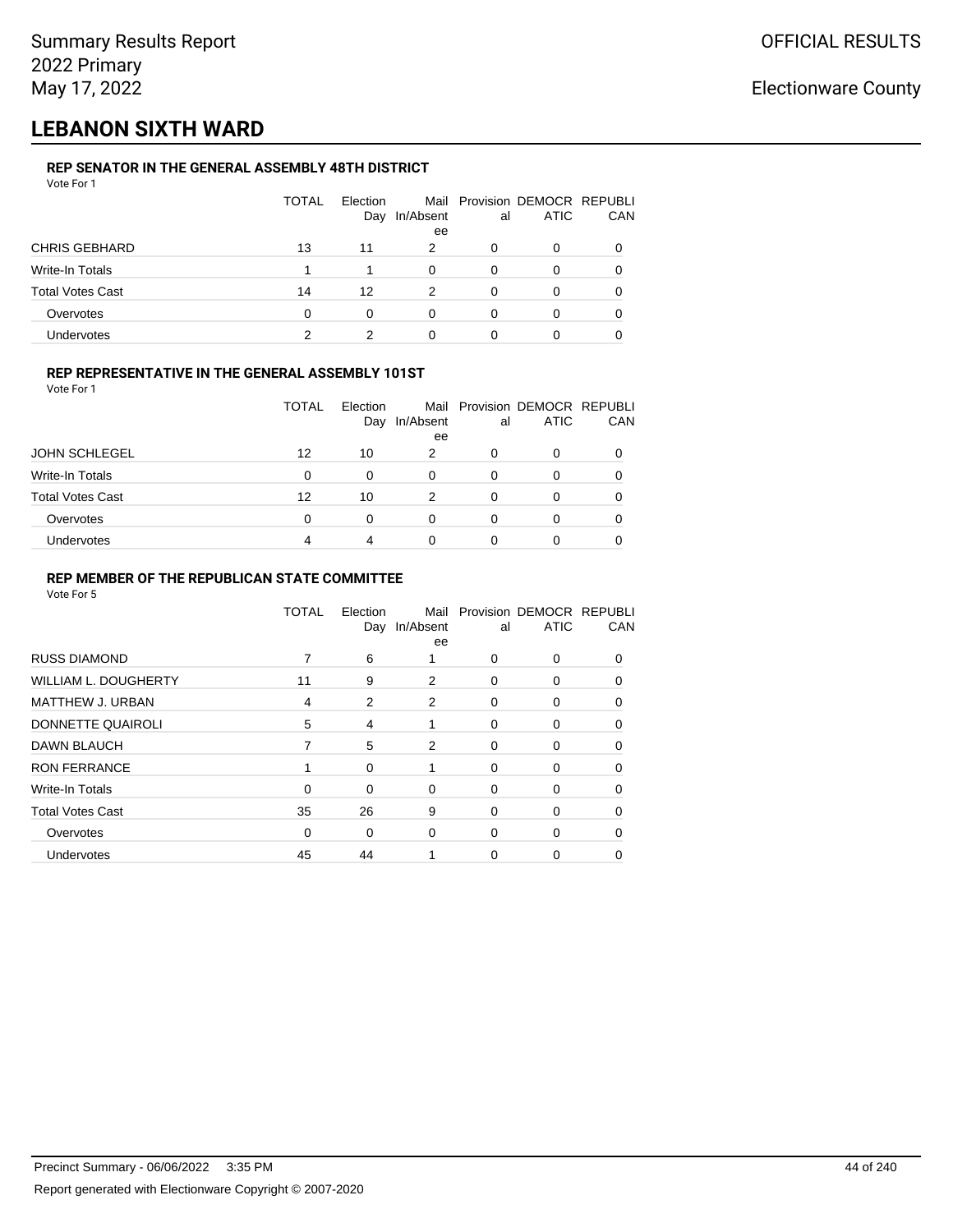## **LEBANON SIXTH WARD**

## **REP SENATOR IN THE GENERAL ASSEMBLY 48TH DISTRICT**

| Vote For 1              |       |                 |                 |    |                                              |     |
|-------------------------|-------|-----------------|-----------------|----|----------------------------------------------|-----|
|                         | TOTAL | Election<br>Day | In/Absent<br>ee | al | Mail Provision DEMOCR REPUBLI<br><b>ATIC</b> | CAN |
| <b>CHRIS GEBHARD</b>    | 13    | 11              | 2               | 0  | 0                                            |     |
| Write-In Totals         |       | 1               | $\Omega$        | 0  | 0                                            | 0   |
| <b>Total Votes Cast</b> | 14    | 12              | 2               | 0  | 0                                            |     |
| Overvotes               | 0     | 0               | 0               | 0  | 0                                            |     |
| Undervotes              | っ     | 2               |                 |    | ი                                            |     |
|                         |       |                 |                 |    |                                              |     |

## **REP REPRESENTATIVE IN THE GENERAL ASSEMBLY 101ST**

Vote For 1

|                         | <b>TOTAL</b> | Election |                 |              | Mail Provision DEMOCR REPUBLI |     |
|-------------------------|--------------|----------|-----------------|--------------|-------------------------------|-----|
|                         |              | Day      | In/Absent<br>ee | al           | <b>ATIC</b>                   | CAN |
| <b>JOHN SCHLEGEL</b>    | 12           | 10       | 2               | <sup>0</sup> | ი                             |     |
| Write-In Totals         | 0            | 0        | 0               |              | 0                             |     |
| <b>Total Votes Cast</b> | 12           | 10       | 2               |              | ი                             |     |
| Overvotes               | 0            | 0        | 0               |              | 0                             |     |
| Undervotes              | 4            | 4        | 0               |              |                               |     |

### **REP MEMBER OF THE REPUBLICAN STATE COMMITTEE**

|                             | TOTAL    | Election<br>Day | Mail<br>In/Absent<br>ee | al       | Provision DEMOCR REPUBLI<br><b>ATIC</b> | CAN      |
|-----------------------------|----------|-----------------|-------------------------|----------|-----------------------------------------|----------|
| <b>RUSS DIAMOND</b>         | 7        | 6               | 1                       | $\Omega$ | $\Omega$                                | $\Omega$ |
| <b>WILLIAM L. DOUGHERTY</b> | 11       | 9               | 2                       | 0        | 0                                       | 0        |
| MATTHEW J. URBAN            | 4        | 2               | 2                       | 0        | 0                                       | $\Omega$ |
| DONNETTE QUAIROLI           | 5        | 4               | 1                       | $\Omega$ | 0                                       | $\Omega$ |
| <b>DAWN BLAUCH</b>          | 7        | 5               | 2                       | 0        | 0                                       | $\Omega$ |
| <b>RON FERRANCE</b>         |          | 0               |                         | $\Omega$ | 0                                       | 0        |
| Write-In Totals             | $\Omega$ | 0               | 0                       | 0        | 0                                       | $\Omega$ |
| <b>Total Votes Cast</b>     | 35       | 26              | 9                       | 0        | 0                                       | $\Omega$ |
| Overvotes                   | 0        | 0               | $\mathbf 0$             | 0        | 0                                       | $\Omega$ |
| Undervotes                  | 45       | 44              |                         | 0        | 0                                       |          |
|                             |          |                 |                         |          |                                         |          |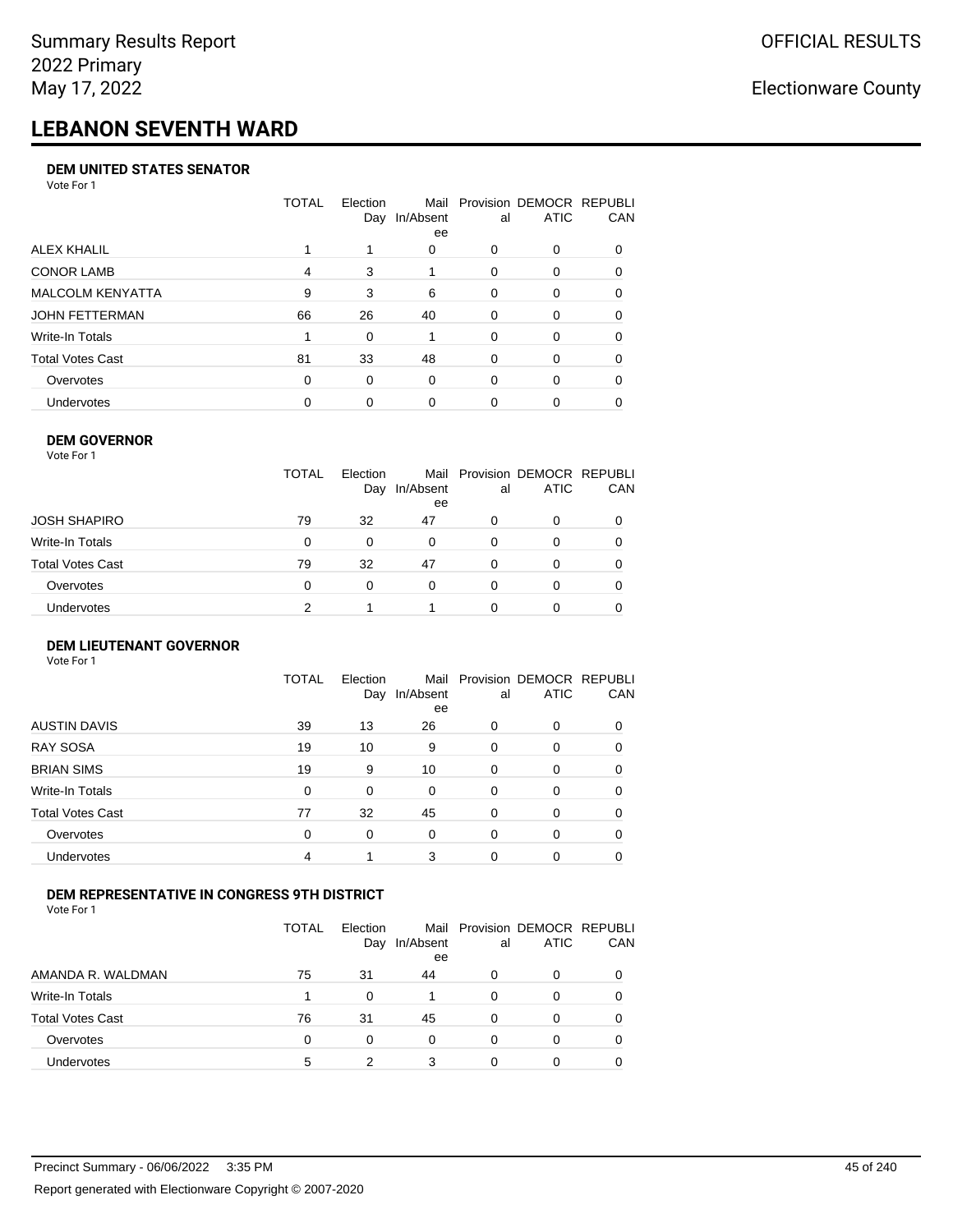# **LEBANON SEVENTH WARD**

#### **DEM UNITED STATES SENATOR**

Vote For 1

|                   | TOTAL | Election<br>Day | Mail<br>In/Absent<br>ee | al       | Provision DEMOCR REPUBLI<br>ATIC | CAN      |
|-------------------|-------|-----------------|-------------------------|----------|----------------------------------|----------|
| ALEX KHALIL       |       |                 | 0                       | 0        | 0                                |          |
| <b>CONOR LAMB</b> | 4     | 3               |                         | $\Omega$ | 0                                | 0        |
| MALCOLM KENYATTA  | 9     | 3               | 6                       | $\Omega$ | 0                                | $\Omega$ |
| JOHN FETTERMAN    | 66    | 26              | 40                      | $\Omega$ | 0                                | 0        |
| Write-In Totals   |       | $\Omega$        |                         | $\Omega$ | $\Omega$                         | $\Omega$ |
| Total Votes Cast  | 81    | 33              | 48                      | $\Omega$ | $\Omega$                         | 0        |
| Overvotes         | 0     | 0               | 0                       | $\Omega$ | $\Omega$                         | 0        |
| <b>Undervotes</b> | 0     | 0               | $\Omega$                | 0        | 0                                |          |

#### **DEM GOVERNOR**

| Vote For 1       |              |                 |                 |          |                                              |          |
|------------------|--------------|-----------------|-----------------|----------|----------------------------------------------|----------|
|                  | <b>TOTAL</b> | Election<br>Day | In/Absent<br>ee | al       | Mail Provision DEMOCR REPUBLI<br><b>ATIC</b> | CAN      |
| JOSH SHAPIRO     | 79           | 32              | 47              | 0        | 0                                            |          |
| Write-In Totals  | 0            | $\Omega$        | 0               | $\Omega$ | 0                                            | $\Omega$ |
| Total Votes Cast | 79           | 32              | 47              | $\Omega$ | 0                                            | 0        |
| Overvotes        | 0            | 0               | $\Omega$        | 0        | 0                                            | 0        |
| Undervotes       | 2            |                 |                 |          | 0                                            |          |
|                  |              |                 |                 |          |                                              |          |

#### **DEM LIEUTENANT GOVERNOR** Vote For 1

|                         | <b>TOTAL</b> | Election<br>Day | In/Absent<br>ee | al       | Mail Provision DEMOCR REPUBLI<br><b>ATIC</b> | CAN      |
|-------------------------|--------------|-----------------|-----------------|----------|----------------------------------------------|----------|
| <b>AUSTIN DAVIS</b>     | 39           | 13              | 26              | $\Omega$ | 0                                            | 0        |
| <b>RAY SOSA</b>         | 19           | 10              | 9               | $\Omega$ | 0                                            | 0        |
| <b>BRIAN SIMS</b>       | 19           | 9               | 10              | $\Omega$ | 0                                            | $\Omega$ |
| Write-In Totals         | $\Omega$     | 0               | $\Omega$        | $\Omega$ | 0                                            | $\Omega$ |
| <b>Total Votes Cast</b> | 77           | 32              | 45              | 0        | 0                                            | $\Omega$ |
| Overvotes               | $\Omega$     | 0               | $\Omega$        | $\Omega$ | 0                                            | $\Omega$ |
| Undervotes              | 4            | 1               | 3               | $\Omega$ | 0                                            | 0        |

## **DEM REPRESENTATIVE IN CONGRESS 9TH DISTRICT**

|                         | TOTAL | <b>Flection</b><br>Day | In/Absent<br>ee | al | Mail Provision DEMOCR REPUBLI<br><b>ATIC</b> | <b>CAN</b> |
|-------------------------|-------|------------------------|-----------------|----|----------------------------------------------|------------|
| AMANDA R. WALDMAN       | 75    | 31                     | 44              | O  | 0                                            | 0          |
| Write-In Totals         |       | <sup>0</sup>           |                 | ∩  | $\Omega$                                     | 0          |
| <b>Total Votes Cast</b> | 76    | 31                     | 45              | 0  |                                              | 0          |
| Overvotes               | 0     | 0                      | $\Omega$        | 0  | $\Omega$                                     | 0          |
| <b>Undervotes</b>       | 5     |                        | 3               |    |                                              |            |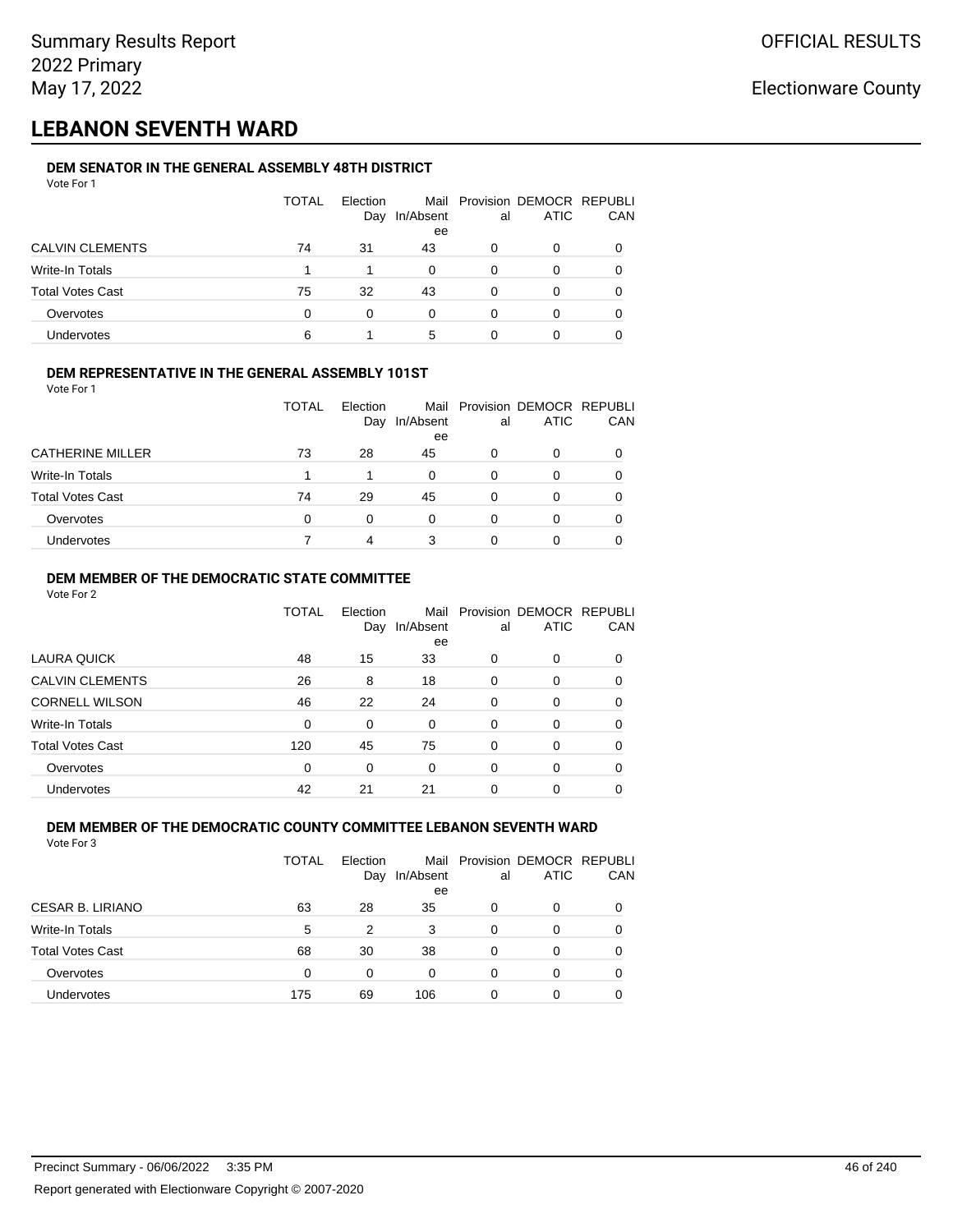## **LEBANON SEVENTH WARD**

#### **DEM SENATOR IN THE GENERAL ASSEMBLY 48TH DISTRICT** Vote For 1

| <u>VULGIUI</u>          |       |                 |           |    |                                              |            |
|-------------------------|-------|-----------------|-----------|----|----------------------------------------------|------------|
|                         | TOTAL | Election<br>Day | In/Absent | al | Mail Provision DEMOCR REPUBLI<br><b>ATIC</b> | <b>CAN</b> |
|                         |       |                 | ee        |    |                                              |            |
| <b>CALVIN CLEMENTS</b>  | 74    | 31              | 43        | 0  | 0                                            | 0          |
| Write-In Totals         |       |                 | 0         | 0  | 0                                            | 0          |
| <b>Total Votes Cast</b> | 75    | 32              | 43        | O  | 0                                            | 0          |
| Overvotes               | 0     | 0               | 0         | O  |                                              | 0          |
| <b>Undervotes</b>       | 6     |                 | 5         |    |                                              |            |

#### **DEM REPRESENTATIVE IN THE GENERAL ASSEMBLY 101ST**

| Vote For 1              |              |                        |                 |    |                                              |     |
|-------------------------|--------------|------------------------|-----------------|----|----------------------------------------------|-----|
|                         | <b>TOTAL</b> | <b>Flection</b><br>Day | In/Absent<br>ee | al | Mail Provision DEMOCR REPUBLI<br><b>ATIC</b> | CAN |
| <b>CATHERINE MILLER</b> | 73           | 28                     | 45              | 0  | 0                                            |     |
| <b>Write-In Totals</b>  |              |                        | 0               | 0  | 0                                            |     |
| <b>Total Votes Cast</b> | 74           | 29                     | 45              |    | Ω                                            |     |
| Overvotes               |              |                        | 0               |    |                                              |     |

#### **DEM MEMBER OF THE DEMOCRATIC STATE COMMITTEE**

Vote For 2

|                         | TOTAL | Election<br>Day | Mail<br>In/Absent<br>ee | al       | Provision DEMOCR REPUBLI<br><b>ATIC</b> | CAN |
|-------------------------|-------|-----------------|-------------------------|----------|-----------------------------------------|-----|
| LAURA QUICK             | 48    | 15              | 33                      | 0        | 0                                       | 0   |
| <b>CALVIN CLEMENTS</b>  | 26    | 8               | 18                      | $\Omega$ | 0                                       | 0   |
| <b>CORNELL WILSON</b>   | 46    | 22              | 24                      | $\Omega$ | 0                                       | 0   |
| Write-In Totals         | 0     | 0               | $\Omega$                | $\Omega$ | 0                                       | 0   |
| <b>Total Votes Cast</b> | 120   | 45              | 75                      | $\Omega$ | $\Omega$                                | 0   |
| Overvotes               | 0     | 0               | 0                       | $\Omega$ | 0                                       | 0   |
| Undervotes              | 42    | 21              | 21                      | $\Omega$ | 0                                       |     |

Undervotes 7 4 3 0 0 0

#### **DEM MEMBER OF THE DEMOCRATIC COUNTY COMMITTEE LEBANON SEVENTH WARD** Vote For 3

|                         | TOTAL | Election<br>Day | In/Absent<br>ee | al | Mail Provision DEMOCR REPUBLI<br><b>ATIC</b> | CAN      |
|-------------------------|-------|-----------------|-----------------|----|----------------------------------------------|----------|
| CESAR B. LIRIANO        | 63    | 28              | 35              | 0  | 0                                            |          |
| Write-In Totals         | 5     | 2               | 3               | 0  | 0                                            |          |
| <b>Total Votes Cast</b> | 68    | 30              | 38              | 0  | 0                                            | $\Omega$ |
| Overvotes               | 0     | 0               | $\Omega$        | 0  | 0                                            |          |
| Undervotes              | 175   | 69              | 106             | 0  | O                                            |          |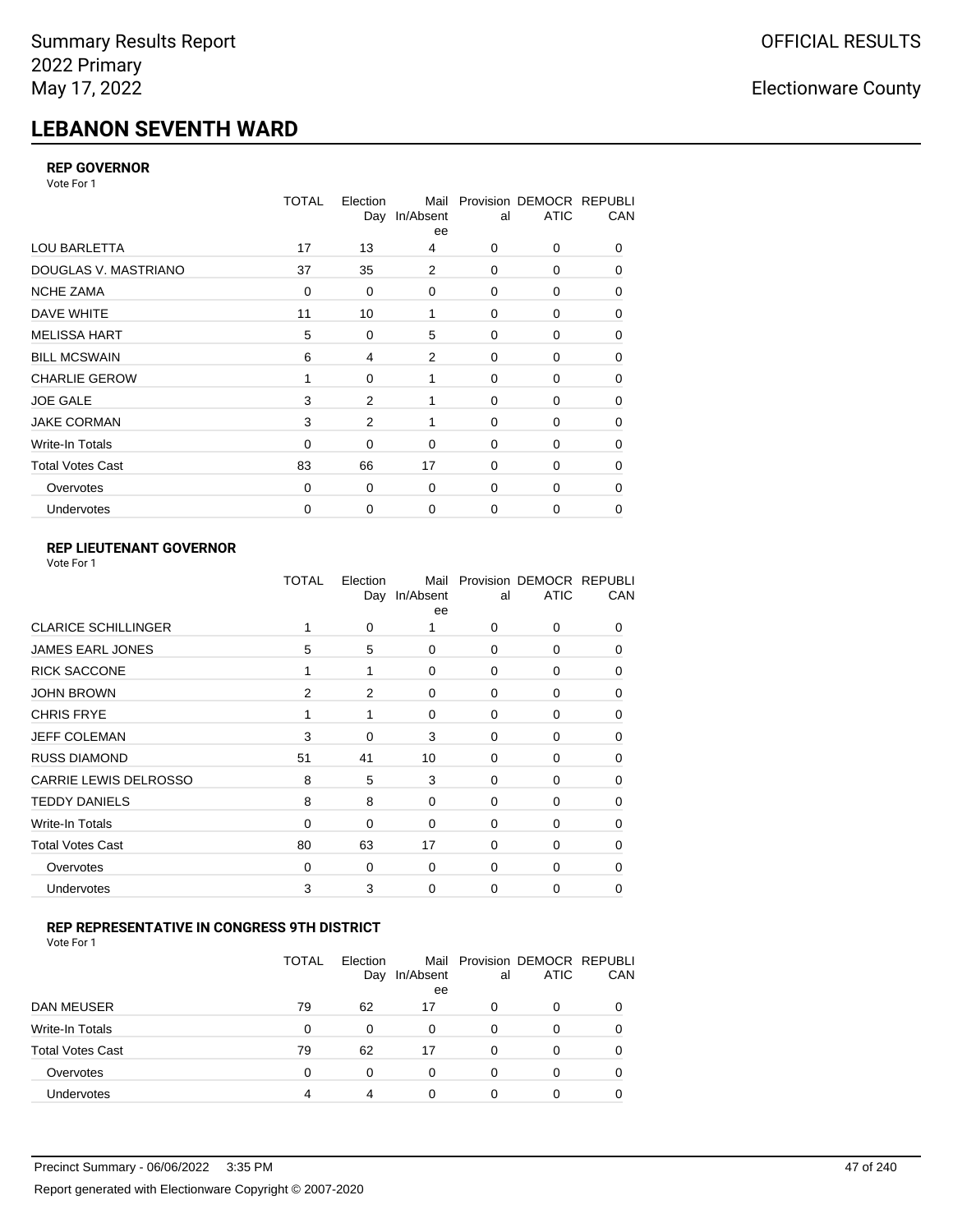# **LEBANON SEVENTH WARD**

### **REP GOVERNOR**

Vote For 1

|                         | <b>TOTAL</b> | Election | Mail<br>Day In/Absent<br>ee | al          | Provision DEMOCR REPUBLI<br><b>ATIC</b> | CAN |
|-------------------------|--------------|----------|-----------------------------|-------------|-----------------------------------------|-----|
| <b>LOU BARLETTA</b>     | 17           | 13       | 4                           | 0           | 0                                       | 0   |
| DOUGLAS V. MASTRIANO    | 37           | 35       | 2                           | 0           | 0                                       | 0   |
| <b>NCHE ZAMA</b>        | $\mathbf 0$  | 0        | $\mathbf 0$                 | 0           | 0                                       | 0   |
| DAVE WHITE              | 11           | 10       | 1                           | 0           | 0                                       | 0   |
| <b>MELISSA HART</b>     | 5            | 0        | 5                           | 0           | 0                                       | 0   |
| <b>BILL MCSWAIN</b>     | 6            | 4        | 2                           | $\mathbf 0$ | 0                                       | 0   |
| <b>CHARLIE GEROW</b>    | 1            | $\Omega$ | 1                           | 0           | 0                                       | 0   |
| <b>JOE GALE</b>         | 3            | 2        | 1                           | $\mathbf 0$ | 0                                       | 0   |
| <b>JAKE CORMAN</b>      | 3            | 2        | 1                           | $\Omega$    | $\Omega$                                | 0   |
| Write-In Totals         | $\mathbf 0$  | 0        | $\mathbf 0$                 | $\mathbf 0$ | 0                                       | 0   |
| <b>Total Votes Cast</b> | 83           | 66       | 17                          | 0           | 0                                       | 0   |
| Overvotes               | $\Omega$     | 0        | $\mathbf 0$                 | $\mathbf 0$ | 0                                       | 0   |
| Undervotes              | 0            | 0        | $\mathbf 0$                 | 0           | 0                                       | 0   |

## **REP LIEUTENANT GOVERNOR**

|                              | TOTAL          | Election<br>Day | Mail<br>In/Absent<br>ee | al          | Provision DEMOCR REPUBLI<br><b>ATIC</b> | CAN      |
|------------------------------|----------------|-----------------|-------------------------|-------------|-----------------------------------------|----------|
| <b>CLARICE SCHILLINGER</b>   | 1              | 0               | 1                       | $\Omega$    | $\Omega$                                | 0        |
| <b>JAMES EARL JONES</b>      | 5              | 5               | $\Omega$                | 0           | 0                                       | 0        |
| <b>RICK SACCONE</b>          | 1              | 1               | $\Omega$                | $\Omega$    | 0                                       | 0        |
| <b>JOHN BROWN</b>            | $\overline{2}$ | 2               | $\Omega$                | $\Omega$    | 0                                       | 0        |
| <b>CHRIS FRYE</b>            | 1              | 1               | $\Omega$                | 0           | 0                                       | 0        |
| <b>JEFF COLEMAN</b>          | 3              | 0               | 3                       | $\mathbf 0$ | 0                                       | $\Omega$ |
| <b>RUSS DIAMOND</b>          | 51             | 41              | 10                      | 0           | 0                                       | 0        |
| <b>CARRIE LEWIS DELROSSO</b> | 8              | 5               | 3                       | $\mathbf 0$ | 0                                       | 0        |
| <b>TEDDY DANIELS</b>         | 8              | 8               | $\Omega$                | 0           | 0                                       | $\Omega$ |
| Write-In Totals              | 0              | 0               | $\Omega$                | 0           | 0                                       | 0        |
| <b>Total Votes Cast</b>      | 80             | 63              | 17                      | $\Omega$    | $\Omega$                                | $\Omega$ |
| Overvotes                    | $\mathbf 0$    | 0               | 0                       | $\mathbf 0$ | 0                                       | $\Omega$ |
| Undervotes                   | 3              | 3               | $\Omega$                | $\Omega$    | 0                                       | 0        |
|                              |                |                 |                         |             |                                         |          |

## **REP REPRESENTATIVE IN CONGRESS 9TH DISTRICT**

| Vote For 1 |  |  |
|------------|--|--|
|------------|--|--|

|                         | TOTAL    | Election<br>Day | In/Absent<br>ee | al       | Mail Provision DEMOCR REPUBLI<br><b>ATIC</b> | CAN      |
|-------------------------|----------|-----------------|-----------------|----------|----------------------------------------------|----------|
| <b>DAN MEUSER</b>       | 79       | 62              | 17              | 0        | 0                                            |          |
| Write-In Totals         | $\Omega$ | 0               | 0               | 0        | 0                                            |          |
| <b>Total Votes Cast</b> | 79       | 62              | 17              | $\Omega$ | 0                                            |          |
| Overvotes               | 0        | 0               | 0               | 0        | 0                                            | $\Omega$ |
| <b>Undervotes</b>       | 4        |                 |                 |          | ი                                            |          |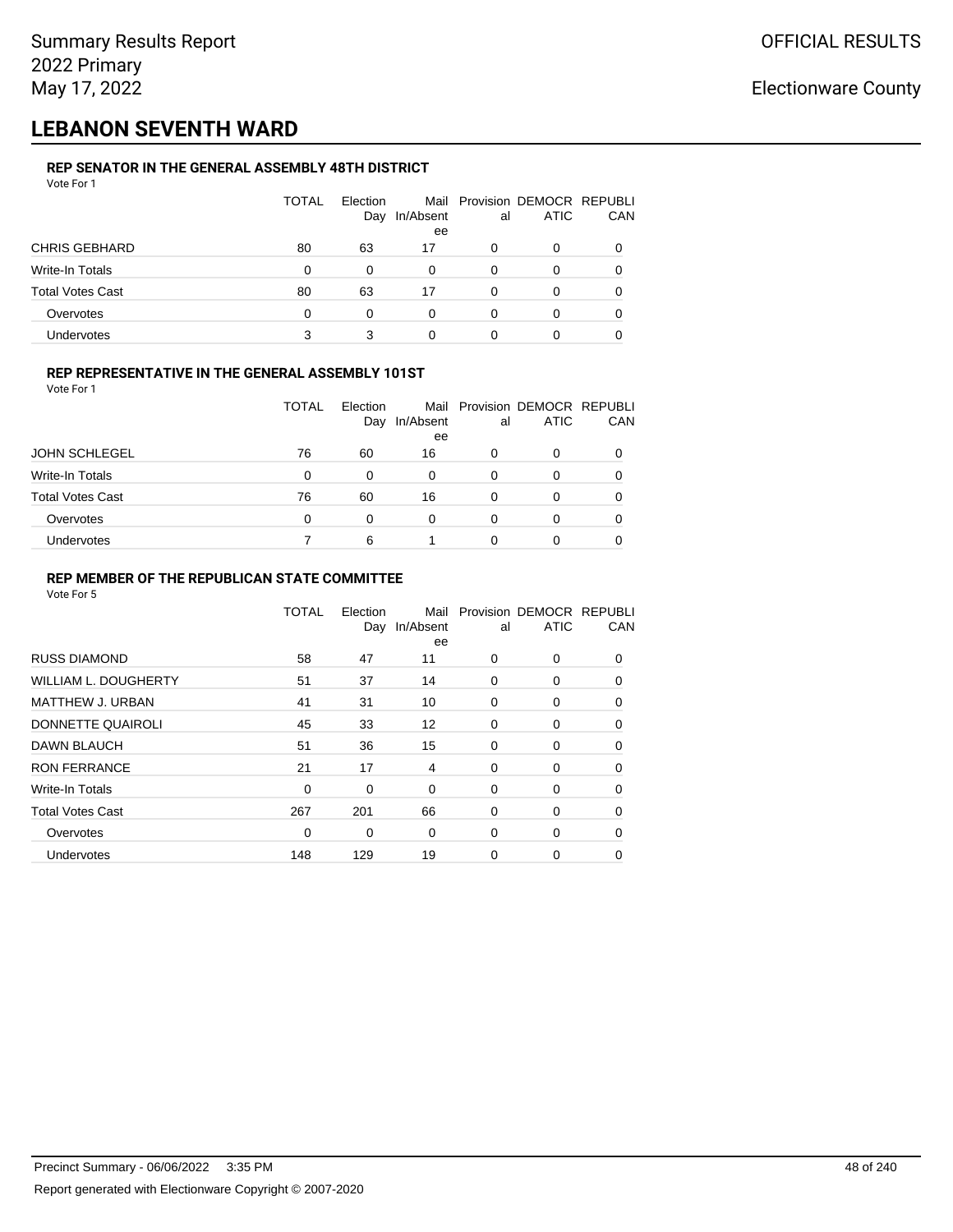## **LEBANON SEVENTH WARD**

## **REP SENATOR IN THE GENERAL ASSEMBLY 48TH DISTRICT**

| Vote For 1              |       |                 |                 |    |                                              |     |
|-------------------------|-------|-----------------|-----------------|----|----------------------------------------------|-----|
|                         | TOTAL | Election<br>Day | In/Absent<br>ee | al | Mail Provision DEMOCR REPUBLI<br><b>ATIC</b> | CAN |
| <b>CHRIS GEBHARD</b>    | 80    | 63              | 17              | 0  | 0                                            | 0   |
| Write-In Totals         | 0     | 0               | 0               | 0  | 0                                            | 0   |
| <b>Total Votes Cast</b> | 80    | 63              | 17              | 0  | 0                                            | 0   |
| Overvotes               | 0     | 0               | 0               | 0  | 0                                            | 0   |
| Undervotes              | 3     | 3               | 0               |    | 0                                            |     |

#### **REP REPRESENTATIVE IN THE GENERAL ASSEMBLY 101ST**

Vote For 1

|                         | TOTAL | Election<br>Day | In/Absent<br>ee | al | Mail Provision DEMOCR REPUBLI<br><b>ATIC</b> | <b>CAN</b> |
|-------------------------|-------|-----------------|-----------------|----|----------------------------------------------|------------|
| <b>JOHN SCHLEGEL</b>    | 76    | 60              | 16              | 0  |                                              | 0          |
| Write-In Totals         | 0     | 0               | $\Omega$        | 0  | O                                            | 0          |
| <b>Total Votes Cast</b> | 76    | 60              | 16              | 0  | ∩                                            | 0          |
| Overvotes               | 0     | 0               | $\Omega$        | 0  |                                              | 0          |
| <b>Undervotes</b>       |       | 6               |                 |    |                                              | 0          |

### **REP MEMBER OF THE REPUBLICAN STATE COMMITTEE**

|                         | <b>TOTAL</b> | Election<br>Day | Mail<br>In/Absent<br>ee | al          | Provision DEMOCR REPUBLI<br><b>ATIC</b> | CAN      |
|-------------------------|--------------|-----------------|-------------------------|-------------|-----------------------------------------|----------|
| <b>RUSS DIAMOND</b>     | 58           | 47              | 11                      | 0           | 0                                       | 0        |
| WILLIAM L. DOUGHERTY    | 51           | 37              | 14                      | 0           | 0                                       | 0        |
| MATTHEW J. URBAN        | 41           | 31              | 10                      | 0           | 0                                       | $\Omega$ |
| DONNETTE QUAIROLI       | 45           | 33              | 12                      | 0           | 0                                       | $\Omega$ |
| <b>DAWN BLAUCH</b>      | 51           | 36              | 15                      | 0           | 0                                       | $\Omega$ |
| <b>RON FERRANCE</b>     | 21           | 17              | 4                       | 0           | 0                                       | 0        |
| Write-In Totals         | 0            | 0               | $\mathbf 0$             | 0           | 0                                       | 0        |
| <b>Total Votes Cast</b> | 267          | 201             | 66                      | $\mathbf 0$ | 0                                       | 0        |
| Overvotes               | $\mathbf 0$  | 0               | $\mathbf 0$             | 0           | 0                                       | 0        |
| Undervotes              | 148          | 129             | 19                      | $\mathbf 0$ | 0                                       | 0        |
|                         |              |                 |                         |             |                                         |          |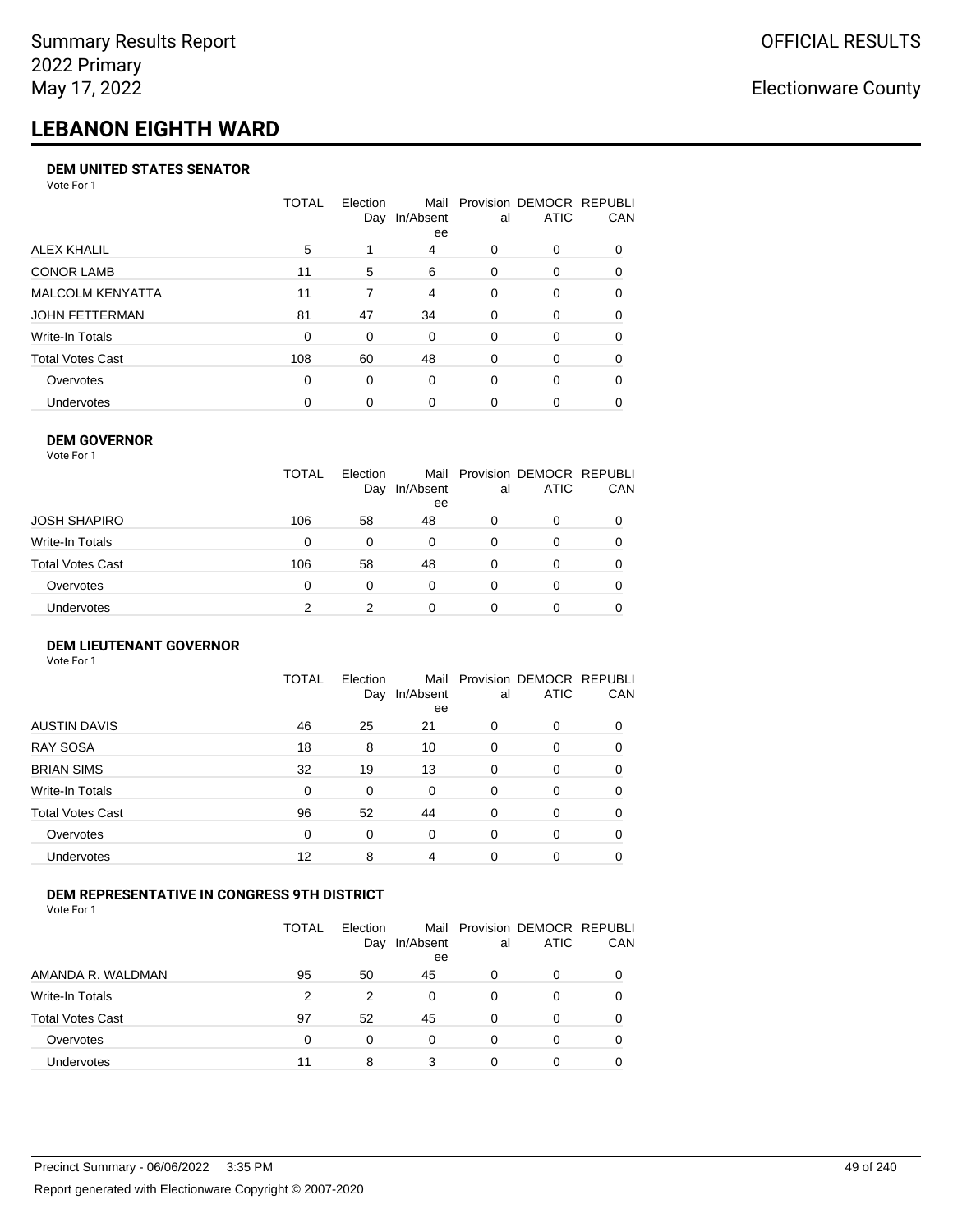# **LEBANON EIGHTH WARD**

#### **DEM UNITED STATES SENATOR**

Vote For 1

|                         | TOTAL | Election<br>Day | Mail<br>In/Absent<br>ee | al       | Provision DEMOCR REPUBLI<br><b>ATIC</b> | CAN      |
|-------------------------|-------|-----------------|-------------------------|----------|-----------------------------------------|----------|
| ALEX KHALIL             | 5     |                 | 4                       | 0        | 0                                       |          |
| <b>CONOR LAMB</b>       | 11    | 5               | 6                       | $\Omega$ | 0                                       | 0        |
| <b>MALCOLM KENYATTA</b> | 11    | 7               | 4                       | $\Omega$ | 0                                       | 0        |
| JOHN FETTERMAN          | 81    | 47              | 34                      | $\Omega$ | 0                                       | $\Omega$ |
| Write-In Totals         | 0     | $\Omega$        | 0                       | $\Omega$ | 0                                       | $\Omega$ |
| Total Votes Cast        | 108   | 60              | 48                      | $\Omega$ | $\Omega$                                | 0        |
| Overvotes               | 0     | 0               | $\Omega$                | $\Omega$ | $\Omega$                                | 0        |
| Undervotes              | 0     | $\Omega$        | $\Omega$                | 0        | 0                                       |          |

#### **DEM GOVERNOR**

| Vote For 1       |              |                 |                 |    |                                              |          |
|------------------|--------------|-----------------|-----------------|----|----------------------------------------------|----------|
|                  | <b>TOTAL</b> | Election<br>Day | In/Absent<br>ee | al | Mail Provision DEMOCR REPUBLI<br><b>ATIC</b> | CAN      |
| JOSH SHAPIRO     | 106          | 58              | 48              | 0  | 0                                            |          |
| Write-In Totals  | 0            | $\Omega$        | 0               | 0  | 0                                            | $\Omega$ |
| Total Votes Cast | 106          | 58              | 48              | 0  | 0                                            | 0        |
| Overvotes        | 0            | 0               | $\Omega$        | 0  | 0                                            | 0        |
| Undervotes       | 2            | 2               | 0               |    | 0                                            |          |

#### **DEM LIEUTENANT GOVERNOR** Vote For 1

|                         | <b>TOTAL</b> | Election<br>Day | In/Absent<br>ee | al       | Mail Provision DEMOCR REPUBLI<br><b>ATIC</b> | CAN      |
|-------------------------|--------------|-----------------|-----------------|----------|----------------------------------------------|----------|
| <b>AUSTIN DAVIS</b>     | 46           | 25              | 21              | $\Omega$ | 0                                            | 0        |
| <b>RAY SOSA</b>         | 18           | 8               | 10              | 0        | 0                                            | 0        |
| <b>BRIAN SIMS</b>       | 32           | 19              | 13              | 0        | 0                                            | $\Omega$ |
| Write-In Totals         | $\Omega$     | 0               | $\Omega$        | $\Omega$ | 0                                            | $\Omega$ |
| <b>Total Votes Cast</b> | 96           | 52              | 44              | 0        | 0                                            | $\Omega$ |
| Overvotes               | 0            | 0               | $\Omega$        | $\Omega$ | 0                                            | $\Omega$ |
| Undervotes              | 12           | 8               | 4               | $\Omega$ | 0                                            | 0        |

## **DEM REPRESENTATIVE IN CONGRESS 9TH DISTRICT**

Vote For 1

|                         | TOTAL | <b>Flection</b><br>Day | Mail<br>In/Absent<br>ee | al | Provision DEMOCR REPUBLI<br><b>ATIC</b> | <b>CAN</b> |
|-------------------------|-------|------------------------|-------------------------|----|-----------------------------------------|------------|
| AMANDA R. WALDMAN       | 95    | 50                     | 45                      | 0  | 0                                       | 0          |
| Write-In Totals         | 2     | 2                      | 0                       | 0  |                                         | 0          |
| <b>Total Votes Cast</b> | 97    | 52                     | 45                      | 0  |                                         | 0          |
| Overvotes               | 0     | 0                      | $\Omega$                | 0  | $\Omega$                                | 0          |
| Undervotes              | 11    | 8                      | 3                       |    |                                         |            |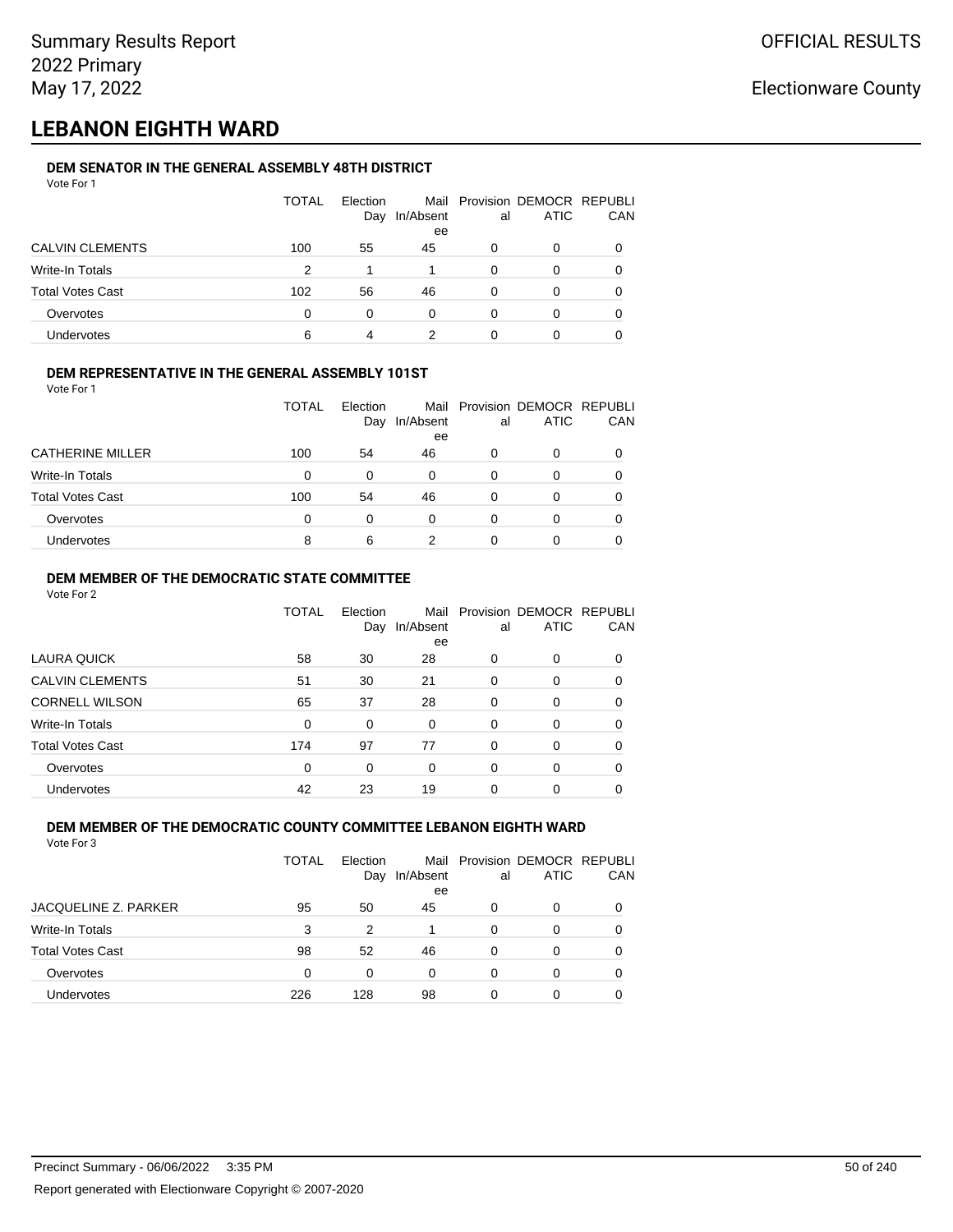## **LEBANON EIGHTH WARD**

## **DEM SENATOR IN THE GENERAL ASSEMBLY 48TH DISTRICT**

| Vote For 1              |       |                 |                 |          |                                              |     |
|-------------------------|-------|-----------------|-----------------|----------|----------------------------------------------|-----|
|                         | TOTAL | Election<br>Day | In/Absent<br>ee | al       | Mail Provision DEMOCR REPUBLI<br><b>ATIC</b> | CAN |
| <b>CALVIN CLEMENTS</b>  | 100   | 55              | 45              | 0        | 0                                            |     |
| Write-In Totals         | 2     |                 |                 | 0        | $\Omega$                                     |     |
| <b>Total Votes Cast</b> | 102   | 56              | 46              | $\Omega$ | 0                                            |     |
| Overvotes               | 0     | $\Omega$        | $\Omega$        | 0        | 0                                            | 0   |
| Undervotes              | 6     | 4               | 2               |          | 0                                            |     |
|                         |       |                 |                 |          |                                              |     |

#### **DEM REPRESENTATIVE IN THE GENERAL ASSEMBLY 101ST**

Vote For 1

|                         | TOTAL    | Election<br>Day | In/Absent<br>ee | al | Mail Provision DEMOCR REPUBLI<br><b>ATIC</b> | CAN |
|-------------------------|----------|-----------------|-----------------|----|----------------------------------------------|-----|
| <b>CATHERINE MILLER</b> | 100      | 54              | 46              | 0  | O                                            |     |
| Write-In Totals         | $\Omega$ | 0               | 0               | 0  | O                                            |     |
| <b>Total Votes Cast</b> | 100      | 54              | 46              | 0  | 0                                            |     |
| Overvotes               | $\Omega$ | 0               | 0               | 0  | O                                            |     |
| Undervotes              | 8        | 6               |                 |    | Ω                                            |     |

#### **DEM MEMBER OF THE DEMOCRATIC STATE COMMITTEE**

Vote For 2

|                         | TOTAL    | Election<br>Day | Mail<br>In/Absent<br>ee | al       | Provision DEMOCR REPUBLI<br><b>ATIC</b> | CAN |
|-------------------------|----------|-----------------|-------------------------|----------|-----------------------------------------|-----|
| LAURA QUICK             | 58       | 30              | 28                      | 0        | $\Omega$                                | 0   |
| <b>CALVIN CLEMENTS</b>  | 51       | 30              | 21                      | 0        | 0                                       | 0   |
| <b>CORNELL WILSON</b>   | 65       | 37              | 28                      | $\Omega$ | $\Omega$                                | 0   |
| Write-In Totals         | 0        | 0               | $\Omega$                | $\Omega$ | $\Omega$                                | 0   |
| <b>Total Votes Cast</b> | 174      | 97              | 77                      | 0        | 0                                       | 0   |
| Overvotes               | $\Omega$ | $\Omega$        | $\Omega$                | 0        | $\Omega$                                | 0   |
| Undervotes              | 42       | 23              | 19                      | 0        | 0                                       |     |

## **DEM MEMBER OF THE DEMOCRATIC COUNTY COMMITTEE LEBANON EIGHTH WARD**

| Vote For 3 |  |
|------------|--|
|            |  |

|                         | <b>TOTAL</b> | Election |                 |    | Mail Provision DEMOCR REPUBLI |          |
|-------------------------|--------------|----------|-----------------|----|-------------------------------|----------|
|                         |              | Day      | In/Absent<br>ee | al | <b>ATIC</b>                   | CAN      |
| JACQUELINE Z. PARKER    | 95           | 50       | 45              | 0  | 0                             |          |
| Write-In Totals         | 3            | 2        |                 | 0  | 0                             | $\Omega$ |
| <b>Total Votes Cast</b> | 98           | 52       | 46              | 0  | 0                             |          |
| Overvotes               | 0            | 0        | 0               | 0  | O                             |          |
| Undervotes              | 226          | 128      | 98              | 0  | 0                             |          |
|                         |              |          |                 |    |                               |          |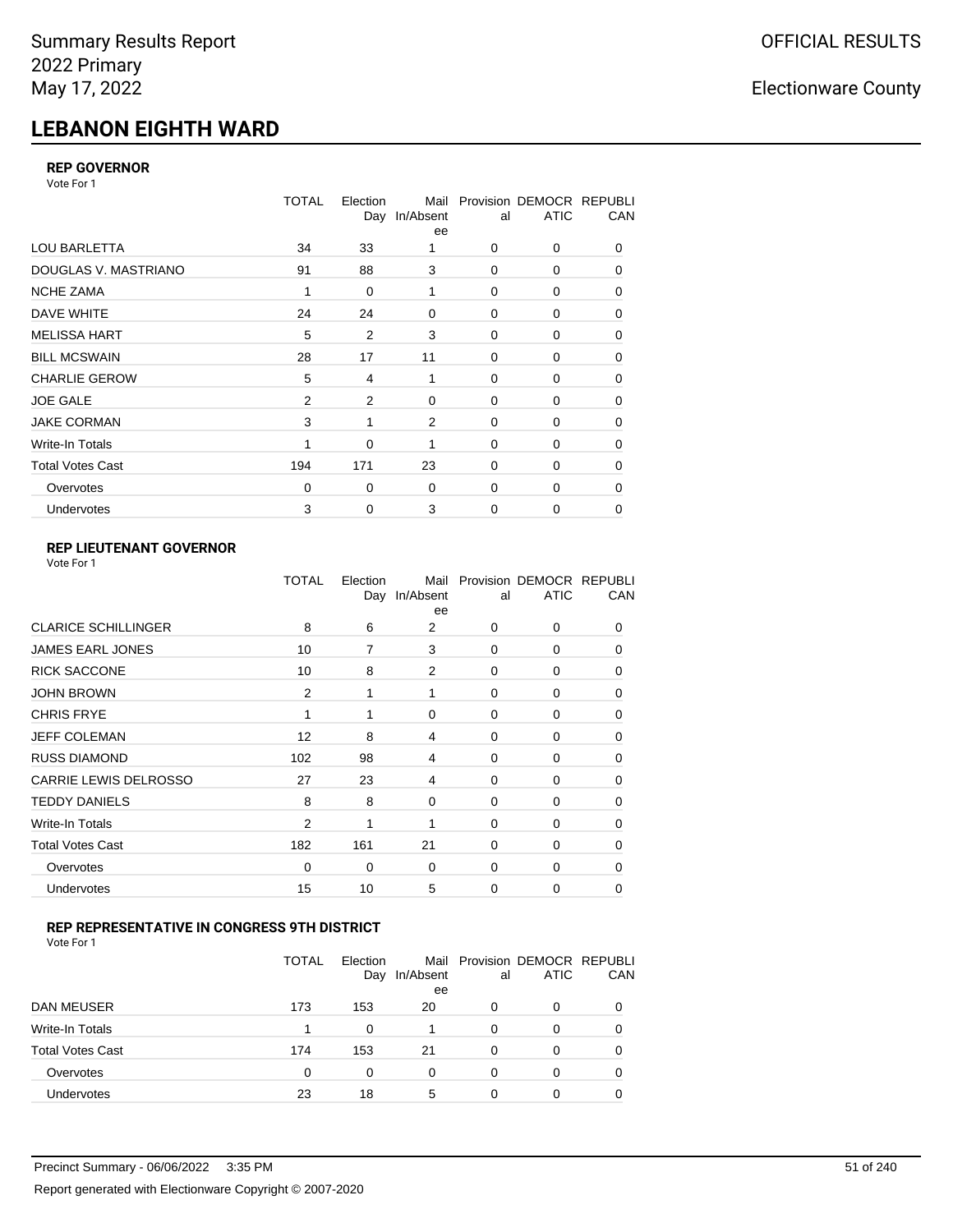# **LEBANON EIGHTH WARD**

## **REP GOVERNOR**

Vote For 1

|                         | <b>TOTAL</b> | Election | Mail<br>Day In/Absent<br>ee | al          | Provision DEMOCR REPUBLI<br><b>ATIC</b> | CAN      |
|-------------------------|--------------|----------|-----------------------------|-------------|-----------------------------------------|----------|
| <b>LOU BARLETTA</b>     | 34           | 33       |                             | 0           | 0                                       | $\Omega$ |
| DOUGLAS V. MASTRIANO    | 91           | 88       | 3                           | 0           | 0                                       | 0        |
| <b>NCHE ZAMA</b>        | 1            | 0        | 1                           | 0           | 0                                       | 0        |
| DAVE WHITE              | 24           | 24       | $\mathbf 0$                 | 0           | 0                                       | 0        |
| <b>MELISSA HART</b>     | 5            | 2        | 3                           | 0           | 0                                       | 0        |
| <b>BILL MCSWAIN</b>     | 28           | 17       | 11                          | $\mathbf 0$ | 0                                       | 0        |
| <b>CHARLIE GEROW</b>    | 5            | 4        | 1                           | 0           | 0                                       | 0        |
| <b>JOE GALE</b>         | 2            | 2        | $\mathbf 0$                 | $\mathbf 0$ | 0                                       | 0        |
| <b>JAKE CORMAN</b>      | 3            | 1        | 2                           | $\mathbf 0$ | 0                                       | 0        |
| Write-In Totals         |              | 0        | 1                           | 0           | 0                                       | 0        |
| <b>Total Votes Cast</b> | 194          | 171      | 23                          | $\Omega$    | $\Omega$                                | 0        |
| Overvotes               | $\Omega$     | 0        | $\mathbf 0$                 | $\mathbf 0$ | 0                                       | 0        |
| Undervotes              | 3            | 0        | 3                           | 0           | 0                                       | 0        |

## **REP LIEUTENANT GOVERNOR**

| Vote For 1 |  |
|------------|--|
|------------|--|

|                            | TOTAL          | Election     | Mail<br>Day In/Absent<br>ee | al          | Provision DEMOCR REPUBLI<br><b>ATIC</b> | CAN      |
|----------------------------|----------------|--------------|-----------------------------|-------------|-----------------------------------------|----------|
| <b>CLARICE SCHILLINGER</b> | 8              | 6            | 2                           | $\Omega$    | 0                                       | 0        |
| <b>JAMES EARL JONES</b>    | 10             | 7            | 3                           | 0           | 0                                       | 0        |
| <b>RICK SACCONE</b>        | 10             | 8            | 2                           | $\Omega$    | 0                                       | 0        |
| <b>JOHN BROWN</b>          | $\overline{2}$ | $\mathbf{1}$ | 1                           | $\Omega$    | 0                                       | 0        |
| <b>CHRIS FRYE</b>          | 1              | 1            | 0                           | 0           | 0                                       | 0        |
| JEFF COLEMAN               | 12             | 8            | 4                           | 0           | 0                                       | 0        |
| <b>RUSS DIAMOND</b>        | 102            | 98           | 4                           | 0           | 0                                       | 0        |
| CARRIE LEWIS DELROSSO      | 27             | 23           | 4                           | 0           | 0                                       | 0        |
| <b>TEDDY DANIELS</b>       | 8              | 8            | 0                           | 0           | 0                                       | 0        |
| Write-In Totals            | $\overline{2}$ | 1            | 1                           | $\Omega$    | 0                                       | $\Omega$ |
| <b>Total Votes Cast</b>    | 182            | 161          | 21                          | $\Omega$    | 0                                       | $\Omega$ |
| Overvotes                  | 0              | 0            | 0                           | 0           | 0                                       | $\Omega$ |
| Undervotes                 | 15             | 10           | 5                           | $\mathbf 0$ | 0                                       | 0        |
|                            |                |              |                             |             |                                         |          |

## **REP REPRESENTATIVE IN CONGRESS 9TH DISTRICT**

|                         | TOTAL | Election<br>Day | In/Absent<br>ee | al       | Mail Provision DEMOCR REPUBLI<br><b>ATIC</b> | CAN |
|-------------------------|-------|-----------------|-----------------|----------|----------------------------------------------|-----|
| <b>DAN MEUSER</b>       | 173   | 153             | 20              | 0        | 0                                            |     |
| Write-In Totals         |       | 0               |                 | 0        | 0                                            | 0   |
| <b>Total Votes Cast</b> | 174   | 153             | 21              | 0        | 0                                            |     |
| Overvotes               | 0     | 0               | 0               | $\Omega$ | 0                                            | 0   |
| Undervotes              | 23    | 18              | 5               | 0        | ი                                            |     |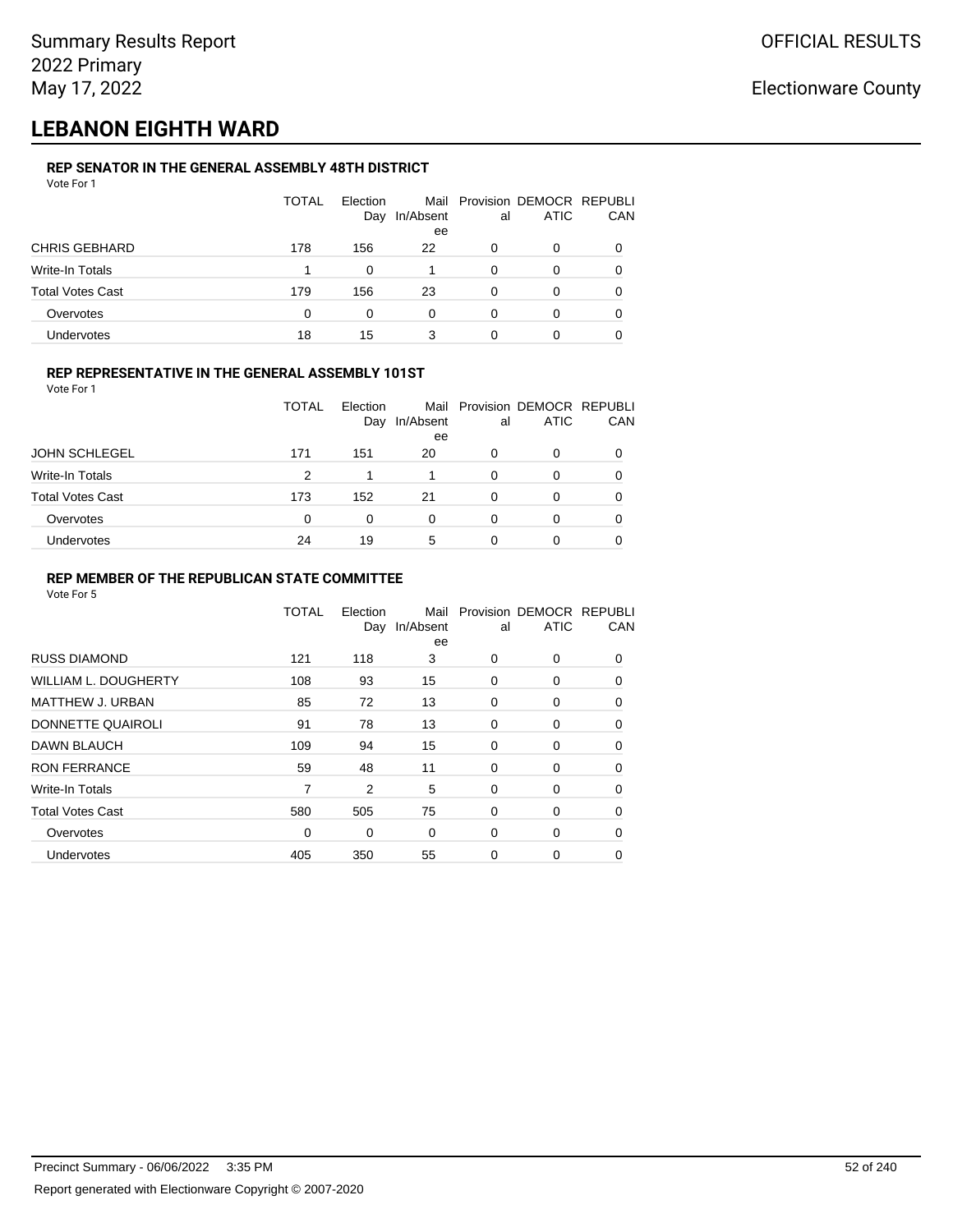## **LEBANON EIGHTH WARD**

## **REP SENATOR IN THE GENERAL ASSEMBLY 48TH DISTRICT**

| Vote For 1              |       |                 |                         |          |                                         |          |
|-------------------------|-------|-----------------|-------------------------|----------|-----------------------------------------|----------|
|                         | TOTAL | Election<br>Day | Mail<br>In/Absent<br>ee | al       | Provision DEMOCR REPUBLI<br><b>ATIC</b> | CAN      |
| <b>CHRIS GEBHARD</b>    | 178   | 156             | 22                      | 0        | 0                                       | $\Omega$ |
| Write-In Totals         |       | 0               |                         | 0        | 0                                       | 0        |
| <b>Total Votes Cast</b> | 179   | 156             | 23                      | $\Omega$ | 0                                       | 0        |
| Overvotes               | 0     | 0               | $\Omega$                | 0        | 0                                       | 0        |
| Undervotes              | 18    | 15              | 3                       | 0        | 0                                       |          |

## **REP REPRESENTATIVE IN THE GENERAL ASSEMBLY 101ST**

| Vote For 1 |  |
|------------|--|
|            |  |

|                         | TOTAL | Flection<br>Day | In/Absent<br>ee | al | Mail Provision DEMOCR REPUBLI<br><b>ATIC</b> | <b>CAN</b> |
|-------------------------|-------|-----------------|-----------------|----|----------------------------------------------|------------|
| <b>JOHN SCHLEGEL</b>    | 171   | 151             | 20              | 0  | 0                                            | 0          |
| Write-In Totals         | 2     |                 |                 | 0  |                                              | 0          |
| <b>Total Votes Cast</b> | 173   | 152             | 21              | ŋ  | ∩                                            | 0          |
| Overvotes               | 0     | 0               | 0               | 0  |                                              | 0          |
| Undervotes              | 24    | 19              | 5               |    |                                              | 0          |

### **REP MEMBER OF THE REPUBLICAN STATE COMMITTEE**

|                         | TOTAL       | Election<br>Day | Mail<br>In/Absent<br>ee | al | Provision DEMOCR REPUBLI<br><b>ATIC</b> | CAN      |
|-------------------------|-------------|-----------------|-------------------------|----|-----------------------------------------|----------|
| <b>RUSS DIAMOND</b>     | 121         | 118             | 3                       | 0  | 0                                       | 0        |
| WILLIAM L. DOUGHERTY    | 108         | 93              | 15                      | 0  | 0                                       | 0        |
| <b>MATTHEW J. URBAN</b> | 85          | 72              | 13                      | 0  | 0                                       | $\Omega$ |
| DONNETTE QUAIROLI       | 91          | 78              | 13                      | 0  | 0                                       | $\Omega$ |
| <b>DAWN BLAUCH</b>      | 109         | 94              | 15                      | 0  | 0                                       | $\Omega$ |
| <b>RON FERRANCE</b>     | 59          | 48              | 11                      | 0  | 0                                       | 0        |
| Write-In Totals         | 7           | 2               | 5                       | 0  | 0                                       | 0        |
| <b>Total Votes Cast</b> | 580         | 505             | 75                      | 0  | 0                                       | 0        |
| Overvotes               | $\mathbf 0$ | 0               | 0                       | 0  | 0                                       | $\Omega$ |
| Undervotes              | 405         | 350             | 55                      | 0  | 0                                       | $\Omega$ |
|                         |             |                 |                         |    |                                         |          |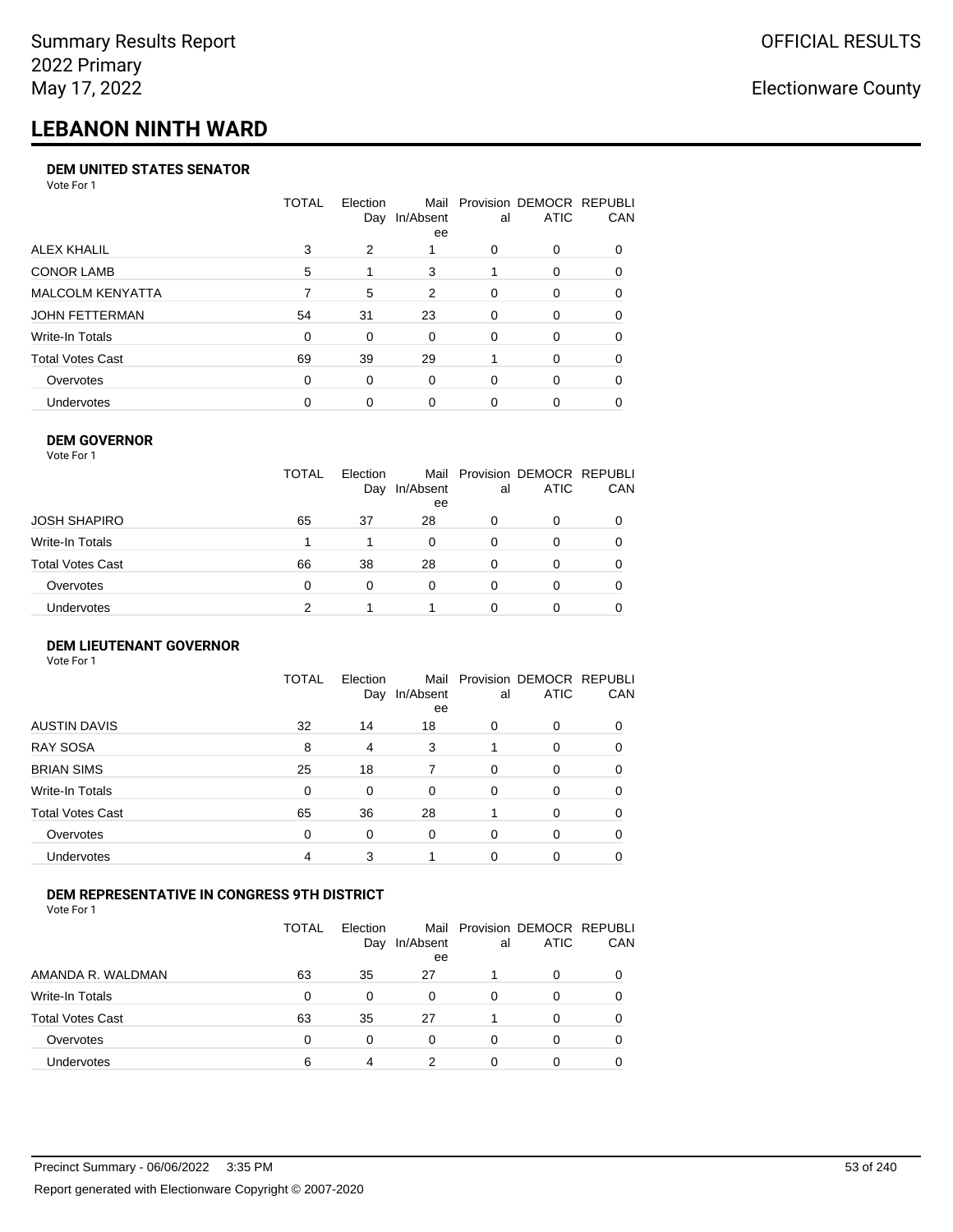# **LEBANON NINTH WARD**

#### **DEM UNITED STATES SENATOR**

Vote For 1

|                         | TOTAL | Election | Mail<br>Day In/Absent<br>ee | al | Provision DEMOCR REPUBLI<br>ATIC | <b>CAN</b> |
|-------------------------|-------|----------|-----------------------------|----|----------------------------------|------------|
| ALEX KHALIL             | 3     | 2        |                             | 0  | $\Omega$                         | 0          |
| <b>CONOR LAMB</b>       | 5     |          | 3                           |    | $\Omega$                         | 0          |
| <b>MALCOLM KENYATTA</b> |       | 5        | 2                           | 0  | $\Omega$                         | 0          |
| JOHN FETTERMAN          | 54    | 31       | 23                          | 0  | $\Omega$                         | 0          |
| Write-In Totals         | 0     | 0        | $\Omega$                    | 0  | $\Omega$                         | 0          |
| <b>Total Votes Cast</b> | 69    | 39       | 29                          |    | $\Omega$                         | $\Omega$   |
| Overvotes               | 0     | 0        | $\Omega$                    | 0  | $\Omega$                         | 0          |
| <b>Undervotes</b>       | 0     | 0        | 0                           | 0  | $\Omega$                         | 0          |

#### **DEM GOVERNOR**

| Vote For 1       |              |                 |                 |          |                                              |     |
|------------------|--------------|-----------------|-----------------|----------|----------------------------------------------|-----|
|                  | <b>TOTAL</b> | Election<br>Day | In/Absent<br>ee | al       | Mail Provision DEMOCR REPUBLI<br><b>ATIC</b> | CAN |
| JOSH SHAPIRO     | 65           | 37              | 28              | 0        | 0                                            |     |
| Write-In Totals  |              |                 | 0               | 0        | 0                                            | 0   |
| Total Votes Cast | 66           | 38              | 28              | 0        | 0                                            | 0   |
| Overvotes        | 0            | 0               | $\Omega$        | $\Omega$ | 0                                            | 0   |
| Undervotes       | 2            |                 |                 | O        | 0                                            |     |

## **DEM LIEUTENANT GOVERNOR**

| Vote For 1              |              |                 |                   |          |                                         |          |
|-------------------------|--------------|-----------------|-------------------|----------|-----------------------------------------|----------|
|                         | <b>TOTAL</b> | Election<br>Day | Mail<br>In/Absent | al       | Provision DEMOCR REPUBLI<br><b>ATIC</b> | CAN      |
|                         |              |                 | ee                |          |                                         |          |
| <b>AUSTIN DAVIS</b>     | 32           | 14              | 18                | 0        | $\Omega$                                | $\Omega$ |
| <b>RAY SOSA</b>         | 8            | 4               | 3                 |          | $\Omega$                                | 0        |
| <b>BRIAN SIMS</b>       | 25           | 18              | 7                 | $\Omega$ | 0                                       | 0        |
| Write-In Totals         | 0            | 0               | 0                 | $\Omega$ | 0                                       | $\Omega$ |
| <b>Total Votes Cast</b> | 65           | 36              | 28                |          | $\Omega$                                | $\Omega$ |
| Overvotes               | 0            | 0               | 0                 | 0        | $\Omega$                                | 0        |
| Undervotes              | 4            | 3               |                   | $\Omega$ | 0                                       |          |
|                         |              |                 |                   |          |                                         |          |

## **DEM REPRESENTATIVE IN CONGRESS 9TH DISTRICT**

Vote For 1

|                         | TOTAL | <b>Flection</b><br>Day | In/Absent<br>ee | al | Mail Provision DEMOCR REPUBLI<br><b>ATIC</b> | <b>CAN</b> |
|-------------------------|-------|------------------------|-----------------|----|----------------------------------------------|------------|
| AMANDA R. WALDMAN       | 63    | 35                     | 27              |    | $\Omega$                                     | 0          |
| Write-In Totals         | 0     | <sup>0</sup>           | 0               | 0  | n                                            | 0          |
| <b>Total Votes Cast</b> | 63    | 35                     | 27              |    | $\Omega$                                     | 0          |
| Overvotes               | 0     | 0                      | $\Omega$        | O  | $\Omega$                                     | 0          |
| <b>Undervotes</b>       | 6     | 4                      | າ               |    |                                              |            |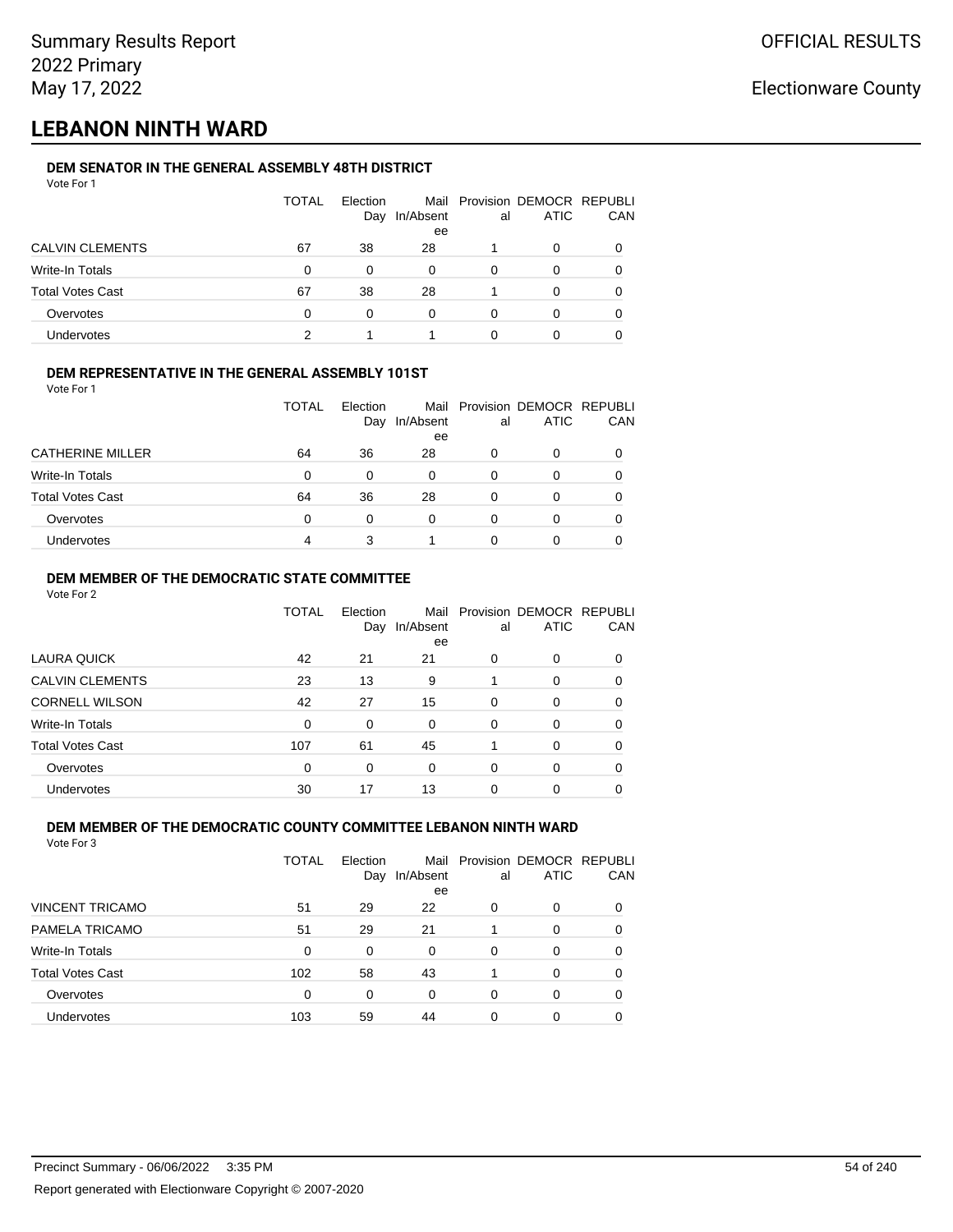## **LEBANON NINTH WARD**

#### **DEM SENATOR IN THE GENERAL ASSEMBLY 48TH DISTRICT** Vote For 1

| 1 J J J J J J           |              |                 |                 |    |                                              |     |
|-------------------------|--------------|-----------------|-----------------|----|----------------------------------------------|-----|
|                         | <b>TOTAL</b> | Election<br>Day | In/Absent<br>ee | al | Mail Provision DEMOCR REPUBLI<br><b>ATIC</b> | CAN |
| <b>CALVIN CLEMENTS</b>  | 67           | 38              | 28              |    | 0                                            |     |
| Write-In Totals         | $\Omega$     | 0               | 0               | 0  | O                                            |     |
| <b>Total Votes Cast</b> | 67           | 38              | 28              |    | 0                                            |     |
| Overvotes               | $\Omega$     | 0               | 0               | 0  | O                                            |     |
| <b>Undervotes</b>       | っ            |                 |                 |    | 0                                            |     |

## **DEM REPRESENTATIVE IN THE GENERAL ASSEMBLY 101ST**

Vote For 1

|                         | TOTAL | Election<br>Day | In/Absent | al | Mail Provision DEMOCR REPUBLI<br><b>ATIC</b> | <b>CAN</b> |
|-------------------------|-------|-----------------|-----------|----|----------------------------------------------|------------|
|                         |       |                 | ee        |    |                                              |            |
| <b>CATHERINE MILLER</b> | 64    | 36              | 28        | O  |                                              | 0          |
| <b>Write-In Totals</b>  | 0     | 0               | 0         | 0  |                                              | 0          |
| <b>Total Votes Cast</b> | 64    | 36              | 28        | ი  |                                              | 0          |
| Overvotes               | 0     | 0               | 0         | 0  |                                              | 0          |
| <b>Undervotes</b>       | 4     | 3               |           |    |                                              |            |

## **DEM MEMBER OF THE DEMOCRATIC STATE COMMITTEE**

Vote For 2

|                         | TOTAL | Election<br>Day | Mail<br>In/Absent<br>ee | al       | Provision DEMOCR REPUBLI<br><b>ATIC</b> | CAN |
|-------------------------|-------|-----------------|-------------------------|----------|-----------------------------------------|-----|
| LAURA QUICK             | 42    | 21              | 21                      | 0        | 0                                       | 0   |
| <b>CALVIN CLEMENTS</b>  | 23    | 13              | 9                       |          | 0                                       | 0   |
| <b>CORNELL WILSON</b>   | 42    | 27              | 15                      | $\Omega$ | $\Omega$                                | 0   |
| Write-In Totals         | 0     | 0               | $\Omega$                | 0        | 0                                       | 0   |
| <b>Total Votes Cast</b> | 107   | 61              | 45                      |          | $\Omega$                                | 0   |
| Overvotes               | 0     | 0               | 0                       | $\Omega$ | $\Omega$                                | 0   |
| Undervotes              | 30    | 17              | 13                      | 0        | 0                                       |     |

#### **DEM MEMBER OF THE DEMOCRATIC COUNTY COMMITTEE LEBANON NINTH WARD** Vote For 3

| VULE FUI J              |       |                 |           |    |                                              |     |
|-------------------------|-------|-----------------|-----------|----|----------------------------------------------|-----|
|                         | TOTAL | Election<br>Day | In/Absent | al | Mail Provision DEMOCR REPUBLI<br><b>ATIC</b> | CAN |
|                         |       |                 | ee        |    |                                              |     |
| <b>VINCENT TRICAMO</b>  | 51    | 29              | 22        | 0  | 0                                            |     |
| PAMELA TRICAMO          | 51    | 29              | 21        |    | 0                                            | 0   |
| Write-In Totals         | 0     | 0               | 0         | 0  | 0                                            | 0   |
| <b>Total Votes Cast</b> | 102   | 58              | 43        |    | 0                                            | 0   |
| Overvotes               | 0     | 0               | 0         |    | 0                                            |     |
|                         |       |                 |           |    |                                              |     |

Undervotes 103 59 44 0 0 0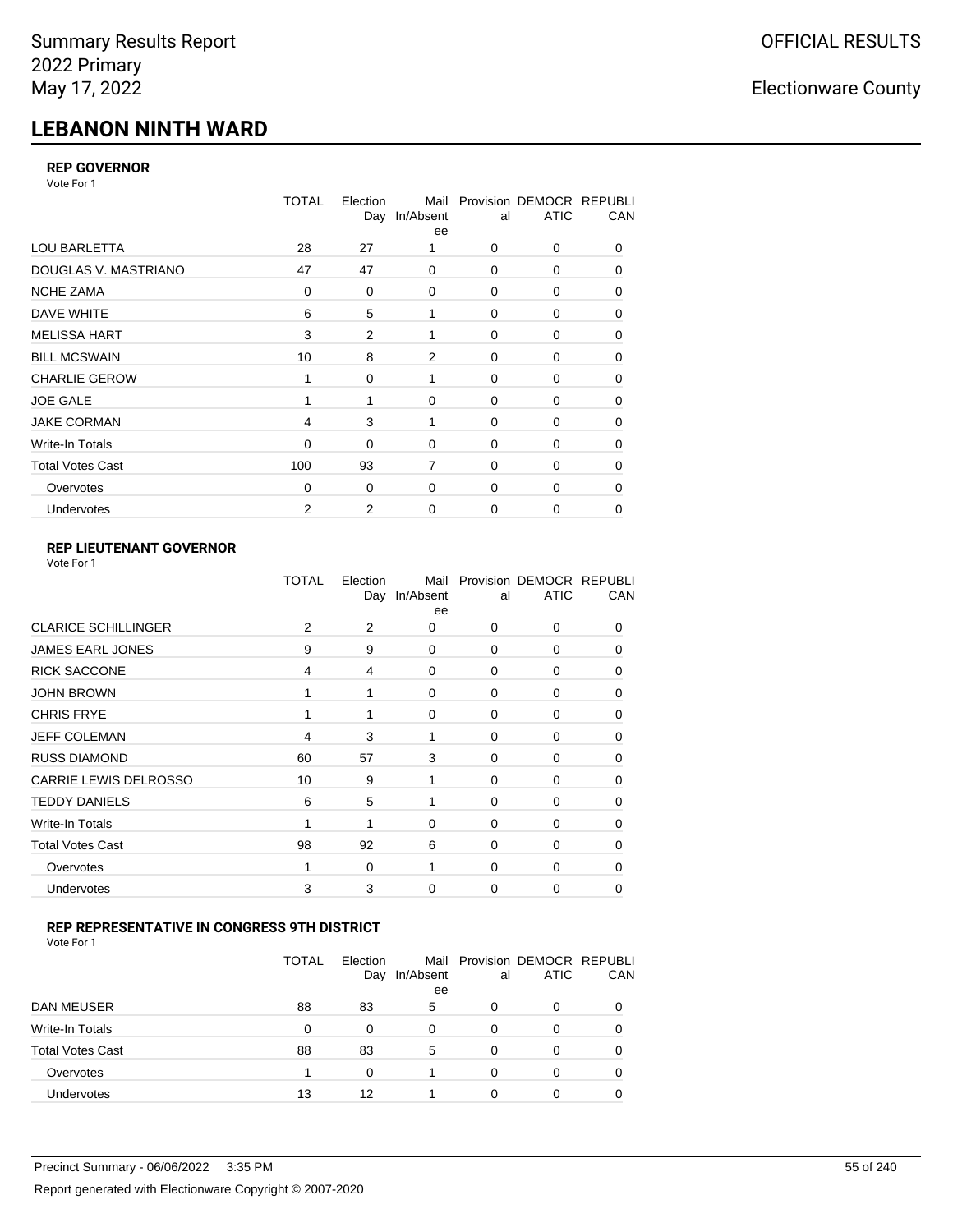# **LEBANON NINTH WARD**

## **REP GOVERNOR**

Vote For 1

|                         | <b>TOTAL</b> | Election<br>Day | Mail<br>In/Absent<br>ee | al          | Provision DEMOCR REPUBLI<br><b>ATIC</b> | CAN |
|-------------------------|--------------|-----------------|-------------------------|-------------|-----------------------------------------|-----|
| <b>LOU BARLETTA</b>     | 28           | 27              |                         | 0           | 0                                       | 0   |
| DOUGLAS V. MASTRIANO    | 47           | 47              | 0                       | $\mathbf 0$ | 0                                       | 0   |
| <b>NCHE ZAMA</b>        | 0            | 0               | 0                       | 0           | 0                                       | 0   |
| DAVE WHITE              | 6            | 5               | 1                       | $\mathbf 0$ | 0                                       | 0   |
| <b>MELISSA HART</b>     | 3            | 2               | 1                       | 0           | 0                                       | 0   |
| <b>BILL MCSWAIN</b>     | 10           | 8               | 2                       | $\mathbf 0$ | 0                                       | 0   |
| <b>CHARLIE GEROW</b>    | 1            | $\Omega$        | 1                       | $\Omega$    | $\Omega$                                | 0   |
| <b>JOE GALE</b>         |              | 1               | 0                       | $\mathbf 0$ | 0                                       | 0   |
| <b>JAKE CORMAN</b>      | 4            | 3               | 1                       | $\Omega$    | $\Omega$                                | 0   |
| Write-In Totals         | 0            | 0               | 0                       | $\mathbf 0$ | 0                                       | 0   |
| <b>Total Votes Cast</b> | 100          | 93              | $\overline{7}$          | $\Omega$    | 0                                       | 0   |
| Overvotes               | $\Omega$     | 0               | 0                       | $\mathbf 0$ | 0                                       | 0   |
| Undervotes              | 2            | 2               | 0                       | 0           | 0                                       | 0   |

## **REP LIEUTENANT GOVERNOR**

| Vote For 1 |  |
|------------|--|
|------------|--|

|                              | TOTAL | Election<br>Day | Mail<br>In/Absent<br>ee | al       | Provision DEMOCR REPUBLI<br><b>ATIC</b> | CAN      |
|------------------------------|-------|-----------------|-------------------------|----------|-----------------------------------------|----------|
| <b>CLARICE SCHILLINGER</b>   | 2     | 2               | 0                       | $\Omega$ | 0                                       | 0        |
| <b>JAMES EARL JONES</b>      | 9     | 9               | $\Omega$                | 0        | 0                                       | 0        |
| <b>RICK SACCONE</b>          | 4     | 4               | $\Omega$                | $\Omega$ | 0                                       | 0        |
| <b>JOHN BROWN</b>            | 1     | 1               | $\Omega$                | $\Omega$ | 0                                       | 0        |
| <b>CHRIS FRYE</b>            | 1     | 1               | 0                       | 0        | 0                                       | 0        |
| <b>JEFF COLEMAN</b>          | 4     | 3               | 1                       | 0        | 0                                       | $\Omega$ |
| <b>RUSS DIAMOND</b>          | 60    | 57              | 3                       | 0        | 0                                       | 0        |
| <b>CARRIE LEWIS DELROSSO</b> | 10    | 9               | 1                       | 0        | 0                                       | 0        |
| <b>TEDDY DANIELS</b>         | 6     | 5               | 1                       | $\Omega$ | 0                                       | $\Omega$ |
| Write-In Totals              | 1     | 1               | $\Omega$                | 0        | 0                                       | 0        |
| <b>Total Votes Cast</b>      | 98    | 92              | 6                       | $\Omega$ | $\Omega$                                | $\Omega$ |
| Overvotes                    | 1     | 0               | 1                       | 0        | 0                                       | $\Omega$ |
| Undervotes                   | 3     | 3               | $\Omega$                | $\Omega$ | 0                                       | 0        |
|                              |       |                 |                         |          |                                         |          |

## **REP REPRESENTATIVE IN CONGRESS 9TH DISTRICT**

Vote For 1

|                         | <b>TOTAL</b> | Election<br>Day | In/Absent<br>ee | al | Mail Provision DEMOCR REPUBLI<br><b>ATIC</b> | <b>CAN</b> |
|-------------------------|--------------|-----------------|-----------------|----|----------------------------------------------|------------|
| DAN MEUSER              | 88           | 83              | 5               | O  | 0                                            | 0          |
| Write-In Totals         | 0            | 0               | $\Omega$        | O  |                                              | 0          |
| <b>Total Votes Cast</b> | 88           | 83              | 5               | O  | 0                                            | 0          |
| Overvotes               |              | $\Omega$        |                 | 0  | 0                                            | 0          |
| <b>Undervotes</b>       | 13           | 12              |                 |    |                                              |            |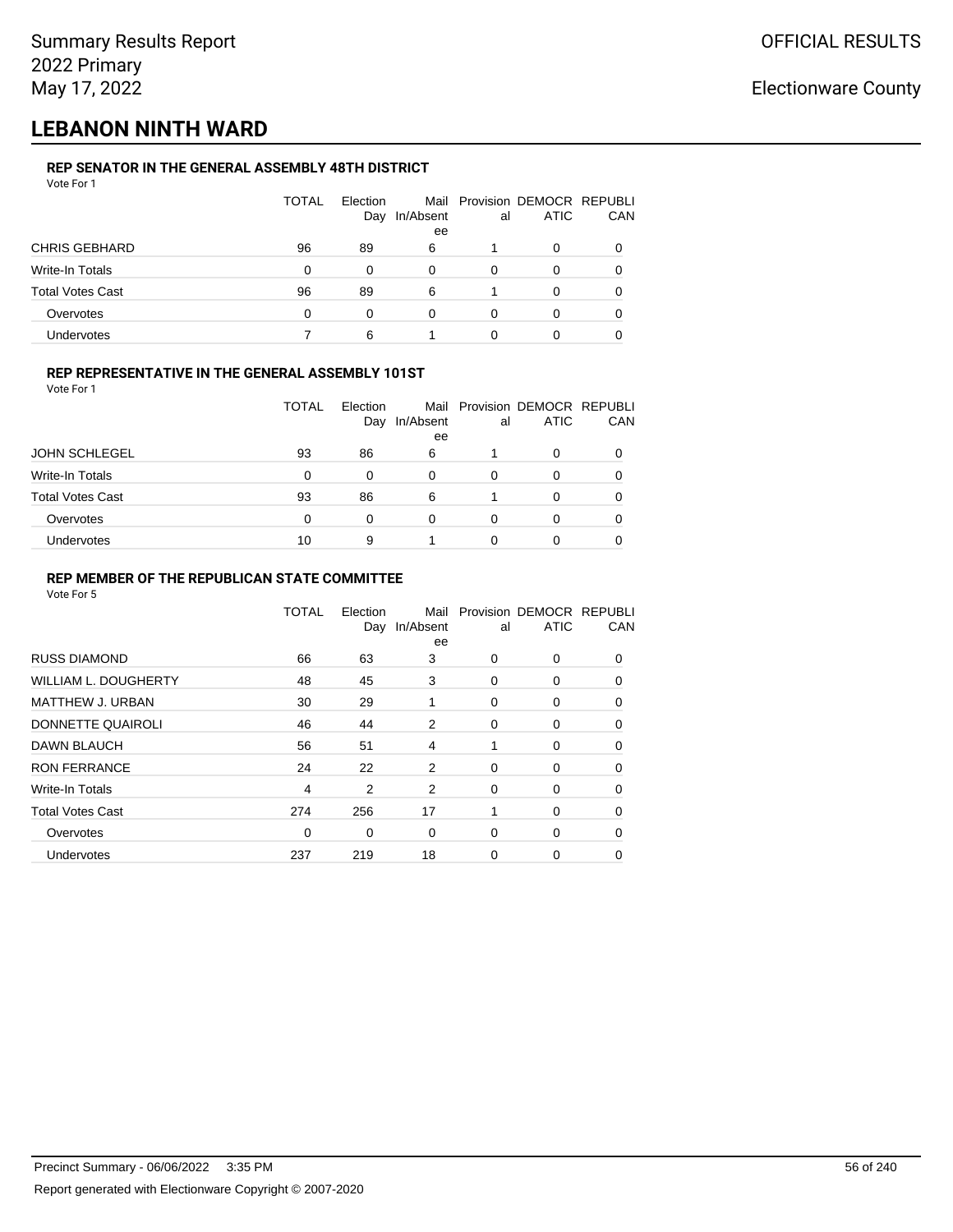## **LEBANON NINTH WARD**

## **REP SENATOR IN THE GENERAL ASSEMBLY 48TH DISTRICT**

| IL VERATVRIM IIL VENEMA AVVENDET TVIII DIVINVI<br>Vote For 1 |              |                 |                 |          |                                              |     |
|--------------------------------------------------------------|--------------|-----------------|-----------------|----------|----------------------------------------------|-----|
|                                                              | <b>TOTAL</b> | Election<br>Day | In/Absent<br>ee | al       | Mail Provision DEMOCR REPUBLI<br><b>ATIC</b> | CAN |
| <b>CHRIS GEBHARD</b>                                         | 96           | 89              | 6               |          | 0                                            | 0   |
| Write-In Totals                                              | 0            | $\Omega$        | 0               | $\Omega$ | 0                                            |     |
| <b>Total Votes Cast</b>                                      | 96           | 89              | 6               |          |                                              | 0   |
| Overvotes                                                    | 0            | 0               | 0               | 0        |                                              | 0   |
| Undervotes                                                   |              | 6               |                 |          |                                              |     |
|                                                              |              |                 |                 |          |                                              |     |

## **REP REPRESENTATIVE IN THE GENERAL ASSEMBLY 101ST**

Vote For 1

|                         | TOTAL | Flection<br>Day | In/Absent<br>ee | al | Mail Provision DEMOCR REPUBLI<br><b>ATIC</b> | CAN |
|-------------------------|-------|-----------------|-----------------|----|----------------------------------------------|-----|
| <b>JOHN SCHLEGEL</b>    | 93    | 86              | 6               |    | 0                                            |     |
| Write-In Totals         | 0     | 0               | 0               | 0  | O                                            | 0   |
| <b>Total Votes Cast</b> | 93    | 86              | 6               |    | 0                                            |     |
| Overvotes               | 0     | 0               | 0               | 0  | 0                                            |     |
| Undervotes              | 10    | 9               |                 |    | 0                                            |     |

### **REP MEMBER OF THE REPUBLICAN STATE COMMITTEE**

|                         | TOTAL | Election<br>Day | Mail<br>In/Absent<br>ee | al | Provision DEMOCR REPUBLI<br><b>ATIC</b> | CAN      |
|-------------------------|-------|-----------------|-------------------------|----|-----------------------------------------|----------|
| <b>RUSS DIAMOND</b>     | 66    | 63              | 3                       | 0  | 0                                       | 0        |
| WILLIAM L. DOUGHERTY    | 48    | 45              | 3                       | 0  | 0                                       | 0        |
| MATTHEW J. URBAN        | 30    | 29              | 1                       | 0  | 0                                       | 0        |
| DONNETTE QUAIROLI       | 46    | 44              | 2                       | 0  | 0                                       | $\Omega$ |
| <b>DAWN BLAUCH</b>      | 56    | 51              | 4                       | 1  | 0                                       | $\Omega$ |
| <b>RON FERRANCE</b>     | 24    | 22              | 2                       | 0  | 0                                       | $\Omega$ |
| Write-In Totals         | 4     | 2               | 2                       | 0  | 0                                       | 0        |
| <b>Total Votes Cast</b> | 274   | 256             | 17                      | 1  | 0                                       | 0        |
| Overvotes               | 0     | 0               | $\mathbf 0$             | 0  | 0                                       | 0        |
| Undervotes              | 237   | 219             | 18                      | 0  | 0                                       | $\Omega$ |
|                         |       |                 |                         |    |                                         |          |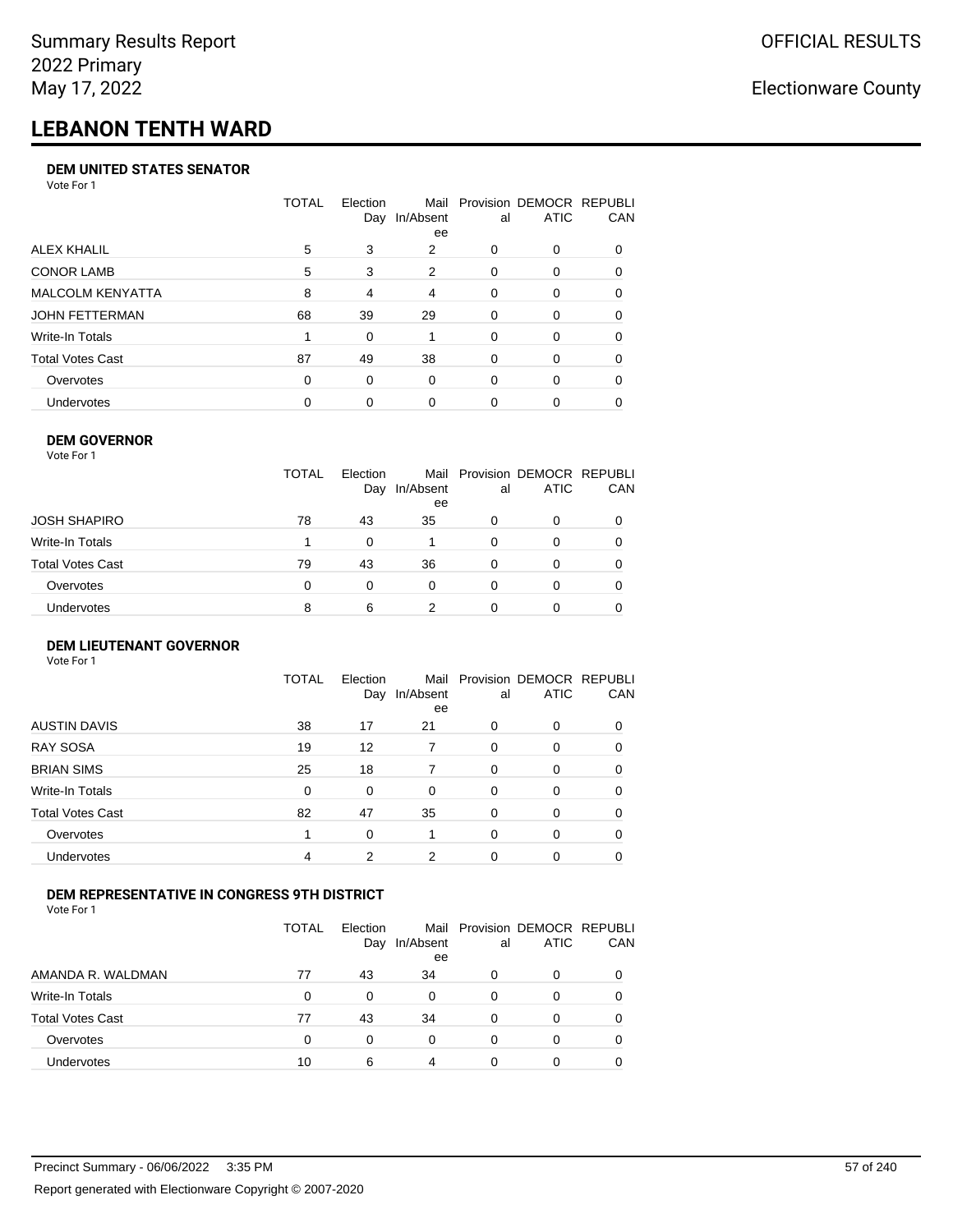# **LEBANON TENTH WARD**

#### **DEM UNITED STATES SENATOR**

Vote For 1

|                         | TOTAL | Election<br>Day | Mail<br>In/Absent<br>ee | al | Provision DEMOCR REPUBLI<br><b>ATIC</b> | <b>CAN</b> |
|-------------------------|-------|-----------------|-------------------------|----|-----------------------------------------|------------|
| ALEX KHALIL             | 5     | 3               | 2                       | 0  | $\Omega$                                | 0          |
| <b>CONOR LAMB</b>       | 5     | 3               | 2                       | 0  | $\Omega$                                | 0          |
| <b>MALCOLM KENYATTA</b> | 8     | 4               | $\overline{4}$          | 0  | $\Omega$                                | 0          |
| <b>JOHN FETTERMAN</b>   | 68    | 39              | 29                      | 0  | $\Omega$                                | 0          |
| Write-In Totals         |       | $\Omega$        |                         | 0  | $\Omega$                                | $\Omega$   |
| <b>Total Votes Cast</b> | 87    | 49              | 38                      | 0  | $\Omega$                                | 0          |
| Overvotes               | 0     | 0               | $\Omega$                | 0  | $\Omega$                                | 0          |
| <b>Undervotes</b>       | 0     | 0               | 0                       | 0  | $\Omega$                                | 0          |

#### **DEM GOVERNOR**

| Vote For 1       |              |                 |                 |          |                                              |          |
|------------------|--------------|-----------------|-----------------|----------|----------------------------------------------|----------|
|                  | <b>TOTAL</b> | Election<br>Day | In/Absent<br>ee | al       | Mail Provision DEMOCR REPUBLI<br><b>ATIC</b> | CAN      |
| JOSH SHAPIRO     | 78           | 43              | 35              | 0        | 0                                            |          |
| Write-In Totals  |              | $\Omega$        |                 | $\Omega$ | 0                                            | $\Omega$ |
| Total Votes Cast | 79           | 43              | 36              | 0        | 0                                            | 0        |
| Overvotes        | 0            | 0               | $\Omega$        | 0        | 0                                            | 0        |
| Undervotes       | 8            | 6               | 2               |          | 0                                            |          |

#### **DEM LIEUTENANT GOVERNOR** Vote For 1

|                         | <b>TOTAL</b> | Election<br>Day | In/Absent<br>ee | al       | Mail Provision DEMOCR REPUBLI<br><b>ATIC</b> | CAN      |
|-------------------------|--------------|-----------------|-----------------|----------|----------------------------------------------|----------|
| <b>AUSTIN DAVIS</b>     | 38           | 17              | 21              | $\Omega$ | $\Omega$                                     | 0        |
| <b>RAY SOSA</b>         | 19           | 12              | 7               | $\Omega$ | 0                                            | 0        |
| <b>BRIAN SIMS</b>       | 25           | 18              | 7               | $\Omega$ | $\Omega$                                     | $\Omega$ |
| Write-In Totals         | $\Omega$     | 0               | $\Omega$        | $\Omega$ | $\Omega$                                     | $\Omega$ |
| <b>Total Votes Cast</b> | 82           | 47              | 35              | $\Omega$ | 0                                            | $\Omega$ |
| Overvotes               | 1            | 0               | 1               | $\Omega$ | 0                                            | $\Omega$ |
| Undervotes              | 4            | 2               | 2               | $\Omega$ | 0                                            | 0        |

## **DEM REPRESENTATIVE IN CONGRESS 9TH DISTRICT**

Vote For 1

|                         | TOTAL | <b>Flection</b><br>Day | In/Absent<br>ee | al | Mail Provision DEMOCR REPUBLI<br><b>ATIC</b> | <b>CAN</b> |
|-------------------------|-------|------------------------|-----------------|----|----------------------------------------------|------------|
| AMANDA R. WALDMAN       | 77    | 43                     | 34              | 0  | 0                                            | 0          |
| Write-In Totals         | 0     | O                      | 0               | 0  | n                                            | $\Omega$   |
| <b>Total Votes Cast</b> | 77    | 43                     | 34              | 0  | 0                                            | 0          |
| Overvotes               | 0     | $\Omega$               | 0               | 0  | $\Omega$                                     | 0          |
| Undervotes              | 10    | 6                      |                 |    |                                              |            |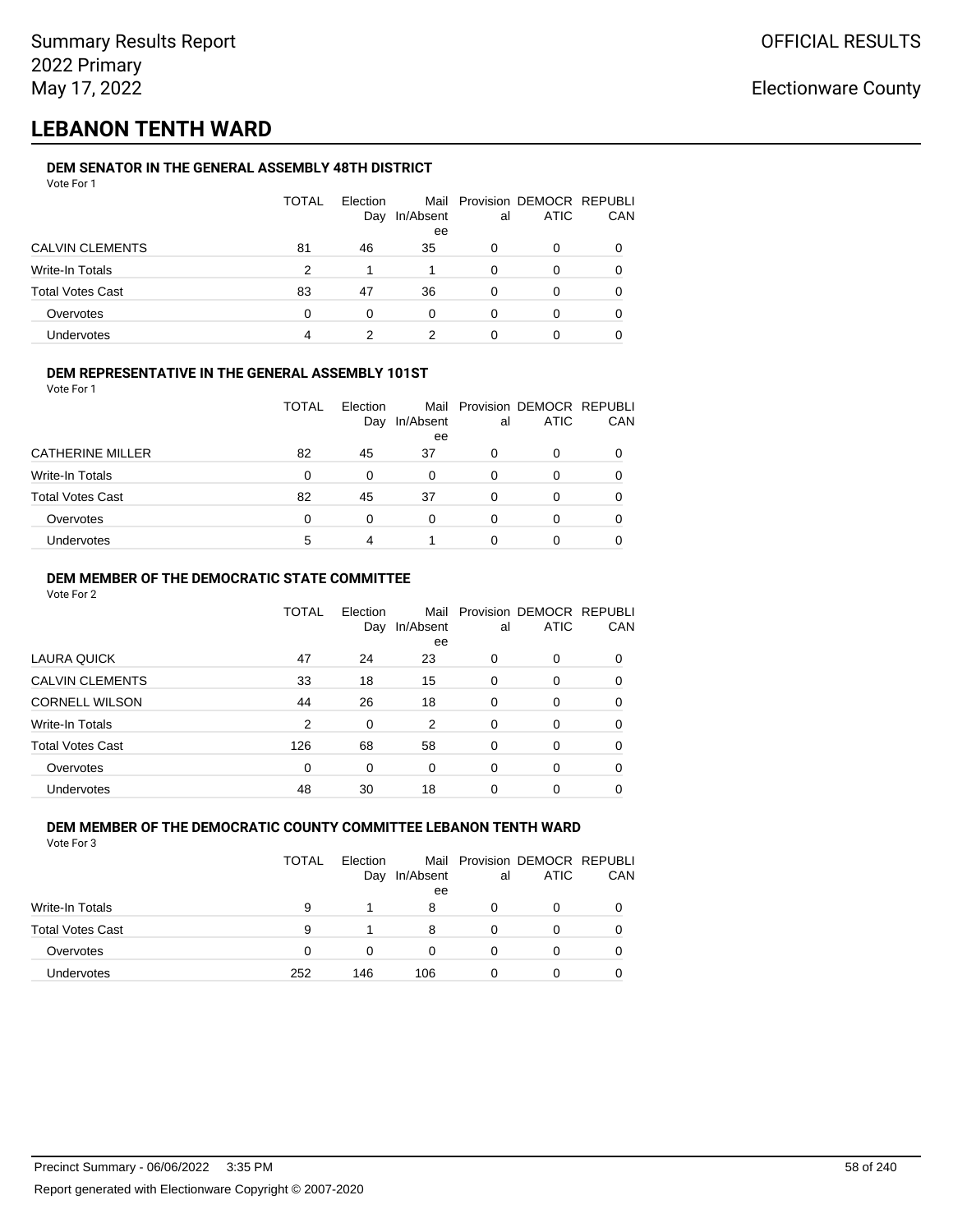## **LEBANON TENTH WARD**

#### **DEM SENATOR IN THE GENERAL ASSEMBLY 48TH DISTRICT** Vote For 1

| 1 J J J J J J           |              |                 |                 |    |                                              |            |
|-------------------------|--------------|-----------------|-----------------|----|----------------------------------------------|------------|
|                         | <b>TOTAL</b> | Election<br>Day | In/Absent<br>ee | al | Mail Provision DEMOCR REPUBLI<br><b>ATIC</b> | <b>CAN</b> |
| <b>CALVIN CLEMENTS</b>  | 81           | 46              | 35              | O  | 0                                            | 0          |
| Write-In Totals         | 2            |                 |                 | 0  | 0                                            | 0          |
| <b>Total Votes Cast</b> | 83           | 47              | 36              | 0  | 0                                            | 0          |
| Overvotes               | 0            | $\Omega$        | 0               | 0  |                                              | 0          |
| Undervotes              | 4            |                 | າ               |    |                                              |            |

## **DEM REPRESENTATIVE IN THE GENERAL ASSEMBLY 101ST**

Vote For 1

|                         | <b>TOTAL</b> | Election |           |    | Mail Provision DEMOCR REPUBLI |            |
|-------------------------|--------------|----------|-----------|----|-------------------------------|------------|
|                         |              | Day      | In/Absent | al | <b>ATIC</b>                   | <b>CAN</b> |
|                         |              |          | ee        |    |                               |            |
| <b>CATHERINE MILLER</b> | 82           | 45       | 37        | O  |                               | 0          |
| Write-In Totals         | 0            | 0        | 0         | O  |                               | 0          |
| <b>Total Votes Cast</b> | 82           | 45       | 37        | O  | O                             | 0          |
| Overvotes               | 0            | 0        | 0         |    |                               | 0          |
| Undervotes              | 5            |          |           |    |                               |            |

## **DEM MEMBER OF THE DEMOCRATIC STATE COMMITTEE**

Vote For 2

|                         | TOTAL | Election<br>Day | Mail<br>In/Absent | al       | Provision DEMOCR REPUBLI<br><b>ATIC</b> | CAN      |
|-------------------------|-------|-----------------|-------------------|----------|-----------------------------------------|----------|
| LAURA QUICK             | 47    | 24              | ee<br>23          | 0        | 0                                       | $\Omega$ |
| <b>CALVIN CLEMENTS</b>  | 33    | 18              | 15                | 0        | 0                                       | 0        |
| <b>CORNELL WILSON</b>   | 44    | 26              | 18                | $\Omega$ | 0                                       | $\Omega$ |
| Write-In Totals         | 2     | 0               | 2                 | 0        | $\Omega$                                | 0        |
| <b>Total Votes Cast</b> | 126   | 68              | 58                | 0        | 0                                       | 0        |
| Overvotes               | 0     | $\Omega$        | $\Omega$          | $\Omega$ | 0                                       | 0        |
| <b>Undervotes</b>       | 48    | 30              | 18                | 0        | 0                                       |          |

#### **DEM MEMBER OF THE DEMOCRATIC COUNTY COMMITTEE LEBANON TENTH WARD** Vote For 3

|                         | TOTAL | Election<br>Day | In/Absent<br>ee | al | Mail Provision DEMOCR REPUBLI<br><b>ATIC</b> | CAN |
|-------------------------|-------|-----------------|-----------------|----|----------------------------------------------|-----|
| <b>Write-In Totals</b>  | 9     |                 | 8               | O  | 0                                            |     |
| <b>Total Votes Cast</b> | 9     |                 | 8               |    | 0                                            |     |
| Overvotes               | 0     | 0               | 0               |    | 0                                            |     |
| <b>Undervotes</b>       | 252   | 146             | 106             | O  | 0                                            |     |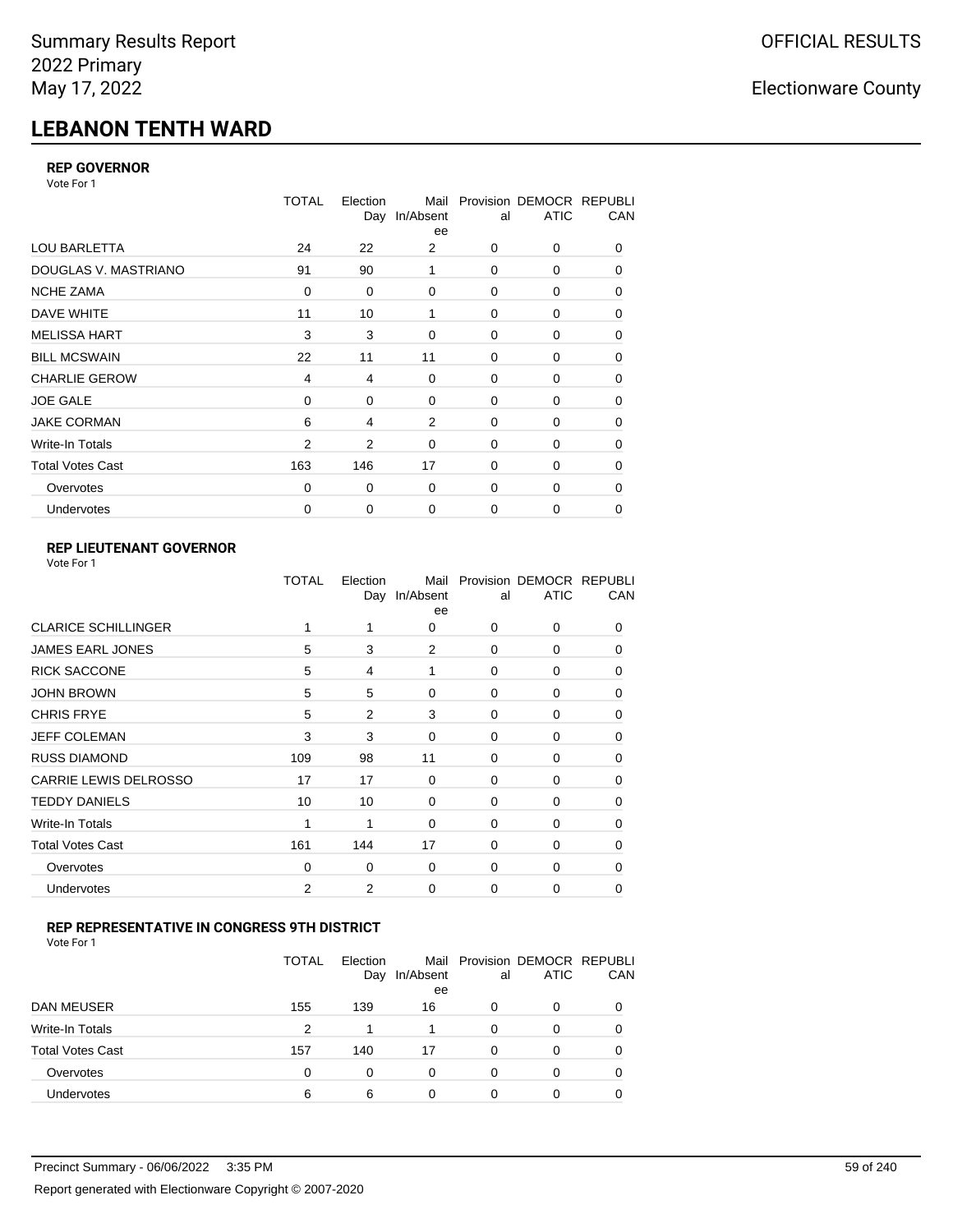# **LEBANON TENTH WARD**

## **REP GOVERNOR**

Vote For 1

|                         | <b>TOTAL</b> | Election | Mail<br>Day In/Absent<br>ee | al          | Provision DEMOCR REPUBLI<br><b>ATIC</b> | CAN      |
|-------------------------|--------------|----------|-----------------------------|-------------|-----------------------------------------|----------|
| <b>LOU BARLETTA</b>     | 24           | 22       | 2                           | 0           | 0                                       | $\Omega$ |
| DOUGLAS V. MASTRIANO    | 91           | 90       | 1                           | 0           | 0                                       | 0        |
| <b>NCHE ZAMA</b>        | $\mathbf 0$  | 0        | $\mathbf 0$                 | 0           | 0                                       | 0        |
| DAVE WHITE              | 11           | 10       | 1                           | 0           | 0                                       | 0        |
| <b>MELISSA HART</b>     | 3            | 3        | $\Omega$                    | 0           | 0                                       | 0        |
| <b>BILL MCSWAIN</b>     | 22           | 11       | 11                          | $\mathbf 0$ | 0                                       | 0        |
| <b>CHARLIE GEROW</b>    | 4            | 4        | $\mathbf 0$                 | 0           | 0                                       | 0        |
| <b>JOE GALE</b>         | $\mathbf 0$  | 0        | $\mathbf 0$                 | $\mathbf 0$ | 0                                       | 0        |
| <b>JAKE CORMAN</b>      | 6            | 4        | 2                           | 0           | 0                                       | 0        |
| Write-In Totals         | 2            | 2        | $\Omega$                    | 0           | 0                                       | 0        |
| <b>Total Votes Cast</b> | 163          | 146      | 17                          | $\Omega$    | $\Omega$                                | 0        |
| Overvotes               | 0            | 0        | $\mathbf 0$                 | 0           | 0                                       | 0        |
| Undervotes              | 0            | 0        | $\mathbf 0$                 | 0           | 0                                       | 0        |

## **REP LIEUTENANT GOVERNOR**

| Vote For 1 |  |
|------------|--|
|------------|--|

|                            | TOTAL | Election | Mail<br>Day In/Absent<br>ee | al       | Provision DEMOCR REPUBLI<br><b>ATIC</b> | CAN          |
|----------------------------|-------|----------|-----------------------------|----------|-----------------------------------------|--------------|
| <b>CLARICE SCHILLINGER</b> | 1     | 1        | 0                           | $\Omega$ | 0                                       | 0            |
| <b>JAMES EARL JONES</b>    | 5     | 3        | 2                           | 0        | 0                                       | 0            |
| <b>RICK SACCONE</b>        | 5     | 4        | 1                           | $\Omega$ | 0                                       | 0            |
| <b>JOHN BROWN</b>          | 5     | 5        | $\Omega$                    | $\Omega$ | 0                                       | 0            |
| <b>CHRIS FRYE</b>          | 5     | 2        | 3                           | 0        | 0                                       | 0            |
| JEFF COLEMAN               | 3     | 3        | 0                           | 0        | 0                                       | $\Omega$     |
| <b>RUSS DIAMOND</b>        | 109   | 98       | 11                          | 0        | 0                                       | 0            |
| CARRIE LEWIS DELROSSO      | 17    | 17       | 0                           | 0        | 0                                       | 0            |
| <b>TEDDY DANIELS</b>       | 10    | 10       | $\Omega$                    | 0        | 0                                       | 0            |
| Write-In Totals            | 1     | 1        | $\Omega$                    | 0        | 0                                       | $\Omega$     |
| <b>Total Votes Cast</b>    | 161   | 144      | 17                          | $\Omega$ | $\Omega$                                | $\Omega$     |
| Overvotes                  | 0     | 0        | 0                           | 0        | 0                                       | <sup>0</sup> |
| Undervotes                 | 2     | 2        | 0                           | $\Omega$ | 0                                       | 0            |
|                            |       |          |                             |          |                                         |              |

## **REP REPRESENTATIVE IN CONGRESS 9TH DISTRICT**

| Vote For 1 |  |
|------------|--|
|------------|--|

|                         | TOTAL | Election<br>Day | In/Absent<br>ee | al       | Mail Provision DEMOCR REPUBLI<br><b>ATIC</b> | CAN      |
|-------------------------|-------|-----------------|-----------------|----------|----------------------------------------------|----------|
| <b>DAN MEUSER</b>       | 155   | 139             | 16              | 0        | 0                                            | $\Omega$ |
| Write-In Totals         | 2     | 1               |                 | 0        | 0                                            |          |
| <b>Total Votes Cast</b> | 157   | 140             | 17              | $\Omega$ | 0                                            |          |
| Overvotes               | 0     | 0               | 0               | 0        | 0                                            | 0        |
| <b>Undervotes</b>       | 6     | 6               |                 | 0        | 0                                            |          |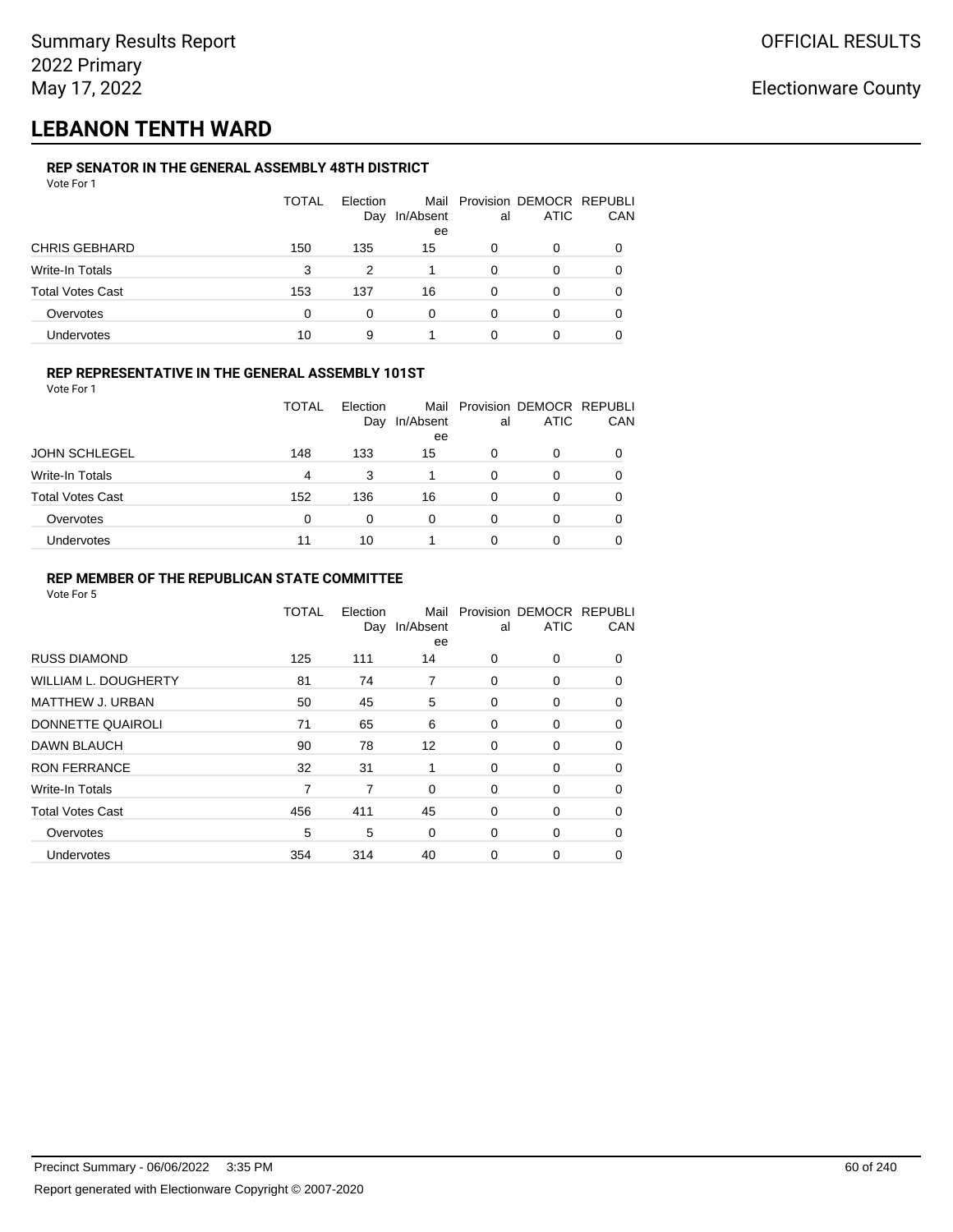## **LEBANON TENTH WARD**

#### **REP SENATOR IN THE GENERAL ASSEMBLY 48TH DISTRICT** Vote For 1

| 1 J J J J J J           |              |                 |                 |    |                                              |              |
|-------------------------|--------------|-----------------|-----------------|----|----------------------------------------------|--------------|
|                         | <b>TOTAL</b> | Election<br>Day | In/Absent<br>ee | al | Mail Provision DEMOCR REPUBLI<br><b>ATIC</b> | CAN          |
| <b>CHRIS GEBHARD</b>    | 150          | 135             | 15              | 0  | O                                            |              |
| Write-In Totals         | 3            | 2               |                 | 0  | O                                            |              |
| <b>Total Votes Cast</b> | 153          | 137             | 16              | 0  | 0                                            | <sup>0</sup> |
| Overvotes               | $\Omega$     | 0               | 0               | 0  | O                                            | 0            |
| <b>Undervotes</b>       | 10           | 9               |                 | 0  | 0                                            |              |

## **REP REPRESENTATIVE IN THE GENERAL ASSEMBLY 101ST**

Vote For 1

|                         | TOTAL | Election<br>Day | In/Absent<br>ee | al | Mail Provision DEMOCR REPUBLI<br><b>ATIC</b> | <b>CAN</b> |
|-------------------------|-------|-----------------|-----------------|----|----------------------------------------------|------------|
| <b>JOHN SCHLEGEL</b>    | 148   | 133             | 15              | 0  |                                              | 0          |
| Write-In Totals         | 4     | 3               |                 | 0  | 0                                            | 0          |
| <b>Total Votes Cast</b> | 152   | 136             | 16              | 0  | <sup>0</sup>                                 | 0          |
| Overvotes               | 0     | 0               | 0               | 0  | 0                                            | 0          |
| Undervotes              |       | 10              |                 |    |                                              | 0          |

### **REP MEMBER OF THE REPUBLICAN STATE COMMITTEE**

|                             | TOTAL | Election<br>Day | Mail<br>In/Absent<br>ee | al | Provision DEMOCR REPUBLI<br><b>ATIC</b> | CAN      |
|-----------------------------|-------|-----------------|-------------------------|----|-----------------------------------------|----------|
| <b>RUSS DIAMOND</b>         | 125   | 111             | 14                      | 0  | $\Omega$                                | $\Omega$ |
| <b>WILLIAM L. DOUGHERTY</b> | 81    | 74              | 7                       | 0  | 0                                       | 0        |
| MATTHEW J. URBAN            | 50    | 45              | 5                       | 0  | 0                                       | $\Omega$ |
| DONNETTE QUAIROLI           | 71    | 65              | 6                       | 0  | 0                                       | $\Omega$ |
| <b>DAWN BLAUCH</b>          | 90    | 78              | 12                      | 0  | 0                                       | $\Omega$ |
| <b>RON FERRANCE</b>         | 32    | 31              | 1                       | 0  | 0                                       | 0        |
| Write-In Totals             | 7     | 7               | $\mathbf 0$             | 0  | 0                                       | 0        |
| <b>Total Votes Cast</b>     | 456   | 411             | 45                      | 0  | 0                                       | 0        |
| Overvotes                   | 5     | 5               | 0                       | 0  | 0                                       | 0        |
| Undervotes                  | 354   | 314             | 40                      | 0  | 0                                       |          |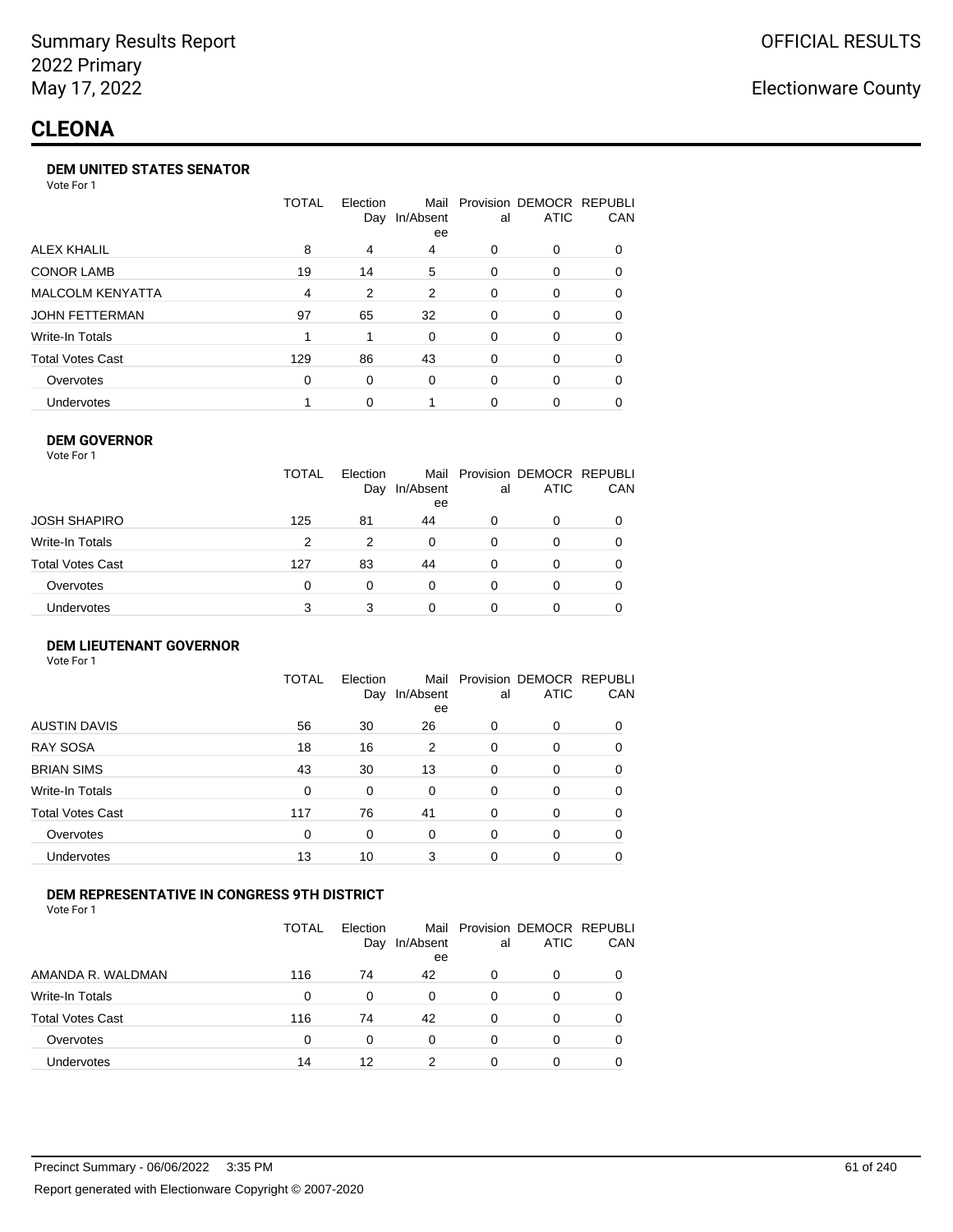#### **DEM UNITED STATES SENATOR**

Vote For 1

|                         | TOTAL | Election<br>Day | Mail<br>In/Absent<br>ee | al | Provision DEMOCR REPUBLI<br><b>ATIC</b> | <b>CAN</b> |
|-------------------------|-------|-----------------|-------------------------|----|-----------------------------------------|------------|
| ALEX KHALIL             | 8     | 4               | 4                       | 0  | $\Omega$                                | 0          |
| <b>CONOR LAMB</b>       | 19    | 14              | 5                       | 0  | $\Omega$                                | 0          |
| <b>MALCOLM KENYATTA</b> | 4     | 2               | 2                       | 0  | $\Omega$                                | 0          |
| <b>JOHN FETTERMAN</b>   | 97    | 65              | 32                      | 0  | $\Omega$                                | 0          |
| Write-In Totals         |       |                 | $\Omega$                | 0  | $\Omega$                                | 0          |
| <b>Total Votes Cast</b> | 129   | 86              | 43                      | 0  | $\Omega$                                | 0          |
| Overvotes               | 0     | 0               | $\Omega$                | 0  | $\Omega$                                | 0          |
| Undervotes              |       | 0               |                         | 0  | $\Omega$                                | 0          |

#### **DEM GOVERNOR**

| Vote For 1       |              |                 |                 |          |                                              |     |
|------------------|--------------|-----------------|-----------------|----------|----------------------------------------------|-----|
|                  | <b>TOTAL</b> | Election<br>Day | In/Absent<br>ee | al       | Mail Provision DEMOCR REPUBLI<br><b>ATIC</b> | CAN |
| JOSH SHAPIRO     | 125          | 81              | 44              | 0        | 0                                            |     |
| Write-In Totals  | 2            | 2               | 0               | 0        | 0                                            | 0   |
| Total Votes Cast | 127          | 83              | 44              | 0        | 0                                            | 0   |
| Overvotes        | 0            | 0               | 0               | $\Omega$ | 0                                            |     |
| Undervotes       | 3            | 3               | 0               | 0        | 0                                            |     |

#### **DEM LIEUTENANT GOVERNOR** Vote For 1

|                         | TOTAL | Election<br>Day | In/Absent<br>ee | al       | Mail Provision DEMOCR REPUBLI<br><b>ATIC</b> | CAN      |
|-------------------------|-------|-----------------|-----------------|----------|----------------------------------------------|----------|
| <b>AUSTIN DAVIS</b>     | 56    | 30              | 26              | 0        | 0                                            | 0        |
| <b>RAY SOSA</b>         | 18    | 16              | 2               | 0        | 0                                            | $\Omega$ |
| <b>BRIAN SIMS</b>       | 43    | 30              | 13              | 0        | 0                                            | $\Omega$ |
| Write-In Totals         | 0     | 0               | $\Omega$        | $\Omega$ | $\Omega$                                     | $\Omega$ |
| <b>Total Votes Cast</b> | 117   | 76              | 41              | 0        | 0                                            | $\Omega$ |
| Overvotes               | 0     | 0               | 0               | $\Omega$ | 0                                            | $\Omega$ |
| Undervotes              | 13    | 10              | 3               | 0        | 0                                            | 0        |

## **DEM REPRESENTATIVE IN CONGRESS 9TH DISTRICT**

Vote For 1

|                         | TOTAL | <b>Flection</b><br>Day | Mail<br>In/Absent<br>ee | al | Provision DEMOCR REPUBLI<br><b>ATIC</b> | <b>CAN</b> |
|-------------------------|-------|------------------------|-------------------------|----|-----------------------------------------|------------|
| AMANDA R. WALDMAN       | 116   | 74                     | 42                      | O  | 0                                       | 0          |
| Write-In Totals         | 0     | 0                      | $\Omega$                | 0  | $\Omega$                                | 0          |
| <b>Total Votes Cast</b> | 116   | 74                     | 42                      | 0  | 0                                       | 0          |
| Overvotes               | 0     | 0                      | $\Omega$                | 0  | $\Omega$                                | 0          |
| <b>Undervotes</b>       | 14    | 12                     | າ                       |    |                                         |            |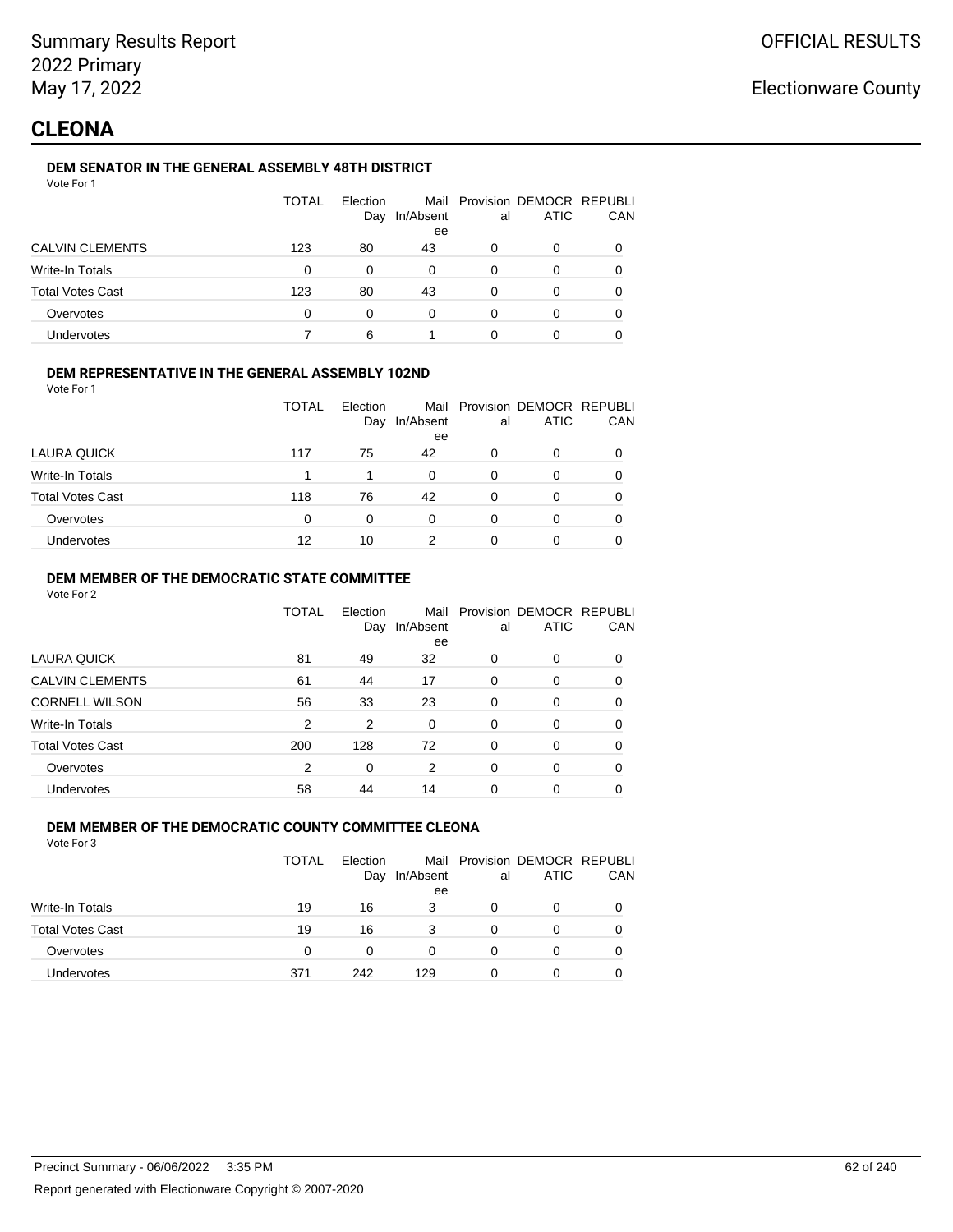## **CLEONA**

## **DEM SENATOR IN THE GENERAL ASSEMBLY 48TH DISTRICT**

| Vote For |  |
|----------|--|
|          |  |

|                         | <b>TOTAL</b> | Election<br>Day | In/Absent<br>ee | al | Mail Provision DEMOCR REPUBLI<br><b>ATIC</b> | CAN |
|-------------------------|--------------|-----------------|-----------------|----|----------------------------------------------|-----|
| <b>CALVIN CLEMENTS</b>  | 123          | 80              | 43              | 0  | 0                                            |     |
| Write-In Totals         | 0            | 0               | $\Omega$        | 0  | 0                                            |     |
| <b>Total Votes Cast</b> | 123          | 80              | 43              | 0  | 0                                            |     |
| Overvotes               | 0            | 0               | 0               | ∩  | Ω                                            |     |
| Undervotes              |              | 6               |                 |    |                                              |     |

### **DEM REPRESENTATIVE IN THE GENERAL ASSEMBLY 102ND**

Vote For 1

|                         | <b>TOTAL</b> | Election | Day In/Absent | al | Mail Provision DEMOCR REPUBLI<br><b>ATIC</b> | <b>CAN</b> |
|-------------------------|--------------|----------|---------------|----|----------------------------------------------|------------|
|                         |              |          | ee            |    |                                              |            |
| LAURA QUICK             | 117          | 75       | 42            | 0  | 0                                            | 0          |
| Write-In Totals         |              |          | 0             | 0  |                                              | 0          |
| <b>Total Votes Cast</b> | 118          | 76       | 42            | 0  | 0                                            | 0          |
| Overvotes               | 0            | $\Omega$ | 0             | 0  |                                              | 0          |
| <b>Undervotes</b>       | 12           | 10       | っ             | 0  |                                              | 0          |

## **DEM MEMBER OF THE DEMOCRATIC STATE COMMITTEE**

Vote For 2

|                         | TOTAL          | Flection<br>Day | Mail<br>In/Absent<br>ee | al       | Provision DEMOCR REPUBLI<br><b>ATIC</b> | CAN      |
|-------------------------|----------------|-----------------|-------------------------|----------|-----------------------------------------|----------|
| LAURA QUICK             | 81             | 49              | 32                      | 0        | $\Omega$                                | 0        |
| <b>CALVIN CLEMENTS</b>  | 61             | 44              | 17                      | 0        | 0                                       | 0        |
| <b>CORNELL WILSON</b>   | 56             | 33              | 23                      | $\Omega$ | $\Omega$                                | $\Omega$ |
| Write-In Totals         | 2              | 2               | 0                       | $\Omega$ | $\Omega$                                | 0        |
| <b>Total Votes Cast</b> | 200            | 128             | 72                      | $\Omega$ | $\Omega$                                | 0        |
| Overvotes               | $\overline{2}$ | 0               | 2                       | $\Omega$ | $\Omega$                                | 0        |
| <b>Undervotes</b>       | 58             | 44              | 14                      | 0        | 0                                       |          |

### **DEM MEMBER OF THE DEMOCRATIC COUNTY COMMITTEE CLEONA**

|                         | TOTAL | Election<br>Day | In/Absent | al | Mail Provision DEMOCR REPUBLI<br>ATIC | CAN |
|-------------------------|-------|-----------------|-----------|----|---------------------------------------|-----|
| Write-In Totals         | 19    | 16              | ee<br>3   | O  | 0                                     |     |
| <b>Total Votes Cast</b> | 19    | 16              | 3         | 0  | O                                     |     |
| Overvotes               | 0     | 0               |           | O  | 0                                     |     |
| Undervotes              | 371   | 242             | 129       | 0  | 0                                     |     |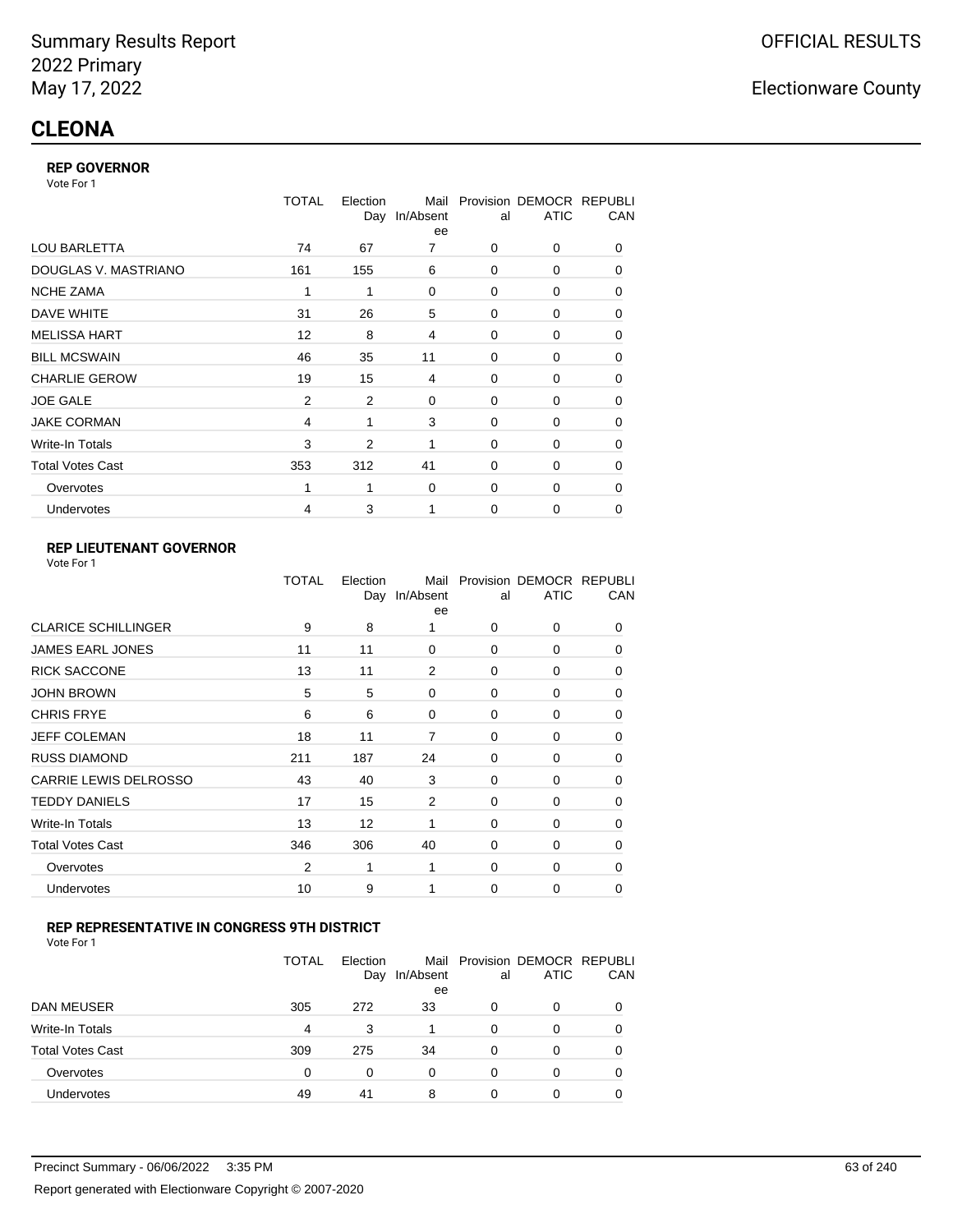#### **REP GOVERNOR**

Vote For 1

|                         | <b>TOTAL</b>   | Election<br>Day | Mail<br>In/Absent<br>ee | al          | Provision DEMOCR REPUBLI<br><b>ATIC</b> | CAN |
|-------------------------|----------------|-----------------|-------------------------|-------------|-----------------------------------------|-----|
| <b>LOU BARLETTA</b>     | 74             | 67              | 7                       | 0           | 0                                       | 0   |
| DOUGLAS V. MASTRIANO    | 161            | 155             | 6                       | $\mathbf 0$ | 0                                       | 0   |
| <b>NCHE ZAMA</b>        | 1              | 1               | $\mathbf 0$             | 0           | 0                                       | 0   |
| DAVE WHITE              | 31             | 26              | 5                       | $\mathbf 0$ | 0                                       | 0   |
| <b>MELISSA HART</b>     | 12             | 8               | 4                       | 0           | 0                                       | 0   |
| <b>BILL MCSWAIN</b>     | 46             | 35              | 11                      | $\mathbf 0$ | 0                                       | 0   |
| <b>CHARLIE GEROW</b>    | 19             | 15              | 4                       | $\Omega$    | $\Omega$                                | 0   |
| <b>JOE GALE</b>         | $\overline{2}$ | $\overline{2}$  | 0                       | $\mathbf 0$ | 0                                       | 0   |
| <b>JAKE CORMAN</b>      | 4              | 1               | 3                       | $\Omega$    | 0                                       | 0   |
| Write-In Totals         | 3              | 2               | 1                       | $\mathbf 0$ | 0                                       | 0   |
| <b>Total Votes Cast</b> | 353            | 312             | 41                      | $\Omega$    | 0                                       | 0   |
| Overvotes               |                | 1               | $\mathbf 0$             | 0           | 0                                       | 0   |
| Undervotes              | 4              | 3               | 1                       | $\Omega$    | 0                                       | 0   |

## **REP LIEUTENANT GOVERNOR**

| Vote For 1 |  |
|------------|--|
|------------|--|

|                            | TOTAL          | Election | Mail<br>Day In/Absent<br>ee | al       | Provision DEMOCR REPUBLI<br><b>ATIC</b> | CAN      |
|----------------------------|----------------|----------|-----------------------------|----------|-----------------------------------------|----------|
| <b>CLARICE SCHILLINGER</b> | 9              | 8        | 1                           | $\Omega$ | 0                                       | 0        |
| <b>JAMES EARL JONES</b>    | 11             | 11       | 0                           | 0        | 0                                       | 0        |
| <b>RICK SACCONE</b>        | 13             | 11       | 2                           | $\Omega$ | 0                                       | 0        |
| <b>JOHN BROWN</b>          | 5              | 5        | 0                           | $\Omega$ | 0                                       | 0        |
| <b>CHRIS FRYE</b>          | 6              | 6        | 0                           | 0        | 0                                       | 0        |
| JEFF COLEMAN               | 18             | 11       | 7                           | 0        | 0                                       | 0        |
| <b>RUSS DIAMOND</b>        | 211            | 187      | 24                          | 0        | 0                                       | 0        |
| CARRIE LEWIS DELROSSO      | 43             | 40       | 3                           | 0        | 0                                       | 0        |
| <b>TEDDY DANIELS</b>       | 17             | 15       | 2                           | 0        | 0                                       | 0        |
| Write-In Totals            | 13             | 12       | 1                           | $\Omega$ | 0                                       | 0        |
| <b>Total Votes Cast</b>    | 346            | 306      | 40                          | $\Omega$ | 0                                       | $\Omega$ |
| Overvotes                  | $\overline{2}$ | 1        | 1                           | 0        | 0                                       | $\Omega$ |
| Undervotes                 | 10             | 9        | 1                           | $\Omega$ | 0                                       | $\Omega$ |
|                            |                |          |                             |          |                                         |          |

## **REP REPRESENTATIVE IN CONGRESS 9TH DISTRICT**

| Vote For 1 |  |  |
|------------|--|--|
|------------|--|--|

|                         | <b>TOTAL</b> | Election<br>Day | In/Absent<br>ee | al       | Mail Provision DEMOCR REPUBLI<br><b>ATIC</b> | CAN      |
|-------------------------|--------------|-----------------|-----------------|----------|----------------------------------------------|----------|
| DAN MEUSER              | 305          | 272             | 33              | 0        | 0                                            | $\Omega$ |
| Write-In Totals         | 4            | 3               |                 | 0        | 0                                            |          |
| <b>Total Votes Cast</b> | 309          | 275             | 34              | $\Omega$ | 0                                            |          |
| Overvotes               | 0            | 0               | 0               | 0        | 0                                            | 0        |
| Undervotes              | 49           | 41              | 8               | 0        | 0                                            |          |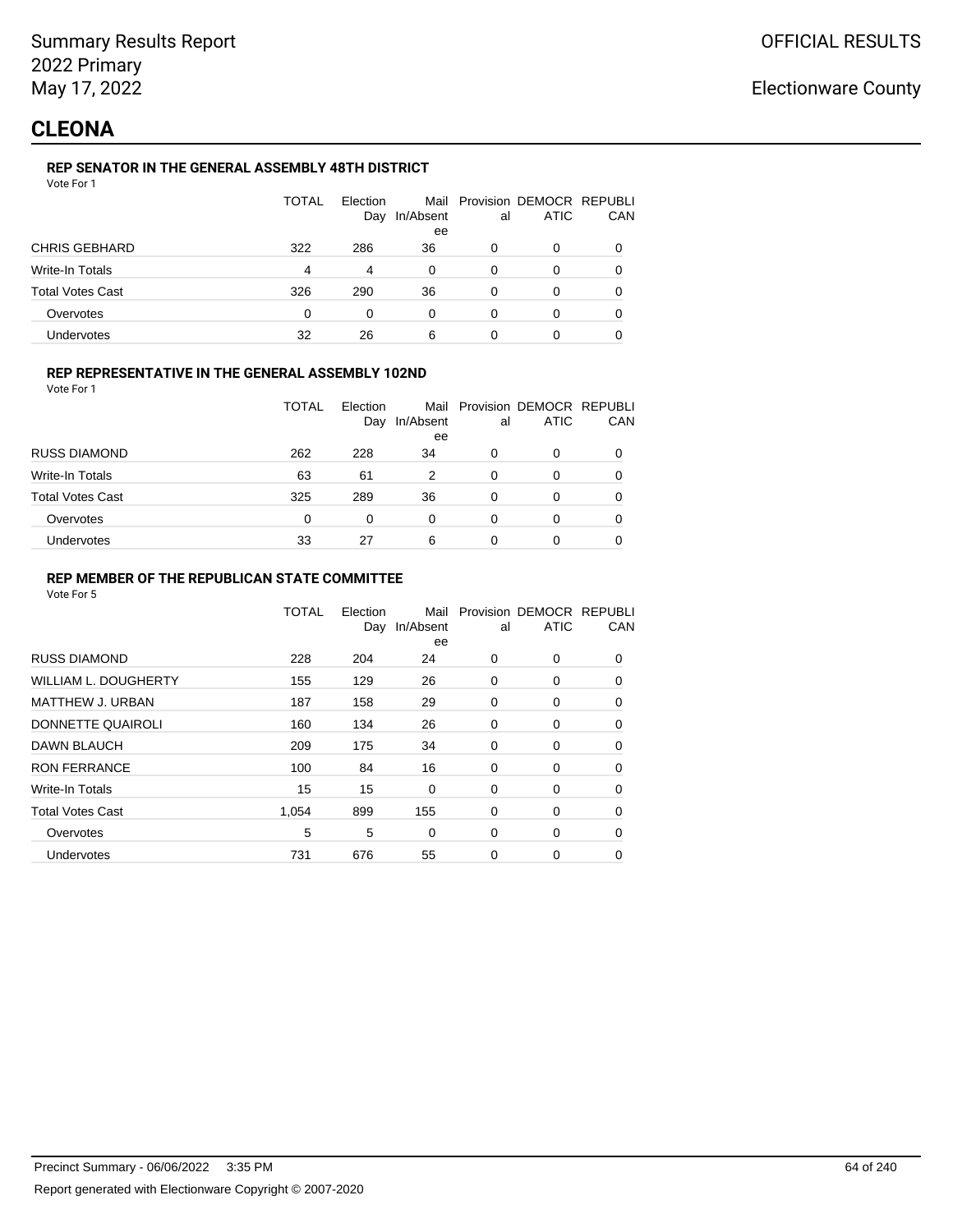## **CLEONA**

## **REP SENATOR IN THE GENERAL ASSEMBLY 48TH DISTRICT**

| Vote For 1 |  |  |
|------------|--|--|
|------------|--|--|

|                         | <b>TOTAL</b> | Election<br>Day | In/Absent<br>ee | al | Mail Provision DEMOCR REPUBLI<br><b>ATIC</b> | CAN |
|-------------------------|--------------|-----------------|-----------------|----|----------------------------------------------|-----|
| <b>CHRIS GEBHARD</b>    | 322          | 286             | 36              | O  | 0                                            |     |
| Write-In Totals         | 4            | 4               | $\Omega$        | 0  | 0                                            |     |
| <b>Total Votes Cast</b> | 326          | 290             | 36              | O  | O                                            |     |
| Overvotes               | 0            | 0               | 0               | 0  | ი                                            |     |
| Undervotes              | 32           | 26              | 6               | 0  |                                              |     |

## **REP REPRESENTATIVE IN THE GENERAL ASSEMBLY 102ND**

Vote For 1

|                         | TOTAL | Election |                     |    | Mail Provision DEMOCR REPUBLI |            |
|-------------------------|-------|----------|---------------------|----|-------------------------------|------------|
|                         |       |          | Day In/Absent<br>ee | al | <b>ATIC</b>                   | <b>CAN</b> |
| <b>RUSS DIAMOND</b>     | 262   | 228      | 34                  | 0  |                               | 0          |
| Write-In Totals         | 63    | 61       | 2                   | 0  |                               | 0          |
| <b>Total Votes Cast</b> | 325   | 289      | 36                  | 0  |                               | 0          |
| Overvotes               | 0     |          | 0                   | 0  |                               | 0          |
| <b>Undervotes</b>       | 33    | 27       | 6                   | 0  |                               | 0          |

## **REP MEMBER OF THE REPUBLICAN STATE COMMITTEE**

|                             | <b>TOTAL</b> | Election<br>Day | Mail<br>In/Absent<br>ee | al | Provision DEMOCR REPUBLI<br><b>ATIC</b> | CAN      |
|-----------------------------|--------------|-----------------|-------------------------|----|-----------------------------------------|----------|
| <b>RUSS DIAMOND</b>         | 228          | 204             | 24                      | 0  | 0                                       | 0        |
| <b>WILLIAM L. DOUGHERTY</b> | 155          | 129             | 26                      | 0  | 0                                       | $\Omega$ |
| <b>MATTHEW J. URBAN</b>     | 187          | 158             | 29                      | 0  | 0                                       | 0        |
| DONNETTE QUAIROLI           | 160          | 134             | 26                      | 0  | 0                                       | $\Omega$ |
| DAWN BLAUCH                 | 209          | 175             | 34                      | 0  | 0                                       | $\Omega$ |
| <b>RON FERRANCE</b>         | 100          | 84              | 16                      | 0  | 0                                       | 0        |
| Write-In Totals             | 15           | 15              | 0                       | 0  | 0                                       | 0        |
| <b>Total Votes Cast</b>     | 1.054        | 899             | 155                     | 0  | 0                                       | 0        |
| Overvotes                   | 5            | 5               | 0                       | 0  | 0                                       | 0        |
| Undervotes                  | 731          | 676             | 55                      | 0  | 0                                       | 0        |
|                             |              |                 |                         |    |                                         |          |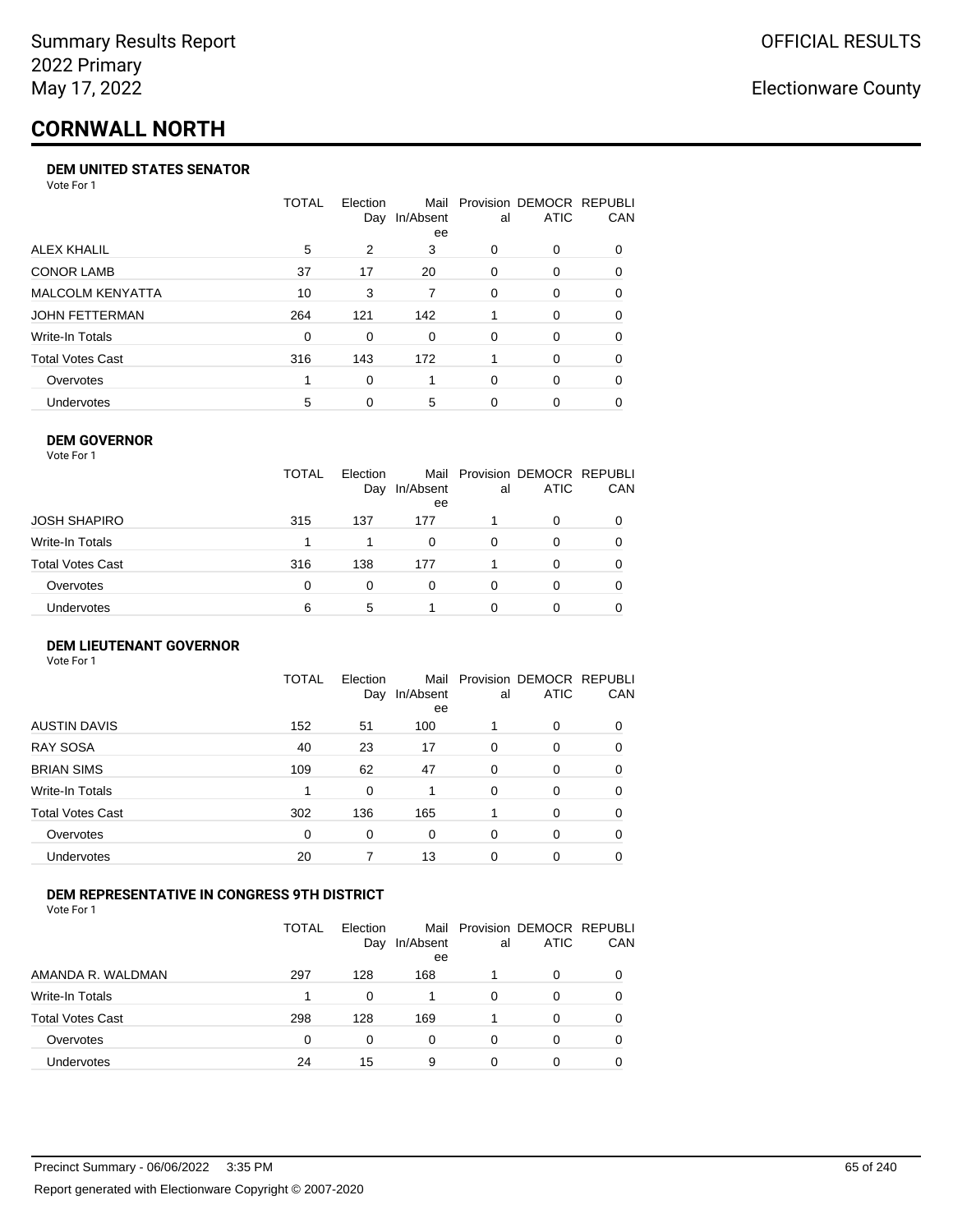# **CORNWALL NORTH**

#### **DEM UNITED STATES SENATOR**

Vote For 1

|                         | TOTAL | Election<br>Day | Mail<br>In/Absent<br>ee | al | Provision DEMOCR REPUBLI<br>ATIC | <b>CAN</b> |
|-------------------------|-------|-----------------|-------------------------|----|----------------------------------|------------|
| ALEX KHALIL             | 5     | 2               | 3                       | 0  | $\Omega$                         | 0          |
| <b>CONOR LAMB</b>       | 37    | 17              | 20                      | 0  | $\Omega$                         | 0          |
| <b>MALCOLM KENYATTA</b> | 10    | 3               | 7                       | 0  | $\Omega$                         | 0          |
| JOHN FETTERMAN          | 264   | 121             | 142                     |    | $\Omega$                         | 0          |
| Write-In Totals         | 0     | $\Omega$        | $\Omega$                | 0  | $\Omega$                         | 0          |
| <b>Total Votes Cast</b> | 316   | 143             | 172                     |    | $\Omega$                         | 0          |
| Overvotes               |       | 0               |                         | 0  | $\Omega$                         | 0          |
| <b>Undervotes</b>       | 5     | 0               | 5                       | 0  | $\Omega$                         | 0          |

#### **DEM GOVERNOR**

| Vote For 1       |              |                 |                 |          |                                              |          |
|------------------|--------------|-----------------|-----------------|----------|----------------------------------------------|----------|
|                  | <b>TOTAL</b> | Election<br>Day | In/Absent<br>ee | al       | Mail Provision DEMOCR REPUBLI<br><b>ATIC</b> | CAN      |
| JOSH SHAPIRO     | 315          | 137             | 177             |          | 0                                            |          |
| Write-In Totals  |              |                 | $\Omega$        | 0        | 0                                            |          |
| Total Votes Cast | 316          | 138             | 177             |          | 0                                            | 0        |
| Overvotes        | 0            | $\Omega$        | 0               | $\Omega$ | $\Omega$                                     | $\Omega$ |
| Undervotes       | 6            | 5               |                 | 0        | 0                                            |          |

#### **DEM LIEUTENANT GOVERNOR** Vote For 1

|                         | <b>TOTAL</b> | Election<br>Day | In/Absent<br>ee | al       | Mail Provision DEMOCR REPUBLI<br><b>ATIC</b> | CAN      |
|-------------------------|--------------|-----------------|-----------------|----------|----------------------------------------------|----------|
| <b>AUSTIN DAVIS</b>     | 152          | 51              | 100             |          | 0                                            | 0        |
| <b>RAY SOSA</b>         | 40           | 23              | 17              | 0        | 0                                            | 0        |
| <b>BRIAN SIMS</b>       | 109          | 62              | 47              | 0        | 0                                            | $\Omega$ |
| <b>Write-In Totals</b>  | 1            | 0               |                 | $\Omega$ | 0                                            | $\Omega$ |
| <b>Total Votes Cast</b> | 302          | 136             | 165             |          | 0                                            | $\Omega$ |
| Overvotes               | 0            | 0               | 0               | $\Omega$ | 0                                            | $\Omega$ |
| <b>Undervotes</b>       | 20           | 7               | 13              | $\Omega$ | 0                                            | 0        |

## **DEM REPRESENTATIVE IN CONGRESS 9TH DISTRICT**

Vote For 1

|                         | TOTAL | <b>Flection</b><br>Day | Mail<br>In/Absent<br>ee | al | Provision DEMOCR REPUBLI<br><b>ATIC</b> | <b>CAN</b> |
|-------------------------|-------|------------------------|-------------------------|----|-----------------------------------------|------------|
| AMANDA R. WALDMAN       | 297   | 128                    | 168                     |    | $\Omega$                                | 0          |
| <b>Write-In Totals</b>  |       | <sup>0</sup>           |                         | 0  | $\Omega$                                | 0          |
| <b>Total Votes Cast</b> | 298   | 128                    | 169                     |    | $\Omega$                                | 0          |
| Overvotes               | 0     | 0                      | $\Omega$                | O  | $\Omega$                                | 0          |
| <b>Undervotes</b>       | 24    | 15                     | 9                       |    |                                         |            |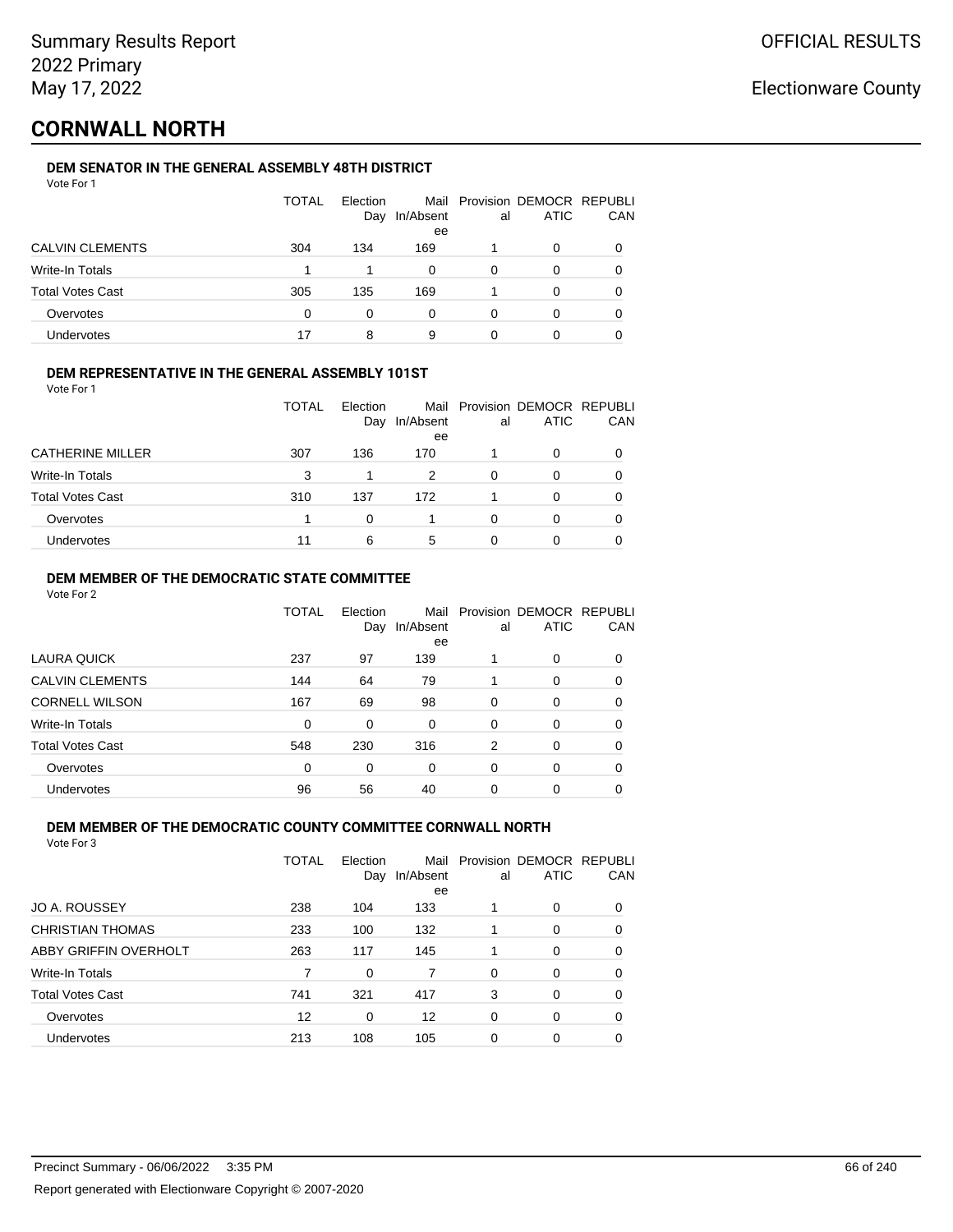## **CORNWALL NORTH**

## **DEM SENATOR IN THE GENERAL ASSEMBLY 48TH DISTRICT**

|                         | <b>TOTAL</b> | Election<br>Day | In/Absent<br>ee | al | Mail Provision DEMOCR REPUBLI<br><b>ATIC</b> | CAN |
|-------------------------|--------------|-----------------|-----------------|----|----------------------------------------------|-----|
| <b>CALVIN CLEMENTS</b>  | 304          | 134             | 169             |    | 0                                            |     |
| Write-In Totals         |              |                 | 0               | 0  | 0                                            |     |
| <b>Total Votes Cast</b> | 305          | 135             | 169             |    | 0                                            |     |
| Overvotes               | 0            | 0               | 0               | ∩  | Ω                                            |     |
| Undervotes              |              | 8               | 9               |    |                                              |     |

## **DEM REPRESENTATIVE IN THE GENERAL ASSEMBLY 101ST**

Vote For 1

|                         | <b>TOTAL</b> | Election<br>Day | In/Absent<br>ee | al | Mail Provision DEMOCR REPUBLI<br><b>ATIC</b> | CAN |
|-------------------------|--------------|-----------------|-----------------|----|----------------------------------------------|-----|
| <b>CATHERINE MILLER</b> | 307          | 136             | 170             |    | 0                                            |     |
| Write-In Totals         | 3            |                 | 2               | 0  | O                                            |     |
| <b>Total Votes Cast</b> | 310          | 137             | 172             |    | ∩                                            |     |
| Overvotes               |              | 0               |                 | 0  | O                                            |     |
| Undervotes              | 11           | 6               | 5               | Ω  | 0                                            |     |

## **DEM MEMBER OF THE DEMOCRATIC STATE COMMITTEE**

Vote For 2

|                         | TOTAL | Election<br>Day | Mail<br>In/Absent<br>ee | al       | Provision DEMOCR REPUBLI<br><b>ATIC</b> | CAN      |
|-------------------------|-------|-----------------|-------------------------|----------|-----------------------------------------|----------|
| LAURA QUICK             | 237   | 97              | 139                     |          | 0                                       | 0        |
| <b>CALVIN CLEMENTS</b>  | 144   | 64              | 79                      |          | 0                                       | 0        |
| <b>CORNELL WILSON</b>   | 167   | 69              | 98                      | $\Omega$ | 0                                       | 0        |
| Write-In Totals         | 0     | 0               | $\Omega$                | 0        | 0                                       | 0        |
| <b>Total Votes Cast</b> | 548   | 230             | 316                     | 2        | 0                                       | $\Omega$ |
| Overvotes               | 0     | 0               | 0                       | $\Omega$ | 0                                       | 0        |
| Undervotes              | 96    | 56              | 40                      | 0        | 0                                       |          |

## **DEM MEMBER OF THE DEMOCRATIC COUNTY COMMITTEE CORNWALL NORTH**

|                         | TOTAL | Election<br>Day | Mail<br>In/Absent<br>ee | al       | Provision DEMOCR REPUBLI<br><b>ATIC</b> | CAN      |
|-------------------------|-------|-----------------|-------------------------|----------|-----------------------------------------|----------|
| <b>JO A. ROUSSEY</b>    | 238   | 104             | 133                     |          | $\Omega$                                | 0        |
| <b>CHRISTIAN THOMAS</b> | 233   | 100             | 132                     |          | $\Omega$                                | 0        |
| ABBY GRIFFIN OVERHOLT   | 263   | 117             | 145                     |          | $\Omega$                                | 0        |
| Write-In Totals         |       | $\Omega$        |                         | $\Omega$ | $\Omega$                                | $\Omega$ |
| <b>Total Votes Cast</b> | 741   | 321             | 417                     | 3        | 0                                       | 0        |
| Overvotes               | 12    | 0               | 12                      | $\Omega$ | 0                                       | 0        |
| Undervotes              | 213   | 108             | 105                     | 0        | 0                                       | 0        |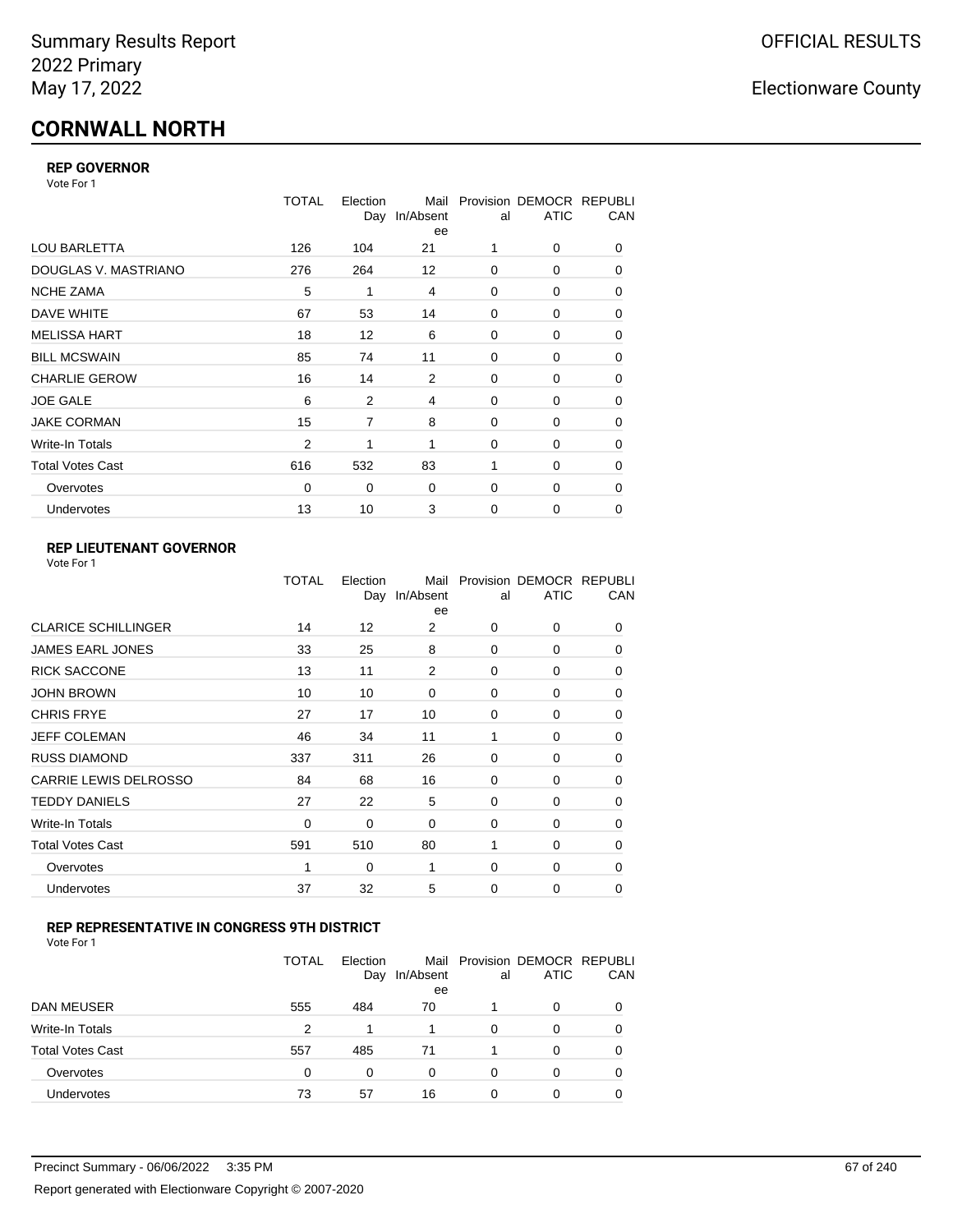# **CORNWALL NORTH**

## **REP GOVERNOR**

Vote For 1

|                         | <b>TOTAL</b> | Election<br>Day | Mail<br>In/Absent<br>ee | al          | Provision DEMOCR REPUBLI<br><b>ATIC</b> | CAN |
|-------------------------|--------------|-----------------|-------------------------|-------------|-----------------------------------------|-----|
| <b>LOU BARLETTA</b>     | 126          | 104             | 21                      | 1           | 0                                       | 0   |
| DOUGLAS V. MASTRIANO    | 276          | 264             | 12                      | 0           | 0                                       | 0   |
| <b>NCHE ZAMA</b>        | 5            | 1               | 4                       | 0           | 0                                       | 0   |
| DAVE WHITE              | 67           | 53              | 14                      | $\mathbf 0$ | 0                                       | 0   |
| <b>MELISSA HART</b>     | 18           | 12              | 6                       | 0           | 0                                       | 0   |
| <b>BILL MCSWAIN</b>     | 85           | 74              | 11                      | $\mathbf 0$ | 0                                       | 0   |
| <b>CHARLIE GEROW</b>    | 16           | 14              | 2                       | 0           | $\Omega$                                | 0   |
| <b>JOE GALE</b>         | 6            | $\overline{2}$  | 4                       | $\mathbf 0$ | 0                                       | 0   |
| <b>JAKE CORMAN</b>      | 15           | 7               | 8                       | 0           | 0                                       | 0   |
| Write-In Totals         | 2            | 1               | 1                       | $\mathbf 0$ | 0                                       | 0   |
| <b>Total Votes Cast</b> | 616          | 532             | 83                      | 1           | 0                                       | 0   |
| Overvotes               | 0            | 0               | $\mathbf 0$             | 0           | 0                                       | 0   |
| Undervotes              | 13           | 10              | 3                       | $\mathbf 0$ | 0                                       | 0   |

## **REP LIEUTENANT GOVERNOR**

| Vote For 1 |  |  |
|------------|--|--|
|------------|--|--|

|                            | TOTAL | Election<br>Day | Mail<br>In/Absent<br>ee | al       | Provision DEMOCR REPUBLI<br><b>ATIC</b> | CAN      |
|----------------------------|-------|-----------------|-------------------------|----------|-----------------------------------------|----------|
| <b>CLARICE SCHILLINGER</b> | 14    | 12              | 2                       | $\Omega$ | 0                                       | 0        |
| JAMES EARL JONES           | 33    | 25              | 8                       | $\Omega$ | $\Omega$                                | 0        |
| <b>RICK SACCONE</b>        | 13    | 11              | 2                       | $\Omega$ | 0                                       | 0        |
| JOHN BROWN                 | 10    | 10              | $\Omega$                | $\Omega$ | $\Omega$                                | 0        |
| CHRIS FRYE                 | 27    | 17              | 10                      | 0        | 0                                       | 0        |
| JEFF COLEMAN               | 46    | 34              | 11                      | 1        | $\Omega$                                | 0        |
| <b>RUSS DIAMOND</b>        | 337   | 311             | 26                      | $\Omega$ | 0                                       | 0        |
| CARRIE LEWIS DELROSSO      | 84    | 68              | 16                      | $\Omega$ | 0                                       | 0        |
| <b>TEDDY DANIELS</b>       | 27    | 22              | 5                       | $\Omega$ | 0                                       | 0        |
| Write-In Totals            | 0     | 0               | 0                       | 0        | $\Omega$                                | 0        |
| Total Votes Cast           | 591   | 510             | 80                      | 1        | 0                                       | 0        |
| Overvotes                  | 1     | 0               | 1                       | 0        | 0                                       | $\Omega$ |
| <b>Undervotes</b>          | 37    | 32              | 5                       | $\Omega$ | 0                                       | 0        |
|                            |       |                 |                         |          |                                         |          |

## **REP REPRESENTATIVE IN CONGRESS 9TH DISTRICT**

| Vote For 1 |  |  |
|------------|--|--|
|------------|--|--|

|                         | TOTAL | Election<br>Day | In/Absent<br>ee | al | Mail Provision DEMOCR REPUBLI<br><b>ATIC</b> | CAN      |
|-------------------------|-------|-----------------|-----------------|----|----------------------------------------------|----------|
| <b>DAN MEUSER</b>       | 555   | 484             | 70              |    | 0                                            | $\Omega$ |
| Write-In Totals         | 2     | 1               |                 | 0  | 0                                            |          |
| <b>Total Votes Cast</b> | 557   | 485             | 71              |    | 0                                            |          |
| Overvotes               | 0     | 0               | 0               | 0  | 0                                            | 0        |
| <b>Undervotes</b>       | 73    | 57              | 16              | 0  | 0                                            |          |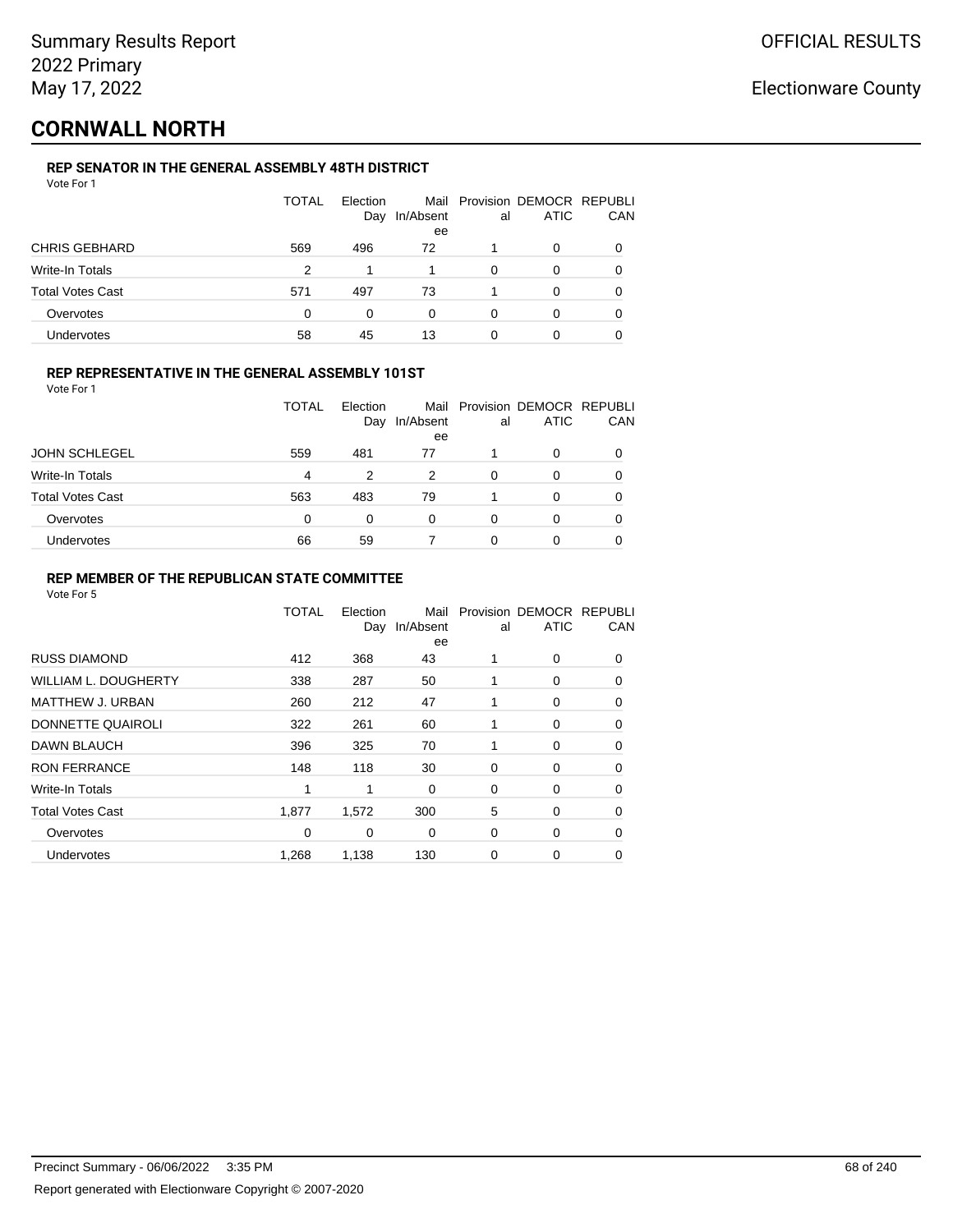## **CORNWALL NORTH**

## **REP SENATOR IN THE GENERAL ASSEMBLY 48TH DISTRICT**

|                         | <b>TOTAL</b> | Election<br>Day | In/Absent<br>ee | al | Mail Provision DEMOCR REPUBLI<br><b>ATIC</b> | CAN |
|-------------------------|--------------|-----------------|-----------------|----|----------------------------------------------|-----|
| <b>CHRIS GEBHARD</b>    | 569          | 496             | 72              |    | 0                                            |     |
| Write-In Totals         | 2            |                 |                 | 0  | 0                                            |     |
| <b>Total Votes Cast</b> | 571          | 497             | 73              |    | 0                                            |     |
| Overvotes               | 0            | 0               | 0               | 0  | 0                                            |     |
| Undervotes              | 58           | 45              | 13              | 0  |                                              |     |

## **REP REPRESENTATIVE IN THE GENERAL ASSEMBLY 101ST**

Vote For 1

|                         | TOTAL    | Election<br>Day | In/Absent<br>ee | al | Mail Provision DEMOCR REPUBLI<br><b>ATIC</b> | CAN      |
|-------------------------|----------|-----------------|-----------------|----|----------------------------------------------|----------|
| <b>JOHN SCHLEGEL</b>    | 559      | 481             | 77              |    | 0                                            |          |
| Write-In Totals         | 4        | 2               | 2               | 0  | O                                            |          |
| <b>Total Votes Cast</b> | 563      | 483             | 79              |    | 0                                            | $\Omega$ |
| Overvotes               | $\Omega$ | 0               | 0               | 0  | O                                            |          |
| Undervotes              | 66       | 59              |                 | 0  | 0                                            |          |

## **REP MEMBER OF THE REPUBLICAN STATE COMMITTEE**

|                             | <b>TOTAL</b> | Election<br>Day | Mail<br>In/Absent<br>ee | al | Provision DEMOCR REPUBLI<br><b>ATIC</b> | CAN      |
|-----------------------------|--------------|-----------------|-------------------------|----|-----------------------------------------|----------|
| <b>RUSS DIAMOND</b>         | 412          | 368             | 43                      |    | 0                                       | $\Omega$ |
| <b>WILLIAM L. DOUGHERTY</b> | 338          | 287             | 50                      | 1  | 0                                       | 0        |
| <b>MATTHEW J. URBAN</b>     | 260          | 212             | 47                      |    | 0                                       | $\Omega$ |
| DONNETTE QUAIROLI           | 322          | 261             | 60                      |    | 0                                       | $\Omega$ |
| DAWN BLAUCH                 | 396          | 325             | 70                      | 1  | 0                                       | $\Omega$ |
| <b>RON FERRANCE</b>         | 148          | 118             | 30                      | 0  | 0                                       | 0        |
| Write-In Totals             | 4            | 1               | 0                       | 0  | 0                                       | 0        |
| <b>Total Votes Cast</b>     | 1,877        | 1,572           | 300                     | 5  | 0                                       | 0        |
| Overvotes                   | $\Omega$     | 0               | $\Omega$                | 0  | 0                                       | 0        |
| <b>Undervotes</b>           | 1,268        | 1,138           | 130                     | 0  | 0                                       | 0        |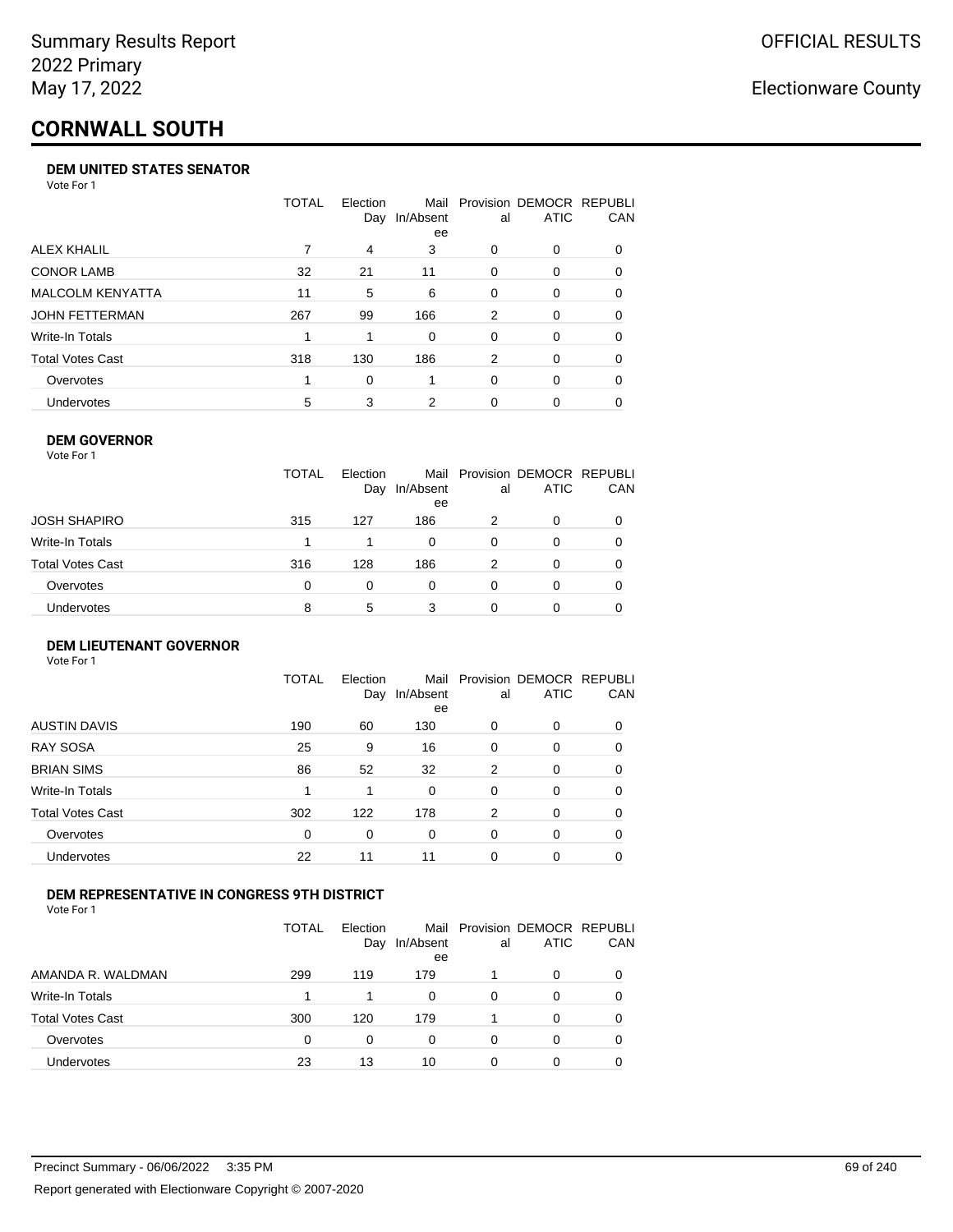# **CORNWALL SOUTH**

#### **DEM UNITED STATES SENATOR**

Vote For 1

|                         | TOTAL | Election<br>Day | Mail<br>In/Absent<br>ee | al | Provision DEMOCR REPUBLI<br><b>ATIC</b> | <b>CAN</b> |
|-------------------------|-------|-----------------|-------------------------|----|-----------------------------------------|------------|
| ALEX KHALIL             |       | 4               | 3                       | 0  | $\Omega$                                | 0          |
| <b>CONOR LAMB</b>       | 32    | 21              | 11                      | 0  | $\Omega$                                | 0          |
| <b>MALCOLM KENYATTA</b> | 11    | 5               | 6                       | 0  | $\Omega$                                | 0          |
| <b>JOHN FETTERMAN</b>   | 267   | 99              | 166                     | 2  | $\Omega$                                | 0          |
| Write-In Totals         |       |                 | $\Omega$                | 0  | $\Omega$                                | 0          |
| <b>Total Votes Cast</b> | 318   | 130             | 186                     | 2  | $\Omega$                                | 0          |
| Overvotes               |       | 0               |                         | 0  | $\Omega$                                | 0          |
| Undervotes              | 5     | 3               | 2                       | 0  | $\Omega$                                | 0          |

#### **DEM GOVERNOR**

| Vote For 1       |              |                 |                         |    |                                         |            |
|------------------|--------------|-----------------|-------------------------|----|-----------------------------------------|------------|
|                  | <b>TOTAL</b> | Election<br>Day | Mail<br>In/Absent<br>ee | al | Provision DEMOCR REPUBLI<br><b>ATIC</b> | <b>CAN</b> |
| JOSH SHAPIRO     | 315          | 127             | 186                     | 2  | $\Omega$                                | 0          |
| Write-In Totals  | 1            |                 | 0                       | 0  | 0                                       | 0          |
| Total Votes Cast | 316          | 128             | 186                     | 2  | $\Omega$                                | 0          |
| Overvotes        | 0            | $\Omega$        | 0                       | 0  | $\Omega$                                | 0          |
| Undervotes       | 8            | 5               | 3                       | 0  |                                         | 0          |

#### **DEM LIEUTENANT GOVERNOR** Vote For 1

|                         | TOTAL | Election<br>Day | Mail<br>In/Absent<br>ee | al       | Provision DEMOCR REPUBLI<br><b>ATIC</b> | CAN      |
|-------------------------|-------|-----------------|-------------------------|----------|-----------------------------------------|----------|
| <b>AUSTIN DAVIS</b>     | 190   | 60              | 130                     | 0        | 0                                       | 0        |
| <b>RAY SOSA</b>         | 25    | 9               | 16                      | 0        | 0                                       | 0        |
| <b>BRIAN SIMS</b>       | 86    | 52              | 32                      | 2        | 0                                       | $\Omega$ |
| Write-In Totals         | 1     |                 | 0                       | $\Omega$ | 0                                       | $\Omega$ |
| <b>Total Votes Cast</b> | 302   | 122             | 178                     | 2        | $\Omega$                                | $\Omega$ |
| Overvotes               | 0     | 0               | 0                       | 0        | 0                                       | 0        |
| <b>Undervotes</b>       | 22    | 11              | 11                      | $\Omega$ | 0                                       | 0        |

## **DEM REPRESENTATIVE IN CONGRESS 9TH DISTRICT**

|                         | <b>TOTAL</b> | Flection<br>Day | In/Absent<br>ee | al | Mail Provision DEMOCR REPUBLI<br><b>ATIC</b> | <b>CAN</b> |
|-------------------------|--------------|-----------------|-----------------|----|----------------------------------------------|------------|
| AMANDA R. WALDMAN       | 299          | 119             | 179             |    | 0                                            | 0          |
| Write-In Totals         |              |                 | 0               | Ω  |                                              | 0          |
| <b>Total Votes Cast</b> | 300          | 120             | 179             |    |                                              | 0          |
| Overvotes               | 0            | 0               | $\Omega$        | O  | $\Omega$                                     | 0          |
| <b>Undervotes</b>       | 23           | 13              | 10              |    |                                              |            |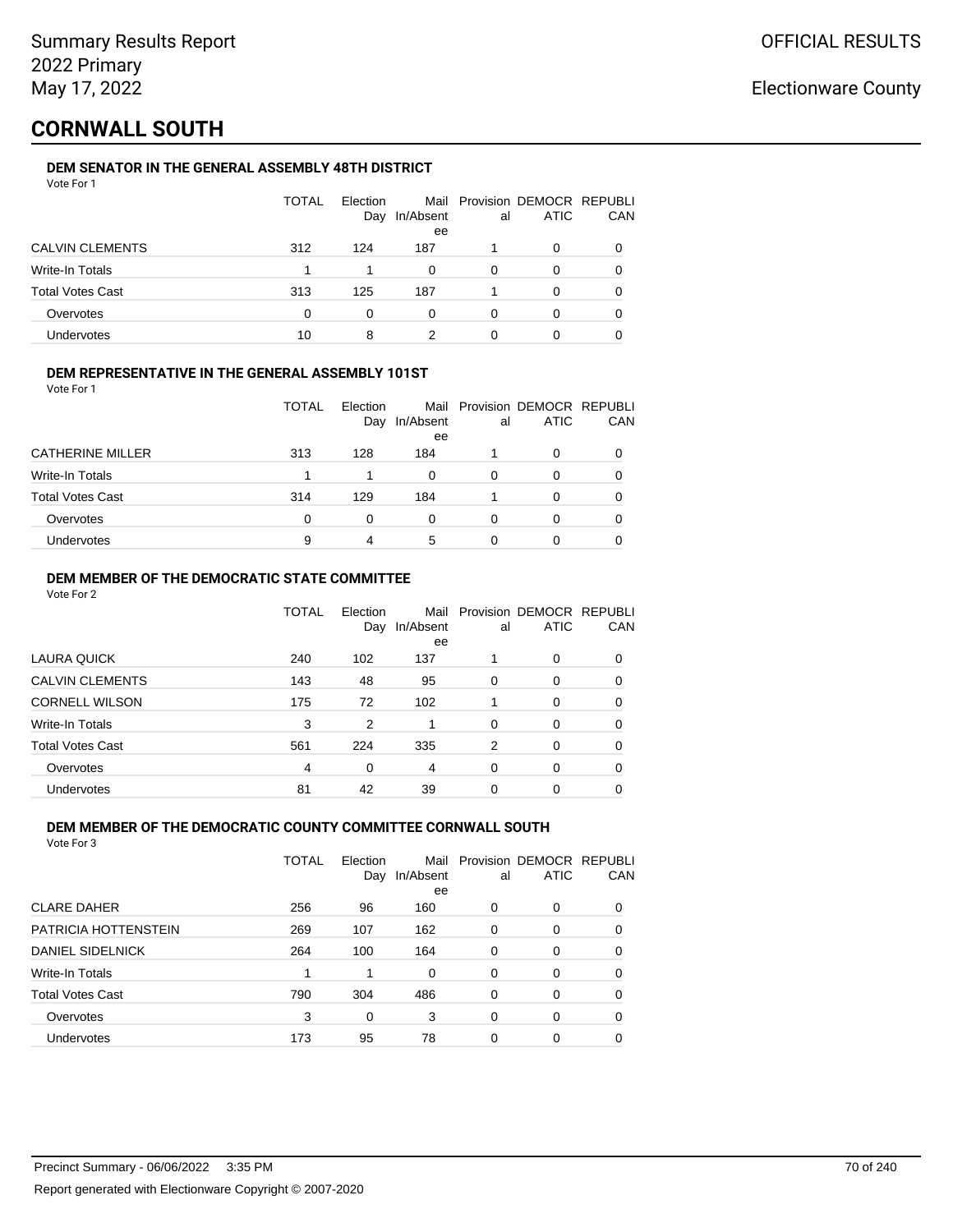## **CORNWALL SOUTH**

## **DEM SENATOR IN THE GENERAL ASSEMBLY 48TH DISTRICT**

|                         | <b>TOTAL</b> | Election<br>Day | In/Absent<br>ee | al | Mail Provision DEMOCR REPUBLI<br><b>ATIC</b> | CAN |
|-------------------------|--------------|-----------------|-----------------|----|----------------------------------------------|-----|
| <b>CALVIN CLEMENTS</b>  | 312          | 124             | 187             |    | 0                                            |     |
| Write-In Totals         |              |                 | 0               | 0  | O                                            |     |
| <b>Total Votes Cast</b> | 313          | 125             | 187             |    | 0                                            |     |
| Overvotes               | 0            | 0               | 0               | 0  | 0                                            |     |
| Undervotes              | 10           | 8               |                 |    |                                              |     |

## **DEM REPRESENTATIVE IN THE GENERAL ASSEMBLY 101ST**

Vote For 1

|                         | <b>TOTAL</b> | Election<br>Day | In/Absent<br>ee | al | Mail Provision DEMOCR REPUBLI<br><b>ATIC</b> | CAN |
|-------------------------|--------------|-----------------|-----------------|----|----------------------------------------------|-----|
| <b>CATHERINE MILLER</b> | 313          | 128             | 184             |    | 0                                            |     |
| Write-In Totals         |              |                 | 0               | 0  | O                                            |     |
| <b>Total Votes Cast</b> | 314          | 129             | 184             |    | 0                                            |     |
| Overvotes               | $\Omega$     | 0               | 0               | 0  | O                                            |     |
| Undervotes              | 9            | 4               | 5               | Ω  | 0                                            |     |

## **DEM MEMBER OF THE DEMOCRATIC STATE COMMITTEE**

Vote For 2

|                         | TOTAL | Election<br>Day | Mail<br>In/Absent<br>ee | al       | Provision DEMOCR REPUBLI<br><b>ATIC</b> | CAN      |
|-------------------------|-------|-----------------|-------------------------|----------|-----------------------------------------|----------|
| LAURA QUICK             | 240   | 102             | 137                     |          | 0                                       | 0        |
| <b>CALVIN CLEMENTS</b>  | 143   | 48              | 95                      | 0        | 0                                       | 0        |
| <b>CORNELL WILSON</b>   | 175   | 72              | 102                     |          | $\Omega$                                | $\Omega$ |
| Write-In Totals         | 3     | 2               |                         | $\Omega$ | 0                                       | $\Omega$ |
| <b>Total Votes Cast</b> | 561   | 224             | 335                     | 2        | 0                                       | 0        |
| Overvotes               | 4     | 0               | 4                       | $\Omega$ | $\Omega$                                | $\Omega$ |
| <b>Undervotes</b>       | 81    | 42              | 39                      | 0        | 0                                       |          |

## **DEM MEMBER OF THE DEMOCRATIC COUNTY COMMITTEE CORNWALL SOUTH**

|                         | TOTAL | Flection<br>Day | Mail<br>In/Absent<br>ee | al       | Provision DEMOCR REPUBLI<br><b>ATIC</b> | CAN      |
|-------------------------|-------|-----------------|-------------------------|----------|-----------------------------------------|----------|
| <b>CLARE DAHER</b>      | 256   | 96              | 160                     | $\Omega$ | 0                                       | $\Omega$ |
| PATRICIA HOTTENSTEIN    | 269   | 107             | 162                     | 0        | 0                                       | $\Omega$ |
| <b>DANIEL SIDELNICK</b> | 264   | 100             | 164                     | 0        | 0                                       | 0        |
| Write-In Totals         |       | 1               | $\Omega$                | $\Omega$ | 0                                       | $\Omega$ |
| <b>Total Votes Cast</b> | 790   | 304             | 486                     | $\Omega$ | 0                                       | 0        |
| Overvotes               | 3     | 0               | 3                       | 0        | 0                                       | 0        |
| <b>Undervotes</b>       | 173   | 95              | 78                      | 0        | 0                                       |          |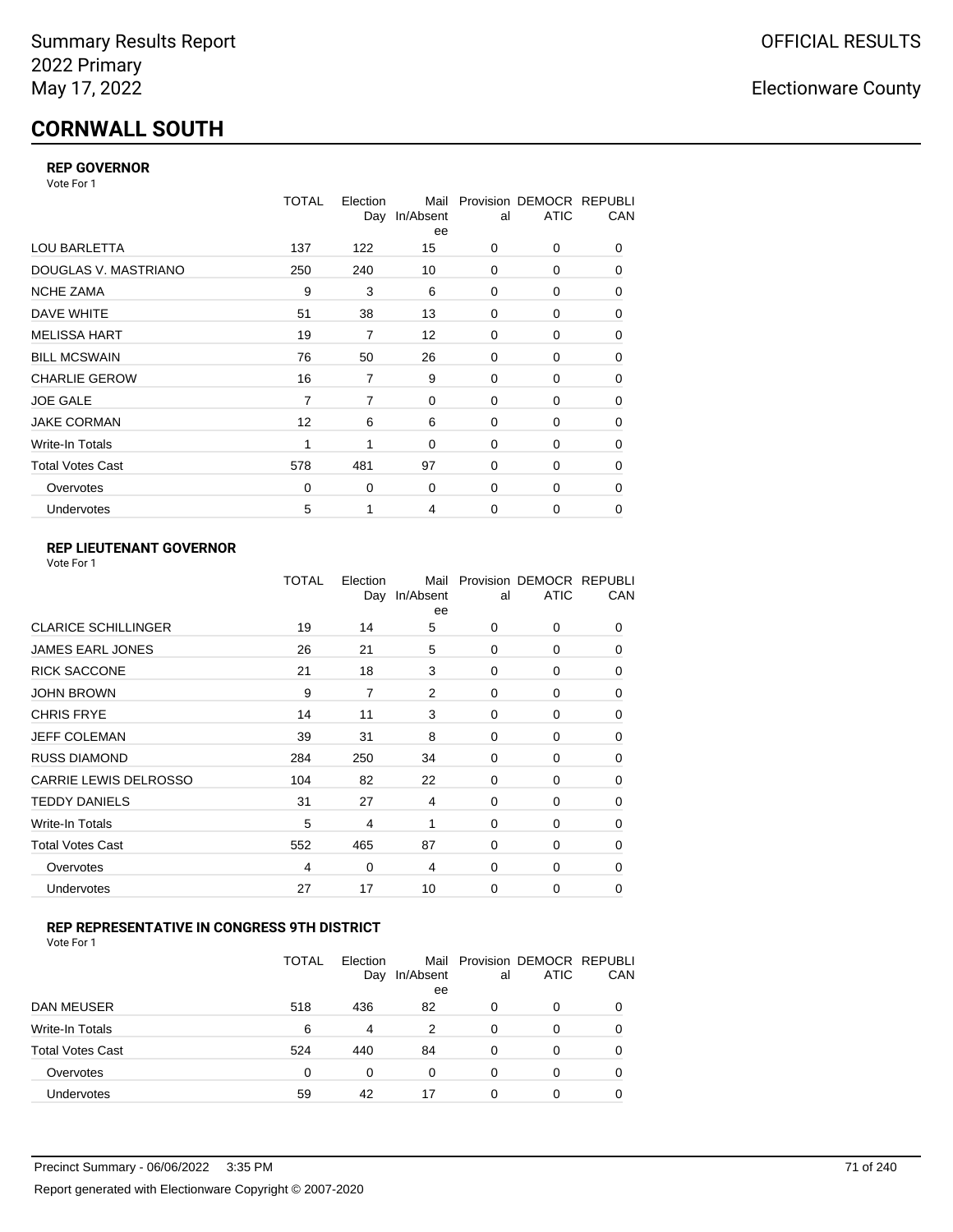# **CORNWALL SOUTH**

## **REP GOVERNOR**

Vote For 1

|                         | TOTAL    | Election | Mail<br>Day In/Absent<br>ee | al          | Provision DEMOCR REPUBLI<br><b>ATIC</b> | CAN |
|-------------------------|----------|----------|-----------------------------|-------------|-----------------------------------------|-----|
| <b>LOU BARLETTA</b>     | 137      | 122      | 15                          | 0           | 0                                       | 0   |
| DOUGLAS V. MASTRIANO    | 250      | 240      | 10                          | 0           | 0                                       | 0   |
| <b>NCHE ZAMA</b>        | 9        | 3        | 6                           | 0           | 0                                       | 0   |
| DAVE WHITE              | 51       | 38       | 13                          | 0           | 0                                       | 0   |
| <b>MELISSA HART</b>     | 19       | 7        | $12 \overline{ }$           | 0           | 0                                       | 0   |
| <b>BILL MCSWAIN</b>     | 76       | 50       | 26                          | 0           | 0                                       | 0   |
| <b>CHARLIE GEROW</b>    | 16       | 7        | 9                           | 0           | 0                                       | 0   |
| <b>JOE GALE</b>         | 7        | 7        | 0                           | 0           | 0                                       | 0   |
| <b>JAKE CORMAN</b>      | 12       | 6        | 6                           | $\Omega$    | 0                                       | 0   |
| Write-In Totals         | 1        | 1        | $\mathbf 0$                 | 0           | 0                                       | 0   |
| <b>Total Votes Cast</b> | 578      | 481      | 97                          | $\Omega$    | 0                                       | 0   |
| Overvotes               | $\Omega$ | 0        | 0                           | 0           | 0                                       | 0   |
| Undervotes              | 5        | 1        | 4                           | $\mathbf 0$ | 0                                       | 0   |

## **REP LIEUTENANT GOVERNOR**

|                            | TOTAL | Election<br>Day | Mail<br>In/Absent<br>ee | al       | Provision DEMOCR REPUBLI<br><b>ATIC</b> | CAN      |
|----------------------------|-------|-----------------|-------------------------|----------|-----------------------------------------|----------|
| <b>CLARICE SCHILLINGER</b> | 19    | 14              | 5                       | $\Omega$ | 0                                       | 0        |
| JAMES EARL JONES           | 26    | 21              | 5                       | $\Omega$ | $\Omega$                                | 0        |
| <b>RICK SACCONE</b>        | 21    | 18              | 3                       | $\Omega$ | 0                                       | 0        |
| JOHN BROWN                 | 9     | $\overline{7}$  | 2                       | $\Omega$ | $\Omega$                                | 0        |
| CHRIS FRYE                 | 14    | 11              | 3                       | $\Omega$ | 0                                       | 0        |
| JEFF COLEMAN               | 39    | 31              | 8                       | $\Omega$ | $\Omega$                                | 0        |
| <b>RUSS DIAMOND</b>        | 284   | 250             | 34                      | $\Omega$ | 0                                       | 0        |
| CARRIE LEWIS DELROSSO      | 104   | 82              | 22                      | $\Omega$ | $\Omega$                                | 0        |
| <b>TEDDY DANIELS</b>       | 31    | 27              | 4                       | $\Omega$ | 0                                       | 0        |
| Write-In Totals            | 5     | $\overline{4}$  | 1                       | $\Omega$ | $\Omega$                                | 0        |
| Total Votes Cast           | 552   | 465             | 87                      | $\Omega$ | 0                                       | 0        |
| Overvotes                  | 4     | 0               | 4                       | 0        | 0                                       | $\Omega$ |
| <b>Undervotes</b>          | 27    | 17              | 10                      | $\Omega$ | 0                                       | 0        |
|                            |       |                 |                         |          |                                         |          |

## **REP REPRESENTATIVE IN CONGRESS 9TH DISTRICT**

|                         | <b>TOTAL</b> | Election<br>Day | In/Absent<br>ee | al       | Mail Provision DEMOCR REPUBLI<br><b>ATIC</b> | CAN      |
|-------------------------|--------------|-----------------|-----------------|----------|----------------------------------------------|----------|
| DAN MEUSER              | 518          | 436             | 82              | 0        | 0                                            | $\Omega$ |
| Write-In Totals         | 6            | 4               | 2               | $\Omega$ | 0                                            |          |
| <b>Total Votes Cast</b> | 524          | 440             | 84              | $\Omega$ | 0                                            |          |
| Overvotes               | 0            | 0               | 0               | 0        | 0                                            | 0        |
| Undervotes              | 59           | 42              | 17              | 0        | 0                                            |          |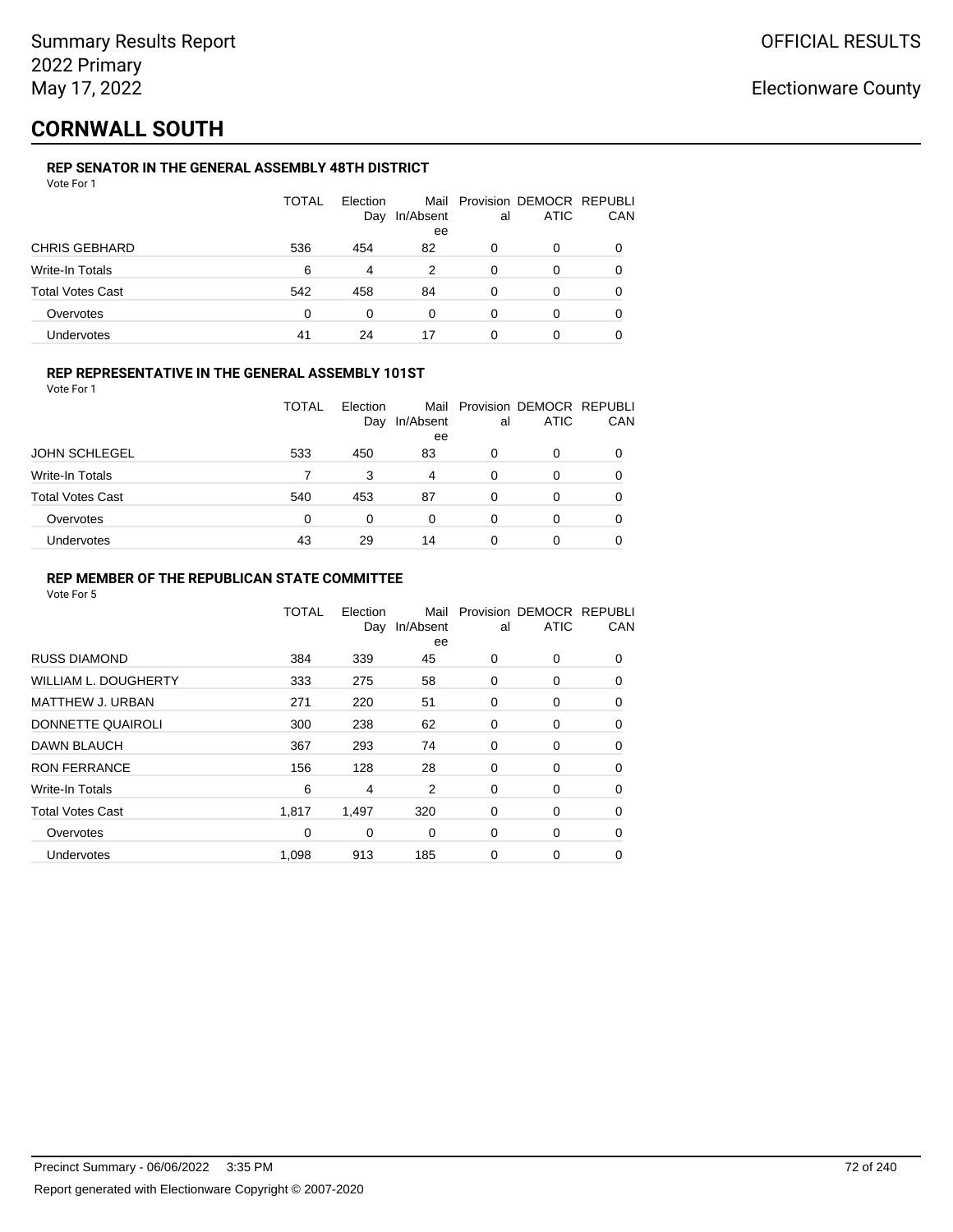## **CORNWALL SOUTH**

## **REP SENATOR IN THE GENERAL ASSEMBLY 48TH DISTRICT**

|                         | <b>TOTAL</b> | Election<br>Day | In/Absent<br>ee | al | Mail Provision DEMOCR REPUBLI<br>ATIC | CAN |
|-------------------------|--------------|-----------------|-----------------|----|---------------------------------------|-----|
| <b>CHRIS GEBHARD</b>    | 536          | 454             | 82              | 0  | 0                                     |     |
| Write-In Totals         | 6            | 4               | 2               | 0  | 0                                     |     |
| <b>Total Votes Cast</b> | 542          | 458             | 84              | 0  | ი                                     |     |
| Overvotes               | 0            | 0               | 0               | 0  | 0                                     |     |
| <b>Undervotes</b>       | 41           | 24              | 17              | 0  |                                       |     |

### **REP REPRESENTATIVE IN THE GENERAL ASSEMBLY 101ST**

Vote For 1

|                         | <b>TOTAL</b> | Election<br>Day | In/Absent<br>ee | al | Mail Provision DEMOCR REPUBLI<br><b>ATIC</b> | CAN |
|-------------------------|--------------|-----------------|-----------------|----|----------------------------------------------|-----|
| <b>JOHN SCHLEGEL</b>    | 533          | 450             | 83              | 0  | 0                                            |     |
| Write-In Totals         |              | 3               | 4               | 0  | O                                            |     |
| <b>Total Votes Cast</b> | 540          | 453             | 87              | 0  | 0                                            |     |
| Overvotes               | $\Omega$     | 0               | 0               | 0  | O                                            |     |
| Undervotes              | 43           | 29              | 14              | 0  | 0                                            |     |

## **REP MEMBER OF THE REPUBLICAN STATE COMMITTEE**

|                         | TOTAL | Election<br>Day | Mail<br>In/Absent<br>ee | al | Provision DEMOCR REPUBLI<br><b>ATIC</b> | CAN      |
|-------------------------|-------|-----------------|-------------------------|----|-----------------------------------------|----------|
| <b>RUSS DIAMOND</b>     | 384   | 339             | 45                      | 0  | 0                                       | 0        |
| WILLIAM L. DOUGHERTY    | 333   | 275             | 58                      | 0  | 0                                       | 0        |
| MATTHEW J. URBAN        | 271   | 220             | 51                      | 0  | 0                                       | $\Omega$ |
| DONNETTE QUAIROLI       | 300   | 238             | 62                      | 0  | 0                                       | $\Omega$ |
| <b>DAWN BLAUCH</b>      | 367   | 293             | 74                      | 0  | 0                                       | $\Omega$ |
| <b>RON FERRANCE</b>     | 156   | 128             | 28                      | 0  | 0                                       | 0        |
| Write-In Totals         | 6     | 4               | 2                       | 0  | 0                                       | 0        |
| <b>Total Votes Cast</b> | 1,817 | 1,497           | 320                     | 0  | 0                                       | 0        |
| Overvotes               | 0     | 0               | 0                       | 0  | 0                                       | $\Omega$ |
| <b>Undervotes</b>       | 1,098 | 913             | 185                     | 0  | 0                                       | $\Omega$ |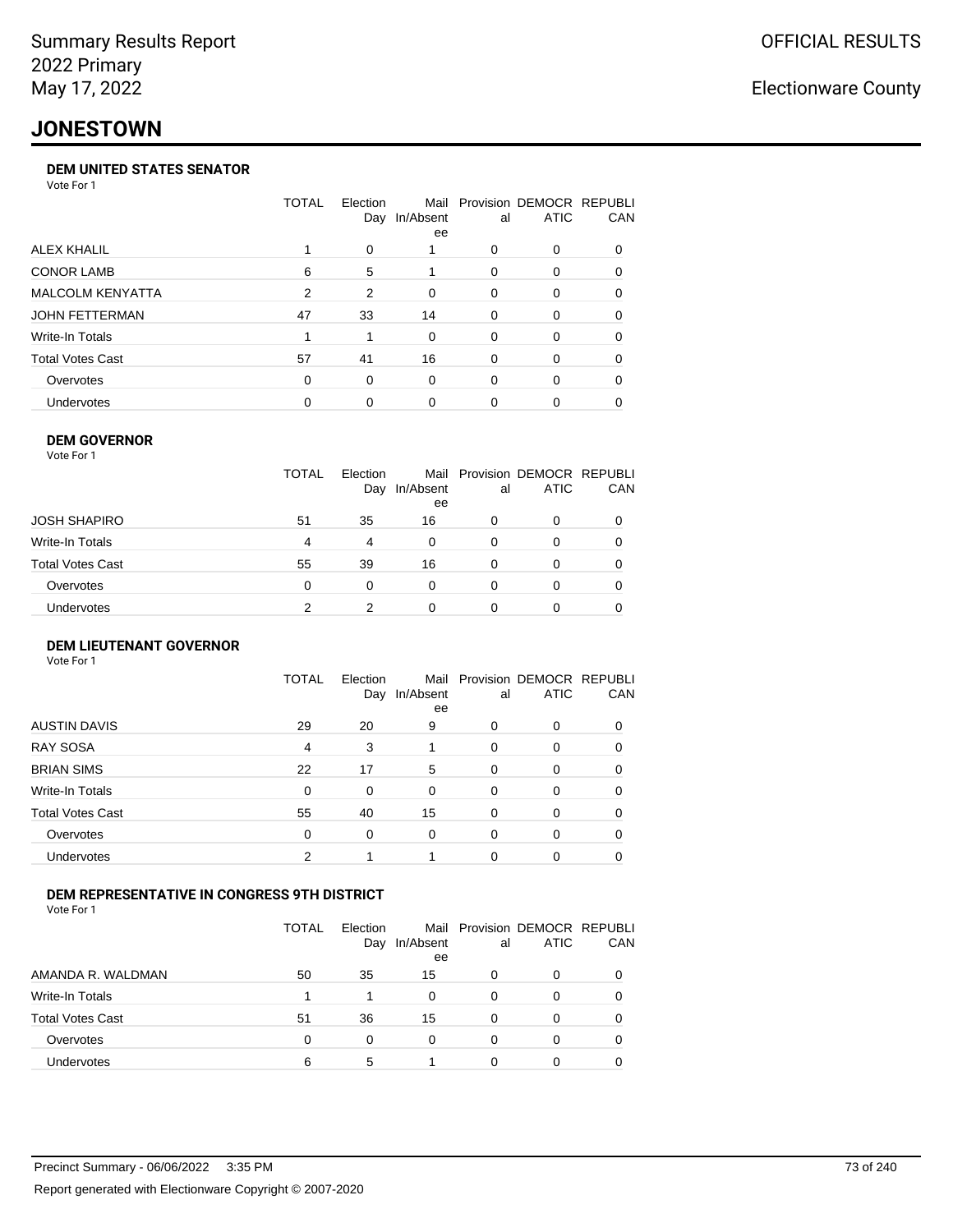## **JONESTOWN**

### **DEM UNITED STATES SENATOR**

Vote For 1

|                         | TOTAL    | Election<br>Day | Mail<br>In/Absent<br>ee | al       | Provision DEMOCR REPUBLI<br><b>ATIC</b> | <b>CAN</b> |
|-------------------------|----------|-----------------|-------------------------|----------|-----------------------------------------|------------|
| ALEX KHALIL             |          | $\Omega$        |                         | 0        | $\Omega$                                | 0          |
| <b>CONOR LAMB</b>       | 6        | 5               |                         | 0        | $\Omega$                                | 0          |
| <b>MALCOLM KENYATTA</b> | 2        | 2               | $\Omega$                | 0        | $\Omega$                                | 0          |
| JOHN FETTERMAN          | 47       | 33              | 14                      | 0        | $\Omega$                                | 0          |
| Write-In Totals         |          |                 | $\Omega$                | 0        | $\Omega$                                | 0          |
| <b>Total Votes Cast</b> | 57       | 41              | 16                      | 0        | $\Omega$                                | 0          |
| Overvotes               | $\Omega$ | $\Omega$        | $\Omega$                | $\Omega$ | $\Omega$                                | $\Omega$   |
| <b>Undervotes</b>       | 0        | 0               | 0                       | 0        |                                         |            |
|                         |          |                 |                         |          |                                         |            |

### **DEM GOVERNOR**

| Vote For 1       |              |                 |                 |          |                                              |          |
|------------------|--------------|-----------------|-----------------|----------|----------------------------------------------|----------|
|                  | <b>TOTAL</b> | Election<br>Day | In/Absent<br>ee | al       | Mail Provision DEMOCR REPUBLI<br><b>ATIC</b> | CAN      |
| JOSH SHAPIRO     | 51           | 35              | 16              | 0        | 0                                            |          |
| Write-In Totals  | 4            | 4               | $\Omega$        | $\Omega$ | 0                                            | $\Omega$ |
| Total Votes Cast | 55           | 39              | 16              | $\Omega$ | 0                                            | 0        |
| Overvotes        | 0            | 0               | $\Omega$        | 0        | 0                                            | 0        |
| Undervotes       | 2            | 2               | 0               |          | 0                                            |          |

#### **DEM LIEUTENANT GOVERNOR** Vote For 1

|                         | TOTAL | Election<br>Day | Mail<br>In/Absent<br>ee | al       | Provision DEMOCR REPUBLI<br><b>ATIC</b> | CAN      |
|-------------------------|-------|-----------------|-------------------------|----------|-----------------------------------------|----------|
| <b>AUSTIN DAVIS</b>     | 29    | 20              | 9                       | 0        | 0                                       |          |
| <b>RAY SOSA</b>         | 4     | 3               |                         | 0        | 0                                       | 0        |
| <b>BRIAN SIMS</b>       | 22    | 17              | 5                       | $\Omega$ | $\Omega$                                | 0        |
| Write-In Totals         | 0     | 0               | $\Omega$                | $\Omega$ | 0                                       | $\Omega$ |
| <b>Total Votes Cast</b> | 55    | 40              | 15                      | $\Omega$ | $\Omega$                                | 0        |
| Overvotes               | 0     | 0               | 0                       | 0        | 0                                       | 0        |
| Undervotes              | 2     |                 |                         | $\Omega$ | 0                                       | 0        |

### **DEM REPRESENTATIVE IN CONGRESS 9TH DISTRICT**

Vote For 1

|                         | TOTAL | <b>Flection</b><br>Day | Mail<br>In/Absent<br>ee | al | Provision DEMOCR REPUBLI<br><b>ATIC</b> | <b>CAN</b> |
|-------------------------|-------|------------------------|-------------------------|----|-----------------------------------------|------------|
| AMANDA R. WALDMAN       | 50    | 35                     | 15                      | 0  | 0                                       | 0          |
| Write-In Totals         |       |                        | 0                       | Ω  |                                         | 0          |
| <b>Total Votes Cast</b> | 51    | 36                     | 15                      | O  |                                         | 0          |
| Overvotes               | 0     | 0                      | $\Omega$                | 0  | 0                                       | 0          |
| Undervotes              | 6     | 5                      |                         |    |                                         |            |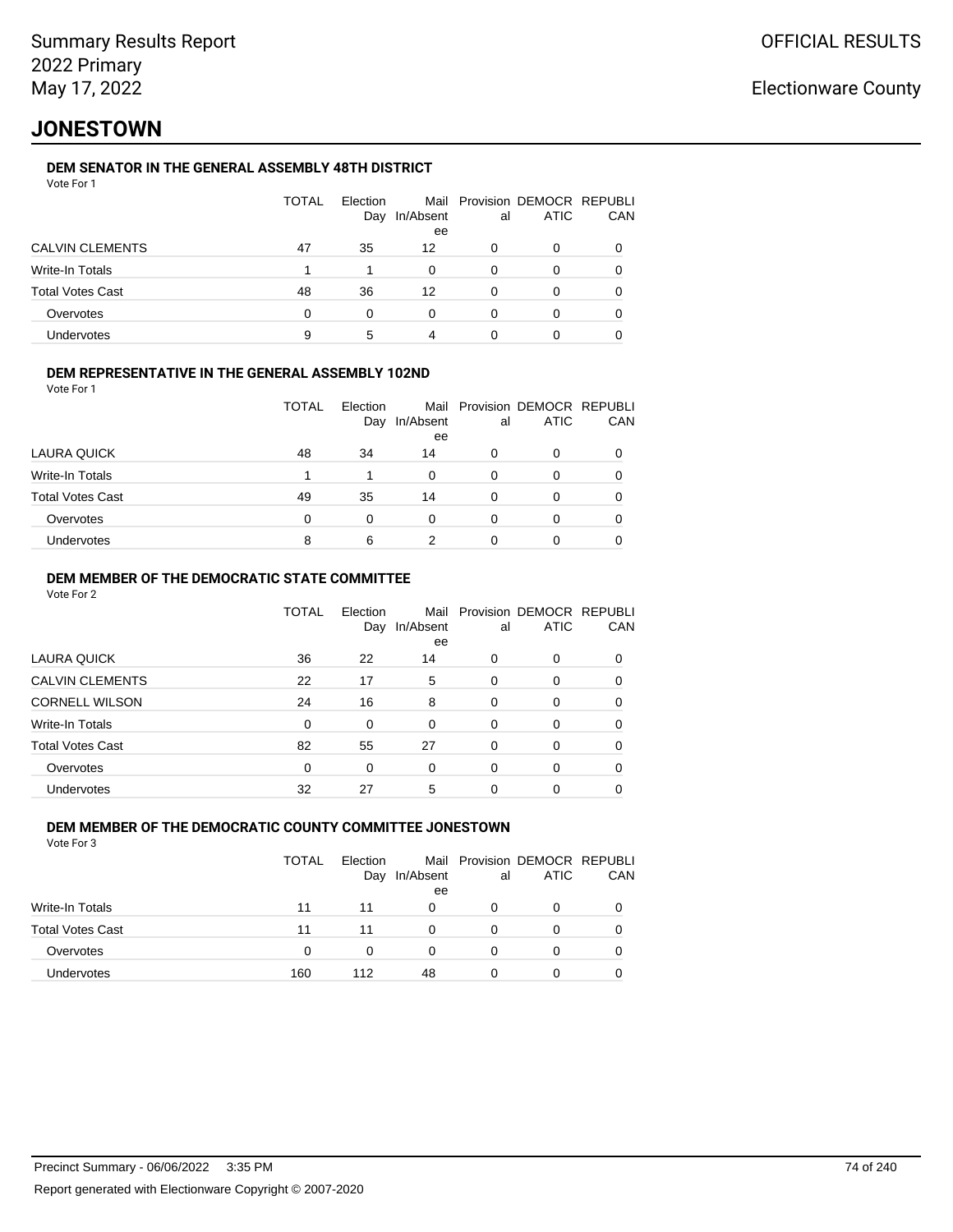## **JONESTOWN**

### **DEM SENATOR IN THE GENERAL ASSEMBLY 48TH DISTRICT**

|                         | <b>TOTAL</b> | Election<br>Day | In/Absent<br>ee | al | Mail Provision DEMOCR REPUBLI<br><b>ATIC</b> | CAN |
|-------------------------|--------------|-----------------|-----------------|----|----------------------------------------------|-----|
| <b>CALVIN CLEMENTS</b>  | 47           | 35              | 12              | 0  | 0                                            |     |
| Write-In Totals         |              |                 | $\Omega$        | 0  | 0                                            |     |
| <b>Total Votes Cast</b> | 48           | 36              | 12              | 0  | 0                                            |     |
| Overvotes               | 0            | 0               | 0               | ∩  | Ω                                            |     |
| Undervotes              | 9            | 5               | 4               |    |                                              |     |

### **DEM REPRESENTATIVE IN THE GENERAL ASSEMBLY 102ND**

| Vote For 1 |  |  |
|------------|--|--|
|            |  |  |

|                         | <b>TOTAL</b> | Election |           |    | Mail Provision DEMOCR REPUBLI |     |
|-------------------------|--------------|----------|-----------|----|-------------------------------|-----|
|                         |              | Day      | In/Absent | al | <b>ATIC</b>                   | CAN |
|                         |              |          | ee        |    |                               |     |
| LAURA QUICK             | 48           | 34       | 14        | 0  | 0                             |     |
| Write-In Totals         |              | 1        | 0         | 0  | O                             |     |
| <b>Total Votes Cast</b> | 49           | 35       | 14        | 0  | 0                             |     |
| Overvotes               | $\Omega$     | 0        | 0         | 0  | O                             |     |
| <b>Undervotes</b>       | 8            | 6        |           |    | Ω                             |     |
|                         |              |          |           |    |                               |     |

### **DEM MEMBER OF THE DEMOCRATIC STATE COMMITTEE**

Vote For 2

|                         | TOTAL | Election<br>Day | Mail<br>In/Absent<br>ee | al       | Provision DEMOCR REPUBLI<br><b>ATIC</b> | CAN |
|-------------------------|-------|-----------------|-------------------------|----------|-----------------------------------------|-----|
| LAURA QUICK             | 36    | 22              | 14                      | 0        | $\Omega$                                | 0   |
| <b>CALVIN CLEMENTS</b>  | 22    | 17              | 5                       | 0        | 0                                       | 0   |
| <b>CORNELL WILSON</b>   | 24    | 16              | 8                       | $\Omega$ | $\Omega$                                | 0   |
| Write-In Totals         | 0     | 0               | 0                       | 0        | $\Omega$                                | 0   |
| <b>Total Votes Cast</b> | 82    | 55              | 27                      | 0        | $\Omega$                                | 0   |
| Overvotes               | 0     | 0               | $\Omega$                | $\Omega$ | $\Omega$                                | 0   |
| Undervotes              | 32    | 27              | 5                       | 0        | 0                                       |     |

#### **DEM MEMBER OF THE DEMOCRATIC COUNTY COMMITTEE JONESTOWN** Vote For 3

|                         | TOTAL | Election<br>Day | In/Absent<br>ee | al | Mail Provision DEMOCR REPUBLI<br><b>ATIC</b> | CAN |
|-------------------------|-------|-----------------|-----------------|----|----------------------------------------------|-----|
| Write-In Totals         | 11    | 11              | 0               |    | 0                                            |     |
| <b>Total Votes Cast</b> | 11    | 11              | U               |    | 0                                            |     |
| Overvotes               | 0     | 0               | 0               |    | 0                                            |     |
| <b>Undervotes</b>       | 160   | 112             | 48              |    | 0                                            |     |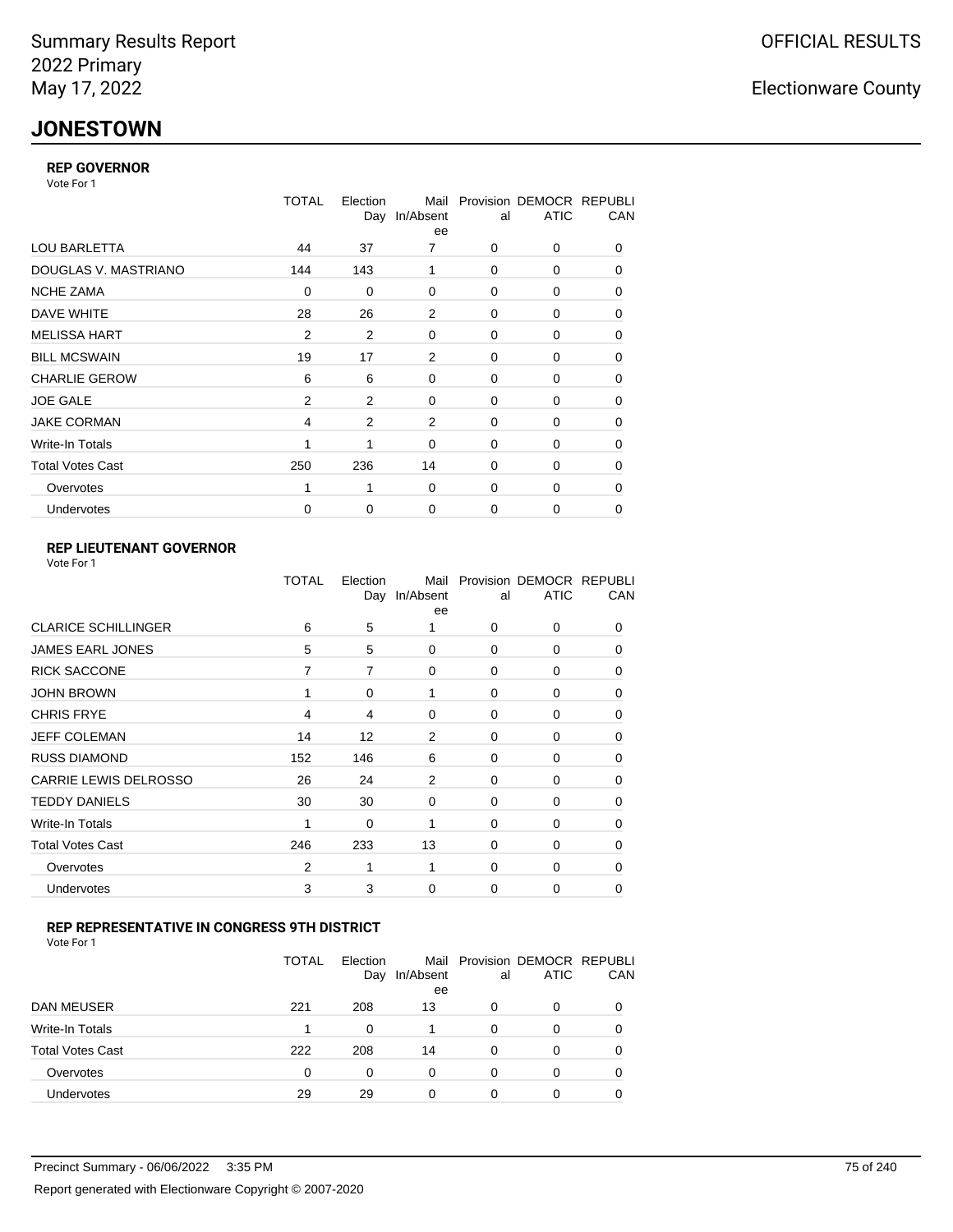## **JONESTOWN**

### **REP GOVERNOR**

Vote For 1

|                         | <b>TOTAL</b>   | Election<br>Day | Mail<br>In/Absent<br>ee | al          | Provision DEMOCR REPUBLI<br><b>ATIC</b> | CAN |
|-------------------------|----------------|-----------------|-------------------------|-------------|-----------------------------------------|-----|
| <b>LOU BARLETTA</b>     | 44             | 37              | 7                       | 0           | 0                                       | 0   |
| DOUGLAS V. MASTRIANO    | 144            | 143             | 1                       | $\mathbf 0$ | 0                                       | 0   |
| <b>NCHE ZAMA</b>        | 0              | 0               | 0                       | 0           | 0                                       | 0   |
| DAVE WHITE              | 28             | 26              | 2                       | $\mathbf 0$ | 0                                       | 0   |
| <b>MELISSA HART</b>     | 2              | 2               | 0                       | 0           | 0                                       | 0   |
| <b>BILL MCSWAIN</b>     | 19             | 17              | 2                       | $\mathbf 0$ | 0                                       | 0   |
| <b>CHARLIE GEROW</b>    | 6              | 6               | $\Omega$                | $\Omega$    | 0                                       | 0   |
| <b>JOE GALE</b>         | $\overline{2}$ | $\overline{2}$  | $\mathbf 0$             | $\mathbf 0$ | 0                                       | 0   |
| <b>JAKE CORMAN</b>      | 4              | 2               | 2                       | 0           | 0                                       | 0   |
| Write-In Totals         | 1              | 1               | $\mathbf 0$             | $\mathbf 0$ | 0                                       | 0   |
| <b>Total Votes Cast</b> | 250            | 236             | 14                      | $\mathbf 0$ | 0                                       | 0   |
| Overvotes               | 1              | 1               | 0                       | 0           | 0                                       | 0   |
| Undervotes              | $\mathbf 0$    | 0               | 0                       | $\mathbf 0$ | 0                                       | 0   |

### **REP LIEUTENANT GOVERNOR**

| Vote For 1 |  |
|------------|--|
|------------|--|

|                              | TOTAL          | Election<br>Day | Mail<br>In/Absent<br>ee | al          | Provision DEMOCR REPUBLI<br><b>ATIC</b> | CAN      |
|------------------------------|----------------|-----------------|-------------------------|-------------|-----------------------------------------|----------|
| <b>CLARICE SCHILLINGER</b>   | 6              | 5               | 1                       | $\Omega$    | 0                                       | 0        |
| <b>JAMES EARL JONES</b>      | 5              | 5               | $\Omega$                | 0           | 0                                       | 0        |
| <b>RICK SACCONE</b>          | 7              | 7               | $\Omega$                | $\Omega$    | 0                                       | 0        |
| <b>JOHN BROWN</b>            | 1              | 0               | 1                       | $\Omega$    | 0                                       | 0        |
| <b>CHRIS FRYE</b>            | 4              | 4               | 0                       | 0           | 0                                       | 0        |
| <b>JEFF COLEMAN</b>          | 14             | 12              | 2                       | 0           | 0                                       | $\Omega$ |
| <b>RUSS DIAMOND</b>          | 152            | 146             | 6                       | 0           | 0                                       | 0        |
| <b>CARRIE LEWIS DELROSSO</b> | 26             | 24              | 2                       | 0           | 0                                       | $\Omega$ |
| <b>TEDDY DANIELS</b>         | 30             | 30              | 0                       | 0           | 0                                       | 0        |
| Write-In Totals              | 1              | 0               | 1                       | 0           | 0                                       | $\Omega$ |
| <b>Total Votes Cast</b>      | 246            | 233             | 13                      | $\Omega$    | $\Omega$                                | $\Omega$ |
| Overvotes                    | $\overline{2}$ |                 | 1                       | 0           | 0                                       | $\Omega$ |
| Undervotes                   | 3              | 3               | $\Omega$                | $\mathbf 0$ | 0                                       | 0        |
|                              |                |                 |                         |             |                                         |          |

### **REP REPRESENTATIVE IN CONGRESS 9TH DISTRICT**

| Vote For 1 |  |  |
|------------|--|--|
|------------|--|--|

|                         | <b>TOTAL</b> | Election<br>Day | In/Absent<br>ee | al       | Mail Provision DEMOCR REPUBLI<br><b>ATIC</b> | CAN      |
|-------------------------|--------------|-----------------|-----------------|----------|----------------------------------------------|----------|
| DAN MEUSER              | 221          | 208             | 13              | 0        | 0                                            | $\Omega$ |
| Write-In Totals         |              | 0               |                 | 0        | 0                                            |          |
| <b>Total Votes Cast</b> | 222          | 208             | 14              | $\Omega$ | 0                                            |          |
| Overvotes               | 0            | 0               | 0               | 0        | 0                                            | 0        |
| Undervotes              | 29           | 29              |                 | 0        | ი                                            |          |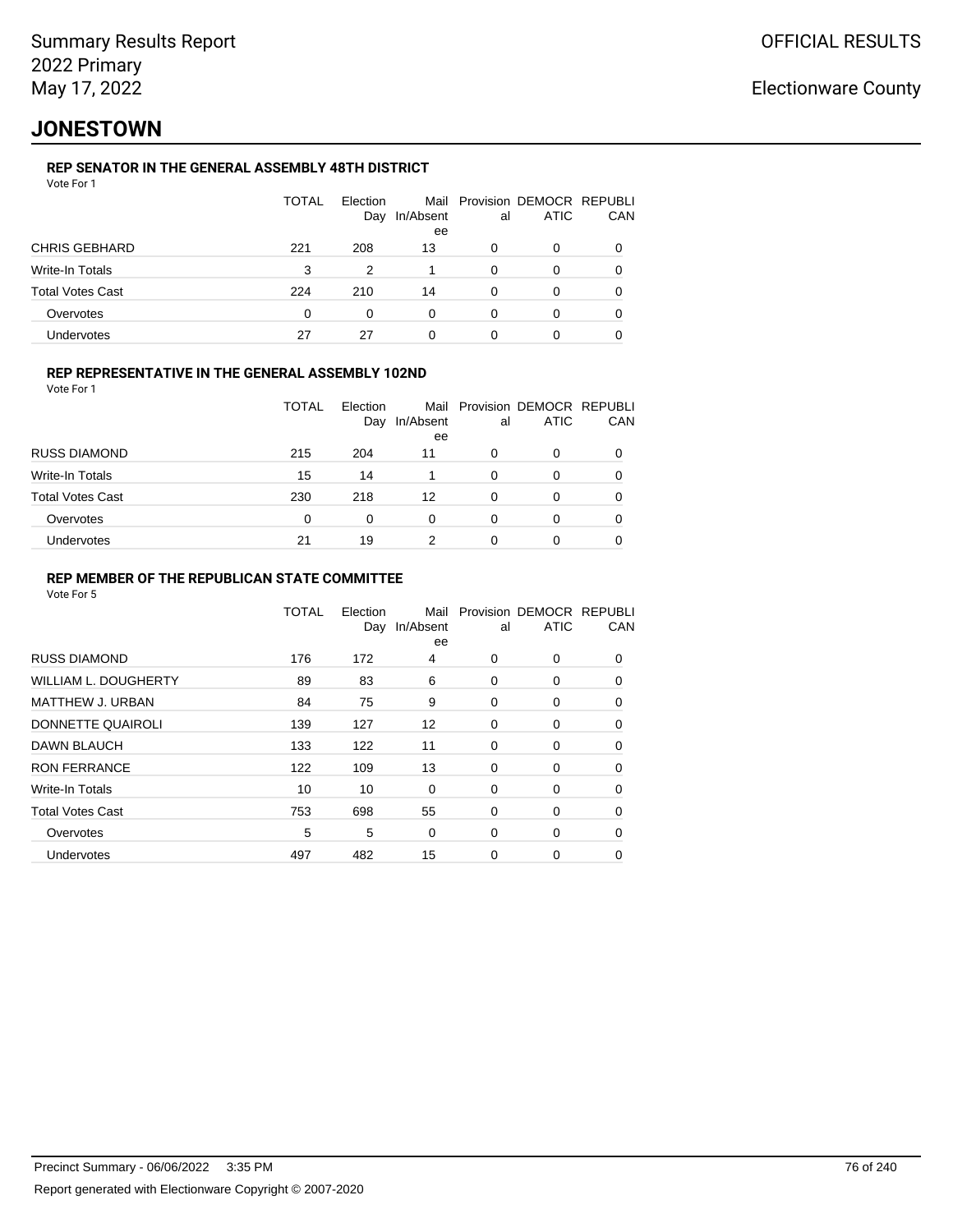## **JONESTOWN**

### **REP SENATOR IN THE GENERAL ASSEMBLY 48TH DISTRICT**

|                      | <b>TOTAL</b> | Election<br>Day | In/Absent<br>ee | al | Mail Provision DEMOCR REPUBLI<br>ATIC | CAN |
|----------------------|--------------|-----------------|-----------------|----|---------------------------------------|-----|
| <b>CHRIS GEBHARD</b> | 221          | 208             | 13              |    | 0                                     |     |
| Write-In Totals      | 3            | 2               |                 | O  | 0                                     |     |
| Total Votes Cast     | 224          | 210             | 14              | 0  | 0                                     |     |
| Overvotes            | 0            | <sup>0</sup>    | 0               | O  | 0                                     |     |
| Undervotes           | 27           | 27              | 0               | 0  |                                       |     |

### **REP REPRESENTATIVE IN THE GENERAL ASSEMBLY 102ND**

Vote For 1

|                         | TOTAL | Election<br>Day | Mail<br>In/Absent<br>ee | al | Provision DEMOCR REPUBLI<br><b>ATIC</b> | CAN      |
|-------------------------|-------|-----------------|-------------------------|----|-----------------------------------------|----------|
| <b>RUSS DIAMOND</b>     | 215   | 204             | 11                      | 0  | 0                                       |          |
| Write-In Totals         | 15    | 14              |                         | 0  | O                                       |          |
| <b>Total Votes Cast</b> | 230   | 218             | 12                      | 0  | 0                                       | $\Omega$ |
| Overvotes               | 0     | $\Omega$        | 0                       | 0  | 0                                       |          |
| Undervotes              | 21    | 19              |                         | 0  | 0                                       |          |

### **REP MEMBER OF THE REPUBLICAN STATE COMMITTEE**

|                         | <b>TOTAL</b> | Election<br>Day | Mail<br>In/Absent<br>ee | al       | Provision DEMOCR REPUBLI<br><b>ATIC</b> | CAN      |
|-------------------------|--------------|-----------------|-------------------------|----------|-----------------------------------------|----------|
| <b>RUSS DIAMOND</b>     | 176          | 172             | 4                       | $\Omega$ | 0                                       | $\Omega$ |
| WILLIAM L. DOUGHERTY    | 89           | 83              | 6                       | 0        | 0                                       | 0        |
| <b>MATTHEW J. URBAN</b> | 84           | 75              | 9                       | 0        | 0                                       | $\Omega$ |
| DONNETTE QUAIROLI       | 139          | 127             | 12                      | 0        | 0                                       | $\Omega$ |
| DAWN BLAUCH             | 133          | 122             | 11                      | $\Omega$ | 0                                       | $\Omega$ |
| <b>RON FERRANCE</b>     | 122          | 109             | 13                      | 0        | 0                                       | 0        |
| Write-In Totals         | 10           | 10              | 0                       | 0        | 0                                       | 0        |
| <b>Total Votes Cast</b> | 753          | 698             | 55                      | 0        | 0                                       | 0        |
| Overvotes               | 5            | 5               | $\Omega$                | 0        | 0                                       | $\Omega$ |
| Undervotes              | 497          | 482             | 15                      | 0        | 0                                       | 0        |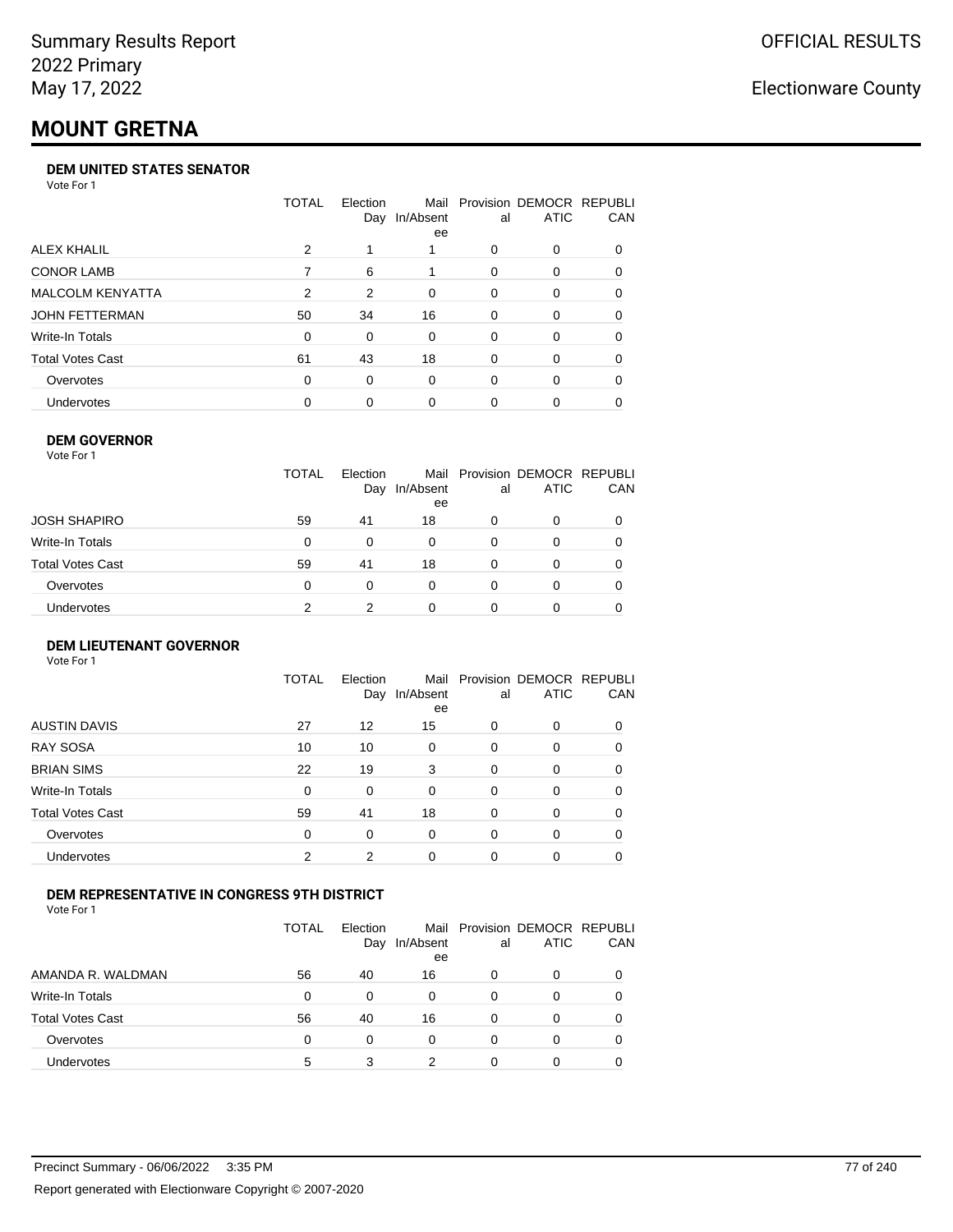# **MOUNT GRETNA**

#### **DEM UNITED STATES SENATOR**

Vote For 1

|                         | TOTAL | Election | Mail<br>Day In/Absent<br>ee | al       | Provision DEMOCR REPUBLI<br><b>ATIC</b> | <b>CAN</b> |
|-------------------------|-------|----------|-----------------------------|----------|-----------------------------------------|------------|
| ALEX KHALIL             | 2     |          |                             | 0        | $\Omega$                                | 0          |
| <b>CONOR LAMB</b>       |       | 6        |                             | 0        | $\Omega$                                | 0          |
| <b>MALCOLM KENYATTA</b> | 2     | 2        | $\Omega$                    | $\Omega$ | $\Omega$                                | 0          |
| JOHN FETTERMAN          | 50    | 34       | 16                          | 0        | $\Omega$                                | 0          |
| Write-In Totals         | 0     | 0        | $\Omega$                    | 0        | $\Omega$                                | 0          |
| <b>Total Votes Cast</b> | 61    | 43       | 18                          | 0        | $\Omega$                                | 0          |
| Overvotes               | 0     | $\Omega$ | $\Omega$                    | 0        | $\Omega$                                | 0          |
| Undervotes              | 0     | 0        | 0                           | 0        | $\Omega$                                | 0          |

### **DEM GOVERNOR**

| Vote For 1       |              |                 |                 |          |                                              |          |
|------------------|--------------|-----------------|-----------------|----------|----------------------------------------------|----------|
|                  | <b>TOTAL</b> | Election<br>Day | In/Absent<br>ee | al       | Mail Provision DEMOCR REPUBLI<br><b>ATIC</b> | CAN      |
| JOSH SHAPIRO     | 59           | 41              | 18              | 0        | 0                                            |          |
| Write-In Totals  | 0            | $\Omega$        | 0               | $\Omega$ | 0                                            | $\Omega$ |
| Total Votes Cast | 59           | 41              | 18              | $\Omega$ | 0                                            | 0        |
| Overvotes        | 0            | 0               | $\Omega$        | 0        | 0                                            | 0        |
| Undervotes       | 2            | 2               | 0               |          | 0                                            |          |

#### **DEM LIEUTENANT GOVERNOR** Vote For 1

|                         | <b>TOTAL</b> | Election<br>Day | In/Absent<br>ee | al       | Mail Provision DEMOCR REPUBLI<br><b>ATIC</b> | CAN      |
|-------------------------|--------------|-----------------|-----------------|----------|----------------------------------------------|----------|
| <b>AUSTIN DAVIS</b>     | 27           | 12              | 15              | $\Omega$ | 0                                            | 0        |
| <b>RAY SOSA</b>         | 10           | 10              | 0               | $\Omega$ | 0                                            | 0        |
| <b>BRIAN SIMS</b>       | 22           | 19              | 3               | $\Omega$ | 0                                            | $\Omega$ |
| Write-In Totals         | $\Omega$     | 0               | $\Omega$        | $\Omega$ | 0                                            | $\Omega$ |
| <b>Total Votes Cast</b> | 59           | 41              | 18              | $\Omega$ | 0                                            | $\Omega$ |
| Overvotes               | $\Omega$     | 0               | $\Omega$        | $\Omega$ | 0                                            | $\Omega$ |
| <b>Undervotes</b>       | 2            | 2               | $\Omega$        | $\Omega$ | 0                                            | 0        |

### **DEM REPRESENTATIVE IN CONGRESS 9TH DISTRICT**

|                         | TOTAL | <b>Flection</b><br>Day | Mail<br>In/Absent<br>ee | al | Provision DEMOCR REPUBLI<br><b>ATIC</b> | <b>CAN</b> |
|-------------------------|-------|------------------------|-------------------------|----|-----------------------------------------|------------|
| AMANDA R. WALDMAN       | 56    | 40                     | 16                      | 0  | 0                                       | 0          |
| Write-In Totals         | 0     | 0                      | 0                       | Ω  |                                         | 0          |
| <b>Total Votes Cast</b> | 56    | 40                     | 16                      | 0  |                                         | 0          |
| Overvotes               | 0     | 0                      | $\Omega$                | 0  | $\Omega$                                | 0          |
| Undervotes              | 5     |                        |                         |    |                                         |            |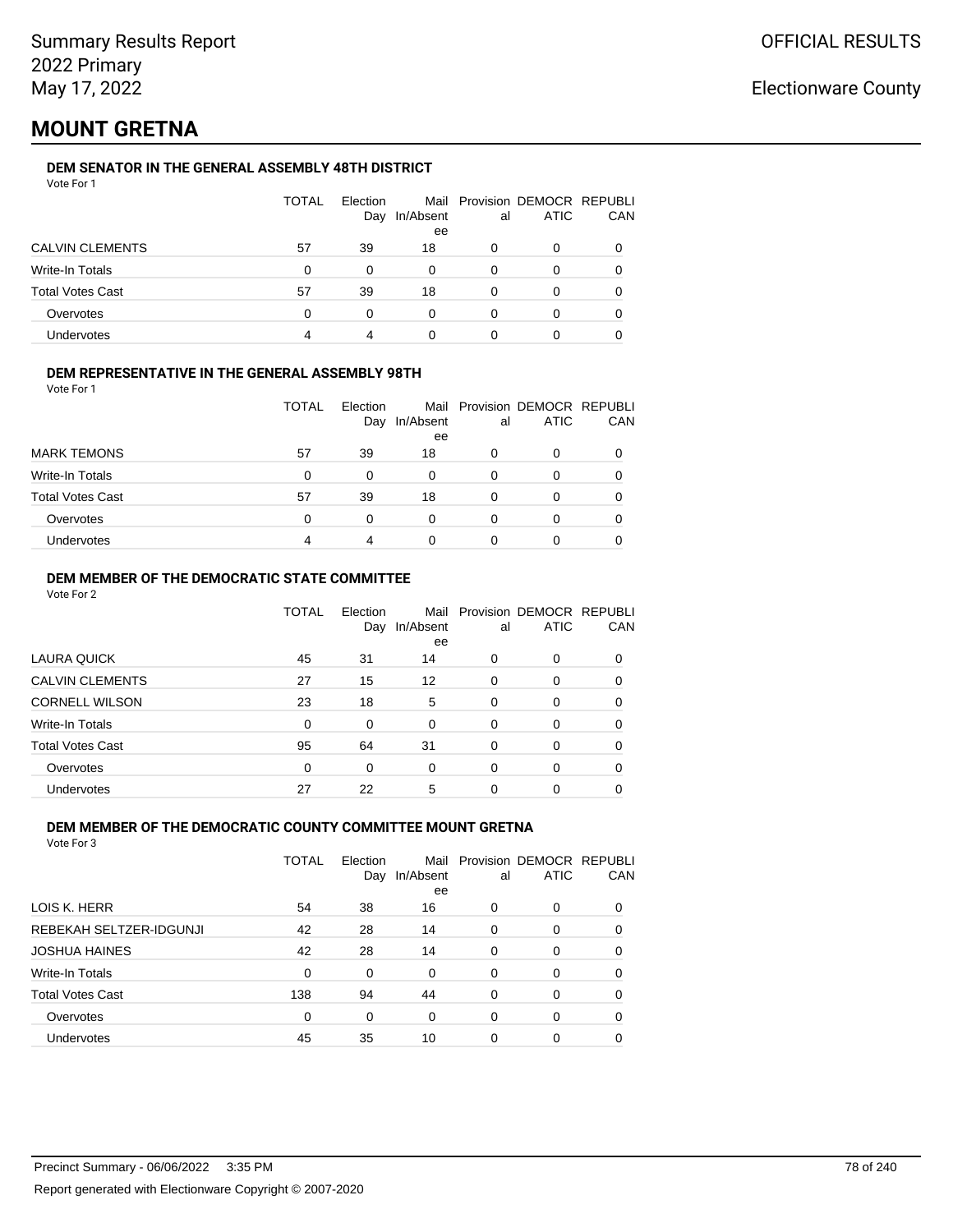## **MOUNT GRETNA**

### **DEM SENATOR IN THE GENERAL ASSEMBLY 48TH DISTRICT**

|                         | <b>TOTAL</b> | Election<br>Day | In/Absent<br>ee | al | Mail Provision DEMOCR REPUBLI<br><b>ATIC</b> | CAN |
|-------------------------|--------------|-----------------|-----------------|----|----------------------------------------------|-----|
| <b>CALVIN CLEMENTS</b>  | 57           | 39              | 18              | 0  | 0                                            |     |
| Write-In Totals         | 0            | 0               | 0               | 0  | O                                            |     |
| <b>Total Votes Cast</b> | 57           | 39              | 18              | 0  | Ω                                            |     |
| Overvotes               | 0            | 0               | 0               | 0  | Ω                                            |     |
| Undervotes              | 4            | 4               |                 |    |                                              |     |

### **DEM REPRESENTATIVE IN THE GENERAL ASSEMBLY 98TH**

Vote For 1

|                         | TOTAL | Election |                 |    | Mail Provision DEMOCR REPUBLI |            |
|-------------------------|-------|----------|-----------------|----|-------------------------------|------------|
|                         |       | Day      | In/Absent<br>ee | al | <b>ATIC</b>                   | <b>CAN</b> |
| <b>MARK TEMONS</b>      | 57    | 39       | 18              | 0  |                               | 0          |
| Write-In Totals         | 0     | 0        | 0               | 0  |                               | 0          |
| <b>Total Votes Cast</b> | 57    | 39       | 18              |    |                               | 0          |
| Overvotes               | 0     | 0        | 0               | O  |                               | 0          |
| Undervotes              | 4     | 4        | 0               |    |                               |            |

### **DEM MEMBER OF THE DEMOCRATIC STATE COMMITTEE**

Vote For 2

|                         | TOTAL | Election<br>Day | Mail<br>In/Absent<br>ee | al       | Provision DEMOCR REPUBLI<br><b>ATIC</b> | CAN |
|-------------------------|-------|-----------------|-------------------------|----------|-----------------------------------------|-----|
| LAURA QUICK             | 45    | 31              | 14                      | 0        | 0                                       | 0   |
| <b>CALVIN CLEMENTS</b>  | 27    | 15              | 12                      | $\Omega$ | 0                                       | 0   |
| <b>CORNELL WILSON</b>   | 23    | 18              | 5                       | 0        | $\Omega$                                | 0   |
| Write-In Totals         | 0     | $\Omega$        | $\Omega$                | 0        | 0                                       | 0   |
| <b>Total Votes Cast</b> | 95    | 64              | 31                      | $\Omega$ | $\Omega$                                | 0   |
| Overvotes               | 0     | 0               | 0                       | $\Omega$ | 0                                       | 0   |
| Undervotes              | 27    | 22              | 5                       | 0        | 0                                       |     |

### **DEM MEMBER OF THE DEMOCRATIC COUNTY COMMITTEE MOUNT GRETNA**

|                         | TOTAL | Election<br>Day | Mail<br>In/Absent<br>ee | al | Provision DEMOCR REPUBLI<br><b>ATIC</b> | CAN      |
|-------------------------|-------|-----------------|-------------------------|----|-----------------------------------------|----------|
| LOIS K. HERR            | 54    | 38              | 16                      | 0  | 0                                       | $\Omega$ |
| REBEKAH SELTZER-IDGUNJI | 42    | 28              | 14                      | 0  | 0                                       | $\Omega$ |
| <b>JOSHUA HAINES</b>    | 42    | 28              | 14                      | 0  | 0                                       | 0        |
| Write-In Totals         | 0     | 0               | $\Omega$                | 0  | 0                                       | 0        |
| <b>Total Votes Cast</b> | 138   | 94              | 44                      | 0  | 0                                       | $\Omega$ |
| Overvotes               | 0     | 0               | $\Omega$                | 0  | 0                                       | 0        |
| <b>Undervotes</b>       | 45    | 35              | 10                      | 0  | 0                                       |          |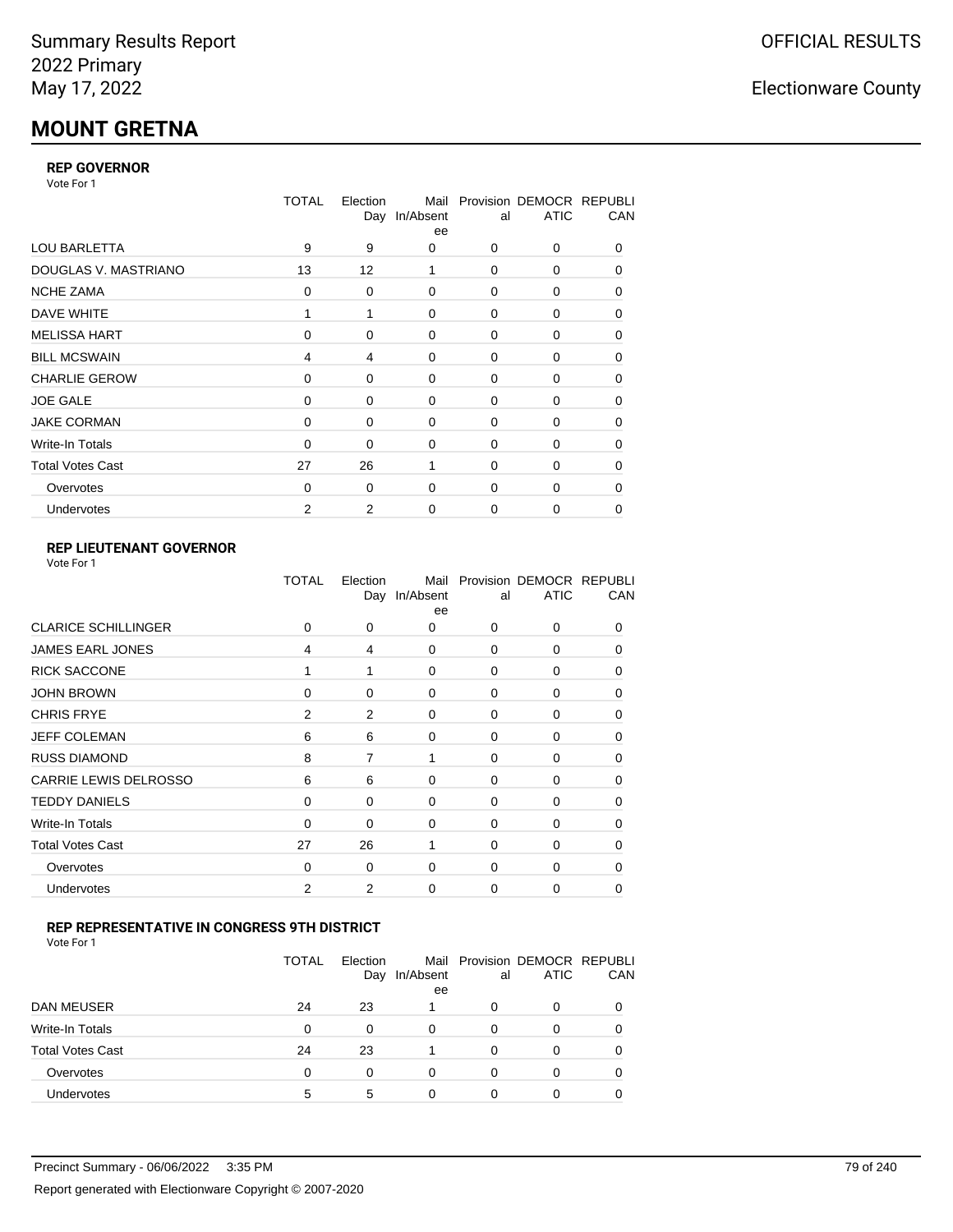# **MOUNT GRETNA**

### **REP GOVERNOR**

Vote For 1

|                         | <b>TOTAL</b>   | Election<br>Day | Mail<br>In/Absent<br>ee | al          | Provision DEMOCR REPUBLI<br><b>ATIC</b> | CAN |
|-------------------------|----------------|-----------------|-------------------------|-------------|-----------------------------------------|-----|
| <b>LOU BARLETTA</b>     | 9              | 9               | 0                       | 0           | 0                                       | 0   |
| DOUGLAS V. MASTRIANO    | 13             | 12              | 1                       | $\Omega$    | 0                                       | 0   |
| <b>NCHE ZAMA</b>        | 0              | 0               | $\mathbf 0$             | 0           | 0                                       | 0   |
| DAVE WHITE              |                | 1               | 0                       | 0           | 0                                       | 0   |
| <b>MELISSA HART</b>     | $\Omega$       | 0               | $\mathbf 0$             | 0           | 0                                       | 0   |
| <b>BILL MCSWAIN</b>     | $\overline{4}$ | 4               | 0                       | 0           | 0                                       | 0   |
| <b>CHARLIE GEROW</b>    | $\Omega$       | 0               | $\Omega$                | $\Omega$    | $\Omega$                                | 0   |
| <b>JOE GALE</b>         | 0              | 0               | 0                       | 0           | 0                                       | 0   |
| <b>JAKE CORMAN</b>      | $\Omega$       | 0               | $\Omega$                | 0           | 0                                       | 0   |
| Write-In Totals         | $\Omega$       | 0               | 0                       | $\mathbf 0$ | 0                                       | 0   |
| <b>Total Votes Cast</b> | 27             | 26              | 1                       | $\Omega$    | $\Omega$                                | 0   |
| Overvotes               | $\Omega$       | 0               | $\Omega$                | $\mathbf 0$ | 0                                       | 0   |
| Undervotes              | 2              | 2               | $\mathbf 0$             | 0           | 0                                       | 0   |

### **REP LIEUTENANT GOVERNOR**

|                            | TOTAL | Election | Mail<br>Day In/Absent<br>ee | al          | Provision DEMOCR REPUBLI<br><b>ATIC</b> | CAN          |
|----------------------------|-------|----------|-----------------------------|-------------|-----------------------------------------|--------------|
| <b>CLARICE SCHILLINGER</b> | 0     | 0        | 0                           | $\Omega$    | $\Omega$                                | 0            |
| <b>JAMES EARL JONES</b>    | 4     | 4        | 0                           | 0           | 0                                       | 0            |
| <b>RICK SACCONE</b>        | 1     | 1        | $\Omega$                    | $\Omega$    | $\Omega$                                | $\Omega$     |
| <b>JOHN BROWN</b>          | 0     | 0        | $\Omega$                    | $\Omega$    | 0                                       | 0            |
| <b>CHRIS FRYE</b>          | 2     | 2        | 0                           | 0           | 0                                       | 0            |
| <b>JEFF COLEMAN</b>        | 6     | 6        | 0                           | $\mathbf 0$ | 0                                       | $\Omega$     |
| <b>RUSS DIAMOND</b>        | 8     | 7        | 1                           | $\Omega$    | 0                                       | 0            |
| CARRIE LEWIS DELROSSO      | 6     | 6        | 0                           | $\mathbf 0$ | 0                                       | 0            |
| <b>TEDDY DANIELS</b>       | 0     | 0        | 0                           | 0           | 0                                       | $\Omega$     |
| Write-In Totals            | 0     | 0        | 0                           | $\mathbf 0$ | 0                                       | 0            |
| <b>Total Votes Cast</b>    | 27    | 26       | 1                           | $\Omega$    | $\Omega$                                | $\Omega$     |
| Overvotes                  | 0     | 0        | 0                           | $\mathbf 0$ | $\Omega$                                | <sup>0</sup> |
| Undervotes                 | 2     | 2        | $\Omega$                    | $\Omega$    | 0                                       | 0            |
|                            |       |          |                             |             |                                         |              |

### **REP REPRESENTATIVE IN CONGRESS 9TH DISTRICT**

Vote For 1

|                         | <b>TOTAL</b> | Election<br>Day | In/Absent<br>ee | al | Mail Provision DEMOCR REPUBLI<br><b>ATIC</b> | <b>CAN</b> |
|-------------------------|--------------|-----------------|-----------------|----|----------------------------------------------|------------|
| DAN MEUSER              | 24           | 23              |                 | 0  | $\Omega$                                     | 0          |
| Write-In Totals         | 0            | 0               | $\Omega$        | 0  | 0                                            | 0          |
| <b>Total Votes Cast</b> | 24           | 23              |                 | 0  | $\Omega$                                     | 0          |
| Overvotes               | 0            | 0               | 0               | O  | 0                                            | 0          |
| <b>Undervotes</b>       | 5            | 5               | 0               |    |                                              |            |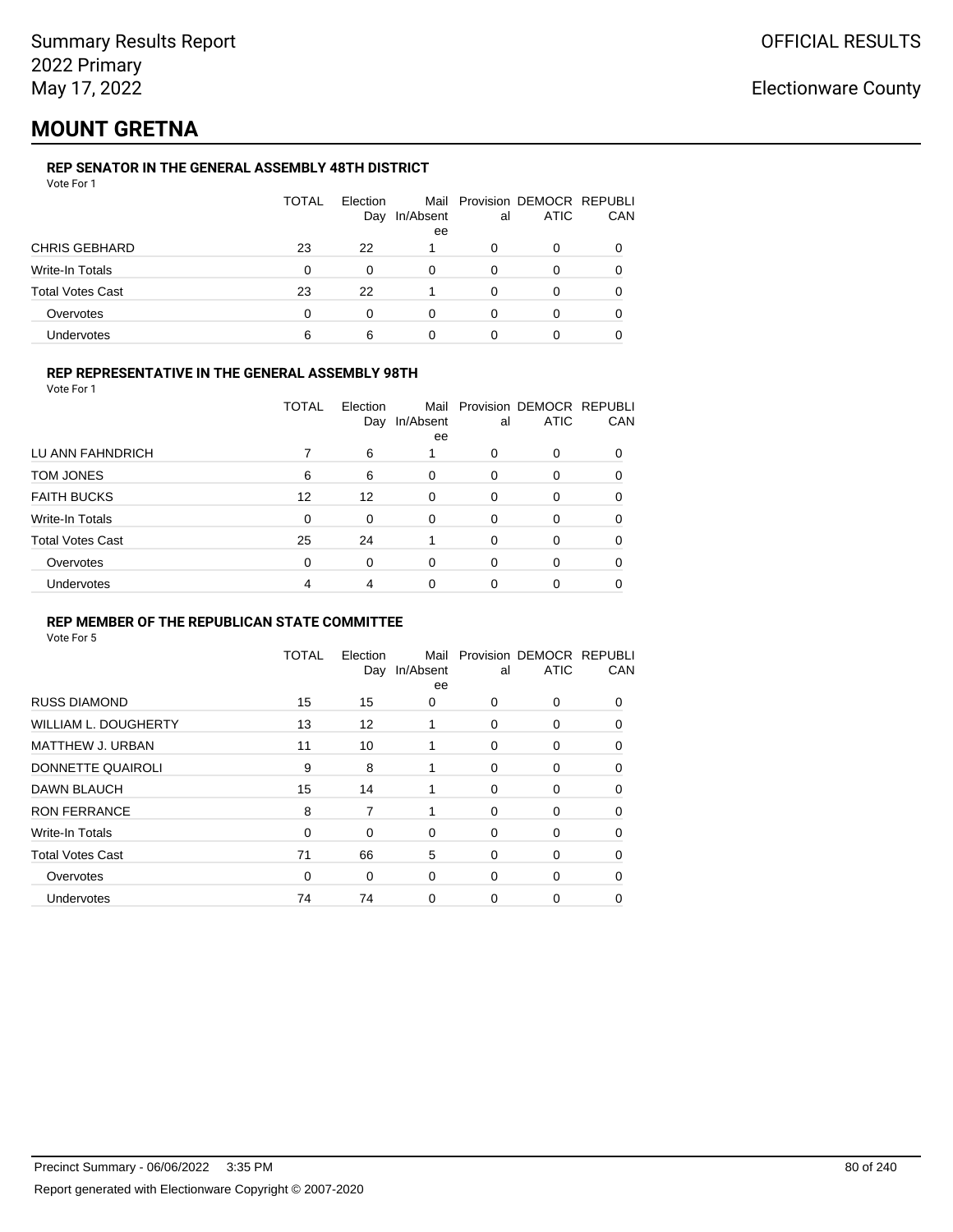## **MOUNT GRETNA**

### **REP SENATOR IN THE GENERAL ASSEMBLY 48TH DISTRICT**

|                         | <b>TOTAL</b> | Election<br>Day | In/Absent<br>ee | al | Mail Provision DEMOCR REPUBLI<br><b>ATIC</b> | CAN |
|-------------------------|--------------|-----------------|-----------------|----|----------------------------------------------|-----|
| <b>CHRIS GEBHARD</b>    | 23           | 22              |                 | O  | 0                                            |     |
| Write-In Totals         | 0            | 0               |                 | 0  | Ω                                            |     |
| <b>Total Votes Cast</b> | 23           | 22              |                 | O  | 0                                            |     |
| Overvotes               | 0            | 0               |                 | 0  | Ω                                            |     |
| Undervotes              | 6            | 6               |                 |    |                                              |     |

### **REP REPRESENTATIVE IN THE GENERAL ASSEMBLY 98TH**

| Vote For 1 |  |
|------------|--|
|------------|--|

|                         | TOTAL    | Election<br>Day | Mail<br>In/Absent<br>ee | al       | Provision DEMOCR REPUBLI<br><b>ATIC</b> | CAN      |
|-------------------------|----------|-----------------|-------------------------|----------|-----------------------------------------|----------|
| LU ANN FAHNDRICH        |          | 6               |                         | 0        | 0                                       |          |
| TOM JONES               | 6        | 6               | 0                       | 0        | 0                                       |          |
| <b>FAITH BUCKS</b>      | 12       | 12              | $\Omega$                | $\Omega$ | 0                                       |          |
| Write-In Totals         | $\Omega$ | 0               | $\Omega$                | $\Omega$ | 0                                       | 0        |
| <b>Total Votes Cast</b> | 25       | 24              |                         | $\Omega$ | 0                                       | $\Omega$ |
| Overvotes               | 0        | 0               | $\Omega$                | $\Omega$ | 0                                       |          |
| <b>Undervotes</b>       | 4        | 4               | 0                       | 0        | 0                                       |          |

### **REP MEMBER OF THE REPUBLICAN STATE COMMITTEE**

|                             | <b>TOTAL</b> | Election<br>Day | Mail<br>In/Absent<br>ee | al       | Provision DEMOCR REPUBLI<br><b>ATIC</b> | CAN      |
|-----------------------------|--------------|-----------------|-------------------------|----------|-----------------------------------------|----------|
| <b>RUSS DIAMOND</b>         | 15           | 15              | 0                       | 0        | 0                                       | $\Omega$ |
| <b>WILLIAM L. DOUGHERTY</b> | 13           | 12              | 1                       | 0        | 0                                       | 0        |
| MATTHEW J. URBAN            | 11           | 10              |                         | 0        | 0                                       | 0        |
| DONNETTE QUAIROLI           | 9            | 8               |                         | 0        | 0                                       | $\Omega$ |
| DAWN BLAUCH                 | 15           | 14              | 1                       | 0        | 0                                       | $\Omega$ |
| <b>RON FERRANCE</b>         | 8            | 7               | 1                       | $\Omega$ | $\Omega$                                | $\Omega$ |
| Write-In Totals             | $\Omega$     | 0               | $\Omega$                | 0        | 0                                       | $\Omega$ |
| <b>Total Votes Cast</b>     | 71           | 66              | 5                       | 0        | 0                                       | $\Omega$ |
| Overvotes                   | 0            | 0               | 0                       | 0        | 0                                       | $\Omega$ |
| <b>Undervotes</b>           | 74           | 74              | $\Omega$                | 0        | 0                                       | 0        |
|                             |              |                 |                         |          |                                         |          |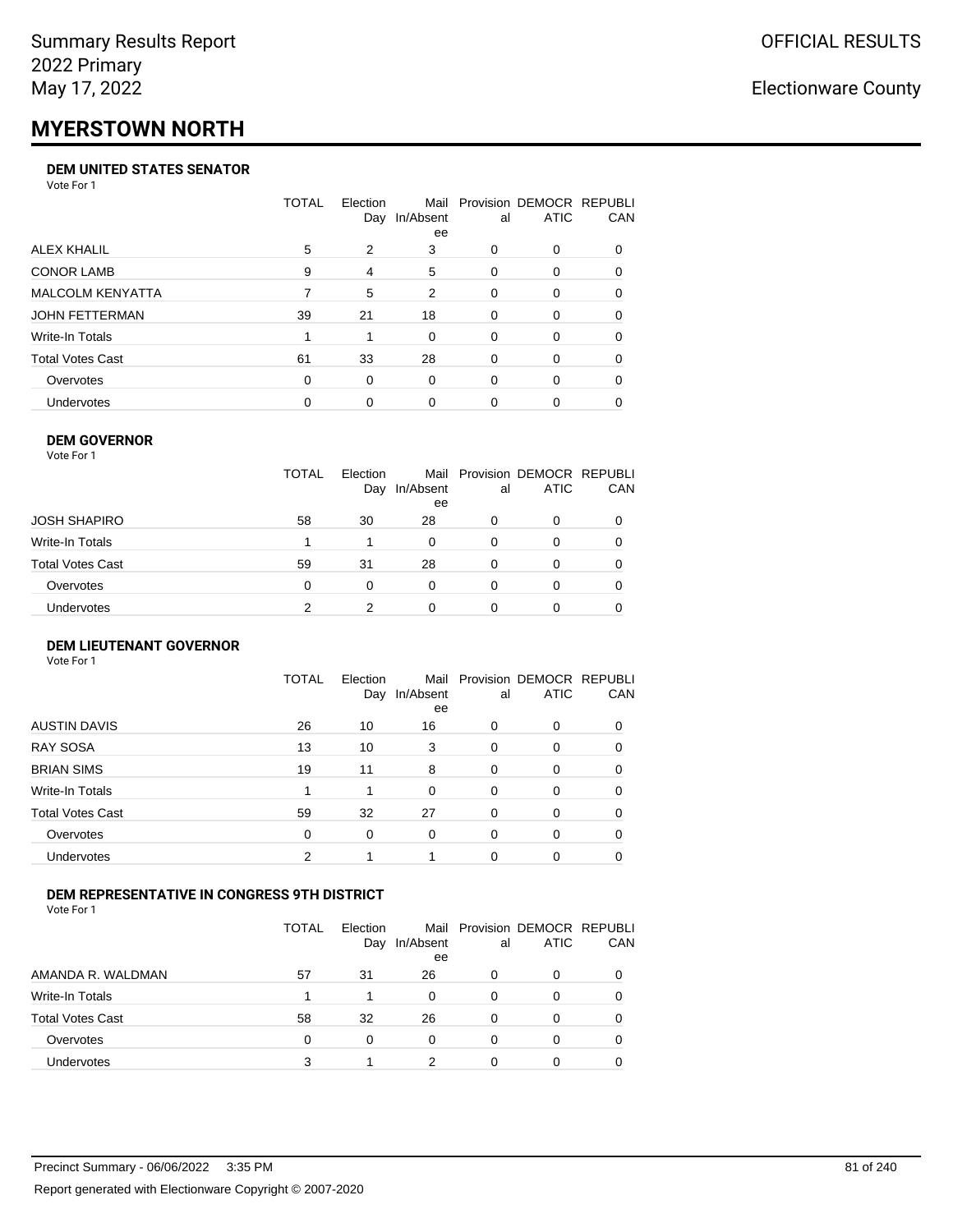# **MYERSTOWN NORTH**

### **DEM UNITED STATES SENATOR**

Vote For 1

|                         | TOTAL | Election | Mail<br>Day In/Absent<br>ee | al       | Provision DEMOCR REPUBLI<br><b>ATIC</b> | <b>CAN</b> |
|-------------------------|-------|----------|-----------------------------|----------|-----------------------------------------|------------|
| ALEX KHALIL             | 5     | 2        | 3                           | 0        | $\Omega$                                | 0          |
| <b>CONOR LAMB</b>       | 9     | 4        | 5                           | 0        | $\Omega$                                | 0          |
| <b>MALCOLM KENYATTA</b> |       | 5        | 2                           | $\Omega$ | $\Omega$                                | 0          |
| JOHN FETTERMAN          | 39    | 21       | 18                          | 0        | $\Omega$                                | 0          |
| Write-In Totals         |       |          | $\Omega$                    | 0        | $\Omega$                                | $\Omega$   |
| <b>Total Votes Cast</b> | 61    | 33       | 28                          | 0        | $\Omega$                                | 0          |
| Overvotes               | 0     | $\Omega$ | $\Omega$                    | 0        | $\Omega$                                | 0          |
| Undervotes              | 0     | 0        | 0                           | 0        |                                         | 0          |

### **DEM GOVERNOR**

| <b>TOTAL</b><br>Mail Provision DEMOCR REPUBLI<br>Election<br><b>ATIC</b><br>In/Absent<br>Day<br>al<br>ee<br>JOSH SHAPIRO<br>58<br>30<br>28<br>0<br>0<br>Write-In Totals<br>$\Omega$<br>$\Omega$<br>0<br>Total Votes Cast<br>59<br>28<br>31<br>0<br>0<br>Overvotes<br>0<br>$\Omega$<br>0<br>0<br>0 | Vote For 1 |  |  |     |
|---------------------------------------------------------------------------------------------------------------------------------------------------------------------------------------------------------------------------------------------------------------------------------------------------|------------|--|--|-----|
|                                                                                                                                                                                                                                                                                                   |            |  |  | CAN |
|                                                                                                                                                                                                                                                                                                   |            |  |  |     |
|                                                                                                                                                                                                                                                                                                   |            |  |  | 0   |
|                                                                                                                                                                                                                                                                                                   |            |  |  | 0   |
|                                                                                                                                                                                                                                                                                                   |            |  |  | 0   |
| Undervotes<br>2<br>0<br>0<br>0                                                                                                                                                                                                                                                                    |            |  |  |     |

#### **DEM LIEUTENANT GOVERNOR** Vote For 1

|                         | <b>TOTAL</b> | Election<br>Day | In/Absent<br>ee | al       | Mail Provision DEMOCR REPUBLI<br><b>ATIC</b> | CAN      |
|-------------------------|--------------|-----------------|-----------------|----------|----------------------------------------------|----------|
| <b>AUSTIN DAVIS</b>     | 26           | 10              | 16              | $\Omega$ | 0                                            | 0        |
| <b>RAY SOSA</b>         | 13           | 10              | 3               | $\Omega$ | 0                                            | 0        |
| <b>BRIAN SIMS</b>       | 19           | 11              | 8               | $\Omega$ | 0                                            | $\Omega$ |
| Write-In Totals         |              | 1               | $\Omega$        | $\Omega$ | 0                                            | $\Omega$ |
| <b>Total Votes Cast</b> | 59           | 32              | 27              | $\Omega$ | 0                                            | $\Omega$ |
| Overvotes               | 0            | 0               | $\Omega$        | $\Omega$ | 0                                            | $\Omega$ |
| <b>Undervotes</b>       | 2            | 1               |                 | $\Omega$ | 0                                            | 0        |

### **DEM REPRESENTATIVE IN CONGRESS 9TH DISTRICT**

|                         | TOTAL | <b>Flection</b><br>Day | Mail<br>In/Absent<br>ee | al | Provision DEMOCR REPUBLI<br><b>ATIC</b> | <b>CAN</b> |
|-------------------------|-------|------------------------|-------------------------|----|-----------------------------------------|------------|
| AMANDA R. WALDMAN       | 57    | 31                     | 26                      | 0  | 0                                       | 0          |
| Write-In Totals         |       |                        | 0                       | Ω  |                                         | 0          |
| <b>Total Votes Cast</b> | 58    | 32                     | 26                      | 0  |                                         | 0          |
| Overvotes               | 0     | 0                      | $\Omega$                | 0  | $\Omega$                                | 0          |
| Undervotes              |       |                        |                         |    |                                         |            |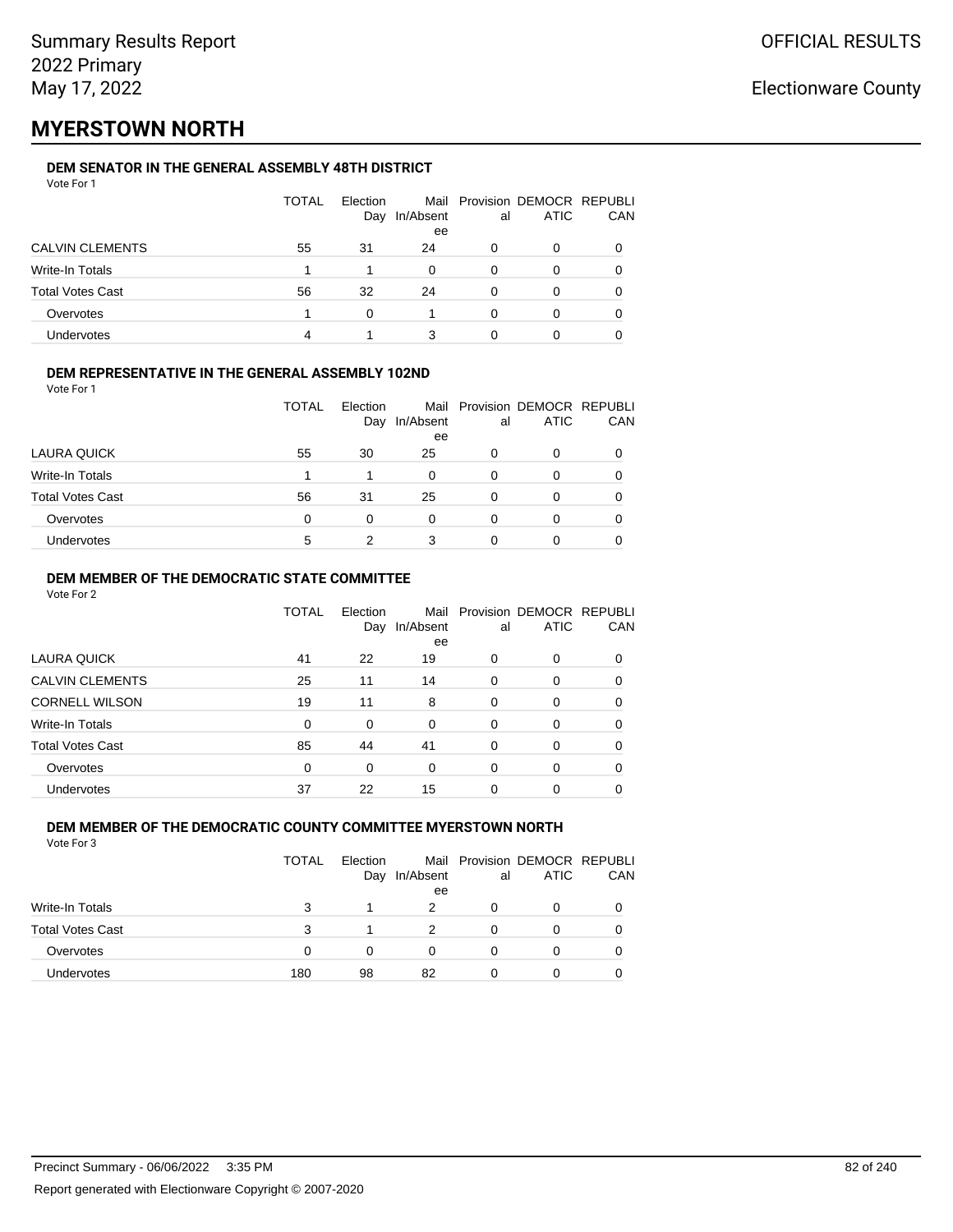# **MYERSTOWN NORTH**

### **DEM SENATOR IN THE GENERAL ASSEMBLY 48TH DISTRICT**

| Vote For 1              |       |          |                     |          |                                              |     |
|-------------------------|-------|----------|---------------------|----------|----------------------------------------------|-----|
|                         | TOTAL | Election | Day In/Absent<br>ee | al       | Mail Provision DEMOCR REPUBLI<br><b>ATIC</b> | CAN |
| <b>CALVIN CLEMENTS</b>  | 55    | 31       | 24                  | 0        | 0                                            | 0   |
| Write-In Totals         |       |          | 0                   | $\Omega$ | 0                                            | 0   |
| <b>Total Votes Cast</b> | 56    | 32       | 24                  | $\Omega$ | 0                                            | 0   |
| Overvotes               |       | 0        |                     | $\Omega$ | 0                                            | 0   |
| <b>Undervotes</b>       | Δ     |          | 3                   | $\Omega$ | 0                                            |     |
|                         |       |          |                     |          |                                              |     |

#### **DEM REPRESENTATIVE IN THE GENERAL ASSEMBLY 102ND**

Vote For 1

|                         | <b>TOTAL</b> | Election<br>Day | In/Absent<br>ee | al | Mail Provision DEMOCR REPUBLI<br><b>ATIC</b> | CAN          |
|-------------------------|--------------|-----------------|-----------------|----|----------------------------------------------|--------------|
| LAURA QUICK             | 55           | 30              | 25              | 0  | O                                            |              |
| Write-In Totals         |              |                 | 0               | 0  | O                                            |              |
| <b>Total Votes Cast</b> | 56           | 31              | 25              | 0  | 0                                            | <sup>0</sup> |
| Overvotes               | $\Omega$     | 0               | 0               | 0  | O                                            |              |
| Undervotes              | 5            |                 |                 |    | 0                                            |              |

### **DEM MEMBER OF THE DEMOCRATIC STATE COMMITTEE**

Vote For 2

|                         | TOTAL    | Election<br>Day | Mail<br>In/Absent<br>ee | al       | Provision DEMOCR REPUBLI<br><b>ATIC</b> | CAN |
|-------------------------|----------|-----------------|-------------------------|----------|-----------------------------------------|-----|
| LAURA QUICK             | 41       | 22              | 19                      | 0        | $\Omega$                                | 0   |
| <b>CALVIN CLEMENTS</b>  | 25       | 11              | 14                      | 0        | 0                                       | 0   |
| <b>CORNELL WILSON</b>   | 19       | 11              | 8                       | $\Omega$ | $\Omega$                                | 0   |
| Write-In Totals         | $\Omega$ | 0               | $\Omega$                | $\Omega$ | $\Omega$                                | 0   |
| <b>Total Votes Cast</b> | 85       | 44              | 41                      | $\Omega$ | 0                                       | 0   |
| Overvotes               | $\Omega$ | $\Omega$        | $\Omega$                | 0        | $\Omega$                                | 0   |
| <b>Undervotes</b>       | 37       | 22              | 15                      | 0        | 0                                       |     |

#### **DEM MEMBER OF THE DEMOCRATIC COUNTY COMMITTEE MYERSTOWN NORTH** Vote For 3

|                         | TOTAL | Election<br>Day | In/Absent<br>ee | al | Mail Provision DEMOCR REPUBLI<br><b>ATIC</b> | CAN |
|-------------------------|-------|-----------------|-----------------|----|----------------------------------------------|-----|
| <b>Write-In Totals</b>  | 3     |                 | 2               | O  | 0                                            |     |
| <b>Total Votes Cast</b> | 3     |                 | 2               |    | 0                                            |     |
| Overvotes               | 0     | 0               | 0               |    | 0                                            |     |
| <b>Undervotes</b>       | 180   | 98              | 82              |    | 0                                            |     |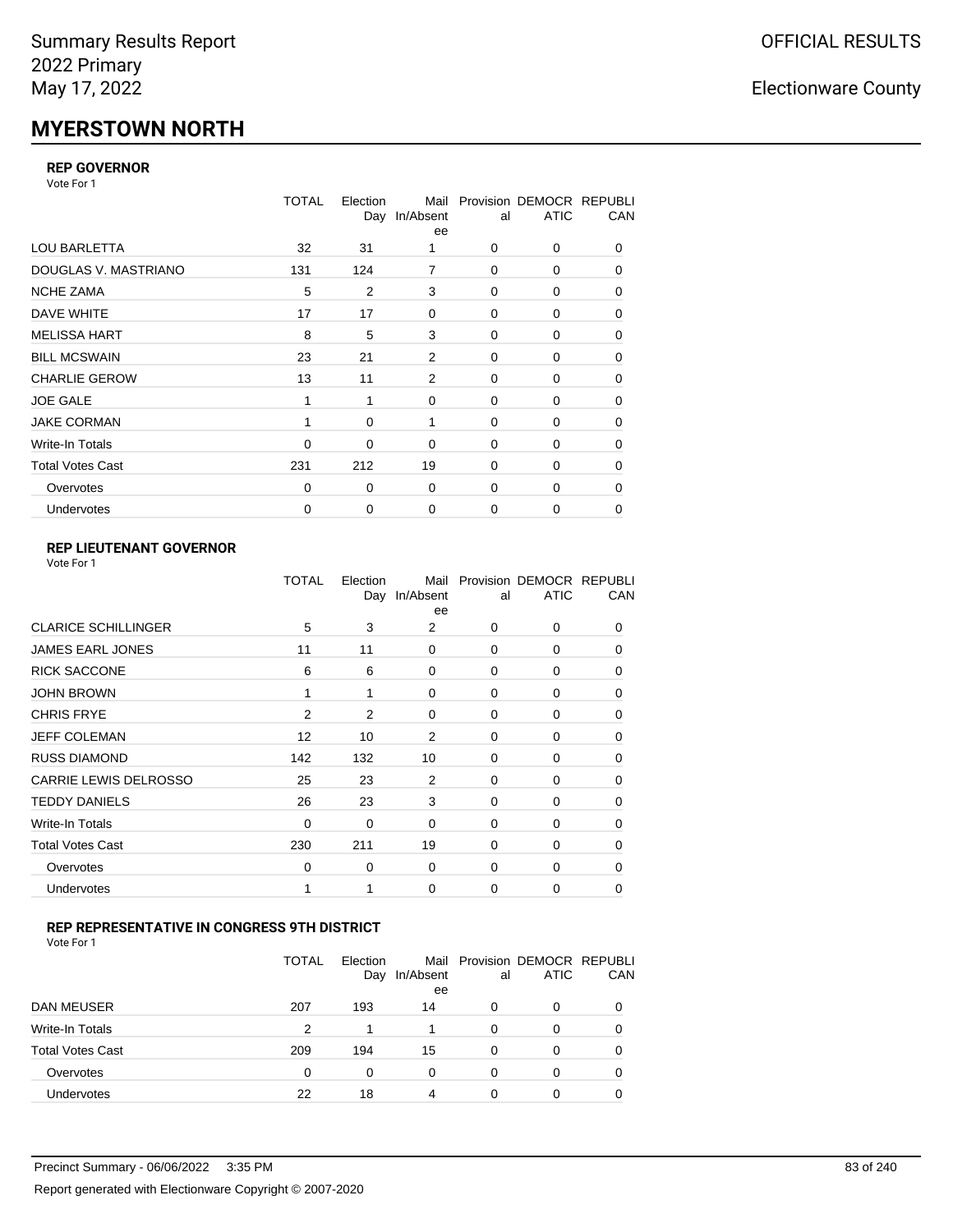# **MYERSTOWN NORTH**

### **REP GOVERNOR**

Vote For 1

|                         | TOTAL | Election<br>Day | Mail<br>In/Absent<br>ee | al          | Provision DEMOCR REPUBLI<br><b>ATIC</b> | CAN |
|-------------------------|-------|-----------------|-------------------------|-------------|-----------------------------------------|-----|
| <b>LOU BARLETTA</b>     | 32    | 31              | 1                       | 0           | 0                                       | 0   |
| DOUGLAS V. MASTRIANO    | 131   | 124             | 7                       | $\mathbf 0$ | 0                                       | 0   |
| <b>NCHE ZAMA</b>        | 5     | 2               | 3                       | 0           | 0                                       | 0   |
| DAVE WHITE              | 17    | 17              | $\mathbf 0$             | $\mathbf 0$ | 0                                       | 0   |
| <b>MELISSA HART</b>     | 8     | 5               | 3                       | $\mathbf 0$ | 0                                       | 0   |
| <b>BILL MCSWAIN</b>     | 23    | 21              | 2                       | $\mathbf 0$ | 0                                       | 0   |
| <b>CHARLIE GEROW</b>    | 13    | 11              | 2                       | 0           | 0                                       | 0   |
| <b>JOE GALE</b>         |       |                 | $\mathbf 0$             | $\mathbf 0$ | 0                                       | 0   |
| <b>JAKE CORMAN</b>      | 1     | 0               | 1                       | 0           | 0                                       | 0   |
| Write-In Totals         | 0     | 0               | $\mathbf 0$             | $\mathbf 0$ | 0                                       | 0   |
| <b>Total Votes Cast</b> | 231   | 212             | 19                      | 0           | 0                                       | 0   |
| Overvotes               | 0     | 0               | $\mathbf 0$             | 0           | $\Omega$                                | 0   |
| Undervotes              | 0     | 0               | $\mathbf 0$             | 0           | 0                                       | 0   |

### **REP LIEUTENANT GOVERNOR**

| Vote For 1 |  |
|------------|--|
|------------|--|

|                            | TOTAL    | Election | Mail<br>Day In/Absent<br>ee | al       | Provision DEMOCR REPUBLI<br><b>ATIC</b> | CAN      |
|----------------------------|----------|----------|-----------------------------|----------|-----------------------------------------|----------|
| <b>CLARICE SCHILLINGER</b> | 5        | 3        | 2                           | $\Omega$ | 0                                       | 0        |
| <b>JAMES EARL JONES</b>    | 11       | 11       | $\Omega$                    | $\Omega$ | $\Omega$                                | 0        |
| <b>RICK SACCONE</b>        | 6        | 6        | 0                           | $\Omega$ | 0                                       | 0        |
| JOHN BROWN                 | 1        | 1        | $\Omega$                    | $\Omega$ | $\Omega$                                | 0        |
| <b>CHRIS FRYE</b>          | 2        | 2        | 0                           | $\Omega$ | 0                                       | 0        |
| <b>JEFF COLEMAN</b>        | 12       | 10       | 2                           | $\Omega$ | $\Omega$                                | 0        |
| <b>RUSS DIAMOND</b>        | 142      | 132      | 10                          | $\Omega$ | 0                                       | 0        |
| CARRIE LEWIS DELROSSO      | 25       | 23       | 2                           | $\Omega$ | $\Omega$                                | 0        |
| <b>TEDDY DANIELS</b>       | 26       | 23       | 3                           | $\Omega$ | 0                                       | 0        |
| Write-In Totals            | 0        | 0        | $\Omega$                    | $\Omega$ | $\Omega$                                | $\Omega$ |
| Total Votes Cast           | 230      | 211      | 19                          | $\Omega$ | 0                                       | $\Omega$ |
| Overvotes                  | $\Omega$ | 0        | 0                           | $\Omega$ | $\Omega$                                | $\Omega$ |
| <b>Undervotes</b>          | 1        |          | $\Omega$                    | $\Omega$ | 0                                       | 0        |
|                            |          |          |                             |          |                                         |          |

### **REP REPRESENTATIVE IN CONGRESS 9TH DISTRICT**

| Vote For 1 |  |
|------------|--|
|------------|--|

|                         | <b>TOTAL</b> | Election<br>Day | In/Absent<br>ee | al       | Mail Provision DEMOCR REPUBLI<br><b>ATIC</b> | CAN      |
|-------------------------|--------------|-----------------|-----------------|----------|----------------------------------------------|----------|
| DAN MEUSER              | 207          | 193             | 14              | 0        | 0                                            | $\Omega$ |
| Write-In Totals         | 2            | 1               |                 | 0        | 0                                            |          |
| <b>Total Votes Cast</b> | 209          | 194             | 15              | $\Omega$ | 0                                            |          |
| Overvotes               | 0            | 0               | 0               | 0        | 0                                            | 0        |
| Undervotes              | 22           | 18              | 4               | 0        | ი                                            |          |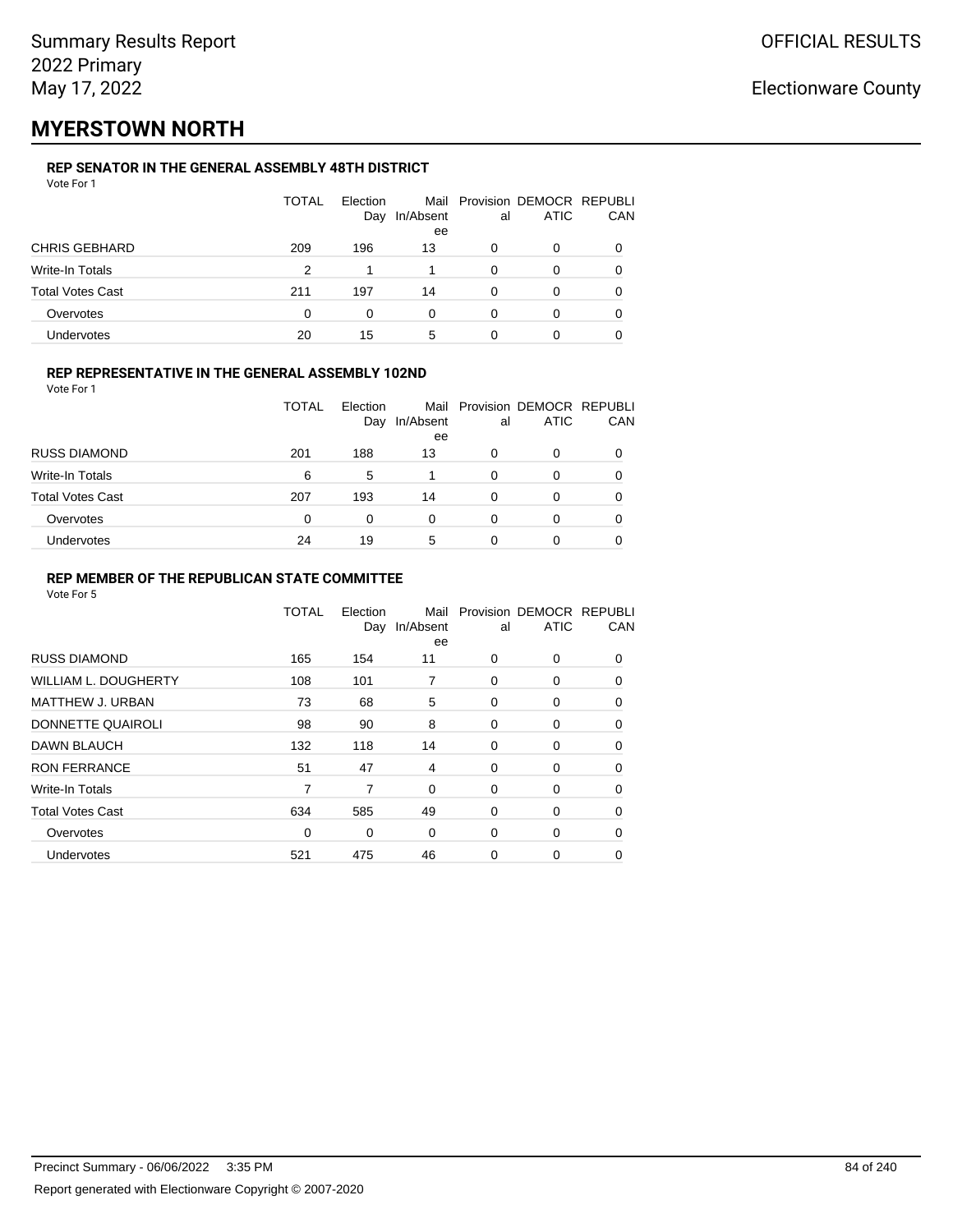## **MYERSTOWN NORTH**

### **REP SENATOR IN THE GENERAL ASSEMBLY 48TH DISTRICT**

| Vote For 1 |  |  |
|------------|--|--|
|------------|--|--|

|                         | <b>TOTAL</b> | Election<br>Day | In/Absent<br>ee | al       | Mail Provision DEMOCR REPUBLI<br>ATIC | CAN |
|-------------------------|--------------|-----------------|-----------------|----------|---------------------------------------|-----|
| <b>CHRIS GEBHARD</b>    | 209          | 196             | 13              | O        | 0                                     |     |
| Write-In Totals         | 2            |                 |                 | $\Omega$ | O                                     |     |
| <b>Total Votes Cast</b> | 211          | 197             | 14              | 0        | ი                                     |     |
| Overvotes               | 0            | 0               | 0               | 0        | 0                                     |     |
| Undervotes              | 20           | 15              | 5               | 0        |                                       |     |

### **REP REPRESENTATIVE IN THE GENERAL ASSEMBLY 102ND**

Vote For 1

|                         | TOTAL    | Election<br>Day | In/Absent | al | Mail Provision DEMOCR REPUBLI<br><b>ATIC</b> | CAN |
|-------------------------|----------|-----------------|-----------|----|----------------------------------------------|-----|
|                         |          |                 | ee        |    |                                              |     |
| <b>RUSS DIAMOND</b>     | 201      | 188             | 13        | 0  | 0                                            |     |
| Write-In Totals         | 6        | 5               |           | 0  | 0                                            |     |
| <b>Total Votes Cast</b> | 207      | 193             | 14        | 0  | 0                                            |     |
| Overvotes               | $\Omega$ | 0               | 0         | 0  | O                                            |     |
| Undervotes              | 24       | 19              | 5         | 0  | 0                                            |     |

### **REP MEMBER OF THE REPUBLICAN STATE COMMITTEE**

|                             | TOTAL | Election<br>Day | Mail<br>In/Absent<br>ee | al | Provision DEMOCR REPUBLI<br><b>ATIC</b> | CAN      |
|-----------------------------|-------|-----------------|-------------------------|----|-----------------------------------------|----------|
| <b>RUSS DIAMOND</b>         | 165   | 154             | 11                      | 0  | $\Omega$                                | $\Omega$ |
| <b>WILLIAM L. DOUGHERTY</b> | 108   | 101             | 7                       | 0  | 0                                       | 0        |
| MATTHEW J. URBAN            | 73    | 68              | 5                       | 0  | 0                                       | $\Omega$ |
| DONNETTE QUAIROLI           | 98    | 90              | 8                       | 0  | 0                                       | $\Omega$ |
| <b>DAWN BLAUCH</b>          | 132   | 118             | 14                      | 0  | 0                                       | $\Omega$ |
| <b>RON FERRANCE</b>         | 51    | 47              | 4                       | 0  | 0                                       | 0        |
| Write-In Totals             | 7     | 7               | $\mathbf 0$             | 0  | 0                                       | 0        |
| <b>Total Votes Cast</b>     | 634   | 585             | 49                      | 0  | 0                                       | 0        |
| Overvotes                   | 0     | 0               | $\Omega$                | 0  | 0                                       | 0        |
| Undervotes                  | 521   | 475             | 46                      | 0  | 0                                       |          |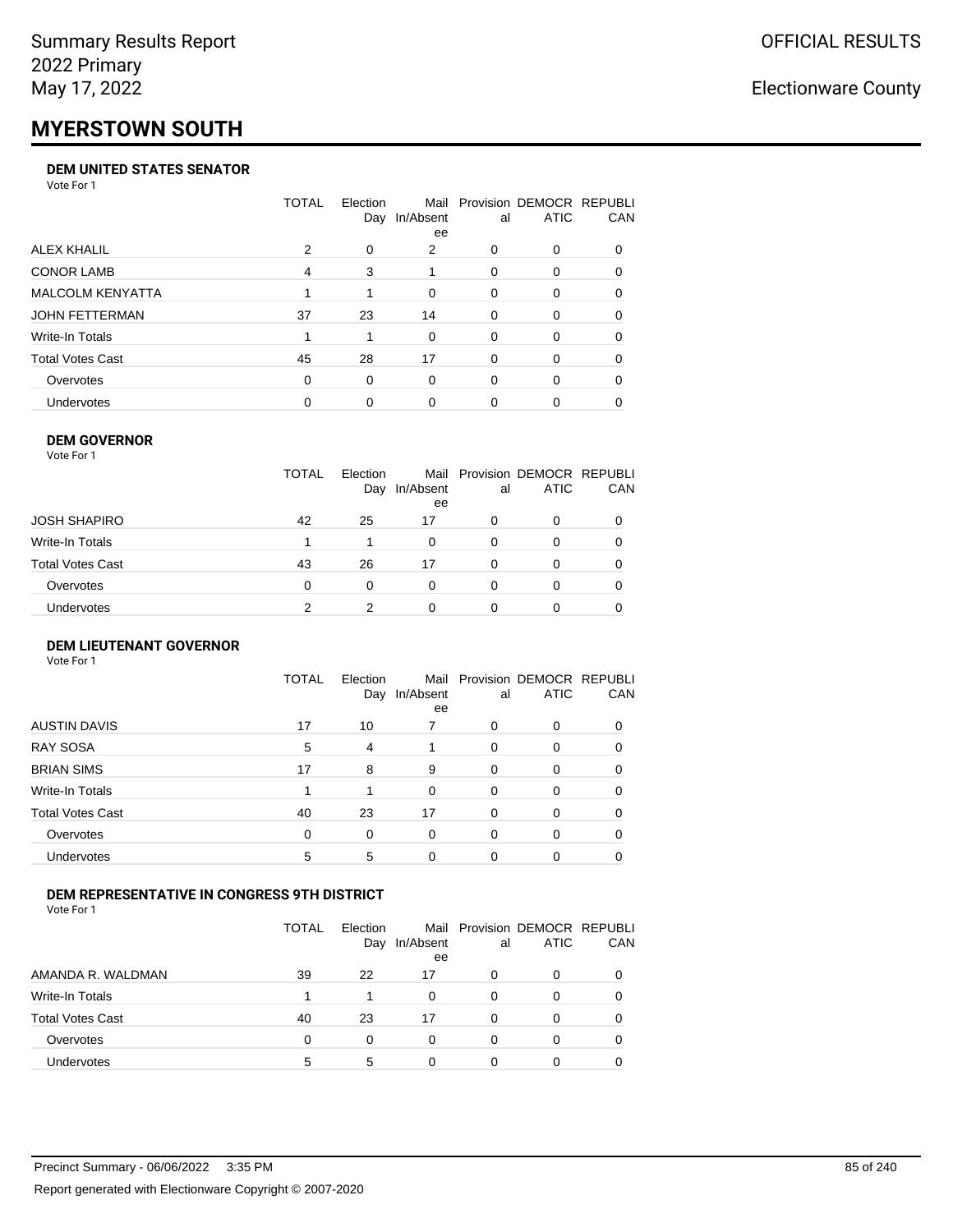# **MYERSTOWN SOUTH**

#### **DEM UNITED STATES SENATOR**

Vote For 1

|                         | TOTAL | Election | Mail<br>Day In/Absent<br>ee | al       | Provision DEMOCR REPUBLI<br><b>ATIC</b> | <b>CAN</b> |
|-------------------------|-------|----------|-----------------------------|----------|-----------------------------------------|------------|
| ALEX KHALIL             | 2     | 0        | 2                           | 0        | $\Omega$                                | 0          |
| <b>CONOR LAMB</b>       | 4     | 3        |                             | 0        | $\Omega$                                | 0          |
| <b>MALCOLM KENYATTA</b> |       |          | $\Omega$                    | $\Omega$ | $\Omega$                                | 0          |
| JOHN FETTERMAN          | 37    | 23       | 14                          | 0        | $\Omega$                                | $\Omega$   |
| Write-In Totals         |       |          | $\Omega$                    | 0        | $\Omega$                                | $\Omega$   |
| <b>Total Votes Cast</b> | 45    | 28       | 17                          | 0        | $\Omega$                                | 0          |
| Overvotes               | 0     | $\Omega$ | $\Omega$                    | 0        | $\Omega$                                | 0          |
| Undervotes              | 0     | 0        | 0                           | 0        |                                         | 0          |

### **DEM GOVERNOR**

| Vote For 1       |              |                 |                 |          |                                              |     |
|------------------|--------------|-----------------|-----------------|----------|----------------------------------------------|-----|
|                  | <b>TOTAL</b> | Election<br>Day | In/Absent<br>ee | al       | Mail Provision DEMOCR REPUBLI<br><b>ATIC</b> | CAN |
| JOSH SHAPIRO     | 42           | 25              | 17              | 0        | 0                                            |     |
| Write-In Totals  |              |                 | 0               | $\Omega$ | 0                                            | 0   |
| Total Votes Cast | 43           | 26              | 17              | $\Omega$ | 0                                            | 0   |
| Overvotes        | 0            | 0               | $\Omega$        | $\Omega$ | 0                                            | 0   |
| Undervotes       | 2            |                 | 0               |          | 0                                            |     |

#### **DEM LIEUTENANT GOVERNOR** Vote For 1

|                         | <b>TOTAL</b> | Election<br>Day | In/Absent<br>ee | al       | Mail Provision DEMOCR REPUBLI<br><b>ATIC</b> | CAN      |
|-------------------------|--------------|-----------------|-----------------|----------|----------------------------------------------|----------|
| <b>AUSTIN DAVIS</b>     | 17           | 10              |                 | $\Omega$ | 0                                            |          |
| <b>RAY SOSA</b>         | 5            | 4               |                 | $\Omega$ | 0                                            | 0        |
| <b>BRIAN SIMS</b>       | 17           | 8               | 9               | $\Omega$ | 0                                            | 0        |
| Write-In Totals         |              | 1               | $\Omega$        | $\Omega$ | 0                                            | 0        |
| <b>Total Votes Cast</b> | 40           | 23              | 17              | $\Omega$ | 0                                            | $\Omega$ |
| Overvotes               | $\Omega$     | 0               | $\Omega$        | $\Omega$ | 0                                            | 0        |
| <b>Undervotes</b>       | 5            | 5               | $\Omega$        | $\Omega$ | 0                                            | 0        |

### **DEM REPRESENTATIVE IN CONGRESS 9TH DISTRICT**

Vote For 1

|                         | TOTAL | Election<br>Day | In/Absent<br>ee | al | Mail Provision DEMOCR REPUBLI<br><b>ATIC</b> | CAN |
|-------------------------|-------|-----------------|-----------------|----|----------------------------------------------|-----|
| AMANDA R. WALDMAN       | 39    | 22              | 17              | 0  | 0                                            |     |
| Write-In Totals         |       |                 |                 | 0  | O                                            |     |
| <b>Total Votes Cast</b> | 40    | 23              | 17              | 0  | 0                                            |     |
| Overvotes               | 0     | 0               | 0               | 0  | O                                            |     |
| <b>Undervotes</b>       | 5     | 5               |                 |    | 0                                            |     |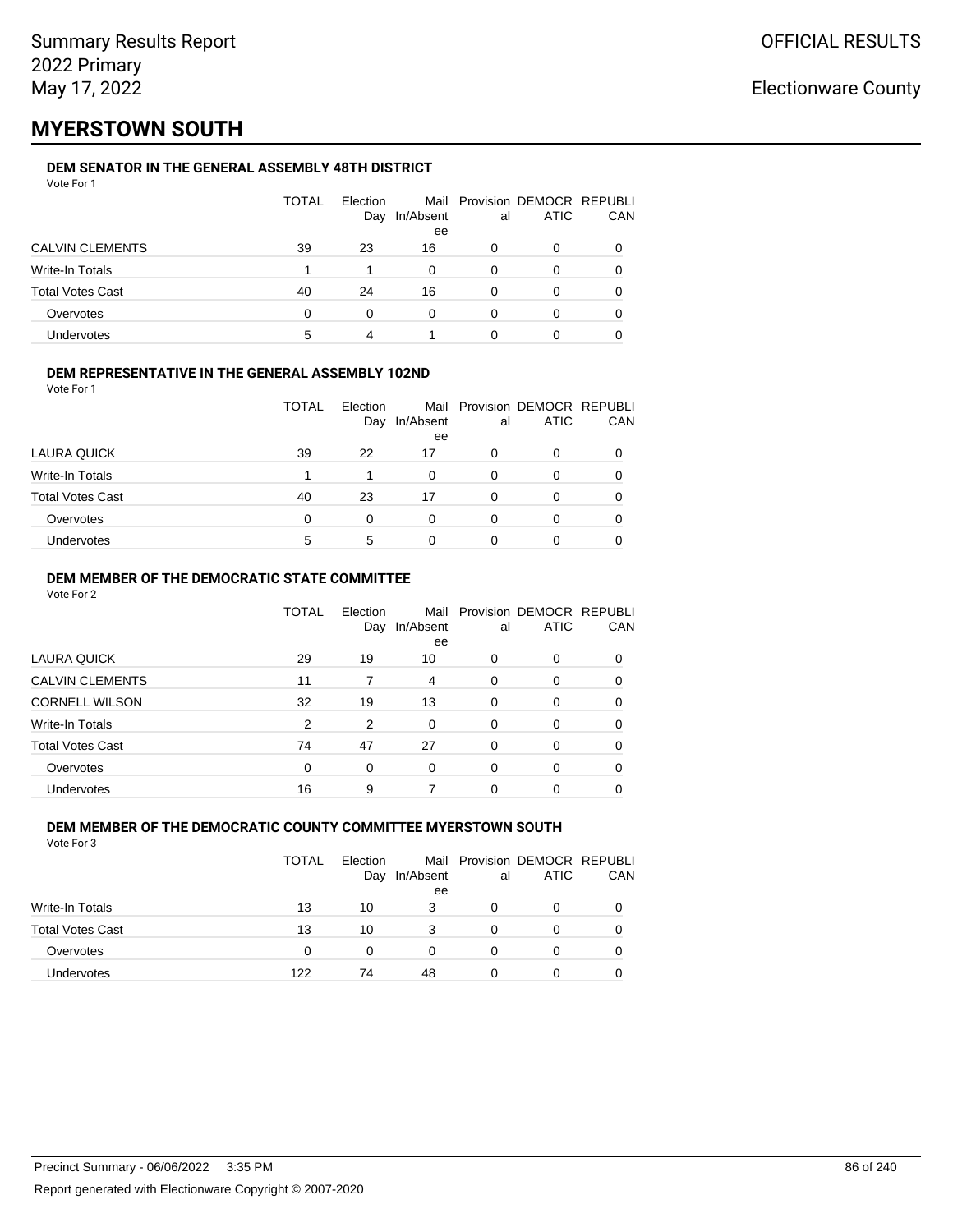## **MYERSTOWN SOUTH**

### **DEM SENATOR IN THE GENERAL ASSEMBLY 48TH DISTRICT**

| Vote For 1 |  |  |
|------------|--|--|
|------------|--|--|

|                         | <b>TOTAL</b> | Election<br>Day | In/Absent<br>ee | al | Mail Provision DEMOCR REPUBLI<br>ATIC | CAN |
|-------------------------|--------------|-----------------|-----------------|----|---------------------------------------|-----|
| <b>CALVIN CLEMENTS</b>  | 39           | 23              | 16              | 0  | 0                                     |     |
| Write-In Totals         |              |                 | 0               | 0  | 0                                     |     |
| <b>Total Votes Cast</b> | 40           | 24              | 16              | 0  | Ω                                     |     |
| Overvotes               | 0            | 0               | 0               | 0  | Ω                                     |     |
| <b>Undervotes</b>       | 5            | 4               |                 | 0  |                                       |     |

### **DEM REPRESENTATIVE IN THE GENERAL ASSEMBLY 102ND**

| Vote For 1 |  |  |
|------------|--|--|
|            |  |  |

|                         | TOTAL | Election<br>Day | In/Absent | al | Mail Provision DEMOCR REPUBLI<br><b>ATIC</b> | <b>CAN</b> |
|-------------------------|-------|-----------------|-----------|----|----------------------------------------------|------------|
|                         |       |                 | ee        |    |                                              |            |
| LAURA QUICK             | 39    | 22              | 17        | Ω  | 0                                            | 0          |
| Write-In Totals         |       |                 | 0         | O  |                                              | 0          |
| <b>Total Votes Cast</b> | 40    | 23              | 17        | ∩  | O                                            | 0          |
| Overvotes               | 0     | 0               | 0         | 0  |                                              | 0          |
| Undervotes              | 5     | 5               | 0         |    |                                              |            |

### **DEM MEMBER OF THE DEMOCRATIC STATE COMMITTEE**

Vote For 2

|                         | TOTAL | Election<br>Day | In/Absent<br>ee | al       | Mail Provision DEMOCR REPUBLI<br><b>ATIC</b> | CAN |
|-------------------------|-------|-----------------|-----------------|----------|----------------------------------------------|-----|
| LAURA QUICK             | 29    | 19              | 10              | 0        | 0                                            | 0   |
| <b>CALVIN CLEMENTS</b>  | 11    |                 | 4               | $\Omega$ | 0                                            | 0   |
| <b>CORNELL WILSON</b>   | 32    | 19              | 13              | $\Omega$ | $\Omega$                                     | 0   |
| Write-In Totals         | 2     | 2               | $\Omega$        | 0        | 0                                            | 0   |
| <b>Total Votes Cast</b> | 74    | 47              | 27              | $\Omega$ | $\Omega$                                     | 0   |
| Overvotes               | 0     | 0               | $\Omega$        | $\Omega$ | 0                                            | 0   |
| <b>Undervotes</b>       | 16    | 9               |                 | 0        | 0                                            |     |

#### **DEM MEMBER OF THE DEMOCRATIC COUNTY COMMITTEE MYERSTOWN SOUTH** Vote For 3

|                         | TOTAL | Election<br>Day | In/Absent<br>ee | al | Mail Provision DEMOCR REPUBLI<br><b>ATIC</b> | CAN |
|-------------------------|-------|-----------------|-----------------|----|----------------------------------------------|-----|
| Write-In Totals         | 13    | 10              | 3               | 0  | 0                                            |     |
| <b>Total Votes Cast</b> | 13    | 10              | 3               |    | $\Omega$                                     | 0   |
| Overvotes               | 0     | 0               | $\Omega$        |    | 0                                            |     |
| Undervotes              | 122   | 74              | 48              |    | 0                                            |     |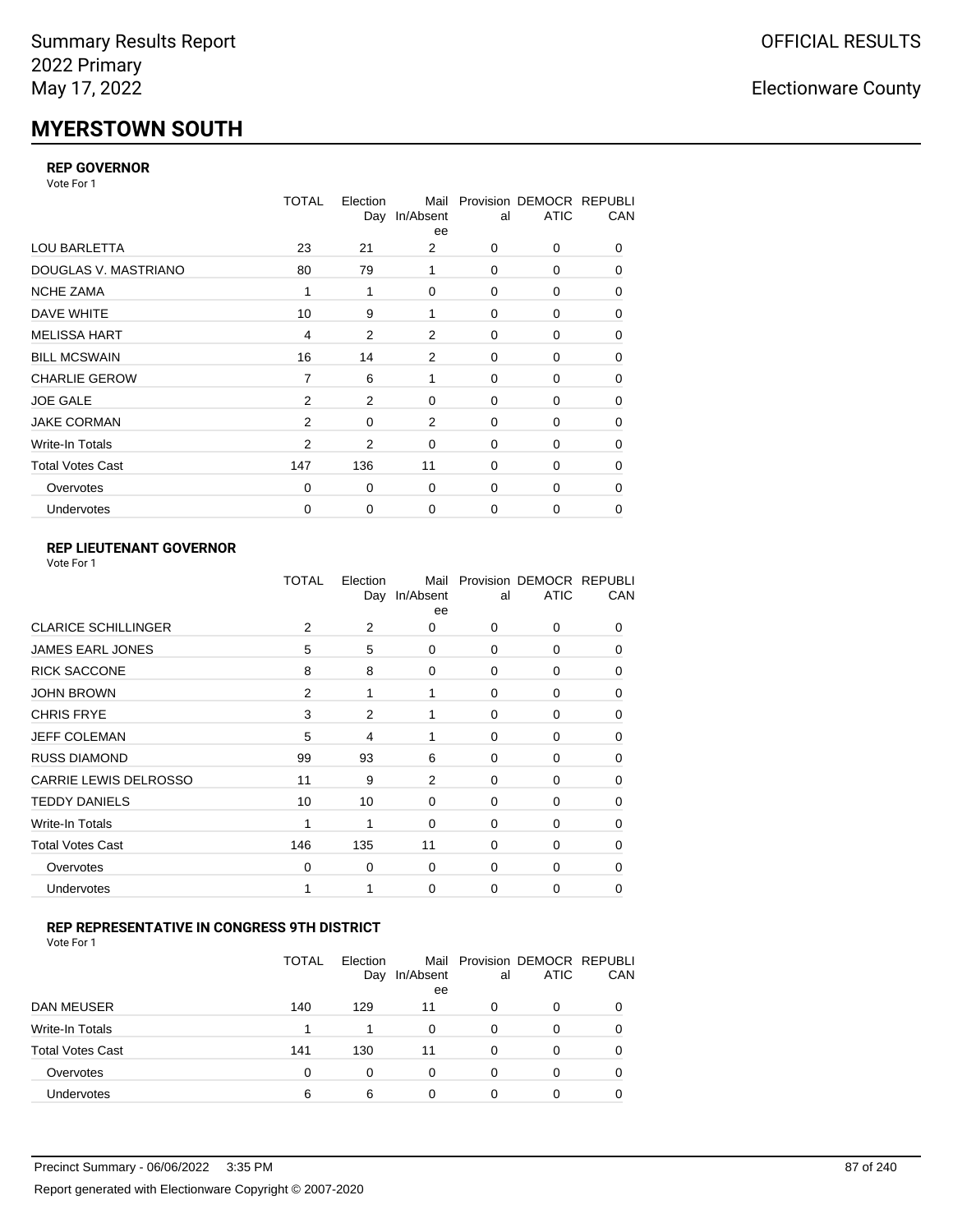# **MYERSTOWN SOUTH**

### **REP GOVERNOR**

Vote For 1

|                         | <b>TOTAL</b>   | Election<br>Day | Mail<br>In/Absent<br>ee | al       | Provision DEMOCR REPUBLI<br><b>ATIC</b> | CAN |
|-------------------------|----------------|-----------------|-------------------------|----------|-----------------------------------------|-----|
| <b>LOU BARLETTA</b>     | 23             | 21              | 2                       | 0        | 0                                       | 0   |
| DOUGLAS V. MASTRIANO    | 80             | 79              |                         | 0        | 0                                       | 0   |
| <b>NCHE ZAMA</b>        | 1              | 1               | $\Omega$                | 0        | 0                                       | 0   |
| DAVE WHITE              | 10             | 9               | 1                       | 0        | 0                                       | 0   |
| <b>MELISSA HART</b>     | $\overline{4}$ | 2               | 2                       | 0        | 0                                       | 0   |
| <b>BILL MCSWAIN</b>     | 16             | 14              | 2                       | 0        | 0                                       | 0   |
| <b>CHARLIE GEROW</b>    | $\overline{7}$ | 6               | 1                       | 0        | 0                                       | 0   |
| <b>JOE GALE</b>         | 2              | 2               | 0                       | 0        | 0                                       | 0   |
| <b>JAKE CORMAN</b>      | $\mathcal{P}$  | $\Omega$        | 2                       | 0        | $\Omega$                                | 0   |
| Write-In Totals         | 2              | 2               | $\mathbf 0$             | 0        | 0                                       | 0   |
| <b>Total Votes Cast</b> | 147            | 136             | 11                      | $\Omega$ | 0                                       | 0   |
| Overvotes               | $\Omega$       | 0               | $\mathbf 0$             | 0        | 0                                       | 0   |
| <b>Undervotes</b>       | 0              | 0               | $\mathbf 0$             | 0        | 0                                       | 0   |

### **REP LIEUTENANT GOVERNOR**

| Vote For 1 |  |  |
|------------|--|--|
|------------|--|--|

|                            | TOTAL          | Election | Mail<br>Day In/Absent<br>ee | al       | Provision DEMOCR REPUBLI<br><b>ATIC</b> | CAN          |
|----------------------------|----------------|----------|-----------------------------|----------|-----------------------------------------|--------------|
| <b>CLARICE SCHILLINGER</b> | 2              | 2        | 0                           | $\Omega$ | 0                                       | 0            |
| <b>JAMES EARL JONES</b>    | 5              | 5        | 0                           | 0        | 0                                       | 0            |
| <b>RICK SACCONE</b>        | 8              | 8        | 0                           | $\Omega$ | 0                                       | 0            |
| <b>JOHN BROWN</b>          | $\overline{2}$ | 1        | 1                           | $\Omega$ | 0                                       | 0            |
| <b>CHRIS FRYE</b>          | 3              | 2        | 1                           | 0        | 0                                       | 0            |
| JEFF COLEMAN               | 5              | 4        | 1                           | 0        | 0                                       | $\Omega$     |
| <b>RUSS DIAMOND</b>        | 99             | 93       | 6                           | 0        | 0                                       | 0            |
| CARRIE LEWIS DELROSSO      | 11             | 9        | 2                           | 0        | 0                                       | 0            |
| <b>TEDDY DANIELS</b>       | 10             | 10       | 0                           | 0        | 0                                       | 0            |
| Write-In Totals            | 1              | 1        | 0                           | 0        | 0                                       | $\Omega$     |
| <b>Total Votes Cast</b>    | 146            | 135      | 11                          | $\Omega$ | 0                                       | $\Omega$     |
| Overvotes                  | 0              | 0        | 0                           | 0        | 0                                       | <sup>0</sup> |
| Undervotes                 | 1              |          | 0                           | 0        | 0                                       | 0            |
|                            |                |          |                             |          |                                         |              |

### **REP REPRESENTATIVE IN CONGRESS 9TH DISTRICT**

| Vote For 1 |  |
|------------|--|
|------------|--|

|                         | TOTAL | Election<br>Day | In/Absent<br>ee | al       | Mail Provision DEMOCR REPUBLI<br><b>ATIC</b> | CAN      |
|-------------------------|-------|-----------------|-----------------|----------|----------------------------------------------|----------|
| DAN MEUSER              | 140   | 129             | 11              | 0        | 0                                            | $\Omega$ |
| Write-In Totals         |       | 1               | 0               | 0        | 0                                            |          |
| <b>Total Votes Cast</b> | 141   | 130             | 11              | $\Omega$ | 0                                            |          |
| Overvotes               | 0     | 0               | 0               | 0        | 0                                            | $\Omega$ |
| <b>Undervotes</b>       | 6     | 6               |                 | 0        | ი                                            |          |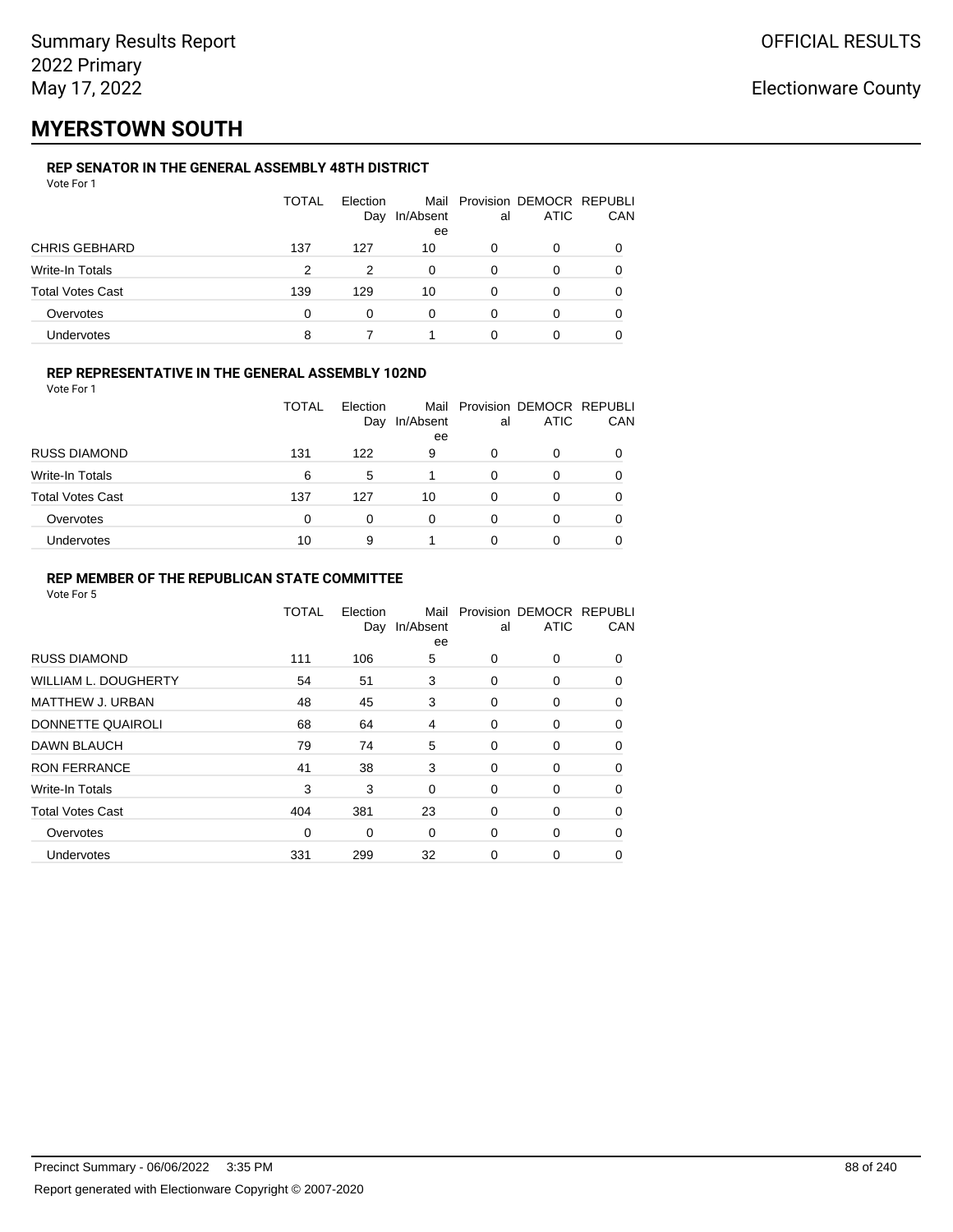## **MYERSTOWN SOUTH**

### **REP SENATOR IN THE GENERAL ASSEMBLY 48TH DISTRICT**

| Vote For 1              |              |                 |                 |    |                                              |          |
|-------------------------|--------------|-----------------|-----------------|----|----------------------------------------------|----------|
|                         | <b>TOTAL</b> | Election<br>Day | In/Absent<br>ee | al | Mail Provision DEMOCR REPUBLI<br><b>ATIC</b> | CAN      |
| <b>CHRIS GEBHARD</b>    | 137          | 127             | 10              | 0  | 0                                            | O        |
| Write-In Totals         | 2            | 2               | $\Omega$        | 0  | 0                                            | $\Omega$ |
| <b>Total Votes Cast</b> | 139          | 129             | 10              | 0  | 0                                            | 0        |
| Overvotes               | 0            | 0               | 0               | 0  | 0                                            |          |
| Undervotes              | 8            |                 |                 |    | 0                                            |          |

### **REP REPRESENTATIVE IN THE GENERAL ASSEMBLY 102ND**

Vote For 1

|                         | TOTAL | Election<br>Day | In/Absent<br>ee | al | Mail Provision DEMOCR REPUBLI<br><b>ATIC</b> | <b>CAN</b> |
|-------------------------|-------|-----------------|-----------------|----|----------------------------------------------|------------|
| <b>RUSS DIAMOND</b>     | 131   | 122             | 9               | O  |                                              | 0          |
| Write-In Totals         | 6     | 5               |                 | 0  | 0                                            | 0          |
| <b>Total Votes Cast</b> | 137   | 127             | 10              | 0  |                                              | 0          |
| Overvotes               | 0     | 0               | 0               | 0  |                                              | 0          |
| Undervotes              | 10    | 9               |                 | Ω  |                                              | 0          |

### **REP MEMBER OF THE REPUBLICAN STATE COMMITTEE**

|                         | TOTAL       | Election<br>Day | Mail<br>In/Absent<br>ee | al          | Provision DEMOCR REPUBLI<br><b>ATIC</b> | CAN      |
|-------------------------|-------------|-----------------|-------------------------|-------------|-----------------------------------------|----------|
| <b>RUSS DIAMOND</b>     | 111         | 106             | 5                       | 0           | $\Omega$                                | 0        |
| WILLIAM L. DOUGHERTY    | 54          | 51              | 3                       | 0           | 0                                       | 0        |
| MATTHEW J. URBAN        | 48          | 45              | 3                       | 0           | 0                                       | $\Omega$ |
| DONNETTE QUAIROLI       | 68          | 64              | 4                       | 0           | 0                                       | $\Omega$ |
| <b>DAWN BLAUCH</b>      | 79          | 74              | 5                       | 0           | 0                                       | $\Omega$ |
| <b>RON FERRANCE</b>     | 41          | 38              | 3                       | 0           | 0                                       | 0        |
| Write-In Totals         | 3           | 3               | $\Omega$                | $\mathbf 0$ | 0                                       | 0        |
| <b>Total Votes Cast</b> | 404         | 381             | 23                      | 0           | 0                                       | 0        |
| Overvotes               | $\mathbf 0$ | 0               | 0                       | 0           | 0                                       | $\Omega$ |
| Undervotes              | 331         | 299             | 32                      | 0           | 0                                       | 0        |
|                         |             |                 |                         |             |                                         |          |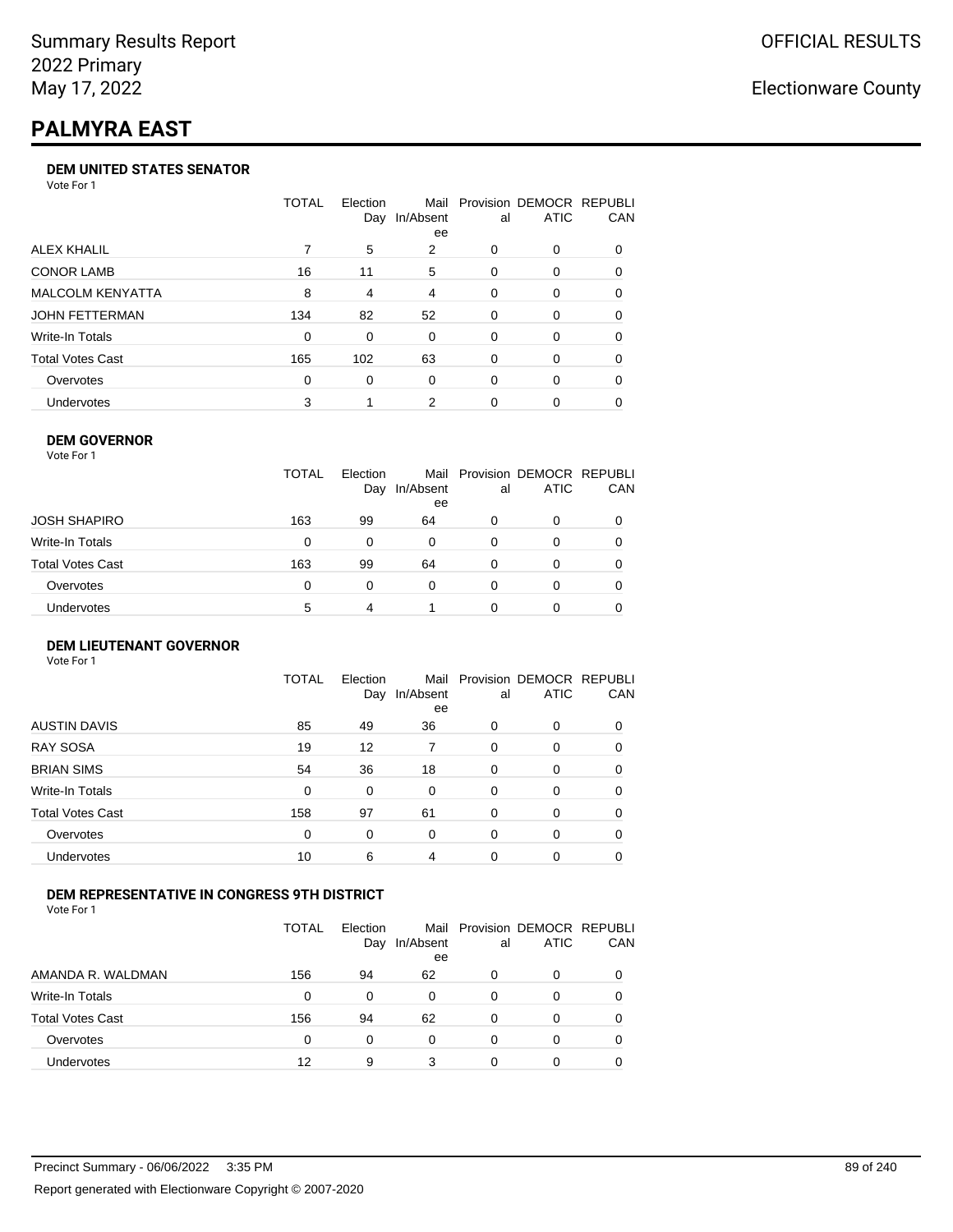# **PALMYRA EAST**

### **DEM UNITED STATES SENATOR**

Vote For 1

|                         | TOTAL | Election<br>Day | Mail<br>In/Absent<br>ee | al | Provision DEMOCR REPUBLI<br>ATIC | <b>CAN</b> |
|-------------------------|-------|-----------------|-------------------------|----|----------------------------------|------------|
| ALEX KHALIL             |       | 5               | 2                       | 0  | $\Omega$                         | 0          |
| <b>CONOR LAMB</b>       | 16    | 11              | 5                       | 0  | $\Omega$                         | 0          |
| <b>MALCOLM KENYATTA</b> | 8     | 4               | $\overline{4}$          | 0  | $\Omega$                         | 0          |
| JOHN FETTERMAN          | 134   | 82              | 52                      | 0  | $\Omega$                         | 0          |
| Write-In Totals         | 0     | 0               | $\Omega$                | 0  | $\Omega$                         | 0          |
| <b>Total Votes Cast</b> | 165   | 102             | 63                      | 0  | $\Omega$                         | 0          |
| Overvotes               | 0     | 0               | $\Omega$                | 0  | $\Omega$                         | 0          |
| <b>Undervotes</b>       | 3     |                 | 2                       | 0  | $\Omega$                         | 0          |

### **DEM GOVERNOR**

| Vote For 1       |              |                 |                 |          |                                              |     |
|------------------|--------------|-----------------|-----------------|----------|----------------------------------------------|-----|
|                  | <b>TOTAL</b> | Election<br>Day | In/Absent<br>ee | al       | Mail Provision DEMOCR REPUBLI<br><b>ATIC</b> | CAN |
| JOSH SHAPIRO     | 163          | 99              | 64              | 0        | 0                                            |     |
| Write-In Totals  | 0            | 0               | 0               | 0        | 0                                            |     |
| Total Votes Cast | 163          | 99              | 64              | 0        | 0                                            | 0   |
| Overvotes        | 0            | 0               | $\Omega$        | $\Omega$ | 0                                            |     |
| Undervotes       | 5            | 4               |                 | O        | 0                                            |     |

#### **DEM LIEUTENANT GOVERNOR** Vote For 1

|                         | <b>TOTAL</b> | Election<br>Day | In/Absent<br>ee | al       | Mail Provision DEMOCR REPUBLI<br><b>ATIC</b> | CAN      |
|-------------------------|--------------|-----------------|-----------------|----------|----------------------------------------------|----------|
| <b>AUSTIN DAVIS</b>     | 85           | 49              | 36              | $\Omega$ | 0                                            | 0        |
| <b>RAY SOSA</b>         | 19           | 12              | 7               | 0        | 0                                            | 0        |
| <b>BRIAN SIMS</b>       | 54           | 36              | 18              | 0        | 0                                            | $\Omega$ |
| Write-In Totals         | 0            | 0               | $\Omega$        | $\Omega$ | 0                                            | $\Omega$ |
| <b>Total Votes Cast</b> | 158          | 97              | 61              | $\Omega$ | 0                                            | $\Omega$ |
| Overvotes               | 0            | 0               | 0               | $\Omega$ | 0                                            | $\Omega$ |
| <b>Undervotes</b>       | 10           | 6               | 4               | $\Omega$ | 0                                            | 0        |

### **DEM REPRESENTATIVE IN CONGRESS 9TH DISTRICT**

|                         | TOTAL | <b>Flection</b><br>Day | Mail<br>In/Absent<br>ee | al | Provision DEMOCR REPUBLI<br><b>ATIC</b> | <b>CAN</b> |
|-------------------------|-------|------------------------|-------------------------|----|-----------------------------------------|------------|
| AMANDA R. WALDMAN       | 156   | 94                     | 62                      | O  | 0                                       | 0          |
| <b>Write-In Totals</b>  | 0     | 0                      | 0                       | 0  | $\Omega$                                | 0          |
| <b>Total Votes Cast</b> | 156   | 94                     | 62                      | 0  | 0                                       | 0          |
| Overvotes               | 0     | 0                      | 0                       | 0  | $\Omega$                                | 0          |
| <b>Undervotes</b>       | 12    | 9                      | 3                       |    |                                         |            |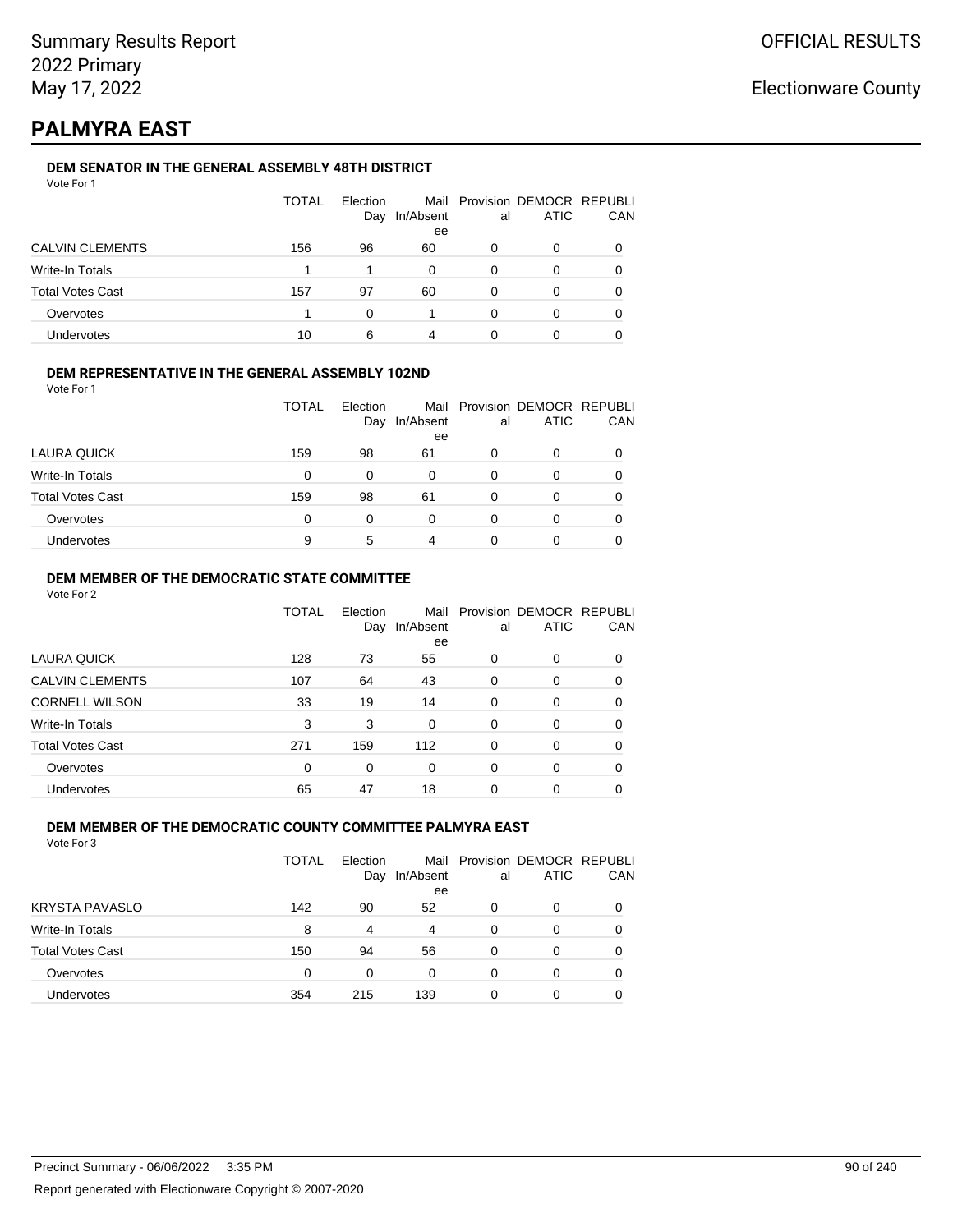## **PALMYRA EAST**

### **DEM SENATOR IN THE GENERAL ASSEMBLY 48TH DISTRICT**

|                         | <b>TOTAL</b> | Election<br>Day | In/Absent<br>ee | al | Mail Provision DEMOCR REPUBLI<br><b>ATIC</b> | CAN |
|-------------------------|--------------|-----------------|-----------------|----|----------------------------------------------|-----|
| <b>CALVIN CLEMENTS</b>  | 156          | 96              | 60              |    | 0                                            |     |
| Write-In Totals         |              |                 | 0               | 0  | 0                                            |     |
| <b>Total Votes Cast</b> | 157          | 97              | 60              | 0  | 0                                            |     |
| Overvotes               |              | ∩               |                 | O  | Ω                                            |     |
| Undervotes              | 10           | 6               | 4               |    |                                              |     |

### **DEM REPRESENTATIVE IN THE GENERAL ASSEMBLY 102ND**

Vote For 1

|                         | TOTAL | Election<br>Day | In/Absent | al | Mail Provision DEMOCR REPUBLI<br><b>ATIC</b> | <b>CAN</b> |
|-------------------------|-------|-----------------|-----------|----|----------------------------------------------|------------|
|                         |       |                 | ee        |    |                                              |            |
| LAURA QUICK             | 159   | 98              | 61        | 0  |                                              | 0          |
| <b>Write-In Totals</b>  | 0     | 0               | 0         | 0  |                                              | 0          |
| <b>Total Votes Cast</b> | 159   | 98              | 61        | ი  |                                              | 0          |
| Overvotes               | 0     | 0               | 0         | 0  |                                              | 0          |
| <b>Undervotes</b>       | 9     | 5               | 4         | O  |                                              | 0          |

### **DEM MEMBER OF THE DEMOCRATIC STATE COMMITTEE**

Vote For 2

|                         | TOTAL | Election<br>Day | Mail<br>In/Absent<br>ee | al       | Provision DEMOCR REPUBLI<br><b>ATIC</b> | CAN |
|-------------------------|-------|-----------------|-------------------------|----------|-----------------------------------------|-----|
| <b>LAURA QUICK</b>      | 128   | 73              | 55                      | 0        | $\Omega$                                | 0   |
| <b>CALVIN CLEMENTS</b>  | 107   | 64              | 43                      | 0        | 0                                       | 0   |
| <b>CORNELL WILSON</b>   | 33    | 19              | 14                      | $\Omega$ | $\Omega$                                | 0   |
| Write-In Totals         | 3     | 3               | 0                       | $\Omega$ | $\Omega$                                | 0   |
| <b>Total Votes Cast</b> | 271   | 159             | 112                     | 0        | $\Omega$                                | 0   |
| Overvotes               | 0     | 0               | 0                       | 0        | $\Omega$                                | 0   |
| <b>Undervotes</b>       | 65    | 47              | 18                      | 0        | 0                                       |     |

### **DEM MEMBER OF THE DEMOCRATIC COUNTY COMMITTEE PALMYRA EAST**

|                         | TOTAL    | Election<br>Day | Mail<br>In/Absent<br>ee | al | Provision DEMOCR REPUBLI<br><b>ATIC</b> | CAN      |
|-------------------------|----------|-----------------|-------------------------|----|-----------------------------------------|----------|
| KRYSTA PAVASLO          | 142      | 90              | 52                      | 0  | 0                                       | $\Omega$ |
| Write-In Totals         | 8        | 4               | 4                       | 0  | 0                                       |          |
| <b>Total Votes Cast</b> | 150      | 94              | 56                      | 0  | 0                                       |          |
| Overvotes               | $\Omega$ | 0               | $\Omega$                | 0  | 0                                       |          |
| <b>Undervotes</b>       | 354      | 215             | 139                     | 0  | 0                                       |          |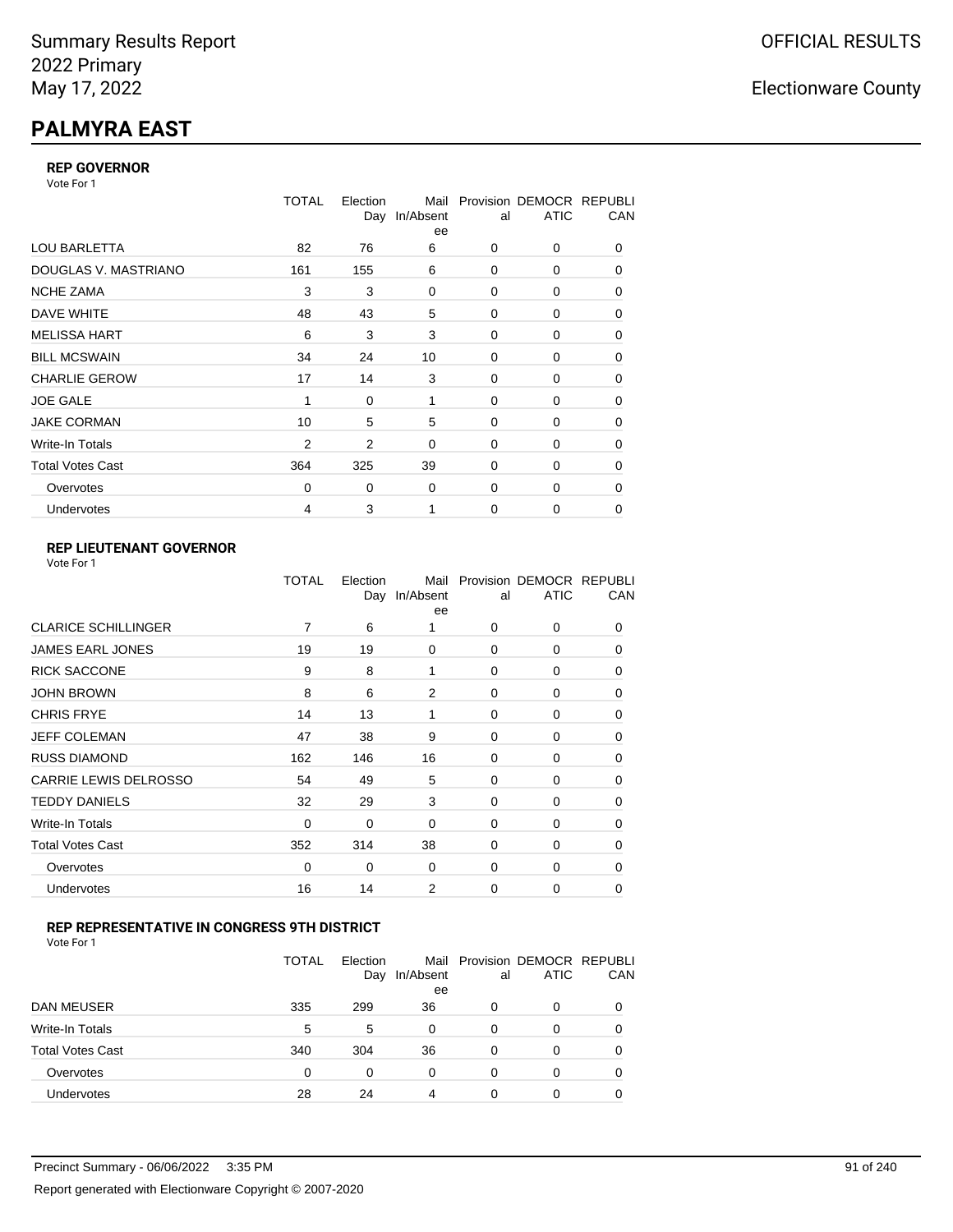# **PALMYRA EAST**

### **REP GOVERNOR**

Vote For 1

|                         | TOTAL          | Election<br>Day | Mail<br>In/Absent<br>ee | al          | Provision DEMOCR REPUBLI<br><b>ATIC</b> | CAN |
|-------------------------|----------------|-----------------|-------------------------|-------------|-----------------------------------------|-----|
| <b>LOU BARLETTA</b>     | 82             | 76              | 6                       | 0           | 0                                       | 0   |
| DOUGLAS V. MASTRIANO    | 161            | 155             | 6                       | 0           | 0                                       | 0   |
| <b>NCHE ZAMA</b>        | 3              | 3               | 0                       | 0           | 0                                       | 0   |
| DAVE WHITE              | 48             | 43              | 5                       | $\mathbf 0$ | 0                                       | 0   |
| <b>MELISSA HART</b>     | 6              | 3               | 3                       | 0           | 0                                       | 0   |
| <b>BILL MCSWAIN</b>     | 34             | 24              | 10                      | $\mathbf 0$ | 0                                       | 0   |
| <b>CHARLIE GEROW</b>    | 17             | 14              | 3                       | $\Omega$    | 0                                       | 0   |
| <b>JOE GALE</b>         | 1              | 0               | 1                       | $\mathbf 0$ | 0                                       | 0   |
| <b>JAKE CORMAN</b>      | 10             | 5               | 5                       | $\Omega$    | $\Omega$                                | 0   |
| Write-In Totals         | $\overline{2}$ | $\overline{2}$  | 0                       | $\mathbf 0$ | 0                                       | 0   |
| <b>Total Votes Cast</b> | 364            | 325             | 39                      | 0           | 0                                       | 0   |
| Overvotes               | $\Omega$       | 0               | 0                       | $\mathbf 0$ | 0                                       | 0   |
| <b>Undervotes</b>       | 4              | 3               | 1                       | $\mathbf 0$ | $\Omega$                                | 0   |

### **REP LIEUTENANT GOVERNOR**

|                              | TOTAL | Election | Mail<br>Day In/Absent<br>ee | al       | Provision DEMOCR REPUBLI<br><b>ATIC</b> | CAN      |
|------------------------------|-------|----------|-----------------------------|----------|-----------------------------------------|----------|
| <b>CLARICE SCHILLINGER</b>   | 7     | 6        | 1                           | $\Omega$ | 0                                       | 0        |
| JAMES EARL JONES             | 19    | 19       | 0                           | $\Omega$ | 0                                       | 0        |
| <b>RICK SACCONE</b>          | 9     | 8        | 1                           | $\Omega$ | 0                                       | 0        |
| <b>JOHN BROWN</b>            | 8     | 6        | 2                           | $\Omega$ | 0                                       | 0        |
| <b>CHRIS FRYE</b>            | 14    | 13       | 1                           | 0        | 0                                       | 0        |
| JEFF COLEMAN                 | 47    | 38       | 9                           | 0        | 0                                       | 0        |
| <b>RUSS DIAMOND</b>          | 162   | 146      | 16                          | $\Omega$ | $\Omega$                                | 0        |
| <b>CARRIE LEWIS DELROSSO</b> | 54    | 49       | 5                           | $\Omega$ | 0                                       | 0        |
| <b>TEDDY DANIELS</b>         | 32    | 29       | 3                           | $\Omega$ | 0                                       | 0        |
| Write-In Totals              | 0     | 0        | 0                           | 0        | 0                                       | 0        |
| <b>Total Votes Cast</b>      | 352   | 314      | 38                          | 0        | 0                                       | 0        |
| Overvotes                    | 0     | 0        | 0                           | $\Omega$ | 0                                       | $\Omega$ |
| Undervotes                   | 16    | 14       | 2                           | $\Omega$ | 0                                       | 0        |
|                              |       |          |                             |          |                                         |          |

### **REP REPRESENTATIVE IN CONGRESS 9TH DISTRICT**

| Vote For 1 |  |  |
|------------|--|--|
|------------|--|--|

|                         | <b>TOTAL</b> | Election<br>Day | In/Absent<br>ee | al       | Mail Provision DEMOCR REPUBLI<br><b>ATIC</b> | CAN      |
|-------------------------|--------------|-----------------|-----------------|----------|----------------------------------------------|----------|
| DAN MEUSER              | 335          | 299             | 36              | 0        | 0                                            | $\Omega$ |
| Write-In Totals         | 5            | 5               | 0               | 0        | 0                                            |          |
| <b>Total Votes Cast</b> | 340          | 304             | 36              | $\Omega$ | 0                                            |          |
| Overvotes               | 0            | 0               | 0               | 0        | 0                                            | 0        |
| Undervotes              | 28           | 24              | 4               | 0        | 0                                            |          |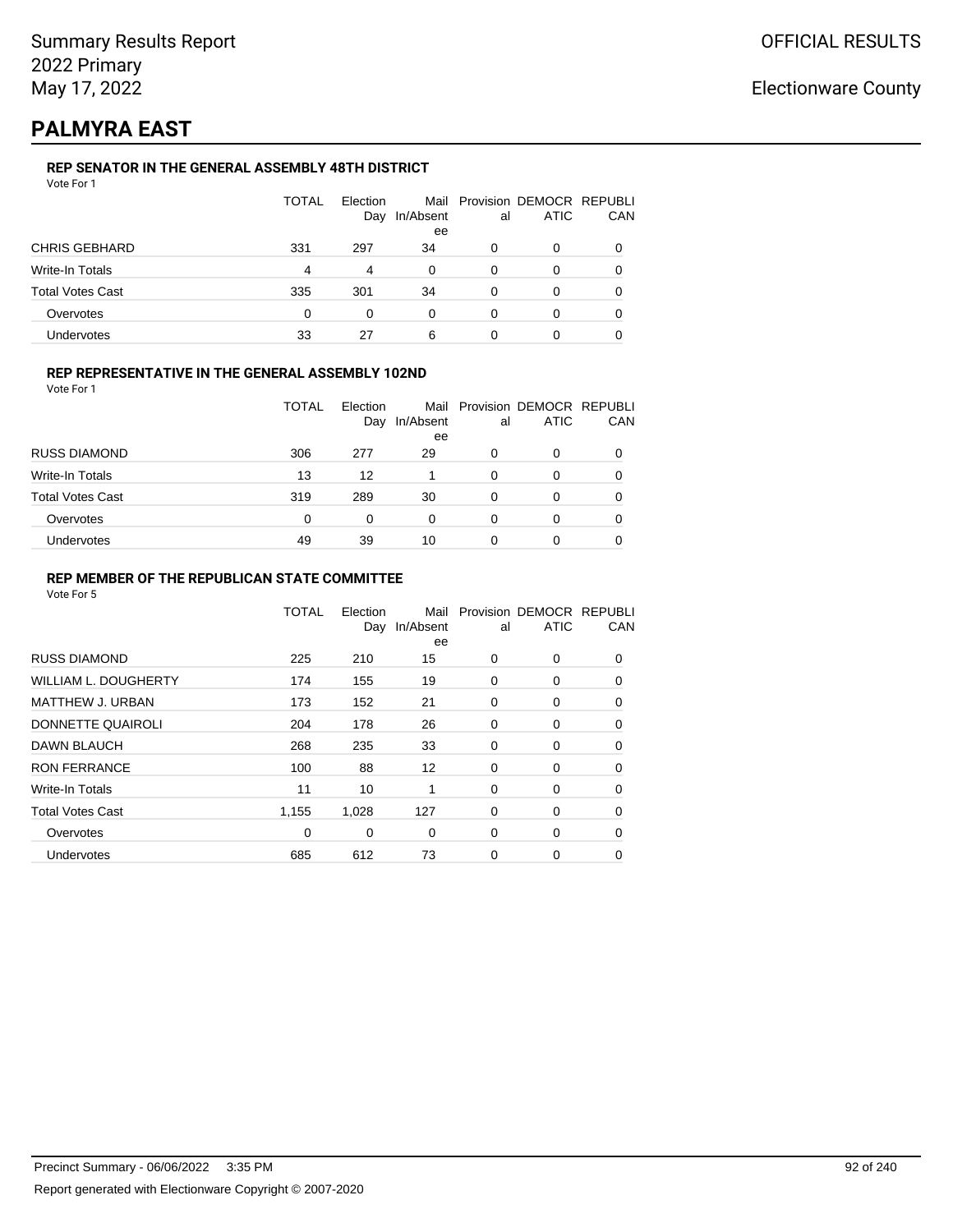## **PALMYRA EAST**

### **REP SENATOR IN THE GENERAL ASSEMBLY 48TH DISTRICT**

|                         | <b>TOTAL</b> | Election<br>Day | In/Absent<br>ee | al | Mail Provision DEMOCR REPUBLI<br><b>ATIC</b> | CAN |
|-------------------------|--------------|-----------------|-----------------|----|----------------------------------------------|-----|
| <b>CHRIS GEBHARD</b>    | 331          | 297             | 34              | 0  | 0                                            |     |
| Write-In Totals         | 4            | 4               | 0               | 0  | 0                                            |     |
| <b>Total Votes Cast</b> | 335          | 301             | 34              | 0  | 0                                            |     |
| Overvotes               | 0            | 0               | $\Omega$        | 0  | 0                                            |     |
| Undervotes              | 33           | 27              | 6               | 0  |                                              |     |

### **REP REPRESENTATIVE IN THE GENERAL ASSEMBLY 102ND**

Vote For 1

|                         | <b>TOTAL</b> | <b>Flection</b><br>Day | Mail<br>In/Absent<br>ee | al | Provision DEMOCR REPUBLI<br><b>ATIC</b> | CAN |
|-------------------------|--------------|------------------------|-------------------------|----|-----------------------------------------|-----|
| <b>RUSS DIAMOND</b>     | 306          | 277                    | 29                      | 0  | ი                                       |     |
| Write-In Totals         | 13           | 12                     |                         | 0  | 0                                       |     |
| <b>Total Votes Cast</b> | 319          | 289                    | 30                      | 0  | Ω                                       |     |
| Overvotes               | 0            | 0                      | 0                       | 0  | 0                                       |     |
| Undervotes              | 49           | 39                     | 10                      |    | 0                                       |     |

### **REP MEMBER OF THE REPUBLICAN STATE COMMITTEE**

|                             | TOTAL | Election<br>Day | Mail<br>In/Absent<br>ee | al          | Provision DEMOCR REPUBLI<br><b>ATIC</b> | CAN |
|-----------------------------|-------|-----------------|-------------------------|-------------|-----------------------------------------|-----|
| <b>RUSS DIAMOND</b>         | 225   | 210             | 15                      | 0           | 0                                       | 0   |
| <b>WILLIAM L. DOUGHERTY</b> | 174   | 155             | 19                      | 0           | 0                                       | 0   |
| <b>MATTHEW J. URBAN</b>     | 173   | 152             | 21                      | $\mathbf 0$ | 0                                       | 0   |
| DONNETTE QUAIROLI           | 204   | 178             | 26                      | 0           | 0                                       | 0   |
| DAWN BLAUCH                 | 268   | 235             | 33                      | $\mathbf 0$ | 0                                       | 0   |
| <b>RON FERRANCE</b>         | 100   | 88              | 12                      | $\Omega$    | $\Omega$                                | 0   |
| <b>Write-In Totals</b>      | 11    | 10              | 1                       | 0           | 0                                       | 0   |
| <b>Total Votes Cast</b>     | 1,155 | 1,028           | 127                     | 0           | 0                                       | 0   |
| Overvotes                   | 0     | 0               | 0                       | 0           | $\Omega$                                | 0   |
| <b>Undervotes</b>           | 685   | 612             | 73                      | 0           | 0                                       | 0   |
|                             |       |                 |                         |             |                                         |     |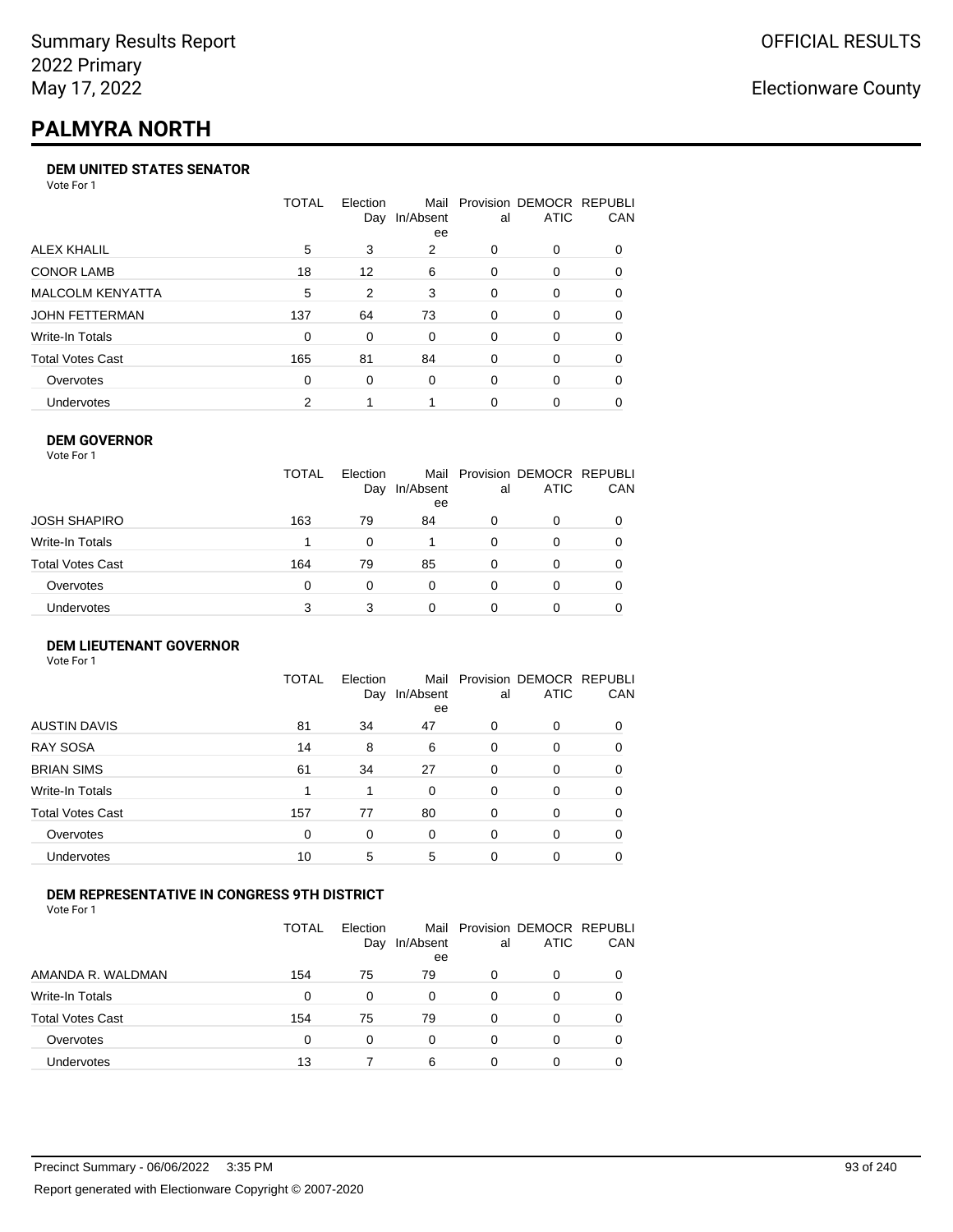# **PALMYRA NORTH**

### **DEM UNITED STATES SENATOR**

Vote For 1

|                         | TOTAL    | Election | Mail<br>Day In/Absent<br>ee | al       | Provision DEMOCR REPUBLI<br><b>ATIC</b> | <b>CAN</b> |
|-------------------------|----------|----------|-----------------------------|----------|-----------------------------------------|------------|
| ALEX KHALIL             | 5        | 3        | 2                           | 0        | $\Omega$                                | 0          |
| <b>CONOR LAMB</b>       | 18       | 12       | 6                           | 0        | $\Omega$                                | 0          |
| <b>MALCOLM KENYATTA</b> | 5        | 2        | 3                           | 0        | $\Omega$                                | 0          |
| <b>JOHN FETTERMAN</b>   | 137      | 64       | 73                          | $\Omega$ | $\Omega$                                | $\Omega$   |
| Write-In Totals         | 0        | 0        | $\Omega$                    | 0        | $\Omega$                                | 0          |
| Total Votes Cast        | 165      | 81       | 84                          | 0        | $\Omega$                                | 0          |
| Overvotes               | $\Omega$ | 0        | $\Omega$                    | 0        | $\Omega$                                | 0          |
| <b>Undervotes</b>       | 2        |          |                             | 0        |                                         | 0          |

### **DEM GOVERNOR**

| Vote For 1       |              |                 |                 |          |                                              |          |
|------------------|--------------|-----------------|-----------------|----------|----------------------------------------------|----------|
|                  | <b>TOTAL</b> | Election<br>Day | In/Absent<br>ee | al       | Mail Provision DEMOCR REPUBLI<br><b>ATIC</b> | CAN      |
| JOSH SHAPIRO     | 163          | 79              | 84              | 0        | 0                                            |          |
| Write-In Totals  |              | $\Omega$        |                 | $\Omega$ | 0                                            | $\Omega$ |
| Total Votes Cast | 164          | 79              | 85              | 0        | 0                                            | 0        |
| Overvotes        | 0            | 0               | $\Omega$        | 0        | 0                                            | 0        |
| Undervotes       | 3            | 3               | 0               |          | 0                                            |          |

#### **DEM LIEUTENANT GOVERNOR** Vote For 1

|                         | TOTAL | Election<br>Day | In/Absent<br>ee | al       | Mail Provision DEMOCR REPUBLI<br><b>ATIC</b> | CAN      |
|-------------------------|-------|-----------------|-----------------|----------|----------------------------------------------|----------|
| <b>AUSTIN DAVIS</b>     | 81    | 34              | 47              | 0        | 0                                            | 0        |
| <b>RAY SOSA</b>         | 14    | 8               | 6               | $\Omega$ | 0                                            | 0        |
| <b>BRIAN SIMS</b>       | 61    | 34              | 27              | $\Omega$ | $\Omega$                                     | $\Omega$ |
| Write-In Totals         | 1     | 1               | $\Omega$        | $\Omega$ | $\Omega$                                     | $\Omega$ |
| <b>Total Votes Cast</b> | 157   | 77              | 80              | $\Omega$ | 0                                            | $\Omega$ |
| Overvotes               | 0     | 0               | $\Omega$        | $\Omega$ | 0                                            | $\Omega$ |
| <b>Undervotes</b>       | 10    | 5               | 5               | 0        | 0                                            | 0        |

### **DEM REPRESENTATIVE IN CONGRESS 9TH DISTRICT**

Vote For 1

|                         | TOTAL | <b>Flection</b><br>Day | In/Absent<br>ee | al | Mail Provision DEMOCR REPUBLI<br><b>ATIC</b> | CAN          |
|-------------------------|-------|------------------------|-----------------|----|----------------------------------------------|--------------|
| AMANDA R. WALDMAN       | 154   | 75                     | 79              | O  | O                                            |              |
| Write-In Totals         | 0     | 0                      | 0               | 0  | 0                                            | <sup>0</sup> |
| <b>Total Votes Cast</b> | 154   | 75                     | 79              | 0  | O                                            |              |
| Overvotes               | 0     | 0                      | 0               | 0  | 0                                            |              |
| <b>Undervotes</b>       | 13    |                        | 6               |    | ŋ                                            |              |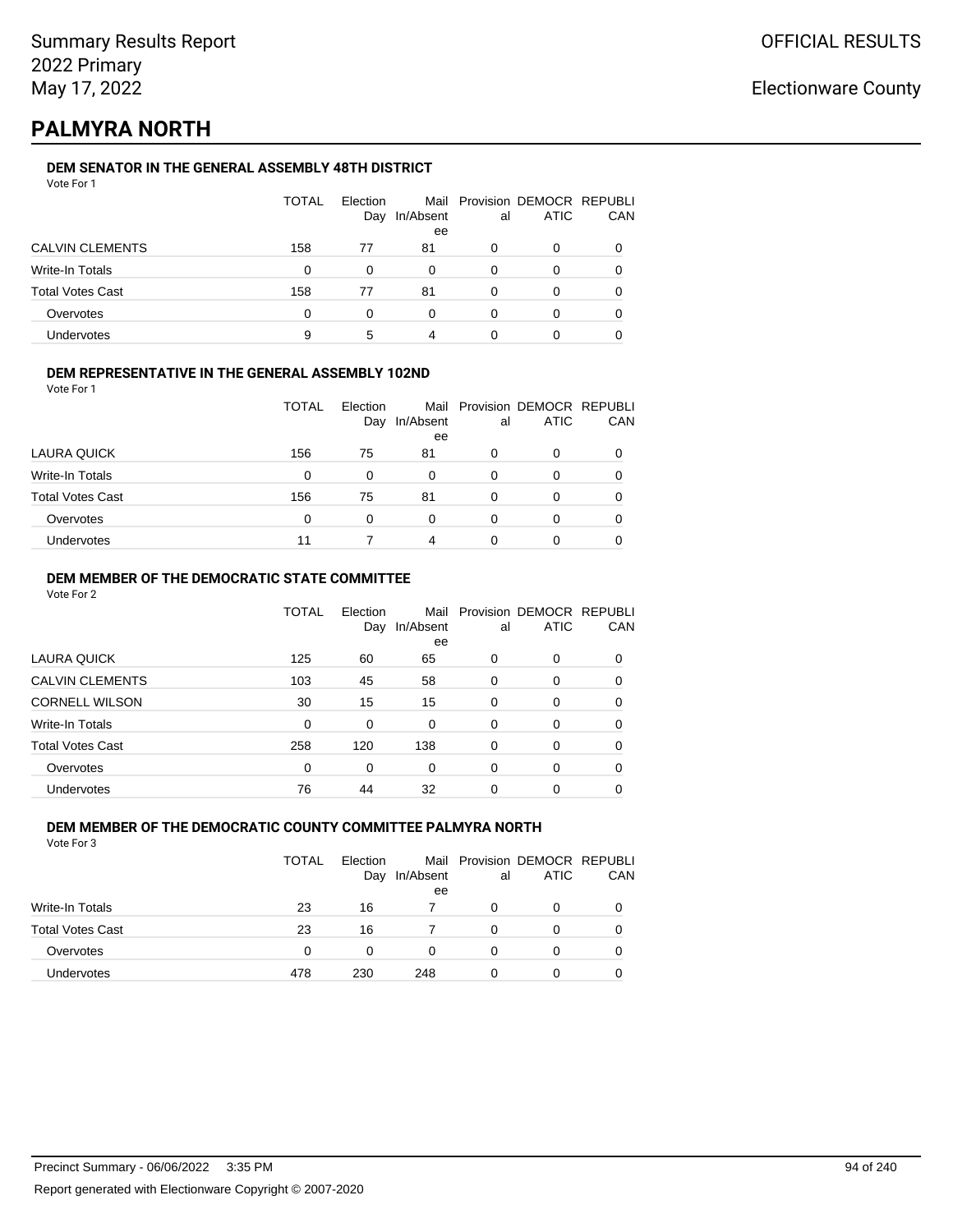## **PALMYRA NORTH**

### **DEM SENATOR IN THE GENERAL ASSEMBLY 48TH DISTRICT**

|                         | <b>TOTAL</b> | Election<br>Day | In/Absent<br>ee | al | Mail Provision DEMOCR REPUBLI<br><b>ATIC</b> | CAN |
|-------------------------|--------------|-----------------|-----------------|----|----------------------------------------------|-----|
| <b>CALVIN CLEMENTS</b>  | 158          | 77              | 81              |    | Ω                                            |     |
| Write-In Totals         | 0            | 0               | $\Omega$        | 0  | Ω                                            |     |
| <b>Total Votes Cast</b> | 158          | 77              | 81              | 0  | O                                            |     |
| Overvotes               | 0            | O               | U               | ∩  | Ω                                            |     |
| <b>Undervotes</b>       | 9            | 5               | 4               |    |                                              |     |

### **DEM REPRESENTATIVE IN THE GENERAL ASSEMBLY 102ND**

| Vote For 1 |  |  |
|------------|--|--|
|            |  |  |

|                         | TOTAL | Election |                 |    | Mail Provision DEMOCR REPUBLI |     |
|-------------------------|-------|----------|-----------------|----|-------------------------------|-----|
|                         |       | Day      | In/Absent<br>ee | al | ATIC                          | CAN |
| LAURA QUICK             | 156   | 75       | 81              |    | 0                             |     |
| Write-In Totals         | 0     | 0        | 0               | 0  | 0                             |     |
| <b>Total Votes Cast</b> | 156   | 75       | 81              | O  | O                             |     |
| Overvotes               | 0     | 0        | 0               | 0  | 0                             |     |
| Undervotes              | 11    |          | 4               |    | 0                             |     |

### **DEM MEMBER OF THE DEMOCRATIC STATE COMMITTEE**

Vote For 2

|                         | TOTAL | Election<br>Day | Mail<br>In/Absent<br>ee | al       | Provision DEMOCR REPUBLI<br><b>ATIC</b> | CAN |
|-------------------------|-------|-----------------|-------------------------|----------|-----------------------------------------|-----|
| <b>LAURA QUICK</b>      | 125   | 60              | 65                      | 0        | $\Omega$                                | 0   |
| <b>CALVIN CLEMENTS</b>  | 103   | 45              | 58                      | 0        | 0                                       | 0   |
| <b>CORNELL WILSON</b>   | 30    | 15              | 15                      | $\Omega$ | $\Omega$                                | 0   |
| Write-In Totals         | 0     | 0               | 0                       | $\Omega$ | $\Omega$                                | 0   |
| <b>Total Votes Cast</b> | 258   | 120             | 138                     | 0        | $\Omega$                                | 0   |
| Overvotes               | 0     | 0               | 0                       | 0        | $\Omega$                                | 0   |
| <b>Undervotes</b>       | 76    | 44              | 32                      | 0        | 0                                       |     |

#### **DEM MEMBER OF THE DEMOCRATIC COUNTY COMMITTEE PALMYRA NORTH** Vote For 3

|                         | <b>TOTAL</b> | <b>Flection</b><br>Day | In/Absent<br>ee | al | Mail Provision DEMOCR REPUBLI<br><b>ATIC</b> | CAN |
|-------------------------|--------------|------------------------|-----------------|----|----------------------------------------------|-----|
| Write-In Totals         | 23           | 16                     |                 | 0  | 0                                            |     |
| <b>Total Votes Cast</b> | 23           | 16                     |                 | 0  | O                                            |     |
| Overvotes               | 0            | 0                      | 0               | 0  | O                                            |     |
| Undervotes              | 478          | 230                    | 248             | 0  | ი                                            |     |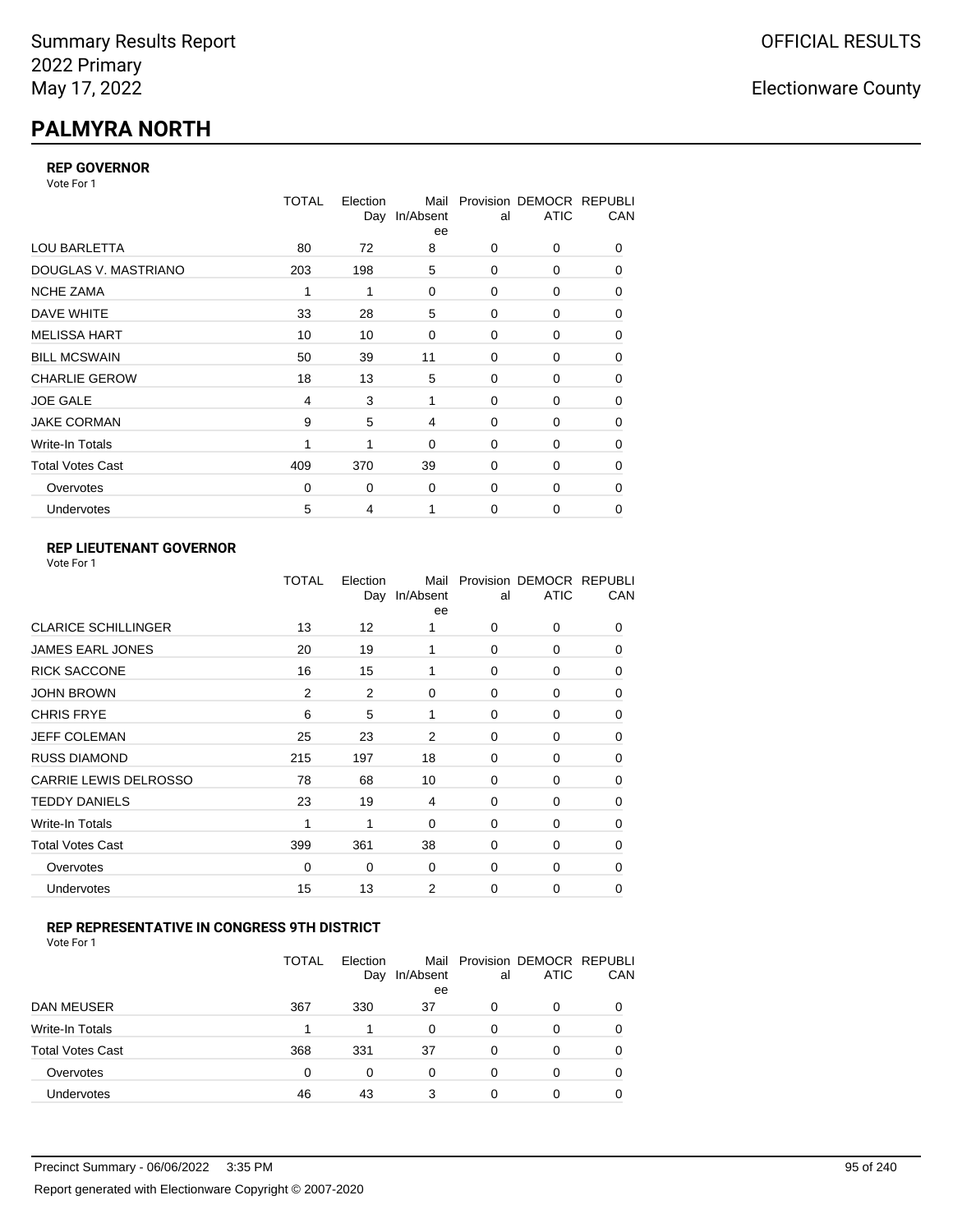# **PALMYRA NORTH**

### **REP GOVERNOR**

Vote For 1

|                         | TOTAL    | Election<br>Day | Mail<br>In/Absent<br>ee | al          | Provision DEMOCR REPUBLI<br><b>ATIC</b> | CAN |
|-------------------------|----------|-----------------|-------------------------|-------------|-----------------------------------------|-----|
| <b>LOU BARLETTA</b>     | 80       | 72              | 8                       | 0           | 0                                       | 0   |
| DOUGLAS V. MASTRIANO    | 203      | 198             | 5                       | $\Omega$    | 0                                       | 0   |
| <b>NCHE ZAMA</b>        | 1        | 1               | 0                       | 0           | 0                                       | 0   |
| DAVE WHITE              | 33       | 28              | 5                       | 0           | 0                                       | 0   |
| <b>MELISSA HART</b>     | 10       | 10              | 0                       | 0           | 0                                       | 0   |
| <b>BILL MCSWAIN</b>     | 50       | 39              | 11                      | 0           | 0                                       | 0   |
| <b>CHARLIE GEROW</b>    | 18       | 13              | 5                       | $\Omega$    | 0                                       | 0   |
| <b>JOE GALE</b>         | 4        | 3               | 1                       | $\Omega$    | 0                                       | 0   |
| <b>JAKE CORMAN</b>      | 9        | 5               | 4                       | 0           | 0                                       | 0   |
| Write-In Totals         |          | 1               | $\mathbf 0$             | 0           | 0                                       | 0   |
| <b>Total Votes Cast</b> | 409      | 370             | 39                      | $\Omega$    | $\Omega$                                | 0   |
| Overvotes               | $\Omega$ | 0               | 0                       | 0           | 0                                       | 0   |
| Undervotes              | 5        | 4               |                         | $\mathbf 0$ | 0                                       | 0   |

### **REP LIEUTENANT GOVERNOR**

|                            | TOTAL          | Election<br>Day | Mail<br>In/Absent<br>ee | al       | Provision DEMOCR REPUBLI<br><b>ATIC</b> | CAN      |
|----------------------------|----------------|-----------------|-------------------------|----------|-----------------------------------------|----------|
| <b>CLARICE SCHILLINGER</b> | 13             | 12              | 1                       | $\Omega$ | 0                                       | 0        |
| JAMES EARL JONES           | 20             | 19              | 1                       | $\Omega$ | $\Omega$                                | 0        |
| <b>RICK SACCONE</b>        | 16             | 15              | 1                       | $\Omega$ | 0                                       | 0        |
| JOHN BROWN                 | $\overline{2}$ | 2               | $\Omega$                | $\Omega$ | $\Omega$                                | 0        |
| CHRIS FRYE                 | 6              | 5               | 1                       | $\Omega$ | 0                                       | 0        |
| JEFF COLEMAN               | 25             | 23              | 2                       | $\Omega$ | $\Omega$                                | 0        |
| <b>RUSS DIAMOND</b>        | 215            | 197             | 18                      | $\Omega$ | 0                                       | 0        |
| CARRIE LEWIS DELROSSO      | 78             | 68              | 10                      | $\Omega$ | $\Omega$                                | 0        |
| <b>TEDDY DANIELS</b>       | 23             | 19              | 4                       | $\Omega$ | 0                                       | 0        |
| Write-In Totals            | 1              | 1               | $\Omega$                | $\Omega$ | $\Omega$                                | 0        |
| Total Votes Cast           | 399            | 361             | 38                      | $\Omega$ | 0                                       | $\Omega$ |
| Overvotes                  | 0              | 0               | 0                       | 0        | 0                                       | $\Omega$ |
| <b>Undervotes</b>          | 15             | 13              | 2                       | $\Omega$ | $\Omega$                                | $\Omega$ |
|                            |                |                 |                         |          |                                         |          |

### **REP REPRESENTATIVE IN CONGRESS 9TH DISTRICT**

| Vote For 1 |  |
|------------|--|
|------------|--|

|                         | <b>TOTAL</b> | Election<br>Day | In/Absent<br>ee | al       | Mail Provision DEMOCR REPUBLI<br><b>ATIC</b> | CAN      |
|-------------------------|--------------|-----------------|-----------------|----------|----------------------------------------------|----------|
| DAN MEUSER              | 367          | 330             | 37              | 0        | 0                                            | $\Omega$ |
| Write-In Totals         |              | 1               | 0               | 0        | 0                                            |          |
| <b>Total Votes Cast</b> | 368          | 331             | 37              | $\Omega$ | 0                                            |          |
| Overvotes               | 0            | 0               | 0               | 0        | 0                                            | 0        |
| Undervotes              | 46           | 43              | 3               | 0        | ი                                            |          |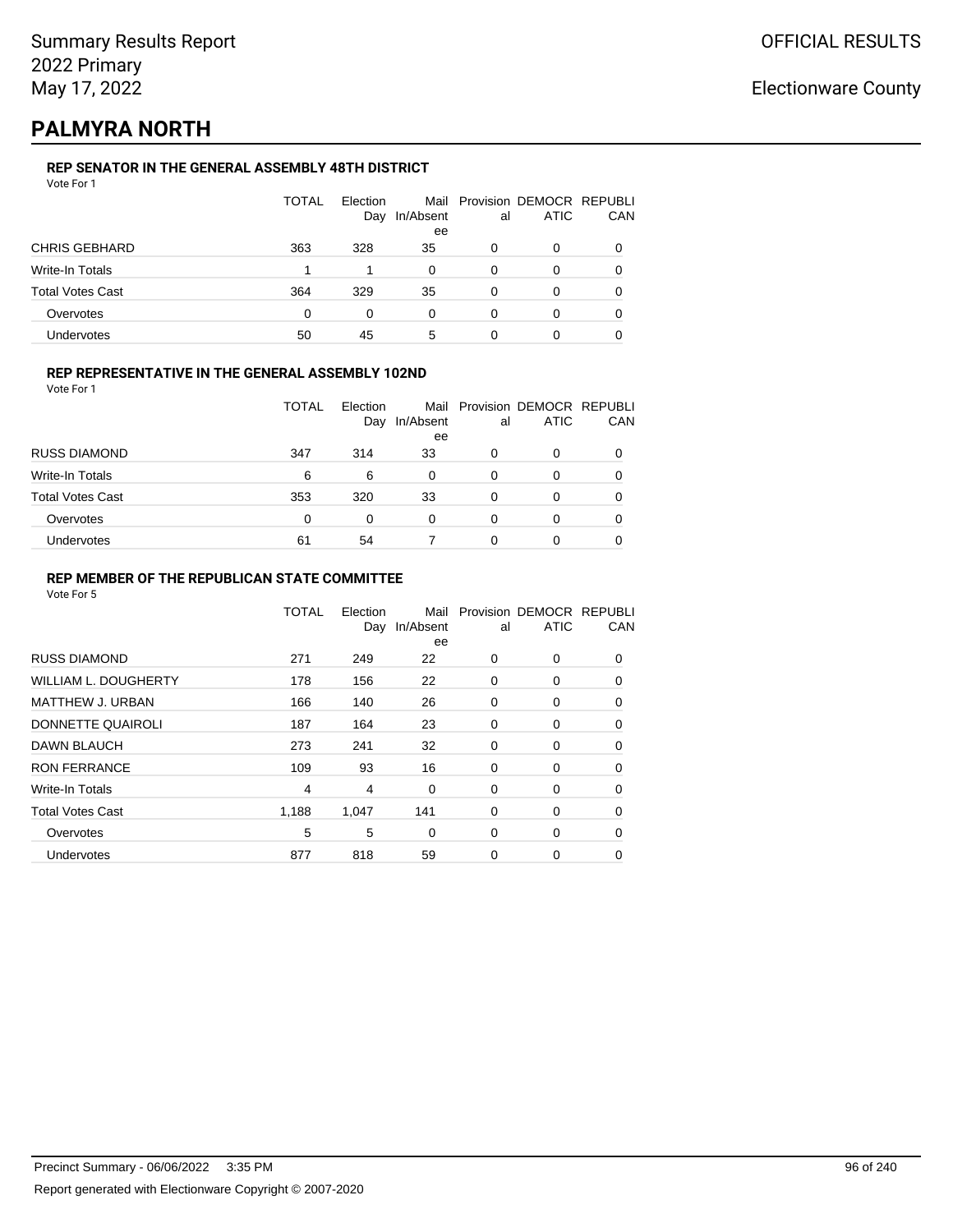## **PALMYRA NORTH**

### **REP SENATOR IN THE GENERAL ASSEMBLY 48TH DISTRICT**

|                         | <b>TOTAL</b> | Election<br>Day | In/Absent<br>ee | al | Mail Provision DEMOCR REPUBLI<br><b>ATIC</b> | CAN |
|-------------------------|--------------|-----------------|-----------------|----|----------------------------------------------|-----|
| <b>CHRIS GEBHARD</b>    | 363          | 328             | 35              | 0  | 0                                            |     |
| Write-In Totals         |              |                 | 0               | 0  | 0                                            |     |
| <b>Total Votes Cast</b> | 364          | 329             | 35              | 0  | 0                                            |     |
| Overvotes               | 0            | 0               | 0               | 0  | 0                                            |     |
| Undervotes              | 50           | 45              | 5               | 0  |                                              |     |

### **REP REPRESENTATIVE IN THE GENERAL ASSEMBLY 102ND**

Vote For 1

|                         | <b>TOTAL</b> | Election |           |    | Mail Provision DEMOCR REPUBLI |            |
|-------------------------|--------------|----------|-----------|----|-------------------------------|------------|
|                         |              | Day      | In/Absent | al | <b>ATIC</b>                   | <b>CAN</b> |
|                         |              |          | ee        |    |                               |            |
| <b>RUSS DIAMOND</b>     | 347          | 314      | 33        | 0  |                               | 0          |
| Write-In Totals         | 6            | 6        | 0         | O  | 0                             | 0          |
| <b>Total Votes Cast</b> | 353          | 320      | 33        | 0  | 0                             | 0          |
| Overvotes               | 0            | 0        | 0         | 0  |                               | 0          |
| Undervotes              | 61           | 54       |           | 0  |                               | 0          |

### **REP MEMBER OF THE REPUBLICAN STATE COMMITTEE**

|                             | <b>TOTAL</b>   | Election<br>Day | Mail<br>In/Absent<br>ee | al       | Provision DEMOCR REPUBLI<br><b>ATIC</b> | CAN      |
|-----------------------------|----------------|-----------------|-------------------------|----------|-----------------------------------------|----------|
| <b>RUSS DIAMOND</b>         | 271            | 249             | 22                      | $\Omega$ | 0                                       | $\Omega$ |
| <b>WILLIAM L. DOUGHERTY</b> | 178            | 156             | 22                      | 0        | 0                                       | 0        |
| <b>MATTHEW J. URBAN</b>     | 166            | 140             | 26                      | 0        | 0                                       | $\Omega$ |
| DONNETTE QUAIROLI           | 187            | 164             | 23                      | 0        | 0                                       | $\Omega$ |
| DAWN BLAUCH                 | 273            | 241             | 32                      | 0        | 0                                       | $\Omega$ |
| <b>RON FERRANCE</b>         | 109            | 93              | 16                      | 0        | 0                                       | 0        |
| Write-In Totals             | $\overline{4}$ | 4               | 0                       | 0        | 0                                       | 0        |
| <b>Total Votes Cast</b>     | 1,188          | 1,047           | 141                     | 0        | 0                                       | 0        |
| Overvotes                   | 5              | 5               | $\Omega$                | 0        | 0                                       | 0        |
| Undervotes                  | 877            | 818             | 59                      | 0        | 0                                       | 0        |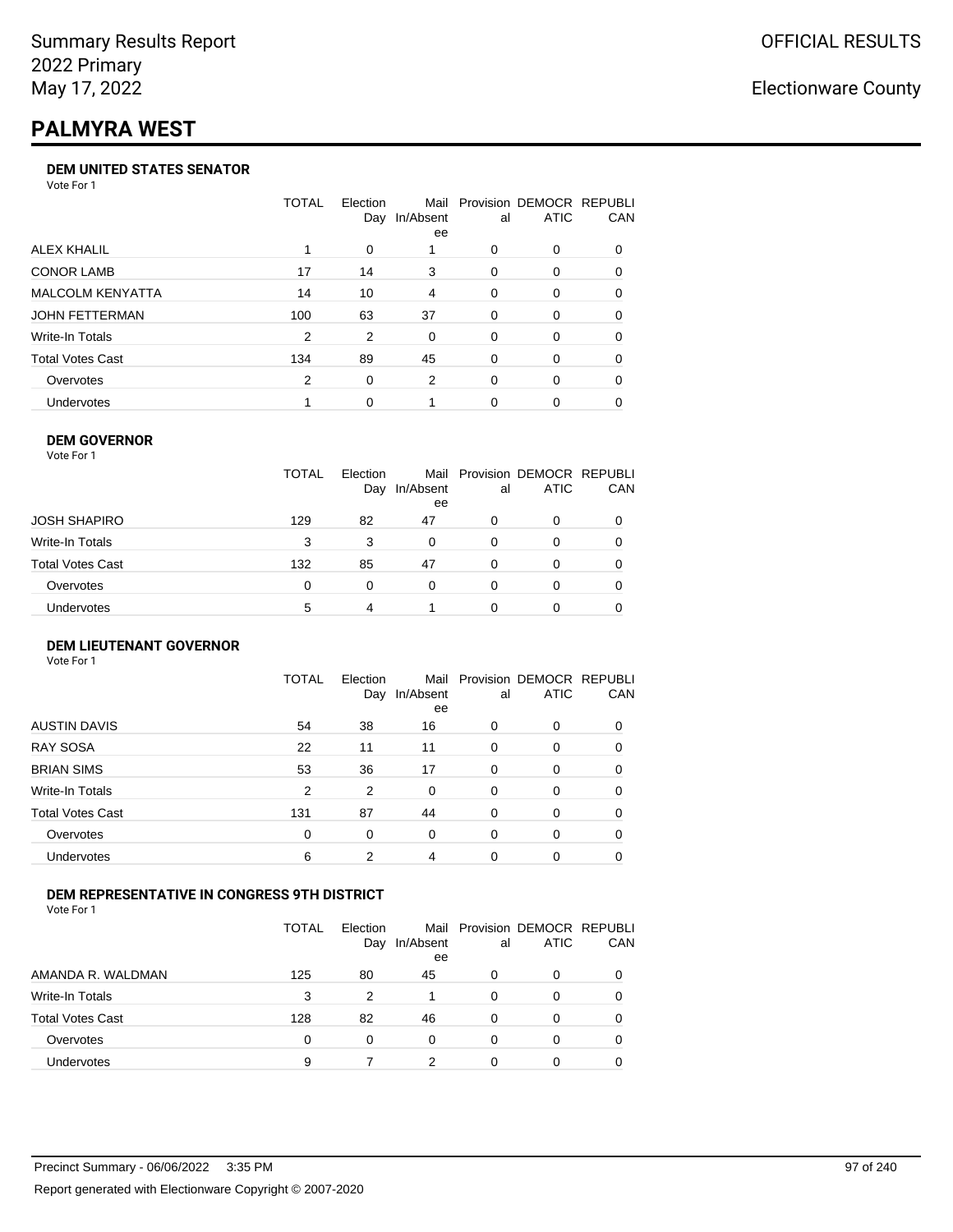# **PALMYRA WEST**

### **DEM UNITED STATES SENATOR**

Vote For 1

|                         | TOTAL | Election | Mail<br>Day In/Absent<br>ee | al       | Provision DEMOCR REPUBLI<br><b>ATIC</b> | <b>CAN</b> |
|-------------------------|-------|----------|-----------------------------|----------|-----------------------------------------|------------|
| ALEX KHALIL             |       | $\Omega$ |                             | 0        | $\Omega$                                | 0          |
| <b>CONOR LAMB</b>       | 17    | 14       | 3                           | 0        | $\Omega$                                | 0          |
| <b>MALCOLM KENYATTA</b> | 14    | 10       | 4                           | 0        | $\Omega$                                | 0          |
| JOHN FETTERMAN          | 100   | 63       | 37                          | $\Omega$ | $\Omega$                                | 0          |
| Write-In Totals         | 2     | 2        | $\Omega$                    | 0        | $\Omega$                                | 0          |
| Total Votes Cast        | 134   | 89       | 45                          | 0        | $\Omega$                                | $\Omega$   |
| Overvotes               | 2     | 0        | 2                           | 0        | $\Omega$                                | 0          |
| <b>Undervotes</b>       |       | 0        |                             | 0        | $\Omega$                                | 0          |

### **DEM GOVERNOR**

| Vote For 1              |              |                 |                 |    |                                              |     |
|-------------------------|--------------|-----------------|-----------------|----|----------------------------------------------|-----|
|                         | <b>TOTAL</b> | Election<br>Day | In/Absent<br>ee | al | Mail Provision DEMOCR REPUBLI<br><b>ATIC</b> | CAN |
| JOSH SHAPIRO            | 129          | 82              | 47              | 0  | 0                                            |     |
| Write-In Totals         | 3            | 3               | 0               | 0  | 0                                            |     |
| <b>Total Votes Cast</b> | 132          | 85              | 47              | 0  | 0                                            |     |
| Overvotes               | 0            | $\Omega$        | 0               | 0  | 0                                            |     |
| Undervotes              | 5            | 4               |                 | ŋ  | Ω                                            |     |

#### **DEM LIEUTENANT GOVERNOR** Vote For 1

|                         | <b>TOTAL</b>   | Election<br>Day | In/Absent<br>ee | al       | Mail Provision DEMOCR REPUBLI<br><b>ATIC</b> | CAN      |
|-------------------------|----------------|-----------------|-----------------|----------|----------------------------------------------|----------|
| <b>AUSTIN DAVIS</b>     | 54             | 38              | 16              | $\Omega$ | 0                                            | 0        |
| <b>RAY SOSA</b>         | 22             | 11              | 11              | $\Omega$ | 0                                            | 0        |
| <b>BRIAN SIMS</b>       | 53             | 36              | 17              | 0        | 0                                            | $\Omega$ |
| Write-In Totals         | $\overline{2}$ | 2               | $\Omega$        | $\Omega$ | 0                                            | $\Omega$ |
| <b>Total Votes Cast</b> | 131            | 87              | 44              | $\Omega$ | 0                                            | $\Omega$ |
| Overvotes               | $\Omega$       | 0               | $\Omega$        | $\Omega$ | 0                                            | $\Omega$ |
| <b>Undervotes</b>       | 6              | 2               | 4               | $\Omega$ | 0                                            | 0        |

### **DEM REPRESENTATIVE IN CONGRESS 9TH DISTRICT**

Vote For 1

|                         | TOTAL | <b>Flection</b><br>Day | In/Absent<br>ee | al | Mail Provision DEMOCR REPUBLI<br><b>ATIC</b> | <b>CAN</b> |
|-------------------------|-------|------------------------|-----------------|----|----------------------------------------------|------------|
| AMANDA R. WALDMAN       | 125   | 80                     | 45              | O  | $\Omega$                                     | 0          |
| <b>Write-In Totals</b>  | 3     | 2                      |                 | ∩  | n                                            | 0          |
| <b>Total Votes Cast</b> | 128   | 82                     | 46              | 0  | 0                                            | 0          |
| Overvotes               | 0     | 0                      | $\Omega$        | 0  | $\Omega$                                     | 0          |
| <b>Undervotes</b>       | 9     |                        | າ               |    |                                              |            |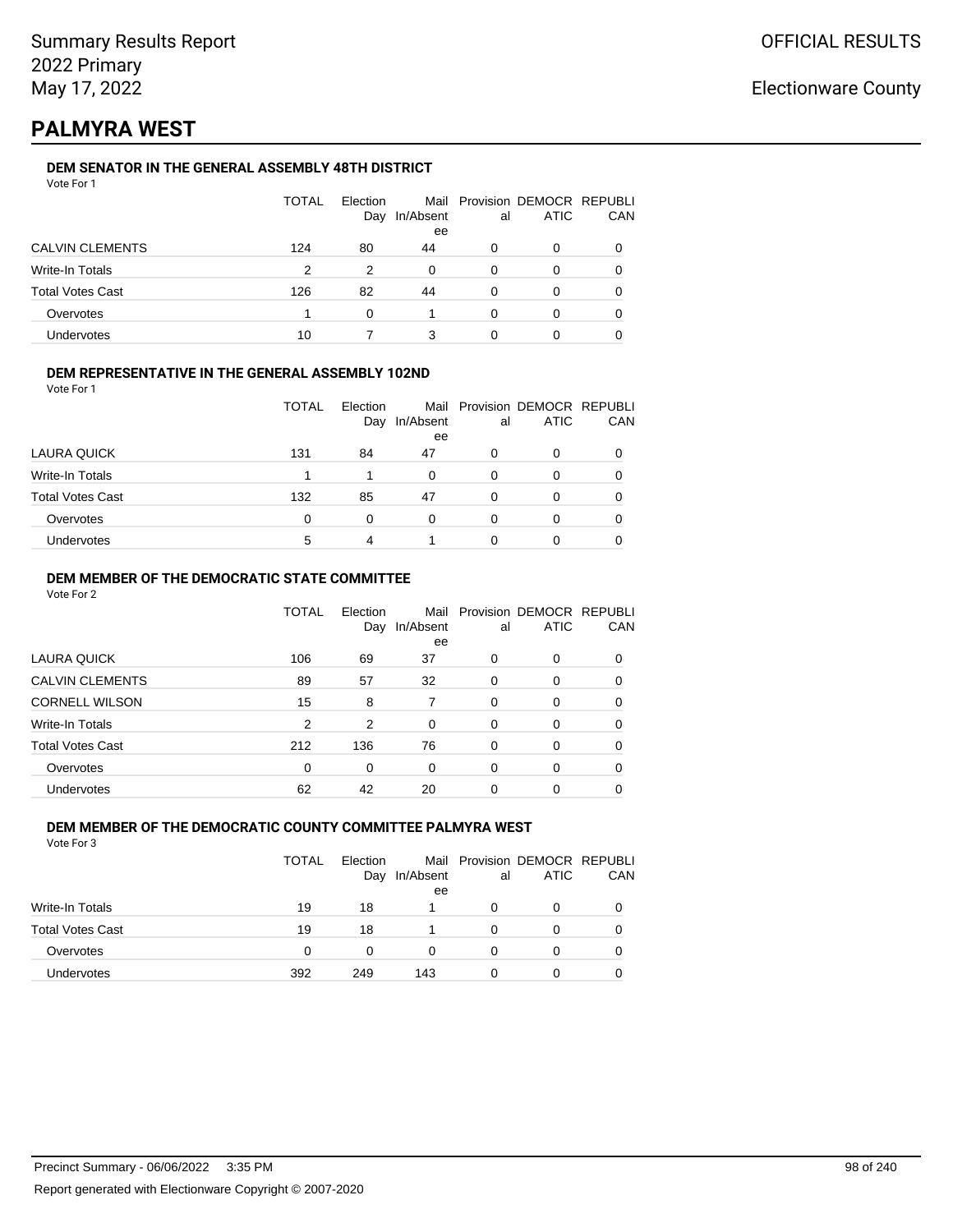## **PALMYRA WEST**

### **DEM SENATOR IN THE GENERAL ASSEMBLY 48TH DISTRICT**

|                         | <b>TOTAL</b> | Election<br>Day | In/Absent<br>ee | al | Mail Provision DEMOCR REPUBLI<br><b>ATIC</b> | CAN |
|-------------------------|--------------|-----------------|-----------------|----|----------------------------------------------|-----|
| <b>CALVIN CLEMENTS</b>  | 124          | 80              | 44              | 0  | O                                            |     |
| Write-In Totals         | 2            | 2               | 0               | 0  | 0                                            |     |
| <b>Total Votes Cast</b> | 126          | 82              | 44              | 0  | 0                                            |     |
| Overvotes               |              | ∩               |                 | O  | 0                                            |     |
| Undervotes              | 10           |                 | 3               |    |                                              |     |

### **DEM REPRESENTATIVE IN THE GENERAL ASSEMBLY 102ND**

| Vote For 1 |  |
|------------|--|
|            |  |

|                         | <b>TOTAL</b> | Election |           |    | Mail Provision DEMOCR REPUBLI |     |
|-------------------------|--------------|----------|-----------|----|-------------------------------|-----|
|                         |              | Day      | In/Absent | al | <b>ATIC</b>                   | CAN |
|                         |              |          | ee        |    |                               |     |
| LAURA QUICK             | 131          | 84       | 47        | 0  | 0                             |     |
| Write-In Totals         |              | 1        | 0         | 0  | O                             |     |
| <b>Total Votes Cast</b> | 132          | 85       | 47        | 0  | 0                             |     |
| Overvotes               | 0            | 0        | 0         | 0  | O                             |     |
| Undervotes              | 5            | 4        |           |    | Ω                             |     |
|                         |              |          |           |    |                               |     |

### **DEM MEMBER OF THE DEMOCRATIC STATE COMMITTEE**

Vote For 2

|                         | TOTAL    | Flection<br>Day | Mail<br>In/Absent<br>ee | al       | Provision DEMOCR REPUBLI<br><b>ATIC</b> | CAN |
|-------------------------|----------|-----------------|-------------------------|----------|-----------------------------------------|-----|
| LAURA QUICK             | 106      | 69              | 37                      | 0        | $\Omega$                                | 0   |
| <b>CALVIN CLEMENTS</b>  | 89       | 57              | 32                      | 0        | 0                                       | 0   |
| <b>CORNELL WILSON</b>   | 15       | 8               | 7                       | $\Omega$ | $\Omega$                                | 0   |
| Write-In Totals         | 2        | 2               | 0                       | $\Omega$ | $\Omega$                                | 0   |
| <b>Total Votes Cast</b> | 212      | 136             | 76                      | $\Omega$ | $\Omega$                                | 0   |
| Overvotes               | $\Omega$ | 0               | $\Omega$                | $\Omega$ | 0                                       | 0   |
| <b>Undervotes</b>       | 62       | 42              | 20                      | 0        | 0                                       |     |

#### **DEM MEMBER OF THE DEMOCRATIC COUNTY COMMITTEE PALMYRA WEST** Vote For 3

|                         | TOTAL    | Election<br>Day | In/Absent<br>ee | al | Mail Provision DEMOCR REPUBLI<br>ATIC | CAN |
|-------------------------|----------|-----------------|-----------------|----|---------------------------------------|-----|
| Write-In Totals         | 19       | 18              |                 | O  | 0                                     |     |
| <b>Total Votes Cast</b> | 19       | 18              |                 |    | 0                                     |     |
| Overvotes               | $\Omega$ | 0               | $\Omega$        |    | 0                                     |     |
| Undervotes              | 392      | 249             | 143             |    | 0                                     |     |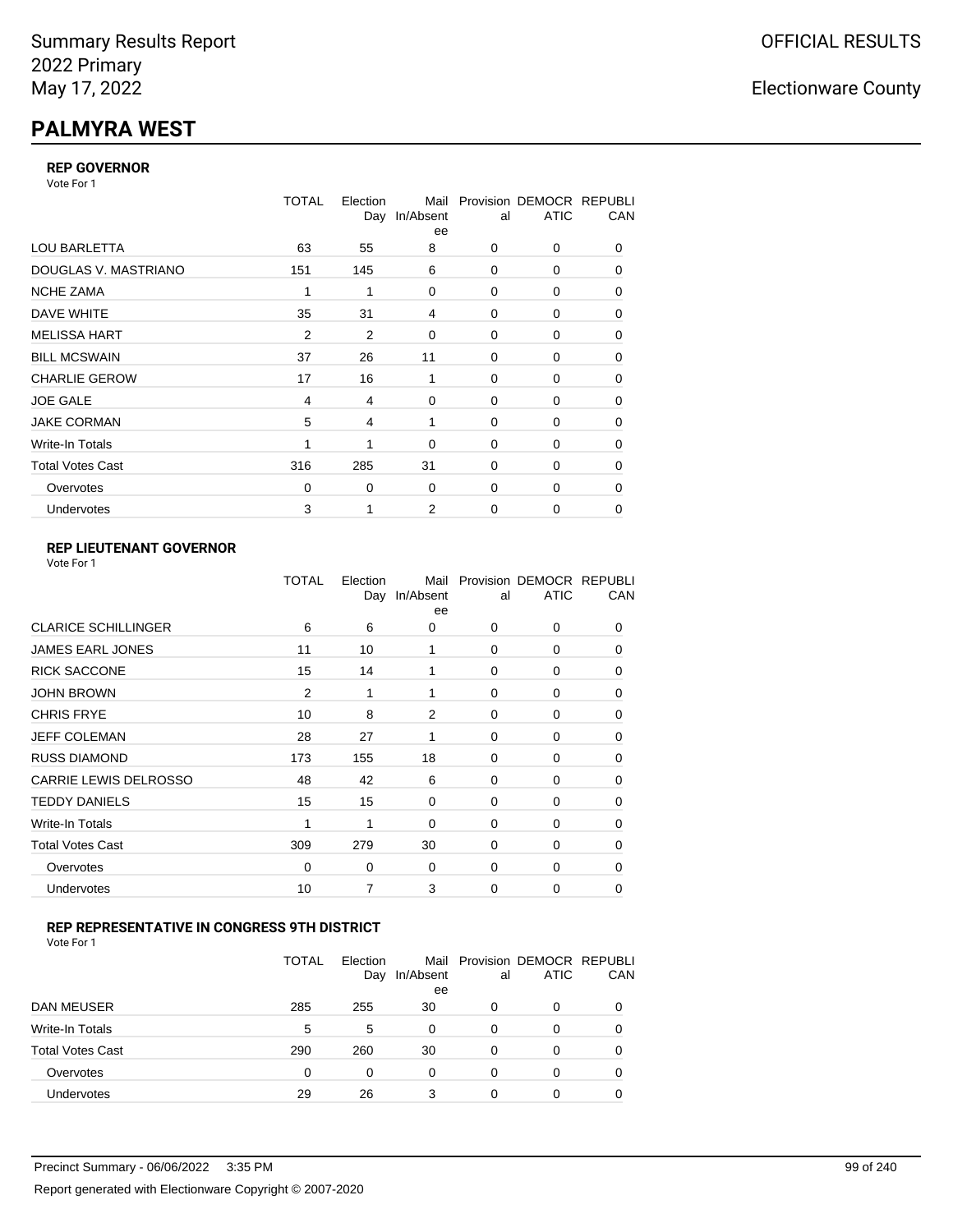# **PALMYRA WEST**

### **REP GOVERNOR**

Vote For 1

|                         | <b>TOTAL</b>   | Election<br>Day | Mail<br>In/Absent<br>ee | al          | Provision DEMOCR REPUBLI<br><b>ATIC</b> | CAN |
|-------------------------|----------------|-----------------|-------------------------|-------------|-----------------------------------------|-----|
| <b>LOU BARLETTA</b>     | 63             | 55              | 8                       | 0           | 0                                       | 0   |
| DOUGLAS V. MASTRIANO    | 151            | 145             | 6                       | $\mathbf 0$ | 0                                       | 0   |
| <b>NCHE ZAMA</b>        | 1              | 1               | 0                       | 0           | 0                                       | 0   |
| DAVE WHITE              | 35             | 31              | 4                       | 0           | 0                                       | 0   |
| <b>MELISSA HART</b>     | 2              | 2               | 0                       | 0           | 0                                       | 0   |
| <b>BILL MCSWAIN</b>     | 37             | 26              | 11                      | $\mathbf 0$ | 0                                       | 0   |
| <b>CHARLIE GEROW</b>    | 17             | 16              | 1                       | $\Omega$    | 0                                       | 0   |
| <b>JOE GALE</b>         | $\overline{4}$ | 4               | 0                       | $\mathbf 0$ | 0                                       | 0   |
| <b>JAKE CORMAN</b>      | 5              | 4               | 1                       | $\Omega$    | 0                                       | 0   |
| Write-In Totals         | 1              | 1               | $\mathbf 0$             | $\mathbf 0$ | 0                                       | 0   |
| <b>Total Votes Cast</b> | 316            | 285             | 31                      | 0           | 0                                       | 0   |
| Overvotes               | $\Omega$       | 0               | 0                       | 0           | 0                                       | 0   |
| <b>Undervotes</b>       | 3              | 1               | 2                       | $\mathbf 0$ | 0                                       | 0   |

### **REP LIEUTENANT GOVERNOR**

| Vote For 1 |  |
|------------|--|
|------------|--|

|                              | TOTAL          | Election<br>Day | Mail<br>In/Absent<br>ee | al          | Provision DEMOCR REPUBLI<br><b>ATIC</b> | CAN      |
|------------------------------|----------------|-----------------|-------------------------|-------------|-----------------------------------------|----------|
| <b>CLARICE SCHILLINGER</b>   | 6              | 6               | 0                       | $\Omega$    | 0                                       | 0        |
| <b>JAMES EARL JONES</b>      | 11             | 10              | 1                       | 0           | 0                                       | 0        |
| <b>RICK SACCONE</b>          | 15             | 14              | 1                       | $\Omega$    | 0                                       | 0        |
| <b>JOHN BROWN</b>            | $\overline{2}$ | 1               | 1                       | $\Omega$    | 0                                       | 0        |
| <b>CHRIS FRYE</b>            | 10             | 8               | 2                       | 0           | 0                                       | 0        |
| <b>JEFF COLEMAN</b>          | 28             | 27              | 1                       | 0           | 0                                       | 0        |
| <b>RUSS DIAMOND</b>          | 173            | 155             | 18                      | 0           | 0                                       | 0        |
| <b>CARRIE LEWIS DELROSSO</b> | 48             | 42              | 6                       | 0           | 0                                       | 0        |
| <b>TEDDY DANIELS</b>         | 15             | 15              | 0                       | 0           | 0                                       | 0        |
| Write-In Totals              | 1              | 1               | $\Omega$                | 0           | 0                                       | $\Omega$ |
| <b>Total Votes Cast</b>      | 309            | 279             | 30                      | $\Omega$    | 0                                       | $\Omega$ |
| Overvotes                    | 0              | 0               | 0                       | 0           | 0                                       | $\Omega$ |
| Undervotes                   | 10             | 7               | 3                       | $\mathbf 0$ | 0                                       | 0        |
|                              |                |                 |                         |             |                                         |          |

### **REP REPRESENTATIVE IN CONGRESS 9TH DISTRICT**

| Vote For 1 |  |  |
|------------|--|--|
|------------|--|--|

|                         | <b>TOTAL</b> | Election<br>Day | In/Absent<br>ee | al       | Mail Provision DEMOCR REPUBLI<br><b>ATIC</b> | CAN      |
|-------------------------|--------------|-----------------|-----------------|----------|----------------------------------------------|----------|
| DAN MEUSER              | 285          | 255             | 30              | 0        | 0                                            | $\Omega$ |
| Write-In Totals         | 5            | 5               | 0               | $\Omega$ | 0                                            |          |
| <b>Total Votes Cast</b> | 290          | 260             | 30              | $\Omega$ | 0                                            |          |
| Overvotes               | 0            | 0               | 0               | 0        | 0                                            | 0        |
| Undervotes              | 29           | 26              |                 | 0        | 0                                            |          |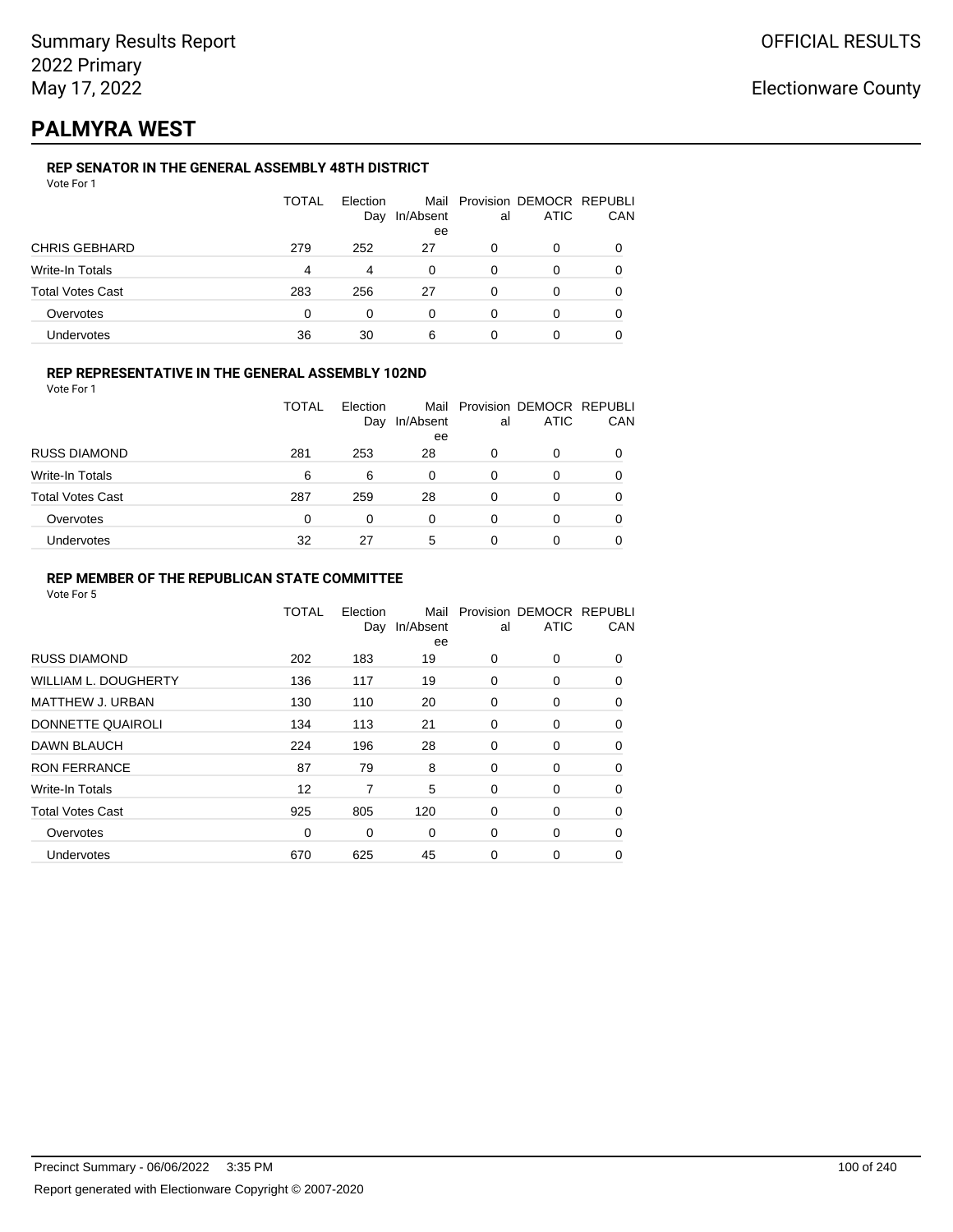## **PALMYRA WEST**

### **REP SENATOR IN THE GENERAL ASSEMBLY 48TH DISTRICT**

|                      | TOTAL | Election<br>Day | In/Absent<br>ee | al | Mail Provision DEMOCR REPUBLI<br>ATIC | CAN |
|----------------------|-------|-----------------|-----------------|----|---------------------------------------|-----|
| <b>CHRIS GEBHARD</b> | 279   | 252             | 27              | 0  | 0                                     |     |
| Write-In Totals      | 4     | 4               | 0               | 0  | 0                                     |     |
| Total Votes Cast     | 283   | 256             | 27              | 0  | 0                                     |     |
| Overvotes            | 0     | 0               | 0               | 0  | 0                                     |     |
| Undervotes           | 36    | 30              | 6               |    |                                       |     |

### **REP REPRESENTATIVE IN THE GENERAL ASSEMBLY 102ND**

Vote For 1

|                         | TOTAL | Election | Day In/Absent | al | Mail Provision DEMOCR REPUBLI<br><b>ATIC</b> | <b>CAN</b> |
|-------------------------|-------|----------|---------------|----|----------------------------------------------|------------|
|                         |       |          | ee            |    |                                              |            |
| <b>RUSS DIAMOND</b>     | 281   | 253      | 28            | 0  |                                              | 0          |
| Write-In Totals         | 6     | 6        | 0             | 0  |                                              | 0          |
| <b>Total Votes Cast</b> | 287   | 259      | 28            | 0  |                                              | 0          |
| Overvotes               | 0     |          | 0             | 0  |                                              | 0          |
| <b>Undervotes</b>       | 32    | 27       | 5             | 0  |                                              | 0          |

### **REP MEMBER OF THE REPUBLICAN STATE COMMITTEE**

|                             | <b>TOTAL</b> | Election<br>Day | Mail<br>In/Absent<br>ee | al       | Provision DEMOCR REPUBLI<br><b>ATIC</b> | CAN      |
|-----------------------------|--------------|-----------------|-------------------------|----------|-----------------------------------------|----------|
| <b>RUSS DIAMOND</b>         | 202          | 183             | 19                      | $\Omega$ | 0                                       | $\Omega$ |
| <b>WILLIAM L. DOUGHERTY</b> | 136          | 117             | 19                      | 0        | 0                                       | 0        |
| <b>MATTHEW J. URBAN</b>     | 130          | 110             | 20                      | 0        | 0                                       | $\Omega$ |
| DONNETTE QUAIROLI           | 134          | 113             | 21                      | $\Omega$ | 0                                       | $\Omega$ |
| DAWN BLAUCH                 | 224          | 196             | 28                      | 0        | 0                                       | $\Omega$ |
| <b>RON FERRANCE</b>         | 87           | 79              | 8                       | 0        | 0                                       | 0        |
| Write-In Totals             | 12           | 7               | 5                       | 0        | 0                                       | 0        |
| <b>Total Votes Cast</b>     | 925          | 805             | 120                     | 0        | 0                                       | 0        |
| Overvotes                   | $\Omega$     | 0               | $\Omega$                | 0        | 0                                       | 0        |
| <b>Undervotes</b>           | 670          | 625             | 45                      | 0        | 0                                       | 0        |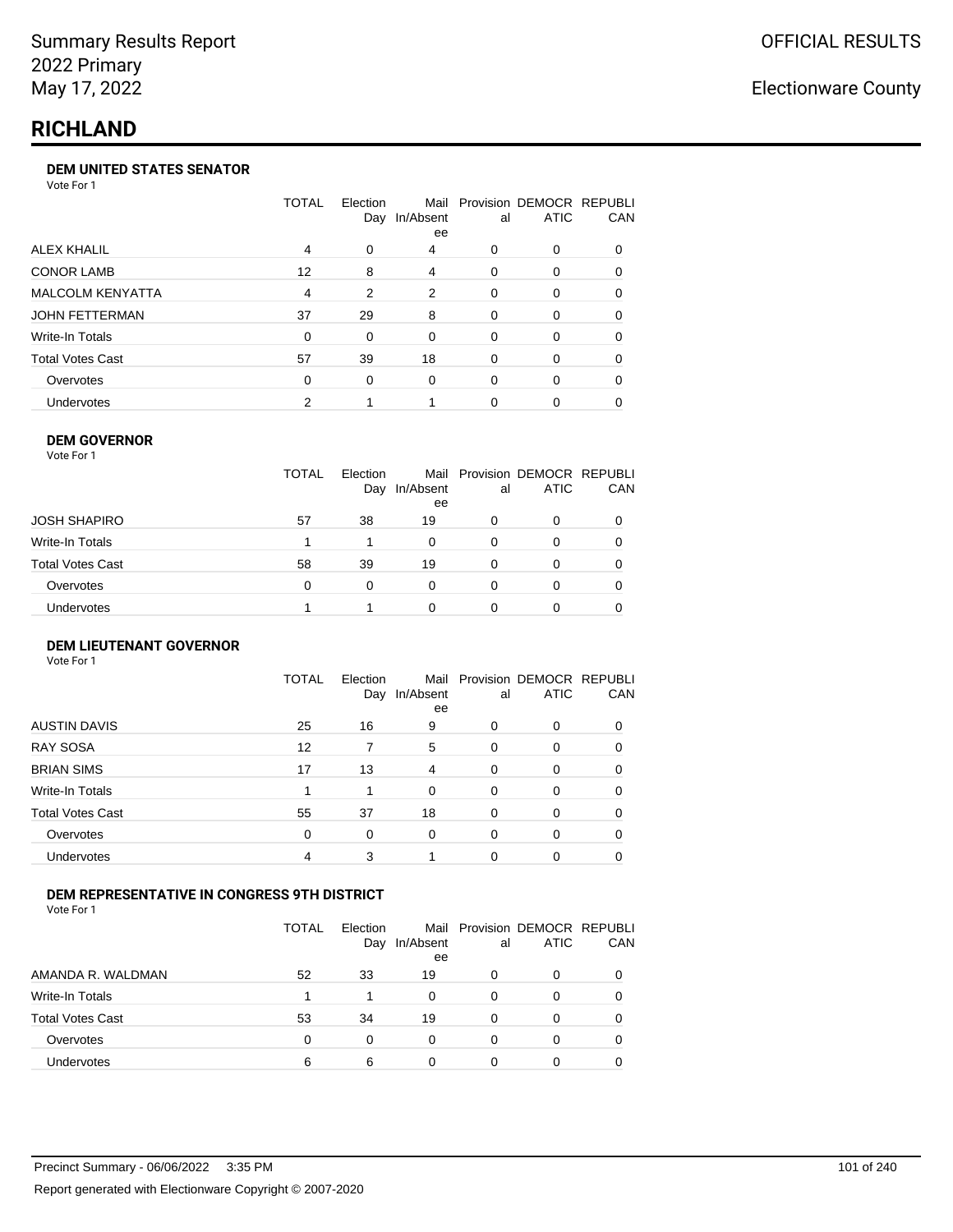## **RICHLAND**

#### **DEM UNITED STATES SENATOR**

Vote For 1

|                         | TOTAL    | Election<br>Day | Mail<br>In/Absent<br>ee | al       | Provision DEMOCR REPUBLI<br><b>ATIC</b> | <b>CAN</b> |
|-------------------------|----------|-----------------|-------------------------|----------|-----------------------------------------|------------|
| ALEX KHALIL             | 4        | 0               | 4                       | 0        | $\Omega$                                | 0          |
| <b>CONOR LAMB</b>       | 12       | 8               | 4                       | 0        | $\Omega$                                | 0          |
| <b>MALCOLM KENYATTA</b> | 4        | 2               | 2                       | 0        | $\Omega$                                | 0          |
| JOHN FETTERMAN          | 37       | 29              | 8                       | $\Omega$ | $\Omega$                                | 0          |
| Write-In Totals         | $\Omega$ | 0               | $\Omega$                | 0        | $\Omega$                                | 0          |
| Total Votes Cast        | 57       | 39              | 18                      | $\Omega$ | $\Omega$                                | 0          |
| Overvotes               | $\Omega$ | $\Omega$        | $\Omega$                | 0        | $\Omega$                                | 0          |
| Undervotes              | 2        |                 |                         | 0        |                                         | 0          |

#### **DEM GOVERNOR**

| Vote For 1       |              |                 |                 |          |                                              |          |
|------------------|--------------|-----------------|-----------------|----------|----------------------------------------------|----------|
|                  | <b>TOTAL</b> | Election<br>Day | In/Absent<br>ee | al       | Mail Provision DEMOCR REPUBLI<br><b>ATIC</b> | CAN      |
| JOSH SHAPIRO     | 57           | 38              | 19              | 0        | 0                                            |          |
| Write-In Totals  |              |                 | $\Omega$        | $\Omega$ | 0                                            | $\Omega$ |
| Total Votes Cast | 58           | 39              | 19              | $\Omega$ | 0                                            | 0        |
| Overvotes        | 0            | 0               | $\Omega$        | 0        | 0                                            | 0        |
| Undervotes       |              |                 | 0               |          | 0                                            |          |
|                  |              |                 |                 |          |                                              |          |

#### **DEM LIEUTENANT GOVERNOR** Vote For 1

|                         | <b>TOTAL</b> | Election<br>Day | In/Absent<br>ee | al       | Mail Provision DEMOCR REPUBLI<br><b>ATIC</b> | CAN      |
|-------------------------|--------------|-----------------|-----------------|----------|----------------------------------------------|----------|
| <b>AUSTIN DAVIS</b>     | 25           | 16              | 9               | 0        | 0                                            | 0        |
| <b>RAY SOSA</b>         | 12           | 7               | 5               | $\Omega$ | 0                                            | 0        |
| <b>BRIAN SIMS</b>       | 17           | 13              | 4               | $\Omega$ | $\Omega$                                     | $\Omega$ |
| Write-In Totals         |              |                 | $\Omega$        | $\Omega$ | $\Omega$                                     | $\Omega$ |
| <b>Total Votes Cast</b> | 55           | 37              | 18              | $\Omega$ | $\Omega$                                     | $\Omega$ |
| Overvotes               | 0            | 0               | $\Omega$        | $\Omega$ | 0                                            | $\Omega$ |
| Undervotes              | 4            | 3               |                 | 0        | 0                                            | 0        |

### **DEM REPRESENTATIVE IN CONGRESS 9TH DISTRICT**

Vote For 1

|                         | TOTAL | <b>Flection</b><br>Day | Mail<br>In/Absent<br>ee | al | Provision DEMOCR REPUBLI<br><b>ATIC</b> | <b>CAN</b> |
|-------------------------|-------|------------------------|-------------------------|----|-----------------------------------------|------------|
| AMANDA R. WALDMAN       | 52    | 33                     | 19                      | 0  | 0                                       | 0          |
| Write-In Totals         |       |                        | 0                       | Ω  |                                         | 0          |
| <b>Total Votes Cast</b> | 53    | 34                     | 19                      | 0  |                                         | 0          |
| Overvotes               | 0     | 0                      | 0                       | 0  | 0                                       | 0          |
| Undervotes              | 6     | 6                      |                         |    |                                         |            |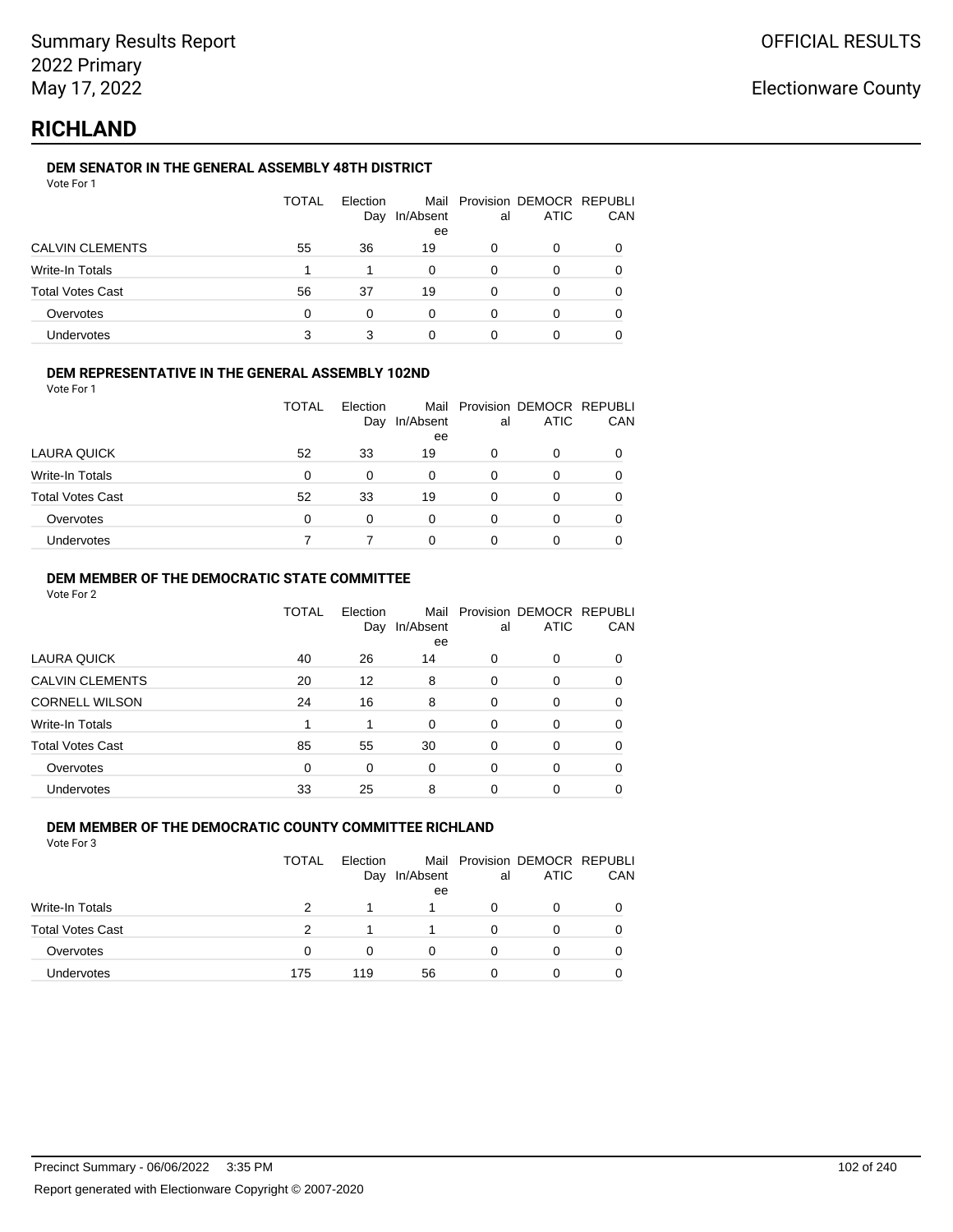## **RICHLAND**

### **DEM SENATOR IN THE GENERAL ASSEMBLY 48TH DISTRICT**

| Vote For 1 |  |  |
|------------|--|--|
|------------|--|--|

|                         | <b>TOTAL</b> | Election<br>Day | In/Absent<br>ee | al | Mail Provision DEMOCR REPUBLI<br><b>ATIC</b> | CAN |
|-------------------------|--------------|-----------------|-----------------|----|----------------------------------------------|-----|
| <b>CALVIN CLEMENTS</b>  | 55           | 36              | 19              | 0  | 0                                            |     |
| Write-In Totals         |              |                 | $\Omega$        | 0  | 0                                            |     |
| <b>Total Votes Cast</b> | 56           | 37              | 19              | 0  | 0                                            |     |
| Overvotes               | 0            | 0               | 0               | 0  | Ω                                            |     |
| Undervotes              | 3            |                 |                 |    |                                              |     |

### **DEM REPRESENTATIVE IN THE GENERAL ASSEMBLY 102ND**

Vote For 1

|                         | TOTAL | Election<br>Day | In/Absent | al | Mail Provision DEMOCR REPUBLI<br><b>ATIC</b> | <b>CAN</b> |
|-------------------------|-------|-----------------|-----------|----|----------------------------------------------|------------|
|                         |       |                 | ee        |    |                                              |            |
| LAURA QUICK             | 52    | 33              | 19        | 0  | 0                                            | 0          |
| Write-In Totals         | 0     | 0               | $\Omega$  | 0  |                                              | 0          |
| <b>Total Votes Cast</b> | 52    | 33              | 19        | ი  | ∩                                            | 0          |
| Overvotes               | 0     | 0               | 0         | 0  |                                              | 0          |
| Undervotes              |       |                 | 0         |    |                                              | 0          |

### **DEM MEMBER OF THE DEMOCRATIC STATE COMMITTEE**

Vote For 2

|                         | TOTAL | Election<br>Day | Mail<br>In/Absent<br>ee | al       | Provision DEMOCR REPUBLI<br><b>ATIC</b> | CAN |
|-------------------------|-------|-----------------|-------------------------|----------|-----------------------------------------|-----|
| LAURA QUICK             | 40    | 26              | 14                      | 0        | 0                                       | 0   |
| <b>CALVIN CLEMENTS</b>  | 20    | 12              | 8                       | $\Omega$ | 0                                       | 0   |
| <b>CORNELL WILSON</b>   | 24    | 16              | 8                       | $\Omega$ | $\Omega$                                | 0   |
| Write-In Totals         |       | 1               | $\Omega$                | 0        | 0                                       | 0   |
| <b>Total Votes Cast</b> | 85    | 55              | 30                      | $\Omega$ | $\Omega$                                | 0   |
| Overvotes               | 0     | 0               | 0                       | $\Omega$ | 0                                       | 0   |
| Undervotes              | 33    | 25              | 8                       | 0        | 0                                       |     |

### **DEM MEMBER OF THE DEMOCRATIC COUNTY COMMITTEE RICHLAND**

|                         | TOTAL | Election<br>Day | In/Absent<br>ee | al | Mail Provision DEMOCR REPUBLI<br>ATIC | CAN |
|-------------------------|-------|-----------------|-----------------|----|---------------------------------------|-----|
| Write-In Totals         | 2     |                 |                 | 0  | 0                                     |     |
| <b>Total Votes Cast</b> | 2     |                 |                 | 0  | 0                                     |     |
| Overvotes               | 0     | 0               |                 | 0  | 0                                     |     |
| Undervotes              | 175   | 119             | 56              | O  | Ω                                     |     |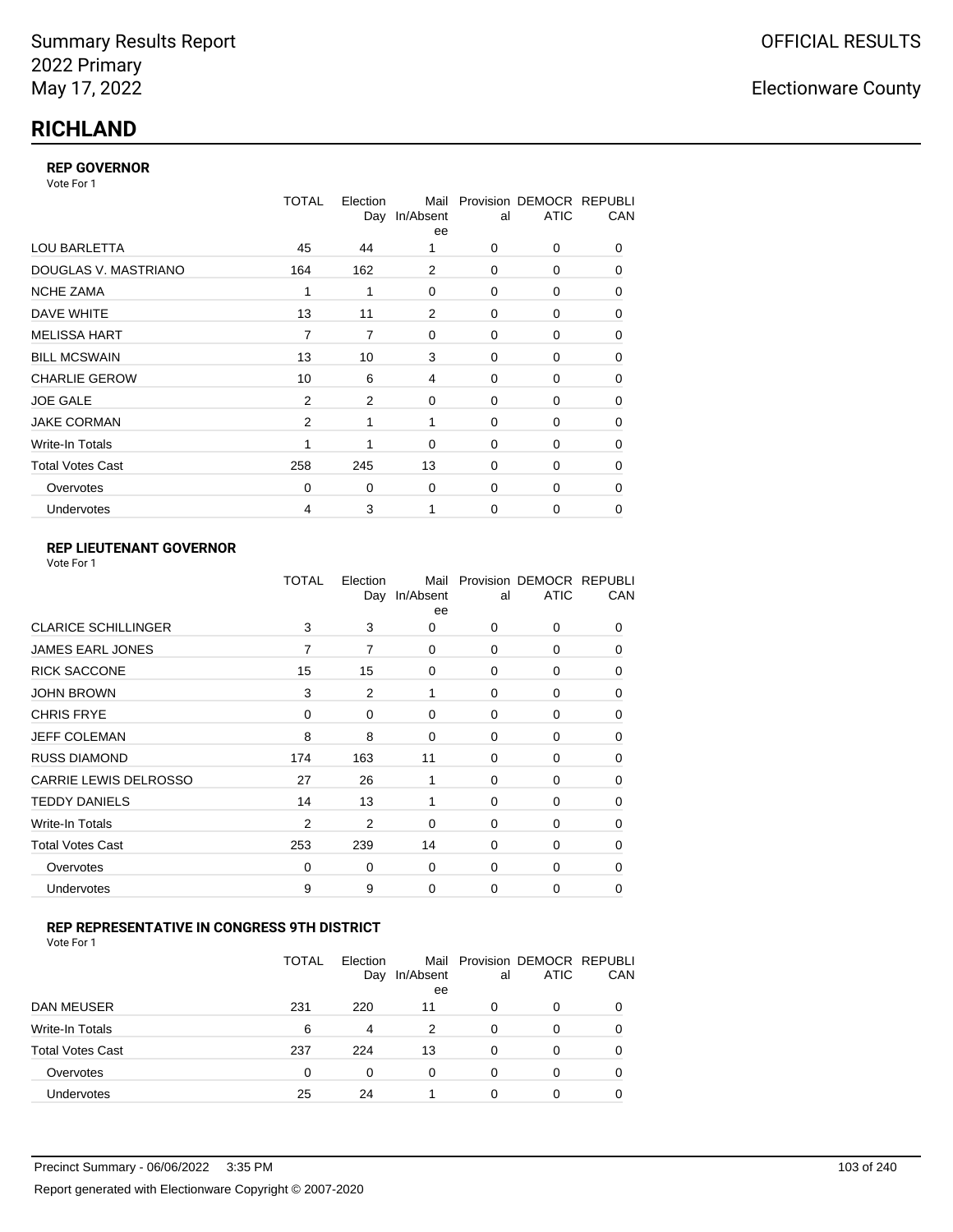## **RICHLAND**

### **REP GOVERNOR**

Vote For 1

|                         | <b>TOTAL</b>   | Election<br>Day | Mail<br>In/Absent<br>ee | al          | Provision DEMOCR REPUBLI<br><b>ATIC</b> | CAN      |
|-------------------------|----------------|-----------------|-------------------------|-------------|-----------------------------------------|----------|
| <b>LOU BARLETTA</b>     | 45             | 44              |                         | 0           | 0                                       | 0        |
| DOUGLAS V. MASTRIANO    | 164            | 162             | 2                       | 0           | 0                                       | 0        |
| <b>NCHE ZAMA</b>        | 1              | 1               | 0                       | 0           | 0                                       | 0        |
| DAVE WHITE              | 13             | 11              | $\overline{2}$          | $\mathbf 0$ | 0                                       | 0        |
| <b>MELISSA HART</b>     | 7              | 7               | 0                       | 0           | 0                                       | 0        |
| <b>BILL MCSWAIN</b>     | 13             | 10              | 3                       | $\mathbf 0$ | 0                                       | 0        |
| <b>CHARLIE GEROW</b>    | 10             | 6               | 4                       | $\Omega$    | $\Omega$                                | 0        |
| <b>JOE GALE</b>         | $\overline{2}$ | $\overline{2}$  | 0                       | $\mathbf 0$ | 0                                       | 0        |
| <b>JAKE CORMAN</b>      | 2              | 1               | 1                       | $\Omega$    | $\Omega$                                | 0        |
| Write-In Totals         | 1              | 1               | $\Omega$                | $\mathbf 0$ | 0                                       | 0        |
| <b>Total Votes Cast</b> | 258            | 245             | 13                      | $\Omega$    | 0                                       | $\Omega$ |
| Overvotes               | $\Omega$       | 0               | 0                       | 0           | 0                                       | 0        |
| <b>Undervotes</b>       | 4              | 3               | 1                       | $\Omega$    | 0                                       | 0        |

### **REP LIEUTENANT GOVERNOR**

| Vote For 1 |  |
|------------|--|
|------------|--|

|                            | TOTAL          | Election | Mail<br>Day In/Absent<br>ee | al       | Provision DEMOCR REPUBLI<br><b>ATIC</b> | CAN      |
|----------------------------|----------------|----------|-----------------------------|----------|-----------------------------------------|----------|
| <b>CLARICE SCHILLINGER</b> | 3              | 3        | 0                           | $\Omega$ | 0                                       | 0        |
| JAMES EARL JONES           | 7              | 7        | 0                           | $\Omega$ | 0                                       | 0        |
| <b>RICK SACCONE</b>        | 15             | 15       | 0                           | $\Omega$ | 0                                       | 0        |
| <b>JOHN BROWN</b>          | 3              | 2        | 1                           | $\Omega$ | 0                                       | 0        |
| <b>CHRIS FRYE</b>          | 0              | 0        | 0                           | 0        | 0                                       | 0        |
| JEFF COLEMAN               | 8              | 8        | 0                           | 0        | 0                                       | $\Omega$ |
| <b>RUSS DIAMOND</b>        | 174            | 163      | 11                          | $\Omega$ | $\Omega$                                | 0        |
| CARRIE LEWIS DELROSSO      | 27             | 26       | 1                           | $\Omega$ | 0                                       | $\Omega$ |
| <b>TEDDY DANIELS</b>       | 14             | 13       | 1                           | $\Omega$ | $\Omega$                                | $\Omega$ |
| Write-In Totals            | $\overline{2}$ | 2        | 0                           | 0        | 0                                       | 0        |
| <b>Total Votes Cast</b>    | 253            | 239      | 14                          | $\Omega$ | 0                                       | 0        |
| Overvotes                  | 0              | 0        | 0                           | $\Omega$ | 0                                       | $\Omega$ |
| Undervotes                 | 9              | 9        | 0                           | $\Omega$ | 0                                       | 0        |
|                            |                |          |                             |          |                                         |          |

### **REP REPRESENTATIVE IN CONGRESS 9TH DISTRICT**

| Vote For 1 |  |  |
|------------|--|--|
|------------|--|--|

|                         | TOTAL | Election<br>Day | In/Absent<br>ee | al       | Mail Provision DEMOCR REPUBLI<br><b>ATIC</b> | CAN      |
|-------------------------|-------|-----------------|-----------------|----------|----------------------------------------------|----------|
| DAN MEUSER              | 231   | 220             | 11              | 0        | 0                                            | $\Omega$ |
| Write-In Totals         | 6     | 4               | 2               | 0        | 0                                            |          |
| <b>Total Votes Cast</b> | 237   | 224             | 13              | $\Omega$ | 0                                            |          |
| Overvotes               | 0     | 0               | 0               | 0        | 0                                            | 0        |
| <b>Undervotes</b>       | 25    | 24              |                 | 0        | ი                                            |          |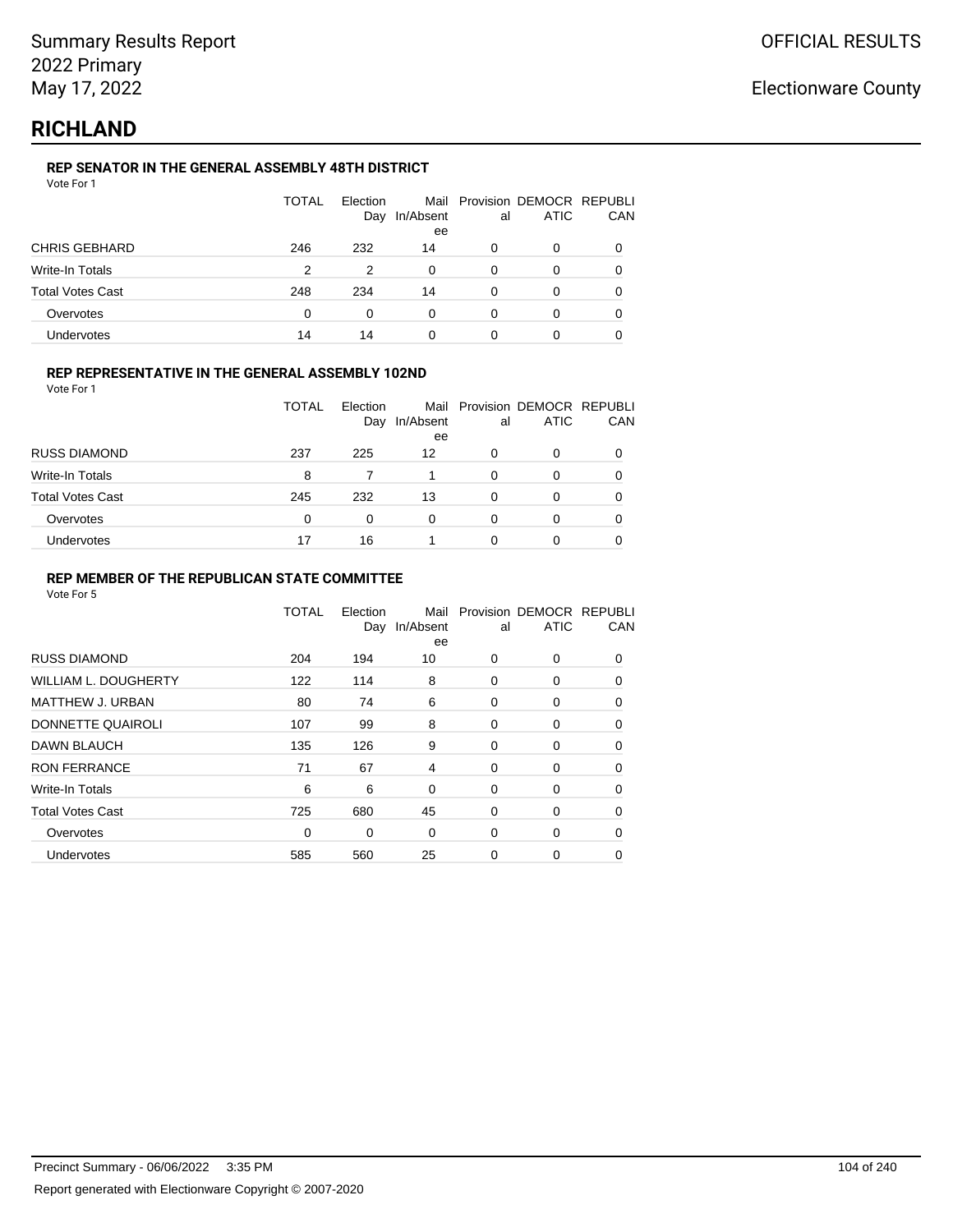## **RICHLAND**

### **REP SENATOR IN THE GENERAL ASSEMBLY 48TH DISTRICT**

| Vote For 1 |  |  |
|------------|--|--|
|------------|--|--|

|                      | <b>TOTAL</b> | Election<br>Day | In/Absent<br>ee | al | Mail Provision DEMOCR REPUBLI<br>ATIC | CAN |
|----------------------|--------------|-----------------|-----------------|----|---------------------------------------|-----|
| <b>CHRIS GEBHARD</b> | 246          | 232             | 14              |    | 0                                     |     |
| Write-In Totals      | 2            | 2               | 0               | 0  | 0                                     |     |
| Total Votes Cast     | 248          | 234             | 14              | 0  | 0                                     |     |
| Overvotes            | 0            | $\Omega$        | 0               | 0  | 0                                     |     |
| Undervotes           | 14           | 14              | 0               | 0  |                                       |     |

### **REP REPRESENTATIVE IN THE GENERAL ASSEMBLY 102ND**

Vote For 1

|                         | TOTAL | Election<br>Day | Mail<br>In/Absent<br>ee | al | Provision DEMOCR REPUBLI<br><b>ATIC</b> | CAN |
|-------------------------|-------|-----------------|-------------------------|----|-----------------------------------------|-----|
| <b>RUSS DIAMOND</b>     | 237   | 225             | 12                      | 0  | 0                                       |     |
| Write-In Totals         | 8     |                 |                         | 0  | O                                       |     |
| <b>Total Votes Cast</b> | 245   | 232             | 13                      | 0  | 0                                       |     |
| Overvotes               | 0     | $\Omega$        | 0                       | 0  | 0                                       |     |
| Undervotes              | 17    | 16              |                         |    | 0                                       |     |

### **REP MEMBER OF THE REPUBLICAN STATE COMMITTEE**

|                         | <b>TOTAL</b> | Election<br>Day | Mail<br>In/Absent<br>ee | al       | Provision DEMOCR REPUBLI<br><b>ATIC</b> | CAN      |
|-------------------------|--------------|-----------------|-------------------------|----------|-----------------------------------------|----------|
| <b>RUSS DIAMOND</b>     | 204          | 194             | 10                      | $\Omega$ | 0                                       | $\Omega$ |
| WILLIAM L. DOUGHERTY    | 122          | 114             | 8                       | 0        | 0                                       | 0        |
| <b>MATTHEW J. URBAN</b> | 80           | 74              | 6                       | 0        | 0                                       | $\Omega$ |
| DONNETTE QUAIROLI       | 107          | 99              | 8                       | 0        | 0                                       | $\Omega$ |
| DAWN BLAUCH             | 135          | 126             | 9                       | 0        | 0                                       | $\Omega$ |
| <b>RON FERRANCE</b>     | 71           | 67              | 4                       | 0        | 0                                       | 0        |
| Write-In Totals         | 6            | 6               | 0                       | 0        | 0                                       | 0        |
| <b>Total Votes Cast</b> | 725          | 680             | 45                      | 0        | 0                                       | 0        |
| Overvotes               | 0            | 0               | $\Omega$                | 0        | 0                                       | 0        |
| Undervotes              | 585          | 560             | 25                      | 0        | 0                                       |          |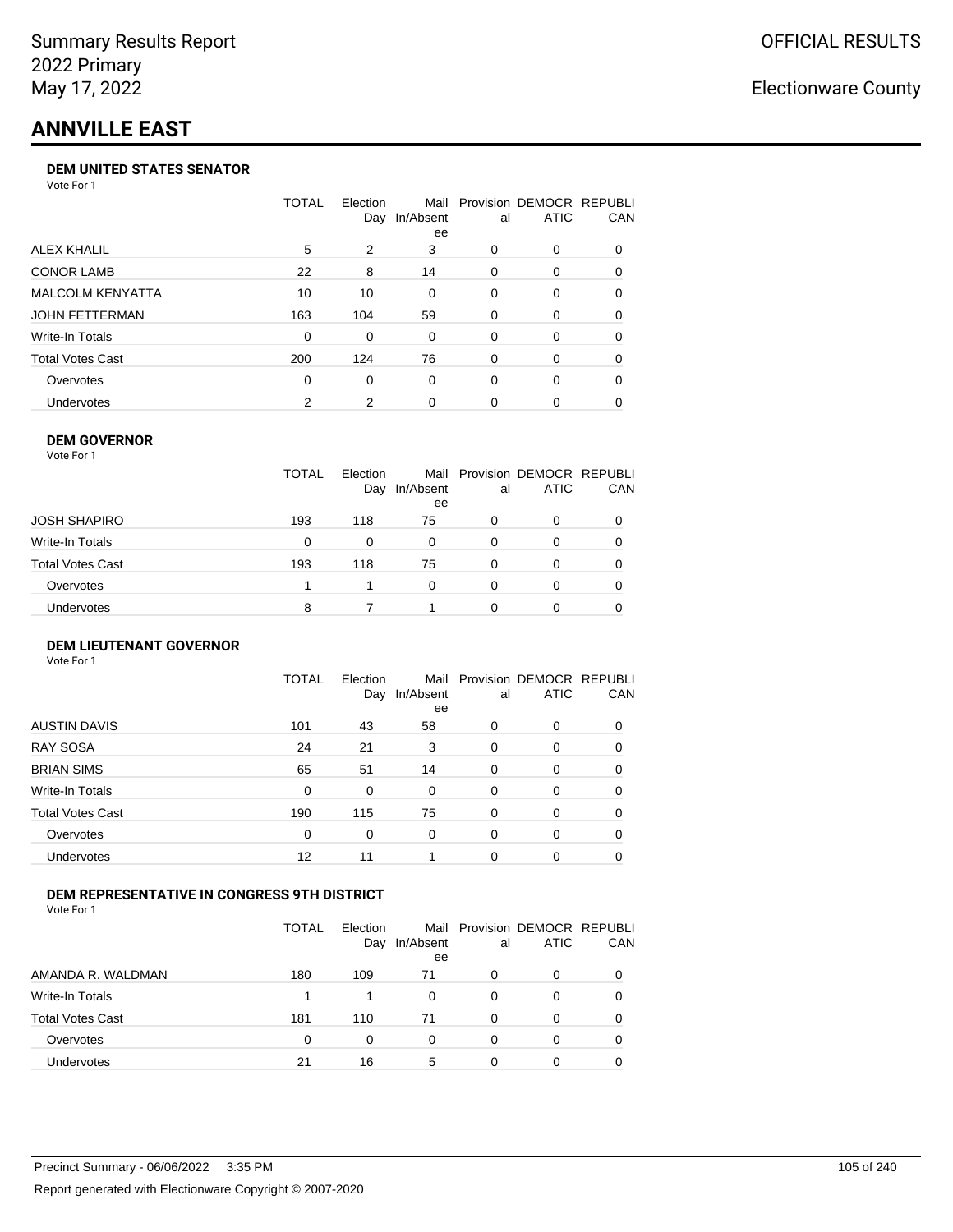# **ANNVILLE EAST**

#### **DEM UNITED STATES SENATOR**

Vote For 1

|                         | TOTAL | Election<br>Day | Mail<br>In/Absent<br>ee | al | Provision DEMOCR REPUBLI<br>ATIC | <b>CAN</b> |
|-------------------------|-------|-----------------|-------------------------|----|----------------------------------|------------|
| ALEX KHALIL             | 5     | 2               | 3                       | 0  | $\Omega$                         | 0          |
| <b>CONOR LAMB</b>       | 22    | 8               | 14                      | 0  | $\Omega$                         | 0          |
| <b>MALCOLM KENYATTA</b> | 10    | 10              | 0                       | 0  | $\Omega$                         | 0          |
| JOHN FETTERMAN          | 163   | 104             | 59                      | 0  | $\Omega$                         | 0          |
| Write-In Totals         | 0     | 0               | 0                       | 0  | $\Omega$                         | 0          |
| Total Votes Cast        | 200   | 124             | 76                      | 0  | $\Omega$                         | 0          |
| Overvotes               | 0     | 0               | 0                       | 0  | $\Omega$                         | 0          |
| Undervotes              | 2     | 2               | 0                       | 0  | $\Omega$                         | 0          |

### **DEM GOVERNOR**

| Vote For 1       |              |                 |                 |          |                                              |     |
|------------------|--------------|-----------------|-----------------|----------|----------------------------------------------|-----|
|                  | <b>TOTAL</b> | Election<br>Day | In/Absent<br>ee | al       | Mail Provision DEMOCR REPUBLI<br><b>ATIC</b> | CAN |
| JOSH SHAPIRO     | 193          | 118             | 75              | 0        | 0                                            |     |
| Write-In Totals  | 0            | 0               | 0               | 0        | 0                                            | 0   |
| Total Votes Cast | 193          | 118             | 75              | 0        | 0                                            | 0   |
| Overvotes        |              |                 | $\Omega$        | $\Omega$ | 0                                            | 0   |
| Undervotes       | 8            |                 |                 | O        | 0                                            |     |

#### **DEM LIEUTENANT GOVERNOR** Vote For 1

|                         | TOTAL | Election<br>Day | In/Absent<br>ee | al       | Mail Provision DEMOCR REPUBLI<br><b>ATIC</b> | CAN      |
|-------------------------|-------|-----------------|-----------------|----------|----------------------------------------------|----------|
| <b>AUSTIN DAVIS</b>     | 101   | 43              | 58              | 0        | 0                                            | 0        |
| <b>RAY SOSA</b>         | 24    | 21              | 3               | 0        | 0                                            | $\Omega$ |
| <b>BRIAN SIMS</b>       | 65    | 51              | 14              | 0        | 0                                            | $\Omega$ |
| Write-In Totals         | 0     | 0               | $\Omega$        | $\Omega$ | $\Omega$                                     | $\Omega$ |
| <b>Total Votes Cast</b> | 190   | 115             | 75              | 0        | 0                                            | $\Omega$ |
| Overvotes               | 0     | 0               | 0               | $\Omega$ | 0                                            | $\Omega$ |
| <b>Undervotes</b>       | 12    | 11              |                 | 0        | 0                                            | 0        |

### **DEM REPRESENTATIVE IN CONGRESS 9TH DISTRICT**

Vote For 1

|                         | TOTAL | <b>Flection</b><br>Day | Mail<br>In/Absent<br>ee | al | Provision DEMOCR REPUBLI<br><b>ATIC</b> | <b>CAN</b> |
|-------------------------|-------|------------------------|-------------------------|----|-----------------------------------------|------------|
| AMANDA R. WALDMAN       | 180   | 109                    | 71                      | O  | $\Omega$                                | 0          |
| Write-In Totals         |       |                        | 0                       | 0  | n                                       | 0          |
| <b>Total Votes Cast</b> | 181   | 110                    | 71                      | 0  | $\Omega$                                | 0          |
| Overvotes               | 0     | 0                      | $\Omega$                | O  | $\Omega$                                | 0          |
| <b>Undervotes</b>       | 21    | 16                     | 5                       | 0  |                                         |            |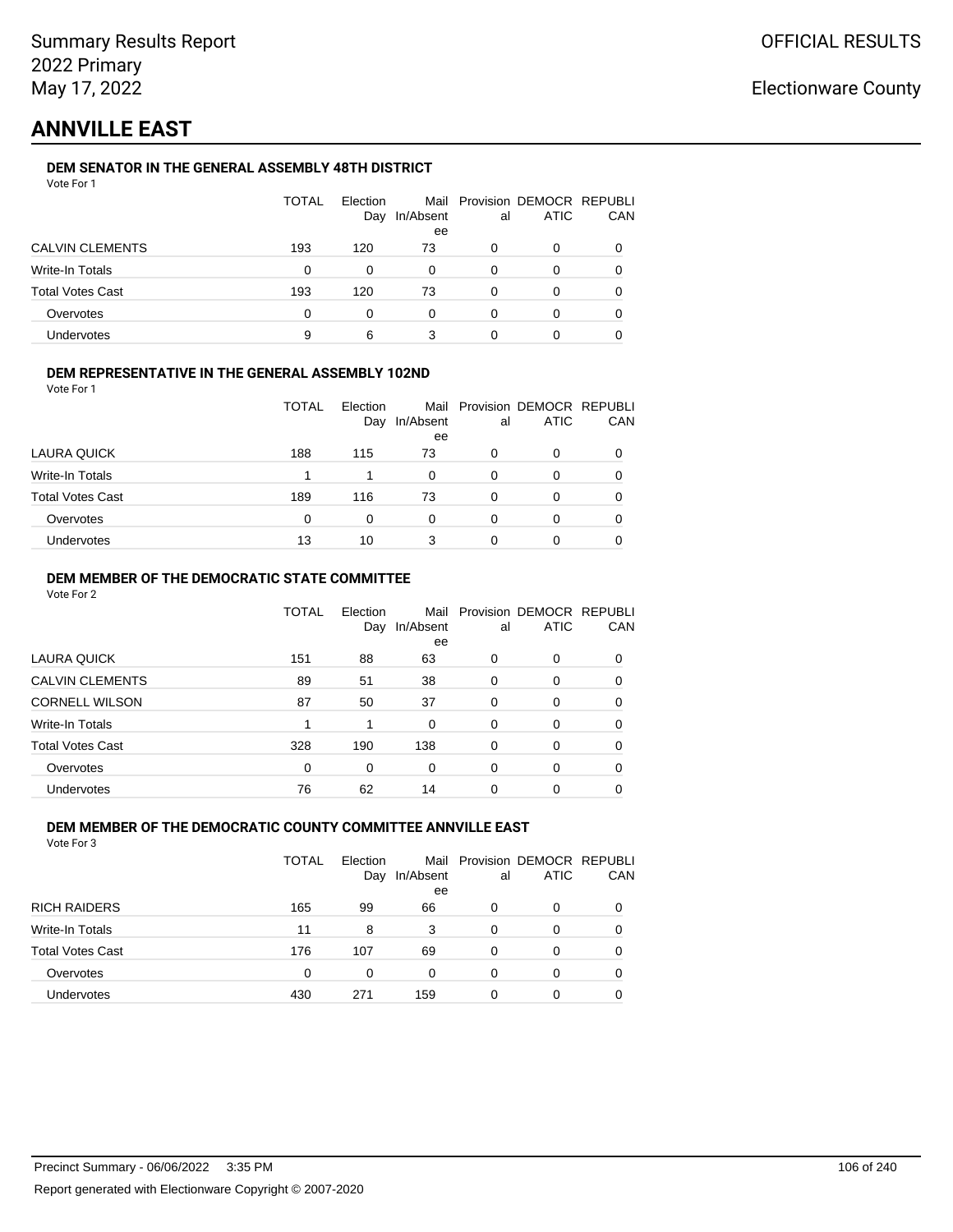# **ANNVILLE EAST**

### **DEM SENATOR IN THE GENERAL ASSEMBLY 48TH DISTRICT**

|                         | <b>TOTAL</b> | Election<br>Day | In/Absent<br>ee | al | Mail Provision DEMOCR REPUBLI<br><b>ATIC</b> | CAN |
|-------------------------|--------------|-----------------|-----------------|----|----------------------------------------------|-----|
| <b>CALVIN CLEMENTS</b>  | 193          | 120             | 73              | 0  | 0                                            |     |
| Write-In Totals         | 0            | 0               | 0               | 0  | 0                                            |     |
| <b>Total Votes Cast</b> | 193          | 120             | 73              | 0  | Ω                                            |     |
| Overvotes               | 0            | O               | 0               | 0  | Ω                                            |     |
| Undervotes              | 9            | 6               | 3               |    |                                              |     |

### **DEM REPRESENTATIVE IN THE GENERAL ASSEMBLY 102ND**

| Vote For 1 |  |  |
|------------|--|--|
|            |  |  |

|                         | <b>TOTAL</b> | Election |           |    | Mail Provision DEMOCR REPUBLI |     |
|-------------------------|--------------|----------|-----------|----|-------------------------------|-----|
|                         |              | Day      | In/Absent | al | <b>ATIC</b>                   | CAN |
|                         |              |          | ee        |    |                               |     |
| LAURA QUICK             | 188          | 115      | 73        | 0  | 0                             |     |
| Write-In Totals         |              | 1        | 0         | 0  | O                             |     |
| <b>Total Votes Cast</b> | 189          | 116      | 73        | 0  | 0                             |     |
| Overvotes               | $\Omega$     | 0        | 0         | 0  | 0                             |     |
| Undervotes              | 13           | 10       |           | O  | 0                             |     |
|                         |              |          |           |    |                               |     |

### **DEM MEMBER OF THE DEMOCRATIC STATE COMMITTEE**

Vote For 2

|                         | TOTAL | Election<br>Day | Mail<br>In/Absent<br>ee | al       | Provision DEMOCR REPUBLI<br><b>ATIC</b> | CAN |
|-------------------------|-------|-----------------|-------------------------|----------|-----------------------------------------|-----|
| <b>LAURA QUICK</b>      | 151   | 88              | 63                      | 0        | $\Omega$                                | 0   |
| <b>CALVIN CLEMENTS</b>  | 89    | 51              | 38                      | 0        | 0                                       | 0   |
| <b>CORNELL WILSON</b>   | 87    | 50              | 37                      | $\Omega$ | $\Omega$                                | 0   |
| Write-In Totals         |       | 1               | 0                       | 0        | $\Omega$                                | 0   |
| <b>Total Votes Cast</b> | 328   | 190             | 138                     | 0        | $\Omega$                                | 0   |
| Overvotes               | 0     | 0               | 0                       | $\Omega$ | $\Omega$                                | 0   |
| <b>Undervotes</b>       | 76    | 62              | 14                      | 0        | 0                                       |     |

#### **DEM MEMBER OF THE DEMOCRATIC COUNTY COMMITTEE ANNVILLE EAST** Vote For 3

| .                       |       |                 |           |    |                                              |     |
|-------------------------|-------|-----------------|-----------|----|----------------------------------------------|-----|
|                         | TOTAL | Election<br>Day | In/Absent | al | Mail Provision DEMOCR REPUBLI<br><b>ATIC</b> | CAN |
|                         |       |                 | ee        |    |                                              |     |
| <b>RICH RAIDERS</b>     | 165   | 99              | 66        | 0  | 0                                            | 0   |
| Write-In Totals         | 11    | 8               | 3         | 0  | 0                                            | 0   |
| <b>Total Votes Cast</b> | 176   | 107             | 69        | 0  | 0                                            | 0   |
| Overvotes               | 0     | 0               | 0         | 0  | 0                                            |     |
| Jndervotes              | 430   | 271             | 159       |    | 0                                            |     |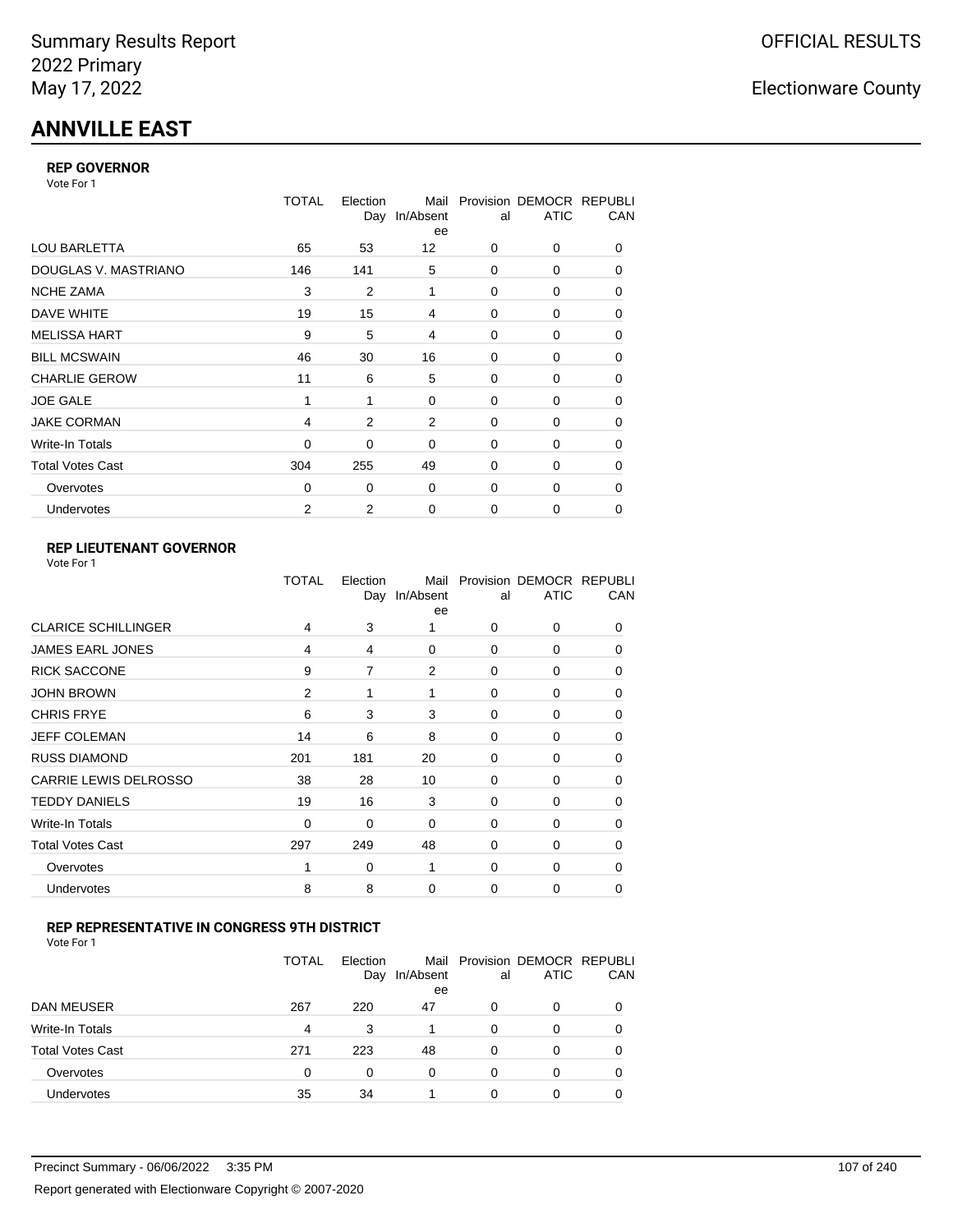# **ANNVILLE EAST**

### **REP GOVERNOR**

Vote For 1

|                         | TOTAL    | Election<br>Day | Mail<br>In/Absent<br>ee | al          | Provision DEMOCR REPUBLI<br><b>ATIC</b> | CAN |
|-------------------------|----------|-----------------|-------------------------|-------------|-----------------------------------------|-----|
| <b>LOU BARLETTA</b>     | 65       | 53              | $12 \overline{ }$       | 0           | 0                                       | 0   |
| DOUGLAS V. MASTRIANO    | 146      | 141             | 5                       | $\Omega$    | 0                                       | 0   |
| <b>NCHE ZAMA</b>        | 3        | 2               | 1                       | 0           | 0                                       | 0   |
| DAVE WHITE              | 19       | 15              | 4                       | 0           | 0                                       | 0   |
| <b>MELISSA HART</b>     | 9        | 5               | 4                       | 0           | 0                                       | 0   |
| <b>BILL MCSWAIN</b>     | 46       | 30              | 16                      | 0           | 0                                       | 0   |
| <b>CHARLIE GEROW</b>    | 11       | 6               | 5                       | $\Omega$    | $\Omega$                                | 0   |
| <b>JOE GALE</b>         | 1        | 1               | 0                       | 0           | 0                                       | 0   |
| <b>JAKE CORMAN</b>      | 4        | $\overline{2}$  | $\overline{2}$          | $\Omega$    | 0                                       | 0   |
| Write-In Totals         | 0        | 0               | 0                       | 0           | 0                                       | 0   |
| <b>Total Votes Cast</b> | 304      | 255             | 49                      | $\Omega$    | 0                                       | 0   |
| Overvotes               | $\Omega$ | 0               | 0                       | $\Omega$    | 0                                       | 0   |
| Undervotes              | 2        | 2               | 0                       | $\mathbf 0$ | 0                                       | 0   |

### **REP LIEUTENANT GOVERNOR**

|                            | TOTAL          | Election | Mail<br>Day In/Absent<br>ee | al       | Provision DEMOCR REPUBLI<br><b>ATIC</b> | CAN      |
|----------------------------|----------------|----------|-----------------------------|----------|-----------------------------------------|----------|
| <b>CLARICE SCHILLINGER</b> | 4              | 3        |                             | $\Omega$ | 0                                       | 0        |
| <b>JAMES EARL JONES</b>    | 4              | 4        | $\Omega$                    | 0        | 0                                       | 0        |
| <b>RICK SACCONE</b>        | 9              | 7        | 2                           | $\Omega$ | 0                                       | 0        |
| <b>JOHN BROWN</b>          | $\overline{2}$ | 1        | 1                           | $\Omega$ | 0                                       | 0        |
| <b>CHRIS FRYE</b>          | 6              | 3        | 3                           | 0        | 0                                       | 0        |
| JEFF COLEMAN               | 14             | 6        | 8                           | 0        | 0                                       | $\Omega$ |
| <b>RUSS DIAMOND</b>        | 201            | 181      | 20                          | 0        | 0                                       | 0        |
| CARRIE LEWIS DELROSSO      | 38             | 28       | 10                          | 0        | 0                                       | 0        |
| <b>TEDDY DANIELS</b>       | 19             | 16       | 3                           | 0        | 0                                       | 0        |
| Write-In Totals            | 0              | 0        | 0                           | 0        | 0                                       | $\Omega$ |
| <b>Total Votes Cast</b>    | 297            | 249      | 48                          | $\Omega$ | $\Omega$                                | $\Omega$ |
| Overvotes                  |                | 0        | 1                           | 0        | $\Omega$                                | $\Omega$ |
| Undervotes                 | 8              | 8        | 0                           | $\Omega$ | 0                                       | 0        |
|                            |                |          |                             |          |                                         |          |

### **REP REPRESENTATIVE IN CONGRESS 9TH DISTRICT**

| Vote For 1 |  |  |
|------------|--|--|
|------------|--|--|

|                         | TOTAL | Election<br>Day | In/Absent<br>ee | al       | Mail Provision DEMOCR REPUBLI<br><b>ATIC</b> | CAN      |
|-------------------------|-------|-----------------|-----------------|----------|----------------------------------------------|----------|
| DAN MEUSER              | 267   | 220             | 47              | 0        | 0                                            | $\Omega$ |
| Write-In Totals         | 4     | 3               | 1               | 0        | 0                                            |          |
| <b>Total Votes Cast</b> | 271   | 223             | 48              | $\Omega$ | 0                                            |          |
| Overvotes               | 0     | 0               | 0               | 0        | 0                                            | 0        |
| <b>Undervotes</b>       | 35    | 34              |                 | 0        | ი                                            |          |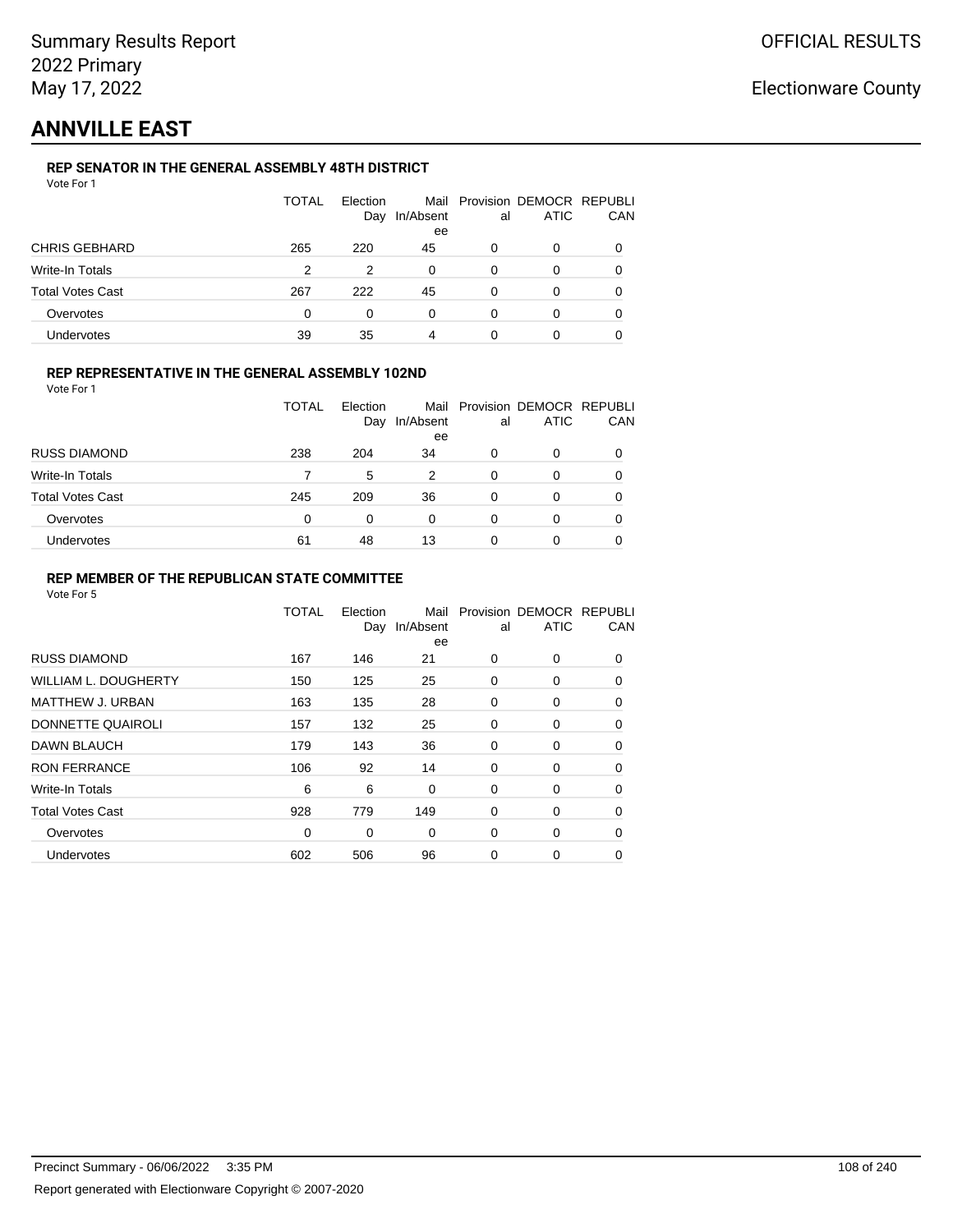# **ANNVILLE EAST**

### **REP SENATOR IN THE GENERAL ASSEMBLY 48TH DISTRICT**

|                         | <b>TOTAL</b> | Election<br>Day | In/Absent<br>ee | al | Mail Provision DEMOCR REPUBLI<br><b>ATIC</b> | CAN |
|-------------------------|--------------|-----------------|-----------------|----|----------------------------------------------|-----|
| <b>CHRIS GEBHARD</b>    | 265          | 220             | 45              | 0  | 0                                            |     |
| Write-In Totals         | 2            | 2               | $\Omega$        | 0  | 0                                            |     |
| <b>Total Votes Cast</b> | 267          | 222             | 45              | 0  | 0                                            |     |
| Overvotes               | 0            | 0               | $\Omega$        | 0  | 0                                            |     |
| Undervotes              | 39           | 35              | 4               | 0  |                                              |     |

### **REP REPRESENTATIVE IN THE GENERAL ASSEMBLY 102ND**

Vote For 1

|                         | TOTAL | Election |           |    | Mail Provision DEMOCR REPUBLI |            |
|-------------------------|-------|----------|-----------|----|-------------------------------|------------|
|                         |       | Day      | In/Absent | al | ATIC                          | <b>CAN</b> |
|                         |       |          | ee        |    |                               |            |
| <b>RUSS DIAMOND</b>     | 238   | 204      | 34        | 0  |                               | 0          |
| Write-In Totals         |       | 5        | 2         | 0  |                               | 0          |
| <b>Total Votes Cast</b> | 245   | 209      | 36        | 0  |                               | 0          |
| Overvotes               | 0     | 0        | 0         | 0  |                               | 0          |
| <b>Undervotes</b>       | 61    | 48       | 13        | 0  |                               | 0          |

### **REP MEMBER OF THE REPUBLICAN STATE COMMITTEE**

|                         | <b>TOTAL</b> | Election<br>Day | Mail<br>In/Absent<br>ee | al       | Provision DEMOCR REPUBLI<br><b>ATIC</b> | CAN      |
|-------------------------|--------------|-----------------|-------------------------|----------|-----------------------------------------|----------|
| <b>RUSS DIAMOND</b>     | 167          | 146             | 21                      | $\Omega$ | 0                                       | $\Omega$ |
| WILLIAM L. DOUGHERTY    | 150          | 125             | 25                      | 0        | 0                                       | 0        |
| <b>MATTHEW J. URBAN</b> | 163          | 135             | 28                      | 0        | 0                                       | $\Omega$ |
| DONNETTE QUAIROLI       | 157          | 132             | 25                      | $\Omega$ | 0                                       | $\Omega$ |
| DAWN BLAUCH             | 179          | 143             | 36                      | 0        | 0                                       | $\Omega$ |
| <b>RON FERRANCE</b>     | 106          | 92              | 14                      | 0        | 0                                       | 0        |
| Write-In Totals         | 6            | 6               | 0                       | 0        | 0                                       | 0        |
| <b>Total Votes Cast</b> | 928          | 779             | 149                     | 0        | 0                                       | 0        |
| Overvotes               | $\Omega$     | 0               | $\Omega$                | 0        | 0                                       | 0        |
| <b>Undervotes</b>       | 602          | 506             | 96                      | 0        | 0                                       | 0        |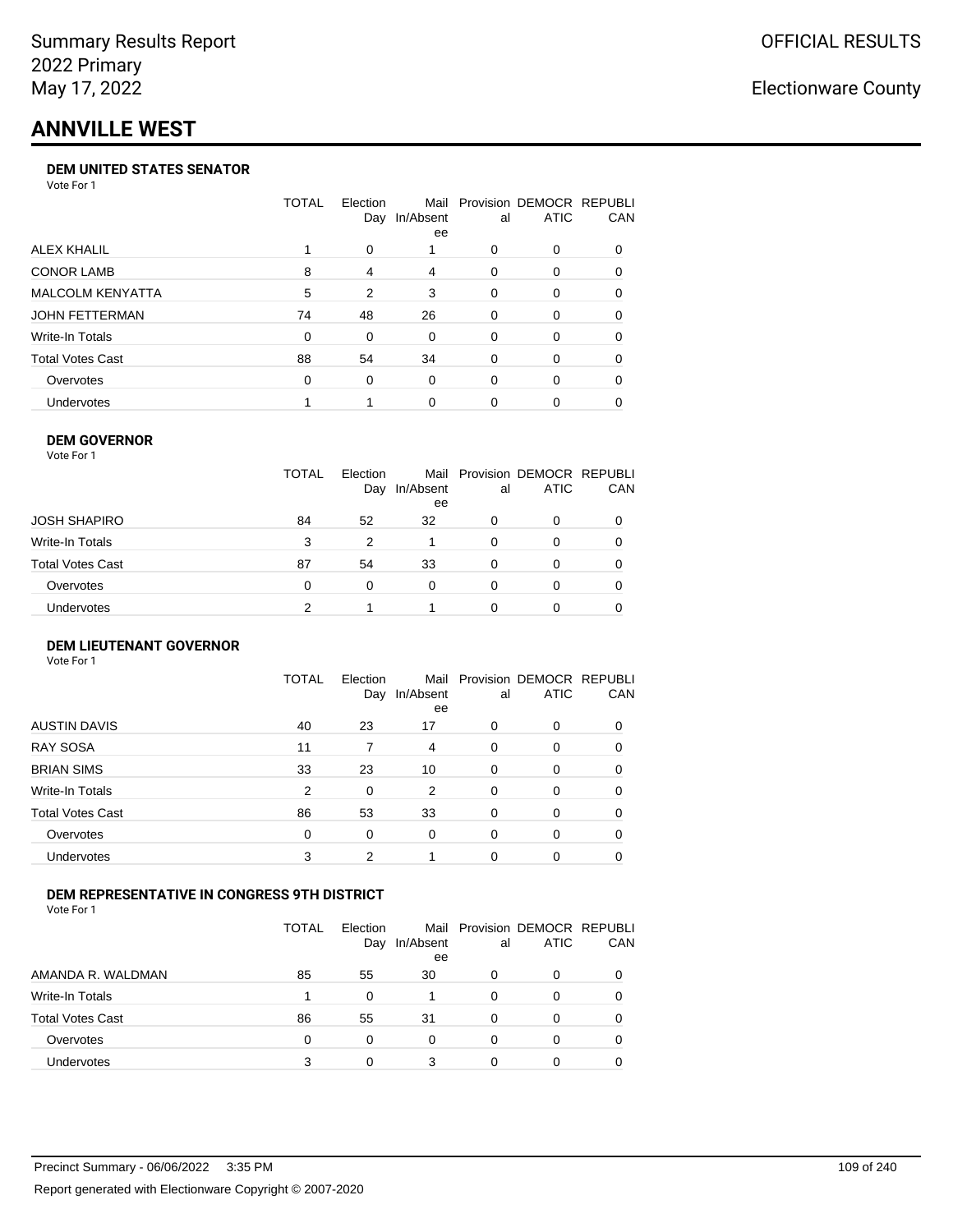# **ANNVILLE WEST**

#### **DEM UNITED STATES SENATOR**

Vote For 1

|                         | TOTAL | Election<br>Day | Mail<br>In/Absent<br>ee | al | Provision DEMOCR REPUBLI<br>ATIC | <b>CAN</b> |
|-------------------------|-------|-----------------|-------------------------|----|----------------------------------|------------|
| ALEX KHALIL             |       | $\Omega$        |                         | 0  | $\Omega$                         | 0          |
| <b>CONOR LAMB</b>       | 8     | 4               | 4                       | 0  | $\Omega$                         | 0          |
| <b>MALCOLM KENYATTA</b> | 5     | 2               | 3                       | 0  | $\Omega$                         | 0          |
| JOHN FETTERMAN          | 74    | 48              | 26                      | 0  | $\Omega$                         | $\Omega$   |
| Write-In Totals         | 0     | 0               | $\Omega$                | 0  | $\Omega$                         | 0          |
| <b>Total Votes Cast</b> | 88    | 54              | 34                      | 0  | $\Omega$                         | $\Omega$   |
| Overvotes               | 0     | 0               | $\Omega$                | 0  | $\Omega$                         | 0          |
| <b>Undervotes</b>       |       |                 | 0                       | 0  | $\Omega$                         | 0          |

#### **DEM GOVERNOR**

| Vote For 1       |              |                 |                 |          |                                              |          |
|------------------|--------------|-----------------|-----------------|----------|----------------------------------------------|----------|
|                  | <b>TOTAL</b> | Election<br>Day | In/Absent<br>ee | al       | Mail Provision DEMOCR REPUBLI<br><b>ATIC</b> | CAN      |
| JOSH SHAPIRO     | 84           | 52              | 32              | 0        | 0                                            |          |
| Write-In Totals  | 3            | 2               |                 | $\Omega$ | 0                                            | $\Omega$ |
| Total Votes Cast | 87           | 54              | 33              | 0        | 0                                            | 0        |
| Overvotes        | 0            | 0               | $\Omega$        | $\Omega$ | 0                                            | 0        |
| Undervotes       | 2            |                 |                 | O        | 0                                            |          |

#### **DEM LIEUTENANT GOVERNOR** Vote For 1

|                         | <b>TOTAL</b>   | Election<br>Day | In/Absent<br>ee | al       | Mail Provision DEMOCR REPUBLI<br><b>ATIC</b> | CAN      |
|-------------------------|----------------|-----------------|-----------------|----------|----------------------------------------------|----------|
| <b>AUSTIN DAVIS</b>     | 40             | 23              | 17              | $\Omega$ | 0                                            | 0        |
| <b>RAY SOSA</b>         | 11             |                 | 4               | $\Omega$ | 0                                            | 0        |
| <b>BRIAN SIMS</b>       | 33             | 23              | 10              | 0        | 0                                            | $\Omega$ |
| Write-In Totals         | $\overline{2}$ | 0               | 2               | $\Omega$ | 0                                            | $\Omega$ |
| <b>Total Votes Cast</b> | 86             | 53              | 33              | 0        | 0                                            | $\Omega$ |
| Overvotes               | 0              | 0               | $\Omega$        | $\Omega$ | 0                                            | $\Omega$ |
| <b>Undervotes</b>       | 3              | 2               |                 | $\Omega$ | 0                                            | 0        |

#### **DEM REPRESENTATIVE IN CONGRESS 9TH DISTRICT**

Vote For 1

|                         | TOTAL | <b>Flection</b><br>Day | In/Absent<br>ee | al | Mail Provision DEMOCR REPUBLI<br><b>ATIC</b> | <b>CAN</b> |
|-------------------------|-------|------------------------|-----------------|----|----------------------------------------------|------------|
| AMANDA R. WALDMAN       | 85    | 55                     | 30              | O  | 0                                            | 0          |
| Write-In Totals         |       | <sup>0</sup>           |                 | ∩  | $\Omega$                                     | 0          |
| <b>Total Votes Cast</b> | 86    | 55                     | 31              | 0  | 0                                            | 0          |
| Overvotes               | 0     | 0                      | 0               | O  | $\Omega$                                     | 0          |
| <b>Undervotes</b>       | 3     |                        | 3               |    |                                              |            |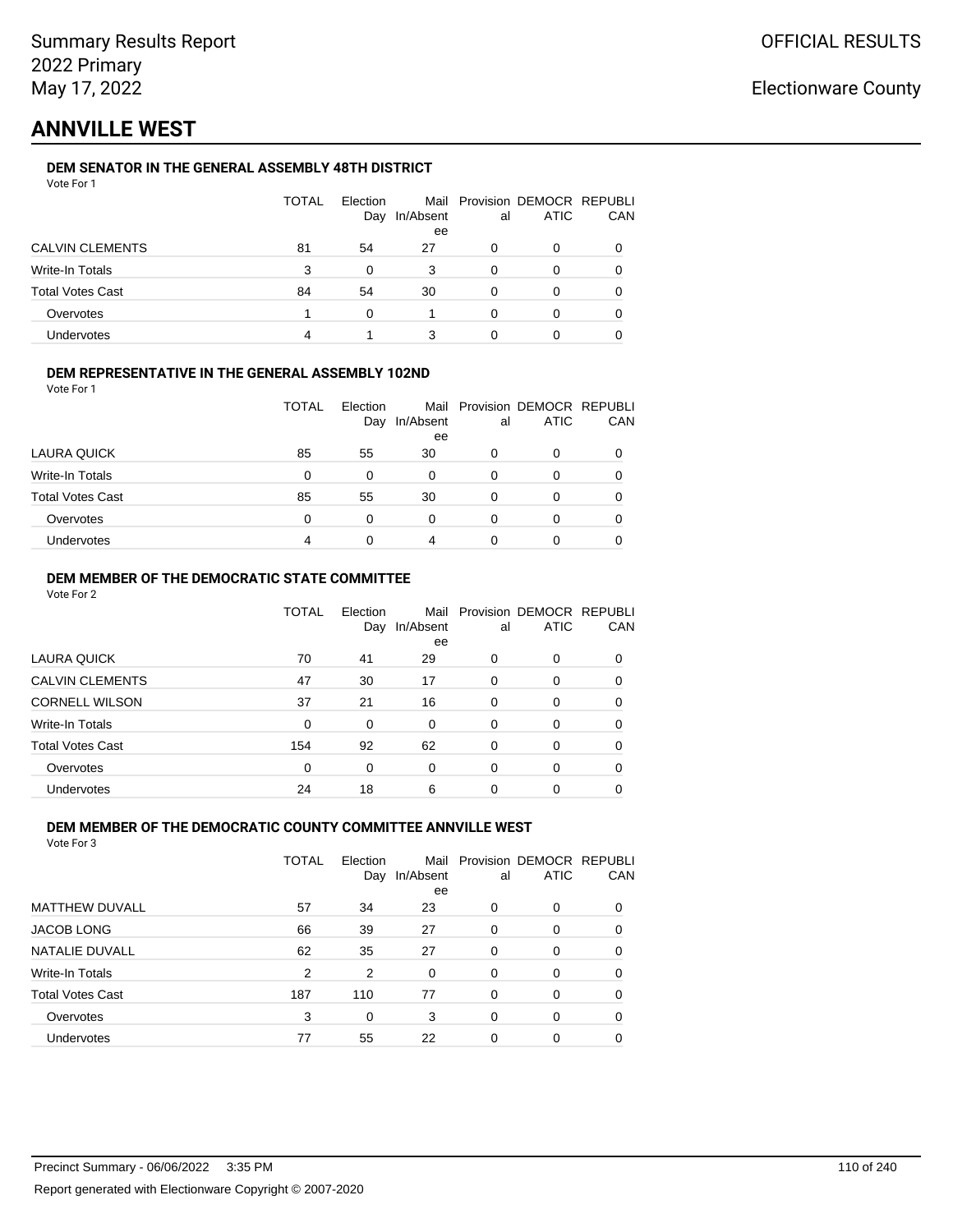# **ANNVILLE WEST**

### **DEM SENATOR IN THE GENERAL ASSEMBLY 48TH DISTRICT**

|                         | <b>TOTAL</b> | Election<br>Day | In/Absent<br>ee | al | Mail Provision DEMOCR REPUBLI<br><b>ATIC</b> | CAN |
|-------------------------|--------------|-----------------|-----------------|----|----------------------------------------------|-----|
| <b>CALVIN CLEMENTS</b>  | 81           | 54              | 27              | 0  | 0                                            |     |
| Write-In Totals         | 3            | 0               | 3               | 0  | O                                            |     |
| <b>Total Votes Cast</b> | 84           | 54              | 30              | 0  | Ω                                            |     |
| Overvotes               |              | O               |                 | 0  | ი                                            |     |
| <b>Undervotes</b>       | 4            |                 | 3               |    |                                              |     |

#### **DEM REPRESENTATIVE IN THE GENERAL ASSEMBLY 102ND**

| Vote For 1 |  |  |
|------------|--|--|
|            |  |  |

|                         | <b>TOTAL</b> | Election |           |    | Mail Provision DEMOCR REPUBLI |     |
|-------------------------|--------------|----------|-----------|----|-------------------------------|-----|
|                         |              | Day      | In/Absent | al | ATIC                          | CAN |
|                         |              |          | ee        |    |                               |     |
| LAURA QUICK             | 85           | 55       | 30        | 0  | Ω                             |     |
| Write-In Totals         | $\Omega$     | 0        | 0         | 0  | O                             |     |
| <b>Total Votes Cast</b> | 85           | 55       | 30        | 0  | O                             |     |
| Overvotes               | $\Omega$     | 0        | 0         | 0  | 0                             |     |
| Undervotes              | 4            |          | 4         |    | 0                             |     |
|                         |              |          |           |    |                               |     |

#### **DEM MEMBER OF THE DEMOCRATIC STATE COMMITTEE**

Vote For 2

|                         | TOTAL    | Election<br>Day | Mail<br>In/Absent<br>ee | al       | Provision DEMOCR REPUBLI<br><b>ATIC</b> | CAN      |
|-------------------------|----------|-----------------|-------------------------|----------|-----------------------------------------|----------|
| LAURA QUICK             | 70       | 41              | 29                      | 0        | 0                                       |          |
| <b>CALVIN CLEMENTS</b>  | 47       | 30              | 17                      | $\Omega$ | 0                                       |          |
| <b>CORNELL WILSON</b>   | 37       | 21              | 16                      | $\Omega$ | $\Omega$                                | 0        |
| Write-In Totals         | $\Omega$ | 0               | $\Omega$                | 0        | 0                                       | 0        |
| <b>Total Votes Cast</b> | 154      | 92              | 62                      | $\Omega$ | 0                                       | $\Omega$ |
| Overvotes               | 0        | 0               | 0                       | $\Omega$ | 0                                       | 0        |
| <b>Undervotes</b>       | 24       | 18              | 6                       | 0        | 0                                       |          |

### **DEM MEMBER OF THE DEMOCRATIC COUNTY COMMITTEE ANNVILLE WEST**

|                         | TOTAL | Election<br>Day | Mail<br>In/Absent | al       | Provision DEMOCR REPUBLI<br><b>ATIC</b> | CAN      |
|-------------------------|-------|-----------------|-------------------|----------|-----------------------------------------|----------|
| <b>MATTHEW DUVALL</b>   | 57    | 34              | ee<br>23          | 0        | 0                                       | $\Omega$ |
| <b>JACOB LONG</b>       | 66    | 39              | 27                | 0        | 0                                       | 0        |
| NATALIE DUVALL          | 62    | 35              | 27                | 0        | 0                                       | 0        |
| Write-In Totals         | 2     | 2               | $\Omega$          | $\Omega$ | 0                                       | $\Omega$ |
| <b>Total Votes Cast</b> | 187   | 110             | 77                | $\Omega$ | 0                                       | 0        |
| Overvotes               | 3     | 0               | 3                 | 0        | 0                                       | 0        |
| <b>Undervotes</b>       | 77    | 55              | 22                | 0        | 0                                       |          |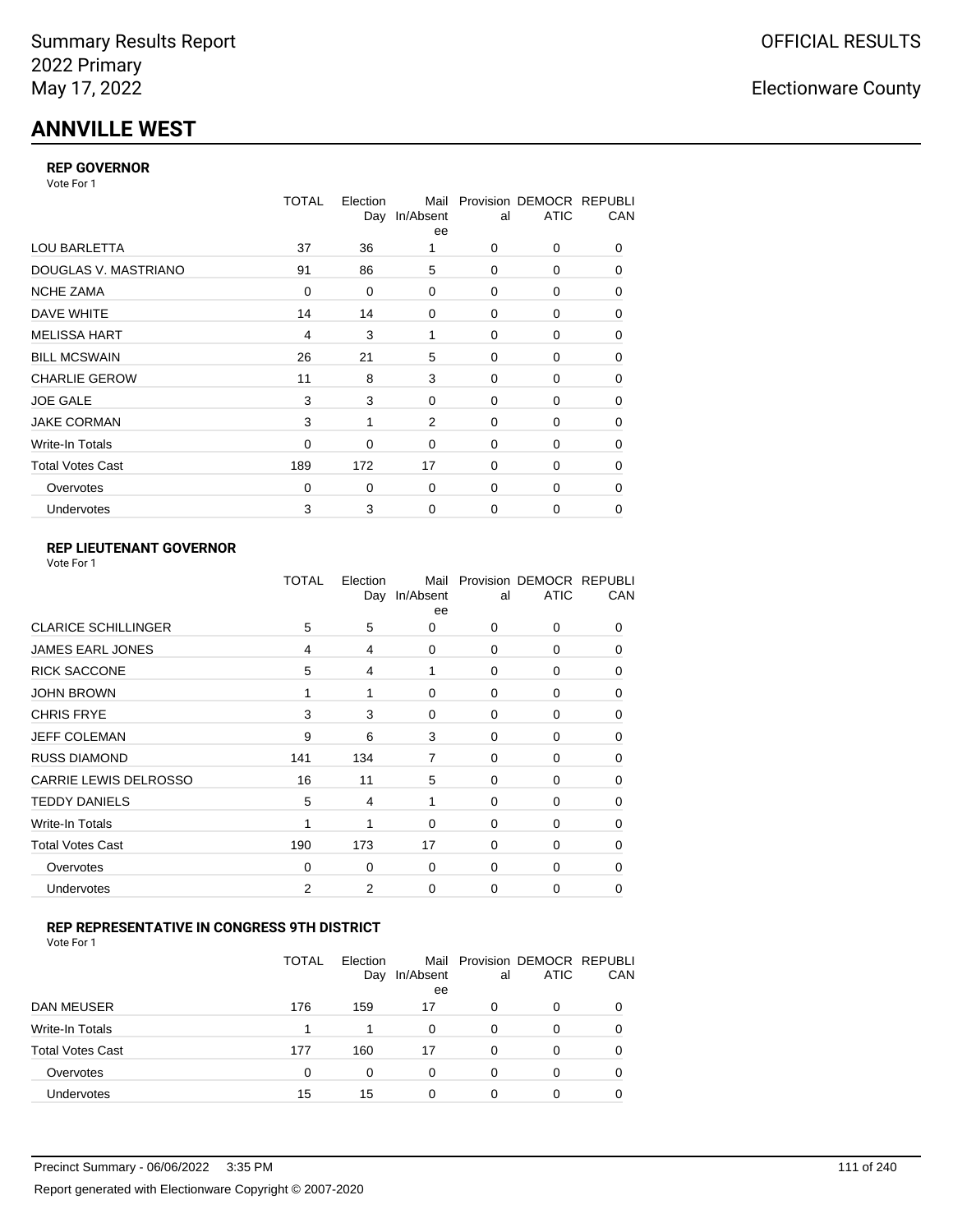# **ANNVILLE WEST**

#### **REP GOVERNOR**

Vote For 1

|                         | <b>TOTAL</b>   | Election<br>Day | Mail<br>In/Absent<br>ee | al          | Provision DEMOCR REPUBLI<br><b>ATIC</b> | CAN |
|-------------------------|----------------|-----------------|-------------------------|-------------|-----------------------------------------|-----|
| <b>LOU BARLETTA</b>     | 37             | 36              |                         | 0           | 0                                       | 0   |
| DOUGLAS V. MASTRIANO    | 91             | 86              | 5                       | 0           | 0                                       | 0   |
| <b>NCHE ZAMA</b>        | $\Omega$       | 0               | 0                       | $\Omega$    | 0                                       | 0   |
| DAVE WHITE              | 14             | 14              | 0                       | 0           | 0                                       | 0   |
| <b>MELISSA HART</b>     | $\overline{4}$ | 3               | 1                       | 0           | 0                                       | 0   |
| <b>BILL MCSWAIN</b>     | 26             | 21              | 5                       | $\Omega$    | 0                                       | 0   |
| <b>CHARLIE GEROW</b>    | 11             | 8               | 3                       | $\Omega$    | 0                                       | 0   |
| <b>JOE GALE</b>         | 3              | 3               | 0                       | 0           | 0                                       | 0   |
| <b>JAKE CORMAN</b>      | 3              | 1               | $\overline{2}$          | $\Omega$    | $\Omega$                                | 0   |
| Write-In Totals         | 0              | 0               | 0                       | 0           | 0                                       | 0   |
| <b>Total Votes Cast</b> | 189            | 172             | 17                      | $\Omega$    | 0                                       | 0   |
| Overvotes               | 0              | 0               | 0                       | $\Omega$    | 0                                       | 0   |
| Undervotes              | 3              | 3               | 0                       | $\mathbf 0$ | 0                                       | 0   |

### **REP LIEUTENANT GOVERNOR**

|                              | TOTAL | Election | Mail<br>Day In/Absent<br>ee | al       | Provision DEMOCR REPUBLI<br><b>ATIC</b> | CAN      |
|------------------------------|-------|----------|-----------------------------|----------|-----------------------------------------|----------|
| <b>CLARICE SCHILLINGER</b>   | 5     | 5        | 0                           | 0        | 0                                       | 0        |
| <b>JAMES EARL JONES</b>      | 4     | 4        | 0                           | $\Omega$ | 0                                       | $\Omega$ |
| <b>RICK SACCONE</b>          | 5     | 4        | 1                           | $\Omega$ | 0                                       | 0        |
| <b>JOHN BROWN</b>            | 1     | 1        | 0                           | 0        | 0                                       | $\Omega$ |
| <b>CHRIS FRYE</b>            | 3     | 3        | 0                           | 0        | 0                                       | 0        |
| <b>JEFF COLEMAN</b>          | 9     | 6        | 3                           | 0        | 0                                       | $\Omega$ |
| <b>RUSS DIAMOND</b>          | 141   | 134      | 7                           | 0        | 0                                       | 0        |
| <b>CARRIE LEWIS DELROSSO</b> | 16    | 11       | 5                           | $\Omega$ | 0                                       | $\Omega$ |
| <b>TEDDY DANIELS</b>         | 5     | 4        | 1                           | $\Omega$ | $\Omega$                                | $\Omega$ |
| Write-In Totals              | 1     | 1        | $\Omega$                    | $\Omega$ | $\Omega$                                | $\Omega$ |
| <b>Total Votes Cast</b>      | 190   | 173      | 17                          | $\Omega$ | $\Omega$                                | $\Omega$ |
| Overvotes                    | 0     | $\Omega$ | $\Omega$                    | $\Omega$ | $\Omega$                                | $\Omega$ |
| Undervotes                   | 2     | 2        | 0                           | $\Omega$ | 0                                       | 0        |
|                              |       |          |                             |          |                                         |          |

### **REP REPRESENTATIVE IN CONGRESS 9TH DISTRICT**

| Vote For 1 |  |  |
|------------|--|--|
|------------|--|--|

|                         | <b>TOTAL</b> | Election<br>Day | In/Absent<br>ee | al       | Mail Provision DEMOCR REPUBLI<br><b>ATIC</b> | CAN      |
|-------------------------|--------------|-----------------|-----------------|----------|----------------------------------------------|----------|
| DAN MEUSER              | 176          | 159             | 17              | 0        | 0                                            | $\Omega$ |
| Write-In Totals         |              | 1               | 0               | 0        | 0                                            |          |
| <b>Total Votes Cast</b> | 177          | 160             | 17              | $\Omega$ | 0                                            |          |
| Overvotes               | 0            | 0               | 0               | 0        | 0                                            | 0        |
| Undervotes              | 15           | 15              | 0               | 0        | ი                                            |          |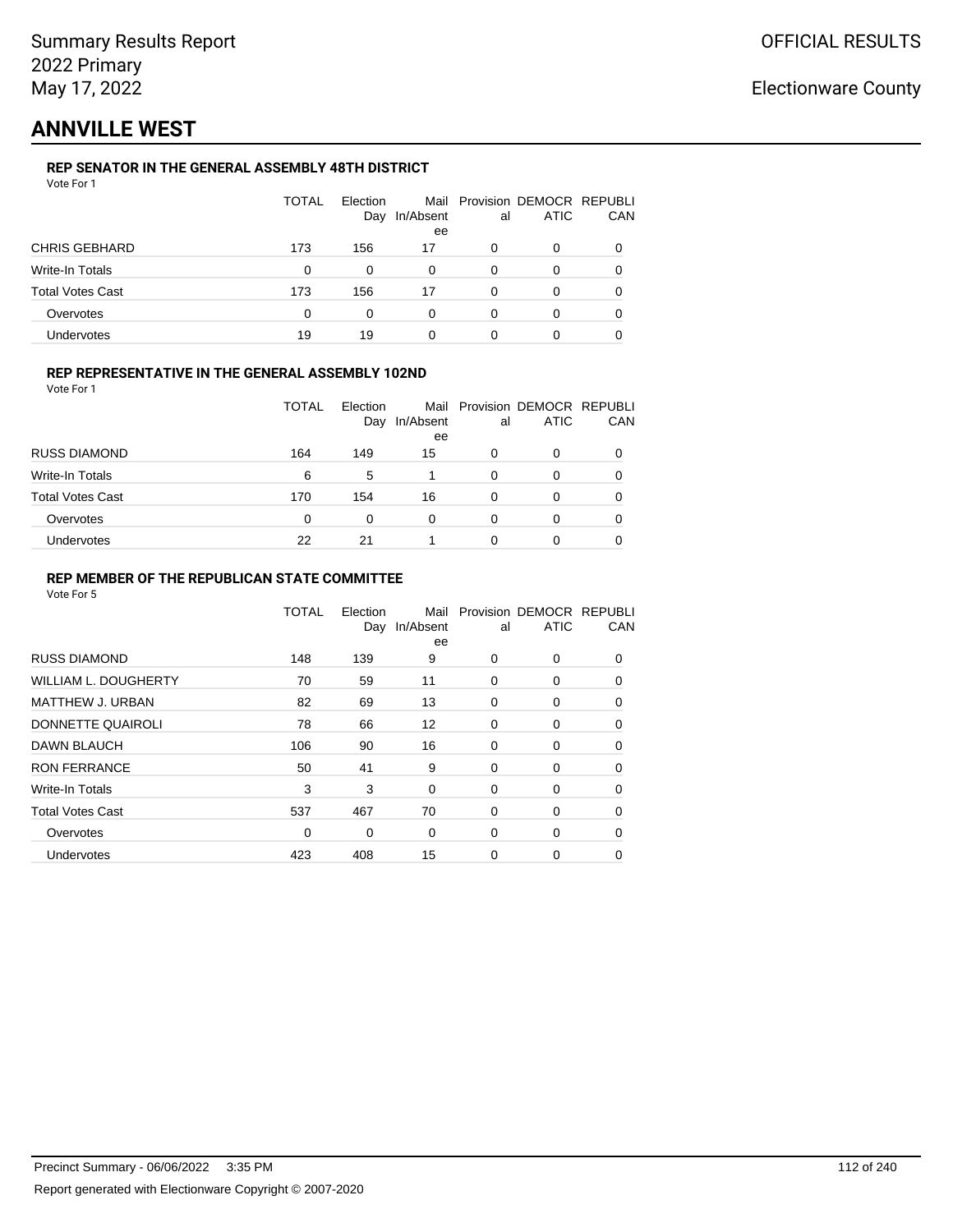# **ANNVILLE WEST**

### **REP SENATOR IN THE GENERAL ASSEMBLY 48TH DISTRICT**

| Vote For 1 |  |
|------------|--|
|------------|--|

|                         | TOTAL | Election<br>Day | In/Absent<br>ee | al | Mail Provision DEMOCR REPUBLI<br>ATIC | CAN |
|-------------------------|-------|-----------------|-----------------|----|---------------------------------------|-----|
| <b>CHRIS GEBHARD</b>    | 173   | 156             | 17              | 0  | 0                                     |     |
| Write-In Totals         | 0     | 0               | 0               | 0  | 0                                     |     |
| <b>Total Votes Cast</b> | 173   | 156             | 17              | 0  | ი                                     |     |
| Overvotes               | 0     | 0               | ი               |    |                                       |     |
| Undervotes              | 19    | 19              | 0               |    |                                       |     |

#### **REP REPRESENTATIVE IN THE GENERAL ASSEMBLY 102ND**

Vote For 1

|                         | <b>TOTAL</b> | Election<br>Day | In/Absent | al | Mail Provision DEMOCR REPUBLI<br><b>ATIC</b> | CAN |
|-------------------------|--------------|-----------------|-----------|----|----------------------------------------------|-----|
| <b>RUSS DIAMOND</b>     | 164          | 149             | ee<br>15  | 0  | 0                                            |     |
| Write-In Totals         | 6            | 5               |           | 0  | O                                            |     |
| <b>Total Votes Cast</b> | 170          | 154             | 16        | 0  | 0                                            |     |
| Overvotes               | $\Omega$     | 0               | 0         | 0  | 0                                            |     |
| Undervotes              | 22           | 21              |           | 0  | 0                                            |     |

#### **REP MEMBER OF THE REPUBLICAN STATE COMMITTEE**

|                             | TOTAL | Election<br>Day | Mail<br>In/Absent<br>ee | al | Provision DEMOCR REPUBLI<br><b>ATIC</b> | CAN      |
|-----------------------------|-------|-----------------|-------------------------|----|-----------------------------------------|----------|
| <b>RUSS DIAMOND</b>         | 148   | 139             | 9                       | 0  | $\Omega$                                | $\Omega$ |
| <b>WILLIAM L. DOUGHERTY</b> | 70    | 59              | 11                      | 0  | 0                                       | 0        |
| MATTHEW J. URBAN            | 82    | 69              | 13                      | 0  | 0                                       | $\Omega$ |
| DONNETTE QUAIROLI           | 78    | 66              | 12                      | 0  | 0                                       | $\Omega$ |
| <b>DAWN BLAUCH</b>          | 106   | 90              | 16                      | 0  | 0                                       | $\Omega$ |
| <b>RON FERRANCE</b>         | 50    | 41              | 9                       | 0  | 0                                       | 0        |
| Write-In Totals             | 3     | 3               | $\mathbf 0$             | 0  | 0                                       | 0        |
| <b>Total Votes Cast</b>     | 537   | 467             | 70                      | 0  | 0                                       | 0        |
| Overvotes                   | 0     | 0               | $\Omega$                | 0  | 0                                       | $\Omega$ |
| Undervotes                  | 423   | 408             | 15                      | 0  | 0                                       | 0        |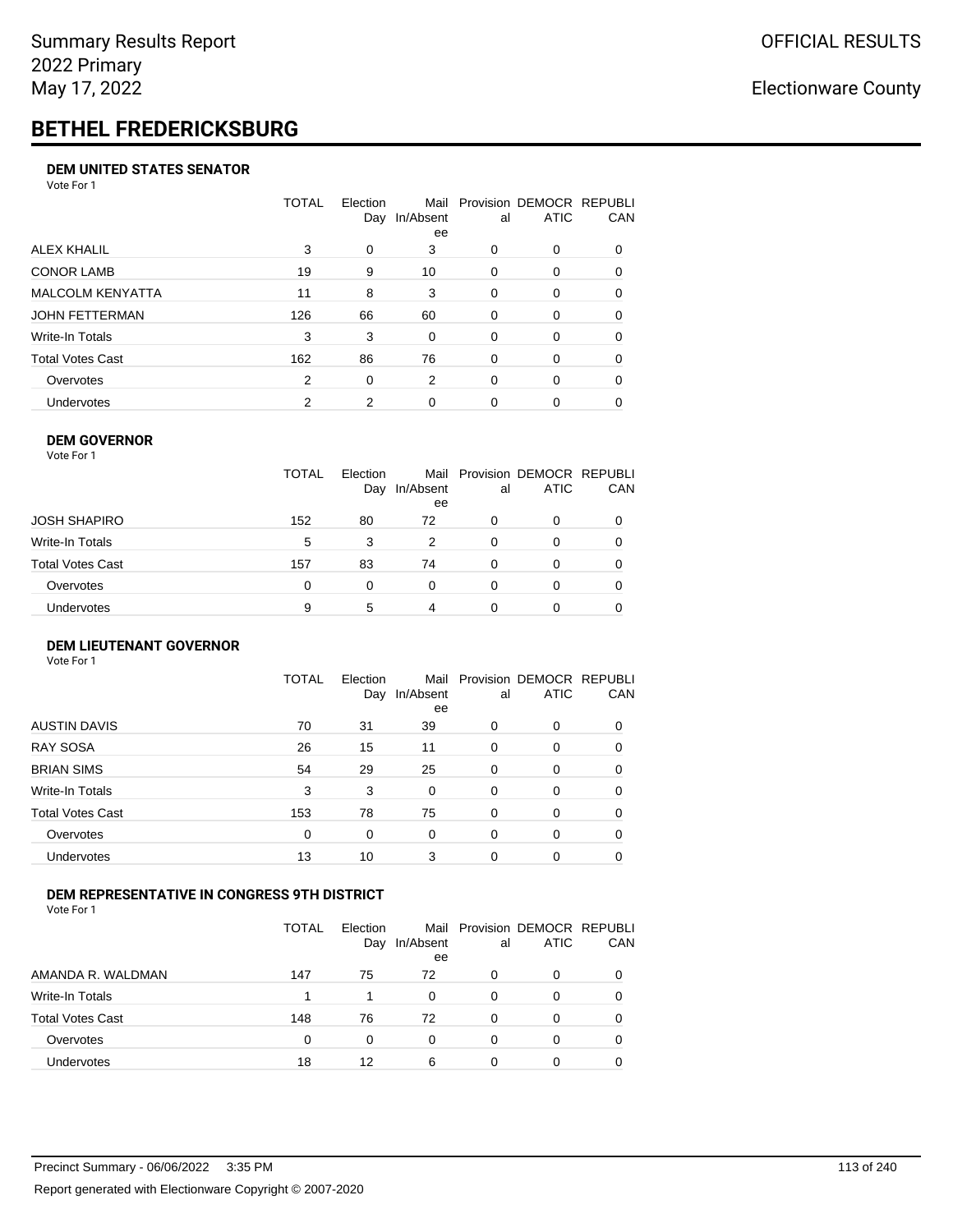# **BETHEL FREDERICKSBURG**

#### **DEM UNITED STATES SENATOR**

Vote For 1

|                         | TOTAL | Election<br>Day | Mail<br>In/Absent<br>ee | al       | Provision DEMOCR REPUBLI<br><b>ATIC</b> | CAN      |
|-------------------------|-------|-----------------|-------------------------|----------|-----------------------------------------|----------|
| ALEX KHALIL             | 3     | 0               | 3                       | $\Omega$ | 0                                       | $\Omega$ |
| <b>CONOR LAMB</b>       | 19    | 9               | 10                      | $\Omega$ | 0                                       | 0        |
| <b>MALCOLM KENYATTA</b> | 11    | 8               | 3                       | $\Omega$ | $\Omega$                                | 0        |
| JOHN FETTERMAN          | 126   | 66              | 60                      | $\Omega$ | $\Omega$                                | $\Omega$ |
| Write-In Totals         | 3     | 3               | 0                       | $\Omega$ | 0                                       | $\Omega$ |
| Total Votes Cast        | 162   | 86              | 76                      | $\Omega$ | $\Omega$                                | $\Omega$ |
| Overvotes               | 2     | 0               | 2                       | $\Omega$ | $\Omega$                                | 0        |
| <b>Undervotes</b>       | 2     | 2               | 0                       | 0        | 0                                       |          |

#### **DEM GOVERNOR**

| Vote For 1       |              |                 |                 |          |                                              |          |
|------------------|--------------|-----------------|-----------------|----------|----------------------------------------------|----------|
|                  | <b>TOTAL</b> | Election<br>Day | In/Absent<br>ee | al       | Mail Provision DEMOCR REPUBLI<br><b>ATIC</b> | CAN      |
| JOSH SHAPIRO     | 152          | 80              | 72              | 0        | 0                                            |          |
| Write-In Totals  | 5            | 3               | 2               | $\Omega$ | 0                                            | $\Omega$ |
| Total Votes Cast | 157          | 83              | 74              | $\Omega$ | 0                                            | 0        |
| Overvotes        | 0            | 0               | $\Omega$        | 0        | 0                                            | 0        |
| Undervotes       | 9            | 5               | 4               |          | 0                                            |          |

#### **DEM LIEUTENANT GOVERNOR** Vote For 1

|                         | TOTAL | Election<br>Day | In/Absent<br>ee | al       | Mail Provision DEMOCR REPUBLI<br><b>ATIC</b> | CAN      |
|-------------------------|-------|-----------------|-----------------|----------|----------------------------------------------|----------|
| <b>AUSTIN DAVIS</b>     | 70    | 31              | 39              | 0        | 0                                            | 0        |
| <b>RAY SOSA</b>         | 26    | 15              | 11              | 0        | 0                                            | $\Omega$ |
| <b>BRIAN SIMS</b>       | 54    | 29              | 25              | 0        | 0                                            | $\Omega$ |
| Write-In Totals         | 3     | 3               | $\Omega$        | $\Omega$ | $\Omega$                                     | $\Omega$ |
| <b>Total Votes Cast</b> | 153   | 78              | 75              | 0        | 0                                            | $\Omega$ |
| Overvotes               | 0     | 0               | 0               | $\Omega$ | 0                                            | $\Omega$ |
| Undervotes              | 13    | 10              | 3               | 0        | 0                                            | 0        |

#### **DEM REPRESENTATIVE IN CONGRESS 9TH DISTRICT**

Vote For 1

|                         | TOTAL | <b>Flection</b><br>Day | Mail<br>In/Absent<br>ee | al | Provision DEMOCR REPUBLI<br><b>ATIC</b> | <b>CAN</b> |
|-------------------------|-------|------------------------|-------------------------|----|-----------------------------------------|------------|
| AMANDA R. WALDMAN       | 147   | 75                     | 72                      | 0  | 0                                       | 0          |
| Write-In Totals         |       |                        | 0                       | Ω  |                                         | 0          |
| <b>Total Votes Cast</b> | 148   | 76                     | 72                      | 0  |                                         | 0          |
| Overvotes               | 0     | 0                      | 0                       | 0  | 0                                       | 0          |
| Undervotes              | 18    | 12                     | 6                       | 0  |                                         |            |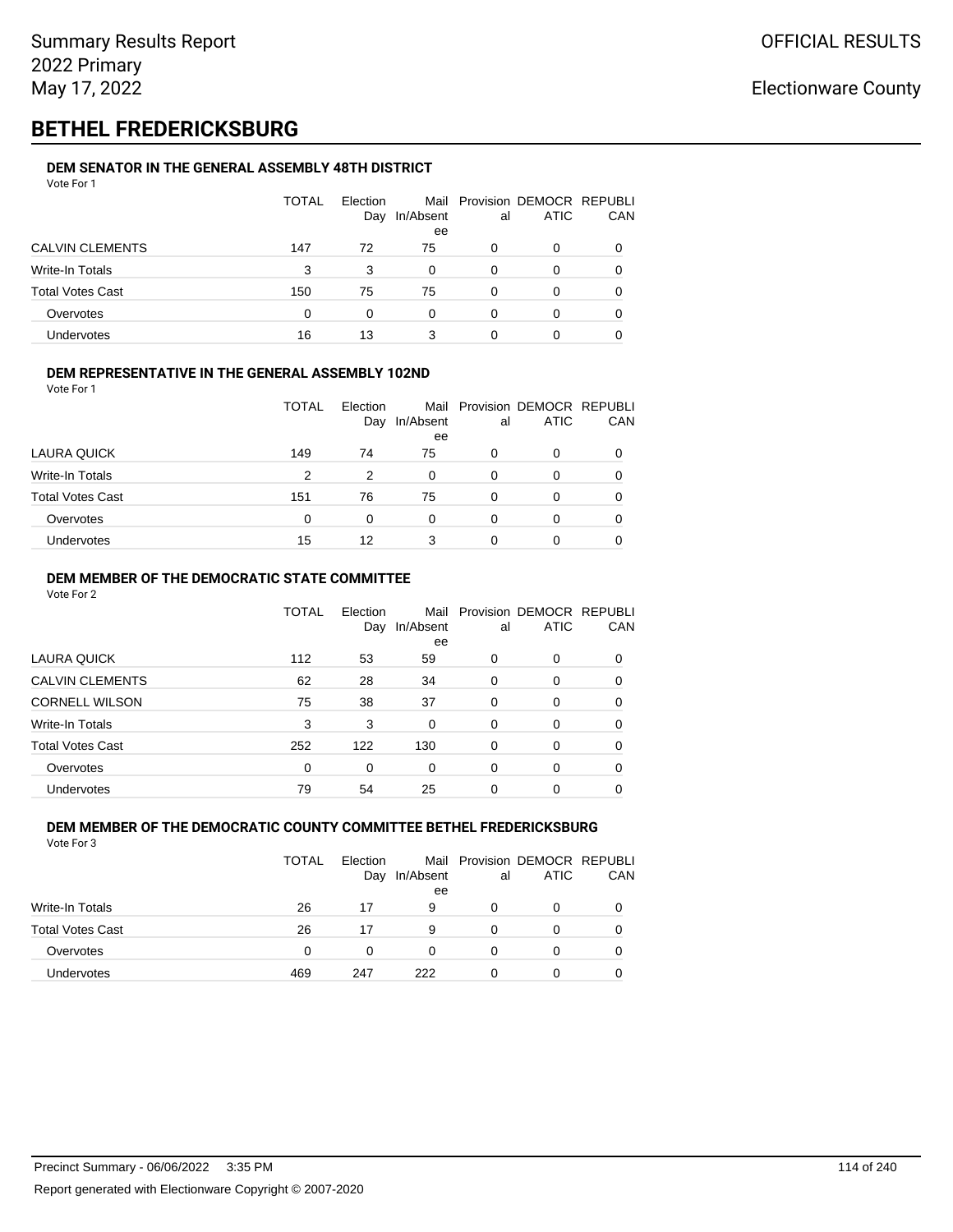# **BETHEL FREDERICKSBURG**

#### **DEM SENATOR IN THE GENERAL ASSEMBLY 48TH DISTRICT** Vote For 1

| 1 U U U                 |              |                 |                 |    |                                              |          |
|-------------------------|--------------|-----------------|-----------------|----|----------------------------------------------|----------|
|                         | <b>TOTAL</b> | Election<br>Day | In/Absent<br>ee | al | Mail Provision DEMOCR REPUBLI<br><b>ATIC</b> | CAN      |
| <b>CALVIN CLEMENTS</b>  | 147          | 72              | 75              | 0  | O                                            |          |
| Write-In Totals         | 3            | 3               | 0               | 0  | O                                            |          |
| <b>Total Votes Cast</b> | 150          | 75              | 75              | 0  | 0                                            |          |
| Overvotes               | $\Omega$     | 0               | 0               | 0  | 0                                            | $\Omega$ |
| Undervotes              | 16           | 13              | 3               | 0  | O                                            |          |

#### **DEM REPRESENTATIVE IN THE GENERAL ASSEMBLY 102ND**

|  | . |  |  |  |
|--|---|--|--|--|
|  |   |  |  |  |
|  |   |  |  |  |
|  |   |  |  |  |
|  |   |  |  |  |
|  |   |  |  |  |
|  |   |  |  |  |
|  |   |  |  |  |
|  |   |  |  |  |
|  |   |  |  |  |
|  |   |  |  |  |
|  |   |  |  |  |
|  |   |  |  |  |
|  |   |  |  |  |
|  |   |  |  |  |
|  |   |  |  |  |
|  |   |  |  |  |
|  |   |  |  |  |
|  |   |  |  |  |
|  |   |  |  |  |
|  |   |  |  |  |

|                         |     | Day | In/Absent<br>ee | al | <b>ATIC</b> | CAN |
|-------------------------|-----|-----|-----------------|----|-------------|-----|
| LAURA QUICK             | 149 | 74  | 75              | 0  | 0           |     |
| Write-In Totals         | 2   | 2   | 0               |    | 0           |     |
| <b>Total Votes Cast</b> | 151 | 76  | 75              |    | Ω           |     |
| Overvotes               | 0   | 0   | 0               |    | Ω           |     |
| Undervotes              | 15  | 12  | 3               |    | 0           |     |

TOTAL Election

Mail

Provision

DEMOCR

REPUBLI

#### **DEM MEMBER OF THE DEMOCRATIC STATE COMMITTEE**

Vote For 2

Vote For 1

|                         | TOTAL | Flection<br>Day | Mail<br>In/Absent<br>ee | al       | Provision DEMOCR REPUBLI<br><b>ATIC</b> | CAN      |
|-------------------------|-------|-----------------|-------------------------|----------|-----------------------------------------|----------|
| LAURA QUICK             | 112   | 53              | 59                      | 0        | 0                                       | 0        |
| <b>CALVIN CLEMENTS</b>  | 62    | 28              | 34                      | $\Omega$ | 0                                       | 0        |
| <b>CORNELL WILSON</b>   | 75    | 38              | 37                      | $\Omega$ | $\Omega$                                | $\Omega$ |
| Write-In Totals         | 3     | 3               | 0                       | 0        | 0                                       | 0        |
| <b>Total Votes Cast</b> | 252   | 122             | 130                     | $\Omega$ | 0                                       | $\Omega$ |
| Overvotes               | 0     | 0               | 0                       | $\Omega$ | 0                                       | 0        |
| Undervotes              | 79    | 54              | 25                      | 0        | 0                                       |          |

#### **DEM MEMBER OF THE DEMOCRATIC COUNTY COMMITTEE BETHEL FREDERICKSBURG** Vote For 3

|                         | <b>TOTAL</b> | Election<br>Day | In/Absent<br>ee | al | Mail Provision DEMOCR REPUBLI<br><b>ATIC</b> | CAN |
|-------------------------|--------------|-----------------|-----------------|----|----------------------------------------------|-----|
| Write-In Totals         | 26           | 17              | 9               | 0  | O                                            |     |
| <b>Total Votes Cast</b> | 26           | 17              | 9               | 0  | O                                            |     |
| Overvotes               | 0            | 0               | 0               | 0  | O                                            |     |
| <b>Undervotes</b>       | 469          | 247             | 222             | 0  | 0                                            |     |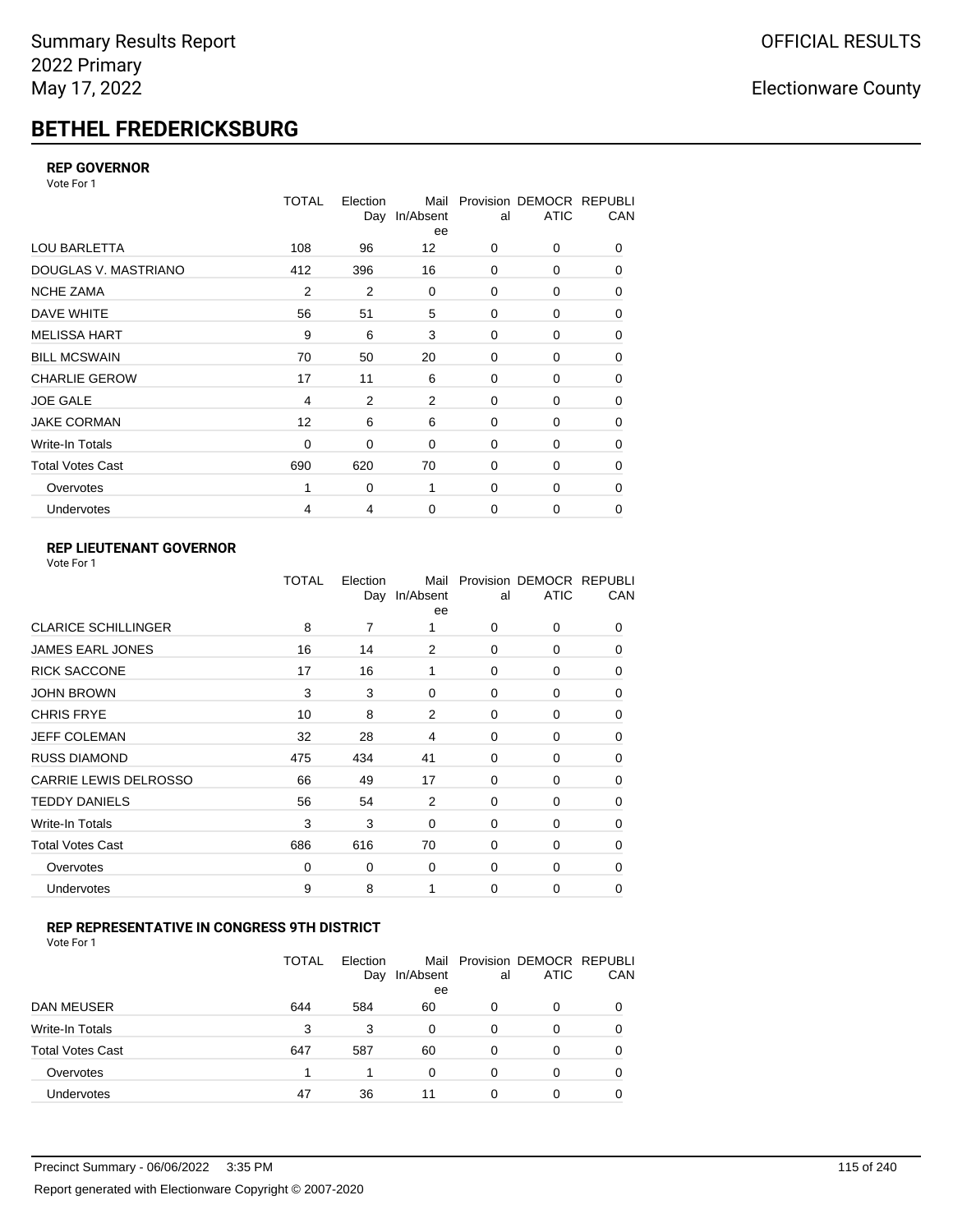# **BETHEL FREDERICKSBURG**

#### **REP GOVERNOR**

Vote For 1

|                         | <b>TOTAL</b>   | Election<br>Day | Mail<br>In/Absent<br>ee | al          | Provision DEMOCR REPUBLI<br><b>ATIC</b> | CAN      |
|-------------------------|----------------|-----------------|-------------------------|-------------|-----------------------------------------|----------|
| <b>LOU BARLETTA</b>     | 108            | 96              | 12                      | 0           | 0                                       | 0        |
| DOUGLAS V. MASTRIANO    | 412            | 396             | 16                      | $\mathbf 0$ | 0                                       | 0        |
| <b>NCHE ZAMA</b>        | $\overline{2}$ | $\overline{2}$  | 0                       | 0           | 0                                       | 0        |
| DAVE WHITE              | 56             | 51              | 5                       | $\mathbf 0$ | 0                                       | 0        |
| <b>MELISSA HART</b>     | 9              | 6               | 3                       | $\mathbf 0$ | 0                                       | 0        |
| <b>BILL MCSWAIN</b>     | 70             | 50              | 20                      | $\mathbf 0$ | 0                                       | 0        |
| <b>CHARLIE GEROW</b>    | 17             | 11              | 6                       | $\mathbf 0$ | 0                                       | 0        |
| <b>JOE GALE</b>         | $\overline{4}$ | $\overline{2}$  | $\overline{2}$          | $\mathbf 0$ | 0                                       | 0        |
| <b>JAKE CORMAN</b>      | 12             | 6               | 6                       | $\mathbf 0$ | 0                                       | 0        |
| Write-In Totals         | 0              | 0               | 0                       | $\mathbf 0$ | 0                                       | 0        |
| <b>Total Votes Cast</b> | 690            | 620             | 70                      | $\mathbf 0$ | 0                                       | 0        |
| Overvotes               |                | 0               | 1                       | 0           | 0                                       | $\Omega$ |
| Undervotes              | 4              | 4               | 0                       | 0           | 0                                       | 0        |

### **REP LIEUTENANT GOVERNOR**

|                            | TOTAL | Election | Mail<br>Day In/Absent<br>ee | al          | Provision DEMOCR REPUBLI<br><b>ATIC</b> | CAN      |
|----------------------------|-------|----------|-----------------------------|-------------|-----------------------------------------|----------|
| <b>CLARICE SCHILLINGER</b> | 8     | 7        | 1                           | $\Omega$    | 0                                       | 0        |
| <b>JAMES EARL JONES</b>    | 16    | 14       | 2                           | 0           | 0                                       | 0        |
| <b>RICK SACCONE</b>        | 17    | 16       | 1                           | $\Omega$    | 0                                       | 0        |
| <b>JOHN BROWN</b>          | 3     | 3        | 0                           | $\Omega$    | 0                                       | 0        |
| <b>CHRIS FRYE</b>          | 10    | 8        | $\overline{2}$              | 0           | 0                                       | 0        |
| JEFF COLEMAN               | 32    | 28       | 4                           | 0           | 0                                       | 0        |
| <b>RUSS DIAMOND</b>        | 475   | 434      | 41                          | 0           | 0                                       | 0        |
| CARRIE LEWIS DELROSSO      | 66    | 49       | 17                          | 0           | 0                                       | 0        |
| <b>TEDDY DANIELS</b>       | 56    | 54       | 2                           | 0           | 0                                       | 0        |
| Write-In Totals            | 3     | 3        | 0                           | 0           | 0                                       | 0        |
| <b>Total Votes Cast</b>    | 686   | 616      | 70                          | $\Omega$    | 0                                       | $\Omega$ |
| Overvotes                  | 0     | 0        | 0                           | 0           | 0                                       | $\Omega$ |
| Undervotes                 | 9     | 8        | 1                           | $\mathbf 0$ | 0                                       | 0        |
|                            |       |          |                             |             |                                         |          |

### **REP REPRESENTATIVE IN CONGRESS 9TH DISTRICT**

| Vote For 1 |  |  |
|------------|--|--|
|------------|--|--|

|                         | <b>TOTAL</b> | Election<br>Day | In/Absent<br>ee | al       | Mail Provision DEMOCR REPUBLI<br><b>ATIC</b> | CAN      |
|-------------------------|--------------|-----------------|-----------------|----------|----------------------------------------------|----------|
| DAN MEUSER              | 644          | 584             | 60              | 0        | 0                                            | $\Omega$ |
| Write-In Totals         | 3            | 3               | 0               | $\Omega$ | 0                                            |          |
| <b>Total Votes Cast</b> | 647          | 587             | 60              | $\Omega$ | 0                                            |          |
| Overvotes               |              |                 | 0               | 0        | 0                                            | 0        |
| Undervotes              | 47           | 36              | 11              | 0        | 0                                            |          |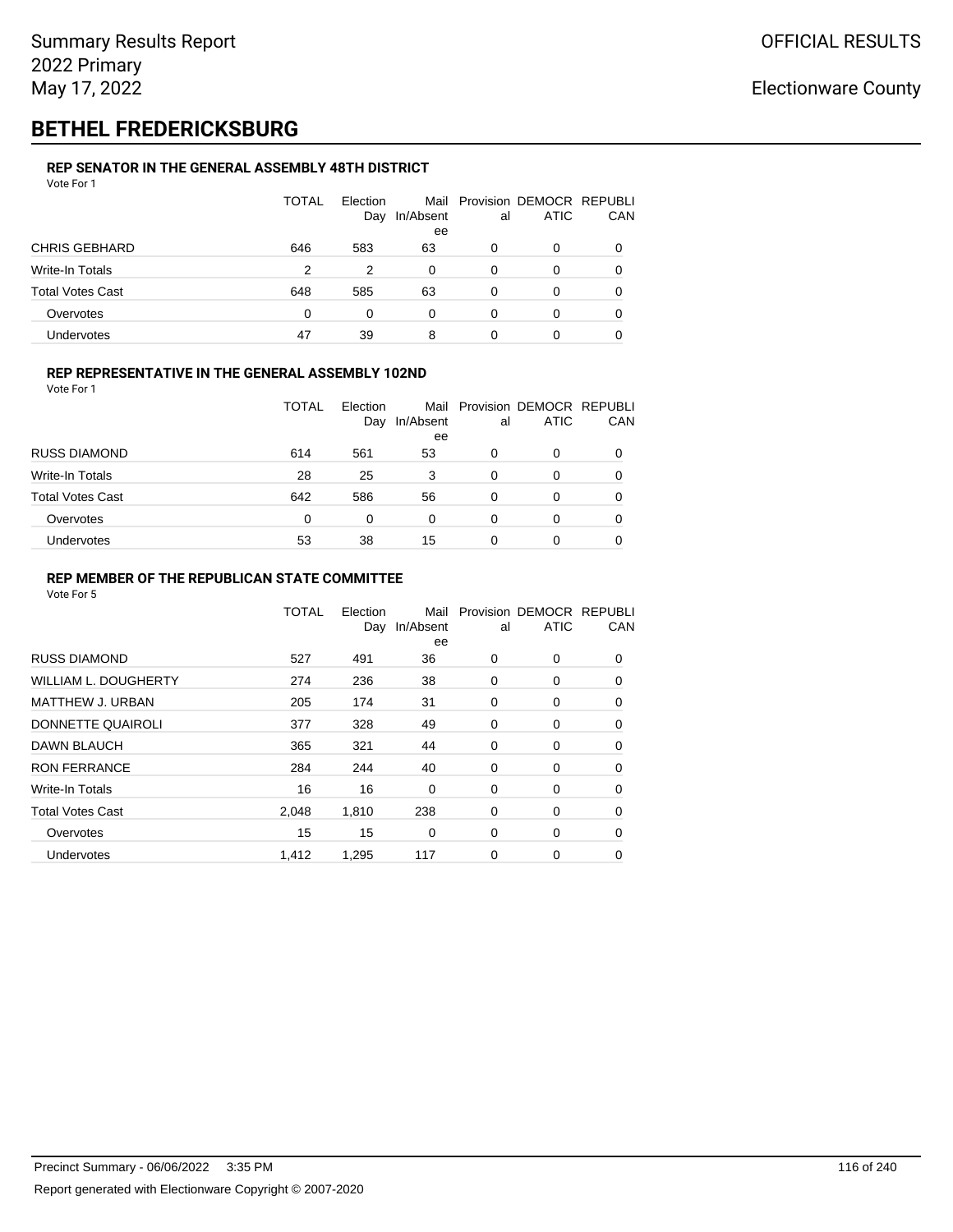# **BETHEL FREDERICKSBURG**

#### **REP SENATOR IN THE GENERAL ASSEMBLY 48TH DISTRICT** Vote For 1

| <u>VULCIUI</u>          |              |                 |           |    |                                              |          |
|-------------------------|--------------|-----------------|-----------|----|----------------------------------------------|----------|
|                         | <b>TOTAL</b> | Election<br>Day | In/Absent | al | Mail Provision DEMOCR REPUBLI<br><b>ATIC</b> | CAN      |
|                         |              |                 | ee        |    |                                              |          |
| <b>CHRIS GEBHARD</b>    | 646          | 583             | 63        | 0  | O                                            |          |
| Write-In Totals         | 2            | 2               | 0         | 0  | 0                                            |          |
| <b>Total Votes Cast</b> | 648          | 585             | 63        | 0  | 0                                            | $\Omega$ |
| Overvotes               | 0            | 0               | 0         | 0  | O                                            |          |
| <b>Undervotes</b>       | 47           | 39              | 8         | 0  | 0                                            |          |

#### **REP REPRESENTATIVE IN THE GENERAL ASSEMBLY 102ND**

Vote For 1

|                         | TOTAL | Election<br>Day | In/Absent | al | Mail Provision DEMOCR REPUBLI<br><b>ATIC</b> | <b>CAN</b> |
|-------------------------|-------|-----------------|-----------|----|----------------------------------------------|------------|
|                         |       |                 | ee        |    |                                              |            |
| <b>RUSS DIAMOND</b>     | 614   | 561             | 53        | 0  | 0                                            | 0          |
| Write-In Totals         | 28    | 25              | 3         | 0  | 0                                            | 0          |
| <b>Total Votes Cast</b> | 642   | 586             | 56        | 0  | 0                                            | 0          |
| Overvotes               | 0     | $\Omega$        | 0         | 0  | 0                                            | 0          |
| Undervotes              | 53    | 38              | 15        | 0  |                                              | 0          |

#### **REP MEMBER OF THE REPUBLICAN STATE COMMITTEE**

|                             | <b>TOTAL</b> | Election<br>Day | Mail<br>In/Absent<br>ee | al          | Provision DEMOCR REPUBLI<br><b>ATIC</b> | CAN      |
|-----------------------------|--------------|-----------------|-------------------------|-------------|-----------------------------------------|----------|
| <b>RUSS DIAMOND</b>         | 527          | 491             | 36                      | 0           | 0                                       | 0        |
| <b>WILLIAM L. DOUGHERTY</b> | 274          | 236             | 38                      | 0           | 0                                       | 0        |
| MATTHEW J. URBAN            | 205          | 174             | 31                      | 0           | 0                                       | $\Omega$ |
| DONNETTE QUAIROLI           | 377          | 328             | 49                      | $\mathbf 0$ | 0                                       | $\Omega$ |
| DAWN BLAUCH                 | 365          | 321             | 44                      | 0           | 0                                       | $\Omega$ |
| <b>RON FERRANCE</b>         | 284          | 244             | 40                      | 0           | 0                                       | 0        |
| Write-In Totals             | 16           | 16              | 0                       | 0           | 0                                       | 0        |
| <b>Total Votes Cast</b>     | 2,048        | 1,810           | 238                     | 0           | 0                                       | 0        |
| Overvotes                   | 15           | 15              | 0                       | 0           | 0                                       | 0        |
| Undervotes                  | 1,412        | 1,295           | 117                     | 0           | 0                                       | 0        |
|                             |              |                 |                         |             |                                         |          |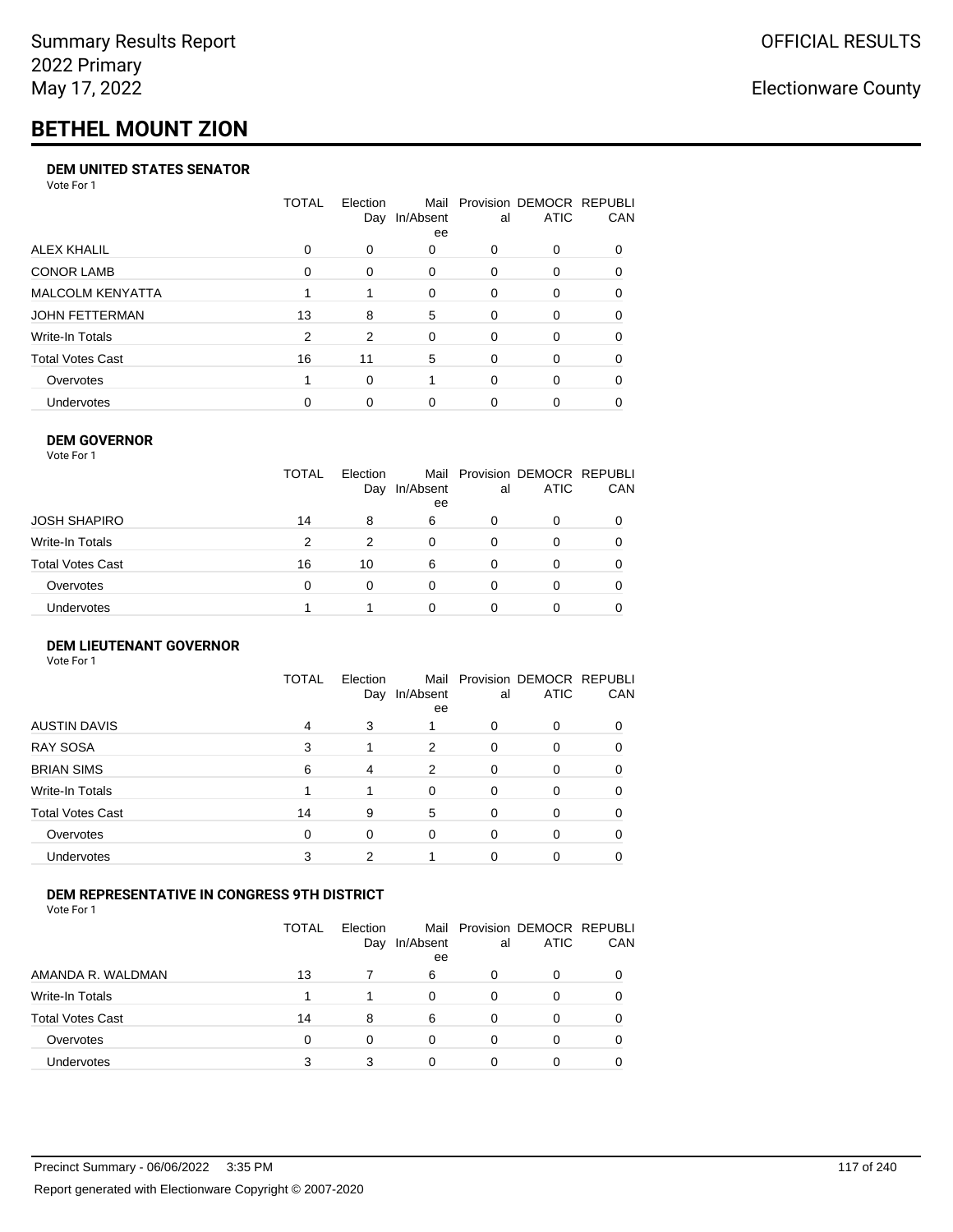# **BETHEL MOUNT ZION**

#### **DEM UNITED STATES SENATOR**

Vote For 1

|                         | TOTAL | Election | Mail<br>Day In/Absent<br>ee | al | Provision DEMOCR REPUBLI<br>ATIC | <b>CAN</b> |
|-------------------------|-------|----------|-----------------------------|----|----------------------------------|------------|
| ALEX KHALIL             | 0     | 0        | 0                           | 0  | $\Omega$                         | 0          |
| <b>CONOR LAMB</b>       | 0     | $\Omega$ | 0                           | 0  | $\Omega$                         | 0          |
| <b>MALCOLM KENYATTA</b> |       |          | $\Omega$                    | 0  | $\Omega$                         | 0          |
| JOHN FETTERMAN          | 13    | 8        | 5                           | 0  | $\Omega$                         | $\Omega$   |
| Write-In Totals         | 2     | 2        | $\Omega$                    | 0  | $\Omega$                         | $\Omega$   |
| <b>Total Votes Cast</b> | 16    | 11       | 5                           | 0  | $\Omega$                         | $\Omega$   |
| Overvotes               |       | $\Omega$ |                             | 0  | $\Omega$                         | 0          |
| <b>Undervotes</b>       | 0     | 0        | 0                           | 0  |                                  | 0          |

#### **DEM GOVERNOR**

| Vote For 1       |              |                 |                 |          |                                              |     |
|------------------|--------------|-----------------|-----------------|----------|----------------------------------------------|-----|
|                  | <b>TOTAL</b> | Election<br>Day | In/Absent<br>ee | al       | Mail Provision DEMOCR REPUBLI<br><b>ATIC</b> | CAN |
| JOSH SHAPIRO     | 14           | 8               | 6               | 0        | 0                                            |     |
| Write-In Totals  | 2            | 2               | $\Omega$        | $\Omega$ | $\Omega$                                     |     |
| Total Votes Cast | 16           | 10              | 6               | 0        | 0                                            | 0   |
| Overvotes        | 0            | 0               | $\Omega$        | $\Omega$ | 0                                            |     |
| Undervotes       |              |                 | 0               |          | 0                                            |     |
|                  |              |                 |                 |          |                                              |     |

#### **DEM LIEUTENANT GOVERNOR** Vote For 1

|                         | <b>TOTAL</b> | Election<br>Day | In/Absent<br>ee | al       | Mail Provision DEMOCR REPUBLI<br><b>ATIC</b> | CAN |
|-------------------------|--------------|-----------------|-----------------|----------|----------------------------------------------|-----|
| <b>AUSTIN DAVIS</b>     | 4            | 3               |                 | $\Omega$ | 0                                            |     |
| RAY SOSA                | 3            | 1               | 2               | $\Omega$ | 0                                            | 0   |
| <b>BRIAN SIMS</b>       | 6            | 4               | 2               | $\Omega$ | 0                                            | 0   |
| Write-In Totals         |              |                 | $\Omega$        | $\Omega$ | 0                                            | 0   |
| <b>Total Votes Cast</b> | 14           | 9               | 5               | $\Omega$ | 0                                            | 0   |
| Overvotes               | $\Omega$     | $\Omega$        | $\Omega$        | $\Omega$ | 0                                            | 0   |
| <b>Undervotes</b>       | 3            | 2               |                 | $\Omega$ | 0                                            |     |

#### **DEM REPRESENTATIVE IN CONGRESS 9TH DISTRICT**

Vote For 1

|                         | TOTAL | <b>Flection</b><br>Day | In/Absent<br>ee | al | Mail Provision DEMOCR REPUBLI<br><b>ATIC</b> | <b>CAN</b> |
|-------------------------|-------|------------------------|-----------------|----|----------------------------------------------|------------|
| AMANDA R. WALDMAN       | 13    |                        | 6               |    | 0                                            |            |
| Write-In Totals         |       |                        | U               | ∩  | $\Omega$                                     | 0          |
| <b>Total Votes Cast</b> | 14    | 8                      | 6               | 0  |                                              | 0          |
| Overvotes               | 0     | 0                      | 0               | 0  | $\Omega$                                     | 0          |
| <b>Undervotes</b>       | 3     |                        |                 |    |                                              |            |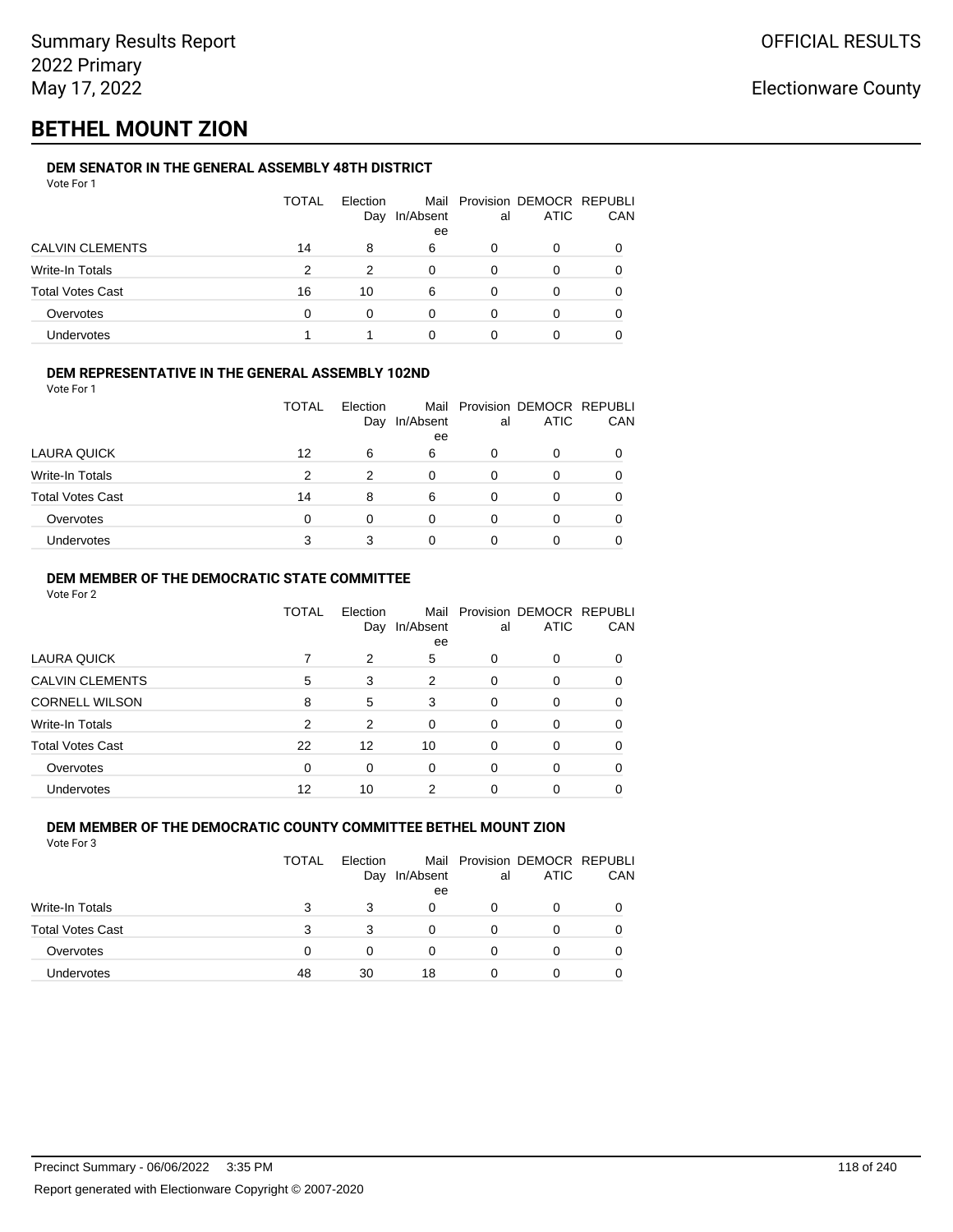# **BETHEL MOUNT ZION**

### **DEM SENATOR IN THE GENERAL ASSEMBLY 48TH DISTRICT**

| Vote For 1              |              |                 |                 |    |                                              |     |
|-------------------------|--------------|-----------------|-----------------|----|----------------------------------------------|-----|
|                         | <b>TOTAL</b> | Election<br>Day | In/Absent<br>ee | al | Mail Provision DEMOCR REPUBLI<br><b>ATIC</b> | CAN |
| <b>CALVIN CLEMENTS</b>  | 14           | 8               | 6               | 0  | 0                                            | 0   |
| <b>Write-In Totals</b>  | 2            | 2               | 0               | 0  | 0                                            | 0   |
| <b>Total Votes Cast</b> | 16           | 10              | 6               | 0  | 0                                            | 0   |
| Overvotes               | 0            | $\Omega$        | 0               | 0  | 0                                            | 0   |
| <b>Undervotes</b>       |              | 1               | 0               | 0  | 0                                            |     |
|                         |              |                 |                 |    |                                              |     |

#### **DEM REPRESENTATIVE IN THE GENERAL ASSEMBLY 102ND**

Vote For 1

|                         | TOTAL | Election<br>Day | In/Absent | al | Mail Provision DEMOCR REPUBLI<br><b>ATIC</b> | CAN |
|-------------------------|-------|-----------------|-----------|----|----------------------------------------------|-----|
|                         |       |                 | ee        |    |                                              |     |
| LAURA QUICK             | 12    | 6               | 6         |    | ი                                            |     |
| Write-In Totals         | 2     | 2               | 0         |    | 0                                            |     |
| <b>Total Votes Cast</b> | 14    | 8               | 6         |    | ი                                            |     |
| Overvotes               | 0     |                 | 0         |    |                                              |     |
| Undervotes              |       |                 |           |    |                                              |     |

#### **DEM MEMBER OF THE DEMOCRATIC STATE COMMITTEE**

Vote For 2

|                         | TOTAL | Election<br>Day | In/Absent<br>ee | al       | Mail Provision DEMOCR REPUBLI<br><b>ATIC</b> | CAN |
|-------------------------|-------|-----------------|-----------------|----------|----------------------------------------------|-----|
| LAURA QUICK             |       | 2               | 5               | 0        | $\Omega$                                     | 0   |
| <b>CALVIN CLEMENTS</b>  | 5     | 3               | 2               | $\Omega$ | 0                                            |     |
| <b>CORNELL WILSON</b>   | 8     | 5               | 3               | $\Omega$ | $\Omega$                                     | 0   |
| Write-In Totals         | 2     | 2               | $\Omega$        | $\Omega$ | $\Omega$                                     | 0   |
| <b>Total Votes Cast</b> | 22    | 12              | 10              | $\Omega$ | $\Omega$                                     | 0   |
| Overvotes               | 0     | 0               | $\Omega$        | $\Omega$ | $\Omega$                                     | 0   |
| <b>Undervotes</b>       | 12    | 10              | 2               |          |                                              |     |

#### **DEM MEMBER OF THE DEMOCRATIC COUNTY COMMITTEE BETHEL MOUNT ZION** Vote For 3

|                         | <b>TOTAL</b> | Election<br>Day | In/Absent<br>ee | al | Mail Provision DEMOCR REPUBLI<br><b>ATIC</b> | CAN |
|-------------------------|--------------|-----------------|-----------------|----|----------------------------------------------|-----|
| Write-In Totals         | з            | 3               | 0               |    |                                              |     |
| <b>Total Votes Cast</b> | 3            | 3               |                 |    | 0                                            |     |
| Overvotes               | 0            | O               |                 |    | 0                                            |     |
| <b>Undervotes</b>       | 48           | 30              | 18              |    | 0                                            |     |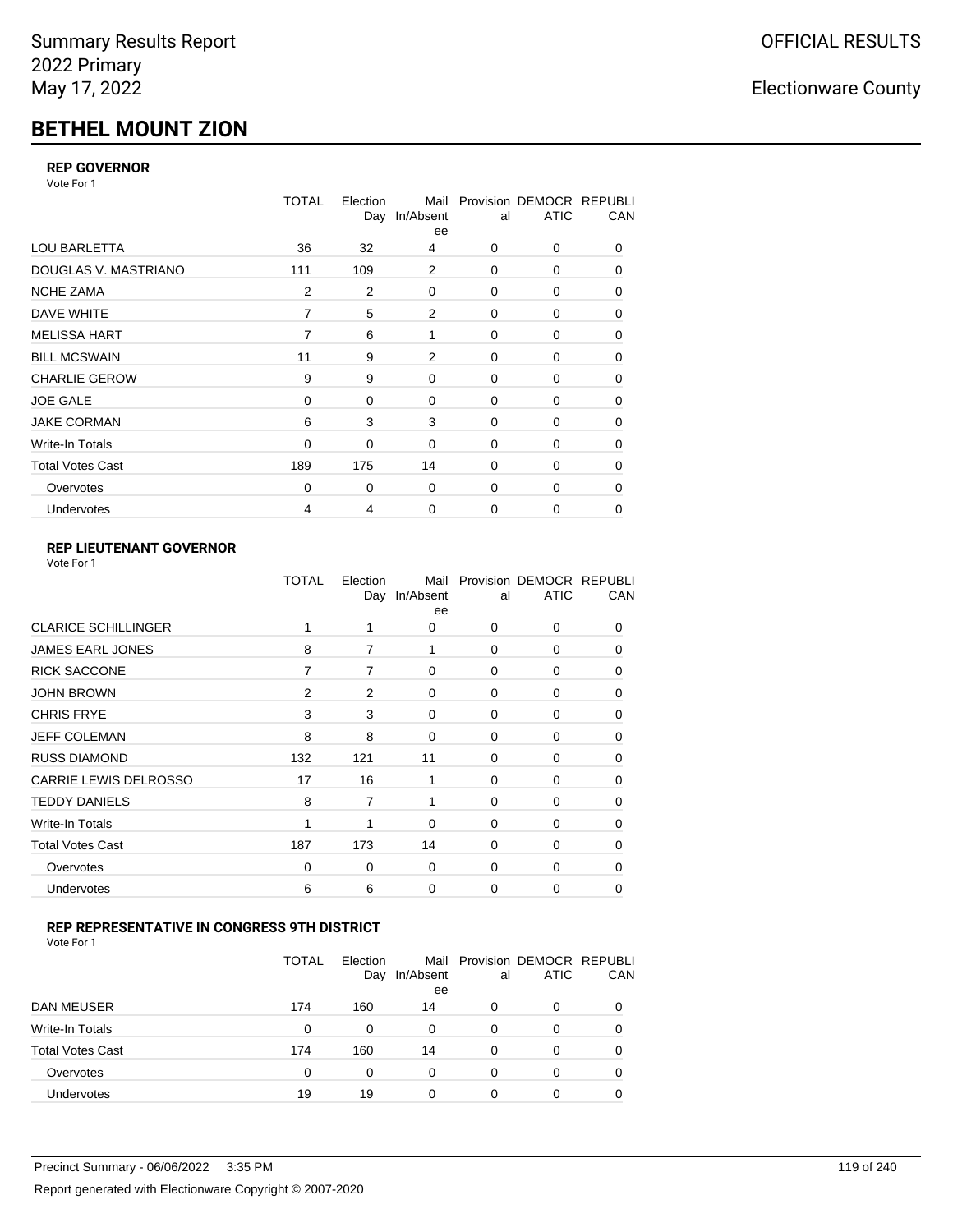# **BETHEL MOUNT ZION**

### **REP GOVERNOR**

Vote For 1

|                         | <b>TOTAL</b> | Election<br>Day | Mail<br>In/Absent<br>ee | al          | Provision DEMOCR REPUBLI<br><b>ATIC</b> | CAN |
|-------------------------|--------------|-----------------|-------------------------|-------------|-----------------------------------------|-----|
| <b>LOU BARLETTA</b>     | 36           | 32              | 4                       | 0           | 0                                       | 0   |
| DOUGLAS V. MASTRIANO    | 111          | 109             | 2                       | $\mathbf 0$ | 0                                       | 0   |
| <b>NCHE ZAMA</b>        | 2            | 2               | 0                       | 0           | 0                                       | 0   |
| DAVE WHITE              | 7            | 5               | $\overline{2}$          | $\mathbf 0$ | 0                                       | 0   |
| <b>MELISSA HART</b>     | 7            | 6               | 1                       | 0           | 0                                       | 0   |
| <b>BILL MCSWAIN</b>     | 11           | 9               | 2                       | $\mathbf 0$ | 0                                       | 0   |
| <b>CHARLIE GEROW</b>    | 9            | 9               | $\mathbf 0$             | 0           | 0                                       | 0   |
| <b>JOE GALE</b>         | $\Omega$     | 0               | $\mathbf 0$             | $\mathbf 0$ | 0                                       | 0   |
| <b>JAKE CORMAN</b>      | 6            | 3               | 3                       | 0           | 0                                       | 0   |
| Write-In Totals         | $\mathbf 0$  | $\Omega$        | $\Omega$                | $\mathbf 0$ | $\Omega$                                | 0   |
| <b>Total Votes Cast</b> | 189          | 175             | 14                      | $\Omega$    | $\Omega$                                | 0   |
| Overvotes               | 0            | 0               | $\mathbf 0$             | $\mathbf 0$ | 0                                       | 0   |
| Undervotes              | 4            | 4               | $\mathbf 0$             | 0           | 0                                       | 0   |

### **REP LIEUTENANT GOVERNOR**

| Vote For 1 |  |
|------------|--|
|------------|--|

|                            | TOTAL          | Election | Mail<br>Day In/Absent<br>ee | al       | Provision DEMOCR REPUBLI<br><b>ATIC</b> | CAN          |
|----------------------------|----------------|----------|-----------------------------|----------|-----------------------------------------|--------------|
| <b>CLARICE SCHILLINGER</b> |                | 1        | 0                           | $\Omega$ | $\Omega$                                | 0            |
| <b>JAMES EARL JONES</b>    | 8              | 7        | 1                           | 0        | 0                                       | 0            |
| <b>RICK SACCONE</b>        | 7              | 7        | 0                           | $\Omega$ | 0                                       | 0            |
| <b>JOHN BROWN</b>          | $\overline{2}$ | 2        | $\Omega$                    | $\Omega$ | 0                                       | 0            |
| <b>CHRIS FRYE</b>          | 3              | 3        | 0                           | 0        | 0                                       | 0            |
| JEFF COLEMAN               | 8              | 8        | 0                           | 0        | 0                                       | $\Omega$     |
| <b>RUSS DIAMOND</b>        | 132            | 121      | 11                          | $\Omega$ | 0                                       | 0            |
| CARRIE LEWIS DELROSSO      | 17             | 16       | 1                           | $\Omega$ | 0                                       | 0            |
| <b>TEDDY DANIELS</b>       | 8              | 7        | 1                           | $\Omega$ | 0                                       | $\Omega$     |
| Write-In Totals            | 1              | 1        | $\Omega$                    | $\Omega$ | 0                                       | $\Omega$     |
| <b>Total Votes Cast</b>    | 187            | 173      | 14                          | $\Omega$ | $\Omega$                                | $\Omega$     |
| Overvotes                  | 0              | 0        | 0                           | 0        | $\Omega$                                | <sup>0</sup> |
| Undervotes                 | 6              | 6        | 0                           | $\Omega$ | 0                                       | 0            |
|                            |                |          |                             |          |                                         |              |

### **REP REPRESENTATIVE IN CONGRESS 9TH DISTRICT**

| Vote For 1 |  |
|------------|--|
|------------|--|

|                         | TOTAL    | Election<br>Day | In/Absent<br>ee | al       | Mail Provision DEMOCR REPUBLI<br><b>ATIC</b> | CAN      |
|-------------------------|----------|-----------------|-----------------|----------|----------------------------------------------|----------|
| <b>DAN MEUSER</b>       | 174      | 160             | 14              | 0        | 0                                            | $\Omega$ |
| Write-In Totals         | $\Omega$ | 0               | 0               | 0        | 0                                            |          |
| <b>Total Votes Cast</b> | 174      | 160             | 14              | $\Omega$ | 0                                            |          |
| Overvotes               | 0        | 0               | 0               | 0        | 0                                            | 0        |
| <b>Undervotes</b>       | 19       | 19              |                 | 0        | 0                                            |          |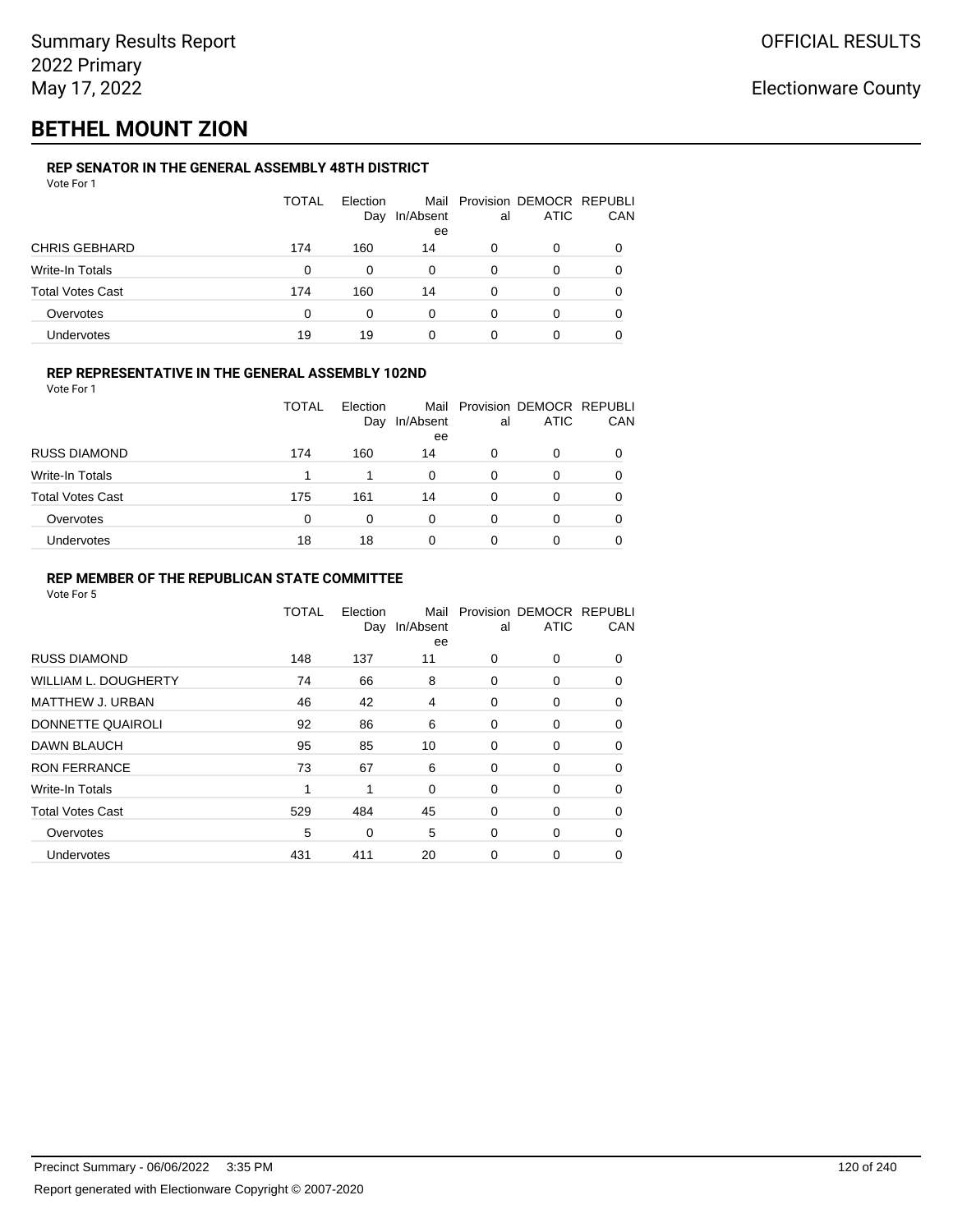# **BETHEL MOUNT ZION**

### **REP SENATOR IN THE GENERAL ASSEMBLY 48TH DISTRICT**

| Vote For 1              |       |                 |                 |    |                                              |     |
|-------------------------|-------|-----------------|-----------------|----|----------------------------------------------|-----|
|                         | TOTAL | Election<br>Day | In/Absent<br>ee | al | Mail Provision DEMOCR REPUBLI<br><b>ATIC</b> | CAN |
| <b>CHRIS GEBHARD</b>    | 174   | 160             | 14              | 0  | 0                                            | 0   |
| Write-In Totals         | 0     | 0               | $\Omega$        | 0  | 0                                            | 0   |
| <b>Total Votes Cast</b> | 174   | 160             | 14              | 0  | 0                                            | 0   |
| Overvotes               | 0     | 0               | $\Omega$        | 0  | 0                                            | 0   |
| Undervotes              | 19    | 19              | 0               |    | ი                                            |     |

#### **REP REPRESENTATIVE IN THE GENERAL ASSEMBLY 102ND**

Vote For 1

|                         | <b>TOTAL</b> | Election<br>Day | Mail<br>In/Absent | al | Provision DEMOCR REPUBLI<br><b>ATIC</b> | CAN |
|-------------------------|--------------|-----------------|-------------------|----|-----------------------------------------|-----|
|                         |              |                 | ee                |    |                                         |     |
| <b>RUSS DIAMOND</b>     | 174          | 160             | 14                | 0  | 0                                       |     |
| Write-In Totals         |              |                 | 0                 | 0  | 0                                       | 0   |
| <b>Total Votes Cast</b> | 175          | 161             | 14                | 0  | ი                                       | 0   |
| Overvotes               | 0            | 0               | 0                 | 0  | 0                                       | 0   |
| Undervotes              | 18           | 18              | 0                 |    | 0                                       |     |

#### **REP MEMBER OF THE REPUBLICAN STATE COMMITTEE**

|                             | <b>TOTAL</b> | Election<br>Day | Mail<br>In/Absent<br>ee | al          | Provision DEMOCR REPUBLI<br><b>ATIC</b> | CAN      |
|-----------------------------|--------------|-----------------|-------------------------|-------------|-----------------------------------------|----------|
| <b>RUSS DIAMOND</b>         | 148          | 137             | 11                      | 0           | 0                                       | 0        |
| <b>WILLIAM L. DOUGHERTY</b> | 74           | 66              | 8                       | 0           | 0                                       | 0        |
| <b>MATTHEW J. URBAN</b>     | 46           | 42              | 4                       | 0           | 0                                       | 0        |
| DONNETTE QUAIROLI           | 92           | 86              | 6                       | 0           | 0                                       | $\Omega$ |
| DAWN BLAUCH                 | 95           | 85              | 10                      | 0           | 0                                       | $\Omega$ |
| <b>RON FERRANCE</b>         | 73           | 67              | 6                       | 0           | 0                                       | $\Omega$ |
| Write-In Totals             | 1            | 1               | 0                       | 0           | 0                                       | 0        |
| <b>Total Votes Cast</b>     | 529          | 484             | 45                      | $\mathbf 0$ | 0                                       | 0        |
| Overvotes                   | 5            | 0               | 5                       | 0           | 0                                       | 0        |
| Undervotes                  | 431          | 411             | 20                      | 0           | 0                                       | 0        |
|                             |              |                 |                         |             |                                         |          |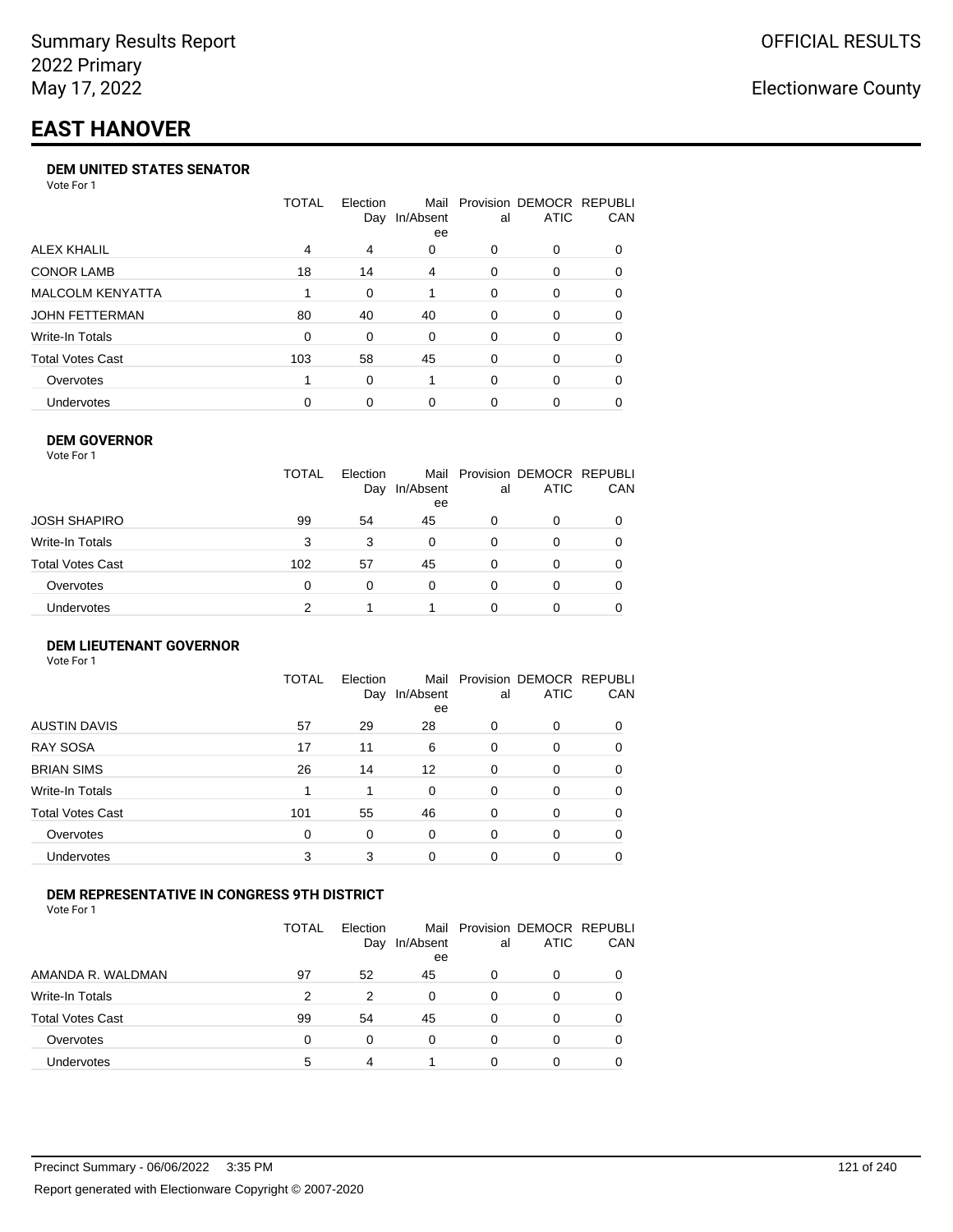# **EAST HANOVER**

#### **DEM UNITED STATES SENATOR**

Vote For 1

|                         | TOTAL | Election<br>Day | Mail<br>In/Absent<br>ee | al | Provision DEMOCR REPUBLI<br>ATIC | <b>CAN</b> |
|-------------------------|-------|-----------------|-------------------------|----|----------------------------------|------------|
| ALEX KHALIL             | 4     | 4               | 0                       | 0  | $\Omega$                         | 0          |
| <b>CONOR LAMB</b>       | 18    | 14              | 4                       | 0  | $\Omega$                         | 0          |
| <b>MALCOLM KENYATTA</b> |       | 0               |                         | 0  | $\Omega$                         | 0          |
| JOHN FETTERMAN          | 80    | 40              | 40                      | 0  | $\Omega$                         | 0          |
| Write-In Totals         | 0     | 0               | $\Omega$                | 0  | $\Omega$                         | 0          |
| <b>Total Votes Cast</b> | 103   | 58              | 45                      | 0  | $\Omega$                         | 0          |
| Overvotes               |       | 0               |                         | 0  | $\Omega$                         | 0          |
| <b>Undervotes</b>       | 0     | 0               | 0                       | 0  | $\Omega$                         | 0          |

#### **DEM GOVERNOR**

| Vote For 1       |              |                 |                 |          |                                              |     |
|------------------|--------------|-----------------|-----------------|----------|----------------------------------------------|-----|
|                  | <b>TOTAL</b> | Election<br>Day | In/Absent<br>ee | al       | Mail Provision DEMOCR REPUBLI<br><b>ATIC</b> | CAN |
| JOSH SHAPIRO     | 99           | 54              | 45              | 0        | 0                                            |     |
| Write-In Totals  | 3            | 3               | 0               | 0        | 0                                            | 0   |
| Total Votes Cast | 102          | 57              | 45              | 0        | 0                                            | 0   |
| Overvotes        | 0            | 0               | $\Omega$        | $\Omega$ | 0                                            | 0   |
| Undervotes       | 2            |                 |                 | O        | 0                                            |     |

#### **DEM LIEUTENANT GOVERNOR** Vote For 1

|                         | TOTAL | Election<br>Day | In/Absent<br>ee | al       | Mail Provision DEMOCR REPUBLI<br><b>ATIC</b> | CAN      |
|-------------------------|-------|-----------------|-----------------|----------|----------------------------------------------|----------|
| <b>AUSTIN DAVIS</b>     | 57    | 29              | 28              | 0        | 0                                            | 0        |
| <b>RAY SOSA</b>         | 17    | 11              | 6               | $\Omega$ | 0                                            | 0        |
| <b>BRIAN SIMS</b>       | 26    | 14              | 12              | 0        | $\Omega$                                     | $\Omega$ |
| Write-In Totals         | 1     | 1               | $\Omega$        | $\Omega$ | $\Omega$                                     | $\Omega$ |
| <b>Total Votes Cast</b> | 101   | 55              | 46              | 0        | 0                                            | $\Omega$ |
| Overvotes               | 0     | 0               | 0               | $\Omega$ | 0                                            | $\Omega$ |
| Undervotes              | 3     | 3               | $\Omega$        | 0        | 0                                            | 0        |

#### **DEM REPRESENTATIVE IN CONGRESS 9TH DISTRICT**

Vote For 1

|                         | TOTAL | Election<br>Day | In/Absent<br>ee | al | Mail Provision DEMOCR REPUBLI<br><b>ATIC</b> | CAN |
|-------------------------|-------|-----------------|-----------------|----|----------------------------------------------|-----|
| AMANDA R. WALDMAN       | 97    | 52              | 45              | 0  | 0                                            |     |
| Write-In Totals         | 2     | 2               | <sup>0</sup>    | 0  | 0                                            |     |
| <b>Total Votes Cast</b> | 99    | 54              | 45              | 0  | 0                                            |     |
| Overvotes               | 0     | 0               | 0               | 0  | 0                                            |     |
| Undervotes              | 5     |                 |                 |    | ი                                            |     |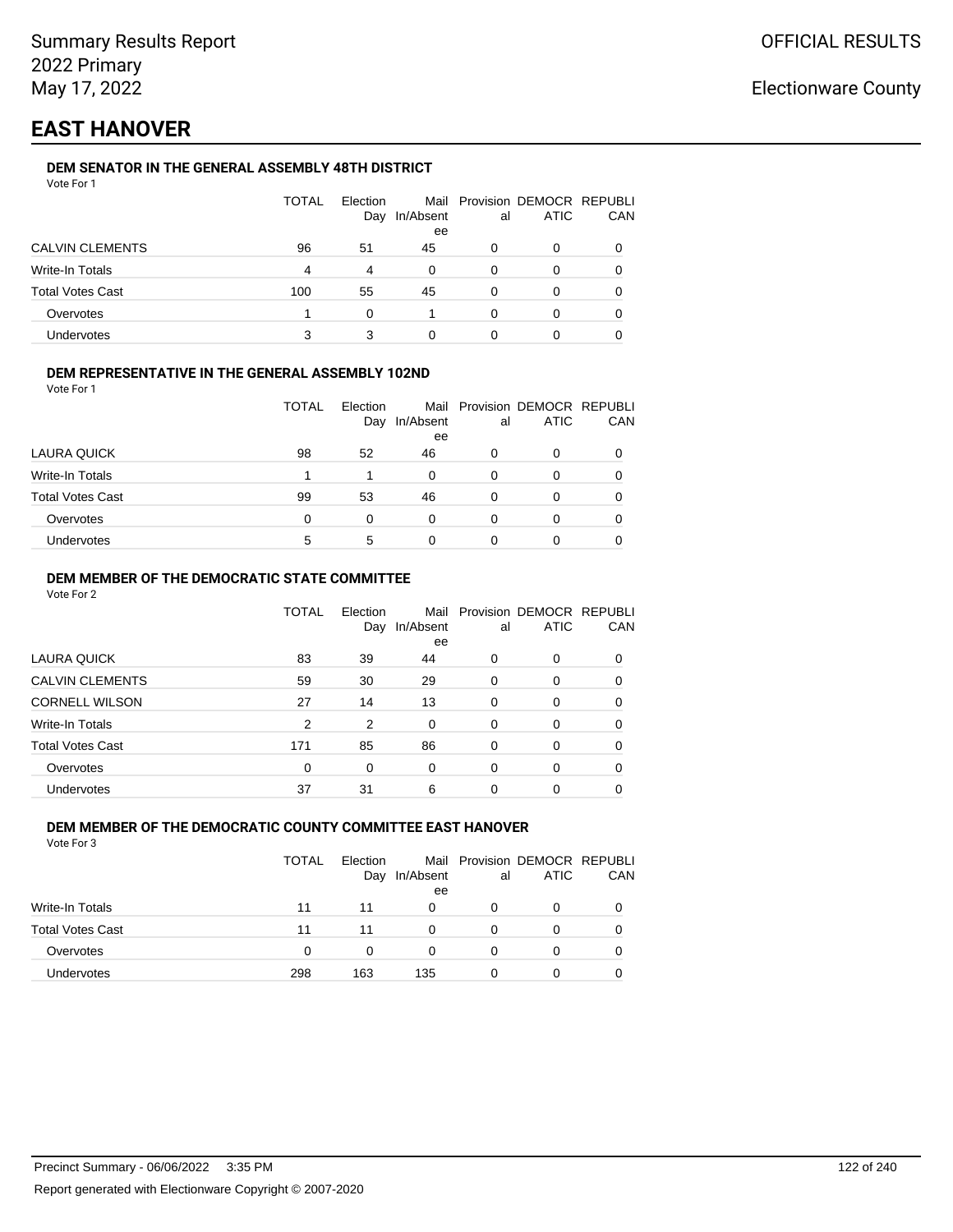# **EAST HANOVER**

### **DEM SENATOR IN THE GENERAL ASSEMBLY 48TH DISTRICT**

| Vote For 1 |  |
|------------|--|
|------------|--|

|                         | <b>TOTAL</b> | Election<br>Day | In/Absent<br>ee | al | Mail Provision DEMOCR REPUBLI<br>ATIC | CAN |
|-------------------------|--------------|-----------------|-----------------|----|---------------------------------------|-----|
| <b>CALVIN CLEMENTS</b>  | 96           | 51              | 45              | 0  | 0                                     |     |
| Write-In Totals         | 4            | $\overline{4}$  | 0               | 0  | 0                                     |     |
| <b>Total Votes Cast</b> | 100          | 55              | 45              | 0  |                                       |     |
| Overvotes               |              | ∩               |                 | ŋ  | Ω                                     |     |
| Undervotes              | 3            |                 | 0               |    |                                       |     |

#### **DEM REPRESENTATIVE IN THE GENERAL ASSEMBLY 102ND**

| Vote For 1 |  |  |
|------------|--|--|
|            |  |  |

|                         | TOTAL | Election |           |    | Mail Provision DEMOCR REPUBLI |            |
|-------------------------|-------|----------|-----------|----|-------------------------------|------------|
|                         |       | Day      | In/Absent | al | <b>ATIC</b>                   | <b>CAN</b> |
|                         |       |          | ee        |    |                               |            |
| LAURA QUICK             | 98    | 52       | 46        | 0  |                               | 0          |
| Write-In Totals         |       |          | 0         | 0  |                               | 0          |
| <b>Total Votes Cast</b> | 99    | 53       | 46        | 0  |                               | 0          |
| Overvotes               | 0     | 0        | 0         | O  |                               | 0          |
| Undervotes              | 5     | 5        | 0         | 0  |                               | 0          |

#### **DEM MEMBER OF THE DEMOCRATIC STATE COMMITTEE**

Vote For 2

|                         | TOTAL | Election<br>Day | Mail<br>In/Absent<br>ee | al       | Provision DEMOCR REPUBLI<br><b>ATIC</b> | CAN |
|-------------------------|-------|-----------------|-------------------------|----------|-----------------------------------------|-----|
| LAURA QUICK             | 83    | 39              | 44                      | 0        | 0                                       | 0   |
| <b>CALVIN CLEMENTS</b>  | 59    | 30              | 29                      | $\Omega$ | 0                                       | 0   |
| <b>CORNELL WILSON</b>   | 27    | 14              | 13                      | $\Omega$ | $\Omega$                                | 0   |
| Write-In Totals         | 2     | 2               | $\Omega$                | 0        | 0                                       | 0   |
| <b>Total Votes Cast</b> | 171   | 85              | 86                      | $\Omega$ | $\Omega$                                | 0   |
| Overvotes               | 0     | 0               | 0                       | $\Omega$ | $\Omega$                                | 0   |
| Undervotes              | 37    | 31              | 6                       | 0        | 0                                       |     |

### **DEM MEMBER OF THE DEMOCRATIC COUNTY COMMITTEE EAST HANOVER**

|                         | TOTAL | Election<br>Day | In/Absent<br>ee | al | Mail Provision DEMOCR REPUBLI<br>ATIC | CAN |
|-------------------------|-------|-----------------|-----------------|----|---------------------------------------|-----|
| Write-In Totals         | 11    | 11              | 0               | 0  | O                                     |     |
| <b>Total Votes Cast</b> | 11    | 11              | 0               | 0  | Ω                                     |     |
| Overvotes               | 0     | 0               | 0               | 0  | 0                                     |     |
| Undervotes              | 298   | 163             | 135             |    | Ω                                     |     |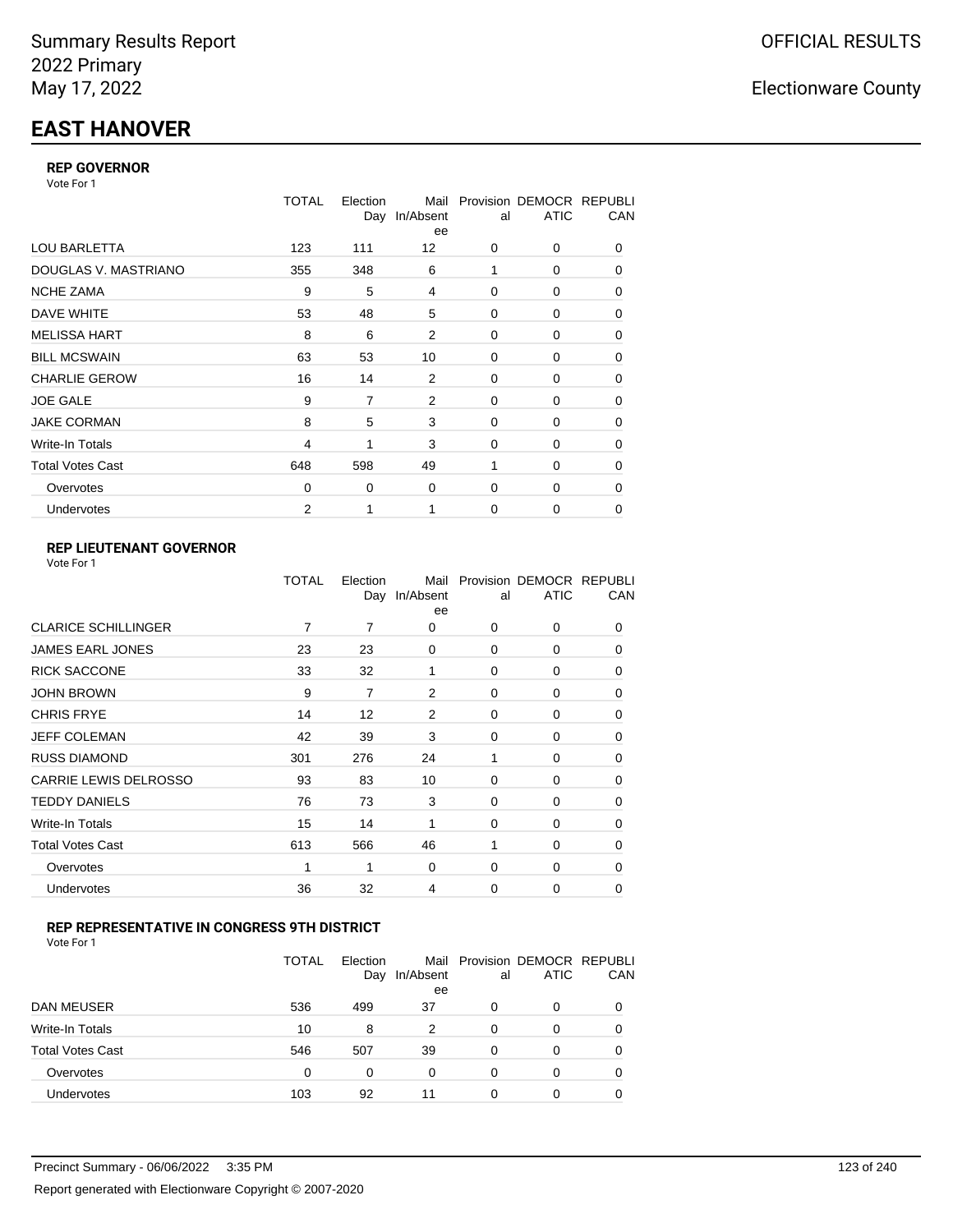# **EAST HANOVER**

#### **REP GOVERNOR**

Vote For 1

|                         | <b>TOTAL</b>   | Election<br>Day | Mail<br>In/Absent<br>ee | al          | Provision DEMOCR REPUBLI<br><b>ATIC</b> | CAN |
|-------------------------|----------------|-----------------|-------------------------|-------------|-----------------------------------------|-----|
| <b>LOU BARLETTA</b>     | 123            | 111             | 12                      | 0           | 0                                       | 0   |
| DOUGLAS V. MASTRIANO    | 355            | 348             | 6                       | 1           | 0                                       | 0   |
| <b>NCHE ZAMA</b>        | 9              | 5               | 4                       | 0           | 0                                       | 0   |
| DAVE WHITE              | 53             | 48              | 5                       | $\mathbf 0$ | 0                                       | 0   |
| <b>MELISSA HART</b>     | 8              | 6               | 2                       | 0           | 0                                       | 0   |
| <b>BILL MCSWAIN</b>     | 63             | 53              | 10                      | $\mathbf 0$ | 0                                       | 0   |
| <b>CHARLIE GEROW</b>    | 16             | 14              | 2                       | 0           | 0                                       | 0   |
| <b>JOE GALE</b>         | 9              | 7               | 2                       | $\mathbf 0$ | 0                                       | 0   |
| <b>JAKE CORMAN</b>      | 8              | 5               | 3                       | $\Omega$    | $\Omega$                                | 0   |
| Write-In Totals         | $\overline{4}$ | 1               | 3                       | $\mathbf 0$ | 0                                       | 0   |
| <b>Total Votes Cast</b> | 648            | 598             | 49                      | 1           | 0                                       | 0   |
| Overvotes               | $\Omega$       | 0               | 0                       | $\mathbf 0$ | 0                                       | 0   |
| Undervotes              | $\overline{2}$ | 1               | 1                       | 0           | $\Omega$                                | 0   |

### **REP LIEUTENANT GOVERNOR**

|                            | TOTAL | Election | Mail<br>Day In/Absent<br>ee | al       | Provision DEMOCR REPUBLI<br><b>ATIC</b> | CAN      |
|----------------------------|-------|----------|-----------------------------|----------|-----------------------------------------|----------|
| <b>CLARICE SCHILLINGER</b> | 7     | 7        | 0                           | $\Omega$ | 0                                       | 0        |
| <b>JAMES EARL JONES</b>    | 23    | 23       | 0                           | $\Omega$ | $\Omega$                                | 0        |
| <b>RICK SACCONE</b>        | 33    | 32       | 1                           | $\Omega$ | 0                                       | 0        |
| JOHN BROWN                 | 9     | 7        | 2                           | $\Omega$ | $\Omega$                                | 0        |
| CHRIS FRYE                 | 14    | 12       | 2                           | $\Omega$ | 0                                       | 0        |
| JEFF COLEMAN               | 42    | 39       | 3                           | $\Omega$ | $\Omega$                                | 0        |
| <b>RUSS DIAMOND</b>        | 301   | 276      | 24                          | 1        | 0                                       | 0        |
| CARRIE LEWIS DELROSSO      | 93    | 83       | 10                          | $\Omega$ | $\Omega$                                | 0        |
| <b>TEDDY DANIELS</b>       | 76    | 73       | 3                           | $\Omega$ | 0                                       | 0        |
| Write-In Totals            | 15    | 14       | 1                           | $\Omega$ | $\Omega$                                | 0        |
| Total Votes Cast           | 613   | 566      | 46                          | 1        | 0                                       | 0        |
| Overvotes                  | 1     |          | 0                           | 0        | 0                                       | $\Omega$ |
| <b>Undervotes</b>          | 36    | 32       | 4                           | $\Omega$ | 0                                       | 0        |
|                            |       |          |                             |          |                                         |          |

### **REP REPRESENTATIVE IN CONGRESS 9TH DISTRICT**

| Vote For 1 |  |
|------------|--|
|------------|--|

|                         | <b>TOTAL</b> | Election<br>Day | In/Absent<br>ee | al       | Mail Provision DEMOCR REPUBLI<br><b>ATIC</b> | CAN      |
|-------------------------|--------------|-----------------|-----------------|----------|----------------------------------------------|----------|
| DAN MEUSER              | 536          | 499             | 37              | 0        | 0                                            | $\Omega$ |
| Write-In Totals         | 10           | 8               | 2               | $\Omega$ | 0                                            |          |
| <b>Total Votes Cast</b> | 546          | 507             | 39              | $\Omega$ | 0                                            |          |
| Overvotes               | 0            | 0               | 0               | 0        | 0                                            | 0        |
| Undervotes              | 103          | 92              | 11              | 0        | 0                                            |          |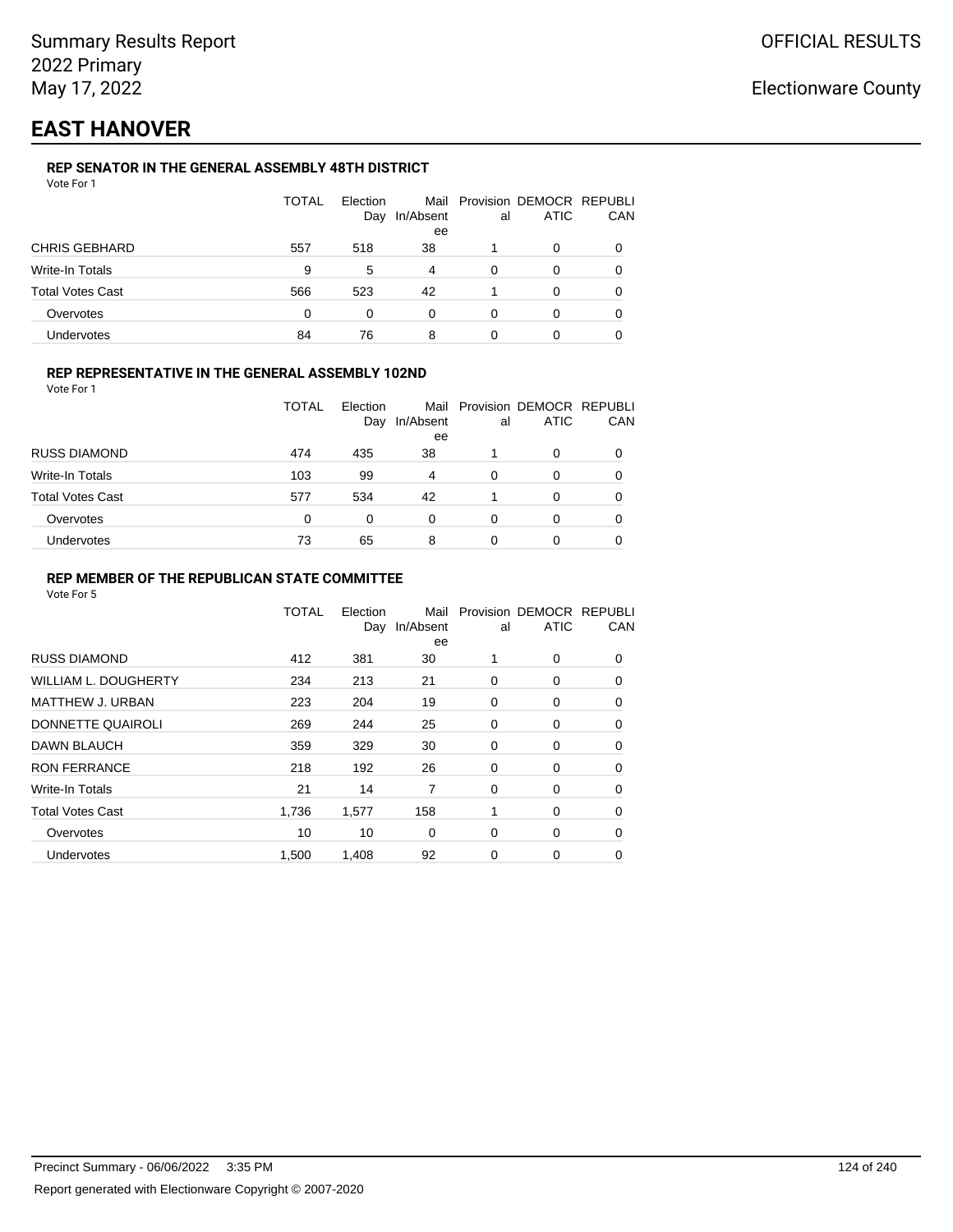# **EAST HANOVER**

### **REP SENATOR IN THE GENERAL ASSEMBLY 48TH DISTRICT**

|                         | <b>TOTAL</b> | Election<br>Day | In/Absent<br>ee | al | Mail Provision DEMOCR REPUBLI<br><b>ATIC</b> | CAN |
|-------------------------|--------------|-----------------|-----------------|----|----------------------------------------------|-----|
| <b>CHRIS GEBHARD</b>    | 557          | 518             | 38              |    | 0                                            |     |
| Write-In Totals         | 9            | 5               | 4               | 0  | 0                                            |     |
| <b>Total Votes Cast</b> | 566          | 523             | 42              |    | 0                                            |     |
| Overvotes               | 0            | 0               | 0               | 0  | 0                                            |     |
| Undervotes              | 84           | 76              | 8               |    |                                              |     |

#### **REP REPRESENTATIVE IN THE GENERAL ASSEMBLY 102ND**

Vote For 1

|                         | TOTAL | Election<br>Day | Mail<br>In/Absent<br>ee | al | Provision DEMOCR REPUBLI<br><b>ATIC</b> | CAN |
|-------------------------|-------|-----------------|-------------------------|----|-----------------------------------------|-----|
| <b>RUSS DIAMOND</b>     | 474   | 435             | 38                      |    | ი                                       |     |
| <b>Write-In Totals</b>  | 103   | 99              | 4                       | 0  | 0                                       |     |
| <b>Total Votes Cast</b> | 577   | 534             | 42                      |    | 0                                       |     |
| Overvotes               | 0     | 0               | 0                       | 0  | O                                       |     |
| Undervotes              | 73    | 65              | 8                       | 0  | 0                                       |     |

#### **REP MEMBER OF THE REPUBLICAN STATE COMMITTEE**

|                             | <b>TOTAL</b> | Election<br>Day | Mail<br>In/Absent<br>ee | al | Provision DEMOCR REPUBLI<br><b>ATIC</b> | CAN      |
|-----------------------------|--------------|-----------------|-------------------------|----|-----------------------------------------|----------|
| <b>RUSS DIAMOND</b>         | 412          | 381             | 30                      | 1  | 0                                       | 0        |
| <b>WILLIAM L. DOUGHERTY</b> | 234          | 213             | 21                      | 0  | 0                                       | 0        |
| <b>MATTHEW J. URBAN</b>     | 223          | 204             | 19                      | 0  | 0                                       | 0        |
| DONNETTE QUAIROLI           | 269          | 244             | 25                      | 0  | 0                                       | $\Omega$ |
| DAWN BLAUCH                 | 359          | 329             | 30                      | 0  | 0                                       | $\Omega$ |
| <b>RON FERRANCE</b>         | 218          | 192             | 26                      | 0  | 0                                       | 0        |
| Write-In Totals             | 21           | 14              | 7                       | 0  | 0                                       | 0        |
| <b>Total Votes Cast</b>     | 1.736        | 1,577           | 158                     | 1  | 0                                       | 0        |
| Overvotes                   | 10           | 10              | 0                       | 0  | 0                                       | 0        |
| Undervotes                  | 1,500        | 1,408           | 92                      | 0  | 0                                       | 0        |
|                             |              |                 |                         |    |                                         |          |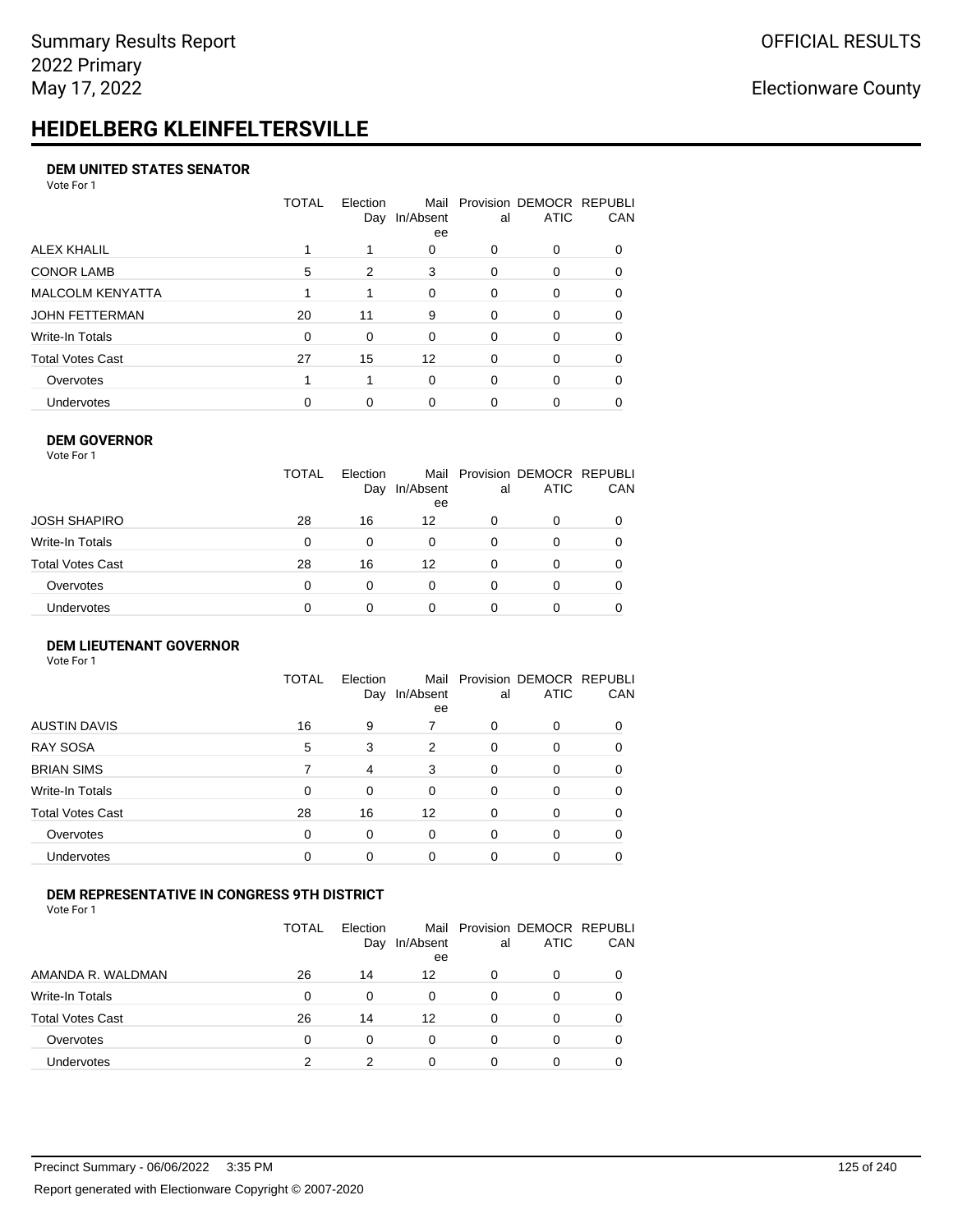# **HEIDELBERG KLEINFELTERSVILLE**

#### **DEM UNITED STATES SENATOR**

Vote For 1

|                         | TOTAL | Election<br>Day | Mail<br>In/Absent<br>ee | al       | Provision DEMOCR REPUBLI<br><b>ATIC</b> | CAN      |
|-------------------------|-------|-----------------|-------------------------|----------|-----------------------------------------|----------|
| ALEX KHALIL             |       |                 | 0                       | 0        | 0                                       |          |
| <b>CONOR LAMB</b>       | 5     | 2               | 3                       | $\Omega$ | 0                                       | 0        |
| <b>MALCOLM KENYATTA</b> |       |                 | $\Omega$                | $\Omega$ | 0                                       | $\Omega$ |
| <b>JOHN FETTERMAN</b>   | 20    | 11              | 9                       | $\Omega$ | 0                                       | 0        |
| Write-In Totals         | 0     | 0               | 0                       | $\Omega$ | 0                                       | $\Omega$ |
| <b>Total Votes Cast</b> | 27    | 15              | 12                      | $\Omega$ | $\Omega$                                | 0        |
| Overvotes               |       |                 | $\Omega$                | $\Omega$ | $\Omega$                                | 0        |
| Undervotes              | 0     | 0               | $\Omega$                | 0        | ი                                       |          |

#### **DEM GOVERNOR**

| Vote For 1       |              |                 |                 |          |                                              |          |
|------------------|--------------|-----------------|-----------------|----------|----------------------------------------------|----------|
|                  | <b>TOTAL</b> | Election<br>Day | In/Absent<br>ee | al       | Mail Provision DEMOCR REPUBLI<br><b>ATIC</b> | CAN      |
| JOSH SHAPIRO     | 28           | 16              | 12              | 0        | 0                                            |          |
| Write-In Totals  | 0            | $\Omega$        | 0               | $\Omega$ | 0                                            | $\Omega$ |
| Total Votes Cast | 28           | 16              | 12              | $\Omega$ | 0                                            | 0        |
| Overvotes        | 0            | 0               | $\Omega$        | 0        | 0                                            | 0        |
| Undervotes       | 0            |                 | 0               |          | 0                                            |          |

#### **DEM LIEUTENANT GOVERNOR** Vote For 1

|                         | TOTAL | Election<br>Day | In/Absent<br>ee | al       | Mail Provision DEMOCR REPUBLI<br><b>ATIC</b> | CAN      |
|-------------------------|-------|-----------------|-----------------|----------|----------------------------------------------|----------|
| <b>AUSTIN DAVIS</b>     | 16    | 9               |                 | 0        | 0                                            | 0        |
| <b>RAY SOSA</b>         | 5     | 3               | $\overline{2}$  | 0        | 0                                            | 0        |
| <b>BRIAN SIMS</b>       |       | $\overline{4}$  | 3               | $\Omega$ | $\Omega$                                     | $\Omega$ |
| Write-In Totals         | 0     | $\Omega$        | $\Omega$        | 0        | $\Omega$                                     | 0        |
| <b>Total Votes Cast</b> | 28    | 16              | 12              | 0        | $\Omega$                                     | 0        |
| Overvotes               | 0     | $\Omega$        | $\Omega$        | 0        | $\Omega$                                     | $\Omega$ |
| <b>Undervotes</b>       | 0     | 0               | $\Omega$        | $\Omega$ | $\Omega$                                     | 0        |
|                         |       |                 |                 |          |                                              |          |

#### **DEM REPRESENTATIVE IN CONGRESS 9TH DISTRICT**

|                         | TOTAL    | Election<br>Day | In/Absent<br>ee | al       | Mail Provision DEMOCR REPUBLI<br><b>ATIC</b> | CAN |
|-------------------------|----------|-----------------|-----------------|----------|----------------------------------------------|-----|
| AMANDA R. WALDMAN       | 26       | 14              | 12              | 0        | 0                                            |     |
| Write-In Totals         | $\Omega$ | 0               | $\Omega$        | $\Omega$ | 0                                            |     |
| <b>Total Votes Cast</b> | 26       | 14              | 12              | $\Omega$ | 0                                            |     |
| Overvotes               | $\Omega$ | 0               | 0               | $\Omega$ | 0                                            |     |
| <b>Undervotes</b>       |          | າ               |                 |          |                                              |     |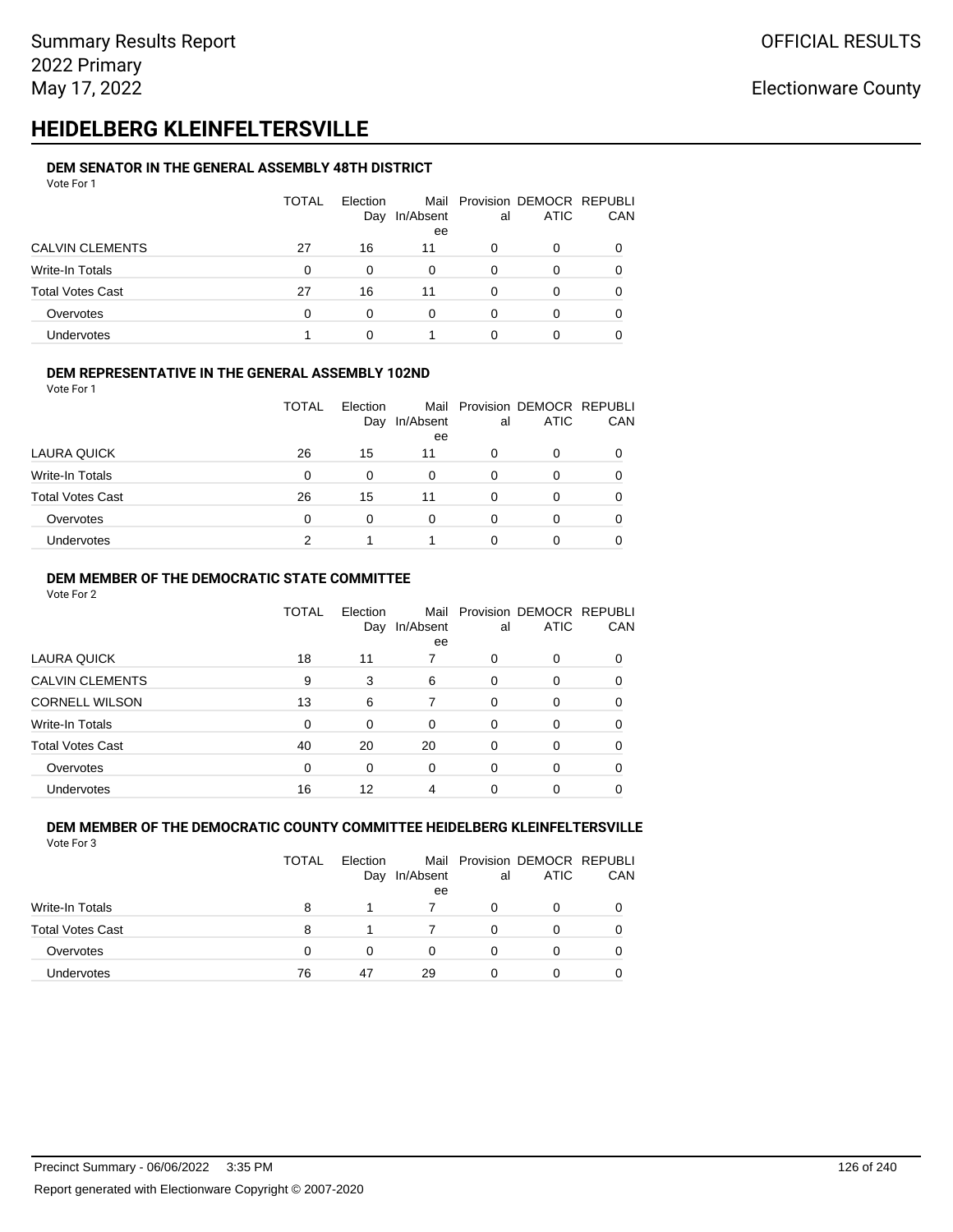# **HEIDELBERG KLEINFELTERSVILLE**

#### **DEM SENATOR IN THE GENERAL ASSEMBLY 48TH DISTRICT** Vote For 1

| 1 J J J J J J           |              |                 |                 |    |                                              |            |
|-------------------------|--------------|-----------------|-----------------|----|----------------------------------------------|------------|
|                         | <b>TOTAL</b> | Election<br>Day | In/Absent<br>ee | al | Mail Provision DEMOCR REPUBLI<br><b>ATIC</b> | <b>CAN</b> |
| <b>CALVIN CLEMENTS</b>  | 27           | 16              | 11              | O  | 0                                            | 0          |
| Write-In Totals         | 0            | $\Omega$        | 0               | 0  | 0                                            | 0          |
| <b>Total Votes Cast</b> | 27           | 16              | 11              | O  | O                                            | 0          |
| Overvotes               | 0            | $\Omega$        | 0               | 0  |                                              | 0          |
| Undervotes              |              |                 |                 |    |                                              |            |

### **DEM REPRESENTATIVE IN THE GENERAL ASSEMBLY 102ND**

| Vote For 1 |  |  |  |
|------------|--|--|--|
|            |  |  |  |
|            |  |  |  |
|            |  |  |  |

|                         |    | Day      | In/Absent<br>ee | al | <b>ATIC</b> | CAN |
|-------------------------|----|----------|-----------------|----|-------------|-----|
| LAURA QUICK             | 26 | 15       | 11              | 0  | 0           |     |
| Write-In Totals         | 0  | $\Omega$ | 0               |    | 0           |     |
| <b>Total Votes Cast</b> | 26 | 15       | 11              |    | Ω           |     |
| Overvotes               | 0  | O        | 0               |    | Ω           |     |
| Undervotes              | っ  |          |                 |    |             |     |

TOTAL Election

Mail Provision DEMOCR REPUBLI

#### **DEM MEMBER OF THE DEMOCRATIC STATE COMMITTEE**

Vote For 2

|                         | TOTAL    | Election<br>Day | Mail<br>In/Absent<br>ee | al       | Provision DEMOCR REPUBLI<br><b>ATIC</b> | CAN |
|-------------------------|----------|-----------------|-------------------------|----------|-----------------------------------------|-----|
| LAURA QUICK             | 18       | 11              | 7                       | 0        | 0                                       |     |
| <b>CALVIN CLEMENTS</b>  | 9        | 3               | 6                       | 0        | 0                                       |     |
| <b>CORNELL WILSON</b>   | 13       | 6               |                         | $\Omega$ | 0                                       |     |
| Write-In Totals         | $\Omega$ | 0               | $\Omega$                | $\Omega$ | 0                                       | 0   |
| <b>Total Votes Cast</b> | 40       | 20              | 20                      | $\Omega$ | 0                                       | 0   |
| Overvotes               | $\Omega$ | 0               | $\Omega$                | $\Omega$ | 0                                       |     |
| Undervotes              | 16       | 12              | 4                       | 0        | 0                                       |     |

#### **DEM MEMBER OF THE DEMOCRATIC COUNTY COMMITTEE HEIDELBERG KLEINFELTERSVILLE** Vote For 3

|                         | <b>TOTAL</b> | Election<br>Day | In/Absent<br>ee | al | Mail Provision DEMOCR REPUBLI<br><b>ATIC</b> | CAN |
|-------------------------|--------------|-----------------|-----------------|----|----------------------------------------------|-----|
| Write-In Totals         | 8            |                 |                 | 0  | 0                                            |     |
| <b>Total Votes Cast</b> | 8            |                 |                 | O  | 0                                            |     |
| Overvotes               | 0            | 0               |                 |    | 0                                            |     |
| Undervotes              | 76           | 47              | 29              |    | 0                                            |     |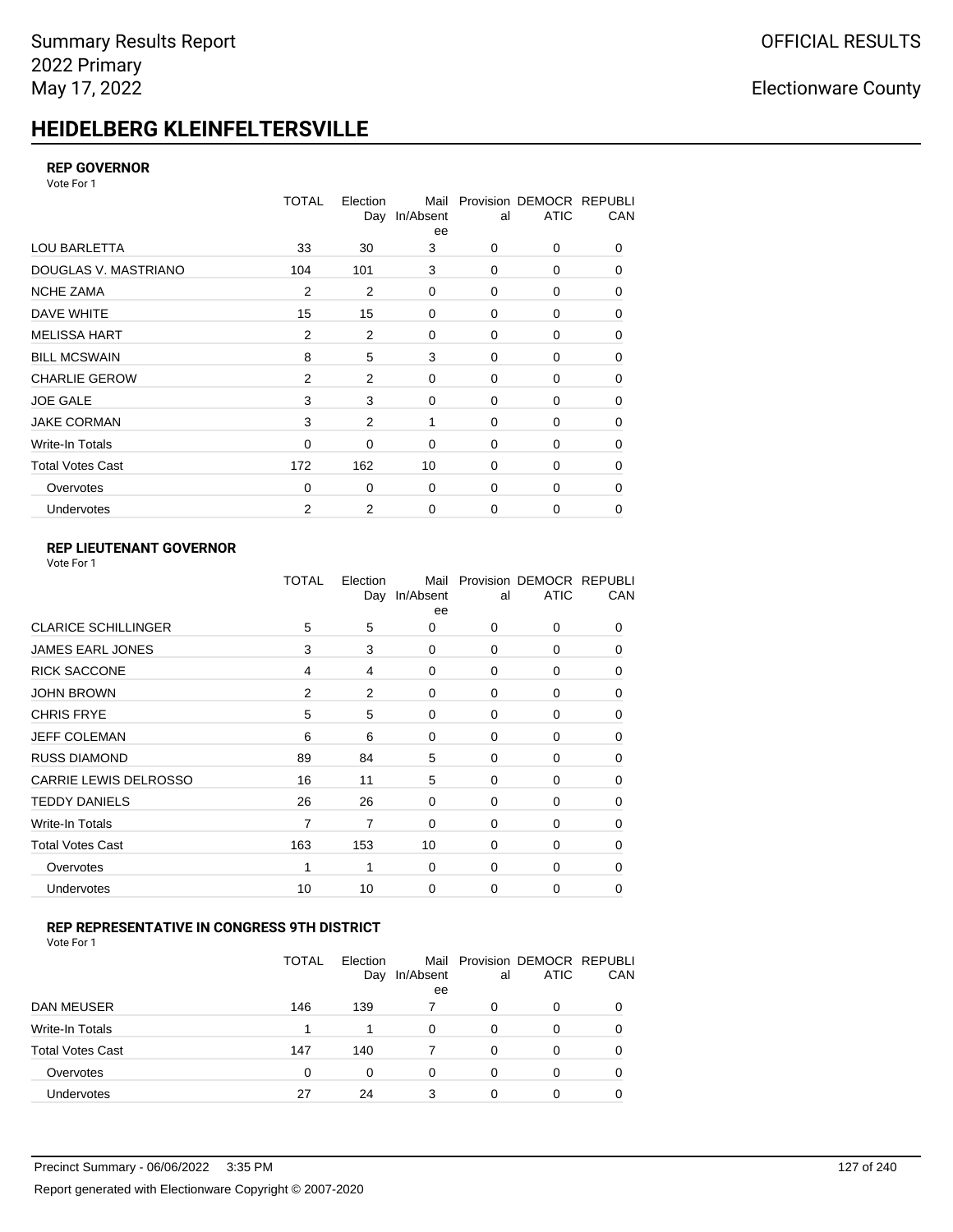# **HEIDELBERG KLEINFELTERSVILLE**

#### **REP GOVERNOR**

Vote For 1

|                         | <b>TOTAL</b>   | Election<br>Day | Mail<br>In/Absent<br>ee | al       | Provision DEMOCR REPUBLI<br><b>ATIC</b> | CAN |
|-------------------------|----------------|-----------------|-------------------------|----------|-----------------------------------------|-----|
| <b>LOU BARLETTA</b>     | 33             | 30              | 3                       | 0        | 0                                       | 0   |
| DOUGLAS V. MASTRIANO    | 104            | 101             | 3                       | 0        | 0                                       | 0   |
| <b>NCHE ZAMA</b>        | 2              | $\overline{2}$  | 0                       | 0        | 0                                       | 0   |
| DAVE WHITE              | 15             | 15              | $\mathbf 0$             | 0        | 0                                       | 0   |
| <b>MELISSA HART</b>     | 2              | 2               | $\mathbf 0$             | 0        | 0                                       | 0   |
| <b>BILL MCSWAIN</b>     | 8              | 5               | 3                       | 0        | 0                                       | 0   |
| <b>CHARLIE GEROW</b>    | 2              | $\overline{2}$  | $\mathbf 0$             | 0        | 0                                       | 0   |
| <b>JOE GALE</b>         | 3              | 3               | $\mathbf 0$             | 0        | 0                                       | 0   |
| <b>JAKE CORMAN</b>      | 3              | $\overline{2}$  | 1                       | $\Omega$ | $\Omega$                                | 0   |
| Write-In Totals         | 0              | 0               | $\mathbf 0$             | 0        | 0                                       | 0   |
| <b>Total Votes Cast</b> | 172            | 162             | 10                      | $\Omega$ | $\Omega$                                | 0   |
| Overvotes               | 0              | 0               | $\mathbf 0$             | 0        | 0                                       | 0   |
| Undervotes              | $\overline{2}$ | 2               | $\mathbf 0$             | 0        | 0                                       | 0   |

### **REP LIEUTENANT GOVERNOR**

| Vote For 1 |  |  |
|------------|--|--|
|------------|--|--|

|                            | TOTAL          | Election       | Mail<br>Day In/Absent<br>ee | al          | Provision DEMOCR REPUBLI<br><b>ATIC</b> | CAN      |
|----------------------------|----------------|----------------|-----------------------------|-------------|-----------------------------------------|----------|
| <b>CLARICE SCHILLINGER</b> | 5              | 5              | 0                           | $\Omega$    | 0                                       | 0        |
| <b>JAMES EARL JONES</b>    | 3              | 3              | 0                           | 0           | 0                                       | 0        |
| <b>RICK SACCONE</b>        | 4              | 4              | 0                           | $\Omega$    | 0                                       | 0        |
| <b>JOHN BROWN</b>          | $\overline{2}$ | $\overline{2}$ | $\Omega$                    | $\Omega$    | 0                                       | 0        |
| <b>CHRIS FRYE</b>          | 5              | 5              | 0                           | 0           | 0                                       | 0        |
| JEFF COLEMAN               | 6              | 6              | 0                           | 0           | 0                                       | 0        |
| <b>RUSS DIAMOND</b>        | 89             | 84             | 5                           | 0           | 0                                       | 0        |
| CARRIE LEWIS DELROSSO      | 16             | 11             | 5                           | 0           | 0                                       | 0        |
| <b>TEDDY DANIELS</b>       | 26             | 26             | 0                           | 0           | 0                                       | 0        |
| Write-In Totals            | 7              | 7              | 0                           | $\mathbf 0$ | 0                                       | $\Omega$ |
| <b>Total Votes Cast</b>    | 163            | 153            | 10                          | $\Omega$    | 0                                       | $\Omega$ |
| Overvotes                  | 1              | 1              | 0                           | 0           | 0                                       | $\Omega$ |
| Undervotes                 | 10             | 10             | 0                           | $\mathbf 0$ | 0                                       | 0        |
|                            |                |                |                             |             |                                         |          |

#### **REP REPRESENTATIVE IN CONGRESS 9TH DISTRICT**

Vote For 1

|                         | <b>TOTAL</b> | Election<br>Day | In/Absent<br>ee | al | Mail Provision DEMOCR REPUBLI<br><b>ATIC</b> | <b>CAN</b> |
|-------------------------|--------------|-----------------|-----------------|----|----------------------------------------------|------------|
| <b>DAN MEUSER</b>       | 146          | 139             |                 | 0  | $\Omega$                                     | 0          |
| Write-In Totals         | 1            |                 | $\Omega$        | 0  | 0                                            | 0          |
| <b>Total Votes Cast</b> | 147          | 140             |                 | 0  | $\Omega$                                     | 0          |
| Overvotes               | 0            | 0               | 0               | O  | 0                                            | 0          |
| <b>Undervotes</b>       | 27           | 24              | 3               |    |                                              | 0          |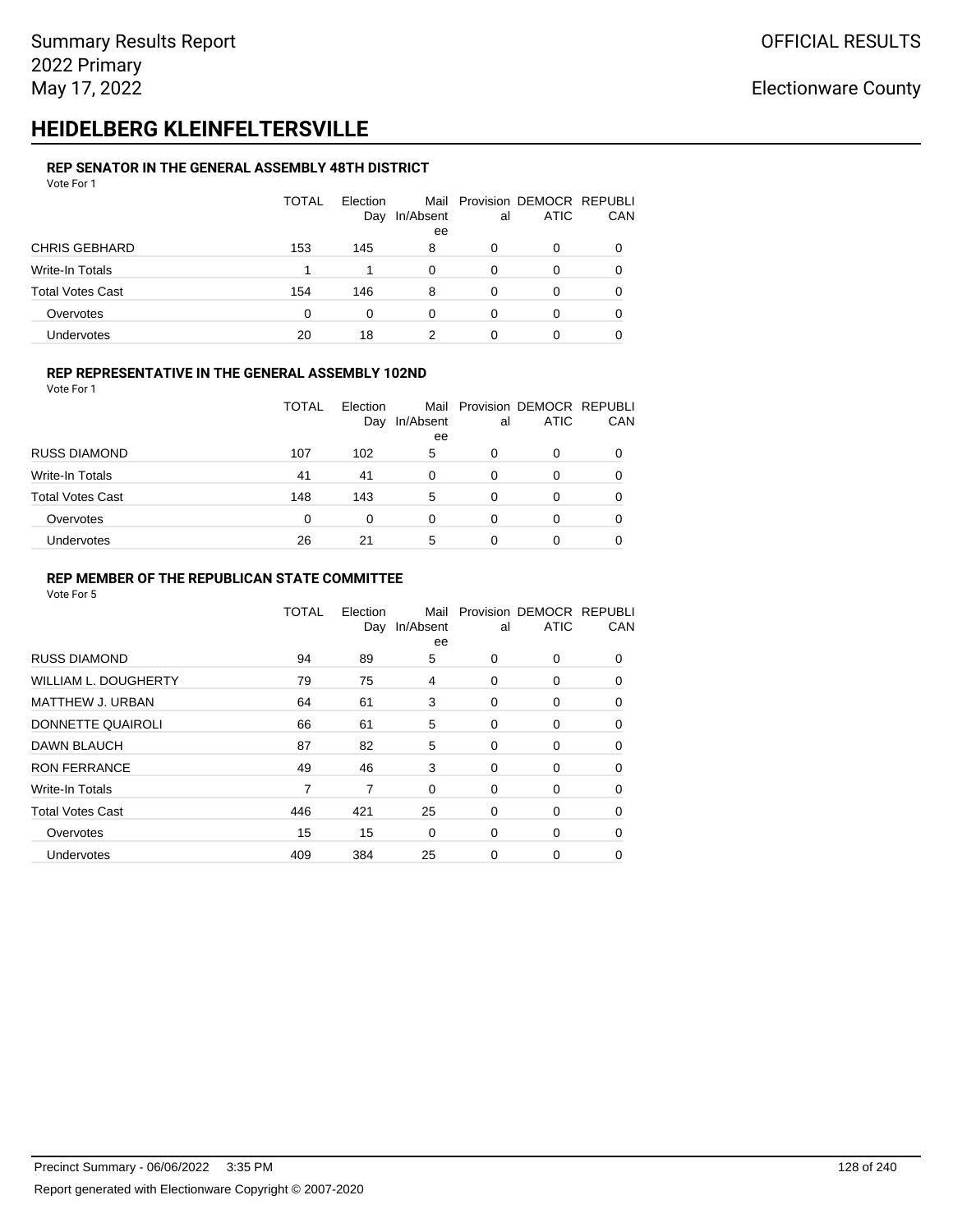# **HEIDELBERG KLEINFELTERSVILLE**

#### **REP SENATOR IN THE GENERAL ASSEMBLY 48TH DISTRICT** Vote For 1

| 1 U U U                 |              |                 |           |    |                                              |          |
|-------------------------|--------------|-----------------|-----------|----|----------------------------------------------|----------|
|                         | <b>TOTAL</b> | Election<br>Day | In/Absent | al | Mail Provision DEMOCR REPUBLI<br><b>ATIC</b> | CAN      |
|                         |              |                 | ee        |    |                                              |          |
| <b>CHRIS GEBHARD</b>    | 153          | 145             | 8         | 0  | O                                            |          |
| Write-In Totals         |              | 1               | 0         | 0  | O                                            |          |
| <b>Total Votes Cast</b> | 154          | 146             | 8         | 0  | 0                                            | $\Omega$ |
| Overvotes               | $\Omega$     | 0               | 0         | 0  | 0                                            |          |
| <b>Undervotes</b>       | 20           | 18              |           | 0  | 0                                            |          |

#### **REP REPRESENTATIVE IN THE GENERAL ASSEMBLY 102ND**

Vote For 1

|                         | TOTAL    | Election<br>Day | In/Absent<br>ee | al | Mail Provision DEMOCR REPUBLI<br><b>ATIC</b> | CAN          |
|-------------------------|----------|-----------------|-----------------|----|----------------------------------------------|--------------|
| <b>RUSS DIAMOND</b>     | 107      | 102             | 5               | 0  | 0                                            |              |
| Write-In Totals         | 41       | 41              | $\Omega$        | 0  | O                                            |              |
| <b>Total Votes Cast</b> | 148      | 143             | 5               | 0  | 0                                            | <sup>0</sup> |
| Overvotes               | $\Omega$ | 0               | 0               | 0  | 0                                            |              |
| Undervotes              | 26       | 21              | 5               | 0  | 0                                            |              |

#### **REP MEMBER OF THE REPUBLICAN STATE COMMITTEE**

|                             | TOTAL | Election<br>Day | Mail<br>In/Absent<br>ee | al | Provision DEMOCR REPUBLI<br><b>ATIC</b> | CAN      |
|-----------------------------|-------|-----------------|-------------------------|----|-----------------------------------------|----------|
| <b>RUSS DIAMOND</b>         | 94    | 89              | 5                       | 0  | $\Omega$                                | $\Omega$ |
| <b>WILLIAM L. DOUGHERTY</b> | 79    | 75              | 4                       | 0  | 0                                       | 0        |
| MATTHEW J. URBAN            | 64    | 61              | 3                       | 0  | 0                                       | $\Omega$ |
| DONNETTE QUAIROLI           | 66    | 61              | 5                       | 0  | 0                                       | $\Omega$ |
| <b>DAWN BLAUCH</b>          | 87    | 82              | 5                       | 0  | 0                                       | $\Omega$ |
| <b>RON FERRANCE</b>         | 49    | 46              | 3                       | 0  | 0                                       | 0        |
| Write-In Totals             | 7     | 7               | $\mathbf 0$             | 0  | 0                                       | 0        |
| <b>Total Votes Cast</b>     | 446   | 421             | 25                      | 0  | 0                                       | 0        |
| Overvotes                   | 15    | 15              | $\Omega$                | 0  | 0                                       | $\Omega$ |
| Undervotes                  | 409   | 384             | 25                      | 0  | 0                                       | 0        |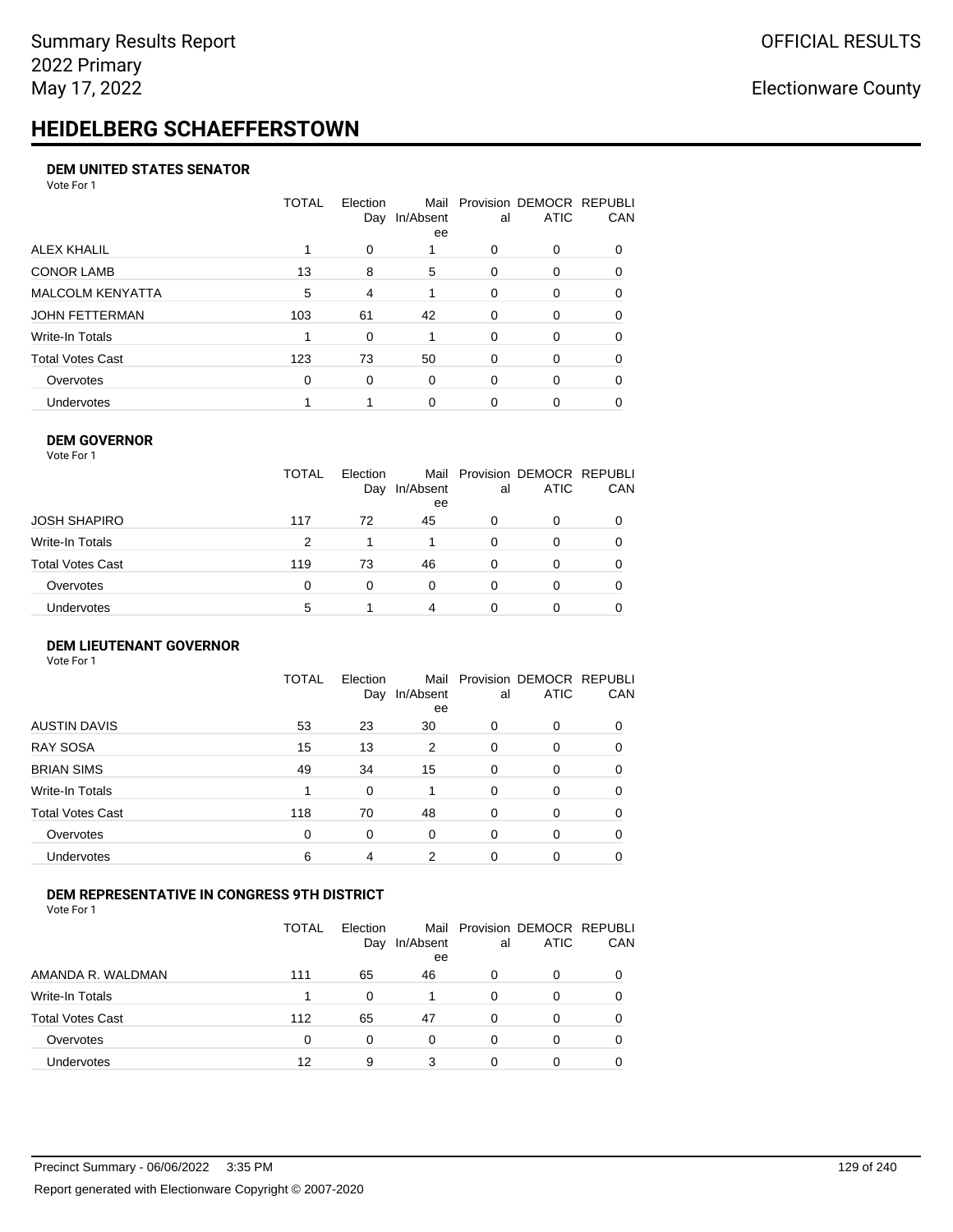# **HEIDELBERG SCHAEFFERSTOWN**

#### **DEM UNITED STATES SENATOR**

Vote For 1

|                         | TOTAL | Election<br>Day | Mail<br>In/Absent<br>ee | al       | Provision DEMOCR REPUBLI<br><b>ATIC</b> | CAN      |
|-------------------------|-------|-----------------|-------------------------|----------|-----------------------------------------|----------|
| ALEX KHALIL             |       | 0               |                         | 0        | 0                                       |          |
| <b>CONOR LAMB</b>       | 13    | 8               | 5                       | $\Omega$ | 0                                       | 0        |
| <b>MALCOLM KENYATTA</b> | 5     | 4               |                         | $\Omega$ | 0                                       | 0        |
| JOHN FETTERMAN          | 103   | 61              | 42                      | $\Omega$ | 0                                       | $\Omega$ |
| Write-In Totals         |       | 0               |                         | 0        | 0                                       | $\Omega$ |
| Total Votes Cast        | 123   | 73              | 50                      | $\Omega$ | $\Omega$                                | 0        |
| Overvotes               | 0     | $\Omega$        | 0                       | $\Omega$ | $\Omega$                                | $\Omega$ |
| <b>Undervotes</b>       |       |                 | $\Omega$                | 0        | 0                                       |          |

#### **DEM GOVERNOR**

| Vote For 1       |              |                 |                 |          |                                              |          |
|------------------|--------------|-----------------|-----------------|----------|----------------------------------------------|----------|
|                  | <b>TOTAL</b> | Election<br>Day | In/Absent<br>ee | al       | Mail Provision DEMOCR REPUBLI<br><b>ATIC</b> | CAN      |
| JOSH SHAPIRO     | 117          | 72              | 45              | 0        | 0                                            |          |
| Write-In Totals  | 2            |                 |                 | $\Omega$ | 0                                            | $\Omega$ |
| Total Votes Cast | 119          | 73              | 46              | 0        | 0                                            | 0        |
| Overvotes        | 0            | $\Omega$        | $\Omega$        | $\Omega$ | 0                                            | 0        |
| Undervotes       | 5            |                 | 4               | 0        | 0                                            |          |

#### **DEM LIEUTENANT GOVERNOR** Vote For 1

|                         | <b>TOTAL</b> | Election<br>Day | In/Absent<br>ee | al       | Mail Provision DEMOCR REPUBLI<br><b>ATIC</b> | CAN      |
|-------------------------|--------------|-----------------|-----------------|----------|----------------------------------------------|----------|
| <b>AUSTIN DAVIS</b>     | 53           | 23              | 30              | 0        | $\Omega$                                     | 0        |
| <b>RAY SOSA</b>         | 15           | 13              | $\overline{2}$  | 0        | 0                                            | 0        |
| <b>BRIAN SIMS</b>       | 49           | 34              | 15              | 0        | $\Omega$                                     | $\Omega$ |
| Write-In Totals         | 1            | $\Omega$        | 1               | 0        | $\Omega$                                     | $\Omega$ |
| <b>Total Votes Cast</b> | 118          | 70              | 48              | 0        | $\Omega$                                     | 0        |
| Overvotes               | $\mathbf 0$  | $\Omega$        | 0               | 0        | $\Omega$                                     | 0        |
| <b>Undervotes</b>       | 6            | 4               | 2               | $\Omega$ | $\Omega$                                     | 0        |
|                         |              |                 |                 |          |                                              |          |

#### **DEM REPRESENTATIVE IN CONGRESS 9TH DISTRICT**

|                         | TOTAL | <b>Flection</b><br>Day | In/Absent<br>ee | al | Mail Provision DEMOCR REPUBLI<br><b>ATIC</b> | <b>CAN</b> |
|-------------------------|-------|------------------------|-----------------|----|----------------------------------------------|------------|
| AMANDA R. WALDMAN       | 111   | 65                     | 46              | O  | 0                                            | 0          |
| Write-In Totals         |       | <sup>0</sup>           |                 | 0  | n                                            | 0          |
| <b>Total Votes Cast</b> | 112   | 65                     | 47              | 0  | 0                                            | 0          |
| Overvotes               | 0     | 0                      | $\Omega$        | O  | $\Omega$                                     | 0          |
| <b>Undervotes</b>       | 12    | 9                      | 3               |    |                                              |            |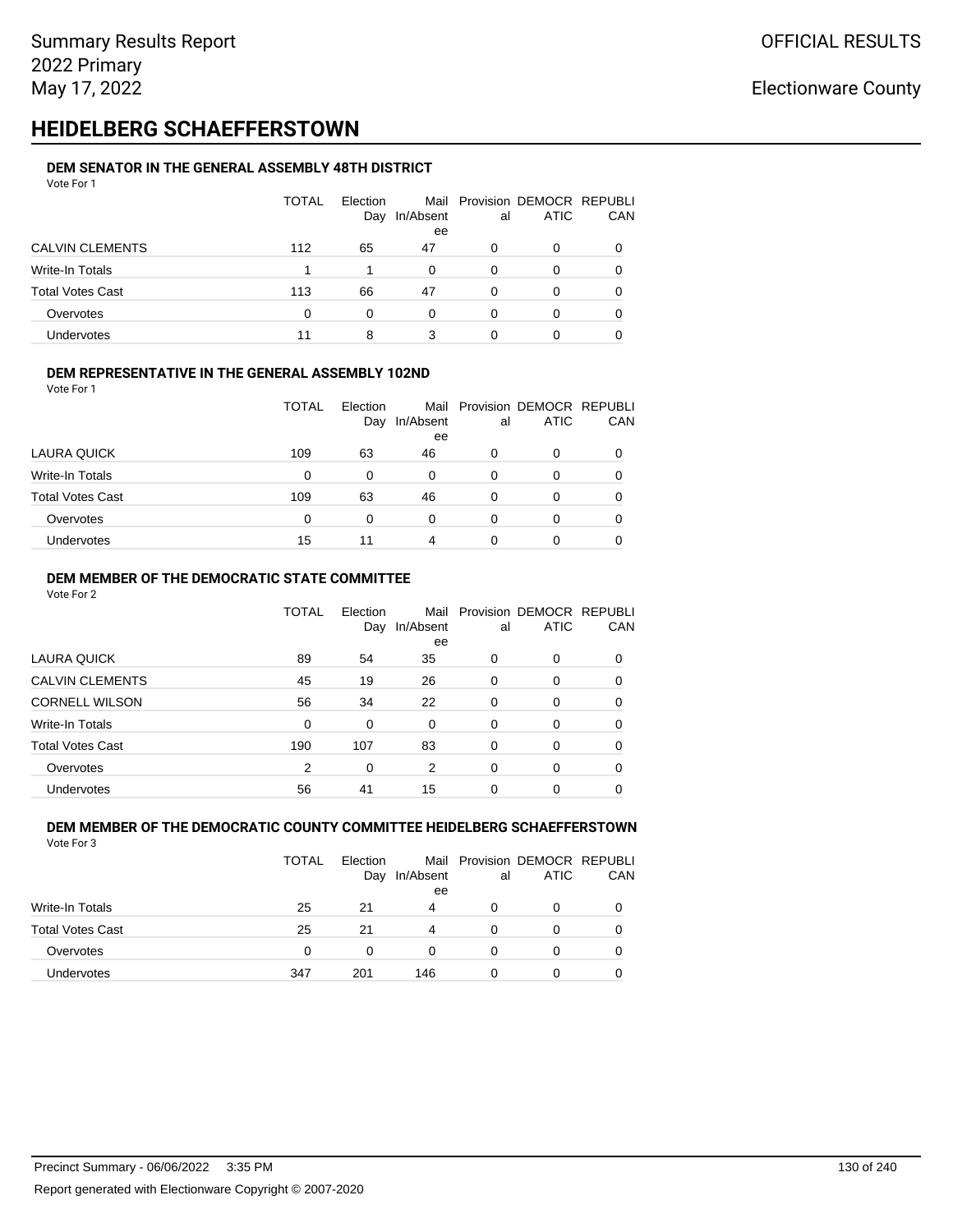# **HEIDELBERG SCHAEFFERSTOWN**

#### **DEM SENATOR IN THE GENERAL ASSEMBLY 48TH DISTRICT** Vote For 1

| 1 J J J J J J           |              |                 |                 |    |                                              |            |
|-------------------------|--------------|-----------------|-----------------|----|----------------------------------------------|------------|
|                         | <b>TOTAL</b> | Election<br>Day | In/Absent<br>ee | al | Mail Provision DEMOCR REPUBLI<br><b>ATIC</b> | <b>CAN</b> |
| <b>CALVIN CLEMENTS</b>  | 112          | 65              | 47              | O  | 0                                            | 0          |
| Write-In Totals         |              |                 | 0               | O  | 0                                            | 0          |
| <b>Total Votes Cast</b> | 113          | 66              | 47              | 0  | 0                                            | 0          |
| Overvotes               | 0            | 0               | 0               | O  | 0                                            | 0          |
| Undervotes              |              | 8               | 3               |    |                                              |            |

#### **DEM REPRESENTATIVE IN THE GENERAL ASSEMBLY 102ND**

| Vote For 1 |  |  |
|------------|--|--|
|            |  |  |

|                         | <b>TOTAL</b> | Election<br>Day | Mail<br>In/Absent<br>ee | al | Provision DEMOCR REPUBLI<br><b>ATIC</b> | CAN |
|-------------------------|--------------|-----------------|-------------------------|----|-----------------------------------------|-----|
| LAURA QUICK             | 109          | 63              | 46                      | 0  | ი                                       |     |
| Write-In Totals         | 0            | $\Omega$        | 0                       | 0  | 0                                       |     |
| <b>Total Votes Cast</b> | 109          | 63              | 46                      | 0  | Ω                                       |     |
| Overvotes               | 0            | 0               | 0                       | 0  | 0                                       |     |
| Undervotes              | 15           | 11              | 4                       |    | 0                                       |     |

#### **DEM MEMBER OF THE DEMOCRATIC STATE COMMITTEE**

Vote For 2

|                         | TOTAL    | Election<br>Day | Mail<br>In/Absent<br>ee | al       | Provision DEMOCR REPUBLI<br><b>ATIC</b> | CAN      |
|-------------------------|----------|-----------------|-------------------------|----------|-----------------------------------------|----------|
| LAURA QUICK             | 89       | 54              | 35                      | $\Omega$ | $\Omega$                                | 0        |
| <b>CALVIN CLEMENTS</b>  | 45       | 19              | 26                      | $\Omega$ | 0                                       | 0        |
| <b>CORNELL WILSON</b>   | 56       | 34              | 22                      | $\Omega$ | $\Omega$                                | 0        |
| Write-In Totals         | $\Omega$ | $\Omega$        | $\Omega$                | $\Omega$ | $\Omega$                                | $\Omega$ |
| <b>Total Votes Cast</b> | 190      | 107             | 83                      | $\Omega$ | 0                                       | 0        |
| Overvotes               | 2        | $\Omega$        | 2                       | $\Omega$ | $\Omega$                                | 0        |
| Undervotes              | 56       | 41              | 15                      | 0        | 0                                       |          |

#### **DEM MEMBER OF THE DEMOCRATIC COUNTY COMMITTEE HEIDELBERG SCHAEFFERSTOWN** Vote For 3

|                         | <b>TOTAL</b> | Election<br>Day | In/Absent<br>ee | al | Mail Provision DEMOCR REPUBLI<br><b>ATIC</b> | CAN |
|-------------------------|--------------|-----------------|-----------------|----|----------------------------------------------|-----|
| <b>Write-In Totals</b>  | 25           | 21              | $\overline{4}$  | O  | 0                                            |     |
| <b>Total Votes Cast</b> | 25           | 21              | 4               | 0  | 0                                            |     |
| Overvotes               | 0            | 0               | 0               |    | 0                                            |     |
| <b>Undervotes</b>       | 347          | 201             | 146             | O  | 0                                            |     |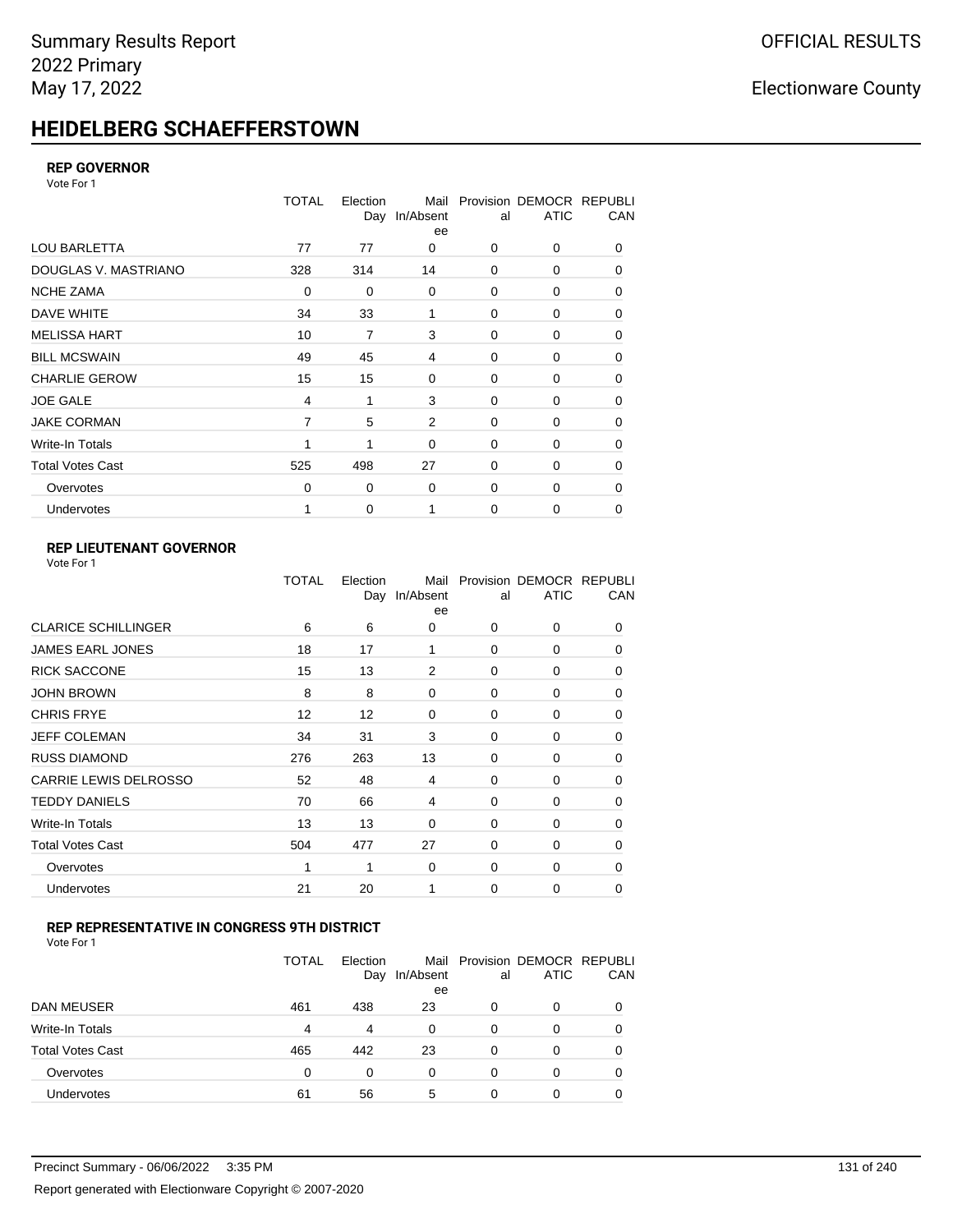# **HEIDELBERG SCHAEFFERSTOWN**

#### **REP GOVERNOR**

Vote For 1

|                         | TOTAL          | Election<br>Day | Mail<br>In/Absent<br>ee | al          | Provision DEMOCR REPUBLI<br><b>ATIC</b> | CAN |
|-------------------------|----------------|-----------------|-------------------------|-------------|-----------------------------------------|-----|
| <b>LOU BARLETTA</b>     | 77             | 77              | 0                       | 0           | 0                                       | 0   |
| DOUGLAS V. MASTRIANO    | 328            | 314             | 14                      | $\mathbf 0$ | 0                                       | 0   |
| <b>NCHE ZAMA</b>        | 0              | 0               | $\mathbf 0$             | 0           | 0                                       | 0   |
| DAVE WHITE              | 34             | 33              | 1                       | $\mathbf 0$ | 0                                       | 0   |
| <b>MELISSA HART</b>     | 10             | 7               | 3                       | 0           | 0                                       | 0   |
| <b>BILL MCSWAIN</b>     | 49             | 45              | 4                       | $\mathbf 0$ | 0                                       | 0   |
| <b>CHARLIE GEROW</b>    | 15             | 15              | $\mathbf 0$             | 0           | 0                                       | 0   |
| <b>JOE GALE</b>         | 4              | 1               | 3                       | $\mathbf 0$ | 0                                       | 0   |
| <b>JAKE CORMAN</b>      | $\overline{7}$ | 5               | 2                       | 0           | 0                                       | 0   |
| Write-In Totals         |                | 1               | $\Omega$                | $\mathbf 0$ | $\Omega$                                | 0   |
| <b>Total Votes Cast</b> | 525            | 498             | 27                      | $\Omega$    | $\Omega$                                | 0   |
| Overvotes               | 0              | 0               | $\mathbf 0$             | 0           | 0                                       | 0   |
| Undervotes              |                | 0               |                         | 0           | 0                                       | 0   |

### **REP LIEUTENANT GOVERNOR**

|                              | TOTAL | Election | Mail<br>Day In/Absent<br>ee | al       | Provision DEMOCR REPUBLI<br><b>ATIC</b> | CAN      |
|------------------------------|-------|----------|-----------------------------|----------|-----------------------------------------|----------|
| <b>CLARICE SCHILLINGER</b>   | 6     | 6        | 0                           | 0        | 0                                       | 0        |
| <b>JAMES EARL JONES</b>      | 18    | 17       | 1                           | 0        | 0                                       | 0        |
| <b>RICK SACCONE</b>          | 15    | 13       | 2                           | 0        | 0                                       | 0        |
| <b>JOHN BROWN</b>            | 8     | 8        | 0                           | $\Omega$ | 0                                       | 0        |
| <b>CHRIS FRYE</b>            | 12    | 12       | $\Omega$                    | $\Omega$ | 0                                       | 0        |
| JEFF COLEMAN                 | 34    | 31       | 3                           | 0        | 0                                       | 0        |
| <b>RUSS DIAMOND</b>          | 276   | 263      | 13                          | $\Omega$ | 0                                       | 0        |
| <b>CARRIE LEWIS DELROSSO</b> | 52    | 48       | 4                           | $\Omega$ | 0                                       | $\Omega$ |
| <b>TEDDY DANIELS</b>         | 70    | 66       | 4                           | 0        | 0                                       | 0        |
| Write-In Totals              | 13    | 13       | $\Omega$                    | $\Omega$ | 0                                       | $\Omega$ |
| <b>Total Votes Cast</b>      | 504   | 477      | 27                          | 0        | 0                                       | $\Omega$ |
| Overvotes                    | 1     | 1        | $\Omega$                    | $\Omega$ | $\Omega$                                | $\Omega$ |
| Undervotes                   | 21    | 20       | 1                           | $\Omega$ | $\Omega$                                | $\Omega$ |
|                              |       |          |                             |          |                                         |          |

### **REP REPRESENTATIVE IN CONGRESS 9TH DISTRICT**

|                         | <b>TOTAL</b> | Election<br>Day | In/Absent<br>ee | al       | Mail Provision DEMOCR REPUBLI<br><b>ATIC</b> | CAN      |
|-------------------------|--------------|-----------------|-----------------|----------|----------------------------------------------|----------|
| DAN MEUSER              | 461          | 438             | 23              | 0        | 0                                            | $\Omega$ |
| Write-In Totals         | 4            | 4               | 0               | 0        | 0                                            |          |
| <b>Total Votes Cast</b> | 465          | 442             | 23              | $\Omega$ | 0                                            |          |
| Overvotes               | 0            | 0               | 0               | 0        | 0                                            | 0        |
| Undervotes              | 61           | 56              | 5               | 0        | 0                                            |          |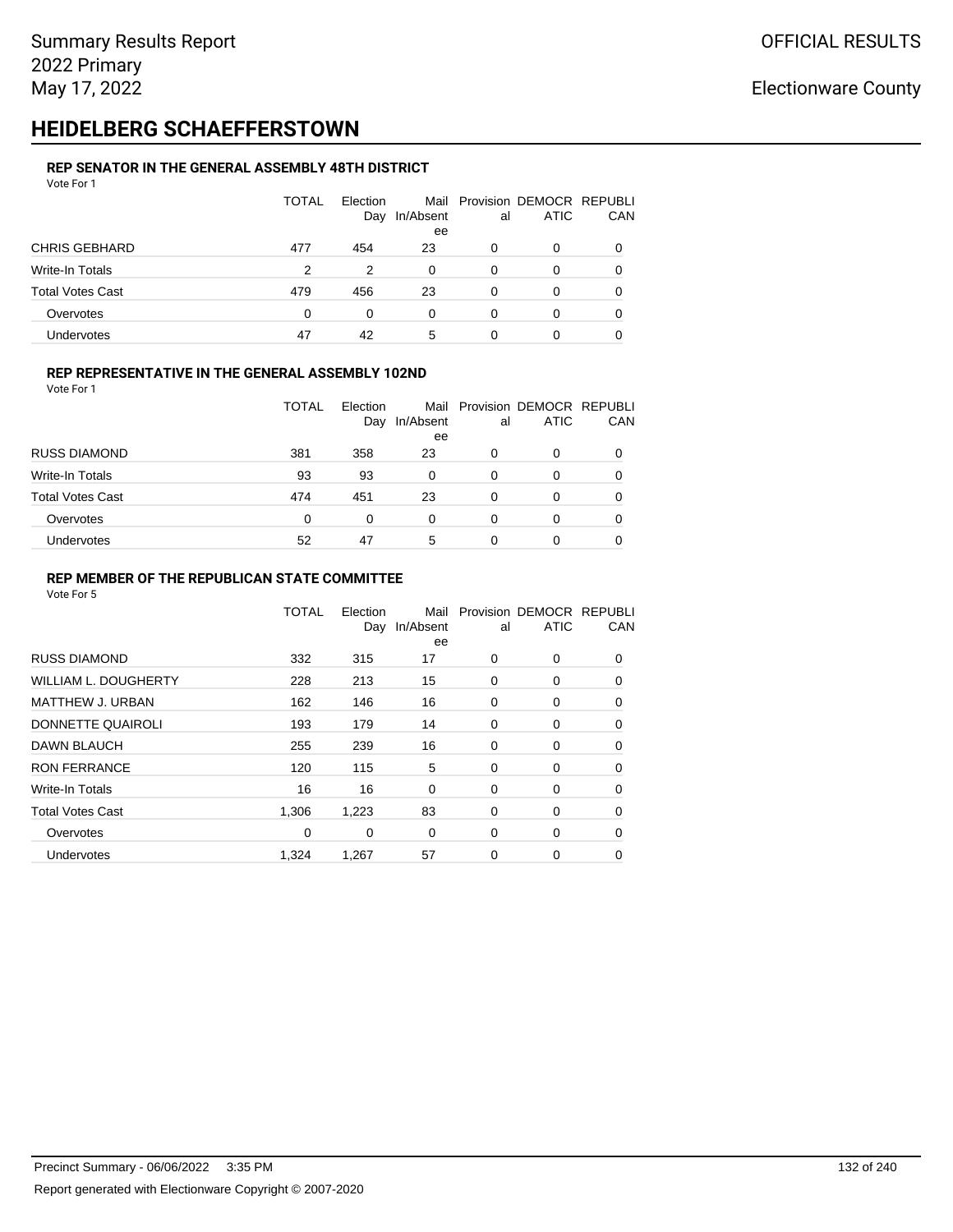# **HEIDELBERG SCHAEFFERSTOWN**

#### **REP SENATOR IN THE GENERAL ASSEMBLY 48TH DISTRICT** Vote For 1

| .                       |              |                 |                 |    |                                              |              |
|-------------------------|--------------|-----------------|-----------------|----|----------------------------------------------|--------------|
|                         | <b>TOTAL</b> | Election<br>Day | In/Absent<br>ee | al | Mail Provision DEMOCR REPUBLI<br><b>ATIC</b> | CAN          |
| <b>CHRIS GEBHARD</b>    | 477          | 454             | 23              | 0  | 0                                            |              |
| Write-In Totals         | 2            | 2               | 0               | 0  | O                                            |              |
| <b>Total Votes Cast</b> | 479          | 456             | 23              | 0  | 0                                            | <sup>0</sup> |
| Overvotes               | 0            | 0               | 0               | 0  | O                                            |              |
| Undervotes              | 47           | 42              | 5               | 0  | 0                                            |              |

#### **REP REPRESENTATIVE IN THE GENERAL ASSEMBLY 102ND**

Vote For 1

|                         | <b>TOTAL</b> | Election<br>Day | In/Absent<br>ee | al | Mail Provision DEMOCR REPUBLI<br><b>ATIC</b> | CAN |
|-------------------------|--------------|-----------------|-----------------|----|----------------------------------------------|-----|
| <b>RUSS DIAMOND</b>     | 381          | 358             | 23              | 0  | 0                                            |     |
| Write-In Totals         | 93           | 93              | 0               | 0  | O                                            |     |
| <b>Total Votes Cast</b> | 474          | 451             | 23              | 0  | 0                                            |     |
| Overvotes               | $\Omega$     | 0               | 0               | 0  | 0                                            |     |
| Undervotes              | 52           | 47              | 5               | 0  | 0                                            |     |

#### **REP MEMBER OF THE REPUBLICAN STATE COMMITTEE**

|                             | TOTAL | Election<br>Day | Mail<br>In/Absent<br>ee | al | Provision DEMOCR REPUBLI<br><b>ATIC</b> | CAN      |
|-----------------------------|-------|-----------------|-------------------------|----|-----------------------------------------|----------|
| <b>RUSS DIAMOND</b>         | 332   | 315             | 17                      | 0  | 0                                       | 0        |
| <b>WILLIAM L. DOUGHERTY</b> | 228   | 213             | 15                      | 0  | 0                                       | 0        |
| MATTHEW J. URBAN            | 162   | 146             | 16                      | 0  | 0                                       | 0        |
| DONNETTE QUAIROLI           | 193   | 179             | 14                      | 0  | 0                                       | $\Omega$ |
| <b>DAWN BLAUCH</b>          | 255   | 239             | 16                      | 0  | 0                                       | $\Omega$ |
| <b>RON FERRANCE</b>         | 120   | 115             | 5                       | 0  | 0                                       | $\Omega$ |
| Write-In Totals             | 16    | 16              | 0                       | 0  | 0                                       | 0        |
| <b>Total Votes Cast</b>     | 1,306 | 1,223           | 83                      | 0  | 0                                       | 0        |
| Overvotes                   | 0     | 0               | $\mathbf 0$             | 0  | 0                                       | 0        |
| Undervotes                  | 1,324 | 1,267           | 57                      | 0  | 0                                       | 0        |
|                             |       |                 |                         |    |                                         |          |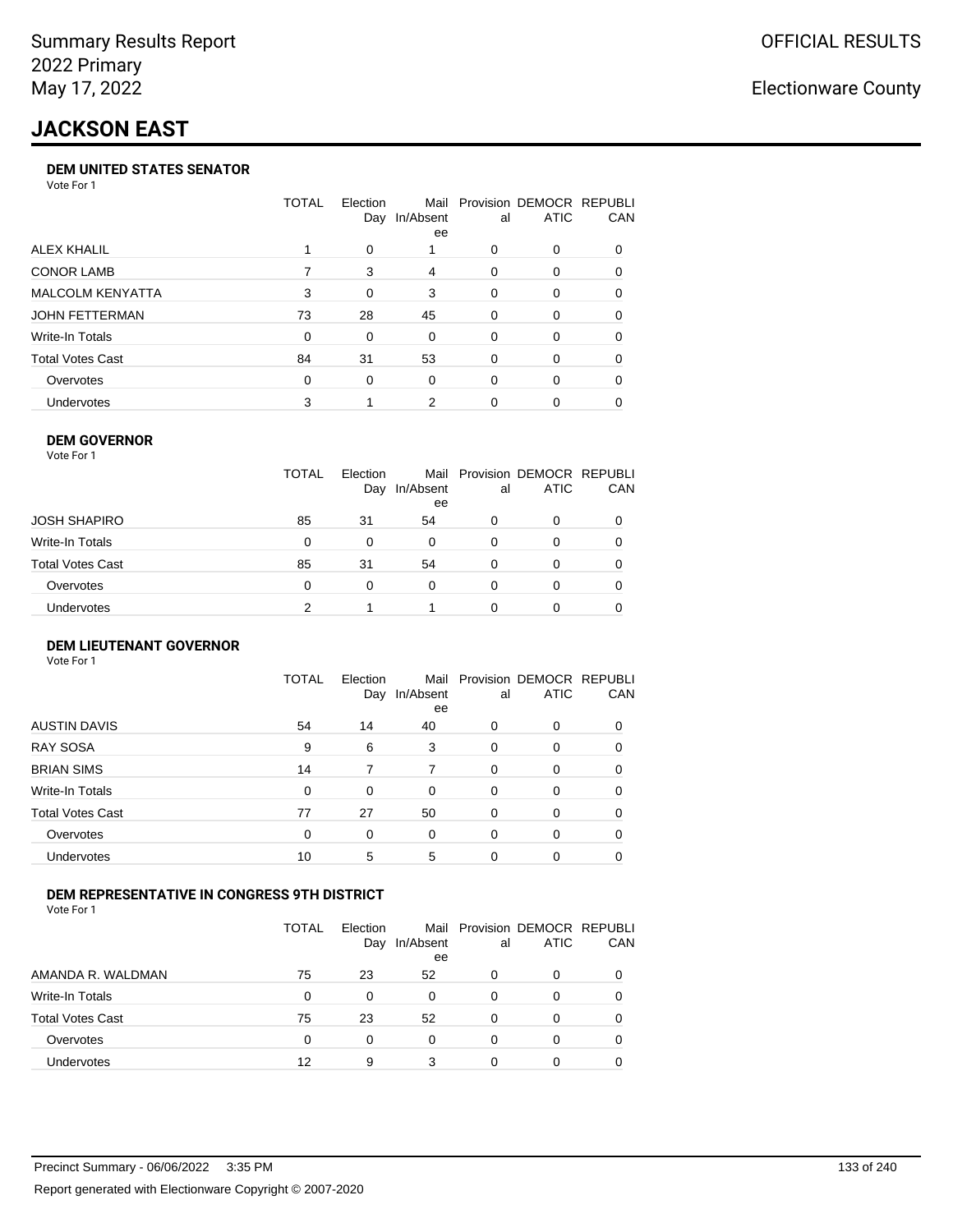# **JACKSON EAST**

#### **DEM UNITED STATES SENATOR**

Vote For 1

|                         | TOTAL | Election<br>Day | Mail<br>In/Absent<br>ee | al | Provision DEMOCR REPUBLI<br>ATIC | <b>CAN</b> |
|-------------------------|-------|-----------------|-------------------------|----|----------------------------------|------------|
| ALEX KHALIL             |       | $\Omega$        |                         | 0  | $\Omega$                         | 0          |
| <b>CONOR LAMB</b>       |       | 3               | 4                       | 0  | $\Omega$                         | 0          |
| <b>MALCOLM KENYATTA</b> | 3     | 0               | 3                       | 0  | $\Omega$                         | 0          |
| JOHN FETTERMAN          | 73    | 28              | 45                      | 0  | $\Omega$                         | 0          |
| Write-In Totals         | 0     | 0               | $\Omega$                | 0  | $\Omega$                         | 0          |
| <b>Total Votes Cast</b> | 84    | 31              | 53                      | 0  | $\Omega$                         | $\Omega$   |
| Overvotes               | 0     | 0               | $\Omega$                | 0  | $\Omega$                         | 0          |
| <b>Undervotes</b>       | 3     |                 | 2                       | 0  | $\Omega$                         | 0          |

#### **DEM GOVERNOR**

| Vote For 1              |              |                 |                 |          |                                              |     |
|-------------------------|--------------|-----------------|-----------------|----------|----------------------------------------------|-----|
|                         | <b>TOTAL</b> | Election<br>Day | In/Absent<br>ee | al       | Mail Provision DEMOCR REPUBLI<br><b>ATIC</b> | CAN |
| JOSH SHAPIRO            | 85           | 31              | 54              | 0        | 0                                            |     |
| Write-In Totals         | 0            | 0               | $\Omega$        | 0        | 0                                            | 0   |
| <b>Total Votes Cast</b> | 85           | 31              | 54              | $\Omega$ | 0                                            | 0   |
| Overvotes               | 0            | $\Omega$        | 0               | 0        | 0                                            |     |
| Undervotes              | 2            |                 |                 | ŋ        | Ω                                            |     |

#### **DEM LIEUTENANT GOVERNOR** Vote For 1

|                         | <b>TOTAL</b> | Election<br>Day | In/Absent<br>ee | al       | Mail Provision DEMOCR REPUBLI<br><b>ATIC</b> | CAN      |
|-------------------------|--------------|-----------------|-----------------|----------|----------------------------------------------|----------|
| <b>AUSTIN DAVIS</b>     | 54           | 14              | 40              | 0        | 0                                            | 0        |
| <b>RAY SOSA</b>         | 9            | 6               | 3               | $\Omega$ | 0                                            | 0        |
| <b>BRIAN SIMS</b>       | 14           | 7               | 7               | $\Omega$ | $\Omega$                                     | $\Omega$ |
| Write-In Totals         | $\Omega$     | $\Omega$        | $\Omega$        | $\Omega$ | $\Omega$                                     | $\Omega$ |
| <b>Total Votes Cast</b> | 77           | 27              | 50              | $\Omega$ | $\Omega$                                     | $\Omega$ |
| Overvotes               | 0            | 0               | $\Omega$        | $\Omega$ | $\Omega$                                     | $\Omega$ |
| Undervotes              | 10           | 5               | 5               | 0        | 0                                            | 0        |

#### **DEM REPRESENTATIVE IN CONGRESS 9TH DISTRICT**

Vote For 1

|                         | TOTAL | <b>Flection</b><br>Day | In/Absent<br>ee | al | Mail Provision DEMOCR REPUBLI<br><b>ATIC</b> | <b>CAN</b> |
|-------------------------|-------|------------------------|-----------------|----|----------------------------------------------|------------|
| AMANDA R. WALDMAN       | 75    | 23                     | 52              | O  | 0                                            | 0          |
| Write-In Totals         | 0     | <sup>0</sup>           | 0               | 0  | n                                            | 0          |
| <b>Total Votes Cast</b> | 75    | 23                     | 52              | 0  | 0                                            | 0          |
| Overvotes               | 0     | 0                      | 0               | 0  | $\Omega$                                     | 0          |
| <b>Undervotes</b>       | 12    | 9                      | 3               |    |                                              |            |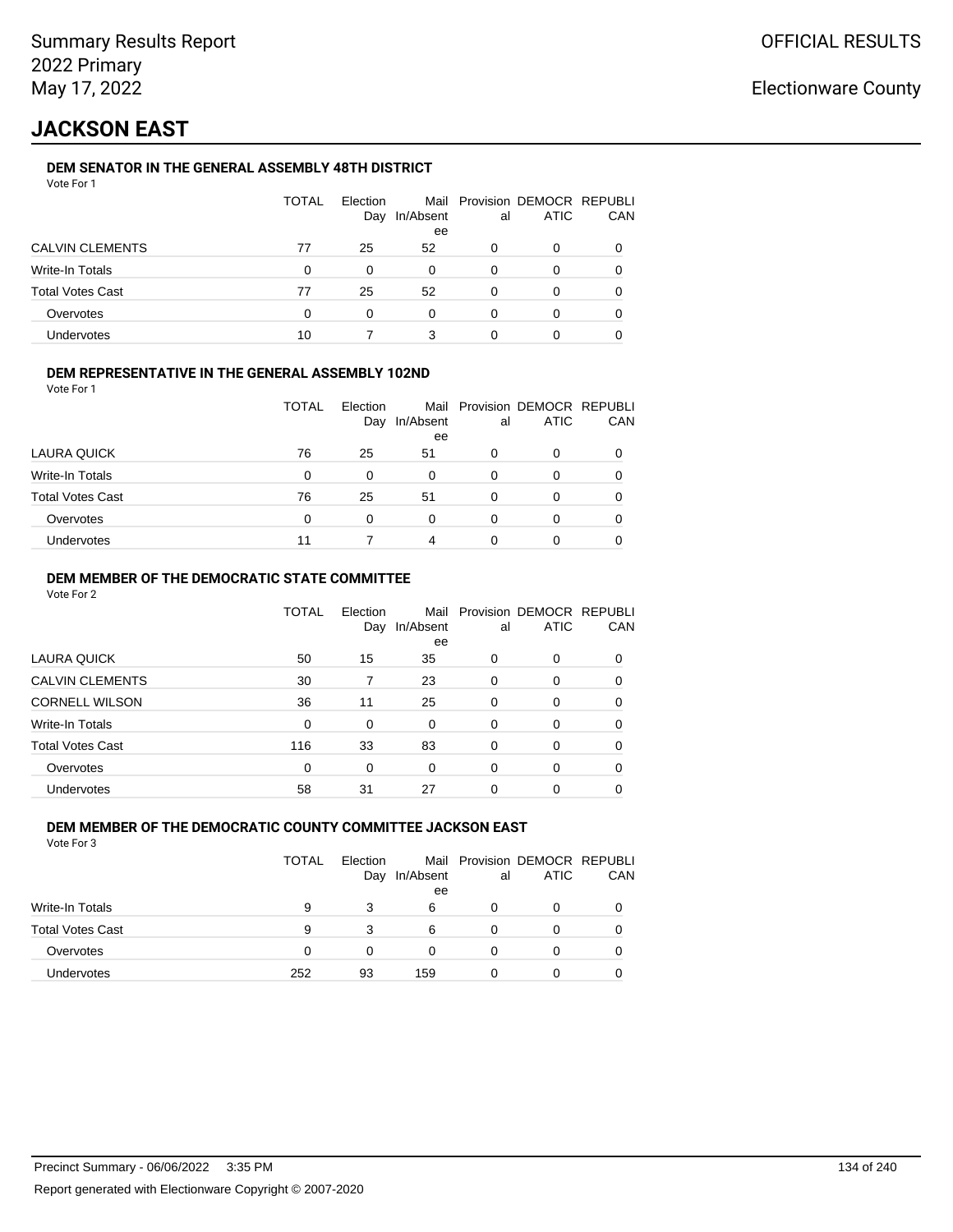# **JACKSON EAST**

### **DEM SENATOR IN THE GENERAL ASSEMBLY 48TH DISTRICT**

|                         | <b>TOTAL</b> | Election<br>Day | In/Absent<br>ee | al       | Mail Provision DEMOCR REPUBLI<br><b>ATIC</b> | CAN |
|-------------------------|--------------|-----------------|-----------------|----------|----------------------------------------------|-----|
| <b>CALVIN CLEMENTS</b>  | 77           | 25              | 52              | $\Omega$ | 0                                            |     |
| Write-In Totals         | 0            | 0               | 0               | 0        | O                                            |     |
| <b>Total Votes Cast</b> | 77           | 25              | 52              | 0        | 0                                            |     |
| Overvotes               | 0            | 0               | $\Omega$        | 0        | 0                                            |     |
| Undervotes              | 10           |                 | 3               |          |                                              |     |

### **DEM REPRESENTATIVE IN THE GENERAL ASSEMBLY 102ND**

| Vote For 1 |  |  |
|------------|--|--|
|            |  |  |

|                         | TOTAL | Election<br>Day | In/Absent | al | Mail Provision DEMOCR REPUBLI<br><b>ATIC</b> | <b>CAN</b> |
|-------------------------|-------|-----------------|-----------|----|----------------------------------------------|------------|
|                         |       |                 | ee        |    |                                              |            |
| LAURA QUICK             | 76    | 25              | 51        | O  | 0                                            | 0          |
| Write-In Totals         | 0     | 0               | 0         | 0  |                                              | 0          |
| <b>Total Votes Cast</b> | 76    | 25              | 51        | 0  |                                              | 0          |
| Overvotes               | 0     | 0               | 0         | O  |                                              | 0          |
| Undervotes              |       |                 | 4         | Ω  |                                              | 0          |

#### **DEM MEMBER OF THE DEMOCRATIC STATE COMMITTEE**

Vote For 2

|                         | TOTAL    | Flection<br>Day | Mail<br>In/Absent<br>ee | al       | Provision DEMOCR REPUBLI<br><b>ATIC</b> | CAN |
|-------------------------|----------|-----------------|-------------------------|----------|-----------------------------------------|-----|
| LAURA QUICK             | 50       | 15              | 35                      | 0        | 0                                       | 0   |
| <b>CALVIN CLEMENTS</b>  | 30       |                 | 23                      | $\Omega$ | 0                                       | 0   |
| <b>CORNELL WILSON</b>   | 36       | 11              | 25                      | $\Omega$ | 0                                       | 0   |
| Write-In Totals         | 0        | 0               | 0                       | 0        | 0                                       | 0   |
| <b>Total Votes Cast</b> | 116      | 33              | 83                      | 0        | $\Omega$                                | 0   |
| Overvotes               | $\Omega$ | 0               | 0                       | 0        | $\Omega$                                | 0   |
| <b>Undervotes</b>       | 58       | 31              | 27                      | 0        | 0                                       |     |

#### **DEM MEMBER OF THE DEMOCRATIC COUNTY COMMITTEE JACKSON EAST** Vote For 3

|                         | <b>TOTAL</b> | Election<br>Day | In/Absent<br>ee | al | Mail Provision DEMOCR REPUBLI<br><b>ATIC</b> | CAN |
|-------------------------|--------------|-----------------|-----------------|----|----------------------------------------------|-----|
| Write-In Totals         | 9            | 3               | 6               | 0  | Ω                                            |     |
| <b>Total Votes Cast</b> | 9            | 3               | 6               |    | O                                            |     |
| Overvotes               | 0            | 0               |                 | Ω  | O                                            |     |
| <b>Undervotes</b>       | 252          | 93              | 159             | 0  | Ω                                            |     |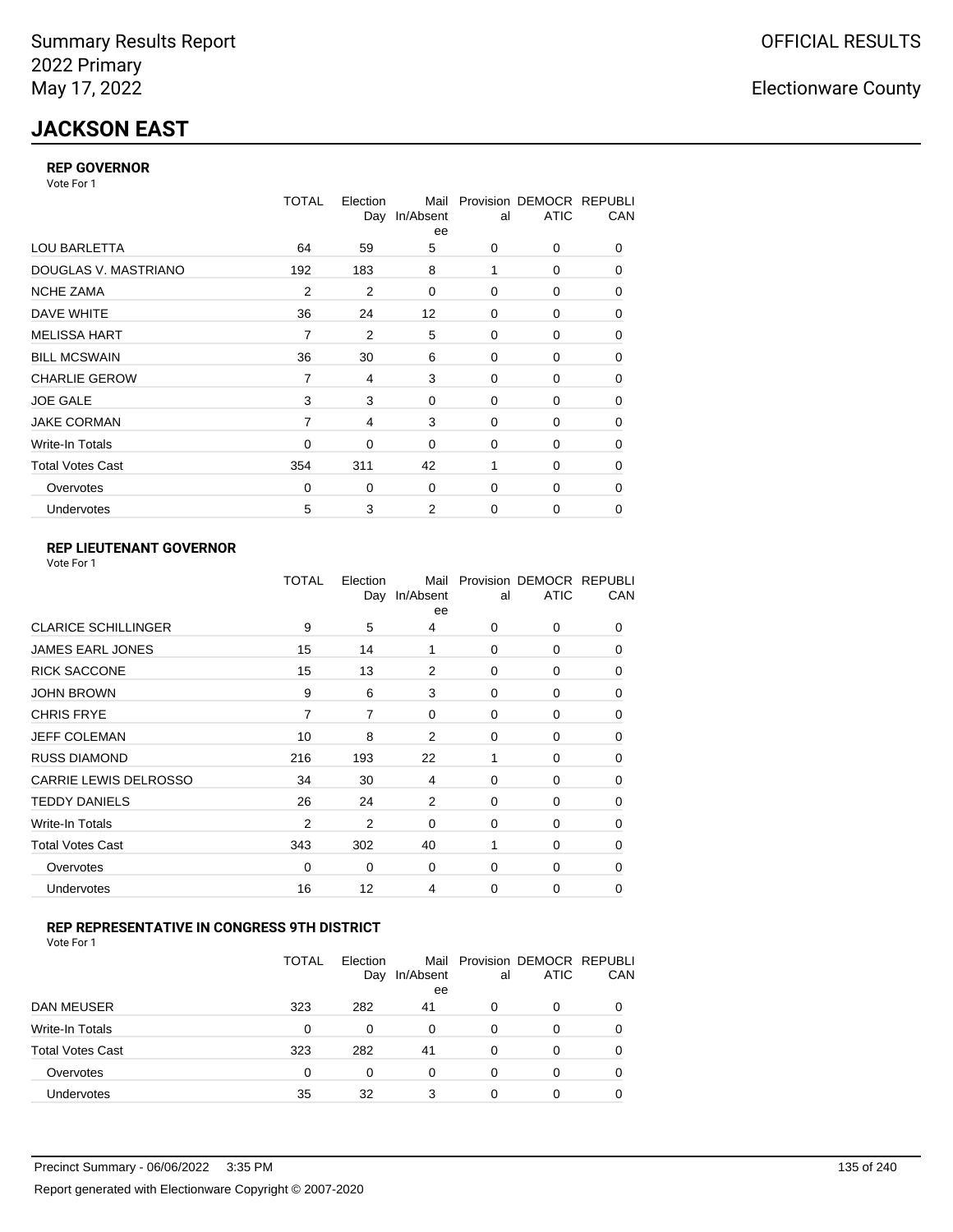# **JACKSON EAST**

#### **REP GOVERNOR**

Vote For 1

|                         | <b>TOTAL</b>   | Election<br>Day | Mail<br>In/Absent<br>ee | al          | Provision DEMOCR REPUBLI<br><b>ATIC</b> | CAN |
|-------------------------|----------------|-----------------|-------------------------|-------------|-----------------------------------------|-----|
| <b>LOU BARLETTA</b>     | 64             | 59              | 5                       | 0           | 0                                       | 0   |
| DOUGLAS V. MASTRIANO    | 192            | 183             | 8                       | 1           | 0                                       | 0   |
| <b>NCHE ZAMA</b>        | $\overline{2}$ | 2               | 0                       | $\Omega$    | 0                                       | 0   |
| DAVE WHITE              | 36             | 24              | 12                      | 0           | 0                                       | 0   |
| <b>MELISSA HART</b>     | 7              | 2               | 5                       | $\Omega$    | 0                                       | 0   |
| <b>BILL MCSWAIN</b>     | 36             | 30              | 6                       | 0           | 0                                       | 0   |
| <b>CHARLIE GEROW</b>    | 7              | 4               | 3                       | $\Omega$    | $\Omega$                                | 0   |
| <b>JOE GALE</b>         | 3              | 3               | 0                       | 0           | 0                                       | 0   |
| <b>JAKE CORMAN</b>      | 7              | 4               | 3                       | 0           | 0                                       | 0   |
| Write-In Totals         | $\Omega$       | 0               | $\mathbf 0$             | 0           | 0                                       | 0   |
| <b>Total Votes Cast</b> | 354            | 311             | 42                      | 1           | $\Omega$                                | 0   |
| Overvotes               | 0              | 0               | 0                       | 0           | 0                                       | 0   |
| Undervotes              | 5              | 3               | $\overline{2}$          | $\mathbf 0$ | 0                                       | 0   |

### **REP LIEUTENANT GOVERNOR**

|                            | TOTAL          | Election | Mail<br>Day In/Absent<br>ee | al          | Provision DEMOCR REPUBLI<br><b>ATIC</b> | CAN      |
|----------------------------|----------------|----------|-----------------------------|-------------|-----------------------------------------|----------|
| <b>CLARICE SCHILLINGER</b> | 9              | 5        | 4                           | $\Omega$    | 0                                       | 0        |
| <b>JAMES EARL JONES</b>    | 15             | 14       | 1                           | $\Omega$    | 0                                       | 0        |
| <b>RICK SACCONE</b>        | 15             | 13       | 2                           | $\Omega$    | 0                                       | 0        |
| <b>JOHN BROWN</b>          | 9              | 6        | 3                           | $\Omega$    | 0                                       | 0        |
| <b>CHRIS FRYE</b>          | 7              | 7        | 0                           | 0           | 0                                       | 0        |
| JEFF COLEMAN               | 10             | 8        | 2                           | 0           | 0                                       | 0        |
| <b>RUSS DIAMOND</b>        | 216            | 193      | 22                          | 1           | 0                                       | 0        |
| CARRIE LEWIS DELROSSO      | 34             | 30       | 4                           | 0           | 0                                       | 0        |
| <b>TEDDY DANIELS</b>       | 26             | 24       | 2                           | 0           | 0                                       | 0        |
| Write-In Totals            | $\overline{2}$ | 2        | 0                           | 0           | 0                                       | 0        |
| <b>Total Votes Cast</b>    | 343            | 302      | 40                          | 1           | 0                                       | 0        |
| Overvotes                  | 0              | 0        | 0                           | 0           | 0                                       | $\Omega$ |
| Undervotes                 | 16             | 12       | 4                           | $\mathbf 0$ | 0                                       | 0        |
|                            |                |          |                             |             |                                         |          |

#### **REP REPRESENTATIVE IN CONGRESS 9TH DISTRICT**

Vote For 1

|                         | <b>TOTAL</b> | Election<br>Day | In/Absent<br>ee | al | Mail Provision DEMOCR REPUBLI<br><b>ATIC</b> | CAN |
|-------------------------|--------------|-----------------|-----------------|----|----------------------------------------------|-----|
| <b>DAN MEUSER</b>       | 323          | 282             | 41              | 0  | 0                                            |     |
| Write-In Totals         | $\Omega$     | 0               | 0               | 0  | 0                                            |     |
| <b>Total Votes Cast</b> | 323          | 282             | 41              | 0  | O                                            |     |
| Overvotes               | $\Omega$     | 0               | 0               | 0  | 0                                            |     |
| Undervotes              | 35           | 32              | 3               |    | Ω                                            |     |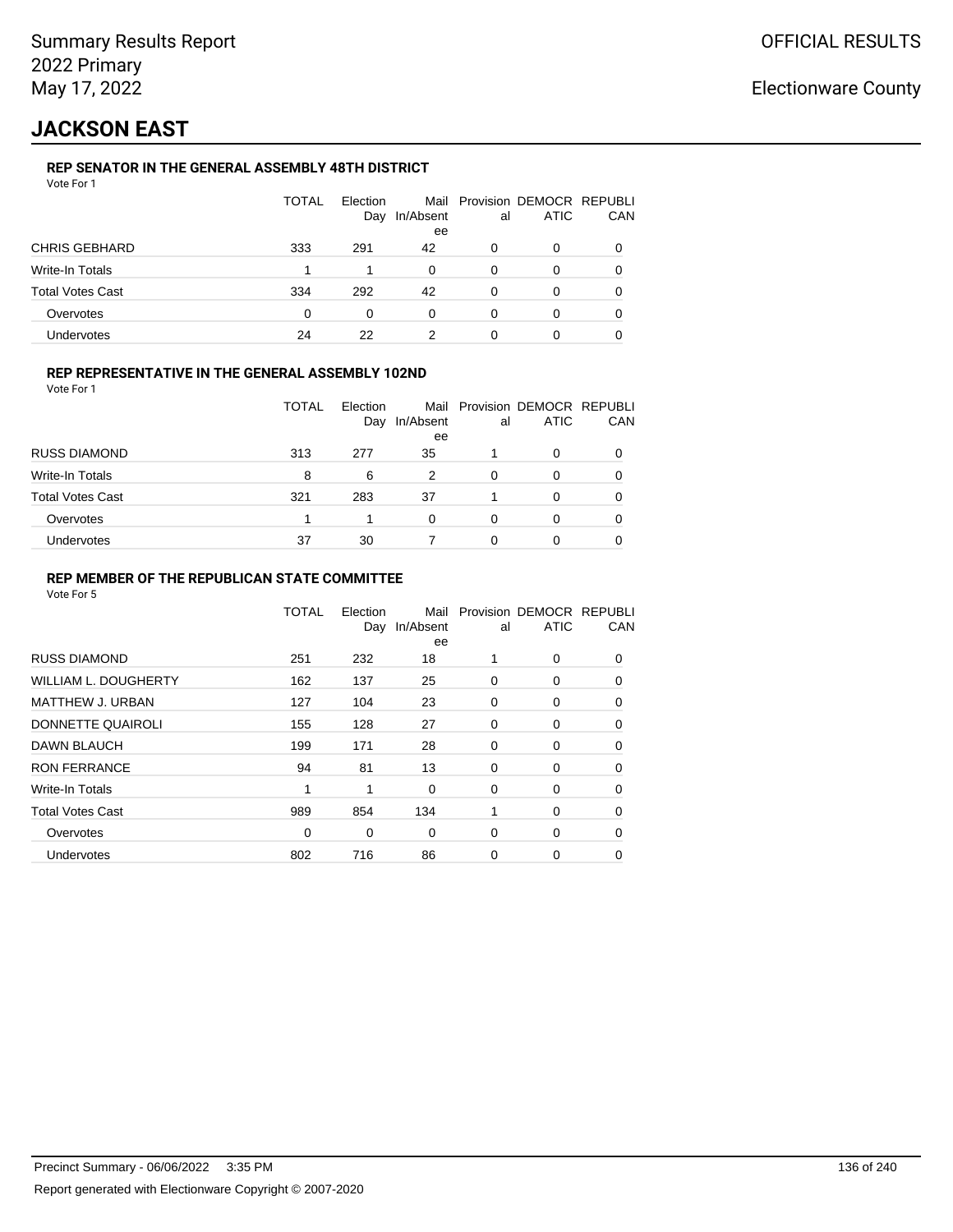# **JACKSON EAST**

### **REP SENATOR IN THE GENERAL ASSEMBLY 48TH DISTRICT**

|                         | <b>TOTAL</b> | Election<br>Day | In/Absent<br>ee | al | Mail Provision DEMOCR REPUBLI<br><b>ATIC</b> | CAN |
|-------------------------|--------------|-----------------|-----------------|----|----------------------------------------------|-----|
| <b>CHRIS GEBHARD</b>    | 333          | 291             | 42              | 0  | 0                                            |     |
| Write-In Totals         |              |                 | $\Omega$        | 0  | O                                            |     |
| <b>Total Votes Cast</b> | 334          | 292             | 42              | O  | O                                            |     |
| Overvotes               | 0            | 0               | $\Omega$        | 0  | 0                                            |     |
| <b>Undervotes</b>       | 24           | 22              |                 | 0  | 0                                            |     |

#### **REP REPRESENTATIVE IN THE GENERAL ASSEMBLY 102ND**

Vote For 1

|                         | <b>TOTAL</b> | <b>Flection</b><br>Day | Mail<br>In/Absent<br>ee | al | Provision DEMOCR REPUBLI<br><b>ATIC</b> | CAN |
|-------------------------|--------------|------------------------|-------------------------|----|-----------------------------------------|-----|
| <b>RUSS DIAMOND</b>     | 313          | 277                    | 35                      |    | ი                                       |     |
| Write-In Totals         | 8            | 6                      | 2                       | 0  | 0                                       |     |
| <b>Total Votes Cast</b> | 321          | 283                    | 37                      |    | O                                       |     |
| Overvotes               |              |                        | 0                       | 0  | 0                                       |     |
| Undervotes              | 37           | 30                     |                         |    | 0                                       |     |

#### **REP MEMBER OF THE REPUBLICAN STATE COMMITTEE**

|                         | <b>TOTAL</b> | Election<br>Day | Mail<br>In/Absent<br>ee | al | Provision DEMOCR REPUBLI<br><b>ATIC</b> | CAN      |
|-------------------------|--------------|-----------------|-------------------------|----|-----------------------------------------|----------|
| <b>RUSS DIAMOND</b>     | 251          | 232             | 18                      | 1  | 0                                       | 0        |
| WILLIAM L. DOUGHERTY    | 162          | 137             | 25                      | 0  | 0                                       | 0        |
| <b>MATTHEW J. URBAN</b> | 127          | 104             | 23                      | 0  | 0                                       | 0        |
| DONNETTE QUAIROLI       | 155          | 128             | 27                      | 0  | 0                                       | $\Omega$ |
| DAWN BLAUCH             | 199          | 171             | 28                      | 0  | 0                                       | $\Omega$ |
| <b>RON FERRANCE</b>     | 94           | 81              | 13                      | 0  | 0                                       | $\Omega$ |
| Write-In Totals         | 1            | 1               | 0                       | 0  | 0                                       | 0        |
| <b>Total Votes Cast</b> | 989          | 854             | 134                     | 1  | 0                                       | 0        |
| Overvotes               | 0            | 0               | 0                       | 0  | 0                                       | 0        |
| <b>Undervotes</b>       | 802          | 716             | 86                      | 0  | 0                                       | 0        |
|                         |              |                 |                         |    |                                         |          |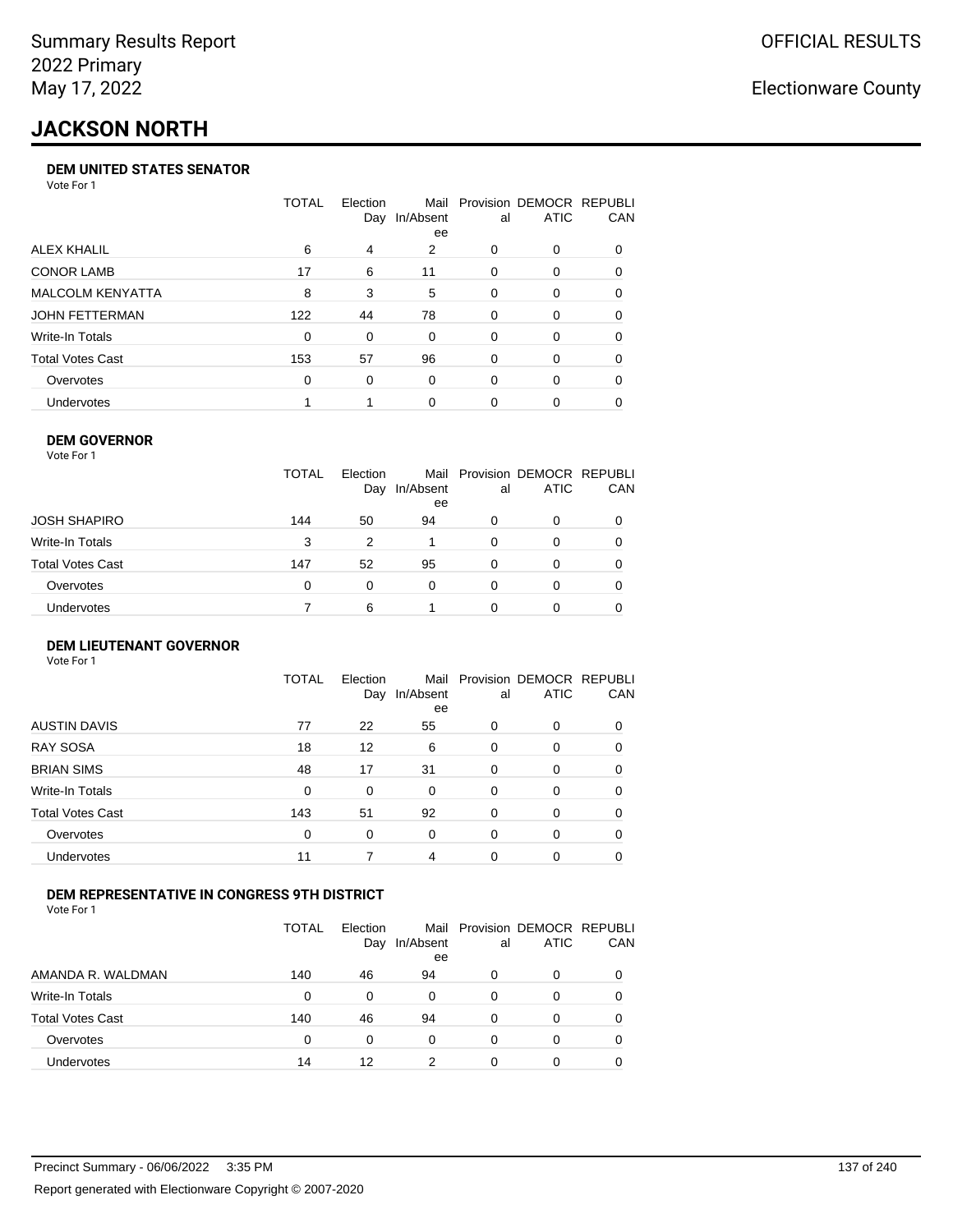# **JACKSON NORTH**

#### **DEM UNITED STATES SENATOR**

Vote For 1

|                         | TOTAL | Election<br>Day | Mail<br>In/Absent<br>ee | al       | Provision DEMOCR REPUBLI<br><b>ATIC</b> | CAN      |
|-------------------------|-------|-----------------|-------------------------|----------|-----------------------------------------|----------|
| ALEX KHALIL             | 6     | 4               | 2                       | 0        | $\Omega$                                | 0        |
| <b>CONOR LAMB</b>       | 17    | 6               | 11                      | 0        | $\Omega$                                | 0        |
| <b>MALCOLM KENYATTA</b> | 8     | 3               | 5                       | 0        | $\Omega$                                | 0        |
| JOHN FETTERMAN          | 122   | 44              | 78                      | 0        | $\Omega$                                | 0        |
| Write-In Totals         | 0     | 0               | $\Omega$                | $\Omega$ | $\Omega$                                | $\Omega$ |
| <b>Total Votes Cast</b> | 153   | 57              | 96                      | 0        | $\Omega$                                | 0        |
| Overvotes               | 0     | $\Omega$        | $\Omega$                | 0        | $\Omega$                                | 0        |
| Undervotes              |       |                 | $\Omega$                | 0        | $\Omega$                                | 0        |

#### **DEM GOVERNOR**

| Vote For 1       |              |                 |                 |          |                                              |     |
|------------------|--------------|-----------------|-----------------|----------|----------------------------------------------|-----|
|                  | <b>TOTAL</b> | Election<br>Day | In/Absent<br>ee | al       | Mail Provision DEMOCR REPUBLI<br><b>ATIC</b> | CAN |
| JOSH SHAPIRO     | 144          | 50              | 94              | 0        | 0                                            |     |
| Write-In Totals  | 3            | 2               |                 | 0        | 0                                            | 0   |
| Total Votes Cast | 147          | 52              | 95              | 0        | 0                                            | 0   |
| Overvotes        | 0            | 0               | $\Omega$        | $\Omega$ | 0                                            | 0   |
| Undervotes       |              | 6               |                 | O        | 0                                            |     |

#### **DEM LIEUTENANT GOVERNOR** Vote For 1

|                         | <b>TOTAL</b> | Election<br>Day | In/Absent<br>ee | al       | Mail Provision DEMOCR REPUBLI<br><b>ATIC</b> | CAN      |
|-------------------------|--------------|-----------------|-----------------|----------|----------------------------------------------|----------|
| <b>AUSTIN DAVIS</b>     | 77           | 22              | 55              | $\Omega$ | 0                                            | 0        |
| <b>RAY SOSA</b>         | 18           | 12              | 6               | $\Omega$ | 0                                            | 0        |
| <b>BRIAN SIMS</b>       | 48           | 17              | 31              | $\Omega$ | 0                                            | $\Omega$ |
| Write-In Totals         | $\Omega$     | 0               | $\Omega$        | $\Omega$ | 0                                            | $\Omega$ |
| <b>Total Votes Cast</b> | 143          | 51              | 92              | 0        | 0                                            | $\Omega$ |
| Overvotes               | 0            | 0               | $\Omega$        | $\Omega$ | 0                                            | $\Omega$ |
| <b>Undervotes</b>       | 11           |                 | 4               | $\Omega$ | 0                                            | 0        |

#### **DEM REPRESENTATIVE IN CONGRESS 9TH DISTRICT**

Vote For 1

|                         | TOTAL | <b>Flection</b><br>Day | In/Absent<br>ee | al | Mail Provision DEMOCR REPUBLI<br><b>ATIC</b> | <b>CAN</b> |
|-------------------------|-------|------------------------|-----------------|----|----------------------------------------------|------------|
| AMANDA R. WALDMAN       | 140   | 46                     | 94              | O  | 0                                            | 0          |
| <b>Write-In Totals</b>  | 0     | $\Omega$               | $\Omega$        | 0  | n                                            | 0          |
| <b>Total Votes Cast</b> | 140   | 46                     | 94              | 0  |                                              | 0          |
| Overvotes               | 0     | 0                      | 0               | O  | $\Omega$                                     | 0          |
| Undervotes              | 14    | 12                     | ົ               |    |                                              |            |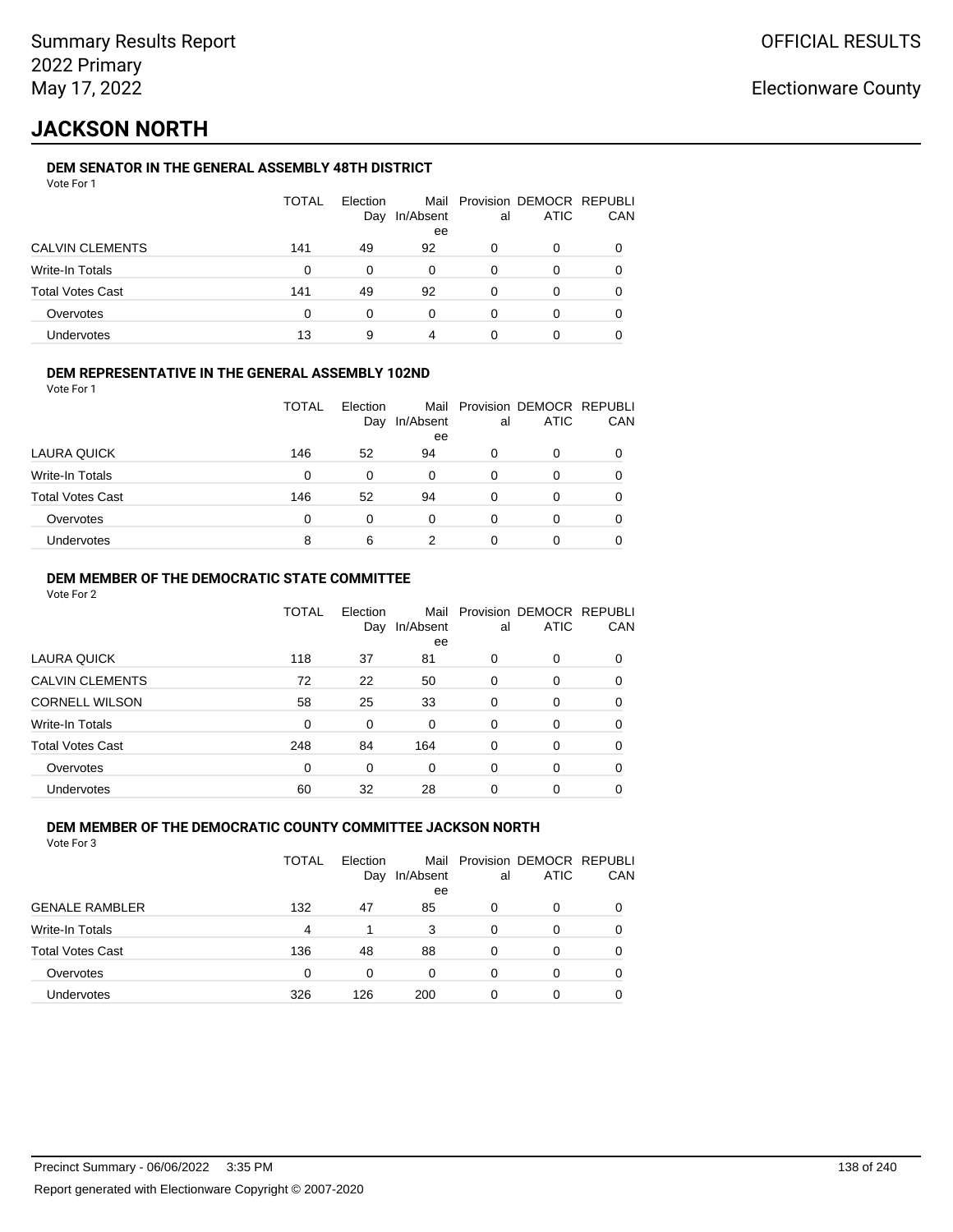# **JACKSON NORTH**

### **DEM SENATOR IN THE GENERAL ASSEMBLY 48TH DISTRICT**

|                         | <b>TOTAL</b> | Election<br>Day | In/Absent<br>ee | al | Mail Provision DEMOCR REPUBLI<br><b>ATIC</b> | CAN |
|-------------------------|--------------|-----------------|-----------------|----|----------------------------------------------|-----|
| <b>CALVIN CLEMENTS</b>  | 141          | 49              | 92              | O  | 0                                            |     |
| Write-In Totals         | 0            | 0               | $\Omega$        | 0  | O                                            |     |
| <b>Total Votes Cast</b> | 141          | 49              | 92              | 0  | Ω                                            |     |
| Overvotes               | 0            | 0               | 0               | 0  | ი                                            |     |
| Undervotes              | 13           | 9               | 4               | 0  |                                              |     |

### **DEM REPRESENTATIVE IN THE GENERAL ASSEMBLY 102ND**

| Vote For 1 |  |  |
|------------|--|--|
|            |  |  |

|                         | <b>TOTAL</b> | Election |           |    | Mail Provision DEMOCR REPUBLI |     |
|-------------------------|--------------|----------|-----------|----|-------------------------------|-----|
|                         |              | Day      | In/Absent | al | <b>ATIC</b>                   | CAN |
|                         |              |          | ee        |    |                               |     |
| LAURA QUICK             | 146          | 52       | 94        | 0  | 0                             |     |
| Write-In Totals         | $\Omega$     | 0        | 0         | 0  | O                             |     |
| <b>Total Votes Cast</b> | 146          | 52       | 94        | 0  | 0                             |     |
| Overvotes               | $\Omega$     | 0        | 0         | 0  | 0                             |     |
| Undervotes              | 8            | 6        |           |    | Ω                             |     |
|                         |              |          |           |    |                               |     |

#### **DEM MEMBER OF THE DEMOCRATIC STATE COMMITTEE**

Vote For 2

|                         | TOTAL    | Election<br>Day | In/Absent<br>ee | al       | Mail Provision DEMOCR REPUBLI<br><b>ATIC</b> | CAN |
|-------------------------|----------|-----------------|-----------------|----------|----------------------------------------------|-----|
| LAURA QUICK             | 118      | 37              | 81              | 0        | $\Omega$                                     | 0   |
| <b>CALVIN CLEMENTS</b>  | 72       | 22              | 50              | $\Omega$ | 0                                            | 0   |
| <b>CORNELL WILSON</b>   | 58       | 25              | 33              | $\Omega$ | $\Omega$                                     | 0   |
| Write-In Totals         | 0        | $\Omega$        | $\Omega$        | $\Omega$ | $\Omega$                                     | 0   |
| <b>Total Votes Cast</b> | 248      | 84              | 164             | $\Omega$ | 0                                            | 0   |
| Overvotes               | $\Omega$ | $\Omega$        | $\Omega$        | $\Omega$ | $\Omega$                                     | 0   |
| Undervotes              | 60       | 32              | 28              | 0        | 0                                            |     |

#### **DEM MEMBER OF THE DEMOCRATIC COUNTY COMMITTEE JACKSON NORTH**

| Vote For 3 |  |  |
|------------|--|--|
|------------|--|--|

|                         | <b>TOTAL</b> | Flection<br>Day | In/Absent<br>ee | al | Mail Provision DEMOCR REPUBLI<br><b>ATIC</b> | CAN |
|-------------------------|--------------|-----------------|-----------------|----|----------------------------------------------|-----|
| <b>GENALE RAMBLER</b>   | 132          | 47              | 85              | 0  | O                                            |     |
| Write-In Totals         | 4            |                 | 3               | 0  | 0                                            |     |
| <b>Total Votes Cast</b> | 136          | 48              | 88              | 0  | 0                                            |     |
| Overvotes               | 0            | 0               | 0               | 0  | 0                                            |     |
| Undervotes              | 326          | 126             | 200             | 0  | 0                                            |     |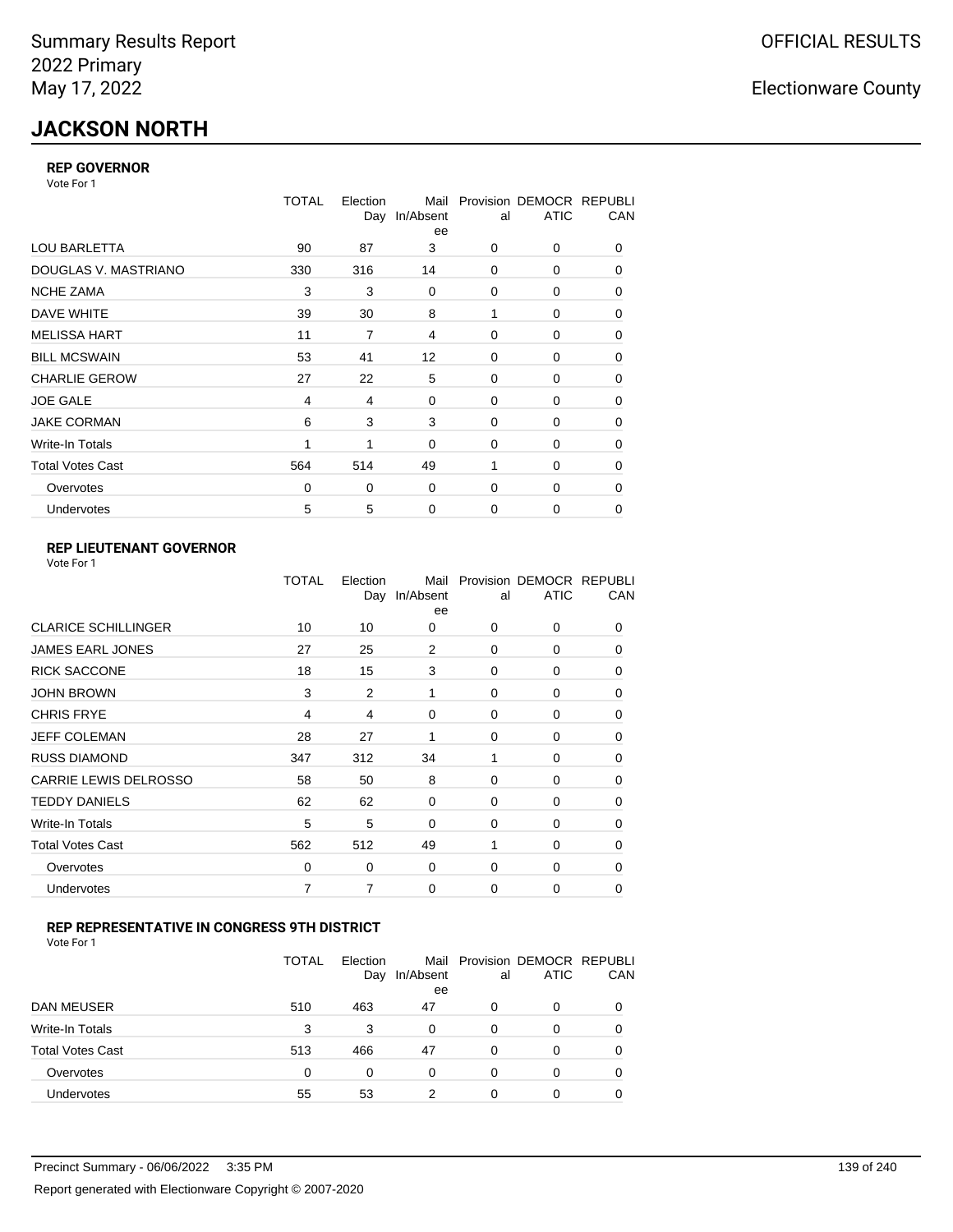# **JACKSON NORTH**

#### **REP GOVERNOR**

Vote For 1

|                         | TOTAL    | Election<br>Day | Mail<br>In/Absent<br>ee | al          | Provision DEMOCR REPUBLI<br><b>ATIC</b> | CAN |
|-------------------------|----------|-----------------|-------------------------|-------------|-----------------------------------------|-----|
| <b>LOU BARLETTA</b>     | 90       | 87              | 3                       | 0           | 0                                       | 0   |
| DOUGLAS V. MASTRIANO    | 330      | 316             | 14                      | $\Omega$    | 0                                       | 0   |
| <b>NCHE ZAMA</b>        | 3        | 3               | 0                       | 0           | 0                                       | 0   |
| DAVE WHITE              | 39       | 30              | 8                       | 1           | 0                                       | 0   |
| <b>MELISSA HART</b>     | 11       | 7               | 4                       | 0           | 0                                       | 0   |
| <b>BILL MCSWAIN</b>     | 53       | 41              | $12 \overline{ }$       | 0           | 0                                       | 0   |
| <b>CHARLIE GEROW</b>    | 27       | 22              | 5                       | $\Omega$    | 0                                       | 0   |
| <b>JOE GALE</b>         | 4        | 4               | 0                       | 0           | 0                                       | 0   |
| <b>JAKE CORMAN</b>      | 6        | 3               | 3                       | 0           | 0                                       | 0   |
| Write-In Totals         | 1        | 1               | $\mathbf 0$             | 0           | 0                                       | 0   |
| <b>Total Votes Cast</b> | 564      | 514             | 49                      | 1           | $\Omega$                                | 0   |
| Overvotes               | $\Omega$ | 0               | 0                       | 0           | 0                                       | 0   |
| <b>Undervotes</b>       | 5        | 5               | $\mathbf 0$             | $\mathbf 0$ | 0                                       | 0   |

### **REP LIEUTENANT GOVERNOR**

| Vote For 1 |  |
|------------|--|
|------------|--|

|                            | TOTAL | Election<br>Day | Mail<br>In/Absent<br>ee | al       | Provision DEMOCR REPUBLI<br><b>ATIC</b> | CAN      |
|----------------------------|-------|-----------------|-------------------------|----------|-----------------------------------------|----------|
| <b>CLARICE SCHILLINGER</b> | 10    | 10              | 0                       | $\Omega$ | 0                                       | 0        |
| JAMES EARL JONES           | 27    | 25              | 2                       | $\Omega$ | $\Omega$                                | 0        |
| <b>RICK SACCONE</b>        | 18    | 15              | 3                       | $\Omega$ | 0                                       | 0        |
| JOHN BROWN                 | 3     | $\overline{2}$  | 1                       | $\Omega$ | $\Omega$                                | 0        |
| <b>CHRIS FRYE</b>          | 4     | 4               | $\Omega$                | $\Omega$ | $\Omega$                                | 0        |
| JEFF COLEMAN               | 28    | 27              | 1                       | $\Omega$ | $\Omega$                                | 0        |
| <b>RUSS DIAMOND</b>        | 347   | 312             | 34                      | 1        | 0                                       | 0        |
| CARRIE LEWIS DELROSSO      | 58    | 50              | 8                       | $\Omega$ | $\Omega$                                | 0        |
| <b>TEDDY DANIELS</b>       | 62    | 62              | $\Omega$                | $\Omega$ | 0                                       | 0        |
| Write-In Totals            | 5     | 5               | $\Omega$                | $\Omega$ | $\Omega$                                | $\Omega$ |
| Total Votes Cast           | 562   | 512             | 49                      |          | 0                                       | 0        |
| Overvotes                  | 0     | 0               | 0                       | 0        | 0                                       | $\Omega$ |
| <b>Undervotes</b>          | 7     | 7               | 0                       | $\Omega$ | $\Omega$                                | 0        |
|                            |       |                 |                         |          |                                         |          |

### **REP REPRESENTATIVE IN CONGRESS 9TH DISTRICT**

| Vote For 1 |  |
|------------|--|
|------------|--|

|                         | <b>TOTAL</b> | Election<br>Day | In/Absent<br>ee | al       | Mail Provision DEMOCR REPUBLI<br><b>ATIC</b> | CAN      |
|-------------------------|--------------|-----------------|-----------------|----------|----------------------------------------------|----------|
| DAN MEUSER              | 510          | 463             | 47              | 0        | 0                                            | $\Omega$ |
| Write-In Totals         | 3            | 3               | 0               | $\Omega$ | 0                                            |          |
| <b>Total Votes Cast</b> | 513          | 466             | 47              | $\Omega$ | 0                                            |          |
| Overvotes               | 0            | 0               | 0               | 0        | 0                                            | 0        |
| Undervotes              | 55           | 53              | っ               | 0        | ი                                            |          |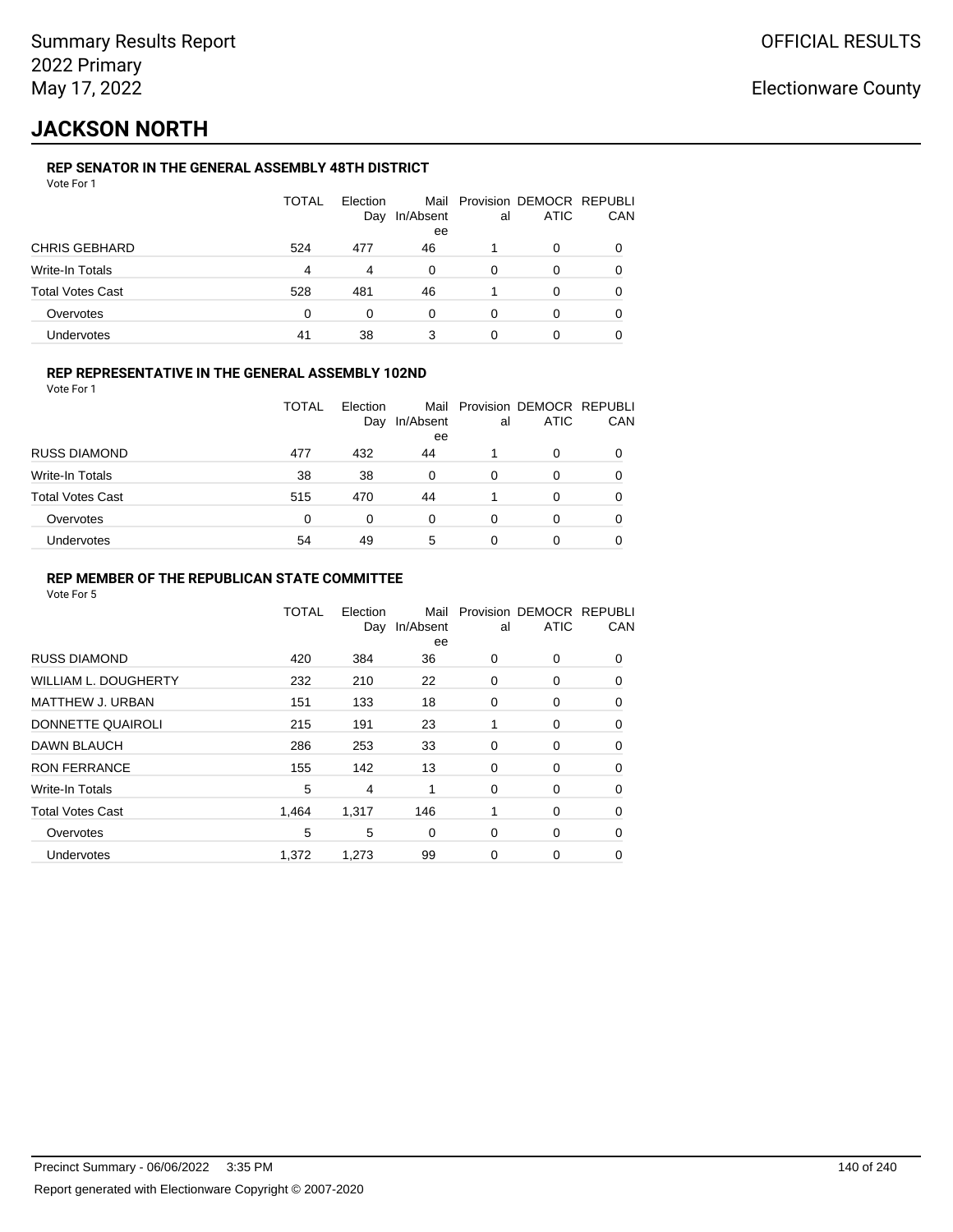# **JACKSON NORTH**

### **REP SENATOR IN THE GENERAL ASSEMBLY 48TH DISTRICT**

|                         | <b>TOTAL</b> | Election<br>Day | In/Absent<br>ee | al | Mail Provision DEMOCR REPUBLI<br><b>ATIC</b> | CAN |
|-------------------------|--------------|-----------------|-----------------|----|----------------------------------------------|-----|
| <b>CHRIS GEBHARD</b>    | 524          | 477             | 46              |    | 0                                            |     |
| Write-In Totals         | 4            | 4               | $\Omega$        | 0  | 0                                            |     |
| <b>Total Votes Cast</b> | 528          | 481             | 46              |    | 0                                            |     |
| Overvotes               | $\Omega$     | 0               | 0               | 0  | 0                                            |     |
| Undervotes              | 41           | 38              | 3               | 0  | 0                                            |     |

#### **REP REPRESENTATIVE IN THE GENERAL ASSEMBLY 102ND**

Vote For 1

|                         | TOTAL | Election<br>Day | Mail<br>In/Absent<br>ee | al | Provision DEMOCR REPUBLI<br><b>ATIC</b> | CAN |
|-------------------------|-------|-----------------|-------------------------|----|-----------------------------------------|-----|
| <b>RUSS DIAMOND</b>     | 477   | 432             | 44                      |    | 0                                       |     |
| Write-In Totals         | 38    | 38              | 0                       | 0  | O                                       |     |
| <b>Total Votes Cast</b> | 515   | 470             | 44                      |    | 0                                       |     |
| Overvotes               | 0     | 0               | 0                       | 0  | 0                                       |     |
| Undervotes              | 54    | 49              | 5                       | 0  | 0                                       |     |

#### **REP MEMBER OF THE REPUBLICAN STATE COMMITTEE**

|                             | <b>TOTAL</b> | Election<br>Day | Mail<br>In/Absent<br>ee | al | Provision DEMOCR REPUBLI<br><b>ATIC</b> | CAN      |
|-----------------------------|--------------|-----------------|-------------------------|----|-----------------------------------------|----------|
| <b>RUSS DIAMOND</b>         | 420          | 384             | 36                      | 0  | 0                                       | 0        |
| <b>WILLIAM L. DOUGHERTY</b> | 232          | 210             | 22                      | 0  | 0                                       | 0        |
| <b>MATTHEW J. URBAN</b>     | 151          | 133             | 18                      | 0  | 0                                       | 0        |
| DONNETTE QUAIROLI           | 215          | 191             | 23                      | 1  | 0                                       | $\Omega$ |
| DAWN BLAUCH                 | 286          | 253             | 33                      | 0  | 0                                       | $\Omega$ |
| <b>RON FERRANCE</b>         | 155          | 142             | 13                      | 0  | 0                                       | $\Omega$ |
| Write-In Totals             | 5            | 4               | 1                       | 0  | 0                                       | 0        |
| <b>Total Votes Cast</b>     | 1.464        | 1,317           | 146                     | 1  | 0                                       | 0        |
| Overvotes                   | 5            | 5               | 0                       | 0  | 0                                       | 0        |
| <b>Undervotes</b>           | 1,372        | 1,273           | 99                      | 0  | 0                                       | 0        |
|                             |              |                 |                         |    |                                         |          |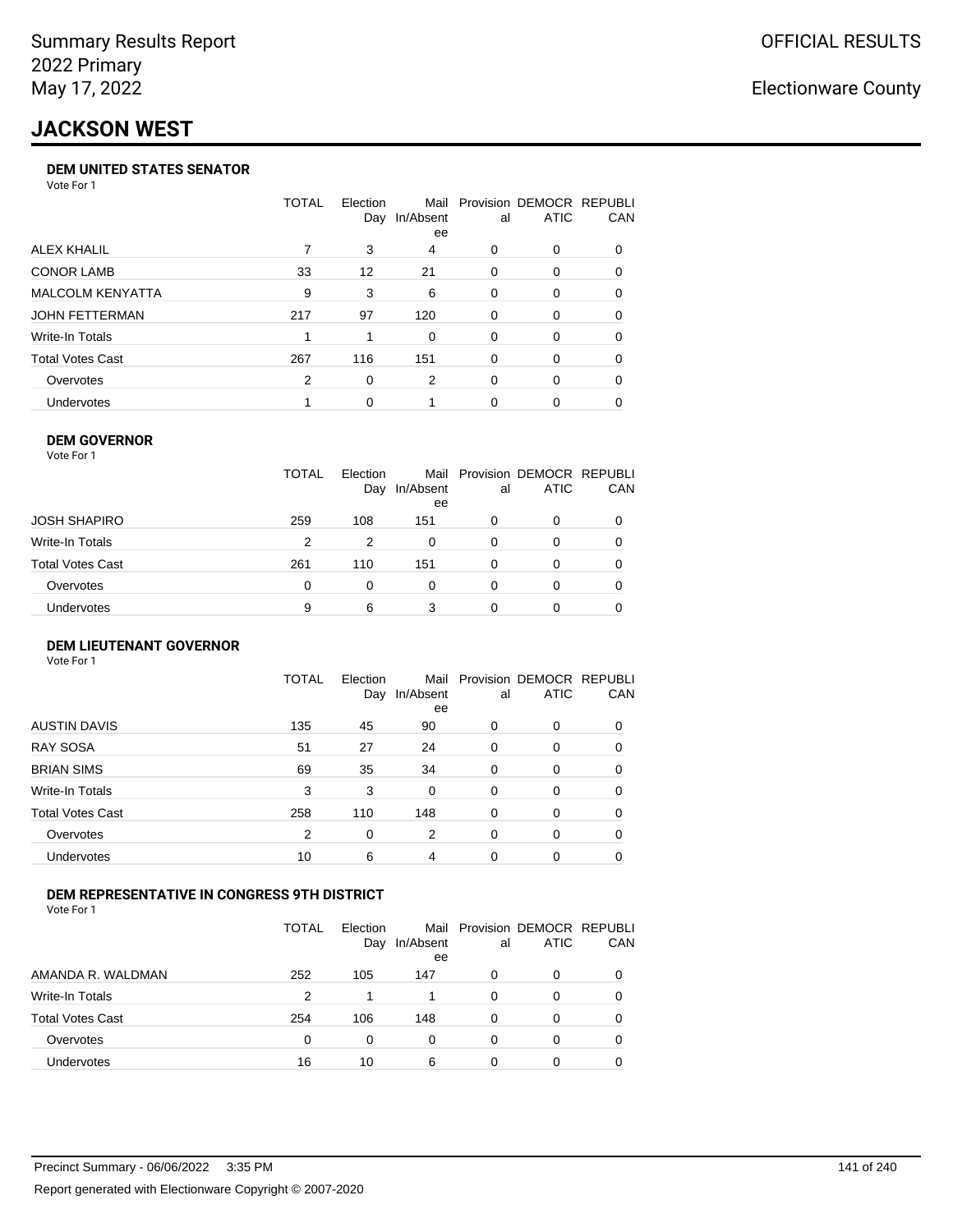# **JACKSON WEST**

#### **DEM UNITED STATES SENATOR**

Vote For 1

|                   | TOTAL | Election<br>Day | Mail<br>In/Absent<br>ee | al       | Provision DEMOCR REPUBLI<br><b>ATIC</b> | <b>CAN</b> |
|-------------------|-------|-----------------|-------------------------|----------|-----------------------------------------|------------|
| ALEX KHALIL       |       | 3               | 4                       | 0        | $\Omega$                                | 0          |
| <b>CONOR LAMB</b> | 33    | 12              | 21                      | 0        | $\Omega$                                | 0          |
| MALCOLM KENYATTA  | 9     | 3               | 6                       | 0        | $\Omega$                                | 0          |
| JOHN FETTERMAN    | 217   | 97              | 120                     | $\Omega$ | $\Omega$                                | $\Omega$   |
| Write-In Totals   |       |                 | $\Omega$                | 0        | $\Omega$                                | 0          |
| Total Votes Cast  | 267   | 116             | 151                     | 0        | $\Omega$                                | $\Omega$   |
| Overvotes         | 2     | 0               | 2                       | 0        | $\Omega$                                | 0          |
| <b>Undervotes</b> |       | 0               |                         | 0        |                                         | 0          |

#### **DEM GOVERNOR** Vote For 1

|                  | <b>TOTAL</b> | Election<br>Day | In/Absent<br>ee | al | Mail Provision DEMOCR REPUBLI<br><b>ATIC</b> | CAN      |
|------------------|--------------|-----------------|-----------------|----|----------------------------------------------|----------|
| JOSH SHAPIRO     | 259          | 108             | 151             | 0  | 0                                            | $\Omega$ |
| Write-In Totals  | 2            | 2               | 0               | 0  | 0                                            |          |
| Total Votes Cast | 261          | 110             | 151             | 0  | 0                                            | 0        |
| Overvotes        | 0            | $\Omega$        | 0               | 0  | 0                                            |          |
| Undervotes       | 9            | 6               | 3               |    | O                                            |          |

#### **DEM LIEUTENANT GOVERNOR** Vote For 1

|                         | <b>TOTAL</b> | Election<br>Day | Mail<br>In/Absent<br>ee | al       | Provision DEMOCR REPUBLI<br><b>ATIC</b> | CAN      |
|-------------------------|--------------|-----------------|-------------------------|----------|-----------------------------------------|----------|
| <b>AUSTIN DAVIS</b>     | 135          | 45              | 90                      | 0        | 0                                       | 0        |
| RAY SOSA                | 51           | 27              | 24                      | 0        | 0                                       | 0        |
| <b>BRIAN SIMS</b>       | 69           | 35              | 34                      | 0        | 0                                       | 0        |
| Write-In Totals         | 3            | 3               | $\Omega$                | $\Omega$ | 0                                       | $\Omega$ |
| <b>Total Votes Cast</b> | 258          | 110             | 148                     | $\Omega$ | 0                                       | $\Omega$ |
| Overvotes               | 2            | 0               | 2                       | $\Omega$ | 0                                       | $\Omega$ |
| <b>Undervotes</b>       | 10           | 6               | 4                       | $\Omega$ | 0                                       |          |

#### **DEM REPRESENTATIVE IN CONGRESS 9TH DISTRICT**

Vote For 1

|                         | TOTAL | <b>Flection</b><br>Day | Mail<br>In/Absent<br>ee | al | Provision DEMOCR REPUBLI<br><b>ATIC</b> | <b>CAN</b> |
|-------------------------|-------|------------------------|-------------------------|----|-----------------------------------------|------------|
| AMANDA R. WALDMAN       | 252   | 105                    | 147                     | O  | 0                                       | 0          |
| Write-In Totals         | 2     |                        |                         | 0  | $\Omega$                                | 0          |
| <b>Total Votes Cast</b> | 254   | 106                    | 148                     | 0  | 0                                       | 0          |
| Overvotes               | 0     | 0                      | $\Omega$                | 0  | $\Omega$                                | 0          |
| <b>Undervotes</b>       | 16    | 10                     | 6                       |    |                                         | 0          |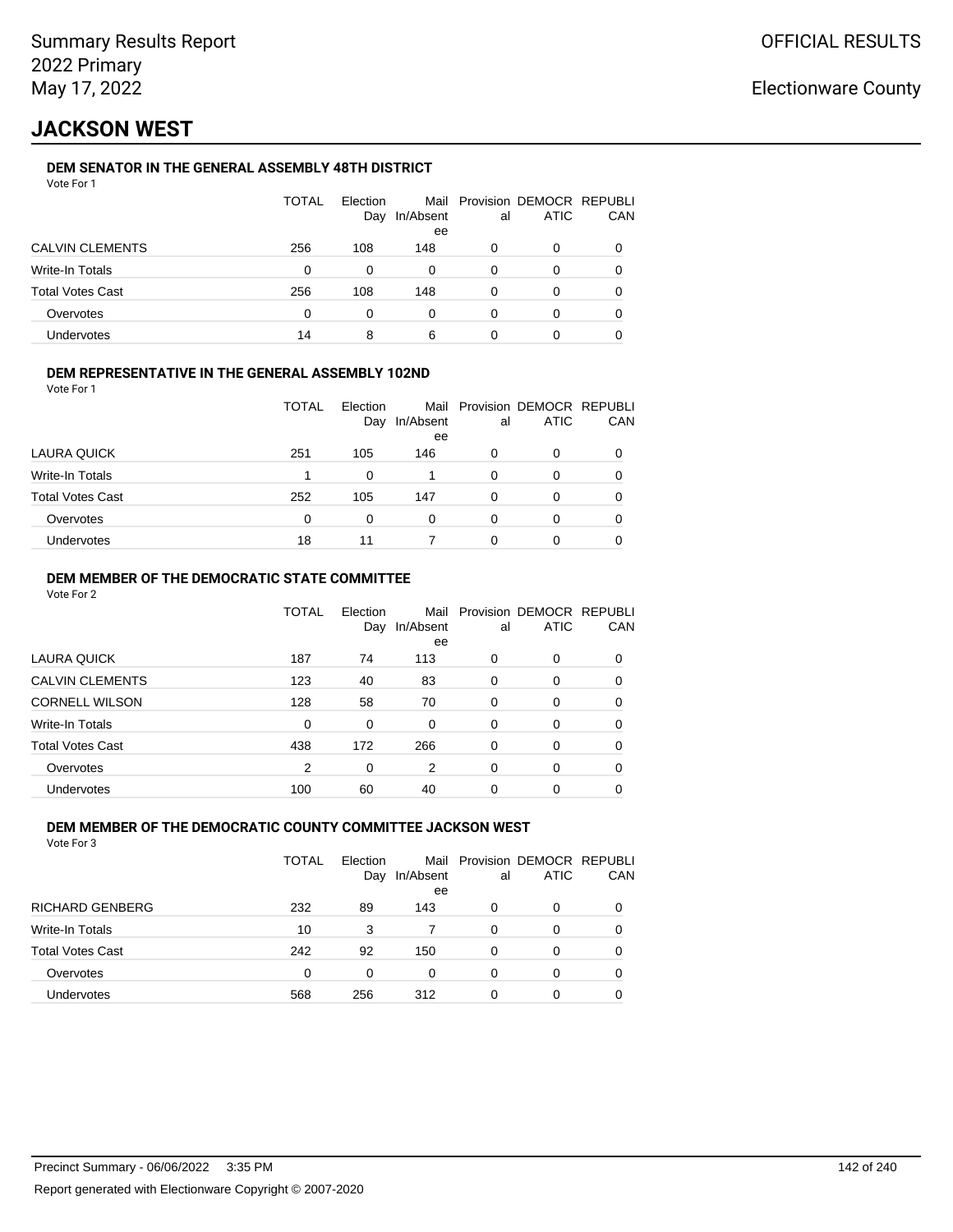# **JACKSON WEST**

### **DEM SENATOR IN THE GENERAL ASSEMBLY 48TH DISTRICT**

|                  | <b>TOTAL</b> | Election<br>Day | In/Absent<br>ee | al | Mail Provision DEMOCR REPUBLI<br><b>ATIC</b> | CAN |
|------------------|--------------|-----------------|-----------------|----|----------------------------------------------|-----|
| CALVIN CLEMENTS  | 256          | 108             | 148             | 0  | 0                                            |     |
| Write-In Totals  | 0            | $\Omega$        | 0               | 0  | 0                                            |     |
| Total Votes Cast | 256          | 108             | 148             | 0  | 0                                            |     |
| Overvotes        | 0            | 0               | 0               | 0  | 0                                            |     |
| Undervotes       | 14           | 8               | 6               |    |                                              |     |

#### **DEM REPRESENTATIVE IN THE GENERAL ASSEMBLY 102ND**

| Vote For 1 |  |  |
|------------|--|--|
|            |  |  |

|                         | TOTAL | Election<br>Day | Mail<br>In/Absent<br>ee | al | Provision DEMOCR REPUBLI<br><b>ATIC</b> | <b>CAN</b> |
|-------------------------|-------|-----------------|-------------------------|----|-----------------------------------------|------------|
| LAURA QUICK             | 251   | 105             | 146                     | 0  | 0                                       | 0          |
| Write-In Totals         |       | 0               |                         | 0  | 0                                       | 0          |
| <b>Total Votes Cast</b> | 252   | 105             | 147                     | 0  | 0                                       | 0          |
| Overvotes               | 0     | $\Omega$        | 0                       | 0  |                                         | 0          |
| Undervotes              | 18    | 11              |                         | ი  |                                         | 0          |

#### **DEM MEMBER OF THE DEMOCRATIC STATE COMMITTEE**

Vote For 2

|                         | TOTAL    | Flection<br>Day | Mail<br>In/Absent<br>ee | al       | Provision DEMOCR REPUBLI<br><b>ATIC</b> | CAN |
|-------------------------|----------|-----------------|-------------------------|----------|-----------------------------------------|-----|
| LAURA QUICK             | 187      | 74              | 113                     | 0        | $\Omega$                                | 0   |
| <b>CALVIN CLEMENTS</b>  | 123      | 40              | 83                      | $\Omega$ | 0                                       | 0   |
| <b>CORNELL WILSON</b>   | 128      | 58              | 70                      | $\Omega$ | $\Omega$                                | 0   |
| Write-In Totals         | $\Omega$ | $\Omega$        | $\Omega$                | 0        | 0                                       | 0   |
| <b>Total Votes Cast</b> | 438      | 172             | 266                     | $\Omega$ | $\Omega$                                | 0   |
| Overvotes               | 2        | 0               | 2                       | $\Omega$ | $\Omega$                                | 0   |
| Undervotes              | 100      | 60              | 40                      | 0        | 0                                       |     |

#### **DEM MEMBER OF THE DEMOCRATIC COUNTY COMMITTEE JACKSON WEST** Vote For 3

|                         | TOTAL | Election<br>Day | Mail<br>In/Absent<br>ee | al | <b>Provision DEMOCR REPUBLI</b><br><b>ATIC</b> | CAN |
|-------------------------|-------|-----------------|-------------------------|----|------------------------------------------------|-----|
| <b>RICHARD GENBERG</b>  | 232   | 89              | 143                     | 0  | $\Omega$                                       |     |
| <b>Write-In Totals</b>  | 10    | 3               |                         | 0  | 0                                              | 0   |
| <b>Total Votes Cast</b> | 242   | 92              | 150                     | 0  | 0                                              | 0   |
| Overvotes               | 0     | $\Omega$        | $\Omega$                | 0  | 0                                              | 0   |
| <b>Undervotes</b>       | 568   | 256             | 312                     | 0  | 0                                              |     |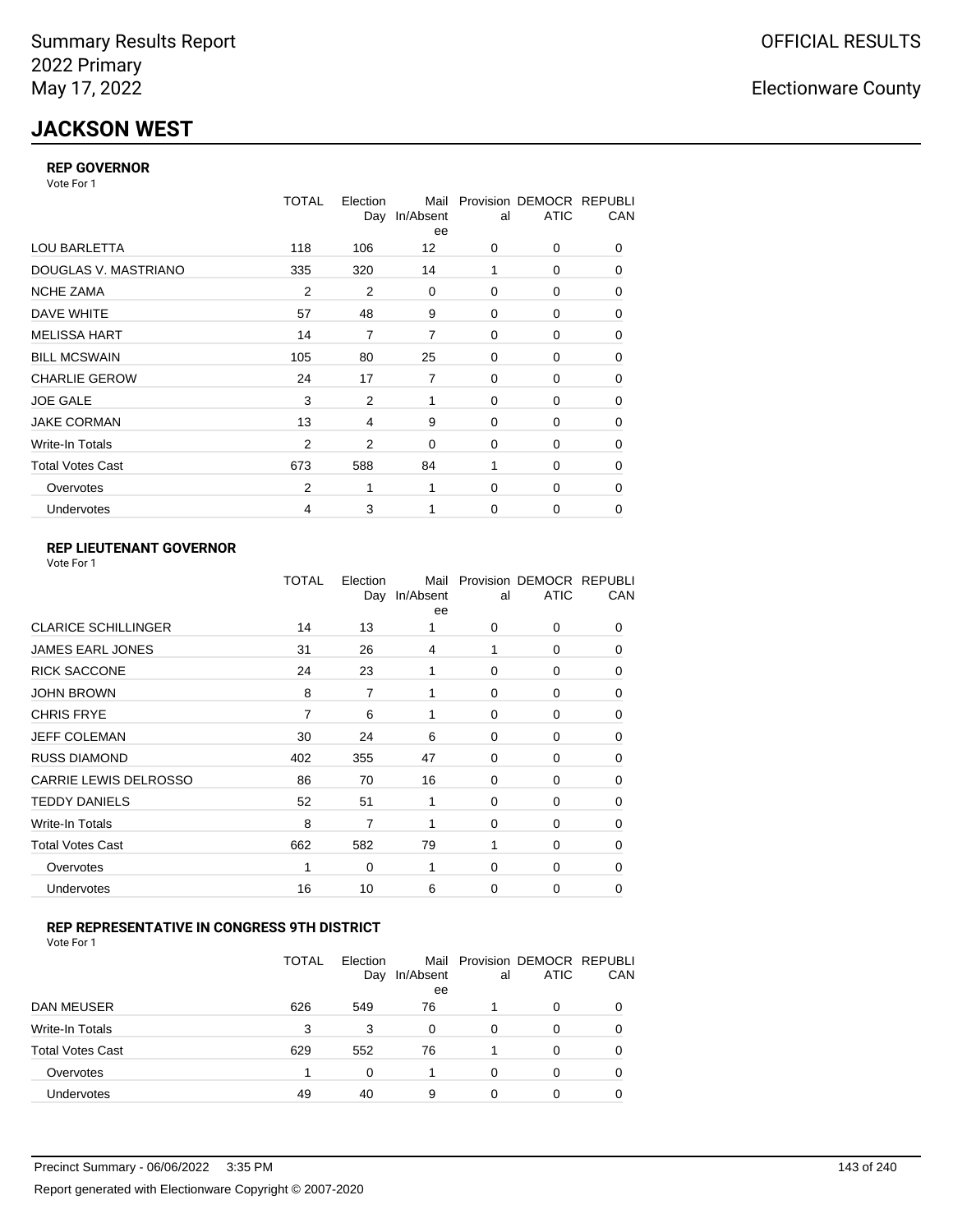# **JACKSON WEST**

#### **REP GOVERNOR**

Vote For 1

|                         | <b>TOTAL</b>   | Election<br>Day | Mail<br>In/Absent<br>ee | al          | Provision DEMOCR REPUBLI<br><b>ATIC</b> | CAN      |
|-------------------------|----------------|-----------------|-------------------------|-------------|-----------------------------------------|----------|
| <b>LOU BARLETTA</b>     | 118            | 106             | 12                      | 0           | 0                                       | 0        |
| DOUGLAS V. MASTRIANO    | 335            | 320             | 14                      | 1           | 0                                       | 0        |
| <b>NCHE ZAMA</b>        | $\overline{2}$ | $\overline{2}$  | 0                       | 0           | 0                                       | 0        |
| DAVE WHITE              | 57             | 48              | 9                       | 0           | 0                                       | 0        |
| <b>MELISSA HART</b>     | 14             | 7               | 7                       | $\Omega$    | $\Omega$                                | 0        |
| <b>BILL MCSWAIN</b>     | 105            | 80              | 25                      | 0           | 0                                       | 0        |
| <b>CHARLIE GEROW</b>    | 24             | 17              | 7                       | 0           | 0                                       | 0        |
| <b>JOE GALE</b>         | 3              | 2               | 1                       | 0           | 0                                       | 0        |
| <b>JAKE CORMAN</b>      | 13             | 4               | 9                       | 0           | 0                                       | 0        |
| Write-In Totals         | 2              | 2               | $\Omega$                | 0           | 0                                       | 0        |
| <b>Total Votes Cast</b> | 673            | 588             | 84                      | 1           | 0                                       | 0        |
| Overvotes               | 2              | 1               | 1                       | 0           | 0                                       | $\Omega$ |
| <b>Undervotes</b>       | 4              | 3               |                         | $\mathbf 0$ | 0                                       | $\Omega$ |

### **REP LIEUTENANT GOVERNOR**

|                            | TOTAL | Election | Mail<br>Day In/Absent<br>ee | al          | Provision DEMOCR REPUBLI<br><b>ATIC</b> | CAN      |
|----------------------------|-------|----------|-----------------------------|-------------|-----------------------------------------|----------|
| <b>CLARICE SCHILLINGER</b> | 14    | 13       | 1                           | $\Omega$    | 0                                       | 0        |
| <b>JAMES EARL JONES</b>    | 31    | 26       | 4                           | 1           | 0                                       | 0        |
| <b>RICK SACCONE</b>        | 24    | 23       | 1                           | $\Omega$    | 0                                       | 0        |
| <b>JOHN BROWN</b>          | 8     | 7        | 1                           | $\Omega$    | 0                                       | 0        |
| <b>CHRIS FRYE</b>          | 7     | 6        | 1                           | 0           | 0                                       | 0        |
| JEFF COLEMAN               | 30    | 24       | 6                           | 0           | 0                                       | 0        |
| <b>RUSS DIAMOND</b>        | 402   | 355      | 47                          | 0           | 0                                       | 0        |
| CARRIE LEWIS DELROSSO      | 86    | 70       | 16                          | 0           | 0                                       | 0        |
| <b>TEDDY DANIELS</b>       | 52    | 51       | 1                           | $\Omega$    | 0                                       | 0        |
| Write-In Totals            | 8     | 7        | 1                           | 0           | 0                                       | 0        |
| <b>Total Votes Cast</b>    | 662   | 582      | 79                          | 1           | 0                                       | $\Omega$ |
| Overvotes                  | 1     | 0        | 1                           | 0           | 0                                       | $\Omega$ |
| Undervotes                 | 16    | 10       | 6                           | $\mathbf 0$ | 0                                       | 0        |
|                            |       |          |                             |             |                                         |          |

### **REP REPRESENTATIVE IN CONGRESS 9TH DISTRICT**

| Vote For 1 |  |  |
|------------|--|--|
|------------|--|--|

|                         | TOTAL | Election<br>Day | In/Absent<br>ee | al | Mail Provision DEMOCR REPUBLI<br><b>ATIC</b> | CAN      |
|-------------------------|-------|-----------------|-----------------|----|----------------------------------------------|----------|
| <b>DAN MEUSER</b>       | 626   | 549             | 76              |    | 0                                            | $\Omega$ |
| Write-In Totals         | 3     | 3               | 0               | 0  | 0                                            |          |
| <b>Total Votes Cast</b> | 629   | 552             | 76              |    | 0                                            |          |
| Overvotes               |       | 0               |                 | 0  | 0                                            | 0        |
| <b>Undervotes</b>       | 49    | 40              | 9               | 0  | 0                                            |          |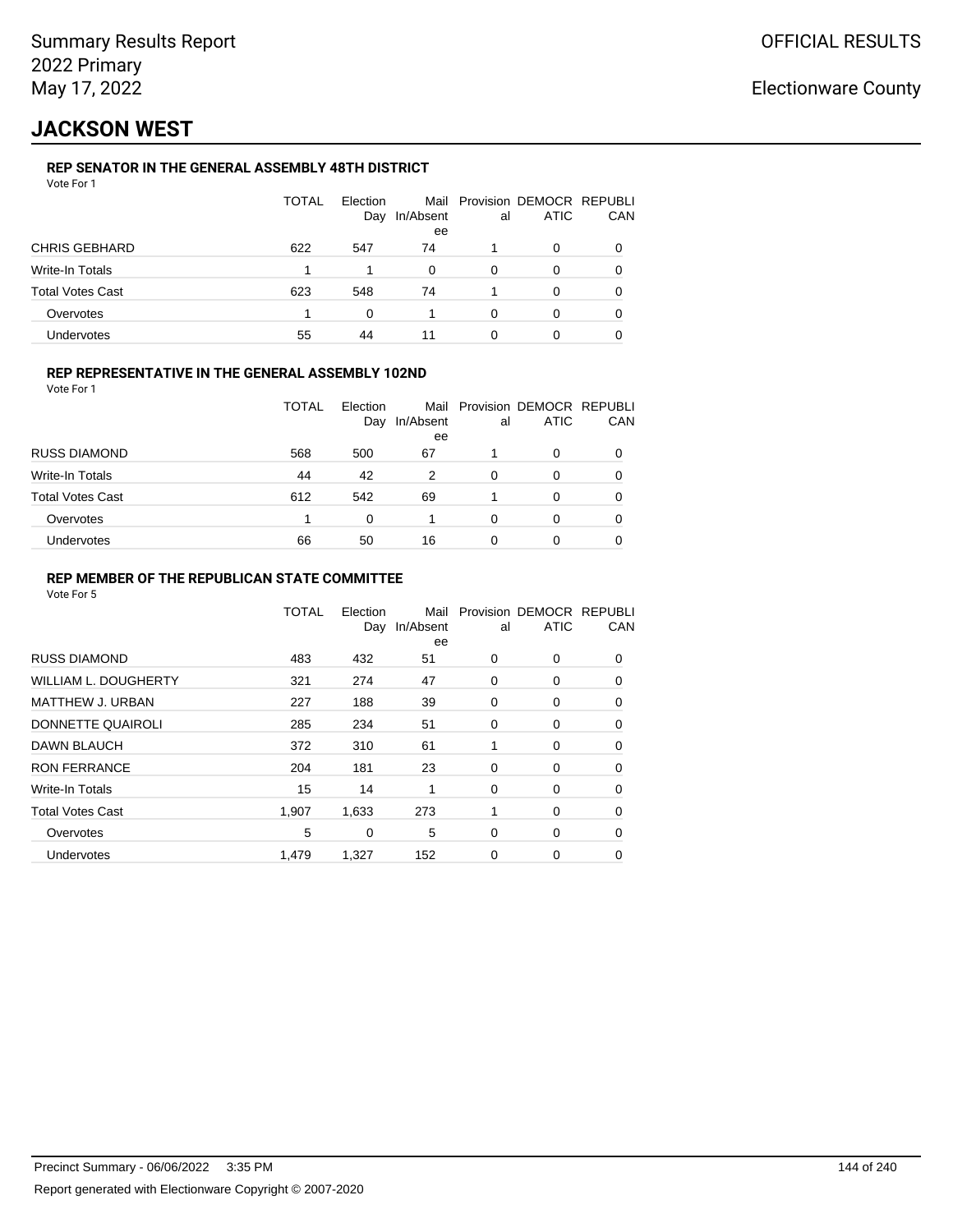# **JACKSON WEST**

### **REP SENATOR IN THE GENERAL ASSEMBLY 48TH DISTRICT**

|                  | <b>TOTAL</b> | Election<br>Day | In/Absent<br>ee | al | Mail Provision DEMOCR REPUBLI<br>ATIC | CAN |
|------------------|--------------|-----------------|-----------------|----|---------------------------------------|-----|
| CHRIS GEBHARD    | 622          | 547             | 74              |    | 0                                     |     |
| Write-In Totals  |              |                 | $\Omega$        | 0  | 0                                     |     |
| Total Votes Cast | 623          | 548             | 74              |    | 0                                     |     |
| Overvotes        |              | $\Omega$        |                 | O  | 0                                     |     |
| Undervotes       | 55           | 44              |                 | 0  |                                       |     |

#### **REP REPRESENTATIVE IN THE GENERAL ASSEMBLY 102ND**

Vote For 1

|                         | TOTAL | Election<br>Day | Mail<br>In/Absent<br>ee | al | Provision DEMOCR REPUBLI<br><b>ATIC</b> | CAN |
|-------------------------|-------|-----------------|-------------------------|----|-----------------------------------------|-----|
| <b>RUSS DIAMOND</b>     | 568   | 500             | 67                      |    | 0                                       |     |
| <b>Write-In Totals</b>  | 44    | 42              | 2                       | 0  | O                                       |     |
| <b>Total Votes Cast</b> | 612   | 542             | 69                      |    | 0                                       |     |
| Overvotes               |       | $\Omega$        |                         | 0  | 0                                       |     |
| Undervotes              | 66    | 50              | 16                      | 0  | 0                                       |     |

#### **REP MEMBER OF THE REPUBLICAN STATE COMMITTEE**

|                             | <b>TOTAL</b> | Election<br>Day | Mail<br>In/Absent<br>ee | al | Provision DEMOCR REPUBLI<br><b>ATIC</b> | CAN      |
|-----------------------------|--------------|-----------------|-------------------------|----|-----------------------------------------|----------|
| <b>RUSS DIAMOND</b>         | 483          | 432             | 51                      | 0  | 0                                       | $\Omega$ |
| <b>WILLIAM L. DOUGHERTY</b> | 321          | 274             | 47                      | 0  | 0                                       | 0        |
| <b>MATTHEW J. URBAN</b>     | 227          | 188             | 39                      | 0  | 0                                       | $\Omega$ |
| DONNETTE QUAIROLI           | 285          | 234             | 51                      | 0  | 0                                       | $\Omega$ |
| DAWN BLAUCH                 | 372          | 310             | 61                      | 1  | 0                                       | $\Omega$ |
| <b>RON FERRANCE</b>         | 204          | 181             | 23                      | 0  | 0                                       | 0        |
| Write-In Totals             | 15           | 14              | 1                       | 0  | 0                                       | 0        |
| <b>Total Votes Cast</b>     | 1,907        | 1,633           | 273                     | 1  | 0                                       | 0        |
| Overvotes                   | 5            | 0               | 5                       | 0  | 0                                       | 0        |
| <b>Undervotes</b>           | 1,479        | 1,327           | 152                     | 0  | 0                                       | 0        |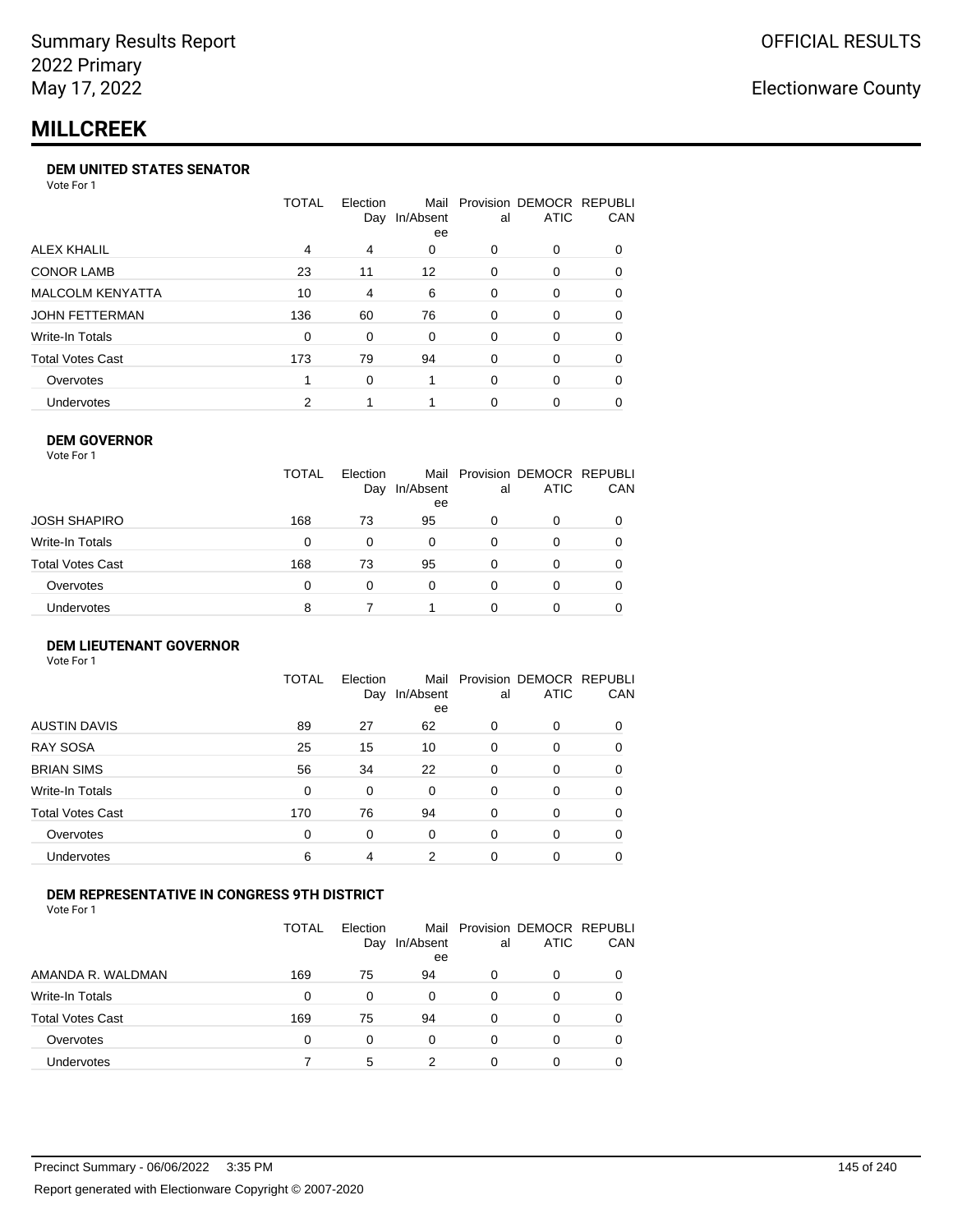## **MILLCREEK**

#### **DEM UNITED STATES SENATOR**

Vote For 1

|                         | TOTAL | Election<br>Day | Mail<br>In/Absent<br>ee | al       | Provision DEMOCR REPUBLI<br><b>ATIC</b> | <b>CAN</b> |
|-------------------------|-------|-----------------|-------------------------|----------|-----------------------------------------|------------|
| ALEX KHALIL             | 4     | 4               | 0                       | 0        | $\Omega$                                | 0          |
| <b>CONOR LAMB</b>       | 23    | 11              | 12                      | 0        | $\Omega$                                | 0          |
| <b>MALCOLM KENYATTA</b> | 10    | 4               | 6                       | 0        | $\Omega$                                | 0          |
| JOHN FETTERMAN          | 136   | 60              | 76                      | $\Omega$ | $\Omega$                                | $\Omega$   |
| Write-In Totals         | 0     | 0               | $\Omega$                | 0        | $\Omega$                                | 0          |
| Total Votes Cast        | 173   | 79              | 94                      | 0        | $\Omega$                                | 0          |
| Overvotes               |       | 0               |                         | 0        | $\Omega$                                | 0          |
| <b>Undervotes</b>       | 2     |                 |                         | 0        |                                         | 0          |

#### **DEM GOVERNOR**

| Vote For 1       |              |                 |                 |          |                                              |     |
|------------------|--------------|-----------------|-----------------|----------|----------------------------------------------|-----|
|                  | <b>TOTAL</b> | Election<br>Day | In/Absent<br>ee | al       | Mail Provision DEMOCR REPUBLI<br><b>ATIC</b> | CAN |
| JOSH SHAPIRO     | 168          | 73              | 95              | 0        | 0                                            |     |
| Write-In Totals  | 0            | 0               | 0               | 0        | 0                                            | 0   |
| Total Votes Cast | 168          | 73              | 95              | 0        | 0                                            | 0   |
| Overvotes        | 0            | 0               | $\Omega$        | $\Omega$ | 0                                            | 0   |
| Undervotes       | 8            |                 |                 | O        | 0                                            |     |

#### **DEM LIEUTENANT GOVERNOR** Vote For 1

|                         | <b>TOTAL</b> | Election<br>Day | In/Absent<br>ee | al       | Mail Provision DEMOCR REPUBLI<br><b>ATIC</b> | CAN      |
|-------------------------|--------------|-----------------|-----------------|----------|----------------------------------------------|----------|
| <b>AUSTIN DAVIS</b>     | 89           | 27              | 62              | $\Omega$ | 0                                            | 0        |
| <b>RAY SOSA</b>         | 25           | 15              | 10              | 0        | 0                                            | 0        |
| <b>BRIAN SIMS</b>       | 56           | 34              | 22              | 0        | 0                                            | $\Omega$ |
| Write-In Totals         | 0            | 0               | $\Omega$        | $\Omega$ | 0                                            | $\Omega$ |
| <b>Total Votes Cast</b> | 170          | 76              | 94              | 0        | 0                                            | $\Omega$ |
| Overvotes               | 0            | 0               | 0               | $\Omega$ | 0                                            | $\Omega$ |
| Undervotes              | 6            | 4               | 2               | $\Omega$ | 0                                            | 0        |

#### **DEM REPRESENTATIVE IN CONGRESS 9TH DISTRICT**

Vote For 1

|                         | TOTAL | <b>Flection</b><br>Day | In/Absent<br>ee | al | Mail Provision DEMOCR REPUBLI<br><b>ATIC</b> | CAN |
|-------------------------|-------|------------------------|-----------------|----|----------------------------------------------|-----|
| AMANDA R. WALDMAN       | 169   | 75                     | 94              | O  | 0                                            | 0   |
| <b>Write-In Totals</b>  | 0     | <sup>0</sup>           | 0               | 0  | n                                            | 0   |
| <b>Total Votes Cast</b> | 169   | 75                     | 94              | 0  | 0                                            | 0   |
| Overvotes               | 0     | 0                      | $\Omega$        | 0  | $\Omega$                                     | 0   |
| <b>Undervotes</b>       |       | 5                      | າ               |    |                                              |     |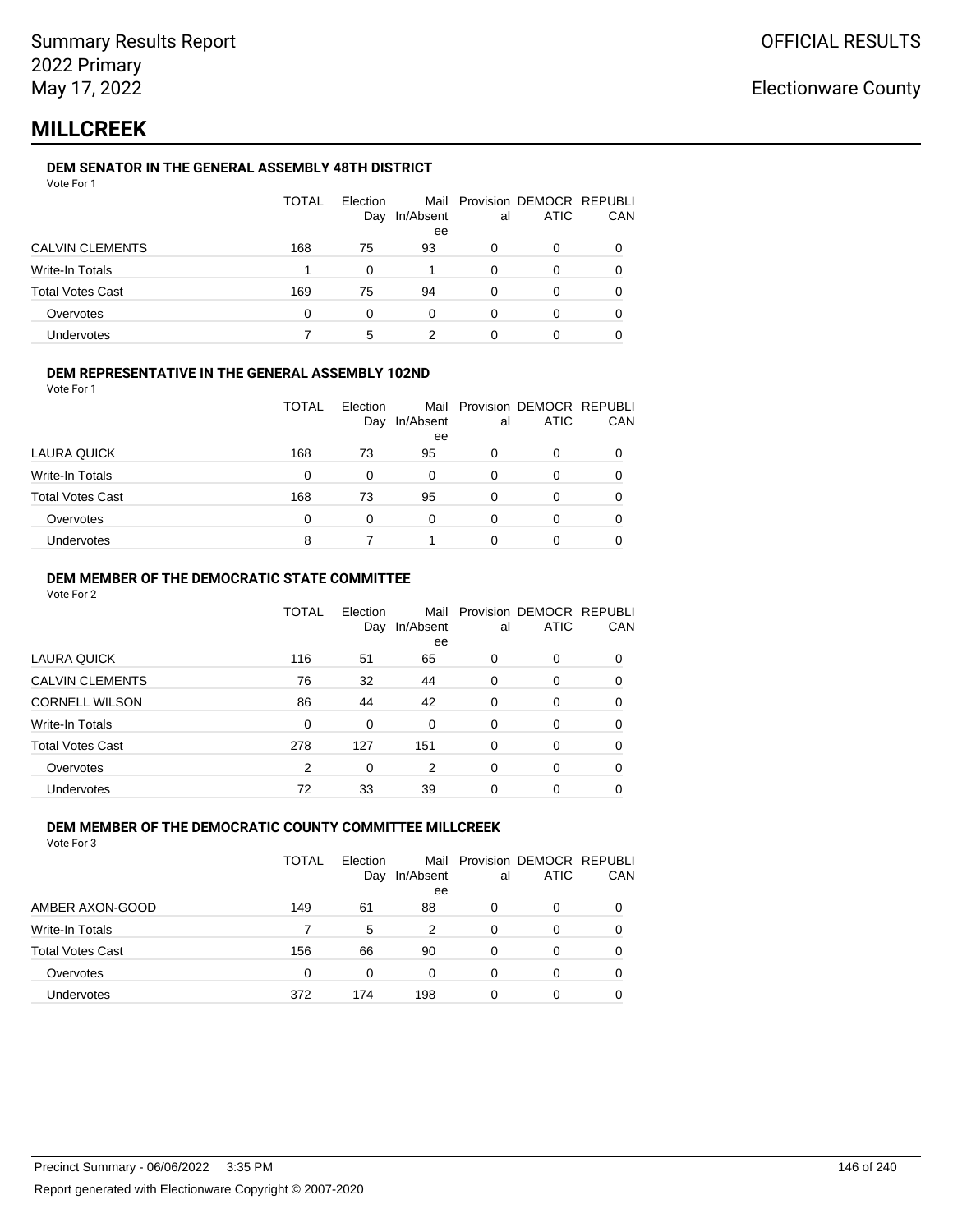## **MILLCREEK**

#### **DEM SENATOR IN THE GENERAL ASSEMBLY 48TH DISTRICT**

| Vote For 1 |  |
|------------|--|
|------------|--|

|                         | <b>TOTAL</b> | Election<br>Day | In/Absent<br>ee | al | Mail Provision DEMOCR REPUBLI<br><b>ATIC</b> | CAN |
|-------------------------|--------------|-----------------|-----------------|----|----------------------------------------------|-----|
| <b>CALVIN CLEMENTS</b>  | 168          | 75              | 93              | 0  | 0                                            |     |
| Write-In Totals         |              | 0               |                 | 0  | 0                                            |     |
| <b>Total Votes Cast</b> | 169          | 75              | 94              | 0  | 0                                            |     |
| Overvotes               | 0            | O               | 0               | ∩  | Ω                                            |     |
| Undervotes              |              | 5               |                 |    |                                              |     |

#### **DEM REPRESENTATIVE IN THE GENERAL ASSEMBLY 102ND**

Vote For 1

|                         | TOTAL | Election |               |    | Mail Provision DEMOCR REPUBLI |            |
|-------------------------|-------|----------|---------------|----|-------------------------------|------------|
|                         |       |          | Day In/Absent | al | <b>ATIC</b>                   | <b>CAN</b> |
|                         |       |          | ee            |    |                               |            |
| LAURA QUICK             | 168   | 73       | 95            | 0  |                               | 0          |
| Write-In Totals         | 0     |          | 0             | 0  |                               | 0          |
| <b>Total Votes Cast</b> | 168   | 73       | 95            | 0  |                               | 0          |
| Overvotes               | 0     | 0        | 0             | 0  |                               | 0          |
| Undervotes              | 8     |          |               | 0  |                               | 0          |

#### **DEM MEMBER OF THE DEMOCRATIC STATE COMMITTEE**

Vote For 2

|                         | TOTAL | Election<br>Day | Mail<br>In/Absent<br>ee | al       | Provision DEMOCR REPUBLI<br><b>ATIC</b> | CAN |
|-------------------------|-------|-----------------|-------------------------|----------|-----------------------------------------|-----|
| <b>LAURA QUICK</b>      | 116   | 51              | 65                      | 0        | $\Omega$                                | 0   |
| <b>CALVIN CLEMENTS</b>  | 76    | 32              | 44                      | 0        | 0                                       | 0   |
| <b>CORNELL WILSON</b>   | 86    | 44              | 42                      | $\Omega$ | $\Omega$                                | 0   |
| Write-In Totals         | 0     | 0               | 0                       | 0        | $\Omega$                                | 0   |
| <b>Total Votes Cast</b> | 278   | 127             | 151                     | 0        | $\Omega$                                | 0   |
| Overvotes               | 2     | 0               | 2                       | 0        | $\Omega$                                | 0   |
| Undervotes              | 72    | 33              | 39                      | 0        | 0                                       |     |

#### **DEM MEMBER OF THE DEMOCRATIC COUNTY COMMITTEE MILLCREEK**

|                         | TOTAL    | Election<br>Day | Mail<br>In/Absent<br>ee | al | Provision DEMOCR REPUBLI<br><b>ATIC</b> | CAN      |
|-------------------------|----------|-----------------|-------------------------|----|-----------------------------------------|----------|
| AMBER AXON-GOOD         | 149      | 61              | 88                      | 0  | 0                                       | $\Omega$ |
| Write-In Totals         |          | 5               | 2                       | 0  | 0                                       |          |
| <b>Total Votes Cast</b> | 156      | 66              | 90                      | 0  | 0                                       |          |
| Overvotes               | $\Omega$ | 0               | $\Omega$                | 0  | 0                                       |          |
| <b>Undervotes</b>       | 372      | 174             | 198                     | 0  | 0                                       |          |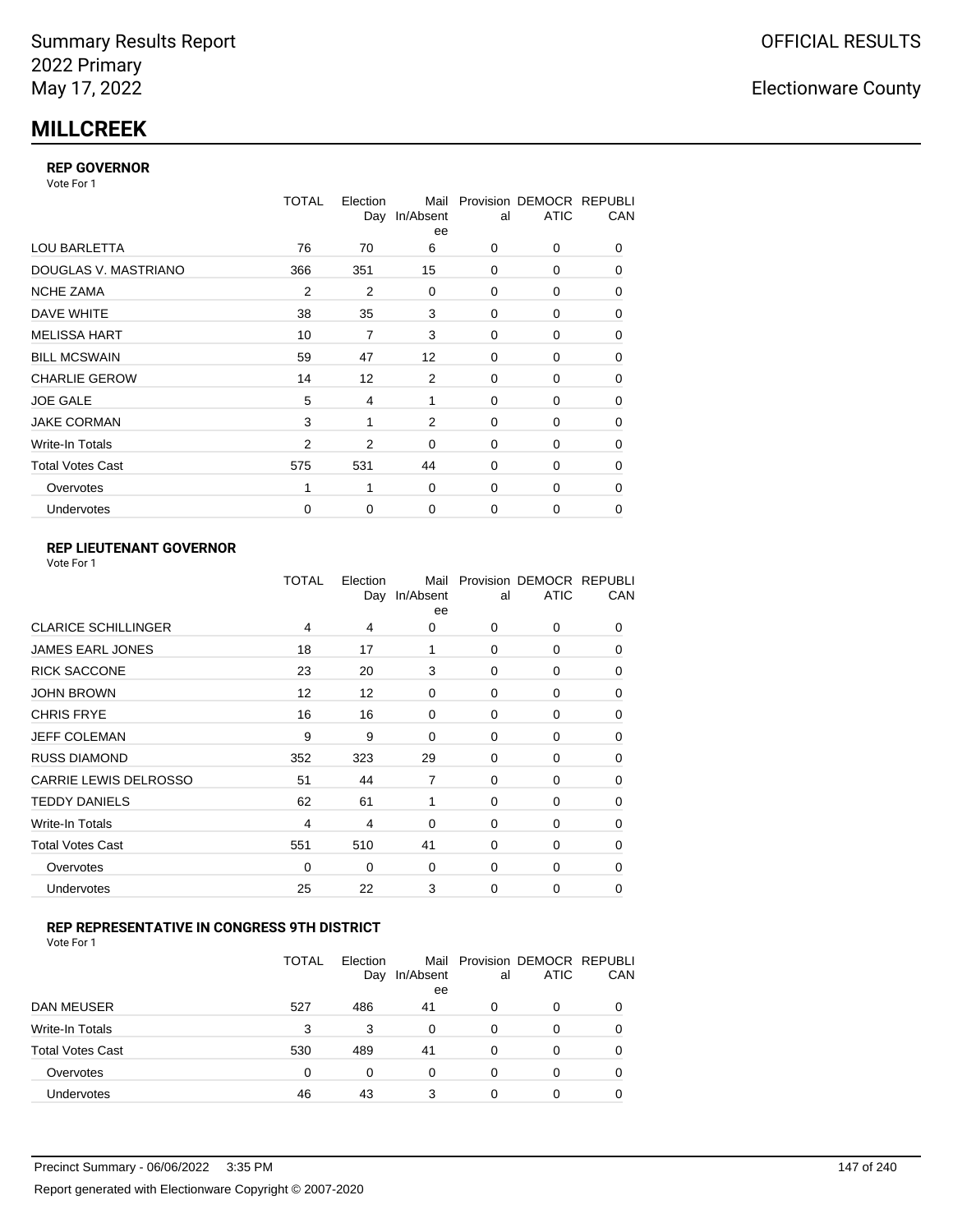## **MILLCREEK**

#### **REP GOVERNOR**

Vote For 1

|                         | TOTAL          | Election<br>Day | Mail<br>In/Absent<br>ee | al       | Provision DEMOCR REPUBLI<br><b>ATIC</b> | CAN |
|-------------------------|----------------|-----------------|-------------------------|----------|-----------------------------------------|-----|
| <b>LOU BARLETTA</b>     | 76             | 70              | 6                       | 0        | 0                                       | 0   |
| DOUGLAS V. MASTRIANO    | 366            | 351             | 15                      | 0        | 0                                       | 0   |
| <b>NCHE ZAMA</b>        | 2              | 2               | $\mathbf 0$             | $\Omega$ | 0                                       | 0   |
| DAVE WHITE              | 38             | 35              | 3                       | 0        | 0                                       | 0   |
| <b>MELISSA HART</b>     | 10             | 7               | 3                       | 0        | 0                                       | 0   |
| <b>BILL MCSWAIN</b>     | 59             | 47              | 12                      | $\Omega$ | 0                                       | 0   |
| <b>CHARLIE GEROW</b>    | 14             | 12              | 2                       | $\Omega$ | 0                                       | 0   |
| <b>JOE GALE</b>         | 5              | 4               | 1                       | 0        | 0                                       | 0   |
| <b>JAKE CORMAN</b>      | 3              | 1               | 2                       | $\Omega$ | 0                                       | 0   |
| Write-In Totals         | $\overline{2}$ | $\overline{2}$  | 0                       | 0        | 0                                       | 0   |
| <b>Total Votes Cast</b> | 575            | 531             | 44                      | $\Omega$ | 0                                       | 0   |
| Overvotes               | 1              | 1               | 0                       | $\Omega$ | 0                                       | 0   |
| <b>Undervotes</b>       | $\mathbf 0$    | 0               | 0                       | 0        | $\Omega$                                | 0   |
|                         |                |                 |                         |          |                                         |     |

### **REP LIEUTENANT GOVERNOR**

| Vote For 1 |  |  |
|------------|--|--|
|------------|--|--|

|                            | TOTAL | Election | Mail<br>Day In/Absent<br>ee | al       | Provision DEMOCR REPUBLI<br><b>ATIC</b> | CAN      |
|----------------------------|-------|----------|-----------------------------|----------|-----------------------------------------|----------|
| <b>CLARICE SCHILLINGER</b> | 4     | 4        | 0                           | $\Omega$ | 0                                       | 0        |
| JAMES EARL JONES           | 18    | 17       | 1                           | $\Omega$ | 0                                       | 0        |
| <b>RICK SACCONE</b>        | 23    | 20       | 3                           | 0        | 0                                       | 0        |
| <b>JOHN BROWN</b>          | 12    | 12       | 0                           | $\Omega$ | 0                                       | 0        |
| <b>CHRIS FRYE</b>          | 16    | 16       | 0                           | 0        | 0                                       | 0        |
| JEFF COLEMAN               | 9     | 9        | 0                           | 0        | 0                                       | 0        |
| <b>RUSS DIAMOND</b>        | 352   | 323      | 29                          | $\Omega$ | 0                                       | 0        |
| CARRIE LEWIS DELROSSO      | 51    | 44       | 7                           | 0        | 0                                       | 0        |
| <b>TEDDY DANIELS</b>       | 62    | 61       | 1                           | $\Omega$ | 0                                       | 0        |
| Write-In Totals            | 4     | 4        | 0                           | 0        | 0                                       | 0        |
| <b>Total Votes Cast</b>    | 551   | 510      | 41                          | 0        | 0                                       | 0        |
| Overvotes                  | 0     | 0        | 0                           | 0        | 0                                       | $\Omega$ |
| Undervotes                 | 25    | 22       | 3                           | $\Omega$ | $\Omega$                                | $\Omega$ |
|                            |       |          |                             |          |                                         |          |

#### **REP REPRESENTATIVE IN CONGRESS 9TH DISTRICT**

| Vote For 1 |  |  |
|------------|--|--|
|------------|--|--|

|                         | <b>TOTAL</b> | Election<br>Day | In/Absent<br>ee | al | Mail Provision DEMOCR REPUBLI<br><b>ATIC</b> | <b>CAN</b> |
|-------------------------|--------------|-----------------|-----------------|----|----------------------------------------------|------------|
| <b>DAN MEUSER</b>       | 527          | 486             | 41              | 0  | $\Omega$                                     | 0          |
| Write-In Totals         | 3            | 3               | 0               | 0  | 0                                            | 0          |
| <b>Total Votes Cast</b> | 530          | 489             | 41              | 0  | 0                                            | 0          |
| Overvotes               | 0            | 0               | 0               | 0  | $\Omega$                                     | 0          |
| <b>Undervotes</b>       | 46           | 43              | 3               | 0  |                                              | 0          |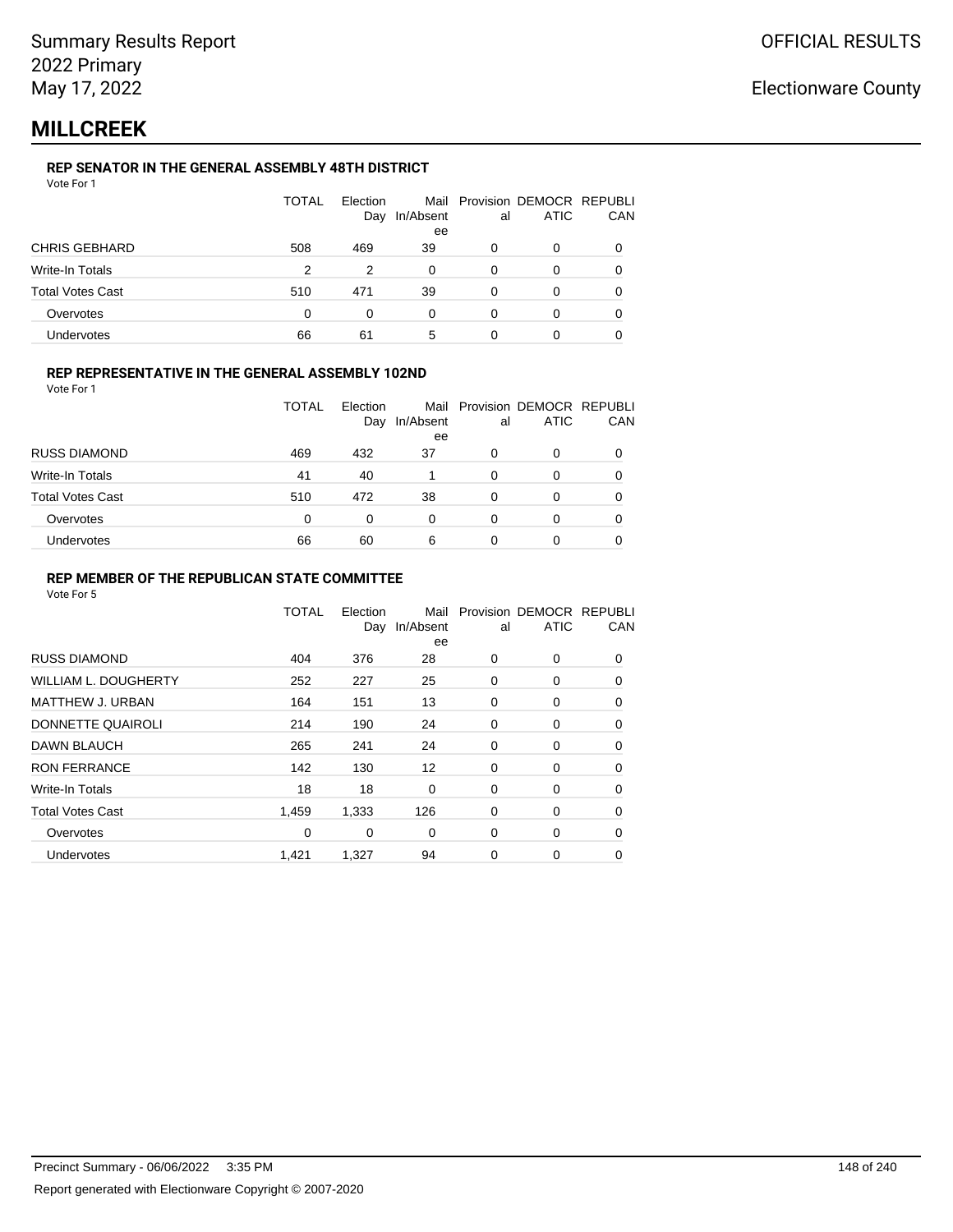## **MILLCREEK**

### **REP SENATOR IN THE GENERAL ASSEMBLY 48TH DISTRICT**

| Vote For 1 |  |  |
|------------|--|--|
|------------|--|--|

|                  | <b>TOTAL</b> | Election<br>Day | In/Absent<br>ee | al | Mail Provision DEMOCR REPUBLI<br>ATIC | CAN |
|------------------|--------------|-----------------|-----------------|----|---------------------------------------|-----|
| CHRIS GEBHARD    | 508          | 469             | 39              |    | 0                                     |     |
| Write-In Totals  | 2            | 2               | $\Omega$        | 0  | 0                                     |     |
| Total Votes Cast | 510          | 471             | 39              | 0  | 0                                     |     |
| Overvotes        | 0            | 0               | 0               | 0  | 0                                     |     |
| Undervotes       | 66           | 61              | 5               |    |                                       |     |

#### **REP REPRESENTATIVE IN THE GENERAL ASSEMBLY 102ND**

Vote For 1

|                         | TOTAL | Election<br>Day | Mail<br>In/Absent<br>ee | al | Provision DEMOCR REPUBLI<br><b>ATIC</b> | CAN |
|-------------------------|-------|-----------------|-------------------------|----|-----------------------------------------|-----|
| <b>RUSS DIAMOND</b>     | 469   | 432             | 37                      | 0  | 0                                       |     |
| Write-In Totals         | 41    | 40              |                         | 0  | 0                                       |     |
| <b>Total Votes Cast</b> | 510   | 472             | 38                      | 0  | ი                                       |     |
| Overvotes               | 0     | $\Omega$        | 0                       | 0  | 0                                       |     |
| Undervotes              | 66    | 60              | 6                       | 0  | 0                                       |     |

#### **REP MEMBER OF THE REPUBLICAN STATE COMMITTEE**

|                             | TOTAL | Election<br>Day | Mail<br>In/Absent<br>ee | al | Provision DEMOCR REPUBLI<br><b>ATIC</b> | CAN      |
|-----------------------------|-------|-----------------|-------------------------|----|-----------------------------------------|----------|
| <b>RUSS DIAMOND</b>         | 404   | 376             | 28                      | 0  | $\Omega$                                | 0        |
| <b>WILLIAM L. DOUGHERTY</b> | 252   | 227             | 25                      | 0  | 0                                       | 0        |
| MATTHEW J. URBAN            | 164   | 151             | 13                      | 0  | 0                                       | $\Omega$ |
| DONNETTE QUAIROLI           | 214   | 190             | 24                      | 0  | 0                                       | $\Omega$ |
| <b>DAWN BLAUCH</b>          | 265   | 241             | 24                      | 0  | 0                                       | $\Omega$ |
| <b>RON FERRANCE</b>         | 142   | 130             | 12                      | 0  | 0                                       | 0        |
| Write-In Totals             | 18    | 18              | 0                       | 0  | 0                                       | 0        |
| <b>Total Votes Cast</b>     | 1,459 | 1,333           | 126                     | 0  | 0                                       | 0        |
| Overvotes                   | 0     | 0               | $\Omega$                | 0  | 0                                       | $\Omega$ |
| Undervotes                  | 1,421 | 1,327           | 94                      | 0  | 0                                       | 0        |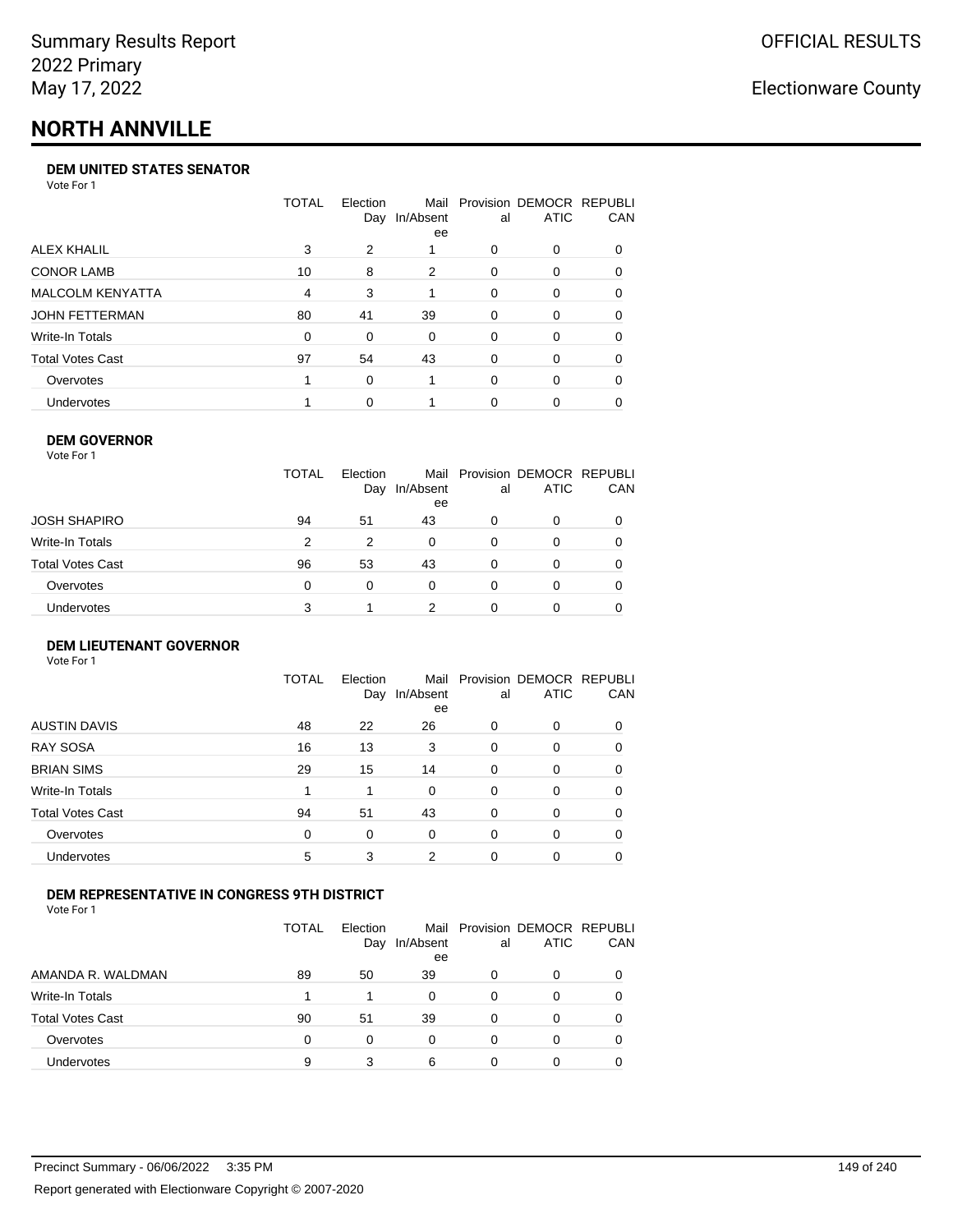# **NORTH ANNVILLE**

#### **DEM UNITED STATES SENATOR**

Vote For 1

|                         | TOTAL | Election | Mail<br>Day In/Absent<br>ee | al       | Provision DEMOCR REPUBLI<br><b>ATIC</b> | <b>CAN</b> |
|-------------------------|-------|----------|-----------------------------|----------|-----------------------------------------|------------|
| ALEX KHALIL             | 3     | 2        |                             | 0        | $\Omega$                                | 0          |
| <b>CONOR LAMB</b>       | 10    | 8        | 2                           | 0        | $\Omega$                                | 0          |
| <b>MALCOLM KENYATTA</b> | 4     | 3        |                             | $\Omega$ | $\Omega$                                | 0          |
| JOHN FETTERMAN          | 80    | 41       | 39                          | 0        | $\Omega$                                | 0          |
| Write-In Totals         | 0     | 0        | $\Omega$                    | 0        | $\Omega$                                | $\Omega$   |
| <b>Total Votes Cast</b> | 97    | 54       | 43                          | 0        | $\Omega$                                | 0          |
| Overvotes               |       | $\Omega$ |                             | $\Omega$ | $\Omega$                                | 0          |
| Undervotes              |       | 0        |                             | 0        |                                         | 0          |

#### **DEM GOVERNOR**

| Vote For 1              |              |                 |                 |    |                                              |     |
|-------------------------|--------------|-----------------|-----------------|----|----------------------------------------------|-----|
|                         | <b>TOTAL</b> | Election<br>Day | In/Absent<br>ee | al | Mail Provision DEMOCR REPUBLI<br><b>ATIC</b> | CAN |
| JOSH SHAPIRO            | 94           | 51              | 43              | 0  | 0                                            |     |
| Write-In Totals         | 2            | 2               | $\Omega$        | 0  | 0                                            | 0   |
| <b>Total Votes Cast</b> | 96           | 53              | 43              | 0  | 0                                            | 0   |
| Overvotes               | 0            | $\Omega$        | 0               | 0  | 0                                            | 0   |
| Undervotes              | 3            |                 | っ               | 0  | Ω                                            |     |

#### **DEM LIEUTENANT GOVERNOR** Vote For 1

|                         | <b>TOTAL</b> | Election<br>Day | Mail<br>In/Absent<br>ee | al       | Provision DEMOCR REPUBLI<br><b>ATIC</b> | CAN      |
|-------------------------|--------------|-----------------|-------------------------|----------|-----------------------------------------|----------|
| <b>AUSTIN DAVIS</b>     | 48           | 22              | 26                      | $\Omega$ | 0                                       | 0        |
| <b>RAY SOSA</b>         | 16           | 13              | 3                       | 0        | 0                                       | 0        |
| <b>BRIAN SIMS</b>       | 29           | 15              | 14                      | 0        | 0                                       | 0        |
| Write-In Totals         |              | 1               | $\Omega$                | $\Omega$ | 0                                       | $\Omega$ |
| <b>Total Votes Cast</b> | 94           | 51              | 43                      | $\Omega$ | 0                                       | $\Omega$ |
| Overvotes               | 0            | 0               | 0                       | $\Omega$ | 0                                       | $\Omega$ |
| <b>Undervotes</b>       | 5            | 3               | 2                       | $\Omega$ | 0                                       |          |

#### **DEM REPRESENTATIVE IN CONGRESS 9TH DISTRICT**

Vote For 1

|                         | TOTAL | <b>Flection</b><br>Day | In/Absent<br>ee | al | Mail Provision DEMOCR REPUBLI<br><b>ATIC</b> | <b>CAN</b> |
|-------------------------|-------|------------------------|-----------------|----|----------------------------------------------|------------|
| AMANDA R. WALDMAN       | 89    | 50                     | 39              | 0  | 0                                            | 0          |
| Write-In Totals         |       |                        | 0               | 0  | $\Omega$                                     | 0          |
| <b>Total Votes Cast</b> | 90    | 51                     | 39              | 0  | 0                                            | 0          |
| Overvotes               | 0     | 0                      | 0               | 0  | $\Omega$                                     | 0          |
| <b>Undervotes</b>       | 9     |                        | 6               |    |                                              |            |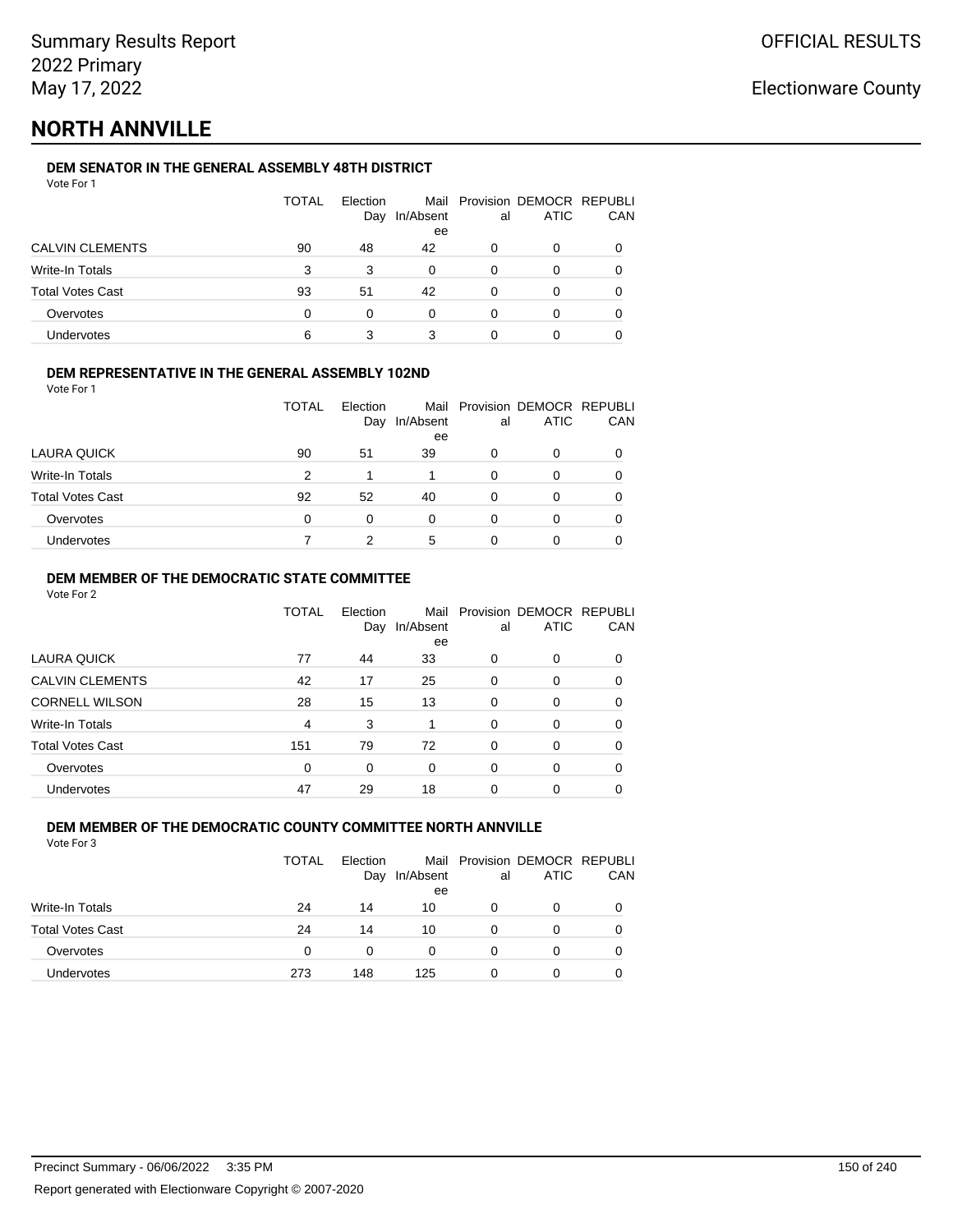## **NORTH ANNVILLE**

### **DEM SENATOR IN THE GENERAL ASSEMBLY 48TH DISTRICT**

|                         | <b>TOTAL</b> | Election<br>Day | In/Absent<br>ee | al | Mail Provision DEMOCR REPUBLI<br><b>ATIC</b> | CAN |
|-------------------------|--------------|-----------------|-----------------|----|----------------------------------------------|-----|
| <b>CALVIN CLEMENTS</b>  | 90           | 48              | 42              | O  | 0                                            |     |
| Write-In Totals         | 3            | 3               | 0               | 0  | O                                            |     |
| <b>Total Votes Cast</b> | 93           | 51              | 42              | 0  | Ω                                            |     |
| Overvotes               | 0            | 0               | 0               | 0  | ი                                            |     |
| Undervotes              | 6            |                 | 3               |    |                                              |     |

#### **DEM REPRESENTATIVE IN THE GENERAL ASSEMBLY 102ND**

| Vote For 1 |  |  |
|------------|--|--|
|            |  |  |

|                         | TOTAL | Election |                 |    | Mail Provision DEMOCR REPUBLI |            |
|-------------------------|-------|----------|-----------------|----|-------------------------------|------------|
|                         |       | Day      | In/Absent<br>ee | al | <b>ATIC</b>                   | <b>CAN</b> |
| LAURA QUICK             | 90    | 51       | 39              | 0  | 0                             | 0          |
| Write-In Totals         | 2     |          |                 | 0  |                               | 0          |
| <b>Total Votes Cast</b> | 92    | 52       | 40              | 0  |                               | 0          |
| Overvotes               | 0     | 0        | 0               | 0  |                               | 0          |
| <b>Undervotes</b>       |       |          | 5               | 0  |                               | 0          |

#### **DEM MEMBER OF THE DEMOCRATIC STATE COMMITTEE**

Vote For 2

|                         | TOTAL    | Election<br>Day | Mail<br>In/Absent<br>ee | al       | Provision DEMOCR REPUBLI<br><b>ATIC</b> | CAN |
|-------------------------|----------|-----------------|-------------------------|----------|-----------------------------------------|-----|
| LAURA QUICK             | 77       | 44              | 33                      | 0        | $\Omega$                                | 0   |
| <b>CALVIN CLEMENTS</b>  | 42       | 17              | 25                      | 0        | 0                                       | 0   |
| <b>CORNELL WILSON</b>   | 28       | 15              | 13                      | $\Omega$ | $\Omega$                                | 0   |
| Write-In Totals         | 4        | 3               |                         | $\Omega$ | $\Omega$                                | 0   |
| <b>Total Votes Cast</b> | 151      | 79              | 72                      | 0        | 0                                       | 0   |
| Overvotes               | $\Omega$ | $\Omega$        | $\Omega$                | 0        | $\Omega$                                | 0   |
| <b>Undervotes</b>       | 47       | 29              | 18                      | 0        | 0                                       |     |

#### **DEM MEMBER OF THE DEMOCRATIC COUNTY COMMITTEE NORTH ANNVILLE** Vote For 3

|                         | <b>TOTAL</b> | Election<br>Day | In/Absent<br>ee | al | Mail Provision DEMOCR REPUBLI<br><b>ATIC</b> | CAN |
|-------------------------|--------------|-----------------|-----------------|----|----------------------------------------------|-----|
| Write-In Totals         | 24           | 14              | 10              | 0  | O                                            |     |
| <b>Total Votes Cast</b> | 24           | 14              | 10              | 0  | O                                            |     |
| Overvotes               | 0            | 0               | 0               | 0  | O                                            |     |
| Undervotes              | 273          | 148             | 125             | 0  | Ω                                            |     |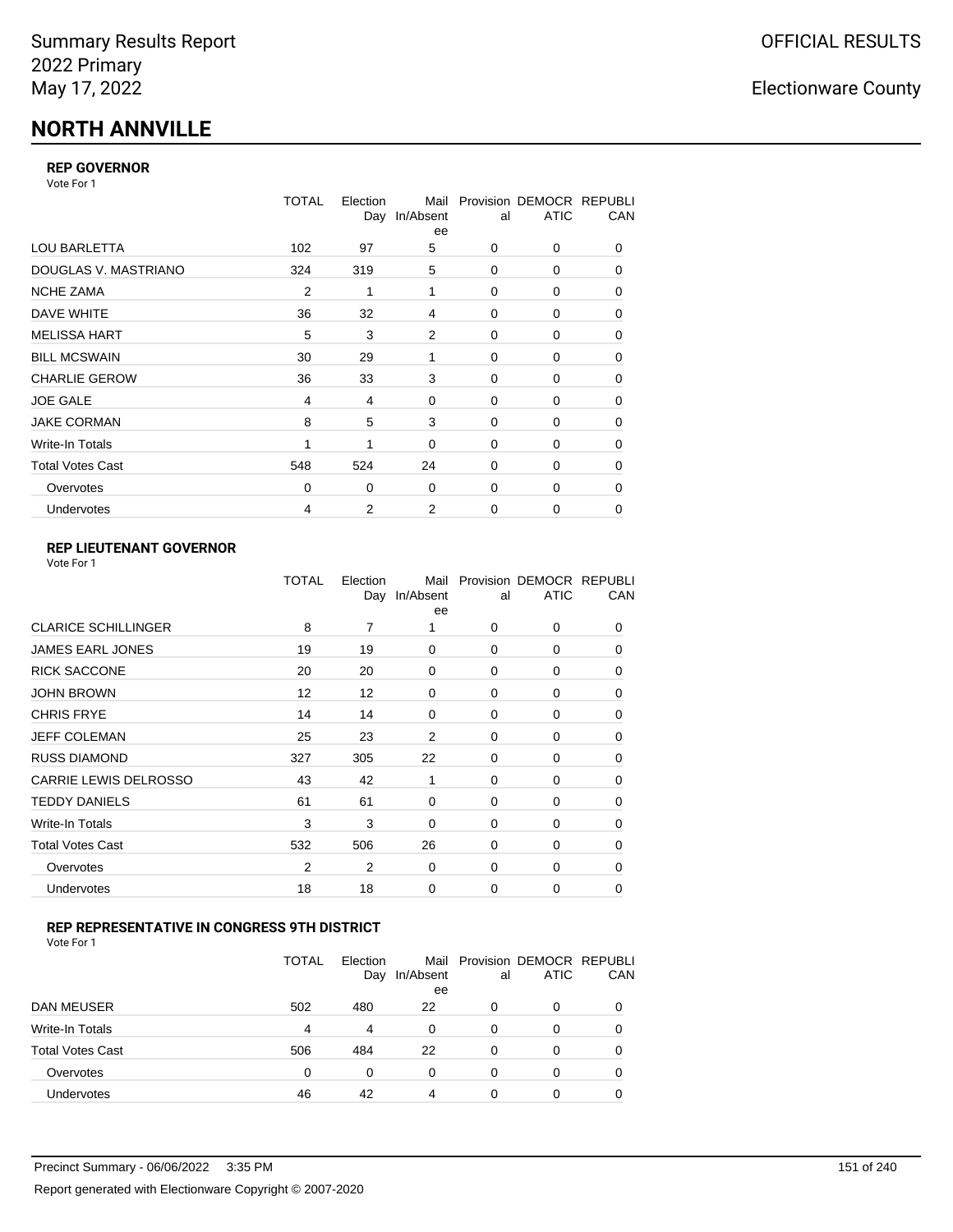# **NORTH ANNVILLE**

### **REP GOVERNOR**

Vote For 1

|                         | <b>TOTAL</b>   | Election<br>Day | Mail<br>In/Absent<br>ee | al          | Provision DEMOCR REPUBLI<br><b>ATIC</b> | CAN |
|-------------------------|----------------|-----------------|-------------------------|-------------|-----------------------------------------|-----|
| <b>LOU BARLETTA</b>     | 102            | 97              | 5                       | 0           | 0                                       | 0   |
| DOUGLAS V. MASTRIANO    | 324            | 319             | 5                       | $\mathbf 0$ | 0                                       | 0   |
| <b>NCHE ZAMA</b>        | $\overline{2}$ | 1               | 1                       | 0           | 0                                       | 0   |
| DAVE WHITE              | 36             | 32              | 4                       | 0           | 0                                       | 0   |
| <b>MELISSA HART</b>     | 5              | 3               | 2                       | 0           | 0                                       | 0   |
| <b>BILL MCSWAIN</b>     | 30             | 29              | 1                       | $\mathbf 0$ | 0                                       | 0   |
| <b>CHARLIE GEROW</b>    | 36             | 33              | 3                       | $\Omega$    | $\Omega$                                | 0   |
| <b>JOE GALE</b>         | 4              | 4               | 0                       | $\mathbf 0$ | 0                                       | 0   |
| <b>JAKE CORMAN</b>      | 8              | 5               | 3                       | 0           | 0                                       | 0   |
| Write-In Totals         |                | 1               | 0                       | $\mathbf 0$ | 0                                       | 0   |
| <b>Total Votes Cast</b> | 548            | 524             | 24                      | $\Omega$    | 0                                       | 0   |
| Overvotes               | $\Omega$       | 0               | 0                       | $\mathbf 0$ | 0                                       | 0   |
| Undervotes              | 4              | $\overline{2}$  | 2                       | 0           | 0                                       | 0   |

### **REP LIEUTENANT GOVERNOR**

|                            | TOTAL          | Election | Mail<br>Day In/Absent<br>ee | al          | Provision DEMOCR REPUBLI<br><b>ATIC</b> | CAN      |
|----------------------------|----------------|----------|-----------------------------|-------------|-----------------------------------------|----------|
| <b>CLARICE SCHILLINGER</b> | 8              | 7        | 1                           | $\Omega$    | 0                                       | 0        |
| <b>JAMES EARL JONES</b>    | 19             | 19       | 0                           | 0           | 0                                       | 0        |
| <b>RICK SACCONE</b>        | 20             | 20       | 0                           | $\Omega$    | 0                                       | 0        |
| <b>JOHN BROWN</b>          | 12             | 12       | 0                           | $\Omega$    | 0                                       | 0        |
| <b>CHRIS FRYE</b>          | 14             | 14       | 0                           | 0           | 0                                       | 0        |
| JEFF COLEMAN               | 25             | 23       | 2                           | 0           | 0                                       | 0        |
| <b>RUSS DIAMOND</b>        | 327            | 305      | 22                          | 0           | 0                                       | 0        |
| CARRIE LEWIS DELROSSO      | 43             | 42       | 1                           | 0           | 0                                       | 0        |
| <b>TEDDY DANIELS</b>       | 61             | 61       | 0                           | 0           | 0                                       | 0        |
| Write-In Totals            | 3              | 3        | 0                           | 0           | 0                                       | 0        |
| <b>Total Votes Cast</b>    | 532            | 506      | 26                          | $\Omega$    | 0                                       | 0        |
| Overvotes                  | $\overline{2}$ | 2        | 0                           | 0           | 0                                       | $\Omega$ |
| Undervotes                 | 18             | 18       | 0                           | $\mathbf 0$ | 0                                       | 0        |
|                            |                |          |                             |             |                                         |          |

### **REP REPRESENTATIVE IN CONGRESS 9TH DISTRICT**

| Vote For 1 |  |  |
|------------|--|--|
|------------|--|--|

|                         | TOTAL | Election<br>Day | In/Absent<br>ee | al       | Mail Provision DEMOCR REPUBLI<br><b>ATIC</b> | CAN      |
|-------------------------|-------|-----------------|-----------------|----------|----------------------------------------------|----------|
| <b>DAN MEUSER</b>       | 502   | 480             | 22              | 0        | 0                                            | $\Omega$ |
| Write-In Totals         | 4     | 4               | 0               | 0        | 0                                            |          |
| <b>Total Votes Cast</b> | 506   | 484             | 22              | $\Omega$ | 0                                            |          |
| Overvotes               | 0     | 0               | 0               | 0        | 0                                            | 0        |
| <b>Undervotes</b>       | 46    | 42              | 4               | 0        | 0                                            |          |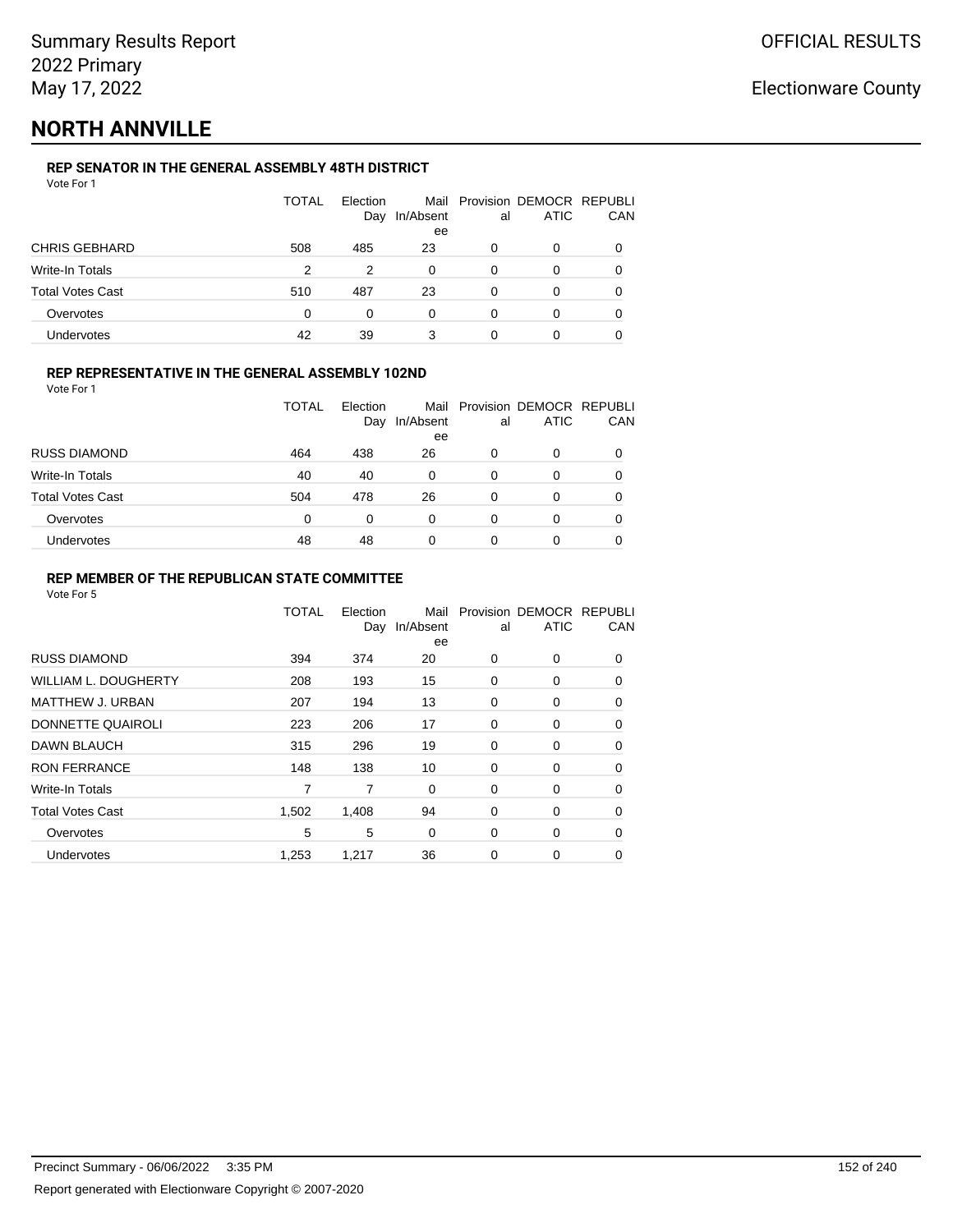## **NORTH ANNVILLE**

### **REP SENATOR IN THE GENERAL ASSEMBLY 48TH DISTRICT**

| Vote For 1 |  |
|------------|--|
|------------|--|

|                         | <b>TOTAL</b> | Election<br>Day | In/Absent<br>ee | al | Mail Provision DEMOCR REPUBLI<br><b>ATIC</b> | CAN |
|-------------------------|--------------|-----------------|-----------------|----|----------------------------------------------|-----|
| <b>CHRIS GEBHARD</b>    | 508          | 485             | 23              | 0  | 0                                            |     |
| Write-In Totals         | 2            | 2               | 0               | 0  | 0                                            |     |
| <b>Total Votes Cast</b> | 510          | 487             | 23              | 0  | 0                                            |     |
| Overvotes               | 0            | 0               | 0               | 0  | 0                                            |     |
| Undervotes              | 42           | 39              | 3               | 0  |                                              |     |

#### **REP REPRESENTATIVE IN THE GENERAL ASSEMBLY 102ND**

Vote For 1

|                         | TOTAL | Election<br>Day | Mail<br>In/Absent | al | Provision DEMOCR REPUBLI<br><b>ATIC</b> | CAN |
|-------------------------|-------|-----------------|-------------------|----|-----------------------------------------|-----|
|                         |       |                 | ee                |    |                                         |     |
| <b>RUSS DIAMOND</b>     | 464   | 438             | 26                | 0  | 0                                       |     |
| <b>Write-In Totals</b>  | 40    | 40              | 0                 | 0  | 0                                       |     |
| <b>Total Votes Cast</b> | 504   | 478             | 26                | 0  | 0                                       |     |
| Overvotes               | 0     | 0               | 0                 | 0  | O                                       |     |
| <b>Undervotes</b>       | 48    | 48              | 0                 | 0  | 0                                       |     |

#### **REP MEMBER OF THE REPUBLICAN STATE COMMITTEE**

|                             | <b>TOTAL</b> | Election<br>Day | Mail<br>In/Absent<br>ee | al          | Provision DEMOCR REPUBLI<br><b>ATIC</b> | CAN      |
|-----------------------------|--------------|-----------------|-------------------------|-------------|-----------------------------------------|----------|
| <b>RUSS DIAMOND</b>         | 394          | 374             | 20                      | 0           | 0                                       | 0        |
| <b>WILLIAM L. DOUGHERTY</b> | 208          | 193             | 15                      | 0           | 0                                       | 0        |
| <b>MATTHEW J. URBAN</b>     | 207          | 194             | 13                      | 0           | 0                                       | 0        |
| DONNETTE QUAIROLI           | 223          | 206             | 17                      | 0           | 0                                       | $\Omega$ |
| DAWN BLAUCH                 | 315          | 296             | 19                      | $\mathbf 0$ | 0                                       | $\Omega$ |
| <b>RON FERRANCE</b>         | 148          | 138             | 10                      | 0           | 0                                       | $\Omega$ |
| Write-In Totals             | 7            | 7               | 0                       | 0           | 0                                       | 0        |
| <b>Total Votes Cast</b>     | 1,502        | 1,408           | 94                      | $\mathbf 0$ | 0                                       | 0        |
| Overvotes                   | 5            | 5               | 0                       | 0           | 0                                       | 0        |
| Undervotes                  | 1,253        | 1,217           | 36                      | 0           | 0                                       | 0        |
|                             |              |                 |                         |             |                                         |          |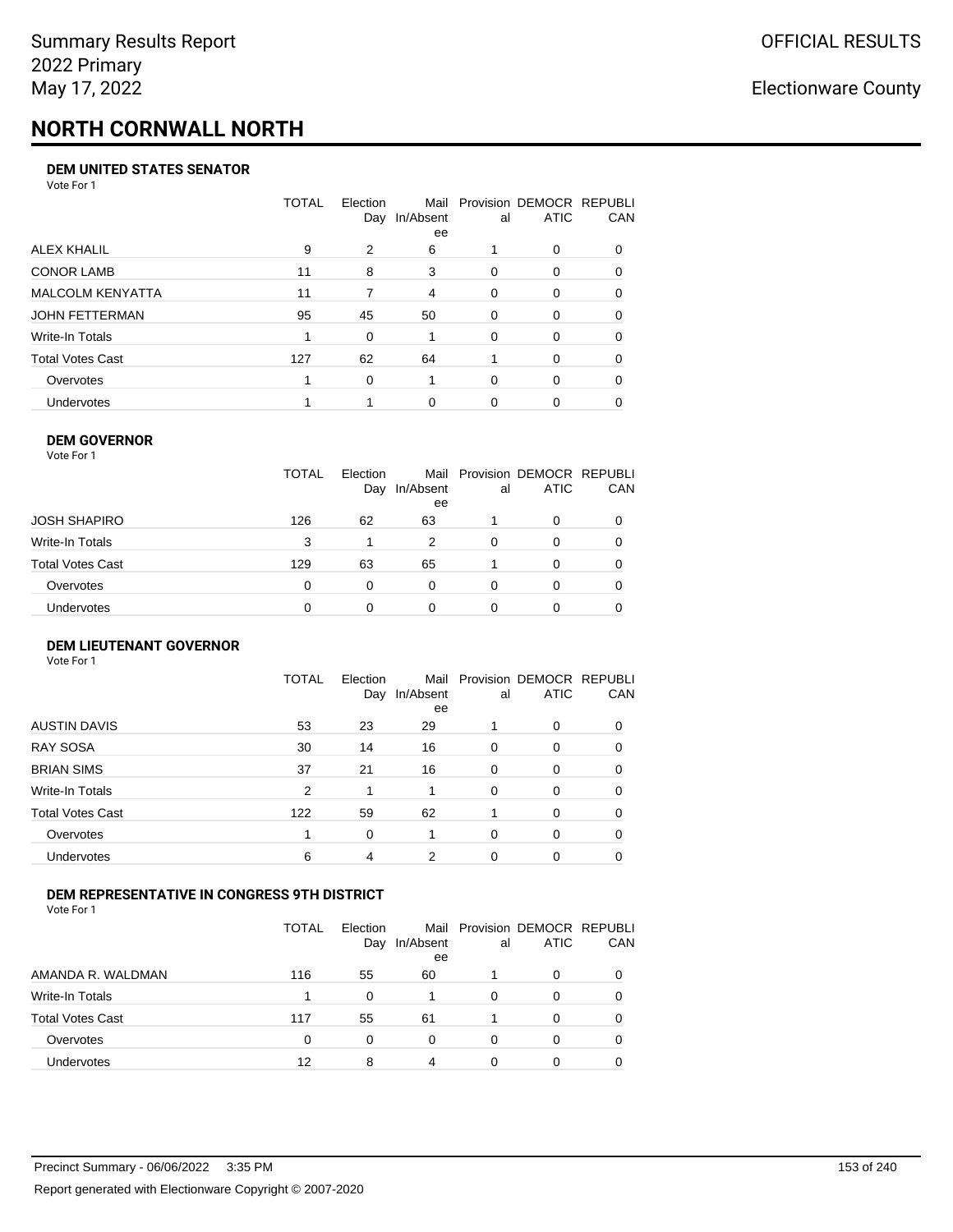# **NORTH CORNWALL NORTH**

#### **DEM UNITED STATES SENATOR**

Vote For 1

|                         | TOTAL | Election<br>Day | Mail<br>In/Absent<br>ee | al       | Provision DEMOCR REPUBLI<br><b>ATIC</b> | CAN      |
|-------------------------|-------|-----------------|-------------------------|----------|-----------------------------------------|----------|
| ALEX KHALIL             | 9     | 2               | 6                       |          | 0                                       | $\Omega$ |
| <b>CONOR LAMB</b>       | 11    | 8               | 3                       | $\Omega$ | $\Omega$                                | 0        |
| <b>MALCOLM KENYATTA</b> | 11    | 7               | 4                       | $\Omega$ | 0                                       | 0        |
| JOHN FETTERMAN          | 95    | 45              | 50                      | $\Omega$ | 0                                       | $\Omega$ |
| Write-In Totals         |       | 0               |                         | $\Omega$ | 0                                       | $\Omega$ |
| Total Votes Cast        | 127   | 62              | 64                      |          | $\Omega$                                | 0        |
| Overvotes               |       | $\Omega$        |                         | $\Omega$ | $\Omega$                                | $\Omega$ |
| <b>Undervotes</b>       |       |                 | $\Omega$                | 0        | 0                                       |          |

#### **DEM GOVERNOR**

| Vote For 1       |              |                 |                 |          |                                              |          |
|------------------|--------------|-----------------|-----------------|----------|----------------------------------------------|----------|
|                  | <b>TOTAL</b> | Election<br>Day | In/Absent<br>ee | al       | Mail Provision DEMOCR REPUBLI<br><b>ATIC</b> | CAN      |
| JOSH SHAPIRO     | 126          | 62              | 63              |          | 0                                            |          |
| Write-In Totals  | 3            |                 | 2               | $\Omega$ | 0                                            | $\Omega$ |
| Total Votes Cast | 129          | 63              | 65              |          | $\Omega$                                     | 0        |
| Overvotes        | 0            | 0               | $\Omega$        | $\Omega$ | 0                                            | 0        |
| Undervotes       | 0            |                 | 0               |          | 0                                            |          |
|                  |              |                 |                 |          |                                              |          |

#### **DEM LIEUTENANT GOVERNOR** Vote For 1

|                         | TOTAL | Election<br>Day | In/Absent<br>ee | al       | Mail Provision DEMOCR REPUBLI<br><b>ATIC</b> | CAN      |
|-------------------------|-------|-----------------|-----------------|----------|----------------------------------------------|----------|
| <b>AUSTIN DAVIS</b>     | 53    | 23              | 29              |          | $\Omega$                                     | 0        |
| <b>RAY SOSA</b>         | 30    | 14              | 16              | $\Omega$ | 0                                            | 0        |
| <b>BRIAN SIMS</b>       | 37    | 21              | 16              | $\Omega$ | $\Omega$                                     | $\Omega$ |
| Write-In Totals         | 2     | 1               |                 | $\Omega$ | $\Omega$                                     | $\Omega$ |
| <b>Total Votes Cast</b> | 122   | 59              | 62              |          | $\Omega$                                     | $\Omega$ |
| Overvotes               | 1     | 0               |                 | $\Omega$ | 0                                            | $\Omega$ |
| <b>Undervotes</b>       | 6     | 4               | 2               | 0        | 0                                            | 0        |

#### **DEM REPRESENTATIVE IN CONGRESS 9TH DISTRICT**

Vote For 1

|                         | TOTAL    | Election<br>Day | Mail<br>In/Absent<br>ee | al | Provision DEMOCR REPUBLI<br><b>ATIC</b> | CAN |
|-------------------------|----------|-----------------|-------------------------|----|-----------------------------------------|-----|
| AMANDA R. WALDMAN       | 116      | 55              | 60                      |    | 0                                       |     |
| Write-In Totals         |          | 0               |                         | 0  | 0                                       |     |
| <b>Total Votes Cast</b> | 117      | 55              | 61                      |    | 0                                       |     |
| Overvotes               | $\Omega$ | 0               | 0                       | 0  | O                                       |     |
| <b>Undervotes</b>       | 12       | 8               | 4                       |    | 0                                       |     |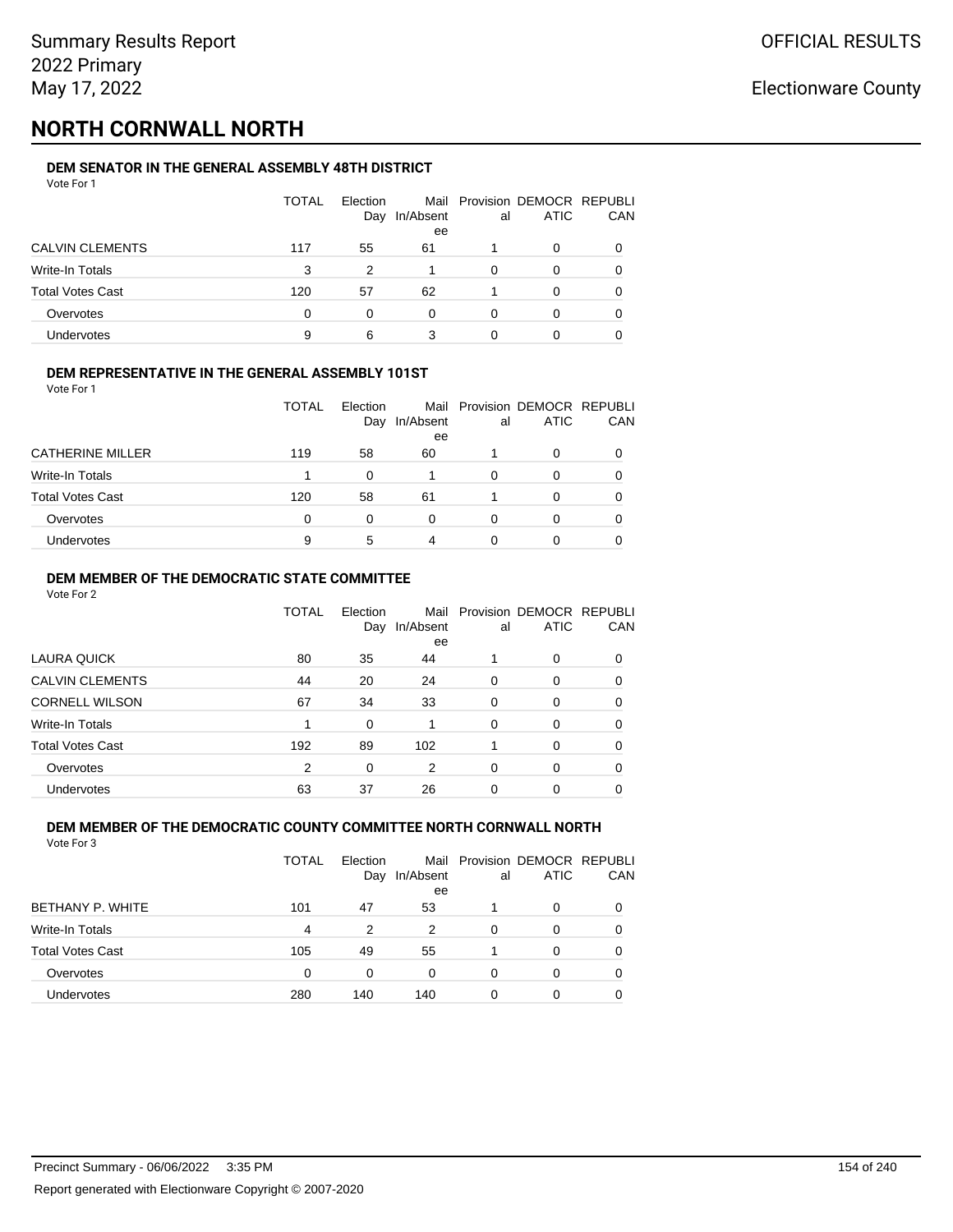# **NORTH CORNWALL NORTH**

#### **DEM SENATOR IN THE GENERAL ASSEMBLY 48TH DISTRICT** Vote For 1

| <u>VULGIUI</u>          |       |                 |                 |    |                                              |            |
|-------------------------|-------|-----------------|-----------------|----|----------------------------------------------|------------|
|                         | TOTAL | Election<br>Day | In/Absent<br>ee | al | Mail Provision DEMOCR REPUBLI<br><b>ATIC</b> | <b>CAN</b> |
|                         |       |                 |                 |    |                                              |            |
| <b>CALVIN CLEMENTS</b>  | 117   | 55              | 61              |    | 0                                            | 0          |
| Write-In Totals         | 3     | 2               |                 | 0  | 0                                            | 0          |
| <b>Total Votes Cast</b> | 120   | 57              | 62              |    | <sup>0</sup>                                 | 0          |
| Overvotes               | 0     | 0               | 0               | O  |                                              | 0          |
| Undervotes              | 9     | 6               | 3               |    |                                              |            |

#### **DEM REPRESENTATIVE IN THE GENERAL ASSEMBLY 101ST**

Vote For 1

|                         | TOTAL | Election |                 |    | Mail Provision DEMOCR REPUBLI |            |
|-------------------------|-------|----------|-----------------|----|-------------------------------|------------|
|                         |       | Day      | In/Absent<br>ee | al | <b>ATIC</b>                   | <b>CAN</b> |
| <b>CATHERINE MILLER</b> | 119   | 58       | 60              |    |                               | 0          |
| Write-In Totals         |       | 0        |                 | 0  |                               | 0          |
| <b>Total Votes Cast</b> | 120   | 58       | 61              |    | 0                             | 0          |
| Overvotes               | 0     | 0        | 0               | O  |                               | 0          |
| Undervotes              | 9     | 5        | 4               |    |                               |            |

#### **DEM MEMBER OF THE DEMOCRATIC STATE COMMITTEE**

Vote For 2

|                         | TOTAL | Election<br>Day | Mail<br>In/Absent<br>ee | al       | Provision DEMOCR REPUBLI<br><b>ATIC</b> | CAN |
|-------------------------|-------|-----------------|-------------------------|----------|-----------------------------------------|-----|
| LAURA QUICK             | 80    | 35              | 44                      |          | $\Omega$                                | 0   |
| <b>CALVIN CLEMENTS</b>  | 44    | 20              | 24                      | $\Omega$ | 0                                       | 0   |
| <b>CORNELL WILSON</b>   | 67    | 34              | 33                      | $\Omega$ | $\Omega$                                | 0   |
| Write-In Totals         |       | $\Omega$        |                         | $\Omega$ | $\Omega$                                | 0   |
| <b>Total Votes Cast</b> | 192   | 89              | 102                     |          | 0                                       | 0   |
| Overvotes               | 2     | $\Omega$        | 2                       | $\Omega$ | $\Omega$                                | 0   |
| <b>Undervotes</b>       | 63    | 37              | 26                      | 0        | $\Omega$                                |     |

#### **DEM MEMBER OF THE DEMOCRATIC COUNTY COMMITTEE NORTH CORNWALL NORTH** Vote For 3

|                         | TOTAL | Flection<br>Day | In/Absent<br>ee | al | Mail Provision DEMOCR REPUBLI<br><b>ATIC</b> | CAN      |
|-------------------------|-------|-----------------|-----------------|----|----------------------------------------------|----------|
| BETHANY P. WHITE        | 101   | 47              | 53              |    | 0                                            | $\Omega$ |
| Write-In Totals         | 4     | 2               | 2               | 0  | 0                                            |          |
| <b>Total Votes Cast</b> | 105   | 49              | 55              |    | 0                                            |          |
| Overvotes               | 0     | 0               | 0               | 0  | 0                                            |          |
| Undervotes              | 280   | 140             | 140             | 0  | 0                                            |          |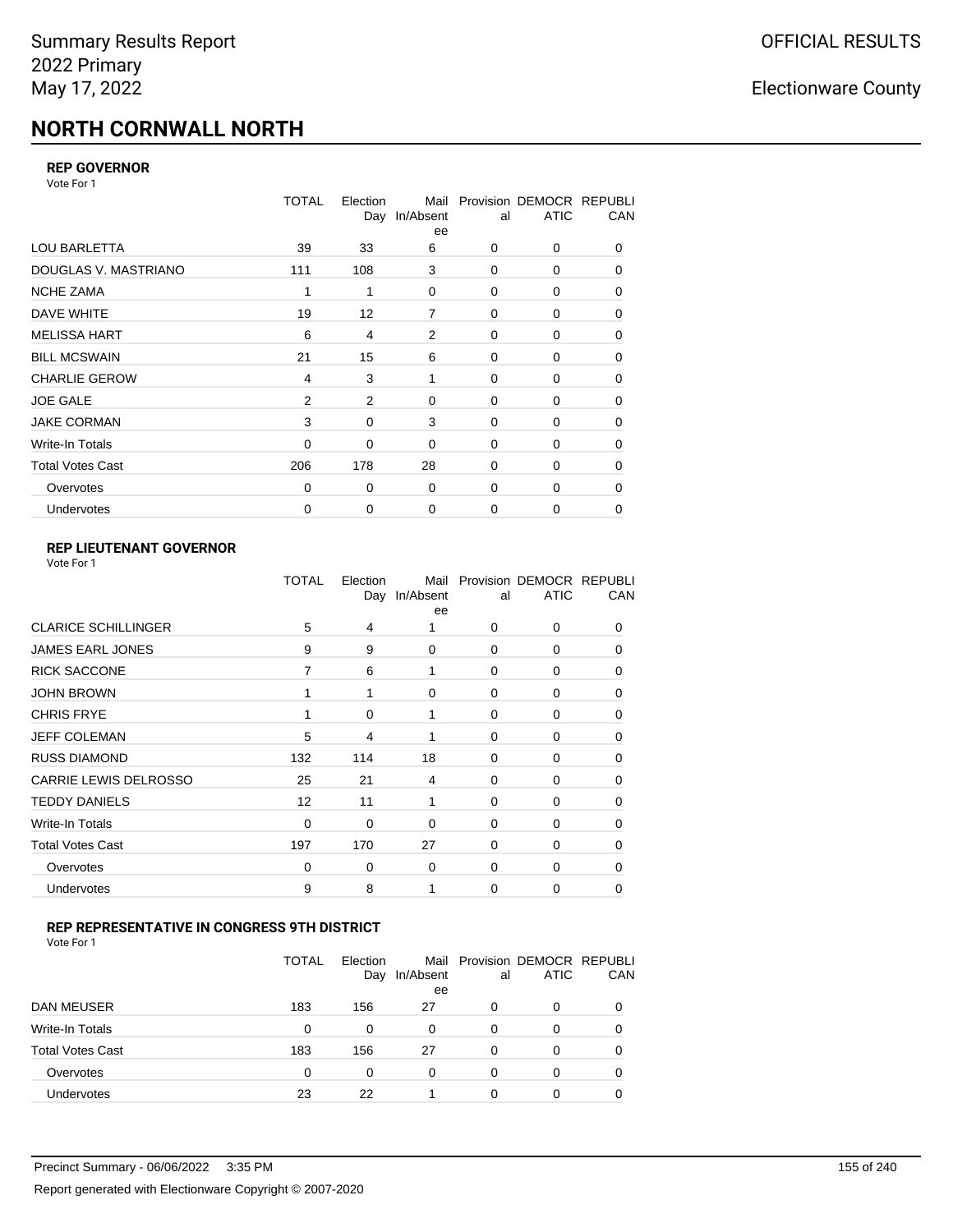# **NORTH CORNWALL NORTH**

#### **REP GOVERNOR**

Vote For 1

|                         | <b>TOTAL</b>   | Election<br>Day | Mail<br>In/Absent<br>ee | al | Provision DEMOCR REPUBLI<br><b>ATIC</b> | CAN |
|-------------------------|----------------|-----------------|-------------------------|----|-----------------------------------------|-----|
| <b>LOU BARLETTA</b>     | 39             | 33              | 6                       | 0  | 0                                       | 0   |
| DOUGLAS V. MASTRIANO    | 111            | 108             | 3                       | 0  | 0                                       | 0   |
| <b>NCHE ZAMA</b>        | 1              | 1               | $\Omega$                | 0  | 0                                       | 0   |
| DAVE WHITE              | 19             | 12              | $\overline{7}$          | 0  | 0                                       | 0   |
| <b>MELISSA HART</b>     | 6              | 4               | 2                       | 0  | 0                                       | 0   |
| <b>BILL MCSWAIN</b>     | 21             | 15              | 6                       | 0  | 0                                       | 0   |
| <b>CHARLIE GEROW</b>    | 4              | 3               | 1                       | 0  | 0                                       | 0   |
| <b>JOE GALE</b>         | $\overline{2}$ | 2               | 0                       | 0  | 0                                       | 0   |
| <b>JAKE CORMAN</b>      | 3              | 0               | 3                       | 0  | $\Omega$                                | 0   |
| Write-In Totals         | 0              | 0               | 0                       | 0  | 0                                       | 0   |
| <b>Total Votes Cast</b> | 206            | 178             | 28                      | 0  | 0                                       | 0   |
| Overvotes               | $\Omega$       | 0               | 0                       | 0  | 0                                       | 0   |
| <b>Undervotes</b>       | 0              | 0               | $\mathbf 0$             | 0  | 0                                       | 0   |

### **REP LIEUTENANT GOVERNOR**

| Vote For 1 |  |
|------------|--|
|------------|--|

|                              | TOTAL       | Election<br>Day | Mail<br>In/Absent<br>ee | al          | Provision DEMOCR REPUBLI<br><b>ATIC</b> | CAN      |
|------------------------------|-------------|-----------------|-------------------------|-------------|-----------------------------------------|----------|
| <b>CLARICE SCHILLINGER</b>   | 5           | 4               | 1                       | $\Omega$    | 0                                       | 0        |
| <b>JAMES EARL JONES</b>      | 9           | 9               | $\Omega$                | 0           | 0                                       | 0        |
| <b>RICK SACCONE</b>          | 7           | 6               | 1                       | $\Omega$    | 0                                       | 0        |
| <b>JOHN BROWN</b>            |             | 1               | $\Omega$                | $\Omega$    | 0                                       | 0        |
| <b>CHRIS FRYE</b>            | 1           | 0               | 1                       | 0           | 0                                       | 0        |
| <b>JEFF COLEMAN</b>          | 5           | 4               | 1                       | 0           | 0                                       | $\Omega$ |
| <b>RUSS DIAMOND</b>          | 132         | 114             | 18                      | 0           | 0                                       | 0        |
| <b>CARRIE LEWIS DELROSSO</b> | 25          | 21              | 4                       | $\mathbf 0$ | 0                                       | 0        |
| <b>TEDDY DANIELS</b>         | 12          | 11              | 1                       | $\Omega$    | 0                                       | $\Omega$ |
| Write-In Totals              | 0           | 0               | $\Omega$                | 0           | 0                                       | $\Omega$ |
| <b>Total Votes Cast</b>      | 197         | 170             | 27                      | $\Omega$    | $\Omega$                                | $\Omega$ |
| Overvotes                    | $\mathbf 0$ | 0               | 0                       | 0           | 0                                       | $\Omega$ |
| Undervotes                   | 9           | 8               | 1                       | $\Omega$    | 0                                       | 0        |
|                              |             |                 |                         |             |                                         |          |

#### **REP REPRESENTATIVE IN CONGRESS 9TH DISTRICT**

Vote For 1

|                         | <b>TOTAL</b> | Election<br>Day | In/Absent<br>ee | al | Mail Provision DEMOCR REPUBLI<br><b>ATIC</b> | <b>CAN</b> |
|-------------------------|--------------|-----------------|-----------------|----|----------------------------------------------|------------|
| <b>DAN MEUSER</b>       | 183          | 156             | 27              | 0  | $\Omega$                                     | 0          |
| Write-In Totals         | 0            | 0               | 0               | 0  | 0                                            | 0          |
| <b>Total Votes Cast</b> | 183          | 156             | 27              | 0  | $\Omega$                                     | 0          |
| Overvotes               | 0            | 0               | $\Omega$        | O  | 0                                            | 0          |
| <b>Undervotes</b>       | 23           | 22              |                 | ŋ  | ∩                                            | 0          |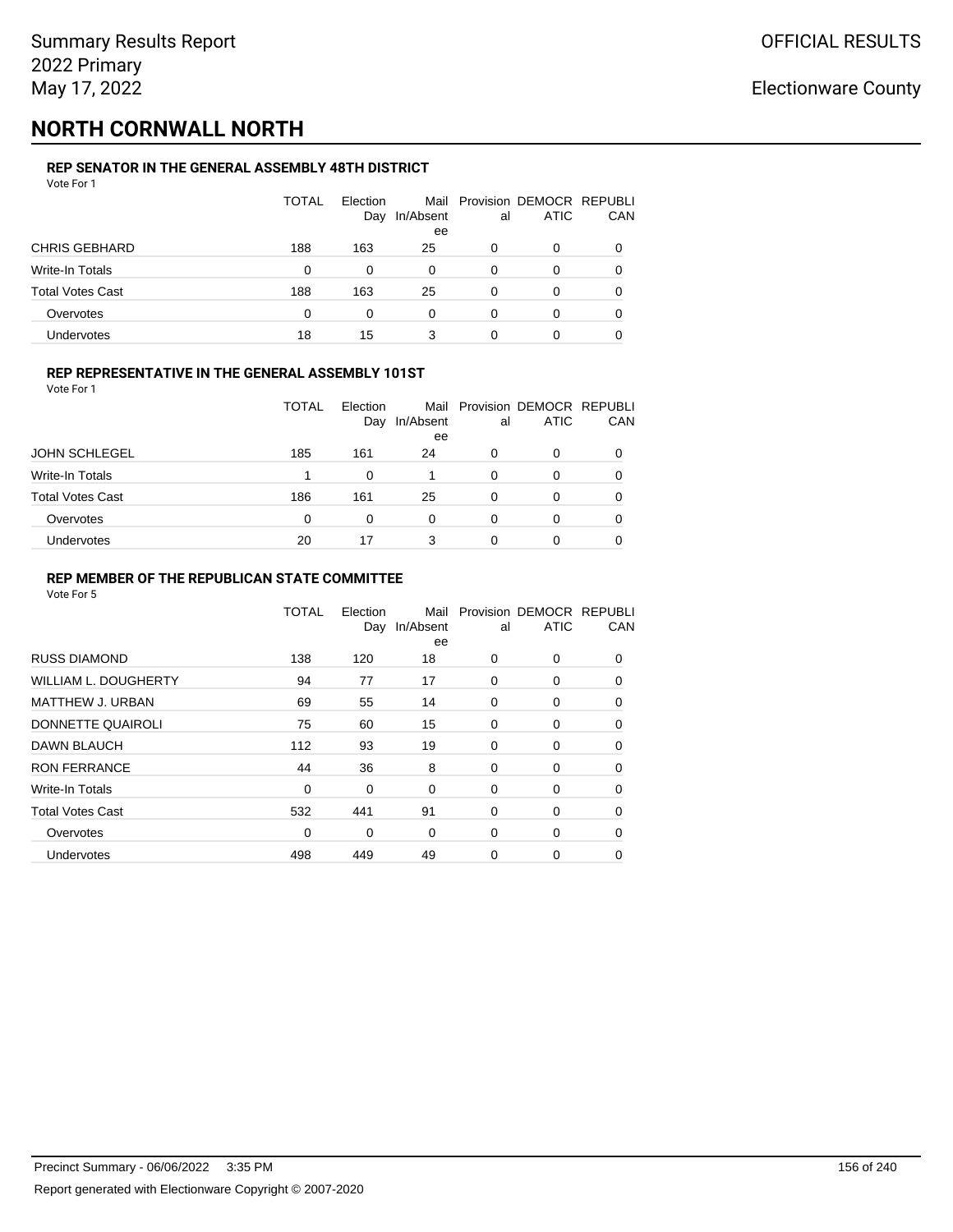# **NORTH CORNWALL NORTH**

### **REP SENATOR IN THE GENERAL ASSEMBLY 48TH DISTRICT**

| Vote For 1              |              |                 |                 |    |                                              |          |
|-------------------------|--------------|-----------------|-----------------|----|----------------------------------------------|----------|
|                         | <b>TOTAL</b> | Election<br>Day | In/Absent<br>ee | al | Mail Provision DEMOCR REPUBLI<br><b>ATIC</b> | CAN      |
| <b>CHRIS GEBHARD</b>    | 188          | 163             | 25              | 0  | 0                                            | $\Omega$ |
| Write-In Totals         | $\Omega$     | 0               | 0               | 0  | 0                                            | 0        |
| <b>Total Votes Cast</b> | 188          | 163             | 25              | 0  | 0                                            | 0        |
| Overvotes               | $\Omega$     | 0               | $\Omega$        | 0  | 0                                            |          |
| Undervotes              | 18           | 15              | 3               | 0  | 0                                            |          |

#### **REP REPRESENTATIVE IN THE GENERAL ASSEMBLY 101ST**

Vote For 1

|                         | TOTAL | Election<br>Day | Mail<br>In/Absent | al | Provision DEMOCR REPUBLI<br><b>ATIC</b> | CAN |
|-------------------------|-------|-----------------|-------------------|----|-----------------------------------------|-----|
|                         |       |                 | ee                |    |                                         |     |
| <b>JOHN SCHLEGEL</b>    | 185   | 161             | 24                | 0  | 0                                       | 0   |
| <b>Write-In Totals</b>  |       |                 |                   | 0  |                                         | 0   |
| <b>Total Votes Cast</b> | 186   | 161             | 25                | 0  |                                         | 0   |
| Overvotes               | 0     | 0               | 0                 | 0  |                                         | 0   |
| <b>Undervotes</b>       | 20    | 17              | 3                 | O  |                                         | 0   |

#### **REP MEMBER OF THE REPUBLICAN STATE COMMITTEE**

|                         | <b>TOTAL</b> | Election<br>Day | Mail<br>In/Absent<br>ee | al | Provision DEMOCR REPUBLI<br><b>ATIC</b> | CAN      |
|-------------------------|--------------|-----------------|-------------------------|----|-----------------------------------------|----------|
| <b>RUSS DIAMOND</b>     | 138          | 120             | 18                      | 0  | 0                                       | $\Omega$ |
| WILLIAM L. DOUGHERTY    | 94           | 77              | 17                      | 0  | 0                                       | 0        |
| <b>MATTHEW J. URBAN</b> | 69           | 55              | 14                      | 0  | 0                                       | $\Omega$ |
| DONNETTE QUAIROLI       | 75           | 60              | 15                      | 0  | 0                                       | $\Omega$ |
| DAWN BLAUCH             | 112          | 93              | 19                      | 0  | 0                                       | $\Omega$ |
| <b>RON FERRANCE</b>     | 44           | 36              | 8                       | 0  | 0                                       | 0        |
| Write-In Totals         | 0            | 0               | 0                       | 0  | 0                                       | 0        |
| <b>Total Votes Cast</b> | 532          | 441             | 91                      | 0  | 0                                       | 0        |
| Overvotes               | 0            | 0               | $\Omega$                | 0  | 0                                       | $\Omega$ |
| Undervotes              | 498          | 449             | 49                      | 0  | 0                                       | 0        |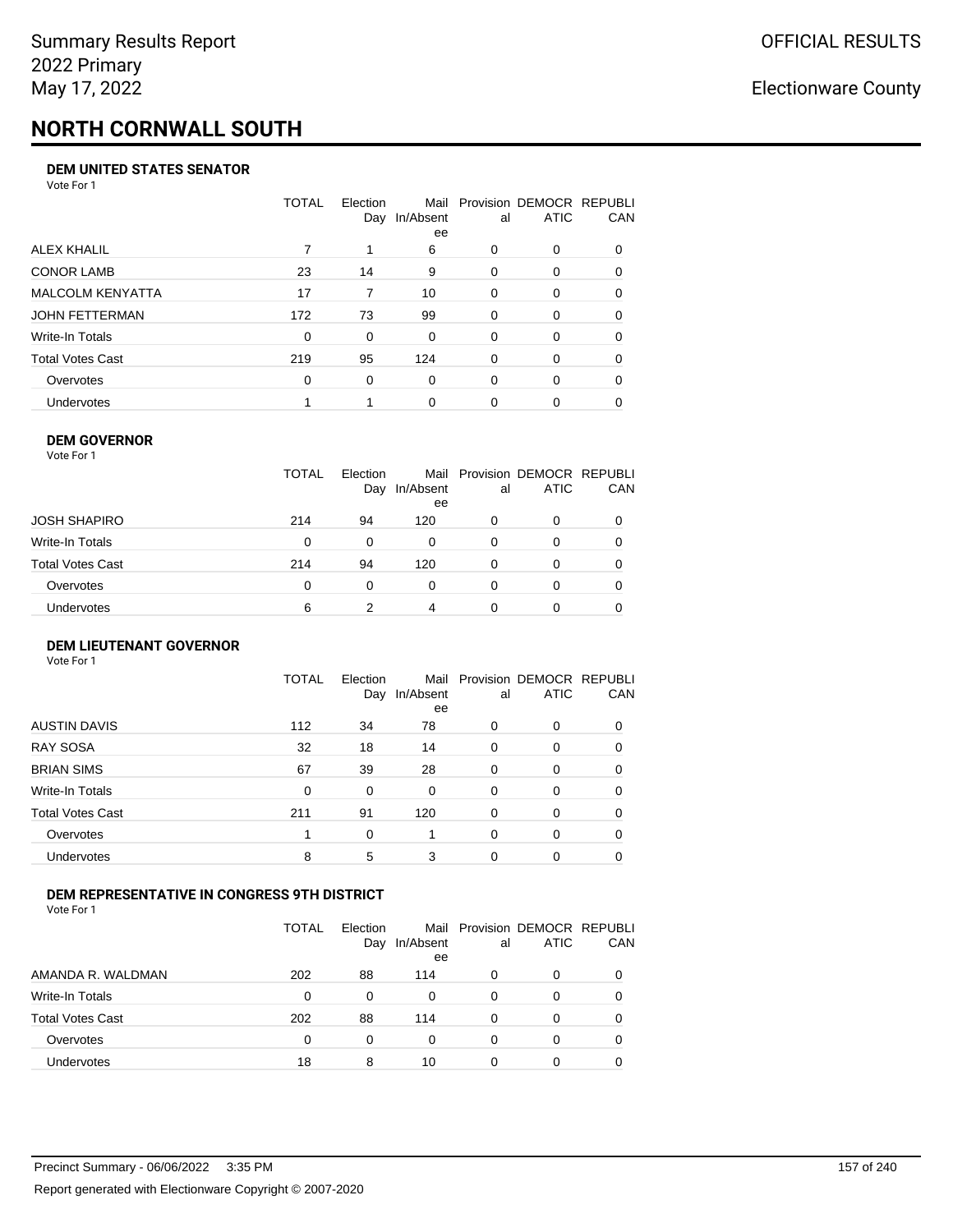# **NORTH CORNWALL SOUTH**

#### **DEM UNITED STATES SENATOR**

Vote For 1

|                         | TOTAL | Election<br>Day | Mail<br>In/Absent<br>ee | al       | Provision DEMOCR REPUBLI<br>ATIC | CAN      |
|-------------------------|-------|-----------------|-------------------------|----------|----------------------------------|----------|
| ALEX KHALIL             |       |                 | 6                       | 0        | $\Omega$                         | $\Omega$ |
| <b>CONOR LAMB</b>       | 23    | 14              | 9                       | $\Omega$ | 0                                | 0        |
| <b>MALCOLM KENYATTA</b> | 17    | 7               | 10                      | $\Omega$ | 0                                | 0        |
| JOHN FETTERMAN          | 172   | 73              | 99                      | $\Omega$ | $\Omega$                         | $\Omega$ |
| Write-In Totals         | 0     | $\Omega$        | 0                       | $\Omega$ | $\Omega$                         | $\Omega$ |
| Total Votes Cast        | 219   | 95              | 124                     | $\Omega$ | $\Omega$                         | 0        |
| Overvotes               | 0     | 0               | 0                       | $\Omega$ | $\Omega$                         | 0        |
| Undervotes              |       |                 | $\Omega$                | 0        | 0                                |          |

#### **DEM GOVERNOR**

| Vote For 1       |              |                 |                 |          |                                              |     |
|------------------|--------------|-----------------|-----------------|----------|----------------------------------------------|-----|
|                  | <b>TOTAL</b> | Election<br>Day | In/Absent<br>ee | al       | Mail Provision DEMOCR REPUBLI<br><b>ATIC</b> | CAN |
| JOSH SHAPIRO     | 214          | 94              | 120             | 0        | 0                                            |     |
| Write-In Totals  | 0            | 0               | 0               | 0        | 0                                            | 0   |
| Total Votes Cast | 214          | 94              | 120             | 0        | 0                                            | 0   |
| Overvotes        | 0            | 0               | $\Omega$        | $\Omega$ | 0                                            | 0   |
| Undervotes       | 6            | 2               | 4               | 0        | 0                                            |     |

#### **DEM LIEUTENANT GOVERNOR** Vote For 1

|                         | TOTAL | Election<br>Day | In/Absent<br>ee | al       | Mail Provision DEMOCR REPUBLI<br><b>ATIC</b> | CAN      |
|-------------------------|-------|-----------------|-----------------|----------|----------------------------------------------|----------|
| <b>AUSTIN DAVIS</b>     | 112   | 34              | 78              | 0        | 0                                            | 0        |
| <b>RAY SOSA</b>         | 32    | 18              | 14              | 0        | 0                                            | 0        |
| <b>BRIAN SIMS</b>       | 67    | 39              | 28              | 0        | $\Omega$                                     | $\Omega$ |
| Write-In Totals         | 0     | 0               | $\Omega$        | $\Omega$ | $\Omega$                                     | $\Omega$ |
| <b>Total Votes Cast</b> | 211   | 91              | 120             | $\Omega$ | 0                                            | $\Omega$ |
| Overvotes               | 1     | 0               |                 | $\Omega$ | $\Omega$                                     | $\Omega$ |
| <b>Undervotes</b>       | 8     | 5               | 3               | 0        | 0                                            | 0        |

#### **DEM REPRESENTATIVE IN CONGRESS 9TH DISTRICT**

|                         | TOTAL | <b>Flection</b><br>Day | Mail<br>In/Absent<br>ee | al | Provision DEMOCR REPUBLI<br><b>ATIC</b> | CAN |
|-------------------------|-------|------------------------|-------------------------|----|-----------------------------------------|-----|
| AMANDA R. WALDMAN       | 202   | 88                     | 114                     | 0  | 0                                       | 0   |
| Write-In Totals         | 0     | 0                      | 0                       | Ω  |                                         | 0   |
| <b>Total Votes Cast</b> | 202   | 88                     | 114                     | 0  |                                         | 0   |
| Overvotes               | 0     | 0                      | 0                       | 0  | 0                                       | 0   |
| Undervotes              | 18    | 8                      | 10                      | 0  |                                         |     |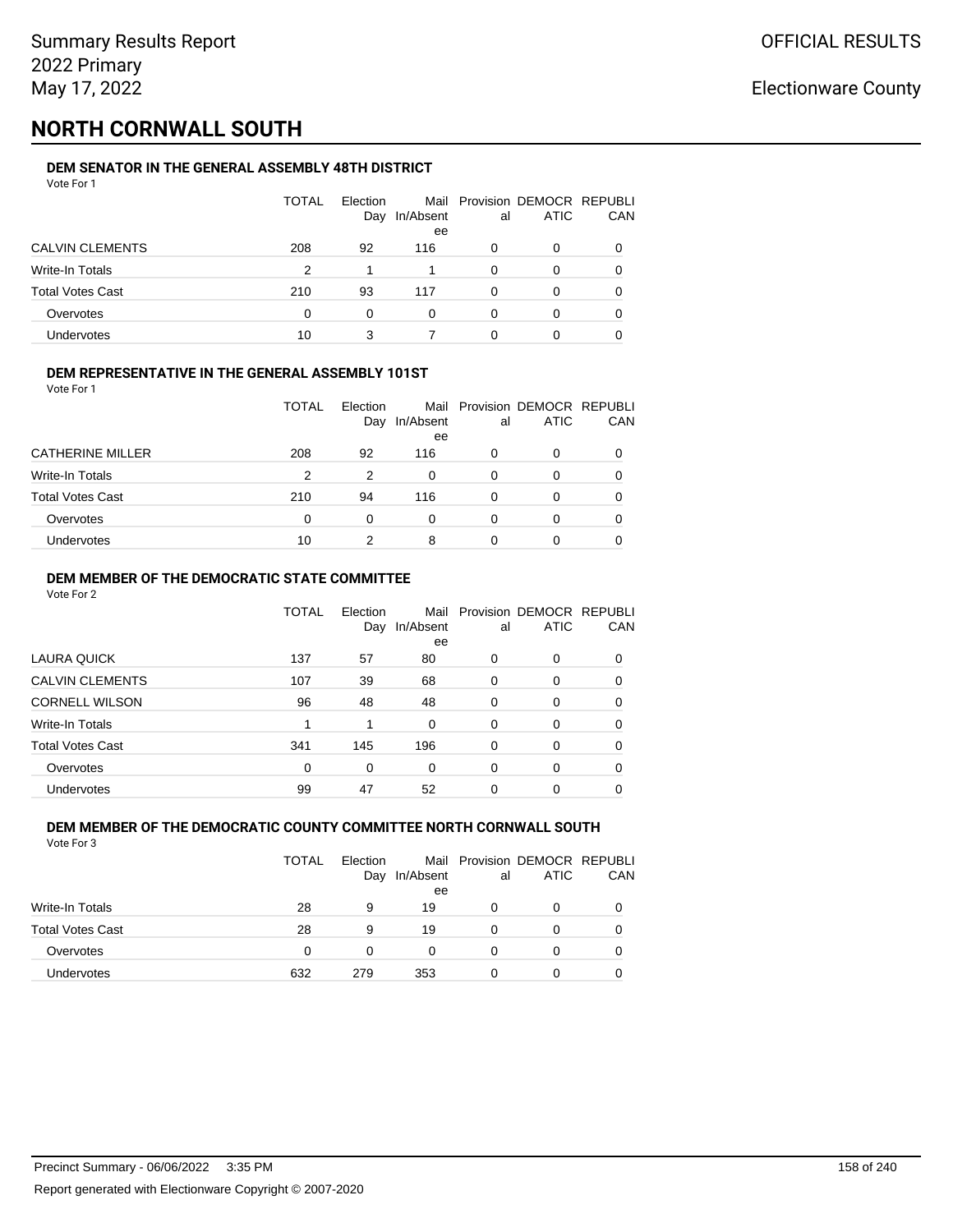## **NORTH CORNWALL SOUTH**

### **DEM SENATOR IN THE GENERAL ASSEMBLY 48TH DISTRICT**

| Vote For 1              |       |                 |                 |          |                                              |     |
|-------------------------|-------|-----------------|-----------------|----------|----------------------------------------------|-----|
|                         | TOTAL | Election<br>Day | In/Absent<br>ee | al       | Mail Provision DEMOCR REPUBLI<br><b>ATIC</b> | CAN |
| <b>CALVIN CLEMENTS</b>  | 208   | 92              | 116             | 0        | 0                                            | 0   |
| Write-In Totals         | 2     |                 |                 | $\Omega$ | 0                                            | 0   |
| <b>Total Votes Cast</b> | 210   | 93              | 117             | $\Omega$ | 0                                            | 0   |
| Overvotes               | 0     | 0               | 0               | 0        | 0                                            | 0   |
| Undervotes              | 10    | 3               |                 |          | 0                                            |     |

#### **DEM REPRESENTATIVE IN THE GENERAL ASSEMBLY 101ST**

Vote For 1

|                         | <b>TOTAL</b> | Election<br>Day | In/Absent<br>ee | al | Mail Provision DEMOCR REPUBLI<br><b>ATIC</b> | <b>CAN</b> |
|-------------------------|--------------|-----------------|-----------------|----|----------------------------------------------|------------|
| <b>CATHERINE MILLER</b> | 208          | 92              | 116             | O  |                                              | 0          |
| Write-In Totals         | 2            | 2               | 0               | O  | 0                                            | 0          |
| <b>Total Votes Cast</b> | 210          | 94              | 116             | 0  | n                                            | 0          |
| Overvotes               | 0            | 0               | $\Omega$        | O  |                                              | 0          |
| <b>Undervotes</b>       | 10           |                 | 8               |    |                                              |            |

#### **DEM MEMBER OF THE DEMOCRATIC STATE COMMITTEE**

Vote For 2

|                         | TOTAL    | Election<br>Day | Mail<br>In/Absent | al       | Provision DEMOCR REPUBLI<br><b>ATIC</b> | CAN      |
|-------------------------|----------|-----------------|-------------------|----------|-----------------------------------------|----------|
| LAURA QUICK             | 137      | 57              | ee<br>80          | 0        | 0                                       | $\Omega$ |
| <b>CALVIN CLEMENTS</b>  | 107      | 39              | 68                | 0        | 0                                       | 0        |
| <b>CORNELL WILSON</b>   | 96       | 48              | 48                | $\Omega$ | 0                                       | $\Omega$ |
| Write-In Totals         |          | 1               | $\Omega$          | $\Omega$ | 0                                       | 0        |
| <b>Total Votes Cast</b> | 341      | 145             | 196               | 0        | 0                                       | 0        |
| Overvotes               | $\Omega$ | 0               | $\Omega$          | $\Omega$ | 0                                       | 0        |
| <b>Undervotes</b>       | 99       | 47              | 52                | 0        | 0                                       |          |

#### **DEM MEMBER OF THE DEMOCRATIC COUNTY COMMITTEE NORTH CORNWALL SOUTH** Vote For 3

|                         | <b>TOTAL</b> | Election<br>Day | In/Absent<br>ee | al | Mail Provision DEMOCR REPUBLI<br><b>ATIC</b> | CAN |
|-------------------------|--------------|-----------------|-----------------|----|----------------------------------------------|-----|
| Write-In Totals         | 28           | 9               | 19              |    | 0                                            |     |
| <b>Total Votes Cast</b> | 28           | 9               | 19              |    | 0                                            |     |
| Overvotes               | $\Omega$     | 0               |                 |    | 0                                            |     |
| Undervotes              | 632          | 279             | 353             | O  | 0                                            |     |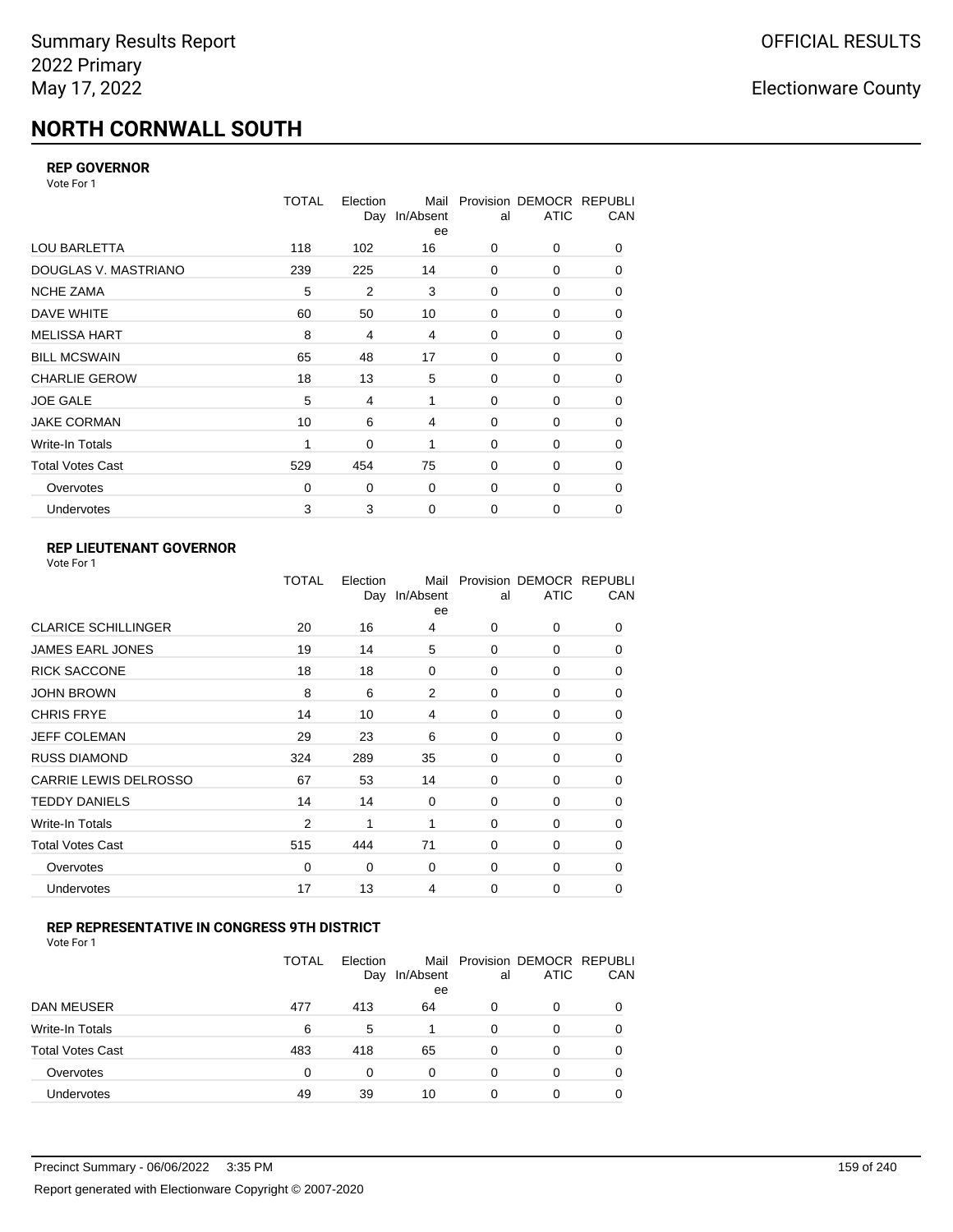# **NORTH CORNWALL SOUTH**

#### **REP GOVERNOR**

Vote For 1

|                         | TOTAL    | Election | Mail<br>Day In/Absent<br>ee | al          | Provision DEMOCR REPUBLI<br><b>ATIC</b> | CAN |
|-------------------------|----------|----------|-----------------------------|-------------|-----------------------------------------|-----|
| <b>LOU BARLETTA</b>     | 118      | 102      | 16                          | 0           | 0                                       | 0   |
| DOUGLAS V. MASTRIANO    | 239      | 225      | 14                          | 0           | 0                                       | 0   |
| <b>NCHE ZAMA</b>        | 5        | 2        | 3                           | 0           | 0                                       | 0   |
| DAVE WHITE              | 60       | 50       | 10                          | 0           | 0                                       | 0   |
| <b>MELISSA HART</b>     | 8        | 4        | 4                           | 0           | 0                                       | 0   |
| <b>BILL MCSWAIN</b>     | 65       | 48       | 17                          | 0           | 0                                       | 0   |
| <b>CHARLIE GEROW</b>    | 18       | 13       | 5                           | 0           | 0                                       | 0   |
| <b>JOE GALE</b>         | 5        | 4        | 1                           | 0           | 0                                       | 0   |
| <b>JAKE CORMAN</b>      | 10       | 6        | 4                           | $\Omega$    | 0                                       | 0   |
| Write-In Totals         | 1        | 0        | 1                           | 0           | 0                                       | 0   |
| <b>Total Votes Cast</b> | 529      | 454      | 75                          | $\Omega$    | 0                                       | 0   |
| Overvotes               | $\Omega$ | 0        | 0                           | 0           | 0                                       | 0   |
| <b>Undervotes</b>       | 3        | 3        | $\mathbf 0$                 | $\mathbf 0$ | 0                                       | 0   |

### **REP LIEUTENANT GOVERNOR**

|                            | TOTAL          | Election<br>Day | Mail<br>In/Absent<br>ee | al       | Provision DEMOCR REPUBLI<br><b>ATIC</b> | CAN      |
|----------------------------|----------------|-----------------|-------------------------|----------|-----------------------------------------|----------|
| <b>CLARICE SCHILLINGER</b> | 20             | 16              | 4                       | $\Omega$ | 0                                       | 0        |
| <b>JAMES EARL JONES</b>    | 19             | 14              | 5                       | $\Omega$ | $\Omega$                                | 0        |
| <b>RICK SACCONE</b>        | 18             | 18              | 0                       | $\Omega$ | 0                                       | 0        |
| JOHN BROWN                 | 8              | 6               | 2                       | $\Omega$ | $\Omega$                                | 0        |
| <b>CHRIS FRYE</b>          | 14             | 10              | 4                       | $\Omega$ | 0                                       | 0        |
| JEFF COLEMAN               | 29             | 23              | 6                       | $\Omega$ | $\Omega$                                | 0        |
| <b>RUSS DIAMOND</b>        | 324            | 289             | 35                      | $\Omega$ | 0                                       | 0        |
| CARRIE LEWIS DELROSSO      | 67             | 53              | 14                      | $\Omega$ | $\Omega$                                | 0        |
| <b>TEDDY DANIELS</b>       | 14             | 14              | $\mathbf 0$             | $\Omega$ | 0                                       | 0        |
| Write-In Totals            | $\overline{2}$ | 1               | 1                       | $\Omega$ | $\Omega$                                | 0        |
| Total Votes Cast           | 515            | 444             | 71                      | $\Omega$ | 0                                       | 0        |
| Overvotes                  | 0              | 0               | $\mathbf 0$             | 0        | 0                                       | $\Omega$ |
| <b>Undervotes</b>          | 17             | 13              | 4                       | $\Omega$ | $\Omega$                                | 0        |
|                            |                |                 |                         |          |                                         |          |

#### **REP REPRESENTATIVE IN CONGRESS 9TH DISTRICT**

|                         | <b>TOTAL</b> | Election<br>Day | In/Absent<br>ee | al       | Mail Provision DEMOCR REPUBLI<br><b>ATIC</b> | CAN      |
|-------------------------|--------------|-----------------|-----------------|----------|----------------------------------------------|----------|
| DAN MEUSER              | 477          | 413             | 64              | 0        | 0                                            | $\Omega$ |
| Write-In Totals         | 6            | 5               |                 | $\Omega$ | 0                                            |          |
| <b>Total Votes Cast</b> | 483          | 418             | 65              | $\Omega$ | 0                                            |          |
| Overvotes               | 0            | 0               | 0               | 0        | 0                                            | 0        |
| Undervotes              | 49           | 39              | 10              | 0        | 0                                            |          |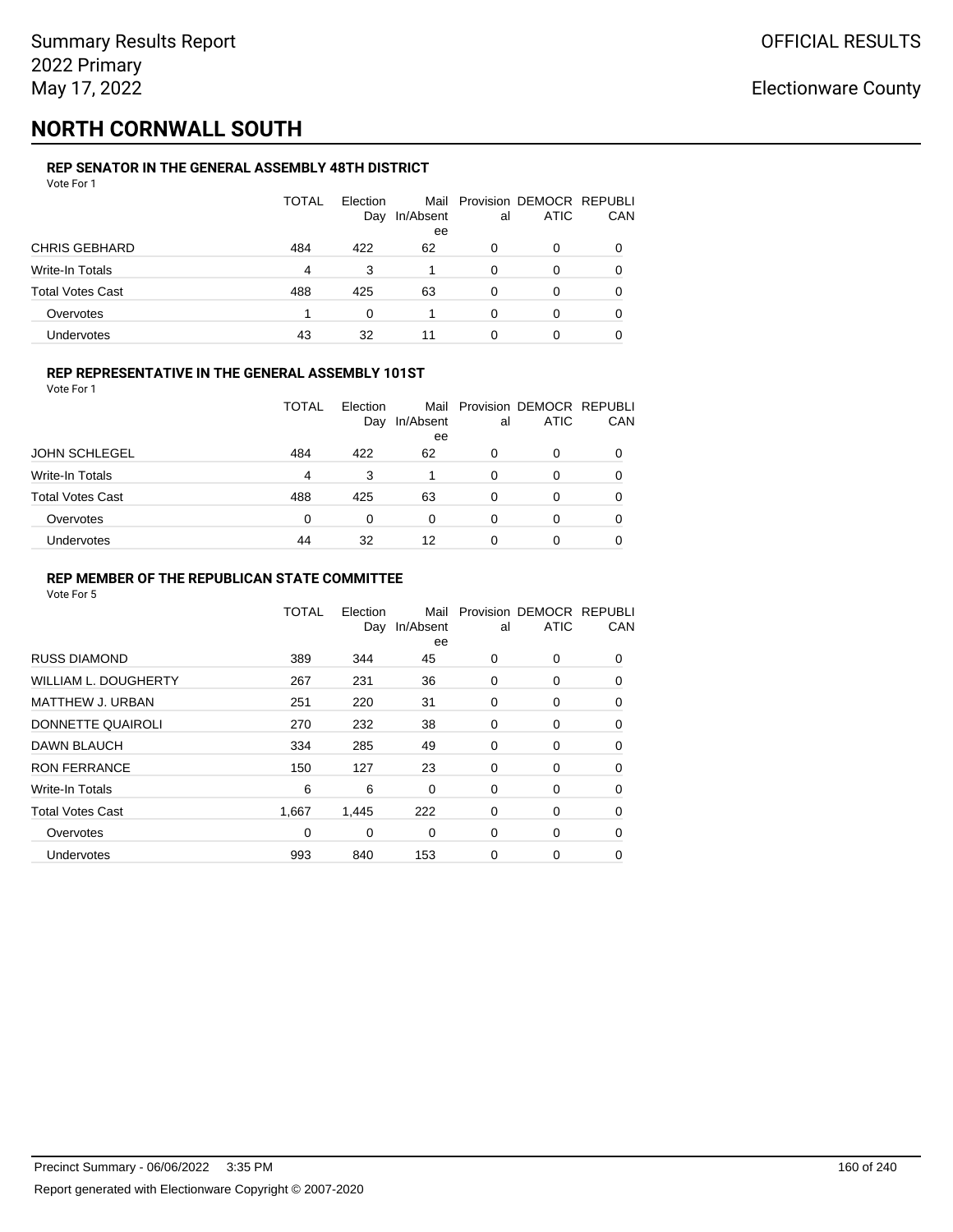## **NORTH CORNWALL SOUTH**

### **REP SENATOR IN THE GENERAL ASSEMBLY 48TH DISTRICT**

| Vote For 1              |       |                 |                         |          |                                         |          |
|-------------------------|-------|-----------------|-------------------------|----------|-----------------------------------------|----------|
|                         | TOTAL | Election<br>Day | Mail<br>In/Absent<br>ee | al       | Provision DEMOCR REPUBLI<br><b>ATIC</b> | CAN      |
| <b>CHRIS GEBHARD</b>    | 484   | 422             | 62                      | 0        | 0                                       | $\Omega$ |
| Write-In Totals         | 4     | 3               |                         | 0        | 0                                       | 0        |
| <b>Total Votes Cast</b> | 488   | 425             | 63                      | $\Omega$ | 0                                       | 0        |
| Overvotes               |       | 0               |                         | 0        | 0                                       | 0        |
| Undervotes              | 43    | 32              | 11                      | 0        | 0                                       |          |

#### **REP REPRESENTATIVE IN THE GENERAL ASSEMBLY 101ST**

Vote For 1

|                         | TOTAL | Election | Mail            |    | Provision DEMOCR REPUBLI |     |
|-------------------------|-------|----------|-----------------|----|--------------------------|-----|
|                         |       | Day      | In/Absent<br>ee | al | <b>ATIC</b>              | CAN |
| <b>JOHN SCHLEGEL</b>    | 484   | 422      | 62              | 0  | 0                        | 0   |
| <b>Write-In Totals</b>  | 4     | 3        |                 | 0  |                          | 0   |
| <b>Total Votes Cast</b> | 488   | 425      | 63              | 0  |                          | 0   |
| Overvotes               | 0     | 0        | 0               | 0  |                          | 0   |
| <b>Undervotes</b>       | 44    | 32       | 12              | ი  |                          | 0   |

#### **REP MEMBER OF THE REPUBLICAN STATE COMMITTEE**

|                             | TOTAL | Election<br>Day | Mail<br>In/Absent<br>ee | al          | Provision DEMOCR REPUBLI<br><b>ATIC</b> | CAN      |
|-----------------------------|-------|-----------------|-------------------------|-------------|-----------------------------------------|----------|
| <b>RUSS DIAMOND</b>         | 389   | 344             | 45                      | 0           | $\Omega$                                | $\Omega$ |
| <b>WILLIAM L. DOUGHERTY</b> | 267   | 231             | 36                      | 0           | 0                                       | 0        |
| MATTHEW J. URBAN            | 251   | 220             | 31                      | 0           | 0                                       | $\Omega$ |
| DONNETTE QUAIROLI           | 270   | 232             | 38                      | $\mathbf 0$ | 0                                       | $\Omega$ |
| <b>DAWN BLAUCH</b>          | 334   | 285             | 49                      | 0           | 0                                       | $\Omega$ |
| <b>RON FERRANCE</b>         | 150   | 127             | 23                      | 0           | 0                                       | 0        |
| Write-In Totals             | 6     | 6               | 0                       | 0           | 0                                       | 0        |
| <b>Total Votes Cast</b>     | 1,667 | 1,445           | 222                     | 0           | 0                                       | 0        |
| Overvotes                   | 0     | 0               | $\Omega$                | 0           | 0                                       | 0        |
| Undervotes                  | 993   | 840             | 153                     | 0           | 0                                       | 0        |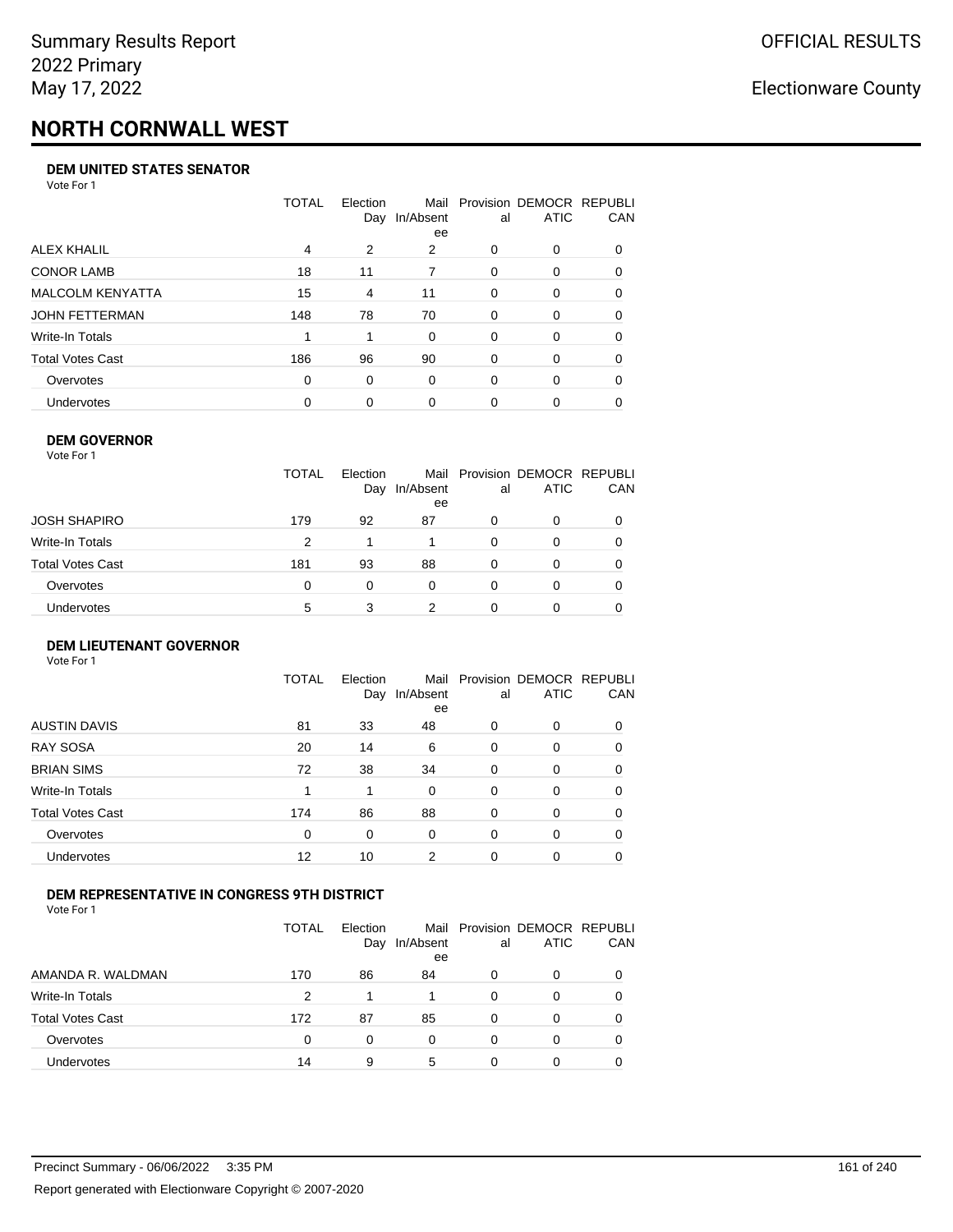# **NORTH CORNWALL WEST**

#### **DEM UNITED STATES SENATOR**

Vote For 1

|                         | TOTAL | Election<br>Day | Mail<br>In/Absent<br>ee | al       | Provision DEMOCR REPUBLI<br>ATIC | CAN      |
|-------------------------|-------|-----------------|-------------------------|----------|----------------------------------|----------|
| ALEX KHALIL             | 4     | 2               | 2                       | $\Omega$ | $\Omega$                         | $\Omega$ |
| <b>CONOR LAMB</b>       | 18    | 11              | 7                       | $\Omega$ | 0                                | 0        |
| <b>MALCOLM KENYATTA</b> | 15    | 4               | 11                      | $\Omega$ | 0                                | 0        |
| JOHN FETTERMAN          | 148   | 78              | 70                      | $\Omega$ | $\Omega$                         | $\Omega$ |
| Write-In Totals         |       |                 | 0                       | $\Omega$ | $\Omega$                         | $\Omega$ |
| Total Votes Cast        | 186   | 96              | 90                      | $\Omega$ | $\Omega$                         | 0        |
| Overvotes               | 0     | 0               | 0                       | $\Omega$ | $\Omega$                         | 0        |
| <b>Undervotes</b>       | 0     | 0               | $\Omega$                | 0        | 0                                |          |

#### **DEM GOVERNOR**

| <b>TOTAL</b><br>Mail Provision DEMOCR REPUBLI<br>Election<br>CAN<br><b>ATIC</b><br>In/Absent<br>Day<br>al<br>ee<br>JOSH SHAPIRO<br>179<br>92<br>87<br>0<br>0<br>Write-In Totals<br>2<br>$\Omega$<br>0<br>$\Omega$<br>Total Votes Cast<br>181<br>93<br>88<br>0<br>0<br>0<br>Overvotes<br>0<br>$\Omega$<br>0<br>0<br>0<br>0<br>Undervotes<br>າ<br>5<br>3<br>0 | Vote For 1 |  |  |  |
|-------------------------------------------------------------------------------------------------------------------------------------------------------------------------------------------------------------------------------------------------------------------------------------------------------------------------------------------------------------|------------|--|--|--|
|                                                                                                                                                                                                                                                                                                                                                             |            |  |  |  |
|                                                                                                                                                                                                                                                                                                                                                             |            |  |  |  |
|                                                                                                                                                                                                                                                                                                                                                             |            |  |  |  |
|                                                                                                                                                                                                                                                                                                                                                             |            |  |  |  |
|                                                                                                                                                                                                                                                                                                                                                             |            |  |  |  |
|                                                                                                                                                                                                                                                                                                                                                             |            |  |  |  |

#### **DEM LIEUTENANT GOVERNOR** Vote For 1

|                         | <b>TOTAL</b> | Election<br>Day | In/Absent<br>ee | al       | Mail Provision DEMOCR REPUBLI<br><b>ATIC</b> | CAN      |
|-------------------------|--------------|-----------------|-----------------|----------|----------------------------------------------|----------|
| <b>AUSTIN DAVIS</b>     | 81           | 33              | 48              | $\Omega$ | 0                                            | 0        |
| <b>RAY SOSA</b>         | 20           | 14              | 6               | 0        | 0                                            | 0        |
| <b>BRIAN SIMS</b>       | 72           | 38              | 34              | 0        | 0                                            | $\Omega$ |
| Write-In Totals         | 1            | 1               | $\Omega$        | $\Omega$ | 0                                            | $\Omega$ |
| <b>Total Votes Cast</b> | 174          | 86              | 88              | 0        | 0                                            | $\Omega$ |
| Overvotes               | 0            | 0               | 0               | $\Omega$ | 0                                            | $\Omega$ |
| Undervotes              | 12           | 10              | 2               | $\Omega$ | 0                                            | 0        |

#### **DEM REPRESENTATIVE IN CONGRESS 9TH DISTRICT**

Vote For 1

|                         | TOTAL | <b>Flection</b><br>Day | Mail<br>In/Absent<br>ee | al | Provision DEMOCR REPUBLI<br><b>ATIC</b> | CAN |
|-------------------------|-------|------------------------|-------------------------|----|-----------------------------------------|-----|
| AMANDA R. WALDMAN       | 170   | 86                     | 84                      | 0  | 0                                       | 0   |
| Write-In Totals         | 2     |                        |                         | 0  |                                         | 0   |
| <b>Total Votes Cast</b> | 172   | 87                     | 85                      | O  |                                         | 0   |
| Overvotes               | 0     | 0                      | 0                       | 0  | $\Omega$                                | 0   |
| Undervotes              | 14    | 9                      | 5                       | 0  |                                         |     |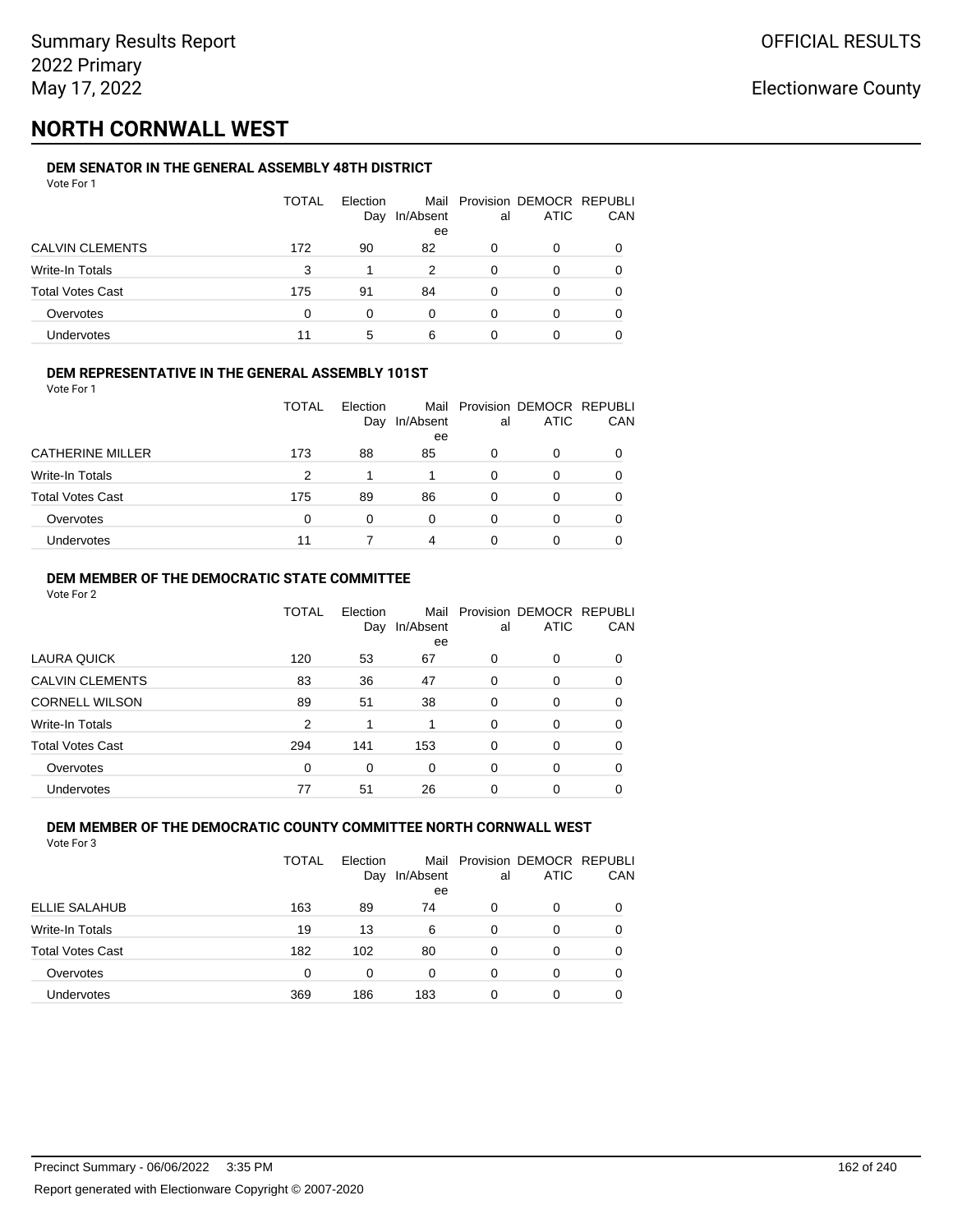## **NORTH CORNWALL WEST**

### **DEM SENATOR IN THE GENERAL ASSEMBLY 48TH DISTRICT**

| Vote For 1             |              |          |           |    |                             |    |
|------------------------|--------------|----------|-----------|----|-----------------------------|----|
|                        | <b>TOTAL</b> | Election |           |    | Mail Provision DEMOCR REPUB |    |
|                        |              | Day      | In/Absent | al | ATIC                        | СA |
|                        |              |          | ee        |    |                             |    |
| <b>CALVIN CLEMENTS</b> | 172          | 90       | 82        |    |                             |    |
| Write-In Totals        | ર            |          |           |    |                             |    |

| Total Votes Cast | 175 | 91 | 84 |  |   |
|------------------|-----|----|----|--|---|
| Overvotes        |     |    |    |  |   |
| Undervotes       |     |    |    |  | ╰ |

Provision DEMOCR REPUBLI

CAN

#### **DEM REPRESENTATIVE IN THE GENERAL ASSEMBLY 101ST**

Vote For 1

|                         | <b>TOTAL</b> | Election<br>Day | In/Absent<br>ee | al | Mail Provision DEMOCR REPUBLI<br><b>ATIC</b> | CAN          |
|-------------------------|--------------|-----------------|-----------------|----|----------------------------------------------|--------------|
| <b>CATHERINE MILLER</b> | 173          | 88              | 85              | 0  | O                                            |              |
| Write-In Totals         | 2            |                 |                 | 0  | O                                            |              |
| <b>Total Votes Cast</b> | 175          | 89              | 86              | 0  | 0                                            | <sup>0</sup> |
| Overvotes               | $\Omega$     | 0               | 0               | 0  | O                                            |              |
| Undervotes              | 11           |                 | 4               | 0  | 0                                            |              |

#### **DEM MEMBER OF THE DEMOCRATIC STATE COMMITTEE**

Vote For 2

|                         | TOTAL    | Flection<br>Day | Mail<br>In/Absent<br>ee | al       | Provision DEMOCR REPUBLI<br><b>ATIC</b> | CAN      |
|-------------------------|----------|-----------------|-------------------------|----------|-----------------------------------------|----------|
| LAURA QUICK             | 120      | 53              | 67                      | 0        | $\Omega$                                | 0        |
| <b>CALVIN CLEMENTS</b>  | 83       | 36              | 47                      | 0        | 0                                       | 0        |
| <b>CORNELL WILSON</b>   | 89       | 51              | 38                      | $\Omega$ | $\Omega$                                | $\Omega$ |
| Write-In Totals         | 2        | 1               |                         | $\Omega$ | $\Omega$                                | 0        |
| <b>Total Votes Cast</b> | 294      | 141             | 153                     | $\Omega$ | $\Omega$                                | 0        |
| Overvotes               | $\Omega$ | 0               | $\Omega$                | $\Omega$ | 0                                       | 0        |
| <b>Undervotes</b>       | 77       | 51              | 26                      | 0        | 0                                       |          |

#### **DEM MEMBER OF THE DEMOCRATIC COUNTY COMMITTEE NORTH CORNWALL WEST** Vote For 3

|                         | <b>TOTAL</b> | Election<br>Day | In/Absent<br>ee | al | Mail Provision DEMOCR REPUBLI<br><b>ATIC</b> | CAN      |
|-------------------------|--------------|-----------------|-----------------|----|----------------------------------------------|----------|
| ELLIE SALAHUB           | 163          | 89              | 74              | 0  | 0                                            |          |
| Write-In Totals         | 19           | 13              | 6               | 0  | 0                                            |          |
| <b>Total Votes Cast</b> | 182          | 102             | 80              | 0  | 0                                            | $\Omega$ |
| Overvotes               | $\Omega$     | 0               | 0               | 0  | 0                                            | 0        |
| <b>Undervotes</b>       | 369          | 186             | 183             | 0  | O                                            | $\Omega$ |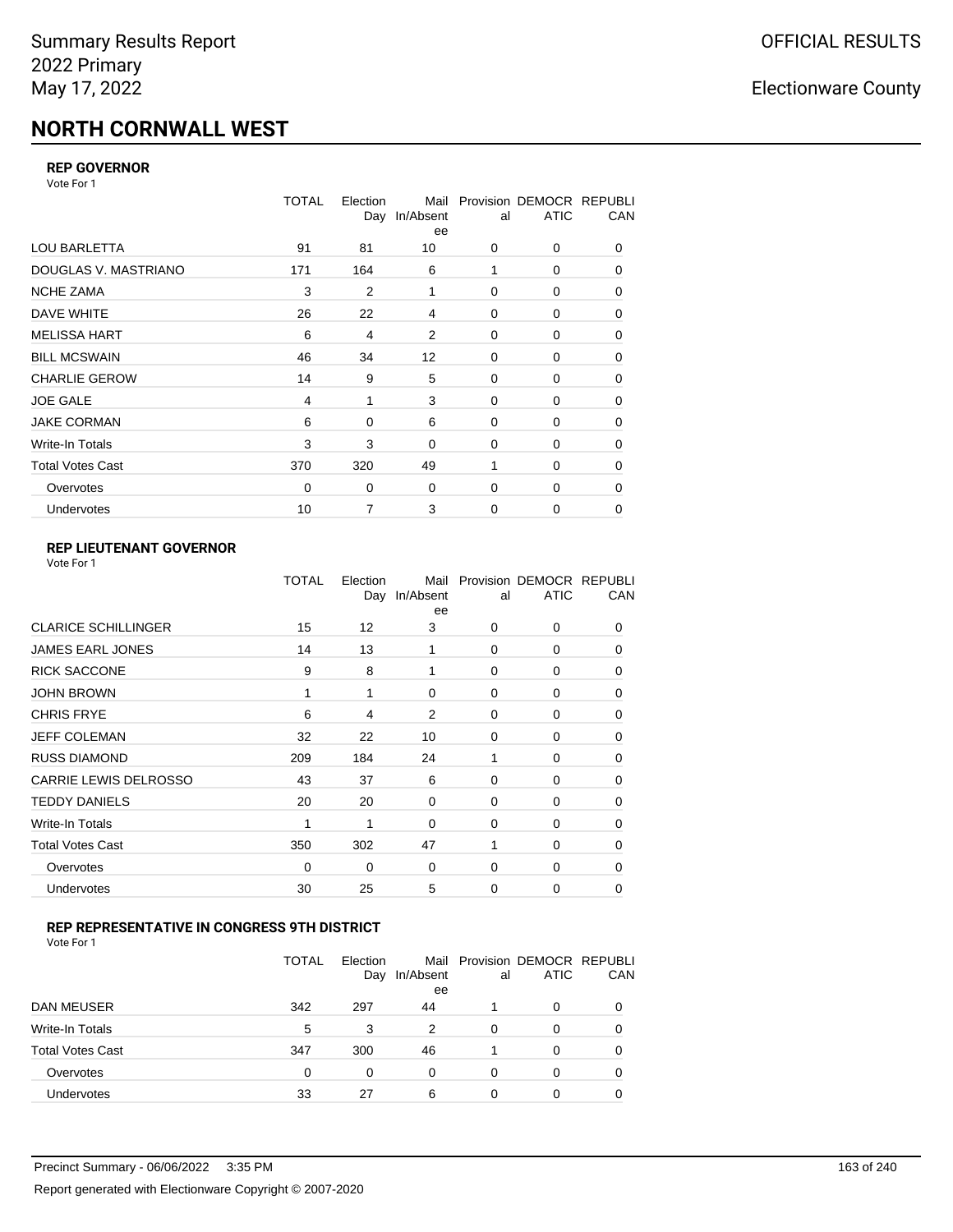# **NORTH CORNWALL WEST**

#### **REP GOVERNOR**

Vote For 1

|                         | <b>TOTAL</b>   | Election<br>Day | Mail<br>In/Absent<br>ee | al          | Provision DEMOCR REPUBLI<br><b>ATIC</b> | CAN |
|-------------------------|----------------|-----------------|-------------------------|-------------|-----------------------------------------|-----|
| <b>LOU BARLETTA</b>     | 91             | 81              | 10                      | 0           | 0                                       | 0   |
| DOUGLAS V. MASTRIANO    | 171            | 164             | 6                       |             | 0                                       | 0   |
| <b>NCHE ZAMA</b>        | 3              | $\overline{2}$  | 1                       | 0           | 0                                       | 0   |
| DAVE WHITE              | 26             | 22              | 4                       | $\mathbf 0$ | 0                                       | 0   |
| <b>MELISSA HART</b>     | 6              | 4               | 2                       | 0           | 0                                       | 0   |
| <b>BILL MCSWAIN</b>     | 46             | 34              | 12                      | $\mathbf 0$ | 0                                       | 0   |
| <b>CHARLIE GEROW</b>    | 14             | 9               | 5                       | 0           | 0                                       | 0   |
| <b>JOE GALE</b>         | $\overline{4}$ | 1               | 3                       | $\mathbf 0$ | 0                                       | 0   |
| <b>JAKE CORMAN</b>      | 6              | $\Omega$        | 6                       | $\mathbf 0$ | 0                                       | 0   |
| Write-In Totals         | 3              | 3               | 0                       | $\mathbf 0$ | 0                                       | 0   |
| <b>Total Votes Cast</b> | 370            | 320             | 49                      | 1           | $\Omega$                                | 0   |
| Overvotes               | 0              | 0               | 0                       | 0           | 0                                       | 0   |
| <b>Undervotes</b>       | 10             | 7               | 3                       | 0           | 0                                       | 0   |

### **REP LIEUTENANT GOVERNOR**

|                            | TOTAL | Election<br>Day | Mail<br>In/Absent<br>ee | al       | Provision DEMOCR REPUBLI<br><b>ATIC</b> | CAN      |
|----------------------------|-------|-----------------|-------------------------|----------|-----------------------------------------|----------|
| <b>CLARICE SCHILLINGER</b> | 15    | 12              | 3                       | $\Omega$ | 0                                       | 0        |
| <b>JAMES EARL JONES</b>    | 14    | 13              | 1                       | $\Omega$ | $\Omega$                                | 0        |
| <b>RICK SACCONE</b>        | 9     | 8               | 1                       | $\Omega$ | 0                                       | 0        |
| JOHN BROWN                 | 1     | 1               | $\Omega$                | $\Omega$ | $\Omega$                                | 0        |
| <b>CHRIS FRYE</b>          | 6     | 4               | 2                       | $\Omega$ | 0                                       | 0        |
| JEFF COLEMAN               | 32    | 22              | 10                      | 0        | $\Omega$                                | 0        |
| <b>RUSS DIAMOND</b>        | 209   | 184             | 24                      | 1        | 0                                       | 0        |
| CARRIE LEWIS DELROSSO      | 43    | 37              | 6                       | $\Omega$ | $\Omega$                                | 0        |
| <b>TEDDY DANIELS</b>       | 20    | 20              | 0                       | $\Omega$ | 0                                       | 0        |
| Write-In Totals            | 1     | 1               | $\Omega$                | $\Omega$ | $\Omega$                                | $\Omega$ |
| Total Votes Cast           | 350   | 302             | 47                      |          | $\Omega$                                | $\Omega$ |
| Overvotes                  | 0     | 0               | 0                       | 0        | 0                                       | $\Omega$ |
| <b>Undervotes</b>          | 30    | 25              | 5                       | $\Omega$ | $\Omega$                                | $\Omega$ |
|                            |       |                 |                         |          |                                         |          |

### **REP REPRESENTATIVE IN CONGRESS 9TH DISTRICT**

|                         | TOTAL | Election<br>Day | In/Absent<br>ee | al       | Mail Provision DEMOCR REPUBLI<br><b>ATIC</b> | CAN |
|-------------------------|-------|-----------------|-----------------|----------|----------------------------------------------|-----|
| <b>DAN MEUSER</b>       | 342   | 297             | 44              |          | 0                                            |     |
| Write-In Totals         | 5     | 3               | 2               | 0        | 0                                            | 0   |
| <b>Total Votes Cast</b> | 347   | 300             | 46              |          | 0                                            |     |
| Overvotes               | 0     | 0               | 0               | $\Omega$ | 0                                            | 0   |
| Undervotes              | 33    | 27              | 6               | 0        | 0                                            |     |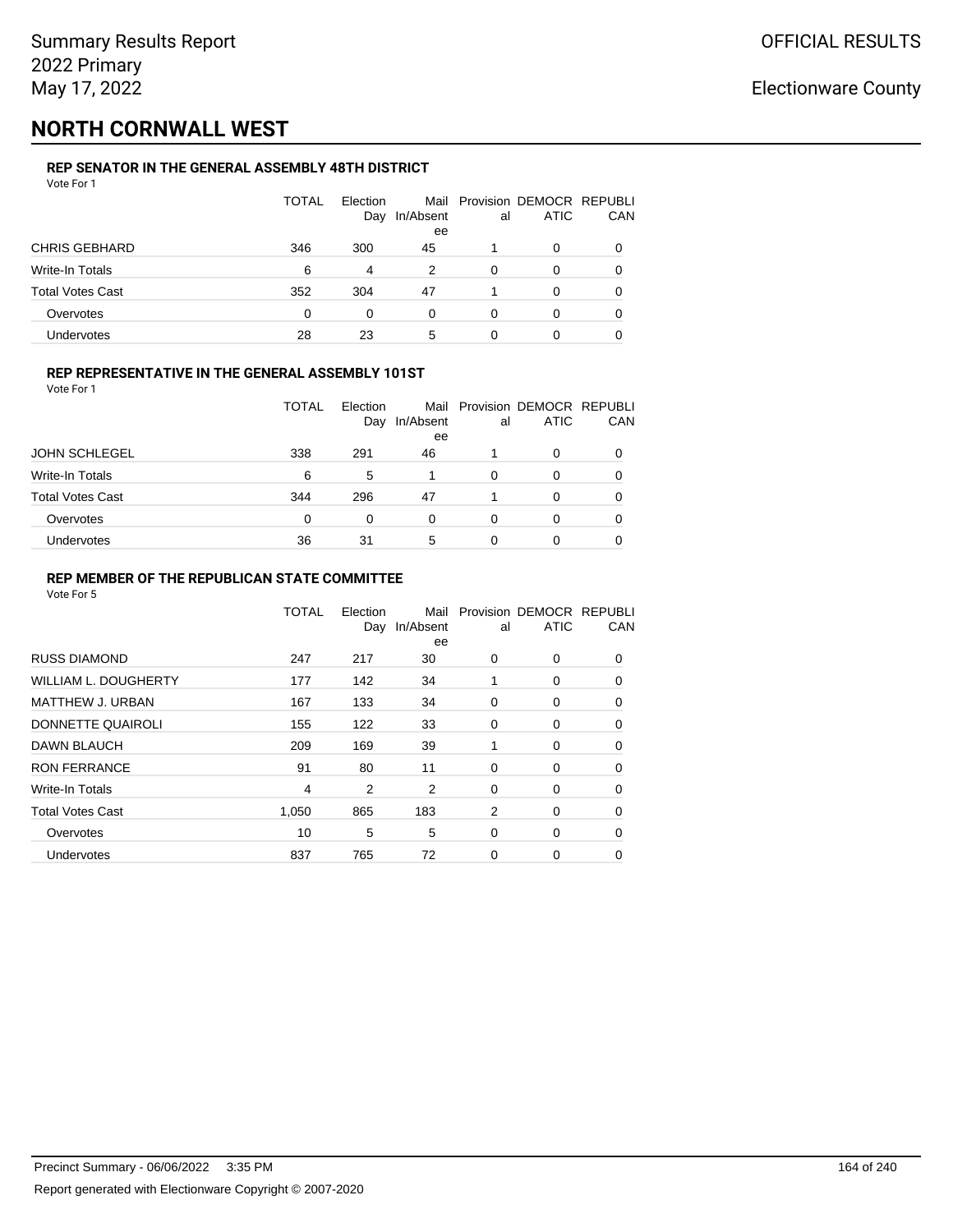## **NORTH CORNWALL WEST**

### **REP SENATOR IN THE GENERAL ASSEMBLY 48TH DISTRICT**

| Vote For 1              |       |                 |                 |    |                                              |     |
|-------------------------|-------|-----------------|-----------------|----|----------------------------------------------|-----|
|                         | TOTAL | Election<br>Day | In/Absent<br>ee | al | Mail Provision DEMOCR REPUBLI<br><b>ATIC</b> | CAN |
| <b>CHRIS GEBHARD</b>    | 346   | 300             | 45              |    | 0                                            | 0   |
| <b>Write-In Totals</b>  | 6     | 4               | 2               | 0  | 0                                            | 0   |
| <b>Total Votes Cast</b> | 352   | 304             | 47              |    | 0                                            | 0   |
| Overvotes               | 0     | 0               | 0               | 0  | 0                                            | 0   |
| Undervotes              | 28    | 23              | 5               | 0  | 0                                            |     |

### **REP REPRESENTATIVE IN THE GENERAL ASSEMBLY 101ST**

Vote For 1

|                         | TOTAL | Election<br>Day | In/Absent<br>ee | al | Mail Provision DEMOCR REPUBLI<br><b>ATIC</b> | CAN |
|-------------------------|-------|-----------------|-----------------|----|----------------------------------------------|-----|
| <b>JOHN SCHLEGEL</b>    | 338   | 291             | 46              |    | 0                                            |     |
| Write-In Totals         | 6     | 5               |                 | 0  | O                                            | 0   |
| <b>Total Votes Cast</b> | 344   | 296             | 47              |    | 0                                            |     |
| Overvotes               | 0     | 0               | 0               | 0  | O                                            | 0   |
| <b>Undervotes</b>       | 36    | 31              | 5               |    | 0                                            |     |

#### **REP MEMBER OF THE REPUBLICAN STATE COMMITTEE**

|                             | <b>TOTAL</b> | Election<br>Day | Mail<br>In/Absent<br>ee | al | Provision DEMOCR REPUBLI<br><b>ATIC</b> | CAN      |
|-----------------------------|--------------|-----------------|-------------------------|----|-----------------------------------------|----------|
| <b>RUSS DIAMOND</b>         | 247          | 217             | 30                      | 0  | 0                                       | 0        |
| <b>WILLIAM L. DOUGHERTY</b> | 177          | 142             | 34                      | 1  | 0                                       | 0        |
| MATTHEW J. URBAN            | 167          | 133             | 34                      | 0  | 0                                       | $\Omega$ |
| DONNETTE QUAIROLI           | 155          | 122             | 33                      | 0  | 0                                       | $\Omega$ |
| DAWN BLAUCH                 | 209          | 169             | 39                      | 1  | 0                                       | $\Omega$ |
| <b>RON FERRANCE</b>         | 91           | 80              | 11                      | 0  | 0                                       | 0        |
| Write-In Totals             | 4            | 2               | 2                       | 0  | 0                                       | 0        |
| <b>Total Votes Cast</b>     | 1,050        | 865             | 183                     | 2  | 0                                       | 0        |
| Overvotes                   | 10           | 5               | 5                       | 0  | 0                                       | $\Omega$ |
| Undervotes                  | 837          | 765             | 72                      | 0  | 0                                       | $\Omega$ |
|                             |              |                 |                         |    |                                         |          |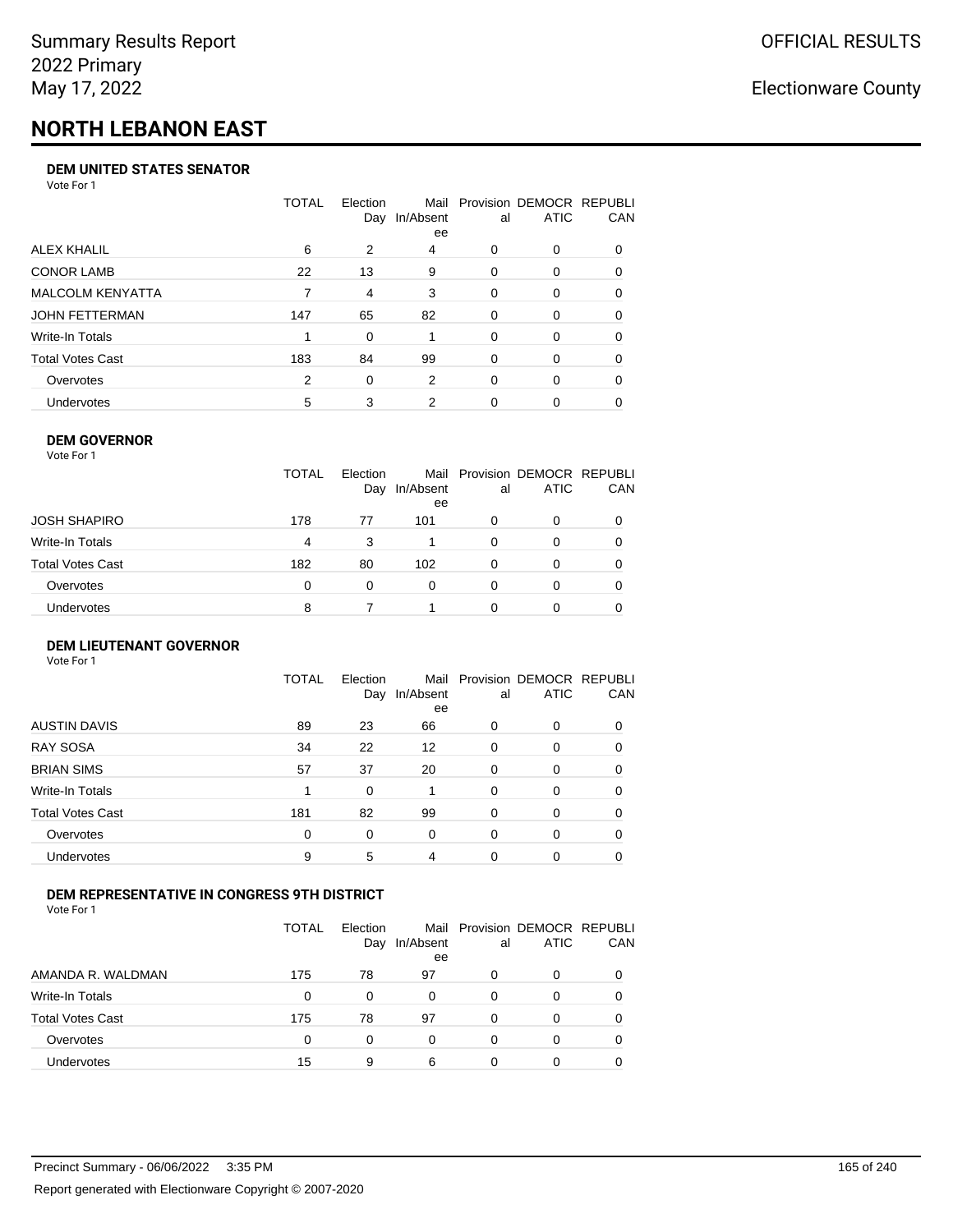# **NORTH LEBANON EAST**

#### **DEM UNITED STATES SENATOR**

Vote For 1

|                         | TOTAL | Election<br>Day | Mail<br>In/Absent<br>ee | al       | Provision DEMOCR REPUBLI<br><b>ATIC</b> | <b>CAN</b> |
|-------------------------|-------|-----------------|-------------------------|----------|-----------------------------------------|------------|
| ALEX KHALIL             | 6     | 2               | 4                       | 0        | $\Omega$                                | 0          |
| <b>CONOR LAMB</b>       | 22    | 13              | 9                       | 0        | $\Omega$                                | 0          |
| <b>MALCOLM KENYATTA</b> |       | 4               | 3                       | 0        | $\Omega$                                | 0          |
| JOHN FETTERMAN          | 147   | 65              | 82                      | $\Omega$ | $\Omega$                                | 0          |
| Write-In Totals         |       | $\Omega$        |                         | 0        | $\Omega$                                | 0          |
| Total Votes Cast        | 183   | 84              | 99                      | 0        | $\Omega$                                | 0          |
| Overvotes               | 2     | 0               | 2                       | 0        | $\Omega$                                | 0          |
| <b>Undervotes</b>       | 5     | 3               | 2                       | 0        |                                         | 0          |

#### **DEM GOVERNOR**

| Vote For 1              |              |                 |                 |          |                                              |     |
|-------------------------|--------------|-----------------|-----------------|----------|----------------------------------------------|-----|
|                         | <b>TOTAL</b> | Election<br>Day | In/Absent<br>ee | al       | Mail Provision DEMOCR REPUBLI<br><b>ATIC</b> | CAN |
| JOSH SHAPIRO            | 178          | 77              | 101             | 0        | 0                                            |     |
| Write-In Totals         | 4            | 3               |                 | 0        | 0                                            | 0   |
| <b>Total Votes Cast</b> | 182          | 80              | 102             | $\Omega$ | 0                                            | 0   |
| Overvotes               | 0            | $\Omega$        | 0               | 0        | 0                                            |     |
| Undervotes              | 8            |                 |                 | ŋ        | Ω                                            |     |

#### **DEM LIEUTENANT GOVERNOR** Vote For 1

|                         | TOTAL | Election<br>Day | In/Absent<br>ee   | al       | Mail Provision DEMOCR REPUBLI<br><b>ATIC</b> | CAN      |
|-------------------------|-------|-----------------|-------------------|----------|----------------------------------------------|----------|
| <b>AUSTIN DAVIS</b>     | 89    | 23              | 66                | 0        | 0                                            | 0        |
| <b>RAY SOSA</b>         | 34    | 22              | $12 \overline{ }$ | 0        | 0                                            | 0        |
| <b>BRIAN SIMS</b>       | 57    | 37              | 20                | 0        | $\Omega$                                     | $\Omega$ |
| Write-In Totals         | 1     | $\Omega$        |                   | $\Omega$ | $\Omega$                                     | $\Omega$ |
| <b>Total Votes Cast</b> | 181   | 82              | 99                | 0        | 0                                            | $\Omega$ |
| Overvotes               | 0     | 0               | $\Omega$          | $\Omega$ | 0                                            | $\Omega$ |
| <b>Undervotes</b>       | 9     | 5               | 4                 | 0        | 0                                            | 0        |
|                         |       |                 |                   |          |                                              |          |

#### **DEM REPRESENTATIVE IN CONGRESS 9TH DISTRICT**

Vote For 1

|                         | TOTAL | <b>Flection</b><br>Day | In/Absent<br>ee | al | Mail Provision DEMOCR REPUBLI<br><b>ATIC</b> | CAN |
|-------------------------|-------|------------------------|-----------------|----|----------------------------------------------|-----|
| AMANDA R. WALDMAN       | 175   | 78                     | 97              | O  | 0                                            | 0   |
| Write-In Totals         | 0     | <sup>0</sup>           | 0               | 0  | n                                            | 0   |
| <b>Total Votes Cast</b> | 175   | 78                     | 97              | 0  | 0                                            | 0   |
| Overvotes               | 0     | 0                      | $\Omega$        | O  | $\Omega$                                     | 0   |
| <b>Undervotes</b>       | 15    | 9                      | 6               |    |                                              |     |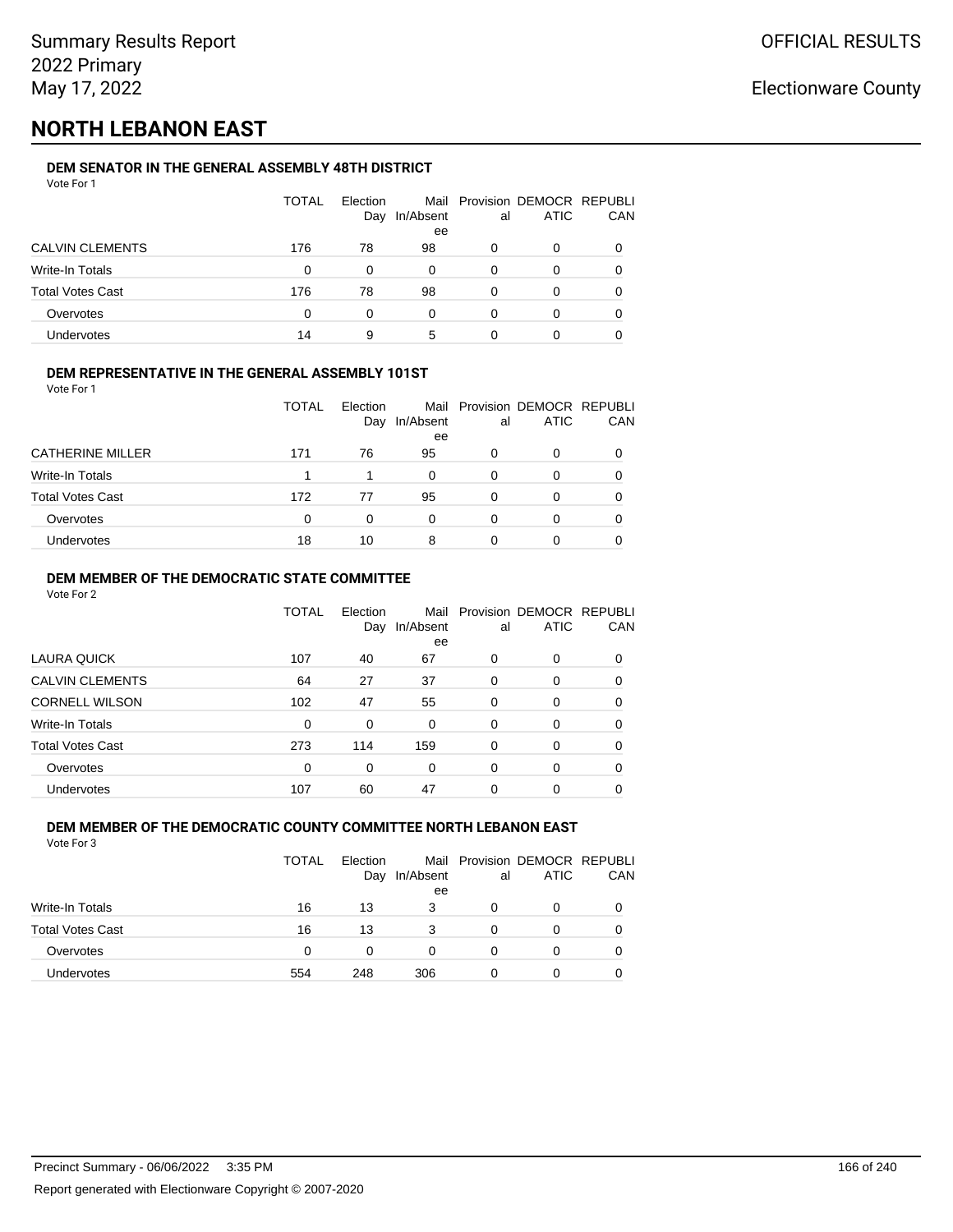## **NORTH LEBANON EAST**

#### **DEM SENATOR IN THE GENERAL ASSEMBLY 48TH DISTRICT** Vote For 1

| VULCIUII                |              |                 |           |    |                                              |              |
|-------------------------|--------------|-----------------|-----------|----|----------------------------------------------|--------------|
|                         | <b>TOTAL</b> | Election<br>Day | In/Absent | al | Mail Provision DEMOCR REPUBLI<br><b>ATIC</b> | CAN          |
|                         |              |                 | ee        |    |                                              |              |
| <b>CALVIN CLEMENTS</b>  | 176          | 78              | 98        | 0  | O                                            |              |
| Write-In Totals         | $\Omega$     | 0               | 0         | 0  | 0                                            |              |
| <b>Total Votes Cast</b> | 176          | 78              | 98        | 0  | 0                                            | <sup>0</sup> |
| Overvotes               | $\Omega$     | 0               | 0         | 0  | O                                            |              |
| <b>Undervotes</b>       | 14           | 9               | 5         | 0  | 0                                            |              |

#### **DEM REPRESENTATIVE IN THE GENERAL ASSEMBLY 101ST**

Vote For 1

|                         | TOTAL | Election |           |    | Mail Provision DEMOCR REPUBLI |            |
|-------------------------|-------|----------|-----------|----|-------------------------------|------------|
|                         |       | Day      | In/Absent | al | <b>ATIC</b>                   | <b>CAN</b> |
|                         |       |          | ee        |    |                               |            |
| <b>CATHERINE MILLER</b> | 171   | 76       | 95        | 0  | 0                             | 0          |
| Write-In Totals         |       |          | 0         | 0  |                               | 0          |
| <b>Total Votes Cast</b> | 172   | 77       | 95        | 0  | 0                             | 0          |
| Overvotes               | 0     | $\Omega$ | 0         | 0  |                               | 0          |
| Undervotes              | 18    | 10       | 8         | ი  |                               | 0          |

#### **DEM MEMBER OF THE DEMOCRATIC STATE COMMITTEE**

Vote For 2

|                         | TOTAL | Election<br>Day | Mail<br>In/Absent<br>ee | al       | Provision DEMOCR REPUBLI<br><b>ATIC</b> | CAN |
|-------------------------|-------|-----------------|-------------------------|----------|-----------------------------------------|-----|
| LAURA QUICK             | 107   | 40              | 67                      | 0        | $\Omega$                                | 0   |
| <b>CALVIN CLEMENTS</b>  | 64    | 27              | 37                      | 0        | 0                                       | 0   |
| <b>CORNELL WILSON</b>   | 102   | 47              | 55                      | $\Omega$ | $\Omega$                                | 0   |
| Write-In Totals         | 0     | 0               | $\Omega$                | $\Omega$ | $\Omega$                                | 0   |
| <b>Total Votes Cast</b> | 273   | 114             | 159                     | 0        | 0                                       | 0   |
| Overvotes               | 0     | 0               | $\Omega$                | 0        | $\Omega$                                | 0   |
| Undervotes              | 107   | 60              | 47                      | 0        | 0                                       |     |

#### **DEM MEMBER OF THE DEMOCRATIC COUNTY COMMITTEE NORTH LEBANON EAST** Vote For 3

|                         | TOTAL    | Election<br>Day | In/Absent<br>ee | al | Mail Provision DEMOCR REPUBLI<br>ATIC | CAN |
|-------------------------|----------|-----------------|-----------------|----|---------------------------------------|-----|
| <b>Write-In Totals</b>  | 16       | 13              | 3               | Ω  | 0                                     |     |
| <b>Total Votes Cast</b> | 16       | 13              | 3               | Ω  | 0                                     |     |
| Overvotes               | $\Omega$ | 0               | 0               | Ω  | 0                                     |     |
| <b>Undervotes</b>       | 554      | 248             | 306             | O  | 0                                     |     |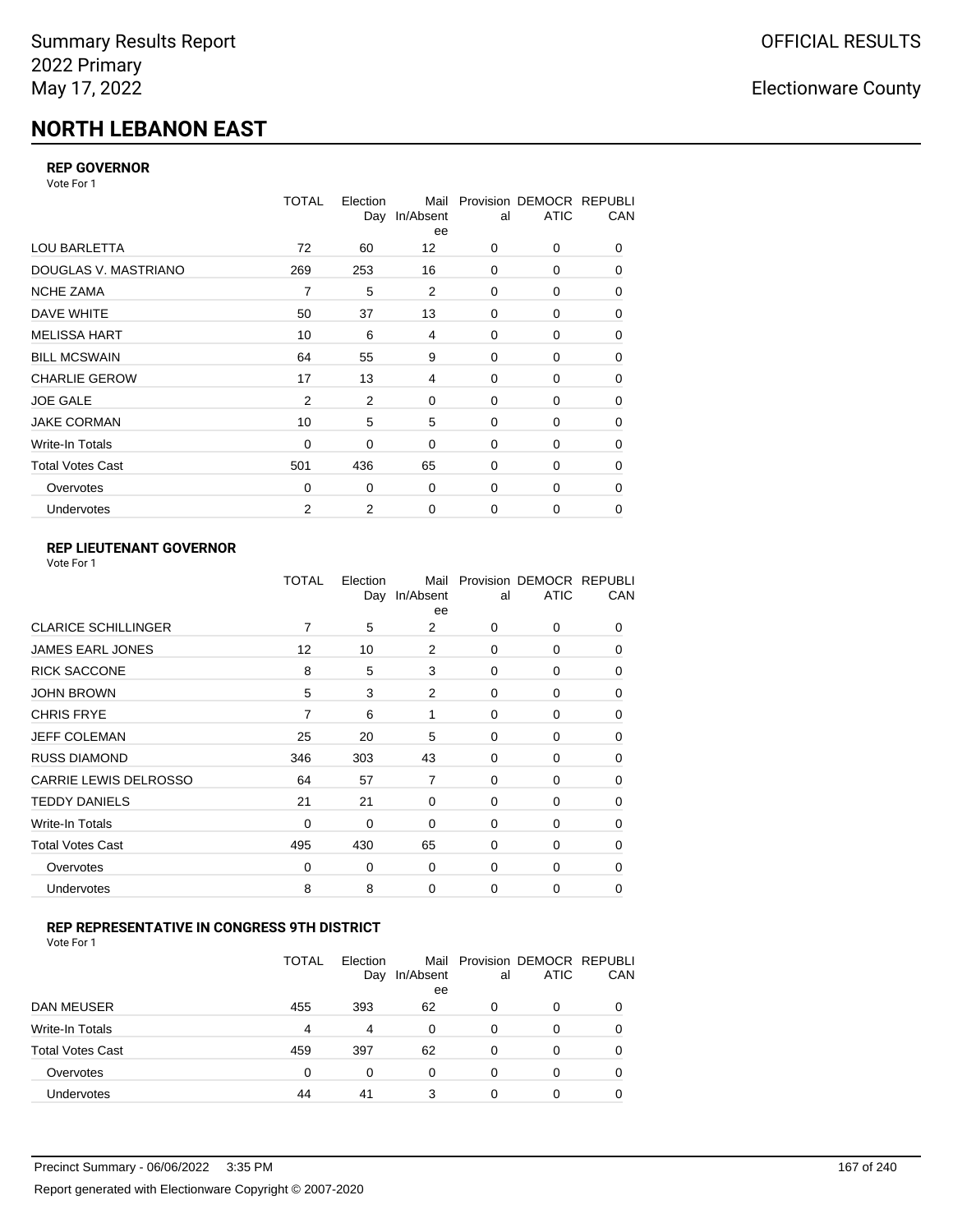# **NORTH LEBANON EAST**

### **REP GOVERNOR**

Vote For 1

|                         | TOTAL          | Election<br>Day | Mail<br>In/Absent<br>ee | al          | Provision DEMOCR REPUBLI<br><b>ATIC</b> | CAN         |
|-------------------------|----------------|-----------------|-------------------------|-------------|-----------------------------------------|-------------|
| <b>LOU BARLETTA</b>     | 72             | 60              | 12                      | 0           | 0                                       | 0           |
| DOUGLAS V. MASTRIANO    | 269            | 253             | 16                      | $\mathbf 0$ | 0                                       | 0           |
| <b>NCHE ZAMA</b>        | 7              | 5               | 2                       | 0           | 0                                       | 0           |
| DAVE WHITE              | 50             | 37              | 13                      | $\mathbf 0$ | 0                                       | 0           |
| <b>MELISSA HART</b>     | 10             | 6               | 4                       | 0           | 0                                       | 0           |
| <b>BILL MCSWAIN</b>     | 64             | 55              | 9                       | $\mathbf 0$ | 0                                       | 0           |
| <b>CHARLIE GEROW</b>    | 17             | 13              | 4                       | $\mathbf 0$ | 0                                       | 0           |
| <b>JOE GALE</b>         | $\overline{2}$ | 2               | $\mathbf 0$             | $\mathbf 0$ | $\Omega$                                | 0           |
| <b>JAKE CORMAN</b>      | 10             | 5               | 5                       | 0           | 0                                       | $\mathbf 0$ |
| Write-In Totals         | $\mathbf 0$    | 0               | $\mathbf 0$             | $\mathbf 0$ | 0                                       | 0           |
| <b>Total Votes Cast</b> | 501            | 436             | 65                      | $\mathbf 0$ | $\Omega$                                | 0           |
| Overvotes               | 0              | 0               | $\mathbf 0$             | $\mathbf 0$ | 0                                       | 0           |
| Undervotes              | $\overline{2}$ | 2               | $\mathbf 0$             | $\mathbf 0$ | 0                                       | 0           |

### **REP LIEUTENANT GOVERNOR**

| Vote For 1 |  |
|------------|--|
|------------|--|

|                            | TOTAL | Election | Mail<br>Day In/Absent<br>ee | al       | Provision DEMOCR REPUBLI<br><b>ATIC</b> | CAN      |
|----------------------------|-------|----------|-----------------------------|----------|-----------------------------------------|----------|
| <b>CLARICE SCHILLINGER</b> | 7     | 5        | 2                           | $\Omega$ | 0                                       | 0        |
| <b>JAMES EARL JONES</b>    | 12    | 10       | 2                           | 0        | 0                                       | 0        |
| <b>RICK SACCONE</b>        | 8     | 5        | 3                           | $\Omega$ | 0                                       | 0        |
| <b>JOHN BROWN</b>          | 5     | 3        | 2                           | $\Omega$ | 0                                       | 0        |
| <b>CHRIS FRYE</b>          | 7     | 6        | 1                           | 0        | 0                                       | 0        |
| JEFF COLEMAN               | 25    | 20       | 5                           | 0        | 0                                       | 0        |
| <b>RUSS DIAMOND</b>        | 346   | 303      | 43                          | 0        | 0                                       | 0        |
| CARRIE LEWIS DELROSSO      | 64    | 57       | $\overline{7}$              | 0        | 0                                       | 0        |
| <b>TEDDY DANIELS</b>       | 21    | 21       | 0                           | 0        | 0                                       | 0        |
| Write-In Totals            | 0     | 0        | 0                           | 0        | 0                                       | $\Omega$ |
| <b>Total Votes Cast</b>    | 495   | 430      | 65                          | $\Omega$ | 0                                       | $\Omega$ |
| Overvotes                  | 0     | 0        | 0                           | 0        | 0                                       | $\Omega$ |
| Undervotes                 | 8     | 8        | 0                           | 0        | 0                                       | 0        |
|                            |       |          |                             |          |                                         |          |

### **REP REPRESENTATIVE IN CONGRESS 9TH DISTRICT**

| Vote For 1 |  |
|------------|--|
|------------|--|

|                         | TOTAL | Election<br>Day | In/Absent<br>ee | al       | Mail Provision DEMOCR REPUBLI<br><b>ATIC</b> | CAN      |
|-------------------------|-------|-----------------|-----------------|----------|----------------------------------------------|----------|
| <b>DAN MEUSER</b>       | 455   | 393             | 62              | 0        | 0                                            | $\Omega$ |
| Write-In Totals         | 4     | 4               | 0               | 0        | 0                                            |          |
| <b>Total Votes Cast</b> | 459   | 397             | 62              | $\Omega$ | 0                                            |          |
| Overvotes               | 0     | 0               | 0               | 0        | 0                                            | 0        |
| <b>Undervotes</b>       | 44    | 41              | 3               | 0        | 0                                            |          |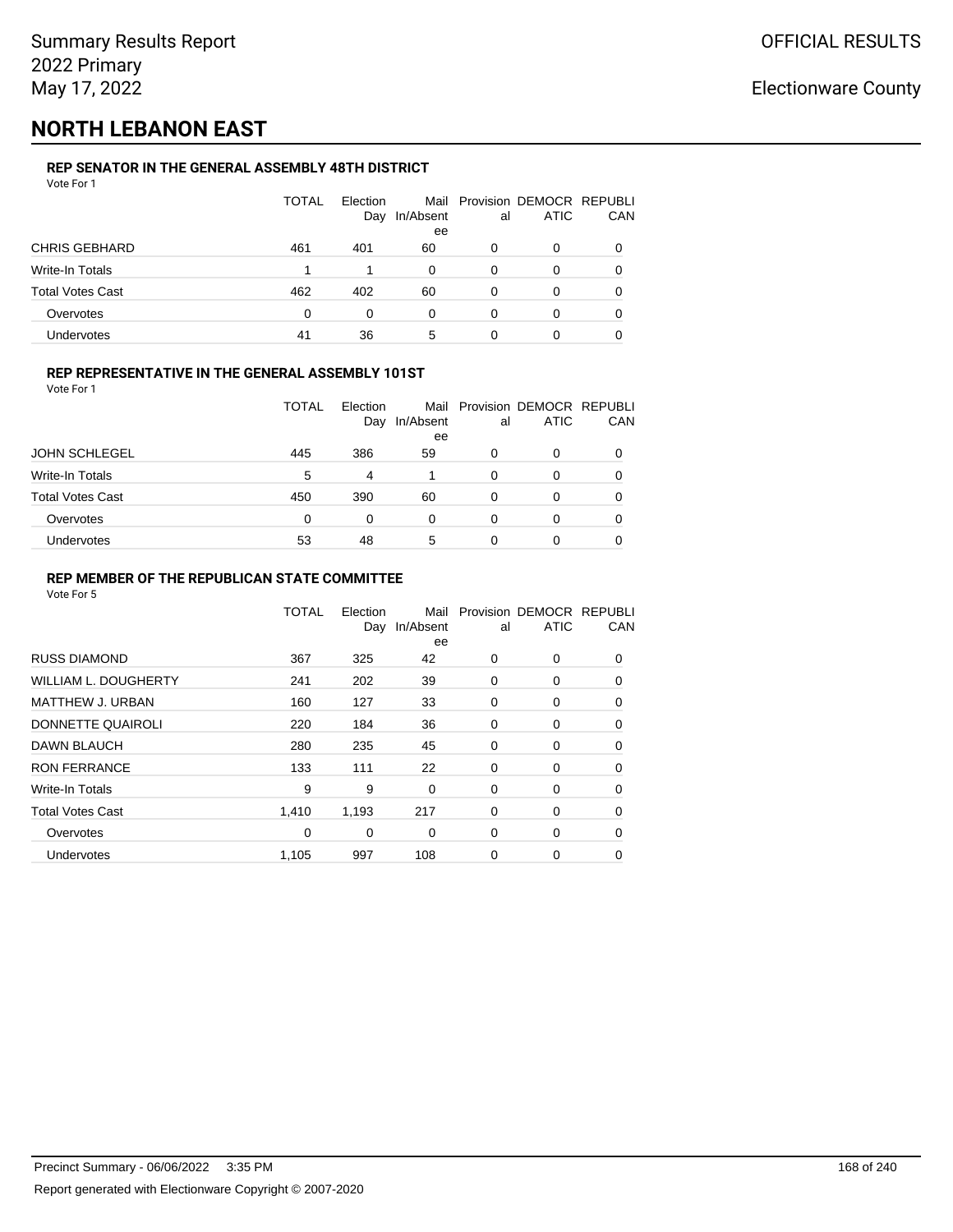## **NORTH LEBANON EAST**

#### **REP SENATOR IN THE GENERAL ASSEMBLY 48TH DISTRICT** Vote For 1

| 1 J J J J J J           |              |                 |                 |    |                                              |          |
|-------------------------|--------------|-----------------|-----------------|----|----------------------------------------------|----------|
|                         | <b>TOTAL</b> | Election<br>Day | In/Absent<br>ee | al | Mail Provision DEMOCR REPUBLI<br><b>ATIC</b> | CAN      |
| <b>CHRIS GEBHARD</b>    | 461          | 401             | 60              | 0  | O                                            |          |
| Write-In Totals         |              |                 | 0               | 0  | O                                            |          |
| <b>Total Votes Cast</b> | 462          | 402             | 60              | 0  | 0                                            | $\Omega$ |
| Overvotes               | $\Omega$     | 0               | 0               | 0  | 0                                            | 0        |
| <b>Undervotes</b>       | 41           | 36              | 5               | 0  | 0                                            |          |

#### **REP REPRESENTATIVE IN THE GENERAL ASSEMBLY 101ST**

Vote For 1

|                         | <b>TOTAL</b> | Election |           |    | Mail Provision DEMOCR REPUBLI |     |
|-------------------------|--------------|----------|-----------|----|-------------------------------|-----|
|                         |              | Day      | In/Absent | al | <b>ATIC</b>                   | CAN |
|                         |              |          | ee        |    |                               |     |
| <b>JOHN SCHLEGEL</b>    | 445          | 386      | 59        | 0  |                               | 0   |
| Write-In Totals         | 5            | 4        |           | 0  | 0                             | 0   |
| <b>Total Votes Cast</b> | 450          | 390      | 60        | 0  | 0                             | 0   |
| Overvotes               | 0            | 0        | 0         | 0  |                               | 0   |
| Undervotes              | 53           | 48       | 5         |    |                               | 0   |

#### **REP MEMBER OF THE REPUBLICAN STATE COMMITTEE**

|                             | <b>TOTAL</b> | Election<br>Day | Mail<br>In/Absent<br>ee | al | Provision DEMOCR REPUBLI<br><b>ATIC</b> | CAN      |
|-----------------------------|--------------|-----------------|-------------------------|----|-----------------------------------------|----------|
| <b>RUSS DIAMOND</b>         | 367          | 325             | 42                      | 0  | 0                                       | $\Omega$ |
| <b>WILLIAM L. DOUGHERTY</b> | 241          | 202             | 39                      | 0  | 0                                       | 0        |
| <b>MATTHEW J. URBAN</b>     | 160          | 127             | 33                      | 0  | 0                                       | $\Omega$ |
| DONNETTE QUAIROLI           | 220          | 184             | 36                      | 0  | 0                                       | $\Omega$ |
| DAWN BLAUCH                 | 280          | 235             | 45                      | 0  | 0                                       | $\Omega$ |
| <b>RON FERRANCE</b>         | 133          | 111             | 22                      | 0  | 0                                       | 0        |
| Write-In Totals             | 9            | 9               | 0                       | 0  | 0                                       | 0        |
| <b>Total Votes Cast</b>     | 1,410        | 1,193           | 217                     | 0  | 0                                       | 0        |
| Overvotes                   | $\Omega$     | 0               | $\Omega$                | 0  | 0                                       | 0        |
| <b>Undervotes</b>           | 1,105        | 997             | 108                     | 0  | 0                                       | 0        |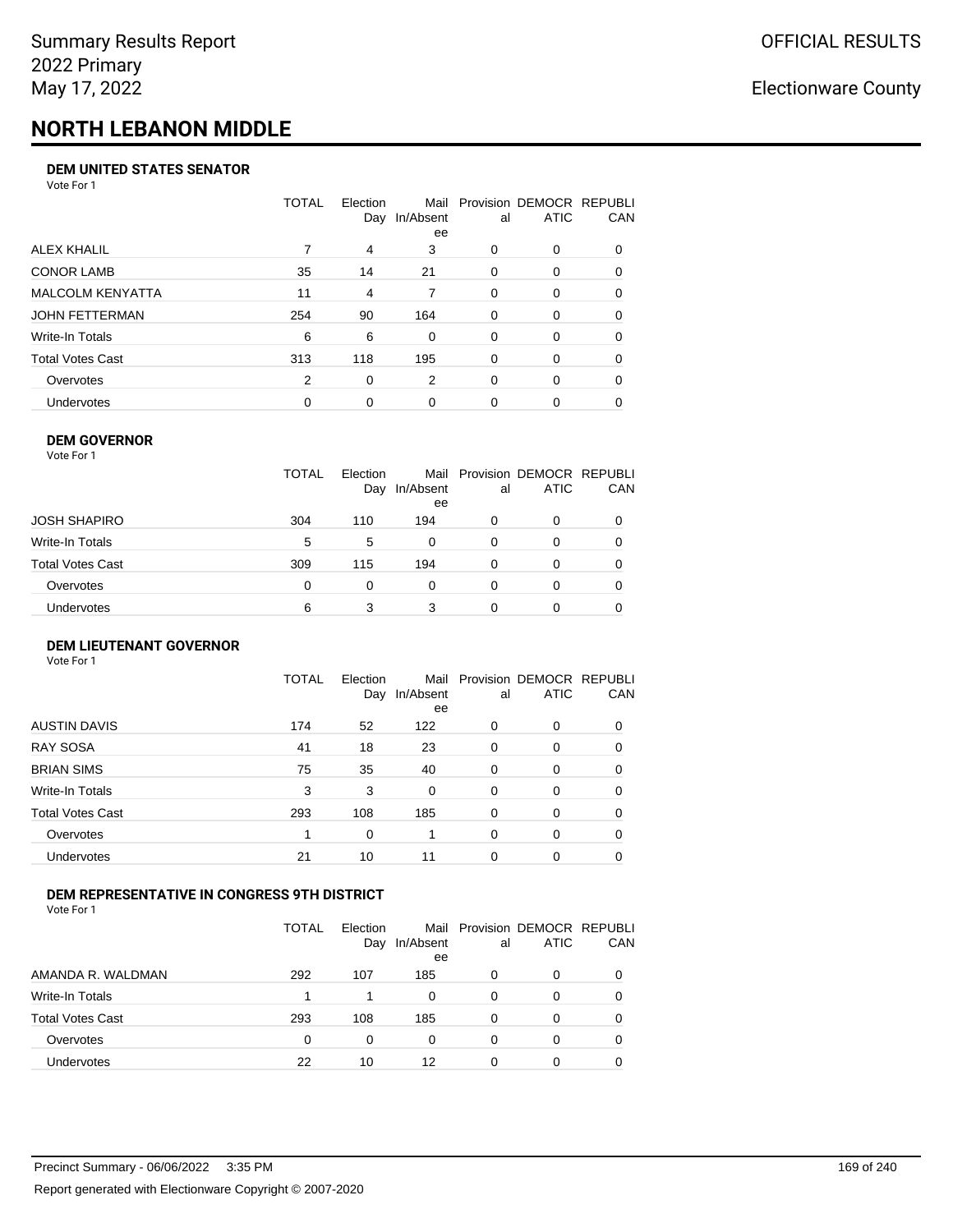# **NORTH LEBANON MIDDLE**

#### **DEM UNITED STATES SENATOR**

Vote For 1

|                         | TOTAL | Election<br>Day | Mail<br>In/Absent<br>ee | al       | Provision DEMOCR REPUBLI<br>ATIC | CAN      |
|-------------------------|-------|-----------------|-------------------------|----------|----------------------------------|----------|
| ALEX KHALIL             |       | 4               | 3                       | $\Omega$ | $\Omega$                         | $\Omega$ |
| <b>CONOR LAMB</b>       | 35    | 14              | 21                      | $\Omega$ | 0                                | 0        |
| <b>MALCOLM KENYATTA</b> | 11    | 4               | 7                       | $\Omega$ | 0                                | 0        |
| JOHN FETTERMAN          | 254   | 90              | 164                     | $\Omega$ | $\Omega$                         | $\Omega$ |
| Write-In Totals         | 6     | 6               | 0                       | $\Omega$ | $\Omega$                         | $\Omega$ |
| Total Votes Cast        | 313   | 118             | 195                     | $\Omega$ | $\Omega$                         | 0        |
| Overvotes               | 2     | 0               | 2                       | $\Omega$ | $\Omega$                         | 0        |
| Undervotes              | 0     | $\Omega$        | $\Omega$                | 0        | 0                                |          |

#### **DEM GOVERNOR** Vote For 1

|                  | <b>TOTAL</b> | Election<br>Day | In/Absent<br>ee | al | Mail Provision DEMOCR REPUBLI<br><b>ATIC</b> | CAN      |
|------------------|--------------|-----------------|-----------------|----|----------------------------------------------|----------|
| JOSH SHAPIRO     | 304          | 110             | 194             | 0  | 0                                            | $\Omega$ |
| Write-In Totals  | 5            | 5               | 0               | 0  | 0                                            |          |
| Total Votes Cast | 309          | 115             | 194             | 0  | 0                                            | 0        |
| Overvotes        | 0            | $\Omega$        | 0               | 0  | 0                                            |          |
| Undervotes       | 6            | 3               | 3               |    | O                                            |          |

#### **DEM LIEUTENANT GOVERNOR** Vote For 1

|                         | TOTAL | Election<br>Day | Mail<br>In/Absent<br>ee | al       | Provision DEMOCR REPUBLI<br><b>ATIC</b> | CAN      |
|-------------------------|-------|-----------------|-------------------------|----------|-----------------------------------------|----------|
| <b>AUSTIN DAVIS</b>     | 174   | 52              | 122                     | 0        | 0                                       | 0        |
| <b>RAY SOSA</b>         | 41    | 18              | 23                      | 0        | 0                                       | 0        |
| <b>BRIAN SIMS</b>       | 75    | 35              | 40                      | 0        | 0                                       | 0        |
| Write-In Totals         | 3     | 3               | $\Omega$                | $\Omega$ | $\Omega$                                | $\Omega$ |
| <b>Total Votes Cast</b> | 293   | 108             | 185                     | 0        | $\Omega$                                | $\Omega$ |
| Overvotes               | 1     | 0               |                         | $\Omega$ | $\Omega$                                | $\Omega$ |
| <b>Undervotes</b>       | 21    | 10              | 11                      | 0        | 0                                       | 0        |

#### **DEM REPRESENTATIVE IN CONGRESS 9TH DISTRICT**

Vote For 1

|                         | TOTAL | <b>Flection</b><br>Day | Mail<br>In/Absent<br>ee | al | Provision DEMOCR REPUBLI<br><b>ATIC</b> | CAN |
|-------------------------|-------|------------------------|-------------------------|----|-----------------------------------------|-----|
| AMANDA R. WALDMAN       | 292   | 107                    | 185                     | O  | 0                                       | 0   |
| Write-In Totals         | 1     |                        | 0                       | 0  | $\Omega$                                | 0   |
| <b>Total Votes Cast</b> | 293   | 108                    | 185                     | 0  | 0                                       | 0   |
| Overvotes               | 0     | 0                      | $\Omega$                | 0  | $\Omega$                                | 0   |
| <b>Undervotes</b>       | 22    | 10                     | 12                      |    |                                         |     |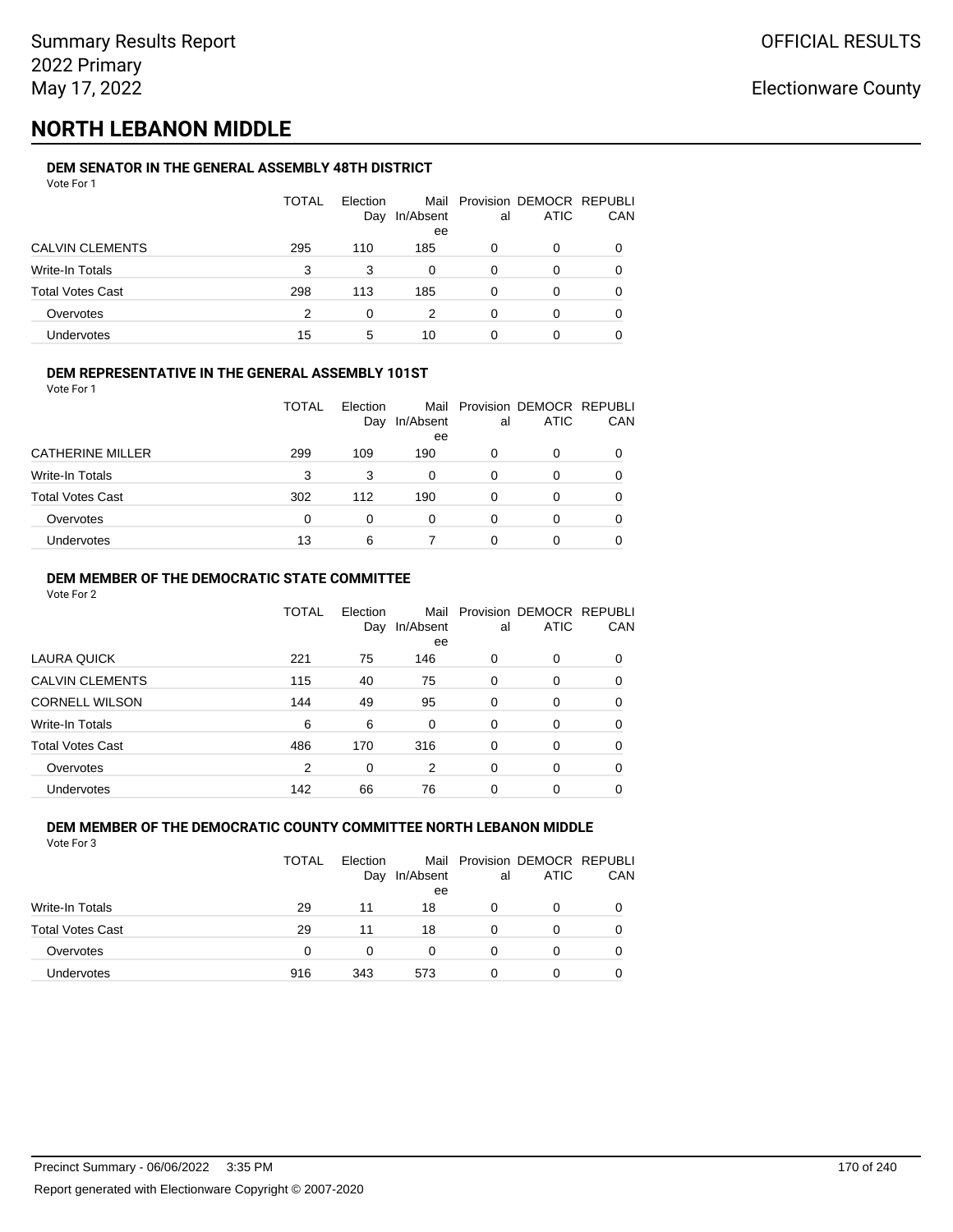## **NORTH LEBANON MIDDLE**

### **DEM SENATOR IN THE GENERAL ASSEMBLY 48TH DISTRICT**

| Vote For 1 |  |  |
|------------|--|--|
|            |  |  |

|                         | TOTAL | Election<br>Day | In/Absent<br>ee | al | Mail Provision DEMOCR REPUBLI<br><b>ATIC</b> | CAN |
|-------------------------|-------|-----------------|-----------------|----|----------------------------------------------|-----|
| <b>CALVIN CLEMENTS</b>  | 295   | 110             | 185             | 0  | 0                                            |     |
| Write-In Totals         | 3     | 3               | Ω               | 0  | O                                            |     |
| <b>Total Votes Cast</b> | 298   | 113             | 185             | 0  | 0                                            |     |
| Overvotes               | 2     | 0               |                 | 0  | 0                                            |     |
| Undervotes              | 15    | 5               | 10              |    | 0                                            |     |

#### **DEM REPRESENTATIVE IN THE GENERAL ASSEMBLY 101ST**

Vote For 1

|                         | <b>TOTAL</b> | Election |                 |    | Mail Provision DEMOCR REPUBLI |     |
|-------------------------|--------------|----------|-----------------|----|-------------------------------|-----|
|                         |              | Day      | In/Absent<br>ee | al | <b>ATIC</b>                   | CAN |
| <b>CATHERINE MILLER</b> | 299          | 109      | 190             | Ω  |                               | 0   |
| Write-In Totals         | 3            | 3        | 0               | O  | 0                             | 0   |
| <b>Total Votes Cast</b> | 302          | 112      | 190             | 0  | O                             | 0   |
| Overvotes               | 0            | 0        | 0               | 0  |                               | 0   |
| Undervotes              | 13           | 6        |                 |    |                               | 0   |

### **DEM MEMBER OF THE DEMOCRATIC STATE COMMITTEE**

Vote For 2

|                         | TOTAL | Flection<br>Day | Mail<br>In/Absent<br>ee | al       | Provision DEMOCR REPUBLI<br><b>ATIC</b> | CAN |
|-------------------------|-------|-----------------|-------------------------|----------|-----------------------------------------|-----|
| LAURA QUICK             | 221   | 75              | 146                     | 0        | $\Omega$                                | 0   |
| <b>CALVIN CLEMENTS</b>  | 115   | 40              | 75                      | $\Omega$ | 0                                       | 0   |
| <b>CORNELL WILSON</b>   | 144   | 49              | 95                      | $\Omega$ | $\Omega$                                | 0   |
| Write-In Totals         | 6     | 6               | 0                       | $\Omega$ | 0                                       | 0   |
| <b>Total Votes Cast</b> | 486   | 170             | 316                     | $\Omega$ | $\Omega$                                | 0   |
| Overvotes               | 2     | 0               | 2                       | $\Omega$ | $\Omega$                                | 0   |
| Undervotes              | 142   | 66              | 76                      | $\Omega$ | $\Omega$                                | 0   |

#### **DEM MEMBER OF THE DEMOCRATIC COUNTY COMMITTEE NORTH LEBANON MIDDLE** Vote For 3

|                         | TOTAL | Election<br>Day | In/Absent<br>ee | al | Mail Provision DEMOCR REPUBLI<br>ATIC | CAN |
|-------------------------|-------|-----------------|-----------------|----|---------------------------------------|-----|
| Write-In Totals         | 29    | 11              | 18              | 0  | 0                                     |     |
| <b>Total Votes Cast</b> | 29    | 11              | 18              | 0  | 0                                     |     |
| Overvotes               | 0     | 0               | 0               | 0  | 0                                     |     |
| <b>Undervotes</b>       | 916   | 343             | 573             | 0  | 0                                     |     |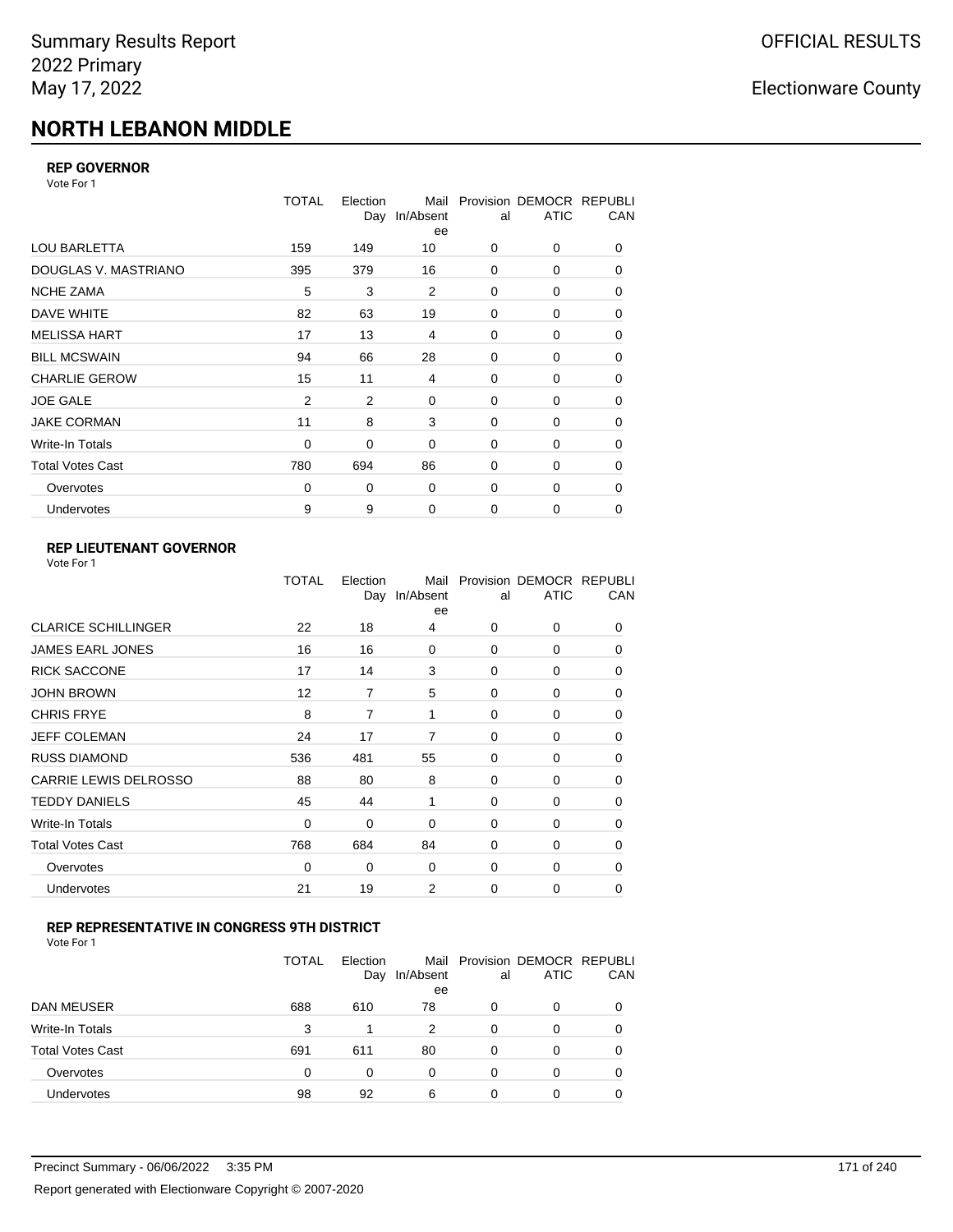# **NORTH LEBANON MIDDLE**

#### **REP GOVERNOR**

Vote For 1

|                         | <b>TOTAL</b>   | Election<br>Day | Mail<br>In/Absent<br>ee | al          | Provision DEMOCR REPUBLI<br><b>ATIC</b> | CAN |
|-------------------------|----------------|-----------------|-------------------------|-------------|-----------------------------------------|-----|
| <b>LOU BARLETTA</b>     | 159            | 149             | 10                      | 0           | 0                                       | 0   |
| DOUGLAS V. MASTRIANO    | 395            | 379             | 16                      | 0           | 0                                       | 0   |
| <b>NCHE ZAMA</b>        | 5              | 3               | 2                       | 0           | 0                                       | 0   |
| DAVE WHITE              | 82             | 63              | 19                      | $\mathbf 0$ | 0                                       | 0   |
| <b>MELISSA HART</b>     | 17             | 13              | 4                       | $\mathbf 0$ | 0                                       | 0   |
| <b>BILL MCSWAIN</b>     | 94             | 66              | 28                      | $\mathbf 0$ | 0                                       | 0   |
| <b>CHARLIE GEROW</b>    | 15             | 11              | 4                       | 0           | $\Omega$                                | 0   |
| <b>JOE GALE</b>         | $\overline{2}$ | $\overline{2}$  | $\mathbf 0$             | $\mathbf 0$ | 0                                       | 0   |
| <b>JAKE CORMAN</b>      | 11             | 8               | 3                       | 0           | 0                                       | 0   |
| Write-In Totals         | $\mathbf 0$    | 0               | $\mathbf 0$             | $\mathbf 0$ | 0                                       | 0   |
| <b>Total Votes Cast</b> | 780            | 694             | 86                      | $\mathbf 0$ | 0                                       | 0   |
| Overvotes               | 0              | 0               | $\mathbf 0$             | 0           | 0                                       | 0   |
| Undervotes              | 9              | 9               | $\mathbf 0$             | $\mathbf 0$ | 0                                       | 0   |

### **REP LIEUTENANT GOVERNOR**

|                            | TOTAL | Election<br>Day | Mail<br>In/Absent<br>ee | al       | Provision DEMOCR REPUBLI<br><b>ATIC</b> | CAN      |
|----------------------------|-------|-----------------|-------------------------|----------|-----------------------------------------|----------|
| <b>CLARICE SCHILLINGER</b> | 22    | 18              | 4                       | $\Omega$ | 0                                       | 0        |
| JAMES EARL JONES           | 16    | 16              | 0                       | $\Omega$ | $\Omega$                                | 0        |
| <b>RICK SACCONE</b>        | 17    | 14              | 3                       | $\Omega$ | 0                                       | 0        |
| JOHN BROWN                 | 12    | 7               | 5                       | $\Omega$ | $\Omega$                                | 0        |
| CHRIS FRYE                 | 8     | 7               | 1                       | $\Omega$ | 0                                       | 0        |
| JEFF COLEMAN               | 24    | 17              | 7                       | $\Omega$ | $\Omega$                                | 0        |
| <b>RUSS DIAMOND</b>        | 536   | 481             | 55                      | $\Omega$ | 0                                       | 0        |
| CARRIE LEWIS DELROSSO      | 88    | 80              | 8                       | $\Omega$ | $\Omega$                                | 0        |
| <b>TEDDY DANIELS</b>       | 45    | 44              | 1                       | $\Omega$ | 0                                       | 0        |
| Write-In Totals            | 0     | 0               | 0                       | $\Omega$ | $\Omega$                                | 0        |
| Total Votes Cast           | 768   | 684             | 84                      | $\Omega$ | 0                                       | 0        |
| Overvotes                  | 0     | 0               | 0                       | 0        | 0                                       | $\Omega$ |
| <b>Undervotes</b>          | 21    | 19              | 2                       | $\Omega$ | $\Omega$                                | 0        |
|                            |       |                 |                         |          |                                         |          |

### **REP REPRESENTATIVE IN CONGRESS 9TH DISTRICT**

|                         | <b>TOTAL</b> | Election<br>Day | In/Absent<br>ee | al       | Mail Provision DEMOCR REPUBLI<br><b>ATIC</b> | CAN      |
|-------------------------|--------------|-----------------|-----------------|----------|----------------------------------------------|----------|
| DAN MEUSER              | 688          | 610             | 78              | 0        | 0                                            | $\Omega$ |
| Write-In Totals         | 3            | 1               | 2               | $\Omega$ | 0                                            |          |
| <b>Total Votes Cast</b> | 691          | 611             | 80              | $\Omega$ | 0                                            |          |
| Overvotes               | 0            | 0               | 0               | 0        | 0                                            | 0        |
| Undervotes              | 98           | 92              | 6               | 0        | 0                                            |          |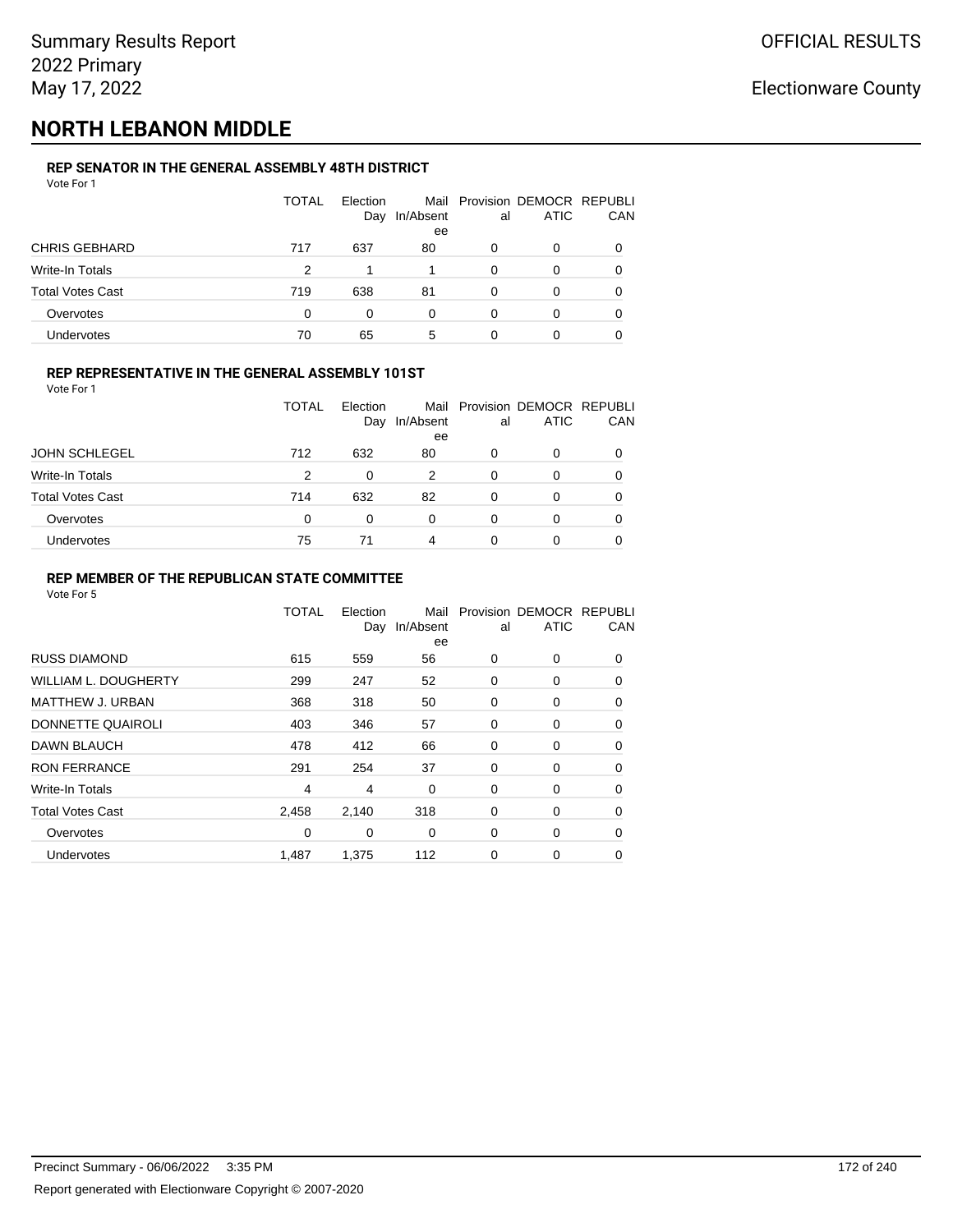# **NORTH LEBANON MIDDLE**

#### **REP SENATOR IN THE GENERAL ASSEMBLY 48TH DISTRICT** Vote For 1

| .                       |              |                 |                 |    |                                              |          |
|-------------------------|--------------|-----------------|-----------------|----|----------------------------------------------|----------|
|                         | <b>TOTAL</b> | Election<br>Day | In/Absent<br>ee | al | Mail Provision DEMOCR REPUBLI<br><b>ATIC</b> | CAN      |
| <b>CHRIS GEBHARD</b>    | 717          | 637             | 80              | 0  | 0                                            |          |
| Write-In Totals         | 2            |                 |                 | 0  | O                                            |          |
| <b>Total Votes Cast</b> | 719          | 638             | 81              | 0  | 0                                            |          |
| Overvotes               | 0            | 0               | 0               | 0  | 0                                            | $\Omega$ |
| <b>Undervotes</b>       | 70           | 65              | 5               | 0  | 0                                            |          |

#### **REP REPRESENTATIVE IN THE GENERAL ASSEMBLY 101ST**

| Vote For 1 |  |  |
|------------|--|--|
|            |  |  |

|                         | TOTAL | Election |                 |    | Mail Provision DEMOCR REPUBLI |     |
|-------------------------|-------|----------|-----------------|----|-------------------------------|-----|
|                         |       | Day      | In/Absent<br>ee | al | <b>ATIC</b>                   | CAN |
| <b>JOHN SCHLEGEL</b>    | 712   | 632      | 80              | 0  | 0                             | 0   |
| Write-In Totals         | 2     | $\Omega$ | 2               | 0  | O                             | 0   |
| <b>Total Votes Cast</b> | 714   | 632      | 82              | 0  | 0                             | 0   |
| Overvotes               | 0     | 0        | $\Omega$        | 0  |                               | 0   |
| Undervotes              | 75    | 71       | 4               | O  |                               | 0   |

#### **REP MEMBER OF THE REPUBLICAN STATE COMMITTEE**

|                         | TOTAL | Election<br>Day | Mail<br>In/Absent<br>ee | al          | Provision DEMOCR REPUBLI<br><b>ATIC</b> | CAN      |
|-------------------------|-------|-----------------|-------------------------|-------------|-----------------------------------------|----------|
| <b>RUSS DIAMOND</b>     | 615   | 559             | 56                      | 0           | 0                                       | 0        |
| WILLIAM L. DOUGHERTY    | 299   | 247             | 52                      | 0           | 0                                       | 0        |
| MATTHEW J. URBAN        | 368   | 318             | 50                      | 0           | 0                                       | 0        |
| DONNETTE QUAIROLI       | 403   | 346             | 57                      | 0           | 0                                       | $\Omega$ |
| <b>DAWN BLAUCH</b>      | 478   | 412             | 66                      | $\mathbf 0$ | 0                                       | $\Omega$ |
| <b>RON FERRANCE</b>     | 291   | 254             | 37                      | 0           | 0                                       | $\Omega$ |
| Write-In Totals         | 4     | 4               | 0                       | 0           | 0                                       | 0        |
| <b>Total Votes Cast</b> | 2,458 | 2,140           | 318                     | 0           | 0                                       | 0        |
| Overvotes               | 0     | 0               | 0                       | 0           | 0                                       | 0        |
| Undervotes              | 1,487 | 1,375           | 112                     | 0           | 0                                       | 0        |
|                         |       |                 |                         |             |                                         |          |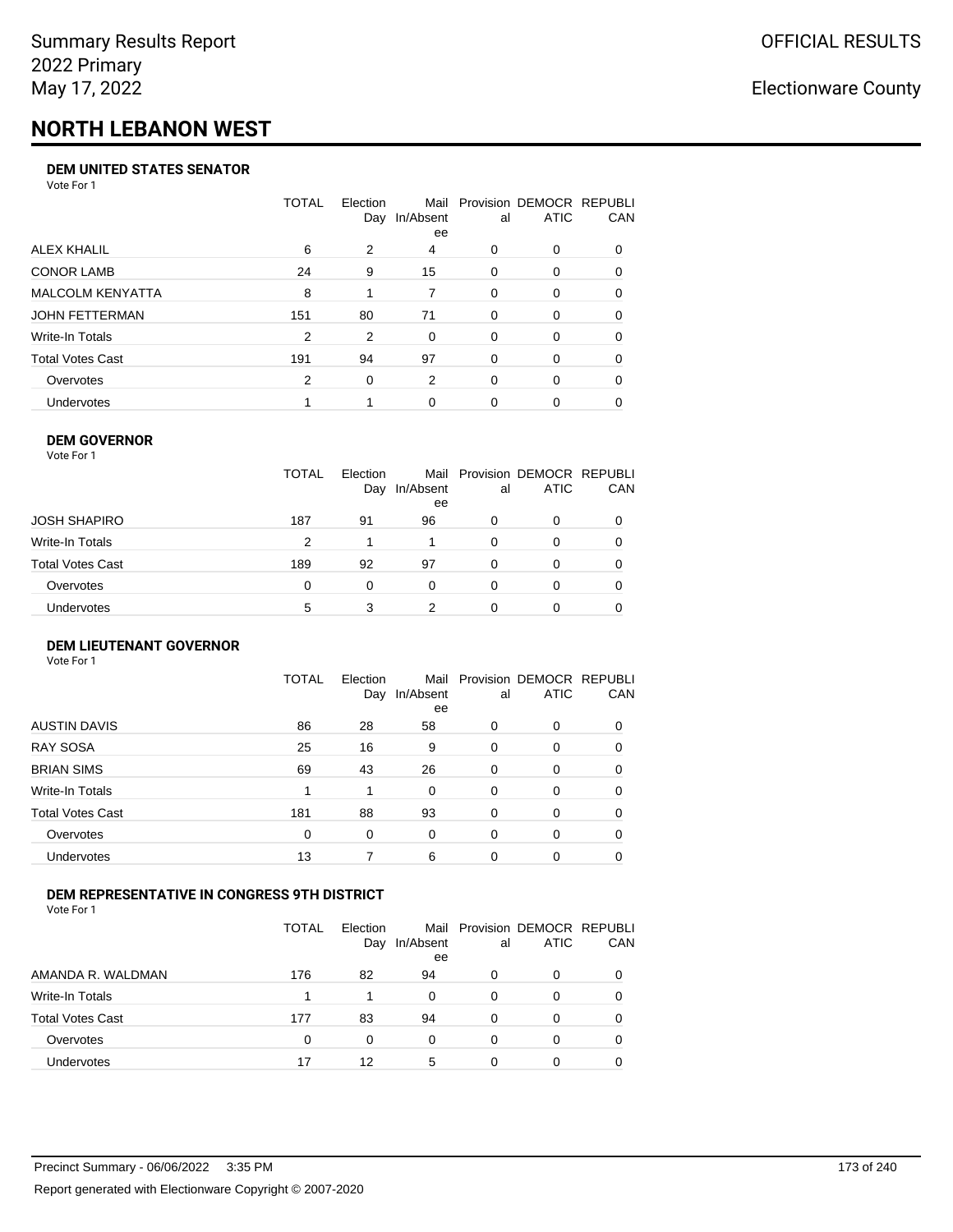# **NORTH LEBANON WEST**

#### **DEM UNITED STATES SENATOR**

Vote For 1

|                         | TOTAL | Election | Mail<br>Day In/Absent<br>ee | al       | Provision DEMOCR REPUBLI<br><b>ATIC</b> | <b>CAN</b> |
|-------------------------|-------|----------|-----------------------------|----------|-----------------------------------------|------------|
| ALEX KHALIL             | 6     | 2        | 4                           | 0        | $\Omega$                                | 0          |
| <b>CONOR LAMB</b>       | 24    | 9        | 15                          | 0        | $\Omega$                                | 0          |
| <b>MALCOLM KENYATTA</b> | 8     | 1        | 7                           | $\Omega$ | $\Omega$                                | 0          |
| <b>JOHN FETTERMAN</b>   | 151   | 80       | 71                          | $\Omega$ | $\Omega$                                | $\Omega$   |
| Write-In Totals         | 2     | 2        | $\Omega$                    | 0        | 0                                       | 0          |
| <b>Total Votes Cast</b> | 191   | 94       | 97                          | 0        | $\Omega$                                | 0          |
| Overvotes               | 2     | 0        | 2                           | 0        | $\Omega$                                | 0          |
| <b>Undervotes</b>       |       |          | 0                           | 0        | $\Omega$                                | 0          |

#### **DEM GOVERNOR**

| Vote For 1       |              |                 |                 |          |                                              |     |
|------------------|--------------|-----------------|-----------------|----------|----------------------------------------------|-----|
|                  | <b>TOTAL</b> | Election<br>Day | In/Absent<br>ee | al       | Mail Provision DEMOCR REPUBLI<br><b>ATIC</b> | CAN |
| JOSH SHAPIRO     | 187          | 91              | 96              | 0        | 0                                            |     |
| Write-In Totals  | 2            |                 |                 | $\Omega$ | 0                                            | 0   |
| Total Votes Cast | 189          | 92              | 97              | 0        | 0                                            | 0   |
| Overvotes        | 0            | 0               | 0               | $\Omega$ | 0                                            |     |
| Undervotes       | 5            | 3               | 2               |          | 0                                            |     |

#### **DEM LIEUTENANT GOVERNOR** Vote For 1

|                         | TOTAL | Election<br>Day | In/Absent<br>ee | al       | Mail Provision DEMOCR REPUBLI<br><b>ATIC</b> | CAN      |
|-------------------------|-------|-----------------|-----------------|----------|----------------------------------------------|----------|
| <b>AUSTIN DAVIS</b>     | 86    | 28              | 58              | 0        | $\Omega$                                     | $\Omega$ |
| <b>RAY SOSA</b>         | 25    | 16              | 9               | $\Omega$ | 0                                            | $\Omega$ |
| <b>BRIAN SIMS</b>       | 69    | 43              | 26              | 0        | $\Omega$                                     | $\Omega$ |
| Write-In Totals         | 1     | 1               | 0               | $\Omega$ | 0                                            | $\Omega$ |
| <b>Total Votes Cast</b> | 181   | 88              | 93              | 0        | 0                                            | $\Omega$ |
| Overvotes               | 0     | 0               | 0               | 0        | 0                                            | 0        |
| Undervotes              | 13    |                 | 6               | 0        | 0                                            | 0        |

#### **DEM REPRESENTATIVE IN CONGRESS 9TH DISTRICT**

Vote For 1

|                         | TOTAL | <b>Flection</b><br>Day | In/Absent<br>ee | al | Mail Provision DEMOCR REPUBLI<br><b>ATIC</b> | CAN |
|-------------------------|-------|------------------------|-----------------|----|----------------------------------------------|-----|
| AMANDA R. WALDMAN       | 176   | 82                     | 94              | O  | $\Omega$                                     | 0   |
| Write-In Totals         |       |                        | $\Omega$        | 0  | n                                            | 0   |
| <b>Total Votes Cast</b> | 177   | 83                     | 94              | 0  | 0                                            | 0   |
| Overvotes               | 0     | 0                      | $\Omega$        | 0  | $\Omega$                                     | 0   |
| <b>Undervotes</b>       | 17    | 12                     | 5               | 0  |                                              |     |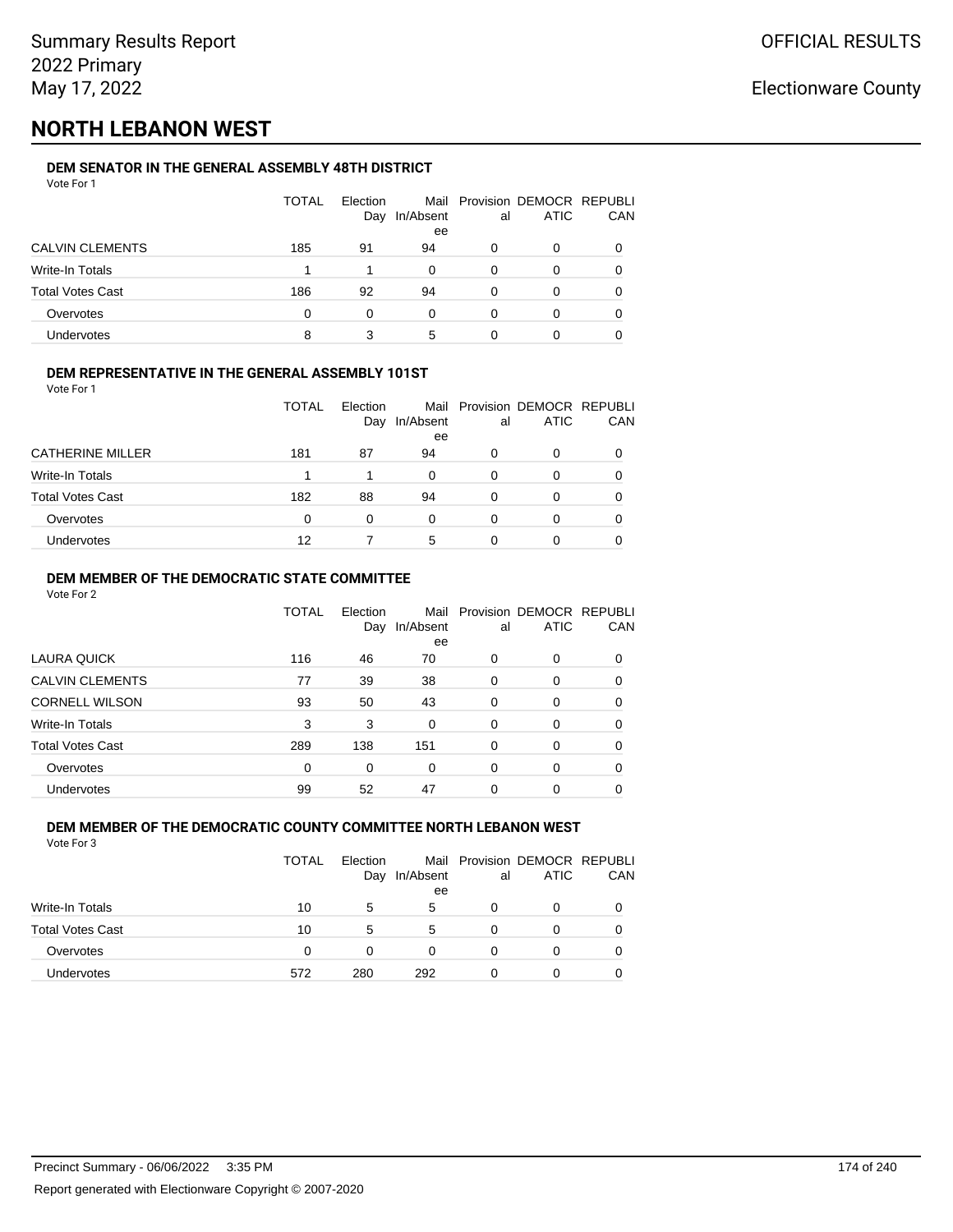# **NORTH LEBANON WEST**

#### **DEM SENATOR IN THE GENERAL ASSEMBLY 48TH DISTRICT** Vote For 1

| VULCIUII                |       |                 |           |    |                                              |     |
|-------------------------|-------|-----------------|-----------|----|----------------------------------------------|-----|
|                         | TOTAL | Election<br>Day | In/Absent | al | Mail Provision DEMOCR REPUBLI<br><b>ATIC</b> | CAN |
|                         |       |                 | ee        |    |                                              |     |
| <b>CALVIN CLEMENTS</b>  | 185   | 91              | 94        | 0  | 0                                            |     |
| Write-In Totals         |       |                 | 0         | 0  | O                                            |     |
| <b>Total Votes Cast</b> | 186   | 92              | 94        | 0  | 0                                            | 0   |
| Overvotes               | 0     | 0               | 0         | 0  | 0                                            |     |
| Undervotes              | 8     | 3               | 5         |    | 0                                            |     |

#### **DEM REPRESENTATIVE IN THE GENERAL ASSEMBLY 101ST**

Vote For 1

|                         | TOTAL | Election<br>Day | In/Absent | al | Mail Provision DEMOCR REPUBLI<br><b>ATIC</b> | CAN |
|-------------------------|-------|-----------------|-----------|----|----------------------------------------------|-----|
|                         |       |                 | ee        |    |                                              |     |
| <b>CATHERINE MILLER</b> | 181   | 87              | 94        | 0  |                                              | 0   |
| <b>Write-In Totals</b>  |       |                 | 0         | 0  |                                              | 0   |
| <b>Total Votes Cast</b> | 182   | 88              | 94        | 0  |                                              | 0   |
| Overvotes               | 0     | 0               | 0         | 0  |                                              | 0   |
| <b>Undervotes</b>       | 12    |                 | 5         | O  |                                              | 0   |

#### **DEM MEMBER OF THE DEMOCRATIC STATE COMMITTEE**

Vote For 2

|                         | TOTAL    | Election<br>Day | Mail<br>In/Absent<br>ee | al       | Provision DEMOCR REPUBLI<br><b>ATIC</b> | CAN |
|-------------------------|----------|-----------------|-------------------------|----------|-----------------------------------------|-----|
| LAURA QUICK             | 116      | 46              | 70                      | 0        | $\Omega$                                | 0   |
| <b>CALVIN CLEMENTS</b>  | 77       | 39              | 38                      | 0        | 0                                       | 0   |
| <b>CORNELL WILSON</b>   | 93       | 50              | 43                      | $\Omega$ | $\Omega$                                | 0   |
| Write-In Totals         | 3        | 3               | $\Omega$                | $\Omega$ | $\Omega$                                | 0   |
| <b>Total Votes Cast</b> | 289      | 138             | 151                     | $\Omega$ | 0                                       | 0   |
| Overvotes               | $\Omega$ | $\Omega$        | $\Omega$                | $\Omega$ | $\Omega$                                | 0   |
| <b>Undervotes</b>       | 99       | 52              | 47                      | 0        | 0                                       |     |

#### **DEM MEMBER OF THE DEMOCRATIC COUNTY COMMITTEE NORTH LEBANON WEST** Vote For 3

|                         | TOTAL    | Election<br>Day | In/Absent<br>ee | al | Mail Provision DEMOCR REPUBLI<br>ATIC | CAN |
|-------------------------|----------|-----------------|-----------------|----|---------------------------------------|-----|
| <b>Write-In Totals</b>  | 10       | 5               | 5               | Ω  | 0                                     |     |
| <b>Total Votes Cast</b> | 10       | 5               | 5               | Ω  | 0                                     |     |
| Overvotes               | $\Omega$ | 0               | 0               | Ω  | 0                                     |     |
| <b>Undervotes</b>       | 572      | 280             | 292             | O  | 0                                     |     |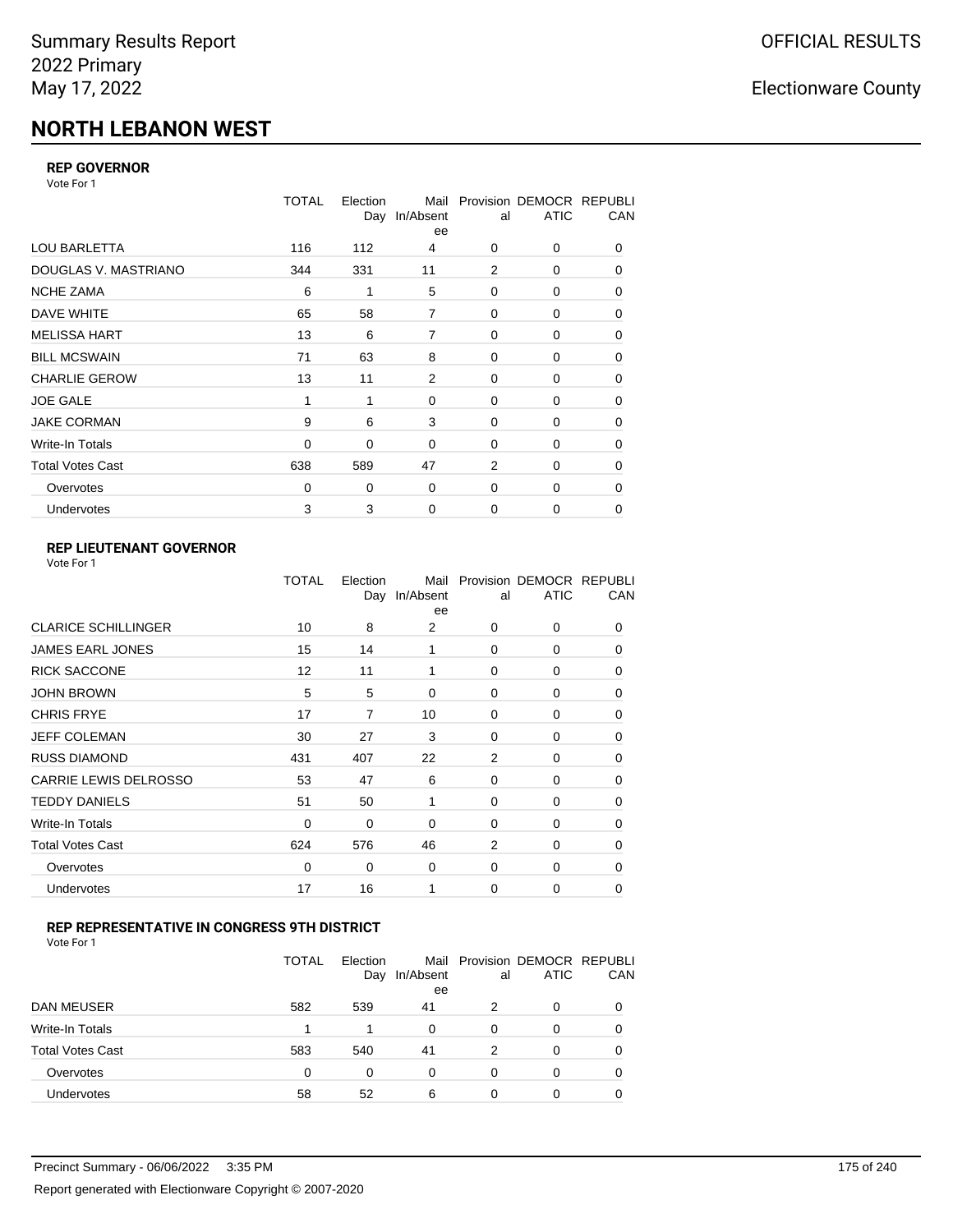# **NORTH LEBANON WEST**

### **REP GOVERNOR**

Vote For 1

|                         | <b>TOTAL</b> | Election | Mail<br>Day In/Absent<br>ee | al             | Provision DEMOCR REPUBLI<br><b>ATIC</b> | CAN |
|-------------------------|--------------|----------|-----------------------------|----------------|-----------------------------------------|-----|
| <b>LOU BARLETTA</b>     | 116          | 112      | 4                           | 0              | 0                                       | 0   |
| DOUGLAS V. MASTRIANO    | 344          | 331      | 11                          | $\overline{2}$ | 0                                       | 0   |
| <b>NCHE ZAMA</b>        | 6            | 1        | 5                           | 0              | 0                                       | 0   |
| <b>DAVE WHITE</b>       | 65           | 58       | 7                           | $\mathbf 0$    | 0                                       | 0   |
| <b>MELISSA HART</b>     | 13           | 6        | 7                           | $\mathbf 0$    | 0                                       | 0   |
| <b>BILL MCSWAIN</b>     | 71           | 63       | 8                           | $\mathbf 0$    | 0                                       | 0   |
| <b>CHARLIE GEROW</b>    | 13           | 11       | 2                           | $\mathbf 0$    | 0                                       | 0   |
| <b>JOE GALE</b>         | 1            | 1        | 0                           | $\mathbf 0$    | 0                                       | 0   |
| <b>JAKE CORMAN</b>      | 9            | 6        | 3                           | $\Omega$       | 0                                       | 0   |
| Write-In Totals         | $\mathbf 0$  | 0        | $\Omega$                    | $\mathbf 0$    | 0                                       | 0   |
| <b>Total Votes Cast</b> | 638          | 589      | 47                          | $\overline{2}$ | 0                                       | 0   |
| Overvotes               | 0            | 0        | 0                           | $\mathbf 0$    | 0                                       | 0   |
| <b>Undervotes</b>       | 3            | 3        | 0                           | $\mathbf 0$    | 0                                       | 0   |

### **REP LIEUTENANT GOVERNOR**

|                            | TOTAL | Election | Mail<br>Day In/Absent<br>ee | al       | Provision DEMOCR REPUBLI<br><b>ATIC</b> | CAN      |
|----------------------------|-------|----------|-----------------------------|----------|-----------------------------------------|----------|
| <b>CLARICE SCHILLINGER</b> | 10    | 8        | 2                           | $\Omega$ | 0                                       | 0        |
| <b>JAMES EARL JONES</b>    | 15    | 14       | 1                           | $\Omega$ | $\Omega$                                | 0        |
| <b>RICK SACCONE</b>        | 12    | 11       | 1                           | $\Omega$ | 0                                       | 0        |
| JOHN BROWN                 | 5     | 5        | $\Omega$                    | $\Omega$ | $\Omega$                                | 0        |
| <b>CHRIS FRYE</b>          | 17    | 7        | 10                          | $\Omega$ | 0                                       | 0        |
| JEFF COLEMAN               | 30    | 27       | 3                           | $\Omega$ | $\Omega$                                | 0        |
| <b>RUSS DIAMOND</b>        | 431   | 407      | 22                          | 2        | 0                                       | 0        |
| CARRIE LEWIS DELROSSO      | 53    | 47       | 6                           | $\Omega$ | $\Omega$                                | 0        |
| <b>TEDDY DANIELS</b>       | 51    | 50       | 1                           | $\Omega$ | 0                                       | 0        |
| Write-In Totals            | 0     | 0        | 0                           | $\Omega$ | $\Omega$                                | 0        |
| Total Votes Cast           | 624   | 576      | 46                          | 2        | 0                                       | 0        |
| Overvotes                  | 0     | 0        | $\mathbf 0$                 | 0        | 0                                       | $\Omega$ |
| <b>Undervotes</b>          | 17    | 16       | 1                           | $\Omega$ | $\Omega$                                | 0        |
|                            |       |          |                             |          |                                         |          |

#### **REP REPRESENTATIVE IN CONGRESS 9TH DISTRICT**

Vote For 1

|                         | TOTAL | Election<br>Day | In/Absent<br>ee | al | Mail Provision DEMOCR REPUBLI<br><b>ATIC</b> | <b>CAN</b> |
|-------------------------|-------|-----------------|-----------------|----|----------------------------------------------|------------|
| <b>DAN MEUSER</b>       | 582   | 539             | 41              | 2  | 0                                            | 0          |
| Write-In Totals         |       |                 | 0               | 0  | 0                                            | 0          |
| <b>Total Votes Cast</b> | 583   | 540             | 41              | 2  | 0                                            | 0          |
| Overvotes               | 0     | 0               | 0               | O  | 0                                            | 0          |
| <b>Undervotes</b>       | 58    | 52              | 6               | 0  |                                              | 0          |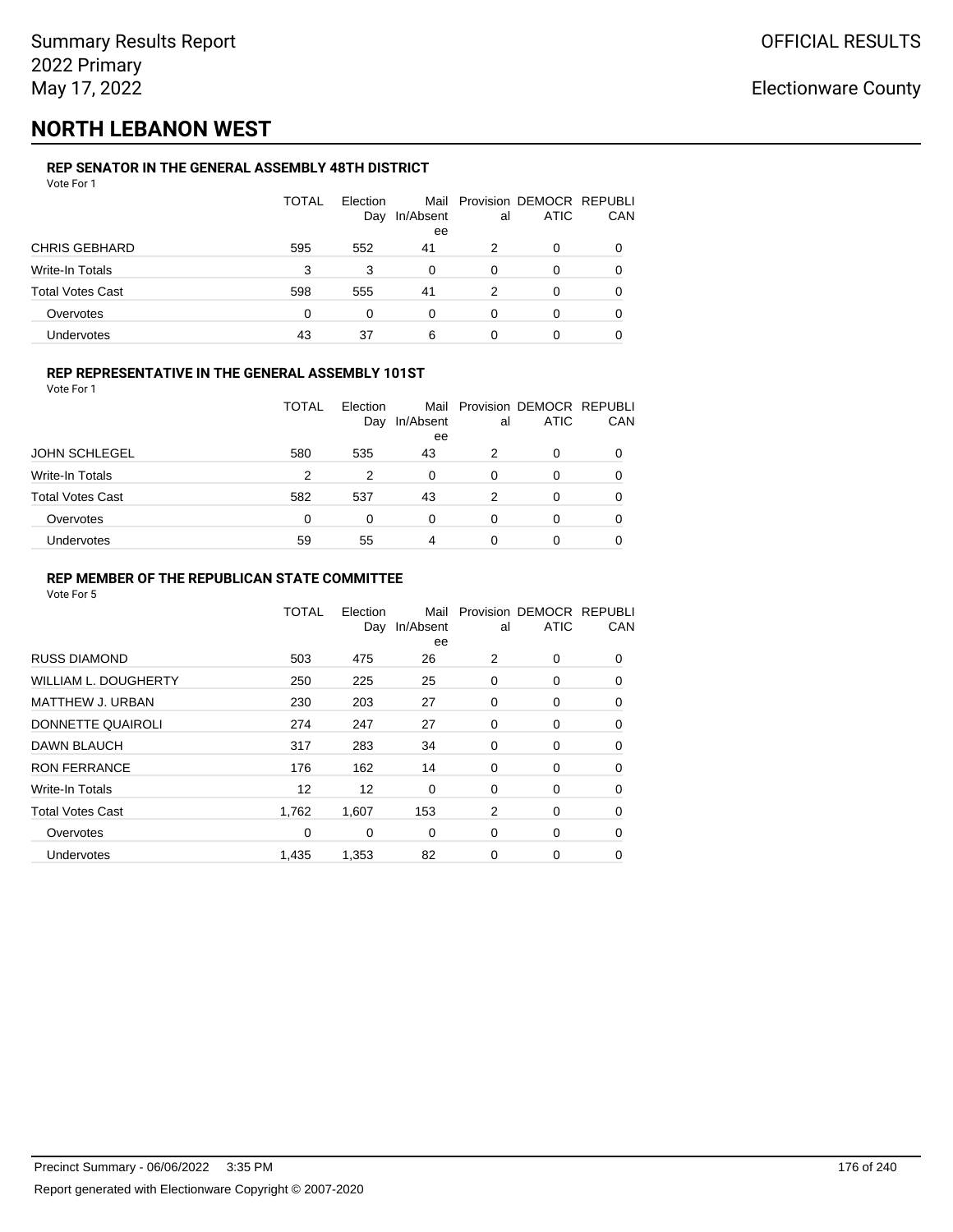## **NORTH LEBANON WEST**

### **REP SENATOR IN THE GENERAL ASSEMBLY 48TH DISTRICT**

| Vote For 1              |              |                 |                 |    |                                              |     |
|-------------------------|--------------|-----------------|-----------------|----|----------------------------------------------|-----|
|                         | <b>TOTAL</b> | Election<br>Day | In/Absent<br>ee | al | Mail Provision DEMOCR REPUBLI<br><b>ATIC</b> | CAN |
| <b>CHRIS GEBHARD</b>    | 595          | 552             | 41              | 2  | 0                                            | 0   |
| <b>Write-In Totals</b>  | 3            | 3               | 0               | 0  | 0                                            | 0   |
| <b>Total Votes Cast</b> | 598          | 555             | 41              | 2  | 0                                            | 0   |
| Overvotes               | $\Omega$     | 0               | $\Omega$        | 0  | 0                                            | 0   |
| <b>Undervotes</b>       | 43           | 37              | 6               | 0  | 0                                            |     |
|                         |              |                 |                 |    |                                              |     |

#### **REP REPRESENTATIVE IN THE GENERAL ASSEMBLY 101ST**

Vote For 1

|                         | TOTAL<br><b>Flection</b><br>Day |     | In/Absent | al | Mail Provision DEMOCR REPUBLI<br><b>ATIC</b> | CAN      |
|-------------------------|---------------------------------|-----|-----------|----|----------------------------------------------|----------|
| <b>JOHN SCHLEGEL</b>    | 580                             | 535 | ee<br>43  | 2  | 0                                            |          |
| Write-In Totals         | 2                               | 2   | $\Omega$  | 0  | O                                            | 0        |
| <b>Total Votes Cast</b> | 582                             | 537 | 43        | 2  | 0                                            | $\Omega$ |
| Overvotes               | 0                               | 0   | 0         | 0  | 0                                            | 0        |
| Undervotes              | 59                              | 55  | 4         |    | 0                                            |          |

#### **REP MEMBER OF THE REPUBLICAN STATE COMMITTEE**

|                             | <b>TOTAL</b> | Election<br>Day | Mail<br>In/Absent<br>ee | al | Provision DEMOCR REPUBLI<br><b>ATIC</b> | CAN      |
|-----------------------------|--------------|-----------------|-------------------------|----|-----------------------------------------|----------|
| <b>RUSS DIAMOND</b>         | 503          | 475             | 26                      | 2  | $\Omega$                                | 0        |
| <b>WILLIAM L. DOUGHERTY</b> | 250          | 225             | 25                      | 0  | 0                                       | 0        |
| MATTHEW J. URBAN            | 230          | 203             | 27                      | 0  | 0                                       | $\Omega$ |
| DONNETTE QUAIROLI           | 274          | 247             | 27                      | 0  | 0                                       | $\Omega$ |
| DAWN BLAUCH                 | 317          | 283             | 34                      | 0  | 0                                       | $\Omega$ |
| <b>RON FERRANCE</b>         | 176          | 162             | 14                      | 0  | 0                                       | 0        |
| Write-In Totals             | 12           | 12              | 0                       | 0  | 0                                       | 0        |
| <b>Total Votes Cast</b>     | 1,762        | 1,607           | 153                     | 2  | 0                                       | 0        |
| Overvotes                   | 0            | 0               | 0                       | 0  | 0                                       | 0        |
| Undervotes                  | 1,435        | 1,353           | 82                      | 0  | 0                                       | 0        |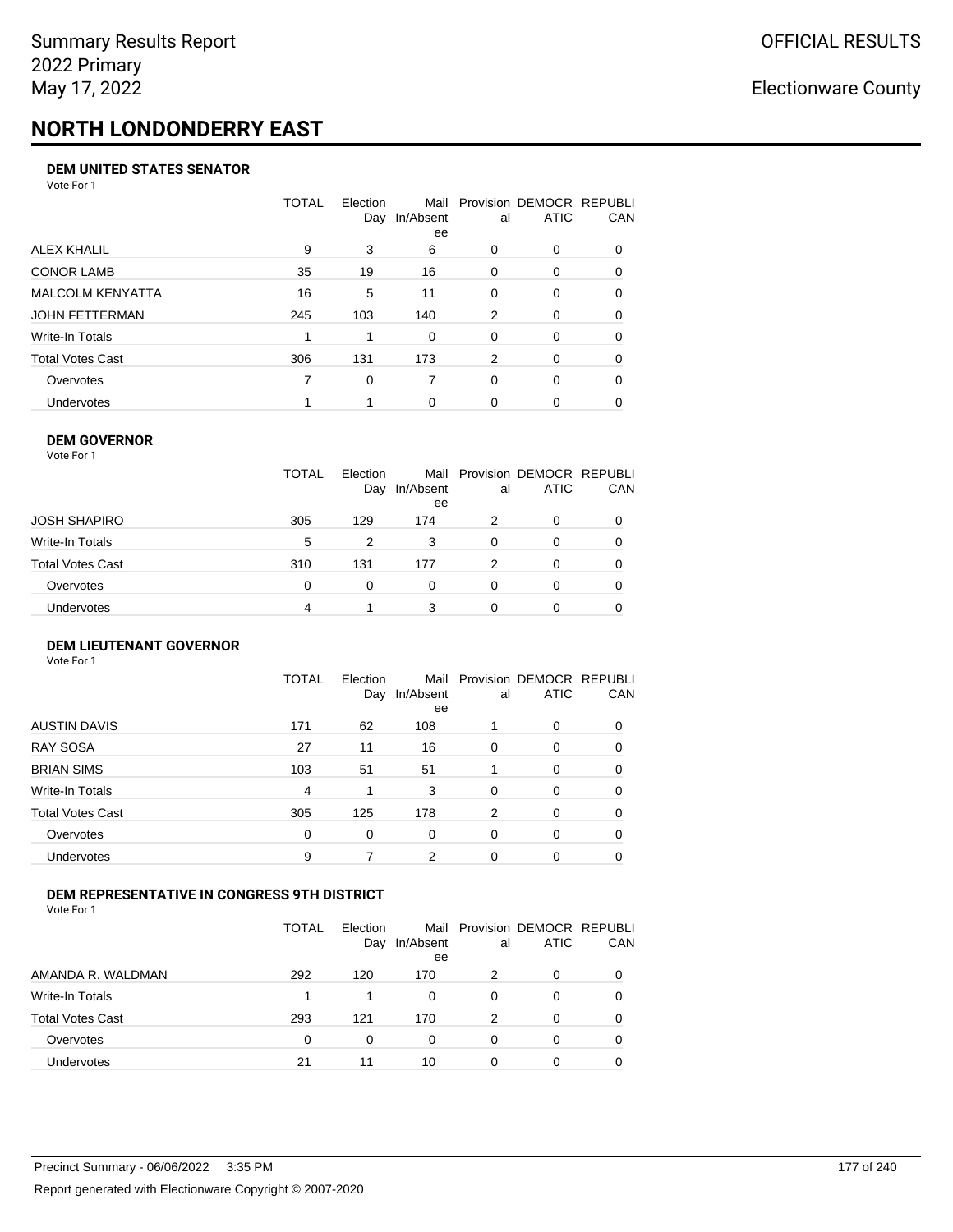# **NORTH LONDONDERRY EAST**

#### **DEM UNITED STATES SENATOR**

Vote For 1

|                         | TOTAL | Election<br>Day | Mail<br>In/Absent<br>ee | al       | Provision DEMOCR REPUBLI<br>ATIC | CAN      |
|-------------------------|-------|-----------------|-------------------------|----------|----------------------------------|----------|
| ALEX KHALIL             | 9     | 3               | 6                       | $\Omega$ | $\Omega$                         | $\Omega$ |
| <b>CONOR LAMB</b>       | 35    | 19              | 16                      | $\Omega$ | 0                                | 0        |
| <b>MALCOLM KENYATTA</b> | 16    | 5               | 11                      | $\Omega$ | 0                                | 0        |
| JOHN FETTERMAN          | 245   | 103             | 140                     | 2        | $\Omega$                         | $\Omega$ |
| Write-In Totals         |       |                 | 0                       | $\Omega$ | $\Omega$                         | $\Omega$ |
| Total Votes Cast        | 306   | 131             | 173                     | 2        | $\Omega$                         | 0        |
| Overvotes               |       | 0               |                         | $\Omega$ | $\Omega$                         | 0        |
| Undervotes              |       |                 | $\Omega$                | 0        | 0                                |          |

#### **DEM GOVERNOR**

| Vote For 1       |              |                 |                         |    |                                         |            |
|------------------|--------------|-----------------|-------------------------|----|-----------------------------------------|------------|
|                  | <b>TOTAL</b> | Election<br>Day | Mail<br>In/Absent<br>ee | al | Provision DEMOCR REPUBLI<br><b>ATIC</b> | <b>CAN</b> |
| JOSH SHAPIRO     | 305          | 129             | 174                     | 2  | $\Omega$                                | 0          |
| Write-In Totals  | 5            | 2               | 3                       | 0  | 0                                       | 0          |
| Total Votes Cast | 310          | 131             | 177                     | 2  | $\Omega$                                | 0          |
| Overvotes        | 0            | $\Omega$        | 0                       | 0  | $\Omega$                                | 0          |
| Undervotes       | 4            |                 | 3                       | 0  |                                         | 0          |

#### **DEM LIEUTENANT GOVERNOR** Vote For 1

|                         | TOTAL | Election<br>Day | In/Absent<br>ee | al       | Mail Provision DEMOCR REPUBLI<br><b>ATIC</b> | CAN      |
|-------------------------|-------|-----------------|-----------------|----------|----------------------------------------------|----------|
| <b>AUSTIN DAVIS</b>     | 171   | 62              | 108             |          | $\Omega$                                     | 0        |
| <b>RAY SOSA</b>         | 27    | 11              | 16              | $\Omega$ | 0                                            | $\Omega$ |
| <b>BRIAN SIMS</b>       | 103   | 51              | 51              |          | $\Omega$                                     | $\Omega$ |
| Write-In Totals         | 4     | 1               | 3               | $\Omega$ | 0                                            | $\Omega$ |
| <b>Total Votes Cast</b> | 305   | 125             | 178             | 2        | 0                                            | $\Omega$ |
| Overvotes               | 0     | 0               | 0               | 0        | 0                                            | 0        |
| Undervotes              | 9     |                 | 2               | 0        | $\Omega$                                     | 0        |

#### **DEM REPRESENTATIVE IN CONGRESS 9TH DISTRICT**

Vote For 1

|                         | <b>TOTAL</b> | Election<br>Day | In/Absent<br>ee | al | Mail Provision DEMOCR REPUBLI<br><b>ATIC</b> | <b>CAN</b> |
|-------------------------|--------------|-----------------|-----------------|----|----------------------------------------------|------------|
| AMANDA R. WALDMAN       | 292          | 120             | 170             |    | 0                                            | 0          |
| Write-In Totals         |              |                 | $\Omega$        | 0  |                                              | 0          |
| <b>Total Votes Cast</b> | 293          | 121             | 170             | 2  |                                              | 0          |
| Overvotes               | 0            | 0               | 0               | O  | $\Omega$                                     | 0          |
| <b>Undervotes</b>       | 21           | 11              | 10              |    |                                              |            |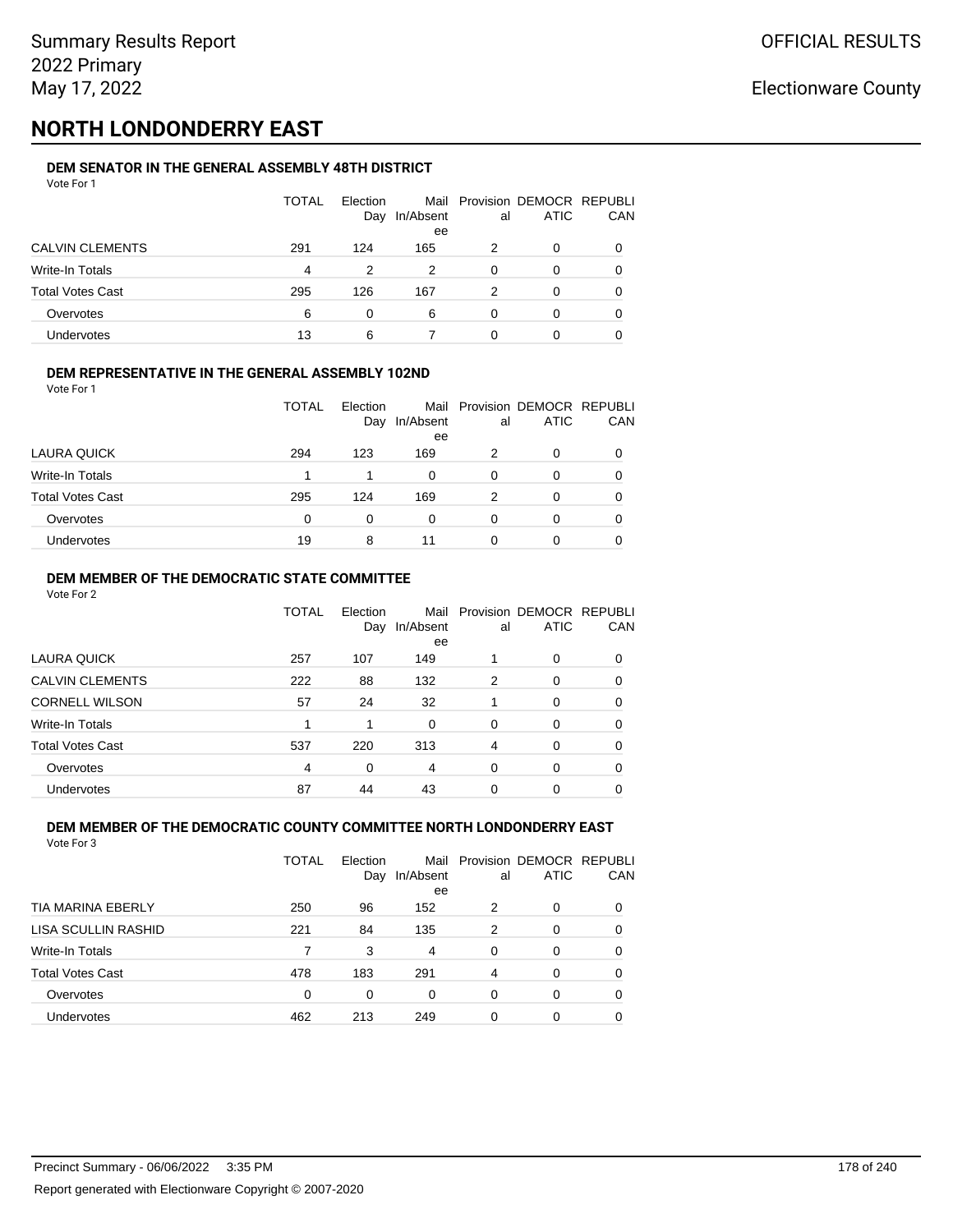## **NORTH LONDONDERRY EAST**

#### **DEM SENATOR IN THE GENERAL ASSEMBLY 48TH DISTRICT** Vote For 1

| .                       |              |                 |                 |    |                                              |              |
|-------------------------|--------------|-----------------|-----------------|----|----------------------------------------------|--------------|
|                         | <b>TOTAL</b> | Election<br>Day | In/Absent<br>ee | al | Mail Provision DEMOCR REPUBLI<br><b>ATIC</b> | CAN          |
| <b>CALVIN CLEMENTS</b>  | 291          | 124             | 165             | 2  | 0                                            |              |
| Write-In Totals         | 4            | 2               | 2               | 0  | O                                            |              |
| <b>Total Votes Cast</b> | 295          | 126             | 167             | 2  | 0                                            | <sup>0</sup> |
| Overvotes               | 6            | 0               | 6               | 0  | O                                            |              |
| Undervotes              | 13           | 6               |                 | 0  | 0                                            |              |

#### **DEM REPRESENTATIVE IN THE GENERAL ASSEMBLY 102ND**

| Vote For 1 |  |
|------------|--|
|            |  |

|                         | TOTAL | Election |                 |    | Mail Provision DEMOCR REPUBLI<br><b>ATIC</b> | CAN |
|-------------------------|-------|----------|-----------------|----|----------------------------------------------|-----|
|                         |       | Day      | In/Absent<br>ee | al |                                              |     |
| LAURA QUICK             | 294   | 123      | 169             | 2  | 0                                            |     |
| Write-In Totals         |       |          | 0               |    | 0                                            | 0   |
| <b>Total Votes Cast</b> | 295   | 124      | 169             | 2  | ი                                            |     |
| Overvotes               | 0     | 0        | 0               |    | 0                                            |     |
| Undervotes              | 19    | 8        | 11              |    | ი                                            |     |

#### **DEM MEMBER OF THE DEMOCRATIC STATE COMMITTEE**

Vote For 2

|                         | TOTAL | Flection<br>Day | Mail<br>In/Absent<br>ee | al       | Provision DEMOCR REPUBLI<br><b>ATIC</b> | CAN      |
|-------------------------|-------|-----------------|-------------------------|----------|-----------------------------------------|----------|
| LAURA QUICK             | 257   | 107             | 149                     |          | 0                                       | 0        |
| <b>CALVIN CLEMENTS</b>  | 222   | 88              | 132                     | 2        | 0                                       | 0        |
| <b>CORNELL WILSON</b>   | 57    | 24              | 32                      |          | 0                                       | 0        |
| Write-In Totals         | 1     |                 | $\Omega$                | $\Omega$ | $\Omega$                                | 0        |
| <b>Total Votes Cast</b> | 537   | 220             | 313                     | 4        | 0                                       | $\Omega$ |
| Overvotes               | 4     | $\Omega$        | 4                       | $\Omega$ | 0                                       | 0        |
| Undervotes              | 87    | 44              | 43                      | 0        | 0                                       |          |

#### **DEM MEMBER OF THE DEMOCRATIC COUNTY COMMITTEE NORTH LONDONDERRY EAST** Vote For 3

|                          | TOTAL | Election<br>Day | Mail<br>In/Absent<br>ee | al       | Provision DEMOCR REPUBLI<br><b>ATIC</b> | CAN |
|--------------------------|-------|-----------------|-------------------------|----------|-----------------------------------------|-----|
| <b>TIA MARINA EBERLY</b> | 250   | 96              | 152                     | 2        | 0                                       | 0   |
| LISA SCULLIN RASHID      | 221   | 84              | 135                     | 2        | 0                                       | 0   |
| Write-In Totals          | 7     | 3               | 4                       | $\Omega$ | 0                                       | 0   |
| <b>Total Votes Cast</b>  | 478   | 183             | 291                     | 4        | 0                                       | 0   |
| Overvotes                | 0     | 0               | 0                       | 0        | 0                                       | 0   |
| Undervotes               | 462   | 213             | 249                     | 0        | 0                                       |     |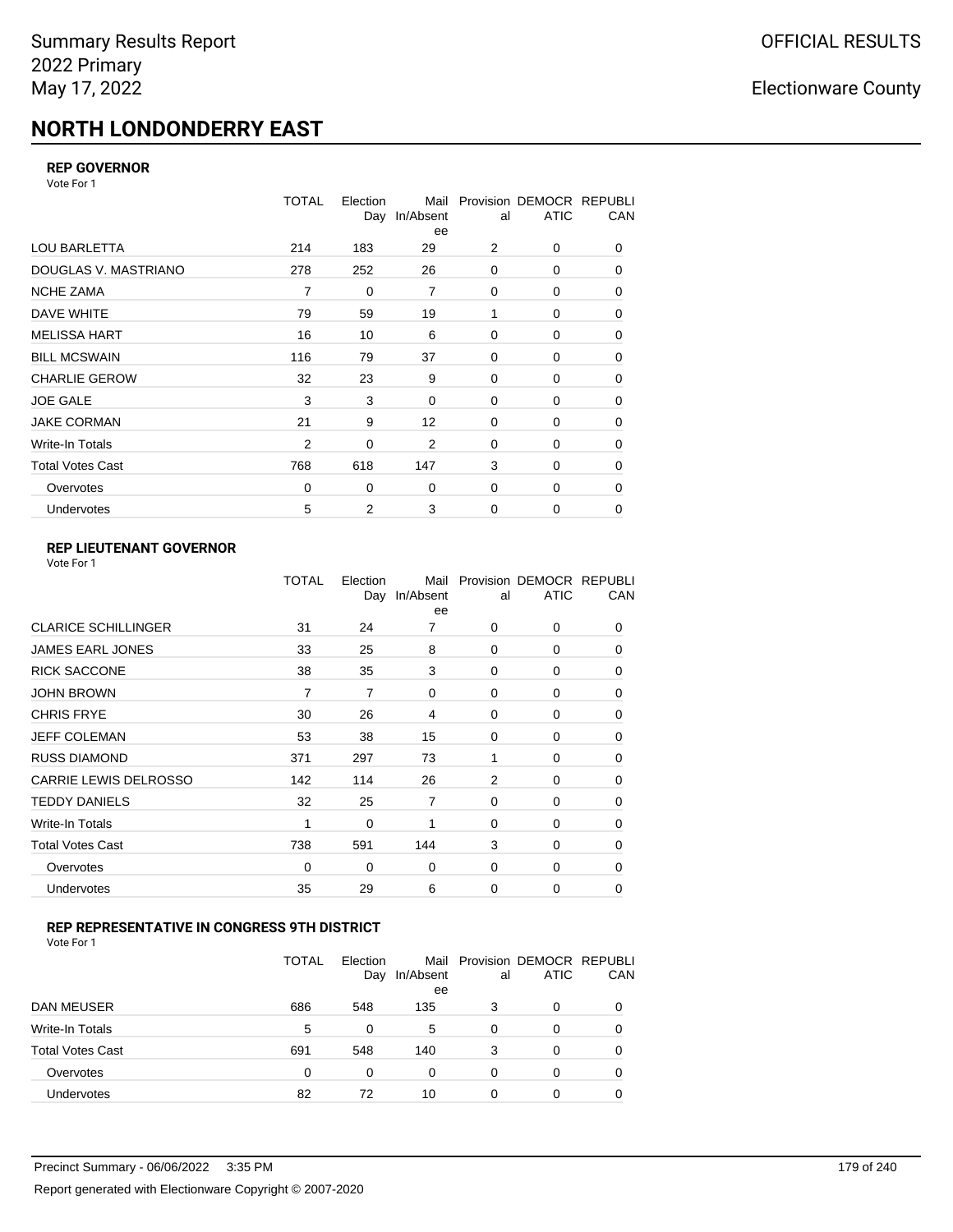# **NORTH LONDONDERRY EAST**

### **REP GOVERNOR**

Vote For 1

|                         | <b>TOTAL</b>   | Election<br>Day | Mail<br>In/Absent<br>ee | al          | Provision DEMOCR REPUBLI<br><b>ATIC</b> | CAN         |
|-------------------------|----------------|-----------------|-------------------------|-------------|-----------------------------------------|-------------|
| <b>LOU BARLETTA</b>     | 214            | 183             | 29                      | 2           | 0                                       | 0           |
| DOUGLAS V. MASTRIANO    | 278            | 252             | 26                      | $\mathbf 0$ | 0                                       | 0           |
| <b>NCHE ZAMA</b>        | 7              | 0               | $\overline{7}$          | 0           | 0                                       | 0           |
| DAVE WHITE              | 79             | 59              | 19                      | 1           | 0                                       | 0           |
| <b>MELISSA HART</b>     | 16             | 10              | 6                       | 0           | 0                                       | 0           |
| <b>BILL MCSWAIN</b>     | 116            | 79              | 37                      | $\mathbf 0$ | 0                                       | 0           |
| <b>CHARLIE GEROW</b>    | 32             | 23              | 9                       | $\Omega$    | 0                                       | 0           |
| <b>JOE GALE</b>         | 3              | 3               | 0                       | $\mathbf 0$ | 0                                       | 0           |
| <b>JAKE CORMAN</b>      | 21             | 9               | 12                      | $\mathbf 0$ | 0                                       | $\mathbf 0$ |
| Write-In Totals         | $\overline{2}$ | 0               | 2                       | $\mathbf 0$ | 0                                       | 0           |
| <b>Total Votes Cast</b> | 768            | 618             | 147                     | 3           | $\Omega$                                | 0           |
| Overvotes               | 0              | 0               | 0                       | $\mathbf 0$ | 0                                       | 0           |
| <b>Undervotes</b>       | 5              | 2               | 3                       | $\mathbf 0$ | 0                                       | 0           |

### **REP LIEUTENANT GOVERNOR**

| Vote For 1 |  |
|------------|--|
|------------|--|

|                            | TOTAL | Election       | Mail<br>Day In/Absent<br>ee | al             | Provision DEMOCR REPUBLI<br><b>ATIC</b> | CAN      |
|----------------------------|-------|----------------|-----------------------------|----------------|-----------------------------------------|----------|
| <b>CLARICE SCHILLINGER</b> | 31    | 24             | 7                           | $\Omega$       | 0                                       | 0        |
| JAMES EARL JONES           | 33    | 25             | 8                           | $\Omega$       | $\Omega$                                | 0        |
| <b>RICK SACCONE</b>        | 38    | 35             | 3                           | $\Omega$       | 0                                       | 0        |
| JOHN BROWN                 | 7     | $\overline{7}$ | $\Omega$                    | $\Omega$       | $\Omega$                                | 0        |
| CHRIS FRYE                 | 30    | 26             | 4                           | $\Omega$       | 0                                       | 0        |
| JEFF COLEMAN               | 53    | 38             | 15                          | 0              | $\Omega$                                | 0        |
| <b>RUSS DIAMOND</b>        | 371   | 297            | 73                          | 1              | 0                                       | 0        |
| CARRIE LEWIS DELROSSO      | 142   | 114            | 26                          | $\overline{2}$ | $\Omega$                                | 0        |
| <b>TEDDY DANIELS</b>       | 32    | 25             | $\overline{7}$              | $\Omega$       | 0                                       | 0        |
| Write-In Totals            | 1     | 0              | 1                           | $\Omega$       | $\Omega$                                | 0        |
| Total Votes Cast           | 738   | 591            | 144                         | 3              | 0                                       | 0        |
| Overvotes                  | 0     | 0              | 0                           | 0              | 0                                       | $\Omega$ |
| <b>Undervotes</b>          | 35    | 29             | 6                           | $\Omega$       | 0                                       | 0        |
|                            |       |                |                             |                |                                         |          |

#### **REP REPRESENTATIVE IN CONGRESS 9TH DISTRICT**

| Vote For 1 |  |  |
|------------|--|--|
|------------|--|--|

|                         | <b>TOTAL</b> | Election<br>Day | In/Absent<br>ee | al | Mail Provision DEMOCR REPUBLI<br><b>ATIC</b> | CAN      |
|-------------------------|--------------|-----------------|-----------------|----|----------------------------------------------|----------|
| <b>DAN MEUSER</b>       | 686          | 548             | 135             | 3  | 0                                            | $\Omega$ |
| Write-In Totals         | 5            | 0               | 5               | 0  | 0                                            |          |
| <b>Total Votes Cast</b> | 691          | 548             | 140             | 3  | 0                                            |          |
| Overvotes               | $\Omega$     | 0               | 0               | 0  | 0                                            | 0        |
| <b>Undervotes</b>       | 82           | 72              | 10              | 0  | 0                                            |          |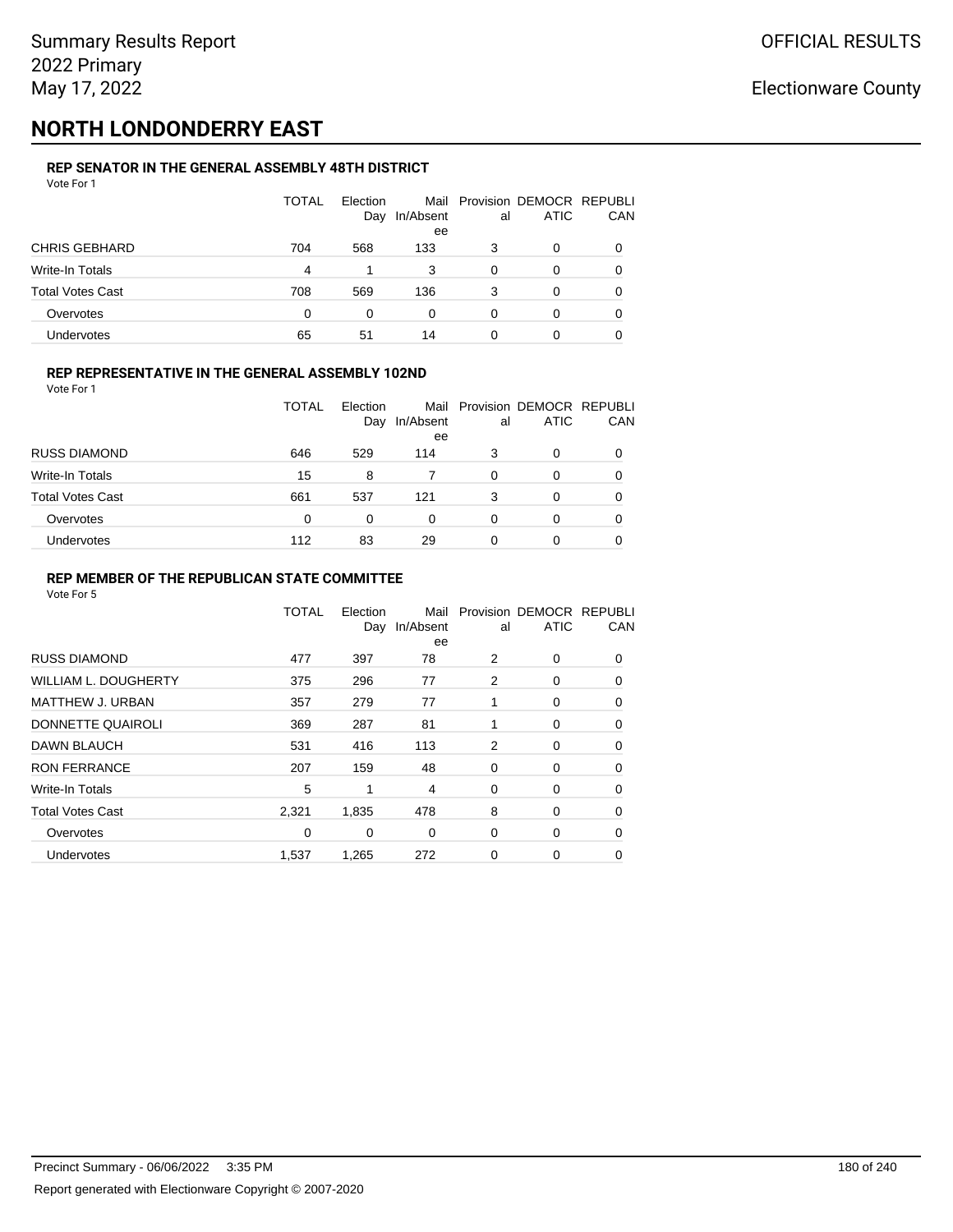## **NORTH LONDONDERRY EAST**

#### **REP SENATOR IN THE GENERAL ASSEMBLY 48TH DISTRICT** Vote For 1

| .                       |              |                 |                 |    |                                              |              |
|-------------------------|--------------|-----------------|-----------------|----|----------------------------------------------|--------------|
|                         | <b>TOTAL</b> | Election<br>Day | In/Absent<br>ee | al | Mail Provision DEMOCR REPUBLI<br><b>ATIC</b> | CAN          |
| <b>CHRIS GEBHARD</b>    | 704          | 568             | 133             | 3  | 0                                            |              |
| Write-In Totals         | 4            |                 | 3               | 0  | O                                            |              |
| <b>Total Votes Cast</b> | 708          | 569             | 136             | 3  | 0                                            | <sup>0</sup> |
| Overvotes               | 0            | 0               | 0               | 0  | 0                                            |              |
| Undervotes              | 65           | 51              | 14              | 0  | 0                                            |              |

### **REP REPRESENTATIVE IN THE GENERAL ASSEMBLY 102ND**

Vote For 1

|                         | TOTAL | Election<br>Day | In/Absent<br>ee | al | Mail Provision DEMOCR REPUBLI<br><b>ATIC</b> | CAN |
|-------------------------|-------|-----------------|-----------------|----|----------------------------------------------|-----|
| <b>RUSS DIAMOND</b>     | 646   | 529             | 114             | 3  | 0                                            | 0   |
| Write-In Totals         | 15    | 8               |                 | 0  | O                                            | 0   |
| <b>Total Votes Cast</b> | 661   | 537             | 121             | 3  | 0                                            | 0   |
| Overvotes               | 0     | $\Omega$        | $\Omega$        | 0  | 0                                            | 0   |
| Undervotes              | 112   | 83              | 29              | 0  |                                              | 0   |

#### **REP MEMBER OF THE REPUBLICAN STATE COMMITTEE**

|                         | TOTAL | Election<br>Day | Mail<br>In/Absent<br>ee | al | Provision DEMOCR REPUBLI<br><b>ATIC</b> | CAN      |
|-------------------------|-------|-----------------|-------------------------|----|-----------------------------------------|----------|
| <b>RUSS DIAMOND</b>     | 477   | 397             | 78                      | 2  | 0                                       | 0        |
| WILLIAM L. DOUGHERTY    | 375   | 296             | 77                      | 2  | 0                                       | $\Omega$ |
| <b>MATTHEW J. URBAN</b> | 357   | 279             | 77                      | 1  | 0                                       | 0        |
| DONNETTE QUAIROLI       | 369   | 287             | 81                      | 1  | 0                                       | $\Omega$ |
| <b>DAWN BLAUCH</b>      | 531   | 416             | 113                     | 2  | 0                                       | $\Omega$ |
| <b>RON FERRANCE</b>     | 207   | 159             | 48                      | 0  | 0                                       | $\Omega$ |
| Write-In Totals         | 5     | 1               | 4                       | 0  | 0                                       | 0        |
| <b>Total Votes Cast</b> | 2,321 | 1,835           | 478                     | 8  | 0                                       | 0        |
| Overvotes               | 0     | 0               | 0                       | 0  | 0                                       | 0        |
| <b>Undervotes</b>       | 1,537 | 1,265           | 272                     | 0  | 0                                       | 0        |
|                         |       |                 |                         |    |                                         |          |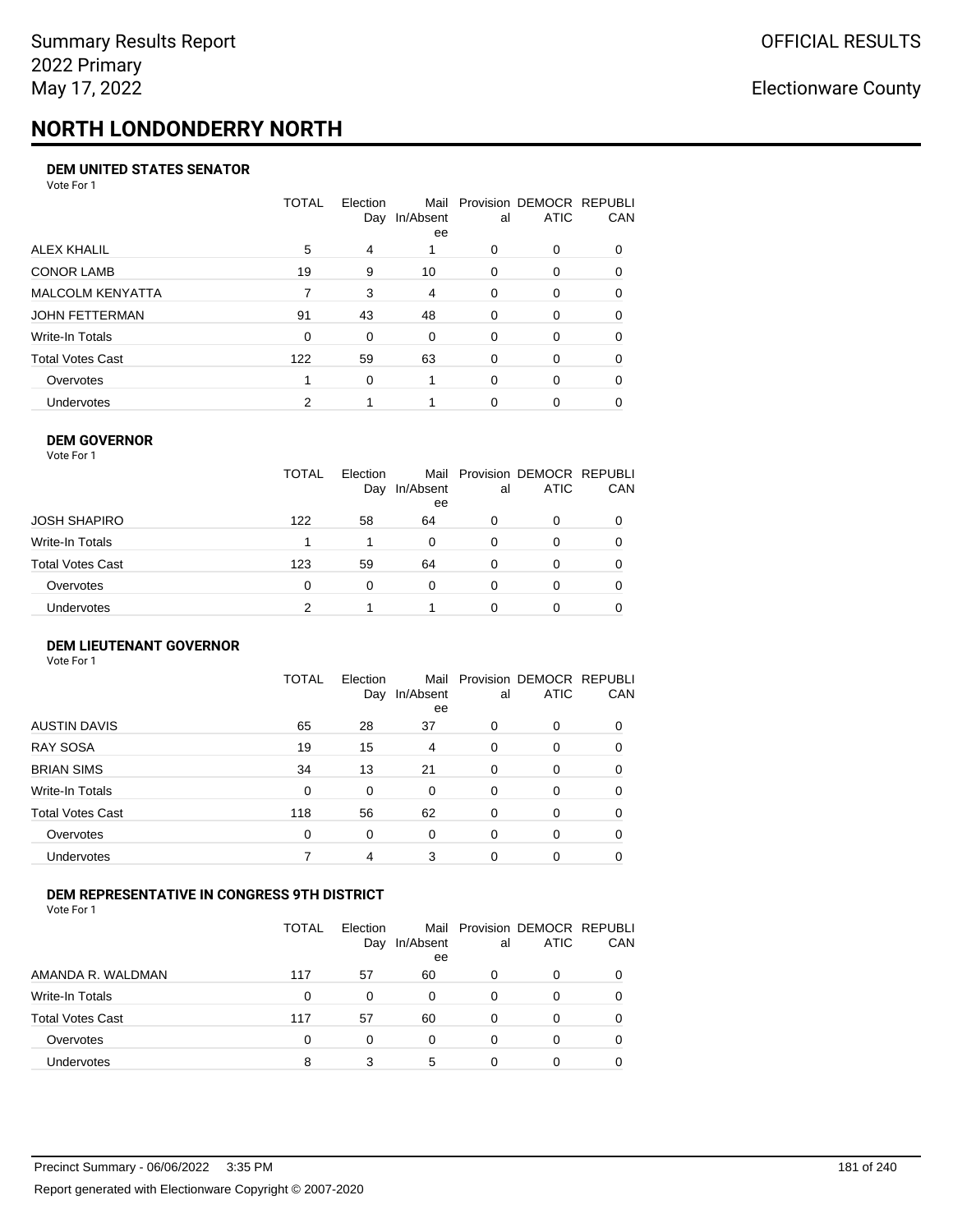# **NORTH LONDONDERRY NORTH**

### **DEM UNITED STATES SENATOR**

Vote For 1

|                         | TOTAL       | Election<br>Day | In/Absent<br>ee | al       | Mail Provision DEMOCR REPUBLI<br><b>ATIC</b> | CAN      |
|-------------------------|-------------|-----------------|-----------------|----------|----------------------------------------------|----------|
| ALEX KHALIL             | 5           | 4               |                 | 0        | $\Omega$                                     | $\Omega$ |
| <b>CONOR LAMB</b>       | 19          | 9               | 10              | $\Omega$ | 0                                            | 0        |
| <b>MALCOLM KENYATTA</b> |             | 3               | 4               | $\Omega$ | 0                                            | 0        |
| JOHN FETTERMAN          | 91          | 43              | 48              | $\Omega$ | $\Omega$                                     | 0        |
| Write-In Totals         | $\mathbf 0$ | $\Omega$        | $\Omega$        | $\Omega$ | 0                                            | $\Omega$ |
| Total Votes Cast        | 122         | 59              | 63              | $\Omega$ | 0                                            | $\Omega$ |
| Overvotes               |             | 0               |                 | $\Omega$ | $\Omega$                                     | 0        |
| Undervotes              | 2           |                 |                 | 0        | 0                                            |          |

### **DEM GOVERNOR**

| Vote For 1       |              |                 |                 |          |                                              |     |
|------------------|--------------|-----------------|-----------------|----------|----------------------------------------------|-----|
|                  | <b>TOTAL</b> | Election<br>Day | In/Absent<br>ee | al       | Mail Provision DEMOCR REPUBLI<br><b>ATIC</b> | CAN |
| JOSH SHAPIRO     | 122          | 58              | 64              | 0        | 0                                            |     |
| Write-In Totals  |              |                 | 0               | 0        | 0                                            | 0   |
| Total Votes Cast | 123          | 59              | 64              | 0        | 0                                            | 0   |
| Overvotes        | 0            | 0               | $\Omega$        | $\Omega$ | 0                                            | 0   |
| Undervotes       | 2            |                 |                 | O        | 0                                            |     |

### **DEM LIEUTENANT GOVERNOR** Vote For 1

|                         | TOTAL | Election<br>Day | In/Absent<br>ee | al | Mail Provision DEMOCR REPUBLI<br><b>ATIC</b> | <b>CAN</b> |
|-------------------------|-------|-----------------|-----------------|----|----------------------------------------------|------------|
| <b>AUSTIN DAVIS</b>     | 65    | 28              | 37              | 0  | $\Omega$                                     | 0          |
| <b>RAY SOSA</b>         | 19    | 15              | 4               | 0  | $\Omega$                                     | $\Omega$   |
| <b>BRIAN SIMS</b>       | 34    | 13              | 21              | 0  | $\Omega$                                     | $\Omega$   |
| <b>Write-In Totals</b>  | 0     | $\Omega$        | $\Omega$        | 0  | $\Omega$                                     | 0          |
| <b>Total Votes Cast</b> | 118   | 56              | 62              | 0  | $\Omega$                                     | 0          |
| Overvotes               | 0     | $\Omega$        | $\Omega$        | 0  | $\Omega$                                     | 0          |
| <b>Undervotes</b>       |       | 4               | 3               | 0  | $\Omega$                                     | 0          |

### **DEM REPRESENTATIVE IN CONGRESS 9TH DISTRICT**

|                         | TOTAL | <b>Flection</b><br>Day | Mail<br>In/Absent<br>ee | al | Provision DEMOCR REPUBLI<br><b>ATIC</b> | <b>CAN</b> |
|-------------------------|-------|------------------------|-------------------------|----|-----------------------------------------|------------|
| AMANDA R. WALDMAN       | 117   | 57                     | 60                      | 0  | 0                                       | 0          |
| Write-In Totals         | 0     | 0                      | 0                       | Ω  |                                         | 0          |
| <b>Total Votes Cast</b> | 117   | 57                     | 60                      | 0  |                                         | 0          |
| Overvotes               | 0     | 0                      | 0                       | 0  | $\Omega$                                | 0          |
| Undervotes              | 8     |                        | 5                       | 0  |                                         |            |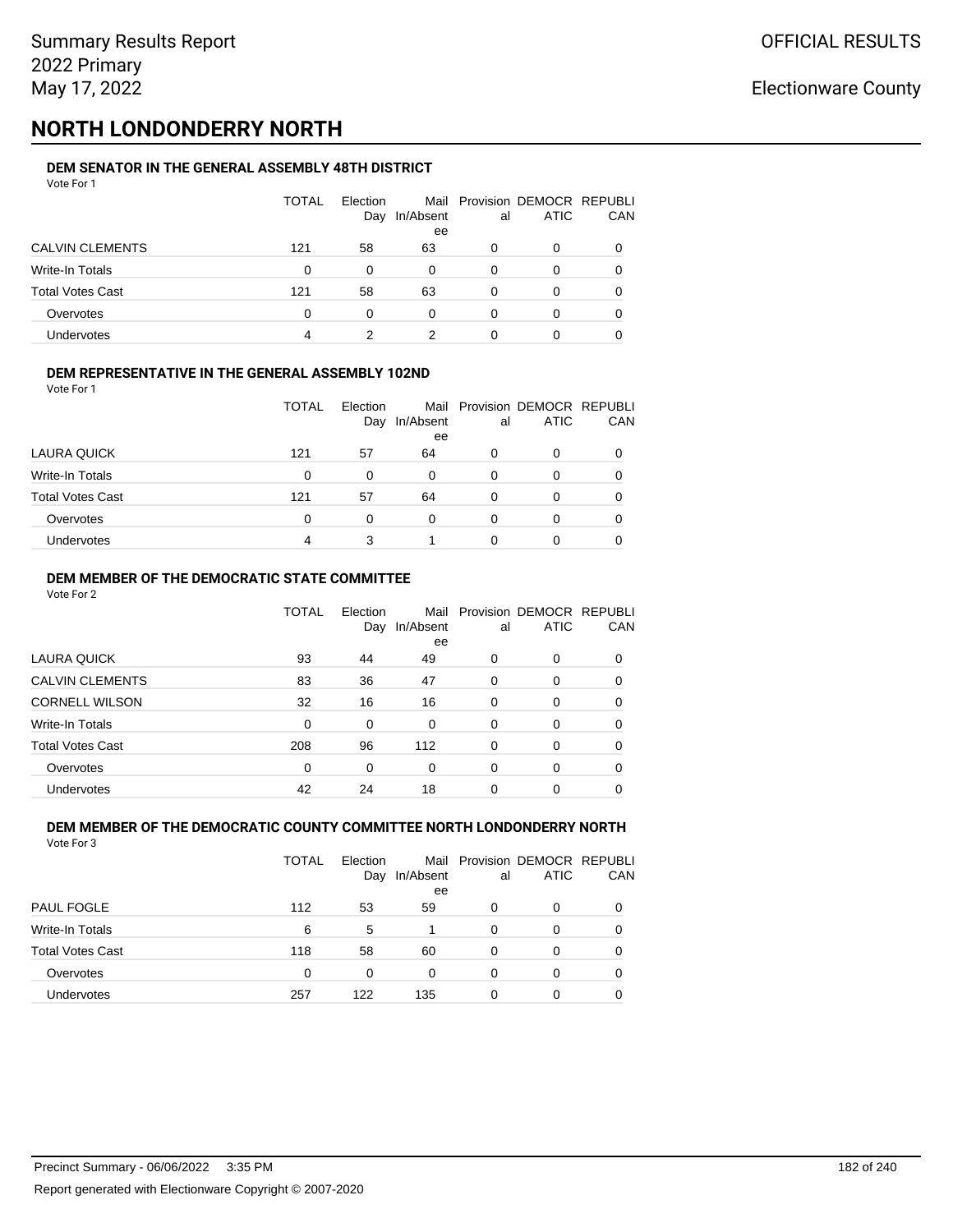# **NORTH LONDONDERRY NORTH**

#### **DEM SENATOR IN THE GENERAL ASSEMBLY 48TH DISTRICT** Vote For 1

| 1 U U U U U             |       |                 |                 |    |                                              |            |
|-------------------------|-------|-----------------|-----------------|----|----------------------------------------------|------------|
|                         | TOTAL | Election<br>Day | In/Absent<br>ee | al | Mail Provision DEMOCR REPUBLI<br><b>ATIC</b> | <b>CAN</b> |
| <b>CALVIN CLEMENTS</b>  | 121   | 58              | 63              | 0  | 0                                            | 0          |
| Write-In Totals         | 0     | $\Omega$        | 0               | 0  | O                                            | 0          |
| <b>Total Votes Cast</b> | 121   | 58              | 63              | 0  | $\Omega$                                     | 0          |
| Overvotes               | 0     | $\Omega$        | 0               | 0  | 0                                            | 0          |
| Undervotes              | 4     |                 | 2               |    |                                              |            |

### **DEM REPRESENTATIVE IN THE GENERAL ASSEMBLY 102ND**

| Vote For 1 |  |
|------------|--|
|            |  |

|                         | TOTAL | Election |                 |    | Mail Provision DEMOCR REPUBLI |     |
|-------------------------|-------|----------|-----------------|----|-------------------------------|-----|
|                         |       | Day      | In/Absent<br>ee | al | <b>ATIC</b>                   | CAN |
| LAURA QUICK             | 121   | 57       | 64              | 0  | 0                             |     |
| Write-In Totals         | 0     | 0        | 0               | 0  | 0                             |     |
| <b>Total Votes Cast</b> | 121   | 57       | 64              | 0  | 0                             |     |
| Overvotes               | 0     | 0        | 0               | 0  | 0                             |     |
| Undervotes              | 4     |          |                 |    | O                             |     |

### **DEM MEMBER OF THE DEMOCRATIC STATE COMMITTEE**

Vote For 2

|                         | TOTAL    | Election<br>Day | Mail<br>In/Absent<br>ee | al       | Provision DEMOCR REPUBLI<br><b>ATIC</b> | CAN |
|-------------------------|----------|-----------------|-------------------------|----------|-----------------------------------------|-----|
| LAURA QUICK             | 93       | 44              | 49                      | 0        | $\Omega$                                | 0   |
| <b>CALVIN CLEMENTS</b>  | 83       | 36              | 47                      | 0        | 0                                       | 0   |
| <b>CORNELL WILSON</b>   | 32       | 16              | 16                      | $\Omega$ | $\Omega$                                | 0   |
| Write-In Totals         | $\Omega$ | $\Omega$        | $\Omega$                | $\Omega$ | $\Omega$                                | 0   |
| <b>Total Votes Cast</b> | 208      | 96              | 112                     | $\Omega$ | 0                                       | 0   |
| Overvotes               | $\Omega$ | $\Omega$        | 0                       | $\Omega$ | $\Omega$                                | 0   |
| <b>Undervotes</b>       | 42       | 24              | 18                      | 0        | 0                                       |     |

#### **DEM MEMBER OF THE DEMOCRATIC COUNTY COMMITTEE NORTH LONDONDERRY NORTH** Vote For 3

|                         | <b>TOTAL</b> | Election<br>Day | In/Absent<br>ee | al       | Mail Provision DEMOCR REPUBLI<br><b>ATIC</b> | CAN      |
|-------------------------|--------------|-----------------|-----------------|----------|----------------------------------------------|----------|
| <b>PAUL FOGLE</b>       | 112          | 53              | 59              | 0        | 0                                            |          |
| Write-In Totals         | 6            | 5               |                 | $\Omega$ | O                                            |          |
| <b>Total Votes Cast</b> | 118          | 58              | 60              | 0        | 0                                            |          |
| Overvotes               | $\Omega$     | 0               | 0               | 0        | 0                                            | $\Omega$ |
| <b>Undervotes</b>       | 257          | 122             | 135             | 0        | 0                                            |          |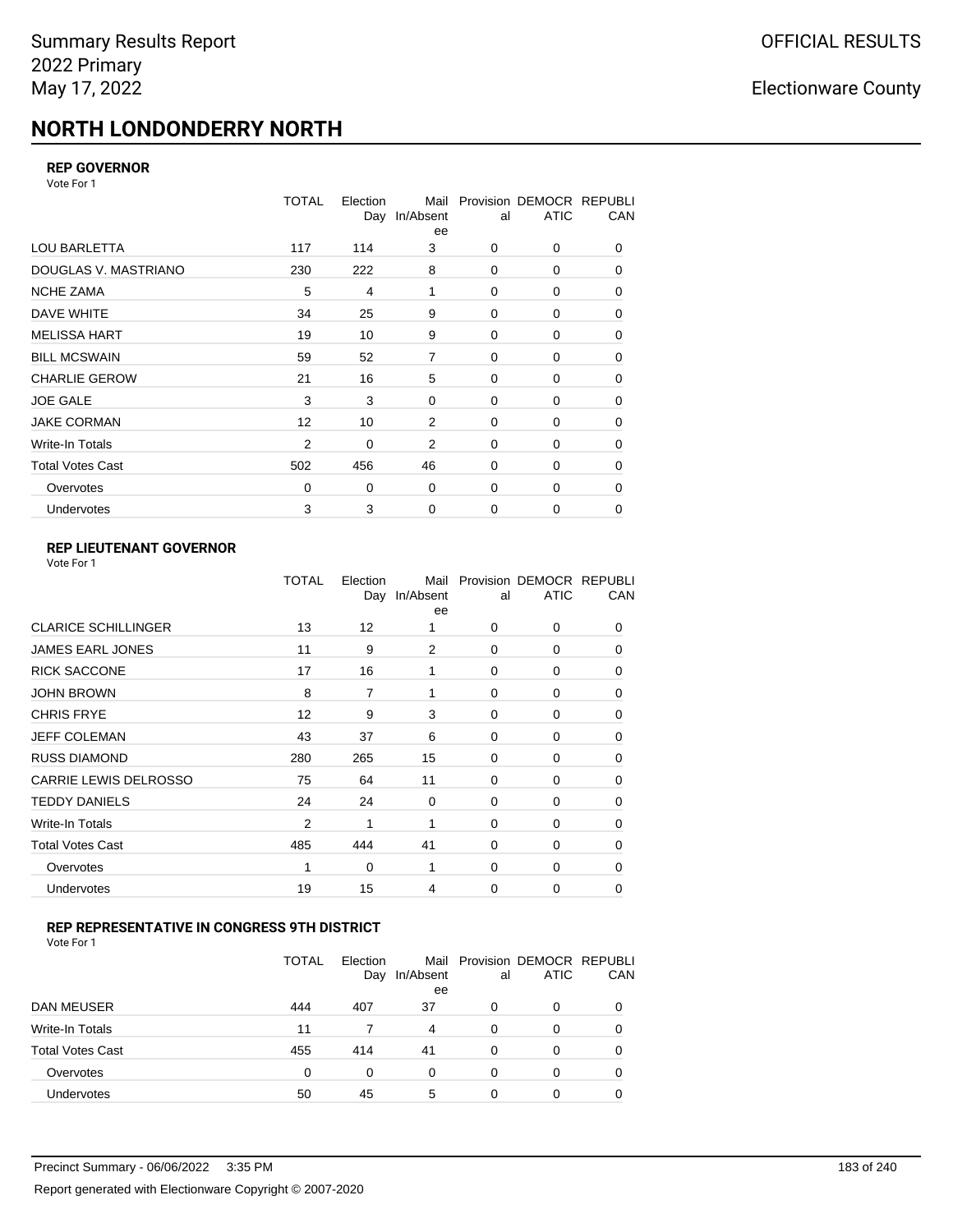# **NORTH LONDONDERRY NORTH**

### **REP GOVERNOR**

Vote For 1

|                         | <b>TOTAL</b> | Election<br>Day | Mail<br>In/Absent<br>ee | al          | Provision DEMOCR REPUBLI<br><b>ATIC</b> | CAN |
|-------------------------|--------------|-----------------|-------------------------|-------------|-----------------------------------------|-----|
| <b>LOU BARLETTA</b>     | 117          | 114             | 3                       | 0           | 0                                       | 0   |
| DOUGLAS V. MASTRIANO    | 230          | 222             | 8                       | 0           | 0                                       | 0   |
| <b>NCHE ZAMA</b>        | 5            | 4               | 1                       | $\Omega$    | 0                                       | 0   |
| DAVE WHITE              | 34           | 25              | 9                       | 0           | 0                                       | 0   |
| <b>MELISSA HART</b>     | 19           | 10              | 9                       | 0           | 0                                       | 0   |
| <b>BILL MCSWAIN</b>     | 59           | 52              | $\overline{7}$          | 0           | 0                                       | 0   |
| <b>CHARLIE GEROW</b>    | 21           | 16              | 5                       | $\Omega$    | $\Omega$                                | 0   |
| <b>JOE GALE</b>         | 3            | 3               | 0                       | $\mathbf 0$ | 0                                       | 0   |
| <b>JAKE CORMAN</b>      | 12           | 10              | 2                       | 0           | 0                                       | 0   |
| <b>Write-In Totals</b>  | 2            | 0               | 2                       | $\mathbf 0$ | 0                                       | 0   |
| <b>Total Votes Cast</b> | 502          | 456             | 46                      | $\mathbf 0$ | 0                                       | 0   |
| Overvotes               | 0            | 0               | 0                       | 0           | 0                                       | 0   |
| Undervotes              | 3            | 3               | $\mathbf 0$             | $\mathbf 0$ | 0                                       | 0   |

## **REP LIEUTENANT GOVERNOR**

|                            | TOTAL          | Election<br>Day | Mail<br>In/Absent<br>ee | al       | Provision DEMOCR REPUBLI<br><b>ATIC</b> | CAN      |
|----------------------------|----------------|-----------------|-------------------------|----------|-----------------------------------------|----------|
| <b>CLARICE SCHILLINGER</b> | 13             | 12              | 1                       | $\Omega$ | 0                                       | 0        |
| <b>JAMES EARL JONES</b>    | 11             | 9               | 2                       | $\Omega$ | $\Omega$                                | 0        |
| <b>RICK SACCONE</b>        | 17             | 16              | 1                       | $\Omega$ | 0                                       | 0        |
| JOHN BROWN                 | 8              | $\overline{7}$  | 1                       | $\Omega$ | $\Omega$                                | 0        |
| <b>CHRIS FRYE</b>          | 12             | 9               | 3                       | $\Omega$ | 0                                       | 0        |
| JEFF COLEMAN               | 43             | 37              | 6                       | $\Omega$ | $\Omega$                                | 0        |
| <b>RUSS DIAMOND</b>        | 280            | 265             | 15                      | $\Omega$ | 0                                       | 0        |
| CARRIE LEWIS DELROSSO      | 75             | 64              | 11                      | $\Omega$ | $\Omega$                                | 0        |
| <b>TEDDY DANIELS</b>       | 24             | 24              | 0                       | $\Omega$ | 0                                       | 0        |
| Write-In Totals            | $\overline{2}$ | 1               | 1                       | $\Omega$ | $\Omega$                                | 0        |
| Total Votes Cast           | 485            | 444             | 41                      | $\Omega$ | 0                                       | 0        |
| Overvotes                  | 1              | 0               | 1                       | $\Omega$ | 0                                       | $\Omega$ |
| <b>Undervotes</b>          | 19             | 15              | 4                       | $\Omega$ | $\Omega$                                | 0        |
|                            |                |                 |                         |          |                                         |          |

### **REP REPRESENTATIVE IN CONGRESS 9TH DISTRICT**

| Vote For 1 |  |  |
|------------|--|--|
|------------|--|--|

|                         | <b>TOTAL</b> | Election<br>Day | In/Absent<br>ee | al       | Mail Provision DEMOCR REPUBLI<br><b>ATIC</b> | CAN      |
|-------------------------|--------------|-----------------|-----------------|----------|----------------------------------------------|----------|
| DAN MEUSER              | 444          | 407             | 37              | 0        | 0                                            | $\Omega$ |
| Write-In Totals         | 11           |                 | 4               | $\Omega$ | 0                                            |          |
| <b>Total Votes Cast</b> | 455          | 414             | 41              | $\Omega$ | 0                                            |          |
| Overvotes               | 0            | 0               | 0               | 0        | 0                                            | 0        |
| Undervotes              | 50           | 45              | 5               | 0        | 0                                            |          |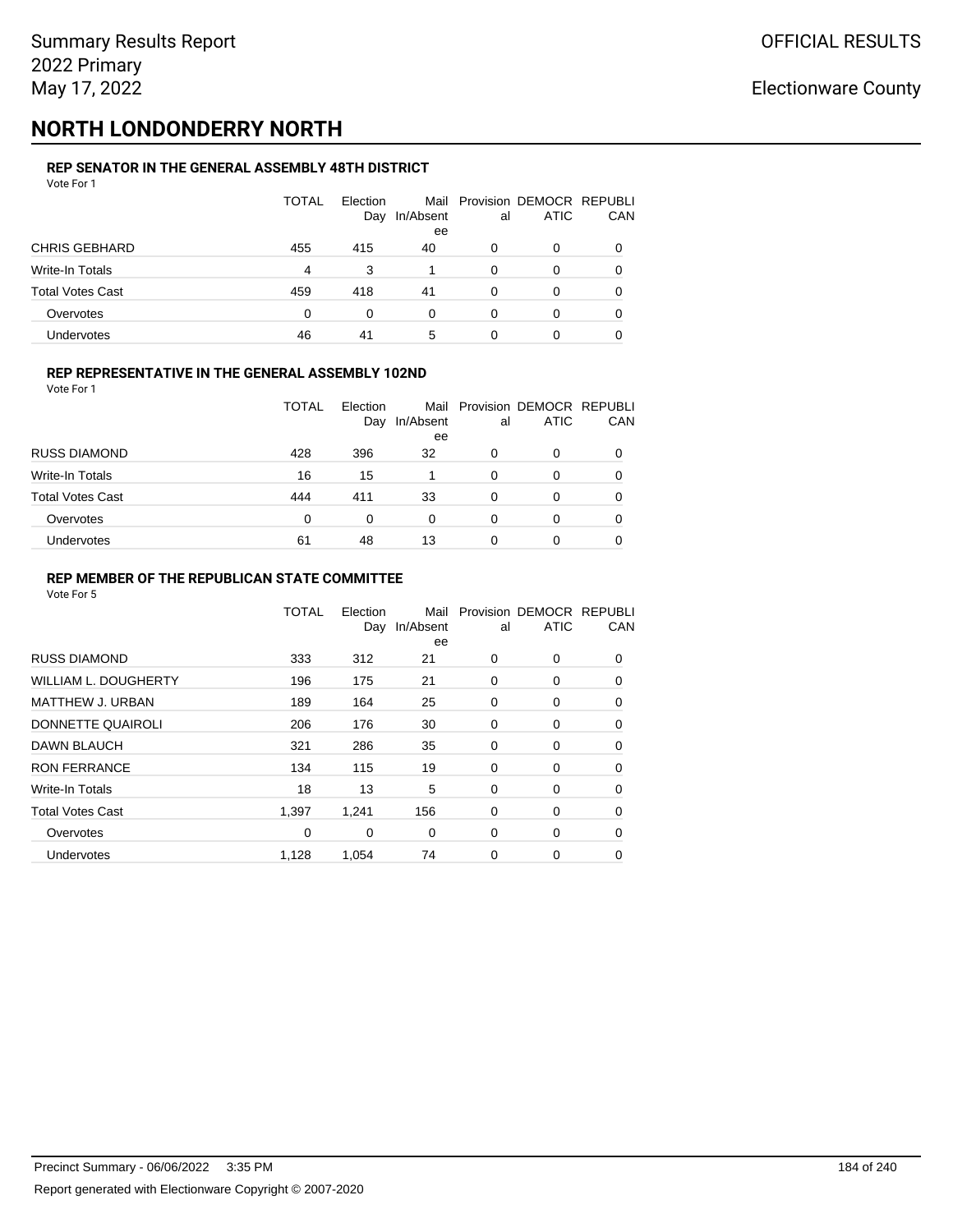# **NORTH LONDONDERRY NORTH**

#### **REP SENATOR IN THE GENERAL ASSEMBLY 48TH DISTRICT** Vote For 1

| 1 U U U U U             |              |                 |                 |    |                                              |          |
|-------------------------|--------------|-----------------|-----------------|----|----------------------------------------------|----------|
|                         | <b>TOTAL</b> | Election<br>Day | In/Absent<br>ee | al | Mail Provision DEMOCR REPUBLI<br><b>ATIC</b> | CAN      |
| <b>CHRIS GEBHARD</b>    | 455          | 415             | 40              | 0  | 0                                            |          |
| <b>Write-In Totals</b>  | 4            | 3               |                 | 0  | 0                                            |          |
| <b>Total Votes Cast</b> | 459          | 418             | 41              | 0  | 0                                            | $\Omega$ |
| Overvotes               | 0            | 0               | 0               | 0  | 0                                            |          |
| Undervotes              | 46           | 41              | 5               | 0  | 0                                            |          |

### **REP REPRESENTATIVE IN THE GENERAL ASSEMBLY 102ND**

Vote For 1

|                         | TOTAL | Election<br>Day | In/Absent | al | Mail Provision DEMOCR REPUBLI<br><b>ATIC</b> | <b>CAN</b> |
|-------------------------|-------|-----------------|-----------|----|----------------------------------------------|------------|
| <b>RUSS DIAMOND</b>     | 428   |                 | ee        |    | 0                                            |            |
|                         |       | 396             | 32        | 0  |                                              | 0          |
| Write-In Totals         | 16    | 15              |           | 0  | 0                                            | 0          |
| <b>Total Votes Cast</b> | 444   | 411             | 33        | 0  | 0                                            | 0          |
| Overvotes               | 0     | 0               | 0         | 0  | 0                                            | 0          |
| <b>Undervotes</b>       | 61    | 48              | 13        | O  |                                              | 0          |

### **REP MEMBER OF THE REPUBLICAN STATE COMMITTEE**

|                             | TOTAL | Election<br>Day | Mail<br>In/Absent<br>ee | al          | Provision DEMOCR REPUBLI<br><b>ATIC</b> | CAN      |
|-----------------------------|-------|-----------------|-------------------------|-------------|-----------------------------------------|----------|
| <b>RUSS DIAMOND</b>         | 333   | 312             | 21                      | 0           | 0                                       | 0        |
| <b>WILLIAM L. DOUGHERTY</b> | 196   | 175             | 21                      | 0           | 0                                       | 0        |
| MATTHEW J. URBAN            | 189   | 164             | 25                      | 0           | 0                                       | 0        |
| DONNETTE QUAIROLI           | 206   | 176             | 30                      | 0           | 0                                       | $\Omega$ |
| <b>DAWN BLAUCH</b>          | 321   | 286             | 35                      | $\mathbf 0$ | 0                                       | $\Omega$ |
| <b>RON FERRANCE</b>         | 134   | 115             | 19                      | 0           | 0                                       | 0        |
| Write-In Totals             | 18    | 13              | 5                       | 0           | 0                                       | 0        |
| <b>Total Votes Cast</b>     | 1,397 | 1,241           | 156                     | 0           | 0                                       | 0        |
| Overvotes                   | 0     | 0               | $\mathbf 0$             | 0           | 0                                       | 0        |
| <b>Undervotes</b>           | 1,128 | 1,054           | 74                      | 0           | 0                                       | 0        |
|                             |       |                 |                         |             |                                         |          |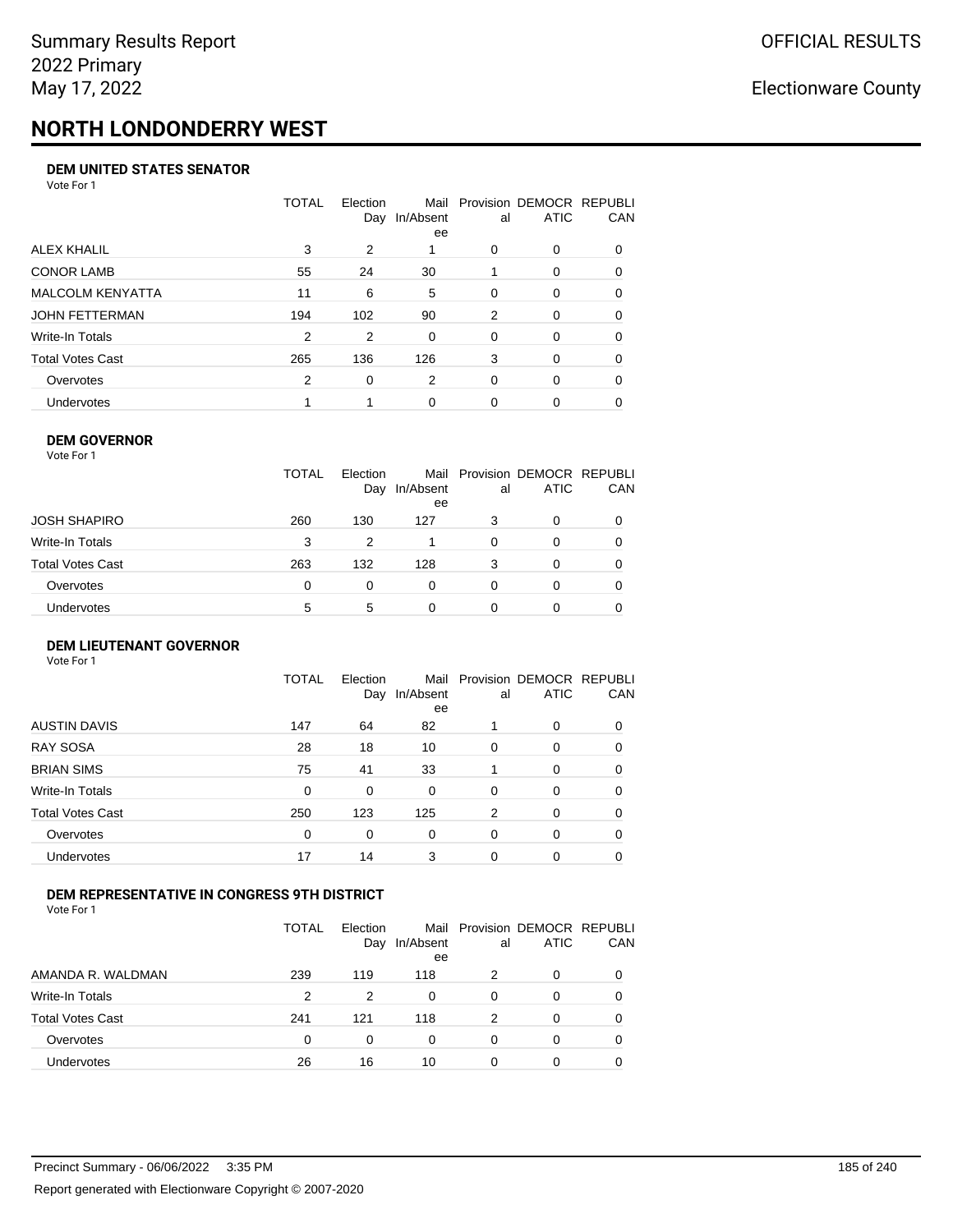# **NORTH LONDONDERRY WEST**

### **DEM UNITED STATES SENATOR**

Vote For 1

|                         | TOTAL | Election<br>Day | Mail<br>In/Absent<br>ee | al       | Provision DEMOCR REPUBLI<br><b>ATIC</b> | CAN      |
|-------------------------|-------|-----------------|-------------------------|----------|-----------------------------------------|----------|
| ALEX KHALIL             | 3     | 2               |                         | $\Omega$ | 0                                       | $\Omega$ |
| <b>CONOR LAMB</b>       | 55    | 24              | 30                      |          | 0                                       | 0        |
| <b>MALCOLM KENYATTA</b> | 11    | 6               | 5                       | $\Omega$ | $\Omega$                                | 0        |
| JOHN FETTERMAN          | 194   | 102             | 90                      | 2        | $\Omega$                                | $\Omega$ |
| Write-In Totals         | 2     | 2               | $\Omega$                | $\Omega$ | $\Omega$                                | $\Omega$ |
| Total Votes Cast        | 265   | 136             | 126                     | 3        | $\Omega$                                | $\Omega$ |
| Overvotes               | 2     | $\Omega$        | 2                       | $\Omega$ | $\Omega$                                | 0        |
| <b>Undervotes</b>       |       |                 | 0                       | 0        | 0                                       |          |

### **DEM GOVERNOR**

| Vote For 1       |              |                 |                         |    |                                         |            |
|------------------|--------------|-----------------|-------------------------|----|-----------------------------------------|------------|
|                  | <b>TOTAL</b> | Election<br>Day | Mail<br>In/Absent<br>ee | al | Provision DEMOCR REPUBLI<br><b>ATIC</b> | <b>CAN</b> |
| JOSH SHAPIRO     | 260          | 130             | 127                     | 3  | $\Omega$                                | 0          |
| Write-In Totals  | 3            | 2               |                         | 0  | 0                                       | 0          |
| Total Votes Cast | 263          | 132             | 128                     | 3  | $\Omega$                                | 0          |
| Overvotes        | 0            | 0               | 0                       | 0  | $\Omega$                                | 0          |
| Undervotes       | 5            | 5               | 0                       | 0  |                                         | 0          |

### **DEM LIEUTENANT GOVERNOR**

| Vote For 1              |              |                 |                   |    |                                         |             |
|-------------------------|--------------|-----------------|-------------------|----|-----------------------------------------|-------------|
|                         | <b>TOTAL</b> | Election<br>Day | Mail<br>In/Absent | al | Provision DEMOCR REPUBLI<br><b>ATIC</b> | CAN         |
|                         |              |                 | ee                |    |                                         |             |
| <b>AUSTIN DAVIS</b>     | 147          | 64              | 82                |    | $\Omega$                                | 0           |
| <b>RAY SOSA</b>         | 28           | 18              | 10                | 0  | $\Omega$                                | 0           |
| <b>BRIAN SIMS</b>       | 75           | 41              | 33                |    | $\Omega$                                | 0           |
| <b>Write-In Totals</b>  | 0            | $\Omega$        | $\Omega$          | 0  | $\Omega$                                | 0           |
| <b>Total Votes Cast</b> | 250          | 123             | 125               | 2  | $\Omega$                                | $\mathbf 0$ |
| Overvotes               | $\mathbf 0$  | $\Omega$        | 0                 | 0  | $\Omega$                                | 0           |
| Undervotes              | 17           | 14              | 3                 | 0  | $\Omega$                                | 0           |
|                         |              |                 |                   |    |                                         |             |

### **DEM REPRESENTATIVE IN CONGRESS 9TH DISTRICT**

Vote For 1

|                         | <b>TOTAL</b> | Flection<br>Day | Mail<br>In/Absent<br>ee | al | Provision DEMOCR REPUBLI<br><b>ATIC</b> | <b>CAN</b> |
|-------------------------|--------------|-----------------|-------------------------|----|-----------------------------------------|------------|
| AMANDA R. WALDMAN       | 239          | 119             | 118                     | 2  | 0                                       | $\Omega$   |
| Write-In Totals         | 2            | 2               | $\Omega$                | 0  | $\Omega$                                | 0          |
| <b>Total Votes Cast</b> | 241          | 121             | 118                     | 2  |                                         | 0          |
| Overvotes               | 0            | 0               | 0                       | 0  | 0                                       | 0          |
| Undervotes              | 26           | 16              | 10                      | 0  |                                         | 0          |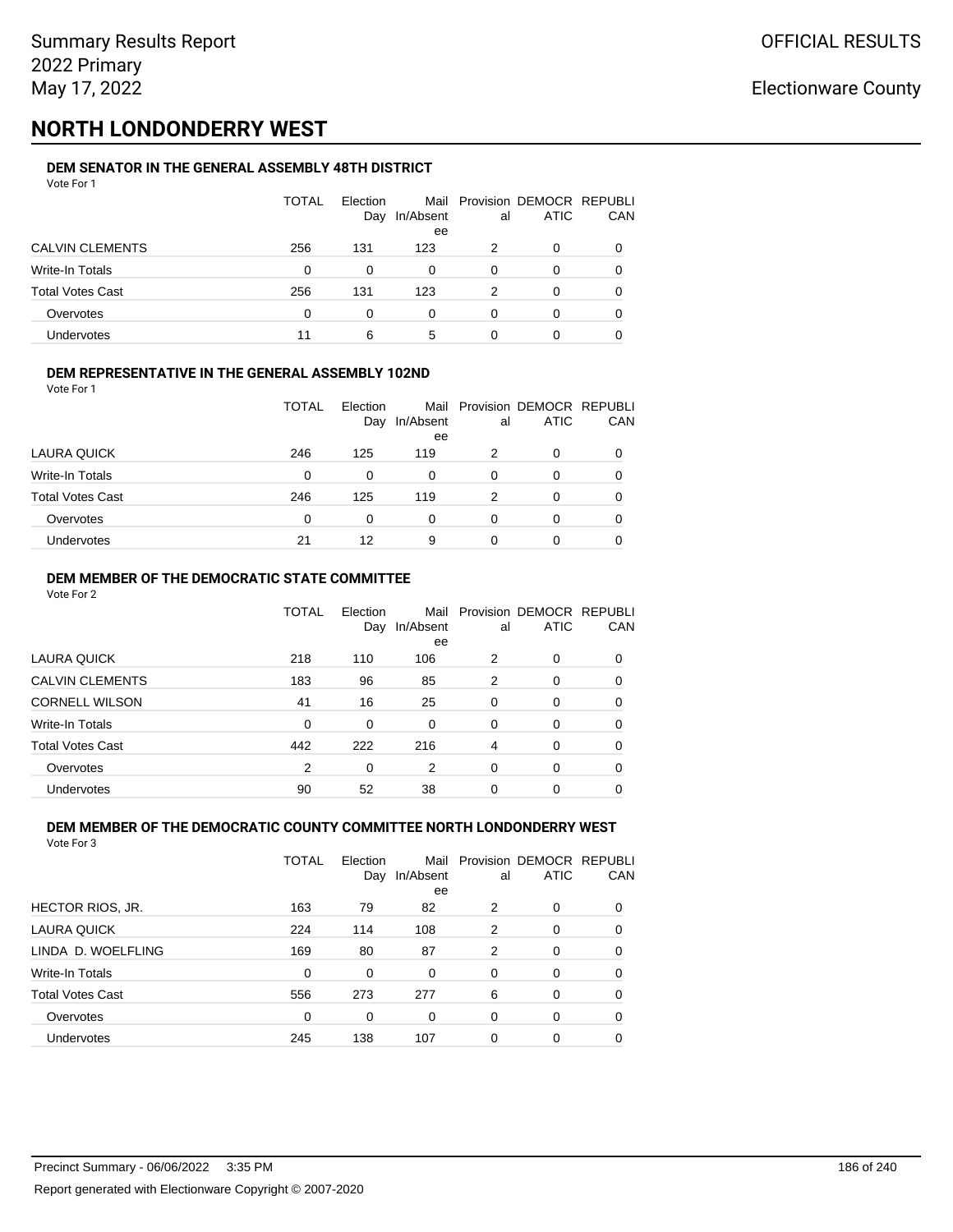# **NORTH LONDONDERRY WEST**

#### **DEM SENATOR IN THE GENERAL ASSEMBLY 48TH DISTRICT** Vote For 1

| 1 U U U                 |              |                 |           |    |                                              |              |
|-------------------------|--------------|-----------------|-----------|----|----------------------------------------------|--------------|
|                         | <b>TOTAL</b> | Election<br>Day | In/Absent | al | Mail Provision DEMOCR REPUBLI<br><b>ATIC</b> | CAN          |
|                         |              |                 | ee        |    |                                              |              |
| <b>CALVIN CLEMENTS</b>  | 256          | 131             | 123       |    | O                                            |              |
| Write-In Totals         | 0            | 0               | 0         | 0  | O                                            |              |
| <b>Total Votes Cast</b> | 256          | 131             | 123       | 2  | 0                                            | <sup>0</sup> |
| Overvotes               | 0            | 0               | 0         | 0  | O                                            |              |
| Undervotes              | 11           | 6               | 5         |    | 0                                            |              |

### **DEM REPRESENTATIVE IN THE GENERAL ASSEMBLY 102ND**

| Vote For 1 |  |  |
|------------|--|--|
|            |  |  |

|                         | TOTAL | Election<br>Day | In/Absent | al | Mail Provision DEMOCR REPUBLI<br><b>ATIC</b> | <b>CAN</b> |
|-------------------------|-------|-----------------|-----------|----|----------------------------------------------|------------|
|                         |       |                 | ee        |    |                                              |            |
| LAURA QUICK             | 246   | 125             | 119       | 2  | 0                                            | 0          |
| Write-In Totals         | 0     | 0               | 0         | 0  |                                              | 0          |
| <b>Total Votes Cast</b> | 246   | 125             | 119       | 2  | 0                                            | 0          |
| Overvotes               | 0     | 0               | 0         | 0  |                                              | 0          |
| Undervotes              | 21    | 12              | 9         | ი  |                                              | 0          |

### **DEM MEMBER OF THE DEMOCRATIC STATE COMMITTEE**

Vote For 2

|                         | TOTAL | Election<br>Day | Mail<br>In/Absent<br>ee | al       | Provision DEMOCR REPUBLI<br><b>ATIC</b> | CAN      |
|-------------------------|-------|-----------------|-------------------------|----------|-----------------------------------------|----------|
| LAURA QUICK             | 218   | 110             | 106                     | 2        | 0                                       | 0        |
| <b>CALVIN CLEMENTS</b>  | 183   | 96              | 85                      | 2        | 0                                       | 0        |
| <b>CORNELL WILSON</b>   | 41    | 16              | 25                      | $\Omega$ | 0                                       | 0        |
| Write-In Totals         | 0     | 0               | $\Omega$                | 0        | 0                                       | 0        |
| <b>Total Votes Cast</b> | 442   | 222             | 216                     | 4        | 0                                       | $\Omega$ |
| Overvotes               | 2     | 0               | 2                       | 0        | 0                                       | 0        |
| Undervotes              | 90    | 52              | 38                      | 0        | 0                                       |          |

#### **DEM MEMBER OF THE DEMOCRATIC COUNTY COMMITTEE NORTH LONDONDERRY WEST** Vote For 3

|                         | <b>TOTAL</b> | Election<br>Day | In/Absent<br>ee | al       | Mail Provision DEMOCR REPUBLI<br><b>ATIC</b> | CAN |
|-------------------------|--------------|-----------------|-----------------|----------|----------------------------------------------|-----|
| <b>HECTOR RIOS, JR.</b> | 163          | 79              | 82              | 2        | 0                                            | 0   |
| LAURA QUICK             | 224          | 114             | 108             | 2        | $\Omega$                                     | 0   |
| LINDA D. WOELFLING      | 169          | 80              | 87              | 2        | 0                                            | 0   |
| Write-In Totals         | 0            | $\Omega$        | $\Omega$        | 0        | $\Omega$                                     | 0   |
| <b>Total Votes Cast</b> | 556          | 273             | 277             | 6        | $\Omega$                                     | 0   |
| Overvotes               | 0            | 0               | 0               | 0        | $\Omega$                                     | 0   |
| Undervotes              | 245          | 138             | 107             | $\Omega$ | 0                                            | 0   |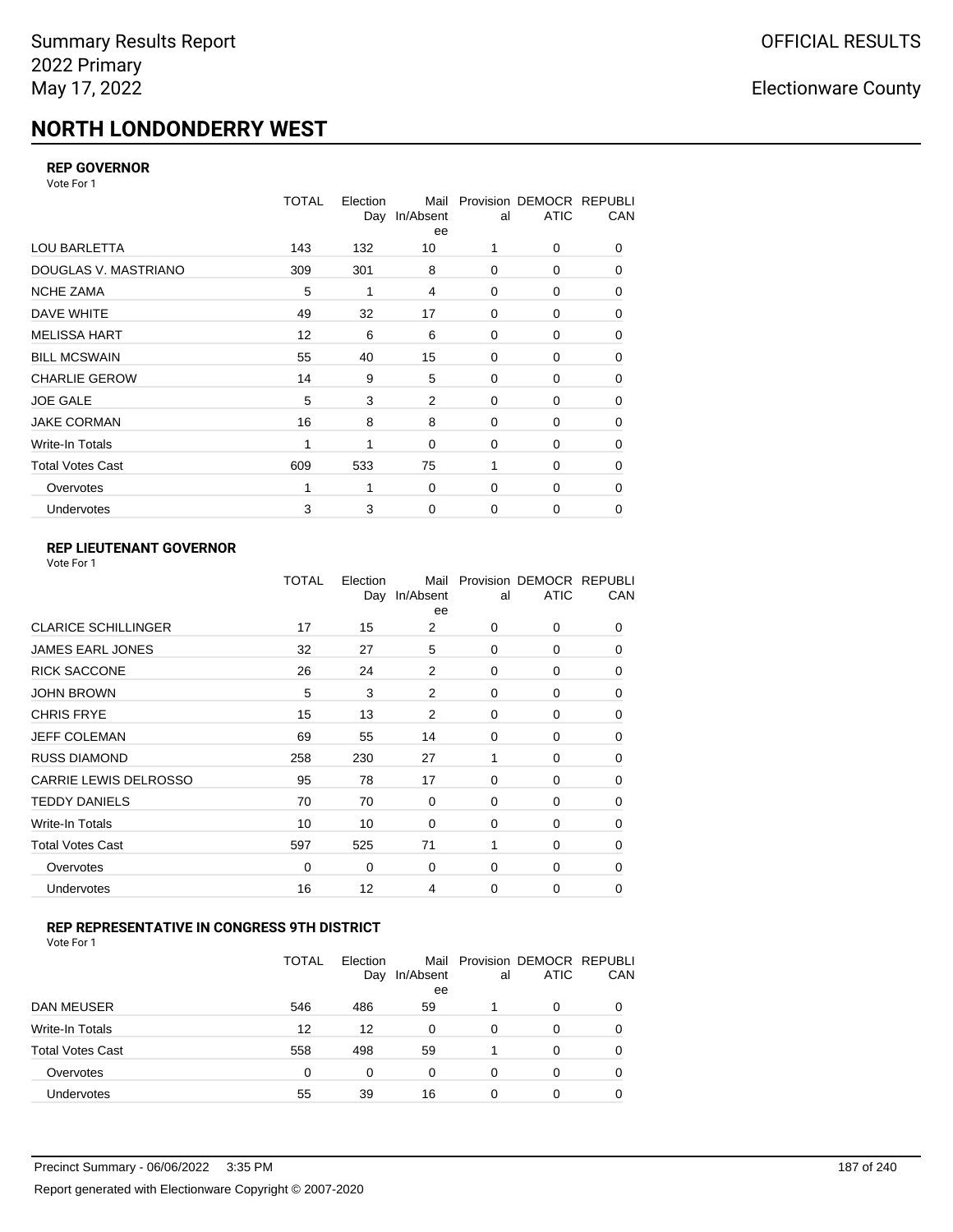# **NORTH LONDONDERRY WEST**

### **REP GOVERNOR**

Vote For 1

|                         | <b>TOTAL</b> | Election<br>Day | Mail<br>In/Absent<br>ee | al          | Provision DEMOCR REPUBLI<br><b>ATIC</b> | CAN |
|-------------------------|--------------|-----------------|-------------------------|-------------|-----------------------------------------|-----|
| <b>LOU BARLETTA</b>     | 143          | 132             | 10                      | 1           | 0                                       | 0   |
| DOUGLAS V. MASTRIANO    | 309          | 301             | 8                       | 0           | 0                                       | 0   |
| <b>NCHE ZAMA</b>        | 5            | 1               | 4                       | 0           | 0                                       | 0   |
| DAVE WHITE              | 49           | 32              | 17                      | 0           | 0                                       | 0   |
| <b>MELISSA HART</b>     | 12           | 6               | 6                       | $\mathbf 0$ | 0                                       | 0   |
| <b>BILL MCSWAIN</b>     | 55           | 40              | 15                      | 0           | 0                                       | 0   |
| <b>CHARLIE GEROW</b>    | 14           | 9               | 5                       | 0           | 0                                       | 0   |
| <b>JOE GALE</b>         | 5            | 3               | 2                       | 0           | 0                                       | 0   |
| <b>JAKE CORMAN</b>      | 16           | 8               | 8                       | $\Omega$    | 0                                       | 0   |
| Write-In Totals         | 1            | 1               | $\mathbf 0$             | 0           | 0                                       | 0   |
| <b>Total Votes Cast</b> | 609          | 533             | 75                      | 1           | 0                                       | 0   |
| Overvotes               |              | 1               | 0                       | 0           | 0                                       | 0   |
| <b>Undervotes</b>       | 3            | 3               | $\mathbf 0$             | $\mathbf 0$ | 0                                       | 0   |

## **REP LIEUTENANT GOVERNOR**

|                            | TOTAL | Election<br>Day | Mail<br>In/Absent<br>ee | al       | Provision DEMOCR REPUBLI<br><b>ATIC</b> | CAN      |
|----------------------------|-------|-----------------|-------------------------|----------|-----------------------------------------|----------|
| <b>CLARICE SCHILLINGER</b> | 17    | 15              | 2                       | $\Omega$ | 0                                       | 0        |
| JAMES EARL JONES           | 32    | 27              | 5                       | $\Omega$ | $\Omega$                                | 0        |
| <b>RICK SACCONE</b>        | 26    | 24              | 2                       | $\Omega$ | 0                                       | 0        |
| JOHN BROWN                 | 5     | 3               | 2                       | $\Omega$ | $\Omega$                                | 0        |
| CHRIS FRYE                 | 15    | 13              | 2                       | $\Omega$ | 0                                       | 0        |
| JEFF COLEMAN               | 69    | 55              | 14                      | 0        | $\Omega$                                | 0        |
| <b>RUSS DIAMOND</b>        | 258   | 230             | 27                      | 1        | 0                                       | 0        |
| CARRIE LEWIS DELROSSO      | 95    | 78              | 17                      | $\Omega$ | $\Omega$                                | 0        |
| <b>TEDDY DANIELS</b>       | 70    | 70              | 0                       | $\Omega$ | 0                                       | 0        |
| Write-In Totals            | 10    | 10              | 0                       | 0        | $\Omega$                                | 0        |
| Total Votes Cast           | 597   | 525             | 71                      | 1        | 0                                       | 0        |
| Overvotes                  | 0     | 0               | 0                       | 0        | 0                                       | $\Omega$ |
| <b>Undervotes</b>          | 16    | 12              | 4                       | $\Omega$ | 0                                       | 0        |
|                            |       |                 |                         |          |                                         |          |

### **REP REPRESENTATIVE IN CONGRESS 9TH DISTRICT**

|                         | <b>TOTAL</b> | Election<br>Day | In/Absent<br>ee | al | Mail Provision DEMOCR REPUBLI<br><b>ATIC</b> | CAN      |
|-------------------------|--------------|-----------------|-----------------|----|----------------------------------------------|----------|
| <b>DAN MEUSER</b>       | 546          | 486             | 59              |    | 0                                            | $\Omega$ |
| Write-In Totals         | 12           | 12              | 0               | 0  | 0                                            |          |
| <b>Total Votes Cast</b> | 558          | 498             | 59              |    | 0                                            | 0        |
| Overvotes               | $\Omega$     | 0               | $\Omega$        | 0  | 0                                            | 0        |
| Undervotes              | 55           | 39              | 16              | 0  | 0                                            |          |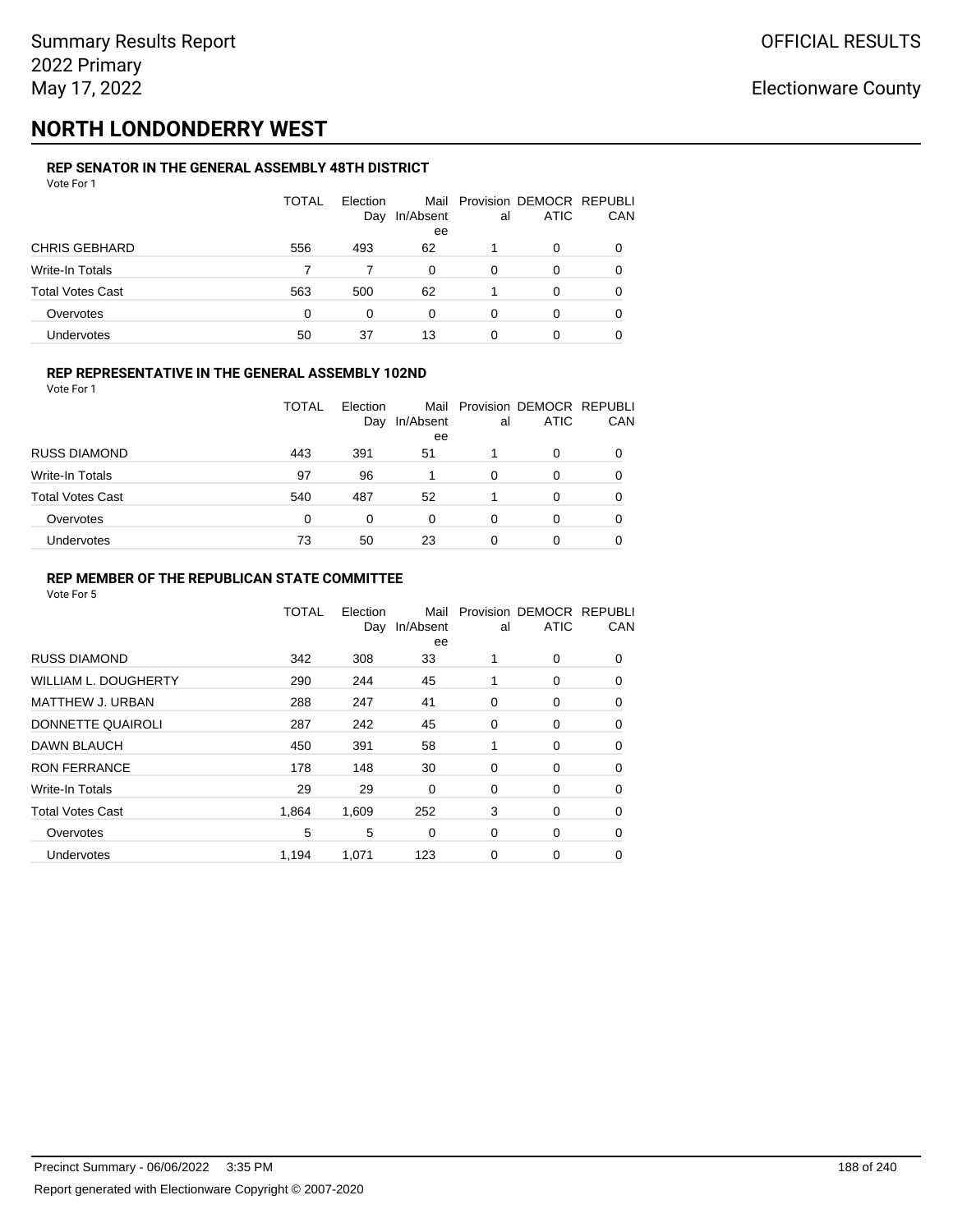# **NORTH LONDONDERRY WEST**

#### **REP SENATOR IN THE GENERAL ASSEMBLY 48TH DISTRICT** Vote For 1

| VULCIUII                |              |                 |           |    |                                              |          |
|-------------------------|--------------|-----------------|-----------|----|----------------------------------------------|----------|
|                         | <b>TOTAL</b> | Election<br>Day | In/Absent | al | Mail Provision DEMOCR REPUBLI<br><b>ATIC</b> | CAN      |
|                         |              |                 | ee        |    |                                              |          |
| <b>CHRIS GEBHARD</b>    | 556          | 493             | 62        |    | 0                                            |          |
| Write-In Totals         |              |                 | 0         | 0  | 0                                            |          |
| <b>Total Votes Cast</b> | 563          | 500             | 62        |    | 0                                            | $\Omega$ |
| Overvotes               | $\Omega$     | 0               | 0         | 0  | O                                            |          |
| <b>Undervotes</b>       | 50           | 37              | 13        | 0  | 0                                            |          |

### **REP REPRESENTATIVE IN THE GENERAL ASSEMBLY 102ND**

Vote For 1

|                         | TOTAL | Election<br>Day | In/Absent<br>ee | al | Mail Provision DEMOCR REPUBLI<br><b>ATIC</b> | <b>CAN</b> |
|-------------------------|-------|-----------------|-----------------|----|----------------------------------------------|------------|
| <b>RUSS DIAMOND</b>     | 443   | 391             | 51              |    | 0                                            | 0          |
| Write-In Totals         | 97    | 96              |                 | 0  | O                                            | 0          |
| <b>Total Votes Cast</b> | 540   | 487             | 52              |    | 0                                            | 0          |
| Overvotes               | 0     | $\Omega$        | 0               | 0  |                                              | 0          |
| Undervotes              | 73    | 50              | 23              | O  |                                              | 0          |

### **REP MEMBER OF THE REPUBLICAN STATE COMMITTEE**

|                             | <b>TOTAL</b> | Election<br>Day | Mail<br>In/Absent<br>ee | al | Provision DEMOCR REPUBLI<br><b>ATIC</b> | CAN      |
|-----------------------------|--------------|-----------------|-------------------------|----|-----------------------------------------|----------|
| <b>RUSS DIAMOND</b>         | 342          | 308             | 33                      | 1  | $\Omega$                                | 0        |
| <b>WILLIAM L. DOUGHERTY</b> | 290          | 244             | 45                      | 1  | 0                                       | 0        |
| MATTHEW J. URBAN            | 288          | 247             | 41                      | 0  | 0                                       | $\Omega$ |
| DONNETTE QUAIROLI           | 287          | 242             | 45                      | 0  | 0                                       | $\Omega$ |
| DAWN BLAUCH                 | 450          | 391             | 58                      | 1  | 0                                       | $\Omega$ |
| <b>RON FERRANCE</b>         | 178          | 148             | 30                      | 0  | 0                                       | 0        |
| Write-In Totals             | 29           | 29              | 0                       | 0  | 0                                       | 0        |
| <b>Total Votes Cast</b>     | 1.864        | 1,609           | 252                     | 3  | 0                                       | 0        |
| Overvotes                   | 5            | 5               | 0                       | 0  | 0                                       | $\Omega$ |
| <b>Undervotes</b>           | 1,194        | 1,071           | 123                     | 0  | 0                                       | 0        |
|                             |              |                 |                         |    |                                         |          |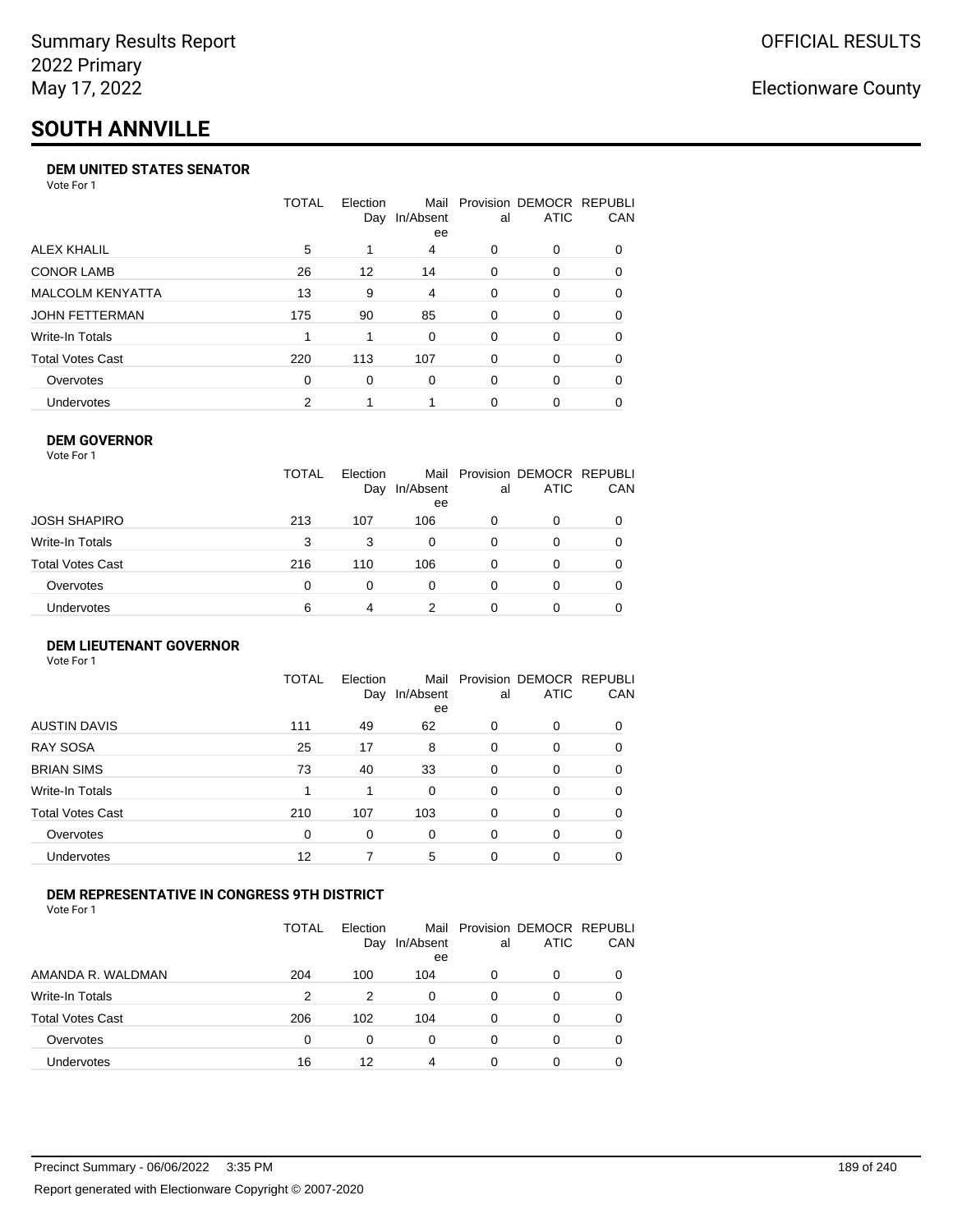# **SOUTH ANNVILLE**

### **DEM UNITED STATES SENATOR**

Vote For 1

|                         | TOTAL | Election<br>Day | Mail<br>In/Absent<br>ee | al       | Provision DEMOCR REPUBLI<br><b>ATIC</b> | <b>CAN</b> |
|-------------------------|-------|-----------------|-------------------------|----------|-----------------------------------------|------------|
| ALEX KHALIL             | 5     |                 | 4                       | 0        | $\Omega$                                | 0          |
| <b>CONOR LAMB</b>       | 26    | 12              | 14                      | 0        | $\Omega$                                | 0          |
| <b>MALCOLM KENYATTA</b> | 13    | 9               | 4                       | 0        | $\Omega$                                | 0          |
| JOHN FETTERMAN          | 175   | 90              | 85                      | $\Omega$ | $\Omega$                                | $\Omega$   |
| Write-In Totals         |       |                 | $\Omega$                | 0        | $\Omega$                                | 0          |
| Total Votes Cast        | 220   | 113             | 107                     | 0        | $\Omega$                                | $\Omega$   |
| Overvotes               | 0     | 0               | $\Omega$                | 0        | $\Omega$                                | 0          |
| <b>Undervotes</b>       | 2     |                 |                         | 0        |                                         | 0          |

### **DEM GOVERNOR**

| Vote For 1              |              |                 |                 |    |                                              |     |
|-------------------------|--------------|-----------------|-----------------|----|----------------------------------------------|-----|
|                         | <b>TOTAL</b> | Election<br>Day | In/Absent<br>ee | al | Mail Provision DEMOCR REPUBLI<br><b>ATIC</b> | CAN |
| JOSH SHAPIRO            | 213          | 107             | 106             | 0  | 0                                            |     |
| Write-In Totals         | 3            | 3               | 0               | 0  | 0                                            |     |
| <b>Total Votes Cast</b> | 216          | 110             | 106             | 0  | 0                                            | 0   |
| Overvotes               | 0            | 0               | 0               | 0  | 0                                            |     |
| Undervotes              | 6            | 4               | 2               | 0  | Ω                                            |     |

### **DEM LIEUTENANT GOVERNOR** Vote For 1

|                         | <b>TOTAL</b> | Election<br>Day | Mail<br>In/Absent<br>ee | al       | Provision DEMOCR REPUBLI<br><b>ATIC</b> | CAN      |
|-------------------------|--------------|-----------------|-------------------------|----------|-----------------------------------------|----------|
| <b>AUSTIN DAVIS</b>     | 111          | 49              | 62                      | 0        | 0                                       | 0        |
| <b>RAY SOSA</b>         | 25           | 17              | 8                       | 0        | 0                                       | 0        |
| <b>BRIAN SIMS</b>       | 73           | 40              | 33                      | 0        | 0                                       | 0        |
| Write-In Totals         |              | 1               | $\Omega$                | $\Omega$ | 0                                       | $\Omega$ |
| <b>Total Votes Cast</b> | 210          | 107             | 103                     | $\Omega$ | 0                                       | $\Omega$ |
| Overvotes               | 0            | 0               | $\Omega$                | $\Omega$ | 0                                       | $\Omega$ |
| Undervotes              | 12           |                 | 5                       | $\Omega$ | 0                                       |          |

### **DEM REPRESENTATIVE IN CONGRESS 9TH DISTRICT**

Vote For 1

|                         | TOTAL | <b>Flection</b><br>Day | Mail<br>In/Absent<br>ee | al | Provision DEMOCR REPUBLI<br><b>ATIC</b> | <b>CAN</b> |
|-------------------------|-------|------------------------|-------------------------|----|-----------------------------------------|------------|
| AMANDA R. WALDMAN       | 204   | 100                    | 104                     | O  | 0                                       | 0          |
| Write-In Totals         | 2     | 2                      | 0                       | 0  | $\Omega$                                | 0          |
| <b>Total Votes Cast</b> | 206   | 102                    | 104                     | 0  | $\Omega$                                | 0          |
| Overvotes               | 0     | 0                      | $\Omega$                | 0  | $\Omega$                                | 0          |
| <b>Undervotes</b>       | 16    | 12                     | 4                       | 0  |                                         | 0          |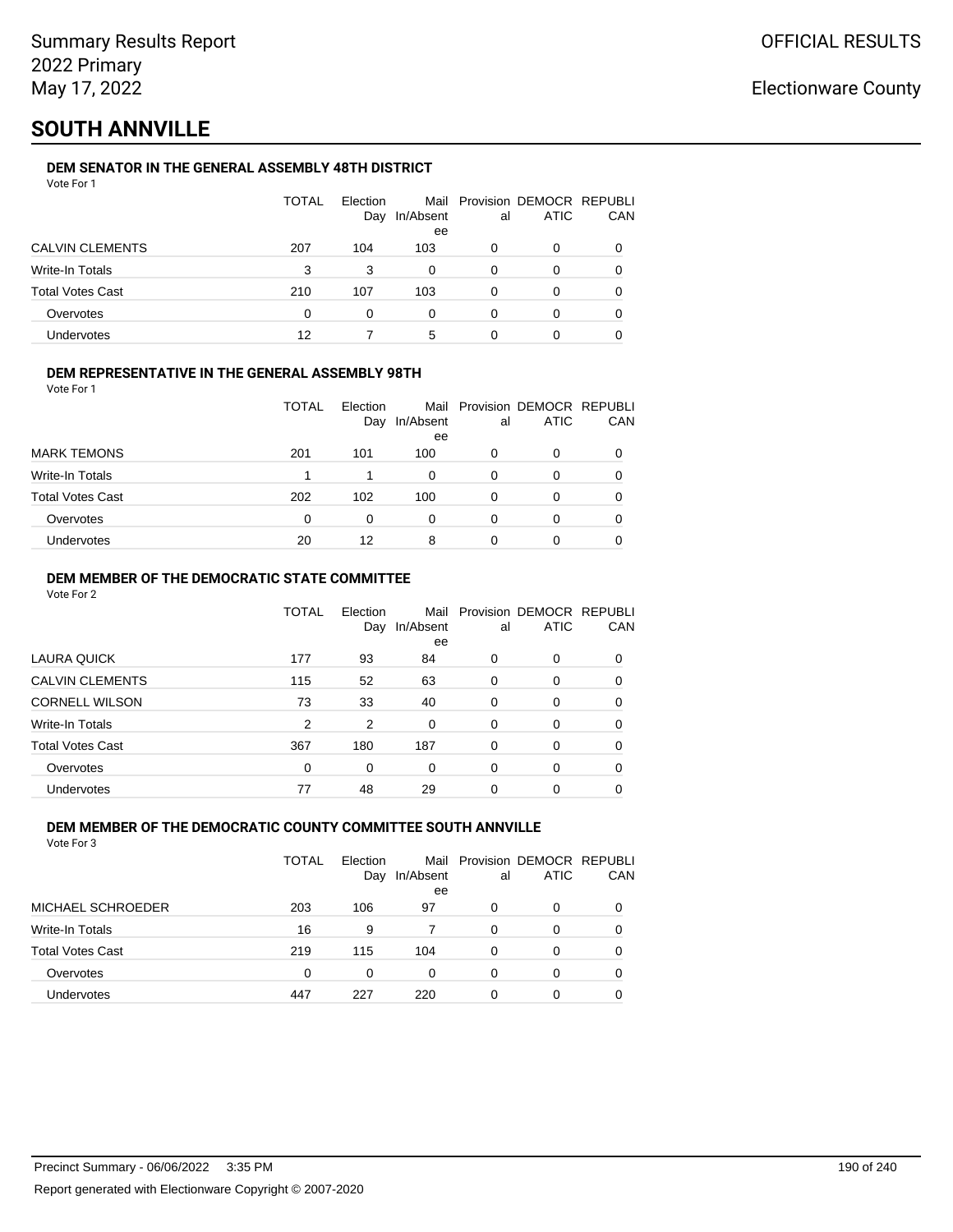# **SOUTH ANNVILLE**

### **DEM SENATOR IN THE GENERAL ASSEMBLY 48TH DISTRICT**

| Vote For 1 |  |  |
|------------|--|--|
|------------|--|--|

|                         | <b>TOTAL</b> | Election<br>Day | In/Absent<br>ee | al | Mail Provision DEMOCR REPUBLI<br>ATIC | CAN |
|-------------------------|--------------|-----------------|-----------------|----|---------------------------------------|-----|
| <b>CALVIN CLEMENTS</b>  | 207          | 104             | 103             | 0  | 0                                     |     |
| Write-In Totals         | 3            | 3               | 0               | 0  | 0                                     |     |
| <b>Total Votes Cast</b> | 210          | 107             | 103             | 0  | 0                                     |     |
| Overvotes               | 0            | 0               | 0               | 0  | 0                                     |     |
| Undervotes              | 12           |                 | 5               | 0  |                                       |     |

### **DEM REPRESENTATIVE IN THE GENERAL ASSEMBLY 98TH**

Vote For 1

|                         | TOTAL | Election<br>Day | Mail<br>In/Absent<br>ee | al | Provision DEMOCR REPUBLI<br><b>ATIC</b> | <b>CAN</b> |
|-------------------------|-------|-----------------|-------------------------|----|-----------------------------------------|------------|
| <b>MARK TEMONS</b>      | 201   | 101             | 100                     | 0  | 0                                       | 0          |
| Write-In Totals         |       |                 | $\Omega$                | 0  |                                         | 0          |
| <b>Total Votes Cast</b> | 202   | 102             | 100                     | O  | 0                                       | 0          |
| Overvotes               | 0     |                 | 0                       | 0  |                                         | 0          |
| Undervotes              | 20    | 12              | 8                       |    |                                         | 0          |

### **DEM MEMBER OF THE DEMOCRATIC STATE COMMITTEE**

Vote For 2

|                         | TOTAL | Election<br>Day | Mail<br>In/Absent<br>ee | al       | Provision DEMOCR REPUBLI<br><b>ATIC</b> | CAN |
|-------------------------|-------|-----------------|-------------------------|----------|-----------------------------------------|-----|
| LAURA QUICK             | 177   | 93              | 84                      | 0        | $\Omega$                                | 0   |
| <b>CALVIN CLEMENTS</b>  | 115   | 52              | 63                      | $\Omega$ | 0                                       | 0   |
| <b>CORNELL WILSON</b>   | 73    | 33              | 40                      | $\Omega$ | $\Omega$                                | 0   |
| Write-In Totals         | 2     | 2               | $\Omega$                | 0        | $\Omega$                                | 0   |
| <b>Total Votes Cast</b> | 367   | 180             | 187                     | $\Omega$ | $\Omega$                                | 0   |
| Overvotes               | 0     | 0               | 0                       | $\Omega$ | $\Omega$                                | 0   |
| Undervotes              | 77    | 48              | 29                      | 0        | 0                                       |     |

### **DEM MEMBER OF THE DEMOCRATIC COUNTY COMMITTEE SOUTH ANNVILLE**

| <b>ATIC</b><br>In/Absent<br>Day<br>al                  | Mail Provision DEMOCR REPUBLI |
|--------------------------------------------------------|-------------------------------|
|                                                        | CAN                           |
| ee                                                     |                               |
| <b>MICHAEL SCHROEDER</b><br>203<br>106<br>97<br>0<br>0 |                               |
| Write-In Totals<br>16<br>9<br>0<br>O                   |                               |
| <b>Total Votes Cast</b><br>219<br>104<br>115<br>0<br>O |                               |
| $\Omega$<br>Overvotes<br>0<br>0<br>0<br>0              |                               |
| <b>Undervotes</b><br>447<br>220<br>227<br>0<br>0       |                               |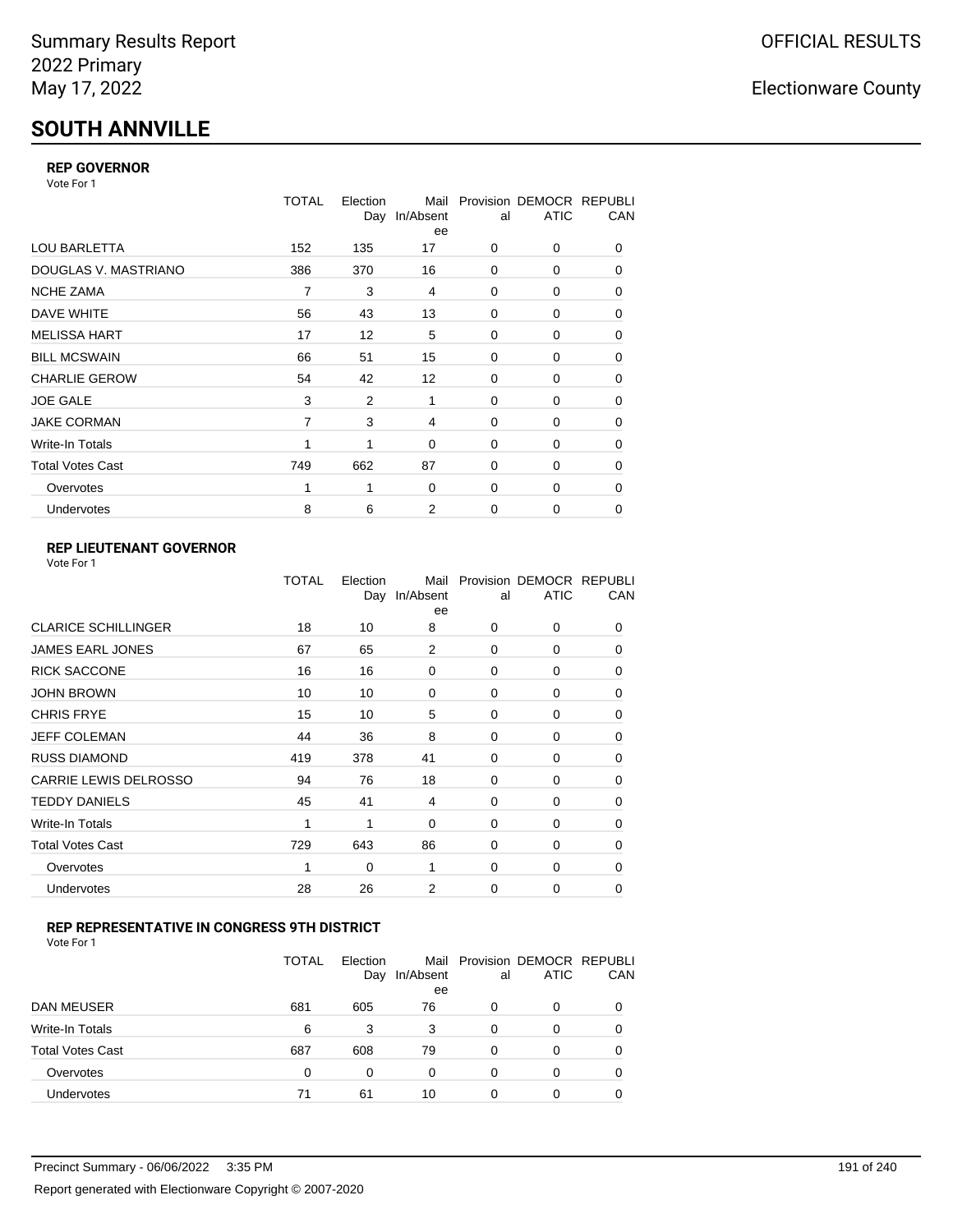# **SOUTH ANNVILLE**

### **REP GOVERNOR**

Vote For 1

|                         | <b>TOTAL</b> | Election<br>Day | Mail<br>In/Absent<br>ee | al       | Provision DEMOCR REPUBLI<br><b>ATIC</b> | CAN |
|-------------------------|--------------|-----------------|-------------------------|----------|-----------------------------------------|-----|
| <b>LOU BARLETTA</b>     | 152          | 135             | 17                      | 0        | 0                                       | 0   |
| DOUGLAS V. MASTRIANO    | 386          | 370             | 16                      | 0        | 0                                       | 0   |
| <b>NCHE ZAMA</b>        | 7            | 3               | 4                       | 0        | 0                                       | 0   |
| DAVE WHITE              | 56           | 43              | 13                      | 0        | 0                                       | 0   |
| <b>MELISSA HART</b>     | 17           | 12              | 5                       | 0        | 0                                       | 0   |
| <b>BILL MCSWAIN</b>     | 66           | 51              | 15                      | 0        | 0                                       | 0   |
| <b>CHARLIE GEROW</b>    | 54           | 42              | 12                      | $\Omega$ | $\Omega$                                | 0   |
| <b>JOE GALE</b>         | 3            | 2               | 1                       | 0        | 0                                       | 0   |
| <b>JAKE CORMAN</b>      | 7            | 3               | 4                       | 0        | 0                                       | 0   |
| Write-In Totals         |              | 1               | 0                       | 0        | 0                                       | 0   |
| <b>Total Votes Cast</b> | 749          | 662             | 87                      | $\Omega$ | 0                                       | 0   |
| Overvotes               | 1            | 1               | 0                       | 0        | 0                                       | 0   |
| <b>Undervotes</b>       | 8            | 6               | 2                       | 0        | $\Omega$                                | 0   |

## **REP LIEUTENANT GOVERNOR**

|                              | TOTAL | Election<br>Day | Mail<br>In/Absent<br>ee | al       | Provision DEMOCR REPUBLI<br><b>ATIC</b> | CAN      |
|------------------------------|-------|-----------------|-------------------------|----------|-----------------------------------------|----------|
| <b>CLARICE SCHILLINGER</b>   | 18    | 10              | 8                       | 0        | 0                                       | 0        |
| JAMES EARL JONES             | 67    | 65              | 2                       | $\Omega$ | $\Omega$                                | $\Omega$ |
| <b>RICK SACCONE</b>          | 16    | 16              | 0                       | 0        | 0                                       | 0        |
| <b>JOHN BROWN</b>            | 10    | 10              | 0                       | 0        | $\Omega$                                | 0        |
| <b>CHRIS FRYE</b>            | 15    | 10              | 5                       | 0        | 0                                       | 0        |
| <b>JEFF COLEMAN</b>          | 44    | 36              | 8                       | 0        | 0                                       | $\Omega$ |
| <b>RUSS DIAMOND</b>          | 419   | 378             | 41                      | $\Omega$ | 0                                       | 0        |
| <b>CARRIE LEWIS DELROSSO</b> | 94    | 76              | 18                      | $\Omega$ | 0                                       | $\Omega$ |
| <b>TEDDY DANIELS</b>         | 45    | 41              | 4                       | 0        | 0                                       | $\Omega$ |
| Write-In Totals              | 1     | 1               | 0                       | 0        | 0                                       | $\Omega$ |
| <b>Total Votes Cast</b>      | 729   | 643             | 86                      | 0        | 0                                       | 0        |
| Overvotes                    | 1     | 0               | 1                       | 0        | 0                                       | $\Omega$ |
| Undervotes                   | 28    | 26              | 2                       | 0        | 0                                       | 0        |
|                              |       |                 |                         |          |                                         |          |

### **REP REPRESENTATIVE IN CONGRESS 9TH DISTRICT**

| Vote For 1 |  |  |
|------------|--|--|
|------------|--|--|

|                         | TOTAL | Election<br>Day | In/Absent<br>ee | al       | Mail Provision DEMOCR REPUBLI<br><b>ATIC</b> | CAN      |
|-------------------------|-------|-----------------|-----------------|----------|----------------------------------------------|----------|
| <b>DAN MEUSER</b>       | 681   | 605             | 76              | 0        | 0                                            | $\Omega$ |
| Write-In Totals         | 6     | 3               | 3               | 0        | 0                                            |          |
| <b>Total Votes Cast</b> | 687   | 608             | 79              | $\Omega$ | 0                                            |          |
| Overvotes               | 0     | 0               | 0               | 0        | 0                                            | 0        |
| <b>Undervotes</b>       | 71    | 61              | 10              | 0        | 0                                            |          |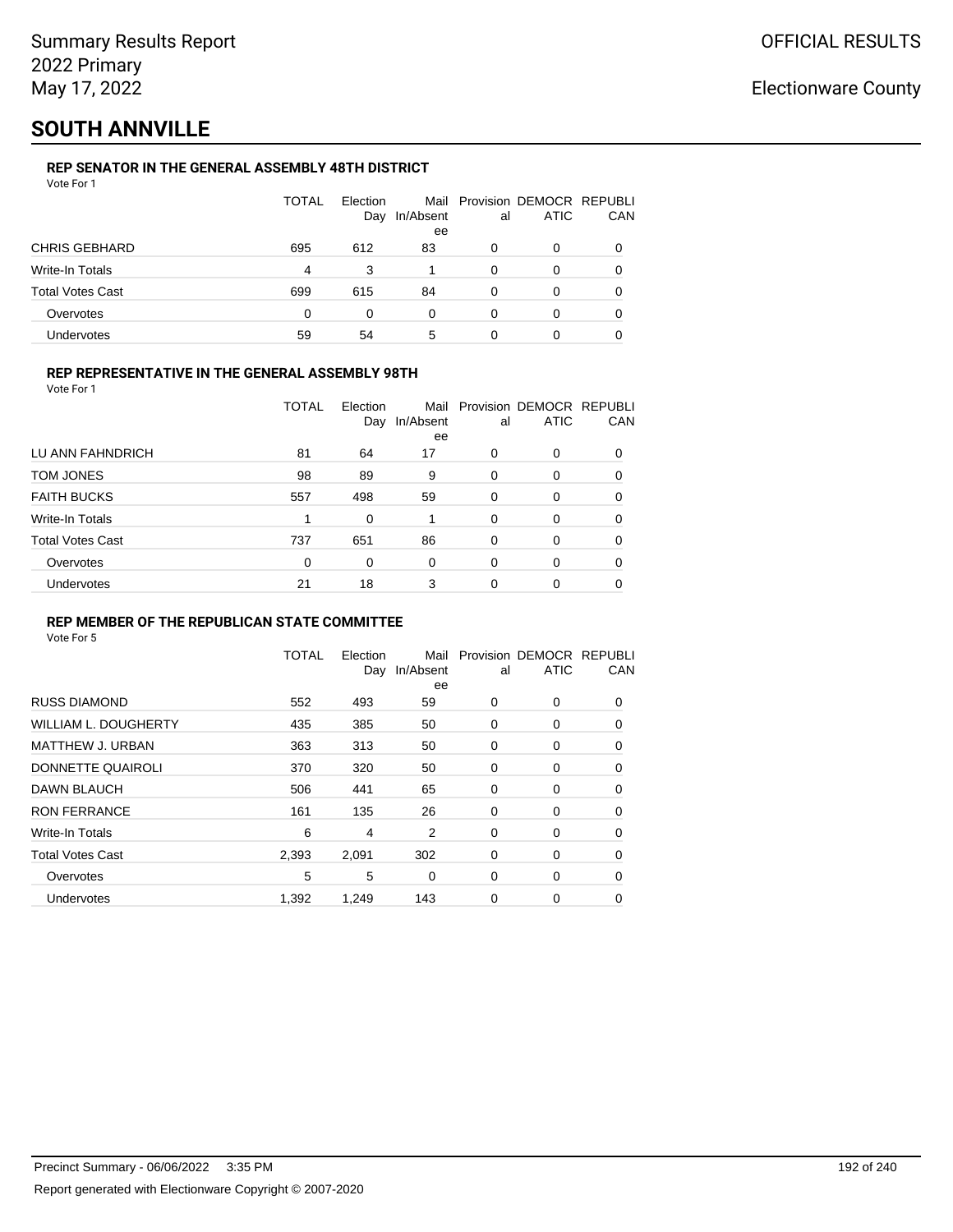# **SOUTH ANNVILLE**

### **REP SENATOR IN THE GENERAL ASSEMBLY 48TH DISTRICT**

|  | Vote For 1 |  |  |
|--|------------|--|--|
|  |            |  |  |

|                         | TOTAL    | Election<br>Day | In/Absent | al | Mail Provision DEMOCR REPUBLI<br>ATIC | CAN |
|-------------------------|----------|-----------------|-----------|----|---------------------------------------|-----|
|                         |          |                 | ee        |    |                                       |     |
| <b>CHRIS GEBHARD</b>    | 695      | 612             | 83        | 0  | O                                     |     |
| Write-In Totals         | 4        | 3               |           | 0  | O                                     |     |
| <b>Total Votes Cast</b> | 699      | 615             | 84        | 0  | O                                     |     |
| Overvotes               | $\Omega$ | 0               | 0         | 0  | 0                                     |     |
| <b>Undervotes</b>       | 59       | 54              | 5         | 0  | 0                                     |     |

### **REP REPRESENTATIVE IN THE GENERAL ASSEMBLY 98TH**

|                  | TOTAL | Election | Day In/Absent<br>ee | al al | Mail Provision DEMOCR REPUB<br>ATIC | СA |
|------------------|-------|----------|---------------------|-------|-------------------------------------|----|
| LU ANN FAHNDRICH | 81    | 64       | 17                  |       |                                     |    |
| TOM JONES        | 98    | 89       |                     |       |                                     |    |

| TOM JONES          | 98  | 89  | 9  |   | O | 0 |
|--------------------|-----|-----|----|---|---|---|
| <b>FAITH BUCKS</b> | 557 | 498 | 59 | 0 | 0 | 0 |
| Write-In Totals    |     | ი   |    |   |   | 0 |
| Total Votes Cast   | 737 | 651 | 86 | 0 | 0 | 0 |
| Overvotes          | ŋ   | 0   |    |   |   | 0 |
| Undervotes         | 21  | 18  | 3  |   |   | 0 |

Mail Provision DEMOCR REPUBLI

CAN

### **REP MEMBER OF THE REPUBLICAN STATE COMMITTEE**

Vote For 5

|                             | <b>TOTAL</b> | Election<br>Day | Mail<br>In/Absent<br>ee | al          | Provision DEMOCR REPUBLI<br><b>ATIC</b> | CAN      |
|-----------------------------|--------------|-----------------|-------------------------|-------------|-----------------------------------------|----------|
| <b>RUSS DIAMOND</b>         | 552          | 493             | 59                      | 0           | 0                                       | 0        |
| <b>WILLIAM L. DOUGHERTY</b> | 435          | 385             | 50                      | 0           | 0                                       | 0        |
| MATTHEW J. URBAN            | 363          | 313             | 50                      | 0           | 0                                       | 0        |
| DONNETTE QUAIROLI           | 370          | 320             | 50                      | 0           | 0                                       | 0        |
| DAWN BLAUCH                 | 506          | 441             | 65                      | 0           | 0                                       | 0        |
| <b>RON FERRANCE</b>         | 161          | 135             | 26                      | 0           | 0                                       | 0        |
| Write-In Totals             | 6            | 4               | 2                       | $\mathbf 0$ | 0                                       | $\Omega$ |
| <b>Total Votes Cast</b>     | 2,393        | 2,091           | 302                     | 0           | 0                                       | $\Omega$ |
| Overvotes                   | 5            | 5               | 0                       | 0           | 0                                       | 0        |
| <b>Undervotes</b>           | 1,392        | 1,249           | 143                     | 0           | 0                                       | 0        |
|                             |              |                 |                         |             |                                         |          |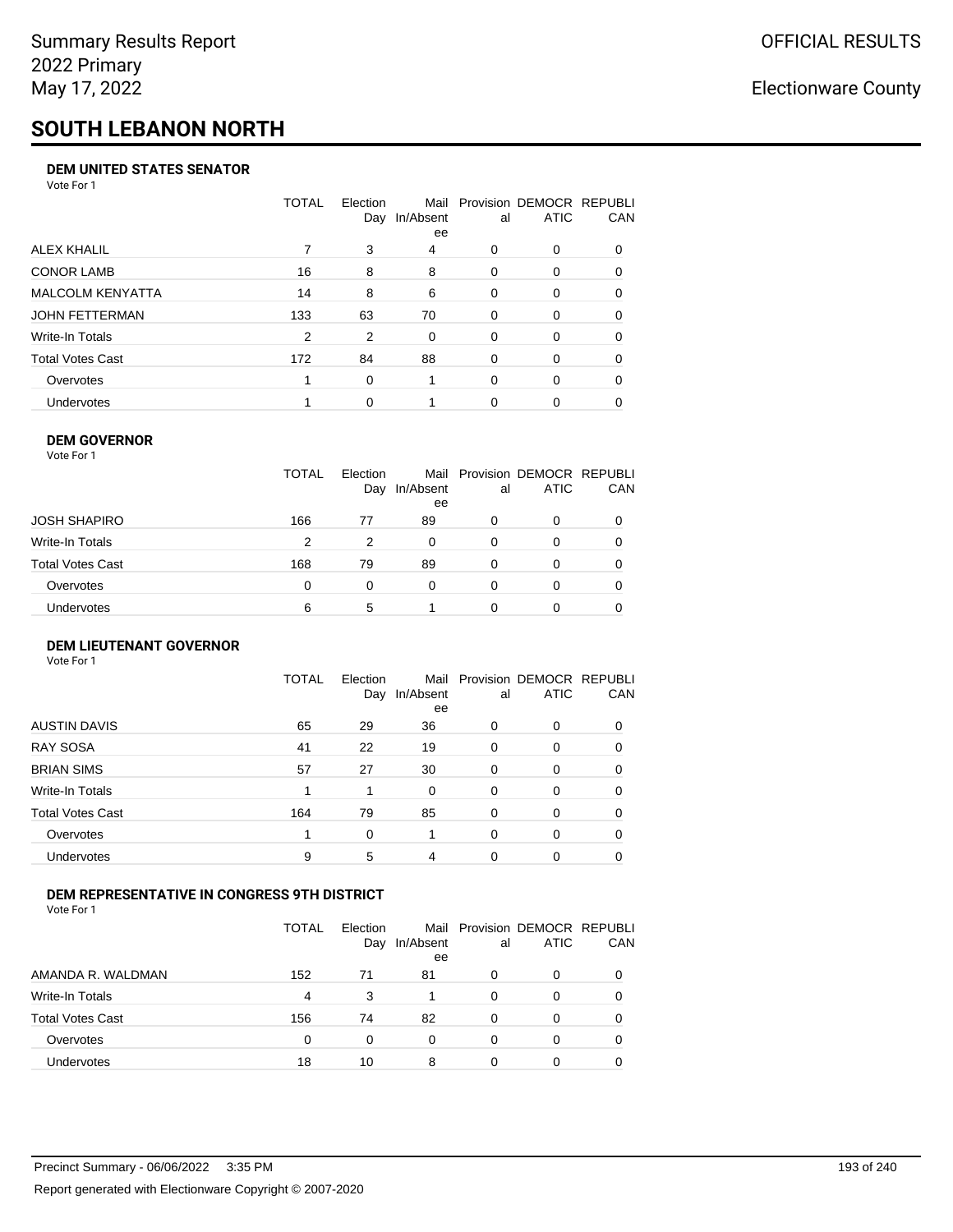# **SOUTH LEBANON NORTH**

### **DEM UNITED STATES SENATOR**

Vote For 1

|                         | TOTAL | Election<br>Day | Mail<br>In/Absent<br>ee | al       | Provision DEMOCR REPUBLI<br>ATIC | CAN      |
|-------------------------|-------|-----------------|-------------------------|----------|----------------------------------|----------|
| ALEX KHALIL             |       | 3               | 4                       | 0        | $\Omega$                         | $\Omega$ |
| <b>CONOR LAMB</b>       | 16    | 8               | 8                       | $\Omega$ | 0                                | 0        |
| <b>MALCOLM KENYATTA</b> | 14    | 8               | 6                       | $\Omega$ | 0                                | 0        |
| JOHN FETTERMAN          | 133   | 63              | 70                      | $\Omega$ | 0                                | $\Omega$ |
| Write-In Totals         | 2     | 2               | 0                       | $\Omega$ | $\Omega$                         | $\Omega$ |
| Total Votes Cast        | 172   | 84              | 88                      | $\Omega$ | $\Omega$                         | 0        |
| Overvotes               |       | $\Omega$        |                         | $\Omega$ | $\Omega$                         | 0        |
| <b>Undervotes</b>       |       | $\Omega$        |                         | 0        | 0                                |          |

### **DEM GOVERNOR**

| Vote For 1       |              |                 |                 |          |                                              |          |
|------------------|--------------|-----------------|-----------------|----------|----------------------------------------------|----------|
|                  | <b>TOTAL</b> | Election<br>Day | In/Absent<br>ee | al       | Mail Provision DEMOCR REPUBLI<br><b>ATIC</b> | CAN      |
| JOSH SHAPIRO     | 166          | 77              | 89              | 0        | 0                                            |          |
| Write-In Totals  | 2            | 2               | $\Omega$        | $\Omega$ | 0                                            | $\Omega$ |
| Total Votes Cast | 168          | 79              | 89              | 0        | 0                                            | 0        |
| Overvotes        | 0            | 0               | $\Omega$        | 0        | 0                                            | 0        |
| Undervotes       | 6            | 5               |                 |          | 0                                            |          |

### **DEM LIEUTENANT GOVERNOR** Vote For 1

|                         | TOTAL | Election<br>Day | In/Absent<br>ee | al       | Mail Provision DEMOCR REPUBLI<br><b>ATIC</b> | CAN      |
|-------------------------|-------|-----------------|-----------------|----------|----------------------------------------------|----------|
| <b>AUSTIN DAVIS</b>     | 65    | 29              | 36              | 0        | 0                                            | 0        |
| <b>RAY SOSA</b>         | 41    | 22              | 19              | 0        | 0                                            | 0        |
| <b>BRIAN SIMS</b>       | 57    | 27              | 30              | 0        | $\Omega$                                     | $\Omega$ |
| Write-In Totals         | 1     |                 | $\Omega$        | $\Omega$ | $\Omega$                                     | $\Omega$ |
| <b>Total Votes Cast</b> | 164   | 79              | 85              | $\Omega$ | 0                                            | $\Omega$ |
| Overvotes               | 1     | 0               |                 | $\Omega$ | $\Omega$                                     | $\Omega$ |
| <b>Undervotes</b>       | 9     | 5               | 4               | 0        | 0                                            | 0        |
|                         |       |                 |                 |          |                                              |          |

### **DEM REPRESENTATIVE IN CONGRESS 9TH DISTRICT**

|                         | TOTAL | <b>Flection</b><br>Day | Mail<br>In/Absent<br>ee | al | Provision DEMOCR REPUBLI<br><b>ATIC</b> | <b>CAN</b> |
|-------------------------|-------|------------------------|-------------------------|----|-----------------------------------------|------------|
| AMANDA R. WALDMAN       | 152   | 71                     | 81                      | 0  | 0                                       | 0          |
| Write-In Totals         | 4     | 3                      |                         | 0  |                                         | 0          |
| <b>Total Votes Cast</b> | 156   | 74                     | 82                      | 0  |                                         | 0          |
| Overvotes               | 0     | 0                      | 0                       | 0  | $\Omega$                                | 0          |
| Undervotes              | 18    | 10                     | 8                       |    |                                         |            |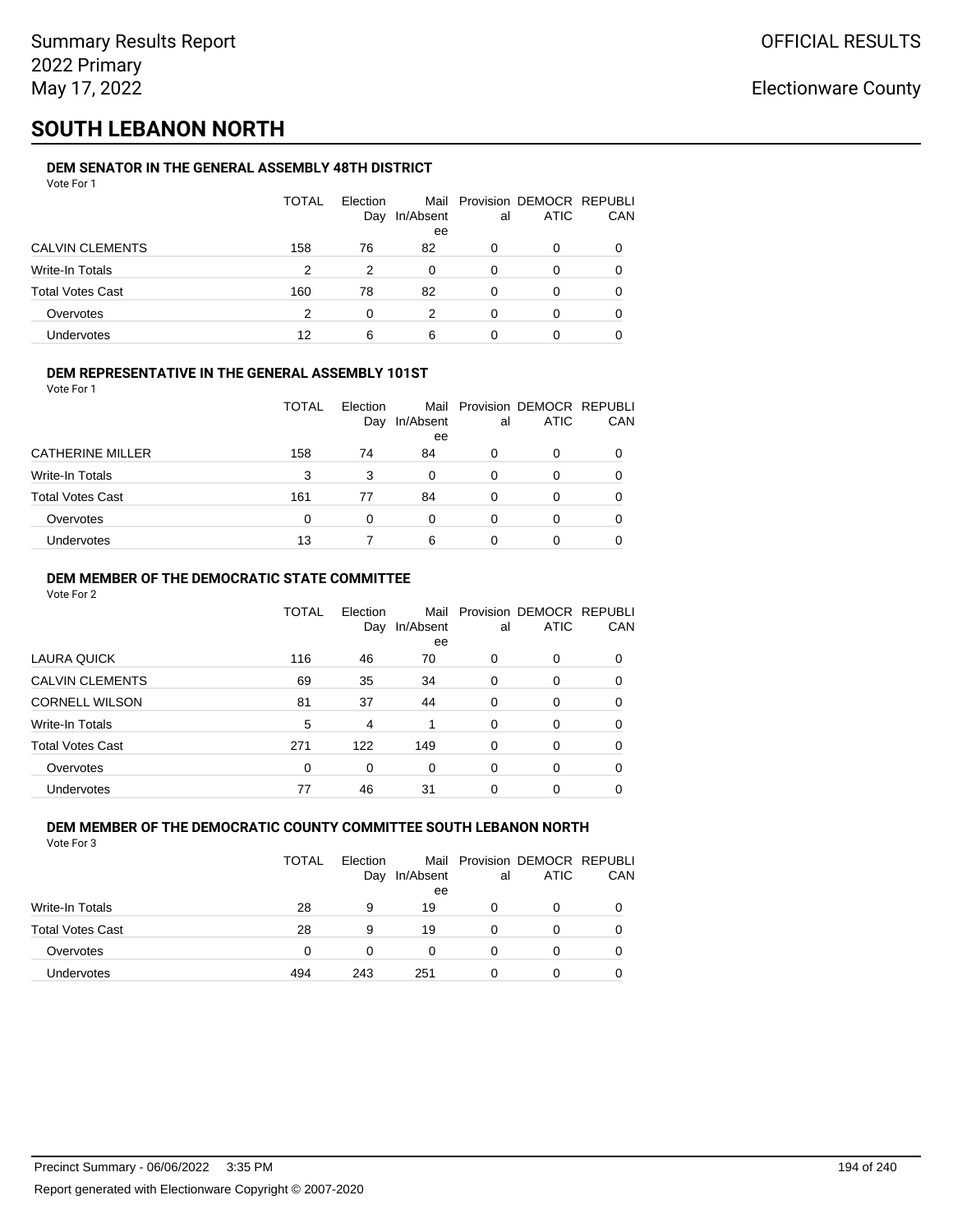# **SOUTH LEBANON NORTH**

### **DEM SENATOR IN THE GENERAL ASSEMBLY 48TH DISTRICT**

| Vote For 1              |       |                 |                 |          |                                              |          |
|-------------------------|-------|-----------------|-----------------|----------|----------------------------------------------|----------|
|                         | TOTAL | Election<br>Day | In/Absent<br>ee | al       | Mail Provision DEMOCR REPUBLI<br><b>ATIC</b> | CAN      |
| <b>CALVIN CLEMENTS</b>  | 158   | 76              | 82              | 0        | 0                                            | 0        |
| Write-In Totals         | 2     | 2               | $\Omega$        | 0        | 0                                            | 0        |
| <b>Total Votes Cast</b> | 160   | 78              | 82              | $\Omega$ | 0                                            | $\Omega$ |
| Overvotes               | 2     | 0               | 2               | 0        | 0                                            | 0        |
| <b>Undervotes</b>       | 12    | 6               | 6               |          | 0                                            |          |
|                         |       |                 |                 |          |                                              |          |

### **DEM REPRESENTATIVE IN THE GENERAL ASSEMBLY 101ST**

Vote For 1

|                         | TOTAL | Election<br>Day | In/Absent<br>ee | al | Mail Provision DEMOCR REPUBLI<br><b>ATIC</b> | CAN |
|-------------------------|-------|-----------------|-----------------|----|----------------------------------------------|-----|
| <b>CATHERINE MILLER</b> | 158   | 74              | 84              | 0  | 0                                            |     |
| Write-In Totals         | 3     | 3               | 0               | 0  | O                                            |     |
| <b>Total Votes Cast</b> | 161   | 77              | 84              | 0  | 0                                            |     |
| Overvotes               | 0     | 0               | 0               | 0  | 0                                            |     |
| Undervotes              | 13    |                 | 6               | 0  | Ω                                            |     |

### **DEM MEMBER OF THE DEMOCRATIC STATE COMMITTEE**

Vote For 2

|                         | TOTAL | Election<br>Day | Mail<br>In/Absent<br>ee | al       | Provision DEMOCR REPUBLI<br><b>ATIC</b> | CAN |
|-------------------------|-------|-----------------|-------------------------|----------|-----------------------------------------|-----|
| LAURA QUICK             | 116   | 46              | 70                      | 0        | $\Omega$                                | 0   |
| <b>CALVIN CLEMENTS</b>  | 69    | 35              | 34                      | 0        | 0                                       | 0   |
| <b>CORNELL WILSON</b>   | 81    | 37              | 44                      | $\Omega$ | $\Omega$                                | 0   |
| Write-In Totals         | 5     | 4               |                         | $\Omega$ | $\Omega$                                | 0   |
| <b>Total Votes Cast</b> | 271   | 122             | 149                     | 0        | 0                                       | 0   |
| Overvotes               | 0     | 0               | $\Omega$                | 0        | $\Omega$                                | 0   |
| Undervotes              | 77    | 46              | 31                      | 0        | 0                                       |     |

#### **DEM MEMBER OF THE DEMOCRATIC COUNTY COMMITTEE SOUTH LEBANON NORTH** Vote For 3

|                         | TOTAL    | Election<br>Day | In/Absent<br>ee | al | Mail Provision DEMOCR REPUBLI<br>ATIC | CAN |
|-------------------------|----------|-----------------|-----------------|----|---------------------------------------|-----|
| <b>Write-In Totals</b>  | 28       | 9               | 19              | Ω  | 0                                     |     |
| <b>Total Votes Cast</b> | 28       | 9               | 19              | Ω  | 0                                     |     |
| Overvotes               | $\Omega$ | 0               | 0               | Ω  | 0                                     |     |
| <b>Undervotes</b>       | 494      | 243             | 251             | O  | 0                                     |     |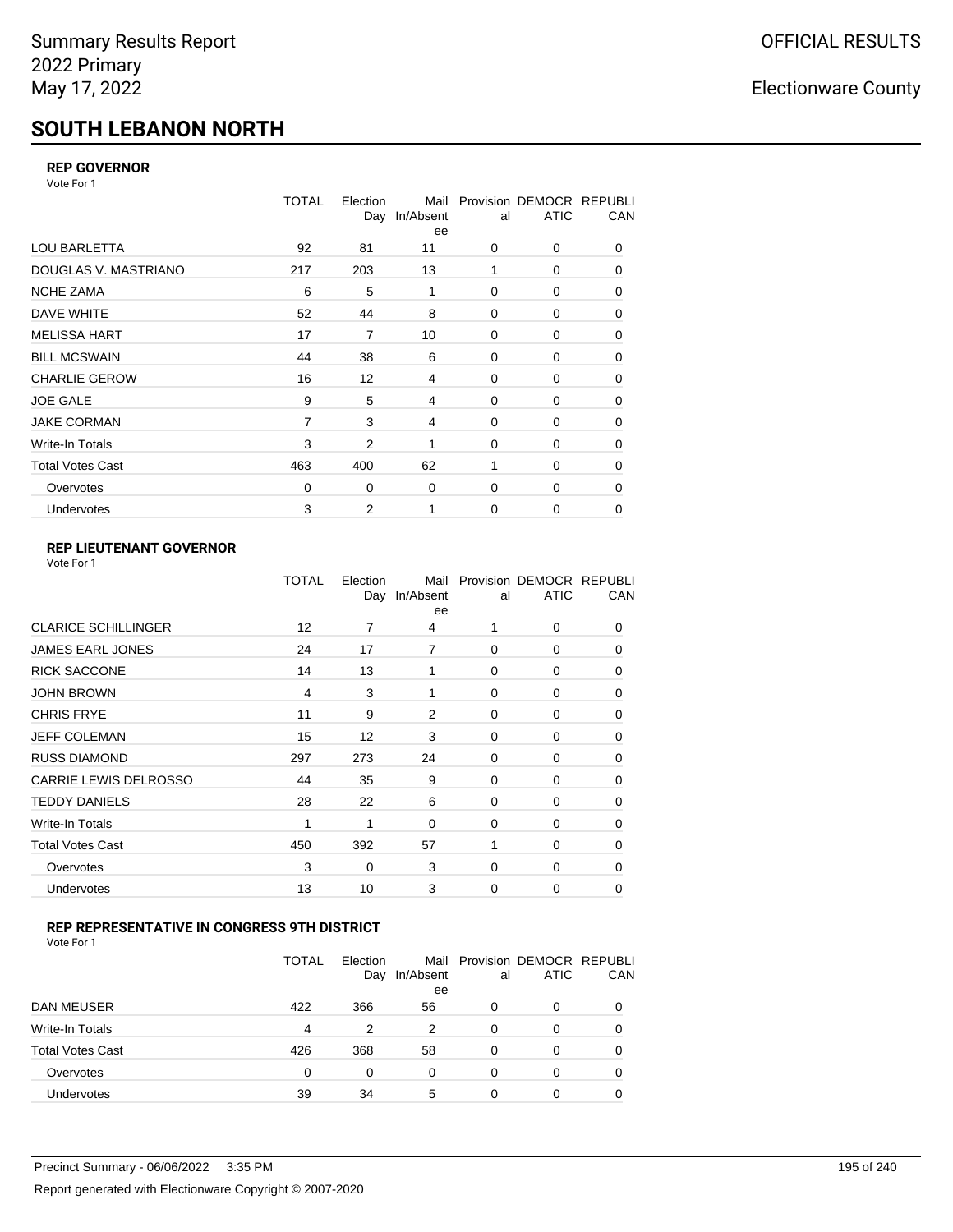# **SOUTH LEBANON NORTH**

### **REP GOVERNOR**

Vote For 1

|                         | <b>TOTAL</b>   | Election<br>Day | Mail<br>In/Absent<br>ee | al          | Provision DEMOCR REPUBLI<br><b>ATIC</b> | CAN |
|-------------------------|----------------|-----------------|-------------------------|-------------|-----------------------------------------|-----|
| <b>LOU BARLETTA</b>     | 92             | 81              | 11                      | 0           | 0                                       | 0   |
| DOUGLAS V. MASTRIANO    | 217            | 203             | 13                      | 1           | 0                                       | 0   |
| <b>NCHE ZAMA</b>        | 6              | 5               | 1                       | $\Omega$    | 0                                       | 0   |
| DAVE WHITE              | 52             | 44              | 8                       | $\mathbf 0$ | 0                                       | 0   |
| <b>MELISSA HART</b>     | 17             | 7               | 10                      | 0           | 0                                       | 0   |
| <b>BILL MCSWAIN</b>     | 44             | 38              | 6                       | $\mathbf 0$ | 0                                       | 0   |
| <b>CHARLIE GEROW</b>    | 16             | 12              | 4                       | $\Omega$    | $\Omega$                                | 0   |
| <b>JOE GALE</b>         | 9              | 5               | 4                       | $\mathbf 0$ | 0                                       | 0   |
| <b>JAKE CORMAN</b>      | $\overline{7}$ | 3               | 4                       | $\mathbf 0$ | 0                                       | 0   |
| <b>Write-In Totals</b>  | 3              | 2               | 1                       | $\mathbf 0$ | 0                                       | 0   |
| <b>Total Votes Cast</b> | 463            | 400             | 62                      | 1           | 0                                       | 0   |
| Overvotes               | 0              | 0               | 0                       | 0           | 0                                       | 0   |
| Undervotes              | 3              | 2               | 1                       | $\mathbf 0$ | 0                                       | 0   |

## **REP LIEUTENANT GOVERNOR**

|                            | TOTAL | Election | Mail<br>Day In/Absent<br>ee | al       | Provision DEMOCR REPUBLI<br><b>ATIC</b> | CAN      |
|----------------------------|-------|----------|-----------------------------|----------|-----------------------------------------|----------|
| <b>CLARICE SCHILLINGER</b> | 12    | 7        | 4                           |          | $\Omega$                                | 0        |
| <b>JAMES EARL JONES</b>    | 24    | 17       | $\overline{7}$              | $\Omega$ | $\Omega$                                | 0        |
| <b>RICK SACCONE</b>        | 14    | 13       | 1                           | $\Omega$ | 0                                       | 0        |
| JOHN BROWN                 | 4     | 3        | 1                           | $\Omega$ | $\Omega$                                | 0        |
| <b>CHRIS FRYE</b>          | 11    | 9        | 2                           | $\Omega$ | 0                                       | 0        |
| JEFF COLEMAN               | 15    | 12       | 3                           | $\Omega$ | $\Omega$                                | 0        |
| <b>RUSS DIAMOND</b>        | 297   | 273      | 24                          | $\Omega$ | 0                                       | 0        |
| CARRIE LEWIS DELROSSO      | 44    | 35       | 9                           | $\Omega$ | $\Omega$                                | 0        |
| <b>TEDDY DANIELS</b>       | 28    | 22       | 6                           | $\Omega$ | 0                                       | 0        |
| Write-In Totals            | 1     | 1        | $\Omega$                    | $\Omega$ | $\Omega$                                | 0        |
| Total Votes Cast           | 450   | 392      | 57                          |          | $\Omega$                                | 0        |
| Overvotes                  | 3     | 0        | 3                           | $\Omega$ | $\Omega$                                | $\Omega$ |
| <b>Undervotes</b>          | 13    | 10       | 3                           | $\Omega$ | $\Omega$                                | 0        |
|                            |       |          |                             |          |                                         |          |

### **REP REPRESENTATIVE IN CONGRESS 9TH DISTRICT**

| Vote For 1 |  |
|------------|--|
|------------|--|

|                         | TOTAL | Election<br>Day | In/Absent<br>ee | al       | Mail Provision DEMOCR REPUBLI<br><b>ATIC</b> | CAN      |
|-------------------------|-------|-----------------|-----------------|----------|----------------------------------------------|----------|
| <b>DAN MEUSER</b>       | 422   | 366             | 56              | 0        | 0                                            | $\Omega$ |
| Write-In Totals         | 4     | 2               | 2               | $\Omega$ | 0                                            |          |
| <b>Total Votes Cast</b> | 426   | 368             | 58              | $\Omega$ | 0                                            |          |
| Overvotes               | 0     | 0               | 0               | 0        | 0                                            | 0        |
| <b>Undervotes</b>       | 39    | 34              | 5               | 0        | 0                                            |          |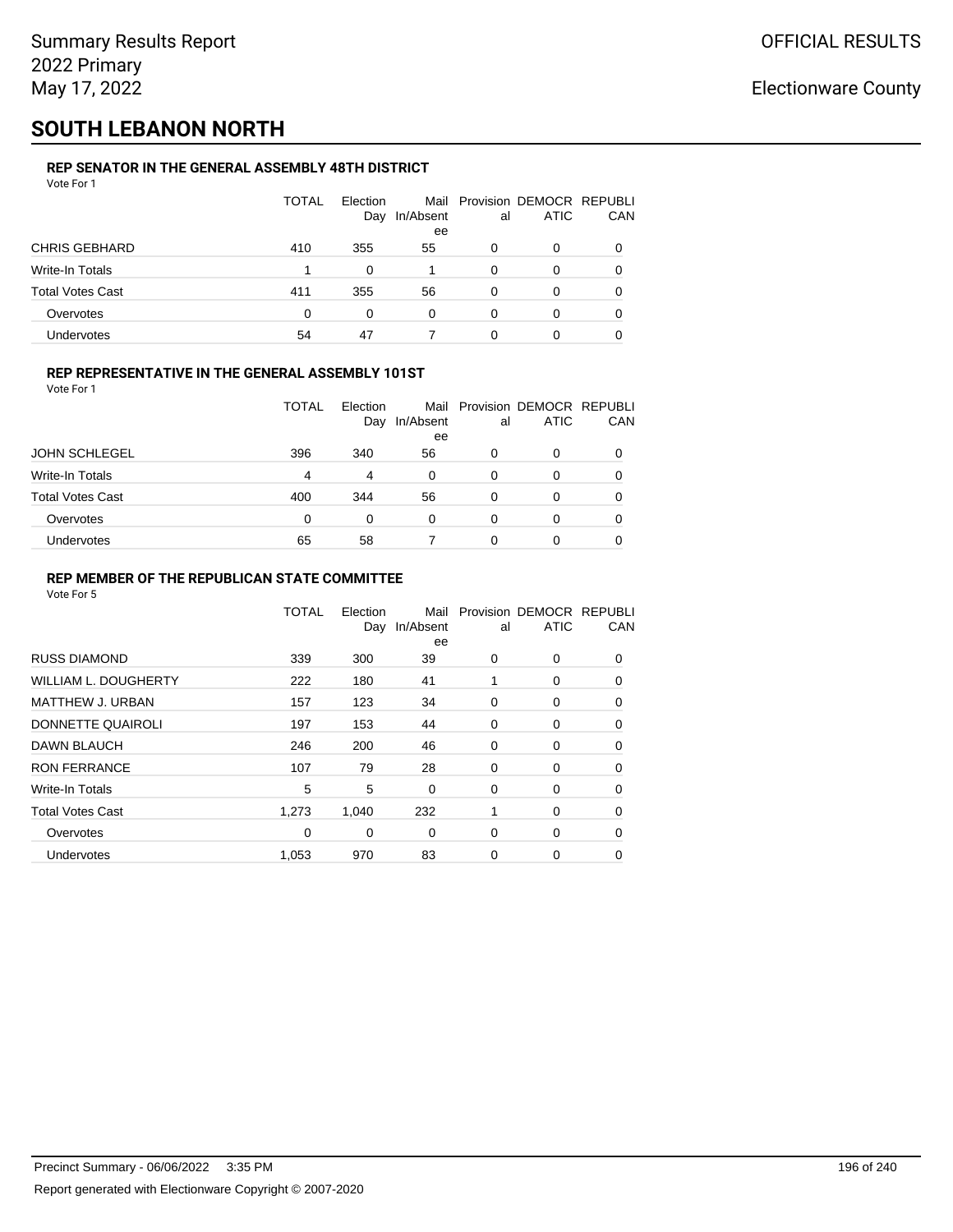# **SOUTH LEBANON NORTH**

### **REP SENATOR IN THE GENERAL ASSEMBLY 48TH DISTRICT**

| Vote For 1              |       |                 |                         |          |                                         |          |
|-------------------------|-------|-----------------|-------------------------|----------|-----------------------------------------|----------|
|                         | TOTAL | Election<br>Day | Mail<br>In/Absent<br>ee | al       | Provision DEMOCR REPUBLI<br><b>ATIC</b> | CAN      |
| <b>CHRIS GEBHARD</b>    | 410   | 355             | 55                      | 0        | 0                                       | $\Omega$ |
| Write-In Totals         |       | 0               |                         | 0        | 0                                       | 0        |
| <b>Total Votes Cast</b> | 411   | 355             | 56                      | $\Omega$ | 0                                       | 0        |
| Overvotes               | 0     | 0               | $\Omega$                | 0        | 0                                       | 0        |
| Undervotes              | 54    | 47              |                         | 0        | 0                                       |          |

### **REP REPRESENTATIVE IN THE GENERAL ASSEMBLY 101ST**

| Vote For 1 |  |  |
|------------|--|--|
|            |  |  |

|                         | TOTAL | <b>Flection</b> |                 |    | Mail Provision DEMOCR REPUBLI |            |
|-------------------------|-------|-----------------|-----------------|----|-------------------------------|------------|
|                         |       | Day             | In/Absent<br>ee | al | <b>ATIC</b>                   | <b>CAN</b> |
| <b>JOHN SCHLEGEL</b>    | 396   | 340             | 56              | 0  | 0                             | 0          |
| Write-In Totals         | 4     | 4               | $\Omega$        | 0  |                               | 0          |
| <b>Total Votes Cast</b> | 400   | 344             | 56              | 0  | 0                             | 0          |
| Overvotes               | 0     | $\Omega$        | 0               | 0  |                               | 0          |
| Undervotes              | 65    | 58              |                 | ი  |                               | 0          |

### **REP MEMBER OF THE REPUBLICAN STATE COMMITTEE**

|                             | <b>TOTAL</b> | Election<br>Day | Mail<br>In/Absent<br>ee | al | Provision DEMOCR REPUBLI<br><b>ATIC</b> | CAN      |
|-----------------------------|--------------|-----------------|-------------------------|----|-----------------------------------------|----------|
| <b>RUSS DIAMOND</b>         | 339          | 300             | 39                      | 0  | 0                                       | 0        |
| <b>WILLIAM L. DOUGHERTY</b> | 222          | 180             | 41                      | 1  | 0                                       | 0        |
| MATTHEW J. URBAN            | 157          | 123             | 34                      | 0  | 0                                       | $\Omega$ |
| DONNETTE QUAIROLI           | 197          | 153             | 44                      | 0  | 0                                       | $\Omega$ |
| DAWN BLAUCH                 | 246          | 200             | 46                      | 0  | 0                                       | $\Omega$ |
| <b>RON FERRANCE</b>         | 107          | 79              | 28                      | 0  | 0                                       | 0        |
| Write-In Totals             | 5            | 5               | 0                       | 0  | 0                                       | 0        |
| <b>Total Votes Cast</b>     | 1,273        | 1.040           | 232                     | 1  | 0                                       | 0        |
| Overvotes                   | 0            | 0               | 0                       | 0  | 0                                       | $\Omega$ |
| <b>Undervotes</b>           | 1,053        | 970             | 83                      | 0  | 0                                       | $\Omega$ |
|                             |              |                 |                         |    |                                         |          |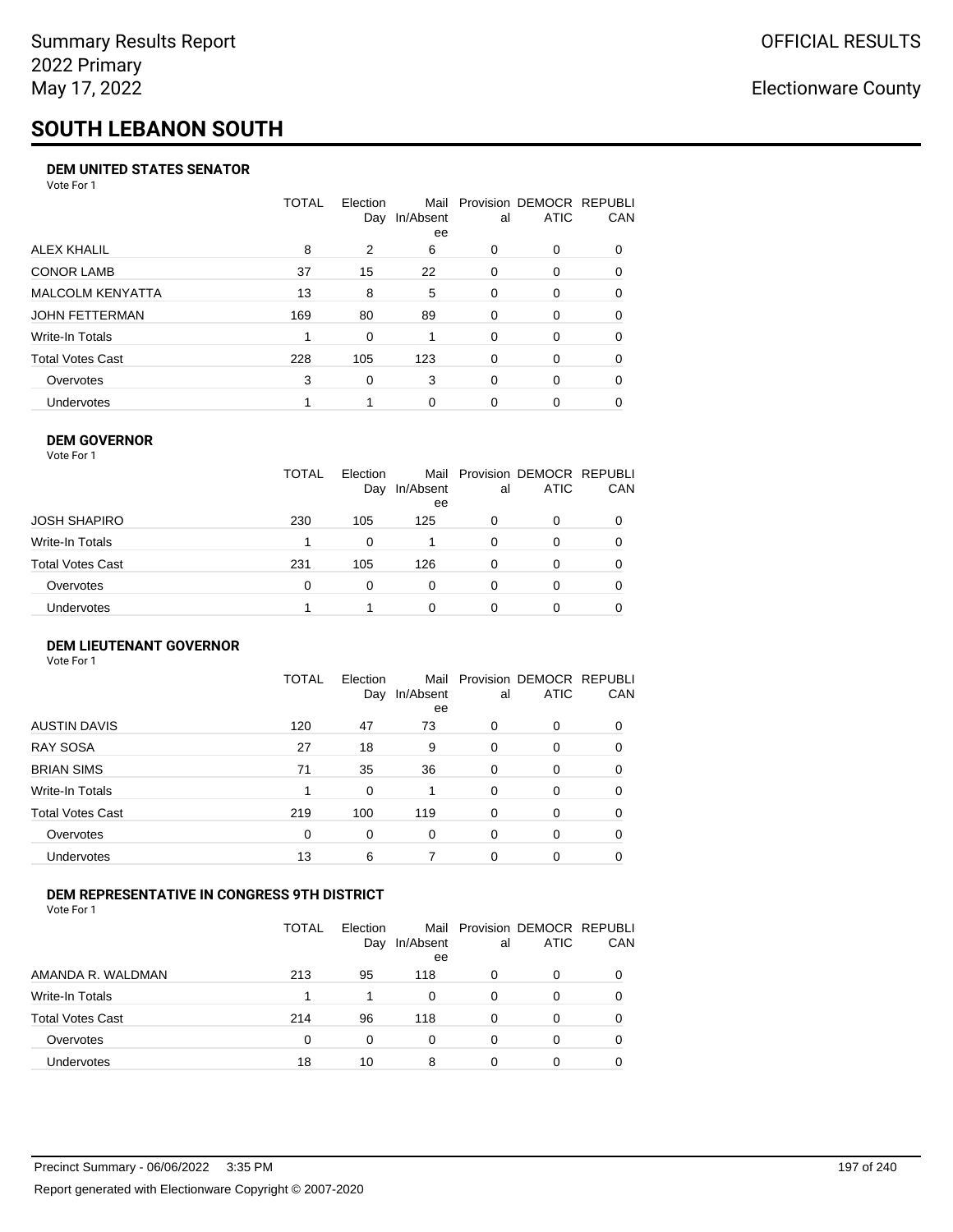# **SOUTH LEBANON SOUTH**

### **DEM UNITED STATES SENATOR**

Vote For 1

|                         | TOTAL | Election<br>Day | Mail<br>In/Absent<br>ee | al       | Provision DEMOCR REPUBLI<br>ATIC | CAN      |
|-------------------------|-------|-----------------|-------------------------|----------|----------------------------------|----------|
| ALEX KHALIL             | 8     | 2               | 6                       | 0        | $\Omega$                         | $\Omega$ |
| <b>CONOR LAMB</b>       | 37    | 15              | 22                      | $\Omega$ | 0                                | 0        |
| <b>MALCOLM KENYATTA</b> | 13    | 8               | 5                       | $\Omega$ | 0                                | 0        |
| JOHN FETTERMAN          | 169   | 80              | 89                      | $\Omega$ | $\Omega$                         | $\Omega$ |
| Write-In Totals         |       | $\Omega$        |                         | $\Omega$ | $\Omega$                         | $\Omega$ |
| Total Votes Cast        | 228   | 105             | 123                     | $\Omega$ | $\Omega$                         | 0        |
| Overvotes               | 3     | 0               | 3                       | $\Omega$ | $\Omega$                         | 0        |
| Undervotes              |       |                 | $\Omega$                | 0        | 0                                |          |

### **DEM GOVERNOR**

| Vote For 1       |              |                 |                 |          |                                              |     |
|------------------|--------------|-----------------|-----------------|----------|----------------------------------------------|-----|
|                  | <b>TOTAL</b> | Election<br>Day | In/Absent<br>ee | al       | Mail Provision DEMOCR REPUBLI<br><b>ATIC</b> | CAN |
| JOSH SHAPIRO     | 230          | 105             | 125             | 0        | 0                                            |     |
| Write-In Totals  |              | 0               |                 | 0        | 0                                            | 0   |
| Total Votes Cast | 231          | 105             | 126             | 0        | 0                                            | 0   |
| Overvotes        | 0            | $\Omega$        | 0               | $\Omega$ | 0                                            | 0   |
| Undervotes       |              |                 | 0               | 0        | 0                                            |     |

### **DEM LIEUTENANT GOVERNOR** Vote For 1

|                         | TOTAL | Election<br>Day | In/Absent<br>ee | al       | Mail Provision DEMOCR REPUBLI<br><b>ATIC</b> | CAN      |
|-------------------------|-------|-----------------|-----------------|----------|----------------------------------------------|----------|
| <b>AUSTIN DAVIS</b>     | 120   | 47              | 73              | 0        | 0                                            | 0        |
| <b>RAY SOSA</b>         | 27    | 18              | 9               | 0        | 0                                            | 0        |
| <b>BRIAN SIMS</b>       | 71    | 35              | 36              | $\Omega$ | $\Omega$                                     | $\Omega$ |
| Write-In Totals         | 1     | $\Omega$        |                 | $\Omega$ | $\Omega$                                     | $\Omega$ |
| <b>Total Votes Cast</b> | 219   | 100             | 119             | $\Omega$ | 0                                            | $\Omega$ |
| Overvotes               | 0     | 0               | $\Omega$        | $\Omega$ | 0                                            | $\Omega$ |
| <b>Undervotes</b>       | 13    | 6               | 7               | 0        | 0                                            | 0        |

### **DEM REPRESENTATIVE IN CONGRESS 9TH DISTRICT**

|                         | TOTAL | <b>Flection</b><br>Day | In/Absent<br>ee | al | Mail Provision DEMOCR REPUBLI<br><b>ATIC</b> | <b>CAN</b> |
|-------------------------|-------|------------------------|-----------------|----|----------------------------------------------|------------|
| AMANDA R. WALDMAN       | 213   | 95                     | 118             | O  | 0                                            | 0          |
| <b>Write-In Totals</b>  |       |                        | $\Omega$        | 0  | n                                            | 0          |
| <b>Total Votes Cast</b> | 214   | 96                     | 118             | 0  |                                              | 0          |
| Overvotes               | 0     | 0                      | 0               | O  | $\Omega$                                     | 0          |
| Undervotes              | 18    | 10                     | 8               |    |                                              |            |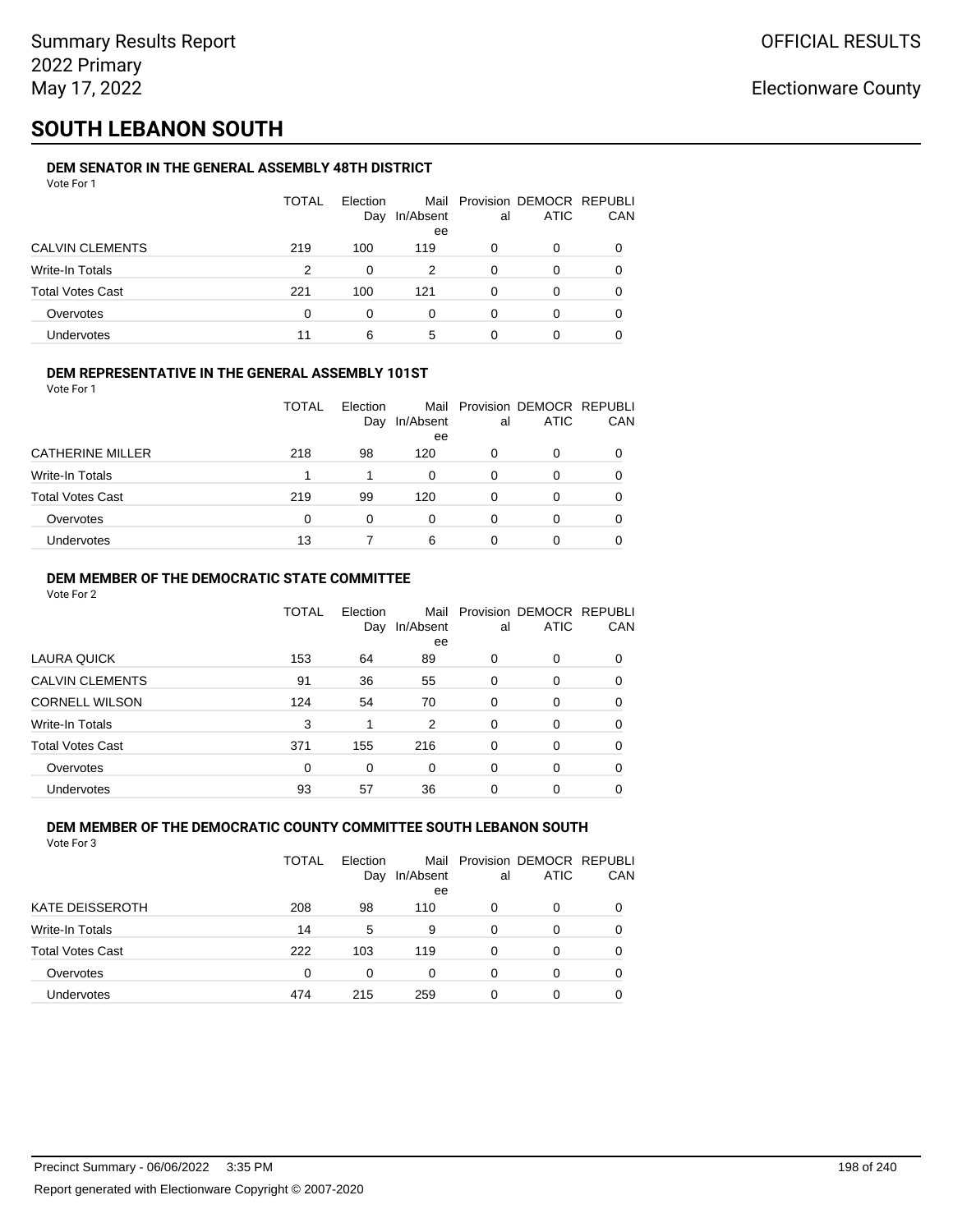# **SOUTH LEBANON SOUTH**

### **DEM SENATOR IN THE GENERAL ASSEMBLY 48TH DISTRICT**

| Vote For 1              |       |                 |                 |    |                                              |          |
|-------------------------|-------|-----------------|-----------------|----|----------------------------------------------|----------|
|                         | TOTAL | Election<br>Day | In/Absent<br>ee | al | Mail Provision DEMOCR REPUBLI<br><b>ATIC</b> | CAN      |
| <b>CALVIN CLEMENTS</b>  | 219   | 100             | 119             | 0  | 0                                            | $\Omega$ |
| Write-In Totals         | 2     | 0               | 2               | 0  | 0                                            | 0        |
| <b>Total Votes Cast</b> | 221   | 100             | 121             | 0  | 0                                            | 0        |
| Overvotes               | 0     | 0               | 0               | 0  | 0                                            | 0        |
| Undervotes              | 11    | 6               | 5               | 0  | 0                                            |          |
|                         |       |                 |                 |    |                                              |          |

### **DEM REPRESENTATIVE IN THE GENERAL ASSEMBLY 101ST**

Vote For 1

|                         | TOTAL | Election<br>Day | In/Absent<br>ee | al           | Mail Provision DEMOCR REPUBLI<br><b>ATIC</b> | CAN |
|-------------------------|-------|-----------------|-----------------|--------------|----------------------------------------------|-----|
| <b>CATHERINE MILLER</b> | 218   | 98              | 120             | 0            | 0                                            |     |
| Write-In Totals         |       |                 | 0               | 0            | O                                            | 0   |
| <b>Total Votes Cast</b> | 219   | 99              | 120             | <sup>0</sup> | 0                                            |     |
| Overvotes               | 0     | 0               | 0               | 0            | 0                                            |     |
| <b>Undervotes</b>       | 13    |                 | 6               |              | 0                                            |     |

### **DEM MEMBER OF THE DEMOCRATIC STATE COMMITTEE**

Vote For 2

|                         | TOTAL    | Election<br>Day | In/Absent<br>ee | al       | Mail Provision DEMOCR REPUBLI<br><b>ATIC</b> | CAN |
|-------------------------|----------|-----------------|-----------------|----------|----------------------------------------------|-----|
| LAURA QUICK             | 153      | 64              | 89              | 0        | $\Omega$                                     | 0   |
| <b>CALVIN CLEMENTS</b>  | 91       | 36              | 55              | 0        | 0                                            | 0   |
| <b>CORNELL WILSON</b>   | 124      | 54              | 70              | $\Omega$ | $\Omega$                                     | 0   |
| Write-In Totals         | 3        | 1               | 2               | $\Omega$ | $\Omega$                                     | 0   |
| <b>Total Votes Cast</b> | 371      | 155             | 216             | $\Omega$ | 0                                            | 0   |
| Overvotes               | $\Omega$ | $\Omega$        | $\Omega$        | $\Omega$ | $\Omega$                                     | 0   |
| Undervotes              | 93       | 57              | 36              | 0        | 0                                            |     |

#### **DEM MEMBER OF THE DEMOCRATIC COUNTY COMMITTEE SOUTH LEBANON SOUTH** Vote For 3

|                         | TOTAL | Election<br>Day | Mail<br>In/Absent<br>ee | al | Provision DEMOCR REPUBLI<br><b>ATIC</b> | CAN      |
|-------------------------|-------|-----------------|-------------------------|----|-----------------------------------------|----------|
| <b>KATE DEISSEROTH</b>  | 208   | 98              | 110                     | 0  | 0                                       |          |
| <b>Write-In Totals</b>  | 14    | 5               | 9                       | 0  | 0                                       |          |
| <b>Total Votes Cast</b> | 222   | 103             | 119                     | 0  | 0                                       | $\Omega$ |
| Overvotes               | 0     | 0               | 0                       | 0  | 0                                       |          |
| Undervotes              | 474   | 215             | 259                     | 0  | O                                       |          |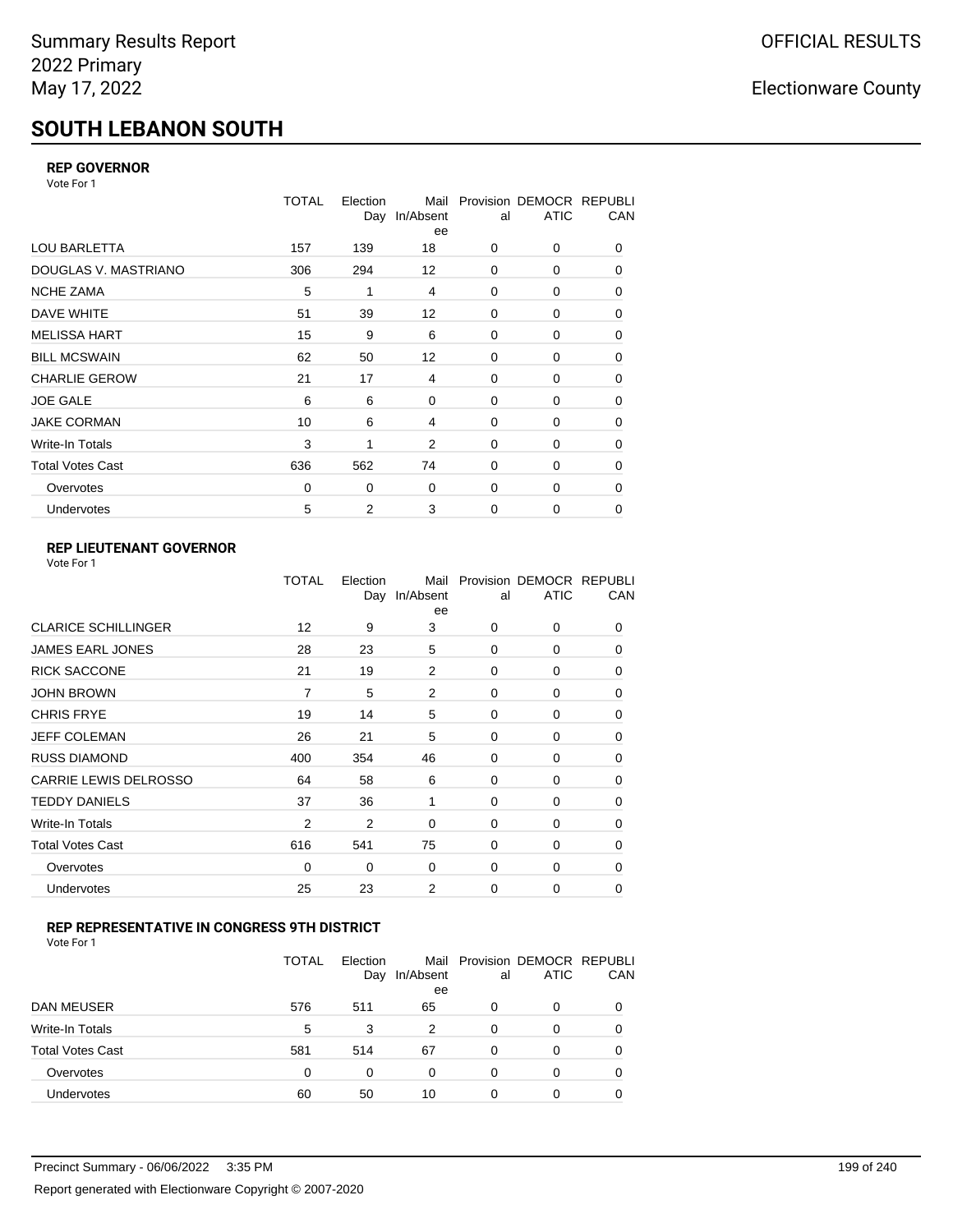# **SOUTH LEBANON SOUTH**

### **REP GOVERNOR**

Vote For 1

|                         | <b>TOTAL</b> | Election<br>Day | Mail<br>In/Absent<br>ee | al          | Provision DEMOCR REPUBLI<br><b>ATIC</b> | CAN |
|-------------------------|--------------|-----------------|-------------------------|-------------|-----------------------------------------|-----|
| <b>LOU BARLETTA</b>     | 157          | 139             | 18                      | 0           | 0                                       | 0   |
| DOUGLAS V. MASTRIANO    | 306          | 294             | 12                      | 0           | 0                                       | 0   |
| <b>NCHE ZAMA</b>        | 5            | 1               | 4                       | 0           | 0                                       | 0   |
| DAVE WHITE              | 51           | 39              | 12                      | $\mathbf 0$ | 0                                       | 0   |
| <b>MELISSA HART</b>     | 15           | 9               | 6                       | 0           | 0                                       | 0   |
| <b>BILL MCSWAIN</b>     | 62           | 50              | 12                      | $\mathbf 0$ | 0                                       | 0   |
| <b>CHARLIE GEROW</b>    | 21           | 17              | 4                       | 0           | $\Omega$                                | 0   |
| <b>JOE GALE</b>         | 6            | 6               | $\mathbf 0$             | $\mathbf 0$ | 0                                       | 0   |
| <b>JAKE CORMAN</b>      | 10           | 6               | 4                       | $\mathbf 0$ | 0                                       | 0   |
| Write-In Totals         | 3            | 1               | 2                       | $\mathbf 0$ | 0                                       | 0   |
| <b>Total Votes Cast</b> | 636          | 562             | 74                      | $\mathbf 0$ | 0                                       | 0   |
| Overvotes               | 0            | 0               | $\mathbf 0$             | 0           | 0                                       | 0   |
| Undervotes              | 5            | $\overline{2}$  | 3                       | $\mathbf 0$ | 0                                       | 0   |

## **REP LIEUTENANT GOVERNOR**

| Vote For 1 |  |
|------------|--|
|------------|--|

|                            | TOTAL          | Election | Mail<br>Day In/Absent<br>ee | al       | Provision DEMOCR REPUBLI<br><b>ATIC</b> | CAN      |
|----------------------------|----------------|----------|-----------------------------|----------|-----------------------------------------|----------|
| <b>CLARICE SCHILLINGER</b> | 12             | 9        | 3                           | $\Omega$ | 0                                       | 0        |
| JAMES EARL JONES           | 28             | 23       | 5                           | $\Omega$ | $\Omega$                                | 0        |
| <b>RICK SACCONE</b>        | 21             | 19       | 2                           | $\Omega$ | 0                                       | 0        |
| JOHN BROWN                 | 7              | 5        | 2                           | $\Omega$ | $\Omega$                                | 0        |
| CHRIS FRYE                 | 19             | 14       | 5                           | $\Omega$ | 0                                       | 0        |
| JEFF COLEMAN               | 26             | 21       | 5                           | $\Omega$ | 0                                       | 0        |
| <b>RUSS DIAMOND</b>        | 400            | 354      | 46                          | $\Omega$ | 0                                       | 0        |
| CARRIE LEWIS DELROSSO      | 64             | 58       | 6                           | 0        | 0                                       | 0        |
| <b>TEDDY DANIELS</b>       | 37             | 36       | 1                           | $\Omega$ | 0                                       | 0        |
| Write-In Totals            | $\overline{2}$ | 2        | 0                           | $\Omega$ | $\Omega$                                | 0        |
| Total Votes Cast           | 616            | 541      | 75                          | $\Omega$ | 0                                       | 0        |
| Overvotes                  | 0              | 0        | 0                           | 0        | 0                                       | $\Omega$ |
| <b>Undervotes</b>          | 25             | 23       | 2                           | 0        | 0                                       | 0        |
|                            |                |          |                             |          |                                         |          |

### **REP REPRESENTATIVE IN CONGRESS 9TH DISTRICT**

| Vote For 1 |  |  |
|------------|--|--|
|------------|--|--|

|                         | <b>TOTAL</b> | Election<br>Day | In/Absent<br>ee | al       | Mail Provision DEMOCR REPUBLI<br><b>ATIC</b> | CAN      |
|-------------------------|--------------|-----------------|-----------------|----------|----------------------------------------------|----------|
| DAN MEUSER              | 576          | 511             | 65              | 0        | 0                                            | $\Omega$ |
| Write-In Totals         | 5            | 3               | 2               | $\Omega$ | 0                                            |          |
| <b>Total Votes Cast</b> | 581          | 514             | 67              | $\Omega$ | 0                                            |          |
| Overvotes               | 0            | 0               | 0               | 0        | 0                                            | 0        |
| Undervotes              | 60           | 50              | 10              | 0        | 0                                            |          |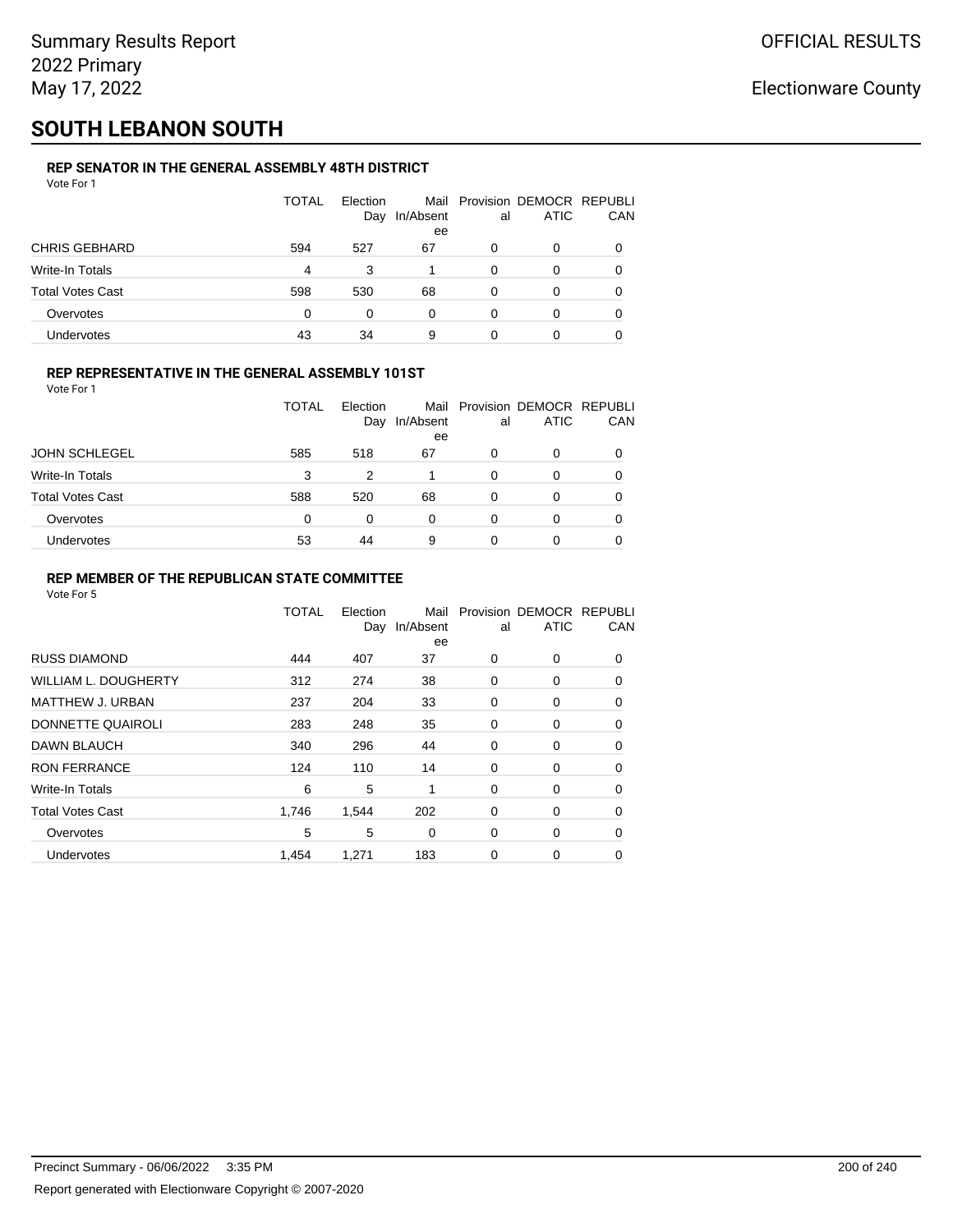# **SOUTH LEBANON SOUTH**

### **REP SENATOR IN THE GENERAL ASSEMBLY 48TH DISTRICT**

| Vote For 1              |              |                 |                 |          |                                              |          |
|-------------------------|--------------|-----------------|-----------------|----------|----------------------------------------------|----------|
|                         | <b>TOTAL</b> | Election<br>Day | In/Absent<br>ee | al       | Mail Provision DEMOCR REPUBLI<br><b>ATIC</b> | CAN      |
| <b>CHRIS GEBHARD</b>    | 594          | 527             | 67              | 0        | 0                                            | $\Omega$ |
| <b>Write-In Totals</b>  | 4            | 3               |                 | $\Omega$ | 0                                            | 0        |
| <b>Total Votes Cast</b> | 598          | 530             | 68              | 0        | 0                                            |          |
| Overvotes               | $\Omega$     | 0               | $\Omega$        | 0        | 0                                            |          |
| <b>Undervotes</b>       | 43           | 34              | 9               | 0        | 0                                            |          |

### **REP REPRESENTATIVE IN THE GENERAL ASSEMBLY 101ST**

Vote For 1

|                         | TOTAL | Election<br>Day | Mail<br>In/Absent | al | Provision DEMOCR REPUBLI<br><b>ATIC</b> | <b>CAN</b> |
|-------------------------|-------|-----------------|-------------------|----|-----------------------------------------|------------|
|                         |       |                 | ee                |    |                                         |            |
| <b>JOHN SCHLEGEL</b>    | 585   | 518             | 67                | 0  | 0                                       | 0          |
| <b>Write-In Totals</b>  | 3     | 2               |                   | 0  |                                         | 0          |
| <b>Total Votes Cast</b> | 588   | 520             | 68                | 0  |                                         | 0          |
| Overvotes               | 0     | 0               | 0                 | 0  |                                         | 0          |
| <b>Undervotes</b>       | 53    | 44              | 9                 | ი  |                                         | 0          |

### **REP MEMBER OF THE REPUBLICAN STATE COMMITTEE**

|                             | <b>TOTAL</b> | Election<br>Day | Mail<br>In/Absent<br>ee | al | Provision DEMOCR REPUBLI<br><b>ATIC</b> | CAN      |
|-----------------------------|--------------|-----------------|-------------------------|----|-----------------------------------------|----------|
| <b>RUSS DIAMOND</b>         | 444          | 407             | 37                      | 0  | 0                                       | $\Omega$ |
| <b>WILLIAM L. DOUGHERTY</b> | 312          | 274             | 38                      | 0  | 0                                       | 0        |
| <b>MATTHEW J. URBAN</b>     | 237          | 204             | 33                      | 0  | 0                                       | $\Omega$ |
| DONNETTE QUAIROLI           | 283          | 248             | 35                      | 0  | 0                                       | $\Omega$ |
| DAWN BLAUCH                 | 340          | 296             | 44                      | 0  | 0                                       | $\Omega$ |
| <b>RON FERRANCE</b>         | 124          | 110             | 14                      | 0  | 0                                       | 0        |
| Write-In Totals             | 6            | 5               | 1                       | 0  | 0                                       | 0        |
| <b>Total Votes Cast</b>     | 1,746        | 1,544           | 202                     | 0  | 0                                       | 0        |
| Overvotes                   | 5            | 5               | $\Omega$                | 0  | 0                                       | 0        |
| Undervotes                  | 1,454        | 1,271           | 183                     | 0  | 0                                       | 0        |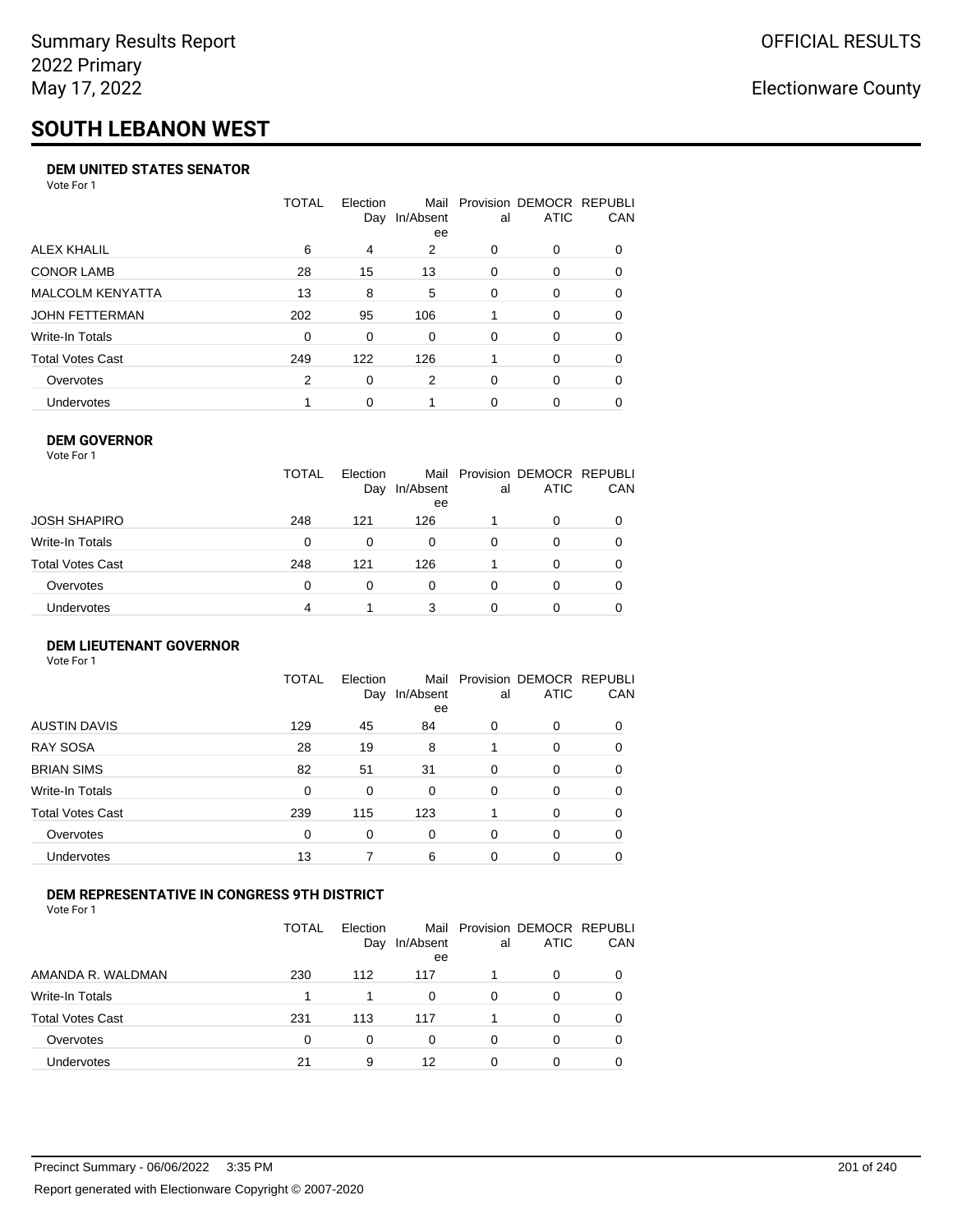# **SOUTH LEBANON WEST**

### **DEM UNITED STATES SENATOR**

Vote For 1

|                         | TOTAL | Election | Mail<br>Day In/Absent<br>ee | al | Provision DEMOCR REPUBLI<br><b>ATIC</b> | <b>CAN</b> |
|-------------------------|-------|----------|-----------------------------|----|-----------------------------------------|------------|
| ALEX KHALIL             | 6     | 4        | 2                           | 0  | $\Omega$                                | 0          |
| <b>CONOR LAMB</b>       | 28    | 15       | 13                          | 0  | $\Omega$                                | 0          |
| <b>MALCOLM KENYATTA</b> | 13    | 8        | 5                           | 0  | $\Omega$                                | 0          |
| <b>JOHN FETTERMAN</b>   | 202   | 95       | 106                         |    | $\Omega$                                | $\Omega$   |
| Write-In Totals         | 0     | 0        | $\Omega$                    | 0  | $\Omega$                                | 0          |
| <b>Total Votes Cast</b> | 249   | 122      | 126                         |    | $\Omega$                                | 0          |
| Overvotes               | 2     | 0        | 2                           | 0  | $\Omega$                                | 0          |
| <b>Undervotes</b>       |       | $\Omega$ |                             | 0  | $\Omega$                                | 0          |

### **DEM GOVERNOR**

| Vote For 1       |              |                 |                 |          |                                              |     |
|------------------|--------------|-----------------|-----------------|----------|----------------------------------------------|-----|
|                  | <b>TOTAL</b> | Election<br>Day | In/Absent<br>ee | al       | Mail Provision DEMOCR REPUBLI<br><b>ATIC</b> | CAN |
| JOSH SHAPIRO     | 248          | 121             | 126             |          | 0                                            |     |
| Write-In Totals  | 0            | 0               | 0               | 0        | 0                                            |     |
| Total Votes Cast | 248          | 121             | 126             |          | 0                                            | 0   |
| Overvotes        | 0            | $\Omega$        | 0               | $\Omega$ | 0                                            |     |
| Undervotes       | 4            |                 | 3               | 0        | 0                                            |     |

### **DEM LIEUTENANT GOVERNOR** Vote For 1

|                         | TOTAL | Election<br>Day | Mail<br>In/Absent<br>ee | al       | Provision DEMOCR REPUBLI<br><b>ATIC</b> | CAN      |
|-------------------------|-------|-----------------|-------------------------|----------|-----------------------------------------|----------|
| <b>AUSTIN DAVIS</b>     | 129   | 45              | 84                      | 0        | 0                                       | $\Omega$ |
| <b>RAY SOSA</b>         | 28    | 19              | 8                       |          | 0                                       | 0        |
| <b>BRIAN SIMS</b>       | 82    | 51              | 31                      | $\Omega$ | 0                                       | $\Omega$ |
| Write-In Totals         | 0     | 0               | $\Omega$                | $\Omega$ | 0                                       | $\Omega$ |
| <b>Total Votes Cast</b> | 239   | 115             | 123                     |          | $\Omega$                                | $\Omega$ |
| Overvotes               | 0     | 0               | 0                       | 0        | 0                                       | 0        |
| <b>Undervotes</b>       | 13    |                 | 6                       | $\Omega$ | 0                                       | 0        |
|                         |       |                 |                         |          |                                         |          |

### **DEM REPRESENTATIVE IN CONGRESS 9TH DISTRICT**

Vote For 1

|                         | TOTAL | Election<br>Day | Mail<br>In/Absent<br>ee | al | Provision DEMOCR REPUBLI<br><b>ATIC</b> | <b>CAN</b> |
|-------------------------|-------|-----------------|-------------------------|----|-----------------------------------------|------------|
| AMANDA R. WALDMAN       | 230   | 112             | 117                     |    | $\Omega$                                | 0          |
| Write-In Totals         | 1     |                 | 0                       | 0  | $\Omega$                                | 0          |
| <b>Total Votes Cast</b> | 231   | 113             | 117                     |    | 0                                       | 0          |
| Overvotes               | 0     | 0               | 0                       | O  | $\Omega$                                | 0          |
| Undervotes              | 21    | 9               | 12                      | 0  |                                         |            |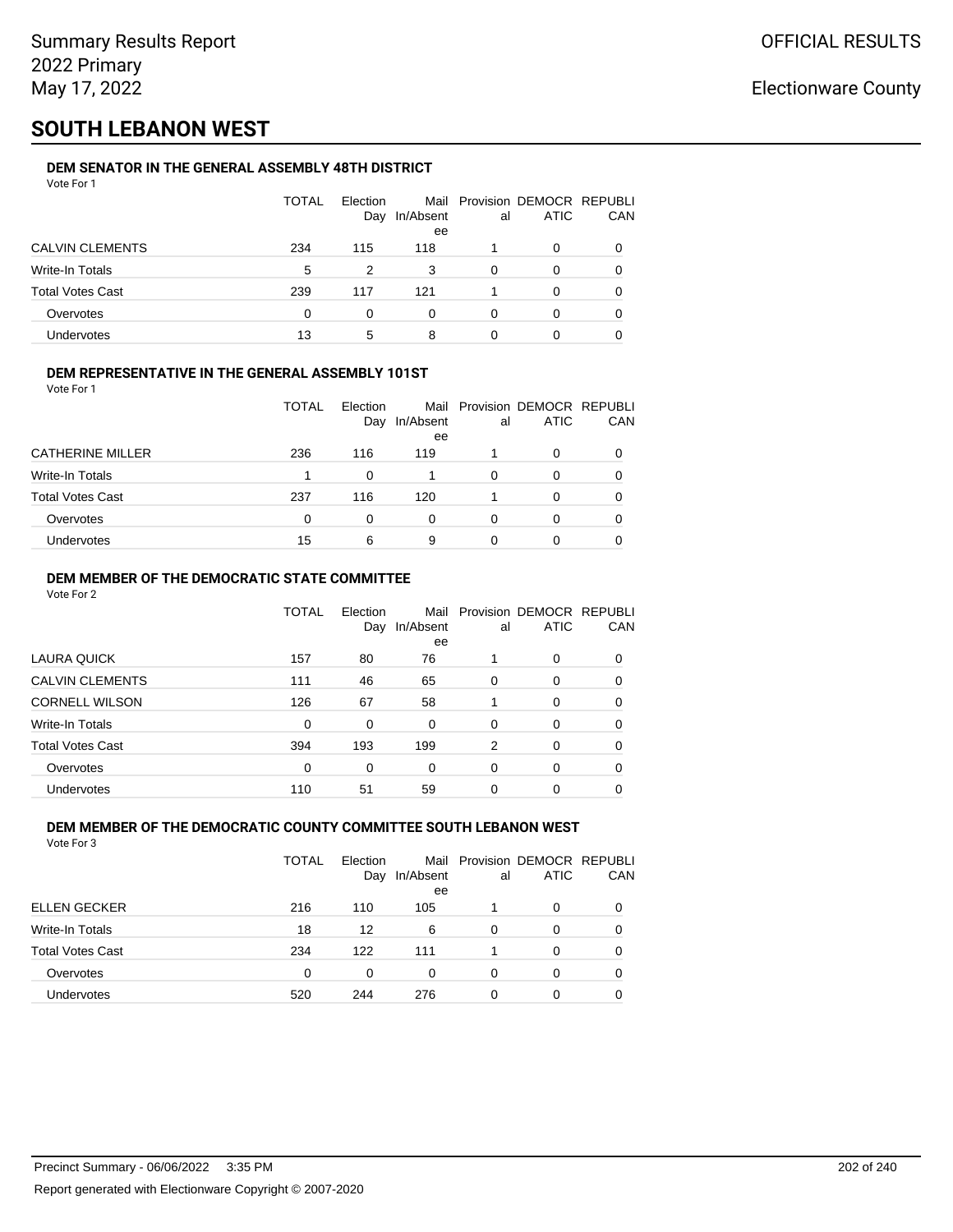## **SOUTH LEBANON WEST**

### **DEM SENATOR IN THE GENERAL ASSEMBLY 48TH DISTRICT**

|                         | <b>TOTAL</b> | Election<br>Day | In/Absent<br>ee | al | Mail Provision DEMOCR REPUBLI<br><b>ATIC</b> | CAN |
|-------------------------|--------------|-----------------|-----------------|----|----------------------------------------------|-----|
| <b>CALVIN CLEMENTS</b>  | 234          | 115             | 118             |    | O                                            |     |
| Write-In Totals         | 5            | 2               | 3               | 0  | O                                            |     |
| <b>Total Votes Cast</b> | 239          | 117             | 121             |    | 0                                            |     |
| Overvotes               | 0            | O               | U               | ∩  | 0                                            |     |
| Undervotes              | 13           | 5               | 8               |    |                                              |     |

### **DEM REPRESENTATIVE IN THE GENERAL ASSEMBLY 101ST**

Vote For 1

|                         | TOTAL | Election<br>Day | Mail<br>In/Absent<br>ee | al | Provision DEMOCR REPUBLI<br><b>ATIC</b> | <b>CAN</b> |
|-------------------------|-------|-----------------|-------------------------|----|-----------------------------------------|------------|
| <b>CATHERINE MILLER</b> | 236   | 116             | 119                     |    | 0                                       | 0          |
| <b>Write-In Totals</b>  |       |                 |                         | 0  |                                         | 0          |
| <b>Total Votes Cast</b> | 237   | 116             | 120                     |    | 0                                       | 0          |
| Overvotes               | 0     |                 | 0                       | 0  |                                         | 0          |
| <b>Undervotes</b>       | 15    | 6               | 9                       | O  |                                         | 0          |

### **DEM MEMBER OF THE DEMOCRATIC STATE COMMITTEE**

Vote For 2

|                         | TOTAL    | Election<br>Day | Mail<br>In/Absent<br>ee | al       | Provision DEMOCR REPUBLI<br><b>ATIC</b> | CAN      |
|-------------------------|----------|-----------------|-------------------------|----------|-----------------------------------------|----------|
| LAURA QUICK             | 157      | 80              | 76                      |          | 0                                       | $\Omega$ |
| <b>CALVIN CLEMENTS</b>  | 111      | 46              | 65                      | 0        | 0                                       | 0        |
| <b>CORNELL WILSON</b>   | 126      | 67              | 58                      |          | 0                                       | $\Omega$ |
| Write-In Totals         | 0        | 0               | 0                       | $\Omega$ | 0                                       | $\Omega$ |
| <b>Total Votes Cast</b> | 394      | 193             | 199                     | 2        | 0                                       | 0        |
| Overvotes               | $\Omega$ | 0               | 0                       | $\Omega$ | 0                                       | $\Omega$ |
| <b>Undervotes</b>       | 110      | 51              | 59                      | 0        | 0                                       |          |

#### **DEM MEMBER OF THE DEMOCRATIC COUNTY COMMITTEE SOUTH LEBANON WEST** Vote For 3

|                         | TOTAL | Election<br>Day | In/Absent<br>ee | al | Mail Provision DEMOCR REPUBLI<br><b>ATIC</b> | CAN |
|-------------------------|-------|-----------------|-----------------|----|----------------------------------------------|-----|
| <b>ELLEN GECKER</b>     | 216   | 110             | 105             |    | 0                                            |     |
| <b>Write-In Totals</b>  | 18    | 12              | 6               | 0  | 0                                            | 0   |
| <b>Total Votes Cast</b> | 234   | 122             | 111             |    | 0                                            | 0   |
| Overvotes               | 0     | 0               | 0               | 0  | 0                                            | 0   |
| <b>Undervotes</b>       | 520   | 244             | 276             | 0  | 0                                            |     |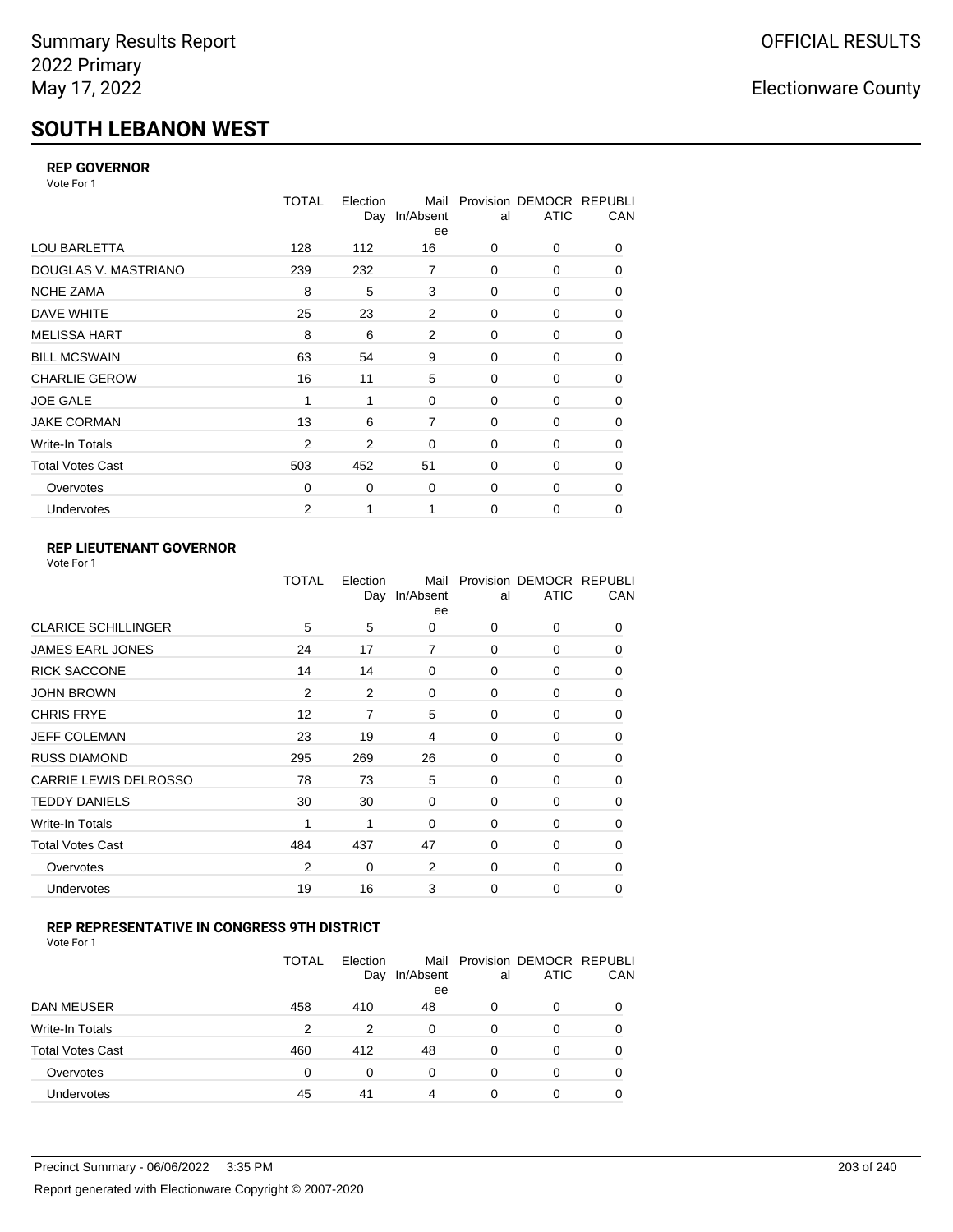# **SOUTH LEBANON WEST**

### **REP GOVERNOR**

Vote For 1

|                         | <b>TOTAL</b> | Election<br>Day | Mail<br>In/Absent<br>ee | al          | Provision DEMOCR REPUBLI<br><b>ATIC</b> | CAN |
|-------------------------|--------------|-----------------|-------------------------|-------------|-----------------------------------------|-----|
| <b>LOU BARLETTA</b>     | 128          | 112             | 16                      | 0           | 0                                       | 0   |
| DOUGLAS V. MASTRIANO    | 239          | 232             | 7                       | 0           | 0                                       | 0   |
| <b>NCHE ZAMA</b>        | 8            | 5               | 3                       | 0           | 0                                       | 0   |
| DAVE WHITE              | 25           | 23              | $\overline{2}$          | $\mathbf 0$ | 0                                       | 0   |
| <b>MELISSA HART</b>     | 8            | 6               | 2                       | 0           | 0                                       | 0   |
| <b>BILL MCSWAIN</b>     | 63           | 54              | 9                       | 0           | 0                                       | 0   |
| <b>CHARLIE GEROW</b>    | 16           | 11              | 5                       | $\Omega$    | $\Omega$                                | 0   |
| <b>JOE GALE</b>         | 1            | 1               | 0                       | $\mathbf 0$ | 0                                       | 0   |
| <b>JAKE CORMAN</b>      | 13           | 6               | $\overline{7}$          | 0           | 0                                       | 0   |
| <b>Write-In Totals</b>  | 2            | 2               | 0                       | $\mathbf 0$ | 0                                       | 0   |
| <b>Total Votes Cast</b> | 503          | 452             | 51                      | 0           | 0                                       | 0   |
| Overvotes               | 0            | 0               | 0                       | 0           | 0                                       | 0   |
| Undervotes              | 2            | 1               | 1                       | $\mathbf 0$ | 0                                       | 0   |

## **REP LIEUTENANT GOVERNOR**

|                              | TOTAL          | Election | Mail<br>Day In/Absent<br>ee | al       | Provision DEMOCR REPUBLI<br><b>ATIC</b> | CAN      |
|------------------------------|----------------|----------|-----------------------------|----------|-----------------------------------------|----------|
| <b>CLARICE SCHILLINGER</b>   | 5              | 5        | 0                           | $\Omega$ | 0                                       | 0        |
| JAMES EARL JONES             | 24             | 17       | 7                           | $\Omega$ | 0                                       | 0        |
| <b>RICK SACCONE</b>          | 14             | 14       | 0                           | 0        | 0                                       | 0        |
| <b>JOHN BROWN</b>            | $\overline{2}$ | 2        | 0                           | $\Omega$ | 0                                       | 0        |
| <b>CHRIS FRYE</b>            | 12             | 7        | 5                           | 0        | 0                                       | 0        |
| JEFF COLEMAN                 | 23             | 19       | 4                           | 0        | 0                                       | 0        |
| <b>RUSS DIAMOND</b>          | 295            | 269      | 26                          | $\Omega$ | $\Omega$                                | 0        |
| <b>CARRIE LEWIS DELROSSO</b> | 78             | 73       | 5                           | 0        | 0                                       | 0        |
| <b>TEDDY DANIELS</b>         | 30             | 30       | $\Omega$                    | $\Omega$ | 0                                       | 0        |
| Write-In Totals              | 1              | 1        | 0                           | 0        | 0                                       | 0        |
| <b>Total Votes Cast</b>      | 484            | 437      | 47                          | 0        | 0                                       | 0        |
| Overvotes                    | $\overline{2}$ | 0        | 2                           | $\Omega$ | $\Omega$                                | $\Omega$ |
| Undervotes                   | 19             | 16       | 3                           | $\Omega$ | $\Omega$                                | $\Omega$ |
|                              |                |          |                             |          |                                         |          |

### **REP REPRESENTATIVE IN CONGRESS 9TH DISTRICT**

|                         | <b>TOTAL</b> | Election<br>Day | In/Absent<br>ee | al       | Mail Provision DEMOCR REPUBLI<br><b>ATIC</b> | CAN      |
|-------------------------|--------------|-----------------|-----------------|----------|----------------------------------------------|----------|
| DAN MEUSER              | 458          | 410             | 48              | 0        | 0                                            | $\Omega$ |
| Write-In Totals         | 2            | 2               | 0               | 0        | 0                                            |          |
| <b>Total Votes Cast</b> | 460          | 412             | 48              | $\Omega$ | 0                                            |          |
| Overvotes               | 0            | 0               | 0               | 0        | 0                                            | 0        |
| Undervotes              | 45           | 41              | 4               | 0        | 0                                            |          |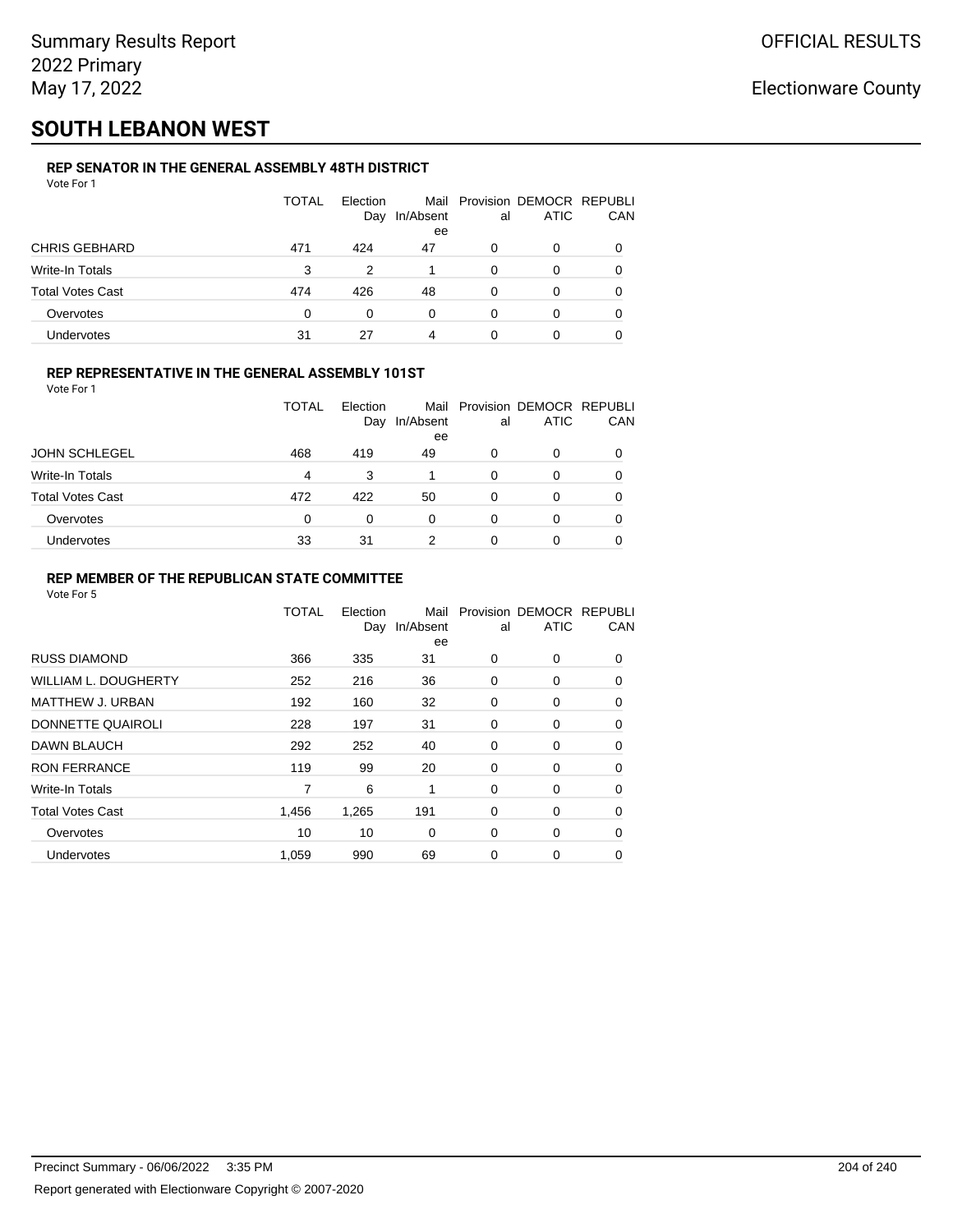# **SOUTH LEBANON WEST**

#### **REP SENATOR IN THE GENERAL ASSEMBLY 48TH DISTRICT**  $V$ ote Formula in  $V$

| <b>VOLE FOI</b> I       |       |                 |                 |    |                                              |     |
|-------------------------|-------|-----------------|-----------------|----|----------------------------------------------|-----|
|                         | TOTAL | Election<br>Day | In/Absent<br>ee | al | Mail Provision DEMOCR REPUBLI<br><b>ATIC</b> | CAN |
| <b>CHRIS GEBHARD</b>    | 471   | 424             | 47              | 0  | 0                                            |     |
| Write-In Totals         | 3     | 2               |                 | 0  | 0                                            | 0   |
| <b>Total Votes Cast</b> | 474   | 426             | 48              | 0  | 0                                            |     |
| Overvotes               | 0     | 0               | 0               | 0  | 0                                            |     |
| Undervotes              | 31    | 27              |                 |    | 0                                            |     |

### **REP REPRESENTATIVE IN THE GENERAL ASSEMBLY 101ST**

| Vote For 1 |  |  |
|------------|--|--|
|            |  |  |

|                         | TOTAL | Election<br>Day | In/Absent | al | Mail Provision DEMOCR REPUBLI<br><b>ATIC</b> | CAN |
|-------------------------|-------|-----------------|-----------|----|----------------------------------------------|-----|
|                         |       |                 | ee        |    |                                              |     |
| <b>JOHN SCHLEGEL</b>    | 468   | 419             | 49        | 0  | 0                                            |     |
| <b>Write-In Totals</b>  | 4     | 3               |           |    | 0                                            |     |
| <b>Total Votes Cast</b> | 472   | 422             | 50        |    | 0                                            |     |
| Overvotes               | 0     | 0               | 0         | 0  | 0                                            |     |
| <b>Undervotes</b>       | 33    | 31              | 2         |    | 0                                            |     |

### **REP MEMBER OF THE REPUBLICAN STATE COMMITTEE**

|                         | TOTAL | Election<br>Day | Mail<br>In/Absent<br>ee | al          | Provision DEMOCR REPUBLI<br><b>ATIC</b> | CAN      |
|-------------------------|-------|-----------------|-------------------------|-------------|-----------------------------------------|----------|
| <b>RUSS DIAMOND</b>     | 366   | 335             | 31                      | 0           | $\Omega$                                | $\Omega$ |
| WILLIAM L. DOUGHERTY    | 252   | 216             | 36                      | 0           | 0                                       | 0        |
| MATTHEW J. URBAN        | 192   | 160             | 32                      | 0           | 0                                       | $\Omega$ |
| DONNETTE QUAIROLI       | 228   | 197             | 31                      | $\mathbf 0$ | 0                                       | $\Omega$ |
| <b>DAWN BLAUCH</b>      | 292   | 252             | 40                      | 0           | 0                                       | $\Omega$ |
| <b>RON FERRANCE</b>     | 119   | 99              | 20                      | 0           | 0                                       | 0        |
| Write-In Totals         | 7     | 6               | 1                       | 0           | 0                                       | 0        |
| <b>Total Votes Cast</b> | 1,456 | 1,265           | 191                     | 0           | 0                                       | 0        |
| Overvotes               | 10    | 10              | $\Omega$                | 0           | 0                                       | $\Omega$ |
| Undervotes              | 1,059 | 990             | 69                      | 0           | 0                                       | 0        |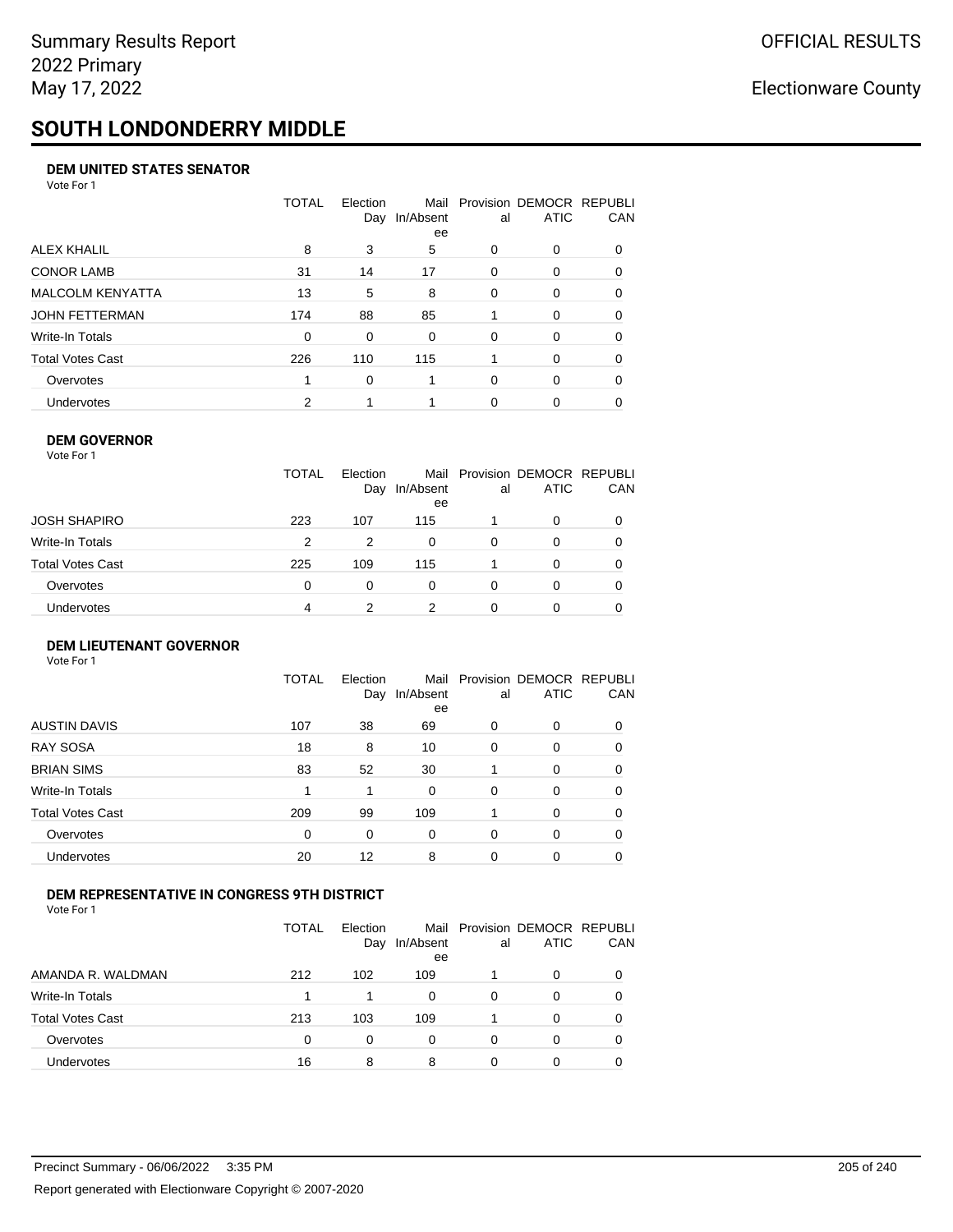# **SOUTH LONDONDERRY MIDDLE**

### **DEM UNITED STATES SENATOR**

Vote For 1

|                         | TOTAL | Election<br>Day | Mail<br>In/Absent<br>ee | al       | Provision DEMOCR REPUBLI<br>ATIC | CAN      |
|-------------------------|-------|-----------------|-------------------------|----------|----------------------------------|----------|
| ALEX KHALIL             | 8     | 3               | 5                       | $\Omega$ | $\Omega$                         | $\Omega$ |
| <b>CONOR LAMB</b>       | 31    | 14              | 17                      | $\Omega$ | 0                                | 0        |
| <b>MALCOLM KENYATTA</b> | 13    | 5               | 8                       | $\Omega$ | 0                                | 0        |
| JOHN FETTERMAN          | 174   | 88              | 85                      |          | $\Omega$                         | $\Omega$ |
| Write-In Totals         | 0     | $\Omega$        | 0                       | $\Omega$ | $\Omega$                         | 0        |
| Total Votes Cast        | 226   | 110             | 115                     |          | $\Omega$                         | 0        |
| Overvotes               |       | $\Omega$        |                         | $\Omega$ | $\Omega$                         | 0        |
| Undervotes              | 2     |                 |                         | $\Omega$ | 0                                |          |

### **DEM GOVERNOR**

| Vote For 1       |              |                 |                 |          |                                              |          |
|------------------|--------------|-----------------|-----------------|----------|----------------------------------------------|----------|
|                  | <b>TOTAL</b> | Election<br>Day | In/Absent<br>ee | al       | Mail Provision DEMOCR REPUBLI<br><b>ATIC</b> | CAN      |
| JOSH SHAPIRO     | 223          | 107             | 115             |          | 0                                            |          |
| Write-In Totals  | 2            | 2               | 0               | $\Omega$ | 0                                            | $\Omega$ |
| Total Votes Cast | 225          | 109             | 115             |          | 0                                            | 0        |
| Overvotes        | 0            | 0               | 0               | $\Omega$ | 0                                            | 0        |
| Undervotes       | 4            | 2               | 2               | 0        | 0                                            |          |

### **DEM LIEUTENANT GOVERNOR**

| Vote For 1              |              |                 |                   |          |                                         |          |
|-------------------------|--------------|-----------------|-------------------|----------|-----------------------------------------|----------|
|                         | <b>TOTAL</b> | Election<br>Day | Mail<br>In/Absent | al       | Provision DEMOCR REPUBLI<br><b>ATIC</b> | CAN      |
|                         |              |                 | ee                |          |                                         |          |
| <b>AUSTIN DAVIS</b>     | 107          | 38              | 69                | 0        | 0                                       | $\Omega$ |
| <b>RAY SOSA</b>         | 18           | 8               | 10                | 0        | 0                                       | 0        |
| <b>BRIAN SIMS</b>       | 83           | 52              | 30                |          | 0                                       | $\Omega$ |
| <b>Write-In Totals</b>  | 1            | 1               | 0                 | $\Omega$ | 0                                       | $\Omega$ |
| <b>Total Votes Cast</b> | 209          | 99              | 109               |          | 0                                       | $\Omega$ |
| Overvotes               | 0            | 0               | 0                 | 0        | 0                                       | $\Omega$ |
| Undervotes              | 20           | 12              | 8                 | 0        | 0                                       | 0        |
|                         |              |                 |                   |          |                                         |          |

### **DEM REPRESENTATIVE IN CONGRESS 9TH DISTRICT**

|                         | TOTAL | Election<br>Day | In/Absent<br>ee | al | Mail Provision DEMOCR REPUBLI<br><b>ATIC</b> | <b>CAN</b> |
|-------------------------|-------|-----------------|-----------------|----|----------------------------------------------|------------|
| AMANDA R. WALDMAN       | 212   | 102             | 109             |    | 0                                            | 0          |
| Write-In Totals         |       |                 | $\Omega$        | 0  |                                              | 0          |
| <b>Total Votes Cast</b> | 213   | 103             | 109             |    |                                              | 0          |
| Overvotes               | 0     | 0               | 0               | 0  | 0                                            | 0          |
| Undervotes              | 16    | 8               | 8               |    |                                              |            |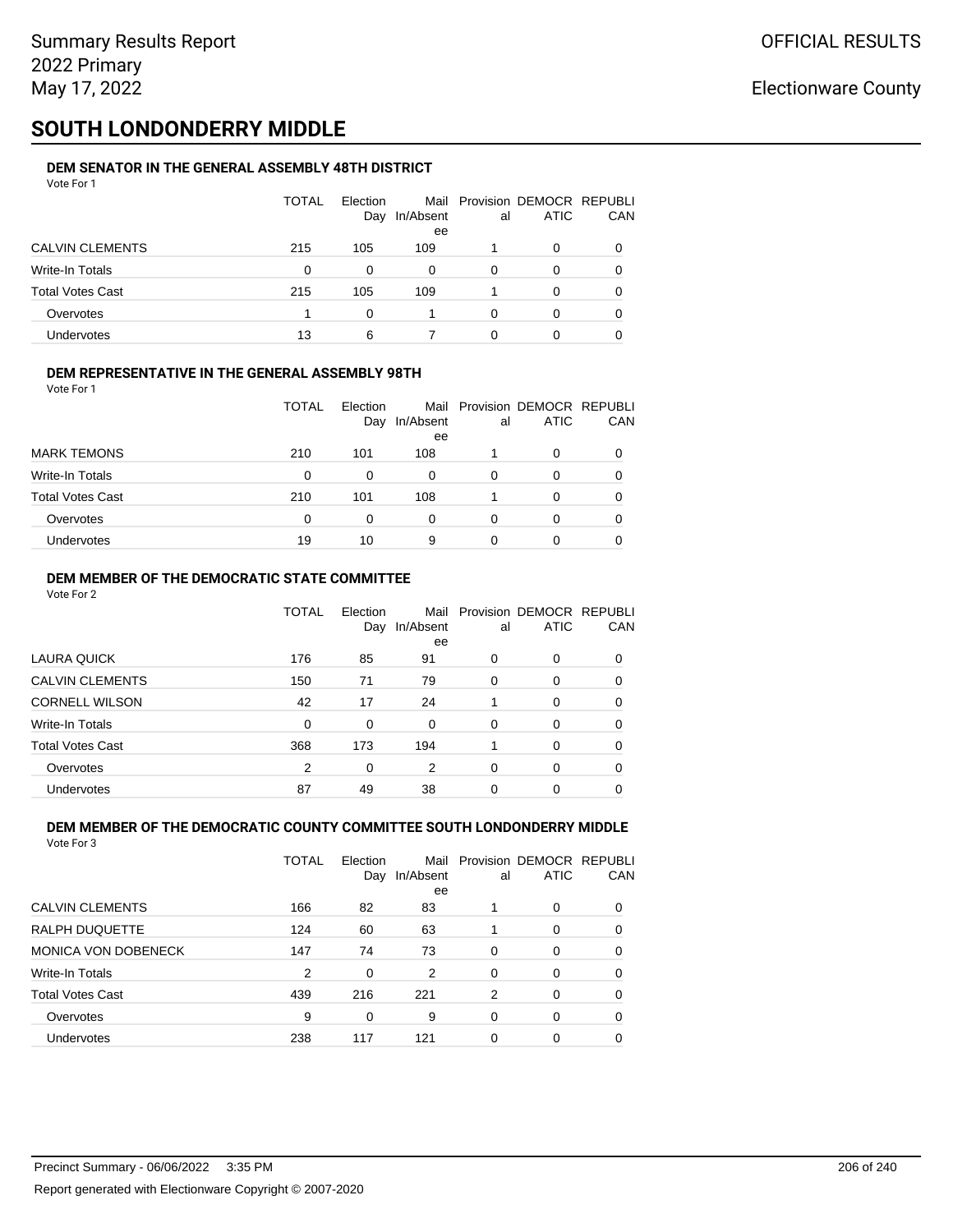# **SOUTH LONDONDERRY MIDDLE**

#### **DEM SENATOR IN THE GENERAL ASSEMBLY 48TH DISTRICT** Vote For 1

| 1 U U U                 |              |          |                     |    |                                              |            |
|-------------------------|--------------|----------|---------------------|----|----------------------------------------------|------------|
|                         | <b>TOTAL</b> | Election | Day In/Absent<br>ee | al | Mail Provision DEMOCR REPUBLI<br><b>ATIC</b> | <b>CAN</b> |
| <b>CALVIN CLEMENTS</b>  | 215          | 105      | 109                 |    | 0                                            | 0          |
| Write-In Totals         | 0            | $\Omega$ | 0                   | 0  | 0                                            | 0          |
| <b>Total Votes Cast</b> | 215          | 105      | 109                 |    | $\Omega$                                     | 0          |
| Overvotes               |              | 0        |                     | 0  |                                              | 0          |
| <b>Undervotes</b>       | 13           | 6        |                     | 0  |                                              | 0          |

### **DEM REPRESENTATIVE IN THE GENERAL ASSEMBLY 98TH**

Vote For 1

|                         | TOTAL | Election<br>Day | In/Absent<br>ee | al | Mail Provision DEMOCR REPUBLI<br><b>ATIC</b> | <b>CAN</b> |
|-------------------------|-------|-----------------|-----------------|----|----------------------------------------------|------------|
| <b>MARK TEMONS</b>      | 210   | 101             | 108             |    |                                              | 0          |
| Write-In Totals         | 0     |                 | 0               | 0  |                                              | 0          |
| <b>Total Votes Cast</b> | 210   | 101             | 108             |    | 0                                            | 0          |
| Overvotes               | 0     | 0               | 0               | 0  |                                              | 0          |
| <b>Undervotes</b>       | 19    | 10              | 9               | 0  |                                              | 0          |

### **DEM MEMBER OF THE DEMOCRATIC STATE COMMITTEE**

Vote For 2

|                         | TOTAL | Election<br>Day | Mail<br>In/Absent<br>ee | al       | Provision DEMOCR REPUBLI<br><b>ATIC</b> | CAN      |
|-------------------------|-------|-----------------|-------------------------|----------|-----------------------------------------|----------|
| LAURA QUICK             | 176   | 85              | 91                      | 0        | 0                                       | $\Omega$ |
| <b>CALVIN CLEMENTS</b>  | 150   | 71              | 79                      | $\Omega$ | 0                                       | 0        |
| <b>CORNELL WILSON</b>   | 42    | 17              | 24                      |          | 0                                       | 0        |
| Write-In Totals         | 0     | 0               | 0                       | 0        | 0                                       | 0        |
| <b>Total Votes Cast</b> | 368   | 173             | 194                     |          | 0                                       | $\Omega$ |
| Overvotes               | 2     | 0               | 2                       | $\Omega$ | 0                                       | 0        |
| Undervotes              | 87    | 49              | 38                      | 0        | 0                                       |          |

#### **DEM MEMBER OF THE DEMOCRATIC COUNTY COMMITTEE SOUTH LONDONDERRY MIDDLE** Vote For 3

|                            | TOTAL | Election<br>Day | Mail<br>In/Absent<br>ee | al       | Provision DEMOCR REPUBLI<br><b>ATIC</b> | CAN |
|----------------------------|-------|-----------------|-------------------------|----------|-----------------------------------------|-----|
| <b>CALVIN CLEMENTS</b>     | 166   | 82              | 83                      |          | $\Omega$                                | 0   |
| RALPH DUQUETTE             | 124   | 60              | 63                      |          | 0                                       | 0   |
| <b>MONICA VON DOBENECK</b> | 147   | 74              | 73                      | $\Omega$ | $\Omega$                                | 0   |
| Write-In Totals            | 2     | $\Omega$        | 2                       | $\Omega$ | $\Omega$                                | 0   |
| <b>Total Votes Cast</b>    | 439   | 216             | 221                     | 2        | $\Omega$                                | 0   |
| Overvotes                  | 9     | 0               | 9                       | $\Omega$ | $\Omega$                                | 0   |
| Undervotes                 | 238   | 117             | 121                     | 0        | $\Omega$                                |     |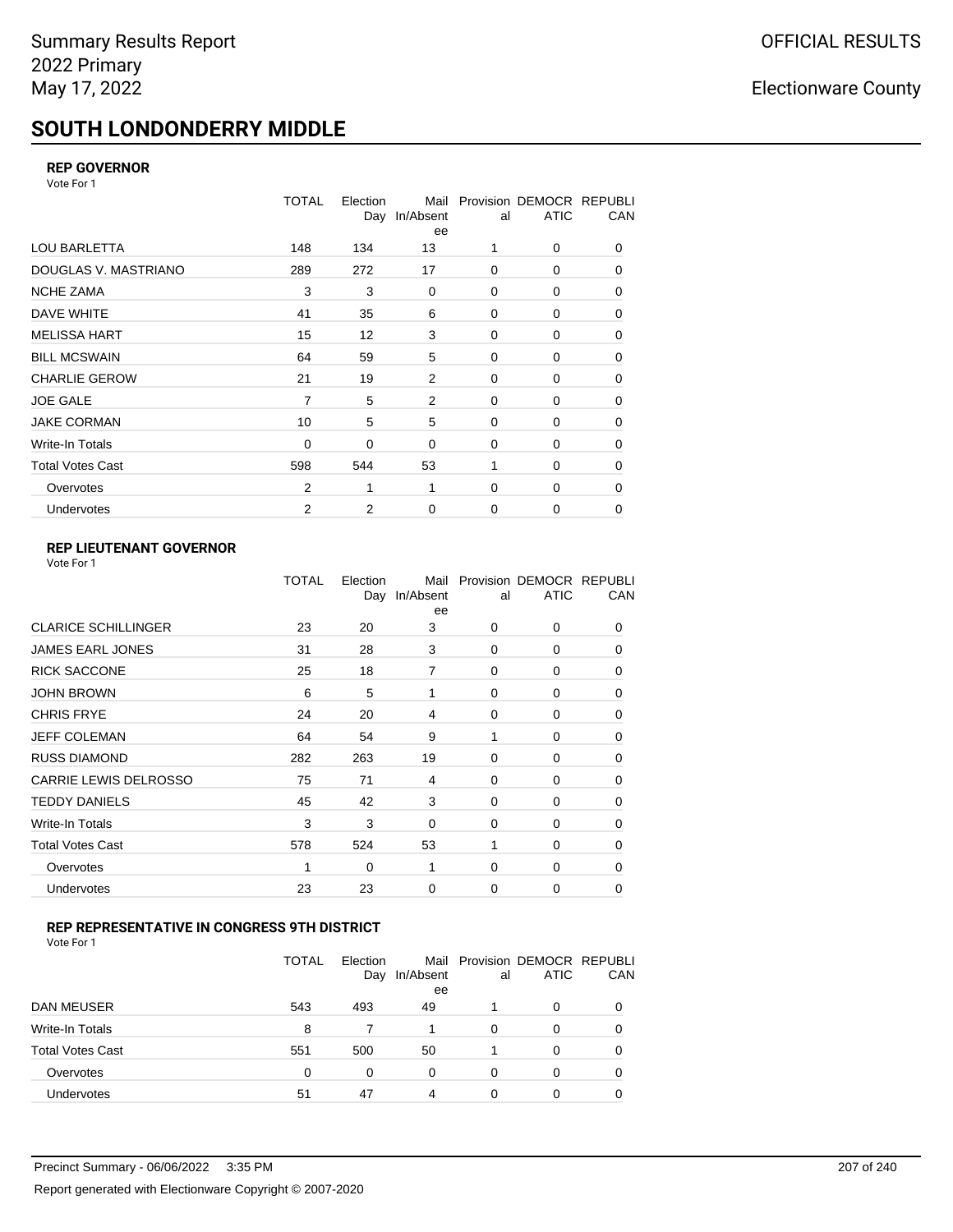# **SOUTH LONDONDERRY MIDDLE**

### **REP GOVERNOR**

Vote For 1

|                         | <b>TOTAL</b>   | Election<br>Day | Mail<br>In/Absent<br>ee | al          | Provision DEMOCR REPUBLI<br><b>ATIC</b> | CAN      |
|-------------------------|----------------|-----------------|-------------------------|-------------|-----------------------------------------|----------|
| LOU BARLETTA            | 148            | 134             | 13                      | 1           | 0                                       | 0        |
| DOUGLAS V. MASTRIANO    | 289            | 272             | 17                      | 0           | 0                                       | $\Omega$ |
| <b>NCHE ZAMA</b>        | 3              | 3               | 0                       | 0           | 0                                       | 0        |
| DAVE WHITE              | 41             | 35              | 6                       | $\mathbf 0$ | 0                                       | 0        |
| <b>MELISSA HART</b>     | 15             | 12              | 3                       | 0           | 0                                       | 0        |
| <b>BILL MCSWAIN</b>     | 64             | 59              | 5                       | $\mathbf 0$ | 0                                       | 0        |
| <b>CHARLIE GEROW</b>    | 21             | 19              | 2                       | $\Omega$    | $\Omega$                                | 0        |
| <b>JOE GALE</b>         | 7              | 5               | $\overline{2}$          | $\mathbf 0$ | 0                                       | 0        |
| <b>JAKE CORMAN</b>      | 10             | 5               | 5                       | $\mathbf 0$ | 0                                       | 0        |
| Write-In Totals         | 0              | 0               | 0                       | $\mathbf 0$ | 0                                       | 0        |
| <b>Total Votes Cast</b> | 598            | 544             | 53                      | 1           | 0                                       | 0        |
| Overvotes               | $\overline{2}$ | 1               | 1                       | 0           | 0                                       | 0        |
| Undervotes              | 2              | 2               | $\mathbf 0$             | $\mathbf 0$ | 0                                       | 0        |

### **REP LIEUTENANT GOVERNOR**

| Vote For 1 |  |
|------------|--|
|------------|--|

|                            | TOTAL | Election | Mail<br>Day In/Absent<br>ee | al       | Provision DEMOCR REPUBLI<br><b>ATIC</b> | CAN      |
|----------------------------|-------|----------|-----------------------------|----------|-----------------------------------------|----------|
| <b>CLARICE SCHILLINGER</b> | 23    | 20       | 3                           | $\Omega$ | 0                                       | 0        |
| JAMES EARL JONES           | 31    | 28       | 3                           | $\Omega$ | $\Omega$                                | 0        |
| <b>RICK SACCONE</b>        | 25    | 18       | 7                           | $\Omega$ | 0                                       | 0        |
| JOHN BROWN                 | 6     | 5        | 1                           | $\Omega$ | $\Omega$                                | 0        |
| CHRIS FRYE                 | 24    | 20       | 4                           | $\Omega$ | 0                                       | 0        |
| JEFF COLEMAN               | 64    | 54       | 9                           | 1        | $\Omega$                                | 0        |
| <b>RUSS DIAMOND</b>        | 282   | 263      | 19                          | $\Omega$ | 0                                       | 0        |
| CARRIE LEWIS DELROSSO      | 75    | 71       | 4                           | $\Omega$ | $\Omega$                                | 0        |
| <b>TEDDY DANIELS</b>       | 45    | 42       | 3                           | $\Omega$ | 0                                       | 0        |
| Write-In Totals            | 3     | 3        | $\Omega$                    | $\Omega$ | $\Omega$                                | 0        |
| Total Votes Cast           | 578   | 524      | 53                          | 1        | 0                                       | 0        |
| Overvotes                  | 1     | 0        | 1                           | 0        | 0                                       | $\Omega$ |
| <b>Undervotes</b>          | 23    | 23       | 0                           | $\Omega$ | 0                                       | 0        |
|                            |       |          |                             |          |                                         |          |

### **REP REPRESENTATIVE IN CONGRESS 9TH DISTRICT**

| Vote For 1 |  |  |
|------------|--|--|
|------------|--|--|

|                         | TOTAL | Election<br>Day | In/Absent<br>ee | al | Mail Provision DEMOCR REPUBLI<br><b>ATIC</b> | CAN      |
|-------------------------|-------|-----------------|-----------------|----|----------------------------------------------|----------|
| DAN MEUSER              | 543   | 493             | 49              |    | 0                                            |          |
| Write-In Totals         | 8     |                 |                 | 0  | 0                                            |          |
| <b>Total Votes Cast</b> | 551   | 500             | 50              |    | 0                                            | $\Omega$ |
| Overvotes               | 0     | 0               | 0               | 0  | O                                            |          |
| Undervotes              | 51    | 47              | 4               | ი  | ი                                            |          |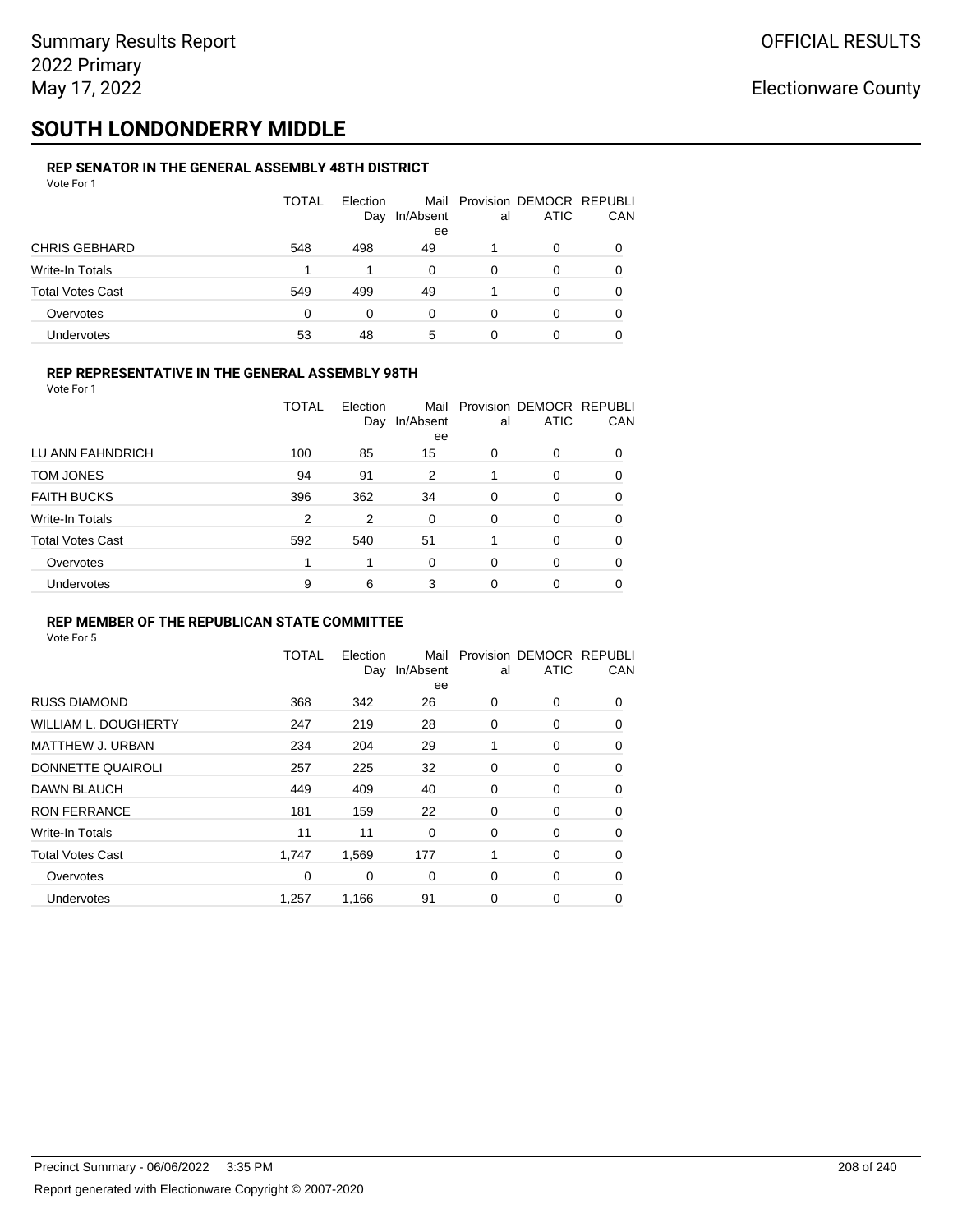# **SOUTH LONDONDERRY MIDDLE**

#### **REP SENATOR IN THE GENERAL ASSEMBLY 48TH DISTRICT** Vote For 1

| 1 U U U U U             |              |                 |                 |    |                                              |          |
|-------------------------|--------------|-----------------|-----------------|----|----------------------------------------------|----------|
|                         | <b>TOTAL</b> | Election<br>Day | In/Absent<br>ee | al | Mail Provision DEMOCR REPUBLI<br><b>ATIC</b> | CAN      |
| <b>CHRIS GEBHARD</b>    | 548          | 498             | 49              |    | 0                                            |          |
| Write-In Totals         |              |                 | 0               | 0  | O                                            |          |
| <b>Total Votes Cast</b> | 549          | 499             | 49              |    | 0                                            | $\Omega$ |
| Overvotes               | 0            | 0               | 0               | 0  | 0                                            | 0        |
| <b>Undervotes</b>       | 53           | 48              | 5               | 0  | 0                                            |          |

### **REP REPRESENTATIVE IN THE GENERAL ASSEMBLY 98TH**

| Vote For 1 |  |
|------------|--|
|            |  |

|                         | TOTAL | Election<br>Day | Mail<br>In/Absent | al       | Provision DEMOCR REPUBLI<br><b>ATIC</b> | CAN      |
|-------------------------|-------|-----------------|-------------------|----------|-----------------------------------------|----------|
| LU ANN FAHNDRICH        | 100   | 85              | ee<br>15          | 0        | 0                                       | 0        |
| TOM JONES               | 94    | 91              | 2                 |          | 0                                       | 0        |
| <b>FAITH BUCKS</b>      | 396   | 362             | 34                | $\Omega$ | 0                                       | 0        |
| Write-In Totals         | 2     | 2               | $\Omega$          | $\Omega$ | 0                                       | 0        |
| <b>Total Votes Cast</b> | 592   | 540             | 51                |          | 0                                       | 0        |
| Overvotes               |       | 1               | $\Omega$          | $\Omega$ | 0                                       | $\Omega$ |
| <b>Undervotes</b>       | 9     | 6               | 3                 | 0        | 0                                       |          |

### **REP MEMBER OF THE REPUBLICAN STATE COMMITTEE**

|                             | <b>TOTAL</b> | Election<br>Day | Mail<br>In/Absent<br>ee | al          | Provision DEMOCR REPUBLI<br><b>ATIC</b> | CAN      |
|-----------------------------|--------------|-----------------|-------------------------|-------------|-----------------------------------------|----------|
| <b>RUSS DIAMOND</b>         | 368          | 342             | 26                      | 0           | 0                                       | 0        |
| <b>WILLIAM L. DOUGHERTY</b> | 247          | 219             | 28                      | 0           | 0                                       | 0        |
| MATTHEW J. URBAN            | 234          | 204             | 29                      |             | 0                                       | $\Omega$ |
| DONNETTE QUAIROLI           | 257          | 225             | 32                      | 0           | 0                                       | $\Omega$ |
| DAWN BLAUCH                 | 449          | 409             | 40                      | 0           | 0                                       | $\Omega$ |
| <b>RON FERRANCE</b>         | 181          | 159             | 22                      | 0           | 0                                       | 0        |
| Write-In Totals             | 11           | 11              | $\mathbf 0$             | $\mathbf 0$ | 0                                       | $\Omega$ |
| <b>Total Votes Cast</b>     | 1,747        | 1,569           | 177                     | 1           | 0                                       | 0        |
| Overvotes                   | 0            | 0               | 0                       | 0           | 0                                       | $\Omega$ |
| <b>Undervotes</b>           | 1,257        | 1,166           | 91                      | 0           | 0                                       | 0        |
|                             |              |                 |                         |             |                                         |          |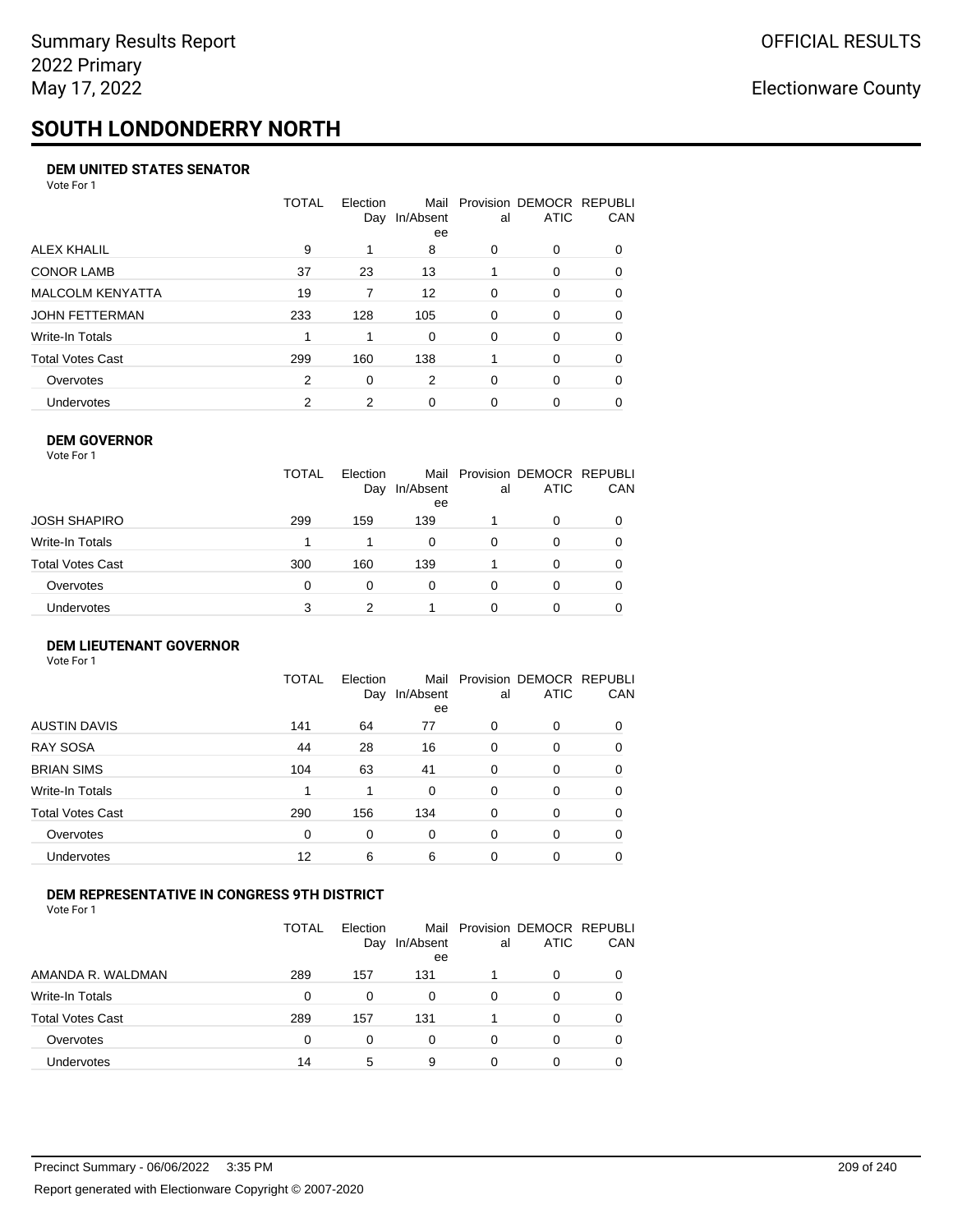# **SOUTH LONDONDERRY NORTH**

### **DEM UNITED STATES SENATOR**

Vote For 1

|                         | TOTAL | Election<br>Day | Mail<br>In/Absent<br>ee | al       | Provision DEMOCR REPUBLI<br><b>ATIC</b> | CAN      |
|-------------------------|-------|-----------------|-------------------------|----------|-----------------------------------------|----------|
| ALEX KHALIL             | 9     |                 | 8                       | $\Omega$ | 0                                       | $\Omega$ |
| <b>CONOR LAMB</b>       | 37    | 23              | 13                      |          | 0                                       | 0        |
| <b>MALCOLM KENYATTA</b> | 19    | 7               | 12                      | $\Omega$ | $\Omega$                                | 0        |
| JOHN FETTERMAN          | 233   | 128             | 105                     | $\Omega$ | $\Omega$                                | $\Omega$ |
| Write-In Totals         |       |                 | $\Omega$                | $\Omega$ | $\Omega$                                | $\Omega$ |
| Total Votes Cast        | 299   | 160             | 138                     |          | $\Omega$                                | $\Omega$ |
| Overvotes               | 2     | $\Omega$        | 2                       | $\Omega$ | $\Omega$                                | 0        |
| <b>Undervotes</b>       | 2     | 2               | 0                       | 0        | 0                                       |          |

### **DEM GOVERNOR**

| Vote For 1       |              |                 |                         |    |                                         |            |
|------------------|--------------|-----------------|-------------------------|----|-----------------------------------------|------------|
|                  | <b>TOTAL</b> | Election<br>Day | Mail<br>In/Absent<br>ee | al | Provision DEMOCR REPUBLI<br><b>ATIC</b> | <b>CAN</b> |
| JOSH SHAPIRO     | 299          | 159             | 139                     |    | $\Omega$                                | 0          |
| Write-In Totals  | 1            |                 | 0                       | 0  | 0                                       | 0          |
| Total Votes Cast | 300          | 160             | 139                     |    | $\Omega$                                | 0          |
| Overvotes        | 0            | 0               | 0                       | 0  | $\Omega$                                | 0          |
| Undervotes       | 3            | っ               |                         | 0  |                                         | 0          |

### **DEM LIEUTENANT GOVERNOR** Vote For 1

|                         | TOTAL | Election<br>Day | In/Absent<br>ee | al       | Mail Provision DEMOCR REPUBLI<br><b>ATIC</b> | CAN      |
|-------------------------|-------|-----------------|-----------------|----------|----------------------------------------------|----------|
| <b>AUSTIN DAVIS</b>     | 141   | 64              | 77              | 0        | 0                                            | 0        |
| <b>RAY SOSA</b>         | 44    | 28              | 16              | 0        | 0                                            | 0        |
| <b>BRIAN SIMS</b>       | 104   | 63              | 41              | 0        | $\Omega$                                     | $\Omega$ |
| <b>Write-In Totals</b>  | 1     | 1               | $\Omega$        | $\Omega$ | $\Omega$                                     | $\Omega$ |
| <b>Total Votes Cast</b> | 290   | 156             | 134             | 0        | 0                                            | $\Omega$ |
| Overvotes               | 0     | 0               | 0               | $\Omega$ | 0                                            | $\Omega$ |
| Undervotes              | 12    | 6               | 6               | 0        | 0                                            | 0        |

### **DEM REPRESENTATIVE IN CONGRESS 9TH DISTRICT**

Vote For 1

|                         | TOTAL    | <b>Flection</b><br>Day | In/Absent<br>ee | al | Mail Provision DEMOCR REPUBLI<br><b>ATIC</b> | <b>CAN</b> |
|-------------------------|----------|------------------------|-----------------|----|----------------------------------------------|------------|
| AMANDA R. WALDMAN       | 289      | 157                    | 131             |    | $\Omega$                                     | 0          |
| Write-In Totals         | $\Omega$ | U                      | 0               | 0  | $\Omega$                                     | 0          |
| <b>Total Votes Cast</b> | 289      | 157                    | 131             |    | $\Omega$                                     | 0          |
| Overvotes               | 0        | 0                      | 0               | 0  | $\Omega$                                     | 0          |
| Undervotes              | 14       | 5                      | 9               |    |                                              |            |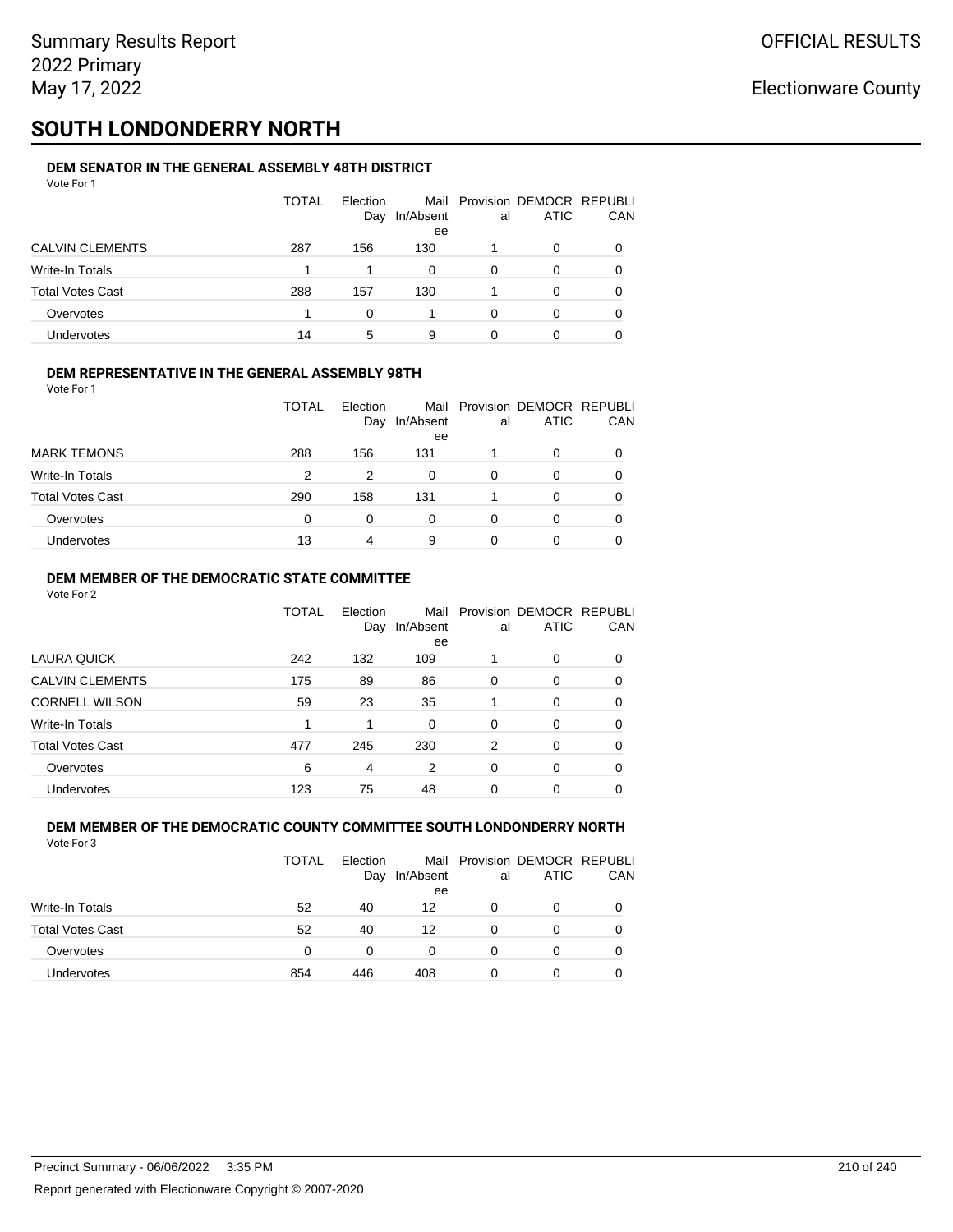# **SOUTH LONDONDERRY NORTH**

#### **DEM SENATOR IN THE GENERAL ASSEMBLY 48TH DISTRICT** Vote For 1

| 1 U U U                 |       |                 |                 |    |                                              |            |
|-------------------------|-------|-----------------|-----------------|----|----------------------------------------------|------------|
|                         | TOTAL | Election<br>Day | In/Absent<br>ee | al | Mail Provision DEMOCR REPUBLI<br><b>ATIC</b> | <b>CAN</b> |
| <b>CALVIN CLEMENTS</b>  | 287   | 156             | 130             |    | 0                                            | 0          |
| Write-In Totals         |       |                 | 0               | 0  | 0                                            | 0          |
| <b>Total Votes Cast</b> | 288   | 157             | 130             |    | $\Omega$                                     | 0          |
| Overvotes               |       | <sup>0</sup>    |                 | 0  | 0                                            | 0          |
| Undervotes              | 14    | 5               | 9               | 0  |                                              | 0          |

### **DEM REPRESENTATIVE IN THE GENERAL ASSEMBLY 98TH**

Vote For 1

|                         | TOTAL | Election<br>Day | Mail<br>In/Absent | al | Provision DEMOCR REPUBLI<br><b>ATIC</b> | <b>CAN</b> |
|-------------------------|-------|-----------------|-------------------|----|-----------------------------------------|------------|
|                         |       |                 | ee                |    |                                         |            |
| <b>MARK TEMONS</b>      | 288   | 156             | 131               |    | 0                                       | 0          |
| <b>Write-In Totals</b>  | 2     | 2               | 0                 | 0  |                                         | 0          |
| <b>Total Votes Cast</b> | 290   | 158             | 131               |    | 0                                       | 0          |
| Overvotes               | 0     | 0               | 0                 | 0  |                                         | 0          |
| <b>Undervotes</b>       | 13    | 4               | 9                 | O  |                                         | 0          |

### **DEM MEMBER OF THE DEMOCRATIC STATE COMMITTEE**

Vote For 2

|                         | TOTAL | Election<br>Day | Mail<br>In/Absent<br>ee | al       | Provision DEMOCR REPUBLI<br><b>ATIC</b> | CAN |
|-------------------------|-------|-----------------|-------------------------|----------|-----------------------------------------|-----|
| LAURA QUICK             | 242   | 132             | 109                     |          | $\Omega$                                | 0   |
| <b>CALVIN CLEMENTS</b>  | 175   | 89              | 86                      | $\Omega$ | 0                                       | 0   |
| <b>CORNELL WILSON</b>   | 59    | 23              | 35                      |          | $\Omega$                                | 0   |
| Write-In Totals         |       | 1               | $\Omega$                | $\Omega$ | $\Omega$                                | 0   |
| <b>Total Votes Cast</b> | 477   | 245             | 230                     | 2        | 0                                       | 0   |
| Overvotes               | 6     | 4               | 2                       | $\Omega$ | $\Omega$                                | 0   |
| Undervotes              | 123   | 75              | 48                      | 0        | $\Omega$                                |     |

#### **DEM MEMBER OF THE DEMOCRATIC COUNTY COMMITTEE SOUTH LONDONDERRY NORTH** Vote For 3

|                         | <b>TOTAL</b> | Election<br>Day | In/Absent<br>ee | al | Mail Provision DEMOCR REPUBLI<br><b>ATIC</b> | CAN |
|-------------------------|--------------|-----------------|-----------------|----|----------------------------------------------|-----|
| <b>Write-In Totals</b>  | 52           | 40              | 12              | Ω  | 0                                            |     |
| <b>Total Votes Cast</b> | 52           | 40              | 12              | Ω  | 0                                            |     |
| Overvotes               | 0            | $\Omega$        |                 | Ω  | 0                                            |     |
| Undervotes              | 854          | 446             | 408             | O  | 0                                            |     |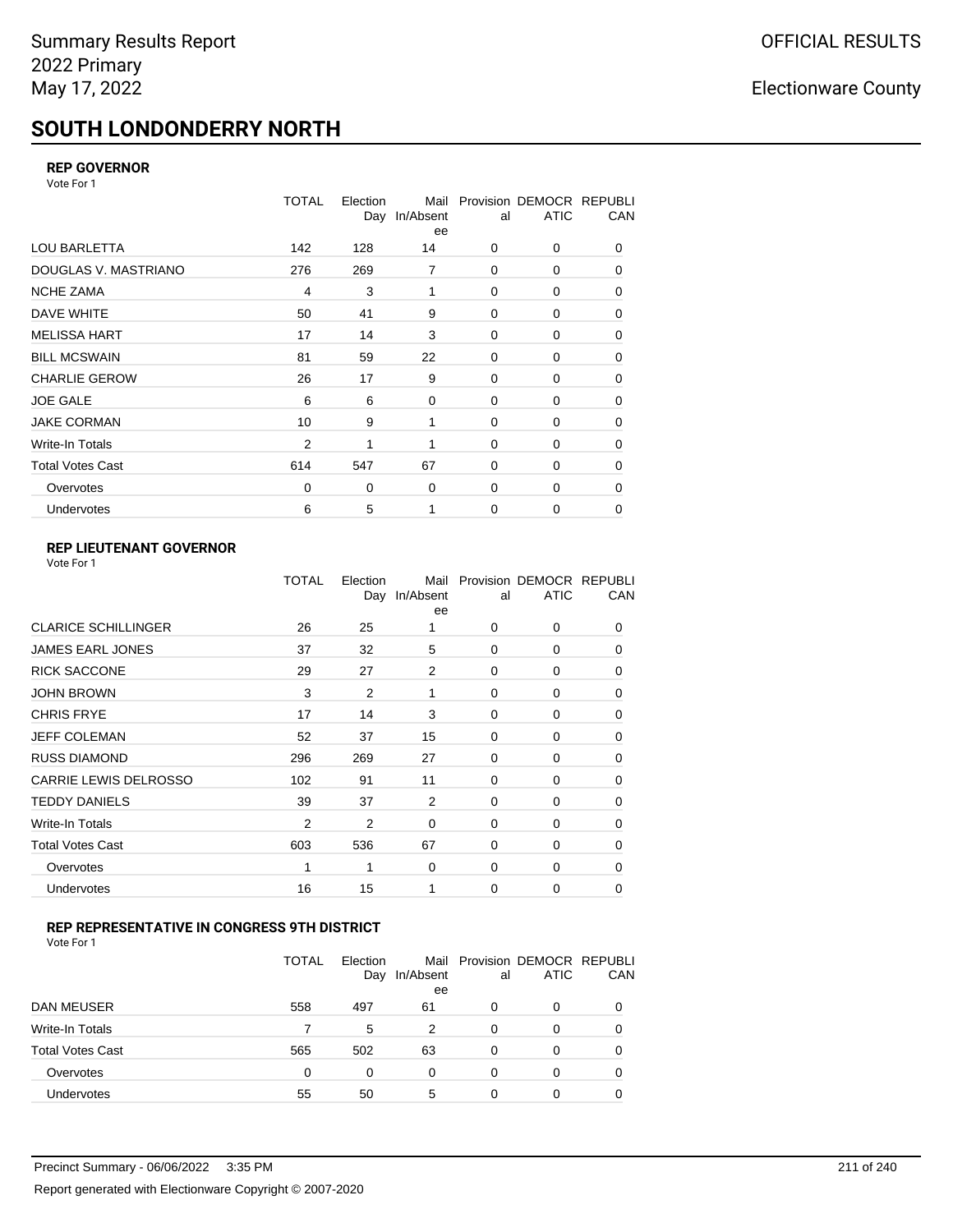# **SOUTH LONDONDERRY NORTH**

### **REP GOVERNOR**

Vote For 1

|                         | <b>TOTAL</b>   | Election<br>Day | Mail<br>In/Absent<br>ee | al          | Provision DEMOCR REPUBLI<br><b>ATIC</b> | CAN      |
|-------------------------|----------------|-----------------|-------------------------|-------------|-----------------------------------------|----------|
| LOU BARLETTA            | 142            | 128             | 14                      | 0           | 0                                       | 0        |
| DOUGLAS V. MASTRIANO    | 276            | 269             | $\overline{7}$          | 0           | 0                                       | $\Omega$ |
| <b>NCHE ZAMA</b>        | $\overline{4}$ | 3               | 1                       | 0           | 0                                       | 0        |
| DAVE WHITE              | 50             | 41              | 9                       | 0           | 0                                       | 0        |
| <b>MELISSA HART</b>     | 17             | 14              | 3                       | 0           | 0                                       | 0        |
| <b>BILL MCSWAIN</b>     | 81             | 59              | 22                      | 0           | 0                                       | 0        |
| <b>CHARLIE GEROW</b>    | 26             | 17              | 9                       | $\Omega$    | $\Omega$                                | 0        |
| <b>JOE GALE</b>         | 6              | 6               | 0                       | 0           | 0                                       | 0        |
| <b>JAKE CORMAN</b>      | 10             | 9               | 1                       | 0           | 0                                       | 0        |
| Write-In Totals         | $\overline{2}$ | 1               | 1                       | 0           | 0                                       | 0        |
| <b>Total Votes Cast</b> | 614            | 547             | 67                      | $\mathbf 0$ | 0                                       | 0        |
| Overvotes               | 0              | 0               | 0                       | 0           | 0                                       | 0        |
| Undervotes              | 6              | 5               | 1                       | 0           | 0                                       | 0        |

## **REP LIEUTENANT GOVERNOR**

|                            | TOTAL          | Election<br>Day | Mail<br>In/Absent<br>ee | al       | Provision DEMOCR REPUBLI<br><b>ATIC</b> | CAN      |
|----------------------------|----------------|-----------------|-------------------------|----------|-----------------------------------------|----------|
| <b>CLARICE SCHILLINGER</b> | 26             | 25              | 1                       | $\Omega$ | 0                                       | 0        |
| JAMES EARL JONES           | 37             | 32              | 5                       | $\Omega$ | $\Omega$                                | 0        |
| <b>RICK SACCONE</b>        | 29             | 27              | 2                       | $\Omega$ | 0                                       | 0        |
| JOHN BROWN                 | 3              | $\overline{2}$  | 1                       | $\Omega$ | $\Omega$                                | 0        |
| CHRIS FRYE                 | 17             | 14              | 3                       | $\Omega$ | 0                                       | 0        |
| JEFF COLEMAN               | 52             | 37              | 15                      | $\Omega$ | $\Omega$                                | 0        |
| <b>RUSS DIAMOND</b>        | 296            | 269             | 27                      | $\Omega$ | 0                                       | 0        |
| CARRIE LEWIS DELROSSO      | 102            | 91              | 11                      | $\Omega$ | $\Omega$                                | 0        |
| <b>TEDDY DANIELS</b>       | 39             | 37              | 2                       | $\Omega$ | 0                                       | 0        |
| Write-In Totals            | $\overline{2}$ | 2               | 0                       | $\Omega$ | $\Omega$                                | 0        |
| Total Votes Cast           | 603            | 536             | 67                      | $\Omega$ | 0                                       | 0        |
| Overvotes                  | 1              |                 | 0                       | 0        | 0                                       | $\Omega$ |
| <b>Undervotes</b>          | 16             | 15              | 1                       | $\Omega$ | 0                                       | 0        |
|                            |                |                 |                         |          |                                         |          |

### **REP REPRESENTATIVE IN CONGRESS 9TH DISTRICT**

| Vote For 1 |  |  |
|------------|--|--|
|------------|--|--|

|                         | <b>TOTAL</b> | Election<br>Day | In/Absent<br>ee | al       | Mail Provision DEMOCR REPUBLI<br><b>ATIC</b> | CAN      |
|-------------------------|--------------|-----------------|-----------------|----------|----------------------------------------------|----------|
| DAN MEUSER              | 558          | 497             | 61              | 0        | 0                                            | $\Omega$ |
| Write-In Totals         |              | 5               | 2               | 0        | 0                                            |          |
| <b>Total Votes Cast</b> | 565          | 502             | 63              | $\Omega$ | 0                                            |          |
| Overvotes               | 0            | 0               | 0               | 0        | 0                                            | 0        |
| Undervotes              | 55           | 50              | 5               | 0        | 0                                            |          |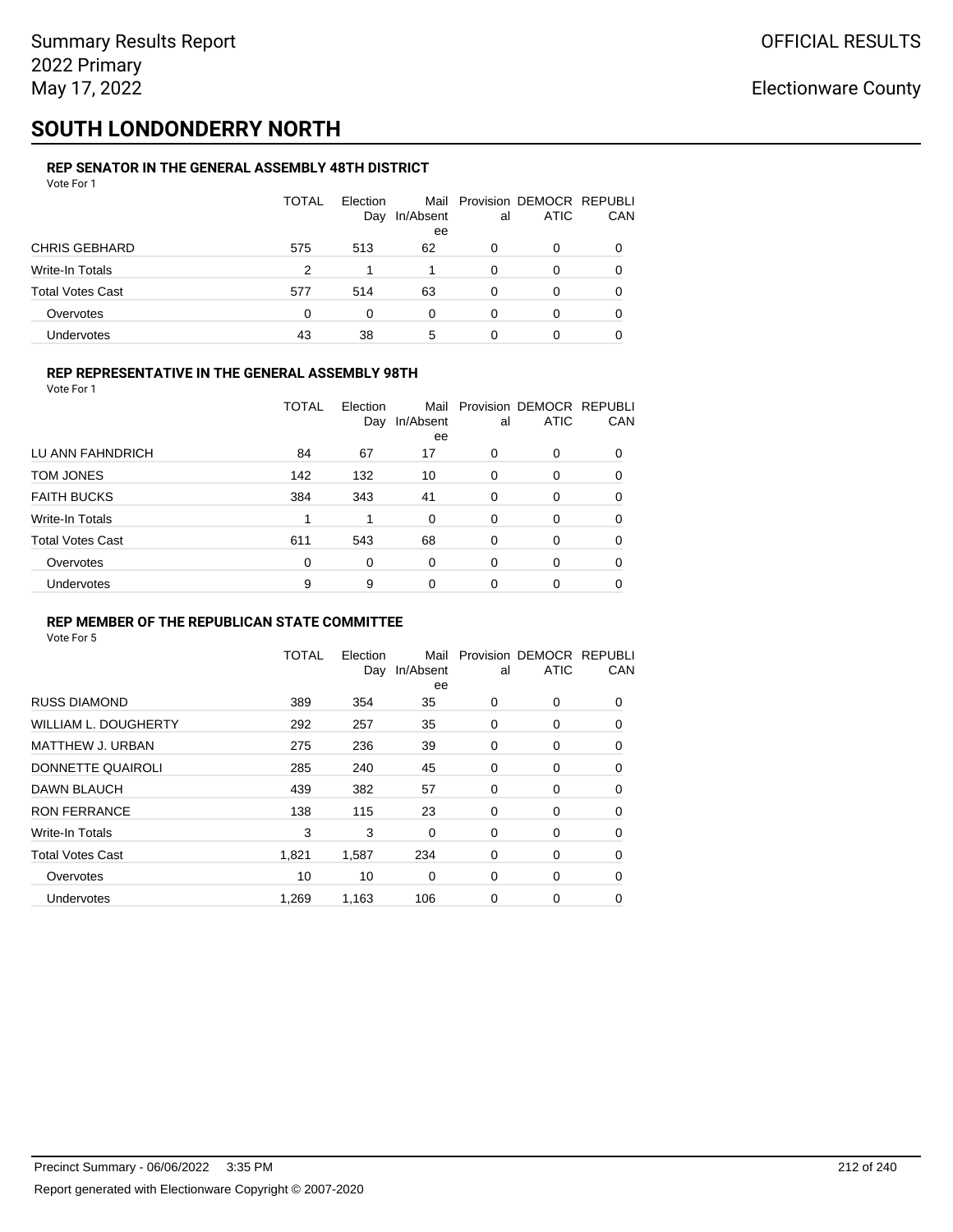# **SOUTH LONDONDERRY NORTH**

#### **REP SENATOR IN THE GENERAL ASSEMBLY 48TH DISTRICT** Vote For 1

| 1 J J J J J J           |              |                 |                 |    |                                              |            |
|-------------------------|--------------|-----------------|-----------------|----|----------------------------------------------|------------|
|                         | <b>TOTAL</b> | Election<br>Day | In/Absent<br>ee | al | Mail Provision DEMOCR REPUBLI<br><b>ATIC</b> | <b>CAN</b> |
| <b>CHRIS GEBHARD</b>    | 575          | 513             | 62              | 0  | 0                                            | 0          |
| Write-In Totals         | 2            |                 |                 | 0  | 0                                            | 0          |
| <b>Total Votes Cast</b> | 577          | 514             | 63              | 0  | 0                                            | 0          |
| Overvotes               | 0            | 0               | 0               | 0  | 0                                            | 0          |
| Undervotes              | 43           | 38              | 5               | 0  |                                              | 0          |

### **REP REPRESENTATIVE IN THE GENERAL ASSEMBLY 98TH**

| Vote For 1              |              |                 |                   |          |                                         |     |
|-------------------------|--------------|-----------------|-------------------|----------|-----------------------------------------|-----|
|                         | <b>TOTAL</b> | Election<br>Day | Mail<br>In/Absent | al       | Provision DEMOCR REPUBLI<br><b>ATIC</b> | CAN |
|                         |              |                 | ee                |          |                                         |     |
| LU ANN FAHNDRICH        | 84           | 67              | 17                | 0        | 0                                       | 0   |
| TOM JONES               | 142          | 132             | 10                | 0        | 0                                       | 0   |
| <b>FAITH BUCKS</b>      | 384          | 343             | 41                | $\Omega$ | 0                                       | 0   |
| Write-In Totals         |              | 1               | 0                 | $\Omega$ | $\Omega$                                | 0   |
| <b>Total Votes Cast</b> | 611          | 543             | 68                | 0        | 0                                       | 0   |
| Overvotes               | $\Omega$     | $\Omega$        | 0                 | $\Omega$ | 0                                       | 0   |
| Undervotes              | 9            | 9               | 0                 | 0        | 0                                       |     |

### **REP MEMBER OF THE REPUBLICAN STATE COMMITTEE**

|                             | <b>TOTAL</b> | Election<br>Day | Mail<br>In/Absent<br>ee | al          | Provision DEMOCR REPUBLI<br><b>ATIC</b> | CAN      |
|-----------------------------|--------------|-----------------|-------------------------|-------------|-----------------------------------------|----------|
| <b>RUSS DIAMOND</b>         | 389          | 354             | 35                      | 0           | 0                                       | 0        |
| <b>WILLIAM L. DOUGHERTY</b> | 292          | 257             | 35                      | 0           | 0                                       | 0        |
| MATTHEW J. URBAN            | 275          | 236             | 39                      | 0           | 0                                       | 0        |
| DONNETTE QUAIROLI           | 285          | 240             | 45                      | 0           | 0                                       | 0        |
| DAWN BLAUCH                 | 439          | 382             | 57                      | 0           | 0                                       | 0        |
| <b>RON FERRANCE</b>         | 138          | 115             | 23                      | 0           | 0                                       | 0        |
| Write-In Totals             | 3            | 3               | $\Omega$                | $\mathbf 0$ | 0                                       | $\Omega$ |
| <b>Total Votes Cast</b>     | 1,821        | 1,587           | 234                     | 0           | 0                                       | 0        |
| Overvotes                   | 10           | 10              | 0                       | 0           | 0                                       | 0        |
| <b>Undervotes</b>           | 1,269        | 1,163           | 106                     | 0           | 0                                       | $\Omega$ |
|                             |              |                 |                         |             |                                         |          |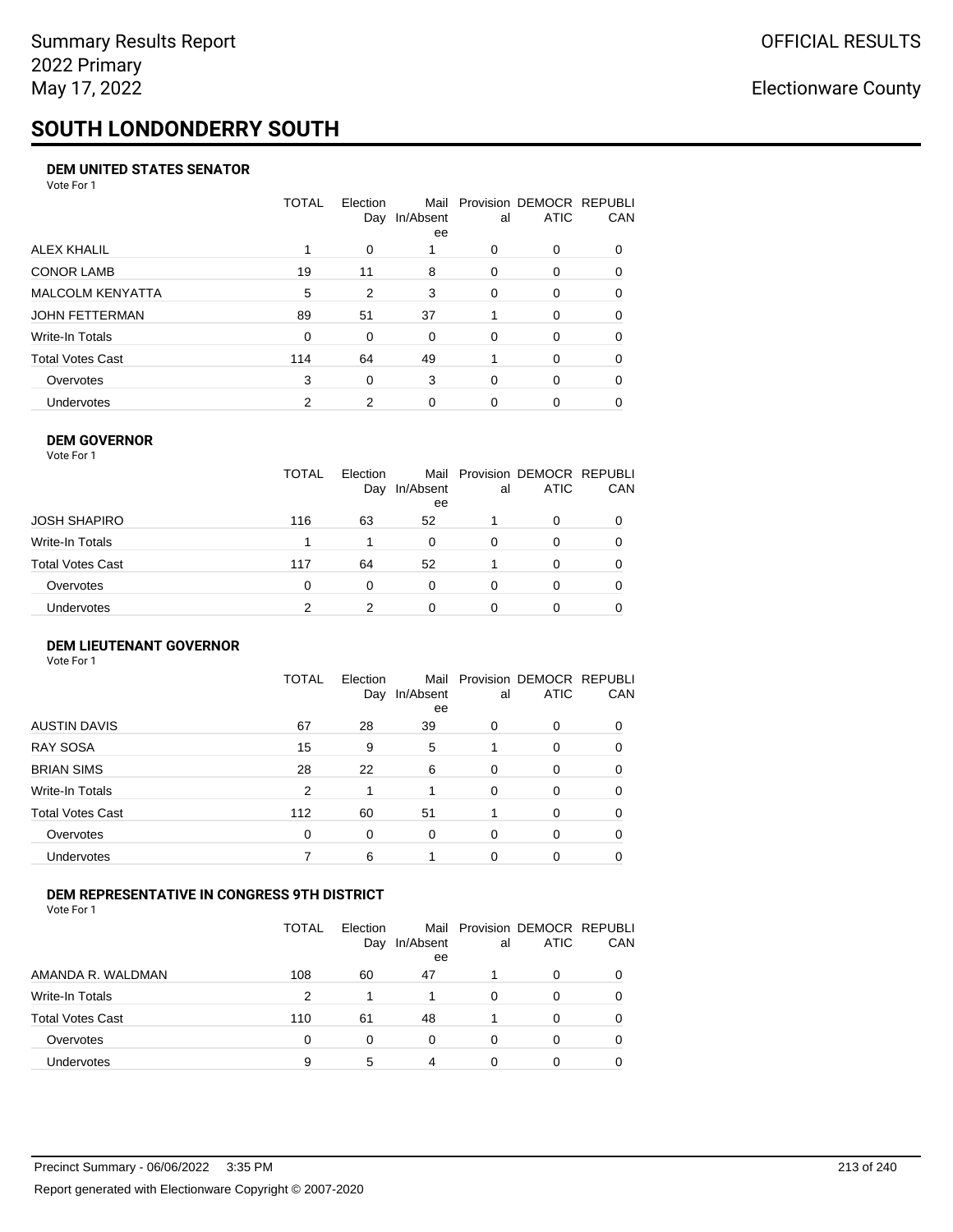# **SOUTH LONDONDERRY SOUTH**

### **DEM UNITED STATES SENATOR**

Vote For 1

|                         | TOTAL       | Election<br>Day | In/Absent<br>ee | al       | Mail Provision DEMOCR REPUBLI<br><b>ATIC</b> | CAN      |
|-------------------------|-------------|-----------------|-----------------|----------|----------------------------------------------|----------|
| ALEX KHALIL             |             | 0               |                 | $\Omega$ | $\Omega$                                     | $\Omega$ |
| <b>CONOR LAMB</b>       | 19          | 11              | 8               | $\Omega$ | 0                                            | 0        |
| <b>MALCOLM KENYATTA</b> | 5           | 2               | 3               | $\Omega$ | 0                                            | 0        |
| JOHN FETTERMAN          | 89          | 51              | 37              |          | $\Omega$                                     | 0        |
| Write-In Totals         | $\mathbf 0$ | $\Omega$        | $\Omega$        | $\Omega$ | 0                                            | $\Omega$ |
| Total Votes Cast        | 114         | 64              | 49              |          | $\Omega$                                     | $\Omega$ |
| Overvotes               | 3           | 0               | 3               | $\Omega$ | $\Omega$                                     | 0        |
| Undervotes              | 2           | 2               | 0               |          | 0                                            |          |

### **DEM GOVERNOR**

| Vote For 1       |              |                 |                 |          |                                              |          |
|------------------|--------------|-----------------|-----------------|----------|----------------------------------------------|----------|
|                  | <b>TOTAL</b> | Election<br>Day | In/Absent<br>ee | al       | Mail Provision DEMOCR REPUBLI<br><b>ATIC</b> | CAN      |
| JOSH SHAPIRO     | 116          | 63              | 52              |          | 0                                            |          |
| Write-In Totals  |              |                 | $\Omega$        | $\Omega$ | 0                                            | $\Omega$ |
| Total Votes Cast | 117          | 64              | 52              |          | $\Omega$                                     | 0        |
| Overvotes        | 0            | 0               | $\Omega$        | $\Omega$ | 0                                            | 0        |
| Undervotes       | 2            | 2               | 0               |          | 0                                            |          |
|                  |              |                 |                 |          |                                              |          |

### **DEM LIEUTENANT GOVERNOR** Vote For 1

|                         | TOTAL | Election<br>Day | In/Absent<br>ee | al       | Mail Provision DEMOCR REPUBLI<br><b>ATIC</b> | CAN      |
|-------------------------|-------|-----------------|-----------------|----------|----------------------------------------------|----------|
| <b>AUSTIN DAVIS</b>     | 67    | 28              | 39              | 0        | 0                                            | 0        |
| <b>RAY SOSA</b>         | 15    | 9               | 5               |          | 0                                            | 0        |
| <b>BRIAN SIMS</b>       | 28    | 22              | 6               | $\Omega$ | $\Omega$                                     | $\Omega$ |
| Write-In Totals         | 2     | 1               |                 | $\Omega$ | $\Omega$                                     | $\Omega$ |
| <b>Total Votes Cast</b> | 112   | 60              | 51              |          | $\Omega$                                     | $\Omega$ |
| Overvotes               | 0     | 0               | $\Omega$        | $\Omega$ | 0                                            | $\Omega$ |
| Undervotes              |       | 6               |                 | 0        | 0                                            | 0        |
|                         |       |                 |                 |          |                                              |          |

### **DEM REPRESENTATIVE IN CONGRESS 9TH DISTRICT**

Vote For 1

|                         | TOTAL | <b>Flection</b><br>Day | In/Absent<br>ee | al | Mail Provision DEMOCR REPUBLI<br><b>ATIC</b> | CAN |
|-------------------------|-------|------------------------|-----------------|----|----------------------------------------------|-----|
| AMANDA R. WALDMAN       | 108   | 60                     | 47              |    | 0                                            |     |
| Write-In Totals         | 2     |                        |                 | ∩  | 0                                            |     |
| <b>Total Votes Cast</b> | 110   | 61                     | 48              |    | 0                                            |     |
| Overvotes               | 0     | 0                      | $\Omega$        | 0  | 0                                            |     |
| <b>Undervotes</b>       | 9     | 5                      | 4               |    | ŋ                                            |     |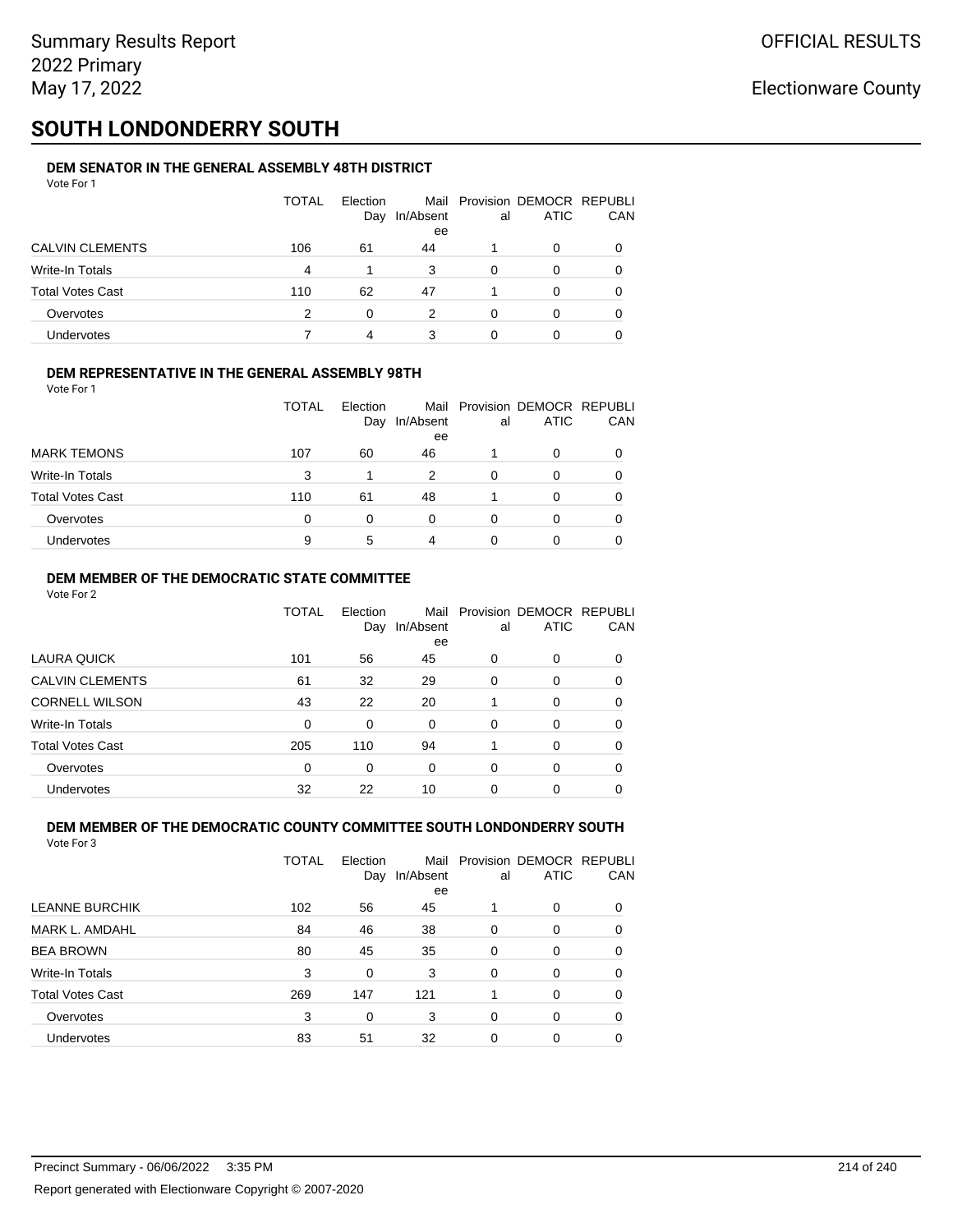# **SOUTH LONDONDERRY SOUTH**

#### **DEM SENATOR IN THE GENERAL ASSEMBLY 48TH DISTRICT** Vote For 1

| 1 J J J J J J           |              |                 |                 |    |                                              |            |
|-------------------------|--------------|-----------------|-----------------|----|----------------------------------------------|------------|
|                         | <b>TOTAL</b> | Election<br>Day | In/Absent<br>ee | al | Mail Provision DEMOCR REPUBLI<br><b>ATIC</b> | <b>CAN</b> |
| <b>CALVIN CLEMENTS</b>  | 106          | 61              | 44              |    | 0                                            | 0          |
| Write-In Totals         | 4            |                 | 3               | 0  | 0                                            | 0          |
| <b>Total Votes Cast</b> | 110          | 62              | 47              |    | <sup>0</sup>                                 | 0          |
| Overvotes               | 2            | 0               | 2               | 0  |                                              | 0          |
| Undervotes              |              | 4               | 3               |    |                                              |            |

### **DEM REPRESENTATIVE IN THE GENERAL ASSEMBLY 98TH**

Vote For 1

|                         | TOTAL | Election |                 |    | Mail Provision DEMOCR REPUBLI |            |
|-------------------------|-------|----------|-----------------|----|-------------------------------|------------|
|                         |       | Day      | In/Absent<br>ee | al | <b>ATIC</b>                   | <b>CAN</b> |
| <b>MARK TEMONS</b>      | 107   | 60       | 46              |    | 0                             | 0          |
| <b>Write-In Totals</b>  | 3     |          | 2               | 0  |                               | 0          |
| <b>Total Votes Cast</b> | 110   | 61       | 48              |    | 0                             | 0          |
| Overvotes               | 0     |          | 0               | 0  |                               | 0          |
| <b>Undervotes</b>       | 9     | 5        | 4               | O  |                               | 0          |

### **DEM MEMBER OF THE DEMOCRATIC STATE COMMITTEE**

Vote For 2

|                         | TOTAL    | Election<br>Day | Mail<br>In/Absent<br>ee | al       | Provision DEMOCR REPUBLI<br><b>ATIC</b> | CAN |
|-------------------------|----------|-----------------|-------------------------|----------|-----------------------------------------|-----|
| LAURA QUICK             | 101      | 56              | 45                      | $\Omega$ | $\Omega$                                | 0   |
| <b>CALVIN CLEMENTS</b>  | 61       | 32              | 29                      | $\Omega$ | 0                                       | 0   |
| <b>CORNELL WILSON</b>   | 43       | 22              | 20                      |          | $\Omega$                                | 0   |
| Write-In Totals         | $\Omega$ | $\Omega$        | $\Omega$                | $\Omega$ | $\Omega$                                | 0   |
| <b>Total Votes Cast</b> | 205      | 110             | 94                      |          | $\Omega$                                | 0   |
| Overvotes               | $\Omega$ | 0               | $\Omega$                | $\Omega$ | $\Omega$                                | 0   |
| Undervotes              | 32       | 22              | 10                      | 0        | 0                                       |     |

#### **DEM MEMBER OF THE DEMOCRATIC COUNTY COMMITTEE SOUTH LONDONDERRY SOUTH** Vote For 3

|                         | TOTAL | Election<br>Day | Mail<br>In/Absent<br>ee | al       | Provision DEMOCR REPUBLI<br><b>ATIC</b> | CAN |
|-------------------------|-------|-----------------|-------------------------|----------|-----------------------------------------|-----|
| <b>LEANNE BURCHIK</b>   | 102   | 56              | 45                      |          | $\Omega$                                | 0   |
| MARK L. AMDAHL          | 84    | 46              | 38                      | $\Omega$ | 0                                       | 0   |
| <b>BEA BROWN</b>        | 80    | 45              | 35                      | $\Omega$ | $\Omega$                                | 0   |
| Write-In Totals         | 3     | 0               | 3                       | $\Omega$ | $\Omega$                                | 0   |
| <b>Total Votes Cast</b> | 269   | 147             | 121                     |          | $\Omega$                                | 0   |
| Overvotes               | 3     | $\Omega$        | 3                       | $\Omega$ | $\Omega$                                | 0   |
| Undervotes              | 83    | 51              | 32                      | 0        | 0                                       |     |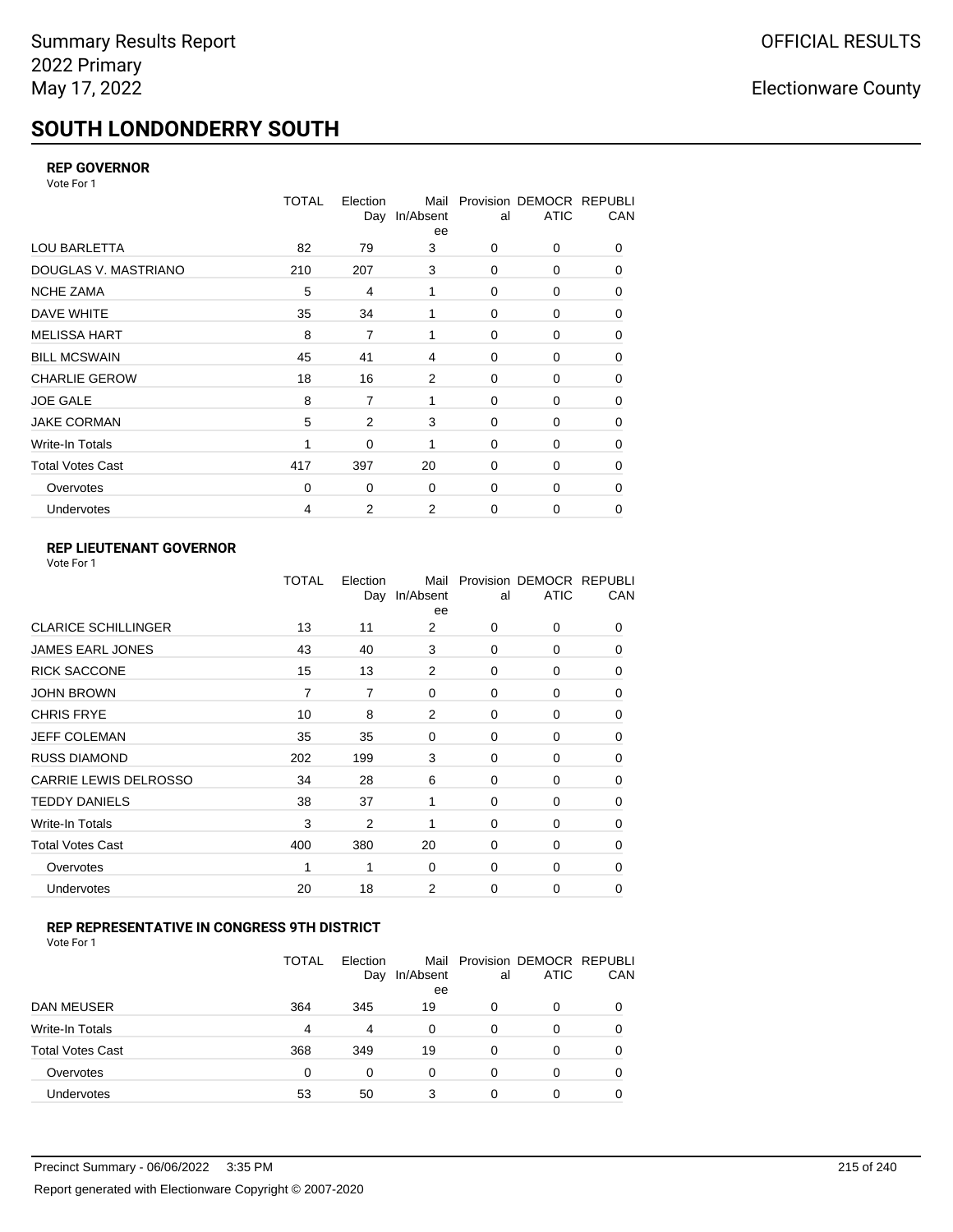# **SOUTH LONDONDERRY SOUTH**

### **REP GOVERNOR**

Vote For 1

|                         | <b>TOTAL</b> | Election<br>Day | Mail<br>In/Absent<br>ee | al          | Provision DEMOCR REPUBLI<br><b>ATIC</b> | CAN |
|-------------------------|--------------|-----------------|-------------------------|-------------|-----------------------------------------|-----|
| <b>LOU BARLETTA</b>     | 82           | 79              | 3                       | 0           | 0                                       | 0   |
| DOUGLAS V. MASTRIANO    | 210          | 207             | 3                       | 0           | 0                                       | 0   |
| <b>NCHE ZAMA</b>        | 5            | 4               | 1                       | $\Omega$    | 0                                       | 0   |
| DAVE WHITE              | 35           | 34              | 1                       | 0           | 0                                       | 0   |
| <b>MELISSA HART</b>     | 8            | $\overline{7}$  | 1                       | 0           | 0                                       | 0   |
| <b>BILL MCSWAIN</b>     | 45           | 41              | 4                       | 0           | 0                                       | 0   |
| <b>CHARLIE GEROW</b>    | 18           | 16              | $\overline{2}$          | $\Omega$    | 0                                       | 0   |
| <b>JOE GALE</b>         | 8            | 7               | 1                       | 0           | 0                                       | 0   |
| <b>JAKE CORMAN</b>      | 5            | 2               | 3                       | $\Omega$    | $\Omega$                                | 0   |
| Write-In Totals         | 1            | 0               | 1                       | 0           | 0                                       | 0   |
| <b>Total Votes Cast</b> | 417          | 397             | 20                      | $\Omega$    | $\Omega$                                | 0   |
| Overvotes               | $\mathbf 0$  | 0               | 0                       | 0           | 0                                       | 0   |
| Undervotes              | 4            | 2               | 2                       | $\mathbf 0$ | 0                                       | 0   |

## **REP LIEUTENANT GOVERNOR**

|                            | TOTAL | Election | Mail<br>Day In/Absent<br>ee | al       | Provision DEMOCR REPUBLI<br><b>ATIC</b> | CAN      |
|----------------------------|-------|----------|-----------------------------|----------|-----------------------------------------|----------|
| <b>CLARICE SCHILLINGER</b> | 13    | 11       | 2                           | $\Omega$ | 0                                       | 0        |
| JAMES EARL JONES           | 43    | 40       | 3                           | $\Omega$ | $\Omega$                                | 0        |
| <b>RICK SACCONE</b>        | 15    | 13       | 2                           | $\Omega$ | 0                                       | 0        |
| JOHN BROWN                 | 7     | 7        | $\Omega$                    | $\Omega$ | $\Omega$                                | 0        |
| CHRIS FRYE                 | 10    | 8        | 2                           | $\Omega$ | 0                                       | 0        |
| JEFF COLEMAN               | 35    | 35       | 0                           | $\Omega$ | $\Omega$                                | 0        |
| <b>RUSS DIAMOND</b>        | 202   | 199      | 3                           | $\Omega$ | 0                                       | 0        |
| CARRIE LEWIS DELROSSO      | 34    | 28       | 6                           | $\Omega$ | $\Omega$                                | 0        |
| <b>TEDDY DANIELS</b>       | 38    | 37       | 1                           | $\Omega$ | 0                                       | 0        |
| Write-In Totals            | 3     | 2        | 1                           | $\Omega$ | $\Omega$                                | 0        |
| Total Votes Cast           | 400   | 380      | 20                          | $\Omega$ | 0                                       | 0        |
| Overvotes                  | 1     | 1        | 0                           | 0        | 0                                       | $\Omega$ |
| <b>Undervotes</b>          | 20    | 18       | 2                           | $\Omega$ | $\Omega$                                | 0        |
|                            |       |          |                             |          |                                         |          |

### **REP REPRESENTATIVE IN CONGRESS 9TH DISTRICT**

| Vote For 1 |  |
|------------|--|
|------------|--|

|                         | <b>TOTAL</b> | Election<br>Day | In/Absent<br>ee | al       | Mail Provision DEMOCR REPUBLI<br><b>ATIC</b> | CAN      |
|-------------------------|--------------|-----------------|-----------------|----------|----------------------------------------------|----------|
| DAN MEUSER              | 364          | 345             | 19              | 0        | 0                                            | $\Omega$ |
| Write-In Totals         | 4            | 4               | 0               | 0        | 0                                            |          |
| <b>Total Votes Cast</b> | 368          | 349             | 19              | $\Omega$ | 0                                            |          |
| Overvotes               | 0            | 0               | 0               | 0        | 0                                            | 0        |
| Undervotes              | 53           | 50              |                 | 0        | 0                                            |          |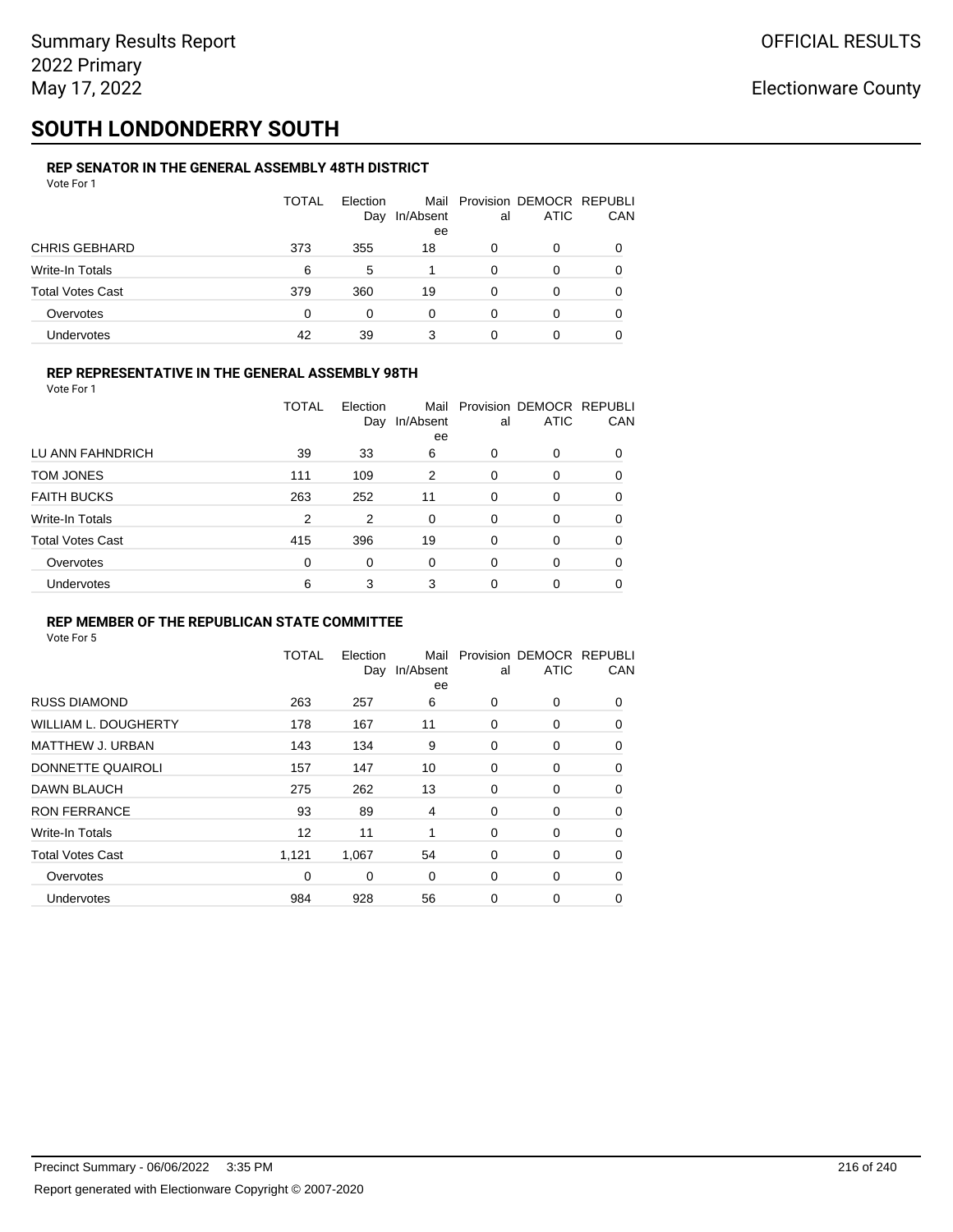# **SOUTH LONDONDERRY SOUTH**

#### **REP SENATOR IN THE GENERAL ASSEMBLY 48TH DISTRICT** Vote For 1

| 1 J J J J J J           |              |                 |                 |    |                                              |            |
|-------------------------|--------------|-----------------|-----------------|----|----------------------------------------------|------------|
|                         | <b>TOTAL</b> | Election<br>Day | In/Absent<br>ee | al | Mail Provision DEMOCR REPUBLI<br><b>ATIC</b> | <b>CAN</b> |
| <b>CHRIS GEBHARD</b>    | 373          | 355             | 18              | 0  | 0                                            | 0          |
| Write-In Totals         | 6            | 5               |                 | 0  | 0                                            | 0          |
| <b>Total Votes Cast</b> | 379          | 360             | 19              | 0  | 0                                            | 0          |
| Overvotes               | 0            | 0               | 0               | 0  | 0                                            | 0          |
| Undervotes              | 42           | 39              | 3               |    |                                              | 0          |

### **REP REPRESENTATIVE IN THE GENERAL ASSEMBLY 98TH**

|                         |     | Day | In/Absent<br>ee | al       | <b>ATIC</b> | <b>CAN</b> |
|-------------------------|-----|-----|-----------------|----------|-------------|------------|
| LU ANN FAHNDRICH        | 39  | 33  | 6               | 0        | 0           | $\Omega$   |
| TOM JONES               | 111 | 109 | 2               | 0        | $\Omega$    | 0          |
| <b>FAITH BUCKS</b>      | 263 | 252 | 11              | $\Omega$ | $\Omega$    | 0          |
| Write-In Totals         | 2   | 2   | 0               | 0        | 0           | 0          |
| <b>Total Votes Cast</b> | 415 | 396 | 19              | $\Omega$ | 0           | 0          |
| Overvotes               | 0   | 0   | 0               | 0        | $\Omega$    | 0          |
| <b>Undervotes</b>       | 6   | 3   | 3               | 0        | $\Omega$    | $\Omega$   |

TOTAL Election

Mail Provision DEMOCR REPUBLI

CAN

### **REP MEMBER OF THE REPUBLICAN STATE COMMITTEE**

Vote For 5

|                             | <b>TOTAL</b> | Election<br>Day | Mail<br>In/Absent<br>ee | al          | Provision DEMOCR REPUBLI<br><b>ATIC</b> | CAN      |
|-----------------------------|--------------|-----------------|-------------------------|-------------|-----------------------------------------|----------|
| <b>RUSS DIAMOND</b>         | 263          | 257             | 6                       | 0           | 0                                       | 0        |
| <b>WILLIAM L. DOUGHERTY</b> | 178          | 167             | 11                      | 0           | 0                                       | 0        |
| MATTHEW J. URBAN            | 143          | 134             | 9                       | 0           | 0                                       | 0        |
| DONNETTE QUAIROLI           | 157          | 147             | 10                      | $\mathbf 0$ | 0                                       | $\Omega$ |
| <b>DAWN BLAUCH</b>          | 275          | 262             | 13                      | 0           | 0                                       | $\Omega$ |
| <b>RON FERRANCE</b>         | 93           | 89              | 4                       | 0           | 0                                       | $\Omega$ |
| Write-In Totals             | 12           | 11              | 1                       | 0           | 0                                       | 0        |
| <b>Total Votes Cast</b>     | 1,121        | 1,067           | 54                      | $\mathbf 0$ | 0                                       | $\Omega$ |
| Overvotes                   | $\mathbf 0$  | 0               | $\mathbf 0$             | 0           | 0                                       | $\Omega$ |
| Undervotes                  | 984          | 928             | 56                      | 0           | 0                                       | 0        |
|                             |              |                 |                         |             |                                         |          |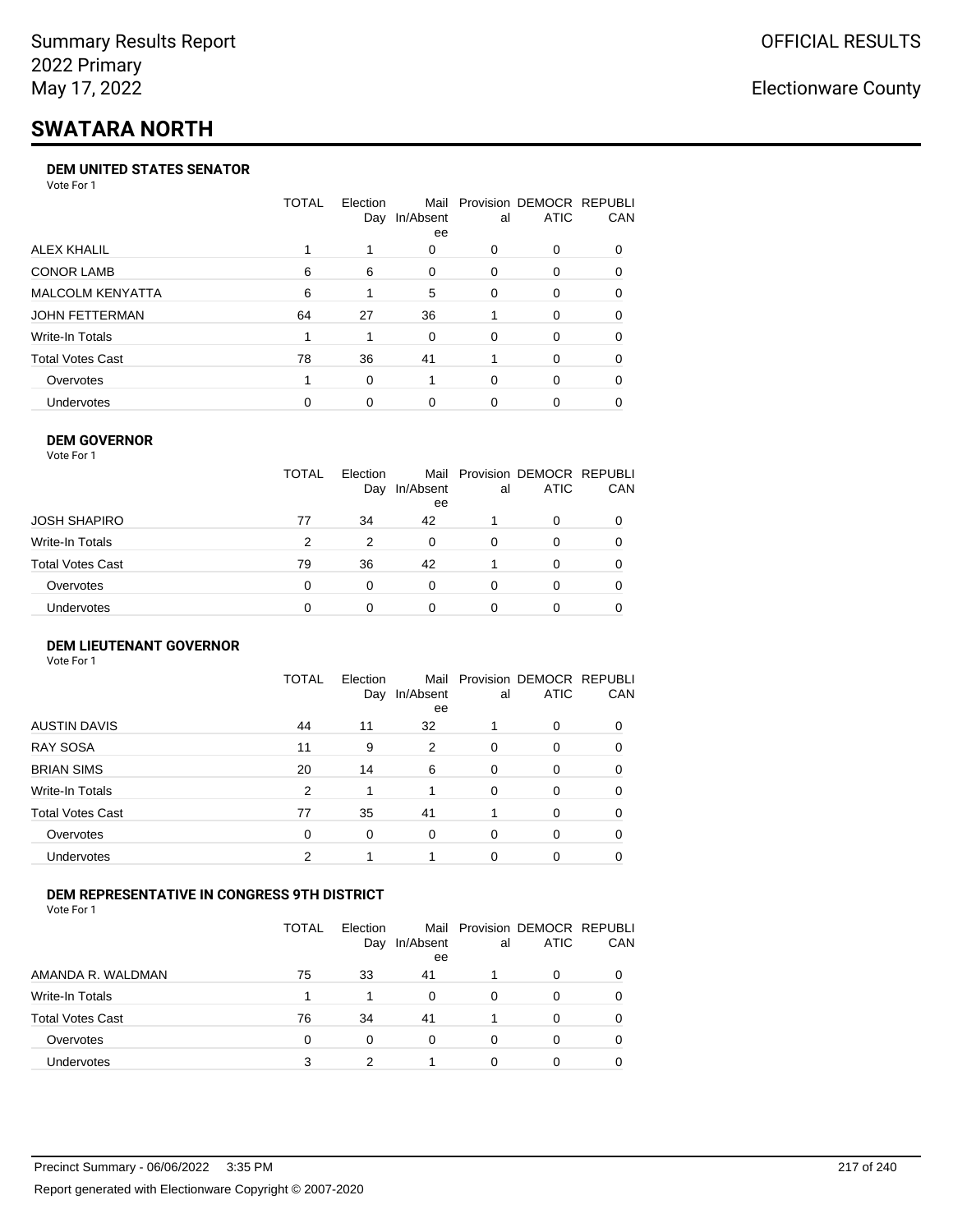# **SWATARA NORTH**

#### **DEM UNITED STATES SENATOR**

Vote For 1

|                         | TOTAL | Election | Mail<br>Day In/Absent<br>ee | al | Provision DEMOCR REPUBLI<br>ATIC | <b>CAN</b> |
|-------------------------|-------|----------|-----------------------------|----|----------------------------------|------------|
| ALEX KHALIL             |       |          | 0                           | 0  | $\Omega$                         | 0          |
| <b>CONOR LAMB</b>       | 6     | 6        | $\Omega$                    | 0  | $\Omega$                         | 0          |
| <b>MALCOLM KENYATTA</b> | 6     |          | 5                           | 0  | $\Omega$                         | 0          |
| JOHN FETTERMAN          | 64    | 27       | 36                          |    | $\Omega$                         | $\Omega$   |
| Write-In Totals         |       |          | $\Omega$                    | 0  | $\Omega$                         | 0          |
| <b>Total Votes Cast</b> | 78    | 36       | 41                          |    | $\Omega$                         | $\Omega$   |
| Overvotes               |       | 0        |                             | 0  | $\Omega$                         | 0          |
| <b>Undervotes</b>       | 0     | $\Omega$ | 0                           | 0  |                                  | 0          |

### **DEM GOVERNOR**

| Vote For 1       |              |                 |                 |          |                                              |          |
|------------------|--------------|-----------------|-----------------|----------|----------------------------------------------|----------|
|                  | <b>TOTAL</b> | Election<br>Day | In/Absent<br>ee | al       | Mail Provision DEMOCR REPUBLI<br><b>ATIC</b> | CAN      |
| JOSH SHAPIRO     | 77           | 34              | 42              |          | 0                                            |          |
| Write-In Totals  | 2            | 2               | $\Omega$        | $\Omega$ | 0                                            | $\Omega$ |
| Total Votes Cast | 79           | 36              | 42              |          | $\Omega$                                     | 0        |
| Overvotes        | 0            | 0               | $\Omega$        | $\Omega$ | 0                                            | 0        |
| Undervotes       | 0            |                 | 0               |          | 0                                            |          |
|                  |              |                 |                 |          |                                              |          |

#### **DEM LIEUTENANT GOVERNOR** Vote For 1

|                         | <b>TOTAL</b> | Election<br>Day | In/Absent<br>ee | al       | Mail Provision DEMOCR REPUBLI<br><b>ATIC</b> | CAN      |
|-------------------------|--------------|-----------------|-----------------|----------|----------------------------------------------|----------|
| <b>AUSTIN DAVIS</b>     | 44           | 11              | 32              |          | $\Omega$                                     | 0        |
| <b>RAY SOSA</b>         | 11           | 9               | 2               | $\Omega$ | 0                                            | 0        |
| <b>BRIAN SIMS</b>       | 20           | 14              | 6               | $\Omega$ | $\Omega$                                     | $\Omega$ |
| Write-In Totals         | 2            | 1               |                 | $\Omega$ | $\Omega$                                     | $\Omega$ |
| <b>Total Votes Cast</b> | 77           | 35              | 41              |          | $\Omega$                                     | $\Omega$ |
| Overvotes               | 0            | 0               | $\Omega$        | $\Omega$ | 0                                            | $\Omega$ |
| Undervotes              | 2            |                 |                 | 0        | 0                                            | 0        |

### **DEM REPRESENTATIVE IN CONGRESS 9TH DISTRICT**

Vote For 1

|                         | TOTAL | <b>Flection</b><br>Day | In/Absent<br>ee | al | Mail Provision DEMOCR REPUBLI<br><b>ATIC</b> | <b>CAN</b> |
|-------------------------|-------|------------------------|-----------------|----|----------------------------------------------|------------|
| AMANDA R. WALDMAN       | 75    | 33                     | 41              |    | $\Omega$                                     | 0          |
| Write-In Totals         |       |                        | O               | 0  | n                                            | $\Omega$   |
| <b>Total Votes Cast</b> | 76    | 34                     | 41              |    | $\Omega$                                     | 0          |
| Overvotes               | 0     | 0                      | 0               | 0  | $\Omega$                                     | 0          |
| Undervotes              | 3     |                        |                 |    |                                              |            |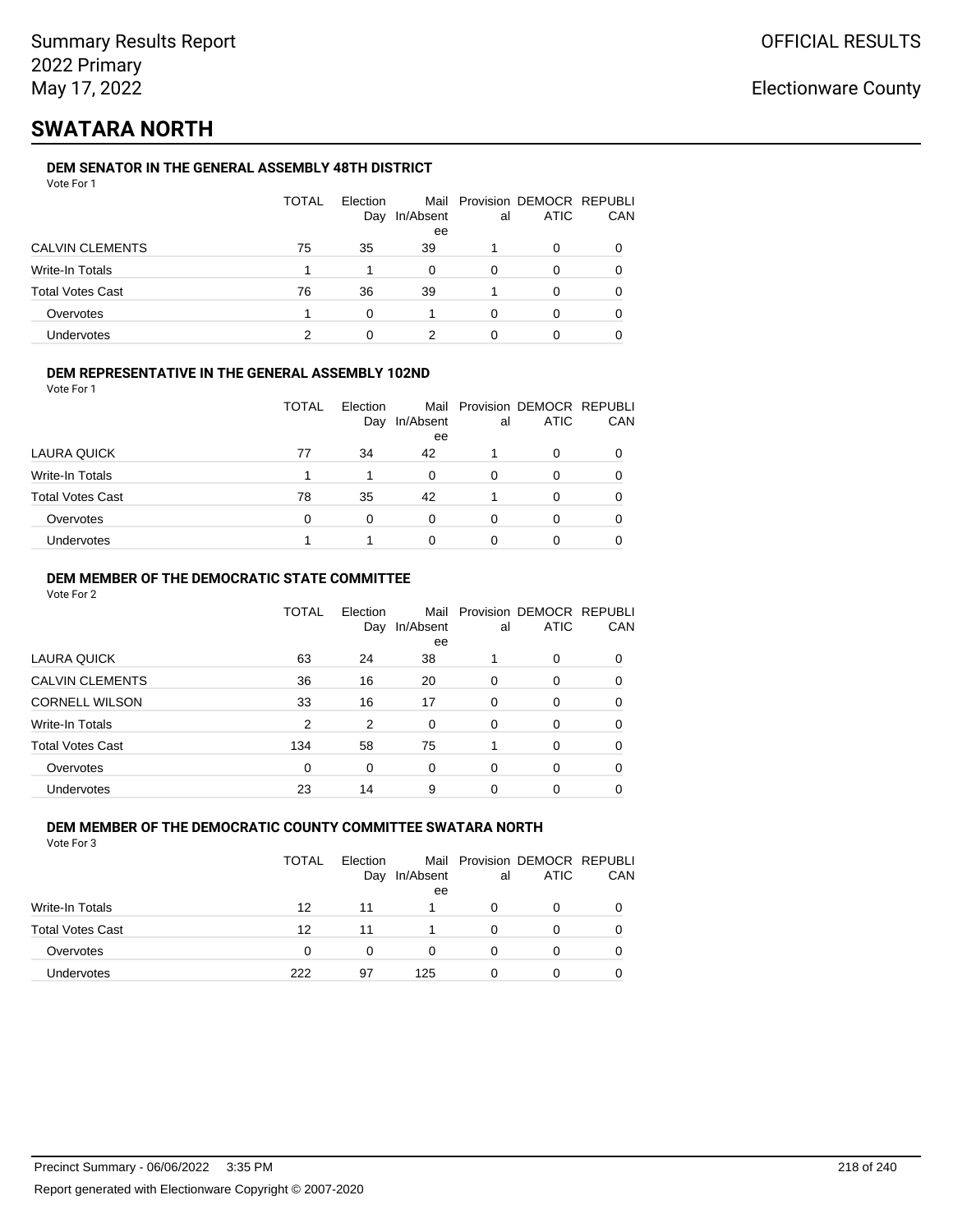## **SWATARA NORTH**

### **DEM SENATOR IN THE GENERAL ASSEMBLY 48TH DISTRICT**

| Vote For 1 |  |
|------------|--|
|------------|--|

|                         | <b>TOTAL</b> | Election<br>Day | In/Absent<br>ee | al | Mail Provision DEMOCR REPUBLI<br><b>ATIC</b> | CAN |
|-------------------------|--------------|-----------------|-----------------|----|----------------------------------------------|-----|
| <b>CALVIN CLEMENTS</b>  | 75           | 35              | 39              |    | 0                                            |     |
| Write-In Totals         |              |                 | 0               | 0  | O                                            |     |
| <b>Total Votes Cast</b> | 76           | 36              | 39              |    | 0                                            |     |
| Overvotes               |              | O               |                 | ∩  | ი                                            |     |
| Undervotes              | າ            |                 |                 |    |                                              |     |

### **DEM REPRESENTATIVE IN THE GENERAL ASSEMBLY 102ND**

| Vote For 1 |  |
|------------|--|
|            |  |

|                         | <b>TOTAL</b> | Election<br>Day | In/Absent | al | Mail Provision DEMOCR REPUBLI<br><b>ATIC</b> | <b>CAN</b> |
|-------------------------|--------------|-----------------|-----------|----|----------------------------------------------|------------|
|                         |              |                 | ee        |    |                                              |            |
| LAURA QUICK             | 77           | 34              | 42        |    | <sup>0</sup>                                 | 0          |
| Write-In Totals         |              |                 | 0         | 0  |                                              | 0          |
| <b>Total Votes Cast</b> | 78           | 35              | 42        |    | ∩                                            | 0          |
| Overvotes               | 0            | 0               | 0         | 0  |                                              | 0          |
| Undervotes              |              |                 | 0         |    |                                              |            |

### **DEM MEMBER OF THE DEMOCRATIC STATE COMMITTEE**

Vote For 2

|                         | TOTAL | Election<br>Day | Mail<br>In/Absent<br>ee | al       | Provision DEMOCR REPUBLI<br><b>ATIC</b> | CAN |
|-------------------------|-------|-----------------|-------------------------|----------|-----------------------------------------|-----|
| LAURA QUICK             | 63    | 24              | 38                      |          | $\Omega$                                | 0   |
| <b>CALVIN CLEMENTS</b>  | 36    | 16              | 20                      | 0        | 0                                       | 0   |
| <b>CORNELL WILSON</b>   | 33    | 16              | 17                      | $\Omega$ | $\Omega$                                | 0   |
| Write-In Totals         | 2     | 2               | 0                       | $\Omega$ | $\Omega$                                | 0   |
| <b>Total Votes Cast</b> | 134   | 58              | 75                      |          | $\Omega$                                | 0   |
| Overvotes               | 0     | 0               | $\Omega$                | $\Omega$ | $\Omega$                                | 0   |
| Undervotes              | 23    | 14              | 9                       | 0        | 0                                       |     |

#### **DEM MEMBER OF THE DEMOCRATIC COUNTY COMMITTEE SWATARA NORTH** Vote For 3

|                         | <b>TOTAL</b> | <b>Flection</b><br>Day | In/Absent<br>ee | al | Mail Provision DEMOCR REPUBLI<br>ATIC | CAN |
|-------------------------|--------------|------------------------|-----------------|----|---------------------------------------|-----|
| Write-In Totals         | 12           | 11                     |                 | O  | 0                                     |     |
| <b>Total Votes Cast</b> | 12           | 11                     |                 | 0  | 0                                     |     |
| Overvotes               | 0            | 0                      | $\Omega$        | 0  | 0                                     |     |
| Undervotes              | 222          | 97                     | 125             | O  | 0                                     |     |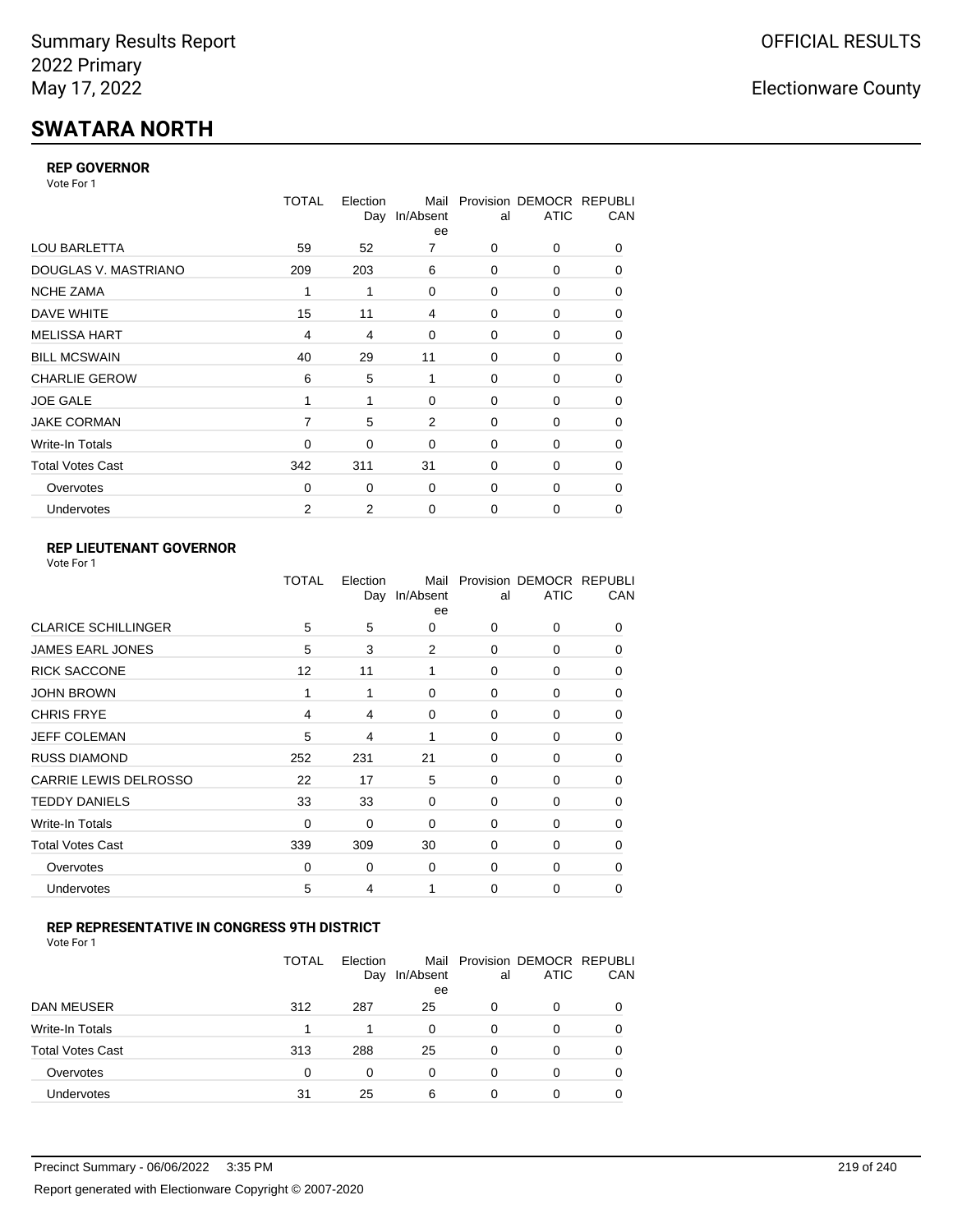# **SWATARA NORTH**

### **REP GOVERNOR**

Vote For 1

|                         | <b>TOTAL</b>   | Election<br>Day | Mail<br>In/Absent<br>ee | al          | Provision DEMOCR REPUBLI<br><b>ATIC</b> | CAN |
|-------------------------|----------------|-----------------|-------------------------|-------------|-----------------------------------------|-----|
| <b>LOU BARLETTA</b>     | 59             | 52              | 7                       | 0           | 0                                       | 0   |
| DOUGLAS V. MASTRIANO    | 209            | 203             | 6                       | 0           | 0                                       | 0   |
| <b>NCHE ZAMA</b>        | 1              | 1               | $\Omega$                | $\Omega$    | 0                                       | 0   |
| DAVE WHITE              | 15             | 11              | 4                       | 0           | 0                                       | 0   |
| <b>MELISSA HART</b>     | $\overline{4}$ | 4               | 0                       | 0           | 0                                       | 0   |
| <b>BILL MCSWAIN</b>     | 40             | 29              | 11                      | $\Omega$    | 0                                       | 0   |
| <b>CHARLIE GEROW</b>    | 6              | 5               | 1                       | $\Omega$    | 0                                       | 0   |
| <b>JOE GALE</b>         | 1              | 1               | 0                       | 0           | 0                                       | 0   |
| <b>JAKE CORMAN</b>      | 7              | 5               | $\overline{2}$          | $\Omega$    | $\Omega$                                | 0   |
| Write-In Totals         | $\Omega$       | 0               | 0                       | 0           | 0                                       | 0   |
| <b>Total Votes Cast</b> | 342            | 311             | 31                      | $\Omega$    | 0                                       | 0   |
| Overvotes               | 0              | 0               | 0                       | $\Omega$    | 0                                       | 0   |
| Undervotes              | 2              | 2               | 0                       | $\mathbf 0$ | 0                                       | 0   |

### **REP LIEUTENANT GOVERNOR**

|                            | TOTAL | Election | Mail<br>Day In/Absent<br>ee | al       | Provision DEMOCR REPUBLI<br><b>ATIC</b> | CAN      |
|----------------------------|-------|----------|-----------------------------|----------|-----------------------------------------|----------|
| <b>CLARICE SCHILLINGER</b> | 5     | 5        | $\Omega$                    | $\Omega$ | 0                                       | 0        |
| JAMES EARL JONES           | 5     | 3        | 2                           | $\Omega$ | 0                                       | 0        |
| <b>RICK SACCONE</b>        | 12    | 11       | 1                           | $\Omega$ | 0                                       | 0        |
| <b>JOHN BROWN</b>          | 1     | 1        | 0                           | $\Omega$ | 0                                       | 0        |
| <b>CHRIS FRYE</b>          | 4     | 4        | 0                           | 0        | 0                                       | 0        |
| <b>JEFF COLEMAN</b>        | 5     | 4        | 1                           | 0        | 0                                       | $\Omega$ |
| <b>RUSS DIAMOND</b>        | 252   | 231      | 21                          | $\Omega$ | $\Omega$                                | 0        |
| CARRIE LEWIS DELROSSO      | 22    | 17       | 5                           | $\Omega$ | 0                                       | $\Omega$ |
| <b>TEDDY DANIELS</b>       | 33    | 33       | 0                           | $\Omega$ | 0                                       | $\Omega$ |
| Write-In Totals            | 0     | 0        | 0                           | 0        | 0                                       | 0        |
| <b>Total Votes Cast</b>    | 339   | 309      | 30                          | 0        | 0                                       | 0        |
| Overvotes                  | 0     | 0        | 0                           | $\Omega$ | 0                                       | $\Omega$ |
| Undervotes                 | 5     | 4        | 1                           | $\Omega$ | 0                                       | 0        |
|                            |       |          |                             |          |                                         |          |

### **REP REPRESENTATIVE IN CONGRESS 9TH DISTRICT**

| Vote For 1 |  |  |
|------------|--|--|
|------------|--|--|

|                         | <b>TOTAL</b> | Election<br>Day | In/Absent<br>ee | al       | Mail Provision DEMOCR REPUBLI<br><b>ATIC</b> | CAN      |
|-------------------------|--------------|-----------------|-----------------|----------|----------------------------------------------|----------|
| DAN MEUSER              | 312          | 287             | 25              | 0        | 0                                            | $\Omega$ |
| Write-In Totals         |              | 1               | 0               | 0        | 0                                            |          |
| <b>Total Votes Cast</b> | 313          | 288             | 25              | $\Omega$ | 0                                            |          |
| Overvotes               | 0            | 0               | 0               | 0        | 0                                            | 0        |
| Undervotes              | 31           | 25              | 6               | 0        | ი                                            |          |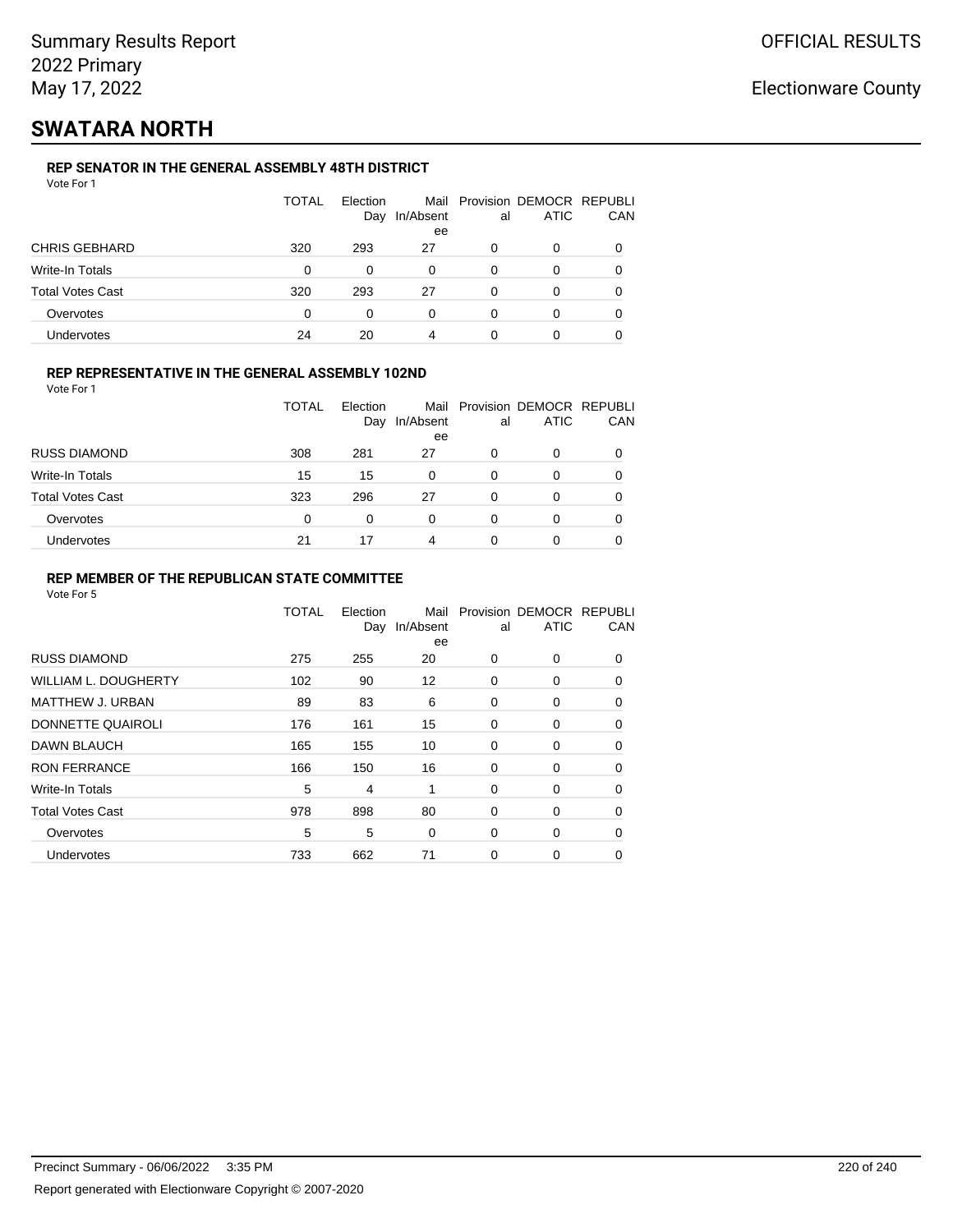## **SWATARA NORTH**

### **REP SENATOR IN THE GENERAL ASSEMBLY 48TH DISTRICT**

| Vote For 1 |  |
|------------|--|
|------------|--|

|                  | <b>TOTAL</b> | Election<br>Day | In/Absent<br>ee | al | Mail Provision DEMOCR REPUBLI<br><b>ATIC</b> | CAN |
|------------------|--------------|-----------------|-----------------|----|----------------------------------------------|-----|
| CHRIS GEBHARD    | 320          | 293             | 27              | 0  | 0                                            |     |
| Write-In Totals  | 0            | $\Omega$        | 0               | 0  | 0                                            |     |
| Total Votes Cast | 320          | 293             | 27              | 0  | 0                                            |     |
| Overvotes        | 0            | 0               | 0               | 0  | 0                                            |     |
| Undervotes       | 24           | 20              |                 |    |                                              |     |

### **REP REPRESENTATIVE IN THE GENERAL ASSEMBLY 102ND**

Vote For 1

|                         | <b>TOTAL</b> | <b>Flection</b><br>Day | Mail<br>In/Absent<br>ee | al | Provision DEMOCR REPUBLI<br><b>ATIC</b> | CAN |
|-------------------------|--------------|------------------------|-------------------------|----|-----------------------------------------|-----|
| <b>RUSS DIAMOND</b>     | 308          | 281                    | 27                      | 0  | ი                                       |     |
| Write-In Totals         | 15           | 15                     | 0                       | 0  | 0                                       |     |
| <b>Total Votes Cast</b> | 323          | 296                    | 27                      | ∩  | ი                                       |     |
| Overvotes               | 0            | 0                      | 0                       | 0  | 0                                       |     |
| Undervotes              | 21           | 17                     | 4                       |    | 0                                       |     |

### **REP MEMBER OF THE REPUBLICAN STATE COMMITTEE**

|                             | <b>TOTAL</b> | Election<br>Day | Mail<br>In/Absent<br>ee | al       | Provision DEMOCR REPUBLI<br><b>ATIC</b> | CAN      |
|-----------------------------|--------------|-----------------|-------------------------|----------|-----------------------------------------|----------|
| <b>RUSS DIAMOND</b>         | 275          | 255             | 20                      | $\Omega$ | 0                                       | $\Omega$ |
| <b>WILLIAM L. DOUGHERTY</b> | 102          | 90              | 12                      | 0        | 0                                       | 0        |
| <b>MATTHEW J. URBAN</b>     | 89           | 83              | 6                       | 0        | 0                                       | $\Omega$ |
| DONNETTE QUAIROLI           | 176          | 161             | 15                      | 0        | 0                                       | $\Omega$ |
| DAWN BLAUCH                 | 165          | 155             | 10                      | 0        | 0                                       | $\Omega$ |
| <b>RON FERRANCE</b>         | 166          | 150             | 16                      | 0        | 0                                       | 0        |
| Write-In Totals             | 5            | 4               | 1                       | 0        | 0                                       | 0        |
| <b>Total Votes Cast</b>     | 978          | 898             | 80                      | 0        | 0                                       | 0        |
| Overvotes                   | 5            | 5               | $\Omega$                | 0        | 0                                       | 0        |
| Undervotes                  | 733          | 662             | 71                      | 0        | 0                                       | 0        |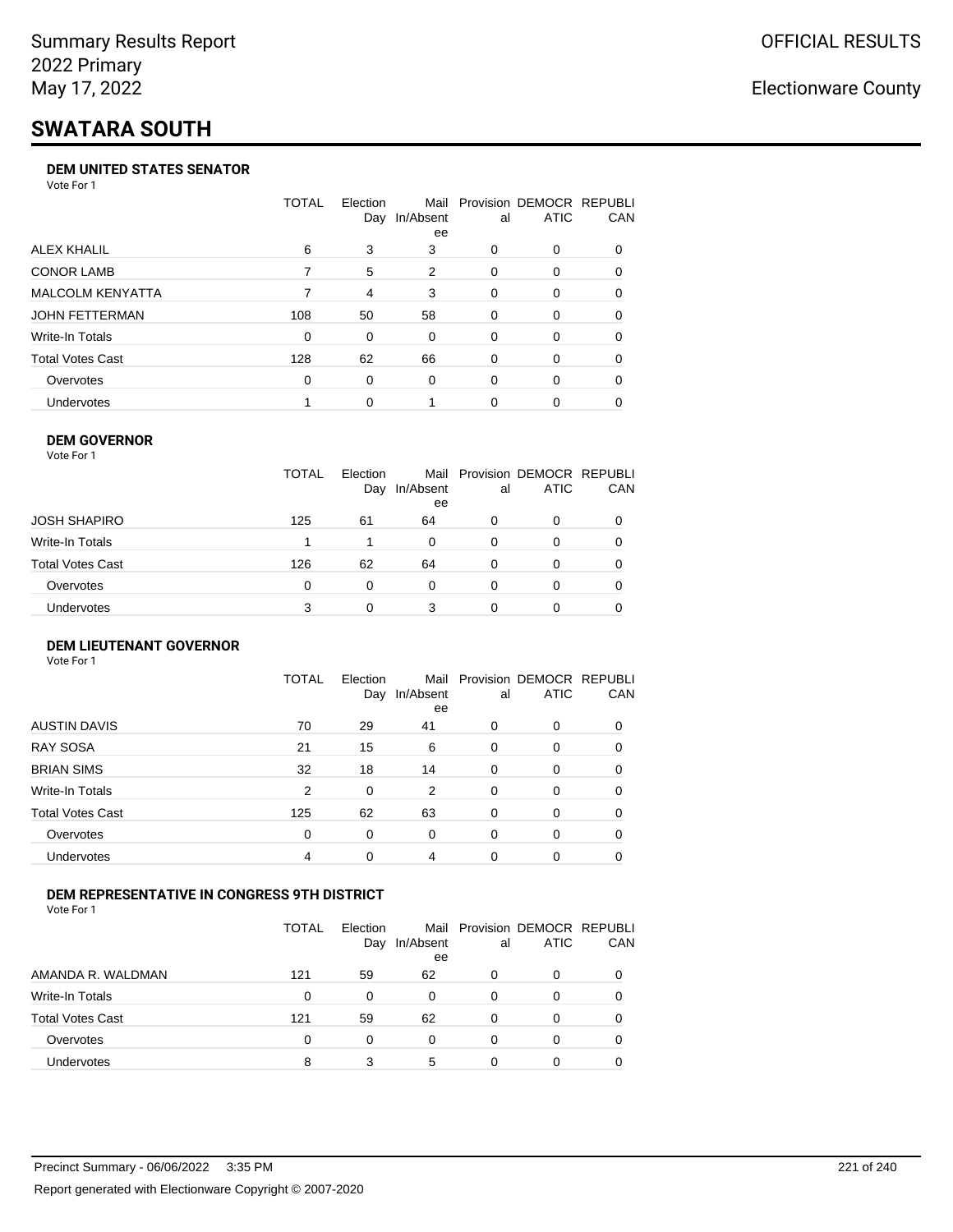# **SWATARA SOUTH**

#### **DEM UNITED STATES SENATOR**

Vote For 1

|                         | TOTAL    | Election | Mail<br>Day In/Absent<br>ee | al       | Provision DEMOCR REPUBLI<br><b>ATIC</b> | <b>CAN</b> |
|-------------------------|----------|----------|-----------------------------|----------|-----------------------------------------|------------|
| ALEX KHALIL             | 6        | 3        | 3                           | 0        | $\Omega$                                | 0          |
| <b>CONOR LAMB</b>       |          | 5        | 2                           | $\Omega$ | $\Omega$                                | 0          |
| <b>MALCOLM KENYATTA</b> |          | 4        | 3                           | $\Omega$ | $\Omega$                                | 0          |
| <b>JOHN FETTERMAN</b>   | 108      | 50       | 58                          | 0        | $\Omega$                                | $\Omega$   |
| Write-In Totals         | 0        | 0        | $\Omega$                    | 0        | $\Omega$                                | 0          |
| <b>Total Votes Cast</b> | 128      | 62       | 66                          | 0        | $\Omega$                                | 0          |
| Overvotes               | $\Omega$ | 0        | $\Omega$                    | 0        | $\Omega$                                | 0          |
| <b>Undervotes</b>       |          | $\Omega$ |                             | 0        | $\Omega$                                | 0          |

#### **DEM GOVERNOR**

| Vote For 1       |              |                 |                 |          |                                              |     |
|------------------|--------------|-----------------|-----------------|----------|----------------------------------------------|-----|
|                  | <b>TOTAL</b> | Election<br>Day | In/Absent<br>ee | al       | Mail Provision DEMOCR REPUBLI<br><b>ATIC</b> | CAN |
| JOSH SHAPIRO     | 125          | 61              | 64              | 0        | 0                                            |     |
| Write-In Totals  |              |                 | 0               | 0        | 0                                            |     |
| Total Votes Cast | 126          | 62              | 64              | 0        | 0                                            | 0   |
| Overvotes        | 0            | $\Omega$        | 0               | $\Omega$ | 0                                            |     |
| Undervotes       | 3            |                 | 3               |          | 0                                            |     |

#### **DEM LIEUTENANT GOVERNOR** Vote For 1

|                         | <b>TOTAL</b>   | Election<br>Day | In/Absent<br>ee | al       | Mail Provision DEMOCR REPUBLI<br><b>ATIC</b> | CAN      |
|-------------------------|----------------|-----------------|-----------------|----------|----------------------------------------------|----------|
| <b>AUSTIN DAVIS</b>     | 70             | 29              | 41              | $\Omega$ | 0                                            | 0        |
| <b>RAY SOSA</b>         | 21             | 15              | 6               | 0        | 0                                            | 0        |
| <b>BRIAN SIMS</b>       | 32             | 18              | 14              | 0        | 0                                            | $\Omega$ |
| Write-In Totals         | $\overline{2}$ | 0               | 2               | $\Omega$ | 0                                            | $\Omega$ |
| <b>Total Votes Cast</b> | 125            | 62              | 63              | 0        | 0                                            | $\Omega$ |
| Overvotes               | 0              | 0               | $\Omega$        | $\Omega$ | 0                                            | $\Omega$ |
| Undervotes              | 4              | 0               | 4               | $\Omega$ | 0                                            | 0        |

### **DEM REPRESENTATIVE IN CONGRESS 9TH DISTRICT**

|                         | TOTAL | <b>Flection</b><br>Day | In/Absent<br>ee | al | Mail Provision DEMOCR REPUBLI<br><b>ATIC</b> | CAN |
|-------------------------|-------|------------------------|-----------------|----|----------------------------------------------|-----|
| AMANDA R. WALDMAN       | 121   | 59                     | 62              | O  | 0                                            | 0   |
| <b>Write-In Totals</b>  | 0     | <sup>0</sup>           | 0               | 0  | $\Omega$                                     | 0   |
| <b>Total Votes Cast</b> | 121   | 59                     | 62              | 0  | 0                                            | 0   |
| Overvotes               | 0     | 0                      | 0               | 0  | $\Omega$                                     | 0   |
| <b>Undervotes</b>       | 8     |                        | 5               |    |                                              |     |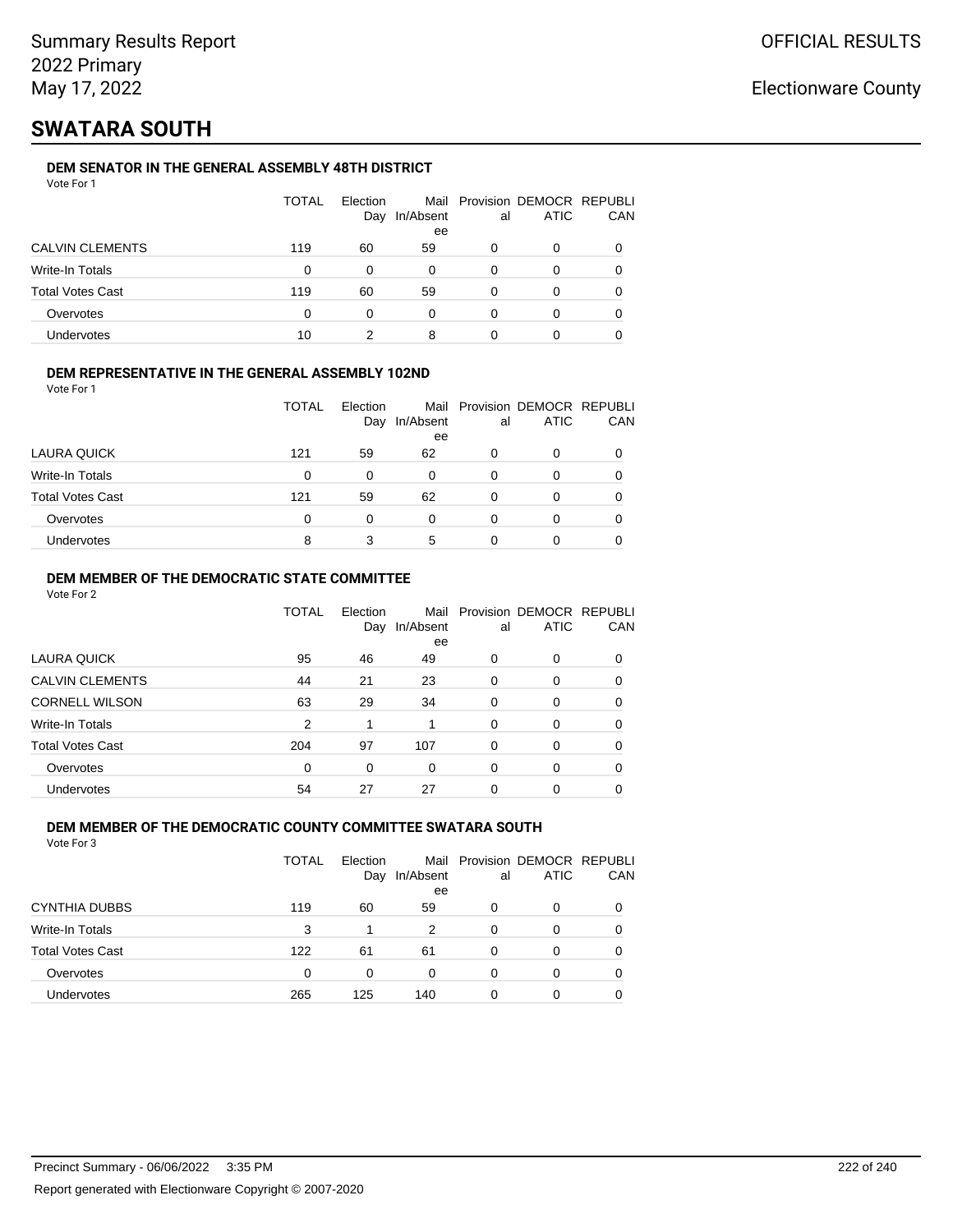## **SWATARA SOUTH**

### **DEM SENATOR IN THE GENERAL ASSEMBLY 48TH DISTRICT**

|                         | <b>TOTAL</b> | Election<br>Day | In/Absent<br>ee | al | Mail Provision DEMOCR REPUBLI<br><b>ATIC</b> | CAN |
|-------------------------|--------------|-----------------|-----------------|----|----------------------------------------------|-----|
| <b>CALVIN CLEMENTS</b>  | 119          | 60              | 59              |    |                                              |     |
| Write-In Totals         | 0            | 0               | 0               | 0  | 0                                            |     |
| <b>Total Votes Cast</b> | 119          | 60              | 59              | 0  | 0                                            |     |
| Overvotes               | 0            | 0               | $\Omega$        | O  | 0                                            |     |
| Undervotes              | 10           |                 | 8               |    |                                              |     |

### **DEM REPRESENTATIVE IN THE GENERAL ASSEMBLY 102ND**

Vote For 1

|                         | TOTAL | Election |               |    | Mail Provision DEMOCR REPUBLI |            |
|-------------------------|-------|----------|---------------|----|-------------------------------|------------|
|                         |       |          | Day In/Absent | al | <b>ATIC</b>                   | <b>CAN</b> |
|                         |       |          | ee            |    |                               |            |
| LAURA QUICK             | 121   | 59       | 62            | 0  |                               | 0          |
| Write-In Totals         | 0     | 0        | 0             | 0  |                               | 0          |
| <b>Total Votes Cast</b> | 121   | 59       | 62            | ŋ  |                               | 0          |
| Overvotes               | 0     |          | 0             | 0  |                               | 0          |
| <b>Undervotes</b>       | 8     |          | 5             | O  |                               | 0          |

### **DEM MEMBER OF THE DEMOCRATIC STATE COMMITTEE**

Vote For 2

|                         | TOTAL    | Election<br>Day | Mail<br>In/Absent<br>ee | al       | Provision DEMOCR REPUBLI<br><b>ATIC</b> | CAN      |
|-------------------------|----------|-----------------|-------------------------|----------|-----------------------------------------|----------|
| LAURA QUICK             | 95       | 46              | 49                      | 0        | $\Omega$                                | 0        |
| <b>CALVIN CLEMENTS</b>  | 44       | 21              | 23                      | 0        | 0                                       | 0        |
| <b>CORNELL WILSON</b>   | 63       | 29              | 34                      | $\Omega$ | $\Omega$                                | $\Omega$ |
| Write-In Totals         | 2        | 1               |                         | $\Omega$ | $\Omega$                                | 0        |
| <b>Total Votes Cast</b> | 204      | 97              | 107                     | $\Omega$ | 0                                       | 0        |
| Overvotes               | $\Omega$ | $\Omega$        | $\Omega$                | $\Omega$ | $\Omega$                                | 0        |
| <b>Undervotes</b>       | 54       | 27              | 27                      | 0        | 0                                       |          |

### **DEM MEMBER OF THE DEMOCRATIC COUNTY COMMITTEE SWATARA SOUTH**

|                         | TOTAL | Election<br>Day | In/Absent<br>ee | al | Mail Provision DEMOCR REPUBLI<br><b>ATIC</b> | CAN      |
|-------------------------|-------|-----------------|-----------------|----|----------------------------------------------|----------|
| <b>CYNTHIA DUBBS</b>    | 119   | 60              | 59              | 0  | 0                                            | $\Omega$ |
| Write-In Totals         | 3     | 1               | 2               | 0  | 0                                            |          |
| <b>Total Votes Cast</b> | 122   | 61              | 61              | 0  | 0                                            |          |
| Overvotes               | 0     | 0               | $\Omega$        | 0  | 0                                            | $\Omega$ |
| <b>Undervotes</b>       | 265   | 125             | 140             | 0  | 0                                            |          |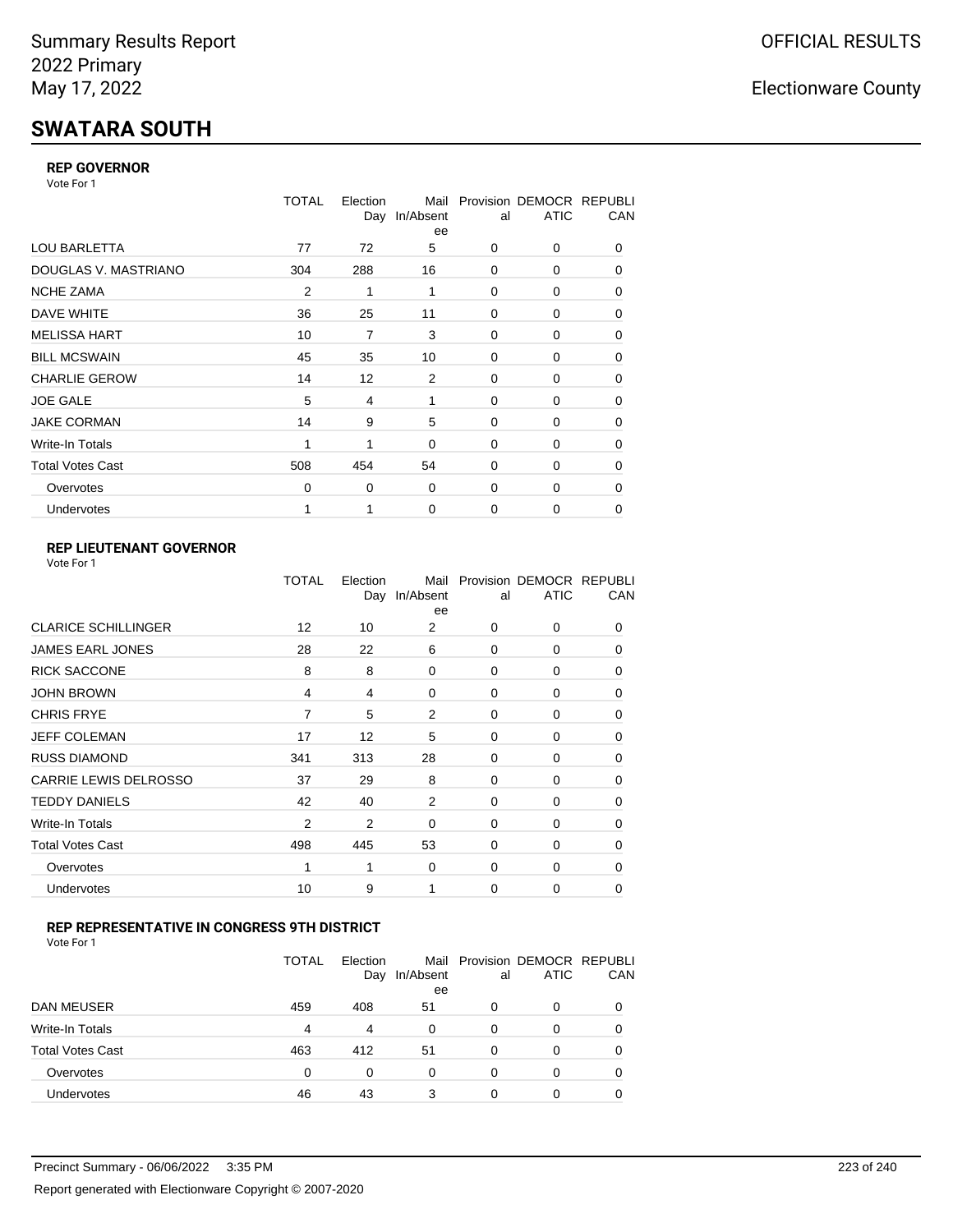# **SWATARA SOUTH**

### **REP GOVERNOR**

Vote For 1

|                         | TOTAL          | Election<br>Day | Mail<br>In/Absent<br>ee | al          | Provision DEMOCR REPUBLI<br><b>ATIC</b> | CAN |
|-------------------------|----------------|-----------------|-------------------------|-------------|-----------------------------------------|-----|
| <b>LOU BARLETTA</b>     | 77             | 72              | 5                       | 0           | 0                                       | 0   |
| DOUGLAS V. MASTRIANO    | 304            | 288             | 16                      | $\Omega$    | 0                                       | 0   |
| <b>NCHE ZAMA</b>        | $\overline{2}$ | 1               | 1                       | 0           | 0                                       | 0   |
| DAVE WHITE              | 36             | 25              | 11                      | $\Omega$    | 0                                       | 0   |
| <b>MELISSA HART</b>     | 10             | 7               | 3                       | 0           | 0                                       | 0   |
| <b>BILL MCSWAIN</b>     | 45             | 35              | 10                      | 0           | 0                                       | 0   |
| <b>CHARLIE GEROW</b>    | 14             | 12              | 2                       | $\Omega$    | 0                                       | 0   |
| <b>JOE GALE</b>         | 5              | 4               | 1                       | $\Omega$    | 0                                       | 0   |
| <b>JAKE CORMAN</b>      | 14             | 9               | 5                       | 0           | 0                                       | 0   |
| Write-In Totals         | 1              | 1               | $\mathbf 0$             | 0           | 0                                       | 0   |
| <b>Total Votes Cast</b> | 508            | 454             | 54                      | $\Omega$    | $\Omega$                                | 0   |
| Overvotes               | $\Omega$       | 0               | $\mathbf 0$             | 0           | 0                                       | 0   |
| Undervotes              |                | 1               | $\mathbf 0$             | $\mathbf 0$ | 0                                       | 0   |

### **REP LIEUTENANT GOVERNOR**

|                              | TOTAL          | Election<br>Day | Mail<br>In/Absent<br>ee | al       | Provision DEMOCR REPUBLI<br><b>ATIC</b> | CAN      |
|------------------------------|----------------|-----------------|-------------------------|----------|-----------------------------------------|----------|
| <b>CLARICE SCHILLINGER</b>   | 12             | 10              | 2                       | $\Omega$ | 0                                       | 0        |
| JAMES EARL JONES             | 28             | 22              | 6                       | $\Omega$ | $\Omega$                                | 0        |
| <b>RICK SACCONE</b>          | 8              | 8               | $\Omega$                | $\Omega$ | 0                                       | 0        |
| JOHN BROWN                   | 4              | 4               | 0                       | $\Omega$ | $\Omega$                                | 0        |
| <b>CHRIS FRYE</b>            | 7              | 5               | 2                       | $\Omega$ | 0                                       | 0        |
| JEFF COLEMAN                 | 17             | 12              | 5                       | $\Omega$ | $\Omega$                                | 0        |
| <b>RUSS DIAMOND</b>          | 341            | 313             | 28                      | $\Omega$ | $\Omega$                                | 0        |
| <b>CARRIE LEWIS DELROSSO</b> | 37             | 29              | 8                       | $\Omega$ | $\Omega$                                | 0        |
| <b>TEDDY DANIELS</b>         | 42             | 40              | 2                       | $\Omega$ | 0                                       | 0        |
| Write-In Totals              | $\overline{2}$ | 2               | 0                       | $\Omega$ | 0                                       | 0        |
| Total Votes Cast             | 498            | 445             | 53                      | $\Omega$ | 0                                       | 0        |
| Overvotes                    | 1              | 1               | 0                       | $\Omega$ | $\Omega$                                | $\Omega$ |
| Undervotes                   | 10             | 9               | 1                       | $\Omega$ | 0                                       | $\Omega$ |
|                              |                |                 |                         |          |                                         |          |

### **REP REPRESENTATIVE IN CONGRESS 9TH DISTRICT**

|                         | <b>TOTAL</b> | Election<br>Day | In/Absent<br>ee | al       | Mail Provision DEMOCR REPUBLI<br><b>ATIC</b> | CAN      |
|-------------------------|--------------|-----------------|-----------------|----------|----------------------------------------------|----------|
| DAN MEUSER              | 459          | 408             | 51              | 0        | 0                                            | $\Omega$ |
| Write-In Totals         | 4            | 4               | 0               | 0        | 0                                            |          |
| <b>Total Votes Cast</b> | 463          | 412             | -51             | $\Omega$ | 0                                            |          |
| Overvotes               | 0            | 0               | 0               | 0        | 0                                            | 0        |
| Undervotes              | 46           | 43              | 3               | 0        | 0                                            |          |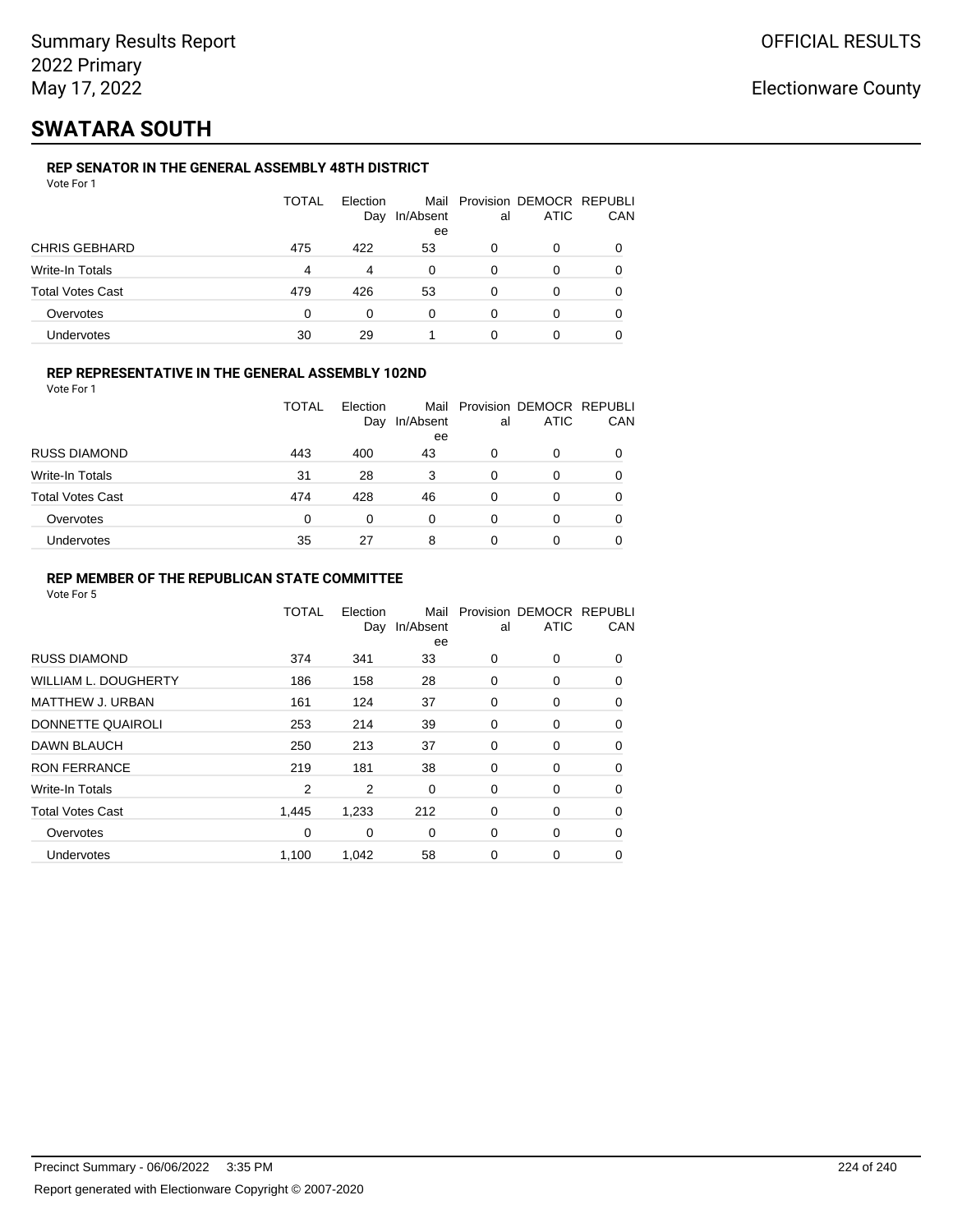## **SWATARA SOUTH**

### **REP SENATOR IN THE GENERAL ASSEMBLY 48TH DISTRICT**

|                         | <b>TOTAL</b> | Election<br>Day | In/Absent<br>ee | al | Mail Provision DEMOCR REPUBLI<br><b>ATIC</b> | CAN |
|-------------------------|--------------|-----------------|-----------------|----|----------------------------------------------|-----|
| <b>CHRIS GEBHARD</b>    | 475          | 422             | 53              | 0  | 0                                            |     |
| Write-In Totals         | 4            | 4               | 0               | 0  | 0                                            |     |
| <b>Total Votes Cast</b> | 479          | 426             | 53              | 0  | 0                                            |     |
| Overvotes               | 0            | 0               | 0               | 0  | 0                                            |     |
| Undervotes              | 30           | 29              |                 | 0  |                                              |     |

### **REP REPRESENTATIVE IN THE GENERAL ASSEMBLY 102ND**

Vote For 1

|                         | TOTAL | Election<br>Day | Mail<br>In/Absent<br>ee | al | Provision DEMOCR REPUBLI<br><b>ATIC</b> | CAN |
|-------------------------|-------|-----------------|-------------------------|----|-----------------------------------------|-----|
| <b>RUSS DIAMOND</b>     | 443   | 400             | 43                      | 0  | 0                                       |     |
| Write-In Totals         | 31    | 28              | 3                       | 0  | 0                                       |     |
| <b>Total Votes Cast</b> | 474   | 428             | 46                      | 0  | ი                                       |     |
| Overvotes               | 0     | $\Omega$        | 0                       | 0  | 0                                       |     |
| Undervotes              | 35    | 27              | 8                       |    | 0                                       |     |

### **REP MEMBER OF THE REPUBLICAN STATE COMMITTEE**

|                             | <b>TOTAL</b> | Election<br>Day | Mail<br>In/Absent<br>ee | al | Provision DEMOCR REPUBLI<br><b>ATIC</b> | CAN      |
|-----------------------------|--------------|-----------------|-------------------------|----|-----------------------------------------|----------|
| <b>RUSS DIAMOND</b>         | 374          | 341             | 33                      | 0  | 0                                       | 0        |
| <b>WILLIAM L. DOUGHERTY</b> | 186          | 158             | 28                      | 0  | 0                                       | 0        |
| MATTHEW J. URBAN            | 161          | 124             | 37                      | 0  | 0                                       | $\Omega$ |
| DONNETTE QUAIROLI           | 253          | 214             | 39                      | 0  | 0                                       | $\Omega$ |
| DAWN BLAUCH                 | 250          | 213             | 37                      | 0  | 0                                       | $\Omega$ |
| <b>RON FERRANCE</b>         | 219          | 181             | 38                      | 0  | 0                                       | 0        |
| Write-In Totals             | 2            | 2               | 0                       | 0  | 0                                       | 0        |
| <b>Total Votes Cast</b>     | 1.445        | 1,233           | 212                     | 0  | 0                                       | 0        |
| Overvotes                   | $\mathbf 0$  | 0               | 0                       | 0  | 0                                       | $\Omega$ |
| <b>Undervotes</b>           | 1,100        | 1,042           | 58                      | 0  | 0                                       | 0        |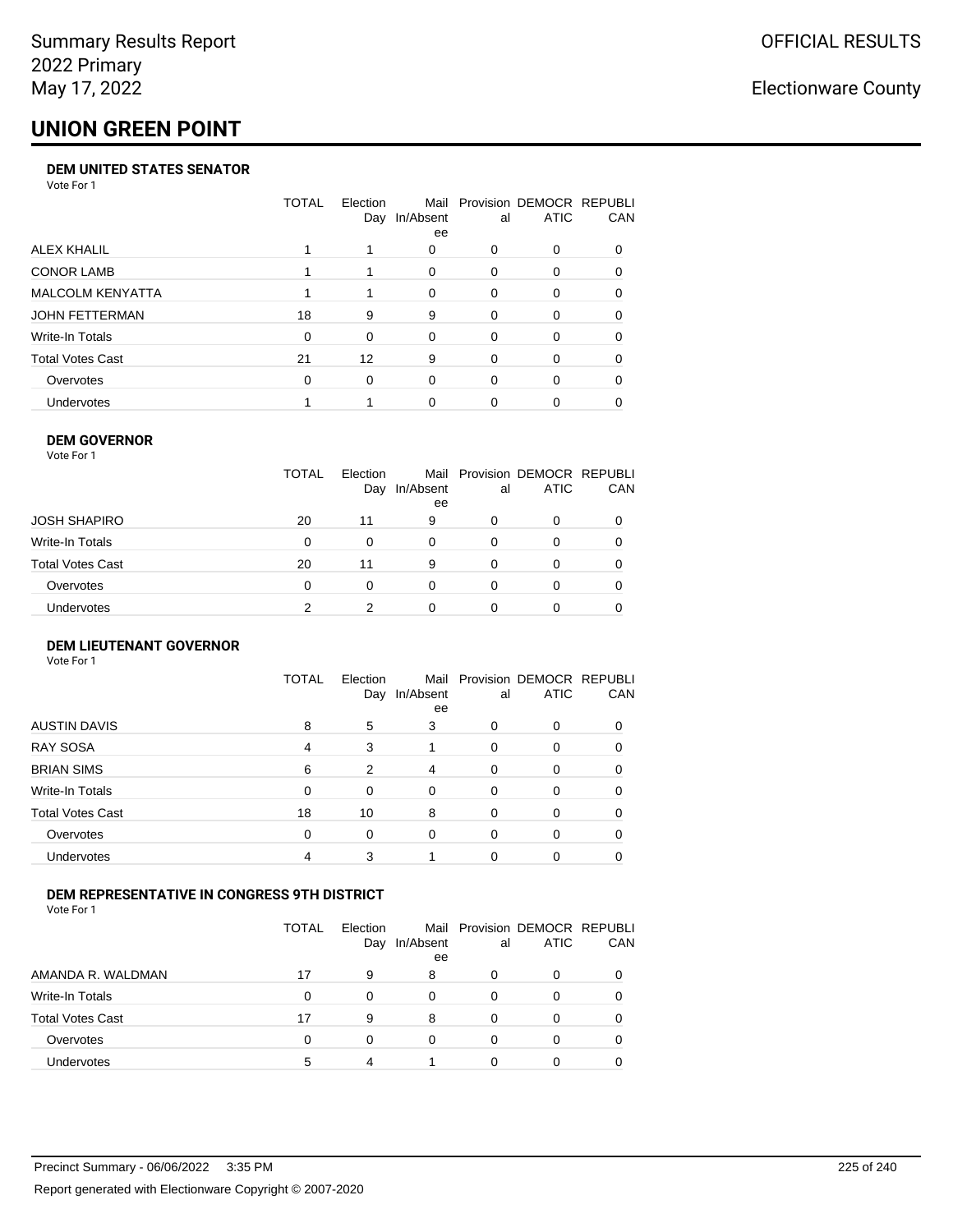# **UNION GREEN POINT**

#### **DEM UNITED STATES SENATOR**

Vote For 1

|                         | TOTAL    | Election | Mail<br>Day In/Absent<br>ee | al       | Provision DEMOCR REPUBLI<br><b>ATIC</b> | <b>CAN</b> |
|-------------------------|----------|----------|-----------------------------|----------|-----------------------------------------|------------|
| ALEX KHALIL             |          |          | 0                           | 0        | $\Omega$                                | 0          |
| <b>CONOR LAMB</b>       |          |          | 0                           | 0        | $\Omega$                                | 0          |
| <b>MALCOLM KENYATTA</b> |          |          | $\Omega$                    | $\Omega$ | $\Omega$                                | 0          |
| JOHN FETTERMAN          | 18       | 9        | 9                           | 0        | $\Omega$                                | 0          |
| Write-In Totals         | $\Omega$ | $\Omega$ | $\Omega$                    | 0        | $\Omega$                                | 0          |
| <b>Total Votes Cast</b> | 21       | 12       | 9                           | 0        | $\Omega$                                | 0          |
| Overvotes               | 0        | $\Omega$ | $\Omega$                    | 0        | $\Omega$                                | 0          |
| Undervotes              |          |          | $\Omega$                    | 0        |                                         | 0          |

### **DEM GOVERNOR**

| <b>TOTAL</b><br>Mail Provision DEMOCR REPUBLI<br>Election<br><b>ATIC</b><br>In/Absent<br>Day<br>al<br>ee<br>JOSH SHAPIRO<br>20<br>11<br>9<br>0<br>0<br>Write-In Totals<br>0<br>$\Omega$<br>0<br>$\Omega$<br>0 |     |
|---------------------------------------------------------------------------------------------------------------------------------------------------------------------------------------------------------------|-----|
|                                                                                                                                                                                                               | CAN |
|                                                                                                                                                                                                               |     |
|                                                                                                                                                                                                               |     |
| Total Votes Cast<br>20<br>11<br>9<br>0<br>0                                                                                                                                                                   |     |
| Overvotes<br>0<br>$\Omega$<br>$\Omega$<br>$\Omega$<br>0                                                                                                                                                       |     |
| <b>Undervotes</b><br>2<br>0                                                                                                                                                                                   |     |

#### **DEM LIEUTENANT GOVERNOR** Vote For 1

|                         | <b>TOTAL</b> | Election<br>Day | In/Absent<br>ee | al       | Mail Provision DEMOCR REPUBLI<br><b>ATIC</b> | CAN |
|-------------------------|--------------|-----------------|-----------------|----------|----------------------------------------------|-----|
| <b>AUSTIN DAVIS</b>     | 8            | 5               | 3               | $\Omega$ | 0                                            |     |
| RAY SOSA                | 4            | 3               |                 | $\Omega$ | 0                                            | 0   |
| <b>BRIAN SIMS</b>       | 6            | 2               | 4               | $\Omega$ | 0                                            | 0   |
| Write-In Totals         | $\Omega$     | $\Omega$        | $\Omega$        | $\Omega$ | 0                                            | 0   |
| <b>Total Votes Cast</b> | 18           | 10              | 8               | $\Omega$ | 0                                            | 0   |
| Overvotes               | $\Omega$     | 0               | $\Omega$        | $\Omega$ | 0                                            | 0   |
| <b>Undervotes</b>       | 4            | 3               |                 | $\Omega$ | 0                                            |     |

### **DEM REPRESENTATIVE IN CONGRESS 9TH DISTRICT**

Vote For 1

|                         | TOTAL | <b>Flection</b><br>Day | In/Absent<br>ee | al | Mail Provision DEMOCR REPUBLI<br><b>ATIC</b> | CAN |
|-------------------------|-------|------------------------|-----------------|----|----------------------------------------------|-----|
| AMANDA R. WALDMAN       | 17    | 9                      | 8               | 0  | 0                                            | 0   |
| Write-In Totals         | 0     |                        | 0               | 0  |                                              | 0   |
| <b>Total Votes Cast</b> | 17    | 9                      | 8               | 0  |                                              |     |
| Overvotes               | 0     | 0                      | 0               | 0  | 0                                            | 0   |
| <b>Undervotes</b>       | 5     | 4                      |                 |    |                                              |     |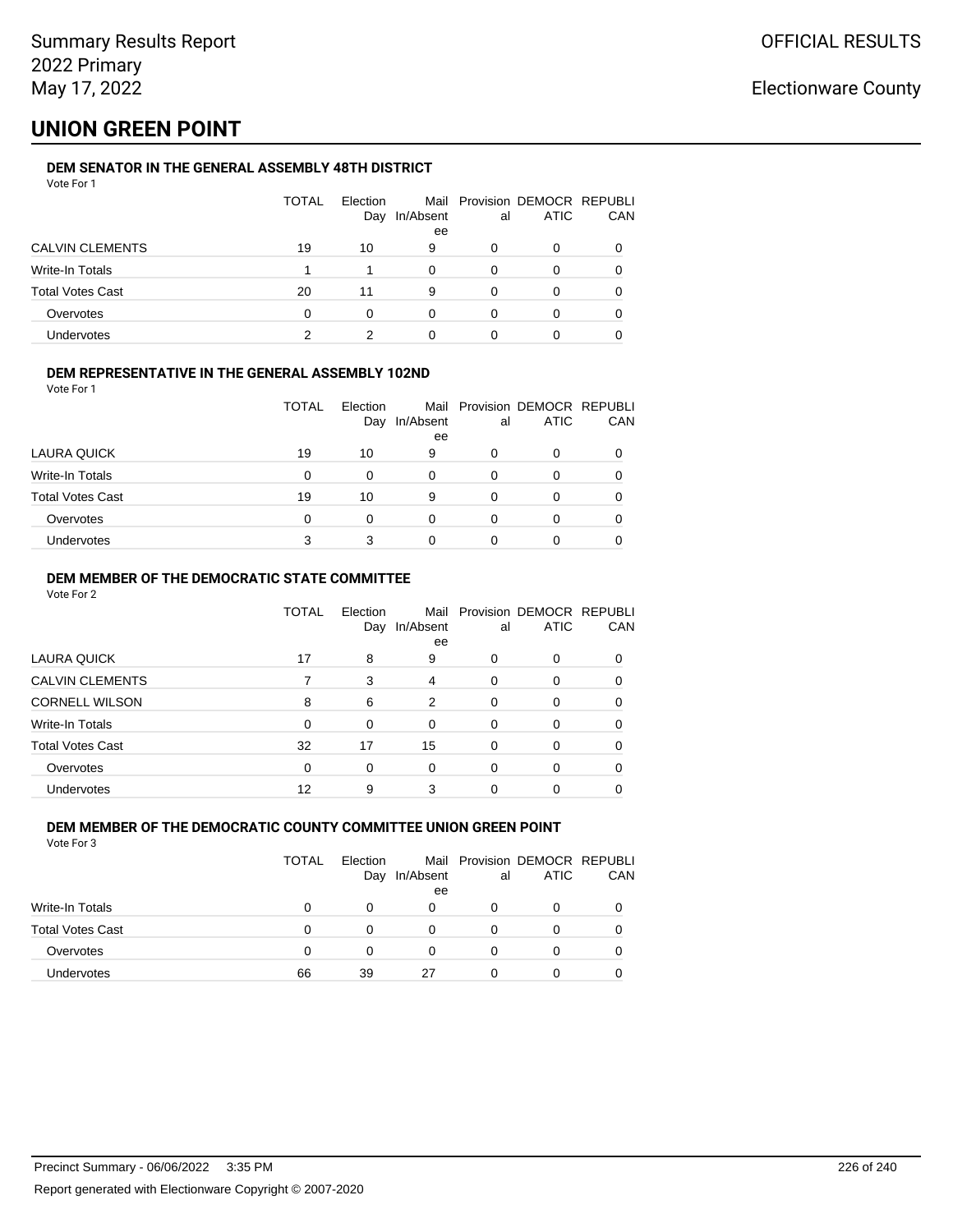## **UNION GREEN POINT**

### **DEM SENATOR IN THE GENERAL ASSEMBLY 48TH DISTRICT**

|                         | TOTAL | Election<br>Day | In/Absent<br>ee | al | Mail Provision DEMOCR REPUBLI<br><b>ATIC</b> | CAN |
|-------------------------|-------|-----------------|-----------------|----|----------------------------------------------|-----|
| <b>CALVIN CLEMENTS</b>  | 19    | 10              | 9               | 0  | 0                                            |     |
| Write-In Totals         |       |                 |                 |    | 0                                            |     |
| <b>Total Votes Cast</b> | 20    | 11              | 9               |    | 0                                            |     |
| Overvotes               | 0     | ი               |                 |    | 0                                            |     |
| Undervotes              |       |                 |                 |    |                                              |     |

### **DEM REPRESENTATIVE IN THE GENERAL ASSEMBLY 102ND**

| Vote For 1 |  |  |
|------------|--|--|
|            |  |  |

|                         | <b>TOTAL</b> | Election |           |    | Mail Provision DEMOCR REPUBLI |     |
|-------------------------|--------------|----------|-----------|----|-------------------------------|-----|
|                         |              | Day      | In/Absent | al | ATIC                          | CAN |
|                         |              |          | ee        |    |                               |     |
| LAURA QUICK             | 19           | 10       | 9         |    | 0                             |     |
| Write-In Totals         | 0            | 0        |           | 0  | 0                             |     |
| <b>Total Votes Cast</b> | 19           | 10       | 9         |    | O                             |     |
| Overvotes               | 0            | 0        |           | 0  | 0                             |     |
| Undervotes              |              |          |           |    | Ω                             |     |

### **DEM MEMBER OF THE DEMOCRATIC STATE COMMITTEE**

Vote For 2

|                         | TOTAL    | Election<br>Day | Mail<br>In/Absent<br>ee | al       | Provision DEMOCR REPUBLI<br><b>ATIC</b> | CAN      |
|-------------------------|----------|-----------------|-------------------------|----------|-----------------------------------------|----------|
| LAURA QUICK             | 17       | 8               | 9                       | 0        | 0                                       |          |
| <b>CALVIN CLEMENTS</b>  | 7        | 3               | 4                       | 0        | 0                                       | $\Omega$ |
| <b>CORNELL WILSON</b>   | 8        | 6               | $\mathfrak{p}$          | $\Omega$ | 0                                       | 0        |
| Write-In Totals         | $\Omega$ | 0               | $\Omega$                | $\Omega$ | 0                                       |          |
| <b>Total Votes Cast</b> | 32       | 17              | 15                      | 0        | 0                                       | 0        |
| Overvotes               | $\Omega$ | 0               | $\Omega$                | $\Omega$ | 0                                       | 0        |
| Undervotes              | 12       | 9               | 3                       | 0        | ი                                       |          |

#### **DEM MEMBER OF THE DEMOCRATIC COUNTY COMMITTEE UNION GREEN POINT** Vote For 3

| . | $\sim$ |  |
|---|--------|--|
|   |        |  |
|   |        |  |
|   |        |  |
|   |        |  |
|   |        |  |
|   |        |  |
|   |        |  |
|   |        |  |
|   |        |  |
|   |        |  |
|   |        |  |
|   |        |  |
|   |        |  |
|   |        |  |

|                  | <b>TOTAL</b> | Election<br>Day | In/Absent<br>ee | al | Mail Provision DEMOCR REPUBLI<br>ATIC | CAN |
|------------------|--------------|-----------------|-----------------|----|---------------------------------------|-----|
| Write-In Totals  | 0            | 0               | 0               |    |                                       |     |
| Total Votes Cast | 0            | 0               | 0               |    |                                       |     |
| Overvotes        | 0            | <sup>o</sup>    | 0               |    | 0                                     |     |
| Undervotes       | 66           | 39              | 27              |    |                                       |     |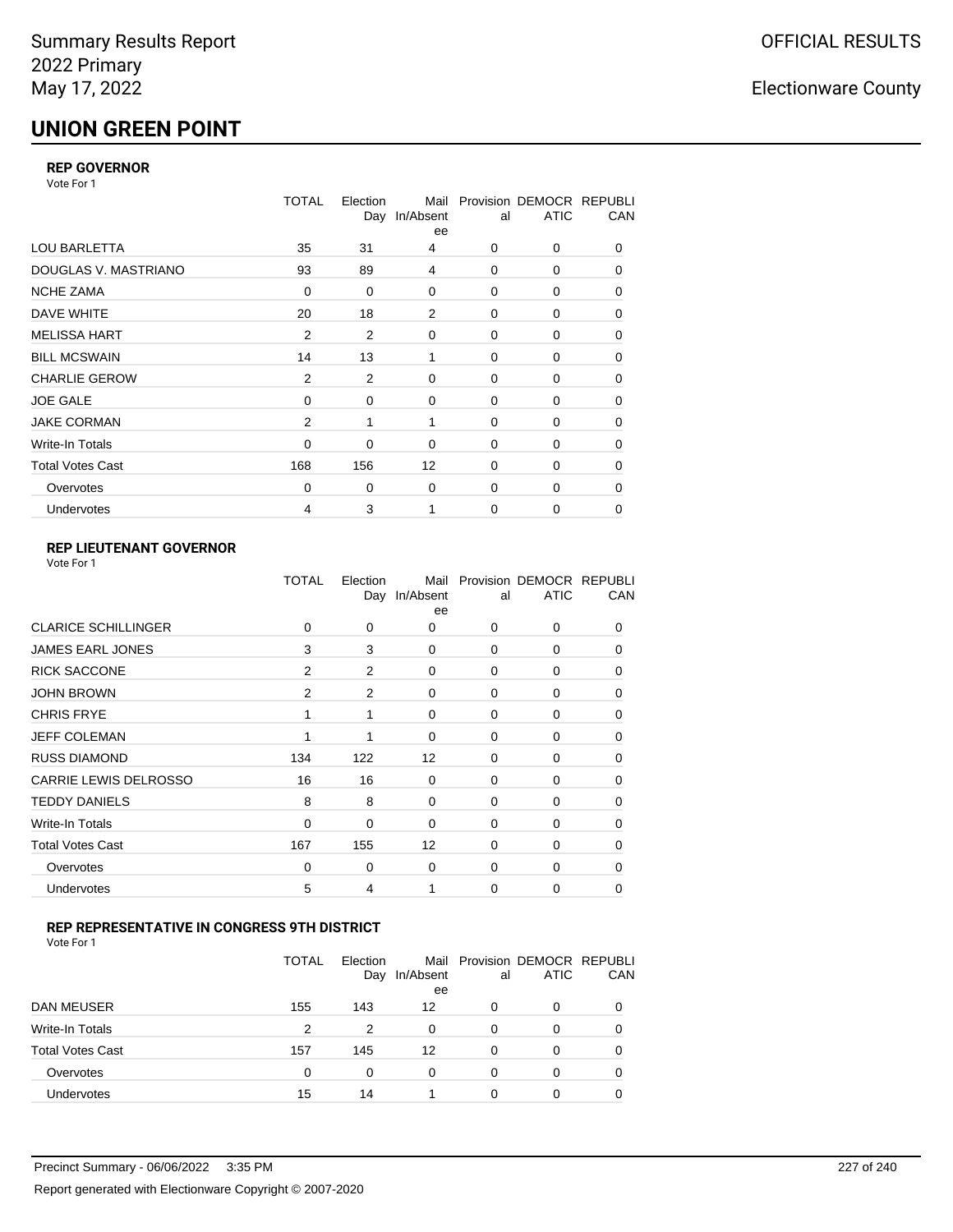# **UNION GREEN POINT**

### **REP GOVERNOR**

Vote For 1

|                         | <b>TOTAL</b>   | Election | Mail<br>Day In/Absent<br>ee | al          | Provision DEMOCR REPUBLI<br><b>ATIC</b> | CAN      |
|-------------------------|----------------|----------|-----------------------------|-------------|-----------------------------------------|----------|
| LOU BARLETTA            | 35             | 31       | 4                           | 0           | 0                                       | 0        |
| DOUGLAS V. MASTRIANO    | 93             | 89       | 4                           | 0           | 0                                       | 0        |
| <b>NCHE ZAMA</b>        | 0              | 0        | $\Omega$                    | 0           | 0                                       | $\Omega$ |
| DAVE WHITE              | 20             | 18       | 2                           | $\mathbf 0$ | 0                                       | 0        |
| <b>MELISSA HART</b>     | $\overline{2}$ | 2        | 0                           | $\mathbf 0$ | 0                                       | 0        |
| <b>BILL MCSWAIN</b>     | 14             | 13       | 1                           | $\mathbf 0$ | 0                                       | 0        |
| <b>CHARLIE GEROW</b>    | $\overline{2}$ | 2        | $\Omega$                    | $\Omega$    | $\Omega$                                | 0        |
| <b>JOE GALE</b>         | 0              | 0        | 0                           | $\mathbf 0$ | 0                                       | 0        |
| <b>JAKE CORMAN</b>      | 2              | 1        | 1                           | 0           | 0                                       | 0        |
| Write-In Totals         | 0              | 0        | 0                           | $\mathbf 0$ | 0                                       | 0        |
| <b>Total Votes Cast</b> | 168            | 156      | 12                          | $\mathbf 0$ | 0                                       | 0        |
| Overvotes               | $\Omega$       | 0        | 0                           | $\mathbf 0$ | 0                                       | 0        |
| Undervotes              | 4              | 3        |                             | $\Omega$    | 0                                       | 0        |

### **REP LIEUTENANT GOVERNOR**

| Vote For 1 |  |
|------------|--|
|------------|--|

|                              | TOTAL          | Election<br>Day | Mail<br>In/Absent<br>ee | al          | Provision DEMOCR REPUBLI<br><b>ATIC</b> | CAN      |
|------------------------------|----------------|-----------------|-------------------------|-------------|-----------------------------------------|----------|
| <b>CLARICE SCHILLINGER</b>   | $\Omega$       | 0               | $\Omega$                | $\Omega$    | 0                                       | 0        |
| <b>JAMES EARL JONES</b>      | 3              | 3               | $\Omega$                | 0           | 0                                       | 0        |
| <b>RICK SACCONE</b>          | $\overline{2}$ | 2               | 0                       | $\Omega$    | 0                                       | 0        |
| <b>JOHN BROWN</b>            | $\overline{2}$ | $\overline{2}$  | $\Omega$                | $\Omega$    | 0                                       | 0        |
| <b>CHRIS FRYE</b>            | 1              | 1               | 0                       | 0           | 0                                       | 0        |
| <b>JEFF COLEMAN</b>          | 1              |                 | $\Omega$                | $\mathbf 0$ | 0                                       | $\Omega$ |
| <b>RUSS DIAMOND</b>          | 134            | 122             | 12                      | 0           | 0                                       | 0        |
| <b>CARRIE LEWIS DELROSSO</b> | 16             | 16              | 0                       | $\mathbf 0$ | 0                                       | 0        |
| <b>TEDDY DANIELS</b>         | 8              | 8               | $\Omega$                | 0           | 0                                       | $\Omega$ |
| Write-In Totals              | 0              | 0               | $\Omega$                | 0           | 0                                       | $\Omega$ |
| <b>Total Votes Cast</b>      | 167            | 155             | 12                      | $\Omega$    | $\Omega$                                | $\Omega$ |
| Overvotes                    | $\mathbf 0$    | 0               | 0                       | 0           | 0                                       | $\Omega$ |
| Undervotes                   | 5              | 4               |                         | $\Omega$    | 0                                       | 0        |
|                              |                |                 |                         |             |                                         |          |

### **REP REPRESENTATIVE IN CONGRESS 9TH DISTRICT**

| Vote For 1 |  |  |
|------------|--|--|
|------------|--|--|

|                         | TOTAL | Election<br>Day | In/Absent<br>ee | al       | Mail Provision DEMOCR REPUBLI<br><b>ATIC</b> | CAN      |
|-------------------------|-------|-----------------|-----------------|----------|----------------------------------------------|----------|
| <b>DAN MEUSER</b>       | 155   | 143             | 12              | 0        | 0                                            | $\Omega$ |
| Write-In Totals         | 2     | 2               | $\Omega$        | $\Omega$ | 0                                            |          |
| <b>Total Votes Cast</b> | 157   | 145             | 12              | $\Omega$ | 0                                            |          |
| Overvotes               | 0     | 0               | 0               | $\Omega$ | 0                                            | 0        |
| <b>Undervotes</b>       | 15    | 14              |                 | 0        | 0                                            |          |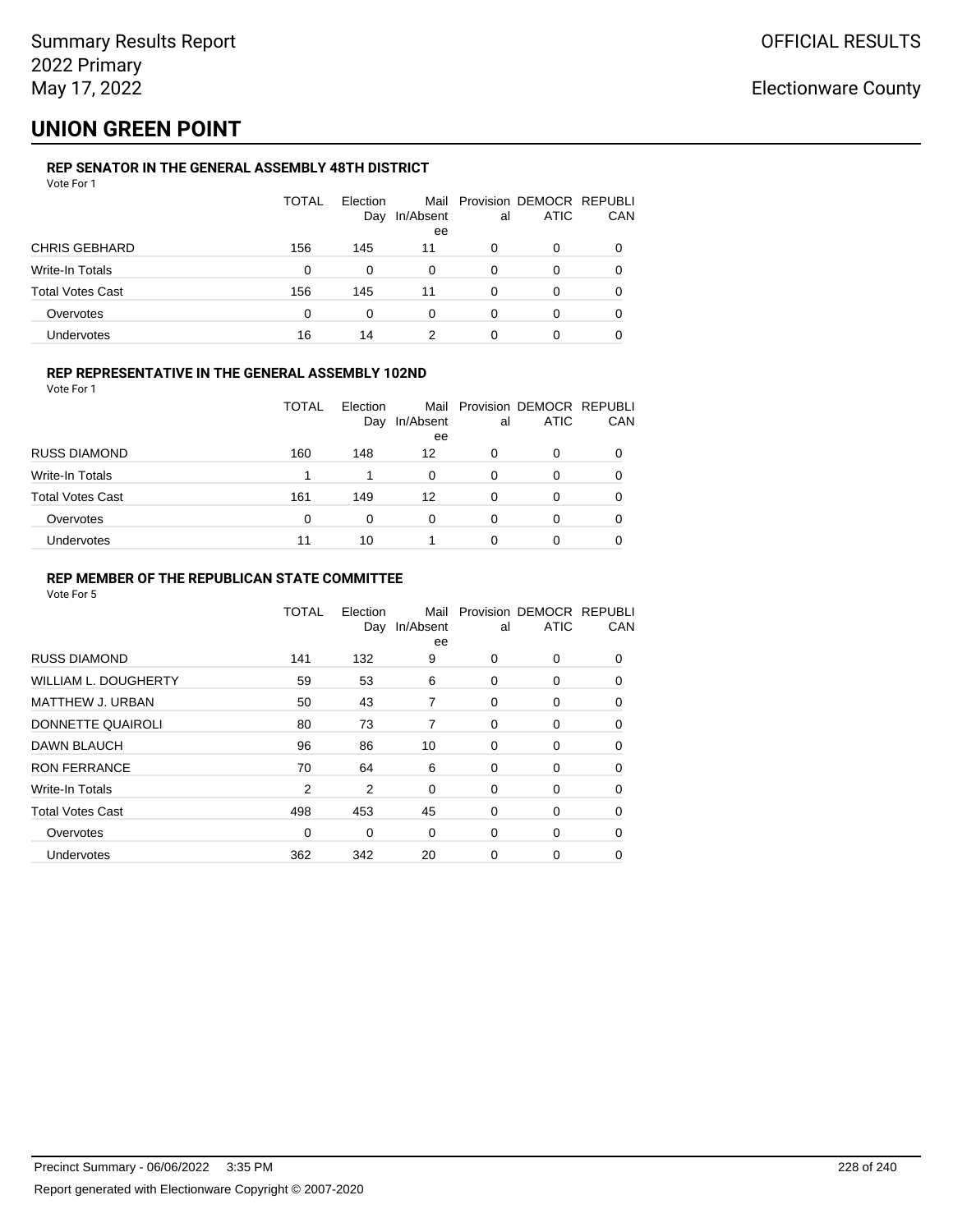## **UNION GREEN POINT**

### **REP SENATOR IN THE GENERAL ASSEMBLY 48TH DISTRICT**

|                         | <b>TOTAL</b> | Election<br>Day | In/Absent<br>ee | al | Mail Provision DEMOCR REPUBLI<br><b>ATIC</b> | CAN |
|-------------------------|--------------|-----------------|-----------------|----|----------------------------------------------|-----|
| <b>CHRIS GEBHARD</b>    | 156          | 145             | 11              | 0  | 0                                            |     |
| Write-In Totals         | 0            | 0               | $\Omega$        | 0  | 0                                            |     |
| <b>Total Votes Cast</b> | 156          | 145             | 11              | 0  | O                                            |     |
| Overvotes               | 0            | 0               | 0               | 0  | 0                                            |     |
| Undervotes              | 16           | 14              | 2               | 0  |                                              |     |

### **REP REPRESENTATIVE IN THE GENERAL ASSEMBLY 102ND**

Vote For 1

|                         | <b>TOTAL</b> | Election<br>Day | In/Absent<br>ee | al | Mail Provision DEMOCR REPUBLI<br><b>ATIC</b> | CAN |
|-------------------------|--------------|-----------------|-----------------|----|----------------------------------------------|-----|
| <b>RUSS DIAMOND</b>     | 160          | 148             | 12              | 0  | 0                                            |     |
| Write-In Totals         |              | 1               | $\Omega$        | 0  | O                                            |     |
| <b>Total Votes Cast</b> | 161          | 149             | 12              | 0  | 0                                            |     |
| Overvotes               | $\Omega$     | 0               | 0               | 0  | 0                                            |     |
| Undervotes              | 11           | 10              |                 | 0  | 0                                            |     |

### **REP MEMBER OF THE REPUBLICAN STATE COMMITTEE**

|                         | <b>TOTAL</b> | Election<br>Day | Mail<br>In/Absent<br>ee | al | Provision DEMOCR REPUBLI<br><b>ATIC</b> | CAN      |
|-------------------------|--------------|-----------------|-------------------------|----|-----------------------------------------|----------|
| <b>RUSS DIAMOND</b>     | 141          | 132             | 9                       | 0  | $\Omega$                                | 0        |
| WILLIAM L. DOUGHERTY    | 59           | 53              | 6                       | 0  | 0                                       | 0        |
| <b>MATTHEW J. URBAN</b> | 50           | 43              | 7                       | 0  | 0                                       | $\Omega$ |
| DONNETTE QUAIROLI       | 80           | 73              | 7                       | 0  | 0                                       | $\Omega$ |
| <b>DAWN BLAUCH</b>      | 96           | 86              | 10                      | 0  | 0                                       | $\Omega$ |
| <b>RON FERRANCE</b>     | 70           | 64              | 6                       | 0  | 0                                       | 0        |
| Write-In Totals         | 2            | 2               | 0                       | 0  | 0                                       | 0        |
| <b>Total Votes Cast</b> | 498          | 453             | 45                      | 0  | 0                                       | 0        |
| Overvotes               | 0            | 0               | 0                       | 0  | 0                                       | $\Omega$ |
| <b>Undervotes</b>       | 362          | 342             | 20                      | 0  | 0                                       | $\Omega$ |
|                         |              |                 |                         |    |                                         |          |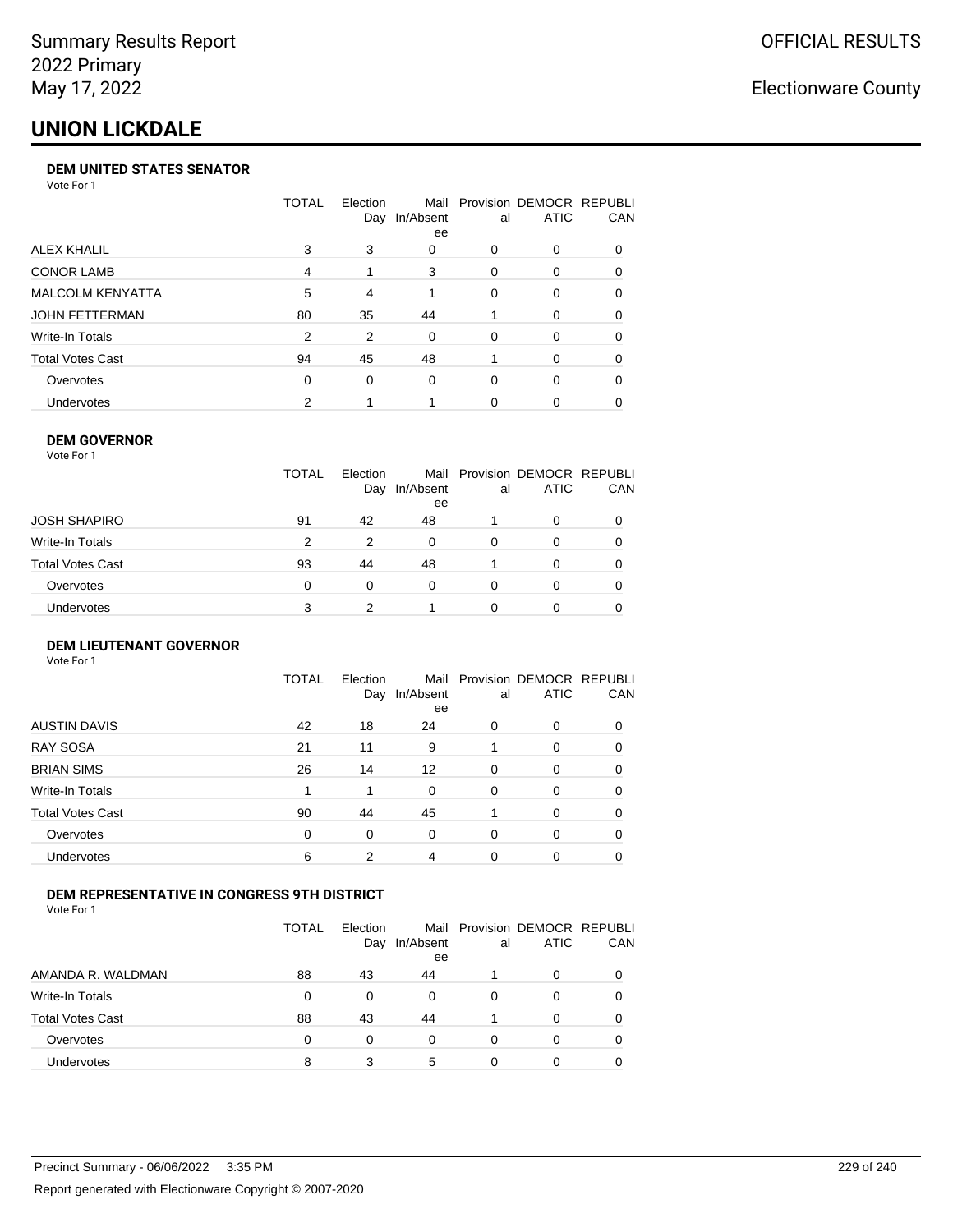## **UNION LICKDALE**

#### **DEM UNITED STATES SENATOR**

Vote For 1

|                         | TOTAL | Election | Mail<br>Day In/Absent<br>ee | al       | Provision DEMOCR REPUBLI<br><b>ATIC</b> | <b>CAN</b> |
|-------------------------|-------|----------|-----------------------------|----------|-----------------------------------------|------------|
| ALEX KHALIL             | 3     | 3        | 0                           | 0        | $\Omega$                                | 0          |
| <b>CONOR LAMB</b>       | 4     |          | 3                           | 0        | $\Omega$                                | 0          |
| <b>MALCOLM KENYATTA</b> | 5     | 4        |                             | $\Omega$ | $\Omega$                                | 0          |
| JOHN FETTERMAN          | 80    | 35       | 44                          |          | $\Omega$                                | $\Omega$   |
| Write-In Totals         | 2     | 2        | $\Omega$                    | 0        | $\Omega$                                | 0          |
| Total Votes Cast        | 94    | 45       | 48                          |          | $\Omega$                                | $\Omega$   |
| Overvotes               | 0     | 0        | $\Omega$                    | 0        | $\Omega$                                | 0          |
| <b>Undervotes</b>       | 2     |          |                             | 0        |                                         | 0          |

### **DEM GOVERNOR**

| Vote For 1              |              |                 |                 |          |                                              |     |
|-------------------------|--------------|-----------------|-----------------|----------|----------------------------------------------|-----|
|                         | <b>TOTAL</b> | Election<br>Day | In/Absent<br>ee | al       | Mail Provision DEMOCR REPUBLI<br><b>ATIC</b> | CAN |
| JOSH SHAPIRO            | 91           | 42              | 48              |          | 0                                            |     |
| Write-In Totals         | 2            | 2               | $\Omega$        | $\Omega$ | 0                                            | 0   |
| <b>Total Votes Cast</b> | 93           | 44              | 48              |          | $\Omega$                                     | 0   |
| Overvotes               | 0            | $\Omega$        | 0               | 0        | 0                                            |     |
| Undervotes              | 3            | 2               |                 | ŋ        | Ω                                            |     |

#### **DEM LIEUTENANT GOVERNOR** Vote For 1

|                         | TOTAL | Election<br>Day | In/Absent<br>ee | al       | Mail Provision DEMOCR REPUBLI<br><b>ATIC</b> | CAN      |
|-------------------------|-------|-----------------|-----------------|----------|----------------------------------------------|----------|
| <b>AUSTIN DAVIS</b>     | 42    | 18              | 24              | 0        | 0                                            | 0        |
| <b>RAY SOSA</b>         | 21    | 11              | 9               |          | 0                                            | 0        |
| <b>BRIAN SIMS</b>       | 26    | 14              | 12              | $\Omega$ | $\Omega$                                     | $\Omega$ |
| Write-In Totals         | 1     | 1               | $\Omega$        | $\Omega$ | $\Omega$                                     | $\Omega$ |
| <b>Total Votes Cast</b> | 90    | 44              | 45              |          | $\Omega$                                     | $\Omega$ |
| Overvotes               | 0     | 0               | $\Omega$        | $\Omega$ | 0                                            | $\Omega$ |
| <b>Undervotes</b>       | 6     | 2               | 4               | 0        | 0                                            | 0        |

### **DEM REPRESENTATIVE IN CONGRESS 9TH DISTRICT**

Vote For 1

|                         | TOTAL | Election<br>Day | In/Absent<br>ee | al | Mail Provision DEMOCR REPUBLI<br><b>ATIC</b> | CAN |
|-------------------------|-------|-----------------|-----------------|----|----------------------------------------------|-----|
| AMANDA R. WALDMAN       | 88    | 43              | 44              |    | 0                                            |     |
| Write-In Totals         | 0     | 0               | <sup>0</sup>    | 0  | 0                                            |     |
| <b>Total Votes Cast</b> | 88    | 43              | 44              |    | 0                                            |     |
| Overvotes               | 0     | 0               | $\Omega$        | 0  | 0                                            |     |
| Undervotes              | 8     | 3               | 5               |    |                                              |     |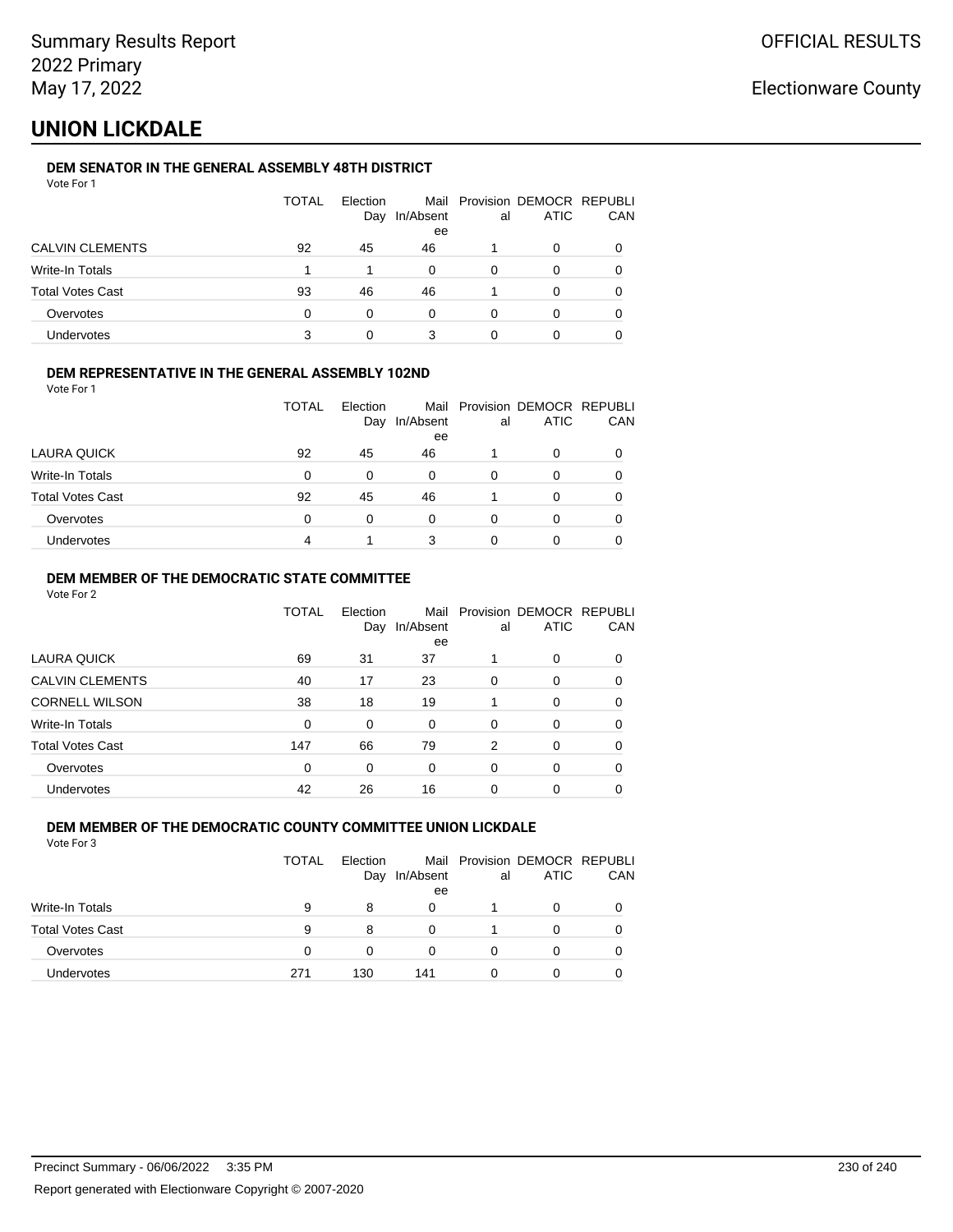# **UNION LICKDALE**

### **DEM SENATOR IN THE GENERAL ASSEMBLY 48TH DISTRICT**

| Vote For 1 |  |  |
|------------|--|--|
|------------|--|--|

|                         | <b>TOTAL</b> | Election<br>Day | In/Absent<br>ee | al | Mail Provision DEMOCR REPUBLI<br><b>ATIC</b> | CAN |
|-------------------------|--------------|-----------------|-----------------|----|----------------------------------------------|-----|
| <b>CALVIN CLEMENTS</b>  | 92           | 45              | 46              |    | 0                                            |     |
| Write-In Totals         |              |                 | 0               | 0  | O                                            |     |
| <b>Total Votes Cast</b> | 93           | 46              | 46              |    | 0                                            |     |
| Overvotes               | 0            | 0               | 0               | 0  | Ω                                            |     |
| Undervotes              | 3            |                 | 3               |    |                                              |     |

### **DEM REPRESENTATIVE IN THE GENERAL ASSEMBLY 102ND**

Vote For 1

|                         | TOTAL | Election |               |    | Mail Provision DEMOCR REPUBLI |            |
|-------------------------|-------|----------|---------------|----|-------------------------------|------------|
|                         |       |          | Day In/Absent | al | <b>ATIC</b>                   | <b>CAN</b> |
|                         |       |          | ee            |    |                               |            |
| LAURA QUICK             | 92    | 45       | 46            |    | 0                             | 0          |
| Write-In Totals         | 0     | 0        | 0             | 0  |                               | 0          |
| <b>Total Votes Cast</b> | 92    | 45       | 46            |    | O                             | 0          |
| Overvotes               | 0     |          | 0             | 0  |                               | 0          |
| <b>Undervotes</b>       | 4     |          | 3             |    |                               | 0          |

### **DEM MEMBER OF THE DEMOCRATIC STATE COMMITTEE**

Vote For 2

|                         | TOTAL | Election<br>Day | Mail<br>In/Absent<br>ee | al       | Provision DEMOCR REPUBLI<br><b>ATIC</b> | CAN      |
|-------------------------|-------|-----------------|-------------------------|----------|-----------------------------------------|----------|
| LAURA QUICK             | 69    | 31              | 37                      |          | 0                                       | $\Omega$ |
| <b>CALVIN CLEMENTS</b>  | 40    | 17              | 23                      | $\Omega$ | 0                                       | 0        |
| <b>CORNELL WILSON</b>   | 38    | 18              | 19                      |          | 0                                       | 0        |
| Write-In Totals         | 0     | 0               | $\Omega$                | 0        | 0                                       | 0        |
| <b>Total Votes Cast</b> | 147   | 66              | 79                      | 2        | 0                                       | $\Omega$ |
| Overvotes               | 0     | 0               | 0                       | $\Omega$ | 0                                       | 0        |
| <b>Undervotes</b>       | 42    | 26              | 16                      | 0        | 0                                       |          |

#### **DEM MEMBER OF THE DEMOCRATIC COUNTY COMMITTEE UNION LICKDALE** Vote For 3

|                         | <b>TOTAL</b> | Election<br>Day | In/Absent<br>ee | al | Mail Provision DEMOCR REPUBLI<br>ATIC | CAN |
|-------------------------|--------------|-----------------|-----------------|----|---------------------------------------|-----|
| Write-In Totals         | 9            | 8               | 0               |    | 0                                     |     |
| <b>Total Votes Cast</b> | 9            | 8               |                 |    | 0                                     |     |
| Overvotes               | $\Omega$     | 0               | 0               | Ω  | 0                                     |     |
| <b>Undervotes</b>       | 271          | 130             | 141             |    | 0                                     |     |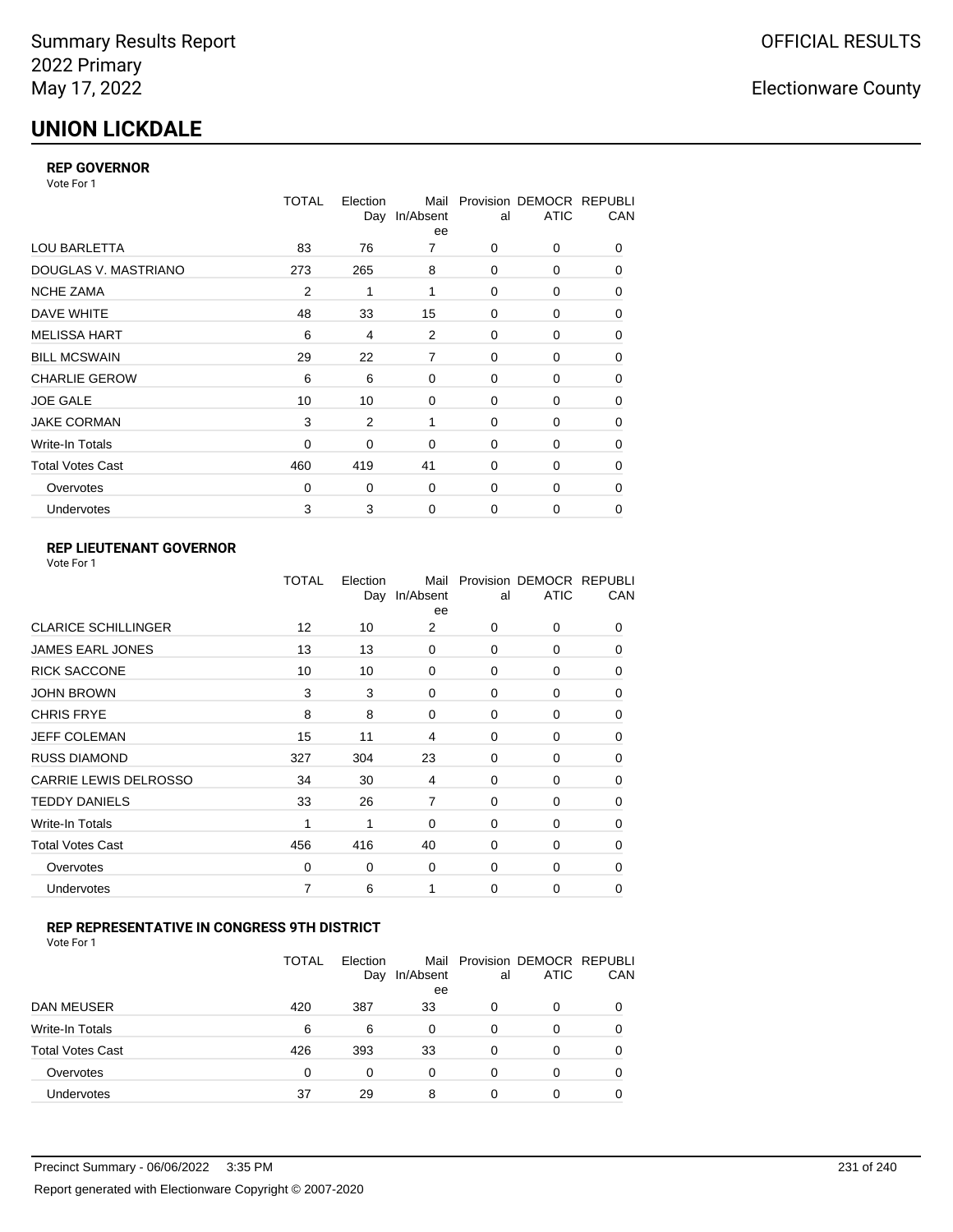# **UNION LICKDALE**

### **REP GOVERNOR**

Vote For 1

|                         | TOTAL          | Election<br>Day | Mail<br>In/Absent<br>ee | al          | Provision DEMOCR REPUBLI<br><b>ATIC</b> | CAN |
|-------------------------|----------------|-----------------|-------------------------|-------------|-----------------------------------------|-----|
| <b>LOU BARLETTA</b>     | 83             | 76              | 7                       | 0           | 0                                       | 0   |
| DOUGLAS V. MASTRIANO    | 273            | 265             | 8                       | 0           | 0                                       | 0   |
| <b>NCHE ZAMA</b>        | $\overline{2}$ | 1               | 1                       | $\Omega$    | 0                                       | 0   |
| DAVE WHITE              | 48             | 33              | 15                      | 0           | 0                                       | 0   |
| <b>MELISSA HART</b>     | 6              | 4               | 2                       | 0           | 0                                       | 0   |
| <b>BILL MCSWAIN</b>     | 29             | 22              | 7                       | 0           | 0                                       | 0   |
| <b>CHARLIE GEROW</b>    | 6              | 6               | 0                       | $\Omega$    | 0                                       | 0   |
| <b>JOE GALE</b>         | 10             | 10              | 0                       | 0           | 0                                       | 0   |
| <b>JAKE CORMAN</b>      | 3              | 2               | 1                       | $\Omega$    | $\Omega$                                | 0   |
| Write-In Totals         | 0              | 0               | 0                       | 0           | 0                                       | 0   |
| <b>Total Votes Cast</b> | 460            | 419             | 41                      | $\Omega$    | 0                                       | 0   |
| Overvotes               | 0              | 0               | 0                       | $\Omega$    | 0                                       | 0   |
| Undervotes              | 3              | 3               | 0                       | $\mathbf 0$ | 0                                       | 0   |

### **REP LIEUTENANT GOVERNOR**

|                            | TOTAL | Election<br>Day | Mail<br>In/Absent<br>ee | al       | Provision DEMOCR REPUBLI<br><b>ATIC</b> | CAN      |
|----------------------------|-------|-----------------|-------------------------|----------|-----------------------------------------|----------|
| <b>CLARICE SCHILLINGER</b> | 12    | 10              | 2                       | $\Omega$ | 0                                       | 0        |
| <b>JAMES EARL JONES</b>    | 13    | 13              | 0                       | $\Omega$ | $\Omega$                                | 0        |
| <b>RICK SACCONE</b>        | 10    | 10              | 0                       | $\Omega$ | 0                                       | 0        |
| JOHN BROWN                 | 3     | 3               | $\Omega$                | $\Omega$ | $\Omega$                                | 0        |
| <b>CHRIS FRYE</b>          | 8     | 8               | 0                       | $\Omega$ | 0                                       | 0        |
| JEFF COLEMAN               | 15    | 11              | 4                       | $\Omega$ | $\Omega$                                | 0        |
| <b>RUSS DIAMOND</b>        | 327   | 304             | 23                      | $\Omega$ | 0                                       | 0        |
| CARRIE LEWIS DELROSSO      | 34    | 30              | 4                       | $\Omega$ | $\Omega$                                | 0        |
| <b>TEDDY DANIELS</b>       | 33    | 26              | $\overline{7}$          | $\Omega$ | 0                                       | 0        |
| Write-In Totals            | 1     | 1               | $\Omega$                | $\Omega$ | $\Omega$                                | 0        |
| Total Votes Cast           | 456   | 416             | 40                      | $\Omega$ | 0                                       | $\Omega$ |
| Overvotes                  | 0     | 0               | 0                       | 0        | 0                                       | $\Omega$ |
| <b>Undervotes</b>          | 7     | 6               | 1                       | $\Omega$ | $\Omega$                                | 0        |
|                            |       |                 |                         |          |                                         |          |

### **REP REPRESENTATIVE IN CONGRESS 9TH DISTRICT**

|                         | TOTAL | Election<br>Day | In/Absent<br>ee | al | Mail Provision DEMOCR REPUBLI<br><b>ATIC</b> | CAN      |
|-------------------------|-------|-----------------|-----------------|----|----------------------------------------------|----------|
| DAN MEUSER              | 420   | 387             | 33              | 0  | 0                                            | $\Omega$ |
| Write-In Totals         | 6     | 6               | 0               | 0  | 0                                            |          |
| <b>Total Votes Cast</b> | 426   | 393             | 33              | 0  | 0                                            |          |
| Overvotes               | 0     | 0               | 0               | 0  | O                                            |          |
| <b>Undervotes</b>       | 37    | 29              | 8               | ი  | ი                                            |          |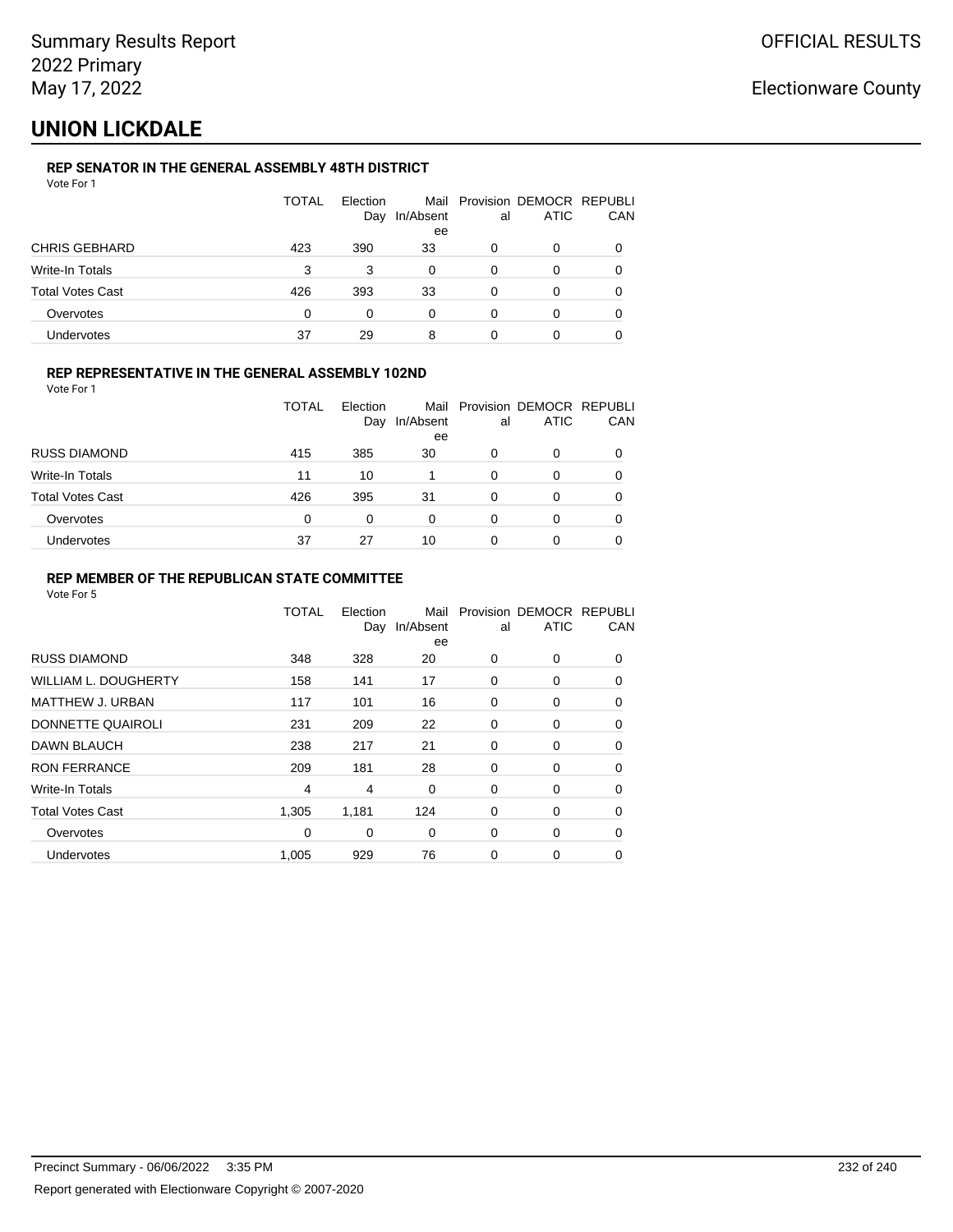## **UNION LICKDALE**

### **REP SENATOR IN THE GENERAL ASSEMBLY 48TH DISTRICT**

| Vote For 1 |  |  |
|------------|--|--|
|------------|--|--|

|                         | <b>TOTAL</b> | Election<br>Day | In/Absent<br>ee | al | Mail Provision DEMOCR REPUBLI<br>ATIC | CAN |
|-------------------------|--------------|-----------------|-----------------|----|---------------------------------------|-----|
| <b>CHRIS GEBHARD</b>    | 423          | 390             | 33              | 0  | 0                                     |     |
| Write-In Totals         | 3            | 3               | 0               | 0  | 0                                     |     |
| <b>Total Votes Cast</b> | 426          | 393             | 33              | 0  | 0                                     |     |
| Overvotes               | 0            | 0               | 0               | 0  | 0                                     |     |
| Undervotes              | 37           | 29              | 8               |    |                                       |     |

### **REP REPRESENTATIVE IN THE GENERAL ASSEMBLY 102ND**

Vote For 1

|                         | TOTAL | Election | Day In/Absent | al | Mail Provision DEMOCR REPUBLI<br><b>ATIC</b> | CAN |
|-------------------------|-------|----------|---------------|----|----------------------------------------------|-----|
|                         |       |          | ee            |    |                                              |     |
| <b>RUSS DIAMOND</b>     | 415   | 385      | 30            | 0  |                                              | 0   |
| Write-In Totals         | 11    | 10       |               | 0  |                                              | 0   |
| <b>Total Votes Cast</b> | 426   | 395      | 31            | 0  |                                              | 0   |
| Overvotes               | 0     |          | 0             | 0  |                                              | 0   |
| <b>Undervotes</b>       | 37    | 27       | 10            | 0  |                                              | 0   |

### **REP MEMBER OF THE REPUBLICAN STATE COMMITTEE**

|                             | <b>TOTAL</b> | Election<br>Day | Mail<br>In/Absent<br>ee | al       | Provision DEMOCR REPUBLI<br><b>ATIC</b> | CAN      |
|-----------------------------|--------------|-----------------|-------------------------|----------|-----------------------------------------|----------|
| <b>RUSS DIAMOND</b>         | 348          | 328             | 20                      | 0        | 0                                       | 0        |
| <b>WILLIAM L. DOUGHERTY</b> | 158          | 141             | 17                      | 0        | 0                                       | $\Omega$ |
| <b>MATTHEW J. URBAN</b>     | 117          | 101             | 16                      | 0        | 0                                       | 0        |
| DONNETTE QUAIROLI           | 231          | 209             | 22                      | 0        | 0                                       | $\Omega$ |
| DAWN BLAUCH                 | 238          | 217             | 21                      | $\Omega$ | 0                                       | $\Omega$ |
| <b>RON FERRANCE</b>         | 209          | 181             | 28                      | 0        | 0                                       | 0        |
| Write-In Totals             | 4            | 4               | 0                       | 0        | 0                                       | 0        |
| <b>Total Votes Cast</b>     | 1,305        | 1,181           | 124                     | 0        | 0                                       | 0        |
| Overvotes                   | 0            | 0               | 0                       | 0        | 0                                       | 0        |
| Undervotes                  | 1,005        | 929             | 76                      | 0        | 0                                       | 0        |
|                             |              |                 |                         |          |                                         |          |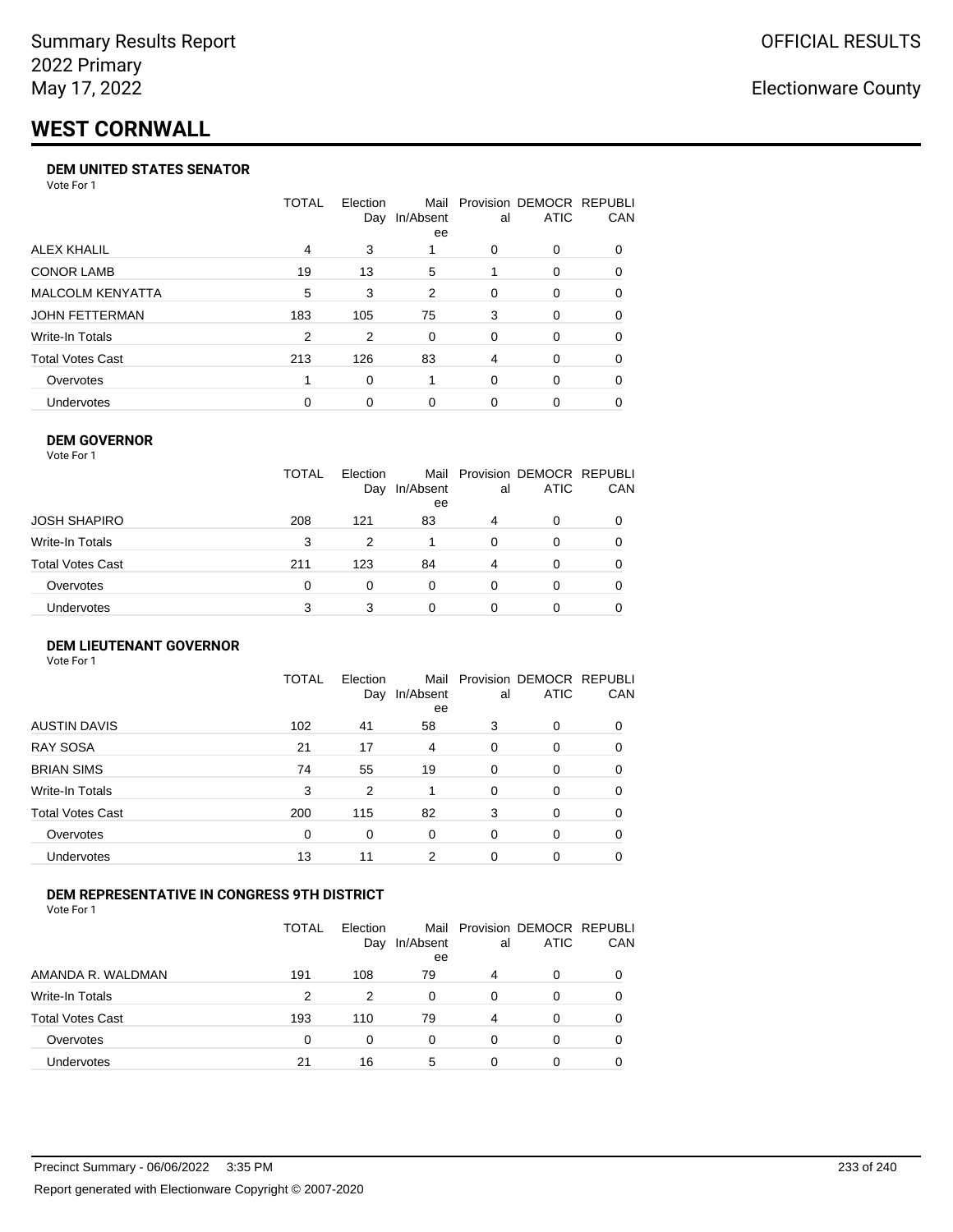# **WEST CORNWALL**

#### **DEM UNITED STATES SENATOR**

Vote For 1

|                         | TOTAL | Election<br>Day | Mail<br>In/Absent<br>ee | al | Provision DEMOCR REPUBLI<br>ATIC | <b>CAN</b> |
|-------------------------|-------|-----------------|-------------------------|----|----------------------------------|------------|
| ALEX KHALIL             | 4     | 3               |                         | 0  | $\Omega$                         | 0          |
| <b>CONOR LAMB</b>       | 19    | 13              | 5                       |    | $\Omega$                         | 0          |
| <b>MALCOLM KENYATTA</b> | 5     | 3               | 2                       | 0  | $\Omega$                         | 0          |
| JOHN FETTERMAN          | 183   | 105             | 75                      | 3  | $\Omega$                         | 0          |
| Write-In Totals         | 2     | 2               | 0                       | 0  | $\Omega$                         | 0          |
| <b>Total Votes Cast</b> | 213   | 126             | 83                      | 4  | $\Omega$                         | 0          |
| Overvotes               |       | 0               |                         | 0  | $\Omega$                         | 0          |
| <b>Undervotes</b>       | 0     | 0               | 0                       | 0  | $\Omega$                         | 0          |

### **DEM GOVERNOR**

| <b>TOTAL</b><br>Mail Provision DEMOCR REPUBLI<br>Election<br><b>ATIC</b><br>In/Absent<br>Day<br>al<br>ee<br>JOSH SHAPIRO<br>208<br>121<br>83<br>4<br>0<br>Write-In Totals<br>3<br>2<br>$\Omega$<br>0<br>$\Omega$<br>Total Votes Cast<br>123<br>84<br>211<br>4<br>0<br>0<br>Overvotes<br>0<br>$\Omega$<br>0<br>0<br>0<br>0<br>Undervotes<br>3<br>3<br>0<br>0 | Vote For 1 |  |  |     |
|-------------------------------------------------------------------------------------------------------------------------------------------------------------------------------------------------------------------------------------------------------------------------------------------------------------------------------------------------------------|------------|--|--|-----|
|                                                                                                                                                                                                                                                                                                                                                             |            |  |  | CAN |
|                                                                                                                                                                                                                                                                                                                                                             |            |  |  |     |
|                                                                                                                                                                                                                                                                                                                                                             |            |  |  |     |
|                                                                                                                                                                                                                                                                                                                                                             |            |  |  |     |
|                                                                                                                                                                                                                                                                                                                                                             |            |  |  |     |
|                                                                                                                                                                                                                                                                                                                                                             |            |  |  |     |

#### **DEM LIEUTENANT GOVERNOR** Vote For 1

|                         | TOTAL | Election<br>Day | In/Absent<br>ee | al       | Mail Provision DEMOCR REPUBLI<br><b>ATIC</b> | CAN      |
|-------------------------|-------|-----------------|-----------------|----------|----------------------------------------------|----------|
| <b>AUSTIN DAVIS</b>     | 102   | 41              | 58              | 3        | 0                                            | 0        |
| <b>RAY SOSA</b>         | 21    | 17              | 4               | $\Omega$ | 0                                            | 0        |
| <b>BRIAN SIMS</b>       | 74    | 55              | 19              | 0        | 0                                            | $\Omega$ |
| Write-In Totals         | 3     | 2               |                 | $\Omega$ | $\Omega$                                     | $\Omega$ |
| <b>Total Votes Cast</b> | 200   | 115             | 82              | 3        | 0                                            | $\Omega$ |
| Overvotes               | 0     | 0               | 0               | $\Omega$ | 0                                            | $\Omega$ |
| <b>Undervotes</b>       | 13    | 11              | 2               | 0        | 0                                            | 0        |

### **DEM REPRESENTATIVE IN CONGRESS 9TH DISTRICT**

Vote For 1

|                         | TOTAL | <b>Flection</b><br>Day | Mail<br>In/Absent<br>ee | al | Provision DEMOCR REPUBLI<br><b>ATIC</b> | CAN |
|-------------------------|-------|------------------------|-------------------------|----|-----------------------------------------|-----|
| AMANDA R. WALDMAN       | 191   | 108                    | 79                      | 4  | $\Omega$                                | 0   |
| <b>Write-In Totals</b>  | 2     | 2                      | 0                       | 0  | $\Omega$                                | 0   |
| <b>Total Votes Cast</b> | 193   | 110                    | 79                      | 4  | $\Omega$                                | 0   |
| Overvotes               | 0     | 0                      | 0                       | 0  | $\Omega$                                | 0   |
| <b>Undervotes</b>       | 21    | 16                     | 5                       | 0  |                                         |     |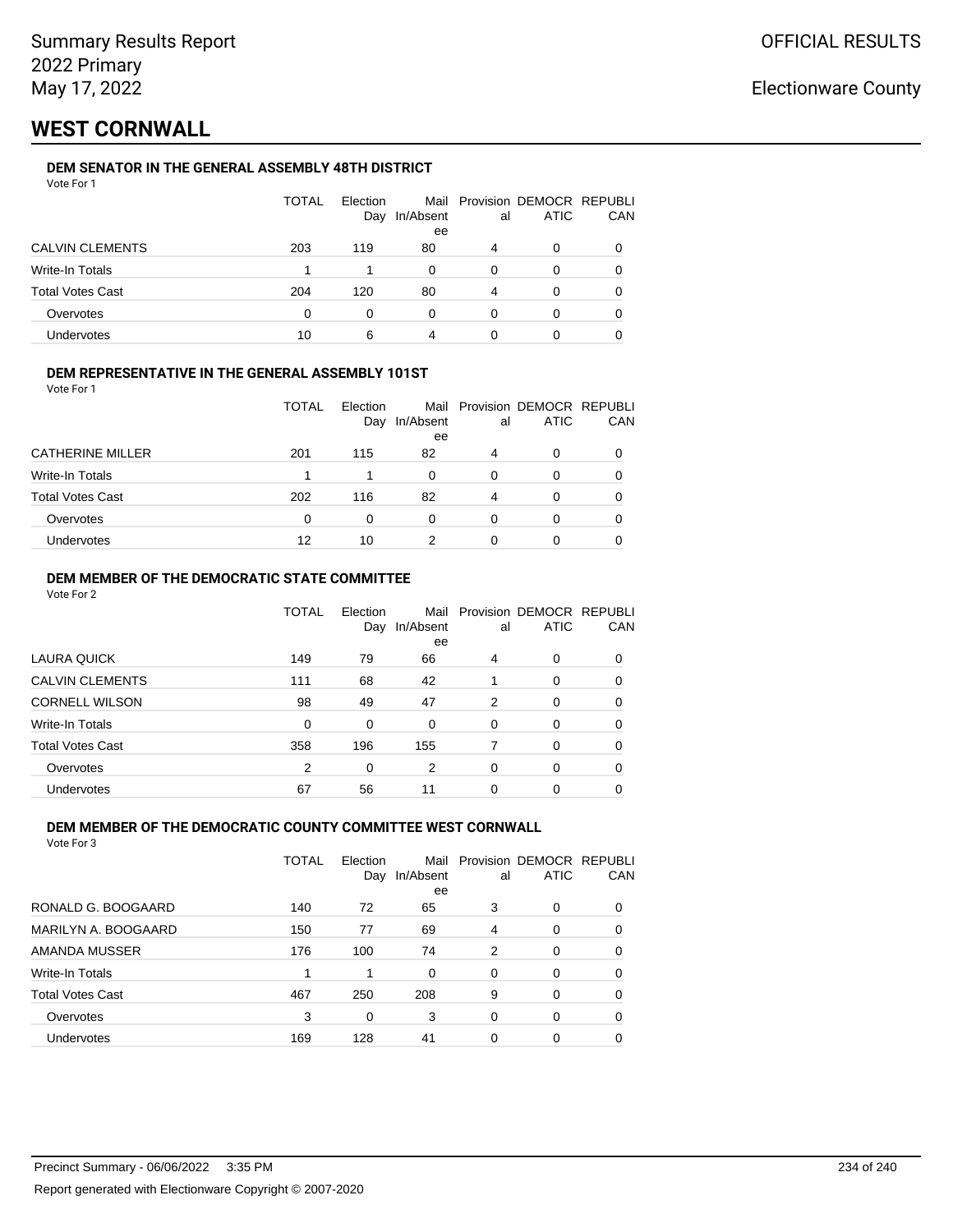## **WEST CORNWALL**

### **DEM SENATOR IN THE GENERAL ASSEMBLY 48TH DISTRICT**

| Vote For 1 |  |  |
|------------|--|--|
|------------|--|--|

|                         | <b>TOTAL</b> | Election<br>Day | In/Absent<br>ee | al | Mail Provision DEMOCR REPUBLI<br><b>ATIC</b> | CAN |
|-------------------------|--------------|-----------------|-----------------|----|----------------------------------------------|-----|
| <b>CALVIN CLEMENTS</b>  | 203          | 119             | 80              | 4  | 0                                            |     |
| Write-In Totals         |              |                 | 0               | 0  | O                                            |     |
| <b>Total Votes Cast</b> | 204          | 120             | 80              | 4  | Ω                                            |     |
| Overvotes               | 0            | O               | 0               | 0  | ი                                            |     |
| Undervotes              | 10           | 6               | 4               | 0  |                                              |     |

### **DEM REPRESENTATIVE IN THE GENERAL ASSEMBLY 101ST**

Vote For 1

|                         | <b>TOTAL</b><br>Election<br>In/Absent<br>Day |     |          | al | Mail Provision DEMOCR REPUBLI<br><b>ATIC</b> | CAN |
|-------------------------|----------------------------------------------|-----|----------|----|----------------------------------------------|-----|
| <b>CATHERINE MILLER</b> | 201                                          | 115 | ee<br>82 | 4  | O                                            |     |
| Write-In Totals         |                                              |     | 0        | 0  | O                                            |     |
| <b>Total Votes Cast</b> | 202                                          | 116 | 82       | 4  | 0                                            |     |
| Overvotes               | $\Omega$                                     | 0   | 0        | 0  | O                                            |     |
| Undervotes              | 12                                           | 10  |          | O  | 0                                            |     |

### **DEM MEMBER OF THE DEMOCRATIC STATE COMMITTEE**

Vote For 2

|                         | TOTAL | Election<br>Day | Mail<br>In/Absent<br>ee | al       | Provision DEMOCR REPUBLI<br><b>ATIC</b> | CAN |
|-------------------------|-------|-----------------|-------------------------|----------|-----------------------------------------|-----|
| <b>LAURA QUICK</b>      | 149   | 79              | 66                      | 4        | $\Omega$                                | 0   |
| <b>CALVIN CLEMENTS</b>  | 111   | 68              | 42                      |          | 0                                       | 0   |
| <b>CORNELL WILSON</b>   | 98    | 49              | 47                      | 2        | $\Omega$                                | 0   |
| Write-In Totals         | 0     | 0               | 0                       | $\Omega$ | $\Omega$                                | 0   |
| <b>Total Votes Cast</b> | 358   | 196             | 155                     | 7        | $\Omega$                                | 0   |
| Overvotes               | 2     | 0               | 2                       | $\Omega$ | $\Omega$                                | 0   |
| <b>Undervotes</b>       | 67    | 56              | 11                      | 0        | 0                                       |     |

### **DEM MEMBER OF THE DEMOCRATIC COUNTY COMMITTEE WEST CORNWALL**

|                         | TOTAL | Election<br>Day | Mail<br>In/Absent | al       | Provision DEMOCR REPUBLI<br><b>ATIC</b> | CAN      |
|-------------------------|-------|-----------------|-------------------|----------|-----------------------------------------|----------|
|                         |       |                 | ee                |          |                                         |          |
| RONALD G. BOOGAARD      | 140   | 72              | 65                | 3        | 0                                       | $\Omega$ |
| MARILYN A. BOOGAARD     | 150   | 77              | 69                | 4        | 0                                       | 0        |
| AMANDA MUSSER           | 176   | 100             | 74                | 2        | 0                                       | 0        |
| Write-In Totals         |       | 1               | $\Omega$          | $\Omega$ | 0                                       | $\Omega$ |
| <b>Total Votes Cast</b> | 467   | 250             | 208               | 9        | 0                                       | 0        |
| Overvotes               | 3     | 0               | 3                 | $\Omega$ | 0                                       | 0        |
| <b>Undervotes</b>       | 169   | 128             | 41                | 0        | 0                                       |          |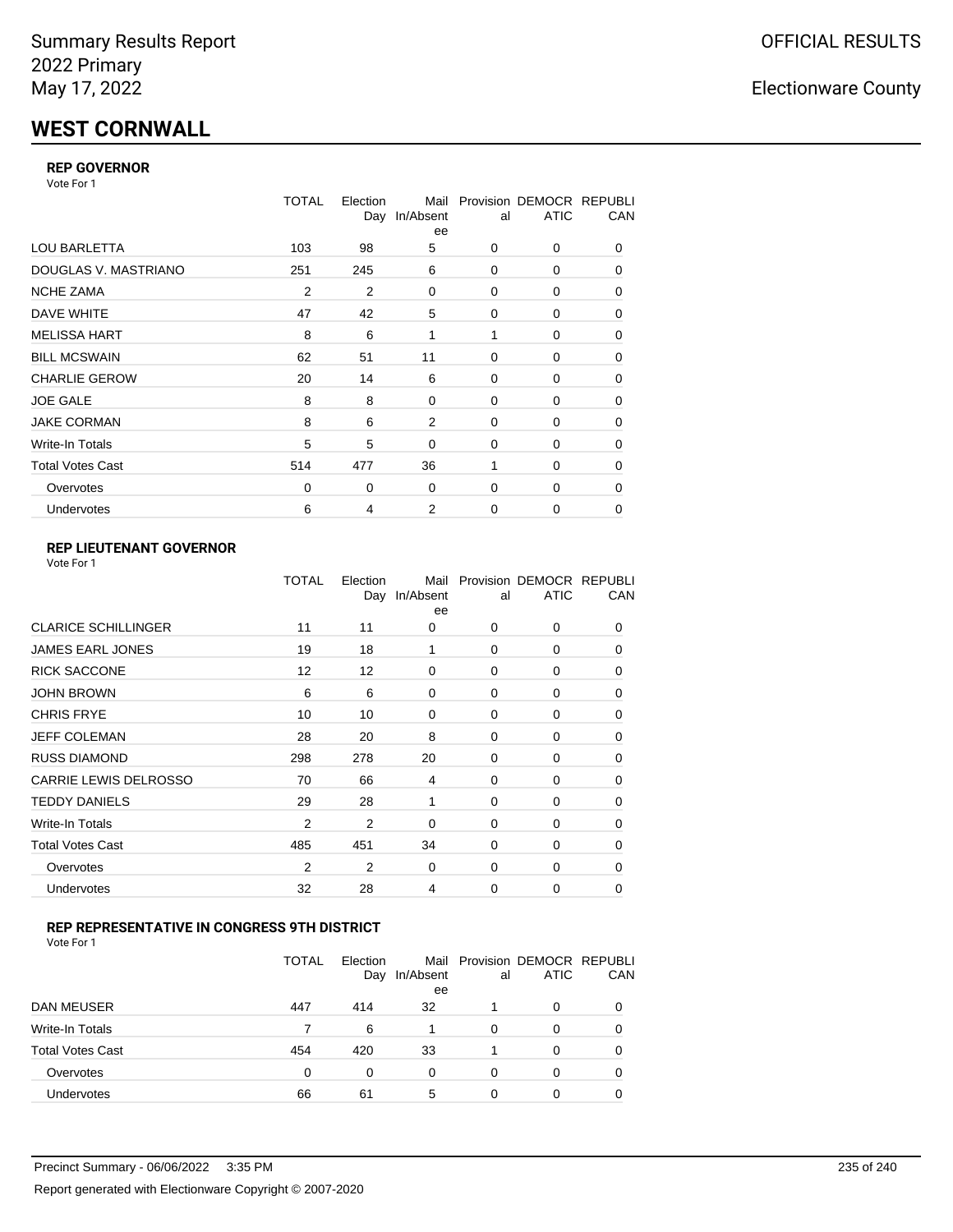# **WEST CORNWALL**

### **REP GOVERNOR**

Vote For 1

|                         | TOTAL    | Election<br>Day | Mail<br>In/Absent<br>ee | al       | Provision DEMOCR REPUBLI<br><b>ATIC</b> | CAN |
|-------------------------|----------|-----------------|-------------------------|----------|-----------------------------------------|-----|
| <b>LOU BARLETTA</b>     | 103      | 98              | 5                       | 0        | 0                                       | 0   |
| DOUGLAS V. MASTRIANO    | 251      | 245             | 6                       | 0        | 0                                       | 0   |
| <b>NCHE ZAMA</b>        | 2        | 2               | 0                       | $\Omega$ | 0                                       | 0   |
| DAVE WHITE              | 47       | 42              | 5                       | 0        | 0                                       | 0   |
| <b>MELISSA HART</b>     | 8        | 6               | 1                       | 1        | 0                                       | 0   |
| <b>BILL MCSWAIN</b>     | 62       | 51              | 11                      | 0        | 0                                       | 0   |
| <b>CHARLIE GEROW</b>    | 20       | 14              | 6                       | $\Omega$ | 0                                       | 0   |
| <b>JOE GALE</b>         | 8        | 8               | 0                       | 0        | 0                                       | 0   |
| <b>JAKE CORMAN</b>      | 8        | 6               | 2                       | $\Omega$ | $\Omega$                                | 0   |
| Write-In Totals         | 5        | 5               | 0                       | 0        | 0                                       | 0   |
| <b>Total Votes Cast</b> | 514      | 477             | 36                      | 1        | 0                                       | 0   |
| Overvotes               | $\Omega$ | 0               | 0                       | $\Omega$ | 0                                       | 0   |
| Undervotes              | 6        | 4               | 2                       | 0        | 0                                       | 0   |

### **REP LIEUTENANT GOVERNOR**

|                            | TOTAL          | Election<br>Day | Mail<br>In/Absent<br>ee | al       | Provision DEMOCR REPUBLI<br><b>ATIC</b> | CAN      |
|----------------------------|----------------|-----------------|-------------------------|----------|-----------------------------------------|----------|
| <b>CLARICE SCHILLINGER</b> | 11             | 11              | 0                       | $\Omega$ | 0                                       | 0        |
| JAMES EARL JONES           | 19             | 18              | 1                       | $\Omega$ | $\Omega$                                | 0        |
| <b>RICK SACCONE</b>        | 12             | 12              | 0                       | $\Omega$ | 0                                       | 0        |
| JOHN BROWN                 | 6              | 6               | 0                       | $\Omega$ | $\Omega$                                | 0        |
| CHRIS FRYE                 | 10             | 10              | 0                       | $\Omega$ | 0                                       | 0        |
| JEFF COLEMAN               | 28             | 20              | 8                       | $\Omega$ | $\Omega$                                | 0        |
| <b>RUSS DIAMOND</b>        | 298            | 278             | 20                      | $\Omega$ | 0                                       | 0        |
| CARRIE LEWIS DELROSSO      | 70             | 66              | 4                       | $\Omega$ | $\Omega$                                | 0        |
| <b>TEDDY DANIELS</b>       | 29             | 28              | 1                       | $\Omega$ | 0                                       | 0        |
| Write-In Totals            | $\overline{2}$ | 2               | $\Omega$                | $\Omega$ | $\Omega$                                | 0        |
| Total Votes Cast           | 485            | 451             | 34                      | $\Omega$ | 0                                       | 0        |
| Overvotes                  | 2              | 2               | 0                       | 0        | 0                                       | $\Omega$ |
| <b>Undervotes</b>          | 32             | 28              | 4                       | $\Omega$ | $\Omega$                                | 0        |
|                            |                |                 |                         |          |                                         |          |

### **REP REPRESENTATIVE IN CONGRESS 9TH DISTRICT**

|                         | <b>TOTAL</b> | Election<br>Day | In/Absent<br>ee | al | Mail Provision DEMOCR REPUBLI<br><b>ATIC</b> | CAN      |
|-------------------------|--------------|-----------------|-----------------|----|----------------------------------------------|----------|
| DAN MEUSER              | 447          | 414             | 32              |    | 0                                            | $\Omega$ |
| Write-In Totals         |              | 6               |                 | 0  | 0                                            |          |
| <b>Total Votes Cast</b> | 454          | 420             | 33              |    | 0                                            |          |
| Overvotes               | 0            | 0               | 0               | 0  | 0                                            | 0        |
| Undervotes              | 66           | 61              | 5               | 0  | 0                                            |          |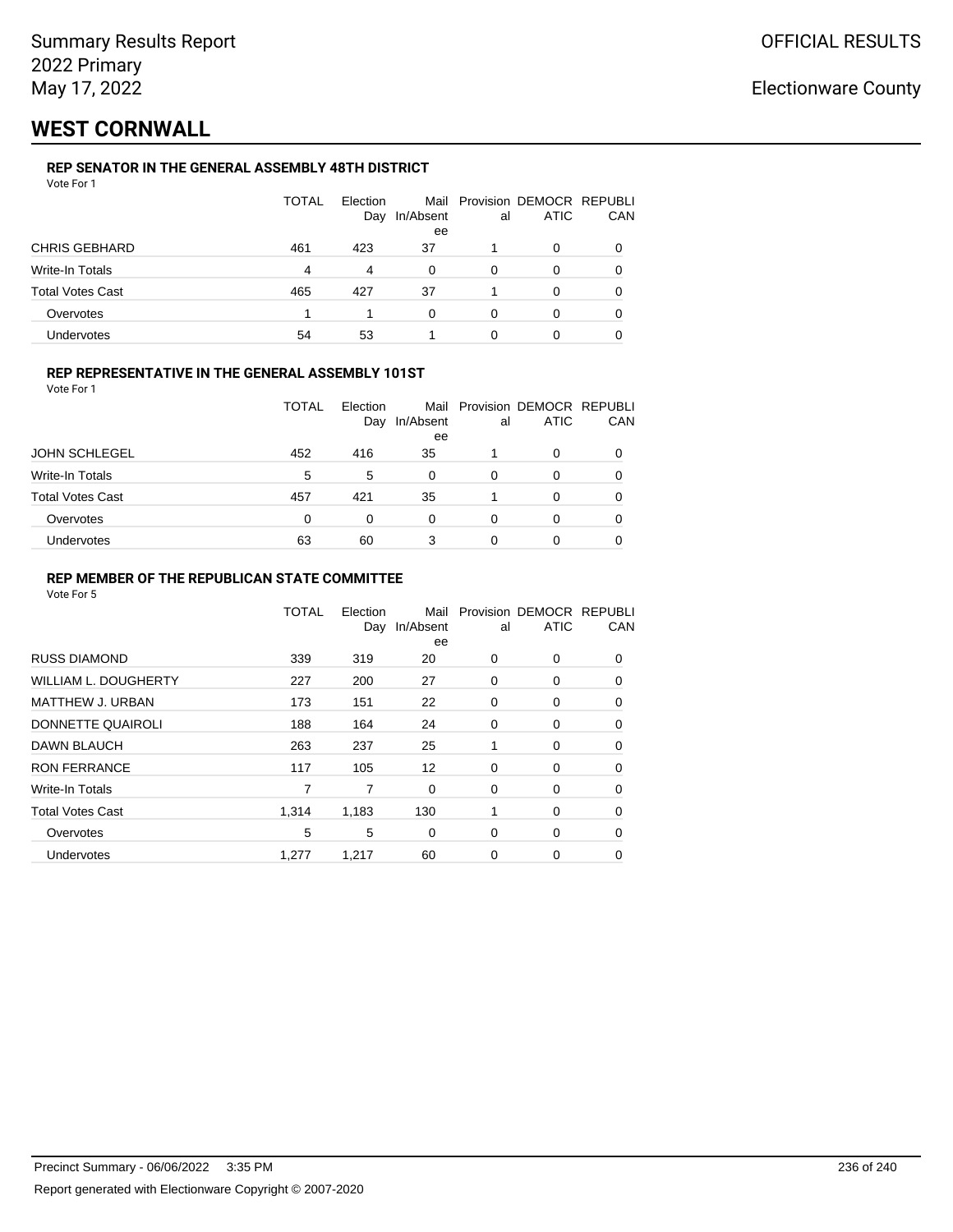## **WEST CORNWALL**

### **REP SENATOR IN THE GENERAL ASSEMBLY 48TH DISTRICT**

| Vote For 1 |  |  |
|------------|--|--|
|------------|--|--|

|                         | <b>TOTAL</b> | Election<br>Day | In/Absent<br>ee | al | Mail Provision DEMOCR REPUBLI<br>ATIC | CAN |
|-------------------------|--------------|-----------------|-----------------|----|---------------------------------------|-----|
| <b>CHRIS GEBHARD</b>    | 461          | 423             | 37              |    | 0                                     |     |
| Write-In Totals         | 4            | 4               | $\Omega$        | 0  | 0                                     |     |
| <b>Total Votes Cast</b> | 465          | 427             | 37              |    | 0                                     |     |
| Overvotes               |              |                 | U               | 0  | Ω                                     |     |
| <b>Undervotes</b>       | 54           | 53              |                 | 0  |                                       |     |

### **REP REPRESENTATIVE IN THE GENERAL ASSEMBLY 101ST**

Vote For 1

|                         | <b>TOTAL</b> | Flection<br>Day | Mail<br>In/Absent | al | Provision DEMOCR REPUBLI<br>ATIC | CAN |  |
|-------------------------|--------------|-----------------|-------------------|----|----------------------------------|-----|--|
|                         |              |                 | ee                |    |                                  |     |  |
| <b>JOHN SCHLEGEL</b>    | 452          | 416             | 35                |    | 0                                |     |  |
| Write-In Totals         | 5            | 5               | 0                 | 0  | O                                |     |  |
| <b>Total Votes Cast</b> | 457          | 421             | 35                |    | ი                                |     |  |
| Overvotes               | 0            | 0               | 0                 | 0  | O                                |     |  |
| Undervotes              | 63           | 60              | 3                 |    | Ω                                |     |  |

### **REP MEMBER OF THE REPUBLICAN STATE COMMITTEE**

|                             | TOTAL | Election<br>Day | Mail<br>In/Absent<br>ee | al       | Provision DEMOCR REPUBLI<br><b>ATIC</b> | CAN      |
|-----------------------------|-------|-----------------|-------------------------|----------|-----------------------------------------|----------|
| <b>RUSS DIAMOND</b>         | 339   | 319             | 20                      | 0        | 0                                       | 0        |
| <b>WILLIAM L. DOUGHERTY</b> | 227   | 200             | 27                      | 0        | 0                                       | 0        |
| <b>MATTHEW J. URBAN</b>     | 173   | 151             | 22                      | 0        | 0                                       | 0        |
| DONNETTE QUAIROLI           | 188   | 164             | 24                      | 0        | 0                                       | 0        |
| DAWN BLAUCH                 | 263   | 237             | 25                      | 1        | $\Omega$                                | $\Omega$ |
| <b>RON FERRANCE</b>         | 117   | 105             | 12                      | $\Omega$ | $\Omega$                                | 0        |
| Write-In Totals             | 7     | 7               | 0                       | 0        | 0                                       | 0        |
| <b>Total Votes Cast</b>     | 1,314 | 1,183           | 130                     | 1        | 0                                       | 0        |
| Overvotes                   | 5     | 5               | 0                       | 0        | 0                                       | 0        |
| <b>Undervotes</b>           | 1,277 | 1,217           | 60                      | 0        | 0                                       | 0        |
|                             |       |                 |                         |          |                                         |          |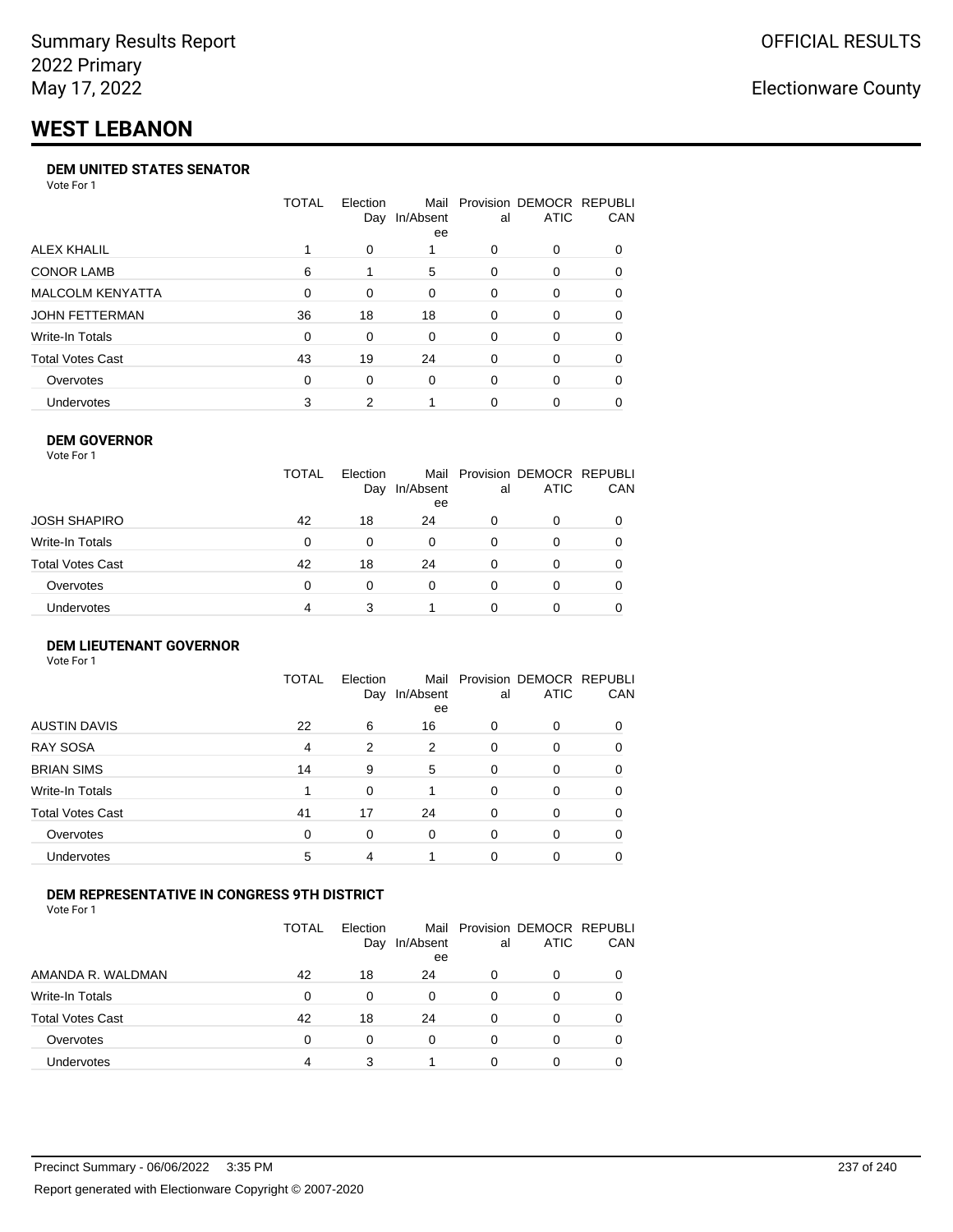# **WEST LEBANON**

### **DEM UNITED STATES SENATOR**

Vote For 1

|                         | TOTAL | Election<br>Day | Mail<br>In/Absent<br>ee | al | Provision DEMOCR REPUBLI<br><b>ATIC</b> | <b>CAN</b> |
|-------------------------|-------|-----------------|-------------------------|----|-----------------------------------------|------------|
| ALEX KHALIL             |       | 0               |                         | 0  | $\Omega$                                | 0          |
| <b>CONOR LAMB</b>       | 6     |                 | 5                       | 0  | $\Omega$                                | 0          |
| <b>MALCOLM KENYATTA</b> | 0     | 0               | $\Omega$                | 0  | $\Omega$                                | 0          |
| JOHN FETTERMAN          | 36    | 18              | 18                      | 0  | $\Omega$                                | 0          |
| Write-In Totals         | 0     | 0               | 0                       | 0  | $\Omega$                                | 0          |
| <b>Total Votes Cast</b> | 43    | 19              | 24                      | 0  | $\Omega$                                | 0          |
| Overvotes               | 0     | $\Omega$        | $\Omega$                | 0  | $\Omega$                                | 0          |
| <b>Undervotes</b>       | 3     | 2               |                         | 0  |                                         | 0          |

#### **DEM GOVERNOR** Vote For 1

|                  | <b>TOTAL</b> | Election<br>Day | In/Absent<br>ee | al | Mail Provision DEMOCR REPUBLI<br><b>ATIC</b> | CAN |
|------------------|--------------|-----------------|-----------------|----|----------------------------------------------|-----|
| JOSH SHAPIRO     | 42           | 18              | 24              | 0  | 0                                            |     |
| Write-In Totals  | 0            | 0               | 0               | 0  | 0                                            |     |
| Total Votes Cast | 42           | 18              | 24              | 0  | 0                                            |     |
| Overvotes        | 0            | $\Omega$        | 0               | 0  | 0                                            |     |
| Undervotes       | 4            | 3               |                 |    | 0                                            |     |

#### **DEM LIEUTENANT GOVERNOR** Vote For 1

|                         | <b>TOTAL</b> | Election<br>Day | In/Absent<br>ee | al       | Mail Provision DEMOCR REPUBLI<br><b>ATIC</b> | CAN      |
|-------------------------|--------------|-----------------|-----------------|----------|----------------------------------------------|----------|
| <b>AUSTIN DAVIS</b>     | 22           | 6               | 16              | $\Omega$ | 0                                            | 0        |
| <b>RAY SOSA</b>         | 4            | 2               | 2               | $\Omega$ | 0                                            | 0        |
| <b>BRIAN SIMS</b>       | 14           | 9               | 5               | $\Omega$ | 0                                            | 0        |
| Write-In Totals         |              | $\Omega$        |                 | $\Omega$ | 0                                            | 0        |
| <b>Total Votes Cast</b> | 41           | 17              | 24              | $\Omega$ | 0                                            | $\Omega$ |
| Overvotes               | $\Omega$     | 0               | $\Omega$        | $\Omega$ | 0                                            | 0        |
| Undervotes              | 5            | 4               |                 | $\Omega$ | 0                                            | 0        |

### **DEM REPRESENTATIVE IN CONGRESS 9TH DISTRICT**

Vote For 1

|                         | TOTAL | <b>Flection</b><br>Day | Mail<br>In/Absent<br>ee | al | Provision DEMOCR REPUBLI<br><b>ATIC</b> | CAN |
|-------------------------|-------|------------------------|-------------------------|----|-----------------------------------------|-----|
| AMANDA R. WALDMAN       | 42    | 18                     | 24                      | 0  | 0                                       | 0   |
| Write-In Totals         | 0     | 0                      | 0                       | Ω  |                                         | 0   |
| <b>Total Votes Cast</b> | 42    | 18                     | 24                      | 0  |                                         | 0   |
| Overvotes               | 0     | 0                      | 0                       | 0  | 0                                       | 0   |
| Undervotes              | 4     |                        |                         | 0  |                                         |     |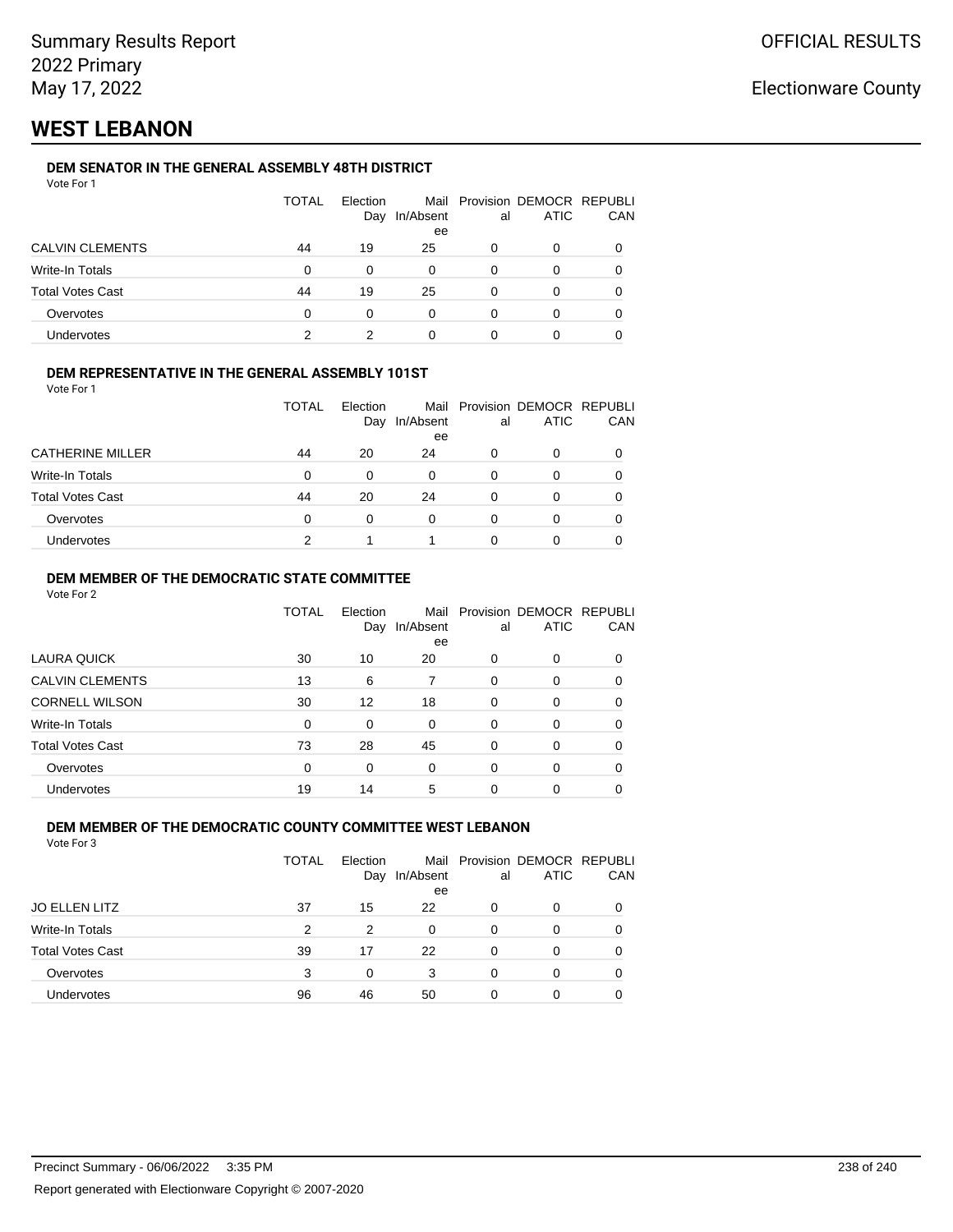## **WEST LEBANON**

### **DEM SENATOR IN THE GENERAL ASSEMBLY 48TH DISTRICT**

| Vote For 1 |  |
|------------|--|
|------------|--|

|                         | <b>TOTAL</b> | Election<br>Day | In/Absent<br>ee | al | Mail Provision DEMOCR REPUBLI<br><b>ATIC</b> | CAN |
|-------------------------|--------------|-----------------|-----------------|----|----------------------------------------------|-----|
| <b>CALVIN CLEMENTS</b>  | 44           | 19              | 25              | 0  | 0                                            |     |
| Write-In Totals         | 0            | 0               | 0               | 0  | 0                                            |     |
| <b>Total Votes Cast</b> | 44           | 19              | 25              | 0  | O                                            |     |
| Overvotes               | 0            | 0               | 0               | ∩  | 0                                            |     |
| Undervotes              | っ            |                 |                 |    |                                              |     |

### **DEM REPRESENTATIVE IN THE GENERAL ASSEMBLY 101ST**

Vote For 1

|                         | TOTAL | <b>Flection</b><br>Day | In/Absent<br>ee | al | Mail Provision DEMOCR REPUBLI<br><b>ATIC</b> | CAN |
|-------------------------|-------|------------------------|-----------------|----|----------------------------------------------|-----|
| <b>CATHERINE MILLER</b> | 44    | 20                     | 24              | O  | 0                                            | 0   |
| Write-In Totals         | 0     | 0                      | $\Omega$        | 0  |                                              | 0   |
| <b>Total Votes Cast</b> | 44    | 20                     | 24              | n  |                                              | 0   |
| Overvotes               | 0     | $\Omega$               | 0               | 0  |                                              | 0   |
| <b>Undervotes</b>       |       |                        |                 |    |                                              |     |

### **DEM MEMBER OF THE DEMOCRATIC STATE COMMITTEE**

Vote For 2

|                         | TOTAL | Election<br>Day | Mail<br>In/Absent<br>ee | al       | Provision DEMOCR REPUBLI<br><b>ATIC</b> | CAN |
|-------------------------|-------|-----------------|-------------------------|----------|-----------------------------------------|-----|
| LAURA QUICK             | 30    | 10              | 20                      | 0        | 0                                       | 0   |
| <b>CALVIN CLEMENTS</b>  | 13    | 6               |                         | $\Omega$ | 0                                       | 0   |
| <b>CORNELL WILSON</b>   | 30    | 12              | 18                      | $\Omega$ | $\Omega$                                | 0   |
| Write-In Totals         | 0     | 0               | $\Omega$                | 0        | 0                                       | 0   |
| <b>Total Votes Cast</b> | 73    | 28              | 45                      | $\Omega$ | $\Omega$                                | 0   |
| Overvotes               | 0     | 0               | 0                       | $\Omega$ | 0                                       | 0   |
| Undervotes              | 19    | 14              | 5                       | 0        | 0                                       |     |

### **DEM MEMBER OF THE DEMOCRATIC COUNTY COMMITTEE WEST LEBANON**

|                         | TOTAL | Election<br>Day | In/Absent<br>ee | al       | Mail Provision DEMOCR REPUBLI<br><b>ATIC</b> | CAN      |
|-------------------------|-------|-----------------|-----------------|----------|----------------------------------------------|----------|
| <b>JO ELLEN LITZ</b>    | 37    | 15              | 22              | 0        | 0                                            | $\Omega$ |
| Write-In Totals         | 2     | 2               | 0               | $\Omega$ | 0                                            |          |
| <b>Total Votes Cast</b> | 39    | 17              | 22              | $\Omega$ | 0                                            | 0        |
| Overvotes               | 3     | 0               | 3               | 0        | 0                                            |          |
| Undervotes              | 96    | 46              | 50              | 0        | 0                                            | O        |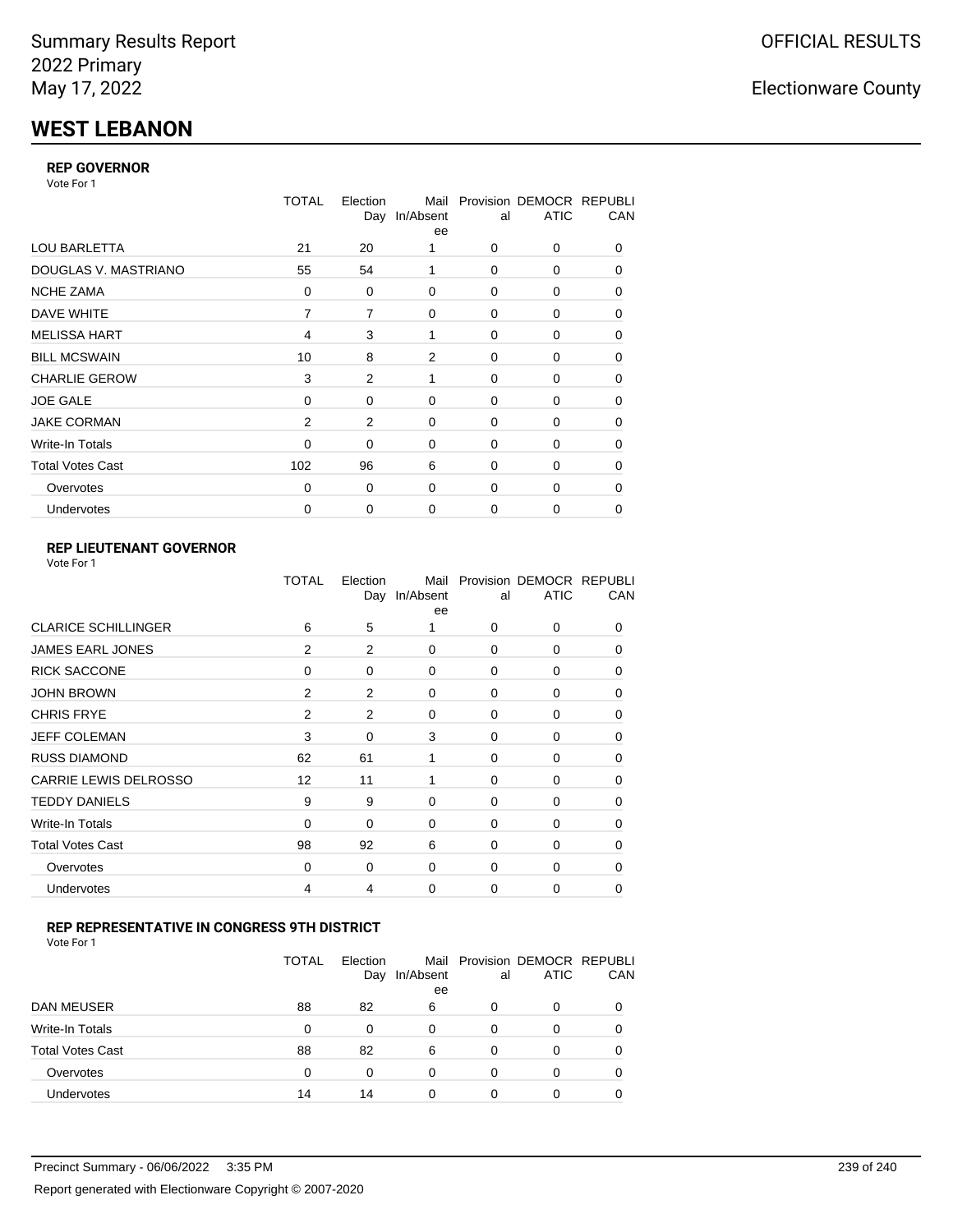# **WEST LEBANON**

### **REP GOVERNOR**

Vote For 1

|                         | <b>TOTAL</b>   | Election<br>Day | Mail<br>In/Absent<br>ee | al          | Provision DEMOCR REPUBLI<br><b>ATIC</b> | CAN      |
|-------------------------|----------------|-----------------|-------------------------|-------------|-----------------------------------------|----------|
| <b>LOU BARLETTA</b>     | 21             | 20              |                         | $\Omega$    | 0                                       | 0        |
| DOUGLAS V. MASTRIANO    | 55             | 54              | 1                       | $\Omega$    | 0                                       | 0        |
| <b>NCHE ZAMA</b>        | 0              | 0               | 0                       | 0           | 0                                       | 0        |
| DAVE WHITE              | 7              | 7               | 0                       | 0           | 0                                       | 0        |
| <b>MELISSA HART</b>     | $\overline{4}$ | 3               | 1                       | 0           | 0                                       | 0        |
| <b>BILL MCSWAIN</b>     | 10             | 8               | 2                       | $\Omega$    | 0                                       | 0        |
| <b>CHARLIE GEROW</b>    | 3              | 2               | 1                       | $\Omega$    | 0                                       | 0        |
| <b>JOE GALE</b>         | $\Omega$       | 0               | 0                       | 0           | 0                                       | $\Omega$ |
| <b>JAKE CORMAN</b>      | 2              | 2               | 0                       | $\Omega$    | 0                                       | 0        |
| Write-In Totals         | 0              | 0               | 0                       | 0           | 0                                       | 0        |
| <b>Total Votes Cast</b> | 102            | 96              | 6                       | 0           | 0                                       | 0        |
| Overvotes               | $\Omega$       | 0               | 0                       | 0           | 0                                       | $\Omega$ |
| <b>Undervotes</b>       | 0              | 0               | 0                       | $\mathbf 0$ | 0                                       | 0        |

### **REP LIEUTENANT GOVERNOR**

| Vote For 1 |  |
|------------|--|
|------------|--|

|                              | <b>TOTAL</b>   | Election<br>Day | Mail<br>In/Absent<br>ee | al          | Provision DEMOCR REPUBLI<br><b>ATIC</b> | CAN      |
|------------------------------|----------------|-----------------|-------------------------|-------------|-----------------------------------------|----------|
| <b>CLARICE SCHILLINGER</b>   | 6              | 5               | 1                       | $\Omega$    | 0                                       | 0        |
| <b>JAMES EARL JONES</b>      | 2              | 2               | 0                       | $\Omega$    | 0                                       | $\Omega$ |
| <b>RICK SACCONE</b>          | $\mathbf 0$    | 0               | 0                       | 0           | 0                                       | $\Omega$ |
| <b>JOHN BROWN</b>            | $\overline{2}$ | 2               | 0                       | $\mathbf 0$ | 0                                       | 0        |
| <b>CHRIS FRYE</b>            | $\overline{2}$ | 2               | 0                       | 0           | 0                                       | 0        |
| <b>JEFF COLEMAN</b>          | 3              | 0               | 3                       | $\mathbf 0$ | 0                                       | 0        |
| <b>RUSS DIAMOND</b>          | 62             | 61              | 1                       | $\Omega$    | $\Omega$                                | $\Omega$ |
| <b>CARRIE LEWIS DELROSSO</b> | 12             | 11              | 1                       | $\Omega$    | 0                                       | $\Omega$ |
| <b>TEDDY DANIELS</b>         | 9              | 9               | $\Omega$                | $\Omega$    | 0                                       | $\Omega$ |
| Write-In Totals              | 0              | 0               | 0                       | 0           | 0                                       | 0        |
| <b>Total Votes Cast</b>      | 98             | 92              | 6                       | 0           | 0                                       | $\Omega$ |
| Overvotes                    | 0              | 0               | $\Omega$                | $\mathbf 0$ | 0                                       | $\Omega$ |
| Undervotes                   | 4              | 4               | $\Omega$                | $\Omega$    | 0                                       | 0        |

### **REP REPRESENTATIVE IN CONGRESS 9TH DISTRICT**

Vote For 1

|                         | <b>TOTAL</b> | Election<br>Day | In/Absent<br>ee | al | Mail Provision DEMOCR REPUBLI<br><b>ATIC</b> | CAN |
|-------------------------|--------------|-----------------|-----------------|----|----------------------------------------------|-----|
| DAN MEUSER              | 88           | 82              | 6               | O  | $\Omega$                                     | 0   |
| Write-In Totals         | 0            | 0               | $\Omega$        | 0  |                                              | 0   |
| <b>Total Votes Cast</b> | 88           | 82              | 6               | 0  | 0                                            | 0   |
| Overvotes               | 0            | 0               | $\Omega$        | 0  | $\Omega$                                     | 0   |
| <b>Undervotes</b>       | 14           | 14              | 0               |    |                                              | 0   |